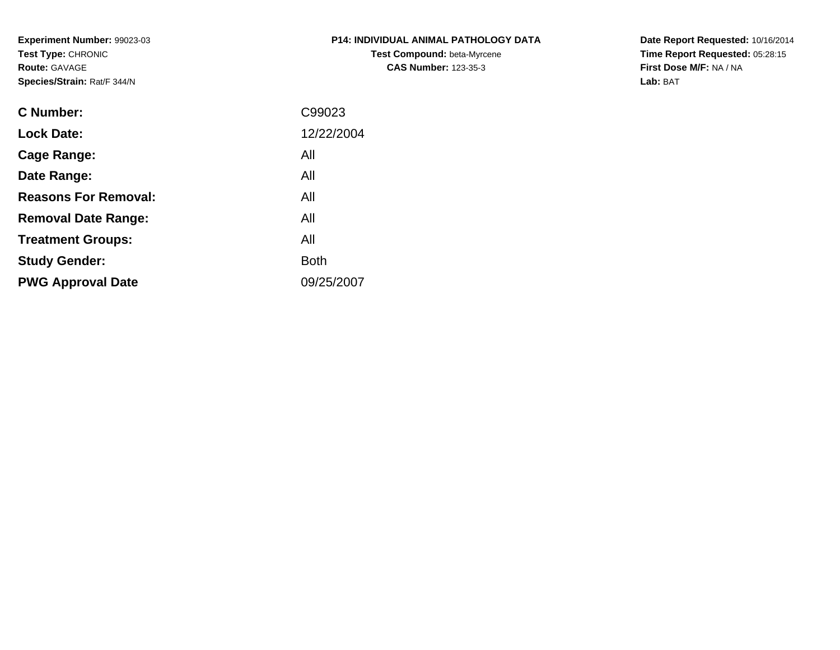**Experiment Number:** 99023-03**Test Type:** CHRONIC**Route:** GAVAGE**Species/Strain:** Rat/F 344/N

## **P14: INDIVIDUAL ANIMAL PATHOLOGY DATATest Compound:** beta-Myrcene**CAS Number:** 123-35-3

**Date Report Requested:** 10/16/2014 **Time Report Requested:** 05:28:15**First Dose M/F:** NA / NA**Lab:** BAT

| C Number:                   | C99023      |
|-----------------------------|-------------|
| <b>Lock Date:</b>           | 12/22/2004  |
| Cage Range:                 | All         |
| Date Range:                 | All         |
| <b>Reasons For Removal:</b> | All         |
| <b>Removal Date Range:</b>  | All         |
| <b>Treatment Groups:</b>    | All         |
| <b>Study Gender:</b>        | <b>Both</b> |
| <b>PWG Approval Date</b>    | 09/25/2007  |
|                             |             |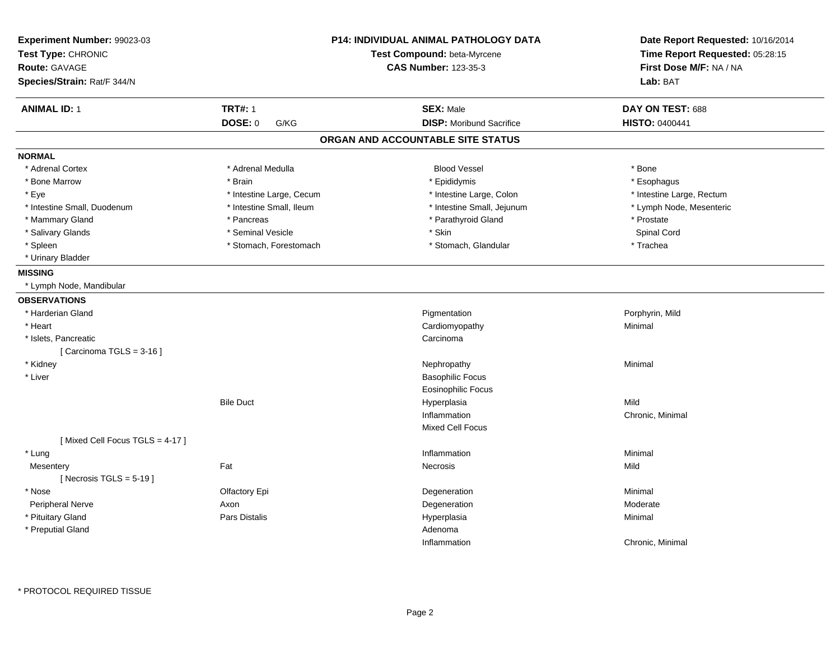| Experiment Number: 99023-03<br>Test Type: CHRONIC<br><b>Route: GAVAGE</b><br>Species/Strain: Rat/F 344/N |                          | <b>P14: INDIVIDUAL ANIMAL PATHOLOGY DATA</b><br>Test Compound: beta-Myrcene<br><b>CAS Number: 123-35-3</b> | Date Report Requested: 10/16/2014<br>Time Report Requested: 05:28:15<br>First Dose M/F: NA / NA<br>Lab: BAT |
|----------------------------------------------------------------------------------------------------------|--------------------------|------------------------------------------------------------------------------------------------------------|-------------------------------------------------------------------------------------------------------------|
| <b>ANIMAL ID: 1</b>                                                                                      | <b>TRT#: 1</b>           | <b>SEX: Male</b>                                                                                           | DAY ON TEST: 688                                                                                            |
|                                                                                                          | <b>DOSE: 0</b><br>G/KG   | <b>DISP:</b> Moribund Sacrifice                                                                            | <b>HISTO: 0400441</b>                                                                                       |
|                                                                                                          |                          | ORGAN AND ACCOUNTABLE SITE STATUS                                                                          |                                                                                                             |
| <b>NORMAL</b>                                                                                            |                          |                                                                                                            |                                                                                                             |
| * Adrenal Cortex                                                                                         | * Adrenal Medulla        | <b>Blood Vessel</b>                                                                                        | * Bone                                                                                                      |
| * Bone Marrow                                                                                            | * Brain                  | * Epididymis                                                                                               | * Esophagus                                                                                                 |
| * Eye                                                                                                    | * Intestine Large, Cecum | * Intestine Large, Colon                                                                                   | * Intestine Large, Rectum                                                                                   |
| * Intestine Small, Duodenum                                                                              | * Intestine Small, Ileum | * Intestine Small, Jejunum                                                                                 | * Lymph Node, Mesenteric                                                                                    |
| * Mammary Gland                                                                                          | * Pancreas               | * Parathyroid Gland                                                                                        | * Prostate                                                                                                  |
| * Salivary Glands                                                                                        | * Seminal Vesicle        | * Skin                                                                                                     | Spinal Cord                                                                                                 |
| * Spleen                                                                                                 | * Stomach, Forestomach   | * Stomach, Glandular                                                                                       | * Trachea                                                                                                   |
| * Urinary Bladder                                                                                        |                          |                                                                                                            |                                                                                                             |
| <b>MISSING</b>                                                                                           |                          |                                                                                                            |                                                                                                             |
| * Lymph Node, Mandibular                                                                                 |                          |                                                                                                            |                                                                                                             |
| <b>OBSERVATIONS</b>                                                                                      |                          |                                                                                                            |                                                                                                             |
| * Harderian Gland                                                                                        |                          | Pigmentation                                                                                               | Porphyrin, Mild                                                                                             |
| * Heart                                                                                                  |                          | Cardiomyopathy                                                                                             | Minimal                                                                                                     |
| * Islets, Pancreatic                                                                                     |                          | Carcinoma                                                                                                  |                                                                                                             |
| [Carcinoma TGLS = $3-16$ ]                                                                               |                          |                                                                                                            |                                                                                                             |
| * Kidney                                                                                                 |                          | Nephropathy                                                                                                | Minimal                                                                                                     |
| * Liver                                                                                                  |                          | <b>Basophilic Focus</b>                                                                                    |                                                                                                             |
|                                                                                                          |                          | Eosinophilic Focus                                                                                         |                                                                                                             |
|                                                                                                          | <b>Bile Duct</b>         | Hyperplasia                                                                                                | Mild                                                                                                        |
|                                                                                                          |                          | Inflammation                                                                                               | Chronic, Minimal                                                                                            |
|                                                                                                          |                          | <b>Mixed Cell Focus</b>                                                                                    |                                                                                                             |
| [Mixed Cell Focus TGLS = 4-17]                                                                           |                          |                                                                                                            |                                                                                                             |
| * Lung                                                                                                   |                          | Inflammation                                                                                               | Minimal                                                                                                     |
| Mesentery                                                                                                | Fat                      | Necrosis                                                                                                   | Mild                                                                                                        |
| [ Necrosis TGLS = $5-19$ ]                                                                               |                          |                                                                                                            |                                                                                                             |
| * Nose                                                                                                   | Olfactory Epi            | Degeneration                                                                                               | Minimal                                                                                                     |
| Peripheral Nerve                                                                                         | Axon                     | Degeneration                                                                                               | Moderate                                                                                                    |
| * Pituitary Gland                                                                                        | <b>Pars Distalis</b>     | Hyperplasia                                                                                                | Minimal                                                                                                     |
| * Preputial Gland                                                                                        |                          | Adenoma                                                                                                    |                                                                                                             |
|                                                                                                          |                          | Inflammation                                                                                               | Chronic, Minimal                                                                                            |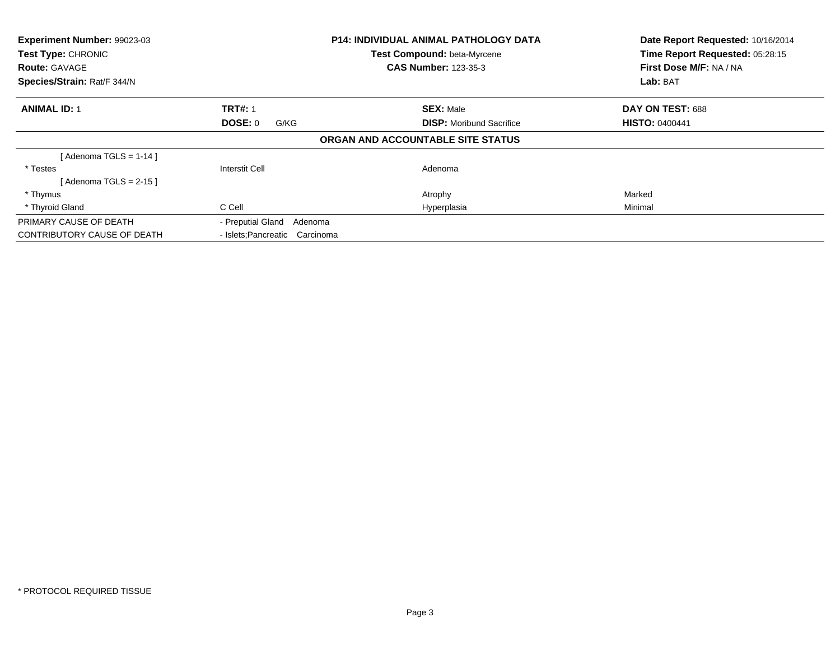| Experiment Number: 99023-03<br>Test Type: CHRONIC<br><b>Route: GAVAGE</b><br>Species/Strain: Rat/F 344/N |                                | <b>P14: INDIVIDUAL ANIMAL PATHOLOGY DATA</b><br>Test Compound: beta-Myrcene<br><b>CAS Number: 123-35-3</b> | Date Report Requested: 10/16/2014<br>Time Report Requested: 05:28:15<br>First Dose M/F: NA / NA<br>Lab: BAT |
|----------------------------------------------------------------------------------------------------------|--------------------------------|------------------------------------------------------------------------------------------------------------|-------------------------------------------------------------------------------------------------------------|
|                                                                                                          |                                |                                                                                                            |                                                                                                             |
| <b>ANIMAL ID: 1</b>                                                                                      | <b>TRT#: 1</b>                 | <b>SEX: Male</b>                                                                                           | DAY ON TEST: 688                                                                                            |
|                                                                                                          | DOSE: 0<br>G/KG                | <b>DISP:</b> Moribund Sacrifice                                                                            | <b>HISTO: 0400441</b>                                                                                       |
|                                                                                                          |                                | ORGAN AND ACCOUNTABLE SITE STATUS                                                                          |                                                                                                             |
| [Adenoma TGLS = $1-14$ ]                                                                                 |                                |                                                                                                            |                                                                                                             |
| * Testes                                                                                                 | Interstit Cell                 | Adenoma                                                                                                    |                                                                                                             |
| [ Adenoma TGLS = 2-15 ]                                                                                  |                                |                                                                                                            |                                                                                                             |
| * Thymus                                                                                                 |                                | Atrophy                                                                                                    | Marked                                                                                                      |
| * Thyroid Gland                                                                                          | C Cell                         | Hyperplasia                                                                                                | Minimal                                                                                                     |
| PRIMARY CAUSE OF DEATH                                                                                   | - Preputial Gland Adenoma      |                                                                                                            |                                                                                                             |
| <b>CONTRIBUTORY CAUSE OF DEATH</b>                                                                       | - Islets: Pancreatic Carcinoma |                                                                                                            |                                                                                                             |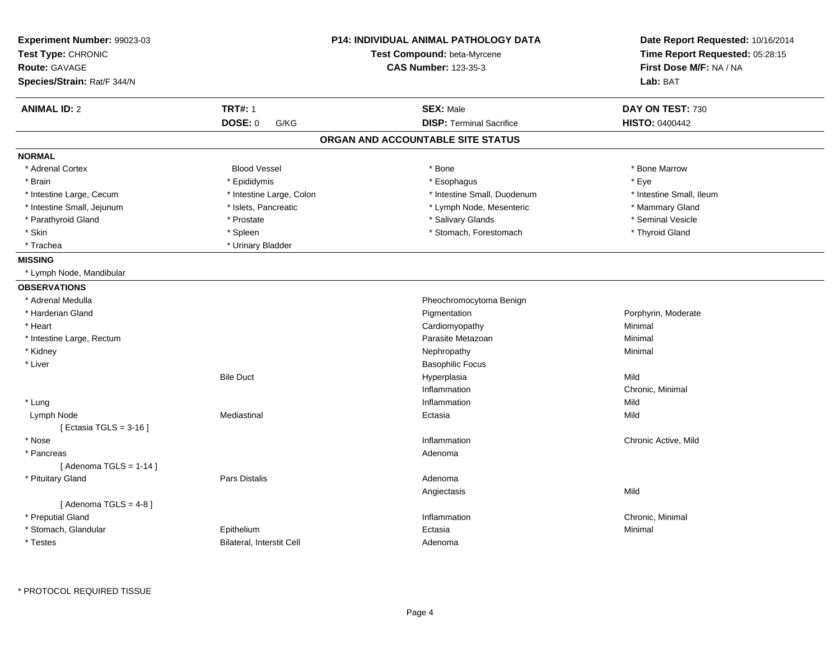| Experiment Number: 99023-03<br>Test Type: CHRONIC<br><b>Route: GAVAGE</b><br>Species/Strain: Rat/F 344/N | <b>P14: INDIVIDUAL ANIMAL PATHOLOGY DATA</b><br>Test Compound: beta-Myrcene<br><b>CAS Number: 123-35-3</b> |                                   | Date Report Requested: 10/16/2014<br>Time Report Requested: 05:28:15<br>First Dose M/F: NA / NA<br>Lab: BAT |  |
|----------------------------------------------------------------------------------------------------------|------------------------------------------------------------------------------------------------------------|-----------------------------------|-------------------------------------------------------------------------------------------------------------|--|
| <b>ANIMAL ID: 2</b>                                                                                      | <b>TRT#: 1</b>                                                                                             | <b>SEX: Male</b>                  | DAY ON TEST: 730                                                                                            |  |
|                                                                                                          | DOSE: 0<br>G/KG                                                                                            | <b>DISP: Terminal Sacrifice</b>   | <b>HISTO: 0400442</b>                                                                                       |  |
|                                                                                                          |                                                                                                            | ORGAN AND ACCOUNTABLE SITE STATUS |                                                                                                             |  |
| <b>NORMAL</b>                                                                                            |                                                                                                            |                                   |                                                                                                             |  |
| * Adrenal Cortex                                                                                         | <b>Blood Vessel</b>                                                                                        | * Bone                            | * Bone Marrow                                                                                               |  |
| * Brain                                                                                                  | * Epididymis                                                                                               | * Esophagus                       | * Eye                                                                                                       |  |
| * Intestine Large, Cecum                                                                                 | * Intestine Large, Colon                                                                                   | * Intestine Small, Duodenum       | * Intestine Small, Ileum                                                                                    |  |
| * Intestine Small, Jejunum                                                                               | * Islets, Pancreatic                                                                                       | * Lymph Node, Mesenteric          | * Mammary Gland                                                                                             |  |
| * Parathyroid Gland                                                                                      | * Prostate                                                                                                 | * Salivary Glands                 | * Seminal Vesicle                                                                                           |  |
| * Skin                                                                                                   | * Spleen                                                                                                   | * Stomach, Forestomach            | * Thyroid Gland                                                                                             |  |
| * Trachea                                                                                                | * Urinary Bladder                                                                                          |                                   |                                                                                                             |  |
| <b>MISSING</b>                                                                                           |                                                                                                            |                                   |                                                                                                             |  |
| * Lymph Node, Mandibular                                                                                 |                                                                                                            |                                   |                                                                                                             |  |
| <b>OBSERVATIONS</b>                                                                                      |                                                                                                            |                                   |                                                                                                             |  |
| * Adrenal Medulla                                                                                        |                                                                                                            | Pheochromocytoma Benign           |                                                                                                             |  |
| * Harderian Gland                                                                                        |                                                                                                            | Pigmentation                      | Porphyrin, Moderate                                                                                         |  |
| * Heart                                                                                                  |                                                                                                            | Cardiomyopathy                    | Minimal                                                                                                     |  |
| * Intestine Large, Rectum                                                                                |                                                                                                            | Parasite Metazoan                 | Minimal                                                                                                     |  |
| * Kidney                                                                                                 |                                                                                                            | Nephropathy                       | Minimal                                                                                                     |  |
| * Liver                                                                                                  |                                                                                                            | <b>Basophilic Focus</b>           |                                                                                                             |  |
|                                                                                                          | <b>Bile Duct</b>                                                                                           | Hyperplasia                       | Mild                                                                                                        |  |
|                                                                                                          |                                                                                                            | Inflammation                      | Chronic, Minimal                                                                                            |  |
| * Lung                                                                                                   |                                                                                                            | Inflammation                      | Mild                                                                                                        |  |
| Lymph Node<br>[ Ectasia TGLS = $3-16$ ]                                                                  | Mediastinal                                                                                                | Ectasia                           | Mild                                                                                                        |  |
| * Nose                                                                                                   |                                                                                                            | Inflammation                      | Chronic Active, Mild                                                                                        |  |
| * Pancreas                                                                                               |                                                                                                            | Adenoma                           |                                                                                                             |  |
| [Adenoma TGLS = $1-14$ ]                                                                                 |                                                                                                            |                                   |                                                                                                             |  |
| * Pituitary Gland                                                                                        | Pars Distalis                                                                                              | Adenoma                           |                                                                                                             |  |
|                                                                                                          |                                                                                                            | Angiectasis                       | Mild                                                                                                        |  |
| [Adenoma TGLS = $4-8$ ]                                                                                  |                                                                                                            |                                   |                                                                                                             |  |
| * Preputial Gland                                                                                        |                                                                                                            | Inflammation                      | Chronic, Minimal                                                                                            |  |
| * Stomach, Glandular                                                                                     | Epithelium                                                                                                 | Ectasia                           | Minimal                                                                                                     |  |
| * Testes                                                                                                 | <b>Bilateral, Interstit Cell</b>                                                                           | Adenoma                           |                                                                                                             |  |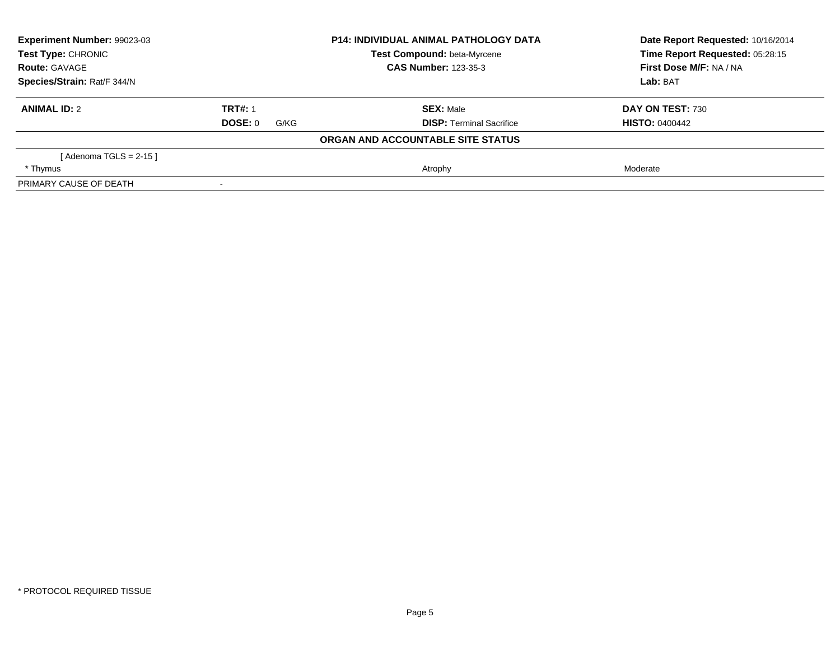| Experiment Number: 99023-03<br><b>Test Type: CHRONIC</b><br><b>Route: GAVAGE</b><br>Species/Strain: Rat/F 344/N |                 | <b>P14: INDIVIDUAL ANIMAL PATHOLOGY DATA</b> | Date Report Requested: 10/16/2014                          |  |
|-----------------------------------------------------------------------------------------------------------------|-----------------|----------------------------------------------|------------------------------------------------------------|--|
|                                                                                                                 |                 | Test Compound: beta-Myrcene                  | Time Report Requested: 05:28:15<br>First Dose M/F: NA / NA |  |
|                                                                                                                 |                 | <b>CAS Number: 123-35-3</b>                  |                                                            |  |
|                                                                                                                 |                 |                                              | Lab: BAT                                                   |  |
| <b>ANIMAL ID: 2</b>                                                                                             | <b>TRT#: 1</b>  | <b>SEX: Male</b>                             | DAY ON TEST: 730                                           |  |
|                                                                                                                 | DOSE: 0<br>G/KG | <b>DISP:</b> Terminal Sacrifice              | <b>HISTO: 0400442</b>                                      |  |
|                                                                                                                 |                 | ORGAN AND ACCOUNTABLE SITE STATUS            |                                                            |  |
| [Adenoma TGLS = $2-15$ ]                                                                                        |                 |                                              |                                                            |  |
| * Thymus                                                                                                        |                 | Atrophy                                      | Moderate                                                   |  |
| PRIMARY CAUSE OF DEATH                                                                                          |                 |                                              |                                                            |  |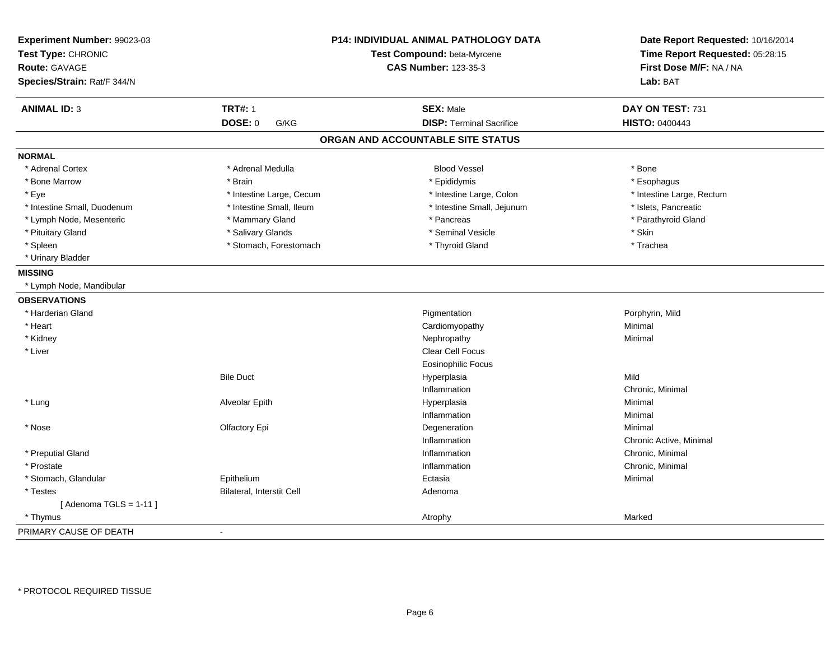| Experiment Number: 99023-03<br>Test Type: CHRONIC<br><b>Route: GAVAGE</b><br>Species/Strain: Rat/F 344/N |                           | P14: INDIVIDUAL ANIMAL PATHOLOGY DATA<br>Test Compound: beta-Myrcene<br><b>CAS Number: 123-35-3</b> | Date Report Requested: 10/16/2014<br>Time Report Requested: 05:28:15<br>First Dose M/F: NA / NA<br>Lab: BAT |
|----------------------------------------------------------------------------------------------------------|---------------------------|-----------------------------------------------------------------------------------------------------|-------------------------------------------------------------------------------------------------------------|
|                                                                                                          |                           |                                                                                                     |                                                                                                             |
| <b>ANIMAL ID: 3</b>                                                                                      | <b>TRT#: 1</b>            | <b>SEX: Male</b>                                                                                    | DAY ON TEST: 731                                                                                            |
|                                                                                                          | <b>DOSE: 0</b><br>G/KG    | <b>DISP: Terminal Sacrifice</b>                                                                     | HISTO: 0400443                                                                                              |
|                                                                                                          |                           | ORGAN AND ACCOUNTABLE SITE STATUS                                                                   |                                                                                                             |
| <b>NORMAL</b>                                                                                            |                           |                                                                                                     |                                                                                                             |
| * Adrenal Cortex                                                                                         | * Adrenal Medulla         | <b>Blood Vessel</b>                                                                                 | * Bone                                                                                                      |
| * Bone Marrow                                                                                            | * Brain                   | * Epididymis                                                                                        | * Esophagus                                                                                                 |
| * Eye                                                                                                    | * Intestine Large, Cecum  | * Intestine Large, Colon                                                                            | * Intestine Large, Rectum                                                                                   |
| * Intestine Small, Duodenum                                                                              | * Intestine Small, Ileum  | * Intestine Small, Jejunum                                                                          | * Islets, Pancreatic                                                                                        |
| * Lymph Node, Mesenteric                                                                                 | * Mammary Gland           | * Pancreas                                                                                          | * Parathyroid Gland                                                                                         |
| * Pituitary Gland                                                                                        | * Salivary Glands         | * Seminal Vesicle                                                                                   | * Skin                                                                                                      |
| * Spleen                                                                                                 | * Stomach, Forestomach    | * Thyroid Gland                                                                                     | * Trachea                                                                                                   |
| * Urinary Bladder                                                                                        |                           |                                                                                                     |                                                                                                             |
| <b>MISSING</b>                                                                                           |                           |                                                                                                     |                                                                                                             |
| * Lymph Node, Mandibular                                                                                 |                           |                                                                                                     |                                                                                                             |
| <b>OBSERVATIONS</b>                                                                                      |                           |                                                                                                     |                                                                                                             |
| * Harderian Gland                                                                                        |                           | Pigmentation                                                                                        | Porphyrin, Mild                                                                                             |
| * Heart                                                                                                  |                           | Cardiomyopathy                                                                                      | Minimal                                                                                                     |
| * Kidney                                                                                                 |                           | Nephropathy                                                                                         | Minimal                                                                                                     |
| * Liver                                                                                                  |                           | Clear Cell Focus                                                                                    |                                                                                                             |
|                                                                                                          |                           | <b>Eosinophilic Focus</b>                                                                           |                                                                                                             |
|                                                                                                          | <b>Bile Duct</b>          | Hyperplasia                                                                                         | Mild                                                                                                        |
|                                                                                                          |                           | Inflammation                                                                                        | Chronic, Minimal                                                                                            |
| * Lung                                                                                                   | Alveolar Epith            | Hyperplasia                                                                                         | Minimal                                                                                                     |
|                                                                                                          |                           | Inflammation                                                                                        | Minimal                                                                                                     |
| * Nose                                                                                                   | Olfactory Epi             | Degeneration                                                                                        | Minimal                                                                                                     |
|                                                                                                          |                           | Inflammation                                                                                        | Chronic Active, Minimal                                                                                     |
| * Preputial Gland                                                                                        |                           | Inflammation                                                                                        | Chronic, Minimal                                                                                            |
| * Prostate                                                                                               |                           | Inflammation                                                                                        | Chronic, Minimal                                                                                            |
| * Stomach, Glandular                                                                                     | Epithelium                | Ectasia                                                                                             | Minimal                                                                                                     |
| * Testes                                                                                                 | Bilateral, Interstit Cell | Adenoma                                                                                             |                                                                                                             |
| [Adenoma TGLS = $1-11$ ]                                                                                 |                           |                                                                                                     |                                                                                                             |
| * Thymus                                                                                                 |                           | Atrophy                                                                                             | Marked                                                                                                      |
| PRIMARY CAUSE OF DEATH                                                                                   | $\blacksquare$            |                                                                                                     |                                                                                                             |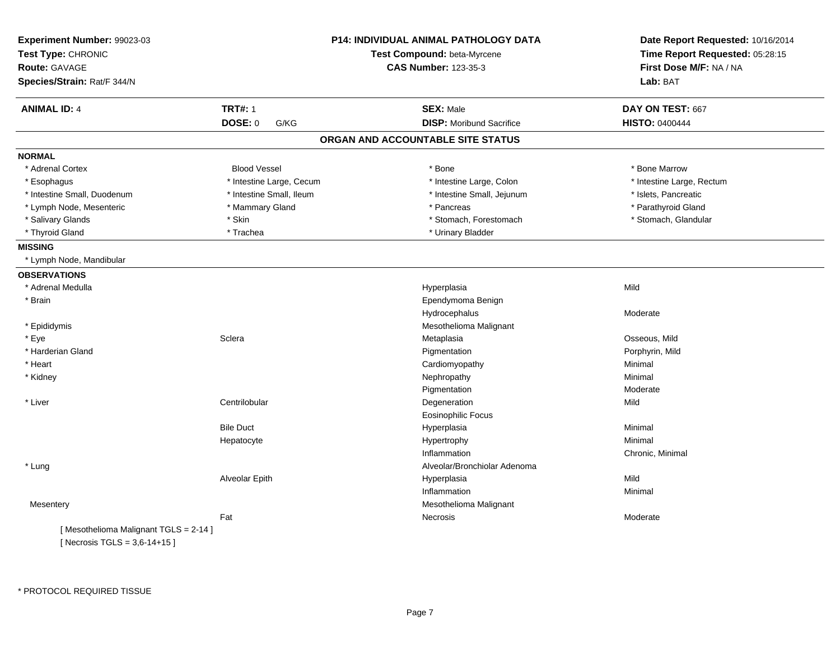| Experiment Number: 99023-03<br>Test Type: CHRONIC<br><b>Route: GAVAGE</b><br>Species/Strain: Rat/F 344/N |                          | <b>P14: INDIVIDUAL ANIMAL PATHOLOGY DATA</b><br>Test Compound: beta-Myrcene<br><b>CAS Number: 123-35-3</b> | Date Report Requested: 10/16/2014<br>Time Report Requested: 05:28:15<br>First Dose M/F: NA / NA<br>Lab: BAT |
|----------------------------------------------------------------------------------------------------------|--------------------------|------------------------------------------------------------------------------------------------------------|-------------------------------------------------------------------------------------------------------------|
| <b>ANIMAL ID: 4</b>                                                                                      | <b>TRT#: 1</b>           | <b>SEX: Male</b>                                                                                           | DAY ON TEST: 667                                                                                            |
|                                                                                                          | DOSE: 0<br>G/KG          | <b>DISP:</b> Moribund Sacrifice                                                                            | <b>HISTO: 0400444</b>                                                                                       |
|                                                                                                          |                          | ORGAN AND ACCOUNTABLE SITE STATUS                                                                          |                                                                                                             |
| <b>NORMAL</b>                                                                                            |                          |                                                                                                            |                                                                                                             |
| * Adrenal Cortex                                                                                         | <b>Blood Vessel</b>      | * Bone                                                                                                     | * Bone Marrow                                                                                               |
| * Esophagus                                                                                              | * Intestine Large, Cecum | * Intestine Large, Colon                                                                                   | * Intestine Large, Rectum                                                                                   |
| * Intestine Small, Duodenum                                                                              | * Intestine Small, Ileum | * Intestine Small, Jejunum                                                                                 | * Islets, Pancreatic                                                                                        |
| * Lymph Node, Mesenteric                                                                                 | * Mammary Gland          | * Pancreas                                                                                                 | * Parathyroid Gland                                                                                         |
| * Salivary Glands                                                                                        | * Skin                   | * Stomach, Forestomach                                                                                     | * Stomach, Glandular                                                                                        |
| * Thyroid Gland                                                                                          | * Trachea                | * Urinary Bladder                                                                                          |                                                                                                             |
| <b>MISSING</b>                                                                                           |                          |                                                                                                            |                                                                                                             |
| * Lymph Node, Mandibular                                                                                 |                          |                                                                                                            |                                                                                                             |
| <b>OBSERVATIONS</b>                                                                                      |                          |                                                                                                            |                                                                                                             |
| * Adrenal Medulla                                                                                        |                          | Hyperplasia                                                                                                | Mild                                                                                                        |
| * Brain                                                                                                  |                          | Ependymoma Benign                                                                                          |                                                                                                             |
|                                                                                                          |                          | Hydrocephalus                                                                                              | Moderate                                                                                                    |
| * Epididymis                                                                                             |                          | Mesothelioma Malignant                                                                                     |                                                                                                             |
| * Eye                                                                                                    | Sclera                   | Metaplasia                                                                                                 | Osseous, Mild                                                                                               |
| * Harderian Gland                                                                                        |                          | Pigmentation                                                                                               | Porphyrin, Mild                                                                                             |
| * Heart                                                                                                  |                          | Cardiomyopathy                                                                                             | Minimal                                                                                                     |
| * Kidney                                                                                                 |                          | Nephropathy                                                                                                | Minimal                                                                                                     |
|                                                                                                          |                          | Pigmentation                                                                                               | Moderate                                                                                                    |
| * Liver                                                                                                  | Centrilobular            | Degeneration                                                                                               | Mild                                                                                                        |
|                                                                                                          |                          | <b>Eosinophilic Focus</b>                                                                                  |                                                                                                             |
|                                                                                                          | <b>Bile Duct</b>         | Hyperplasia                                                                                                | Minimal                                                                                                     |
|                                                                                                          | Hepatocyte               | Hypertrophy                                                                                                | Minimal                                                                                                     |
|                                                                                                          |                          | Inflammation                                                                                               | Chronic, Minimal                                                                                            |
| * Lung                                                                                                   |                          | Alveolar/Bronchiolar Adenoma                                                                               |                                                                                                             |
|                                                                                                          | Alveolar Epith           | Hyperplasia                                                                                                | Mild                                                                                                        |
|                                                                                                          |                          | Inflammation                                                                                               | Minimal                                                                                                     |
| Mesentery                                                                                                |                          | Mesothelioma Malignant                                                                                     |                                                                                                             |
|                                                                                                          | Fat                      | Necrosis                                                                                                   | Moderate                                                                                                    |
| [Mesothelioma Malignant TGLS = 2-14]<br>[ Necrosis TGLS = $3,6-14+15$ ]                                  |                          |                                                                                                            |                                                                                                             |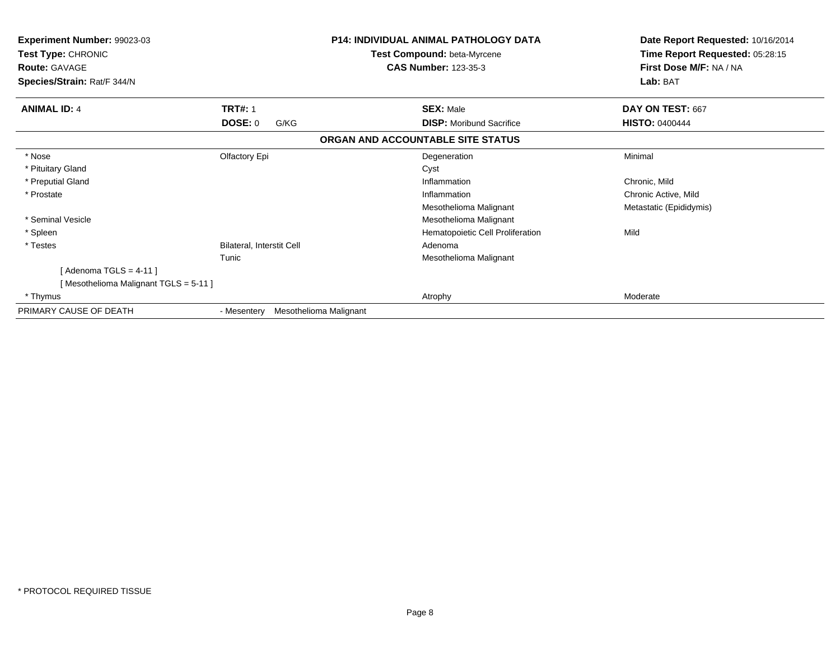| <b>Experiment Number: 99023-03</b><br>Test Type: CHRONIC<br><b>Route: GAVAGE</b><br>Species/Strain: Rat/F 344/N |                                       | <b>P14: INDIVIDUAL ANIMAL PATHOLOGY DATA</b><br>Test Compound: beta-Myrcene<br><b>CAS Number: 123-35-3</b> | Date Report Requested: 10/16/2014<br>Time Report Requested: 05:28:15<br>First Dose M/F: NA / NA<br>Lab: BAT |
|-----------------------------------------------------------------------------------------------------------------|---------------------------------------|------------------------------------------------------------------------------------------------------------|-------------------------------------------------------------------------------------------------------------|
| <b>ANIMAL ID: 4</b>                                                                                             | <b>TRT#: 1</b>                        | <b>SEX: Male</b>                                                                                           | DAY ON TEST: 667                                                                                            |
|                                                                                                                 | <b>DOSE: 0</b><br>G/KG                | <b>DISP:</b> Moribund Sacrifice                                                                            | <b>HISTO: 0400444</b>                                                                                       |
|                                                                                                                 |                                       | ORGAN AND ACCOUNTABLE SITE STATUS                                                                          |                                                                                                             |
| * Nose                                                                                                          | Olfactory Epi                         | Degeneration                                                                                               | Minimal                                                                                                     |
| * Pituitary Gland                                                                                               |                                       | Cyst                                                                                                       |                                                                                                             |
| * Preputial Gland                                                                                               |                                       | Inflammation                                                                                               | Chronic, Mild                                                                                               |
| * Prostate                                                                                                      |                                       | Inflammation                                                                                               | Chronic Active, Mild                                                                                        |
|                                                                                                                 |                                       | Mesothelioma Malignant                                                                                     | Metastatic (Epididymis)                                                                                     |
| * Seminal Vesicle                                                                                               |                                       | Mesothelioma Malignant                                                                                     |                                                                                                             |
| * Spleen                                                                                                        |                                       | Hematopoietic Cell Proliferation                                                                           | Mild                                                                                                        |
| * Testes                                                                                                        | Bilateral, Interstit Cell             | Adenoma                                                                                                    |                                                                                                             |
|                                                                                                                 | Tunic                                 | Mesothelioma Malignant                                                                                     |                                                                                                             |
| [Adenoma TGLS = 4-11]                                                                                           |                                       |                                                                                                            |                                                                                                             |
| [Mesothelioma Malignant TGLS = 5-11]                                                                            |                                       |                                                                                                            |                                                                                                             |
| * Thymus                                                                                                        |                                       | Atrophy                                                                                                    | Moderate                                                                                                    |
| PRIMARY CAUSE OF DEATH                                                                                          | Mesothelioma Malignant<br>- Mesentery |                                                                                                            |                                                                                                             |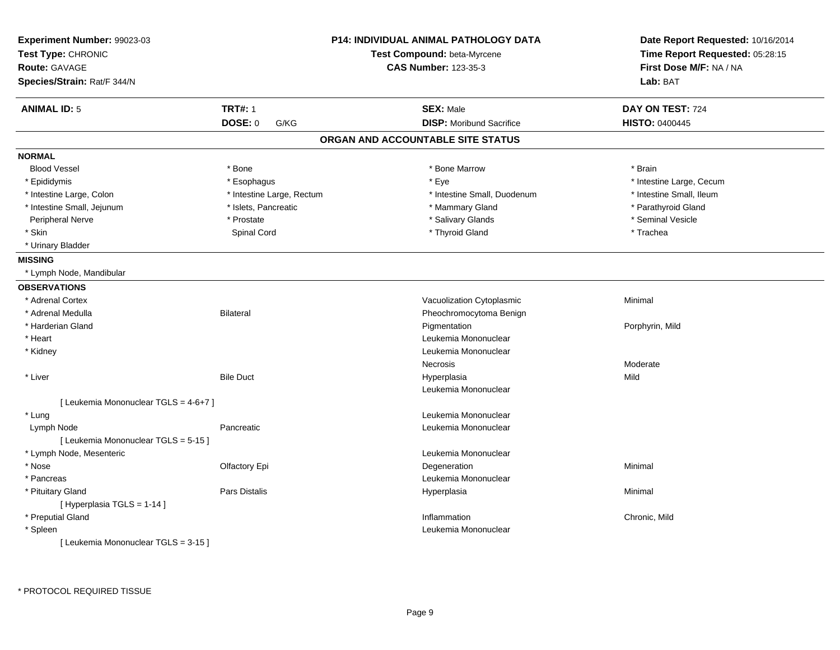| Experiment Number: 99023-03<br>Test Type: CHRONIC |                           | <b>P14: INDIVIDUAL ANIMAL PATHOLOGY DATA</b><br>Test Compound: beta-Myrcene | Date Report Requested: 10/16/2014<br>Time Report Requested: 05:28:15 |
|---------------------------------------------------|---------------------------|-----------------------------------------------------------------------------|----------------------------------------------------------------------|
|                                                   |                           |                                                                             |                                                                      |
| <b>Route: GAVAGE</b>                              |                           | <b>CAS Number: 123-35-3</b>                                                 | First Dose M/F: NA / NA                                              |
| Species/Strain: Rat/F 344/N                       |                           |                                                                             | Lab: BAT                                                             |
| <b>ANIMAL ID: 5</b>                               | <b>TRT#: 1</b>            | <b>SEX: Male</b>                                                            | DAY ON TEST: 724                                                     |
|                                                   | <b>DOSE: 0</b><br>G/KG    | <b>DISP:</b> Moribund Sacrifice                                             | HISTO: 0400445                                                       |
|                                                   |                           | ORGAN AND ACCOUNTABLE SITE STATUS                                           |                                                                      |
| <b>NORMAL</b>                                     |                           |                                                                             |                                                                      |
| <b>Blood Vessel</b>                               | * Bone                    | * Bone Marrow                                                               | * Brain                                                              |
| * Epididymis                                      | * Esophagus               | * Eye                                                                       | * Intestine Large, Cecum                                             |
| * Intestine Large, Colon                          | * Intestine Large, Rectum | * Intestine Small, Duodenum                                                 | * Intestine Small, Ileum                                             |
| * Intestine Small, Jejunum                        | * Islets, Pancreatic      | * Mammary Gland                                                             | * Parathyroid Gland                                                  |
| Peripheral Nerve                                  | * Prostate                | * Salivary Glands                                                           | * Seminal Vesicle                                                    |
| * Skin                                            | Spinal Cord               | * Thyroid Gland                                                             | * Trachea                                                            |
| * Urinary Bladder                                 |                           |                                                                             |                                                                      |
| <b>MISSING</b>                                    |                           |                                                                             |                                                                      |
| * Lymph Node, Mandibular                          |                           |                                                                             |                                                                      |
| <b>OBSERVATIONS</b>                               |                           |                                                                             |                                                                      |
| * Adrenal Cortex                                  |                           | Vacuolization Cytoplasmic                                                   | Minimal                                                              |
| * Adrenal Medulla                                 | <b>Bilateral</b>          | Pheochromocytoma Benign                                                     |                                                                      |
| * Harderian Gland                                 |                           | Pigmentation                                                                | Porphyrin, Mild                                                      |
| * Heart                                           |                           | Leukemia Mononuclear                                                        |                                                                      |
| * Kidney                                          |                           | Leukemia Mononuclear                                                        |                                                                      |
|                                                   |                           | Necrosis                                                                    | Moderate                                                             |
| * Liver                                           | <b>Bile Duct</b>          | Hyperplasia                                                                 | Mild                                                                 |
|                                                   |                           | Leukemia Mononuclear                                                        |                                                                      |
| [ Leukemia Mononuclear TGLS = 4-6+7 ]             |                           |                                                                             |                                                                      |
| * Lung                                            |                           | Leukemia Mononuclear                                                        |                                                                      |
| Lymph Node                                        | Pancreatic                | Leukemia Mononuclear                                                        |                                                                      |
| [ Leukemia Mononuclear TGLS = 5-15 ]              |                           |                                                                             |                                                                      |
| * Lymph Node, Mesenteric                          |                           | Leukemia Mononuclear                                                        |                                                                      |
| * Nose                                            | Olfactory Epi             | Degeneration                                                                | Minimal                                                              |
| * Pancreas                                        |                           | Leukemia Mononuclear                                                        |                                                                      |
| * Pituitary Gland                                 | Pars Distalis             | Hyperplasia                                                                 | Minimal                                                              |
| [ Hyperplasia TGLS = 1-14 ]                       |                           |                                                                             |                                                                      |
| * Preputial Gland                                 |                           | Inflammation                                                                | Chronic, Mild                                                        |
| * Spleen                                          |                           | Leukemia Mononuclear                                                        |                                                                      |
| [ Leukemia Mononuclear TGLS = 3-15 ]              |                           |                                                                             |                                                                      |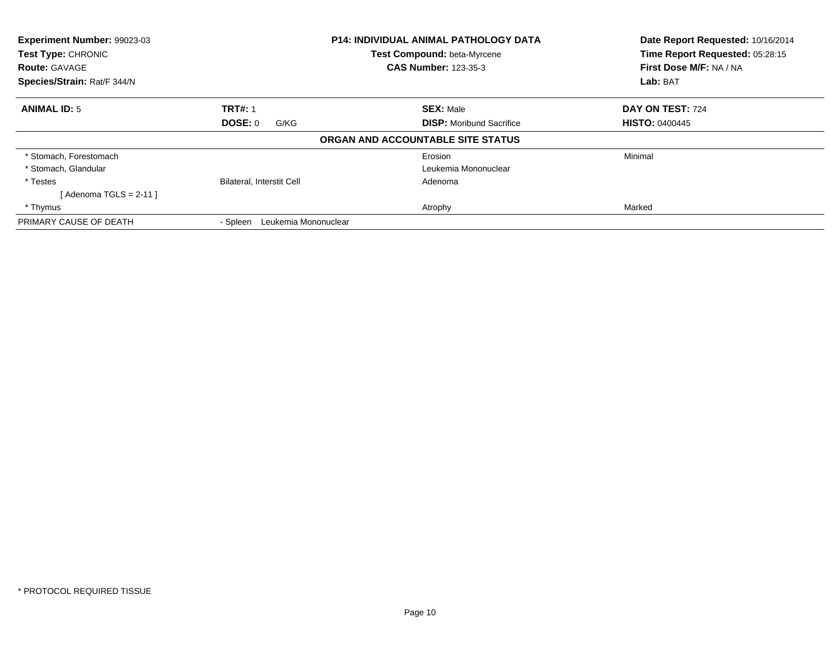| <b>Experiment Number: 99023-03</b><br><b>P14: INDIVIDUAL ANIMAL PATHOLOGY DATA</b><br>Test Type: CHRONIC<br><b>Test Compound: beta-Myrcene</b><br><b>CAS Number: 123-35-3</b><br><b>Route: GAVAGE</b><br>Species/Strain: Rat/F 344/N |                                  |                                   | Date Report Requested: 10/16/2014<br>Time Report Requested: 05:28:15<br>First Dose M/F: NA / NA |
|--------------------------------------------------------------------------------------------------------------------------------------------------------------------------------------------------------------------------------------|----------------------------------|-----------------------------------|-------------------------------------------------------------------------------------------------|
|                                                                                                                                                                                                                                      |                                  | Lab: BAT                          |                                                                                                 |
| <b>ANIMAL ID: 5</b>                                                                                                                                                                                                                  | <b>TRT#: 1</b>                   | <b>SEX: Male</b>                  | DAY ON TEST: 724                                                                                |
|                                                                                                                                                                                                                                      | DOSE: 0<br>G/KG                  | <b>DISP:</b> Moribund Sacrifice   | <b>HISTO: 0400445</b>                                                                           |
|                                                                                                                                                                                                                                      |                                  | ORGAN AND ACCOUNTABLE SITE STATUS |                                                                                                 |
| * Stomach, Forestomach                                                                                                                                                                                                               |                                  | Erosion                           | Minimal                                                                                         |
| * Stomach, Glandular                                                                                                                                                                                                                 |                                  | Leukemia Mononuclear              |                                                                                                 |
| * Testes                                                                                                                                                                                                                             | <b>Bilateral, Interstit Cell</b> | Adenoma                           |                                                                                                 |
| [Adenoma TGLS = $2-11$ ]                                                                                                                                                                                                             |                                  |                                   |                                                                                                 |
| * Thymus                                                                                                                                                                                                                             |                                  | Atrophy                           | Marked                                                                                          |
| PRIMARY CAUSE OF DEATH                                                                                                                                                                                                               | Leukemia Mononuclear<br>- Spleen |                                   |                                                                                                 |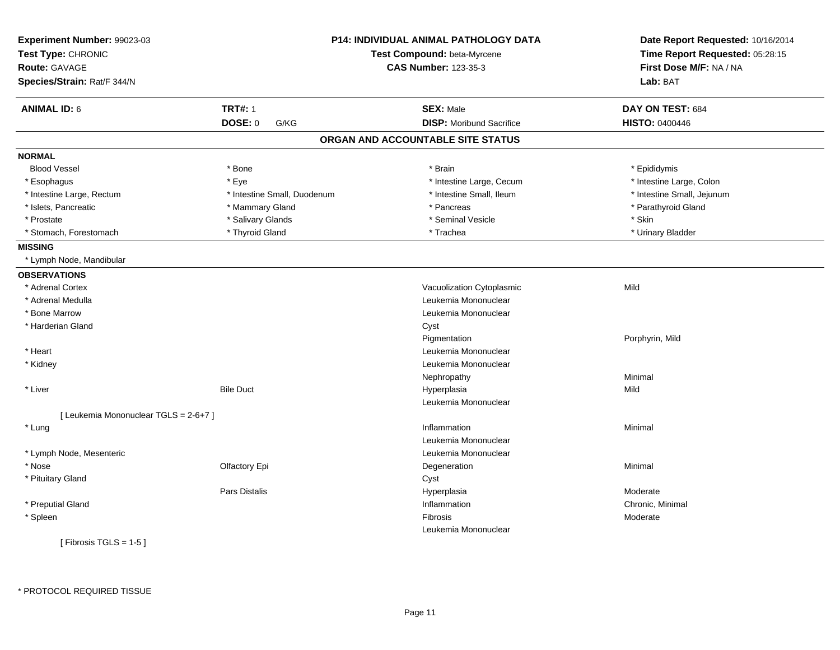| Experiment Number: 99023-03<br>Test Type: CHRONIC<br><b>Route: GAVAGE</b><br>Species/Strain: Rat/F 344/N |                             | <b>P14: INDIVIDUAL ANIMAL PATHOLOGY DATA</b><br>Test Compound: beta-Myrcene<br><b>CAS Number: 123-35-3</b> | Date Report Requested: 10/16/2014<br>Time Report Requested: 05:28:15<br>First Dose M/F: NA / NA<br>Lab: BAT |
|----------------------------------------------------------------------------------------------------------|-----------------------------|------------------------------------------------------------------------------------------------------------|-------------------------------------------------------------------------------------------------------------|
| <b>ANIMAL ID: 6</b>                                                                                      | <b>TRT#: 1</b>              | <b>SEX: Male</b>                                                                                           | DAY ON TEST: 684                                                                                            |
|                                                                                                          | DOSE: 0<br>G/KG             | <b>DISP:</b> Moribund Sacrifice                                                                            | <b>HISTO: 0400446</b>                                                                                       |
|                                                                                                          |                             | ORGAN AND ACCOUNTABLE SITE STATUS                                                                          |                                                                                                             |
| <b>NORMAL</b>                                                                                            |                             |                                                                                                            |                                                                                                             |
| <b>Blood Vessel</b>                                                                                      | * Bone                      | * Brain                                                                                                    | * Epididymis                                                                                                |
| * Esophagus                                                                                              | * Eye                       | * Intestine Large, Cecum                                                                                   | * Intestine Large, Colon                                                                                    |
| * Intestine Large, Rectum                                                                                | * Intestine Small, Duodenum | * Intestine Small, Ileum                                                                                   | * Intestine Small, Jejunum                                                                                  |
| * Islets, Pancreatic                                                                                     | * Mammary Gland             | * Pancreas                                                                                                 | * Parathyroid Gland                                                                                         |
| * Prostate                                                                                               | * Salivary Glands           | * Seminal Vesicle                                                                                          | * Skin                                                                                                      |
| * Stomach, Forestomach                                                                                   | * Thyroid Gland             | * Trachea                                                                                                  | * Urinary Bladder                                                                                           |
| <b>MISSING</b>                                                                                           |                             |                                                                                                            |                                                                                                             |
| * Lymph Node, Mandibular                                                                                 |                             |                                                                                                            |                                                                                                             |
| <b>OBSERVATIONS</b>                                                                                      |                             |                                                                                                            |                                                                                                             |
| * Adrenal Cortex                                                                                         |                             | Vacuolization Cytoplasmic                                                                                  | Mild                                                                                                        |
| * Adrenal Medulla                                                                                        |                             | Leukemia Mononuclear                                                                                       |                                                                                                             |
| * Bone Marrow                                                                                            |                             | Leukemia Mononuclear                                                                                       |                                                                                                             |
| * Harderian Gland                                                                                        |                             | Cyst                                                                                                       |                                                                                                             |
|                                                                                                          |                             | Pigmentation                                                                                               | Porphyrin, Mild                                                                                             |
| * Heart                                                                                                  |                             | Leukemia Mononuclear                                                                                       |                                                                                                             |
| * Kidney                                                                                                 |                             | Leukemia Mononuclear                                                                                       |                                                                                                             |
|                                                                                                          |                             | Nephropathy                                                                                                | Minimal                                                                                                     |
| * Liver                                                                                                  | <b>Bile Duct</b>            | Hyperplasia                                                                                                | Mild                                                                                                        |
|                                                                                                          |                             | Leukemia Mononuclear                                                                                       |                                                                                                             |
| [ Leukemia Mononuclear TGLS = 2-6+7 ]                                                                    |                             |                                                                                                            |                                                                                                             |
| * Lung                                                                                                   |                             | Inflammation                                                                                               | Minimal                                                                                                     |
|                                                                                                          |                             | Leukemia Mononuclear                                                                                       |                                                                                                             |
| * Lymph Node, Mesenteric                                                                                 |                             | Leukemia Mononuclear                                                                                       |                                                                                                             |
| * Nose                                                                                                   | Olfactory Epi               | Degeneration                                                                                               | Minimal                                                                                                     |
| * Pituitary Gland                                                                                        |                             | Cyst                                                                                                       |                                                                                                             |
|                                                                                                          | <b>Pars Distalis</b>        | Hyperplasia                                                                                                | Moderate                                                                                                    |
| * Preputial Gland                                                                                        |                             | Inflammation                                                                                               | Chronic, Minimal                                                                                            |
| * Spleen                                                                                                 |                             | <b>Fibrosis</b>                                                                                            | Moderate                                                                                                    |
|                                                                                                          |                             | Leukemia Mononuclear                                                                                       |                                                                                                             |
| [ Fibrosis TGLS = $1-5$ ]                                                                                |                             |                                                                                                            |                                                                                                             |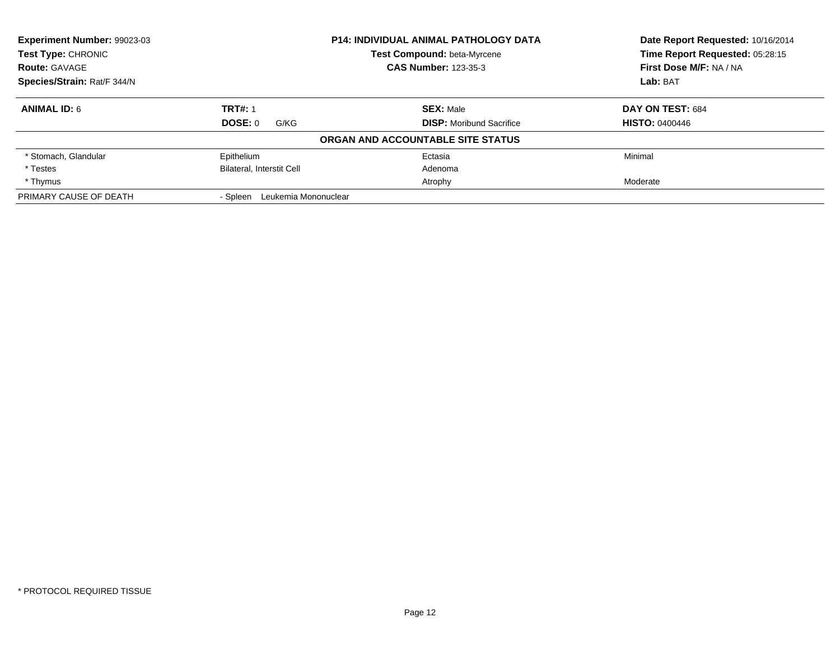| <b>Experiment Number: 99023-03</b> |                                  | <b>P14: INDIVIDUAL ANIMAL PATHOLOGY DATA</b> | Date Report Requested: 10/16/2014 |
|------------------------------------|----------------------------------|----------------------------------------------|-----------------------------------|
| <b>Test Type: CHRONIC</b>          |                                  | Test Compound: beta-Myrcene                  | Time Report Requested: 05:28:15   |
| <b>Route: GAVAGE</b>               |                                  | <b>CAS Number: 123-35-3</b>                  | First Dose M/F: NA / NA           |
| Species/Strain: Rat/F 344/N        |                                  |                                              | Lab: BAT                          |
| <b>ANIMAL ID: 6</b>                | <b>TRT#: 1</b>                   | <b>SEX: Male</b>                             | DAY ON TEST: 684                  |
|                                    | DOSE: 0<br>G/KG                  | <b>DISP:</b> Moribund Sacrifice              | <b>HISTO: 0400446</b>             |
|                                    |                                  | ORGAN AND ACCOUNTABLE SITE STATUS            |                                   |
| * Stomach, Glandular               | Epithelium                       | Ectasia                                      | Minimal                           |
| * Testes                           | <b>Bilateral, Interstit Cell</b> | Adenoma                                      |                                   |
| * Thymus                           |                                  | Atrophy                                      | Moderate                          |
| PRIMARY CAUSE OF DEATH             | Leukemia Mononuclear<br>- Spleen |                                              |                                   |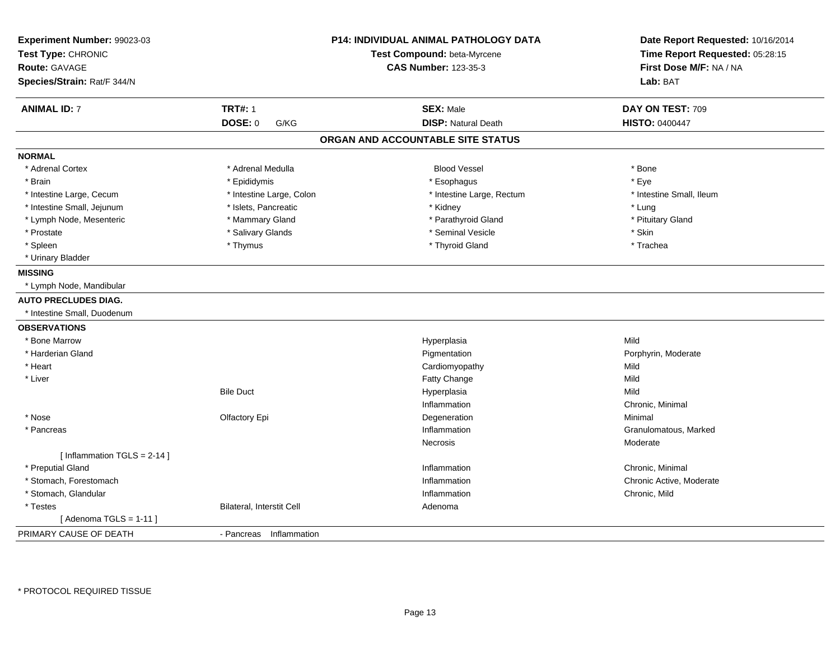| Experiment Number: 99023-03<br>Test Type: CHRONIC<br><b>Route: GAVAGE</b><br>Species/Strain: Rat/F 344/N | <b>P14: INDIVIDUAL ANIMAL PATHOLOGY DATA</b><br>Test Compound: beta-Myrcene<br><b>CAS Number: 123-35-3</b> |                                   | Date Report Requested: 10/16/2014<br>Time Report Requested: 05:28:15<br>First Dose M/F: NA / NA<br>Lab: BAT |
|----------------------------------------------------------------------------------------------------------|------------------------------------------------------------------------------------------------------------|-----------------------------------|-------------------------------------------------------------------------------------------------------------|
| <b>ANIMAL ID: 7</b>                                                                                      | <b>TRT#: 1</b>                                                                                             | <b>SEX: Male</b>                  | DAY ON TEST: 709                                                                                            |
|                                                                                                          | <b>DOSE: 0</b><br>G/KG                                                                                     | <b>DISP: Natural Death</b>        | <b>HISTO: 0400447</b>                                                                                       |
|                                                                                                          |                                                                                                            | ORGAN AND ACCOUNTABLE SITE STATUS |                                                                                                             |
| <b>NORMAL</b>                                                                                            |                                                                                                            |                                   |                                                                                                             |
| * Adrenal Cortex                                                                                         | * Adrenal Medulla                                                                                          | <b>Blood Vessel</b>               | * Bone                                                                                                      |
| * Brain                                                                                                  | * Epididymis                                                                                               | * Esophagus                       | * Eye                                                                                                       |
| * Intestine Large, Cecum                                                                                 | * Intestine Large, Colon                                                                                   | * Intestine Large, Rectum         | * Intestine Small, Ileum                                                                                    |
| * Intestine Small, Jejunum                                                                               | * Islets, Pancreatic                                                                                       | * Kidney                          | * Lung                                                                                                      |
| * Lymph Node, Mesenteric                                                                                 | * Mammary Gland                                                                                            | * Parathyroid Gland               | * Pituitary Gland                                                                                           |
| * Prostate                                                                                               | * Salivary Glands                                                                                          | * Seminal Vesicle                 | * Skin                                                                                                      |
| * Spleen                                                                                                 | * Thymus                                                                                                   | * Thyroid Gland                   | * Trachea                                                                                                   |
| * Urinary Bladder                                                                                        |                                                                                                            |                                   |                                                                                                             |
| <b>MISSING</b>                                                                                           |                                                                                                            |                                   |                                                                                                             |
| * Lymph Node, Mandibular                                                                                 |                                                                                                            |                                   |                                                                                                             |
| <b>AUTO PRECLUDES DIAG.</b>                                                                              |                                                                                                            |                                   |                                                                                                             |
| * Intestine Small, Duodenum                                                                              |                                                                                                            |                                   |                                                                                                             |
| <b>OBSERVATIONS</b>                                                                                      |                                                                                                            |                                   |                                                                                                             |
| * Bone Marrow                                                                                            |                                                                                                            | Hyperplasia                       | Mild                                                                                                        |
| * Harderian Gland                                                                                        |                                                                                                            | Pigmentation                      | Porphyrin, Moderate                                                                                         |
| * Heart                                                                                                  |                                                                                                            | Cardiomyopathy                    | Mild                                                                                                        |
| * Liver                                                                                                  |                                                                                                            | Fatty Change                      | Mild                                                                                                        |
|                                                                                                          | <b>Bile Duct</b>                                                                                           | Hyperplasia                       | Mild                                                                                                        |
|                                                                                                          |                                                                                                            | Inflammation                      | Chronic, Minimal                                                                                            |
| * Nose                                                                                                   | Olfactory Epi                                                                                              | Degeneration                      | Minimal                                                                                                     |
| * Pancreas                                                                                               |                                                                                                            | Inflammation                      | Granulomatous, Marked                                                                                       |
|                                                                                                          |                                                                                                            | Necrosis                          | Moderate                                                                                                    |
| [Inflammation TGLS = $2-14$ ]                                                                            |                                                                                                            |                                   |                                                                                                             |
| * Preputial Gland                                                                                        |                                                                                                            | Inflammation                      | Chronic, Minimal                                                                                            |
| * Stomach, Forestomach                                                                                   |                                                                                                            | Inflammation                      | Chronic Active, Moderate                                                                                    |
| * Stomach, Glandular                                                                                     |                                                                                                            | Inflammation                      | Chronic, Mild                                                                                               |
| * Testes                                                                                                 | Bilateral, Interstit Cell                                                                                  | Adenoma                           |                                                                                                             |
| [Adenoma TGLS = $1-11$ ]                                                                                 |                                                                                                            |                                   |                                                                                                             |
| PRIMARY CAUSE OF DEATH                                                                                   | - Pancreas Inflammation                                                                                    |                                   |                                                                                                             |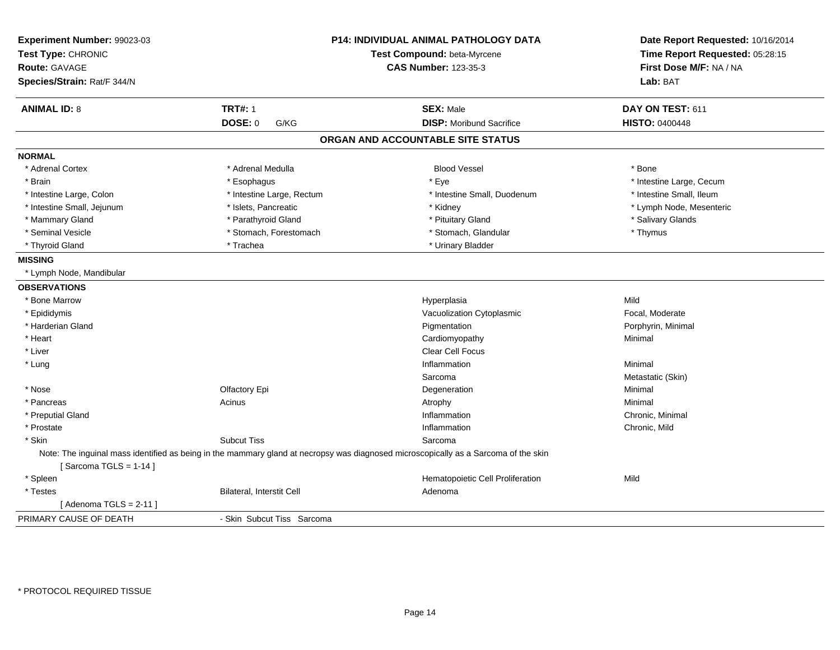| Experiment Number: 99023-03<br>Test Type: CHRONIC<br><b>Route: GAVAGE</b><br>Species/Strain: Rat/F 344/N | P14: INDIVIDUAL ANIMAL PATHOLOGY DATA<br>Test Compound: beta-Myrcene<br><b>CAS Number: 123-35-3</b>                                 |                                   | Date Report Requested: 10/16/2014<br>Time Report Requested: 05:28:15<br>First Dose M/F: NA / NA<br>Lab: BAT |
|----------------------------------------------------------------------------------------------------------|-------------------------------------------------------------------------------------------------------------------------------------|-----------------------------------|-------------------------------------------------------------------------------------------------------------|
| <b>ANIMAL ID: 8</b>                                                                                      | <b>TRT#: 1</b>                                                                                                                      | <b>SEX: Male</b>                  | DAY ON TEST: 611                                                                                            |
|                                                                                                          | DOSE: 0<br>G/KG                                                                                                                     | <b>DISP:</b> Moribund Sacrifice   | <b>HISTO: 0400448</b>                                                                                       |
|                                                                                                          |                                                                                                                                     | ORGAN AND ACCOUNTABLE SITE STATUS |                                                                                                             |
| <b>NORMAL</b>                                                                                            |                                                                                                                                     |                                   |                                                                                                             |
| * Adrenal Cortex                                                                                         | * Adrenal Medulla                                                                                                                   | <b>Blood Vessel</b>               | * Bone                                                                                                      |
| * Brain                                                                                                  | * Esophagus                                                                                                                         | * Eye                             | * Intestine Large, Cecum                                                                                    |
| * Intestine Large, Colon                                                                                 | * Intestine Large, Rectum                                                                                                           | * Intestine Small, Duodenum       | * Intestine Small, Ileum                                                                                    |
| * Intestine Small, Jejunum                                                                               | * Islets, Pancreatic                                                                                                                | * Kidney                          | * Lymph Node, Mesenteric                                                                                    |
| * Mammary Gland                                                                                          | * Parathyroid Gland                                                                                                                 | * Pituitary Gland                 | * Salivary Glands                                                                                           |
| * Seminal Vesicle                                                                                        | * Stomach, Forestomach                                                                                                              | * Stomach, Glandular              | * Thymus                                                                                                    |
| * Thyroid Gland                                                                                          | * Trachea                                                                                                                           | * Urinary Bladder                 |                                                                                                             |
| <b>MISSING</b>                                                                                           |                                                                                                                                     |                                   |                                                                                                             |
| * Lymph Node, Mandibular                                                                                 |                                                                                                                                     |                                   |                                                                                                             |
| <b>OBSERVATIONS</b>                                                                                      |                                                                                                                                     |                                   |                                                                                                             |
| * Bone Marrow                                                                                            |                                                                                                                                     | Hyperplasia                       | Mild                                                                                                        |
| * Epididymis                                                                                             |                                                                                                                                     | Vacuolization Cytoplasmic         | Focal, Moderate                                                                                             |
| * Harderian Gland                                                                                        |                                                                                                                                     | Pigmentation                      | Porphyrin, Minimal                                                                                          |
| * Heart                                                                                                  |                                                                                                                                     | Cardiomyopathy                    | Minimal                                                                                                     |
| * Liver                                                                                                  |                                                                                                                                     | Clear Cell Focus                  |                                                                                                             |
| * Lung                                                                                                   |                                                                                                                                     | Inflammation                      | Minimal                                                                                                     |
|                                                                                                          |                                                                                                                                     | Sarcoma                           | Metastatic (Skin)                                                                                           |
| * Nose                                                                                                   | Olfactory Epi                                                                                                                       | Degeneration                      | Minimal                                                                                                     |
| * Pancreas                                                                                               | Acinus                                                                                                                              | Atrophy                           | Minimal                                                                                                     |
| * Preputial Gland                                                                                        |                                                                                                                                     | Inflammation                      | Chronic, Minimal                                                                                            |
| * Prostate                                                                                               |                                                                                                                                     | Inflammation                      | Chronic, Mild                                                                                               |
| * Skin                                                                                                   | <b>Subcut Tiss</b>                                                                                                                  | Sarcoma                           |                                                                                                             |
| [Sarcoma TGLS = $1-14$ ]                                                                                 | Note: The inguinal mass identified as being in the mammary gland at necropsy was diagnosed microscopically as a Sarcoma of the skin |                                   |                                                                                                             |
| * Spleen                                                                                                 |                                                                                                                                     | Hematopoietic Cell Proliferation  | Mild                                                                                                        |
| * Testes                                                                                                 | Bilateral, Interstit Cell                                                                                                           | Adenoma                           |                                                                                                             |
| [Adenoma TGLS = $2-11$ ]                                                                                 |                                                                                                                                     |                                   |                                                                                                             |
| PRIMARY CAUSE OF DEATH                                                                                   | - Skin Subcut Tiss Sarcoma                                                                                                          |                                   |                                                                                                             |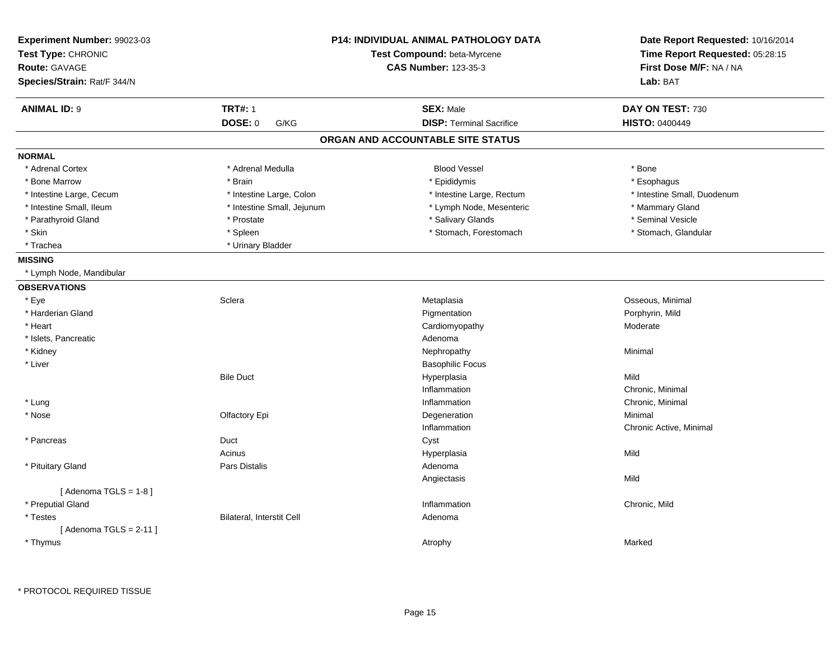| Experiment Number: 99023-03<br>Test Type: CHRONIC<br><b>Route: GAVAGE</b><br>Species/Strain: Rat/F 344/N |                            | <b>P14: INDIVIDUAL ANIMAL PATHOLOGY DATA</b><br>Test Compound: beta-Myrcene<br><b>CAS Number: 123-35-3</b> | Date Report Requested: 10/16/2014<br>Time Report Requested: 05:28:15<br>First Dose M/F: NA / NA<br>Lab: BAT |
|----------------------------------------------------------------------------------------------------------|----------------------------|------------------------------------------------------------------------------------------------------------|-------------------------------------------------------------------------------------------------------------|
| <b>ANIMAL ID: 9</b>                                                                                      | <b>TRT#: 1</b>             | <b>SEX: Male</b>                                                                                           | DAY ON TEST: 730                                                                                            |
|                                                                                                          | DOSE: 0<br>G/KG            | <b>DISP: Terminal Sacrifice</b>                                                                            | <b>HISTO: 0400449</b>                                                                                       |
|                                                                                                          |                            | ORGAN AND ACCOUNTABLE SITE STATUS                                                                          |                                                                                                             |
| <b>NORMAL</b>                                                                                            |                            |                                                                                                            |                                                                                                             |
| * Adrenal Cortex                                                                                         | * Adrenal Medulla          | <b>Blood Vessel</b>                                                                                        | * Bone                                                                                                      |
| * Bone Marrow                                                                                            | * Brain                    | * Epididymis                                                                                               | * Esophagus                                                                                                 |
| * Intestine Large, Cecum                                                                                 | * Intestine Large, Colon   | * Intestine Large, Rectum                                                                                  | * Intestine Small, Duodenum                                                                                 |
| * Intestine Small, Ileum                                                                                 | * Intestine Small, Jejunum | * Lymph Node, Mesenteric                                                                                   | * Mammary Gland                                                                                             |
| * Parathyroid Gland                                                                                      | * Prostate                 | * Salivary Glands                                                                                          | * Seminal Vesicle                                                                                           |
| * Skin                                                                                                   | * Spleen                   | * Stomach, Forestomach                                                                                     | * Stomach, Glandular                                                                                        |
| * Trachea                                                                                                | * Urinary Bladder          |                                                                                                            |                                                                                                             |
| <b>MISSING</b>                                                                                           |                            |                                                                                                            |                                                                                                             |
| * Lymph Node, Mandibular                                                                                 |                            |                                                                                                            |                                                                                                             |
| <b>OBSERVATIONS</b>                                                                                      |                            |                                                                                                            |                                                                                                             |
| * Eye                                                                                                    | Sclera                     | Metaplasia                                                                                                 | Osseous, Minimal                                                                                            |
| * Harderian Gland                                                                                        |                            | Pigmentation                                                                                               | Porphyrin, Mild                                                                                             |
| * Heart                                                                                                  |                            | Cardiomyopathy                                                                                             | Moderate                                                                                                    |
| * Islets, Pancreatic                                                                                     |                            | Adenoma                                                                                                    |                                                                                                             |
| * Kidney                                                                                                 |                            | Nephropathy                                                                                                | Minimal                                                                                                     |
| * Liver                                                                                                  |                            | <b>Basophilic Focus</b>                                                                                    |                                                                                                             |
|                                                                                                          | <b>Bile Duct</b>           | Hyperplasia                                                                                                | Mild                                                                                                        |
|                                                                                                          |                            | Inflammation                                                                                               | Chronic, Minimal                                                                                            |
| * Lung                                                                                                   |                            | Inflammation                                                                                               | Chronic, Minimal                                                                                            |
| * Nose                                                                                                   | Olfactory Epi              | Degeneration                                                                                               | Minimal                                                                                                     |
|                                                                                                          |                            | Inflammation                                                                                               | Chronic Active, Minimal                                                                                     |
| * Pancreas                                                                                               | Duct                       | Cyst                                                                                                       |                                                                                                             |
|                                                                                                          | Acinus                     | Hyperplasia                                                                                                | Mild                                                                                                        |
| * Pituitary Gland                                                                                        | Pars Distalis              | Adenoma                                                                                                    |                                                                                                             |
|                                                                                                          |                            | Angiectasis                                                                                                | Mild                                                                                                        |
| [Adenoma TGLS = $1-8$ ]                                                                                  |                            |                                                                                                            |                                                                                                             |
| * Preputial Gland                                                                                        |                            | Inflammation                                                                                               | Chronic, Mild                                                                                               |
| * Testes                                                                                                 | Bilateral, Interstit Cell  | Adenoma                                                                                                    |                                                                                                             |
| [Adenoma TGLS = $2-11$ ]                                                                                 |                            |                                                                                                            |                                                                                                             |
| * Thymus                                                                                                 |                            | Atrophy                                                                                                    | Marked                                                                                                      |
|                                                                                                          |                            |                                                                                                            |                                                                                                             |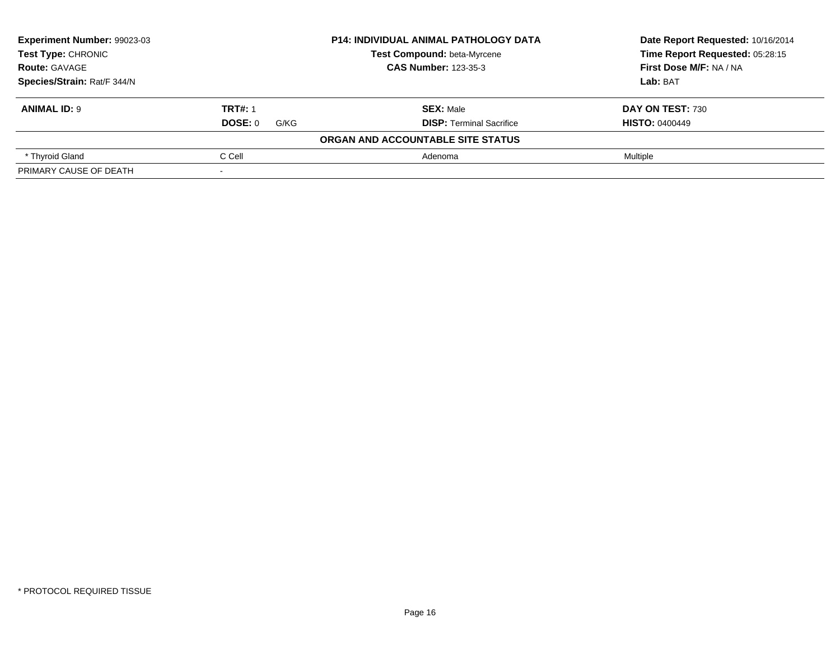| Experiment Number: 99023-03 |                 | <b>P14: INDIVIDUAL ANIMAL PATHOLOGY DATA</b> | Date Report Requested: 10/16/2014 |
|-----------------------------|-----------------|----------------------------------------------|-----------------------------------|
| Test Type: CHRONIC          |                 | Test Compound: beta-Myrcene                  | Time Report Requested: 05:28:15   |
| <b>Route: GAVAGE</b>        |                 | <b>CAS Number: 123-35-3</b>                  | First Dose M/F: NA / NA           |
| Species/Strain: Rat/F 344/N |                 |                                              | Lab: BAT                          |
| <b>ANIMAL ID: 9</b>         | <b>TRT#: 1</b>  | <b>SEX: Male</b>                             | DAY ON TEST: 730                  |
|                             | DOSE: 0<br>G/KG | <b>DISP:</b> Terminal Sacrifice              | <b>HISTO: 0400449</b>             |
|                             |                 | ORGAN AND ACCOUNTABLE SITE STATUS            |                                   |
| * Thyroid Gland             | C Cell          | Adenoma                                      | Multiple                          |
| PRIMARY CAUSE OF DEATH      |                 |                                              |                                   |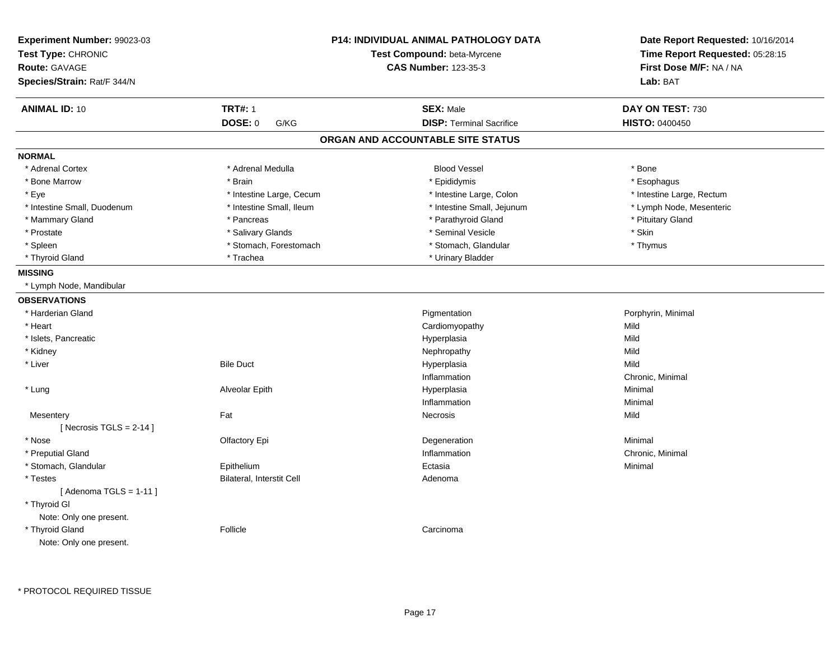| <b>Experiment Number: 99023-03</b><br>Test Type: CHRONIC<br><b>Route: GAVAGE</b><br>Species/Strain: Rat/F 344/N |                           | P14: INDIVIDUAL ANIMAL PATHOLOGY DATA<br>Test Compound: beta-Myrcene<br><b>CAS Number: 123-35-3</b> | Date Report Requested: 10/16/2014<br>Time Report Requested: 05:28:15<br>First Dose M/F: NA / NA<br>Lab: BAT |
|-----------------------------------------------------------------------------------------------------------------|---------------------------|-----------------------------------------------------------------------------------------------------|-------------------------------------------------------------------------------------------------------------|
| <b>ANIMAL ID: 10</b>                                                                                            | <b>TRT#: 1</b>            | <b>SEX: Male</b>                                                                                    | DAY ON TEST: 730                                                                                            |
|                                                                                                                 | <b>DOSE: 0</b><br>G/KG    | <b>DISP: Terminal Sacrifice</b>                                                                     | <b>HISTO: 0400450</b>                                                                                       |
|                                                                                                                 |                           | ORGAN AND ACCOUNTABLE SITE STATUS                                                                   |                                                                                                             |
| <b>NORMAL</b>                                                                                                   |                           |                                                                                                     |                                                                                                             |
| * Adrenal Cortex                                                                                                | * Adrenal Medulla         | <b>Blood Vessel</b>                                                                                 | * Bone                                                                                                      |
| * Bone Marrow                                                                                                   | * Brain                   | * Epididymis                                                                                        | * Esophagus                                                                                                 |
| * Eye                                                                                                           | * Intestine Large, Cecum  | * Intestine Large, Colon                                                                            | * Intestine Large, Rectum                                                                                   |
| * Intestine Small, Duodenum                                                                                     | * Intestine Small, Ileum  | * Intestine Small, Jejunum                                                                          | * Lymph Node, Mesenteric                                                                                    |
| * Mammary Gland                                                                                                 | * Pancreas                | * Parathyroid Gland                                                                                 | * Pituitary Gland                                                                                           |
| * Prostate                                                                                                      | * Salivary Glands         | * Seminal Vesicle                                                                                   | $^\star$ Skin                                                                                               |
| * Spleen                                                                                                        | * Stomach, Forestomach    | * Stomach, Glandular                                                                                | * Thymus                                                                                                    |
| * Thyroid Gland                                                                                                 | * Trachea                 | * Urinary Bladder                                                                                   |                                                                                                             |
| <b>MISSING</b>                                                                                                  |                           |                                                                                                     |                                                                                                             |
| * Lymph Node, Mandibular                                                                                        |                           |                                                                                                     |                                                                                                             |
| <b>OBSERVATIONS</b>                                                                                             |                           |                                                                                                     |                                                                                                             |
| * Harderian Gland                                                                                               |                           | Pigmentation                                                                                        | Porphyrin, Minimal                                                                                          |
| * Heart                                                                                                         |                           | Cardiomyopathy                                                                                      | Mild                                                                                                        |
| * Islets, Pancreatic                                                                                            |                           | Hyperplasia                                                                                         | Mild                                                                                                        |
| * Kidney                                                                                                        |                           | Nephropathy                                                                                         | Mild                                                                                                        |
| * Liver                                                                                                         | <b>Bile Duct</b>          | Hyperplasia                                                                                         | Mild                                                                                                        |
|                                                                                                                 |                           | Inflammation                                                                                        | Chronic, Minimal                                                                                            |
| * Lung                                                                                                          | Alveolar Epith            | Hyperplasia                                                                                         | Minimal                                                                                                     |
|                                                                                                                 |                           | Inflammation                                                                                        | Minimal                                                                                                     |
| Mesentery                                                                                                       | Fat                       | <b>Necrosis</b>                                                                                     | Mild                                                                                                        |
| [ Necrosis TGLS = $2-14$ ]                                                                                      |                           |                                                                                                     |                                                                                                             |
| * Nose                                                                                                          | Olfactory Epi             | Degeneration                                                                                        | Minimal                                                                                                     |
| * Preputial Gland                                                                                               |                           | Inflammation                                                                                        | Chronic, Minimal                                                                                            |
| * Stomach, Glandular                                                                                            | Epithelium                | Ectasia                                                                                             | Minimal                                                                                                     |
| * Testes                                                                                                        | Bilateral, Interstit Cell | Adenoma                                                                                             |                                                                                                             |
| [Adenoma TGLS = $1-11$ ]<br>* Thyroid GI<br>Note: Only one present.                                             |                           |                                                                                                     |                                                                                                             |
| * Thyroid Gland<br>Note: Only one present.                                                                      | Follicle                  | Carcinoma                                                                                           |                                                                                                             |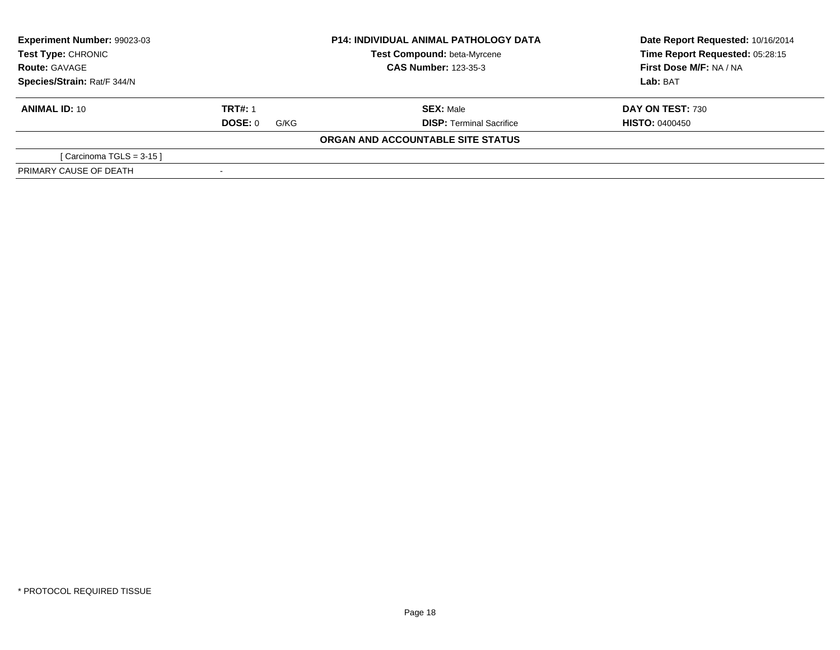| Experiment Number: 99023-03<br><b>Test Type: CHRONIC</b><br><b>Route: GAVAGE</b> |                 | <b>P14: INDIVIDUAL ANIMAL PATHOLOGY DATA</b> | Date Report Requested: 10/16/2014 |
|----------------------------------------------------------------------------------|-----------------|----------------------------------------------|-----------------------------------|
|                                                                                  |                 | Test Compound: beta-Myrcene                  | Time Report Requested: 05:28:15   |
|                                                                                  |                 | <b>CAS Number: 123-35-3</b>                  | First Dose M/F: NA / NA           |
| Species/Strain: Rat/F 344/N                                                      |                 |                                              | <b>Lab: BAT</b>                   |
| <b>ANIMAL ID: 10</b>                                                             | <b>TRT#: 1</b>  | <b>SEX: Male</b>                             | <b>DAY ON TEST: 730</b>           |
|                                                                                  | DOSE: 0<br>G/KG | <b>DISP:</b> Terminal Sacrifice              | <b>HISTO: 0400450</b>             |
|                                                                                  |                 | ORGAN AND ACCOUNTABLE SITE STATUS            |                                   |
| [Carcinoma TGLS = $3-15$ ]                                                       |                 |                                              |                                   |
| PRIMARY CAUSE OF DEATH                                                           |                 |                                              |                                   |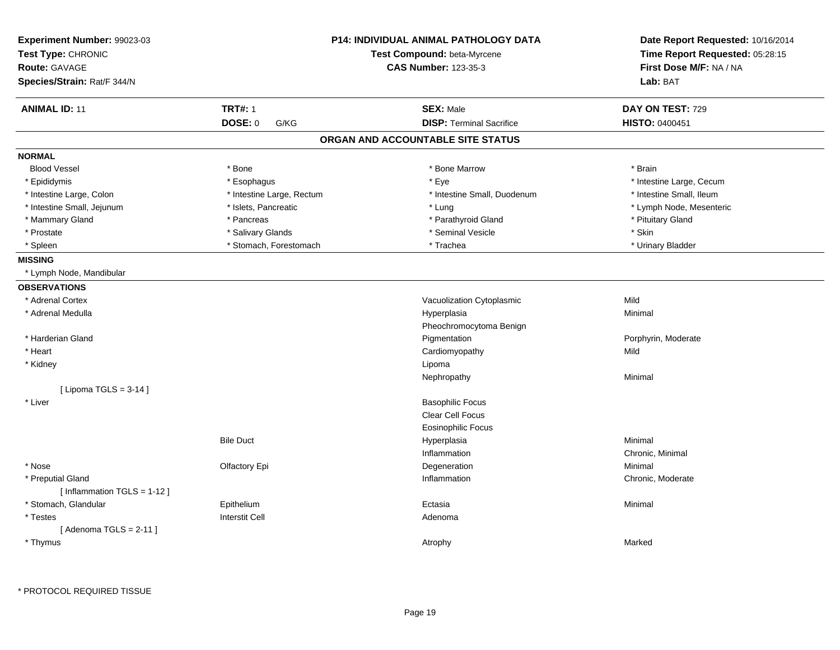| Experiment Number: 99023-03<br>Test Type: CHRONIC<br><b>Route: GAVAGE</b><br>Species/Strain: Rat/F 344/N | <b>P14: INDIVIDUAL ANIMAL PATHOLOGY DATA</b><br>Test Compound: beta-Myrcene<br><b>CAS Number: 123-35-3</b> |                                                     | Date Report Requested: 10/16/2014<br>Time Report Requested: 05:28:15<br>First Dose M/F: NA / NA<br>Lab: BAT |
|----------------------------------------------------------------------------------------------------------|------------------------------------------------------------------------------------------------------------|-----------------------------------------------------|-------------------------------------------------------------------------------------------------------------|
| <b>ANIMAL ID: 11</b>                                                                                     | <b>TRT#: 1</b>                                                                                             |                                                     |                                                                                                             |
|                                                                                                          | DOSE: 0<br>G/KG                                                                                            | <b>SEX: Male</b><br><b>DISP: Terminal Sacrifice</b> | DAY ON TEST: 729<br><b>HISTO: 0400451</b>                                                                   |
|                                                                                                          |                                                                                                            | ORGAN AND ACCOUNTABLE SITE STATUS                   |                                                                                                             |
| <b>NORMAL</b>                                                                                            |                                                                                                            |                                                     |                                                                                                             |
| <b>Blood Vessel</b>                                                                                      | * Bone                                                                                                     | * Bone Marrow                                       | * Brain                                                                                                     |
| * Epididymis                                                                                             | * Esophagus                                                                                                | * Eye                                               | * Intestine Large, Cecum                                                                                    |
| * Intestine Large, Colon                                                                                 | * Intestine Large, Rectum                                                                                  | * Intestine Small, Duodenum                         | * Intestine Small, Ileum                                                                                    |
| * Intestine Small, Jejunum                                                                               | * Islets, Pancreatic                                                                                       | * Lung                                              | * Lymph Node, Mesenteric                                                                                    |
| * Mammary Gland                                                                                          | * Pancreas                                                                                                 | * Parathyroid Gland                                 | * Pituitary Gland                                                                                           |
| * Prostate                                                                                               | * Salivary Glands                                                                                          | * Seminal Vesicle                                   | * Skin                                                                                                      |
| * Spleen                                                                                                 | * Stomach, Forestomach                                                                                     | * Trachea                                           | * Urinary Bladder                                                                                           |
| <b>MISSING</b>                                                                                           |                                                                                                            |                                                     |                                                                                                             |
| * Lymph Node, Mandibular                                                                                 |                                                                                                            |                                                     |                                                                                                             |
| <b>OBSERVATIONS</b>                                                                                      |                                                                                                            |                                                     |                                                                                                             |
| * Adrenal Cortex                                                                                         |                                                                                                            | Vacuolization Cytoplasmic                           | Mild                                                                                                        |
| * Adrenal Medulla                                                                                        |                                                                                                            | Hyperplasia                                         | Minimal                                                                                                     |
|                                                                                                          |                                                                                                            | Pheochromocytoma Benign                             |                                                                                                             |
| * Harderian Gland                                                                                        |                                                                                                            | Pigmentation                                        | Porphyrin, Moderate                                                                                         |
| * Heart                                                                                                  |                                                                                                            | Cardiomyopathy                                      | Mild                                                                                                        |
| * Kidney                                                                                                 |                                                                                                            | Lipoma                                              |                                                                                                             |
|                                                                                                          |                                                                                                            | Nephropathy                                         | Minimal                                                                                                     |
| [ Lipoma TGLS = $3-14$ ]                                                                                 |                                                                                                            |                                                     |                                                                                                             |
| * Liver                                                                                                  |                                                                                                            | <b>Basophilic Focus</b>                             |                                                                                                             |
|                                                                                                          |                                                                                                            | Clear Cell Focus                                    |                                                                                                             |
|                                                                                                          |                                                                                                            | <b>Eosinophilic Focus</b>                           |                                                                                                             |
|                                                                                                          | <b>Bile Duct</b>                                                                                           | Hyperplasia                                         | Minimal                                                                                                     |
|                                                                                                          |                                                                                                            | Inflammation                                        | Chronic, Minimal                                                                                            |
| * Nose                                                                                                   | Olfactory Epi                                                                                              | Degeneration                                        | Minimal                                                                                                     |
| * Preputial Gland<br>[Inflammation TGLS = 1-12]                                                          |                                                                                                            | Inflammation                                        | Chronic, Moderate                                                                                           |
| * Stomach, Glandular                                                                                     | Epithelium                                                                                                 | Ectasia                                             | Minimal                                                                                                     |
| * Testes                                                                                                 | <b>Interstit Cell</b>                                                                                      | Adenoma                                             |                                                                                                             |
| [Adenoma TGLS = $2-11$ ]                                                                                 |                                                                                                            |                                                     |                                                                                                             |
| * Thymus                                                                                                 |                                                                                                            | Atrophy                                             | Marked                                                                                                      |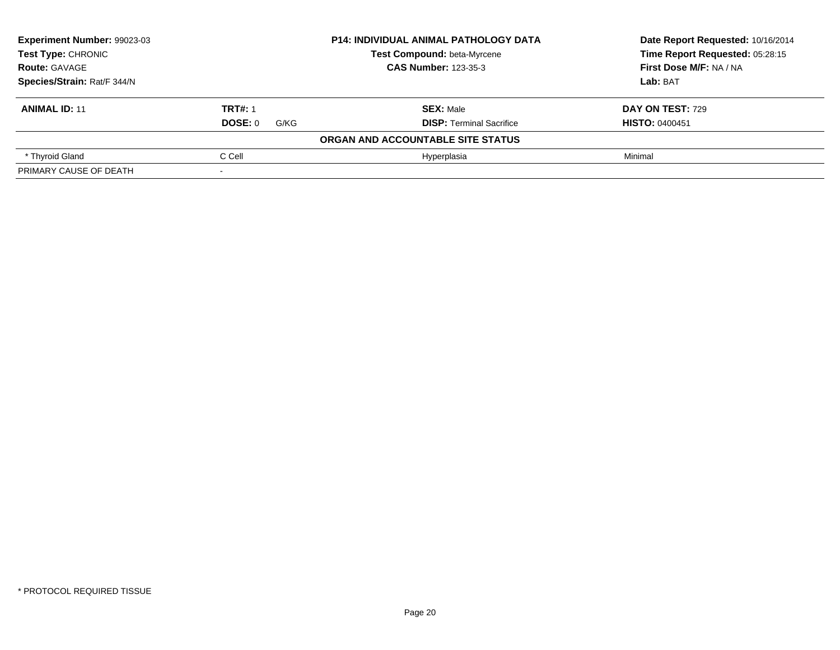| Experiment Number: 99023-03<br>Test Type: CHRONIC |                 | <b>P14: INDIVIDUAL ANIMAL PATHOLOGY DATA</b> | Date Report Requested: 10/16/2014 |
|---------------------------------------------------|-----------------|----------------------------------------------|-----------------------------------|
|                                                   |                 | Test Compound: beta-Myrcene                  | Time Report Requested: 05:28:15   |
| <b>Route: GAVAGE</b>                              |                 | <b>CAS Number: 123-35-3</b>                  | First Dose M/F: NA / NA           |
| Species/Strain: Rat/F 344/N                       |                 |                                              | Lab: BAT                          |
| <b>ANIMAL ID: 11</b>                              | <b>TRT#: 1</b>  | <b>SEX: Male</b>                             | DAY ON TEST: 729                  |
|                                                   | DOSE: 0<br>G/KG | <b>DISP: Terminal Sacrifice</b>              | <b>HISTO: 0400451</b>             |
|                                                   |                 | ORGAN AND ACCOUNTABLE SITE STATUS            |                                   |
| * Thyroid Gland                                   | C Cell          | Hyperplasia                                  | Minimal                           |
| PRIMARY CAUSE OF DEATH                            |                 |                                              |                                   |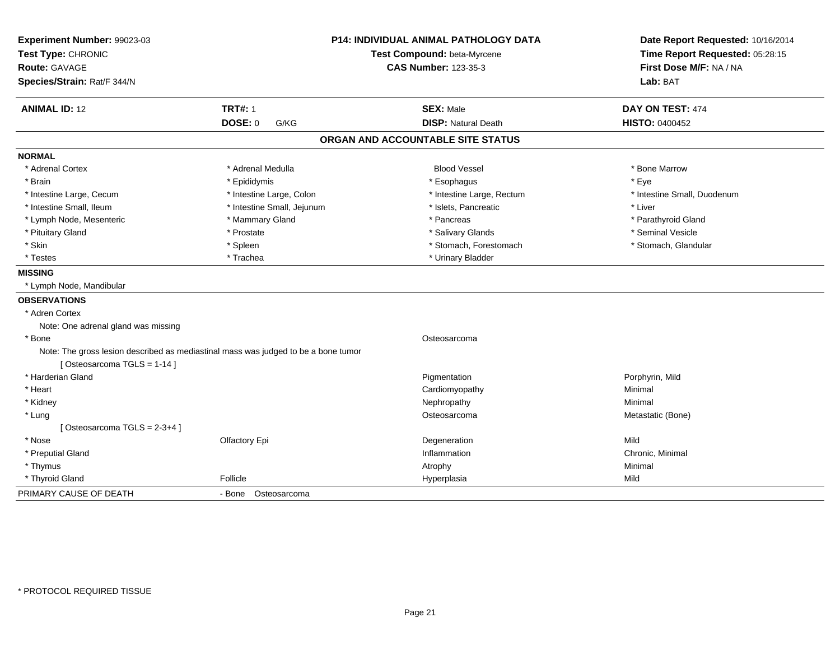| Experiment Number: 99023-03                                                                                      |                             | <b>P14: INDIVIDUAL ANIMAL PATHOLOGY DATA</b> | Date Report Requested: 10/16/2014 |
|------------------------------------------------------------------------------------------------------------------|-----------------------------|----------------------------------------------|-----------------------------------|
| Test Type: CHRONIC                                                                                               | Test Compound: beta-Myrcene |                                              | Time Report Requested: 05:28:15   |
| Route: GAVAGE                                                                                                    |                             | <b>CAS Number: 123-35-3</b>                  | First Dose M/F: NA / NA           |
| Species/Strain: Rat/F 344/N                                                                                      |                             |                                              | Lab: BAT                          |
| <b>ANIMAL ID: 12</b>                                                                                             | <b>TRT#: 1</b>              | <b>SEX: Male</b>                             | DAY ON TEST: 474                  |
|                                                                                                                  | <b>DOSE: 0</b><br>G/KG      | <b>DISP: Natural Death</b>                   | <b>HISTO: 0400452</b>             |
|                                                                                                                  |                             | ORGAN AND ACCOUNTABLE SITE STATUS            |                                   |
| <b>NORMAL</b>                                                                                                    |                             |                                              |                                   |
| * Adrenal Cortex                                                                                                 | * Adrenal Medulla           | <b>Blood Vessel</b>                          | * Bone Marrow                     |
| * Brain                                                                                                          | * Epididymis                | * Esophagus                                  | * Eye                             |
| * Intestine Large, Cecum                                                                                         | * Intestine Large, Colon    | * Intestine Large, Rectum                    | * Intestine Small, Duodenum       |
| * Intestine Small, Ileum                                                                                         | * Intestine Small, Jejunum  | * Islets, Pancreatic                         | * Liver                           |
| * Lymph Node, Mesenteric                                                                                         | * Mammary Gland             | * Pancreas                                   | * Parathyroid Gland               |
| * Pituitary Gland                                                                                                | * Prostate                  | * Salivary Glands                            | * Seminal Vesicle                 |
| * Skin                                                                                                           | * Spleen                    | * Stomach, Forestomach                       | * Stomach, Glandular              |
| * Testes                                                                                                         | * Trachea                   | * Urinary Bladder                            |                                   |
| <b>MISSING</b>                                                                                                   |                             |                                              |                                   |
| * Lymph Node, Mandibular                                                                                         |                             |                                              |                                   |
| <b>OBSERVATIONS</b>                                                                                              |                             |                                              |                                   |
| * Adren Cortex                                                                                                   |                             |                                              |                                   |
| Note: One adrenal gland was missing                                                                              |                             |                                              |                                   |
| * Bone                                                                                                           |                             | Osteosarcoma                                 |                                   |
| Note: The gross lesion described as mediastinal mass was judged to be a bone tumor<br>[Osteosarcoma TGLS = 1-14] |                             |                                              |                                   |
| * Harderian Gland                                                                                                |                             | Pigmentation                                 | Porphyrin, Mild                   |
| * Heart                                                                                                          |                             | Cardiomyopathy                               | Minimal                           |
| * Kidney                                                                                                         |                             | Nephropathy                                  | Minimal                           |
| * Lung                                                                                                           |                             | Osteosarcoma                                 | Metastatic (Bone)                 |
| [Osteosarcoma TGLS = $2-3+4$ ]                                                                                   |                             |                                              |                                   |
| * Nose                                                                                                           | Olfactory Epi               | Degeneration                                 | Mild                              |
| * Preputial Gland                                                                                                |                             | Inflammation                                 | Chronic, Minimal                  |
| * Thymus                                                                                                         |                             | Atrophy                                      | Minimal                           |
| * Thyroid Gland                                                                                                  | Follicle                    | Hyperplasia                                  | Mild                              |
| PRIMARY CAUSE OF DEATH                                                                                           | - Bone Osteosarcoma         |                                              |                                   |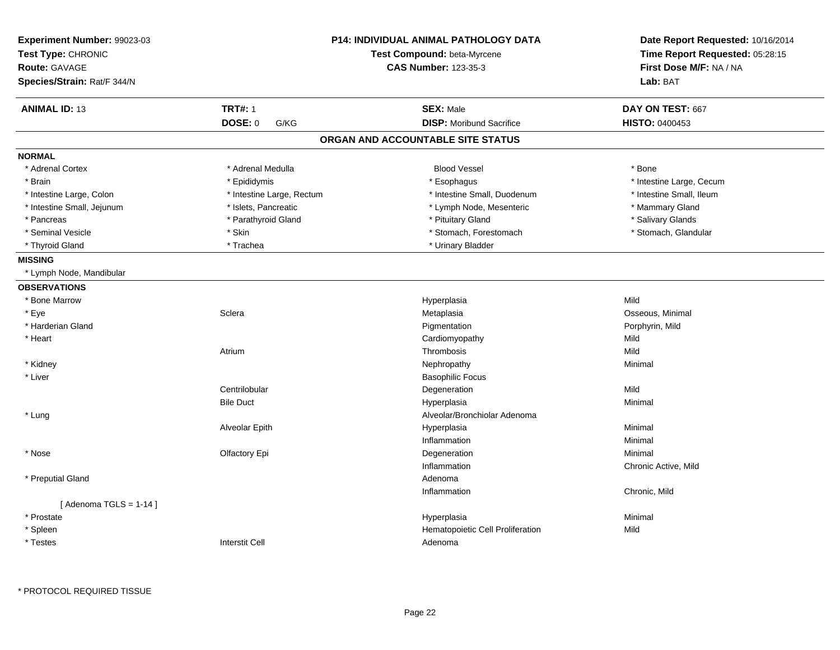| Experiment Number: 99023-03<br>Test Type: CHRONIC<br><b>Route: GAVAGE</b><br>Species/Strain: Rat/F 344/N | P14: INDIVIDUAL ANIMAL PATHOLOGY DATA<br>Test Compound: beta-Myrcene<br><b>CAS Number: 123-35-3</b> |                                   | Date Report Requested: 10/16/2014<br>Time Report Requested: 05:28:15<br>First Dose M/F: NA / NA<br>Lab: BAT |
|----------------------------------------------------------------------------------------------------------|-----------------------------------------------------------------------------------------------------|-----------------------------------|-------------------------------------------------------------------------------------------------------------|
| <b>ANIMAL ID: 13</b>                                                                                     | <b>TRT#: 1</b>                                                                                      | <b>SEX: Male</b>                  | DAY ON TEST: 667                                                                                            |
|                                                                                                          | <b>DOSE: 0</b><br>G/KG                                                                              | <b>DISP:</b> Moribund Sacrifice   | <b>HISTO: 0400453</b>                                                                                       |
|                                                                                                          |                                                                                                     | ORGAN AND ACCOUNTABLE SITE STATUS |                                                                                                             |
| <b>NORMAL</b>                                                                                            |                                                                                                     |                                   |                                                                                                             |
| * Adrenal Cortex                                                                                         | * Adrenal Medulla                                                                                   | <b>Blood Vessel</b>               | * Bone                                                                                                      |
| * Brain                                                                                                  | * Epididymis                                                                                        | * Esophagus                       | * Intestine Large, Cecum                                                                                    |
| * Intestine Large, Colon                                                                                 | * Intestine Large, Rectum                                                                           | * Intestine Small, Duodenum       | * Intestine Small, Ileum                                                                                    |
| * Intestine Small, Jejunum                                                                               | * Islets, Pancreatic                                                                                | * Lymph Node, Mesenteric          | * Mammary Gland                                                                                             |
| * Pancreas                                                                                               | * Parathyroid Gland                                                                                 | * Pituitary Gland                 | * Salivary Glands                                                                                           |
| * Seminal Vesicle                                                                                        | * Skin                                                                                              | * Stomach, Forestomach            | * Stomach, Glandular                                                                                        |
| * Thyroid Gland                                                                                          | * Trachea                                                                                           | * Urinary Bladder                 |                                                                                                             |
| <b>MISSING</b>                                                                                           |                                                                                                     |                                   |                                                                                                             |
| * Lymph Node, Mandibular                                                                                 |                                                                                                     |                                   |                                                                                                             |
| <b>OBSERVATIONS</b>                                                                                      |                                                                                                     |                                   |                                                                                                             |
| * Bone Marrow                                                                                            |                                                                                                     | Hyperplasia                       | Mild                                                                                                        |
| * Eye                                                                                                    | Sclera                                                                                              | Metaplasia                        | Osseous, Minimal                                                                                            |
| * Harderian Gland                                                                                        |                                                                                                     | Pigmentation                      | Porphyrin, Mild                                                                                             |
| * Heart                                                                                                  |                                                                                                     | Cardiomyopathy                    | Mild                                                                                                        |
|                                                                                                          | Atrium                                                                                              | Thrombosis                        | Mild                                                                                                        |
| * Kidney                                                                                                 |                                                                                                     | Nephropathy                       | Minimal                                                                                                     |
| * Liver                                                                                                  |                                                                                                     | <b>Basophilic Focus</b>           |                                                                                                             |
|                                                                                                          | Centrilobular                                                                                       | Degeneration                      | Mild                                                                                                        |
|                                                                                                          | <b>Bile Duct</b>                                                                                    | Hyperplasia                       | Minimal                                                                                                     |
| * Lung                                                                                                   |                                                                                                     | Alveolar/Bronchiolar Adenoma      |                                                                                                             |
|                                                                                                          | Alveolar Epith                                                                                      | Hyperplasia                       | Minimal                                                                                                     |
|                                                                                                          |                                                                                                     | Inflammation                      | Minimal                                                                                                     |
| * Nose                                                                                                   | Olfactory Epi                                                                                       | Degeneration                      | Minimal                                                                                                     |
|                                                                                                          |                                                                                                     | Inflammation                      | Chronic Active, Mild                                                                                        |
| * Preputial Gland                                                                                        |                                                                                                     | Adenoma                           |                                                                                                             |
|                                                                                                          |                                                                                                     | Inflammation                      | Chronic, Mild                                                                                               |
| [Adenoma TGLS = $1-14$ ]                                                                                 |                                                                                                     |                                   |                                                                                                             |
| * Prostate                                                                                               |                                                                                                     | Hyperplasia                       | Minimal                                                                                                     |
| * Spleen                                                                                                 |                                                                                                     | Hematopoietic Cell Proliferation  | Mild                                                                                                        |
| * Testes                                                                                                 | <b>Interstit Cell</b>                                                                               | Adenoma                           |                                                                                                             |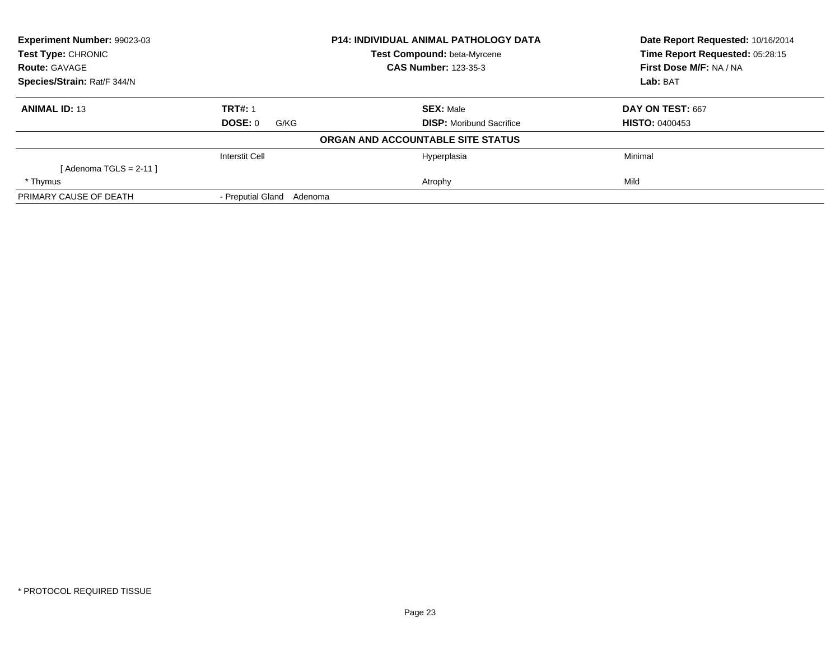| <b>Experiment Number: 99023-03</b><br><b>Test Type: CHRONIC</b> |                              | <b>P14: INDIVIDUAL ANIMAL PATHOLOGY DATA</b> | Date Report Requested: 10/16/2014<br>Time Report Requested: 05:28:15 |
|-----------------------------------------------------------------|------------------------------|----------------------------------------------|----------------------------------------------------------------------|
|                                                                 |                              | Test Compound: beta-Myrcene                  |                                                                      |
| <b>Route: GAVAGE</b>                                            |                              | <b>CAS Number: 123-35-3</b>                  | First Dose M/F: NA / NA                                              |
| Species/Strain: Rat/F 344/N                                     |                              |                                              | Lab: BAT                                                             |
| <b>ANIMAL ID: 13</b>                                            | <b>TRT#: 1</b>               | <b>SEX: Male</b>                             | DAY ON TEST: 667                                                     |
|                                                                 | DOSE: 0<br>G/KG              | <b>DISP:</b> Moribund Sacrifice              | <b>HISTO: 0400453</b>                                                |
|                                                                 |                              | ORGAN AND ACCOUNTABLE SITE STATUS            |                                                                      |
|                                                                 | <b>Interstit Cell</b>        | Hyperplasia                                  | Minimal                                                              |
| [ Adenoma TGLS = 2-11 ]                                         |                              |                                              |                                                                      |
| * Thymus                                                        |                              | Atrophy                                      | Mild                                                                 |
| PRIMARY CAUSE OF DEATH                                          | - Preputial Gland<br>Adenoma |                                              |                                                                      |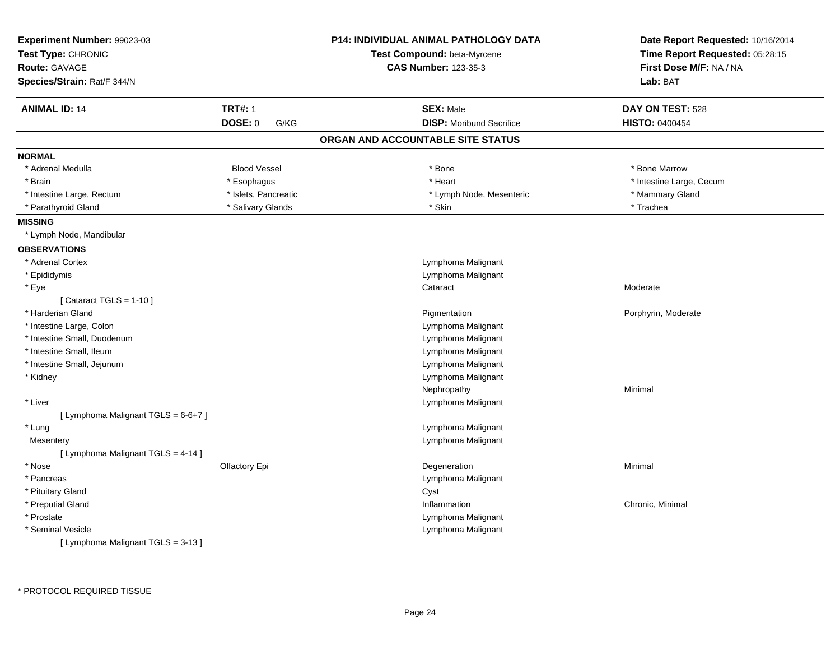| Experiment Number: 99023-03         |                        | <b>P14: INDIVIDUAL ANIMAL PATHOLOGY DATA</b> | Date Report Requested: 10/16/2014 |
|-------------------------------------|------------------------|----------------------------------------------|-----------------------------------|
| Test Type: CHRONIC                  |                        | Test Compound: beta-Myrcene                  | Time Report Requested: 05:28:15   |
| Route: GAVAGE                       |                        | <b>CAS Number: 123-35-3</b>                  | First Dose M/F: NA / NA           |
| Species/Strain: Rat/F 344/N         |                        |                                              | Lab: BAT                          |
| <b>ANIMAL ID: 14</b>                | <b>TRT#: 1</b>         | <b>SEX: Male</b>                             | DAY ON TEST: 528                  |
|                                     | <b>DOSE: 0</b><br>G/KG | <b>DISP:</b> Moribund Sacrifice              | <b>HISTO: 0400454</b>             |
|                                     |                        | ORGAN AND ACCOUNTABLE SITE STATUS            |                                   |
| <b>NORMAL</b>                       |                        |                                              |                                   |
| * Adrenal Medulla                   | <b>Blood Vessel</b>    | * Bone                                       | * Bone Marrow                     |
| * Brain                             | * Esophagus            | * Heart                                      | * Intestine Large, Cecum          |
| * Intestine Large, Rectum           | * Islets, Pancreatic   | * Lymph Node, Mesenteric                     | * Mammary Gland                   |
| * Parathyroid Gland                 | * Salivary Glands      | * Skin                                       | * Trachea                         |
| <b>MISSING</b>                      |                        |                                              |                                   |
| * Lymph Node, Mandibular            |                        |                                              |                                   |
| <b>OBSERVATIONS</b>                 |                        |                                              |                                   |
| * Adrenal Cortex                    |                        | Lymphoma Malignant                           |                                   |
| * Epididymis                        |                        | Lymphoma Malignant                           |                                   |
| * Eye                               |                        | Cataract                                     | Moderate                          |
| [ Cataract TGLS = $1-10$ ]          |                        |                                              |                                   |
| * Harderian Gland                   |                        | Pigmentation                                 | Porphyrin, Moderate               |
| * Intestine Large, Colon            |                        | Lymphoma Malignant                           |                                   |
| * Intestine Small, Duodenum         |                        | Lymphoma Malignant                           |                                   |
| * Intestine Small, Ileum            |                        | Lymphoma Malignant                           |                                   |
| * Intestine Small, Jejunum          |                        | Lymphoma Malignant                           |                                   |
| * Kidney                            |                        | Lymphoma Malignant                           |                                   |
|                                     |                        | Nephropathy                                  | Minimal                           |
| * Liver                             |                        | Lymphoma Malignant                           |                                   |
| [ Lymphoma Malignant TGLS = 6-6+7 ] |                        |                                              |                                   |
| * Lung                              |                        | Lymphoma Malignant                           |                                   |
| Mesentery                           |                        | Lymphoma Malignant                           |                                   |
| [ Lymphoma Malignant TGLS = 4-14 ]  |                        |                                              |                                   |
| * Nose                              | Olfactory Epi          | Degeneration                                 | Minimal                           |
| * Pancreas                          |                        | Lymphoma Malignant                           |                                   |
| * Pituitary Gland                   |                        | Cyst                                         |                                   |
| * Preputial Gland                   |                        | Inflammation                                 | Chronic, Minimal                  |
| * Prostate                          |                        | Lymphoma Malignant                           |                                   |
| * Seminal Vesicle                   |                        | Lymphoma Malignant                           |                                   |
| [ Lymphoma Malignant TGLS = 3-13 ]  |                        |                                              |                                   |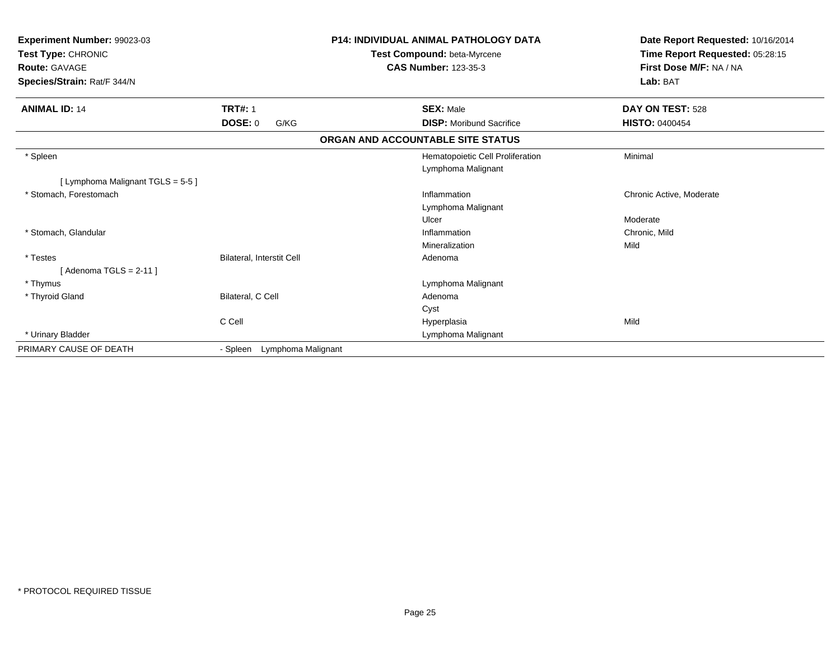| Experiment Number: 99023-03<br>Test Type: CHRONIC<br><b>Route: GAVAGE</b><br>Species/Strain: Rat/F 344/N |                                | <b>P14: INDIVIDUAL ANIMAL PATHOLOGY DATA</b><br>Test Compound: beta-Myrcene<br><b>CAS Number: 123-35-3</b> | Date Report Requested: 10/16/2014<br>Time Report Requested: 05:28:15<br>First Dose M/F: NA / NA<br>Lab: BAT |
|----------------------------------------------------------------------------------------------------------|--------------------------------|------------------------------------------------------------------------------------------------------------|-------------------------------------------------------------------------------------------------------------|
| <b>ANIMAL ID: 14</b>                                                                                     | <b>TRT#: 1</b>                 | <b>SEX: Male</b>                                                                                           | DAY ON TEST: 528                                                                                            |
|                                                                                                          | DOSE: 0<br>G/KG                | <b>DISP:</b> Moribund Sacrifice                                                                            | <b>HISTO: 0400454</b>                                                                                       |
|                                                                                                          |                                | ORGAN AND ACCOUNTABLE SITE STATUS                                                                          |                                                                                                             |
| * Spleen                                                                                                 |                                | Hematopoietic Cell Proliferation<br>Lymphoma Malignant                                                     | Minimal                                                                                                     |
| [ Lymphoma Malignant TGLS = 5-5 ]                                                                        |                                |                                                                                                            |                                                                                                             |
| * Stomach. Forestomach                                                                                   |                                | Inflammation<br>Lymphoma Malignant                                                                         | Chronic Active, Moderate                                                                                    |
|                                                                                                          |                                | Ulcer                                                                                                      | Moderate                                                                                                    |
| * Stomach, Glandular                                                                                     |                                | Inflammation<br>Mineralization                                                                             | Chronic, Mild<br>Mild                                                                                       |
| * Testes<br>[ Adenoma TGLS = 2-11 ]                                                                      | Bilateral, Interstit Cell      | Adenoma                                                                                                    |                                                                                                             |
| * Thymus                                                                                                 |                                | Lymphoma Malignant                                                                                         |                                                                                                             |
| * Thyroid Gland                                                                                          | Bilateral, C Cell              | Adenoma                                                                                                    |                                                                                                             |
|                                                                                                          |                                | Cyst                                                                                                       |                                                                                                             |
|                                                                                                          | C Cell                         | Hyperplasia                                                                                                | Mild                                                                                                        |
| * Urinary Bladder                                                                                        |                                | Lymphoma Malignant                                                                                         |                                                                                                             |
| PRIMARY CAUSE OF DEATH                                                                                   | Lymphoma Malignant<br>- Spleen |                                                                                                            |                                                                                                             |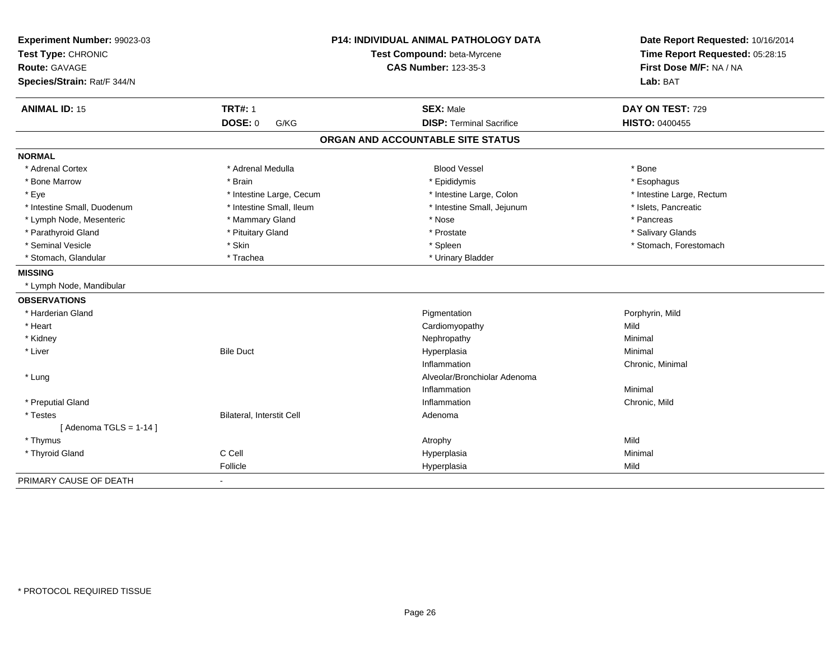| Experiment Number: 99023-03<br>Test Type: CHRONIC<br>Route: GAVAGE |                           | <b>P14: INDIVIDUAL ANIMAL PATHOLOGY DATA</b><br>Test Compound: beta-Myrcene<br><b>CAS Number: 123-35-3</b> | Date Report Requested: 10/16/2014<br>Time Report Requested: 05:28:15<br>First Dose M/F: NA / NA |  |
|--------------------------------------------------------------------|---------------------------|------------------------------------------------------------------------------------------------------------|-------------------------------------------------------------------------------------------------|--|
| Species/Strain: Rat/F 344/N                                        |                           |                                                                                                            | Lab: BAT                                                                                        |  |
| <b>ANIMAL ID: 15</b>                                               | <b>TRT#: 1</b>            | <b>SEX: Male</b>                                                                                           | DAY ON TEST: 729                                                                                |  |
|                                                                    | DOSE: 0<br>G/KG           | <b>DISP: Terminal Sacrifice</b>                                                                            | <b>HISTO: 0400455</b>                                                                           |  |
|                                                                    |                           | ORGAN AND ACCOUNTABLE SITE STATUS                                                                          |                                                                                                 |  |
| <b>NORMAL</b>                                                      |                           |                                                                                                            |                                                                                                 |  |
| * Adrenal Cortex                                                   | * Adrenal Medulla         | <b>Blood Vessel</b>                                                                                        | * Bone                                                                                          |  |
| * Bone Marrow                                                      | * Brain                   | * Epididymis                                                                                               | * Esophagus                                                                                     |  |
| * Eye                                                              | * Intestine Large, Cecum  | * Intestine Large, Colon                                                                                   | * Intestine Large, Rectum                                                                       |  |
| * Intestine Small, Duodenum                                        | * Intestine Small, Ileum  | * Intestine Small, Jejunum                                                                                 | * Islets, Pancreatic                                                                            |  |
| * Lymph Node, Mesenteric                                           | * Mammary Gland           | * Nose                                                                                                     | * Pancreas                                                                                      |  |
| * Parathyroid Gland                                                | * Pituitary Gland         | * Prostate                                                                                                 | * Salivary Glands                                                                               |  |
| * Seminal Vesicle                                                  | * Skin                    | * Spleen                                                                                                   | * Stomach, Forestomach                                                                          |  |
| * Stomach, Glandular                                               | * Trachea                 | * Urinary Bladder                                                                                          |                                                                                                 |  |
| <b>MISSING</b>                                                     |                           |                                                                                                            |                                                                                                 |  |
| * Lymph Node, Mandibular                                           |                           |                                                                                                            |                                                                                                 |  |
| <b>OBSERVATIONS</b>                                                |                           |                                                                                                            |                                                                                                 |  |
| * Harderian Gland                                                  |                           | Pigmentation                                                                                               | Porphyrin, Mild                                                                                 |  |
| * Heart                                                            |                           | Cardiomyopathy                                                                                             | Mild                                                                                            |  |
| * Kidney                                                           |                           | Nephropathy                                                                                                | Minimal                                                                                         |  |
| * Liver                                                            | <b>Bile Duct</b>          | Hyperplasia                                                                                                | Minimal                                                                                         |  |
|                                                                    |                           | Inflammation                                                                                               | Chronic, Minimal                                                                                |  |
| * Lung                                                             |                           | Alveolar/Bronchiolar Adenoma                                                                               |                                                                                                 |  |
|                                                                    |                           | Inflammation                                                                                               | Minimal                                                                                         |  |
| * Preputial Gland                                                  |                           | Inflammation                                                                                               | Chronic, Mild                                                                                   |  |
| * Testes                                                           | Bilateral, Interstit Cell | Adenoma                                                                                                    |                                                                                                 |  |
| [Adenoma TGLS = $1-14$ ]                                           |                           |                                                                                                            |                                                                                                 |  |
| * Thymus                                                           |                           | Atrophy                                                                                                    | Mild                                                                                            |  |
| * Thyroid Gland                                                    | C Cell                    | Hyperplasia                                                                                                | Minimal                                                                                         |  |
|                                                                    | Follicle                  | Hyperplasia                                                                                                | Mild                                                                                            |  |
| PRIMARY CAUSE OF DEATH                                             | $\blacksquare$            |                                                                                                            |                                                                                                 |  |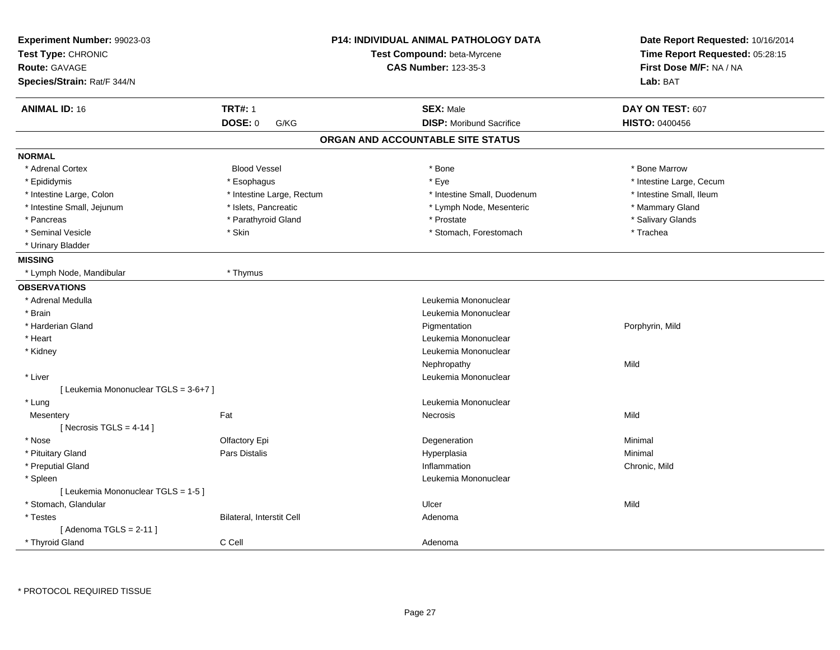| Experiment Number: 99023-03<br>Test Type: CHRONIC<br><b>Route: GAVAGE</b><br>Species/Strain: Rat/F 344/N |                           | <b>P14: INDIVIDUAL ANIMAL PATHOLOGY DATA</b><br>Test Compound: beta-Myrcene<br><b>CAS Number: 123-35-3</b> | Date Report Requested: 10/16/2014<br>Time Report Requested: 05:28:15<br>First Dose M/F: NA / NA<br>Lab: BAT |
|----------------------------------------------------------------------------------------------------------|---------------------------|------------------------------------------------------------------------------------------------------------|-------------------------------------------------------------------------------------------------------------|
|                                                                                                          |                           |                                                                                                            |                                                                                                             |
| <b>ANIMAL ID: 16</b><br><b>TRT#: 1</b>                                                                   |                           | <b>SEX: Male</b>                                                                                           | DAY ON TEST: 607                                                                                            |
| DOSE: 0                                                                                                  | G/KG                      | <b>DISP:</b> Moribund Sacrifice                                                                            | <b>HISTO: 0400456</b>                                                                                       |
|                                                                                                          |                           | ORGAN AND ACCOUNTABLE SITE STATUS                                                                          |                                                                                                             |
| <b>NORMAL</b>                                                                                            |                           |                                                                                                            |                                                                                                             |
| * Adrenal Cortex                                                                                         | <b>Blood Vessel</b>       | * Bone                                                                                                     | * Bone Marrow                                                                                               |
| * Epididymis                                                                                             | * Esophagus               | * Eye                                                                                                      | * Intestine Large, Cecum                                                                                    |
| * Intestine Large, Colon                                                                                 | * Intestine Large, Rectum | * Intestine Small, Duodenum                                                                                | * Intestine Small, Ileum                                                                                    |
| * Intestine Small, Jejunum                                                                               | * Islets, Pancreatic      | * Lymph Node, Mesenteric                                                                                   | * Mammary Gland                                                                                             |
| * Pancreas                                                                                               | * Parathyroid Gland       | * Prostate                                                                                                 | * Salivary Glands                                                                                           |
| * Seminal Vesicle<br>* Skin                                                                              |                           | * Stomach, Forestomach                                                                                     | * Trachea                                                                                                   |
| * Urinary Bladder                                                                                        |                           |                                                                                                            |                                                                                                             |
| <b>MISSING</b>                                                                                           |                           |                                                                                                            |                                                                                                             |
| * Lymph Node, Mandibular<br>* Thymus                                                                     |                           |                                                                                                            |                                                                                                             |
| <b>OBSERVATIONS</b>                                                                                      |                           |                                                                                                            |                                                                                                             |
| * Adrenal Medulla                                                                                        |                           | Leukemia Mononuclear                                                                                       |                                                                                                             |
| * Brain                                                                                                  |                           | Leukemia Mononuclear                                                                                       |                                                                                                             |
| * Harderian Gland                                                                                        |                           | Pigmentation                                                                                               | Porphyrin, Mild                                                                                             |
| * Heart                                                                                                  |                           | Leukemia Mononuclear                                                                                       |                                                                                                             |
| * Kidney                                                                                                 |                           | Leukemia Mononuclear                                                                                       |                                                                                                             |
|                                                                                                          |                           | Nephropathy                                                                                                | Mild                                                                                                        |
| * Liver                                                                                                  |                           | Leukemia Mononuclear                                                                                       |                                                                                                             |
| [ Leukemia Mononuclear TGLS = 3-6+7 ]                                                                    |                           |                                                                                                            |                                                                                                             |
| * Lung                                                                                                   |                           | Leukemia Mononuclear                                                                                       |                                                                                                             |
| Fat<br>Mesentery                                                                                         |                           | Necrosis                                                                                                   | Mild                                                                                                        |
| [ Necrosis TGLS = $4-14$ ]                                                                               |                           |                                                                                                            |                                                                                                             |
| * Nose<br>Olfactory Epi                                                                                  |                           | Degeneration                                                                                               | Minimal                                                                                                     |
| * Pituitary Gland<br>Pars Distalis                                                                       |                           | Hyperplasia                                                                                                | Minimal                                                                                                     |
| * Preputial Gland                                                                                        |                           | Inflammation                                                                                               | Chronic, Mild                                                                                               |
| * Spleen                                                                                                 |                           | Leukemia Mononuclear                                                                                       |                                                                                                             |
| [ Leukemia Mononuclear TGLS = 1-5 ]                                                                      |                           |                                                                                                            |                                                                                                             |
| * Stomach, Glandular                                                                                     |                           | Ulcer                                                                                                      | Mild                                                                                                        |
| * Testes                                                                                                 | Bilateral, Interstit Cell | Adenoma                                                                                                    |                                                                                                             |
| [Adenoma TGLS = $2-11$ ]                                                                                 |                           |                                                                                                            |                                                                                                             |
| C Cell<br>* Thyroid Gland                                                                                |                           | Adenoma                                                                                                    |                                                                                                             |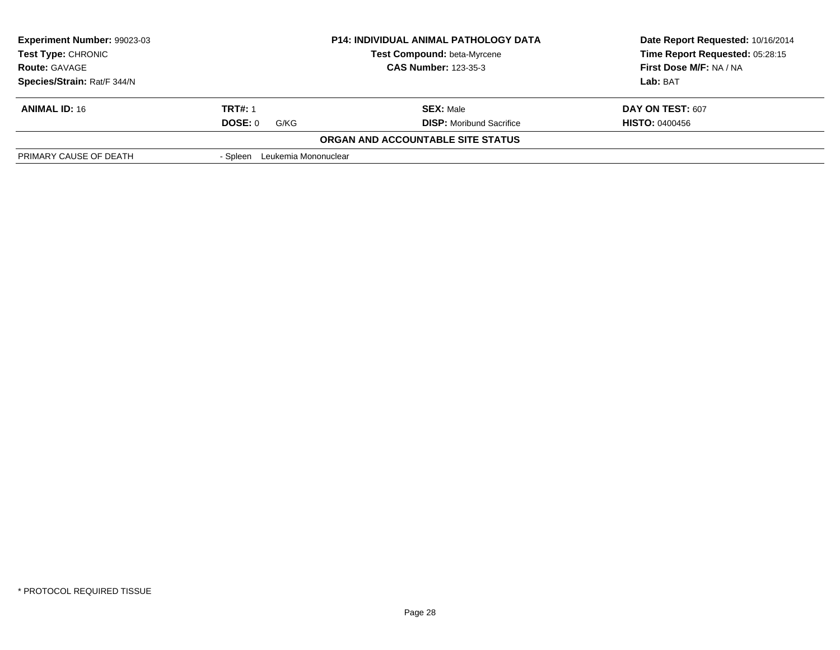| <b>Experiment Number: 99023-03</b><br><b>Test Type: CHRONIC</b><br><b>Route: GAVAGE</b> |                               | <b>P14: INDIVIDUAL ANIMAL PATHOLOGY DATA</b><br>Test Compound: beta-Myrcene | Date Report Requested: 10/16/2014<br>Time Report Requested: 05:28:15 |
|-----------------------------------------------------------------------------------------|-------------------------------|-----------------------------------------------------------------------------|----------------------------------------------------------------------|
|                                                                                         |                               | <b>CAS Number: 123-35-3</b>                                                 | First Dose M/F: NA / NA                                              |
| Species/Strain: Rat/F 344/N                                                             |                               |                                                                             | Lab: BAT                                                             |
| <b>ANIMAL ID: 16</b>                                                                    | <b>TRT#: 1</b>                | <b>SEX: Male</b>                                                            | DAY ON TEST: 607                                                     |
|                                                                                         | DOSE: 0<br>G/KG               | <b>DISP:</b> Moribund Sacrifice                                             | <b>HISTO: 0400456</b>                                                |
|                                                                                         |                               | <b>ORGAN AND ACCOUNTABLE SITE STATUS</b>                                    |                                                                      |
| PRIMARY CAUSE OF DEATH                                                                  | - Spleen Leukemia Mononuclear |                                                                             |                                                                      |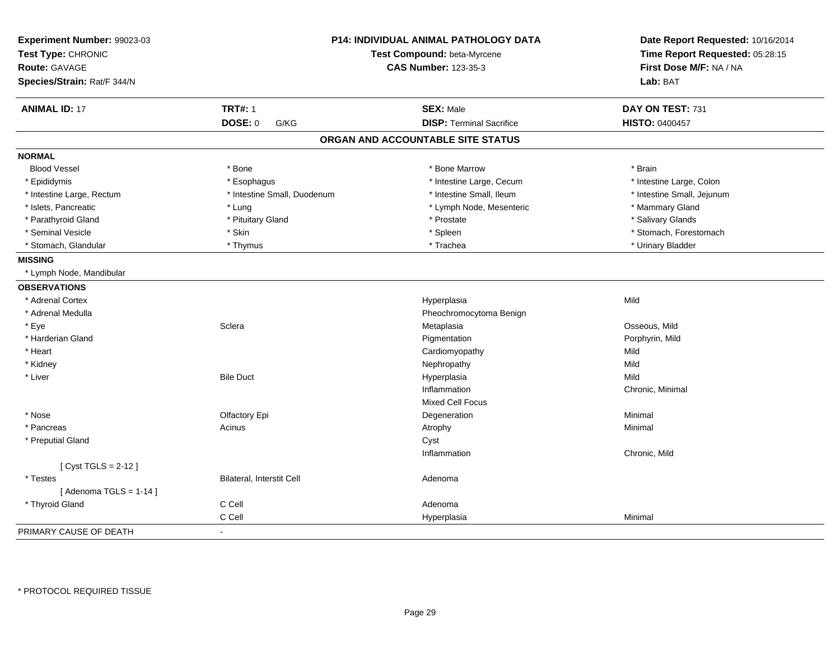| Experiment Number: 99023-03<br>Test Type: CHRONIC<br><b>Route: GAVAGE</b> |                             | <b>P14: INDIVIDUAL ANIMAL PATHOLOGY DATA</b><br>Test Compound: beta-Myrcene<br><b>CAS Number: 123-35-3</b> | Date Report Requested: 10/16/2014<br>Time Report Requested: 05:28:15<br>First Dose M/F: NA / NA |
|---------------------------------------------------------------------------|-----------------------------|------------------------------------------------------------------------------------------------------------|-------------------------------------------------------------------------------------------------|
| Species/Strain: Rat/F 344/N                                               |                             |                                                                                                            | Lab: BAT                                                                                        |
| <b>ANIMAL ID: 17</b>                                                      | <b>TRT#: 1</b>              | <b>SEX: Male</b>                                                                                           | DAY ON TEST: 731                                                                                |
|                                                                           | <b>DOSE: 0</b><br>G/KG      | <b>DISP: Terminal Sacrifice</b>                                                                            | HISTO: 0400457                                                                                  |
|                                                                           |                             | ORGAN AND ACCOUNTABLE SITE STATUS                                                                          |                                                                                                 |
| <b>NORMAL</b>                                                             |                             |                                                                                                            |                                                                                                 |
| <b>Blood Vessel</b>                                                       | * Bone                      | * Bone Marrow                                                                                              | * Brain                                                                                         |
| * Epididymis                                                              | * Esophagus                 | * Intestine Large, Cecum                                                                                   | * Intestine Large, Colon                                                                        |
| * Intestine Large, Rectum                                                 | * Intestine Small, Duodenum | * Intestine Small, Ileum                                                                                   | * Intestine Small, Jejunum                                                                      |
| * Islets, Pancreatic                                                      | * Lung                      | * Lymph Node, Mesenteric                                                                                   | * Mammary Gland                                                                                 |
| * Parathyroid Gland                                                       | * Pituitary Gland           | * Prostate                                                                                                 | * Salivary Glands                                                                               |
| * Seminal Vesicle                                                         | * Skin                      | * Spleen                                                                                                   | * Stomach, Forestomach                                                                          |
| * Stomach, Glandular                                                      | * Thymus                    | * Trachea                                                                                                  | * Urinary Bladder                                                                               |
| <b>MISSING</b>                                                            |                             |                                                                                                            |                                                                                                 |
| * Lymph Node, Mandibular                                                  |                             |                                                                                                            |                                                                                                 |
| <b>OBSERVATIONS</b>                                                       |                             |                                                                                                            |                                                                                                 |
| * Adrenal Cortex                                                          |                             | Hyperplasia                                                                                                | Mild                                                                                            |
| * Adrenal Medulla                                                         |                             | Pheochromocytoma Benign                                                                                    |                                                                                                 |
| * Eye                                                                     | Sclera                      | Metaplasia                                                                                                 | Osseous, Mild                                                                                   |
| * Harderian Gland                                                         |                             | Pigmentation                                                                                               | Porphyrin, Mild                                                                                 |
| * Heart                                                                   |                             | Cardiomyopathy                                                                                             | Mild                                                                                            |
| * Kidney                                                                  |                             | Nephropathy                                                                                                | Mild                                                                                            |
| * Liver                                                                   | <b>Bile Duct</b>            | Hyperplasia                                                                                                | Mild                                                                                            |
|                                                                           |                             | Inflammation                                                                                               | Chronic, Minimal                                                                                |
|                                                                           |                             | <b>Mixed Cell Focus</b>                                                                                    |                                                                                                 |
| * Nose                                                                    | Olfactory Epi               | Degeneration                                                                                               | Minimal                                                                                         |
| * Pancreas                                                                | Acinus                      | Atrophy                                                                                                    | Minimal                                                                                         |
| * Preputial Gland                                                         |                             | Cyst                                                                                                       |                                                                                                 |
|                                                                           |                             | Inflammation                                                                                               | Chronic, Mild                                                                                   |
| [ Cyst TGLS = 2-12 ]                                                      |                             |                                                                                                            |                                                                                                 |
| * Testes                                                                  | Bilateral, Interstit Cell   | Adenoma                                                                                                    |                                                                                                 |
| [Adenoma TGLS = $1-14$ ]                                                  |                             |                                                                                                            |                                                                                                 |
| * Thyroid Gland                                                           | C Cell                      | Adenoma                                                                                                    |                                                                                                 |
|                                                                           | C Cell                      | Hyperplasia                                                                                                | Minimal                                                                                         |
| PRIMARY CAUSE OF DEATH                                                    |                             |                                                                                                            |                                                                                                 |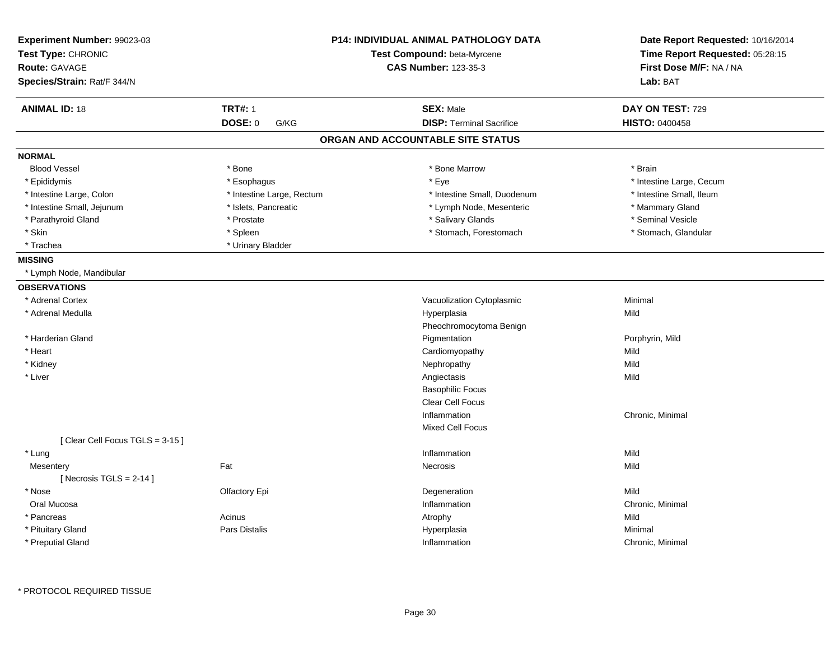| Experiment Number: 99023-03<br>Test Type: CHRONIC |                           | <b>P14: INDIVIDUAL ANIMAL PATHOLOGY DATA</b><br>Test Compound: beta-Myrcene | Date Report Requested: 10/16/2014<br>Time Report Requested: 05:28:15 |
|---------------------------------------------------|---------------------------|-----------------------------------------------------------------------------|----------------------------------------------------------------------|
| <b>Route: GAVAGE</b>                              |                           | <b>CAS Number: 123-35-3</b>                                                 | First Dose M/F: NA / NA                                              |
|                                                   |                           |                                                                             |                                                                      |
| Species/Strain: Rat/F 344/N                       |                           |                                                                             | Lab: BAT                                                             |
| <b>ANIMAL ID: 18</b>                              | <b>TRT#: 1</b>            | <b>SEX: Male</b>                                                            | DAY ON TEST: 729                                                     |
|                                                   | DOSE: 0<br>G/KG           | <b>DISP: Terminal Sacrifice</b>                                             | <b>HISTO: 0400458</b>                                                |
|                                                   |                           | ORGAN AND ACCOUNTABLE SITE STATUS                                           |                                                                      |
| <b>NORMAL</b>                                     |                           |                                                                             |                                                                      |
| <b>Blood Vessel</b>                               | * Bone                    | * Bone Marrow                                                               | * Brain                                                              |
| * Epididymis                                      | * Esophagus               | * Eye                                                                       | * Intestine Large, Cecum                                             |
| * Intestine Large, Colon                          | * Intestine Large, Rectum | * Intestine Small, Duodenum                                                 | * Intestine Small, Ileum                                             |
| * Intestine Small, Jejunum                        | * Islets, Pancreatic      | * Lymph Node, Mesenteric                                                    | * Mammary Gland                                                      |
| * Parathyroid Gland                               | * Prostate                | * Salivary Glands                                                           | * Seminal Vesicle                                                    |
| * Skin                                            | * Spleen                  | * Stomach, Forestomach                                                      | * Stomach, Glandular                                                 |
| * Trachea                                         | * Urinary Bladder         |                                                                             |                                                                      |
| <b>MISSING</b>                                    |                           |                                                                             |                                                                      |
| * Lymph Node, Mandibular                          |                           |                                                                             |                                                                      |
| <b>OBSERVATIONS</b>                               |                           |                                                                             |                                                                      |
| * Adrenal Cortex                                  |                           | Vacuolization Cytoplasmic                                                   | Minimal                                                              |
| * Adrenal Medulla                                 |                           | Hyperplasia                                                                 | Mild                                                                 |
|                                                   |                           | Pheochromocytoma Benign                                                     |                                                                      |
| * Harderian Gland                                 |                           | Pigmentation                                                                | Porphyrin, Mild                                                      |
| * Heart                                           |                           | Cardiomyopathy                                                              | Mild                                                                 |
| * Kidney                                          |                           | Nephropathy                                                                 | Mild                                                                 |
| * Liver                                           |                           | Angiectasis                                                                 | Mild                                                                 |
|                                                   |                           | <b>Basophilic Focus</b>                                                     |                                                                      |
|                                                   |                           | Clear Cell Focus                                                            |                                                                      |
|                                                   |                           | Inflammation                                                                | Chronic, Minimal                                                     |
|                                                   |                           | <b>Mixed Cell Focus</b>                                                     |                                                                      |
| [Clear Cell Focus TGLS = 3-15]                    |                           |                                                                             |                                                                      |
| * Lung                                            |                           | Inflammation                                                                | Mild                                                                 |
| Mesentery                                         | Fat                       | Necrosis                                                                    | Mild                                                                 |
| [Necrosis TGLS = $2-14$ ]                         |                           |                                                                             |                                                                      |
| * Nose                                            | Olfactory Epi             | Degeneration                                                                | Mild                                                                 |
| Oral Mucosa                                       |                           | Inflammation                                                                | Chronic, Minimal                                                     |
| * Pancreas                                        | Acinus                    | Atrophy                                                                     | Mild                                                                 |
| * Pituitary Gland                                 | Pars Distalis             | Hyperplasia                                                                 | Minimal                                                              |
| * Preputial Gland                                 |                           | Inflammation                                                                |                                                                      |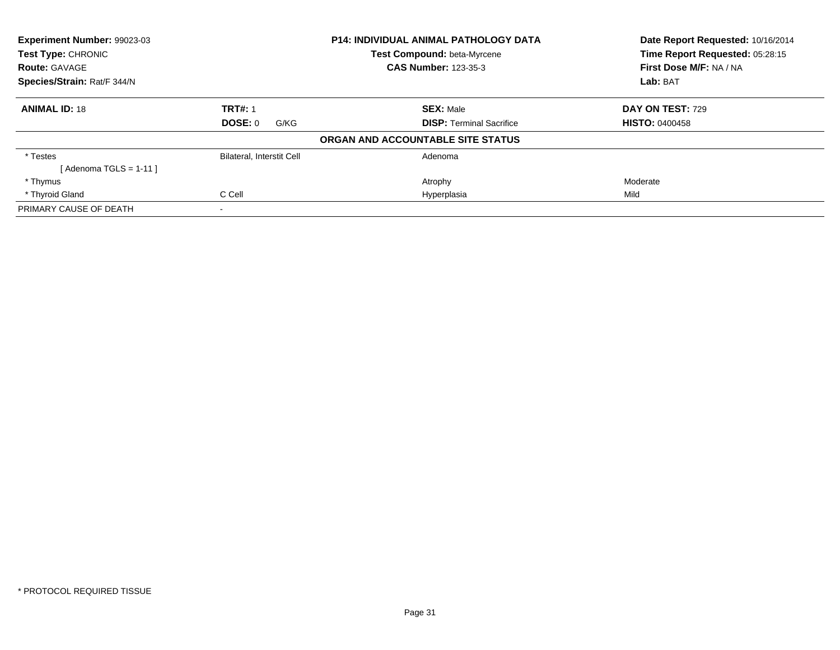| Experiment Number: 99023-03 |                                  | <b>P14: INDIVIDUAL ANIMAL PATHOLOGY DATA</b> | Date Report Requested: 10/16/2014 |
|-----------------------------|----------------------------------|----------------------------------------------|-----------------------------------|
| <b>Test Type: CHRONIC</b>   |                                  | <b>Test Compound: beta-Myrcene</b>           | Time Report Requested: 05:28:15   |
| <b>Route: GAVAGE</b>        |                                  | <b>CAS Number: 123-35-3</b>                  | First Dose M/F: NA / NA           |
| Species/Strain: Rat/F 344/N |                                  |                                              | Lab: BAT                          |
| <b>ANIMAL ID: 18</b>        | <b>TRT#: 1</b>                   | <b>SEX: Male</b>                             | DAY ON TEST: 729                  |
|                             | DOSE: 0<br>G/KG                  | <b>DISP:</b> Terminal Sacrifice              | <b>HISTO: 0400458</b>             |
|                             |                                  | ORGAN AND ACCOUNTABLE SITE STATUS            |                                   |
| * Testes                    | <b>Bilateral, Interstit Cell</b> | Adenoma                                      |                                   |
| [Adenoma TGLS = $1-11$ ]    |                                  |                                              |                                   |
| * Thymus                    |                                  | Atrophy                                      | Moderate                          |
| * Thyroid Gland             | C Cell                           | Hyperplasia                                  | Mild                              |
| PRIMARY CAUSE OF DEATH      | $\overline{\phantom{a}}$         |                                              |                                   |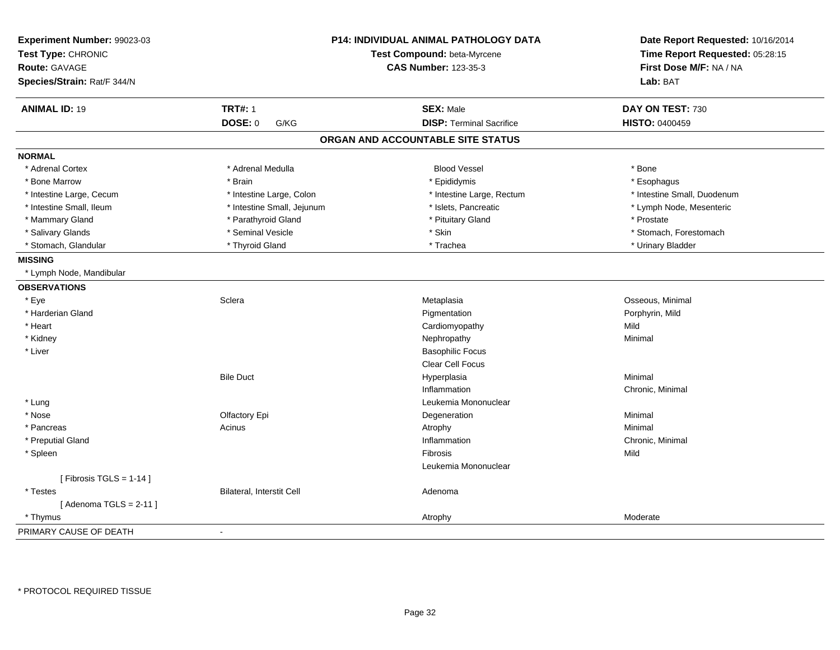| Experiment Number: 99023-03<br>Test Type: CHRONIC<br><b>Route: GAVAGE</b><br>Species/Strain: Rat/F 344/N |                            | P14: INDIVIDUAL ANIMAL PATHOLOGY DATA<br>Test Compound: beta-Myrcene<br><b>CAS Number: 123-35-3</b> | Date Report Requested: 10/16/2014<br>Time Report Requested: 05:28:15<br>First Dose M/F: NA / NA<br>Lab: BAT |
|----------------------------------------------------------------------------------------------------------|----------------------------|-----------------------------------------------------------------------------------------------------|-------------------------------------------------------------------------------------------------------------|
| <b>ANIMAL ID: 19</b>                                                                                     | <b>TRT#: 1</b>             | <b>SEX: Male</b>                                                                                    | DAY ON TEST: 730                                                                                            |
|                                                                                                          | <b>DOSE: 0</b><br>G/KG     | <b>DISP: Terminal Sacrifice</b>                                                                     | <b>HISTO: 0400459</b>                                                                                       |
|                                                                                                          |                            | ORGAN AND ACCOUNTABLE SITE STATUS                                                                   |                                                                                                             |
| <b>NORMAL</b>                                                                                            |                            |                                                                                                     |                                                                                                             |
| * Adrenal Cortex                                                                                         | * Adrenal Medulla          | <b>Blood Vessel</b>                                                                                 | * Bone                                                                                                      |
| * Bone Marrow                                                                                            | * Brain                    | * Epididymis                                                                                        | * Esophagus                                                                                                 |
| * Intestine Large, Cecum                                                                                 | * Intestine Large, Colon   | * Intestine Large, Rectum                                                                           | * Intestine Small, Duodenum                                                                                 |
| * Intestine Small, Ileum                                                                                 | * Intestine Small, Jejunum | * Islets, Pancreatic                                                                                | * Lymph Node, Mesenteric                                                                                    |
| * Mammary Gland                                                                                          | * Parathyroid Gland        | * Pituitary Gland                                                                                   | * Prostate                                                                                                  |
| * Salivary Glands                                                                                        | * Seminal Vesicle          | * Skin                                                                                              | * Stomach, Forestomach                                                                                      |
| * Stomach, Glandular                                                                                     | * Thyroid Gland            | * Trachea                                                                                           | * Urinary Bladder                                                                                           |
| <b>MISSING</b>                                                                                           |                            |                                                                                                     |                                                                                                             |
| * Lymph Node, Mandibular                                                                                 |                            |                                                                                                     |                                                                                                             |
| <b>OBSERVATIONS</b>                                                                                      |                            |                                                                                                     |                                                                                                             |
| * Eye                                                                                                    | Sclera                     | Metaplasia                                                                                          | Osseous, Minimal                                                                                            |
| * Harderian Gland                                                                                        |                            | Pigmentation                                                                                        | Porphyrin, Mild                                                                                             |
| * Heart                                                                                                  |                            | Cardiomyopathy                                                                                      | Mild                                                                                                        |
| * Kidney                                                                                                 |                            | Nephropathy                                                                                         | Minimal                                                                                                     |
| * Liver                                                                                                  |                            | <b>Basophilic Focus</b>                                                                             |                                                                                                             |
|                                                                                                          |                            | Clear Cell Focus                                                                                    |                                                                                                             |
|                                                                                                          | <b>Bile Duct</b>           | Hyperplasia                                                                                         | Minimal                                                                                                     |
|                                                                                                          |                            | Inflammation                                                                                        | Chronic, Minimal                                                                                            |
| * Lung                                                                                                   |                            | Leukemia Mononuclear                                                                                |                                                                                                             |
| * Nose                                                                                                   | Olfactory Epi              | Degeneration                                                                                        | Minimal                                                                                                     |
| * Pancreas                                                                                               | Acinus                     | Atrophy                                                                                             | Minimal                                                                                                     |
| * Preputial Gland                                                                                        |                            | Inflammation                                                                                        | Chronic, Minimal                                                                                            |
| * Spleen                                                                                                 |                            | Fibrosis                                                                                            | Mild                                                                                                        |
|                                                                                                          |                            | Leukemia Mononuclear                                                                                |                                                                                                             |
| [Fibrosis TGLS = $1-14$ ]                                                                                |                            |                                                                                                     |                                                                                                             |
| * Testes                                                                                                 | Bilateral, Interstit Cell  | Adenoma                                                                                             |                                                                                                             |
| [Adenoma TGLS = $2-11$ ]                                                                                 |                            |                                                                                                     |                                                                                                             |
| * Thymus                                                                                                 |                            | Atrophy                                                                                             | Moderate                                                                                                    |
| PRIMARY CAUSE OF DEATH                                                                                   | $\blacksquare$             |                                                                                                     |                                                                                                             |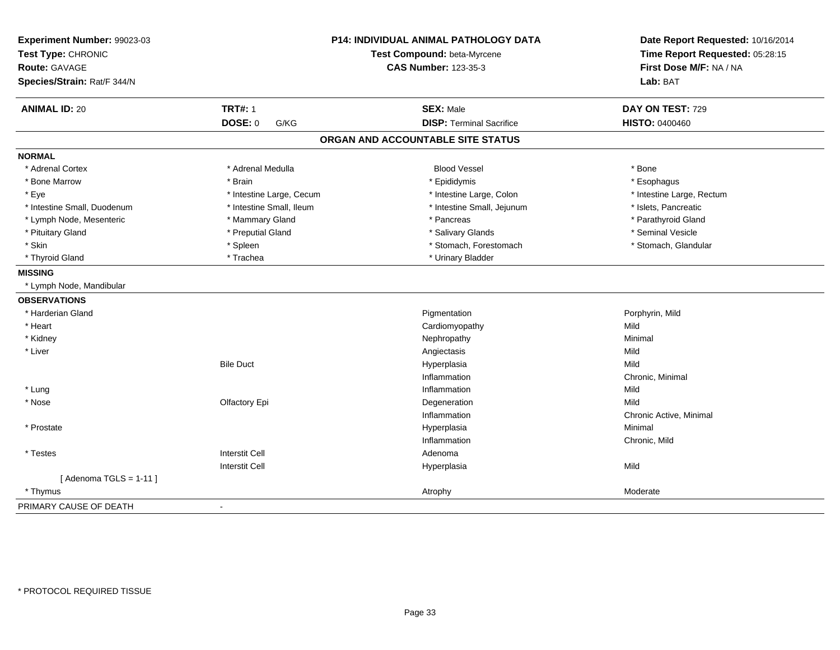| Experiment Number: 99023-03<br>Test Type: CHRONIC<br>Route: GAVAGE<br>Species/Strain: Rat/F 344/N |                          | <b>P14: INDIVIDUAL ANIMAL PATHOLOGY DATA</b><br>Test Compound: beta-Myrcene<br><b>CAS Number: 123-35-3</b> | Date Report Requested: 10/16/2014<br>Time Report Requested: 05:28:15<br>First Dose M/F: NA / NA<br>Lab: BAT |
|---------------------------------------------------------------------------------------------------|--------------------------|------------------------------------------------------------------------------------------------------------|-------------------------------------------------------------------------------------------------------------|
| <b>ANIMAL ID: 20</b>                                                                              | <b>TRT#: 1</b>           | <b>SEX: Male</b>                                                                                           | DAY ON TEST: 729                                                                                            |
|                                                                                                   | DOSE: 0<br>G/KG          | <b>DISP: Terminal Sacrifice</b>                                                                            | HISTO: 0400460                                                                                              |
|                                                                                                   |                          | ORGAN AND ACCOUNTABLE SITE STATUS                                                                          |                                                                                                             |
| <b>NORMAL</b>                                                                                     |                          |                                                                                                            |                                                                                                             |
| * Adrenal Cortex                                                                                  | * Adrenal Medulla        | <b>Blood Vessel</b>                                                                                        | * Bone                                                                                                      |
| * Bone Marrow                                                                                     | * Brain                  | * Epididymis                                                                                               | * Esophagus                                                                                                 |
| * Eye                                                                                             | * Intestine Large, Cecum | * Intestine Large, Colon                                                                                   | * Intestine Large, Rectum                                                                                   |
| * Intestine Small, Duodenum                                                                       | * Intestine Small, Ileum | * Intestine Small, Jejunum                                                                                 | * Islets, Pancreatic                                                                                        |
| * Lymph Node, Mesenteric                                                                          | * Mammary Gland          | * Pancreas                                                                                                 | * Parathyroid Gland                                                                                         |
| * Pituitary Gland                                                                                 | * Preputial Gland        | * Salivary Glands                                                                                          | * Seminal Vesicle                                                                                           |
| * Skin                                                                                            | * Spleen                 | * Stomach, Forestomach                                                                                     | * Stomach, Glandular                                                                                        |
| * Thyroid Gland                                                                                   | * Trachea                | * Urinary Bladder                                                                                          |                                                                                                             |
| <b>MISSING</b>                                                                                    |                          |                                                                                                            |                                                                                                             |
| * Lymph Node, Mandibular                                                                          |                          |                                                                                                            |                                                                                                             |
| <b>OBSERVATIONS</b>                                                                               |                          |                                                                                                            |                                                                                                             |
| * Harderian Gland                                                                                 |                          | Pigmentation                                                                                               | Porphyrin, Mild                                                                                             |
| * Heart                                                                                           |                          | Cardiomyopathy                                                                                             | Mild                                                                                                        |
| * Kidney                                                                                          |                          | Nephropathy                                                                                                | Minimal                                                                                                     |
| * Liver                                                                                           |                          | Angiectasis                                                                                                | Mild                                                                                                        |
|                                                                                                   | <b>Bile Duct</b>         | Hyperplasia                                                                                                | Mild                                                                                                        |
|                                                                                                   |                          | Inflammation                                                                                               | Chronic, Minimal                                                                                            |
| * Lung                                                                                            |                          | Inflammation                                                                                               | Mild                                                                                                        |
| * Nose                                                                                            | Olfactory Epi            | Degeneration                                                                                               | Mild                                                                                                        |
|                                                                                                   |                          | Inflammation                                                                                               | Chronic Active, Minimal                                                                                     |
| * Prostate                                                                                        |                          | Hyperplasia                                                                                                | Minimal                                                                                                     |
|                                                                                                   |                          | Inflammation                                                                                               | Chronic, Mild                                                                                               |
| * Testes                                                                                          | <b>Interstit Cell</b>    | Adenoma                                                                                                    |                                                                                                             |
|                                                                                                   | <b>Interstit Cell</b>    | Hyperplasia                                                                                                | Mild                                                                                                        |
| [Adenoma TGLS = $1-11$ ]                                                                          |                          |                                                                                                            |                                                                                                             |
| * Thymus                                                                                          |                          | Atrophy                                                                                                    | Moderate                                                                                                    |
| PRIMARY CAUSE OF DEATH                                                                            | $\blacksquare$           |                                                                                                            |                                                                                                             |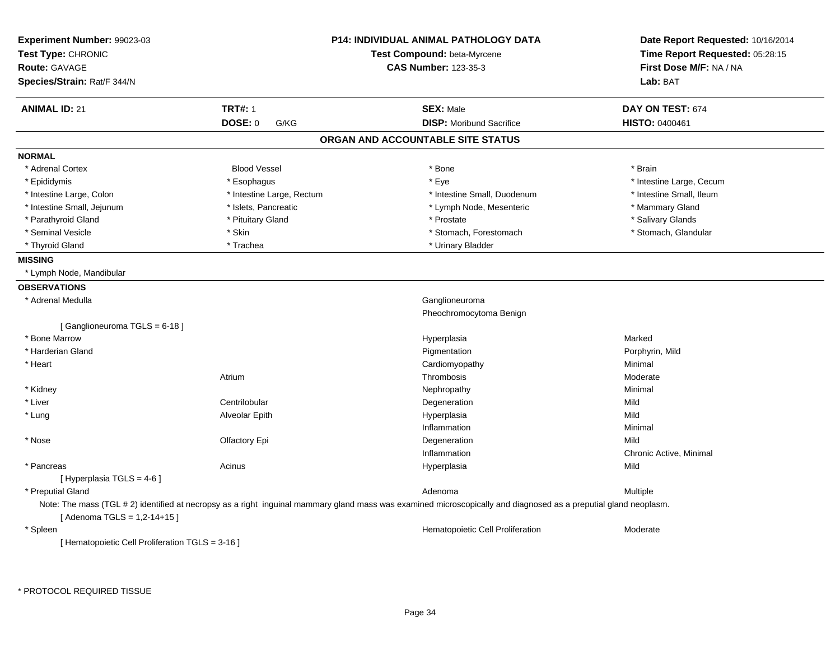| Experiment Number: 99023-03<br>Test Type: CHRONIC<br><b>Route: GAVAGE</b><br>Species/Strain: Rat/F 344/N |                           | <b>P14: INDIVIDUAL ANIMAL PATHOLOGY DATA</b><br>Test Compound: beta-Myrcene<br><b>CAS Number: 123-35-3</b>                                                       | Date Report Requested: 10/16/2014<br>Time Report Requested: 05:28:15<br>First Dose M/F: NA / NA<br>Lab: BAT |
|----------------------------------------------------------------------------------------------------------|---------------------------|------------------------------------------------------------------------------------------------------------------------------------------------------------------|-------------------------------------------------------------------------------------------------------------|
| <b>ANIMAL ID: 21</b>                                                                                     | <b>TRT#: 1</b>            | <b>SEX: Male</b>                                                                                                                                                 | DAY ON TEST: 674                                                                                            |
|                                                                                                          | <b>DOSE: 0</b><br>G/KG    | <b>DISP:</b> Moribund Sacrifice                                                                                                                                  | <b>HISTO: 0400461</b>                                                                                       |
|                                                                                                          |                           | ORGAN AND ACCOUNTABLE SITE STATUS                                                                                                                                |                                                                                                             |
| <b>NORMAL</b>                                                                                            |                           |                                                                                                                                                                  |                                                                                                             |
| * Adrenal Cortex                                                                                         | <b>Blood Vessel</b>       | * Bone                                                                                                                                                           | * Brain                                                                                                     |
| * Epididymis                                                                                             | * Esophagus               | * Eye                                                                                                                                                            | * Intestine Large, Cecum                                                                                    |
| * Intestine Large, Colon                                                                                 | * Intestine Large, Rectum | * Intestine Small, Duodenum                                                                                                                                      | * Intestine Small, Ileum                                                                                    |
| * Intestine Small, Jejunum                                                                               | * Islets, Pancreatic      | * Lymph Node, Mesenteric                                                                                                                                         | * Mammary Gland                                                                                             |
| * Parathyroid Gland                                                                                      | * Pituitary Gland         | * Prostate                                                                                                                                                       | * Salivary Glands                                                                                           |
| * Seminal Vesicle                                                                                        | * Skin                    | * Stomach, Forestomach                                                                                                                                           | * Stomach, Glandular                                                                                        |
| * Thyroid Gland                                                                                          | * Trachea                 | * Urinary Bladder                                                                                                                                                |                                                                                                             |
| <b>MISSING</b>                                                                                           |                           |                                                                                                                                                                  |                                                                                                             |
| * Lymph Node, Mandibular                                                                                 |                           |                                                                                                                                                                  |                                                                                                             |
| <b>OBSERVATIONS</b>                                                                                      |                           |                                                                                                                                                                  |                                                                                                             |
| * Adrenal Medulla                                                                                        |                           | Ganglioneuroma                                                                                                                                                   |                                                                                                             |
|                                                                                                          |                           | Pheochromocytoma Benign                                                                                                                                          |                                                                                                             |
| [Ganglioneuroma TGLS = 6-18]                                                                             |                           |                                                                                                                                                                  |                                                                                                             |
| * Bone Marrow                                                                                            |                           | Hyperplasia                                                                                                                                                      | Marked                                                                                                      |
| * Harderian Gland                                                                                        |                           | Pigmentation                                                                                                                                                     | Porphyrin, Mild                                                                                             |
| * Heart                                                                                                  |                           | Cardiomyopathy                                                                                                                                                   | Minimal                                                                                                     |
|                                                                                                          | Atrium                    | Thrombosis                                                                                                                                                       | Moderate                                                                                                    |
| * Kidney                                                                                                 |                           | Nephropathy                                                                                                                                                      | Minimal                                                                                                     |
| * Liver                                                                                                  | Centrilobular             | Degeneration                                                                                                                                                     | Mild                                                                                                        |
| * Lung                                                                                                   | Alveolar Epith            | Hyperplasia                                                                                                                                                      | Mild                                                                                                        |
|                                                                                                          |                           | Inflammation                                                                                                                                                     | Minimal                                                                                                     |
| * Nose                                                                                                   | Olfactory Epi             | Degeneration                                                                                                                                                     | Mild                                                                                                        |
|                                                                                                          |                           | Inflammation                                                                                                                                                     | Chronic Active, Minimal                                                                                     |
| * Pancreas                                                                                               | Acinus                    | Hyperplasia                                                                                                                                                      | Mild                                                                                                        |
| [ Hyperplasia TGLS = 4-6 ]                                                                               |                           |                                                                                                                                                                  |                                                                                                             |
| * Preputial Gland                                                                                        |                           | Adenoma                                                                                                                                                          | Multiple                                                                                                    |
| [Adenoma TGLS = $1,2-14+15$ ]                                                                            |                           | Note: The mass (TGL # 2) identified at necropsy as a right inguinal mammary gland mass was examined microscopically and diagnosed as a preputial gland neoplasm. |                                                                                                             |
| * Spleen                                                                                                 |                           | Hematopoietic Cell Proliferation                                                                                                                                 | Moderate                                                                                                    |
| [ Hematopoietic Cell Proliferation TGLS = 3-16 ]                                                         |                           |                                                                                                                                                                  |                                                                                                             |

\* PROTOCOL REQUIRED TISSUE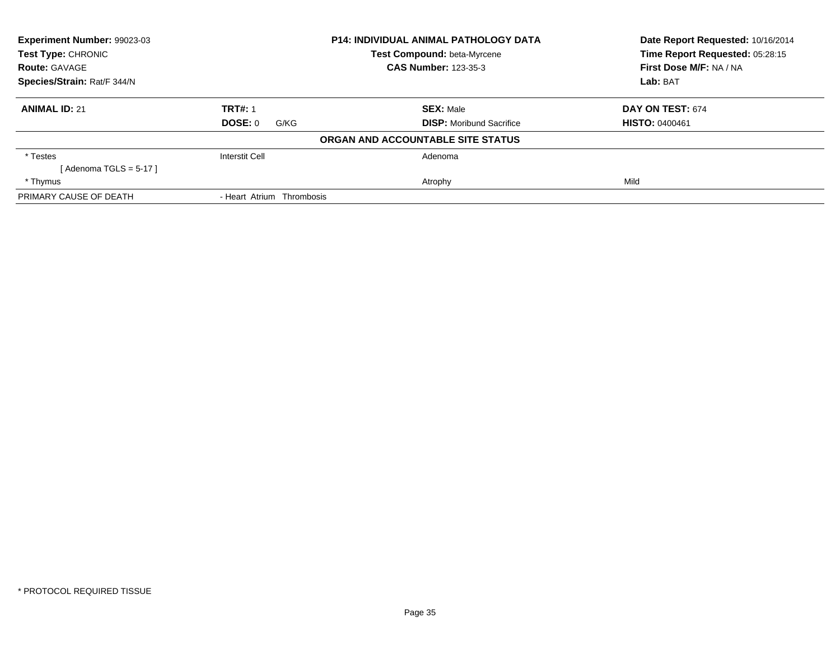| <b>Experiment Number: 99023-03</b> |                           | <b>P14: INDIVIDUAL ANIMAL PATHOLOGY DATA</b> | Date Report Requested: 10/16/2014                          |
|------------------------------------|---------------------------|----------------------------------------------|------------------------------------------------------------|
| <b>Test Type: CHRONIC</b>          |                           | Test Compound: beta-Myrcene                  | Time Report Requested: 05:28:15<br>First Dose M/F: NA / NA |
| <b>Route: GAVAGE</b>               |                           | <b>CAS Number: 123-35-3</b>                  |                                                            |
| Species/Strain: Rat/F 344/N        |                           |                                              | Lab: BAT                                                   |
| <b>ANIMAL ID: 21</b>               | <b>TRT#: 1</b>            | <b>SEX: Male</b>                             | DAY ON TEST: 674                                           |
|                                    | DOSE: 0<br>G/KG           | <b>DISP:</b> Moribund Sacrifice              | <b>HISTO: 0400461</b>                                      |
|                                    |                           | ORGAN AND ACCOUNTABLE SITE STATUS            |                                                            |
| * Testes                           | Interstit Cell            | Adenoma                                      |                                                            |
| [ Adenoma TGLS = 5-17 ]            |                           |                                              |                                                            |
| * Thymus                           |                           | Atrophy                                      | Mild                                                       |
| PRIMARY CAUSE OF DEATH             | - Heart Atrium Thrombosis |                                              |                                                            |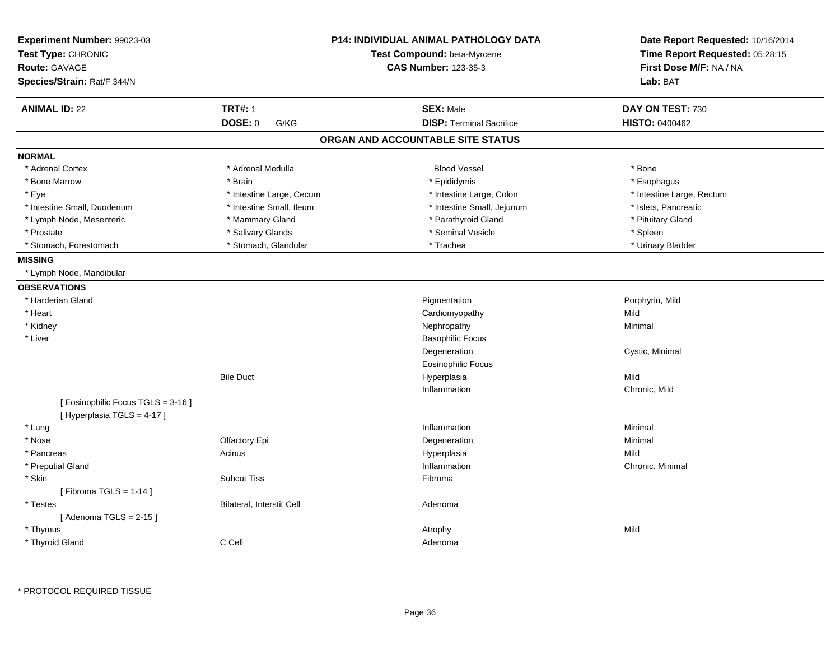| Experiment Number: 99023-03<br>Test Type: CHRONIC<br><b>Route: GAVAGE</b> |                           | <b>P14: INDIVIDUAL ANIMAL PATHOLOGY DATA</b><br>Test Compound: beta-Myrcene<br><b>CAS Number: 123-35-3</b> | Date Report Requested: 10/16/2014<br>Time Report Requested: 05:28:15<br>First Dose M/F: NA / NA |
|---------------------------------------------------------------------------|---------------------------|------------------------------------------------------------------------------------------------------------|-------------------------------------------------------------------------------------------------|
| Species/Strain: Rat/F 344/N                                               |                           |                                                                                                            | Lab: BAT                                                                                        |
| <b>ANIMAL ID: 22</b>                                                      | <b>TRT#: 1</b>            | <b>SEX: Male</b>                                                                                           | DAY ON TEST: 730                                                                                |
|                                                                           | DOSE: 0<br>G/KG           | <b>DISP: Terminal Sacrifice</b>                                                                            | <b>HISTO: 0400462</b>                                                                           |
|                                                                           |                           | ORGAN AND ACCOUNTABLE SITE STATUS                                                                          |                                                                                                 |
| <b>NORMAL</b>                                                             |                           |                                                                                                            |                                                                                                 |
| * Adrenal Cortex                                                          | * Adrenal Medulla         | <b>Blood Vessel</b>                                                                                        | * Bone                                                                                          |
| * Bone Marrow                                                             | * Brain                   | * Epididymis                                                                                               | * Esophagus                                                                                     |
| * Eye                                                                     | * Intestine Large, Cecum  | * Intestine Large, Colon                                                                                   | * Intestine Large, Rectum                                                                       |
| * Intestine Small, Duodenum                                               | * Intestine Small, Ileum  | * Intestine Small, Jejunum                                                                                 | * Islets, Pancreatic                                                                            |
| * Lymph Node, Mesenteric                                                  | * Mammary Gland           | * Parathyroid Gland                                                                                        | * Pituitary Gland                                                                               |
| * Prostate                                                                | * Salivary Glands         | * Seminal Vesicle                                                                                          | * Spleen                                                                                        |
| * Stomach, Forestomach                                                    | * Stomach, Glandular      | * Trachea                                                                                                  | * Urinary Bladder                                                                               |
| <b>MISSING</b>                                                            |                           |                                                                                                            |                                                                                                 |
| * Lymph Node, Mandibular                                                  |                           |                                                                                                            |                                                                                                 |
| <b>OBSERVATIONS</b>                                                       |                           |                                                                                                            |                                                                                                 |
| * Harderian Gland                                                         |                           | Pigmentation                                                                                               | Porphyrin, Mild                                                                                 |
| * Heart                                                                   |                           | Cardiomyopathy                                                                                             | Mild                                                                                            |
| * Kidney                                                                  |                           | Nephropathy                                                                                                | Minimal                                                                                         |
| * Liver                                                                   |                           | <b>Basophilic Focus</b>                                                                                    |                                                                                                 |
|                                                                           |                           | Degeneration                                                                                               | Cystic, Minimal                                                                                 |
|                                                                           |                           | <b>Eosinophilic Focus</b>                                                                                  |                                                                                                 |
|                                                                           | <b>Bile Duct</b>          | Hyperplasia                                                                                                | Mild                                                                                            |
|                                                                           |                           | Inflammation                                                                                               | Chronic, Mild                                                                                   |
| [ Eosinophilic Focus TGLS = 3-16 ]<br>[Hyperplasia TGLS = 4-17]           |                           |                                                                                                            |                                                                                                 |
| * Lung                                                                    |                           | Inflammation                                                                                               | Minimal                                                                                         |
| * Nose                                                                    | Olfactory Epi             | Degeneration                                                                                               | Minimal                                                                                         |
| * Pancreas                                                                | Acinus                    | Hyperplasia                                                                                                | Mild                                                                                            |
| * Preputial Gland                                                         |                           | Inflammation                                                                                               | Chronic, Minimal                                                                                |
| * Skin                                                                    | <b>Subcut Tiss</b>        | Fibroma                                                                                                    |                                                                                                 |
| [Fibroma TGLS = $1-14$ ]                                                  |                           |                                                                                                            |                                                                                                 |
| * Testes                                                                  | Bilateral, Interstit Cell | Adenoma                                                                                                    |                                                                                                 |
| [Adenoma TGLS = $2-15$ ]                                                  |                           |                                                                                                            |                                                                                                 |
| * Thymus                                                                  |                           | Atrophy                                                                                                    | Mild                                                                                            |
| * Thyroid Gland                                                           | C Cell                    | Adenoma                                                                                                    |                                                                                                 |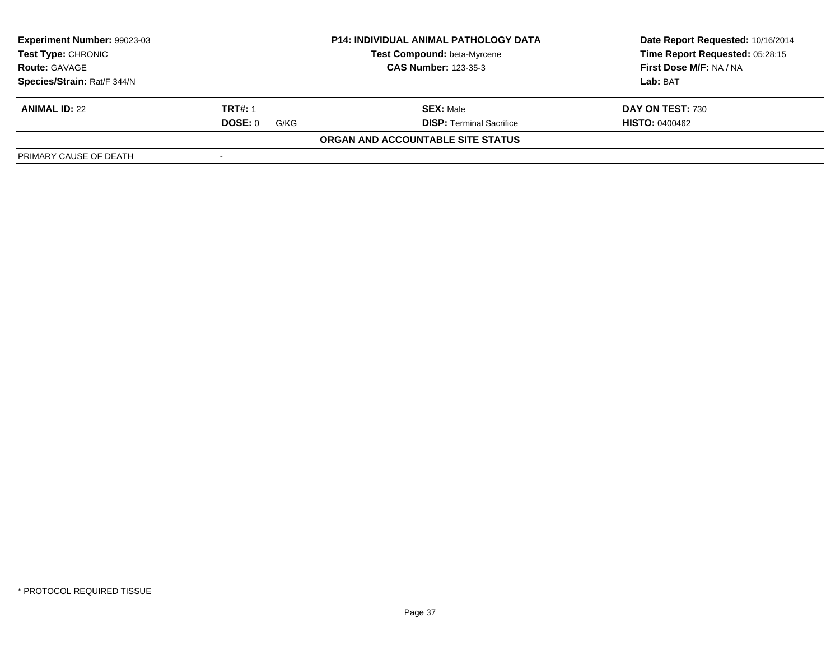| Experiment Number: 99023-03 |                             | <b>P14: INDIVIDUAL ANIMAL PATHOLOGY DATA</b> | Date Report Requested: 10/16/2014 |
|-----------------------------|-----------------------------|----------------------------------------------|-----------------------------------|
| <b>Test Type: CHRONIC</b>   |                             | Test Compound: beta-Myrcene                  | Time Report Requested: 05:28:15   |
| <b>Route: GAVAGE</b>        | <b>CAS Number: 123-35-3</b> |                                              | First Dose M/F: NA / NA           |
| Species/Strain: Rat/F 344/N |                             |                                              | Lab: BAT                          |
| <b>ANIMAL ID: 22</b>        | <b>TRT#: 1</b>              | <b>SEX: Male</b>                             | DAY ON TEST: 730                  |
|                             | DOSE: 0<br>G/KG             | <b>DISP: Terminal Sacrifice</b>              | <b>HISTO: 0400462</b>             |
|                             |                             | ORGAN AND ACCOUNTABLE SITE STATUS            |                                   |
| PRIMARY CAUSE OF DEATH      |                             |                                              |                                   |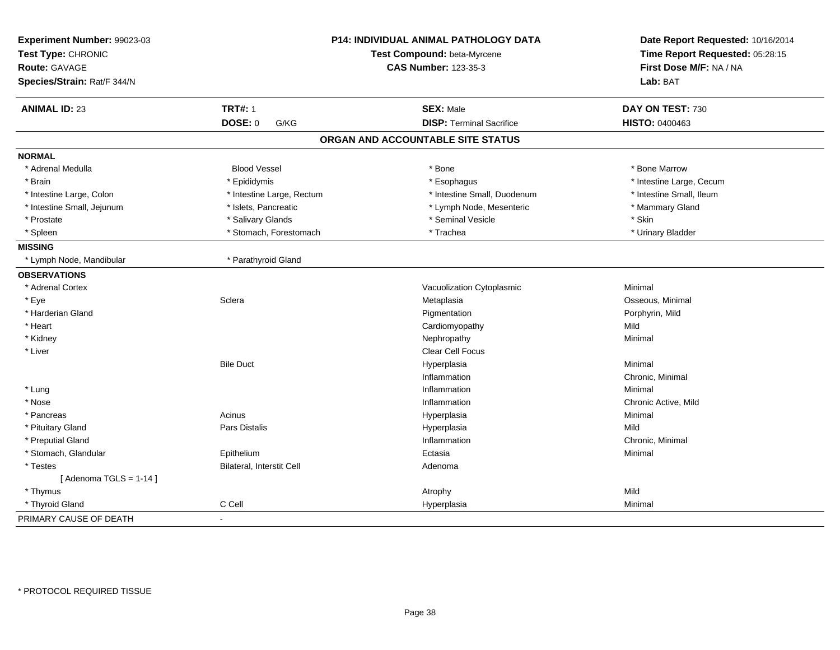| Experiment Number: 99023-03<br>Test Type: CHRONIC |                           | P14: INDIVIDUAL ANIMAL PATHOLOGY DATA<br>Test Compound: beta-Myrcene |                                                            |
|---------------------------------------------------|---------------------------|----------------------------------------------------------------------|------------------------------------------------------------|
| <b>Route: GAVAGE</b>                              |                           | <b>CAS Number: 123-35-3</b>                                          | Time Report Requested: 05:28:15<br>First Dose M/F: NA / NA |
| Species/Strain: Rat/F 344/N                       |                           |                                                                      | Lab: BAT                                                   |
|                                                   |                           |                                                                      |                                                            |
| <b>ANIMAL ID: 23</b>                              | <b>TRT#: 1</b>            | <b>SEX: Male</b>                                                     | DAY ON TEST: 730                                           |
|                                                   | DOSE: 0<br>G/KG           | <b>DISP: Terminal Sacrifice</b>                                      | HISTO: 0400463                                             |
|                                                   |                           | ORGAN AND ACCOUNTABLE SITE STATUS                                    |                                                            |
| <b>NORMAL</b>                                     |                           |                                                                      |                                                            |
| * Adrenal Medulla                                 | <b>Blood Vessel</b>       | * Bone                                                               | * Bone Marrow                                              |
| * Brain                                           | * Epididymis              | * Esophagus                                                          | * Intestine Large, Cecum                                   |
| * Intestine Large, Colon                          | * Intestine Large, Rectum | * Intestine Small, Duodenum                                          | * Intestine Small, Ileum                                   |
| * Intestine Small, Jejunum                        | * Islets, Pancreatic      | * Lymph Node, Mesenteric                                             | * Mammary Gland                                            |
| * Prostate                                        | * Salivary Glands         | * Seminal Vesicle                                                    | * Skin                                                     |
| * Spleen                                          | * Stomach, Forestomach    | * Trachea                                                            | * Urinary Bladder                                          |
| <b>MISSING</b>                                    |                           |                                                                      |                                                            |
| * Lymph Node, Mandibular                          | * Parathyroid Gland       |                                                                      |                                                            |
| <b>OBSERVATIONS</b>                               |                           |                                                                      |                                                            |
| * Adrenal Cortex                                  |                           | Vacuolization Cytoplasmic                                            | Minimal                                                    |
| * Eye                                             | Sclera                    | Metaplasia                                                           | Osseous, Minimal                                           |
| * Harderian Gland                                 |                           | Pigmentation                                                         | Porphyrin, Mild                                            |
| * Heart                                           |                           | Cardiomyopathy                                                       | Mild                                                       |
| * Kidney                                          |                           | Nephropathy                                                          | Minimal                                                    |
| * Liver                                           |                           | <b>Clear Cell Focus</b>                                              |                                                            |
|                                                   | <b>Bile Duct</b>          | Hyperplasia                                                          | Minimal                                                    |
|                                                   |                           | Inflammation                                                         | Chronic, Minimal                                           |
| * Lung                                            |                           | Inflammation                                                         | Minimal                                                    |
| * Nose                                            |                           | Inflammation                                                         | Chronic Active, Mild                                       |
| * Pancreas                                        | Acinus                    | Hyperplasia                                                          | Minimal                                                    |
| * Pituitary Gland                                 | Pars Distalis             | Hyperplasia                                                          | Mild                                                       |
| * Preputial Gland                                 |                           | Inflammation                                                         | Chronic, Minimal                                           |
| * Stomach, Glandular                              | Epithelium                | Ectasia                                                              | Minimal                                                    |
| * Testes                                          | Bilateral, Interstit Cell | Adenoma                                                              |                                                            |
| [Adenoma TGLS = $1-14$ ]                          |                           |                                                                      |                                                            |
| * Thymus                                          |                           | Atrophy                                                              | Mild                                                       |
| * Thyroid Gland                                   | C Cell                    | Hyperplasia                                                          | Minimal                                                    |
| PRIMARY CAUSE OF DEATH                            | $\sim$                    |                                                                      |                                                            |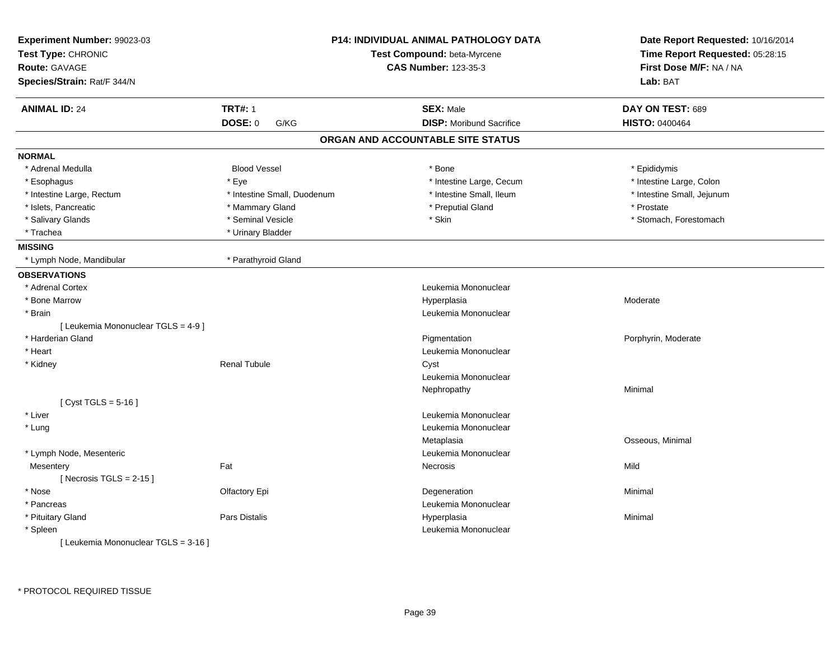| Experiment Number: 99023-03<br>Test Type: CHRONIC<br><b>Route: GAVAGE</b><br>Species/Strain: Rat/F 344/N |                             | P14: INDIVIDUAL ANIMAL PATHOLOGY DATA<br>Test Compound: beta-Myrcene<br><b>CAS Number: 123-35-3</b> | Date Report Requested: 10/16/2014<br>Time Report Requested: 05:28:15<br>First Dose M/F: NA / NA<br>Lab: BAT |
|----------------------------------------------------------------------------------------------------------|-----------------------------|-----------------------------------------------------------------------------------------------------|-------------------------------------------------------------------------------------------------------------|
| <b>ANIMAL ID: 24</b>                                                                                     | <b>TRT#: 1</b>              | <b>SEX: Male</b>                                                                                    | DAY ON TEST: 689                                                                                            |
|                                                                                                          | <b>DOSE: 0</b><br>G/KG      | <b>DISP:</b> Moribund Sacrifice                                                                     | <b>HISTO: 0400464</b>                                                                                       |
|                                                                                                          |                             | ORGAN AND ACCOUNTABLE SITE STATUS                                                                   |                                                                                                             |
| <b>NORMAL</b>                                                                                            |                             |                                                                                                     |                                                                                                             |
| * Adrenal Medulla                                                                                        | <b>Blood Vessel</b>         | * Bone                                                                                              | * Epididymis                                                                                                |
| * Esophagus                                                                                              | * Eye                       | * Intestine Large, Cecum                                                                            | * Intestine Large, Colon                                                                                    |
| * Intestine Large, Rectum                                                                                | * Intestine Small, Duodenum | * Intestine Small, Ileum                                                                            | * Intestine Small, Jejunum                                                                                  |
| * Islets, Pancreatic                                                                                     | * Mammary Gland             | * Preputial Gland                                                                                   | * Prostate                                                                                                  |
| * Salivary Glands                                                                                        | * Seminal Vesicle           | * Skin                                                                                              | * Stomach, Forestomach                                                                                      |
| * Trachea                                                                                                | * Urinary Bladder           |                                                                                                     |                                                                                                             |
| <b>MISSING</b>                                                                                           |                             |                                                                                                     |                                                                                                             |
| * Lymph Node, Mandibular                                                                                 | * Parathyroid Gland         |                                                                                                     |                                                                                                             |
| <b>OBSERVATIONS</b>                                                                                      |                             |                                                                                                     |                                                                                                             |
| * Adrenal Cortex                                                                                         |                             | Leukemia Mononuclear                                                                                |                                                                                                             |
| * Bone Marrow                                                                                            |                             | Hyperplasia                                                                                         | Moderate                                                                                                    |
| * Brain                                                                                                  |                             | Leukemia Mononuclear                                                                                |                                                                                                             |
| [ Leukemia Mononuclear TGLS = 4-9 ]                                                                      |                             |                                                                                                     |                                                                                                             |
| * Harderian Gland                                                                                        |                             | Pigmentation                                                                                        | Porphyrin, Moderate                                                                                         |
| * Heart                                                                                                  |                             | Leukemia Mononuclear                                                                                |                                                                                                             |
| * Kidney                                                                                                 | <b>Renal Tubule</b>         | Cyst                                                                                                |                                                                                                             |
|                                                                                                          |                             | Leukemia Mononuclear                                                                                |                                                                                                             |
|                                                                                                          |                             | Nephropathy                                                                                         | Minimal                                                                                                     |
| [ Cyst TGLS = $5-16$ ]                                                                                   |                             |                                                                                                     |                                                                                                             |
| * Liver                                                                                                  |                             | Leukemia Mononuclear                                                                                |                                                                                                             |
| * Lung                                                                                                   |                             | Leukemia Mononuclear                                                                                |                                                                                                             |
|                                                                                                          |                             | Metaplasia                                                                                          | Osseous, Minimal                                                                                            |
| * Lymph Node, Mesenteric                                                                                 |                             | Leukemia Mononuclear                                                                                |                                                                                                             |
| Mesentery                                                                                                | Fat                         | Necrosis                                                                                            | Mild                                                                                                        |
| [Necrosis TGLS = $2-15$ ]                                                                                |                             |                                                                                                     |                                                                                                             |
| * Nose                                                                                                   | Olfactory Epi               | Degeneration                                                                                        | Minimal                                                                                                     |
| * Pancreas                                                                                               |                             | Leukemia Mononuclear                                                                                |                                                                                                             |
| * Pituitary Gland                                                                                        | Pars Distalis               | Hyperplasia                                                                                         | Minimal                                                                                                     |
| * Spleen                                                                                                 |                             | Leukemia Mononuclear                                                                                |                                                                                                             |
| [ Leukemia Mononuclear TGLS = 3-16 ]                                                                     |                             |                                                                                                     |                                                                                                             |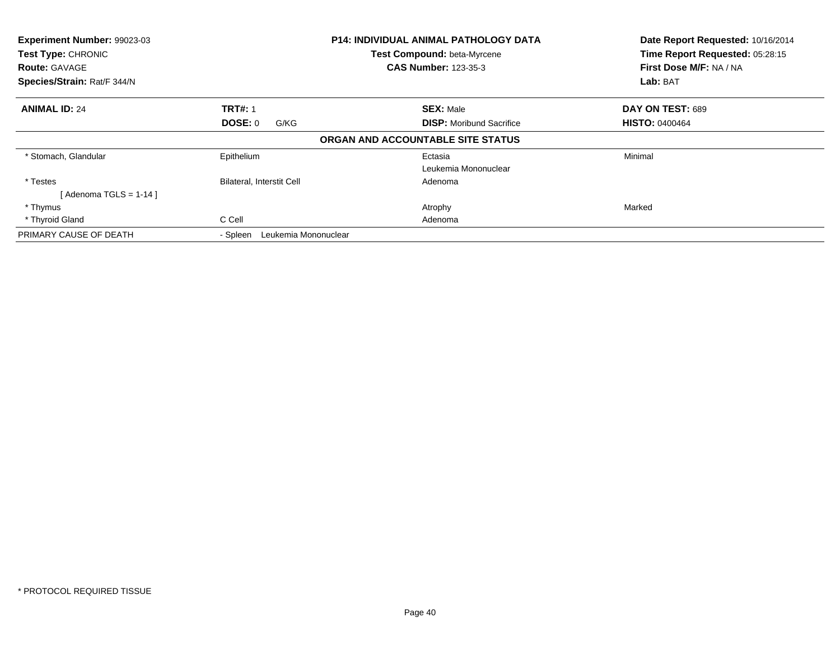| Experiment Number: 99023-03<br>Test Type: CHRONIC<br><b>Route: GAVAGE</b><br>Species/Strain: Rat/F 344/N |                                  | <b>P14: INDIVIDUAL ANIMAL PATHOLOGY DATA</b><br>Test Compound: beta-Myrcene<br><b>CAS Number: 123-35-3</b> | Date Report Requested: 10/16/2014<br>Time Report Requested: 05:28:15<br>First Dose M/F: NA / NA<br>Lab: BAT |
|----------------------------------------------------------------------------------------------------------|----------------------------------|------------------------------------------------------------------------------------------------------------|-------------------------------------------------------------------------------------------------------------|
| <b>ANIMAL ID: 24</b>                                                                                     | <b>TRT#: 1</b>                   | <b>SEX: Male</b>                                                                                           | DAY ON TEST: 689                                                                                            |
|                                                                                                          | <b>DOSE: 0</b><br>G/KG           | <b>DISP:</b> Moribund Sacrifice                                                                            | <b>HISTO: 0400464</b>                                                                                       |
|                                                                                                          |                                  | ORGAN AND ACCOUNTABLE SITE STATUS                                                                          |                                                                                                             |
| * Stomach, Glandular                                                                                     | Epithelium                       | Ectasia                                                                                                    | Minimal                                                                                                     |
|                                                                                                          |                                  | Leukemia Mononuclear                                                                                       |                                                                                                             |
| * Testes                                                                                                 | <b>Bilateral, Interstit Cell</b> | Adenoma                                                                                                    |                                                                                                             |
| [ Adenoma TGLS = 1-14 ]                                                                                  |                                  |                                                                                                            |                                                                                                             |
| * Thymus                                                                                                 |                                  | Atrophy                                                                                                    | Marked                                                                                                      |
| * Thyroid Gland                                                                                          | C Cell                           | Adenoma                                                                                                    |                                                                                                             |
| PRIMARY CAUSE OF DEATH                                                                                   | Leukemia Mononuclear<br>- Spleen |                                                                                                            |                                                                                                             |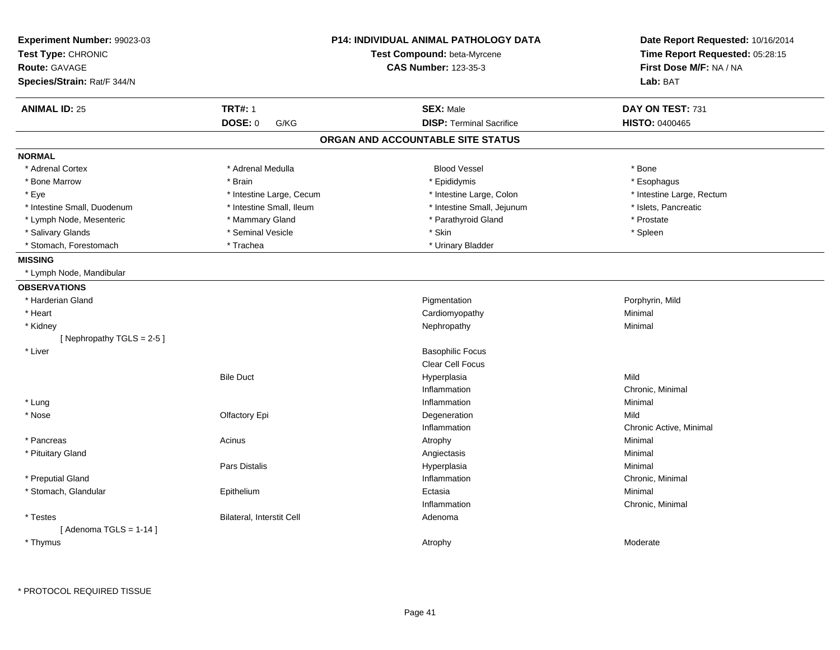| Experiment Number: 99023-03<br>Test Type: CHRONIC |                           | <b>P14: INDIVIDUAL ANIMAL PATHOLOGY DATA</b><br>Test Compound: beta-Myrcene | Date Report Requested: 10/16/2014<br>Time Report Requested: 05:28:15 |  |
|---------------------------------------------------|---------------------------|-----------------------------------------------------------------------------|----------------------------------------------------------------------|--|
| <b>Route: GAVAGE</b>                              |                           | <b>CAS Number: 123-35-3</b>                                                 | First Dose M/F: NA / NA                                              |  |
| Species/Strain: Rat/F 344/N                       |                           |                                                                             | Lab: BAT                                                             |  |
| <b>ANIMAL ID: 25</b>                              | <b>TRT#: 1</b>            | <b>SEX: Male</b>                                                            | DAY ON TEST: 731                                                     |  |
|                                                   | <b>DOSE: 0</b><br>G/KG    | <b>DISP: Terminal Sacrifice</b>                                             | <b>HISTO: 0400465</b>                                                |  |
|                                                   |                           | ORGAN AND ACCOUNTABLE SITE STATUS                                           |                                                                      |  |
| <b>NORMAL</b>                                     |                           |                                                                             |                                                                      |  |
| * Adrenal Cortex                                  | * Adrenal Medulla         | <b>Blood Vessel</b>                                                         | * Bone                                                               |  |
| * Bone Marrow                                     | * Brain                   | * Epididymis                                                                | * Esophagus                                                          |  |
| * Eye                                             | * Intestine Large, Cecum  | * Intestine Large, Colon                                                    | * Intestine Large, Rectum                                            |  |
| * Intestine Small, Duodenum                       | * Intestine Small, Ileum  | * Intestine Small, Jejunum                                                  | * Islets, Pancreatic                                                 |  |
| * Lymph Node, Mesenteric                          | * Mammary Gland           | * Parathyroid Gland                                                         | * Prostate                                                           |  |
| * Salivary Glands                                 | * Seminal Vesicle         | * Skin                                                                      | * Spleen                                                             |  |
| * Stomach, Forestomach                            | * Trachea                 | * Urinary Bladder                                                           |                                                                      |  |
| <b>MISSING</b>                                    |                           |                                                                             |                                                                      |  |
| * Lymph Node, Mandibular                          |                           |                                                                             |                                                                      |  |
| <b>OBSERVATIONS</b>                               |                           |                                                                             |                                                                      |  |
| * Harderian Gland                                 |                           | Pigmentation                                                                | Porphyrin, Mild                                                      |  |
| * Heart                                           |                           | Cardiomyopathy                                                              | Minimal                                                              |  |
| * Kidney                                          |                           | Nephropathy                                                                 | Minimal                                                              |  |
| [Nephropathy TGLS = 2-5]                          |                           |                                                                             |                                                                      |  |
| * Liver                                           |                           | <b>Basophilic Focus</b>                                                     |                                                                      |  |
|                                                   |                           | <b>Clear Cell Focus</b>                                                     |                                                                      |  |
|                                                   | <b>Bile Duct</b>          | Hyperplasia                                                                 | Mild                                                                 |  |
|                                                   |                           | Inflammation                                                                | Chronic, Minimal                                                     |  |
| * Lung                                            |                           | Inflammation                                                                | Minimal                                                              |  |
| * Nose                                            | Olfactory Epi             | Degeneration                                                                | Mild                                                                 |  |
|                                                   |                           | Inflammation                                                                | Chronic Active, Minimal                                              |  |
| * Pancreas                                        | Acinus                    | Atrophy                                                                     | Minimal                                                              |  |
| * Pituitary Gland                                 |                           | Angiectasis                                                                 | Minimal                                                              |  |
|                                                   | Pars Distalis             | Hyperplasia                                                                 | Minimal                                                              |  |
| * Preputial Gland                                 |                           | Inflammation                                                                | Chronic, Minimal                                                     |  |
| * Stomach, Glandular                              | Epithelium                | Ectasia                                                                     | Minimal                                                              |  |
|                                                   |                           | Inflammation                                                                | Chronic, Minimal                                                     |  |
| * Testes                                          | Bilateral, Interstit Cell | Adenoma                                                                     |                                                                      |  |
| [Adenoma TGLS = $1-14$ ]                          |                           |                                                                             |                                                                      |  |
| * Thymus                                          |                           | Atrophy                                                                     | Moderate                                                             |  |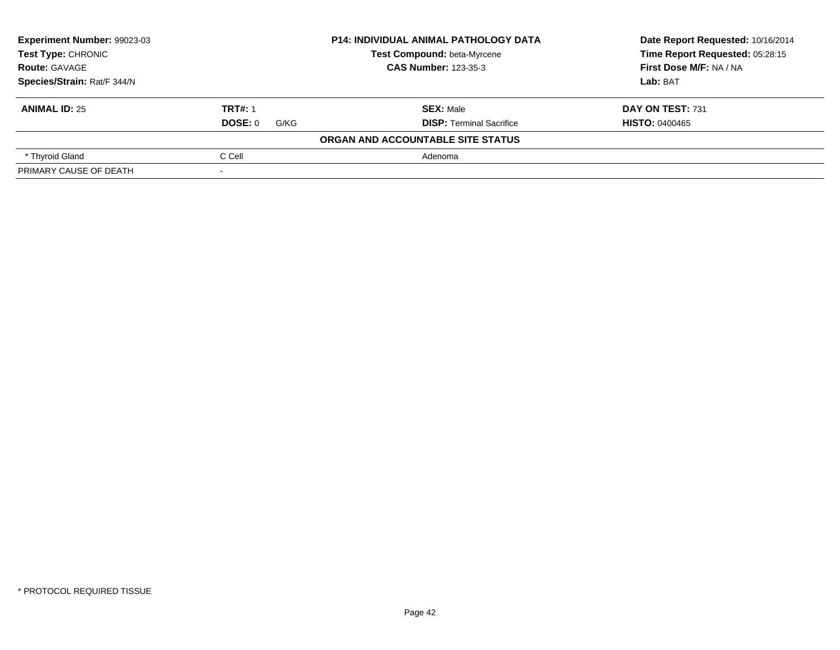| Experiment Number: 99023-03<br>Test Type: CHRONIC<br><b>Route: GAVAGE</b> |                        | <b>P14: INDIVIDUAL ANIMAL PATHOLOGY DATA</b> | Date Report Requested: 10/16/2014 |
|---------------------------------------------------------------------------|------------------------|----------------------------------------------|-----------------------------------|
|                                                                           |                        | Test Compound: beta-Myrcene                  | Time Report Requested: 05:28:15   |
|                                                                           |                        | <b>CAS Number: 123-35-3</b>                  | First Dose M/F: NA / NA           |
| Species/Strain: Rat/F 344/N                                               |                        |                                              | Lab: BAT                          |
| <b>ANIMAL ID: 25</b>                                                      | <b>TRT#: 1</b>         | <b>SEX: Male</b>                             | DAY ON TEST: 731                  |
|                                                                           | <b>DOSE: 0</b><br>G/KG | <b>DISP:</b> Terminal Sacrifice              | <b>HISTO: 0400465</b>             |
|                                                                           |                        | ORGAN AND ACCOUNTABLE SITE STATUS            |                                   |
| * Thyroid Gland                                                           | C Cell                 | Adenoma                                      |                                   |
| PRIMARY CAUSE OF DEATH                                                    |                        |                                              |                                   |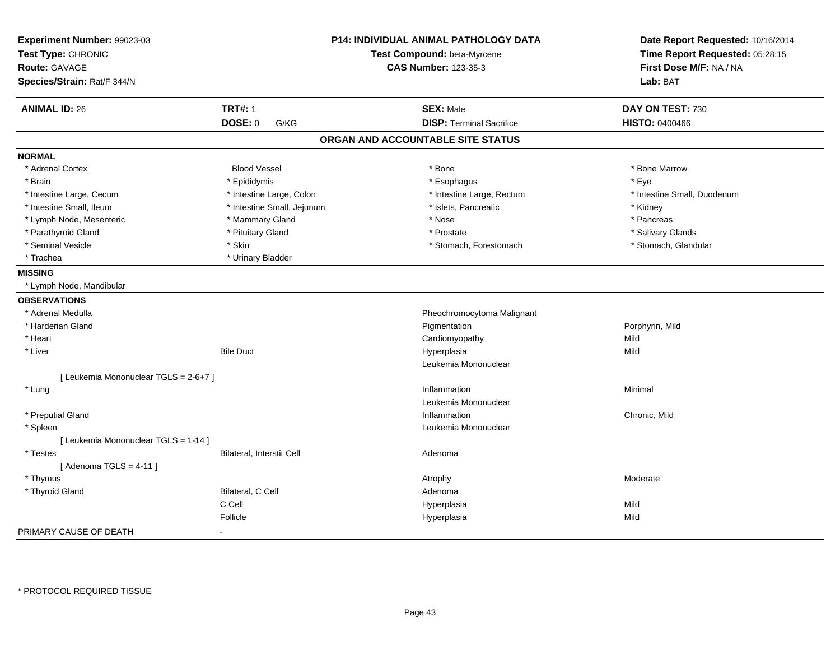| Experiment Number: 99023-03<br>Test Type: CHRONIC<br>Route: GAVAGE |                            | P14: INDIVIDUAL ANIMAL PATHOLOGY DATA<br>Test Compound: beta-Myrcene<br><b>CAS Number: 123-35-3</b> | Date Report Requested: 10/16/2014<br>Time Report Requested: 05:28:15<br>First Dose M/F: NA / NA |
|--------------------------------------------------------------------|----------------------------|-----------------------------------------------------------------------------------------------------|-------------------------------------------------------------------------------------------------|
| Species/Strain: Rat/F 344/N                                        |                            |                                                                                                     | Lab: BAT                                                                                        |
| <b>ANIMAL ID: 26</b>                                               | <b>TRT#: 1</b>             | <b>SEX: Male</b>                                                                                    | DAY ON TEST: 730                                                                                |
|                                                                    | <b>DOSE: 0</b><br>G/KG     | <b>DISP: Terminal Sacrifice</b>                                                                     | <b>HISTO: 0400466</b>                                                                           |
|                                                                    |                            | ORGAN AND ACCOUNTABLE SITE STATUS                                                                   |                                                                                                 |
| <b>NORMAL</b>                                                      |                            |                                                                                                     |                                                                                                 |
| * Adrenal Cortex                                                   | <b>Blood Vessel</b>        | * Bone                                                                                              | * Bone Marrow                                                                                   |
| * Brain                                                            | * Epididymis               | * Esophagus                                                                                         | * Eve                                                                                           |
| * Intestine Large, Cecum                                           | * Intestine Large, Colon   | * Intestine Large, Rectum                                                                           | * Intestine Small, Duodenum                                                                     |
| * Intestine Small, Ileum                                           | * Intestine Small, Jejunum | * Islets, Pancreatic                                                                                | * Kidney                                                                                        |
| * Lymph Node, Mesenteric                                           | * Mammary Gland            | * Nose                                                                                              | * Pancreas                                                                                      |
| * Parathyroid Gland                                                | * Pituitary Gland          | * Prostate                                                                                          | * Salivary Glands                                                                               |
| * Seminal Vesicle                                                  | * Skin                     | * Stomach, Forestomach                                                                              | * Stomach, Glandular                                                                            |
| * Trachea                                                          | * Urinary Bladder          |                                                                                                     |                                                                                                 |
| <b>MISSING</b>                                                     |                            |                                                                                                     |                                                                                                 |
| * Lymph Node, Mandibular                                           |                            |                                                                                                     |                                                                                                 |
| <b>OBSERVATIONS</b>                                                |                            |                                                                                                     |                                                                                                 |
| * Adrenal Medulla                                                  |                            | Pheochromocytoma Malignant                                                                          |                                                                                                 |
| * Harderian Gland                                                  |                            | Pigmentation                                                                                        | Porphyrin, Mild                                                                                 |
| * Heart                                                            |                            | Cardiomyopathy                                                                                      | Mild                                                                                            |
| * Liver                                                            | <b>Bile Duct</b>           | Hyperplasia                                                                                         | Mild                                                                                            |
|                                                                    |                            | Leukemia Mononuclear                                                                                |                                                                                                 |
| [ Leukemia Mononuclear TGLS = 2-6+7 ]                              |                            |                                                                                                     |                                                                                                 |
| * Lung                                                             |                            | Inflammation                                                                                        | Minimal                                                                                         |
|                                                                    |                            | Leukemia Mononuclear                                                                                |                                                                                                 |
| * Preputial Gland                                                  |                            | Inflammation                                                                                        | Chronic. Mild                                                                                   |
| * Spleen                                                           |                            | Leukemia Mononuclear                                                                                |                                                                                                 |
| [ Leukemia Mononuclear TGLS = 1-14 ]                               |                            |                                                                                                     |                                                                                                 |
| * Testes                                                           | Bilateral, Interstit Cell  | Adenoma                                                                                             |                                                                                                 |
| [Adenoma TGLS = $4-11$ ]                                           |                            |                                                                                                     |                                                                                                 |
| * Thymus                                                           |                            | Atrophy                                                                                             | Moderate                                                                                        |
| * Thyroid Gland                                                    | Bilateral, C Cell          | Adenoma                                                                                             |                                                                                                 |
|                                                                    | C Cell                     | Hyperplasia                                                                                         | Mild                                                                                            |
|                                                                    | Follicle                   | Hyperplasia                                                                                         | Mild                                                                                            |
| PRIMARY CAUSE OF DEATH                                             | ÷,                         |                                                                                                     |                                                                                                 |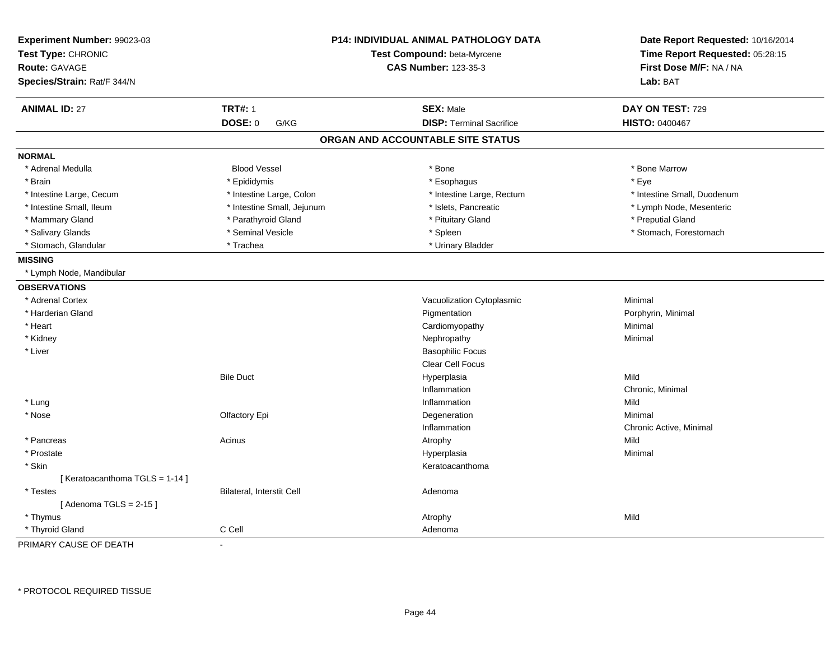| Experiment Number: 99023-03<br>Test Type: CHRONIC<br><b>Route: GAVAGE</b><br>Species/Strain: Rat/F 344/N |                            | P14: INDIVIDUAL ANIMAL PATHOLOGY DATA<br>Test Compound: beta-Myrcene<br><b>CAS Number: 123-35-3</b> | Date Report Requested: 10/16/2014<br>Time Report Requested: 05:28:15<br>First Dose M/F: NA / NA<br>Lab: BAT |
|----------------------------------------------------------------------------------------------------------|----------------------------|-----------------------------------------------------------------------------------------------------|-------------------------------------------------------------------------------------------------------------|
| <b>ANIMAL ID: 27</b>                                                                                     | <b>TRT#: 1</b>             | <b>SEX: Male</b>                                                                                    | DAY ON TEST: 729                                                                                            |
|                                                                                                          | <b>DOSE: 0</b><br>G/KG     | <b>DISP: Terminal Sacrifice</b>                                                                     | <b>HISTO: 0400467</b>                                                                                       |
|                                                                                                          |                            | ORGAN AND ACCOUNTABLE SITE STATUS                                                                   |                                                                                                             |
| <b>NORMAL</b>                                                                                            |                            |                                                                                                     |                                                                                                             |
| * Adrenal Medulla                                                                                        | <b>Blood Vessel</b>        | * Bone                                                                                              | * Bone Marrow                                                                                               |
| * Brain                                                                                                  | * Epididymis               | * Esophagus                                                                                         | * Eye                                                                                                       |
| * Intestine Large, Cecum                                                                                 | * Intestine Large, Colon   | * Intestine Large, Rectum                                                                           | * Intestine Small, Duodenum                                                                                 |
| * Intestine Small, Ileum                                                                                 | * Intestine Small, Jejunum | * Islets, Pancreatic                                                                                | * Lymph Node, Mesenteric                                                                                    |
| * Mammary Gland                                                                                          | * Parathyroid Gland        | * Pituitary Gland                                                                                   | * Preputial Gland                                                                                           |
| * Salivary Glands                                                                                        | * Seminal Vesicle          | * Spleen                                                                                            | * Stomach, Forestomach                                                                                      |
| * Stomach, Glandular                                                                                     | * Trachea                  | * Urinary Bladder                                                                                   |                                                                                                             |
| <b>MISSING</b>                                                                                           |                            |                                                                                                     |                                                                                                             |
| * Lymph Node, Mandibular                                                                                 |                            |                                                                                                     |                                                                                                             |
| <b>OBSERVATIONS</b>                                                                                      |                            |                                                                                                     |                                                                                                             |
| * Adrenal Cortex                                                                                         |                            | Vacuolization Cytoplasmic                                                                           | Minimal                                                                                                     |
| * Harderian Gland                                                                                        |                            | Pigmentation                                                                                        | Porphyrin, Minimal                                                                                          |
| * Heart                                                                                                  |                            | Cardiomyopathy                                                                                      | Minimal                                                                                                     |
| * Kidney                                                                                                 |                            | Nephropathy                                                                                         | Minimal                                                                                                     |
| * Liver                                                                                                  |                            | <b>Basophilic Focus</b>                                                                             |                                                                                                             |
|                                                                                                          |                            | Clear Cell Focus                                                                                    |                                                                                                             |
|                                                                                                          | <b>Bile Duct</b>           | Hyperplasia                                                                                         | Mild                                                                                                        |
|                                                                                                          |                            | Inflammation                                                                                        | Chronic, Minimal                                                                                            |
| * Lung                                                                                                   |                            | Inflammation                                                                                        | Mild                                                                                                        |
| * Nose                                                                                                   | Olfactory Epi              | Degeneration                                                                                        | Minimal                                                                                                     |
|                                                                                                          |                            | Inflammation                                                                                        | Chronic Active, Minimal                                                                                     |
| * Pancreas                                                                                               | Acinus                     | Atrophy                                                                                             | Mild                                                                                                        |
| * Prostate                                                                                               |                            | Hyperplasia                                                                                         | Minimal                                                                                                     |
| * Skin                                                                                                   |                            | Keratoacanthoma                                                                                     |                                                                                                             |
| [Keratoacanthoma TGLS = 1-14]                                                                            |                            |                                                                                                     |                                                                                                             |
| * Testes                                                                                                 | Bilateral, Interstit Cell  | Adenoma                                                                                             |                                                                                                             |
| [Adenoma TGLS = $2-15$ ]                                                                                 |                            |                                                                                                     |                                                                                                             |
| * Thymus                                                                                                 |                            | Atrophy                                                                                             | Mild                                                                                                        |
| * Thyroid Gland                                                                                          | C Cell                     | Adenoma                                                                                             |                                                                                                             |
| PRIMARY CAUSE OF DEATH                                                                                   |                            |                                                                                                     |                                                                                                             |

\* PROTOCOL REQUIRED TISSUE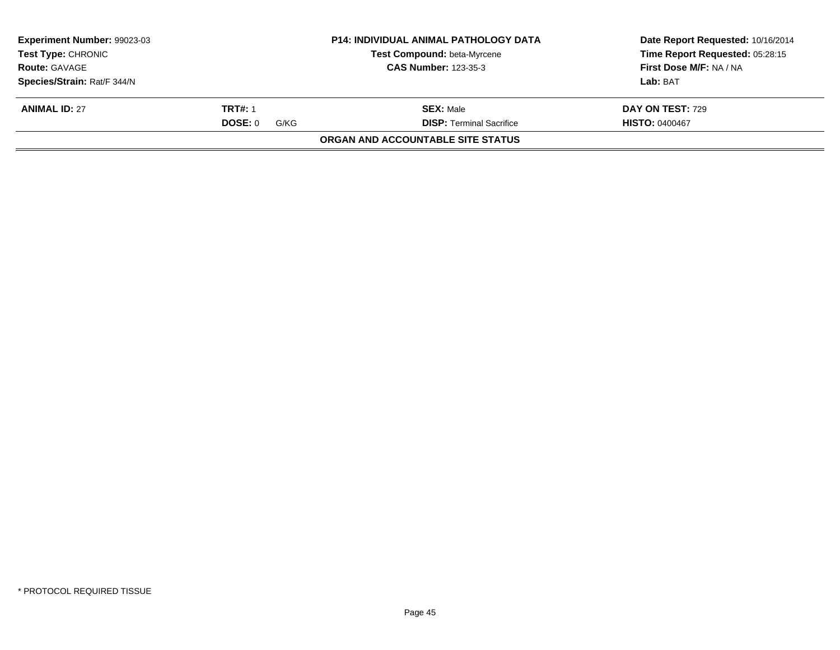| <b>Experiment Number: 99023-03</b> |                 | <b>P14: INDIVIDUAL ANIMAL PATHOLOGY DATA</b> | Date Report Requested: 10/16/2014 |
|------------------------------------|-----------------|----------------------------------------------|-----------------------------------|
| <b>Test Type: CHRONIC</b>          |                 | <b>Test Compound: beta-Myrcene</b>           | Time Report Requested: 05:28:15   |
| <b>Route: GAVAGE</b>               |                 | <b>CAS Number: 123-35-3</b>                  | First Dose M/F: NA / NA           |
| Species/Strain: Rat/F 344/N        |                 |                                              | Lab: BAT                          |
| <b>ANIMAL ID: 27</b>               | <b>TRT#: 1</b>  | <b>SEX:</b> Male                             | <b>DAY ON TEST: 729</b>           |
|                                    | DOSE: 0<br>G/KG | <b>DISP:</b> Terminal Sacrifice              | <b>HISTO: 0400467</b>             |
|                                    |                 | <b>ORGAN AND ACCOUNTABLE SITE STATUS</b>     |                                   |
|                                    |                 |                                              |                                   |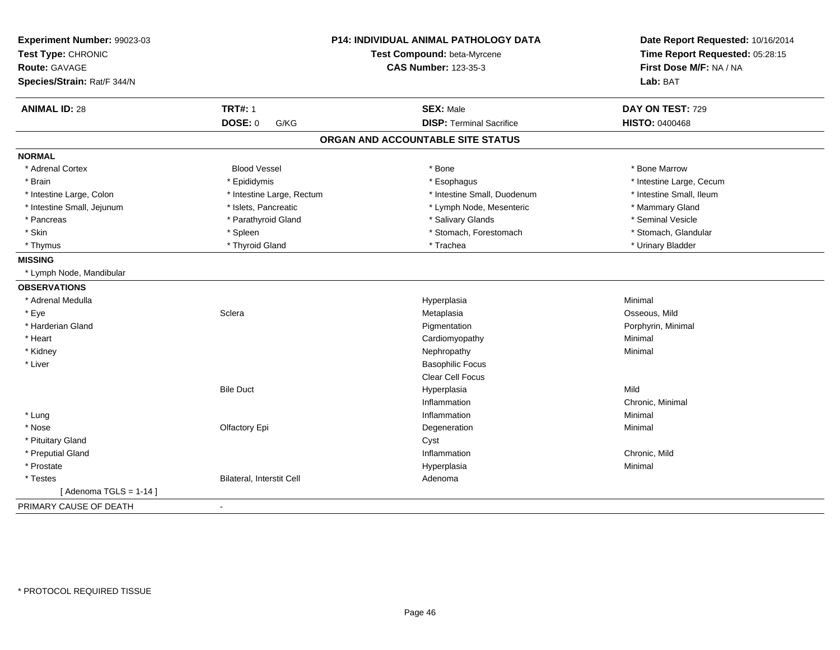| Experiment Number: 99023-03<br>Test Type: CHRONIC<br><b>Route: GAVAGE</b><br>Species/Strain: Rat/F 344/N |                           | P14: INDIVIDUAL ANIMAL PATHOLOGY DATA<br>Test Compound: beta-Myrcene<br><b>CAS Number: 123-35-3</b> | Date Report Requested: 10/16/2014<br>Time Report Requested: 05:28:15<br>First Dose M/F: NA / NA<br>Lab: BAT |
|----------------------------------------------------------------------------------------------------------|---------------------------|-----------------------------------------------------------------------------------------------------|-------------------------------------------------------------------------------------------------------------|
| <b>ANIMAL ID: 28</b>                                                                                     | <b>TRT#: 1</b>            | <b>SEX: Male</b>                                                                                    | DAY ON TEST: 729                                                                                            |
|                                                                                                          | <b>DOSE: 0</b><br>G/KG    | <b>DISP: Terminal Sacrifice</b>                                                                     | <b>HISTO: 0400468</b>                                                                                       |
|                                                                                                          |                           | ORGAN AND ACCOUNTABLE SITE STATUS                                                                   |                                                                                                             |
| <b>NORMAL</b>                                                                                            |                           |                                                                                                     |                                                                                                             |
| * Adrenal Cortex                                                                                         | <b>Blood Vessel</b>       | * Bone                                                                                              | * Bone Marrow                                                                                               |
| * Brain                                                                                                  | * Epididymis              | * Esophagus                                                                                         | * Intestine Large, Cecum                                                                                    |
| * Intestine Large, Colon                                                                                 | * Intestine Large, Rectum | * Intestine Small, Duodenum                                                                         | * Intestine Small, Ileum                                                                                    |
| * Intestine Small, Jejunum                                                                               | * Islets, Pancreatic      | * Lymph Node, Mesenteric                                                                            | * Mammary Gland                                                                                             |
| * Pancreas                                                                                               | * Parathyroid Gland       | * Salivary Glands                                                                                   | * Seminal Vesicle                                                                                           |
| * Skin                                                                                                   | * Spleen                  | * Stomach, Forestomach                                                                              | * Stomach, Glandular                                                                                        |
| * Thymus                                                                                                 | * Thyroid Gland           | * Trachea                                                                                           | * Urinary Bladder                                                                                           |
| <b>MISSING</b>                                                                                           |                           |                                                                                                     |                                                                                                             |
| * Lymph Node, Mandibular                                                                                 |                           |                                                                                                     |                                                                                                             |
| <b>OBSERVATIONS</b>                                                                                      |                           |                                                                                                     |                                                                                                             |
| * Adrenal Medulla                                                                                        |                           | Hyperplasia                                                                                         | Minimal                                                                                                     |
| * Eye                                                                                                    | Sclera                    | Metaplasia                                                                                          | Osseous, Mild                                                                                               |
| * Harderian Gland                                                                                        |                           | Pigmentation                                                                                        | Porphyrin, Minimal                                                                                          |
| * Heart                                                                                                  |                           | Cardiomyopathy                                                                                      | Minimal                                                                                                     |
| * Kidney                                                                                                 |                           | Nephropathy                                                                                         | Minimal                                                                                                     |
| * Liver                                                                                                  |                           | <b>Basophilic Focus</b>                                                                             |                                                                                                             |
|                                                                                                          |                           | <b>Clear Cell Focus</b>                                                                             |                                                                                                             |
|                                                                                                          | <b>Bile Duct</b>          | Hyperplasia                                                                                         | Mild                                                                                                        |
|                                                                                                          |                           | Inflammation                                                                                        | Chronic, Minimal                                                                                            |
| * Lung                                                                                                   |                           | Inflammation                                                                                        | Minimal                                                                                                     |
| * Nose                                                                                                   | Olfactory Epi             | Degeneration                                                                                        | Minimal                                                                                                     |
| * Pituitary Gland                                                                                        |                           | Cyst                                                                                                |                                                                                                             |
| * Preputial Gland                                                                                        |                           | Inflammation                                                                                        | Chronic, Mild                                                                                               |
| * Prostate                                                                                               |                           | Hyperplasia                                                                                         | Minimal                                                                                                     |
| * Testes                                                                                                 | Bilateral, Interstit Cell | Adenoma                                                                                             |                                                                                                             |
| [Adenoma TGLS = $1-14$ ]                                                                                 |                           |                                                                                                     |                                                                                                             |
| PRIMARY CAUSE OF DEATH                                                                                   | $\overline{\phantom{a}}$  |                                                                                                     |                                                                                                             |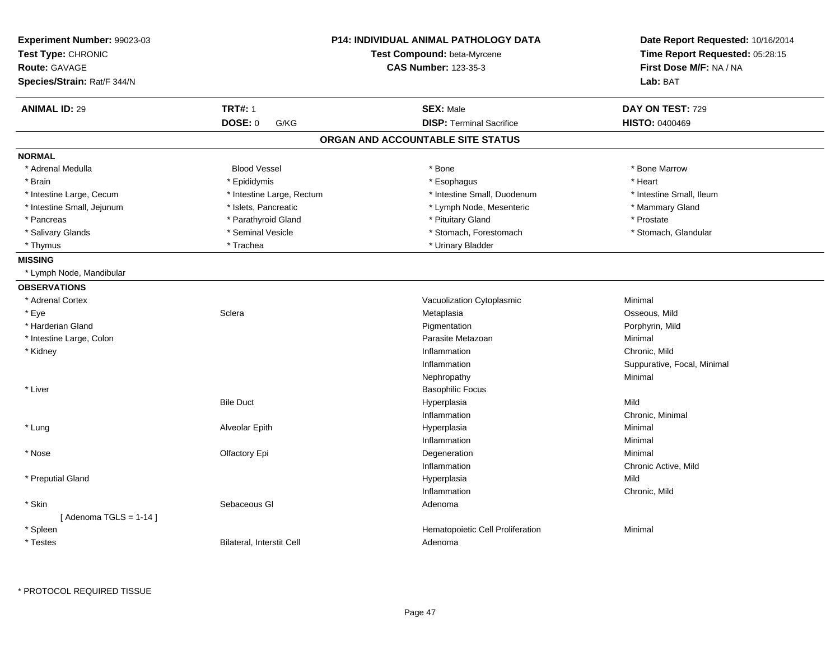| Experiment Number: 99023-03<br>Test Type: CHRONIC<br><b>Route: GAVAGE</b><br>Species/Strain: Rat/F 344/N |                                  | P14: INDIVIDUAL ANIMAL PATHOLOGY DATA<br>Test Compound: beta-Myrcene<br><b>CAS Number: 123-35-3</b> | Date Report Requested: 10/16/2014<br>Time Report Requested: 05:28:15<br>First Dose M/F: NA / NA<br>Lab: BAT |
|----------------------------------------------------------------------------------------------------------|----------------------------------|-----------------------------------------------------------------------------------------------------|-------------------------------------------------------------------------------------------------------------|
| <b>ANIMAL ID: 29</b>                                                                                     | <b>TRT#: 1</b>                   | <b>SEX: Male</b>                                                                                    | DAY ON TEST: 729                                                                                            |
|                                                                                                          | <b>DOSE: 0</b><br>G/KG           | <b>DISP: Terminal Sacrifice</b>                                                                     | <b>HISTO: 0400469</b>                                                                                       |
|                                                                                                          |                                  | ORGAN AND ACCOUNTABLE SITE STATUS                                                                   |                                                                                                             |
| <b>NORMAL</b>                                                                                            |                                  |                                                                                                     |                                                                                                             |
| * Adrenal Medulla                                                                                        | <b>Blood Vessel</b>              | * Bone                                                                                              | * Bone Marrow                                                                                               |
| * Brain                                                                                                  | * Epididymis                     | * Esophagus                                                                                         | * Heart                                                                                                     |
| * Intestine Large, Cecum                                                                                 | * Intestine Large, Rectum        | * Intestine Small, Duodenum                                                                         | * Intestine Small, Ileum                                                                                    |
| * Intestine Small, Jejunum                                                                               | * Islets, Pancreatic             | * Lymph Node, Mesenteric                                                                            | * Mammary Gland                                                                                             |
| * Pancreas                                                                                               | * Parathyroid Gland              | * Pituitary Gland                                                                                   | * Prostate                                                                                                  |
| * Salivary Glands                                                                                        | * Seminal Vesicle                | * Stomach, Forestomach                                                                              | * Stomach, Glandular                                                                                        |
| * Thymus                                                                                                 | * Trachea                        | * Urinary Bladder                                                                                   |                                                                                                             |
| <b>MISSING</b>                                                                                           |                                  |                                                                                                     |                                                                                                             |
| * Lymph Node, Mandibular                                                                                 |                                  |                                                                                                     |                                                                                                             |
| <b>OBSERVATIONS</b>                                                                                      |                                  |                                                                                                     |                                                                                                             |
| * Adrenal Cortex                                                                                         |                                  | Vacuolization Cytoplasmic                                                                           | Minimal                                                                                                     |
| * Eye                                                                                                    | Sclera                           | Metaplasia                                                                                          | Osseous, Mild                                                                                               |
| * Harderian Gland                                                                                        |                                  | Pigmentation                                                                                        | Porphyrin, Mild                                                                                             |
| * Intestine Large, Colon                                                                                 |                                  | Parasite Metazoan                                                                                   | Minimal                                                                                                     |
| * Kidney                                                                                                 |                                  | Inflammation                                                                                        | Chronic, Mild                                                                                               |
|                                                                                                          |                                  | Inflammation                                                                                        | Suppurative, Focal, Minimal                                                                                 |
|                                                                                                          |                                  | Nephropathy                                                                                         | Minimal                                                                                                     |
| * Liver                                                                                                  |                                  | <b>Basophilic Focus</b>                                                                             |                                                                                                             |
|                                                                                                          | <b>Bile Duct</b>                 | Hyperplasia                                                                                         | Mild                                                                                                        |
|                                                                                                          |                                  | Inflammation                                                                                        | Chronic, Minimal                                                                                            |
| * Lung                                                                                                   | Alveolar Epith                   | Hyperplasia                                                                                         | Minimal                                                                                                     |
|                                                                                                          |                                  | Inflammation                                                                                        | Minimal                                                                                                     |
| * Nose                                                                                                   | Olfactory Epi                    | Degeneration                                                                                        | Minimal                                                                                                     |
|                                                                                                          |                                  | Inflammation                                                                                        | Chronic Active, Mild                                                                                        |
| * Preputial Gland                                                                                        |                                  | Hyperplasia                                                                                         | Mild                                                                                                        |
|                                                                                                          |                                  | Inflammation                                                                                        | Chronic, Mild                                                                                               |
| * Skin                                                                                                   | Sebaceous GI                     | Adenoma                                                                                             |                                                                                                             |
| [Adenoma TGLS = $1-14$ ]                                                                                 |                                  |                                                                                                     |                                                                                                             |
| * Spleen                                                                                                 |                                  | Hematopoietic Cell Proliferation                                                                    | Minimal                                                                                                     |
| * Testes                                                                                                 | <b>Bilateral, Interstit Cell</b> | Adenoma                                                                                             |                                                                                                             |

\* PROTOCOL REQUIRED TISSUE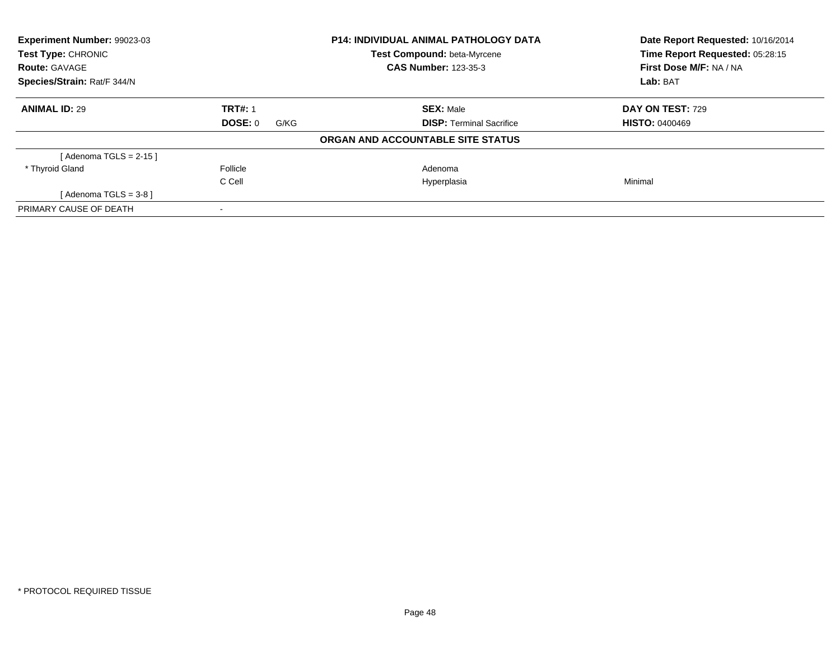| Experiment Number: 99023-03<br><b>Test Type: CHRONIC</b> |                 | <b>P14: INDIVIDUAL ANIMAL PATHOLOGY DATA</b><br>Test Compound: beta-Myrcene | Date Report Requested: 10/16/2014<br>Time Report Requested: 05:28:15 |
|----------------------------------------------------------|-----------------|-----------------------------------------------------------------------------|----------------------------------------------------------------------|
| <b>Route: GAVAGE</b>                                     |                 | <b>CAS Number: 123-35-3</b>                                                 | First Dose M/F: NA / NA                                              |
| Species/Strain: Rat/F 344/N                              |                 |                                                                             | Lab: BAT                                                             |
| <b>ANIMAL ID: 29</b>                                     | <b>TRT#: 1</b>  | <b>SEX: Male</b>                                                            | <b>DAY ON TEST: 729</b>                                              |
|                                                          | DOSE: 0<br>G/KG | <b>DISP: Terminal Sacrifice</b>                                             | <b>HISTO: 0400469</b>                                                |
|                                                          |                 | ORGAN AND ACCOUNTABLE SITE STATUS                                           |                                                                      |
| [Adenoma TGLS = $2-15$ ]                                 |                 |                                                                             |                                                                      |
| * Thyroid Gland                                          | Follicle        | Adenoma                                                                     |                                                                      |
|                                                          | C Cell          | Hyperplasia                                                                 | Minimal                                                              |
| [Adenoma TGLS = $3-8$ ]                                  |                 |                                                                             |                                                                      |
| PRIMARY CAUSE OF DEATH                                   |                 |                                                                             |                                                                      |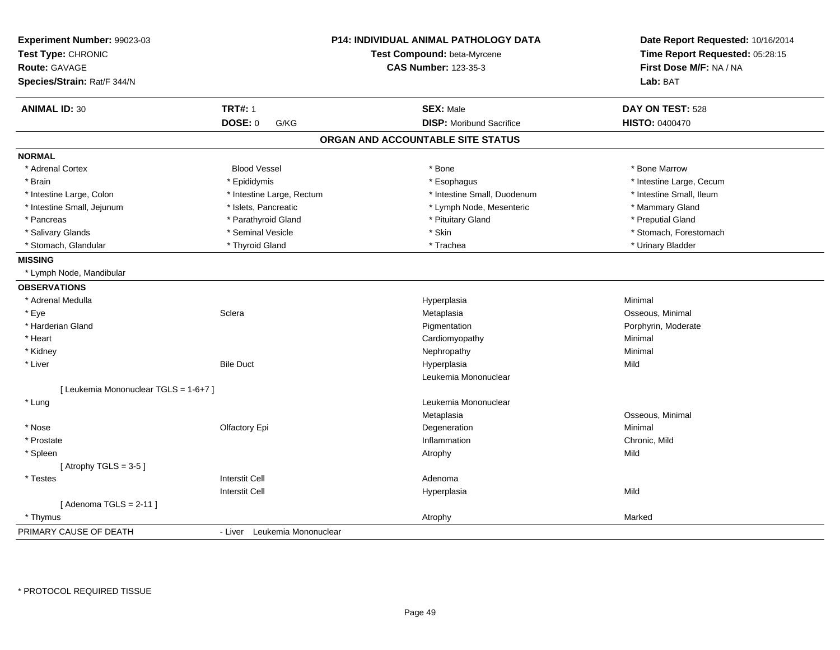| Experiment Number: 99023-03<br>Test Type: CHRONIC<br><b>Route: GAVAGE</b><br>Species/Strain: Rat/F 344/N |                              | <b>P14: INDIVIDUAL ANIMAL PATHOLOGY DATA</b><br>Test Compound: beta-Myrcene<br><b>CAS Number: 123-35-3</b> | Date Report Requested: 10/16/2014<br>Time Report Requested: 05:28:15<br>First Dose M/F: NA / NA<br>Lab: BAT |
|----------------------------------------------------------------------------------------------------------|------------------------------|------------------------------------------------------------------------------------------------------------|-------------------------------------------------------------------------------------------------------------|
| <b>ANIMAL ID: 30</b>                                                                                     | <b>TRT#: 1</b>               | <b>SEX: Male</b>                                                                                           | DAY ON TEST: 528                                                                                            |
|                                                                                                          | <b>DOSE: 0</b><br>G/KG       | <b>DISP: Moribund Sacrifice</b>                                                                            | <b>HISTO: 0400470</b>                                                                                       |
|                                                                                                          |                              | ORGAN AND ACCOUNTABLE SITE STATUS                                                                          |                                                                                                             |
| <b>NORMAL</b>                                                                                            |                              |                                                                                                            |                                                                                                             |
| * Adrenal Cortex                                                                                         | <b>Blood Vessel</b>          | * Bone                                                                                                     | * Bone Marrow                                                                                               |
| * Brain                                                                                                  | * Epididymis                 | * Esophagus                                                                                                | * Intestine Large, Cecum                                                                                    |
| * Intestine Large, Colon                                                                                 | * Intestine Large, Rectum    | * Intestine Small, Duodenum                                                                                | * Intestine Small, Ileum                                                                                    |
| * Intestine Small, Jejunum                                                                               | * Islets, Pancreatic         | * Lymph Node, Mesenteric                                                                                   | * Mammary Gland                                                                                             |
| * Pancreas                                                                                               | * Parathyroid Gland          | * Pituitary Gland                                                                                          | * Preputial Gland                                                                                           |
| * Salivary Glands                                                                                        | * Seminal Vesicle            | * Skin                                                                                                     | * Stomach, Forestomach                                                                                      |
| * Stomach, Glandular                                                                                     | * Thyroid Gland              | * Trachea                                                                                                  | * Urinary Bladder                                                                                           |
| <b>MISSING</b>                                                                                           |                              |                                                                                                            |                                                                                                             |
| * Lymph Node, Mandibular                                                                                 |                              |                                                                                                            |                                                                                                             |
| <b>OBSERVATIONS</b>                                                                                      |                              |                                                                                                            |                                                                                                             |
| * Adrenal Medulla                                                                                        |                              | Hyperplasia                                                                                                | Minimal                                                                                                     |
| * Eye                                                                                                    | Sclera                       | Metaplasia                                                                                                 | Osseous, Minimal                                                                                            |
| * Harderian Gland                                                                                        |                              | Pigmentation                                                                                               | Porphyrin, Moderate                                                                                         |
| * Heart                                                                                                  |                              | Cardiomyopathy                                                                                             | Minimal                                                                                                     |
| * Kidney                                                                                                 |                              | Nephropathy                                                                                                | Minimal                                                                                                     |
| * Liver                                                                                                  | <b>Bile Duct</b>             | Hyperplasia                                                                                                | Mild                                                                                                        |
|                                                                                                          |                              | Leukemia Mononuclear                                                                                       |                                                                                                             |
| [ Leukemia Mononuclear TGLS = 1-6+7 ]                                                                    |                              |                                                                                                            |                                                                                                             |
| * Lung                                                                                                   |                              | Leukemia Mononuclear                                                                                       |                                                                                                             |
|                                                                                                          |                              | Metaplasia                                                                                                 | Osseous, Minimal                                                                                            |
| * Nose                                                                                                   | Olfactory Epi                | Degeneration                                                                                               | Minimal                                                                                                     |
| * Prostate                                                                                               |                              | Inflammation                                                                                               | Chronic, Mild                                                                                               |
| * Spleen                                                                                                 |                              | Atrophy                                                                                                    | Mild                                                                                                        |
| [Atrophy TGLS = $3-5$ ]                                                                                  |                              |                                                                                                            |                                                                                                             |
| * Testes                                                                                                 | <b>Interstit Cell</b>        | Adenoma                                                                                                    |                                                                                                             |
|                                                                                                          | <b>Interstit Cell</b>        | Hyperplasia                                                                                                | Mild                                                                                                        |
| [Adenoma TGLS = $2-11$ ]                                                                                 |                              |                                                                                                            |                                                                                                             |
| * Thymus                                                                                                 |                              | Atrophy                                                                                                    | Marked                                                                                                      |
| PRIMARY CAUSE OF DEATH                                                                                   | - Liver Leukemia Mononuclear |                                                                                                            |                                                                                                             |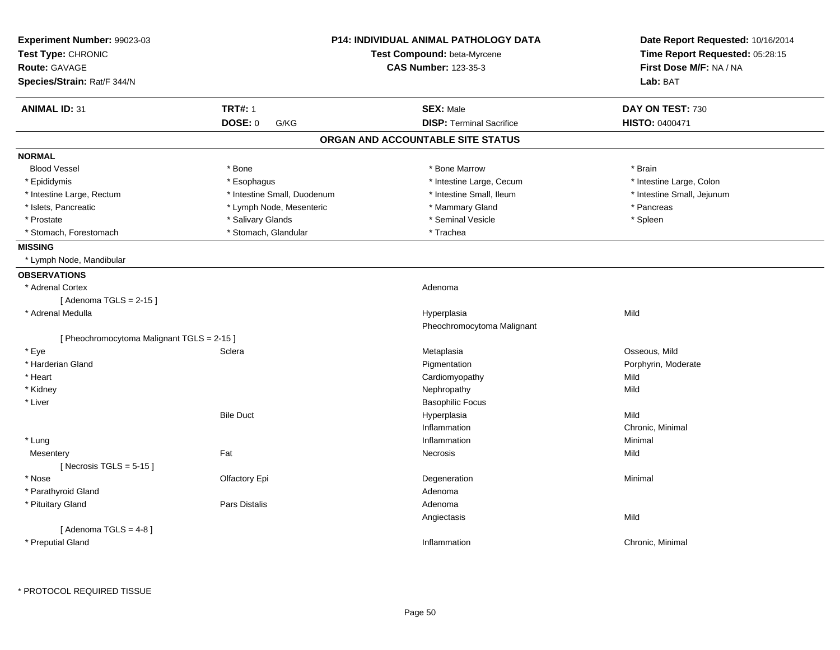| Lab: BAT<br><b>TRT#: 1</b><br><b>SEX: Male</b><br>DAY ON TEST: 730<br><b>DISP: Terminal Sacrifice</b><br>DOSE: 0<br>HISTO: 0400471<br>G/KG<br>ORGAN AND ACCOUNTABLE SITE STATUS<br><b>NORMAL</b><br><b>Blood Vessel</b><br>* Bone<br>* Bone Marrow<br>* Brain<br>* Epididymis<br>* Esophagus<br>* Intestine Large, Cecum<br>* Intestine Large, Colon<br>* Intestine Small, Duodenum<br>* Intestine Small, Ileum<br>* Intestine Small, Jejunum<br>* Intestine Large, Rectum<br>* Islets, Pancreatic<br>* Lymph Node, Mesenteric<br>* Mammary Gland<br>* Pancreas<br>* Salivary Glands<br>* Prostate<br>* Seminal Vesicle<br>* Spleen<br>* Stomach, Glandular<br>* Stomach, Forestomach<br>* Trachea<br><b>MISSING</b><br>* Lymph Node, Mandibular<br>* Adrenal Cortex<br>Adenoma<br>[Adenoma TGLS = $2-15$ ]<br>Mild<br>* Adrenal Medulla<br>Hyperplasia<br>Pheochromocytoma Malignant<br>[ Pheochromocytoma Malignant TGLS = 2-15 ]<br>Osseous, Mild<br>* Eye<br>Sclera<br>Metaplasia<br>* Harderian Gland<br>Porphyrin, Moderate<br>Pigmentation<br>* Heart<br>Mild<br>Cardiomyopathy<br>* Kidney<br>Nephropathy<br>Mild<br>* Liver<br><b>Basophilic Focus</b><br><b>Bile Duct</b><br>Hyperplasia<br>Mild<br>Chronic, Minimal<br>Inflammation<br>* Lung<br>Inflammation<br>Minimal<br>Fat<br>Mild<br>Necrosis<br>Mesentery<br>[Necrosis TGLS = $5-15$ ]<br>Olfactory Epi<br>Minimal<br>* Nose<br>Degeneration<br>* Parathyroid Gland<br>Adenoma<br>Pars Distalis<br>* Pituitary Gland<br>Adenoma<br>Mild<br>Angiectasis<br>[Adenoma TGLS = $4-8$ ]<br>* Preputial Gland<br>Inflammation<br>Chronic, Minimal | Experiment Number: 99023-03<br>Test Type: CHRONIC<br>Route: GAVAGE | <b>P14: INDIVIDUAL ANIMAL PATHOLOGY DATA</b><br>Test Compound: beta-Myrcene<br><b>CAS Number: 123-35-3</b> | Date Report Requested: 10/16/2014<br>Time Report Requested: 05:28:15<br>First Dose M/F: NA / NA |
|--------------------------------------------------------------------------------------------------------------------------------------------------------------------------------------------------------------------------------------------------------------------------------------------------------------------------------------------------------------------------------------------------------------------------------------------------------------------------------------------------------------------------------------------------------------------------------------------------------------------------------------------------------------------------------------------------------------------------------------------------------------------------------------------------------------------------------------------------------------------------------------------------------------------------------------------------------------------------------------------------------------------------------------------------------------------------------------------------------------------------------------------------------------------------------------------------------------------------------------------------------------------------------------------------------------------------------------------------------------------------------------------------------------------------------------------------------------------------------------------------------------------------------------------------------------------------------------------------------------|--------------------------------------------------------------------|------------------------------------------------------------------------------------------------------------|-------------------------------------------------------------------------------------------------|
|                                                                                                                                                                                                                                                                                                                                                                                                                                                                                                                                                                                                                                                                                                                                                                                                                                                                                                                                                                                                                                                                                                                                                                                                                                                                                                                                                                                                                                                                                                                                                                                                              | Species/Strain: Rat/F 344/N                                        |                                                                                                            |                                                                                                 |
|                                                                                                                                                                                                                                                                                                                                                                                                                                                                                                                                                                                                                                                                                                                                                                                                                                                                                                                                                                                                                                                                                                                                                                                                                                                                                                                                                                                                                                                                                                                                                                                                              | <b>ANIMAL ID: 31</b>                                               |                                                                                                            |                                                                                                 |
|                                                                                                                                                                                                                                                                                                                                                                                                                                                                                                                                                                                                                                                                                                                                                                                                                                                                                                                                                                                                                                                                                                                                                                                                                                                                                                                                                                                                                                                                                                                                                                                                              |                                                                    |                                                                                                            |                                                                                                 |
|                                                                                                                                                                                                                                                                                                                                                                                                                                                                                                                                                                                                                                                                                                                                                                                                                                                                                                                                                                                                                                                                                                                                                                                                                                                                                                                                                                                                                                                                                                                                                                                                              |                                                                    |                                                                                                            |                                                                                                 |
|                                                                                                                                                                                                                                                                                                                                                                                                                                                                                                                                                                                                                                                                                                                                                                                                                                                                                                                                                                                                                                                                                                                                                                                                                                                                                                                                                                                                                                                                                                                                                                                                              |                                                                    |                                                                                                            |                                                                                                 |
|                                                                                                                                                                                                                                                                                                                                                                                                                                                                                                                                                                                                                                                                                                                                                                                                                                                                                                                                                                                                                                                                                                                                                                                                                                                                                                                                                                                                                                                                                                                                                                                                              |                                                                    |                                                                                                            |                                                                                                 |
|                                                                                                                                                                                                                                                                                                                                                                                                                                                                                                                                                                                                                                                                                                                                                                                                                                                                                                                                                                                                                                                                                                                                                                                                                                                                                                                                                                                                                                                                                                                                                                                                              |                                                                    |                                                                                                            |                                                                                                 |
|                                                                                                                                                                                                                                                                                                                                                                                                                                                                                                                                                                                                                                                                                                                                                                                                                                                                                                                                                                                                                                                                                                                                                                                                                                                                                                                                                                                                                                                                                                                                                                                                              |                                                                    |                                                                                                            |                                                                                                 |
|                                                                                                                                                                                                                                                                                                                                                                                                                                                                                                                                                                                                                                                                                                                                                                                                                                                                                                                                                                                                                                                                                                                                                                                                                                                                                                                                                                                                                                                                                                                                                                                                              |                                                                    |                                                                                                            |                                                                                                 |
|                                                                                                                                                                                                                                                                                                                                                                                                                                                                                                                                                                                                                                                                                                                                                                                                                                                                                                                                                                                                                                                                                                                                                                                                                                                                                                                                                                                                                                                                                                                                                                                                              |                                                                    |                                                                                                            |                                                                                                 |
|                                                                                                                                                                                                                                                                                                                                                                                                                                                                                                                                                                                                                                                                                                                                                                                                                                                                                                                                                                                                                                                                                                                                                                                                                                                                                                                                                                                                                                                                                                                                                                                                              |                                                                    |                                                                                                            |                                                                                                 |
|                                                                                                                                                                                                                                                                                                                                                                                                                                                                                                                                                                                                                                                                                                                                                                                                                                                                                                                                                                                                                                                                                                                                                                                                                                                                                                                                                                                                                                                                                                                                                                                                              |                                                                    |                                                                                                            |                                                                                                 |
|                                                                                                                                                                                                                                                                                                                                                                                                                                                                                                                                                                                                                                                                                                                                                                                                                                                                                                                                                                                                                                                                                                                                                                                                                                                                                                                                                                                                                                                                                                                                                                                                              |                                                                    |                                                                                                            |                                                                                                 |
|                                                                                                                                                                                                                                                                                                                                                                                                                                                                                                                                                                                                                                                                                                                                                                                                                                                                                                                                                                                                                                                                                                                                                                                                                                                                                                                                                                                                                                                                                                                                                                                                              | <b>OBSERVATIONS</b>                                                |                                                                                                            |                                                                                                 |
|                                                                                                                                                                                                                                                                                                                                                                                                                                                                                                                                                                                                                                                                                                                                                                                                                                                                                                                                                                                                                                                                                                                                                                                                                                                                                                                                                                                                                                                                                                                                                                                                              |                                                                    |                                                                                                            |                                                                                                 |
|                                                                                                                                                                                                                                                                                                                                                                                                                                                                                                                                                                                                                                                                                                                                                                                                                                                                                                                                                                                                                                                                                                                                                                                                                                                                                                                                                                                                                                                                                                                                                                                                              |                                                                    |                                                                                                            |                                                                                                 |
|                                                                                                                                                                                                                                                                                                                                                                                                                                                                                                                                                                                                                                                                                                                                                                                                                                                                                                                                                                                                                                                                                                                                                                                                                                                                                                                                                                                                                                                                                                                                                                                                              |                                                                    |                                                                                                            |                                                                                                 |
|                                                                                                                                                                                                                                                                                                                                                                                                                                                                                                                                                                                                                                                                                                                                                                                                                                                                                                                                                                                                                                                                                                                                                                                                                                                                                                                                                                                                                                                                                                                                                                                                              |                                                                    |                                                                                                            |                                                                                                 |
|                                                                                                                                                                                                                                                                                                                                                                                                                                                                                                                                                                                                                                                                                                                                                                                                                                                                                                                                                                                                                                                                                                                                                                                                                                                                                                                                                                                                                                                                                                                                                                                                              |                                                                    |                                                                                                            |                                                                                                 |
|                                                                                                                                                                                                                                                                                                                                                                                                                                                                                                                                                                                                                                                                                                                                                                                                                                                                                                                                                                                                                                                                                                                                                                                                                                                                                                                                                                                                                                                                                                                                                                                                              |                                                                    |                                                                                                            |                                                                                                 |
|                                                                                                                                                                                                                                                                                                                                                                                                                                                                                                                                                                                                                                                                                                                                                                                                                                                                                                                                                                                                                                                                                                                                                                                                                                                                                                                                                                                                                                                                                                                                                                                                              |                                                                    |                                                                                                            |                                                                                                 |
|                                                                                                                                                                                                                                                                                                                                                                                                                                                                                                                                                                                                                                                                                                                                                                                                                                                                                                                                                                                                                                                                                                                                                                                                                                                                                                                                                                                                                                                                                                                                                                                                              |                                                                    |                                                                                                            |                                                                                                 |
|                                                                                                                                                                                                                                                                                                                                                                                                                                                                                                                                                                                                                                                                                                                                                                                                                                                                                                                                                                                                                                                                                                                                                                                                                                                                                                                                                                                                                                                                                                                                                                                                              |                                                                    |                                                                                                            |                                                                                                 |
|                                                                                                                                                                                                                                                                                                                                                                                                                                                                                                                                                                                                                                                                                                                                                                                                                                                                                                                                                                                                                                                                                                                                                                                                                                                                                                                                                                                                                                                                                                                                                                                                              |                                                                    |                                                                                                            |                                                                                                 |
|                                                                                                                                                                                                                                                                                                                                                                                                                                                                                                                                                                                                                                                                                                                                                                                                                                                                                                                                                                                                                                                                                                                                                                                                                                                                                                                                                                                                                                                                                                                                                                                                              |                                                                    |                                                                                                            |                                                                                                 |
|                                                                                                                                                                                                                                                                                                                                                                                                                                                                                                                                                                                                                                                                                                                                                                                                                                                                                                                                                                                                                                                                                                                                                                                                                                                                                                                                                                                                                                                                                                                                                                                                              |                                                                    |                                                                                                            |                                                                                                 |
|                                                                                                                                                                                                                                                                                                                                                                                                                                                                                                                                                                                                                                                                                                                                                                                                                                                                                                                                                                                                                                                                                                                                                                                                                                                                                                                                                                                                                                                                                                                                                                                                              |                                                                    |                                                                                                            |                                                                                                 |
|                                                                                                                                                                                                                                                                                                                                                                                                                                                                                                                                                                                                                                                                                                                                                                                                                                                                                                                                                                                                                                                                                                                                                                                                                                                                                                                                                                                                                                                                                                                                                                                                              |                                                                    |                                                                                                            |                                                                                                 |
|                                                                                                                                                                                                                                                                                                                                                                                                                                                                                                                                                                                                                                                                                                                                                                                                                                                                                                                                                                                                                                                                                                                                                                                                                                                                                                                                                                                                                                                                                                                                                                                                              |                                                                    |                                                                                                            |                                                                                                 |
|                                                                                                                                                                                                                                                                                                                                                                                                                                                                                                                                                                                                                                                                                                                                                                                                                                                                                                                                                                                                                                                                                                                                                                                                                                                                                                                                                                                                                                                                                                                                                                                                              |                                                                    |                                                                                                            |                                                                                                 |
|                                                                                                                                                                                                                                                                                                                                                                                                                                                                                                                                                                                                                                                                                                                                                                                                                                                                                                                                                                                                                                                                                                                                                                                                                                                                                                                                                                                                                                                                                                                                                                                                              |                                                                    |                                                                                                            |                                                                                                 |
|                                                                                                                                                                                                                                                                                                                                                                                                                                                                                                                                                                                                                                                                                                                                                                                                                                                                                                                                                                                                                                                                                                                                                                                                                                                                                                                                                                                                                                                                                                                                                                                                              |                                                                    |                                                                                                            |                                                                                                 |
|                                                                                                                                                                                                                                                                                                                                                                                                                                                                                                                                                                                                                                                                                                                                                                                                                                                                                                                                                                                                                                                                                                                                                                                                                                                                                                                                                                                                                                                                                                                                                                                                              |                                                                    |                                                                                                            |                                                                                                 |
|                                                                                                                                                                                                                                                                                                                                                                                                                                                                                                                                                                                                                                                                                                                                                                                                                                                                                                                                                                                                                                                                                                                                                                                                                                                                                                                                                                                                                                                                                                                                                                                                              |                                                                    |                                                                                                            |                                                                                                 |
|                                                                                                                                                                                                                                                                                                                                                                                                                                                                                                                                                                                                                                                                                                                                                                                                                                                                                                                                                                                                                                                                                                                                                                                                                                                                                                                                                                                                                                                                                                                                                                                                              |                                                                    |                                                                                                            |                                                                                                 |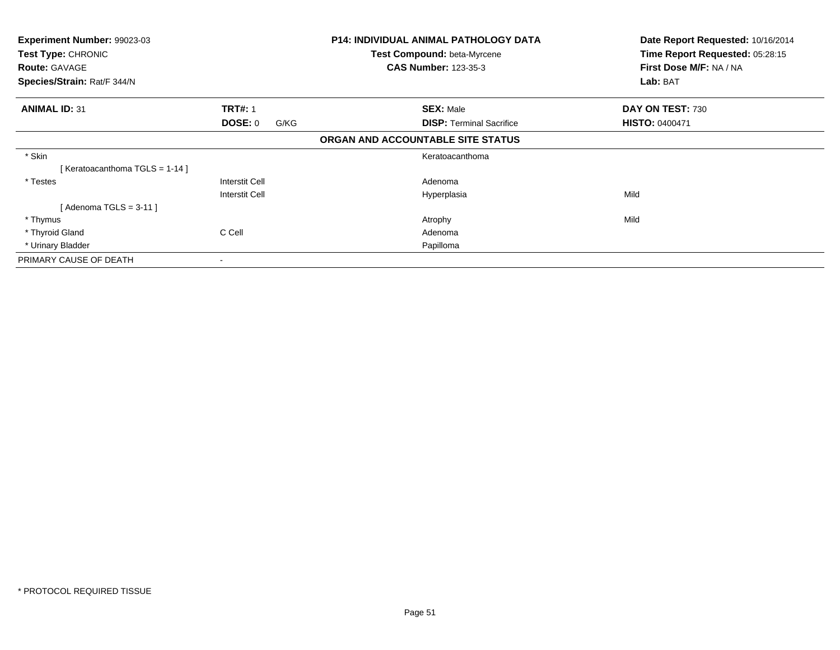| <b>Experiment Number: 99023-03</b><br>Test Type: CHRONIC |                        | <b>P14: INDIVIDUAL ANIMAL PATHOLOGY DATA</b> | Date Report Requested: 10/16/2014 |
|----------------------------------------------------------|------------------------|----------------------------------------------|-----------------------------------|
|                                                          |                        | Test Compound: beta-Myrcene                  | Time Report Requested: 05:28:15   |
| <b>Route: GAVAGE</b>                                     |                        | <b>CAS Number: 123-35-3</b>                  | First Dose M/F: NA / NA           |
| Species/Strain: Rat/F 344/N                              |                        |                                              | Lab: BAT                          |
| <b>ANIMAL ID: 31</b>                                     | <b>TRT#: 1</b>         | <b>SEX: Male</b>                             | DAY ON TEST: 730                  |
|                                                          | <b>DOSE: 0</b><br>G/KG | <b>DISP: Terminal Sacrifice</b>              | <b>HISTO: 0400471</b>             |
|                                                          |                        | ORGAN AND ACCOUNTABLE SITE STATUS            |                                   |
| * Skin                                                   |                        | Keratoacanthoma                              |                                   |
| [Keratoacanthoma TGLS = 1-14]                            |                        |                                              |                                   |
| * Testes                                                 | <b>Interstit Cell</b>  | Adenoma                                      |                                   |
|                                                          | <b>Interstit Cell</b>  | Hyperplasia                                  | Mild                              |
| Adenoma TGLS = 3-11 ]                                    |                        |                                              |                                   |
| * Thymus                                                 |                        | Atrophy                                      | Mild                              |
| * Thyroid Gland                                          | C Cell                 | Adenoma                                      |                                   |
| * Urinary Bladder                                        |                        | Papilloma                                    |                                   |
| PRIMARY CAUSE OF DEATH                                   |                        |                                              |                                   |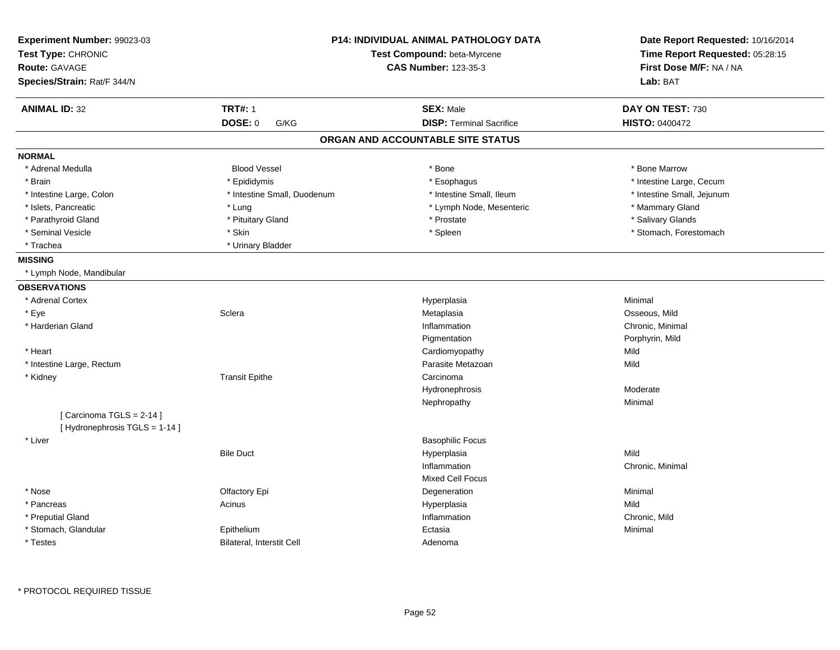| <b>ANIMAL ID: 32</b><br><b>TRT#: 1</b><br><b>SEX: Male</b><br>DAY ON TEST: 730<br><b>DOSE: 0</b><br><b>DISP: Terminal Sacrifice</b><br>G/KG<br><b>HISTO: 0400472</b><br>ORGAN AND ACCOUNTABLE SITE STATUS<br><b>NORMAL</b><br>* Adrenal Medulla<br><b>Blood Vessel</b><br>* Bone<br>* Bone Marrow<br>* Intestine Large, Cecum<br>* Brain<br>* Epididymis<br>* Esophagus<br>* Intestine Small, Ileum<br>* Intestine Small, Jejunum<br>* Intestine Large, Colon<br>* Intestine Small, Duodenum<br>* Islets, Pancreatic<br>* Lymph Node, Mesenteric<br>* Mammary Gland<br>* Lung<br>* Prostate<br>* Parathyroid Gland<br>* Pituitary Gland<br>* Salivary Glands<br>* Spleen<br>* Stomach, Forestomach<br>* Seminal Vesicle<br>* Skin<br>* Trachea<br>* Urinary Bladder<br><b>MISSING</b><br>* Lymph Node, Mandibular<br><b>OBSERVATIONS</b><br>* Adrenal Cortex<br>Minimal<br>Hyperplasia<br>* Eye<br>Sclera<br>Osseous, Mild<br>Metaplasia<br>* Harderian Gland<br>Inflammation<br>Chronic, Minimal<br>Porphyrin, Mild<br>Pigmentation<br>Mild<br>* Heart<br>Cardiomyopathy<br>Parasite Metazoan<br>Mild<br>* Intestine Large, Rectum<br><b>Transit Epithe</b><br>Carcinoma<br>* Kidney<br>Moderate<br>Hydronephrosis<br>Minimal<br>Nephropathy<br>[Carcinoma TGLS = 2-14]<br>[Hydronephrosis TGLS = 1-14]<br><b>Basophilic Focus</b><br>* Liver<br><b>Bile Duct</b><br>Mild<br>Hyperplasia<br>Inflammation<br>Chronic, Minimal<br><b>Mixed Cell Focus</b><br>* Nose<br>Olfactory Epi<br>Degeneration<br>Minimal<br>Mild<br>* Pancreas<br>Acinus<br>Hyperplasia<br>* Preputial Gland<br>Inflammation<br>Chronic, Mild<br>* Stomach, Glandular<br>Epithelium<br>Ectasia<br>Minimal | Experiment Number: 99023-03<br>Test Type: CHRONIC<br><b>Route: GAVAGE</b><br>Species/Strain: Rat/F 344/N |                           | <b>P14: INDIVIDUAL ANIMAL PATHOLOGY DATA</b><br>Test Compound: beta-Myrcene<br><b>CAS Number: 123-35-3</b> | Date Report Requested: 10/16/2014<br>Time Report Requested: 05:28:15<br>First Dose M/F: NA / NA<br>Lab: BAT |
|---------------------------------------------------------------------------------------------------------------------------------------------------------------------------------------------------------------------------------------------------------------------------------------------------------------------------------------------------------------------------------------------------------------------------------------------------------------------------------------------------------------------------------------------------------------------------------------------------------------------------------------------------------------------------------------------------------------------------------------------------------------------------------------------------------------------------------------------------------------------------------------------------------------------------------------------------------------------------------------------------------------------------------------------------------------------------------------------------------------------------------------------------------------------------------------------------------------------------------------------------------------------------------------------------------------------------------------------------------------------------------------------------------------------------------------------------------------------------------------------------------------------------------------------------------------------------------------------------------------------------------------------------------------------------------|----------------------------------------------------------------------------------------------------------|---------------------------|------------------------------------------------------------------------------------------------------------|-------------------------------------------------------------------------------------------------------------|
|                                                                                                                                                                                                                                                                                                                                                                                                                                                                                                                                                                                                                                                                                                                                                                                                                                                                                                                                                                                                                                                                                                                                                                                                                                                                                                                                                                                                                                                                                                                                                                                                                                                                                 |                                                                                                          |                           |                                                                                                            |                                                                                                             |
|                                                                                                                                                                                                                                                                                                                                                                                                                                                                                                                                                                                                                                                                                                                                                                                                                                                                                                                                                                                                                                                                                                                                                                                                                                                                                                                                                                                                                                                                                                                                                                                                                                                                                 |                                                                                                          |                           |                                                                                                            |                                                                                                             |
|                                                                                                                                                                                                                                                                                                                                                                                                                                                                                                                                                                                                                                                                                                                                                                                                                                                                                                                                                                                                                                                                                                                                                                                                                                                                                                                                                                                                                                                                                                                                                                                                                                                                                 |                                                                                                          |                           |                                                                                                            |                                                                                                             |
|                                                                                                                                                                                                                                                                                                                                                                                                                                                                                                                                                                                                                                                                                                                                                                                                                                                                                                                                                                                                                                                                                                                                                                                                                                                                                                                                                                                                                                                                                                                                                                                                                                                                                 |                                                                                                          |                           |                                                                                                            |                                                                                                             |
|                                                                                                                                                                                                                                                                                                                                                                                                                                                                                                                                                                                                                                                                                                                                                                                                                                                                                                                                                                                                                                                                                                                                                                                                                                                                                                                                                                                                                                                                                                                                                                                                                                                                                 |                                                                                                          |                           |                                                                                                            |                                                                                                             |
|                                                                                                                                                                                                                                                                                                                                                                                                                                                                                                                                                                                                                                                                                                                                                                                                                                                                                                                                                                                                                                                                                                                                                                                                                                                                                                                                                                                                                                                                                                                                                                                                                                                                                 |                                                                                                          |                           |                                                                                                            |                                                                                                             |
|                                                                                                                                                                                                                                                                                                                                                                                                                                                                                                                                                                                                                                                                                                                                                                                                                                                                                                                                                                                                                                                                                                                                                                                                                                                                                                                                                                                                                                                                                                                                                                                                                                                                                 |                                                                                                          |                           |                                                                                                            |                                                                                                             |
|                                                                                                                                                                                                                                                                                                                                                                                                                                                                                                                                                                                                                                                                                                                                                                                                                                                                                                                                                                                                                                                                                                                                                                                                                                                                                                                                                                                                                                                                                                                                                                                                                                                                                 |                                                                                                          |                           |                                                                                                            |                                                                                                             |
|                                                                                                                                                                                                                                                                                                                                                                                                                                                                                                                                                                                                                                                                                                                                                                                                                                                                                                                                                                                                                                                                                                                                                                                                                                                                                                                                                                                                                                                                                                                                                                                                                                                                                 |                                                                                                          |                           |                                                                                                            |                                                                                                             |
|                                                                                                                                                                                                                                                                                                                                                                                                                                                                                                                                                                                                                                                                                                                                                                                                                                                                                                                                                                                                                                                                                                                                                                                                                                                                                                                                                                                                                                                                                                                                                                                                                                                                                 |                                                                                                          |                           |                                                                                                            |                                                                                                             |
|                                                                                                                                                                                                                                                                                                                                                                                                                                                                                                                                                                                                                                                                                                                                                                                                                                                                                                                                                                                                                                                                                                                                                                                                                                                                                                                                                                                                                                                                                                                                                                                                                                                                                 |                                                                                                          |                           |                                                                                                            |                                                                                                             |
|                                                                                                                                                                                                                                                                                                                                                                                                                                                                                                                                                                                                                                                                                                                                                                                                                                                                                                                                                                                                                                                                                                                                                                                                                                                                                                                                                                                                                                                                                                                                                                                                                                                                                 |                                                                                                          |                           |                                                                                                            |                                                                                                             |
|                                                                                                                                                                                                                                                                                                                                                                                                                                                                                                                                                                                                                                                                                                                                                                                                                                                                                                                                                                                                                                                                                                                                                                                                                                                                                                                                                                                                                                                                                                                                                                                                                                                                                 |                                                                                                          |                           |                                                                                                            |                                                                                                             |
|                                                                                                                                                                                                                                                                                                                                                                                                                                                                                                                                                                                                                                                                                                                                                                                                                                                                                                                                                                                                                                                                                                                                                                                                                                                                                                                                                                                                                                                                                                                                                                                                                                                                                 |                                                                                                          |                           |                                                                                                            |                                                                                                             |
|                                                                                                                                                                                                                                                                                                                                                                                                                                                                                                                                                                                                                                                                                                                                                                                                                                                                                                                                                                                                                                                                                                                                                                                                                                                                                                                                                                                                                                                                                                                                                                                                                                                                                 |                                                                                                          |                           |                                                                                                            |                                                                                                             |
|                                                                                                                                                                                                                                                                                                                                                                                                                                                                                                                                                                                                                                                                                                                                                                                                                                                                                                                                                                                                                                                                                                                                                                                                                                                                                                                                                                                                                                                                                                                                                                                                                                                                                 |                                                                                                          |                           |                                                                                                            |                                                                                                             |
|                                                                                                                                                                                                                                                                                                                                                                                                                                                                                                                                                                                                                                                                                                                                                                                                                                                                                                                                                                                                                                                                                                                                                                                                                                                                                                                                                                                                                                                                                                                                                                                                                                                                                 |                                                                                                          |                           |                                                                                                            |                                                                                                             |
|                                                                                                                                                                                                                                                                                                                                                                                                                                                                                                                                                                                                                                                                                                                                                                                                                                                                                                                                                                                                                                                                                                                                                                                                                                                                                                                                                                                                                                                                                                                                                                                                                                                                                 |                                                                                                          |                           |                                                                                                            |                                                                                                             |
|                                                                                                                                                                                                                                                                                                                                                                                                                                                                                                                                                                                                                                                                                                                                                                                                                                                                                                                                                                                                                                                                                                                                                                                                                                                                                                                                                                                                                                                                                                                                                                                                                                                                                 |                                                                                                          |                           |                                                                                                            |                                                                                                             |
|                                                                                                                                                                                                                                                                                                                                                                                                                                                                                                                                                                                                                                                                                                                                                                                                                                                                                                                                                                                                                                                                                                                                                                                                                                                                                                                                                                                                                                                                                                                                                                                                                                                                                 |                                                                                                          |                           |                                                                                                            |                                                                                                             |
|                                                                                                                                                                                                                                                                                                                                                                                                                                                                                                                                                                                                                                                                                                                                                                                                                                                                                                                                                                                                                                                                                                                                                                                                                                                                                                                                                                                                                                                                                                                                                                                                                                                                                 |                                                                                                          |                           |                                                                                                            |                                                                                                             |
|                                                                                                                                                                                                                                                                                                                                                                                                                                                                                                                                                                                                                                                                                                                                                                                                                                                                                                                                                                                                                                                                                                                                                                                                                                                                                                                                                                                                                                                                                                                                                                                                                                                                                 |                                                                                                          |                           |                                                                                                            |                                                                                                             |
|                                                                                                                                                                                                                                                                                                                                                                                                                                                                                                                                                                                                                                                                                                                                                                                                                                                                                                                                                                                                                                                                                                                                                                                                                                                                                                                                                                                                                                                                                                                                                                                                                                                                                 |                                                                                                          |                           |                                                                                                            |                                                                                                             |
|                                                                                                                                                                                                                                                                                                                                                                                                                                                                                                                                                                                                                                                                                                                                                                                                                                                                                                                                                                                                                                                                                                                                                                                                                                                                                                                                                                                                                                                                                                                                                                                                                                                                                 |                                                                                                          |                           |                                                                                                            |                                                                                                             |
|                                                                                                                                                                                                                                                                                                                                                                                                                                                                                                                                                                                                                                                                                                                                                                                                                                                                                                                                                                                                                                                                                                                                                                                                                                                                                                                                                                                                                                                                                                                                                                                                                                                                                 |                                                                                                          |                           |                                                                                                            |                                                                                                             |
|                                                                                                                                                                                                                                                                                                                                                                                                                                                                                                                                                                                                                                                                                                                                                                                                                                                                                                                                                                                                                                                                                                                                                                                                                                                                                                                                                                                                                                                                                                                                                                                                                                                                                 |                                                                                                          |                           |                                                                                                            |                                                                                                             |
|                                                                                                                                                                                                                                                                                                                                                                                                                                                                                                                                                                                                                                                                                                                                                                                                                                                                                                                                                                                                                                                                                                                                                                                                                                                                                                                                                                                                                                                                                                                                                                                                                                                                                 |                                                                                                          |                           |                                                                                                            |                                                                                                             |
|                                                                                                                                                                                                                                                                                                                                                                                                                                                                                                                                                                                                                                                                                                                                                                                                                                                                                                                                                                                                                                                                                                                                                                                                                                                                                                                                                                                                                                                                                                                                                                                                                                                                                 |                                                                                                          |                           |                                                                                                            |                                                                                                             |
|                                                                                                                                                                                                                                                                                                                                                                                                                                                                                                                                                                                                                                                                                                                                                                                                                                                                                                                                                                                                                                                                                                                                                                                                                                                                                                                                                                                                                                                                                                                                                                                                                                                                                 |                                                                                                          |                           |                                                                                                            |                                                                                                             |
|                                                                                                                                                                                                                                                                                                                                                                                                                                                                                                                                                                                                                                                                                                                                                                                                                                                                                                                                                                                                                                                                                                                                                                                                                                                                                                                                                                                                                                                                                                                                                                                                                                                                                 |                                                                                                          |                           |                                                                                                            |                                                                                                             |
|                                                                                                                                                                                                                                                                                                                                                                                                                                                                                                                                                                                                                                                                                                                                                                                                                                                                                                                                                                                                                                                                                                                                                                                                                                                                                                                                                                                                                                                                                                                                                                                                                                                                                 |                                                                                                          |                           |                                                                                                            |                                                                                                             |
|                                                                                                                                                                                                                                                                                                                                                                                                                                                                                                                                                                                                                                                                                                                                                                                                                                                                                                                                                                                                                                                                                                                                                                                                                                                                                                                                                                                                                                                                                                                                                                                                                                                                                 |                                                                                                          |                           |                                                                                                            |                                                                                                             |
|                                                                                                                                                                                                                                                                                                                                                                                                                                                                                                                                                                                                                                                                                                                                                                                                                                                                                                                                                                                                                                                                                                                                                                                                                                                                                                                                                                                                                                                                                                                                                                                                                                                                                 | * Testes                                                                                                 | Bilateral, Interstit Cell | Adenoma                                                                                                    |                                                                                                             |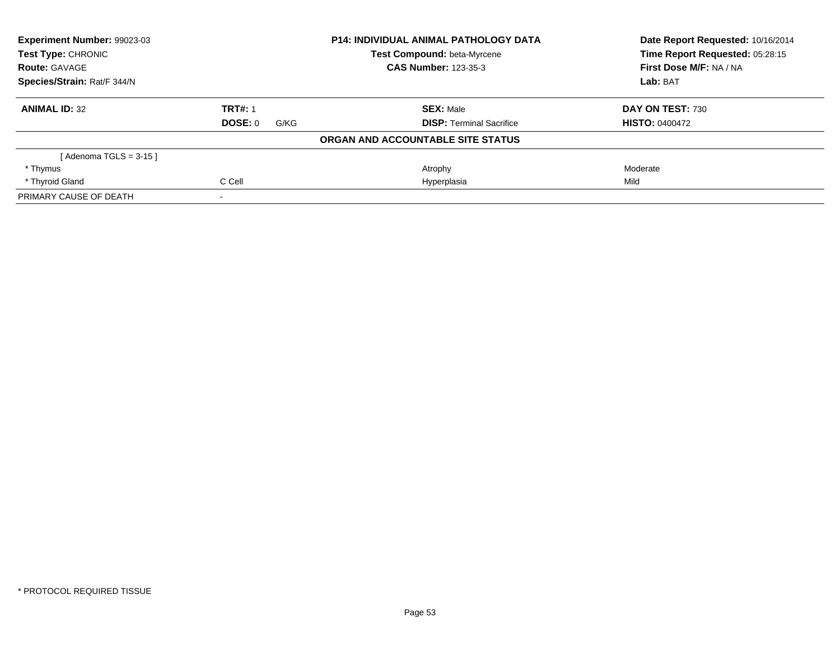| Experiment Number: 99023-03 |                 | <b>P14: INDIVIDUAL ANIMAL PATHOLOGY DATA</b> | Date Report Requested: 10/16/2014 |
|-----------------------------|-----------------|----------------------------------------------|-----------------------------------|
| <b>Test Type: CHRONIC</b>   |                 | Test Compound: beta-Myrcene                  | Time Report Requested: 05:28:15   |
| <b>Route: GAVAGE</b>        |                 | <b>CAS Number: 123-35-3</b>                  | First Dose M/F: NA / NA           |
| Species/Strain: Rat/F 344/N |                 |                                              | Lab: BAT                          |
| <b>ANIMAL ID: 32</b>        | <b>TRT#: 1</b>  | <b>SEX: Male</b>                             | DAY ON TEST: 730                  |
|                             | DOSE: 0<br>G/KG | <b>DISP:</b> Terminal Sacrifice              | <b>HISTO: 0400472</b>             |
|                             |                 | ORGAN AND ACCOUNTABLE SITE STATUS            |                                   |
| [Adenoma TGLS = 3-15]       |                 |                                              |                                   |
| * Thymus                    |                 | Atrophy                                      | Moderate                          |
| * Thyroid Gland             | C Cell          | Hyperplasia                                  | Mild                              |
| PRIMARY CAUSE OF DEATH      |                 |                                              |                                   |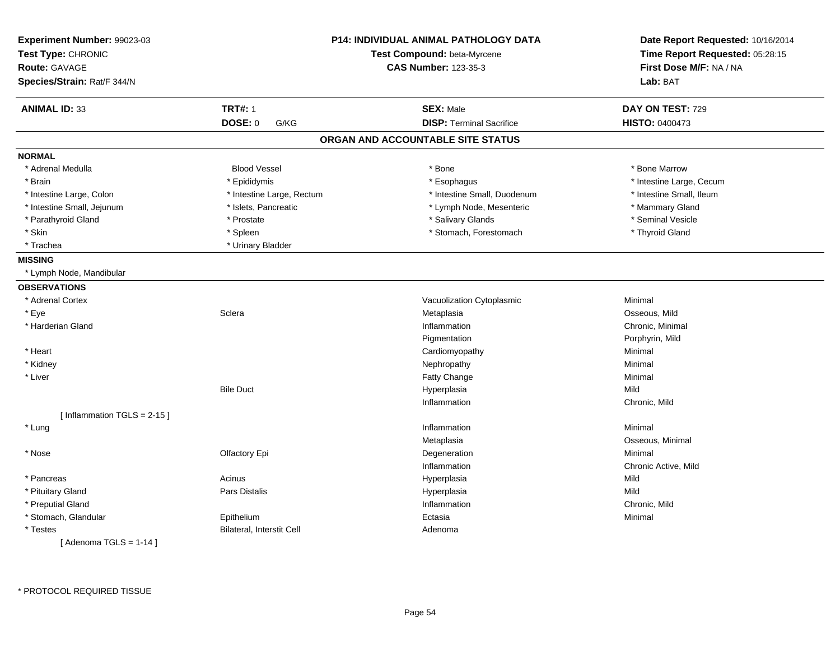| Experiment Number: 99023-03<br>Test Type: CHRONIC<br><b>Route: GAVAGE</b><br>Species/Strain: Rat/F 344/N |                           | <b>P14: INDIVIDUAL ANIMAL PATHOLOGY DATA</b><br>Test Compound: beta-Myrcene<br><b>CAS Number: 123-35-3</b> | Date Report Requested: 10/16/2014<br>Time Report Requested: 05:28:15<br>First Dose M/F: NA / NA<br>Lab: BAT |
|----------------------------------------------------------------------------------------------------------|---------------------------|------------------------------------------------------------------------------------------------------------|-------------------------------------------------------------------------------------------------------------|
| <b>ANIMAL ID: 33</b>                                                                                     | <b>TRT#: 1</b>            | <b>SEX: Male</b>                                                                                           | DAY ON TEST: 729                                                                                            |
|                                                                                                          | <b>DOSE: 0</b><br>G/KG    | <b>DISP: Terminal Sacrifice</b>                                                                            | <b>HISTO: 0400473</b>                                                                                       |
|                                                                                                          |                           | ORGAN AND ACCOUNTABLE SITE STATUS                                                                          |                                                                                                             |
| <b>NORMAL</b>                                                                                            |                           |                                                                                                            |                                                                                                             |
| * Adrenal Medulla                                                                                        | <b>Blood Vessel</b>       | * Bone                                                                                                     | * Bone Marrow                                                                                               |
| * Brain                                                                                                  | * Epididymis              | * Esophagus                                                                                                | * Intestine Large, Cecum                                                                                    |
| * Intestine Large, Colon                                                                                 | * Intestine Large, Rectum | * Intestine Small, Duodenum                                                                                | * Intestine Small, Ileum                                                                                    |
| * Intestine Small, Jejunum                                                                               | * Islets, Pancreatic      | * Lymph Node, Mesenteric                                                                                   | * Mammary Gland                                                                                             |
| * Parathyroid Gland                                                                                      | * Prostate                | * Salivary Glands                                                                                          | * Seminal Vesicle                                                                                           |
| * Skin                                                                                                   | * Spleen                  | * Stomach, Forestomach                                                                                     | * Thyroid Gland                                                                                             |
| * Trachea                                                                                                | * Urinary Bladder         |                                                                                                            |                                                                                                             |
| <b>MISSING</b>                                                                                           |                           |                                                                                                            |                                                                                                             |
| * Lymph Node, Mandibular                                                                                 |                           |                                                                                                            |                                                                                                             |
| <b>OBSERVATIONS</b>                                                                                      |                           |                                                                                                            |                                                                                                             |
| * Adrenal Cortex                                                                                         |                           | Vacuolization Cytoplasmic                                                                                  | Minimal                                                                                                     |
| * Eye                                                                                                    | Sclera                    | Metaplasia                                                                                                 | Osseous, Mild                                                                                               |
| * Harderian Gland                                                                                        |                           | Inflammation                                                                                               | Chronic, Minimal                                                                                            |
|                                                                                                          |                           | Pigmentation                                                                                               | Porphyrin, Mild                                                                                             |
| * Heart                                                                                                  |                           | Cardiomyopathy                                                                                             | Minimal                                                                                                     |
| * Kidney                                                                                                 |                           | Nephropathy                                                                                                | Minimal                                                                                                     |
| * Liver                                                                                                  |                           | Fatty Change                                                                                               | Minimal                                                                                                     |
|                                                                                                          | <b>Bile Duct</b>          | Hyperplasia                                                                                                | Mild                                                                                                        |
|                                                                                                          |                           | Inflammation                                                                                               | Chronic, Mild                                                                                               |
| [Inflammation TGLS = $2-15$ ]                                                                            |                           |                                                                                                            |                                                                                                             |
| * Lung                                                                                                   |                           | Inflammation                                                                                               | Minimal                                                                                                     |
|                                                                                                          |                           | Metaplasia                                                                                                 | Osseous, Minimal                                                                                            |
| * Nose                                                                                                   | Olfactory Epi             | Degeneration                                                                                               | Minimal                                                                                                     |
|                                                                                                          |                           | Inflammation                                                                                               | Chronic Active, Mild                                                                                        |
| * Pancreas                                                                                               | Acinus                    | Hyperplasia                                                                                                | Mild                                                                                                        |
| * Pituitary Gland                                                                                        | Pars Distalis             | Hyperplasia                                                                                                | Mild                                                                                                        |
| * Preputial Gland                                                                                        |                           | Inflammation                                                                                               | Chronic, Mild                                                                                               |
| * Stomach, Glandular                                                                                     | Epithelium                | Ectasia                                                                                                    | Minimal                                                                                                     |
| * Testes                                                                                                 | Bilateral, Interstit Cell | Adenoma                                                                                                    |                                                                                                             |
| [Adenoma TGLS = $1-14$ ]                                                                                 |                           |                                                                                                            |                                                                                                             |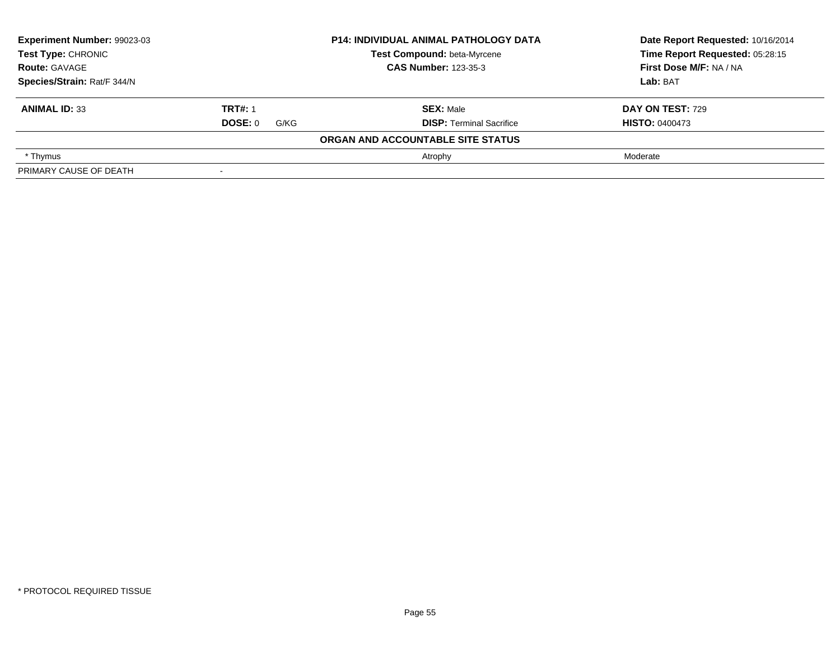| Experiment Number: 99023-03<br>Test Type: CHRONIC |                          | <b>P14: INDIVIDUAL ANIMAL PATHOLOGY DATA</b> | Date Report Requested: 10/16/2014 |
|---------------------------------------------------|--------------------------|----------------------------------------------|-----------------------------------|
|                                                   |                          | Test Compound: beta-Myrcene                  | Time Report Requested: 05:28:15   |
| <b>Route: GAVAGE</b>                              |                          | <b>CAS Number: 123-35-3</b>                  | First Dose M/F: NA / NA           |
| Species/Strain: Rat/F 344/N                       |                          |                                              | Lab: BAT                          |
| <b>ANIMAL ID: 33</b>                              | <b>TRT#: 1</b>           | <b>SEX: Male</b>                             | <b>DAY ON TEST: 729</b>           |
|                                                   | DOSE: 0<br>G/KG          | <b>DISP: Terminal Sacrifice</b>              | <b>HISTO: 0400473</b>             |
|                                                   |                          | ORGAN AND ACCOUNTABLE SITE STATUS            |                                   |
| * Thymus                                          |                          | Atrophy                                      | Moderate                          |
| PRIMARY CAUSE OF DEATH                            | $\overline{\phantom{0}}$ |                                              |                                   |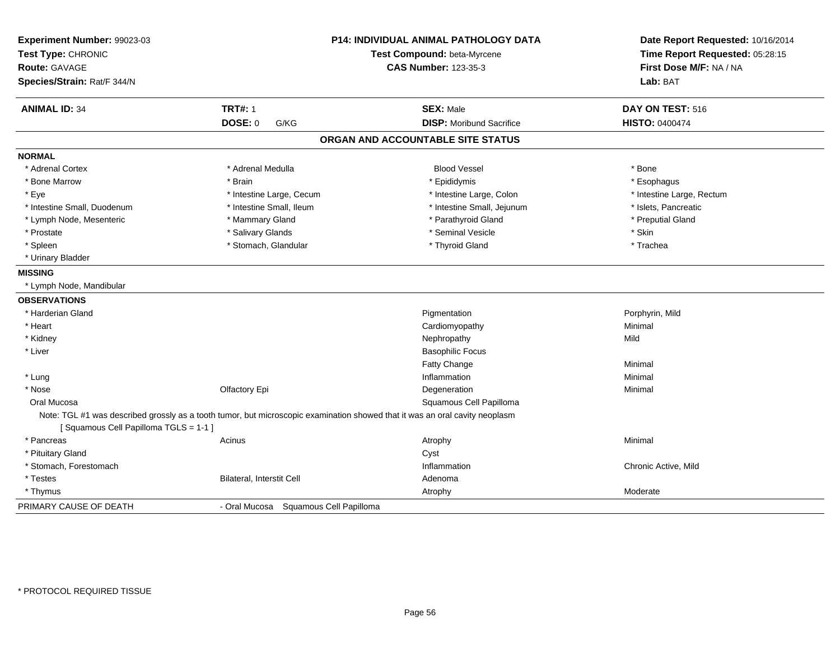| Experiment Number: 99023-03<br>Test Type: CHRONIC<br><b>Route: GAVAGE</b><br>Species/Strain: Rat/F 344/N |                                                                                                                             | P14: INDIVIDUAL ANIMAL PATHOLOGY DATA<br>Test Compound: beta-Myrcene<br><b>CAS Number: 123-35-3</b> | Date Report Requested: 10/16/2014<br>Time Report Requested: 05:28:15<br>First Dose M/F: NA / NA<br>Lab: BAT |  |
|----------------------------------------------------------------------------------------------------------|-----------------------------------------------------------------------------------------------------------------------------|-----------------------------------------------------------------------------------------------------|-------------------------------------------------------------------------------------------------------------|--|
| <b>ANIMAL ID: 34</b>                                                                                     | <b>TRT#: 1</b>                                                                                                              | <b>SEX: Male</b>                                                                                    | DAY ON TEST: 516                                                                                            |  |
|                                                                                                          | DOSE: 0<br>G/KG                                                                                                             | <b>DISP: Moribund Sacrifice</b>                                                                     | <b>HISTO: 0400474</b>                                                                                       |  |
|                                                                                                          |                                                                                                                             | ORGAN AND ACCOUNTABLE SITE STATUS                                                                   |                                                                                                             |  |
| <b>NORMAL</b>                                                                                            |                                                                                                                             |                                                                                                     |                                                                                                             |  |
| * Adrenal Cortex                                                                                         | * Adrenal Medulla                                                                                                           | <b>Blood Vessel</b>                                                                                 | * Bone                                                                                                      |  |
| * Bone Marrow                                                                                            | * Brain                                                                                                                     | * Epididymis                                                                                        | * Esophagus                                                                                                 |  |
| * Eye                                                                                                    | * Intestine Large, Cecum                                                                                                    | * Intestine Large, Colon                                                                            | * Intestine Large, Rectum                                                                                   |  |
| * Intestine Small, Duodenum                                                                              | * Intestine Small, Ileum                                                                                                    | * Intestine Small, Jejunum                                                                          | * Islets, Pancreatic                                                                                        |  |
| * Lymph Node, Mesenteric                                                                                 | * Mammary Gland                                                                                                             | * Parathyroid Gland                                                                                 | * Preputial Gland                                                                                           |  |
| * Prostate                                                                                               | * Salivary Glands                                                                                                           | * Seminal Vesicle                                                                                   | * Skin                                                                                                      |  |
| * Spleen                                                                                                 | * Stomach, Glandular                                                                                                        | * Thyroid Gland                                                                                     | * Trachea                                                                                                   |  |
| * Urinary Bladder                                                                                        |                                                                                                                             |                                                                                                     |                                                                                                             |  |
| <b>MISSING</b>                                                                                           |                                                                                                                             |                                                                                                     |                                                                                                             |  |
| * Lymph Node, Mandibular                                                                                 |                                                                                                                             |                                                                                                     |                                                                                                             |  |
| <b>OBSERVATIONS</b>                                                                                      |                                                                                                                             |                                                                                                     |                                                                                                             |  |
| * Harderian Gland                                                                                        |                                                                                                                             | Pigmentation                                                                                        | Porphyrin, Mild                                                                                             |  |
| * Heart                                                                                                  |                                                                                                                             | Cardiomyopathy                                                                                      | Minimal                                                                                                     |  |
| * Kidney                                                                                                 |                                                                                                                             | Nephropathy                                                                                         | Mild                                                                                                        |  |
| * Liver                                                                                                  |                                                                                                                             | <b>Basophilic Focus</b>                                                                             |                                                                                                             |  |
|                                                                                                          |                                                                                                                             | Fatty Change                                                                                        | Minimal                                                                                                     |  |
| * Lung                                                                                                   |                                                                                                                             | Inflammation                                                                                        | Minimal                                                                                                     |  |
| * Nose                                                                                                   | Olfactory Epi                                                                                                               | Degeneration                                                                                        | Minimal                                                                                                     |  |
| Oral Mucosa                                                                                              |                                                                                                                             | Squamous Cell Papilloma                                                                             |                                                                                                             |  |
|                                                                                                          | Note: TGL #1 was described grossly as a tooth tumor, but microscopic examination showed that it was an oral cavity neoplasm |                                                                                                     |                                                                                                             |  |
| [Squamous Cell Papilloma TGLS = 1-1]                                                                     |                                                                                                                             |                                                                                                     |                                                                                                             |  |
| * Pancreas                                                                                               | Acinus                                                                                                                      | Atrophy                                                                                             | Minimal                                                                                                     |  |
| * Pituitary Gland                                                                                        |                                                                                                                             | Cyst                                                                                                |                                                                                                             |  |
| * Stomach, Forestomach                                                                                   |                                                                                                                             | Inflammation                                                                                        | Chronic Active, Mild                                                                                        |  |
| * Testes                                                                                                 | Bilateral, Interstit Cell                                                                                                   | Adenoma                                                                                             |                                                                                                             |  |
| * Thymus                                                                                                 |                                                                                                                             | Atrophy                                                                                             | Moderate                                                                                                    |  |
| PRIMARY CAUSE OF DEATH                                                                                   |                                                                                                                             | - Oral Mucosa Squamous Cell Papilloma                                                               |                                                                                                             |  |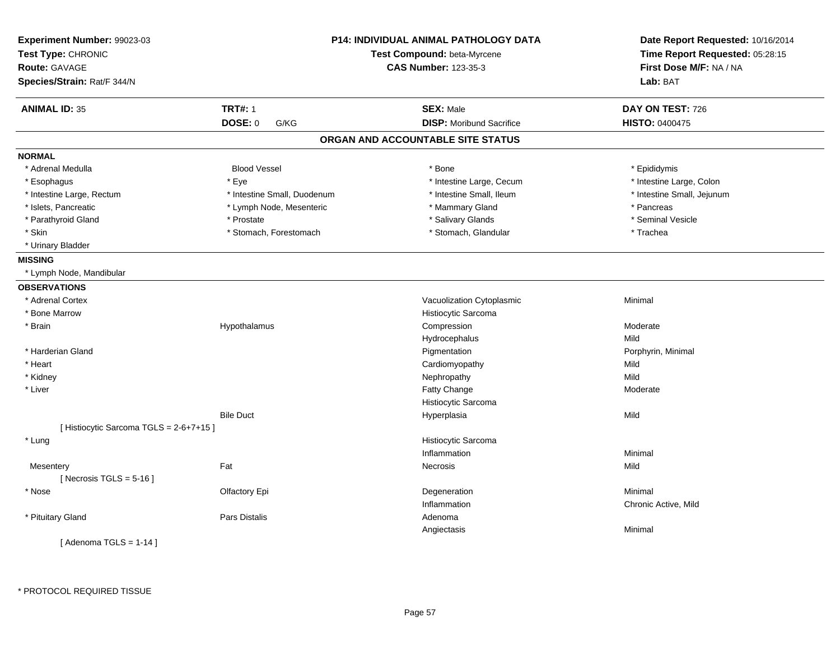| Experiment Number: 99023-03<br>Test Type: CHRONIC |                             | <b>P14: INDIVIDUAL ANIMAL PATHOLOGY DATA</b><br>Test Compound: beta-Myrcene | Date Report Requested: 10/16/2014<br>Time Report Requested: 05:28:15 |
|---------------------------------------------------|-----------------------------|-----------------------------------------------------------------------------|----------------------------------------------------------------------|
| <b>Route: GAVAGE</b>                              |                             | <b>CAS Number: 123-35-3</b>                                                 | First Dose M/F: NA / NA                                              |
| Species/Strain: Rat/F 344/N                       |                             |                                                                             | Lab: BAT                                                             |
| <b>ANIMAL ID: 35</b>                              | <b>TRT#: 1</b>              | <b>SEX: Male</b>                                                            | DAY ON TEST: 726                                                     |
|                                                   | DOSE: 0<br>G/KG             | <b>DISP:</b> Moribund Sacrifice                                             | <b>HISTO: 0400475</b>                                                |
|                                                   |                             | ORGAN AND ACCOUNTABLE SITE STATUS                                           |                                                                      |
| <b>NORMAL</b>                                     |                             |                                                                             |                                                                      |
| * Adrenal Medulla                                 | <b>Blood Vessel</b>         | * Bone                                                                      | * Epididymis                                                         |
| * Esophagus                                       | * Eye                       | * Intestine Large, Cecum                                                    | * Intestine Large, Colon                                             |
| * Intestine Large, Rectum                         | * Intestine Small, Duodenum | * Intestine Small, Ileum                                                    | * Intestine Small, Jejunum                                           |
| * Islets, Pancreatic                              | * Lymph Node, Mesenteric    | * Mammary Gland                                                             | * Pancreas                                                           |
| * Parathyroid Gland                               | * Prostate                  | * Salivary Glands                                                           | * Seminal Vesicle                                                    |
| * Skin                                            | * Stomach, Forestomach      | * Stomach, Glandular                                                        | * Trachea                                                            |
| * Urinary Bladder                                 |                             |                                                                             |                                                                      |
| <b>MISSING</b>                                    |                             |                                                                             |                                                                      |
| * Lymph Node, Mandibular                          |                             |                                                                             |                                                                      |
| <b>OBSERVATIONS</b>                               |                             |                                                                             |                                                                      |
| * Adrenal Cortex                                  |                             | Vacuolization Cytoplasmic                                                   | Minimal                                                              |
| * Bone Marrow                                     |                             | Histiocytic Sarcoma                                                         |                                                                      |
| * Brain                                           | Hypothalamus                | Compression                                                                 | Moderate                                                             |
|                                                   |                             | Hydrocephalus                                                               | Mild                                                                 |
| * Harderian Gland                                 |                             | Pigmentation                                                                | Porphyrin, Minimal                                                   |
| * Heart                                           |                             | Cardiomyopathy                                                              | Mild                                                                 |
| * Kidney                                          |                             | Nephropathy                                                                 | Mild                                                                 |
| * Liver                                           |                             | Fatty Change                                                                | Moderate                                                             |
|                                                   |                             | Histiocytic Sarcoma                                                         |                                                                      |
|                                                   | <b>Bile Duct</b>            | Hyperplasia                                                                 | Mild                                                                 |
| [ Histiocytic Sarcoma TGLS = 2-6+7+15 ]           |                             |                                                                             |                                                                      |
| * Lung                                            |                             | Histiocytic Sarcoma                                                         |                                                                      |
|                                                   |                             | Inflammation                                                                | Minimal                                                              |
| Mesentery                                         | Fat                         | Necrosis                                                                    | Mild                                                                 |
| [Necrosis TGLS = $5-16$ ]                         |                             |                                                                             |                                                                      |
| * Nose                                            | Olfactory Epi               | Degeneration                                                                | Minimal                                                              |
|                                                   |                             | Inflammation                                                                | Chronic Active, Mild                                                 |
| * Pituitary Gland                                 | Pars Distalis               | Adenoma                                                                     |                                                                      |
|                                                   |                             | Angiectasis                                                                 | Minimal                                                              |
| [Adenoma TGLS = $1-14$ ]                          |                             |                                                                             |                                                                      |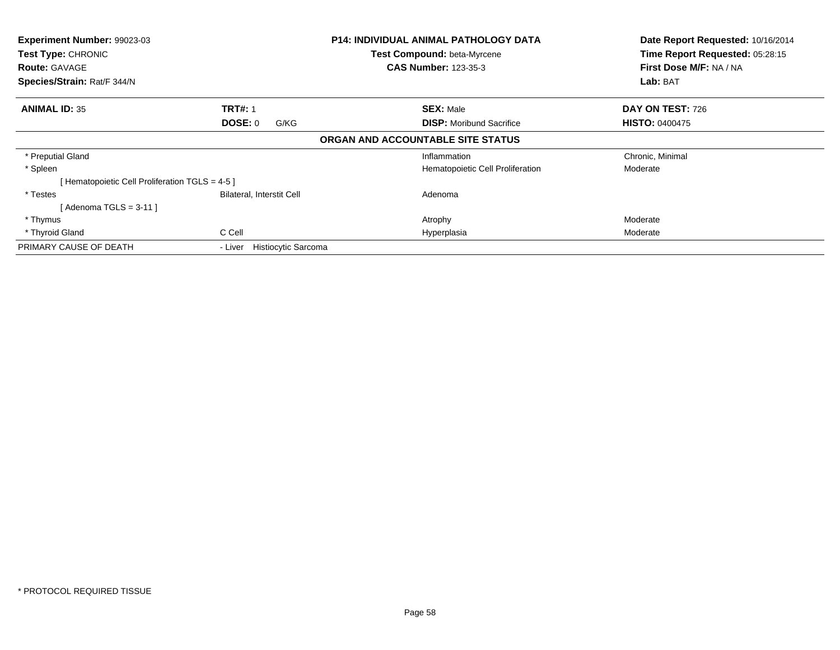| Experiment Number: 99023-03<br>Test Type: CHRONIC |                                       | <b>P14: INDIVIDUAL ANIMAL PATHOLOGY DATA</b><br>Test Compound: beta-Myrcene | Date Report Requested: 10/16/2014<br>Time Report Requested: 05:28:15 |
|---------------------------------------------------|---------------------------------------|-----------------------------------------------------------------------------|----------------------------------------------------------------------|
| <b>Route: GAVAGE</b>                              |                                       | <b>CAS Number: 123-35-3</b>                                                 | First Dose M/F: NA / NA                                              |
| Species/Strain: Rat/F 344/N                       |                                       |                                                                             | Lab: BAT                                                             |
| <b>ANIMAL ID: 35</b>                              | <b>TRT#: 1</b>                        | <b>SEX: Male</b>                                                            | DAY ON TEST: 726                                                     |
|                                                   | <b>DOSE: 0</b><br>G/KG                | <b>DISP:</b> Moribund Sacrifice                                             | <b>HISTO: 0400475</b>                                                |
|                                                   |                                       | ORGAN AND ACCOUNTABLE SITE STATUS                                           |                                                                      |
| * Preputial Gland                                 |                                       | Inflammation                                                                | Chronic, Minimal                                                     |
| * Spleen                                          |                                       | Hematopoietic Cell Proliferation                                            | Moderate                                                             |
| [Hematopoietic Cell Proliferation TGLS = 4-5 ]    |                                       |                                                                             |                                                                      |
| * Testes                                          | Bilateral, Interstit Cell             | Adenoma                                                                     |                                                                      |
| [Adenoma TGLS = $3-11$ ]                          |                                       |                                                                             |                                                                      |
| * Thymus                                          |                                       | Atrophy                                                                     | Moderate                                                             |
| * Thyroid Gland                                   | C Cell                                | Hyperplasia                                                                 | Moderate                                                             |
| PRIMARY CAUSE OF DEATH                            | <b>Histiocytic Sarcoma</b><br>- Liver |                                                                             |                                                                      |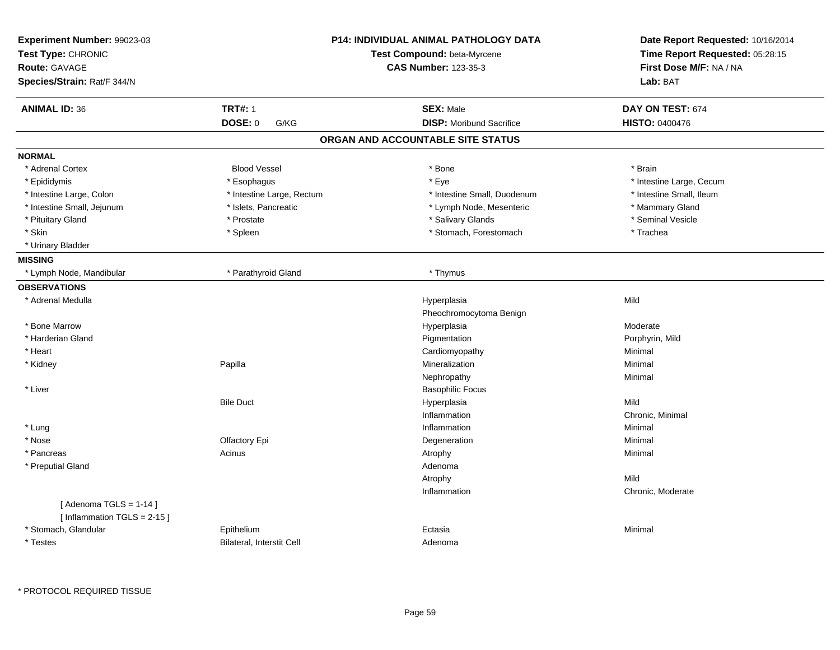| Experiment Number: 99023-03<br>Test Type: CHRONIC<br><b>Route: GAVAGE</b><br>Species/Strain: Rat/F 344/N |                           | P14: INDIVIDUAL ANIMAL PATHOLOGY DATA<br>Test Compound: beta-Myrcene<br><b>CAS Number: 123-35-3</b> | Date Report Requested: 10/16/2014<br>Time Report Requested: 05:28:15<br>First Dose M/F: NA / NA<br>Lab: BAT |
|----------------------------------------------------------------------------------------------------------|---------------------------|-----------------------------------------------------------------------------------------------------|-------------------------------------------------------------------------------------------------------------|
| <b>ANIMAL ID: 36</b>                                                                                     | <b>TRT#: 1</b>            | <b>SEX: Male</b>                                                                                    | DAY ON TEST: 674                                                                                            |
|                                                                                                          | DOSE: 0<br>G/KG           | <b>DISP:</b> Moribund Sacrifice                                                                     | <b>HISTO: 0400476</b>                                                                                       |
|                                                                                                          |                           | ORGAN AND ACCOUNTABLE SITE STATUS                                                                   |                                                                                                             |
| <b>NORMAL</b>                                                                                            |                           |                                                                                                     |                                                                                                             |
| * Adrenal Cortex                                                                                         | <b>Blood Vessel</b>       | * Bone                                                                                              | * Brain                                                                                                     |
| * Epididymis                                                                                             | * Esophagus               | * Eye                                                                                               | * Intestine Large, Cecum                                                                                    |
| * Intestine Large, Colon                                                                                 | * Intestine Large, Rectum | * Intestine Small, Duodenum                                                                         | * Intestine Small, Ileum                                                                                    |
| * Intestine Small, Jejunum                                                                               | * Islets, Pancreatic      | * Lymph Node, Mesenteric                                                                            | * Mammary Gland                                                                                             |
| * Pituitary Gland                                                                                        | * Prostate                | * Salivary Glands                                                                                   | * Seminal Vesicle                                                                                           |
| * Skin                                                                                                   | * Spleen                  | * Stomach, Forestomach                                                                              | * Trachea                                                                                                   |
| * Urinary Bladder                                                                                        |                           |                                                                                                     |                                                                                                             |
| <b>MISSING</b>                                                                                           |                           |                                                                                                     |                                                                                                             |
| * Lymph Node, Mandibular                                                                                 | * Parathyroid Gland       | * Thymus                                                                                            |                                                                                                             |
| <b>OBSERVATIONS</b>                                                                                      |                           |                                                                                                     |                                                                                                             |
| * Adrenal Medulla                                                                                        |                           | Hyperplasia                                                                                         | Mild                                                                                                        |
|                                                                                                          |                           | Pheochromocytoma Benign                                                                             |                                                                                                             |
| * Bone Marrow                                                                                            |                           | Hyperplasia                                                                                         | Moderate                                                                                                    |
| * Harderian Gland                                                                                        |                           | Pigmentation                                                                                        | Porphyrin, Mild                                                                                             |
| * Heart                                                                                                  |                           | Cardiomyopathy                                                                                      | Minimal                                                                                                     |
| * Kidney                                                                                                 | Papilla                   | Mineralization                                                                                      | Minimal                                                                                                     |
|                                                                                                          |                           | Nephropathy                                                                                         | Minimal                                                                                                     |
| * Liver                                                                                                  |                           | <b>Basophilic Focus</b>                                                                             |                                                                                                             |
|                                                                                                          | <b>Bile Duct</b>          | Hyperplasia                                                                                         | Mild                                                                                                        |
|                                                                                                          |                           | Inflammation                                                                                        | Chronic, Minimal                                                                                            |
| * Lung                                                                                                   |                           | Inflammation                                                                                        | Minimal                                                                                                     |
| * Nose                                                                                                   | Olfactory Epi             | Degeneration                                                                                        | Minimal                                                                                                     |
| * Pancreas                                                                                               | Acinus                    | Atrophy                                                                                             | Minimal                                                                                                     |
| * Preputial Gland                                                                                        |                           | Adenoma                                                                                             |                                                                                                             |
|                                                                                                          |                           | Atrophy                                                                                             | Mild                                                                                                        |
|                                                                                                          |                           | Inflammation                                                                                        | Chronic, Moderate                                                                                           |
| [Adenoma TGLS = $1-14$ ]<br>[Inflammation TGLS = 2-15]                                                   |                           |                                                                                                     |                                                                                                             |
| * Stomach, Glandular                                                                                     | Epithelium                | Ectasia                                                                                             | Minimal                                                                                                     |
| * Testes                                                                                                 | Bilateral, Interstit Cell | Adenoma                                                                                             |                                                                                                             |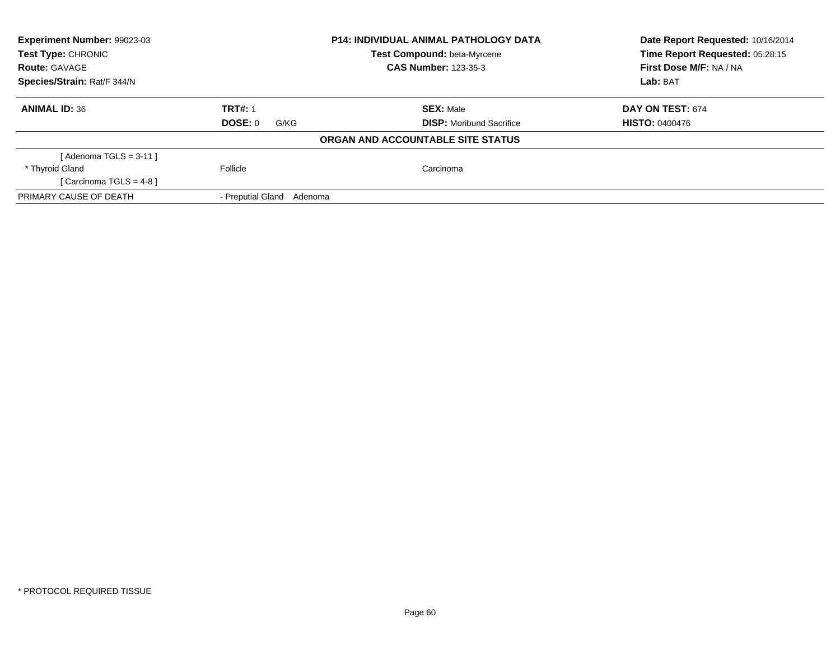| <b>Experiment Number: 99023-03</b> |                              | <b>P14: INDIVIDUAL ANIMAL PATHOLOGY DATA</b> | Date Report Requested: 10/16/2014 |
|------------------------------------|------------------------------|----------------------------------------------|-----------------------------------|
| Test Type: CHRONIC                 |                              | <b>Test Compound: beta-Myrcene</b>           | Time Report Requested: 05:28:15   |
| <b>Route: GAVAGE</b>               |                              | <b>CAS Number: 123-35-3</b>                  | First Dose M/F: NA / NA           |
| Species/Strain: Rat/F 344/N        |                              |                                              | Lab: BAT                          |
| <b>ANIMAL ID: 36</b>               | <b>TRT#: 1</b>               | <b>SEX: Male</b>                             | DAY ON TEST: 674                  |
|                                    | DOSE: 0<br>G/KG              | <b>DISP:</b> Moribund Sacrifice              | <b>HISTO: 0400476</b>             |
|                                    |                              | ORGAN AND ACCOUNTABLE SITE STATUS            |                                   |
| [ Adenoma TGLS = 3-11 ]            |                              |                                              |                                   |
| * Thyroid Gland                    | Follicle                     | Carcinoma                                    |                                   |
| [Carcinoma TGLS = $4-8$ ]          |                              |                                              |                                   |
| PRIMARY CAUSE OF DEATH             | - Preputial Gland<br>Adenoma |                                              |                                   |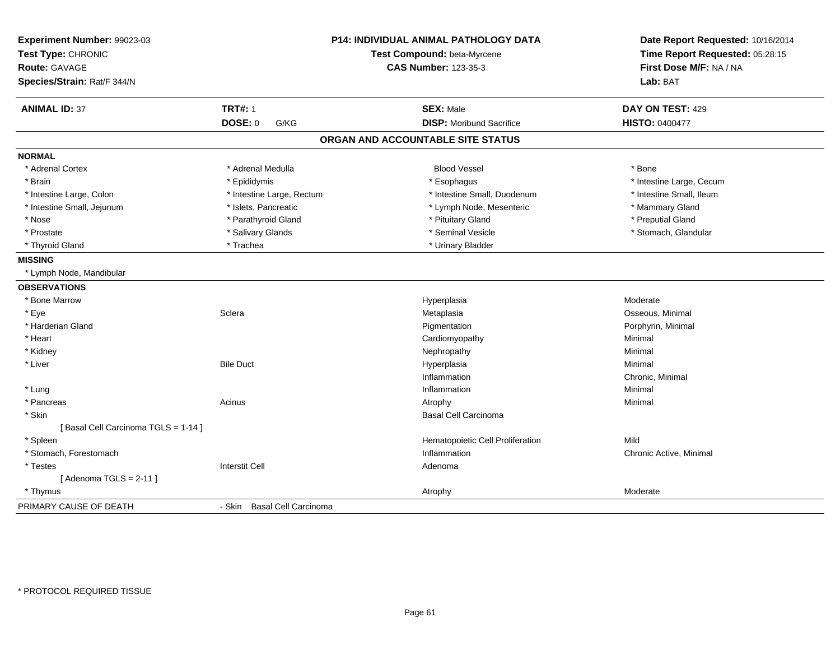| Experiment Number: 99023-03<br>Test Type: CHRONIC<br><b>Route: GAVAGE</b><br>Species/Strain: Rat/F 344/N |                             | <b>P14: INDIVIDUAL ANIMAL PATHOLOGY DATA</b><br>Test Compound: beta-Myrcene<br><b>CAS Number: 123-35-3</b> | Date Report Requested: 10/16/2014<br>Time Report Requested: 05:28:15<br>First Dose M/F: NA / NA<br>Lab: BAT |
|----------------------------------------------------------------------------------------------------------|-----------------------------|------------------------------------------------------------------------------------------------------------|-------------------------------------------------------------------------------------------------------------|
| <b>ANIMAL ID: 37</b>                                                                                     | <b>TRT#: 1</b>              | <b>SEX: Male</b>                                                                                           | DAY ON TEST: 429                                                                                            |
|                                                                                                          | <b>DOSE: 0</b><br>G/KG      | <b>DISP:</b> Moribund Sacrifice                                                                            | <b>HISTO: 0400477</b>                                                                                       |
|                                                                                                          |                             | ORGAN AND ACCOUNTABLE SITE STATUS                                                                          |                                                                                                             |
| <b>NORMAL</b>                                                                                            |                             |                                                                                                            |                                                                                                             |
| * Adrenal Cortex                                                                                         | * Adrenal Medulla           | <b>Blood Vessel</b>                                                                                        | * Bone                                                                                                      |
| * Brain                                                                                                  | * Epididymis                | * Esophagus                                                                                                | * Intestine Large, Cecum                                                                                    |
| * Intestine Large, Colon                                                                                 | * Intestine Large, Rectum   | * Intestine Small, Duodenum                                                                                | * Intestine Small, Ileum                                                                                    |
| * Intestine Small, Jejunum                                                                               | * Islets, Pancreatic        | * Lymph Node, Mesenteric                                                                                   | * Mammary Gland                                                                                             |
| * Nose                                                                                                   | * Parathyroid Gland         | * Pituitary Gland                                                                                          | * Preputial Gland                                                                                           |
| * Prostate                                                                                               | * Salivary Glands           | * Seminal Vesicle                                                                                          | * Stomach, Glandular                                                                                        |
| * Thyroid Gland                                                                                          | * Trachea                   | * Urinary Bladder                                                                                          |                                                                                                             |
| <b>MISSING</b>                                                                                           |                             |                                                                                                            |                                                                                                             |
| * Lymph Node, Mandibular                                                                                 |                             |                                                                                                            |                                                                                                             |
| <b>OBSERVATIONS</b>                                                                                      |                             |                                                                                                            |                                                                                                             |
| * Bone Marrow                                                                                            |                             | Hyperplasia                                                                                                | Moderate                                                                                                    |
| * Eye                                                                                                    | Sclera                      | Metaplasia                                                                                                 | Osseous, Minimal                                                                                            |
| * Harderian Gland                                                                                        |                             | Pigmentation                                                                                               | Porphyrin, Minimal                                                                                          |
| * Heart                                                                                                  |                             | Cardiomyopathy                                                                                             | Minimal                                                                                                     |
| * Kidney                                                                                                 |                             | Nephropathy                                                                                                | Minimal                                                                                                     |
| * Liver                                                                                                  | <b>Bile Duct</b>            | Hyperplasia                                                                                                | Minimal                                                                                                     |
|                                                                                                          |                             | Inflammation                                                                                               | Chronic, Minimal                                                                                            |
| * Lung                                                                                                   |                             | Inflammation                                                                                               | Minimal                                                                                                     |
| * Pancreas                                                                                               | Acinus                      | Atrophy                                                                                                    | Minimal                                                                                                     |
| * Skin                                                                                                   |                             | <b>Basal Cell Carcinoma</b>                                                                                |                                                                                                             |
| [Basal Cell Carcinoma TGLS = 1-14]                                                                       |                             |                                                                                                            |                                                                                                             |
| * Spleen                                                                                                 |                             | Hematopoietic Cell Proliferation                                                                           | Mild                                                                                                        |
| * Stomach, Forestomach                                                                                   |                             | Inflammation                                                                                               | Chronic Active, Minimal                                                                                     |
| * Testes                                                                                                 | <b>Interstit Cell</b>       | Adenoma                                                                                                    |                                                                                                             |
| [Adenoma TGLS = $2-11$ ]                                                                                 |                             |                                                                                                            |                                                                                                             |
| * Thymus                                                                                                 |                             | Atrophy                                                                                                    | Moderate                                                                                                    |
| PRIMARY CAUSE OF DEATH                                                                                   | - Skin Basal Cell Carcinoma |                                                                                                            |                                                                                                             |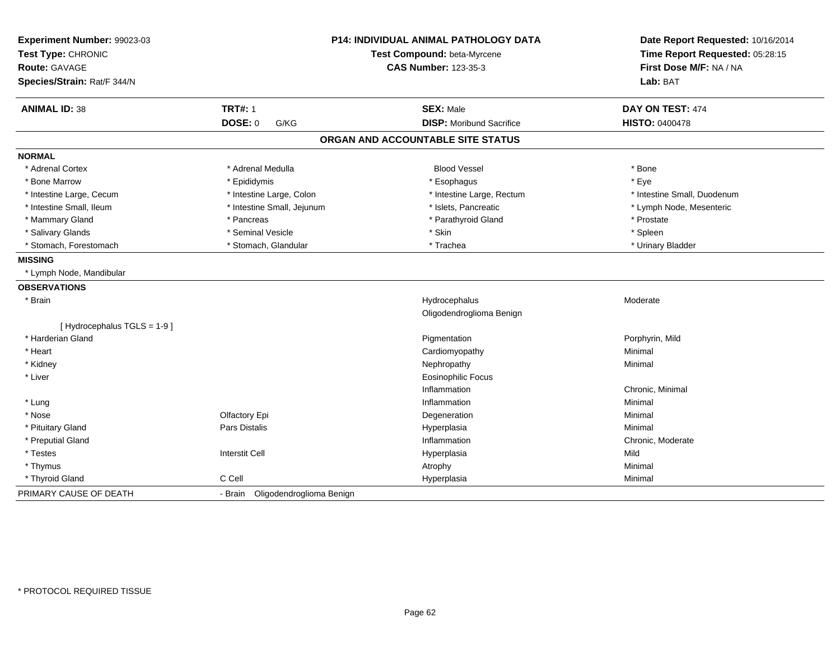| Experiment Number: 99023-03<br>Test Type: CHRONIC<br><b>Route: GAVAGE</b><br>Species/Strain: Rat/F 344/N |                                  | <b>P14: INDIVIDUAL ANIMAL PATHOLOGY DATA</b><br>Test Compound: beta-Myrcene<br><b>CAS Number: 123-35-3</b> | Date Report Requested: 10/16/2014<br>Time Report Requested: 05:28:15<br>First Dose M/F: NA / NA<br>Lab: BAT |
|----------------------------------------------------------------------------------------------------------|----------------------------------|------------------------------------------------------------------------------------------------------------|-------------------------------------------------------------------------------------------------------------|
| <b>ANIMAL ID: 38</b>                                                                                     | <b>TRT#: 1</b>                   | <b>SEX: Male</b>                                                                                           | DAY ON TEST: 474                                                                                            |
|                                                                                                          | <b>DOSE: 0</b><br>G/KG           | <b>DISP:</b> Moribund Sacrifice                                                                            | HISTO: 0400478                                                                                              |
|                                                                                                          |                                  | ORGAN AND ACCOUNTABLE SITE STATUS                                                                          |                                                                                                             |
| <b>NORMAL</b>                                                                                            |                                  |                                                                                                            |                                                                                                             |
| * Adrenal Cortex                                                                                         | * Adrenal Medulla                | <b>Blood Vessel</b>                                                                                        | * Bone                                                                                                      |
| * Bone Marrow                                                                                            | * Epididymis                     | * Esophagus                                                                                                | * Eye                                                                                                       |
| * Intestine Large, Cecum                                                                                 | * Intestine Large, Colon         | * Intestine Large, Rectum                                                                                  | * Intestine Small, Duodenum                                                                                 |
| * Intestine Small, Ileum                                                                                 | * Intestine Small, Jejunum       | * Islets, Pancreatic                                                                                       | * Lymph Node, Mesenteric                                                                                    |
| * Mammary Gland                                                                                          | * Pancreas                       | * Parathyroid Gland                                                                                        | * Prostate                                                                                                  |
| * Salivary Glands                                                                                        | * Seminal Vesicle                | * Skin                                                                                                     | * Spleen                                                                                                    |
| * Stomach, Forestomach                                                                                   | * Stomach, Glandular             | * Trachea                                                                                                  | * Urinary Bladder                                                                                           |
| <b>MISSING</b>                                                                                           |                                  |                                                                                                            |                                                                                                             |
| * Lymph Node, Mandibular                                                                                 |                                  |                                                                                                            |                                                                                                             |
| <b>OBSERVATIONS</b>                                                                                      |                                  |                                                                                                            |                                                                                                             |
| * Brain                                                                                                  |                                  | Hydrocephalus                                                                                              | Moderate                                                                                                    |
|                                                                                                          |                                  | Oligodendroglioma Benign                                                                                   |                                                                                                             |
| [Hydrocephalus TGLS = 1-9]                                                                               |                                  |                                                                                                            |                                                                                                             |
| * Harderian Gland                                                                                        |                                  | Pigmentation                                                                                               | Porphyrin, Mild                                                                                             |
| * Heart                                                                                                  |                                  | Cardiomyopathy                                                                                             | Minimal                                                                                                     |
| * Kidney                                                                                                 |                                  | Nephropathy                                                                                                | Minimal                                                                                                     |
| * Liver                                                                                                  |                                  | <b>Eosinophilic Focus</b>                                                                                  |                                                                                                             |
|                                                                                                          |                                  | Inflammation                                                                                               | Chronic, Minimal                                                                                            |
| * Lung                                                                                                   |                                  | Inflammation                                                                                               | Minimal                                                                                                     |
| * Nose                                                                                                   | Olfactory Epi                    | Degeneration                                                                                               | Minimal                                                                                                     |
| * Pituitary Gland                                                                                        | Pars Distalis                    | Hyperplasia                                                                                                | Minimal                                                                                                     |
| * Preputial Gland                                                                                        |                                  | Inflammation                                                                                               | Chronic, Moderate                                                                                           |
| * Testes                                                                                                 | <b>Interstit Cell</b>            | Hyperplasia                                                                                                | Mild                                                                                                        |
| * Thymus                                                                                                 |                                  | Atrophy                                                                                                    | Minimal                                                                                                     |
| * Thyroid Gland                                                                                          | C Cell                           | Hyperplasia                                                                                                | Minimal                                                                                                     |
| PRIMARY CAUSE OF DEATH                                                                                   | - Brain Oligodendroglioma Benign |                                                                                                            |                                                                                                             |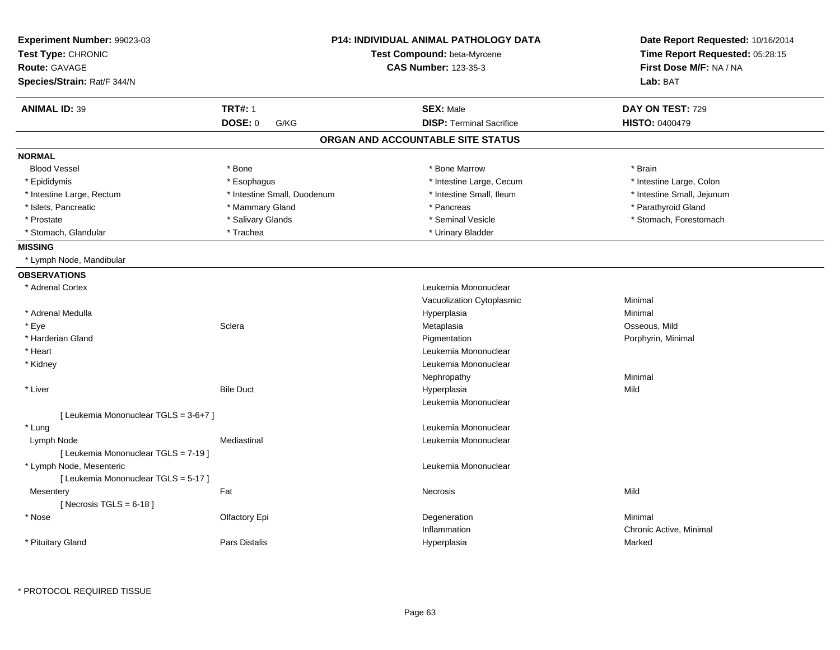| Experiment Number: 99023-03<br>Test Type: CHRONIC | <b>P14: INDIVIDUAL ANIMAL PATHOLOGY DATA</b><br>Test Compound: beta-Myrcene |                                   | Date Report Requested: 10/16/2014<br>Time Report Requested: 05:28:15 |
|---------------------------------------------------|-----------------------------------------------------------------------------|-----------------------------------|----------------------------------------------------------------------|
| <b>Route: GAVAGE</b>                              |                                                                             | <b>CAS Number: 123-35-3</b>       | First Dose M/F: NA / NA                                              |
| Species/Strain: Rat/F 344/N                       |                                                                             |                                   | Lab: BAT                                                             |
| <b>ANIMAL ID: 39</b>                              | <b>TRT#: 1</b>                                                              | <b>SEX: Male</b>                  | DAY ON TEST: 729                                                     |
|                                                   | DOSE: 0<br>G/KG                                                             | <b>DISP: Terminal Sacrifice</b>   | <b>HISTO: 0400479</b>                                                |
|                                                   |                                                                             | ORGAN AND ACCOUNTABLE SITE STATUS |                                                                      |
| <b>NORMAL</b>                                     |                                                                             |                                   |                                                                      |
| <b>Blood Vessel</b>                               | * Bone                                                                      | * Bone Marrow                     | * Brain                                                              |
| * Epididymis                                      | * Esophagus                                                                 | * Intestine Large, Cecum          | * Intestine Large, Colon                                             |
| * Intestine Large, Rectum                         | * Intestine Small, Duodenum                                                 | * Intestine Small, Ileum          | * Intestine Small, Jejunum                                           |
| * Islets, Pancreatic                              | * Mammary Gland                                                             | * Pancreas                        | * Parathyroid Gland                                                  |
| * Prostate                                        | * Salivary Glands                                                           | * Seminal Vesicle                 | * Stomach, Forestomach                                               |
| * Stomach, Glandular                              | * Trachea                                                                   | * Urinary Bladder                 |                                                                      |
| <b>MISSING</b>                                    |                                                                             |                                   |                                                                      |
| * Lymph Node, Mandibular                          |                                                                             |                                   |                                                                      |
| <b>OBSERVATIONS</b>                               |                                                                             |                                   |                                                                      |
| * Adrenal Cortex                                  |                                                                             | Leukemia Mononuclear              |                                                                      |
|                                                   |                                                                             | Vacuolization Cytoplasmic         | Minimal                                                              |
| * Adrenal Medulla                                 |                                                                             | Hyperplasia                       | Minimal                                                              |
| * Eye                                             | Sclera                                                                      | Metaplasia                        | Osseous, Mild                                                        |
| * Harderian Gland                                 |                                                                             | Pigmentation                      | Porphyrin, Minimal                                                   |
| * Heart                                           |                                                                             | Leukemia Mononuclear              |                                                                      |
| * Kidney                                          |                                                                             | Leukemia Mononuclear              |                                                                      |
|                                                   |                                                                             | Nephropathy                       | Minimal                                                              |
| * Liver                                           | <b>Bile Duct</b>                                                            | Hyperplasia                       | Mild                                                                 |
|                                                   |                                                                             | Leukemia Mononuclear              |                                                                      |
| [ Leukemia Mononuclear TGLS = 3-6+7 ]             |                                                                             |                                   |                                                                      |
| * Lung                                            |                                                                             | Leukemia Mononuclear              |                                                                      |
| Lymph Node                                        | Mediastinal                                                                 | Leukemia Mononuclear              |                                                                      |
| [ Leukemia Mononuclear TGLS = 7-19 ]              |                                                                             |                                   |                                                                      |
| * Lymph Node, Mesenteric                          |                                                                             | Leukemia Mononuclear              |                                                                      |
| [ Leukemia Mononuclear TGLS = 5-17 ]              |                                                                             |                                   |                                                                      |
| Mesentery                                         | Fat                                                                         | Necrosis                          | Mild                                                                 |
| [ Necrosis TGLS = $6-18$ ]                        |                                                                             |                                   |                                                                      |
| * Nose                                            | Olfactory Epi                                                               | Degeneration                      | Minimal                                                              |
|                                                   |                                                                             | Inflammation                      | Chronic Active, Minimal                                              |
| * Pituitary Gland                                 | <b>Pars Distalis</b>                                                        | Hyperplasia                       | Marked                                                               |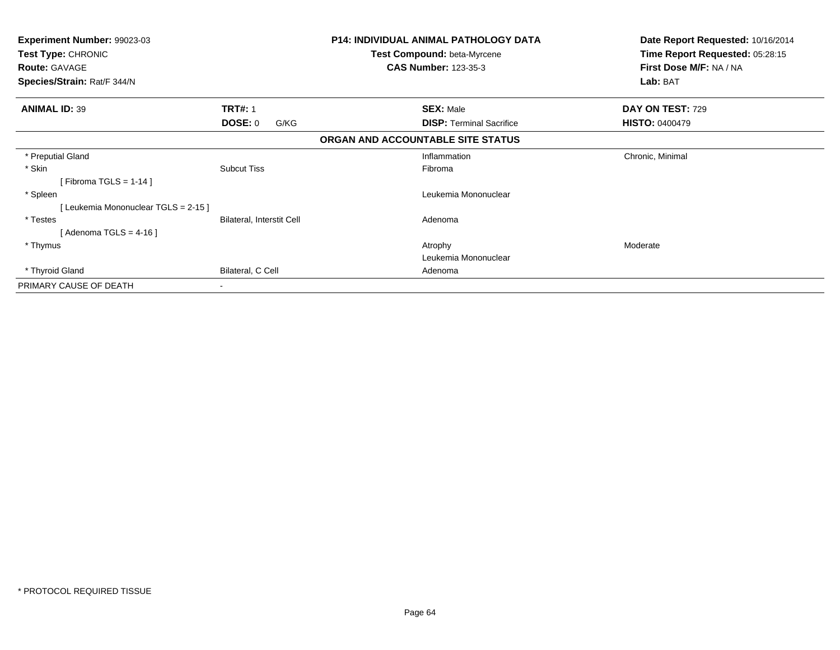| Experiment Number: 99023-03<br>Test Type: CHRONIC<br><b>Route: GAVAGE</b><br>Species/Strain: Rat/F 344/N |                           | <b>P14: INDIVIDUAL ANIMAL PATHOLOGY DATA</b><br>Test Compound: beta-Myrcene<br><b>CAS Number: 123-35-3</b> | Date Report Requested: 10/16/2014<br>Time Report Requested: 05:28:15<br>First Dose M/F: NA / NA<br>Lab: BAT |
|----------------------------------------------------------------------------------------------------------|---------------------------|------------------------------------------------------------------------------------------------------------|-------------------------------------------------------------------------------------------------------------|
| <b>ANIMAL ID: 39</b>                                                                                     | <b>TRT#: 1</b>            | <b>SEX: Male</b>                                                                                           | DAY ON TEST: 729                                                                                            |
|                                                                                                          | DOSE: 0<br>G/KG           | <b>DISP: Terminal Sacrifice</b>                                                                            | <b>HISTO: 0400479</b>                                                                                       |
|                                                                                                          |                           | ORGAN AND ACCOUNTABLE SITE STATUS                                                                          |                                                                                                             |
| * Preputial Gland                                                                                        |                           | Inflammation                                                                                               | Chronic, Minimal                                                                                            |
| * Skin<br>[Fibroma TGLS = $1-14$ ]                                                                       | <b>Subcut Tiss</b>        | Fibroma                                                                                                    |                                                                                                             |
| * Spleen<br>[ Leukemia Mononuclear TGLS = 2-15 ]                                                         |                           | Leukemia Mononuclear                                                                                       |                                                                                                             |
| * Testes<br>[Adenoma TGLS = $4-16$ ]                                                                     | Bilateral, Interstit Cell | Adenoma                                                                                                    |                                                                                                             |
| * Thymus                                                                                                 |                           | Atrophy                                                                                                    | Moderate                                                                                                    |
|                                                                                                          |                           | Leukemia Mononuclear                                                                                       |                                                                                                             |
| * Thyroid Gland                                                                                          | Bilateral, C Cell         | Adenoma                                                                                                    |                                                                                                             |
| PRIMARY CAUSE OF DEATH                                                                                   | $\overline{\phantom{a}}$  |                                                                                                            |                                                                                                             |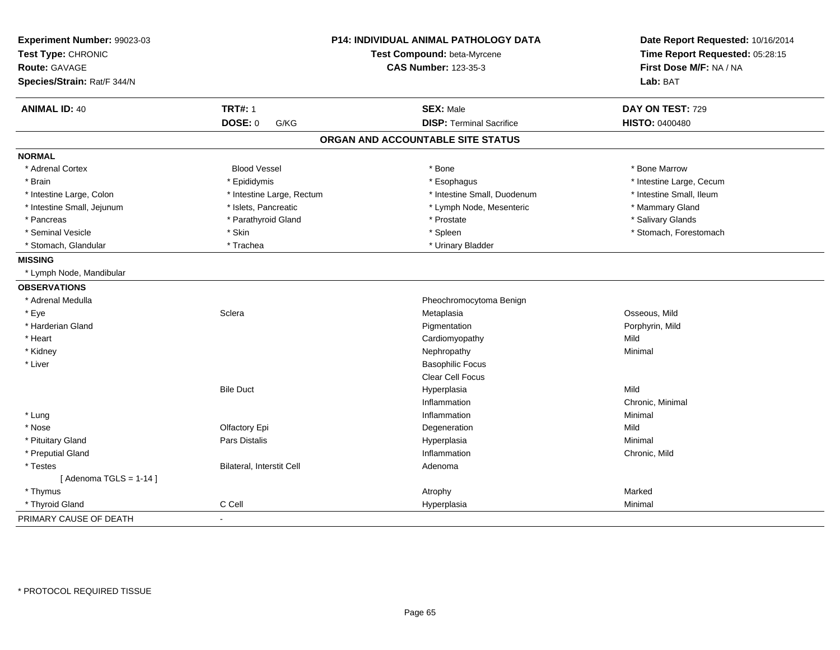| Experiment Number: 99023-03<br>Test Type: CHRONIC<br><b>Route: GAVAGE</b><br>Species/Strain: Rat/F 344/N |                           | P14: INDIVIDUAL ANIMAL PATHOLOGY DATA<br>Test Compound: beta-Myrcene<br><b>CAS Number: 123-35-3</b> | Date Report Requested: 10/16/2014<br>Time Report Requested: 05:28:15<br>First Dose M/F: NA / NA<br>Lab: BAT |
|----------------------------------------------------------------------------------------------------------|---------------------------|-----------------------------------------------------------------------------------------------------|-------------------------------------------------------------------------------------------------------------|
| <b>ANIMAL ID: 40</b>                                                                                     | <b>TRT#: 1</b>            | <b>SEX: Male</b>                                                                                    | DAY ON TEST: 729                                                                                            |
|                                                                                                          | DOSE: 0<br>G/KG           | <b>DISP: Terminal Sacrifice</b>                                                                     | <b>HISTO: 0400480</b>                                                                                       |
|                                                                                                          |                           | ORGAN AND ACCOUNTABLE SITE STATUS                                                                   |                                                                                                             |
| <b>NORMAL</b>                                                                                            |                           |                                                                                                     |                                                                                                             |
| * Adrenal Cortex                                                                                         | <b>Blood Vessel</b>       | * Bone                                                                                              | * Bone Marrow                                                                                               |
| * Brain                                                                                                  | * Epididymis              | * Esophagus                                                                                         | * Intestine Large, Cecum                                                                                    |
| * Intestine Large, Colon                                                                                 | * Intestine Large, Rectum | * Intestine Small, Duodenum                                                                         | * Intestine Small, Ileum                                                                                    |
| * Intestine Small, Jejunum                                                                               | * Islets, Pancreatic      | * Lymph Node, Mesenteric                                                                            | * Mammary Gland                                                                                             |
| * Pancreas                                                                                               | * Parathyroid Gland       | * Prostate                                                                                          | * Salivary Glands                                                                                           |
| * Seminal Vesicle                                                                                        | * Skin                    | * Spleen                                                                                            | * Stomach, Forestomach                                                                                      |
| * Stomach, Glandular                                                                                     | * Trachea                 | * Urinary Bladder                                                                                   |                                                                                                             |
| <b>MISSING</b>                                                                                           |                           |                                                                                                     |                                                                                                             |
| * Lymph Node, Mandibular                                                                                 |                           |                                                                                                     |                                                                                                             |
| <b>OBSERVATIONS</b>                                                                                      |                           |                                                                                                     |                                                                                                             |
| * Adrenal Medulla                                                                                        |                           | Pheochromocytoma Benign                                                                             |                                                                                                             |
| * Eye                                                                                                    | Sclera                    | Metaplasia                                                                                          | Osseous, Mild                                                                                               |
| * Harderian Gland                                                                                        |                           | Pigmentation                                                                                        | Porphyrin, Mild                                                                                             |
| * Heart                                                                                                  |                           | Cardiomyopathy                                                                                      | Mild                                                                                                        |
| * Kidney                                                                                                 |                           | Nephropathy                                                                                         | Minimal                                                                                                     |
| * Liver                                                                                                  |                           | <b>Basophilic Focus</b>                                                                             |                                                                                                             |
|                                                                                                          |                           | Clear Cell Focus                                                                                    |                                                                                                             |
|                                                                                                          | <b>Bile Duct</b>          | Hyperplasia                                                                                         | Mild                                                                                                        |
|                                                                                                          |                           | Inflammation                                                                                        | Chronic, Minimal                                                                                            |
| * Lung                                                                                                   |                           | Inflammation                                                                                        | Minimal                                                                                                     |
| * Nose                                                                                                   | Olfactory Epi             | Degeneration                                                                                        | Mild                                                                                                        |
| * Pituitary Gland                                                                                        | Pars Distalis             | Hyperplasia                                                                                         | Minimal                                                                                                     |
| * Preputial Gland                                                                                        |                           | Inflammation                                                                                        | Chronic, Mild                                                                                               |
| * Testes                                                                                                 | Bilateral, Interstit Cell | Adenoma                                                                                             |                                                                                                             |
| [Adenoma TGLS = $1-14$ ]                                                                                 |                           |                                                                                                     |                                                                                                             |
| * Thymus                                                                                                 |                           | Atrophy                                                                                             | Marked                                                                                                      |
| * Thyroid Gland                                                                                          | C Cell                    | Hyperplasia                                                                                         | Minimal                                                                                                     |
| PRIMARY CAUSE OF DEATH                                                                                   | $\blacksquare$            |                                                                                                     |                                                                                                             |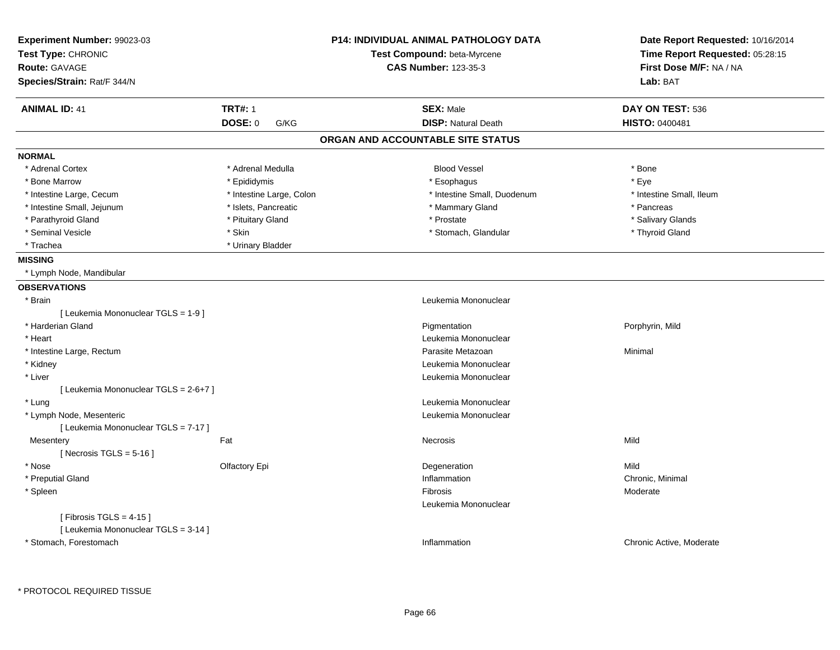| Experiment Number: 99023-03<br>Test Type: CHRONIC |                          | <b>P14: INDIVIDUAL ANIMAL PATHOLOGY DATA</b> | Date Report Requested: 10/16/2014<br>Time Report Requested: 05:28:15 |
|---------------------------------------------------|--------------------------|----------------------------------------------|----------------------------------------------------------------------|
|                                                   |                          | Test Compound: beta-Myrcene                  |                                                                      |
| <b>Route: GAVAGE</b>                              |                          | <b>CAS Number: 123-35-3</b>                  | First Dose M/F: NA / NA                                              |
| Species/Strain: Rat/F 344/N                       |                          |                                              | Lab: BAT                                                             |
| <b>ANIMAL ID: 41</b>                              | <b>TRT#: 1</b>           | <b>SEX: Male</b>                             | DAY ON TEST: 536                                                     |
|                                                   | <b>DOSE: 0</b><br>G/KG   | <b>DISP: Natural Death</b>                   | <b>HISTO: 0400481</b>                                                |
|                                                   |                          | ORGAN AND ACCOUNTABLE SITE STATUS            |                                                                      |
| <b>NORMAL</b>                                     |                          |                                              |                                                                      |
| * Adrenal Cortex                                  | * Adrenal Medulla        | <b>Blood Vessel</b>                          | * Bone                                                               |
| * Bone Marrow                                     | * Epididymis             | * Esophagus                                  | * Eye                                                                |
| * Intestine Large, Cecum                          | * Intestine Large, Colon | * Intestine Small, Duodenum                  | * Intestine Small, Ileum                                             |
| * Intestine Small, Jejunum                        | * Islets, Pancreatic     | * Mammary Gland                              | * Pancreas                                                           |
| * Parathyroid Gland                               | * Pituitary Gland        | * Prostate                                   | * Salivary Glands                                                    |
| * Seminal Vesicle                                 | * Skin                   | * Stomach, Glandular                         | * Thyroid Gland                                                      |
| * Trachea                                         | * Urinary Bladder        |                                              |                                                                      |
| <b>MISSING</b>                                    |                          |                                              |                                                                      |
| * Lymph Node, Mandibular                          |                          |                                              |                                                                      |
| <b>OBSERVATIONS</b>                               |                          |                                              |                                                                      |
| * Brain                                           |                          | Leukemia Mononuclear                         |                                                                      |
| [ Leukemia Mononuclear TGLS = 1-9 ]               |                          |                                              |                                                                      |
| * Harderian Gland                                 |                          | Pigmentation                                 | Porphyrin, Mild                                                      |
| * Heart                                           |                          | Leukemia Mononuclear                         |                                                                      |
| * Intestine Large, Rectum                         |                          | Parasite Metazoan                            | Minimal                                                              |
| * Kidney                                          |                          | Leukemia Mononuclear                         |                                                                      |
| * Liver                                           |                          | Leukemia Mononuclear                         |                                                                      |
| [ Leukemia Mononuclear TGLS = 2-6+7 ]             |                          |                                              |                                                                      |
| * Lung                                            |                          | Leukemia Mononuclear                         |                                                                      |
| * Lymph Node, Mesenteric                          |                          | Leukemia Mononuclear                         |                                                                      |
| [ Leukemia Mononuclear TGLS = 7-17 ]              |                          |                                              |                                                                      |
| Mesentery                                         | Fat                      | Necrosis                                     | Mild                                                                 |
| [Necrosis TGLS = $5-16$ ]                         |                          |                                              |                                                                      |
| * Nose                                            | Olfactory Epi            | Degeneration                                 | Mild                                                                 |
| * Preputial Gland                                 |                          | Inflammation                                 | Chronic, Minimal                                                     |
| * Spleen                                          |                          | Fibrosis                                     | Moderate                                                             |
|                                                   |                          | Leukemia Mononuclear                         |                                                                      |
| [Fibrosis TGLS = $4-15$ ]                         |                          |                                              |                                                                      |
| [ Leukemia Mononuclear TGLS = 3-14 ]              |                          |                                              |                                                                      |
| * Stomach, Forestomach                            |                          | Inflammation                                 | Chronic Active, Moderate                                             |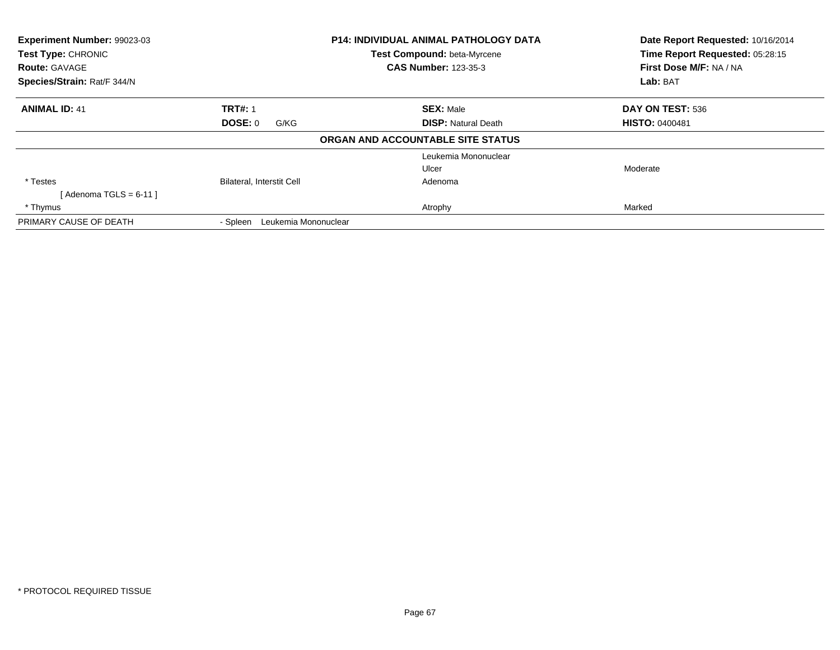| Experiment Number: 99023-03<br><b>P14: INDIVIDUAL ANIMAL PATHOLOGY DATA</b><br>Test Compound: beta-Myrcene<br>Test Type: CHRONIC<br><b>CAS Number: 123-35-3</b><br><b>Route: GAVAGE</b><br>Species/Strain: Rat/F 344/N |                                  |                                   | Date Report Requested: 10/16/2014<br>Time Report Requested: 05:28:15<br>First Dose M/F: NA / NA |
|------------------------------------------------------------------------------------------------------------------------------------------------------------------------------------------------------------------------|----------------------------------|-----------------------------------|-------------------------------------------------------------------------------------------------|
|                                                                                                                                                                                                                        |                                  | Lab: BAT                          |                                                                                                 |
| <b>ANIMAL ID: 41</b>                                                                                                                                                                                                   | <b>TRT#: 1</b>                   | <b>SEX: Male</b>                  | DAY ON TEST: 536                                                                                |
|                                                                                                                                                                                                                        | <b>DOSE: 0</b><br>G/KG           | <b>DISP:</b> Natural Death        | <b>HISTO: 0400481</b>                                                                           |
|                                                                                                                                                                                                                        |                                  | ORGAN AND ACCOUNTABLE SITE STATUS |                                                                                                 |
|                                                                                                                                                                                                                        |                                  | Leukemia Mononuclear              |                                                                                                 |
|                                                                                                                                                                                                                        |                                  | Ulcer                             | Moderate                                                                                        |
| * Testes                                                                                                                                                                                                               | <b>Bilateral, Interstit Cell</b> | Adenoma                           |                                                                                                 |
| [ Adenoma TGLS = 6-11 ]                                                                                                                                                                                                |                                  |                                   |                                                                                                 |
| * Thymus                                                                                                                                                                                                               |                                  | Atrophy                           | Marked                                                                                          |
| PRIMARY CAUSE OF DEATH                                                                                                                                                                                                 | Leukemia Mononuclear<br>- Spleen |                                   |                                                                                                 |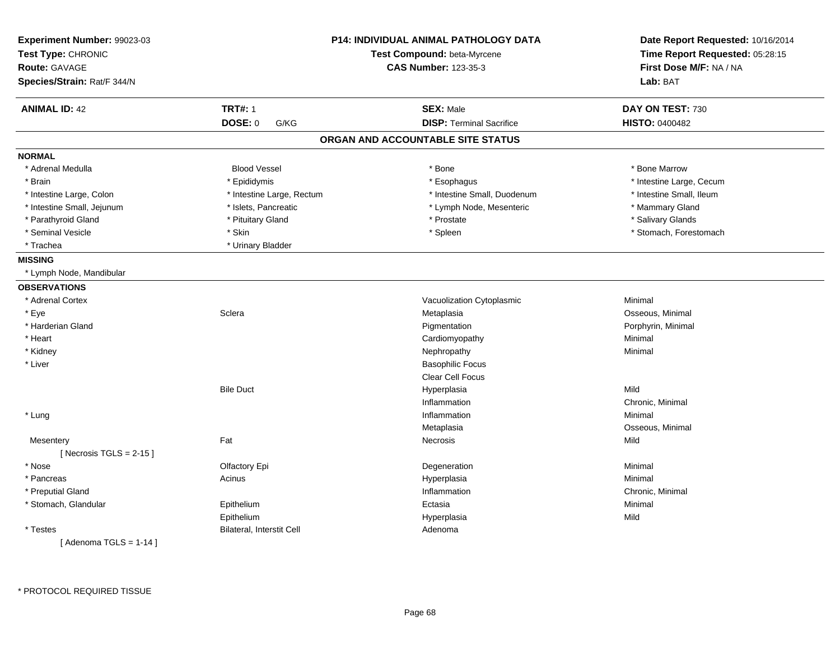| Experiment Number: 99023-03<br>Test Type: CHRONIC<br><b>Route: GAVAGE</b><br>Species/Strain: Rat/F 344/N | <b>P14: INDIVIDUAL ANIMAL PATHOLOGY DATA</b><br>Test Compound: beta-Myrcene<br><b>CAS Number: 123-35-3</b> |                                   | Date Report Requested: 10/16/2014<br>Time Report Requested: 05:28:15<br>First Dose M/F: NA / NA<br>Lab: BAT |  |
|----------------------------------------------------------------------------------------------------------|------------------------------------------------------------------------------------------------------------|-----------------------------------|-------------------------------------------------------------------------------------------------------------|--|
| <b>ANIMAL ID: 42</b>                                                                                     | <b>TRT#: 1</b>                                                                                             | <b>SEX: Male</b>                  | DAY ON TEST: 730                                                                                            |  |
|                                                                                                          | <b>DOSE: 0</b><br>G/KG                                                                                     | <b>DISP: Terminal Sacrifice</b>   | HISTO: 0400482                                                                                              |  |
|                                                                                                          |                                                                                                            | ORGAN AND ACCOUNTABLE SITE STATUS |                                                                                                             |  |
| <b>NORMAL</b>                                                                                            |                                                                                                            |                                   |                                                                                                             |  |
| * Adrenal Medulla                                                                                        | <b>Blood Vessel</b>                                                                                        | * Bone                            | * Bone Marrow                                                                                               |  |
| * Brain                                                                                                  | * Epididymis                                                                                               | * Esophagus                       | * Intestine Large, Cecum                                                                                    |  |
| * Intestine Large, Colon                                                                                 | * Intestine Large, Rectum                                                                                  | * Intestine Small, Duodenum       | * Intestine Small, Ileum                                                                                    |  |
| * Intestine Small, Jejunum                                                                               | * Islets, Pancreatic                                                                                       | * Lymph Node, Mesenteric          | * Mammary Gland                                                                                             |  |
| * Parathyroid Gland                                                                                      | * Pituitary Gland                                                                                          | * Prostate                        | * Salivary Glands                                                                                           |  |
| * Seminal Vesicle                                                                                        | * Skin                                                                                                     | * Spleen                          | * Stomach, Forestomach                                                                                      |  |
| * Trachea                                                                                                | * Urinary Bladder                                                                                          |                                   |                                                                                                             |  |
| <b>MISSING</b>                                                                                           |                                                                                                            |                                   |                                                                                                             |  |
| * Lymph Node, Mandibular                                                                                 |                                                                                                            |                                   |                                                                                                             |  |
| <b>OBSERVATIONS</b>                                                                                      |                                                                                                            |                                   |                                                                                                             |  |
| * Adrenal Cortex                                                                                         |                                                                                                            | Vacuolization Cytoplasmic         | Minimal                                                                                                     |  |
| * Eye                                                                                                    | Sclera                                                                                                     | Metaplasia                        | Osseous, Minimal                                                                                            |  |
| * Harderian Gland                                                                                        |                                                                                                            | Pigmentation                      | Porphyrin, Minimal                                                                                          |  |
| * Heart                                                                                                  |                                                                                                            | Cardiomyopathy                    | Minimal                                                                                                     |  |
| * Kidney                                                                                                 |                                                                                                            | Nephropathy                       | Minimal                                                                                                     |  |
| * Liver                                                                                                  |                                                                                                            | <b>Basophilic Focus</b>           |                                                                                                             |  |
|                                                                                                          |                                                                                                            | Clear Cell Focus                  |                                                                                                             |  |
|                                                                                                          | <b>Bile Duct</b>                                                                                           | Hyperplasia                       | Mild                                                                                                        |  |
|                                                                                                          |                                                                                                            | Inflammation                      | Chronic, Minimal                                                                                            |  |
| * Lung                                                                                                   |                                                                                                            | Inflammation                      | Minimal                                                                                                     |  |
|                                                                                                          |                                                                                                            | Metaplasia                        | Osseous, Minimal                                                                                            |  |
| Mesentery                                                                                                | Fat                                                                                                        | <b>Necrosis</b>                   | Mild                                                                                                        |  |
| [ Necrosis TGLS = $2-15$ ]                                                                               |                                                                                                            |                                   |                                                                                                             |  |
| * Nose                                                                                                   | Olfactory Epi                                                                                              | Degeneration                      | Minimal                                                                                                     |  |
| * Pancreas                                                                                               | Acinus                                                                                                     | Hyperplasia                       | Minimal                                                                                                     |  |
| * Preputial Gland                                                                                        |                                                                                                            | Inflammation                      | Chronic, Minimal                                                                                            |  |
| * Stomach, Glandular                                                                                     | Epithelium                                                                                                 | Ectasia                           | Minimal                                                                                                     |  |
|                                                                                                          | Epithelium                                                                                                 | Hyperplasia                       | Mild                                                                                                        |  |
| * Testes                                                                                                 | <b>Bilateral, Interstit Cell</b>                                                                           | Adenoma                           |                                                                                                             |  |
| [Adenoma TGLS = $1-14$ ]                                                                                 |                                                                                                            |                                   |                                                                                                             |  |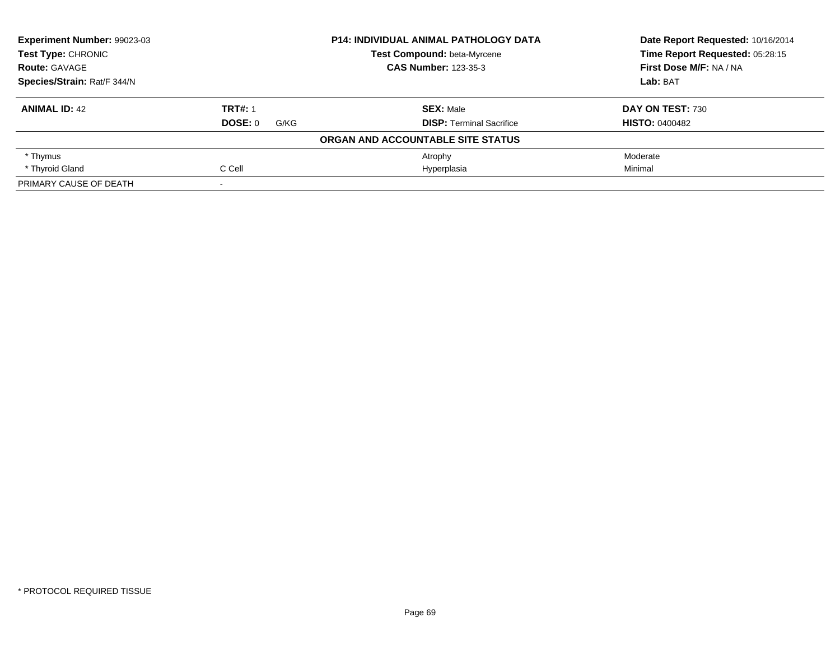| Experiment Number: 99023-03<br><b>P14: INDIVIDUAL ANIMAL PATHOLOGY DATA</b><br>Test Type: CHRONIC<br>Test Compound: beta-Myrcene<br><b>CAS Number: 123-35-3</b><br><b>Route: GAVAGE</b><br>Species/Strain: Rat/F 344/N |                        |                                   | Date Report Requested: 10/16/2014<br>Time Report Requested: 05:28:15 |
|------------------------------------------------------------------------------------------------------------------------------------------------------------------------------------------------------------------------|------------------------|-----------------------------------|----------------------------------------------------------------------|
|                                                                                                                                                                                                                        |                        |                                   |                                                                      |
|                                                                                                                                                                                                                        |                        | First Dose M/F: NA / NA           |                                                                      |
|                                                                                                                                                                                                                        |                        |                                   | Lab: BAT                                                             |
| <b>ANIMAL ID: 42</b>                                                                                                                                                                                                   | <b>TRT#: 1</b>         | <b>SEX: Male</b>                  | DAY ON TEST: 730                                                     |
|                                                                                                                                                                                                                        | <b>DOSE: 0</b><br>G/KG | <b>DISP:</b> Terminal Sacrifice   | <b>HISTO: 0400482</b>                                                |
|                                                                                                                                                                                                                        |                        | ORGAN AND ACCOUNTABLE SITE STATUS |                                                                      |
| * Thymus                                                                                                                                                                                                               |                        | Atrophy                           | Moderate                                                             |
| * Thyroid Gland                                                                                                                                                                                                        | C Cell                 | Hyperplasia                       | Minimal                                                              |
| PRIMARY CAUSE OF DEATH                                                                                                                                                                                                 |                        |                                   |                                                                      |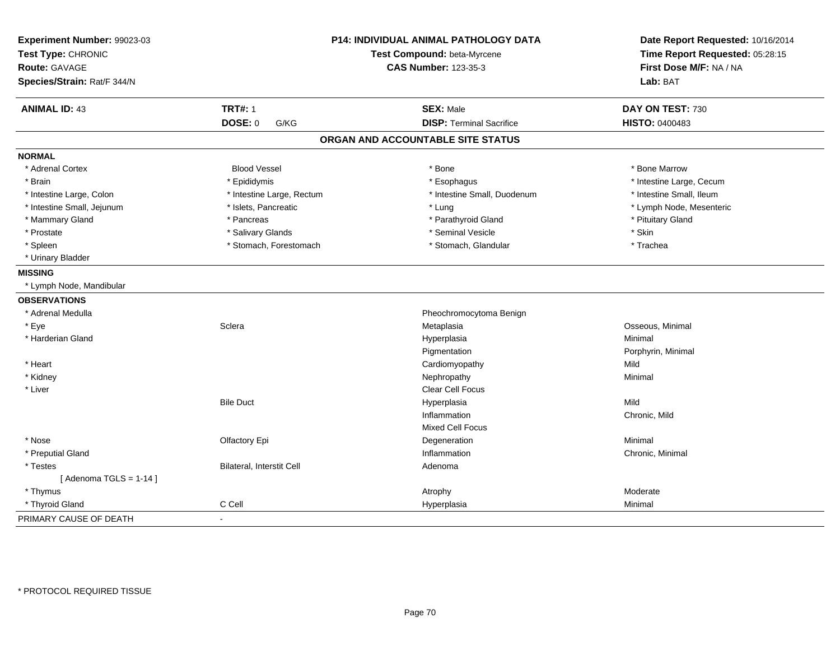| Experiment Number: 99023-03<br>Test Type: CHRONIC<br><b>Route: GAVAGE</b><br>Species/Strain: Rat/F 344/N | P14: INDIVIDUAL ANIMAL PATHOLOGY DATA<br>Test Compound: beta-Myrcene<br><b>CAS Number: 123-35-3</b> |                                   | Date Report Requested: 10/16/2014<br>Time Report Requested: 05:28:15<br>First Dose M/F: NA / NA<br>Lab: BAT |
|----------------------------------------------------------------------------------------------------------|-----------------------------------------------------------------------------------------------------|-----------------------------------|-------------------------------------------------------------------------------------------------------------|
|                                                                                                          |                                                                                                     |                                   |                                                                                                             |
| <b>ANIMAL ID: 43</b>                                                                                     | <b>TRT#: 1</b>                                                                                      | <b>SEX: Male</b>                  | DAY ON TEST: 730                                                                                            |
|                                                                                                          | DOSE: 0<br>G/KG                                                                                     | <b>DISP: Terminal Sacrifice</b>   | <b>HISTO: 0400483</b>                                                                                       |
|                                                                                                          |                                                                                                     | ORGAN AND ACCOUNTABLE SITE STATUS |                                                                                                             |
| <b>NORMAL</b>                                                                                            |                                                                                                     |                                   |                                                                                                             |
| * Adrenal Cortex                                                                                         | <b>Blood Vessel</b>                                                                                 | * Bone                            | * Bone Marrow                                                                                               |
| * Brain                                                                                                  | * Epididymis                                                                                        | * Esophagus                       | * Intestine Large, Cecum                                                                                    |
| * Intestine Large, Colon                                                                                 | * Intestine Large, Rectum                                                                           | * Intestine Small, Duodenum       | * Intestine Small, Ileum                                                                                    |
| * Intestine Small, Jejunum                                                                               | * Islets, Pancreatic                                                                                | * Lung                            | * Lymph Node, Mesenteric                                                                                    |
| * Mammary Gland                                                                                          | * Pancreas                                                                                          | * Parathyroid Gland               | * Pituitary Gland                                                                                           |
| * Prostate                                                                                               | * Salivary Glands                                                                                   | * Seminal Vesicle                 | * Skin                                                                                                      |
| * Spleen                                                                                                 | * Stomach, Forestomach                                                                              | * Stomach, Glandular              | * Trachea                                                                                                   |
| * Urinary Bladder                                                                                        |                                                                                                     |                                   |                                                                                                             |
| <b>MISSING</b>                                                                                           |                                                                                                     |                                   |                                                                                                             |
| * Lymph Node, Mandibular                                                                                 |                                                                                                     |                                   |                                                                                                             |
| <b>OBSERVATIONS</b>                                                                                      |                                                                                                     |                                   |                                                                                                             |
| * Adrenal Medulla                                                                                        |                                                                                                     | Pheochromocytoma Benign           |                                                                                                             |
| * Eye                                                                                                    | Sclera                                                                                              | Metaplasia                        | Osseous, Minimal                                                                                            |
| * Harderian Gland                                                                                        |                                                                                                     | Hyperplasia                       | Minimal                                                                                                     |
|                                                                                                          |                                                                                                     | Pigmentation                      | Porphyrin, Minimal                                                                                          |
| * Heart                                                                                                  |                                                                                                     | Cardiomyopathy                    | Mild                                                                                                        |
| * Kidney                                                                                                 |                                                                                                     | Nephropathy                       | Minimal                                                                                                     |
| * Liver                                                                                                  |                                                                                                     | <b>Clear Cell Focus</b>           |                                                                                                             |
|                                                                                                          | <b>Bile Duct</b>                                                                                    | Hyperplasia                       | Mild                                                                                                        |
|                                                                                                          |                                                                                                     | Inflammation                      | Chronic, Mild                                                                                               |
|                                                                                                          |                                                                                                     | <b>Mixed Cell Focus</b>           |                                                                                                             |
| * Nose                                                                                                   | Olfactory Epi                                                                                       | Degeneration                      | Minimal                                                                                                     |
| * Preputial Gland                                                                                        |                                                                                                     | Inflammation                      | Chronic, Minimal                                                                                            |
| * Testes                                                                                                 | Bilateral, Interstit Cell                                                                           | Adenoma                           |                                                                                                             |
| [Adenoma TGLS = $1-14$ ]                                                                                 |                                                                                                     |                                   |                                                                                                             |
| * Thymus                                                                                                 |                                                                                                     | Atrophy                           | Moderate                                                                                                    |
| * Thyroid Gland                                                                                          | C Cell                                                                                              | Hyperplasia                       | Minimal                                                                                                     |
| PRIMARY CAUSE OF DEATH                                                                                   | $\sim$                                                                                              |                                   |                                                                                                             |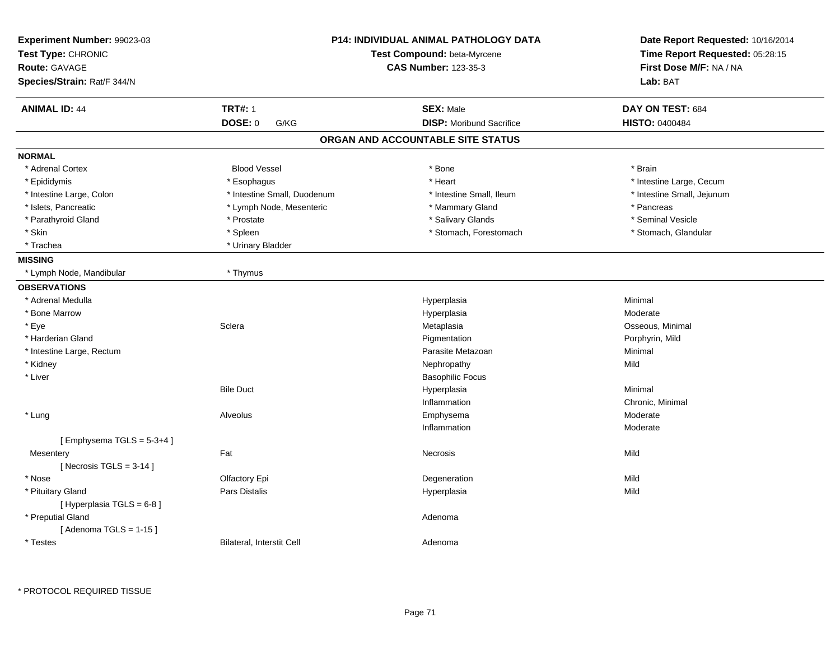| Experiment Number: 99023-03<br>Test Type: CHRONIC<br><b>Route: GAVAGE</b><br>Species/Strain: Rat/F 344/N |                             | <b>P14: INDIVIDUAL ANIMAL PATHOLOGY DATA</b><br>Test Compound: beta-Myrcene<br><b>CAS Number: 123-35-3</b> | Date Report Requested: 10/16/2014<br>Time Report Requested: 05:28:15<br>First Dose M/F: NA / NA<br>Lab: BAT |
|----------------------------------------------------------------------------------------------------------|-----------------------------|------------------------------------------------------------------------------------------------------------|-------------------------------------------------------------------------------------------------------------|
| <b>ANIMAL ID: 44</b>                                                                                     | <b>TRT#: 1</b>              | <b>SEX: Male</b>                                                                                           | DAY ON TEST: 684                                                                                            |
|                                                                                                          | DOSE: 0<br>G/KG             | <b>DISP: Moribund Sacrifice</b>                                                                            | HISTO: 0400484                                                                                              |
|                                                                                                          |                             | ORGAN AND ACCOUNTABLE SITE STATUS                                                                          |                                                                                                             |
| <b>NORMAL</b>                                                                                            |                             |                                                                                                            |                                                                                                             |
| * Adrenal Cortex                                                                                         | <b>Blood Vessel</b>         | * Bone                                                                                                     | * Brain                                                                                                     |
| * Epididymis                                                                                             | * Esophagus                 | * Heart                                                                                                    | * Intestine Large, Cecum                                                                                    |
| * Intestine Large, Colon                                                                                 | * Intestine Small, Duodenum | * Intestine Small, Ileum                                                                                   | * Intestine Small, Jejunum                                                                                  |
| * Islets, Pancreatic                                                                                     | * Lymph Node, Mesenteric    | * Mammary Gland                                                                                            | * Pancreas                                                                                                  |
| * Parathyroid Gland                                                                                      | * Prostate                  | * Salivary Glands                                                                                          | * Seminal Vesicle                                                                                           |
| * Skin                                                                                                   | * Spleen                    | * Stomach, Forestomach                                                                                     | * Stomach, Glandular                                                                                        |
| * Trachea                                                                                                | * Urinary Bladder           |                                                                                                            |                                                                                                             |
| <b>MISSING</b>                                                                                           |                             |                                                                                                            |                                                                                                             |
| * Lymph Node, Mandibular                                                                                 | * Thymus                    |                                                                                                            |                                                                                                             |
| <b>OBSERVATIONS</b>                                                                                      |                             |                                                                                                            |                                                                                                             |
| * Adrenal Medulla                                                                                        |                             | Hyperplasia                                                                                                | Minimal                                                                                                     |
| * Bone Marrow                                                                                            |                             | Hyperplasia                                                                                                | Moderate                                                                                                    |
| * Eye                                                                                                    | Sclera                      | Metaplasia                                                                                                 | Osseous, Minimal                                                                                            |
| * Harderian Gland                                                                                        |                             | Pigmentation                                                                                               | Porphyrin, Mild                                                                                             |
| * Intestine Large, Rectum                                                                                |                             | Parasite Metazoan                                                                                          | Minimal                                                                                                     |
| * Kidney                                                                                                 |                             | Nephropathy                                                                                                | Mild                                                                                                        |
| * Liver                                                                                                  |                             | <b>Basophilic Focus</b>                                                                                    |                                                                                                             |
|                                                                                                          | <b>Bile Duct</b>            | Hyperplasia                                                                                                | Minimal                                                                                                     |
|                                                                                                          |                             | Inflammation                                                                                               | Chronic, Minimal                                                                                            |
| * Lung                                                                                                   | Alveolus                    | Emphysema                                                                                                  | Moderate                                                                                                    |
|                                                                                                          |                             | Inflammation                                                                                               | Moderate                                                                                                    |
| [Emphysema $TGLS = 5-3+4$ ]                                                                              |                             |                                                                                                            |                                                                                                             |
| Mesentery                                                                                                | Fat                         | <b>Necrosis</b>                                                                                            | Mild                                                                                                        |
| [Necrosis TGLS = $3-14$ ]                                                                                |                             |                                                                                                            |                                                                                                             |
| * Nose                                                                                                   | Olfactory Epi               | Degeneration                                                                                               | Mild                                                                                                        |
| * Pituitary Gland                                                                                        | Pars Distalis               | Hyperplasia                                                                                                | Mild                                                                                                        |
| [Hyperplasia TGLS = $6-8$ ]                                                                              |                             |                                                                                                            |                                                                                                             |
| * Preputial Gland                                                                                        |                             | Adenoma                                                                                                    |                                                                                                             |
| [Adenoma TGLS = $1-15$ ]                                                                                 |                             |                                                                                                            |                                                                                                             |
| * Testes                                                                                                 | Bilateral, Interstit Cell   | Adenoma                                                                                                    |                                                                                                             |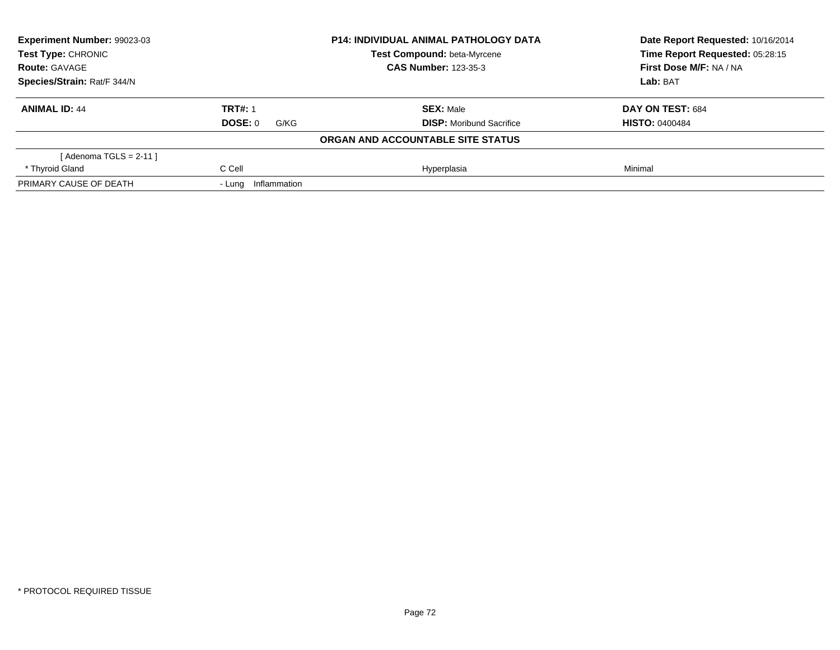| Experiment Number: 99023-03 |                        | <b>P14: INDIVIDUAL ANIMAL PATHOLOGY DATA</b> | Date Report Requested: 10/16/2014 |
|-----------------------------|------------------------|----------------------------------------------|-----------------------------------|
| Test Type: CHRONIC          |                        | Test Compound: beta-Myrcene                  | Time Report Requested: 05:28:15   |
| <b>Route: GAVAGE</b>        |                        | <b>CAS Number: 123-35-3</b>                  | First Dose M/F: NA / NA           |
| Species/Strain: Rat/F 344/N |                        | Lab: BAT                                     |                                   |
| <b>ANIMAL ID: 44</b>        | <b>TRT#: 1</b>         | <b>SEX: Male</b>                             | DAY ON TEST: 684                  |
|                             | DOSE: 0<br>G/KG        | <b>DISP:</b> Moribund Sacrifice              | <b>HISTO: 0400484</b>             |
|                             |                        | ORGAN AND ACCOUNTABLE SITE STATUS            |                                   |
| [ Adenoma TGLS = 2-11 ]     |                        |                                              |                                   |
| * Thyroid Gland             | C Cell                 | Hyperplasia                                  | Minimal                           |
| PRIMARY CAUSE OF DEATH      | Inflammation<br>- Lung |                                              |                                   |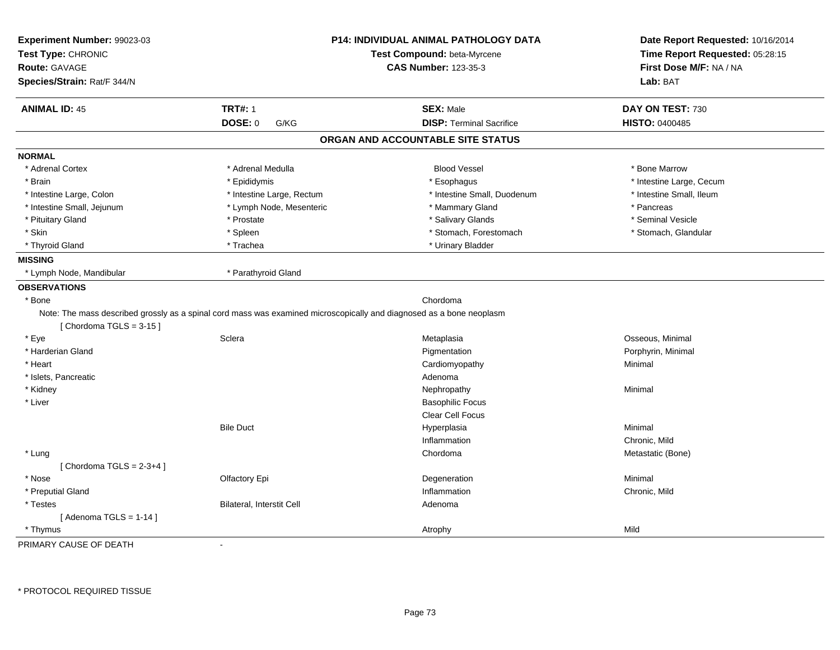| Experiment Number: 99023-03 |                                                                                                                      | P14: INDIVIDUAL ANIMAL PATHOLOGY DATA | Date Report Requested: 10/16/2014 |
|-----------------------------|----------------------------------------------------------------------------------------------------------------------|---------------------------------------|-----------------------------------|
| Test Type: CHRONIC          |                                                                                                                      | Test Compound: beta-Myrcene           | Time Report Requested: 05:28:15   |
| Route: GAVAGE               |                                                                                                                      | <b>CAS Number: 123-35-3</b>           | First Dose M/F: NA / NA           |
| Species/Strain: Rat/F 344/N |                                                                                                                      |                                       | Lab: BAT                          |
| <b>ANIMAL ID: 45</b>        | <b>TRT#: 1</b>                                                                                                       | <b>SEX: Male</b>                      | DAY ON TEST: 730                  |
|                             | DOSE: 0<br>G/KG                                                                                                      | <b>DISP: Terminal Sacrifice</b>       | HISTO: 0400485                    |
|                             |                                                                                                                      | ORGAN AND ACCOUNTABLE SITE STATUS     |                                   |
| <b>NORMAL</b>               |                                                                                                                      |                                       |                                   |
| * Adrenal Cortex            | * Adrenal Medulla                                                                                                    | <b>Blood Vessel</b>                   | * Bone Marrow                     |
| * Brain                     | * Epididymis                                                                                                         | * Esophagus                           | * Intestine Large, Cecum          |
| * Intestine Large, Colon    | * Intestine Large, Rectum                                                                                            | * Intestine Small, Duodenum           | * Intestine Small, Ileum          |
| * Intestine Small, Jejunum  | * Lymph Node, Mesenteric                                                                                             | * Mammary Gland                       | * Pancreas                        |
| * Pituitary Gland           | * Prostate                                                                                                           | * Salivary Glands                     | * Seminal Vesicle                 |
| * Skin                      | * Spleen                                                                                                             | * Stomach, Forestomach                | * Stomach, Glandular              |
| * Thyroid Gland             | * Trachea                                                                                                            | * Urinary Bladder                     |                                   |
| <b>MISSING</b>              |                                                                                                                      |                                       |                                   |
| * Lymph Node, Mandibular    | * Parathyroid Gland                                                                                                  |                                       |                                   |
| <b>OBSERVATIONS</b>         |                                                                                                                      |                                       |                                   |
| * Bone                      |                                                                                                                      | Chordoma                              |                                   |
| [Chordoma TGLS = $3-15$ ]   | Note: The mass described grossly as a spinal cord mass was examined microscopically and diagnosed as a bone neoplasm |                                       |                                   |
| * Eye                       | Sclera                                                                                                               | Metaplasia                            | Osseous, Minimal                  |
| * Harderian Gland           |                                                                                                                      | Pigmentation                          | Porphyrin, Minimal                |
| * Heart                     |                                                                                                                      | Cardiomyopathy                        | Minimal                           |
| * Islets, Pancreatic        |                                                                                                                      | Adenoma                               |                                   |
| * Kidney                    |                                                                                                                      | Nephropathy                           | Minimal                           |
| * Liver                     |                                                                                                                      | <b>Basophilic Focus</b>               |                                   |
|                             |                                                                                                                      | Clear Cell Focus                      |                                   |
|                             | <b>Bile Duct</b>                                                                                                     | Hyperplasia                           | Minimal                           |
|                             |                                                                                                                      | Inflammation                          | Chronic, Mild                     |
| * Lung                      |                                                                                                                      | Chordoma                              | Metastatic (Bone)                 |
| [Chordoma TGLS = $2-3+4$ ]  |                                                                                                                      |                                       |                                   |
| * Nose                      | Olfactory Epi                                                                                                        | Degeneration                          | Minimal                           |
| * Preputial Gland           |                                                                                                                      | Inflammation                          | Chronic, Mild                     |
| * Testes                    | Bilateral, Interstit Cell                                                                                            | Adenoma                               |                                   |
| [Adenoma TGLS = $1-14$ ]    |                                                                                                                      |                                       |                                   |
| * Thymus                    |                                                                                                                      | Atrophy                               | Mild                              |
| PRIMARY CAUSE OF DEATH      | $\blacksquare$                                                                                                       |                                       |                                   |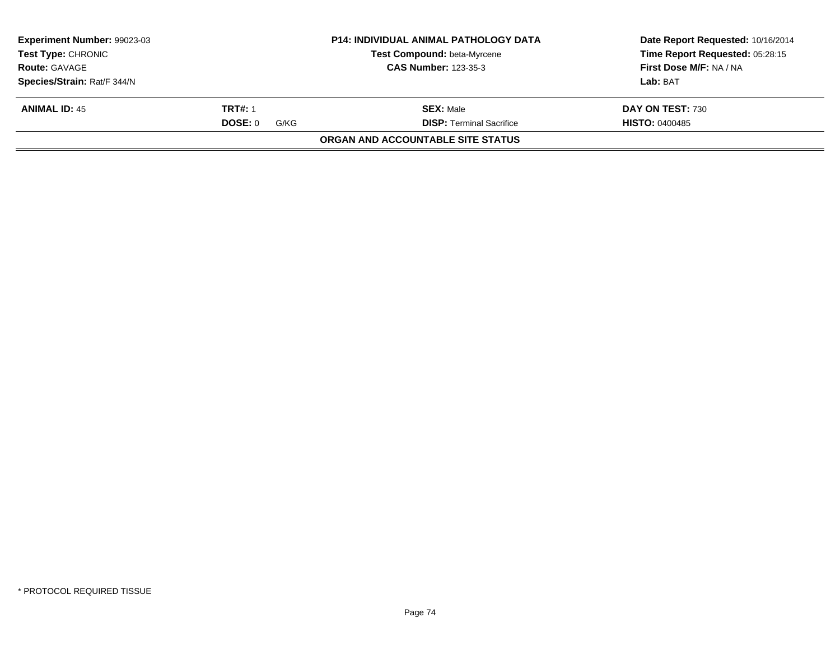| <b>Experiment Number: 99023-03</b><br><b>Test Type:</b> CHRONIC |                 | <b>P14: INDIVIDUAL ANIMAL PATHOLOGY DATA</b> | Date Report Requested: 10/16/2014 |
|-----------------------------------------------------------------|-----------------|----------------------------------------------|-----------------------------------|
|                                                                 |                 | <b>Test Compound: beta-Myrcene</b>           | Time Report Requested: 05:28:15   |
| <b>Route: GAVAGE</b>                                            |                 | <b>CAS Number: 123-35-3</b>                  | First Dose M/F: NA / NA           |
| Species/Strain: Rat/F 344/N                                     |                 |                                              | Lab: BAT                          |
| <b>ANIMAL ID: 45</b>                                            | <b>TRT#: 1</b>  | <b>SEX: Male</b>                             | DAY ON TEST: 730                  |
|                                                                 | DOSE: 0<br>G/KG | <b>DISP:</b> Terminal Sacrifice              | <b>HISTO: 0400485</b>             |
|                                                                 |                 | ORGAN AND ACCOUNTABLE SITE STATUS            |                                   |
|                                                                 |                 |                                              |                                   |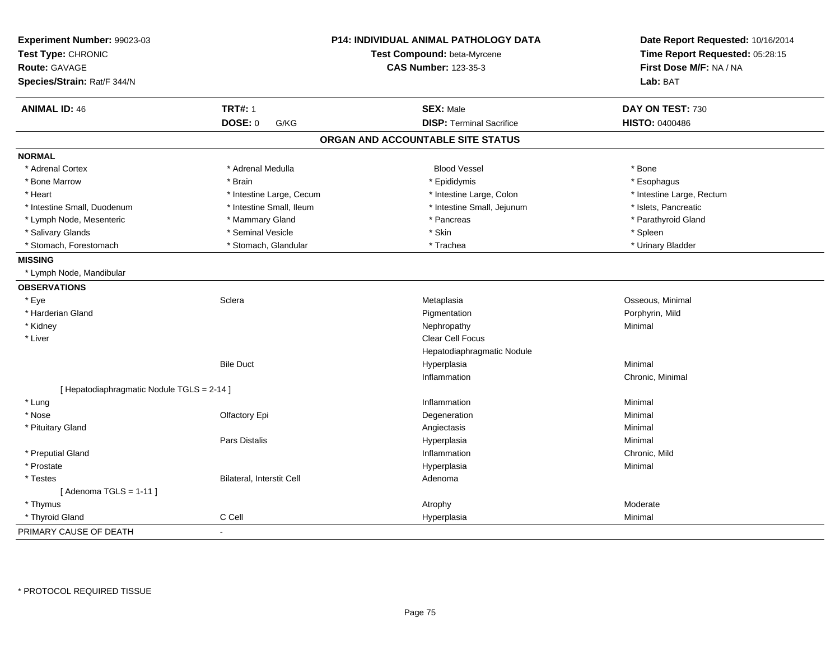| Experiment Number: 99023-03<br>Test Type: CHRONIC |                           | P14: INDIVIDUAL ANIMAL PATHOLOGY DATA<br>Test Compound: beta-Myrcene | Date Report Requested: 10/16/2014<br>Time Report Requested: 05:28:15 |
|---------------------------------------------------|---------------------------|----------------------------------------------------------------------|----------------------------------------------------------------------|
| Route: GAVAGE                                     |                           | <b>CAS Number: 123-35-3</b>                                          | First Dose M/F: NA / NA                                              |
| Species/Strain: Rat/F 344/N                       |                           |                                                                      | Lab: BAT                                                             |
| <b>ANIMAL ID: 46</b>                              | <b>TRT#: 1</b>            | <b>SEX: Male</b>                                                     | DAY ON TEST: 730                                                     |
|                                                   | <b>DOSE: 0</b><br>G/KG    | <b>DISP: Terminal Sacrifice</b>                                      | <b>HISTO: 0400486</b>                                                |
|                                                   |                           | ORGAN AND ACCOUNTABLE SITE STATUS                                    |                                                                      |
| <b>NORMAL</b>                                     |                           |                                                                      |                                                                      |
| * Adrenal Cortex                                  | * Adrenal Medulla         | <b>Blood Vessel</b>                                                  | * Bone                                                               |
| * Bone Marrow                                     | * Brain                   | * Epididymis                                                         | * Esophagus                                                          |
| * Heart                                           | * Intestine Large, Cecum  | * Intestine Large, Colon                                             | * Intestine Large, Rectum                                            |
| * Intestine Small, Duodenum                       | * Intestine Small, Ileum  | * Intestine Small, Jejunum                                           | * Islets, Pancreatic                                                 |
| * Lymph Node, Mesenteric                          | * Mammary Gland           | * Pancreas                                                           | * Parathyroid Gland                                                  |
| * Salivary Glands                                 | * Seminal Vesicle         | * Skin                                                               | * Spleen                                                             |
| * Stomach, Forestomach                            | * Stomach, Glandular      | * Trachea                                                            | * Urinary Bladder                                                    |
| <b>MISSING</b>                                    |                           |                                                                      |                                                                      |
| * Lymph Node, Mandibular                          |                           |                                                                      |                                                                      |
| <b>OBSERVATIONS</b>                               |                           |                                                                      |                                                                      |
| * Eye                                             | Sclera                    | Metaplasia                                                           | Osseous, Minimal                                                     |
| * Harderian Gland                                 |                           | Pigmentation                                                         | Porphyrin, Mild                                                      |
| * Kidney                                          |                           | Nephropathy                                                          | Minimal                                                              |
| * Liver                                           |                           | Clear Cell Focus                                                     |                                                                      |
|                                                   |                           | Hepatodiaphragmatic Nodule                                           |                                                                      |
|                                                   | <b>Bile Duct</b>          | Hyperplasia                                                          | Minimal                                                              |
|                                                   |                           | Inflammation                                                         | Chronic, Minimal                                                     |
| [ Hepatodiaphragmatic Nodule TGLS = 2-14 ]        |                           |                                                                      |                                                                      |
| * Lung                                            |                           | Inflammation                                                         | Minimal                                                              |
| * Nose                                            | Olfactory Epi             | Degeneration                                                         | Minimal                                                              |
| * Pituitary Gland                                 |                           | Angiectasis                                                          | Minimal                                                              |
|                                                   | Pars Distalis             | Hyperplasia                                                          | Minimal                                                              |
| * Preputial Gland                                 |                           | Inflammation                                                         | Chronic, Mild                                                        |
| * Prostate                                        |                           | Hyperplasia                                                          | Minimal                                                              |
| * Testes                                          | Bilateral, Interstit Cell | Adenoma                                                              |                                                                      |
| [Adenoma TGLS = $1-11$ ]                          |                           |                                                                      |                                                                      |
| * Thymus                                          |                           | Atrophy                                                              | Moderate                                                             |
| * Thyroid Gland                                   | C Cell                    | Hyperplasia                                                          | Minimal                                                              |
| PRIMARY CAUSE OF DEATH                            | $\blacksquare$            |                                                                      |                                                                      |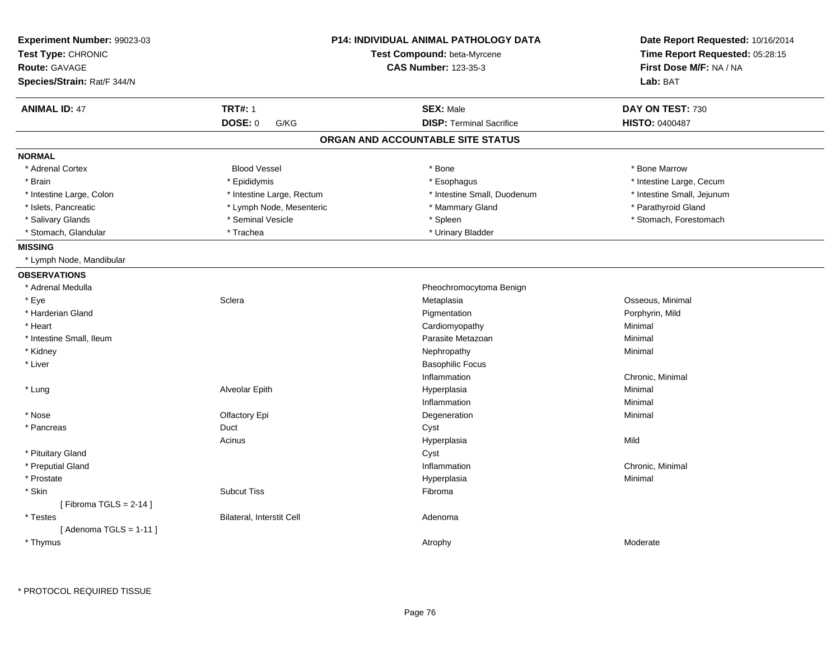| Experiment Number: 99023-03<br>Test Type: CHRONIC<br><b>Route: GAVAGE</b><br>Species/Strain: Rat/F 344/N |                           | <b>P14: INDIVIDUAL ANIMAL PATHOLOGY DATA</b><br>Test Compound: beta-Myrcene<br><b>CAS Number: 123-35-3</b> | Date Report Requested: 10/16/2014<br>Time Report Requested: 05:28:15<br>First Dose M/F: NA / NA<br>Lab: BAT |
|----------------------------------------------------------------------------------------------------------|---------------------------|------------------------------------------------------------------------------------------------------------|-------------------------------------------------------------------------------------------------------------|
| <b>ANIMAL ID: 47</b>                                                                                     | <b>TRT#: 1</b>            | <b>SEX: Male</b>                                                                                           | DAY ON TEST: 730                                                                                            |
|                                                                                                          | <b>DOSE: 0</b><br>G/KG    | <b>DISP: Terminal Sacrifice</b>                                                                            | <b>HISTO: 0400487</b>                                                                                       |
|                                                                                                          |                           | ORGAN AND ACCOUNTABLE SITE STATUS                                                                          |                                                                                                             |
| <b>NORMAL</b>                                                                                            |                           |                                                                                                            |                                                                                                             |
| * Adrenal Cortex                                                                                         | <b>Blood Vessel</b>       | * Bone                                                                                                     | * Bone Marrow                                                                                               |
| * Brain                                                                                                  | * Epididymis              | * Esophagus                                                                                                | * Intestine Large, Cecum                                                                                    |
| * Intestine Large, Colon                                                                                 | * Intestine Large, Rectum | * Intestine Small, Duodenum                                                                                | * Intestine Small, Jejunum                                                                                  |
| * Islets, Pancreatic                                                                                     | * Lymph Node, Mesenteric  | * Mammary Gland                                                                                            | * Parathyroid Gland                                                                                         |
| * Salivary Glands                                                                                        | * Seminal Vesicle         | * Spleen                                                                                                   | * Stomach, Forestomach                                                                                      |
| * Stomach, Glandular                                                                                     | * Trachea                 | * Urinary Bladder                                                                                          |                                                                                                             |
| <b>MISSING</b>                                                                                           |                           |                                                                                                            |                                                                                                             |
| * Lymph Node, Mandibular                                                                                 |                           |                                                                                                            |                                                                                                             |
| <b>OBSERVATIONS</b>                                                                                      |                           |                                                                                                            |                                                                                                             |
| * Adrenal Medulla                                                                                        |                           | Pheochromocytoma Benign                                                                                    |                                                                                                             |
| * Eye                                                                                                    | Sclera                    | Metaplasia                                                                                                 | Osseous, Minimal                                                                                            |
| * Harderian Gland                                                                                        |                           | Pigmentation                                                                                               | Porphyrin, Mild                                                                                             |
| * Heart                                                                                                  |                           | Cardiomyopathy                                                                                             | Minimal                                                                                                     |
| * Intestine Small, Ileum                                                                                 |                           | Parasite Metazoan                                                                                          | Minimal                                                                                                     |
| * Kidney                                                                                                 |                           | Nephropathy                                                                                                | Minimal                                                                                                     |
| * Liver                                                                                                  |                           | <b>Basophilic Focus</b>                                                                                    |                                                                                                             |
|                                                                                                          |                           | Inflammation                                                                                               | Chronic, Minimal                                                                                            |
| * Lung                                                                                                   | Alveolar Epith            | Hyperplasia                                                                                                | Minimal                                                                                                     |
|                                                                                                          |                           | Inflammation                                                                                               | Minimal                                                                                                     |
| * Nose                                                                                                   | Olfactory Epi             | Degeneration                                                                                               | Minimal                                                                                                     |
| * Pancreas                                                                                               | Duct                      | Cyst                                                                                                       |                                                                                                             |
|                                                                                                          | Acinus                    | Hyperplasia                                                                                                | Mild                                                                                                        |
| * Pituitary Gland                                                                                        |                           | Cyst                                                                                                       |                                                                                                             |
| * Preputial Gland                                                                                        |                           | Inflammation                                                                                               | Chronic, Minimal                                                                                            |
| * Prostate                                                                                               |                           | Hyperplasia                                                                                                | Minimal                                                                                                     |
| * Skin                                                                                                   | <b>Subcut Tiss</b>        | Fibroma                                                                                                    |                                                                                                             |
| [Fibroma TGLS = $2-14$ ]                                                                                 |                           |                                                                                                            |                                                                                                             |
| * Testes                                                                                                 | Bilateral, Interstit Cell | Adenoma                                                                                                    |                                                                                                             |
| [Adenoma TGLS = $1-11$ ]                                                                                 |                           |                                                                                                            |                                                                                                             |
| * Thymus                                                                                                 |                           | Atrophy                                                                                                    | Moderate                                                                                                    |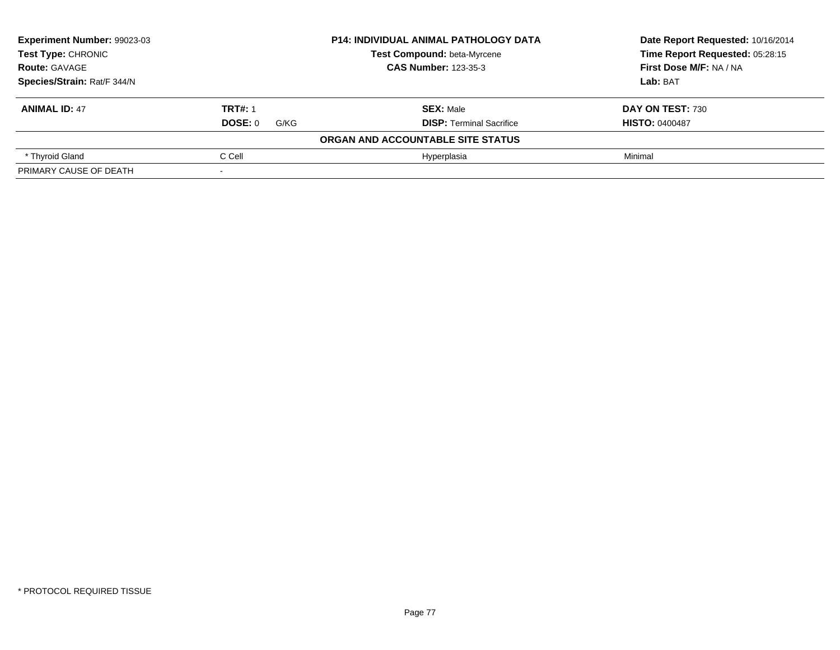| Experiment Number: 99023-03<br>Test Type: CHRONIC |                 | <b>P14: INDIVIDUAL ANIMAL PATHOLOGY DATA</b> | Date Report Requested: 10/16/2014 |
|---------------------------------------------------|-----------------|----------------------------------------------|-----------------------------------|
|                                                   |                 | <b>Test Compound: beta-Myrcene</b>           | Time Report Requested: 05:28:15   |
| <b>Route: GAVAGE</b>                              |                 | <b>CAS Number: 123-35-3</b>                  | First Dose M/F: NA / NA           |
| Species/Strain: Rat/F 344/N                       |                 |                                              | Lab: BAT                          |
| <b>ANIMAL ID: 47</b>                              | <b>TRT#: 1</b>  | <b>SEX: Male</b>                             | DAY ON TEST: 730                  |
|                                                   | DOSE: 0<br>G/KG | <b>DISP:</b> Terminal Sacrifice              | <b>HISTO: 0400487</b>             |
|                                                   |                 | ORGAN AND ACCOUNTABLE SITE STATUS            |                                   |
| * Thyroid Gland                                   | C Cell          | Hyperplasia                                  | Minimal                           |
| PRIMARY CAUSE OF DEATH                            |                 |                                              |                                   |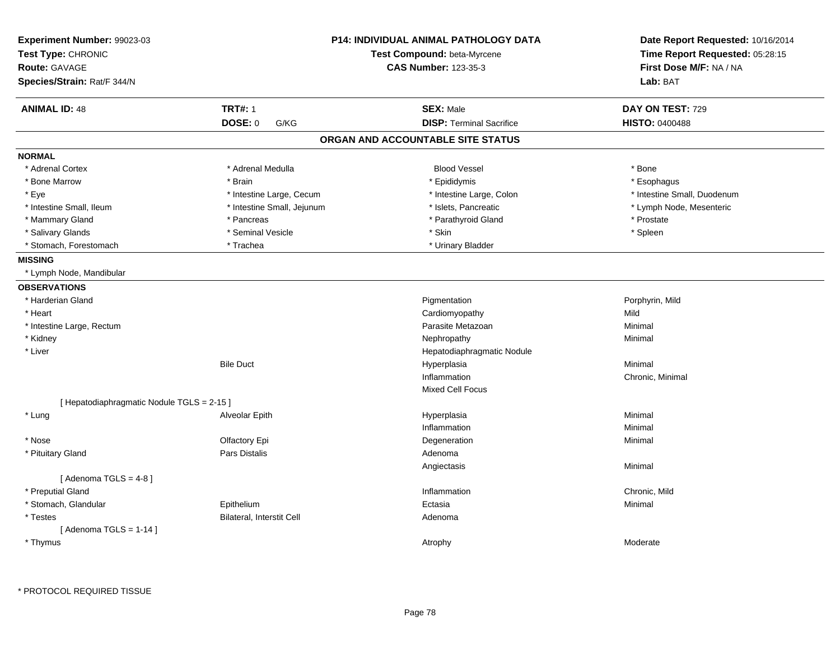| Experiment Number: 99023-03<br>Test Type: CHRONIC<br><b>Route: GAVAGE</b> |                            | <b>P14: INDIVIDUAL ANIMAL PATHOLOGY DATA</b><br>Test Compound: beta-Myrcene<br><b>CAS Number: 123-35-3</b> | Date Report Requested: 10/16/2014<br>Time Report Requested: 05:28:15<br>First Dose M/F: NA / NA |  |
|---------------------------------------------------------------------------|----------------------------|------------------------------------------------------------------------------------------------------------|-------------------------------------------------------------------------------------------------|--|
| Species/Strain: Rat/F 344/N                                               |                            |                                                                                                            | Lab: BAT                                                                                        |  |
| <b>ANIMAL ID: 48</b>                                                      | <b>TRT#: 1</b>             | <b>SEX: Male</b>                                                                                           | DAY ON TEST: 729                                                                                |  |
|                                                                           | DOSE: 0<br>G/KG            | <b>DISP: Terminal Sacrifice</b>                                                                            | <b>HISTO: 0400488</b>                                                                           |  |
|                                                                           |                            | ORGAN AND ACCOUNTABLE SITE STATUS                                                                          |                                                                                                 |  |
| <b>NORMAL</b>                                                             |                            |                                                                                                            |                                                                                                 |  |
| * Adrenal Cortex                                                          | * Adrenal Medulla          | <b>Blood Vessel</b>                                                                                        | * Bone                                                                                          |  |
| * Bone Marrow                                                             | * Brain                    | * Epididymis                                                                                               | * Esophagus                                                                                     |  |
| * Eye                                                                     | * Intestine Large, Cecum   | * Intestine Large, Colon                                                                                   | * Intestine Small, Duodenum                                                                     |  |
| * Intestine Small, Ileum                                                  | * Intestine Small, Jejunum | * Islets, Pancreatic                                                                                       | * Lymph Node, Mesenteric                                                                        |  |
| * Mammary Gland                                                           | * Pancreas                 | * Parathyroid Gland                                                                                        | * Prostate                                                                                      |  |
| * Salivary Glands                                                         | * Seminal Vesicle          | * Skin                                                                                                     | * Spleen                                                                                        |  |
| * Stomach, Forestomach                                                    | * Trachea                  | * Urinary Bladder                                                                                          |                                                                                                 |  |
| <b>MISSING</b>                                                            |                            |                                                                                                            |                                                                                                 |  |
| * Lymph Node, Mandibular                                                  |                            |                                                                                                            |                                                                                                 |  |
| <b>OBSERVATIONS</b>                                                       |                            |                                                                                                            |                                                                                                 |  |
| * Harderian Gland                                                         |                            | Pigmentation                                                                                               | Porphyrin, Mild                                                                                 |  |
| * Heart                                                                   |                            | Cardiomyopathy                                                                                             | Mild                                                                                            |  |
| * Intestine Large, Rectum                                                 |                            | Parasite Metazoan                                                                                          | Minimal                                                                                         |  |
| * Kidney                                                                  |                            | Nephropathy                                                                                                | Minimal                                                                                         |  |
| * Liver                                                                   |                            | Hepatodiaphragmatic Nodule                                                                                 |                                                                                                 |  |
|                                                                           | <b>Bile Duct</b>           | Hyperplasia                                                                                                | Minimal                                                                                         |  |
|                                                                           |                            | Inflammation                                                                                               | Chronic, Minimal                                                                                |  |
|                                                                           |                            | <b>Mixed Cell Focus</b>                                                                                    |                                                                                                 |  |
| [ Hepatodiaphragmatic Nodule TGLS = 2-15 ]                                |                            |                                                                                                            |                                                                                                 |  |
| * Lung                                                                    | Alveolar Epith             | Hyperplasia                                                                                                | Minimal                                                                                         |  |
|                                                                           |                            | Inflammation                                                                                               | Minimal                                                                                         |  |
| * Nose                                                                    | Olfactory Epi              | Degeneration                                                                                               | Minimal                                                                                         |  |
| * Pituitary Gland                                                         | <b>Pars Distalis</b>       | Adenoma                                                                                                    |                                                                                                 |  |
|                                                                           |                            | Angiectasis                                                                                                | Minimal                                                                                         |  |
| [Adenoma TGLS = $4-8$ ]                                                   |                            |                                                                                                            |                                                                                                 |  |
| * Preputial Gland                                                         |                            | Inflammation                                                                                               | Chronic, Mild                                                                                   |  |
| * Stomach, Glandular                                                      | Epithelium                 | Ectasia                                                                                                    | Minimal                                                                                         |  |
| * Testes                                                                  | Bilateral, Interstit Cell  | Adenoma                                                                                                    |                                                                                                 |  |
| [Adenoma TGLS = $1-14$ ]                                                  |                            |                                                                                                            |                                                                                                 |  |
| * Thymus                                                                  |                            | Atrophy                                                                                                    | Moderate                                                                                        |  |
|                                                                           |                            |                                                                                                            |                                                                                                 |  |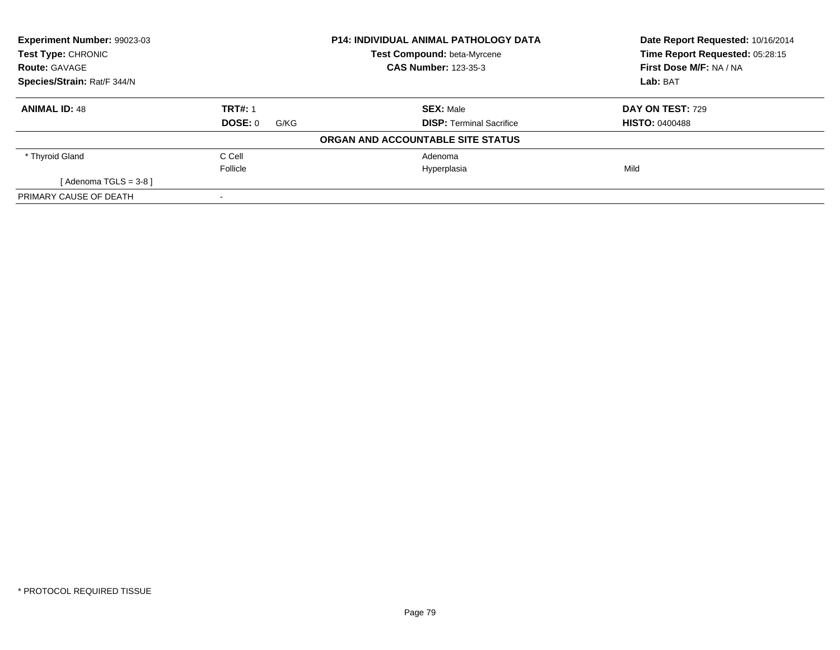| Experiment Number: 99023-03 |                 | <b>P14: INDIVIDUAL ANIMAL PATHOLOGY DATA</b> | Date Report Requested: 10/16/2014 |
|-----------------------------|-----------------|----------------------------------------------|-----------------------------------|
| <b>Test Type: CHRONIC</b>   |                 | Test Compound: beta-Myrcene                  | Time Report Requested: 05:28:15   |
| <b>Route: GAVAGE</b>        |                 | <b>CAS Number: 123-35-3</b>                  | First Dose M/F: NA / NA           |
| Species/Strain: Rat/F 344/N |                 |                                              | Lab: BAT                          |
| <b>ANIMAL ID: 48</b>        | <b>TRT#: 1</b>  | <b>SEX: Male</b>                             | DAY ON TEST: 729                  |
|                             | DOSE: 0<br>G/KG | <b>DISP:</b> Terminal Sacrifice              | <b>HISTO: 0400488</b>             |
|                             |                 | ORGAN AND ACCOUNTABLE SITE STATUS            |                                   |
| * Thyroid Gland             | C Cell          | Adenoma                                      |                                   |
|                             | Follicle        | Hyperplasia                                  | Mild                              |
| [Adenoma TGLS = $3-8$ ]     |                 |                                              |                                   |
| PRIMARY CAUSE OF DEATH      |                 |                                              |                                   |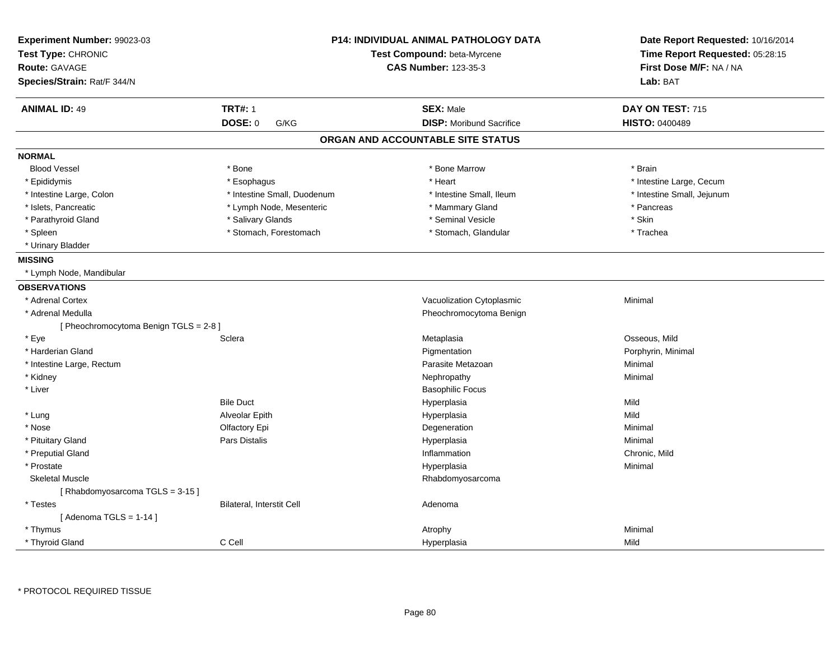| Experiment Number: 99023-03<br>Test Type: CHRONIC |                             | <b>P14: INDIVIDUAL ANIMAL PATHOLOGY DATA</b><br>Test Compound: beta-Myrcene | Date Report Requested: 10/16/2014<br>Time Report Requested: 05:28:15 |
|---------------------------------------------------|-----------------------------|-----------------------------------------------------------------------------|----------------------------------------------------------------------|
| <b>Route: GAVAGE</b>                              |                             | <b>CAS Number: 123-35-3</b>                                                 | First Dose M/F: NA / NA                                              |
| Species/Strain: Rat/F 344/N                       |                             |                                                                             | Lab: BAT                                                             |
| <b>ANIMAL ID: 49</b>                              | <b>TRT#: 1</b>              | <b>SEX: Male</b>                                                            | DAY ON TEST: 715                                                     |
|                                                   | DOSE: 0<br>G/KG             | <b>DISP:</b> Moribund Sacrifice                                             | <b>HISTO: 0400489</b>                                                |
|                                                   |                             | ORGAN AND ACCOUNTABLE SITE STATUS                                           |                                                                      |
| <b>NORMAL</b>                                     |                             |                                                                             |                                                                      |
| <b>Blood Vessel</b>                               | * Bone                      | * Bone Marrow                                                               | * Brain                                                              |
| * Epididymis                                      | * Esophagus                 | * Heart                                                                     | * Intestine Large, Cecum                                             |
| * Intestine Large, Colon                          | * Intestine Small, Duodenum | * Intestine Small, Ileum                                                    | * Intestine Small, Jejunum                                           |
| * Islets, Pancreatic                              | * Lymph Node, Mesenteric    | * Mammary Gland                                                             | * Pancreas                                                           |
| * Parathyroid Gland                               | * Salivary Glands           | * Seminal Vesicle                                                           | * Skin                                                               |
| * Spleen                                          | * Stomach, Forestomach      | * Stomach, Glandular                                                        | * Trachea                                                            |
| * Urinary Bladder                                 |                             |                                                                             |                                                                      |
| <b>MISSING</b>                                    |                             |                                                                             |                                                                      |
| * Lymph Node, Mandibular                          |                             |                                                                             |                                                                      |
| <b>OBSERVATIONS</b>                               |                             |                                                                             |                                                                      |
| * Adrenal Cortex                                  |                             | Vacuolization Cytoplasmic                                                   | Minimal                                                              |
| * Adrenal Medulla                                 |                             | Pheochromocytoma Benign                                                     |                                                                      |
| [Pheochromocytoma Benign TGLS = $2-8$ ]           |                             |                                                                             |                                                                      |
| * Eye                                             | Sclera                      | Metaplasia                                                                  | Osseous, Mild                                                        |
| * Harderian Gland                                 |                             | Pigmentation                                                                | Porphyrin, Minimal                                                   |
| * Intestine Large, Rectum                         |                             | Parasite Metazoan                                                           | Minimal                                                              |
| * Kidney                                          |                             | Nephropathy                                                                 | Minimal                                                              |
| * Liver                                           |                             | <b>Basophilic Focus</b>                                                     |                                                                      |
|                                                   | <b>Bile Duct</b>            | Hyperplasia                                                                 | Mild                                                                 |
| * Lung                                            | Alveolar Epith              | Hyperplasia                                                                 | Mild                                                                 |
| * Nose                                            | Olfactory Epi               | Degeneration                                                                | Minimal                                                              |
| * Pituitary Gland                                 | Pars Distalis               | Hyperplasia                                                                 | Minimal                                                              |
| * Preputial Gland                                 |                             | Inflammation                                                                | Chronic, Mild                                                        |
| * Prostate                                        |                             | Hyperplasia                                                                 | Minimal                                                              |
| <b>Skeletal Muscle</b>                            |                             | Rhabdomyosarcoma                                                            |                                                                      |
| [Rhabdomyosarcoma TGLS = $3-15$ ]                 |                             |                                                                             |                                                                      |
| * Testes                                          | Bilateral, Interstit Cell   | Adenoma                                                                     |                                                                      |
| [Adenoma TGLS = $1-14$ ]                          |                             |                                                                             |                                                                      |
| * Thymus                                          |                             | Atrophy                                                                     | Minimal                                                              |
| * Thyroid Gland                                   | C Cell                      | Hyperplasia                                                                 | Mild                                                                 |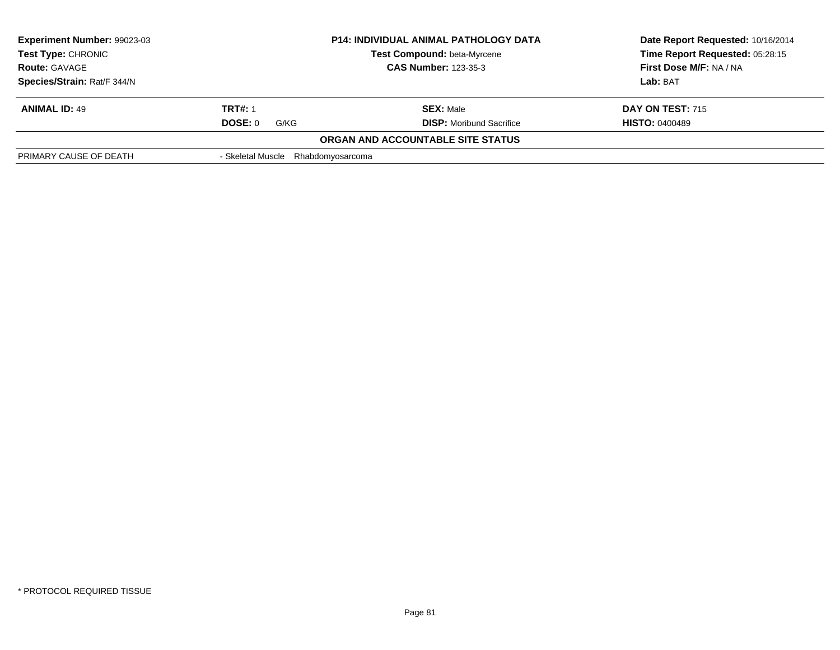| Experiment Number: 99023-03<br><b>P14: INDIVIDUAL ANIMAL PATHOLOGY DATA</b><br>Test Type: CHRONIC<br>Test Compound: beta-Myrcene<br><b>CAS Number: 123-35-3</b><br><b>Route: GAVAGE</b> |                   | Date Report Requested: 10/16/2014<br>Time Report Requested: 05:28:15 |                       |
|-----------------------------------------------------------------------------------------------------------------------------------------------------------------------------------------|-------------------|----------------------------------------------------------------------|-----------------------|
|                                                                                                                                                                                         |                   | First Dose M/F: NA / NA                                              |                       |
| Species/Strain: Rat/F 344/N                                                                                                                                                             |                   |                                                                      | Lab: BAT              |
| <b>ANIMAL ID: 49</b>                                                                                                                                                                    | <b>TRT#: 1</b>    | <b>SEX: Male</b>                                                     | DAY ON TEST: 715      |
|                                                                                                                                                                                         | DOSE: 0<br>G/KG   | <b>DISP:</b> Moribund Sacrifice                                      | <b>HISTO: 0400489</b> |
|                                                                                                                                                                                         |                   | ORGAN AND ACCOUNTABLE SITE STATUS                                    |                       |
| PRIMARY CAUSE OF DEATH                                                                                                                                                                  | - Skeletal Muscle | Rhabdomyosarcoma                                                     |                       |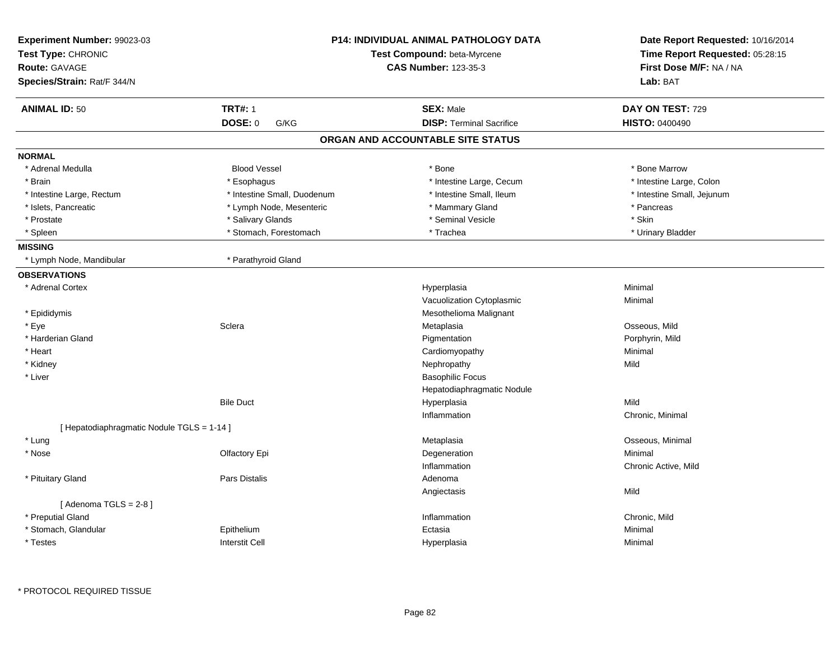| Experiment Number: 99023-03<br>Test Type: CHRONIC<br><b>Route: GAVAGE</b><br>Species/Strain: Rat/F 344/N |                             | <b>P14: INDIVIDUAL ANIMAL PATHOLOGY DATA</b><br>Test Compound: beta-Myrcene<br><b>CAS Number: 123-35-3</b> | Date Report Requested: 10/16/2014<br>Time Report Requested: 05:28:15<br>First Dose M/F: NA / NA<br>Lab: BAT |
|----------------------------------------------------------------------------------------------------------|-----------------------------|------------------------------------------------------------------------------------------------------------|-------------------------------------------------------------------------------------------------------------|
| <b>ANIMAL ID: 50</b>                                                                                     | <b>TRT#: 1</b>              | <b>SEX: Male</b>                                                                                           | DAY ON TEST: 729                                                                                            |
|                                                                                                          | <b>DOSE: 0</b><br>G/KG      | <b>DISP: Terminal Sacrifice</b>                                                                            | <b>HISTO: 0400490</b>                                                                                       |
|                                                                                                          |                             | ORGAN AND ACCOUNTABLE SITE STATUS                                                                          |                                                                                                             |
| <b>NORMAL</b>                                                                                            |                             |                                                                                                            |                                                                                                             |
| * Adrenal Medulla                                                                                        | <b>Blood Vessel</b>         | * Bone                                                                                                     | * Bone Marrow                                                                                               |
| * Brain                                                                                                  | * Esophagus                 | * Intestine Large, Cecum                                                                                   | * Intestine Large, Colon                                                                                    |
| * Intestine Large, Rectum                                                                                | * Intestine Small, Duodenum | * Intestine Small, Ileum                                                                                   | * Intestine Small, Jejunum                                                                                  |
| * Islets, Pancreatic                                                                                     | * Lymph Node, Mesenteric    | * Mammary Gland                                                                                            | * Pancreas                                                                                                  |
| * Prostate                                                                                               | * Salivary Glands           | * Seminal Vesicle                                                                                          | * Skin                                                                                                      |
| * Spleen                                                                                                 | * Stomach, Forestomach      | * Trachea                                                                                                  | * Urinary Bladder                                                                                           |
| <b>MISSING</b>                                                                                           |                             |                                                                                                            |                                                                                                             |
| * Lymph Node, Mandibular                                                                                 | * Parathyroid Gland         |                                                                                                            |                                                                                                             |
| <b>OBSERVATIONS</b>                                                                                      |                             |                                                                                                            |                                                                                                             |
| * Adrenal Cortex                                                                                         |                             | Hyperplasia                                                                                                | Minimal                                                                                                     |
|                                                                                                          |                             | Vacuolization Cytoplasmic                                                                                  | Minimal                                                                                                     |
| * Epididymis                                                                                             |                             | Mesothelioma Malignant                                                                                     |                                                                                                             |
| * Eye                                                                                                    | Sclera                      | Metaplasia                                                                                                 | Osseous, Mild                                                                                               |
| * Harderian Gland                                                                                        |                             | Pigmentation                                                                                               | Porphyrin, Mild                                                                                             |
| * Heart                                                                                                  |                             | Cardiomyopathy                                                                                             | Minimal                                                                                                     |
| * Kidney                                                                                                 |                             | Nephropathy                                                                                                | Mild                                                                                                        |
| * Liver                                                                                                  |                             | <b>Basophilic Focus</b>                                                                                    |                                                                                                             |
|                                                                                                          |                             | Hepatodiaphragmatic Nodule                                                                                 |                                                                                                             |
|                                                                                                          | <b>Bile Duct</b>            | Hyperplasia                                                                                                | Mild                                                                                                        |
|                                                                                                          |                             | Inflammation                                                                                               | Chronic, Minimal                                                                                            |
| [ Hepatodiaphragmatic Nodule TGLS = 1-14 ]                                                               |                             |                                                                                                            |                                                                                                             |
| * Lung                                                                                                   |                             | Metaplasia                                                                                                 | Osseous, Minimal                                                                                            |
| * Nose                                                                                                   | Olfactory Epi               | Degeneration                                                                                               | Minimal                                                                                                     |
|                                                                                                          |                             | Inflammation                                                                                               | Chronic Active, Mild                                                                                        |
| * Pituitary Gland                                                                                        | <b>Pars Distalis</b>        | Adenoma                                                                                                    |                                                                                                             |
|                                                                                                          |                             | Angiectasis                                                                                                | Mild                                                                                                        |
| [Adenoma TGLS = $2-8$ ]                                                                                  |                             |                                                                                                            |                                                                                                             |
| * Preputial Gland                                                                                        |                             | Inflammation                                                                                               | Chronic, Mild                                                                                               |
| * Stomach, Glandular                                                                                     | Epithelium                  | Ectasia                                                                                                    | Minimal                                                                                                     |
| * Testes                                                                                                 | <b>Interstit Cell</b>       | Hyperplasia                                                                                                | Minimal                                                                                                     |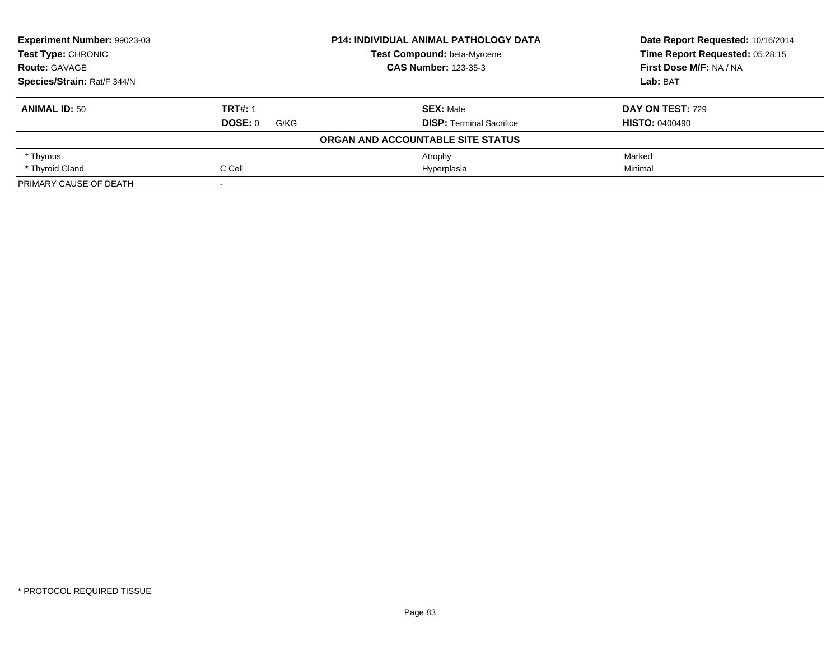| Experiment Number: 99023-03<br><b>Test Type: CHRONIC</b> |                 | <b>P14: INDIVIDUAL ANIMAL PATHOLOGY DATA</b> | Date Report Requested: 10/16/2014<br>Time Report Requested: 05:28:15 |
|----------------------------------------------------------|-----------------|----------------------------------------------|----------------------------------------------------------------------|
|                                                          |                 | Test Compound: beta-Myrcene                  |                                                                      |
| <b>Route: GAVAGE</b>                                     |                 | <b>CAS Number: 123-35-3</b>                  | First Dose M/F: NA / NA                                              |
| Species/Strain: Rat/F 344/N                              |                 |                                              | Lab: BAT                                                             |
| <b>ANIMAL ID: 50</b>                                     | <b>TRT#: 1</b>  | <b>SEX: Male</b>                             | <b>DAY ON TEST: 729</b>                                              |
|                                                          | DOSE: 0<br>G/KG | <b>DISP: Terminal Sacrifice</b>              | <b>HISTO: 0400490</b>                                                |
|                                                          |                 | ORGAN AND ACCOUNTABLE SITE STATUS            |                                                                      |
| * Thymus                                                 |                 | Atrophy                                      | Marked                                                               |
| * Thyroid Gland                                          | C Cell          | Hyperplasia                                  | Minimal                                                              |
| PRIMARY CAUSE OF DEATH                                   |                 |                                              |                                                                      |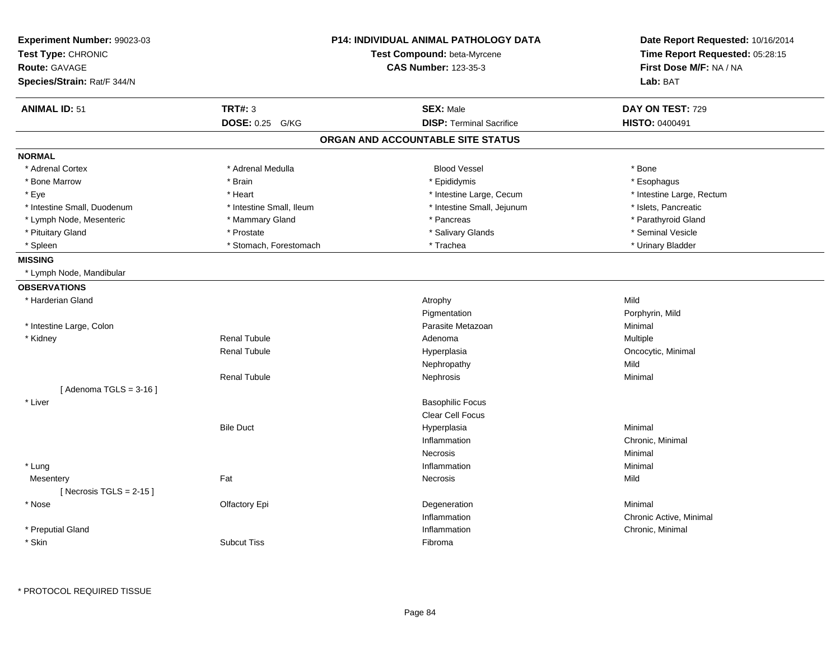| Experiment Number: 99023-03<br>Test Type: CHRONIC<br><b>Route: GAVAGE</b> |                           | <b>P14: INDIVIDUAL ANIMAL PATHOLOGY DATA</b><br>Test Compound: beta-Myrcene<br><b>CAS Number: 123-35-3</b> | Date Report Requested: 10/16/2014<br>Time Report Requested: 05:28:15<br>First Dose M/F: NA / NA |
|---------------------------------------------------------------------------|---------------------------|------------------------------------------------------------------------------------------------------------|-------------------------------------------------------------------------------------------------|
| Species/Strain: Rat/F 344/N                                               |                           |                                                                                                            | Lab: BAT                                                                                        |
| <b>ANIMAL ID: 51</b>                                                      | <b>TRT#: 3</b>            | <b>SEX: Male</b>                                                                                           | DAY ON TEST: 729                                                                                |
|                                                                           | <b>DOSE: 0.25</b><br>G/KG | <b>DISP: Terminal Sacrifice</b>                                                                            | HISTO: 0400491                                                                                  |
|                                                                           |                           | ORGAN AND ACCOUNTABLE SITE STATUS                                                                          |                                                                                                 |
| <b>NORMAL</b>                                                             |                           |                                                                                                            |                                                                                                 |
| * Adrenal Cortex                                                          | * Adrenal Medulla         | <b>Blood Vessel</b>                                                                                        | * Bone                                                                                          |
| * Bone Marrow                                                             | * Brain                   | * Epididymis                                                                                               | * Esophagus                                                                                     |
| * Eye                                                                     | * Heart                   | * Intestine Large, Cecum                                                                                   | * Intestine Large, Rectum                                                                       |
| * Intestine Small, Duodenum                                               | * Intestine Small, Ileum  | * Intestine Small, Jejunum                                                                                 | * Islets, Pancreatic                                                                            |
| * Lymph Node, Mesenteric                                                  | * Mammary Gland           | * Pancreas                                                                                                 | * Parathyroid Gland                                                                             |
| * Pituitary Gland                                                         | * Prostate                | * Salivary Glands                                                                                          | * Seminal Vesicle                                                                               |
| * Spleen                                                                  | * Stomach, Forestomach    | * Trachea                                                                                                  | * Urinary Bladder                                                                               |
| <b>MISSING</b>                                                            |                           |                                                                                                            |                                                                                                 |
| * Lymph Node, Mandibular                                                  |                           |                                                                                                            |                                                                                                 |
| <b>OBSERVATIONS</b>                                                       |                           |                                                                                                            |                                                                                                 |
| * Harderian Gland                                                         |                           | Atrophy                                                                                                    | Mild                                                                                            |
|                                                                           |                           | Pigmentation                                                                                               | Porphyrin, Mild                                                                                 |
| * Intestine Large, Colon                                                  |                           | Parasite Metazoan                                                                                          | Minimal                                                                                         |
| * Kidney                                                                  | <b>Renal Tubule</b>       | Adenoma                                                                                                    | Multiple                                                                                        |
|                                                                           | <b>Renal Tubule</b>       | Hyperplasia                                                                                                | Oncocytic, Minimal                                                                              |
|                                                                           |                           | Nephropathy                                                                                                | Mild                                                                                            |
|                                                                           | <b>Renal Tubule</b>       | Nephrosis                                                                                                  | Minimal                                                                                         |
| [Adenoma TGLS = $3-16$ ]                                                  |                           |                                                                                                            |                                                                                                 |
| * Liver                                                                   |                           | <b>Basophilic Focus</b>                                                                                    |                                                                                                 |
|                                                                           |                           | Clear Cell Focus                                                                                           |                                                                                                 |
|                                                                           | <b>Bile Duct</b>          | Hyperplasia                                                                                                | Minimal                                                                                         |
|                                                                           |                           | Inflammation                                                                                               | Chronic, Minimal                                                                                |
|                                                                           |                           | <b>Necrosis</b>                                                                                            | Minimal                                                                                         |
| * Lung                                                                    |                           | Inflammation                                                                                               | Minimal                                                                                         |
| Mesentery                                                                 | Fat                       | Necrosis                                                                                                   | Mild                                                                                            |
| [Necrosis TGLS = $2-15$ ]                                                 |                           |                                                                                                            |                                                                                                 |
| * Nose                                                                    | Olfactory Epi             | Degeneration                                                                                               | Minimal                                                                                         |
|                                                                           |                           | Inflammation                                                                                               | Chronic Active, Minimal                                                                         |
| * Preputial Gland                                                         |                           | Inflammation                                                                                               | Chronic, Minimal                                                                                |
| * Skin                                                                    | <b>Subcut Tiss</b>        | Fibroma                                                                                                    |                                                                                                 |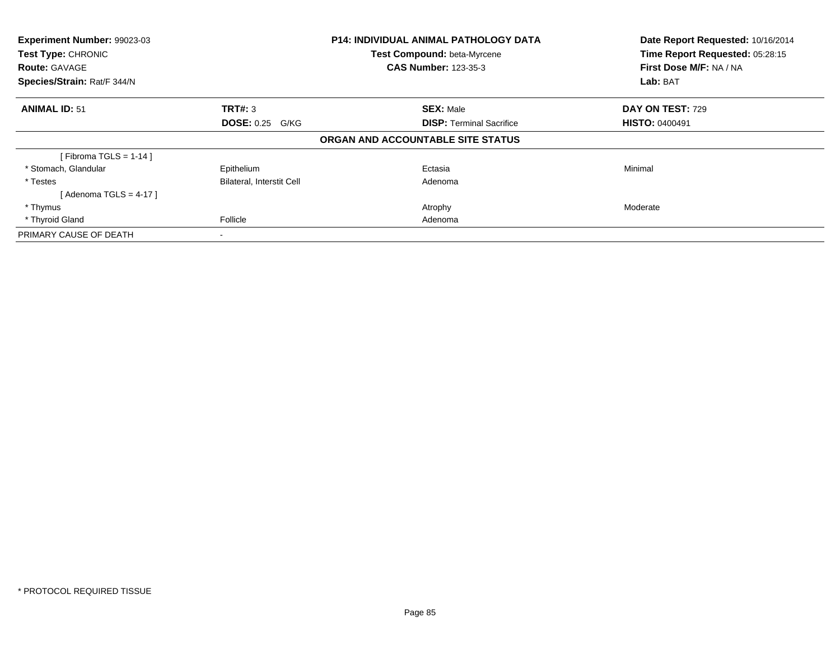| Experiment Number: 99023-03<br>Test Type: CHRONIC<br><b>Route: GAVAGE</b> |                           | <b>P14: INDIVIDUAL ANIMAL PATHOLOGY DATA</b><br>Test Compound: beta-Myrcene<br><b>CAS Number: 123-35-3</b> | Date Report Requested: 10/16/2014<br>Time Report Requested: 05:28:15<br>First Dose M/F: NA / NA |
|---------------------------------------------------------------------------|---------------------------|------------------------------------------------------------------------------------------------------------|-------------------------------------------------------------------------------------------------|
| Species/Strain: Rat/F 344/N                                               |                           |                                                                                                            | Lab: BAT                                                                                        |
| <b>ANIMAL ID: 51</b>                                                      | <b>TRT#: 3</b>            | <b>SEX: Male</b>                                                                                           | <b>DAY ON TEST: 729</b>                                                                         |
|                                                                           | <b>DOSE: 0.25 G/KG</b>    | <b>DISP:</b> Terminal Sacrifice                                                                            | <b>HISTO: 0400491</b>                                                                           |
|                                                                           |                           | ORGAN AND ACCOUNTABLE SITE STATUS                                                                          |                                                                                                 |
| [Fibroma TGLS = $1-14$ ]                                                  |                           |                                                                                                            |                                                                                                 |
| * Stomach, Glandular                                                      | Epithelium                | Ectasia                                                                                                    | Minimal                                                                                         |
| * Testes                                                                  | Bilateral, Interstit Cell | Adenoma                                                                                                    |                                                                                                 |
| [ Adenoma TGLS = 4-17 ]                                                   |                           |                                                                                                            |                                                                                                 |
| * Thymus                                                                  |                           | Atrophy                                                                                                    | Moderate                                                                                        |
| * Thyroid Gland                                                           | Follicle                  | Adenoma                                                                                                    |                                                                                                 |
| PRIMARY CAUSE OF DEATH                                                    |                           |                                                                                                            |                                                                                                 |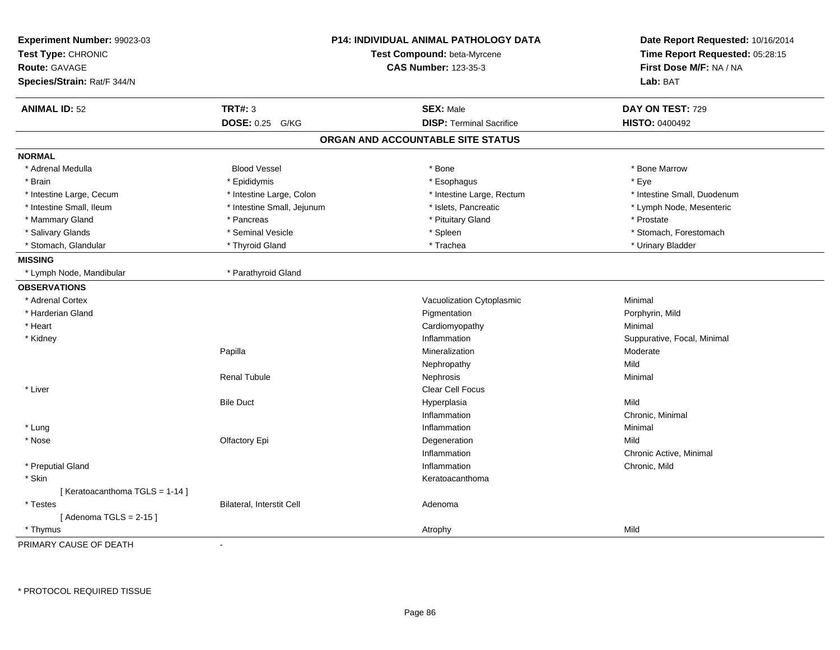| Experiment Number: 99023-03<br>Test Type: CHRONIC<br><b>Route: GAVAGE</b><br>Species/Strain: Rat/F 344/N |                            | <b>P14: INDIVIDUAL ANIMAL PATHOLOGY DATA</b><br>Test Compound: beta-Myrcene<br><b>CAS Number: 123-35-3</b> | Date Report Requested: 10/16/2014<br>Time Report Requested: 05:28:15<br>First Dose M/F: NA / NA<br>Lab: BAT |
|----------------------------------------------------------------------------------------------------------|----------------------------|------------------------------------------------------------------------------------------------------------|-------------------------------------------------------------------------------------------------------------|
| <b>ANIMAL ID: 52</b>                                                                                     | <b>TRT#: 3</b>             | <b>SEX: Male</b>                                                                                           | DAY ON TEST: 729                                                                                            |
|                                                                                                          | <b>DOSE: 0.25</b><br>G/KG  | <b>DISP: Terminal Sacrifice</b>                                                                            | <b>HISTO: 0400492</b>                                                                                       |
|                                                                                                          |                            | ORGAN AND ACCOUNTABLE SITE STATUS                                                                          |                                                                                                             |
| <b>NORMAL</b>                                                                                            |                            |                                                                                                            |                                                                                                             |
| * Adrenal Medulla                                                                                        | <b>Blood Vessel</b>        | * Bone                                                                                                     | * Bone Marrow                                                                                               |
| * Brain                                                                                                  | * Epididymis               | * Esophagus                                                                                                | $*$ Eye                                                                                                     |
| * Intestine Large, Cecum                                                                                 | * Intestine Large, Colon   | * Intestine Large, Rectum                                                                                  | * Intestine Small, Duodenum                                                                                 |
| * Intestine Small, Ileum                                                                                 | * Intestine Small, Jejunum | * Islets, Pancreatic                                                                                       | * Lymph Node, Mesenteric                                                                                    |
| * Mammary Gland                                                                                          | * Pancreas                 | * Pituitary Gland                                                                                          | * Prostate                                                                                                  |
| * Salivary Glands                                                                                        | * Seminal Vesicle          | * Spleen                                                                                                   | * Stomach, Forestomach                                                                                      |
| * Stomach, Glandular                                                                                     | * Thyroid Gland            | * Trachea                                                                                                  | * Urinary Bladder                                                                                           |
| <b>MISSING</b>                                                                                           |                            |                                                                                                            |                                                                                                             |
| * Lymph Node, Mandibular                                                                                 | * Parathyroid Gland        |                                                                                                            |                                                                                                             |
| <b>OBSERVATIONS</b>                                                                                      |                            |                                                                                                            |                                                                                                             |
| * Adrenal Cortex                                                                                         |                            | Vacuolization Cytoplasmic                                                                                  | Minimal                                                                                                     |
| * Harderian Gland                                                                                        |                            | Pigmentation                                                                                               | Porphyrin, Mild                                                                                             |
| * Heart                                                                                                  |                            | Cardiomyopathy                                                                                             | Minimal                                                                                                     |
| * Kidney                                                                                                 |                            | Inflammation                                                                                               | Suppurative, Focal, Minimal                                                                                 |
|                                                                                                          | Papilla                    | Mineralization                                                                                             | Moderate                                                                                                    |
|                                                                                                          |                            | Nephropathy                                                                                                | Mild                                                                                                        |
|                                                                                                          | <b>Renal Tubule</b>        | Nephrosis                                                                                                  | Minimal                                                                                                     |
| * Liver                                                                                                  |                            | Clear Cell Focus                                                                                           |                                                                                                             |
|                                                                                                          | <b>Bile Duct</b>           | Hyperplasia                                                                                                | Mild                                                                                                        |
|                                                                                                          |                            | Inflammation                                                                                               | Chronic, Minimal                                                                                            |
| * Lung                                                                                                   |                            | Inflammation                                                                                               | Minimal                                                                                                     |
| * Nose                                                                                                   | Olfactory Epi              | Degeneration                                                                                               | Mild                                                                                                        |
|                                                                                                          |                            | Inflammation                                                                                               | Chronic Active, Minimal                                                                                     |
| * Preputial Gland                                                                                        |                            | Inflammation                                                                                               | Chronic, Mild                                                                                               |
| * Skin                                                                                                   |                            | Keratoacanthoma                                                                                            |                                                                                                             |
| [Keratoacanthoma TGLS = 1-14]                                                                            |                            |                                                                                                            |                                                                                                             |
| * Testes                                                                                                 | Bilateral, Interstit Cell  | Adenoma                                                                                                    |                                                                                                             |
| [Adenoma TGLS = $2-15$ ]                                                                                 |                            |                                                                                                            |                                                                                                             |
| * Thymus                                                                                                 |                            | Atrophy                                                                                                    | Mild                                                                                                        |
| PRIMARY CAUSE OF DEATH                                                                                   | $\sim$                     |                                                                                                            |                                                                                                             |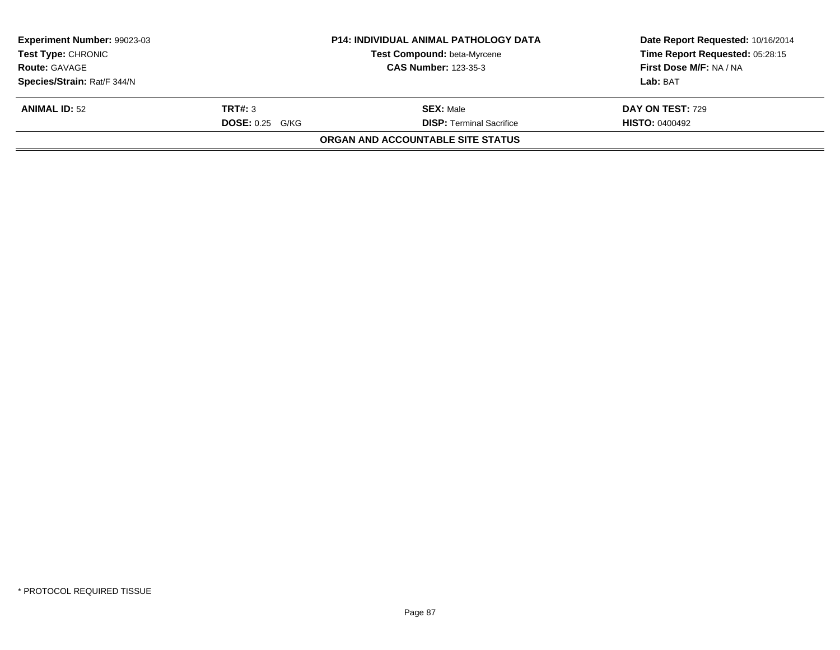| Experiment Number: 99023-03<br><b>P14: INDIVIDUAL ANIMAL PATHOLOGY DATA</b><br><b>Test Type: CHRONIC</b><br>Test Compound: beta-Myrcene<br><b>CAS Number: 123-35-3</b><br><b>Route: GAVAGE</b> |                                   |                                                     | Date Report Requested: 10/16/2014<br>Time Report Requested: 05:28:15<br>First Dose M/F: NA / NA |
|------------------------------------------------------------------------------------------------------------------------------------------------------------------------------------------------|-----------------------------------|-----------------------------------------------------|-------------------------------------------------------------------------------------------------|
| Species/Strain: Rat/F 344/N                                                                                                                                                                    |                                   |                                                     | Lab: BAT                                                                                        |
| <b>ANIMAL ID: 52</b>                                                                                                                                                                           | TRT#: 3<br><b>DOSE: 0.25 G/KG</b> | <b>SEX: Male</b><br><b>DISP: Terminal Sacrifice</b> | <b>DAY ON TEST: 729</b><br><b>HISTO: 0400492</b>                                                |
|                                                                                                                                                                                                |                                   | ORGAN AND ACCOUNTABLE SITE STATUS                   |                                                                                                 |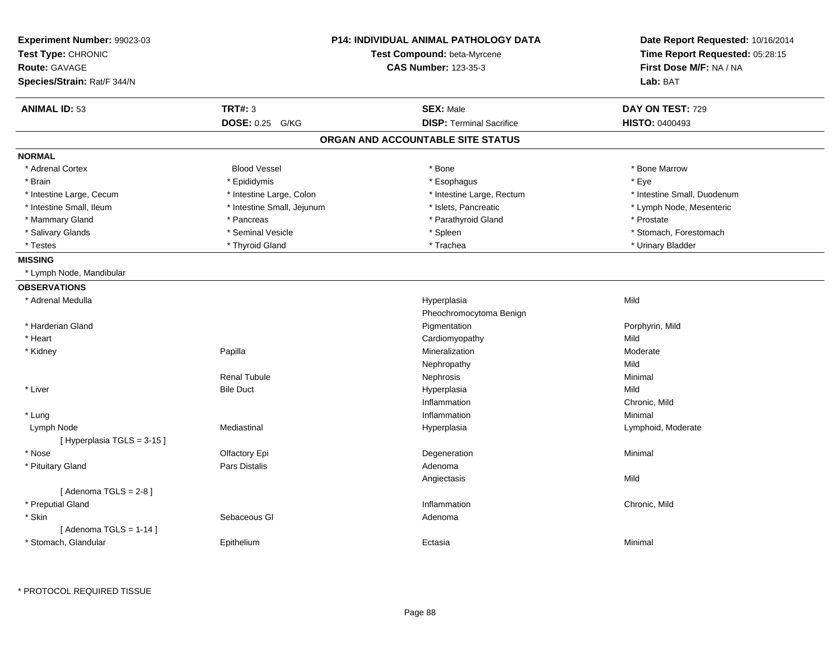| Experiment Number: 99023-03<br>Test Type: CHRONIC<br><b>Route: GAVAGE</b><br>Species/Strain: Rat/F 344/N | <b>P14: INDIVIDUAL ANIMAL PATHOLOGY DATA</b><br>Test Compound: beta-Myrcene<br><b>CAS Number: 123-35-3</b> |                                   | Date Report Requested: 10/16/2014<br>Time Report Requested: 05:28:15<br>First Dose M/F: NA / NA<br>Lab: BAT |
|----------------------------------------------------------------------------------------------------------|------------------------------------------------------------------------------------------------------------|-----------------------------------|-------------------------------------------------------------------------------------------------------------|
| <b>ANIMAL ID: 53</b>                                                                                     | <b>TRT#: 3</b>                                                                                             | <b>SEX: Male</b>                  | DAY ON TEST: 729                                                                                            |
|                                                                                                          | DOSE: 0.25 G/KG                                                                                            | <b>DISP: Terminal Sacrifice</b>   | <b>HISTO: 0400493</b>                                                                                       |
|                                                                                                          |                                                                                                            | ORGAN AND ACCOUNTABLE SITE STATUS |                                                                                                             |
| <b>NORMAL</b>                                                                                            |                                                                                                            |                                   |                                                                                                             |
| * Adrenal Cortex                                                                                         | <b>Blood Vessel</b>                                                                                        | * Bone                            | * Bone Marrow                                                                                               |
| * Brain                                                                                                  | * Epididymis                                                                                               | * Esophagus                       | * Eye                                                                                                       |
| * Intestine Large, Cecum                                                                                 | * Intestine Large, Colon                                                                                   | * Intestine Large, Rectum         | * Intestine Small, Duodenum                                                                                 |
| * Intestine Small, Ileum                                                                                 | * Intestine Small, Jejunum                                                                                 | * Islets, Pancreatic              | * Lymph Node, Mesenteric                                                                                    |
| * Mammary Gland                                                                                          | * Pancreas                                                                                                 | * Parathyroid Gland               | * Prostate                                                                                                  |
| * Salivary Glands                                                                                        | * Seminal Vesicle                                                                                          | * Spleen                          | * Stomach, Forestomach                                                                                      |
| * Testes                                                                                                 | * Thyroid Gland                                                                                            | * Trachea                         | * Urinary Bladder                                                                                           |
| <b>MISSING</b>                                                                                           |                                                                                                            |                                   |                                                                                                             |
| * Lymph Node, Mandibular                                                                                 |                                                                                                            |                                   |                                                                                                             |
| <b>OBSERVATIONS</b>                                                                                      |                                                                                                            |                                   |                                                                                                             |
| * Adrenal Medulla                                                                                        |                                                                                                            | Hyperplasia                       | Mild                                                                                                        |
|                                                                                                          |                                                                                                            | Pheochromocytoma Benign           |                                                                                                             |
| * Harderian Gland                                                                                        |                                                                                                            | Pigmentation                      | Porphyrin, Mild                                                                                             |
| * Heart                                                                                                  |                                                                                                            | Cardiomyopathy                    | Mild                                                                                                        |
| * Kidney                                                                                                 | Papilla                                                                                                    | Mineralization                    | Moderate                                                                                                    |
|                                                                                                          |                                                                                                            | Nephropathy                       | Mild                                                                                                        |
|                                                                                                          | <b>Renal Tubule</b>                                                                                        | Nephrosis                         | Minimal                                                                                                     |
| * Liver                                                                                                  | <b>Bile Duct</b>                                                                                           | Hyperplasia                       | Mild                                                                                                        |
|                                                                                                          |                                                                                                            | Inflammation                      | Chronic, Mild                                                                                               |
| * Lung                                                                                                   |                                                                                                            | Inflammation                      | Minimal                                                                                                     |
| Lymph Node                                                                                               | Mediastinal                                                                                                | Hyperplasia                       | Lymphoid, Moderate                                                                                          |
| [Hyperplasia TGLS = 3-15]                                                                                |                                                                                                            |                                   |                                                                                                             |
| * Nose                                                                                                   | Olfactory Epi                                                                                              | Degeneration                      | Minimal                                                                                                     |
| * Pituitary Gland                                                                                        | Pars Distalis                                                                                              | Adenoma                           |                                                                                                             |
|                                                                                                          |                                                                                                            | Angiectasis                       | Mild                                                                                                        |
| [Adenoma TGLS = $2-8$ ]                                                                                  |                                                                                                            |                                   |                                                                                                             |
| * Preputial Gland                                                                                        |                                                                                                            | Inflammation                      | Chronic, Mild                                                                                               |
| * Skin                                                                                                   | Sebaceous GI                                                                                               | Adenoma                           |                                                                                                             |
| [Adenoma TGLS = $1-14$ ]                                                                                 |                                                                                                            |                                   |                                                                                                             |
| * Stomach, Glandular                                                                                     | Epithelium                                                                                                 | Ectasia                           | Minimal                                                                                                     |
|                                                                                                          |                                                                                                            |                                   |                                                                                                             |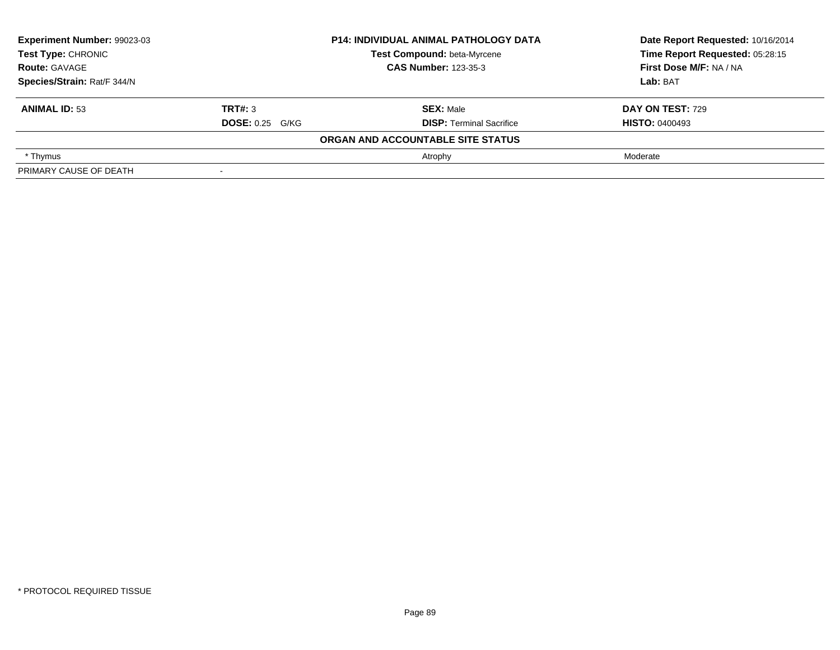| Experiment Number: 99023-03 | <b>P14: INDIVIDUAL ANIMAL PATHOLOGY DATA</b> |                                   | Date Report Requested: 10/16/2014 |  |
|-----------------------------|----------------------------------------------|-----------------------------------|-----------------------------------|--|
| <b>Test Type: CHRONIC</b>   |                                              | Test Compound: beta-Myrcene       | Time Report Requested: 05:28:15   |  |
| <b>Route: GAVAGE</b>        | <b>CAS Number: 123-35-3</b>                  |                                   | <b>First Dose M/F: NA / NA</b>    |  |
| Species/Strain: Rat/F 344/N |                                              |                                   | Lab: BAT                          |  |
| <b>ANIMAL ID: 53</b>        | TRT#: 3                                      | <b>SEX: Male</b>                  | <b>DAY ON TEST: 729</b>           |  |
|                             | <b>DOSE:</b> 0.25 G/KG                       | <b>DISP: Terminal Sacrifice</b>   | <b>HISTO: 0400493</b>             |  |
|                             |                                              | ORGAN AND ACCOUNTABLE SITE STATUS |                                   |  |
| * Thymus                    |                                              | Atrophy                           | Moderate                          |  |
| PRIMARY CAUSE OF DEATH      |                                              |                                   |                                   |  |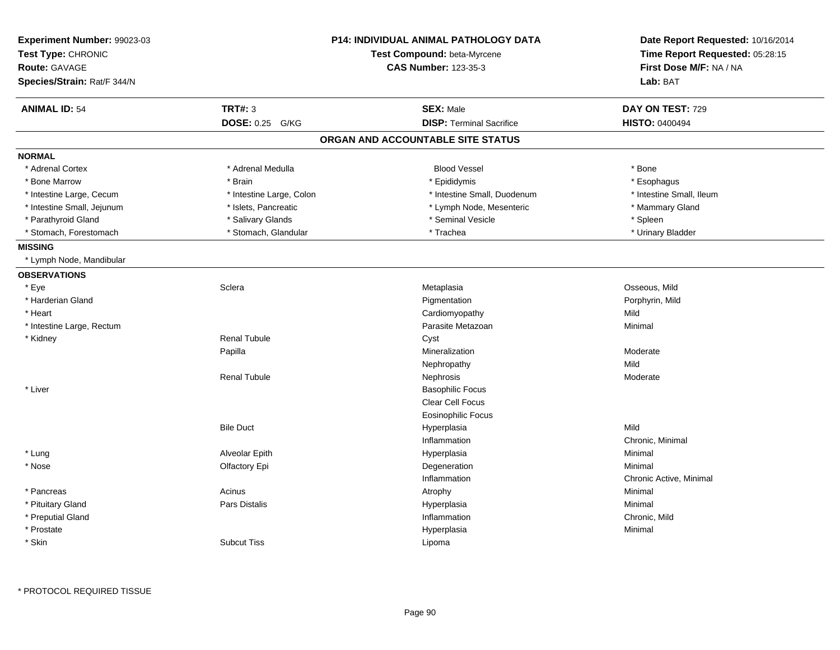| Experiment Number: 99023-03<br>Test Type: CHRONIC<br>Route: GAVAGE<br>Species/Strain: Rat/F 344/N |                                             | <b>P14: INDIVIDUAL ANIMAL PATHOLOGY DATA</b><br>Test Compound: beta-Myrcene<br><b>CAS Number: 123-35-3</b> | Date Report Requested: 10/16/2014<br>Time Report Requested: 05:28:15<br>First Dose M/F: NA / NA<br>Lab: BAT |
|---------------------------------------------------------------------------------------------------|---------------------------------------------|------------------------------------------------------------------------------------------------------------|-------------------------------------------------------------------------------------------------------------|
|                                                                                                   |                                             |                                                                                                            |                                                                                                             |
| <b>ANIMAL ID: 54</b>                                                                              | <b>TRT#: 3</b><br><b>DOSE: 0.25</b><br>G/KG | <b>SEX: Male</b><br><b>DISP: Terminal Sacrifice</b>                                                        | DAY ON TEST: 729<br><b>HISTO: 0400494</b>                                                                   |
|                                                                                                   |                                             | ORGAN AND ACCOUNTABLE SITE STATUS                                                                          |                                                                                                             |
| <b>NORMAL</b>                                                                                     |                                             |                                                                                                            |                                                                                                             |
| * Adrenal Cortex                                                                                  | * Adrenal Medulla                           | <b>Blood Vessel</b>                                                                                        | * Bone                                                                                                      |
| * Bone Marrow                                                                                     | * Brain                                     | * Epididymis                                                                                               | * Esophagus                                                                                                 |
| * Intestine Large, Cecum                                                                          | * Intestine Large, Colon                    | * Intestine Small, Duodenum                                                                                | * Intestine Small, Ileum                                                                                    |
| * Intestine Small, Jejunum                                                                        | * Islets, Pancreatic                        | * Lymph Node, Mesenteric                                                                                   | * Mammary Gland                                                                                             |
| * Parathyroid Gland                                                                               | * Salivary Glands                           | * Seminal Vesicle                                                                                          | * Spleen                                                                                                    |
| * Stomach, Forestomach                                                                            | * Stomach, Glandular                        | * Trachea                                                                                                  | * Urinary Bladder                                                                                           |
| <b>MISSING</b>                                                                                    |                                             |                                                                                                            |                                                                                                             |
| * Lymph Node, Mandibular                                                                          |                                             |                                                                                                            |                                                                                                             |
| <b>OBSERVATIONS</b>                                                                               |                                             |                                                                                                            |                                                                                                             |
| * Eye                                                                                             | Sclera                                      | Metaplasia                                                                                                 | Osseous, Mild                                                                                               |
| * Harderian Gland                                                                                 |                                             | Pigmentation                                                                                               | Porphyrin, Mild                                                                                             |
| * Heart                                                                                           |                                             | Cardiomyopathy                                                                                             | Mild                                                                                                        |
| * Intestine Large, Rectum                                                                         |                                             | Parasite Metazoan                                                                                          | Minimal                                                                                                     |
| * Kidney                                                                                          | <b>Renal Tubule</b>                         | Cyst                                                                                                       |                                                                                                             |
|                                                                                                   | Papilla                                     | Mineralization                                                                                             | Moderate                                                                                                    |
|                                                                                                   |                                             | Nephropathy                                                                                                | Mild                                                                                                        |
|                                                                                                   | <b>Renal Tubule</b>                         | Nephrosis                                                                                                  | Moderate                                                                                                    |
| * Liver                                                                                           |                                             | <b>Basophilic Focus</b>                                                                                    |                                                                                                             |
|                                                                                                   |                                             | Clear Cell Focus                                                                                           |                                                                                                             |
|                                                                                                   |                                             | <b>Eosinophilic Focus</b>                                                                                  |                                                                                                             |
|                                                                                                   | <b>Bile Duct</b>                            | Hyperplasia                                                                                                | Mild                                                                                                        |
|                                                                                                   |                                             | Inflammation                                                                                               | Chronic, Minimal                                                                                            |
| * Lung                                                                                            | Alveolar Epith                              | Hyperplasia                                                                                                | Minimal                                                                                                     |
| * Nose                                                                                            | Olfactory Epi                               | Degeneration                                                                                               | Minimal                                                                                                     |
|                                                                                                   |                                             | Inflammation                                                                                               | Chronic Active, Minimal                                                                                     |
| * Pancreas                                                                                        | Acinus                                      | Atrophy                                                                                                    | Minimal                                                                                                     |
| * Pituitary Gland                                                                                 | Pars Distalis                               | Hyperplasia                                                                                                | Minimal                                                                                                     |
| * Preputial Gland                                                                                 |                                             | Inflammation                                                                                               | Chronic, Mild                                                                                               |
| * Prostate                                                                                        |                                             | Hyperplasia                                                                                                | Minimal                                                                                                     |
| * Skin                                                                                            | <b>Subcut Tiss</b>                          | Lipoma                                                                                                     |                                                                                                             |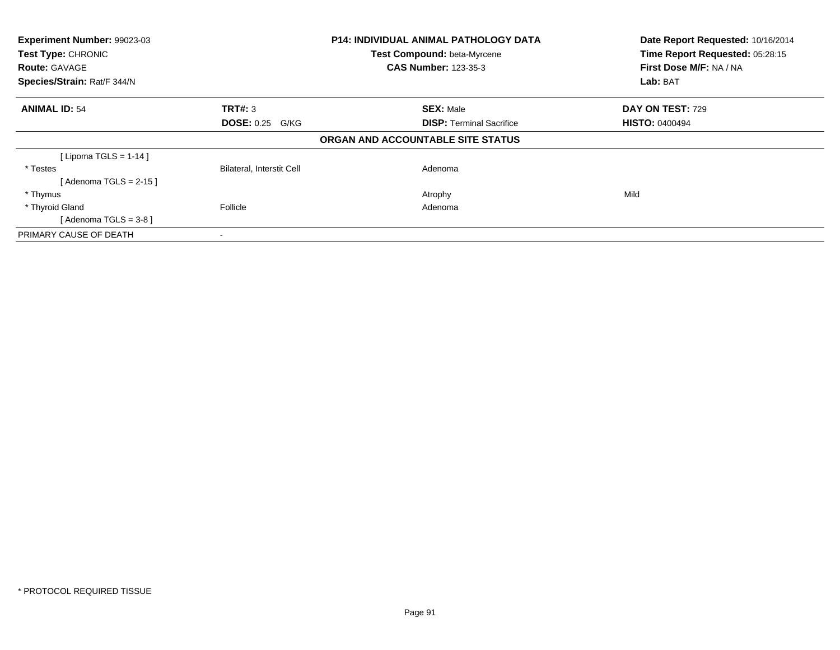| Experiment Number: 99023-03<br>Test Type: CHRONIC<br><b>Route: GAVAGE</b><br>Species/Strain: Rat/F 344/N |                                  | <b>P14: INDIVIDUAL ANIMAL PATHOLOGY DATA</b><br>Test Compound: beta-Myrcene<br><b>CAS Number: 123-35-3</b> | Date Report Requested: 10/16/2014<br>Time Report Requested: 05:28:15<br>First Dose M/F: NA / NA<br>Lab: BAT |
|----------------------------------------------------------------------------------------------------------|----------------------------------|------------------------------------------------------------------------------------------------------------|-------------------------------------------------------------------------------------------------------------|
| <b>ANIMAL ID: 54</b>                                                                                     | <b>TRT#:</b> 3                   | <b>SEX: Male</b>                                                                                           | <b>DAY ON TEST: 729</b>                                                                                     |
|                                                                                                          | <b>DOSE: 0.25 G/KG</b>           | <b>DISP:</b> Terminal Sacrifice                                                                            | <b>HISTO: 0400494</b>                                                                                       |
|                                                                                                          |                                  | ORGAN AND ACCOUNTABLE SITE STATUS                                                                          |                                                                                                             |
| [Lipoma TGLS = $1-14$ ]                                                                                  |                                  |                                                                                                            |                                                                                                             |
| * Testes                                                                                                 | <b>Bilateral, Interstit Cell</b> | Adenoma                                                                                                    |                                                                                                             |
| [ Adenoma TGLS = 2-15 ]                                                                                  |                                  |                                                                                                            |                                                                                                             |
| * Thymus                                                                                                 |                                  | Atrophy                                                                                                    | Mild                                                                                                        |
| * Thyroid Gland                                                                                          | Follicle                         | Adenoma                                                                                                    |                                                                                                             |
| [Adenoma TGLS = $3-8$ ]                                                                                  |                                  |                                                                                                            |                                                                                                             |
| PRIMARY CAUSE OF DEATH                                                                                   | $\blacksquare$                   |                                                                                                            |                                                                                                             |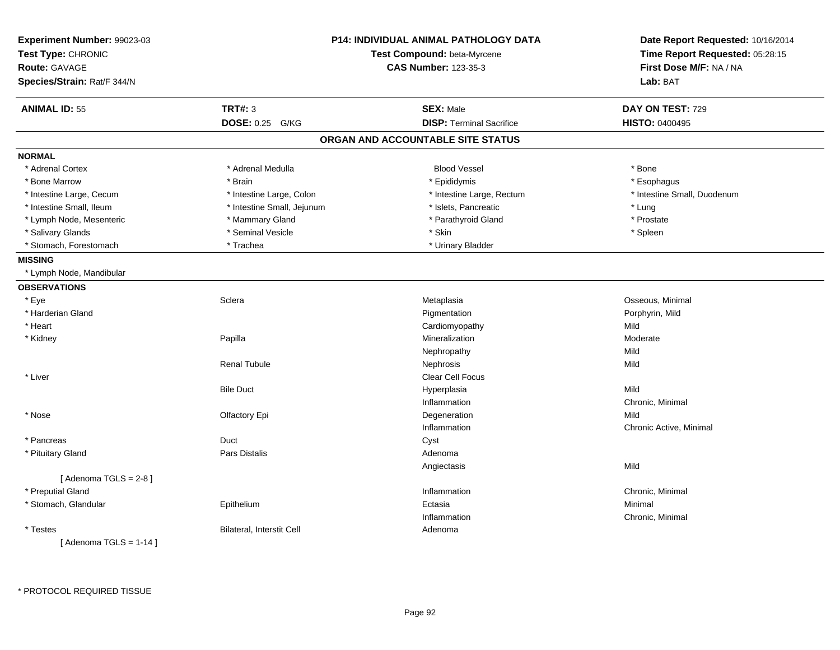| Experiment Number: 99023-03<br>Test Type: CHRONIC<br><b>Route: GAVAGE</b><br>Species/Strain: Rat/F 344/N |                            | P14: INDIVIDUAL ANIMAL PATHOLOGY DATA<br>Test Compound: beta-Myrcene<br><b>CAS Number: 123-35-3</b> | Date Report Requested: 10/16/2014<br>Time Report Requested: 05:28:15<br>First Dose M/F: NA / NA<br>Lab: BAT |
|----------------------------------------------------------------------------------------------------------|----------------------------|-----------------------------------------------------------------------------------------------------|-------------------------------------------------------------------------------------------------------------|
| <b>ANIMAL ID: 55</b>                                                                                     | <b>TRT#: 3</b>             | <b>SEX: Male</b>                                                                                    | DAY ON TEST: 729                                                                                            |
|                                                                                                          | <b>DOSE: 0.25</b><br>G/KG  | <b>DISP: Terminal Sacrifice</b>                                                                     | HISTO: 0400495                                                                                              |
|                                                                                                          |                            | ORGAN AND ACCOUNTABLE SITE STATUS                                                                   |                                                                                                             |
| <b>NORMAL</b>                                                                                            |                            |                                                                                                     |                                                                                                             |
| * Adrenal Cortex                                                                                         | * Adrenal Medulla          | <b>Blood Vessel</b>                                                                                 | * Bone                                                                                                      |
| * Bone Marrow                                                                                            | * Brain                    | * Epididymis                                                                                        | * Esophagus                                                                                                 |
| * Intestine Large, Cecum                                                                                 | * Intestine Large, Colon   | * Intestine Large, Rectum                                                                           | * Intestine Small, Duodenum                                                                                 |
| * Intestine Small, Ileum                                                                                 | * Intestine Small, Jejunum | * Islets, Pancreatic                                                                                | * Lung                                                                                                      |
| * Lymph Node, Mesenteric                                                                                 | * Mammary Gland            | * Parathyroid Gland                                                                                 | * Prostate                                                                                                  |
| * Salivary Glands                                                                                        | * Seminal Vesicle          | * Skin                                                                                              | * Spleen                                                                                                    |
| * Stomach, Forestomach                                                                                   | * Trachea                  | * Urinary Bladder                                                                                   |                                                                                                             |
| <b>MISSING</b>                                                                                           |                            |                                                                                                     |                                                                                                             |
| * Lymph Node, Mandibular                                                                                 |                            |                                                                                                     |                                                                                                             |
| <b>OBSERVATIONS</b>                                                                                      |                            |                                                                                                     |                                                                                                             |
| * Eye                                                                                                    | Sclera                     | Metaplasia                                                                                          | Osseous, Minimal                                                                                            |
| * Harderian Gland                                                                                        |                            | Pigmentation                                                                                        | Porphyrin, Mild                                                                                             |
| * Heart                                                                                                  |                            | Cardiomyopathy                                                                                      | Mild                                                                                                        |
| * Kidney                                                                                                 | Papilla                    | Mineralization                                                                                      | Moderate                                                                                                    |
|                                                                                                          |                            | Nephropathy                                                                                         | Mild                                                                                                        |
|                                                                                                          | <b>Renal Tubule</b>        | Nephrosis                                                                                           | Mild                                                                                                        |
| * Liver                                                                                                  |                            | <b>Clear Cell Focus</b>                                                                             |                                                                                                             |
|                                                                                                          | <b>Bile Duct</b>           | Hyperplasia                                                                                         | Mild                                                                                                        |
|                                                                                                          |                            | Inflammation                                                                                        | Chronic, Minimal                                                                                            |
| * Nose                                                                                                   | Olfactory Epi              | Degeneration                                                                                        | Mild                                                                                                        |
|                                                                                                          |                            | Inflammation                                                                                        | Chronic Active, Minimal                                                                                     |
| * Pancreas                                                                                               | Duct                       | Cyst                                                                                                |                                                                                                             |
| * Pituitary Gland                                                                                        | Pars Distalis              | Adenoma                                                                                             |                                                                                                             |
|                                                                                                          |                            | Angiectasis                                                                                         | Mild                                                                                                        |
| [Adenoma TGLS = $2-8$ ]                                                                                  |                            |                                                                                                     |                                                                                                             |
| * Preputial Gland                                                                                        |                            | Inflammation                                                                                        | Chronic, Minimal                                                                                            |
| * Stomach, Glandular                                                                                     | Epithelium                 | Ectasia                                                                                             | Minimal                                                                                                     |
|                                                                                                          |                            | Inflammation                                                                                        | Chronic, Minimal                                                                                            |
| * Testes                                                                                                 | Bilateral, Interstit Cell  | Adenoma                                                                                             |                                                                                                             |
| [Adenoma TGLS = $1-14$ ]                                                                                 |                            |                                                                                                     |                                                                                                             |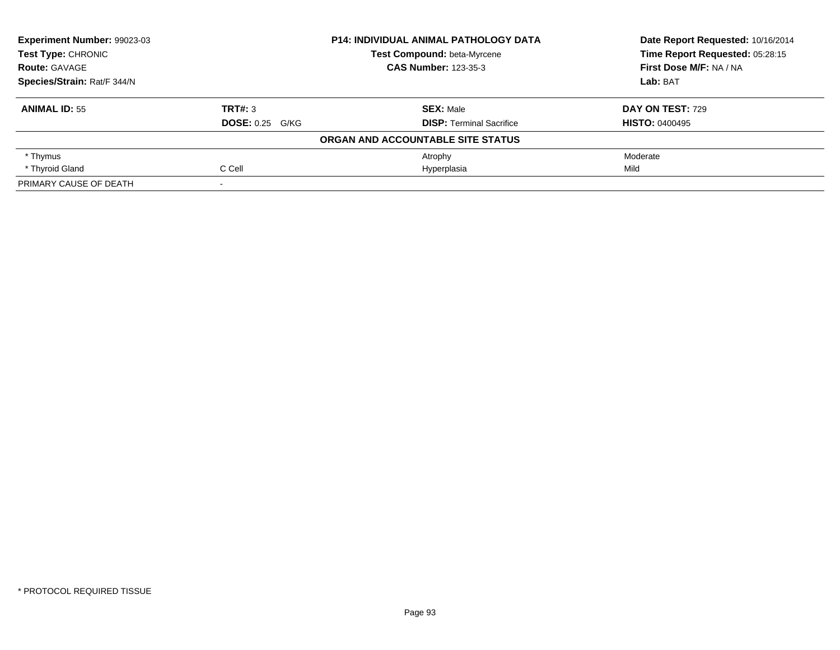| Experiment Number: 99023-03 |                        | <b>P14: INDIVIDUAL ANIMAL PATHOLOGY DATA</b> | Date Report Requested: 10/16/2014<br>Time Report Requested: 05:28:15 |
|-----------------------------|------------------------|----------------------------------------------|----------------------------------------------------------------------|
| <b>Test Type: CHRONIC</b>   |                        | Test Compound: beta-Myrcene                  |                                                                      |
| <b>Route: GAVAGE</b>        |                        | <b>CAS Number: 123-35-3</b>                  | First Dose M/F: NA / NA                                              |
| Species/Strain: Rat/F 344/N |                        |                                              | Lab: BAT                                                             |
| <b>ANIMAL ID: 55</b>        | TRT#: 3                | <b>SEX: Male</b>                             | <b>DAY ON TEST: 729</b>                                              |
|                             | <b>DOSE: 0.25 G/KG</b> | <b>DISP: Terminal Sacrifice</b>              | <b>HISTO: 0400495</b>                                                |
|                             |                        | ORGAN AND ACCOUNTABLE SITE STATUS            |                                                                      |
| * Thymus                    |                        | Atrophy                                      | Moderate                                                             |
| * Thyroid Gland             | C Cell                 | Hyperplasia                                  | Mild                                                                 |
| PRIMARY CAUSE OF DEATH      |                        |                                              |                                                                      |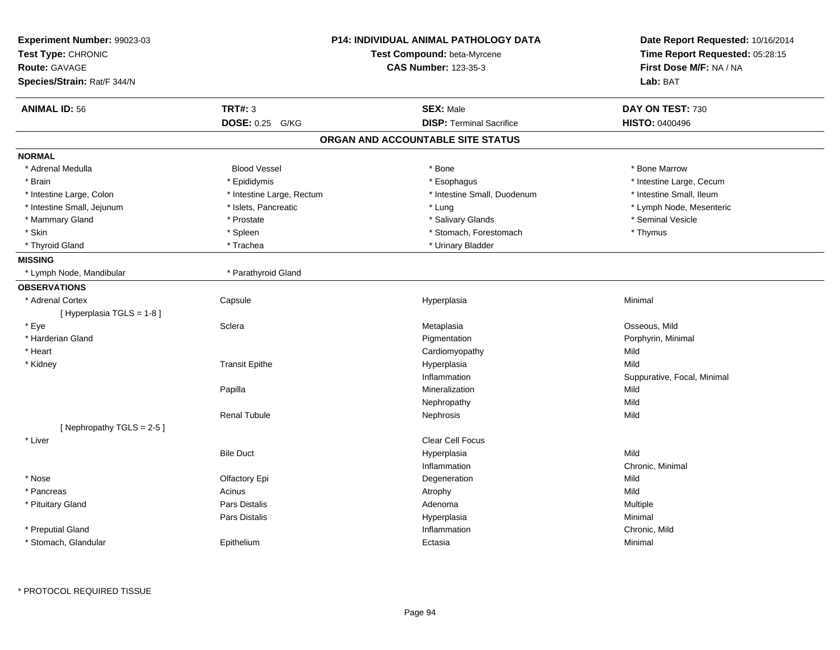| Experiment Number: 99023-03<br>Test Type: CHRONIC | <b>P14: INDIVIDUAL ANIMAL PATHOLOGY DATA</b><br>Test Compound: beta-Myrcene |                                   | Date Report Requested: 10/16/2014<br>Time Report Requested: 05:28:15 |
|---------------------------------------------------|-----------------------------------------------------------------------------|-----------------------------------|----------------------------------------------------------------------|
| <b>Route: GAVAGE</b>                              |                                                                             | <b>CAS Number: 123-35-3</b>       | First Dose M/F: NA / NA                                              |
| Species/Strain: Rat/F 344/N                       |                                                                             |                                   | Lab: BAT                                                             |
| <b>ANIMAL ID: 56</b>                              | <b>TRT#: 3</b>                                                              | <b>SEX: Male</b>                  | DAY ON TEST: 730                                                     |
|                                                   | <b>DOSE: 0.25</b><br>G/KG                                                   | <b>DISP: Terminal Sacrifice</b>   | <b>HISTO: 0400496</b>                                                |
|                                                   |                                                                             | ORGAN AND ACCOUNTABLE SITE STATUS |                                                                      |
| <b>NORMAL</b>                                     |                                                                             |                                   |                                                                      |
| * Adrenal Medulla                                 | <b>Blood Vessel</b>                                                         | * Bone                            | * Bone Marrow                                                        |
| * Brain                                           | * Epididymis                                                                | * Esophagus                       | * Intestine Large, Cecum                                             |
| * Intestine Large, Colon                          | * Intestine Large, Rectum                                                   | * Intestine Small, Duodenum       | * Intestine Small, Ileum                                             |
| * Intestine Small, Jejunum                        | * Islets, Pancreatic                                                        | * Lung                            | * Lymph Node, Mesenteric                                             |
| * Mammary Gland                                   | * Prostate                                                                  | * Salivary Glands                 | * Seminal Vesicle                                                    |
| * Skin                                            | * Spleen                                                                    | * Stomach, Forestomach            | * Thymus                                                             |
| * Thyroid Gland                                   | * Trachea                                                                   | * Urinary Bladder                 |                                                                      |
| <b>MISSING</b>                                    |                                                                             |                                   |                                                                      |
| * Lymph Node, Mandibular                          | * Parathyroid Gland                                                         |                                   |                                                                      |
| <b>OBSERVATIONS</b>                               |                                                                             |                                   |                                                                      |
| * Adrenal Cortex                                  | Capsule                                                                     | Hyperplasia                       | Minimal                                                              |
| [Hyperplasia TGLS = 1-8]                          |                                                                             |                                   |                                                                      |
| * Eye                                             | Sclera                                                                      | Metaplasia                        | Osseous, Mild                                                        |
| * Harderian Gland                                 |                                                                             | Pigmentation                      | Porphyrin, Minimal                                                   |
| * Heart                                           |                                                                             | Cardiomyopathy                    | Mild                                                                 |
| * Kidney                                          | <b>Transit Epithe</b>                                                       | Hyperplasia                       | Mild                                                                 |
|                                                   |                                                                             | Inflammation                      | Suppurative, Focal, Minimal                                          |
|                                                   | Papilla                                                                     | Mineralization                    | Mild                                                                 |
|                                                   |                                                                             | Nephropathy                       | Mild                                                                 |
|                                                   | <b>Renal Tubule</b>                                                         | Nephrosis                         | Mild                                                                 |
| [Nephropathy TGLS = 2-5]                          |                                                                             |                                   |                                                                      |
| * Liver                                           |                                                                             | <b>Clear Cell Focus</b>           |                                                                      |
|                                                   | <b>Bile Duct</b>                                                            | Hyperplasia                       | Mild                                                                 |
|                                                   |                                                                             | Inflammation                      | Chronic, Minimal                                                     |
| * Nose                                            | Olfactory Epi                                                               | Degeneration                      | Mild                                                                 |
| * Pancreas                                        | Acinus                                                                      | Atrophy                           | Mild                                                                 |
| * Pituitary Gland                                 | <b>Pars Distalis</b>                                                        | Adenoma                           | Multiple                                                             |
|                                                   | Pars Distalis                                                               | Hyperplasia                       | Minimal                                                              |
| * Preputial Gland                                 |                                                                             | Inflammation                      | Chronic, Mild                                                        |
| * Stomach, Glandular                              | Epithelium                                                                  | Ectasia                           | Minimal                                                              |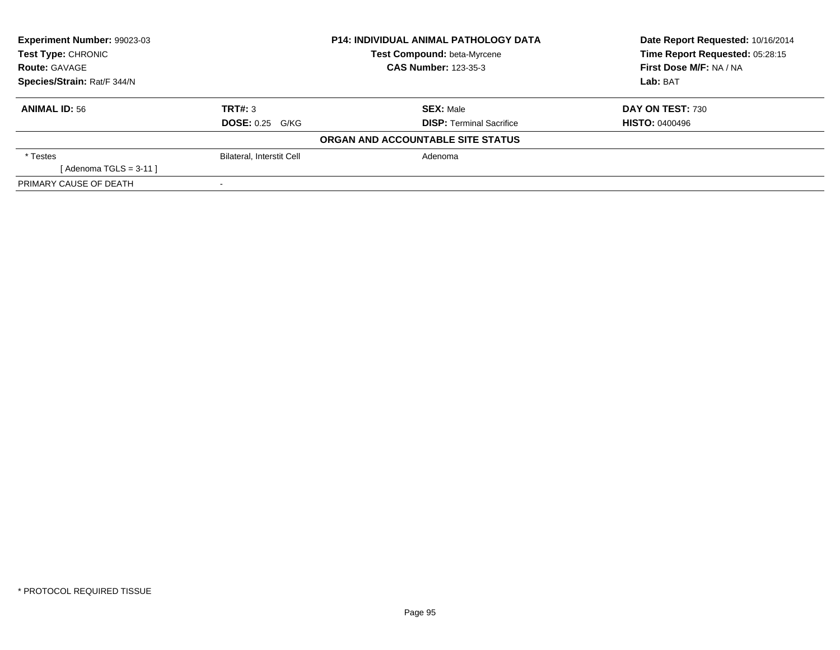| Experiment Number: 99023-03 | <b>P14: INDIVIDUAL ANIMAL PATHOLOGY DATA</b> |                                   | Date Report Requested: 10/16/2014 |
|-----------------------------|----------------------------------------------|-----------------------------------|-----------------------------------|
| <b>Test Type: CHRONIC</b>   |                                              | Test Compound: beta-Myrcene       | Time Report Requested: 05:28:15   |
| <b>Route: GAVAGE</b>        |                                              | <b>CAS Number: 123-35-3</b>       | First Dose M/F: NA / NA           |
| Species/Strain: Rat/F 344/N |                                              |                                   | Lab: BAT                          |
| <b>ANIMAL ID: 56</b>        | TRT#: 3                                      | <b>SEX: Male</b>                  | DAY ON TEST: 730                  |
|                             | <b>DOSE: 0.25 G/KG</b>                       | <b>DISP: Terminal Sacrifice</b>   | <b>HISTO: 0400496</b>             |
|                             |                                              | ORGAN AND ACCOUNTABLE SITE STATUS |                                   |
| * Testes                    | Bilateral, Interstit Cell                    | Adenoma                           |                                   |
| [Adenoma TGLS = $3-11$ ]    |                                              |                                   |                                   |
| PRIMARY CAUSE OF DEATH      |                                              |                                   |                                   |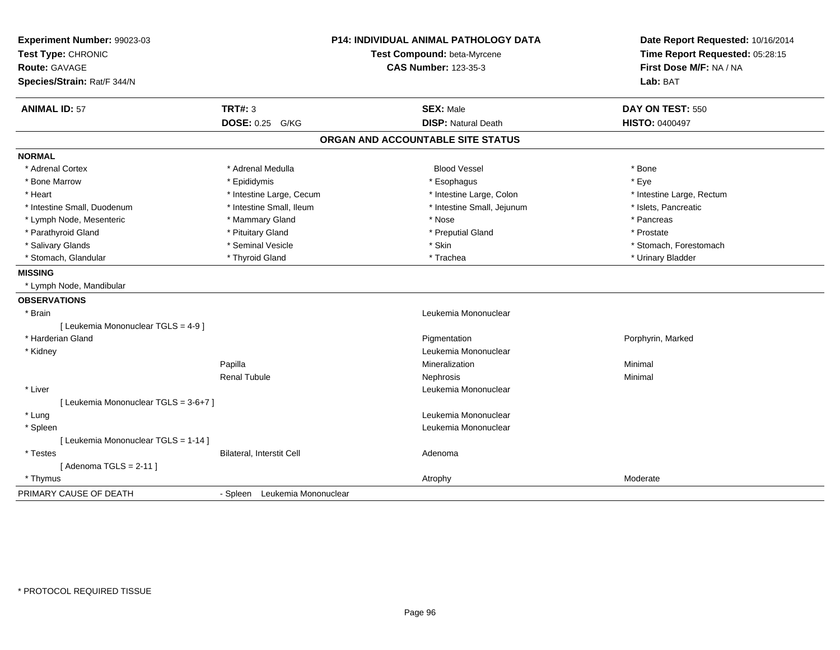| Experiment Number: 99023-03<br>Test Type: CHRONIC<br><b>Route: GAVAGE</b><br>Species/Strain: Rat/F 344/N |                               | P14: INDIVIDUAL ANIMAL PATHOLOGY DATA<br>Test Compound: beta-Myrcene<br><b>CAS Number: 123-35-3</b> | Date Report Requested: 10/16/2014<br>Time Report Requested: 05:28:15<br>First Dose M/F: NA / NA<br>Lab: BAT |
|----------------------------------------------------------------------------------------------------------|-------------------------------|-----------------------------------------------------------------------------------------------------|-------------------------------------------------------------------------------------------------------------|
| <b>ANIMAL ID: 57</b>                                                                                     | TRT#: 3                       | <b>SEX: Male</b>                                                                                    | DAY ON TEST: 550                                                                                            |
|                                                                                                          | DOSE: 0.25 G/KG               | <b>DISP: Natural Death</b>                                                                          | <b>HISTO: 0400497</b>                                                                                       |
|                                                                                                          |                               | ORGAN AND ACCOUNTABLE SITE STATUS                                                                   |                                                                                                             |
| <b>NORMAL</b>                                                                                            |                               |                                                                                                     |                                                                                                             |
| * Adrenal Cortex                                                                                         | * Adrenal Medulla             | <b>Blood Vessel</b>                                                                                 | * Bone                                                                                                      |
| * Bone Marrow                                                                                            | * Epididymis                  | * Esophagus                                                                                         | * Eye                                                                                                       |
| * Heart                                                                                                  | * Intestine Large, Cecum      | * Intestine Large, Colon                                                                            | * Intestine Large, Rectum                                                                                   |
| * Intestine Small, Duodenum                                                                              | * Intestine Small, Ileum      | * Intestine Small, Jejunum                                                                          | * Islets, Pancreatic                                                                                        |
| * Lymph Node, Mesenteric                                                                                 | * Mammary Gland               | * Nose                                                                                              | * Pancreas                                                                                                  |
| * Parathyroid Gland                                                                                      | * Pituitary Gland             | * Preputial Gland                                                                                   | * Prostate                                                                                                  |
| * Salivary Glands                                                                                        | * Seminal Vesicle             | * Skin                                                                                              | * Stomach, Forestomach                                                                                      |
| * Stomach, Glandular                                                                                     | * Thyroid Gland               | * Trachea                                                                                           | * Urinary Bladder                                                                                           |
| <b>MISSING</b>                                                                                           |                               |                                                                                                     |                                                                                                             |
| * Lymph Node, Mandibular                                                                                 |                               |                                                                                                     |                                                                                                             |
| <b>OBSERVATIONS</b>                                                                                      |                               |                                                                                                     |                                                                                                             |
| * Brain                                                                                                  |                               | Leukemia Mononuclear                                                                                |                                                                                                             |
| [ Leukemia Mononuclear TGLS = 4-9 ]                                                                      |                               |                                                                                                     |                                                                                                             |
| * Harderian Gland                                                                                        |                               | Pigmentation                                                                                        | Porphyrin, Marked                                                                                           |
| * Kidney                                                                                                 |                               | Leukemia Mononuclear                                                                                |                                                                                                             |
|                                                                                                          | Papilla                       | Mineralization                                                                                      | Minimal                                                                                                     |
|                                                                                                          | <b>Renal Tubule</b>           | Nephrosis                                                                                           | Minimal                                                                                                     |
| * Liver                                                                                                  |                               | Leukemia Mononuclear                                                                                |                                                                                                             |
| [ Leukemia Mononuclear TGLS = 3-6+7 ]                                                                    |                               |                                                                                                     |                                                                                                             |
| * Lung                                                                                                   |                               | Leukemia Mononuclear                                                                                |                                                                                                             |
| * Spleen                                                                                                 |                               | Leukemia Mononuclear                                                                                |                                                                                                             |
| [ Leukemia Mononuclear TGLS = 1-14 ]                                                                     |                               |                                                                                                     |                                                                                                             |
| * Testes                                                                                                 | Bilateral, Interstit Cell     | Adenoma                                                                                             |                                                                                                             |
| [Adenoma TGLS = $2-11$ ]                                                                                 |                               |                                                                                                     |                                                                                                             |
| * Thymus                                                                                                 |                               | Atrophy                                                                                             | Moderate                                                                                                    |
| PRIMARY CAUSE OF DEATH                                                                                   | - Spleen Leukemia Mononuclear |                                                                                                     |                                                                                                             |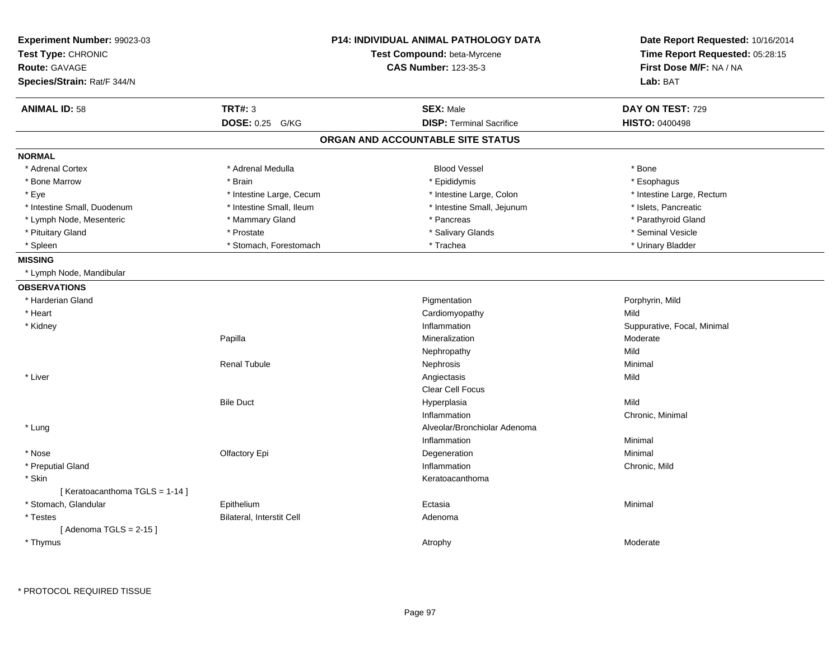| Experiment Number: 99023-03<br>Test Type: CHRONIC<br>Test Compound: beta-Myrcene<br><b>CAS Number: 123-35-3</b><br><b>Route: GAVAGE</b><br>Species/Strain: Rat/F 344/N |                           | <b>P14: INDIVIDUAL ANIMAL PATHOLOGY DATA</b> | Date Report Requested: 10/16/2014<br>Time Report Requested: 05:28:15<br>First Dose M/F: NA / NA<br>Lab: BAT |
|------------------------------------------------------------------------------------------------------------------------------------------------------------------------|---------------------------|----------------------------------------------|-------------------------------------------------------------------------------------------------------------|
| <b>ANIMAL ID: 58</b>                                                                                                                                                   | <b>TRT#: 3</b>            | <b>SEX: Male</b>                             | DAY ON TEST: 729                                                                                            |
|                                                                                                                                                                        | DOSE: 0.25 G/KG           | <b>DISP: Terminal Sacrifice</b>              | <b>HISTO: 0400498</b>                                                                                       |
|                                                                                                                                                                        |                           | ORGAN AND ACCOUNTABLE SITE STATUS            |                                                                                                             |
| <b>NORMAL</b>                                                                                                                                                          |                           |                                              |                                                                                                             |
| * Adrenal Cortex                                                                                                                                                       | * Adrenal Medulla         | <b>Blood Vessel</b>                          | * Bone                                                                                                      |
| * Bone Marrow                                                                                                                                                          | * Brain                   | * Epididymis                                 | * Esophagus                                                                                                 |
| * Eye                                                                                                                                                                  | * Intestine Large, Cecum  | * Intestine Large, Colon                     | * Intestine Large, Rectum                                                                                   |
| * Intestine Small, Duodenum                                                                                                                                            | * Intestine Small, Ileum  | * Intestine Small, Jejunum                   | * Islets, Pancreatic                                                                                        |
| * Lymph Node, Mesenteric                                                                                                                                               | * Mammary Gland           | * Pancreas                                   | * Parathyroid Gland                                                                                         |
| * Pituitary Gland                                                                                                                                                      | * Prostate                | * Salivary Glands                            | * Seminal Vesicle                                                                                           |
| * Spleen                                                                                                                                                               | * Stomach, Forestomach    | * Trachea                                    | * Urinary Bladder                                                                                           |
| <b>MISSING</b>                                                                                                                                                         |                           |                                              |                                                                                                             |
| * Lymph Node, Mandibular                                                                                                                                               |                           |                                              |                                                                                                             |
| <b>OBSERVATIONS</b>                                                                                                                                                    |                           |                                              |                                                                                                             |
| * Harderian Gland                                                                                                                                                      |                           | Pigmentation                                 | Porphyrin, Mild                                                                                             |
| * Heart                                                                                                                                                                |                           | Cardiomyopathy                               | Mild                                                                                                        |
| * Kidney                                                                                                                                                               |                           | Inflammation                                 | Suppurative, Focal, Minimal                                                                                 |
|                                                                                                                                                                        | Papilla                   | Mineralization                               | Moderate                                                                                                    |
|                                                                                                                                                                        |                           | Nephropathy                                  | Mild                                                                                                        |
|                                                                                                                                                                        | <b>Renal Tubule</b>       | Nephrosis                                    | Minimal                                                                                                     |
| * Liver                                                                                                                                                                |                           | Angiectasis                                  | Mild                                                                                                        |
|                                                                                                                                                                        |                           | <b>Clear Cell Focus</b>                      |                                                                                                             |
|                                                                                                                                                                        | <b>Bile Duct</b>          | Hyperplasia                                  | Mild                                                                                                        |
|                                                                                                                                                                        |                           | Inflammation                                 | Chronic, Minimal                                                                                            |
| * Lung                                                                                                                                                                 |                           | Alveolar/Bronchiolar Adenoma                 |                                                                                                             |
|                                                                                                                                                                        |                           | Inflammation                                 | Minimal                                                                                                     |
| * Nose                                                                                                                                                                 | Olfactory Epi             | Degeneration                                 | Minimal                                                                                                     |
| * Preputial Gland                                                                                                                                                      |                           | Inflammation                                 | Chronic, Mild                                                                                               |
| * Skin                                                                                                                                                                 |                           | Keratoacanthoma                              |                                                                                                             |
| [Keratoacanthoma TGLS = 1-14]                                                                                                                                          |                           |                                              | Minimal                                                                                                     |
| * Stomach, Glandular                                                                                                                                                   | Epithelium                | Ectasia                                      |                                                                                                             |
| * Testes                                                                                                                                                               | Bilateral, Interstit Cell | Adenoma                                      |                                                                                                             |
| [Adenoma TGLS = $2-15$ ]<br>* Thymus                                                                                                                                   |                           | Atrophy                                      | Moderate                                                                                                    |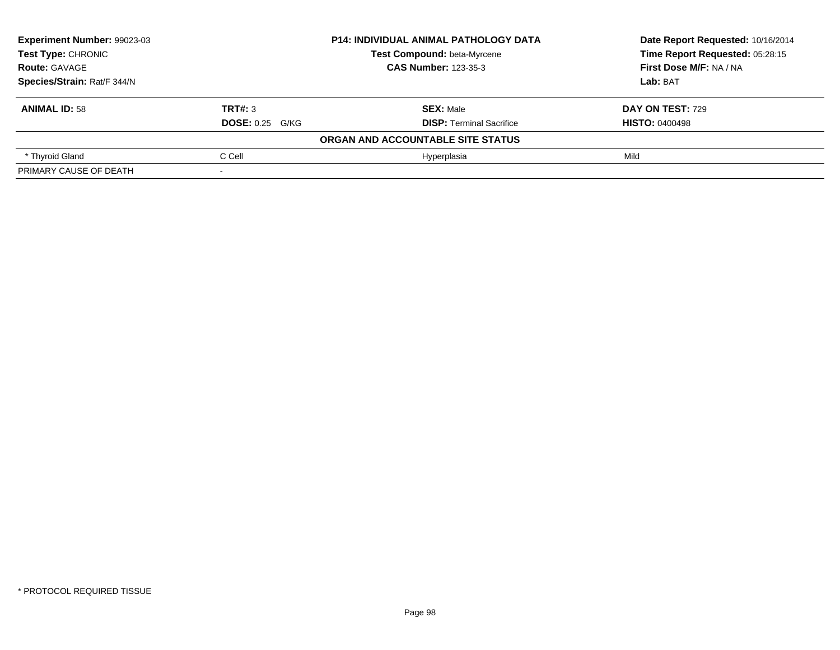| Experiment Number: 99023-03 | <b>P14: INDIVIDUAL ANIMAL PATHOLOGY DATA</b> |                                   | Date Report Requested: 10/16/2014 |
|-----------------------------|----------------------------------------------|-----------------------------------|-----------------------------------|
| <b>Test Type: CHRONIC</b>   |                                              | Test Compound: beta-Myrcene       | Time Report Requested: 05:28:15   |
| <b>Route: GAVAGE</b>        |                                              | <b>CAS Number: 123-35-3</b>       | First Dose M/F: NA / NA           |
| Species/Strain: Rat/F 344/N |                                              |                                   | Lab: BAT                          |
| <b>ANIMAL ID: 58</b>        | TRT#: 3                                      | <b>SEX: Male</b>                  | DAY ON TEST: 729                  |
|                             | <b>DOSE: 0.25 G/KG</b>                       | <b>DISP:</b> Terminal Sacrifice   | <b>HISTO: 0400498</b>             |
|                             |                                              | ORGAN AND ACCOUNTABLE SITE STATUS |                                   |
| * Thyroid Gland             | C Cell                                       | Hyperplasia                       | Mild                              |
| PRIMARY CAUSE OF DEATH      |                                              |                                   |                                   |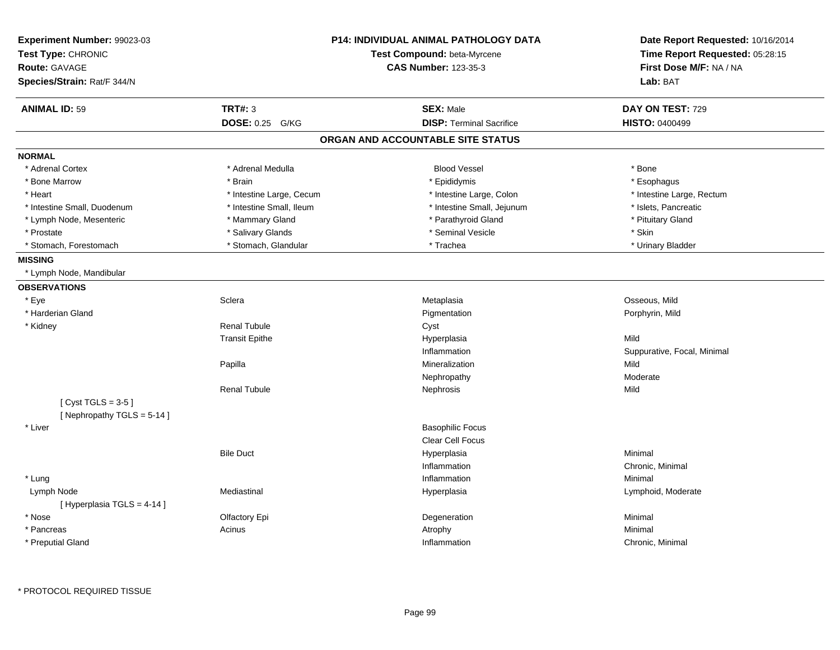| Experiment Number: 99023-03<br>Test Type: CHRONIC<br><b>Route: GAVAGE</b> |                          | <b>P14: INDIVIDUAL ANIMAL PATHOLOGY DATA</b><br>Test Compound: beta-Myrcene<br><b>CAS Number: 123-35-3</b> | Date Report Requested: 10/16/2014<br>Time Report Requested: 05:28:15<br>First Dose M/F: NA / NA |
|---------------------------------------------------------------------------|--------------------------|------------------------------------------------------------------------------------------------------------|-------------------------------------------------------------------------------------------------|
| Species/Strain: Rat/F 344/N                                               |                          |                                                                                                            | Lab: BAT                                                                                        |
| <b>ANIMAL ID: 59</b>                                                      | <b>TRT#: 3</b>           | <b>SEX: Male</b>                                                                                           | DAY ON TEST: 729                                                                                |
|                                                                           | DOSE: 0.25 G/KG          | <b>DISP: Terminal Sacrifice</b>                                                                            | <b>HISTO: 0400499</b>                                                                           |
|                                                                           |                          | ORGAN AND ACCOUNTABLE SITE STATUS                                                                          |                                                                                                 |
| <b>NORMAL</b>                                                             |                          |                                                                                                            |                                                                                                 |
| * Adrenal Cortex                                                          | * Adrenal Medulla        | <b>Blood Vessel</b>                                                                                        | * Bone                                                                                          |
| * Bone Marrow                                                             | * Brain                  | * Epididymis                                                                                               | * Esophagus                                                                                     |
| * Heart                                                                   | * Intestine Large, Cecum | * Intestine Large, Colon                                                                                   | * Intestine Large, Rectum                                                                       |
| * Intestine Small, Duodenum                                               | * Intestine Small, Ileum | * Intestine Small, Jejunum                                                                                 | * Islets, Pancreatic                                                                            |
| * Lymph Node, Mesenteric                                                  | * Mammary Gland          | * Parathyroid Gland                                                                                        | * Pituitary Gland                                                                               |
| * Prostate                                                                | * Salivary Glands        | * Seminal Vesicle                                                                                          | * Skin                                                                                          |
| * Stomach, Forestomach                                                    | * Stomach, Glandular     | * Trachea                                                                                                  | * Urinary Bladder                                                                               |
| <b>MISSING</b>                                                            |                          |                                                                                                            |                                                                                                 |
| * Lymph Node, Mandibular                                                  |                          |                                                                                                            |                                                                                                 |
| <b>OBSERVATIONS</b>                                                       |                          |                                                                                                            |                                                                                                 |
| * Eye                                                                     | Sclera                   | Metaplasia                                                                                                 | Osseous, Mild                                                                                   |
| * Harderian Gland                                                         |                          | Pigmentation                                                                                               | Porphyrin, Mild                                                                                 |
| * Kidney                                                                  | <b>Renal Tubule</b>      | Cyst                                                                                                       |                                                                                                 |
|                                                                           | <b>Transit Epithe</b>    | Hyperplasia                                                                                                | Mild                                                                                            |
|                                                                           |                          | Inflammation                                                                                               | Suppurative, Focal, Minimal                                                                     |
|                                                                           | Papilla                  | Mineralization                                                                                             | Mild                                                                                            |
|                                                                           |                          | Nephropathy                                                                                                | Moderate                                                                                        |
|                                                                           | <b>Renal Tubule</b>      | Nephrosis                                                                                                  | Mild                                                                                            |
| [Cyst TGLS = $3-5$ ]<br>[Nephropathy TGLS = 5-14]                         |                          |                                                                                                            |                                                                                                 |
| * Liver                                                                   |                          | <b>Basophilic Focus</b>                                                                                    |                                                                                                 |
|                                                                           |                          | Clear Cell Focus                                                                                           |                                                                                                 |
|                                                                           | <b>Bile Duct</b>         | Hyperplasia                                                                                                | Minimal                                                                                         |
|                                                                           |                          | Inflammation                                                                                               | Chronic, Minimal                                                                                |
| * Lung                                                                    |                          | Inflammation                                                                                               | Minimal                                                                                         |
| Lymph Node                                                                | Mediastinal              | Hyperplasia                                                                                                | Lymphoid, Moderate                                                                              |
| [ Hyperplasia TGLS = 4-14 ]                                               |                          |                                                                                                            |                                                                                                 |
| * Nose                                                                    | Olfactory Epi            | Degeneration                                                                                               | Minimal                                                                                         |
| * Pancreas                                                                | Acinus                   | Atrophy                                                                                                    | Minimal                                                                                         |
| * Preputial Gland                                                         |                          | Inflammation                                                                                               | Chronic, Minimal                                                                                |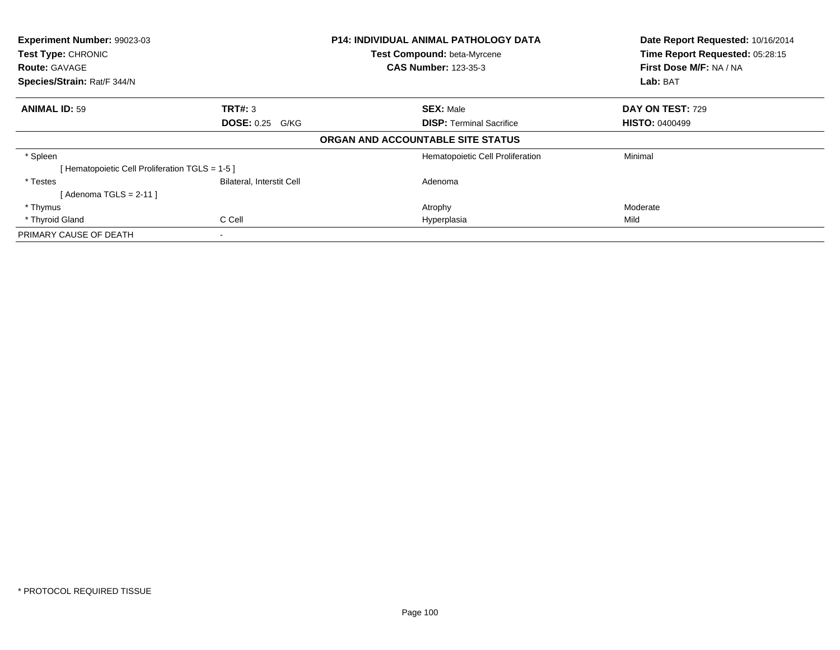| <b>Experiment Number: 99023-03</b><br>Test Type: CHRONIC |                           | <b>P14: INDIVIDUAL ANIMAL PATHOLOGY DATA</b> | Date Report Requested: 10/16/2014 |  |
|----------------------------------------------------------|---------------------------|----------------------------------------------|-----------------------------------|--|
|                                                          |                           | Test Compound: beta-Myrcene                  | Time Report Requested: 05:28:15   |  |
| <b>Route: GAVAGE</b>                                     |                           | <b>CAS Number: 123-35-3</b>                  | First Dose M/F: NA / NA           |  |
| Species/Strain: Rat/F 344/N                              |                           |                                              | Lab: BAT                          |  |
| <b>ANIMAL ID: 59</b>                                     | TRT#: 3                   | <b>SEX: Male</b>                             | DAY ON TEST: 729                  |  |
|                                                          | <b>DOSE: 0.25 G/KG</b>    | <b>DISP:</b> Terminal Sacrifice              | <b>HISTO: 0400499</b>             |  |
|                                                          |                           | ORGAN AND ACCOUNTABLE SITE STATUS            |                                   |  |
| * Spleen                                                 |                           | Hematopoietic Cell Proliferation             | Minimal                           |  |
| [Hematopoietic Cell Proliferation TGLS = 1-5 ]           |                           |                                              |                                   |  |
| * Testes                                                 | Bilateral, Interstit Cell | Adenoma                                      |                                   |  |
| [Adenoma TGLS = $2-11$ ]                                 |                           |                                              |                                   |  |
| * Thymus                                                 |                           | Atrophy                                      | Moderate                          |  |
| * Thyroid Gland                                          | C Cell                    | Hyperplasia                                  | Mild                              |  |
| PRIMARY CAUSE OF DEATH                                   | ۰                         |                                              |                                   |  |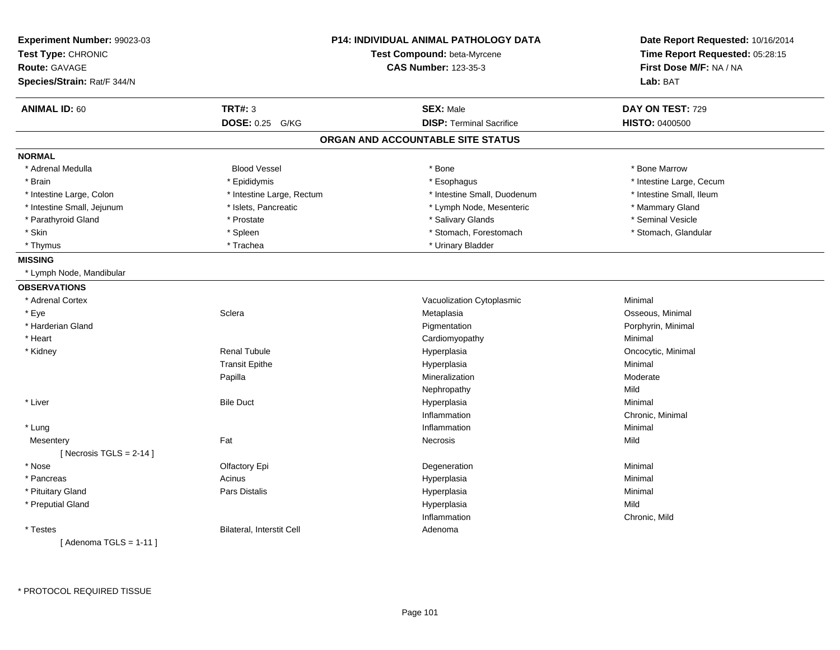| Experiment Number: 99023-03<br>Test Type: CHRONIC<br><b>Route: GAVAGE</b><br>Species/Strain: Rat/F 344/N | <b>P14: INDIVIDUAL ANIMAL PATHOLOGY DATA</b><br>Test Compound: beta-Myrcene<br><b>CAS Number: 123-35-3</b> |                                   | Date Report Requested: 10/16/2014<br>Time Report Requested: 05:28:15<br>First Dose M/F: NA / NA<br>Lab: BAT |
|----------------------------------------------------------------------------------------------------------|------------------------------------------------------------------------------------------------------------|-----------------------------------|-------------------------------------------------------------------------------------------------------------|
| <b>ANIMAL ID: 60</b>                                                                                     | <b>TRT#: 3</b>                                                                                             | <b>SEX: Male</b>                  | DAY ON TEST: 729                                                                                            |
|                                                                                                          | DOSE: 0.25 G/KG                                                                                            | <b>DISP: Terminal Sacrifice</b>   | <b>HISTO: 0400500</b>                                                                                       |
|                                                                                                          |                                                                                                            | ORGAN AND ACCOUNTABLE SITE STATUS |                                                                                                             |
| <b>NORMAL</b>                                                                                            |                                                                                                            |                                   |                                                                                                             |
| * Adrenal Medulla                                                                                        | <b>Blood Vessel</b>                                                                                        | * Bone                            | * Bone Marrow                                                                                               |
| * Brain                                                                                                  | * Epididymis                                                                                               | * Esophagus                       | * Intestine Large, Cecum                                                                                    |
| * Intestine Large, Colon                                                                                 | * Intestine Large, Rectum                                                                                  | * Intestine Small, Duodenum       | * Intestine Small, Ileum                                                                                    |
| * Intestine Small, Jejunum                                                                               | * Islets, Pancreatic                                                                                       | * Lymph Node, Mesenteric          | * Mammary Gland                                                                                             |
| * Parathyroid Gland                                                                                      | * Prostate                                                                                                 | * Salivary Glands                 | * Seminal Vesicle                                                                                           |
| * Skin                                                                                                   | * Spleen                                                                                                   | * Stomach, Forestomach            | * Stomach, Glandular                                                                                        |
| * Thymus                                                                                                 | * Trachea                                                                                                  | * Urinary Bladder                 |                                                                                                             |
| <b>MISSING</b>                                                                                           |                                                                                                            |                                   |                                                                                                             |
| * Lymph Node, Mandibular                                                                                 |                                                                                                            |                                   |                                                                                                             |
| <b>OBSERVATIONS</b>                                                                                      |                                                                                                            |                                   |                                                                                                             |
| * Adrenal Cortex                                                                                         |                                                                                                            | Vacuolization Cytoplasmic         | Minimal                                                                                                     |
| * Eye                                                                                                    | Sclera                                                                                                     | Metaplasia                        | Osseous, Minimal                                                                                            |
| * Harderian Gland                                                                                        |                                                                                                            | Pigmentation                      | Porphyrin, Minimal                                                                                          |
| * Heart                                                                                                  |                                                                                                            | Cardiomyopathy                    | Minimal                                                                                                     |
| * Kidney                                                                                                 | <b>Renal Tubule</b>                                                                                        | Hyperplasia                       | Oncocytic, Minimal                                                                                          |
|                                                                                                          | <b>Transit Epithe</b>                                                                                      | Hyperplasia                       | Minimal                                                                                                     |
|                                                                                                          | Papilla                                                                                                    | Mineralization                    | Moderate                                                                                                    |
|                                                                                                          |                                                                                                            | Nephropathy                       | Mild                                                                                                        |
| * Liver                                                                                                  | <b>Bile Duct</b>                                                                                           | Hyperplasia                       | Minimal                                                                                                     |
|                                                                                                          |                                                                                                            | Inflammation                      | Chronic, Minimal                                                                                            |
| * Lung                                                                                                   |                                                                                                            | Inflammation                      | Minimal                                                                                                     |
| Mesentery                                                                                                | Fat                                                                                                        | Necrosis                          | Mild                                                                                                        |
| [ Necrosis TGLS = $2-14$ ]                                                                               |                                                                                                            |                                   |                                                                                                             |
| * Nose                                                                                                   | Olfactory Epi                                                                                              | Degeneration                      | Minimal                                                                                                     |
| * Pancreas                                                                                               | Acinus                                                                                                     | Hyperplasia                       | Minimal                                                                                                     |
| * Pituitary Gland                                                                                        | Pars Distalis                                                                                              | Hyperplasia                       | Minimal                                                                                                     |
| * Preputial Gland                                                                                        |                                                                                                            | Hyperplasia                       | Mild                                                                                                        |
|                                                                                                          |                                                                                                            | Inflammation                      | Chronic, Mild                                                                                               |
| * Testes                                                                                                 | Bilateral, Interstit Cell                                                                                  | Adenoma                           |                                                                                                             |
| [Adenoma TGLS = $1-11$ ]                                                                                 |                                                                                                            |                                   |                                                                                                             |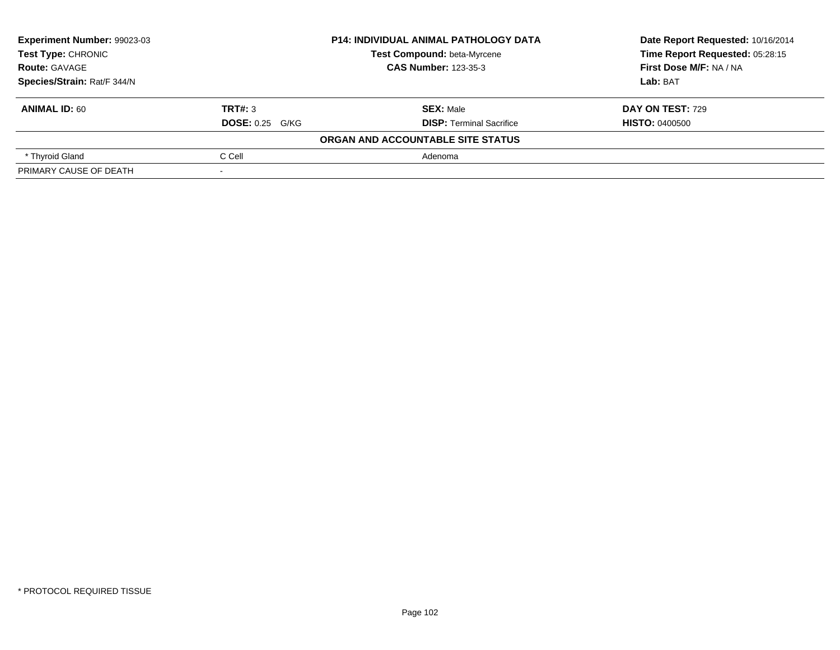| Experiment Number: 99023-03 | <b>P14: INDIVIDUAL ANIMAL PATHOLOGY DATA</b> |                                   | Date Report Requested: 10/16/2014 |
|-----------------------------|----------------------------------------------|-----------------------------------|-----------------------------------|
| <b>Test Type: CHRONIC</b>   |                                              | Test Compound: beta-Myrcene       | Time Report Requested: 05:28:15   |
| <b>Route: GAVAGE</b>        |                                              | <b>CAS Number: 123-35-3</b>       | First Dose M/F: NA / NA           |
| Species/Strain: Rat/F 344/N |                                              |                                   | Lab: BAT                          |
| <b>ANIMAL ID: 60</b>        | TRT#: 3                                      | <b>SEX: Male</b>                  | DAY ON TEST: 729                  |
|                             | $DOSE: 0.25$ G/KG                            | <b>DISP: Terminal Sacrifice</b>   | <b>HISTO: 0400500</b>             |
|                             |                                              | ORGAN AND ACCOUNTABLE SITE STATUS |                                   |
| * Thyroid Gland             | C Cell                                       | Adenoma                           |                                   |
| PRIMARY CAUSE OF DEATH      |                                              |                                   |                                   |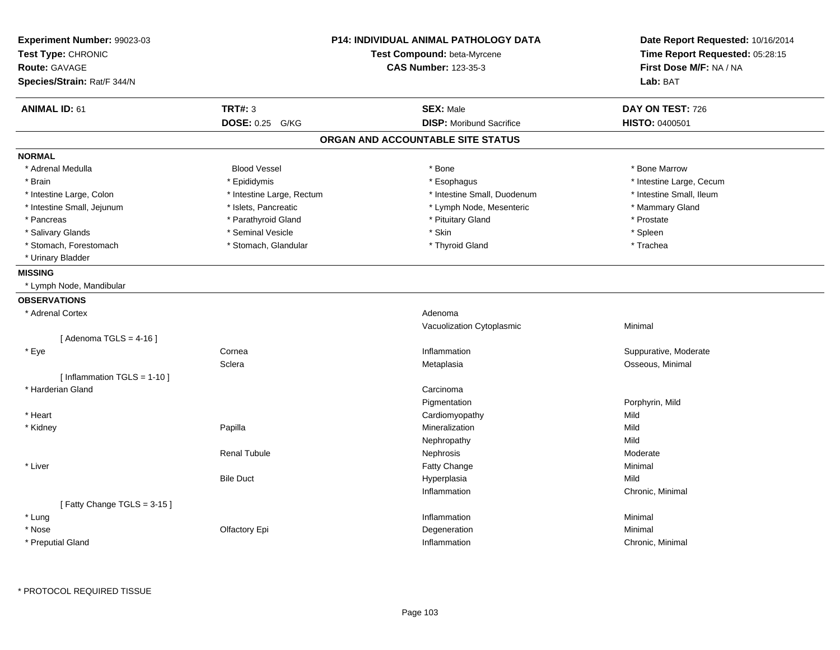| Experiment Number: 99023-03<br>Test Type: CHRONIC<br><b>Route: GAVAGE</b><br>Species/Strain: Rat/F 344/N |                           | <b>P14: INDIVIDUAL ANIMAL PATHOLOGY DATA</b><br>Test Compound: beta-Myrcene<br><b>CAS Number: 123-35-3</b> | Date Report Requested: 10/16/2014<br>Time Report Requested: 05:28:15<br>First Dose M/F: NA / NA<br>Lab: BAT |  |
|----------------------------------------------------------------------------------------------------------|---------------------------|------------------------------------------------------------------------------------------------------------|-------------------------------------------------------------------------------------------------------------|--|
| <b>ANIMAL ID: 61</b>                                                                                     | <b>TRT#: 3</b>            | <b>SEX: Male</b>                                                                                           | DAY ON TEST: 726                                                                                            |  |
|                                                                                                          | DOSE: 0.25 G/KG           | <b>DISP:</b> Moribund Sacrifice                                                                            | <b>HISTO: 0400501</b>                                                                                       |  |
|                                                                                                          |                           | ORGAN AND ACCOUNTABLE SITE STATUS                                                                          |                                                                                                             |  |
| <b>NORMAL</b>                                                                                            |                           |                                                                                                            |                                                                                                             |  |
| * Adrenal Medulla                                                                                        | <b>Blood Vessel</b>       | * Bone                                                                                                     | * Bone Marrow                                                                                               |  |
| * Brain                                                                                                  | * Epididymis              | * Esophagus                                                                                                | * Intestine Large, Cecum                                                                                    |  |
| * Intestine Large, Colon                                                                                 | * Intestine Large, Rectum | * Intestine Small, Duodenum                                                                                | * Intestine Small, Ileum                                                                                    |  |
| * Intestine Small, Jejunum                                                                               | * Islets, Pancreatic      | * Lymph Node, Mesenteric                                                                                   | * Mammary Gland                                                                                             |  |
| * Pancreas                                                                                               | * Parathyroid Gland       | * Pituitary Gland                                                                                          | * Prostate                                                                                                  |  |
| * Salivary Glands                                                                                        | * Seminal Vesicle         | * Skin                                                                                                     | * Spleen                                                                                                    |  |
| * Stomach, Forestomach                                                                                   | * Stomach, Glandular      | * Thyroid Gland                                                                                            | * Trachea                                                                                                   |  |
| * Urinary Bladder                                                                                        |                           |                                                                                                            |                                                                                                             |  |
| <b>MISSING</b>                                                                                           |                           |                                                                                                            |                                                                                                             |  |
| * Lymph Node, Mandibular                                                                                 |                           |                                                                                                            |                                                                                                             |  |
| <b>OBSERVATIONS</b>                                                                                      |                           |                                                                                                            |                                                                                                             |  |
| * Adrenal Cortex                                                                                         |                           | Adenoma                                                                                                    |                                                                                                             |  |
|                                                                                                          |                           | Vacuolization Cytoplasmic                                                                                  | Minimal                                                                                                     |  |
| [Adenoma TGLS = $4-16$ ]                                                                                 |                           |                                                                                                            |                                                                                                             |  |
| * Eye                                                                                                    | Cornea                    | Inflammation                                                                                               | Suppurative, Moderate                                                                                       |  |
|                                                                                                          | Sclera                    | Metaplasia                                                                                                 | Osseous, Minimal                                                                                            |  |
| [Inflammation TGLS = $1-10$ ]                                                                            |                           |                                                                                                            |                                                                                                             |  |
| * Harderian Gland                                                                                        |                           | Carcinoma                                                                                                  |                                                                                                             |  |
|                                                                                                          |                           | Pigmentation                                                                                               | Porphyrin, Mild                                                                                             |  |
| * Heart                                                                                                  |                           | Cardiomyopathy                                                                                             | Mild                                                                                                        |  |
| * Kidney                                                                                                 | Papilla                   | Mineralization                                                                                             | Mild                                                                                                        |  |
|                                                                                                          |                           | Nephropathy                                                                                                | Mild                                                                                                        |  |
|                                                                                                          | <b>Renal Tubule</b>       | Nephrosis                                                                                                  | Moderate                                                                                                    |  |
| * Liver                                                                                                  |                           | Fatty Change                                                                                               | Minimal                                                                                                     |  |
|                                                                                                          | <b>Bile Duct</b>          | Hyperplasia                                                                                                | Mild                                                                                                        |  |
|                                                                                                          |                           | Inflammation                                                                                               | Chronic, Minimal                                                                                            |  |
| [Fatty Change TGLS = 3-15]                                                                               |                           |                                                                                                            |                                                                                                             |  |
| * Lung                                                                                                   |                           | Inflammation                                                                                               | Minimal                                                                                                     |  |
| * Nose                                                                                                   | Olfactory Epi             | Degeneration                                                                                               | Minimal                                                                                                     |  |
| * Preputial Gland                                                                                        |                           | Inflammation                                                                                               | Chronic, Minimal                                                                                            |  |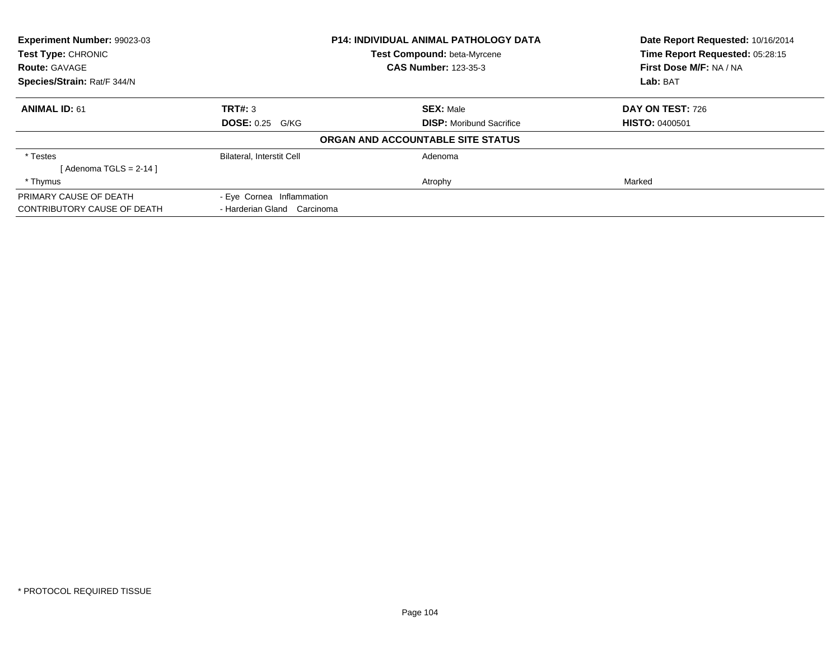| <b>Experiment Number: 99023-03</b><br>Test Type: CHRONIC<br><b>Route: GAVAGE</b> |                                 | Date Report Requested: 10/16/2014<br>Time Report Requested: 05:28:15                                                                                                |
|----------------------------------------------------------------------------------|---------------------------------|---------------------------------------------------------------------------------------------------------------------------------------------------------------------|
|                                                                                  |                                 | First Dose M/F: NA / NA<br>Lab: BAT                                                                                                                                 |
|                                                                                  |                                 |                                                                                                                                                                     |
|                                                                                  |                                 | <b>DAY ON TEST: 726</b>                                                                                                                                             |
| <b>DOSE: 0.25 G/KG</b>                                                           | <b>DISP:</b> Moribund Sacrifice | <b>HISTO: 0400501</b>                                                                                                                                               |
|                                                                                  |                                 |                                                                                                                                                                     |
| <b>Bilateral, Interstit Cell</b>                                                 | Adenoma                         |                                                                                                                                                                     |
|                                                                                  |                                 |                                                                                                                                                                     |
|                                                                                  | Atrophy                         | Marked                                                                                                                                                              |
| - Eye Cornea Inflammation                                                        |                                 |                                                                                                                                                                     |
| - Harderian Gland Carcinoma                                                      |                                 |                                                                                                                                                                     |
|                                                                                  | TRT#: 3                         | <b>P14: INDIVIDUAL ANIMAL PATHOLOGY DATA</b><br>Test Compound: beta-Myrcene<br><b>CAS Number: 123-35-3</b><br><b>SEX: Male</b><br>ORGAN AND ACCOUNTABLE SITE STATUS |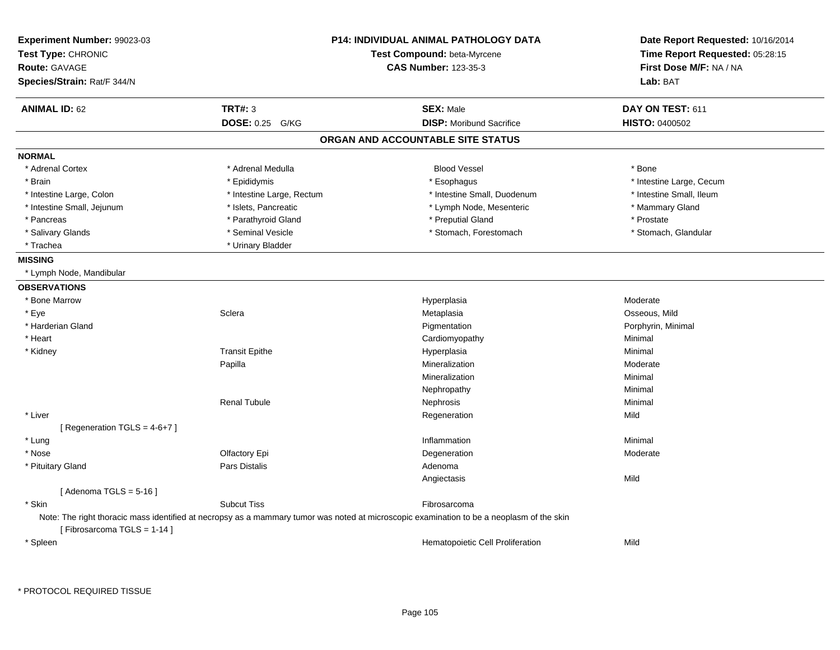| <b>TRT#: 3</b><br><b>ANIMAL ID: 62</b><br><b>SEX: Male</b><br>DAY ON TEST: 611<br>DOSE: 0.25 G/KG<br><b>DISP:</b> Moribund Sacrifice<br><b>HISTO: 0400502</b><br>ORGAN AND ACCOUNTABLE SITE STATUS<br>* Adrenal Cortex<br>* Adrenal Medulla<br><b>Blood Vessel</b><br>* Bone<br>* Brain<br>* Epididymis<br>* Esophagus<br>* Intestine Large, Cecum<br>* Intestine Small, Ileum<br>* Intestine Large, Colon<br>* Intestine Large, Rectum<br>* Intestine Small, Duodenum<br>* Intestine Small, Jejunum<br>* Islets, Pancreatic<br>* Mammary Gland<br>* Lymph Node, Mesenteric<br>* Parathyroid Gland<br>* Preputial Gland<br>* Prostate<br>* Pancreas<br>* Salivary Glands<br>* Seminal Vesicle<br>* Stomach, Forestomach<br>* Stomach, Glandular<br>* Urinary Bladder<br>* Trachea<br>* Lymph Node, Mandibular<br>* Bone Marrow<br>Moderate<br>Hyperplasia<br>* Eye<br>Sclera<br>Metaplasia<br>Osseous, Mild<br>* Harderian Gland<br>Pigmentation<br>Porphyrin, Minimal<br>* Heart<br>Cardiomyopathy<br>Minimal<br><b>Transit Epithe</b><br>Minimal<br>* Kidney<br>Hyperplasia<br>Papilla<br>Mineralization<br>Moderate<br>Mineralization<br>Minimal<br>Minimal<br>Nephropathy<br><b>Renal Tubule</b><br>Minimal<br>Nephrosis<br>* Liver<br>Mild<br>Regeneration<br>[ Regeneration TGLS = 4-6+7 ]<br>Inflammation<br>Minimal<br>* Lung<br>* Nose<br>Olfactory Epi<br>Moderate<br>Degeneration<br>* Pituitary Gland<br>Pars Distalis<br>Adenoma<br>Mild<br>Angiectasis<br>[Adenoma TGLS = $5-16$ ]<br>* Skin<br><b>Subcut Tiss</b><br>Fibrosarcoma<br>Note: The right thoracic mass identified at necropsy as a mammary tumor was noted at microscopic examination to be a neoplasm of the skin<br>[Fibrosarcoma TGLS = 1-14]<br>Mild<br>* Spleen<br>Hematopoietic Cell Proliferation | <b>Experiment Number: 99023-03</b><br>Test Type: CHRONIC<br><b>Route: GAVAGE</b><br>Species/Strain: Rat/F 344/N | <b>P14: INDIVIDUAL ANIMAL PATHOLOGY DATA</b><br>Test Compound: beta-Myrcene<br><b>CAS Number: 123-35-3</b> | Date Report Requested: 10/16/2014<br>Time Report Requested: 05:28:15<br>First Dose M/F: NA / NA<br>Lab: BAT |
|-------------------------------------------------------------------------------------------------------------------------------------------------------------------------------------------------------------------------------------------------------------------------------------------------------------------------------------------------------------------------------------------------------------------------------------------------------------------------------------------------------------------------------------------------------------------------------------------------------------------------------------------------------------------------------------------------------------------------------------------------------------------------------------------------------------------------------------------------------------------------------------------------------------------------------------------------------------------------------------------------------------------------------------------------------------------------------------------------------------------------------------------------------------------------------------------------------------------------------------------------------------------------------------------------------------------------------------------------------------------------------------------------------------------------------------------------------------------------------------------------------------------------------------------------------------------------------------------------------------------------------------------------------------------------------------------------------------------------------------------------------------------------------------|-----------------------------------------------------------------------------------------------------------------|------------------------------------------------------------------------------------------------------------|-------------------------------------------------------------------------------------------------------------|
|                                                                                                                                                                                                                                                                                                                                                                                                                                                                                                                                                                                                                                                                                                                                                                                                                                                                                                                                                                                                                                                                                                                                                                                                                                                                                                                                                                                                                                                                                                                                                                                                                                                                                                                                                                                     |                                                                                                                 |                                                                                                            |                                                                                                             |
|                                                                                                                                                                                                                                                                                                                                                                                                                                                                                                                                                                                                                                                                                                                                                                                                                                                                                                                                                                                                                                                                                                                                                                                                                                                                                                                                                                                                                                                                                                                                                                                                                                                                                                                                                                                     |                                                                                                                 |                                                                                                            |                                                                                                             |
|                                                                                                                                                                                                                                                                                                                                                                                                                                                                                                                                                                                                                                                                                                                                                                                                                                                                                                                                                                                                                                                                                                                                                                                                                                                                                                                                                                                                                                                                                                                                                                                                                                                                                                                                                                                     |                                                                                                                 |                                                                                                            |                                                                                                             |
|                                                                                                                                                                                                                                                                                                                                                                                                                                                                                                                                                                                                                                                                                                                                                                                                                                                                                                                                                                                                                                                                                                                                                                                                                                                                                                                                                                                                                                                                                                                                                                                                                                                                                                                                                                                     | <b>NORMAL</b>                                                                                                   |                                                                                                            |                                                                                                             |
|                                                                                                                                                                                                                                                                                                                                                                                                                                                                                                                                                                                                                                                                                                                                                                                                                                                                                                                                                                                                                                                                                                                                                                                                                                                                                                                                                                                                                                                                                                                                                                                                                                                                                                                                                                                     |                                                                                                                 |                                                                                                            |                                                                                                             |
|                                                                                                                                                                                                                                                                                                                                                                                                                                                                                                                                                                                                                                                                                                                                                                                                                                                                                                                                                                                                                                                                                                                                                                                                                                                                                                                                                                                                                                                                                                                                                                                                                                                                                                                                                                                     |                                                                                                                 |                                                                                                            |                                                                                                             |
|                                                                                                                                                                                                                                                                                                                                                                                                                                                                                                                                                                                                                                                                                                                                                                                                                                                                                                                                                                                                                                                                                                                                                                                                                                                                                                                                                                                                                                                                                                                                                                                                                                                                                                                                                                                     |                                                                                                                 |                                                                                                            |                                                                                                             |
|                                                                                                                                                                                                                                                                                                                                                                                                                                                                                                                                                                                                                                                                                                                                                                                                                                                                                                                                                                                                                                                                                                                                                                                                                                                                                                                                                                                                                                                                                                                                                                                                                                                                                                                                                                                     |                                                                                                                 |                                                                                                            |                                                                                                             |
|                                                                                                                                                                                                                                                                                                                                                                                                                                                                                                                                                                                                                                                                                                                                                                                                                                                                                                                                                                                                                                                                                                                                                                                                                                                                                                                                                                                                                                                                                                                                                                                                                                                                                                                                                                                     |                                                                                                                 |                                                                                                            |                                                                                                             |
|                                                                                                                                                                                                                                                                                                                                                                                                                                                                                                                                                                                                                                                                                                                                                                                                                                                                                                                                                                                                                                                                                                                                                                                                                                                                                                                                                                                                                                                                                                                                                                                                                                                                                                                                                                                     |                                                                                                                 |                                                                                                            |                                                                                                             |
|                                                                                                                                                                                                                                                                                                                                                                                                                                                                                                                                                                                                                                                                                                                                                                                                                                                                                                                                                                                                                                                                                                                                                                                                                                                                                                                                                                                                                                                                                                                                                                                                                                                                                                                                                                                     |                                                                                                                 |                                                                                                            |                                                                                                             |
|                                                                                                                                                                                                                                                                                                                                                                                                                                                                                                                                                                                                                                                                                                                                                                                                                                                                                                                                                                                                                                                                                                                                                                                                                                                                                                                                                                                                                                                                                                                                                                                                                                                                                                                                                                                     | <b>MISSING</b>                                                                                                  |                                                                                                            |                                                                                                             |
|                                                                                                                                                                                                                                                                                                                                                                                                                                                                                                                                                                                                                                                                                                                                                                                                                                                                                                                                                                                                                                                                                                                                                                                                                                                                                                                                                                                                                                                                                                                                                                                                                                                                                                                                                                                     |                                                                                                                 |                                                                                                            |                                                                                                             |
|                                                                                                                                                                                                                                                                                                                                                                                                                                                                                                                                                                                                                                                                                                                                                                                                                                                                                                                                                                                                                                                                                                                                                                                                                                                                                                                                                                                                                                                                                                                                                                                                                                                                                                                                                                                     | <b>OBSERVATIONS</b>                                                                                             |                                                                                                            |                                                                                                             |
|                                                                                                                                                                                                                                                                                                                                                                                                                                                                                                                                                                                                                                                                                                                                                                                                                                                                                                                                                                                                                                                                                                                                                                                                                                                                                                                                                                                                                                                                                                                                                                                                                                                                                                                                                                                     |                                                                                                                 |                                                                                                            |                                                                                                             |
|                                                                                                                                                                                                                                                                                                                                                                                                                                                                                                                                                                                                                                                                                                                                                                                                                                                                                                                                                                                                                                                                                                                                                                                                                                                                                                                                                                                                                                                                                                                                                                                                                                                                                                                                                                                     |                                                                                                                 |                                                                                                            |                                                                                                             |
|                                                                                                                                                                                                                                                                                                                                                                                                                                                                                                                                                                                                                                                                                                                                                                                                                                                                                                                                                                                                                                                                                                                                                                                                                                                                                                                                                                                                                                                                                                                                                                                                                                                                                                                                                                                     |                                                                                                                 |                                                                                                            |                                                                                                             |
|                                                                                                                                                                                                                                                                                                                                                                                                                                                                                                                                                                                                                                                                                                                                                                                                                                                                                                                                                                                                                                                                                                                                                                                                                                                                                                                                                                                                                                                                                                                                                                                                                                                                                                                                                                                     |                                                                                                                 |                                                                                                            |                                                                                                             |
|                                                                                                                                                                                                                                                                                                                                                                                                                                                                                                                                                                                                                                                                                                                                                                                                                                                                                                                                                                                                                                                                                                                                                                                                                                                                                                                                                                                                                                                                                                                                                                                                                                                                                                                                                                                     |                                                                                                                 |                                                                                                            |                                                                                                             |
|                                                                                                                                                                                                                                                                                                                                                                                                                                                                                                                                                                                                                                                                                                                                                                                                                                                                                                                                                                                                                                                                                                                                                                                                                                                                                                                                                                                                                                                                                                                                                                                                                                                                                                                                                                                     |                                                                                                                 |                                                                                                            |                                                                                                             |
|                                                                                                                                                                                                                                                                                                                                                                                                                                                                                                                                                                                                                                                                                                                                                                                                                                                                                                                                                                                                                                                                                                                                                                                                                                                                                                                                                                                                                                                                                                                                                                                                                                                                                                                                                                                     |                                                                                                                 |                                                                                                            |                                                                                                             |
|                                                                                                                                                                                                                                                                                                                                                                                                                                                                                                                                                                                                                                                                                                                                                                                                                                                                                                                                                                                                                                                                                                                                                                                                                                                                                                                                                                                                                                                                                                                                                                                                                                                                                                                                                                                     |                                                                                                                 |                                                                                                            |                                                                                                             |
|                                                                                                                                                                                                                                                                                                                                                                                                                                                                                                                                                                                                                                                                                                                                                                                                                                                                                                                                                                                                                                                                                                                                                                                                                                                                                                                                                                                                                                                                                                                                                                                                                                                                                                                                                                                     |                                                                                                                 |                                                                                                            |                                                                                                             |
|                                                                                                                                                                                                                                                                                                                                                                                                                                                                                                                                                                                                                                                                                                                                                                                                                                                                                                                                                                                                                                                                                                                                                                                                                                                                                                                                                                                                                                                                                                                                                                                                                                                                                                                                                                                     |                                                                                                                 |                                                                                                            |                                                                                                             |
|                                                                                                                                                                                                                                                                                                                                                                                                                                                                                                                                                                                                                                                                                                                                                                                                                                                                                                                                                                                                                                                                                                                                                                                                                                                                                                                                                                                                                                                                                                                                                                                                                                                                                                                                                                                     |                                                                                                                 |                                                                                                            |                                                                                                             |
|                                                                                                                                                                                                                                                                                                                                                                                                                                                                                                                                                                                                                                                                                                                                                                                                                                                                                                                                                                                                                                                                                                                                                                                                                                                                                                                                                                                                                                                                                                                                                                                                                                                                                                                                                                                     |                                                                                                                 |                                                                                                            |                                                                                                             |
|                                                                                                                                                                                                                                                                                                                                                                                                                                                                                                                                                                                                                                                                                                                                                                                                                                                                                                                                                                                                                                                                                                                                                                                                                                                                                                                                                                                                                                                                                                                                                                                                                                                                                                                                                                                     |                                                                                                                 |                                                                                                            |                                                                                                             |
|                                                                                                                                                                                                                                                                                                                                                                                                                                                                                                                                                                                                                                                                                                                                                                                                                                                                                                                                                                                                                                                                                                                                                                                                                                                                                                                                                                                                                                                                                                                                                                                                                                                                                                                                                                                     |                                                                                                                 |                                                                                                            |                                                                                                             |
|                                                                                                                                                                                                                                                                                                                                                                                                                                                                                                                                                                                                                                                                                                                                                                                                                                                                                                                                                                                                                                                                                                                                                                                                                                                                                                                                                                                                                                                                                                                                                                                                                                                                                                                                                                                     |                                                                                                                 |                                                                                                            |                                                                                                             |
|                                                                                                                                                                                                                                                                                                                                                                                                                                                                                                                                                                                                                                                                                                                                                                                                                                                                                                                                                                                                                                                                                                                                                                                                                                                                                                                                                                                                                                                                                                                                                                                                                                                                                                                                                                                     |                                                                                                                 |                                                                                                            |                                                                                                             |
|                                                                                                                                                                                                                                                                                                                                                                                                                                                                                                                                                                                                                                                                                                                                                                                                                                                                                                                                                                                                                                                                                                                                                                                                                                                                                                                                                                                                                                                                                                                                                                                                                                                                                                                                                                                     |                                                                                                                 |                                                                                                            |                                                                                                             |
|                                                                                                                                                                                                                                                                                                                                                                                                                                                                                                                                                                                                                                                                                                                                                                                                                                                                                                                                                                                                                                                                                                                                                                                                                                                                                                                                                                                                                                                                                                                                                                                                                                                                                                                                                                                     |                                                                                                                 |                                                                                                            |                                                                                                             |
|                                                                                                                                                                                                                                                                                                                                                                                                                                                                                                                                                                                                                                                                                                                                                                                                                                                                                                                                                                                                                                                                                                                                                                                                                                                                                                                                                                                                                                                                                                                                                                                                                                                                                                                                                                                     |                                                                                                                 |                                                                                                            |                                                                                                             |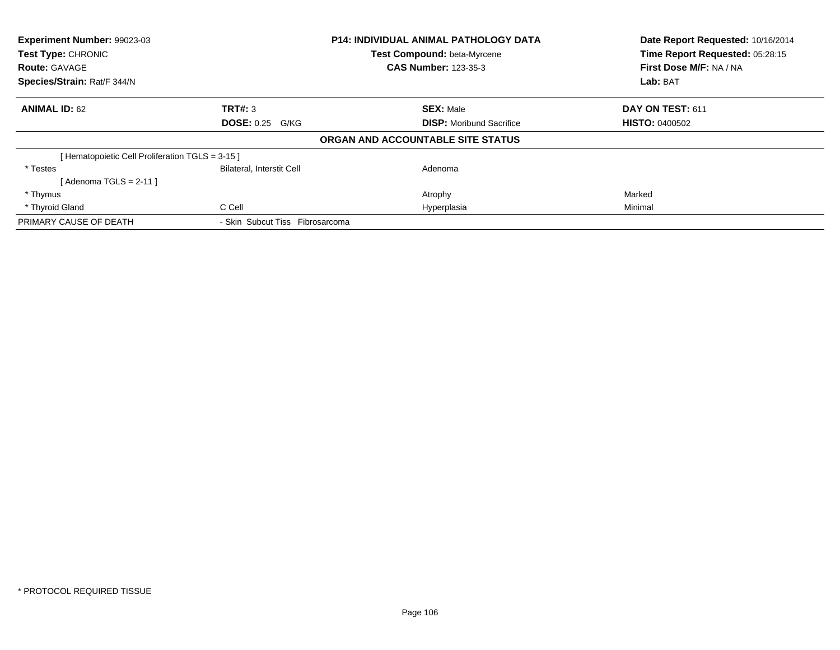| <b>Experiment Number: 99023-03</b><br>Test Type: CHRONIC |                                  | P14: INDIVIDUAL ANIMAL PATHOLOGY DATA | Date Report Requested: 10/16/2014 |
|----------------------------------------------------------|----------------------------------|---------------------------------------|-----------------------------------|
|                                                          |                                  | <b>Test Compound: beta-Myrcene</b>    | Time Report Requested: 05:28:15   |
| <b>Route: GAVAGE</b>                                     |                                  | <b>CAS Number: 123-35-3</b>           | First Dose M/F: NA / NA           |
| Species/Strain: Rat/F 344/N                              |                                  |                                       | Lab: BAT                          |
| <b>ANIMAL ID: 62</b>                                     | TRT#: 3                          | <b>SEX: Male</b>                      | DAY ON TEST: 611                  |
|                                                          | <b>DOSE: 0.25 G/KG</b>           | <b>DISP:</b> Moribund Sacrifice       | <b>HISTO: 0400502</b>             |
|                                                          |                                  | ORGAN AND ACCOUNTABLE SITE STATUS     |                                   |
| [Hematopoietic Cell Proliferation TGLS = 3-15]           |                                  |                                       |                                   |
| * Testes                                                 | <b>Bilateral, Interstit Cell</b> | Adenoma                               |                                   |
| [Adenoma TGLS = $2-11$ ]                                 |                                  |                                       |                                   |
| * Thymus                                                 |                                  | Atrophy                               | Marked                            |
| * Thyroid Gland                                          | C Cell                           | Hyperplasia                           | Minimal                           |
| PRIMARY CAUSE OF DEATH                                   | - Skin Subcut Tiss Fibrosarcoma  |                                       |                                   |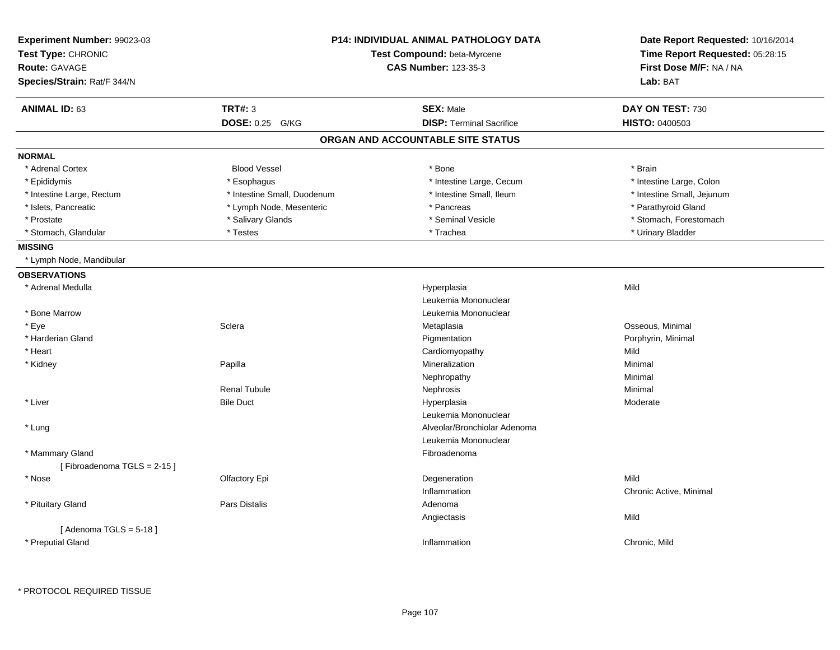| Experiment Number: 99023-03<br>Test Type: CHRONIC<br>Route: GAVAGE<br>Species/Strain: Rat/F 344/N |                             | <b>P14: INDIVIDUAL ANIMAL PATHOLOGY DATA</b><br>Test Compound: beta-Myrcene<br><b>CAS Number: 123-35-3</b> | Date Report Requested: 10/16/2014<br>Time Report Requested: 05:28:15<br>First Dose M/F: NA / NA<br>Lab: BAT |
|---------------------------------------------------------------------------------------------------|-----------------------------|------------------------------------------------------------------------------------------------------------|-------------------------------------------------------------------------------------------------------------|
| <b>ANIMAL ID: 63</b>                                                                              | <b>TRT#: 3</b>              | <b>SEX: Male</b>                                                                                           | DAY ON TEST: 730                                                                                            |
|                                                                                                   | DOSE: 0.25 G/KG             | <b>DISP: Terminal Sacrifice</b>                                                                            | <b>HISTO: 0400503</b>                                                                                       |
|                                                                                                   |                             | ORGAN AND ACCOUNTABLE SITE STATUS                                                                          |                                                                                                             |
| <b>NORMAL</b>                                                                                     |                             |                                                                                                            |                                                                                                             |
| * Adrenal Cortex                                                                                  | <b>Blood Vessel</b>         | * Bone                                                                                                     | * Brain                                                                                                     |
| * Epididymis                                                                                      | * Esophagus                 | * Intestine Large, Cecum                                                                                   | * Intestine Large, Colon                                                                                    |
| * Intestine Large, Rectum                                                                         | * Intestine Small, Duodenum | * Intestine Small, Ileum                                                                                   | * Intestine Small, Jejunum                                                                                  |
| * Islets, Pancreatic                                                                              | * Lymph Node, Mesenteric    | * Pancreas                                                                                                 | * Parathyroid Gland                                                                                         |
| * Prostate                                                                                        | * Salivary Glands           | * Seminal Vesicle                                                                                          | * Stomach, Forestomach                                                                                      |
| * Stomach, Glandular                                                                              | * Testes                    | * Trachea                                                                                                  | * Urinary Bladder                                                                                           |
| <b>MISSING</b>                                                                                    |                             |                                                                                                            |                                                                                                             |
| * Lymph Node, Mandibular                                                                          |                             |                                                                                                            |                                                                                                             |
| <b>OBSERVATIONS</b>                                                                               |                             |                                                                                                            |                                                                                                             |
| * Adrenal Medulla                                                                                 |                             | Hyperplasia                                                                                                | Mild                                                                                                        |
|                                                                                                   |                             | Leukemia Mononuclear                                                                                       |                                                                                                             |
| * Bone Marrow                                                                                     |                             | Leukemia Mononuclear                                                                                       |                                                                                                             |
| * Eye                                                                                             | Sclera                      | Metaplasia                                                                                                 | Osseous, Minimal                                                                                            |
| * Harderian Gland                                                                                 |                             | Pigmentation                                                                                               | Porphyrin, Minimal                                                                                          |
| * Heart                                                                                           |                             | Cardiomyopathy                                                                                             | Mild                                                                                                        |
| * Kidney                                                                                          | Papilla                     | Mineralization                                                                                             | Minimal                                                                                                     |
|                                                                                                   |                             | Nephropathy                                                                                                | Minimal                                                                                                     |
|                                                                                                   | <b>Renal Tubule</b>         | Nephrosis                                                                                                  | Minimal                                                                                                     |
| * Liver                                                                                           | <b>Bile Duct</b>            | Hyperplasia                                                                                                | Moderate                                                                                                    |
|                                                                                                   |                             | Leukemia Mononuclear                                                                                       |                                                                                                             |
| * Lung                                                                                            |                             | Alveolar/Bronchiolar Adenoma                                                                               |                                                                                                             |
|                                                                                                   |                             | Leukemia Mononuclear                                                                                       |                                                                                                             |
| * Mammary Gland                                                                                   |                             | Fibroadenoma                                                                                               |                                                                                                             |
| [Fibroadenoma TGLS = 2-15]                                                                        |                             |                                                                                                            |                                                                                                             |
| * Nose                                                                                            | Olfactory Epi               | Degeneration                                                                                               | Mild                                                                                                        |
|                                                                                                   |                             | Inflammation                                                                                               | Chronic Active, Minimal                                                                                     |
| * Pituitary Gland                                                                                 | Pars Distalis               | Adenoma                                                                                                    |                                                                                                             |
|                                                                                                   |                             | Angiectasis                                                                                                | Mild                                                                                                        |
| [Adenoma TGLS = $5-18$ ]                                                                          |                             |                                                                                                            |                                                                                                             |
| * Preputial Gland                                                                                 |                             | Inflammation                                                                                               | Chronic, Mild                                                                                               |
|                                                                                                   |                             |                                                                                                            |                                                                                                             |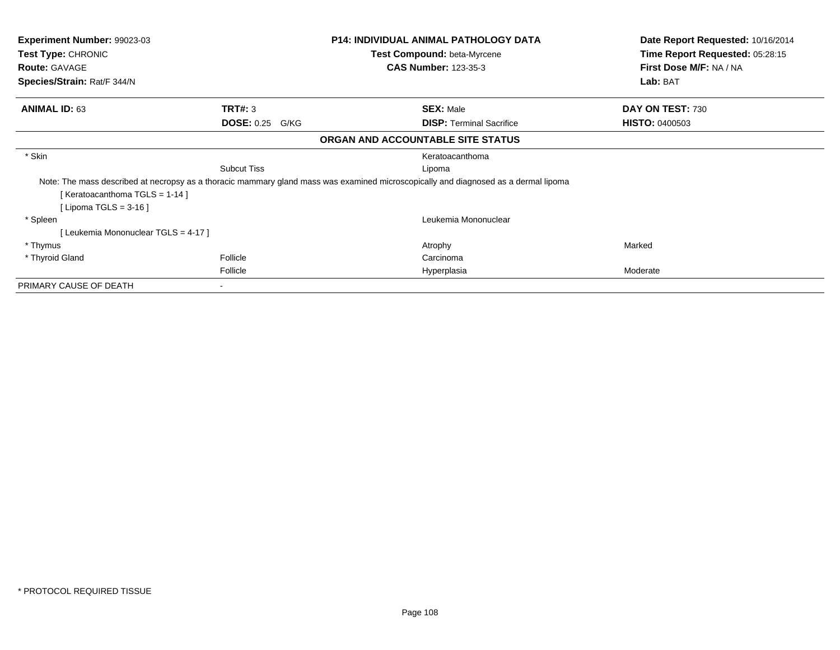| <b>Experiment Number: 99023-03</b><br><b>Test Type: CHRONIC</b>                                                                     |                           | <b>P14: INDIVIDUAL ANIMAL PATHOLOGY DATA</b><br><b>Test Compound: beta-Myrcene</b> |                                 | Date Report Requested: 10/16/2014<br>Time Report Requested: 05:28:15 |
|-------------------------------------------------------------------------------------------------------------------------------------|---------------------------|------------------------------------------------------------------------------------|---------------------------------|----------------------------------------------------------------------|
| <b>Route: GAVAGE</b>                                                                                                                |                           |                                                                                    | <b>CAS Number: 123-35-3</b>     | First Dose M/F: NA / NA                                              |
| Species/Strain: Rat/F 344/N                                                                                                         |                           |                                                                                    |                                 | Lab: BAT                                                             |
| <b>ANIMAL ID: 63</b>                                                                                                                | TRT#: 3                   |                                                                                    | <b>SEX: Male</b>                | DAY ON TEST: 730                                                     |
|                                                                                                                                     | <b>DOSE: 0.25</b><br>G/KG |                                                                                    | <b>DISP:</b> Terminal Sacrifice | <b>HISTO: 0400503</b>                                                |
|                                                                                                                                     |                           | ORGAN AND ACCOUNTABLE SITE STATUS                                                  |                                 |                                                                      |
| * Skin                                                                                                                              |                           |                                                                                    | Keratoacanthoma                 |                                                                      |
|                                                                                                                                     | <b>Subcut Tiss</b>        |                                                                                    | Lipoma                          |                                                                      |
| Note: The mass described at necropsy as a thoracic mammary gland mass was examined microscopically and diagnosed as a dermal lipoma |                           |                                                                                    |                                 |                                                                      |
| [ Keratoacanthoma TGLS = $1-14$ ]                                                                                                   |                           |                                                                                    |                                 |                                                                      |
| [Lipoma TGLS = $3-16$ ]                                                                                                             |                           |                                                                                    |                                 |                                                                      |
| * Spleen                                                                                                                            |                           |                                                                                    | Leukemia Mononuclear            |                                                                      |
| [ Leukemia Mononuclear TGLS = 4-17 ]                                                                                                |                           |                                                                                    |                                 |                                                                      |
| * Thymus                                                                                                                            |                           |                                                                                    | Atrophy                         | Marked                                                               |
| * Thyroid Gland                                                                                                                     | Follicle                  |                                                                                    | Carcinoma                       |                                                                      |
|                                                                                                                                     | Follicle                  |                                                                                    | Hyperplasia                     | Moderate                                                             |
| PRIMARY CAUSE OF DEATH                                                                                                              |                           |                                                                                    |                                 |                                                                      |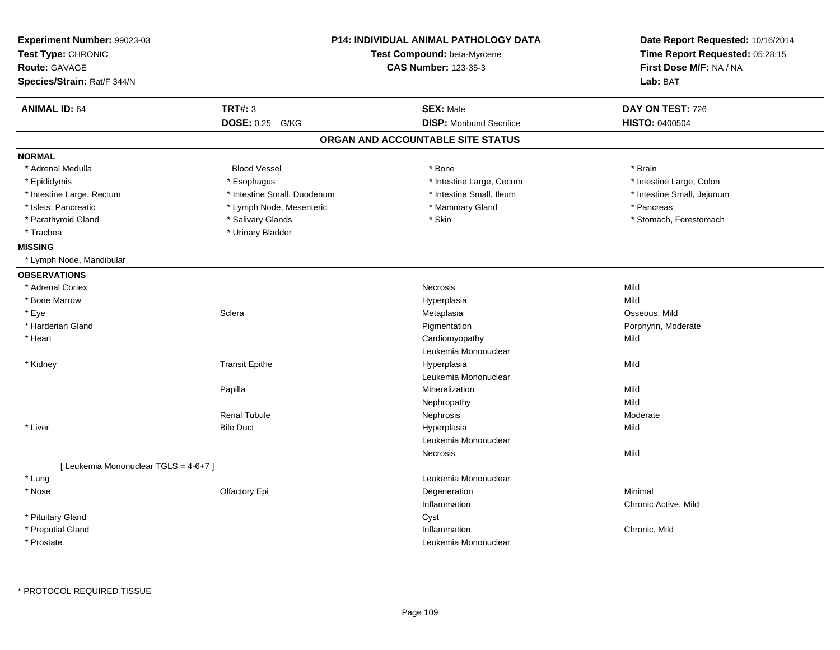| Experiment Number: 99023-03<br>Test Type: CHRONIC<br><b>Route: GAVAGE</b><br>Species/Strain: Rat/F 344/N |                             | <b>P14: INDIVIDUAL ANIMAL PATHOLOGY DATA</b><br>Test Compound: beta-Myrcene<br><b>CAS Number: 123-35-3</b> | Date Report Requested: 10/16/2014<br>Time Report Requested: 05:28:15<br>First Dose M/F: NA / NA<br>Lab: BAT |
|----------------------------------------------------------------------------------------------------------|-----------------------------|------------------------------------------------------------------------------------------------------------|-------------------------------------------------------------------------------------------------------------|
| <b>ANIMAL ID: 64</b>                                                                                     | <b>TRT#: 3</b>              | <b>SEX: Male</b>                                                                                           | DAY ON TEST: 726                                                                                            |
|                                                                                                          | DOSE: 0.25 G/KG             | <b>DISP:</b> Moribund Sacrifice                                                                            | HISTO: 0400504                                                                                              |
|                                                                                                          |                             | ORGAN AND ACCOUNTABLE SITE STATUS                                                                          |                                                                                                             |
| <b>NORMAL</b>                                                                                            |                             |                                                                                                            |                                                                                                             |
| * Adrenal Medulla                                                                                        | <b>Blood Vessel</b>         | * Bone                                                                                                     | * Brain                                                                                                     |
| * Epididymis                                                                                             | * Esophagus                 | * Intestine Large, Cecum                                                                                   | * Intestine Large, Colon                                                                                    |
| * Intestine Large, Rectum                                                                                | * Intestine Small, Duodenum | * Intestine Small, Ileum                                                                                   | * Intestine Small, Jejunum                                                                                  |
| * Islets, Pancreatic                                                                                     | * Lymph Node, Mesenteric    | * Mammary Gland                                                                                            | * Pancreas                                                                                                  |
| * Parathyroid Gland                                                                                      | * Salivary Glands           | * Skin                                                                                                     | * Stomach, Forestomach                                                                                      |
| * Trachea                                                                                                | * Urinary Bladder           |                                                                                                            |                                                                                                             |
| <b>MISSING</b>                                                                                           |                             |                                                                                                            |                                                                                                             |
| * Lymph Node, Mandibular                                                                                 |                             |                                                                                                            |                                                                                                             |
| <b>OBSERVATIONS</b>                                                                                      |                             |                                                                                                            |                                                                                                             |
| * Adrenal Cortex                                                                                         |                             | Necrosis                                                                                                   | Mild                                                                                                        |
| * Bone Marrow                                                                                            |                             | Hyperplasia                                                                                                | Mild                                                                                                        |
| * Eye                                                                                                    | Sclera                      | Metaplasia                                                                                                 | Osseous, Mild                                                                                               |
| * Harderian Gland                                                                                        |                             | Pigmentation                                                                                               | Porphyrin, Moderate                                                                                         |
| * Heart                                                                                                  |                             | Cardiomyopathy                                                                                             | Mild                                                                                                        |
|                                                                                                          |                             | Leukemia Mononuclear                                                                                       |                                                                                                             |
| * Kidney                                                                                                 | <b>Transit Epithe</b>       | Hyperplasia                                                                                                | Mild                                                                                                        |
|                                                                                                          |                             | Leukemia Mononuclear                                                                                       |                                                                                                             |
|                                                                                                          | Papilla                     | Mineralization                                                                                             | Mild                                                                                                        |
|                                                                                                          |                             | Nephropathy                                                                                                | Mild                                                                                                        |
|                                                                                                          | <b>Renal Tubule</b>         | Nephrosis                                                                                                  | Moderate                                                                                                    |
| * Liver                                                                                                  | <b>Bile Duct</b>            | Hyperplasia                                                                                                | Mild                                                                                                        |
|                                                                                                          |                             | Leukemia Mononuclear                                                                                       |                                                                                                             |
|                                                                                                          |                             | Necrosis                                                                                                   | Mild                                                                                                        |
| [ Leukemia Mononuclear TGLS = 4-6+7 ]                                                                    |                             |                                                                                                            |                                                                                                             |
| * Lung                                                                                                   |                             | Leukemia Mononuclear                                                                                       |                                                                                                             |
| $*$ Nose                                                                                                 | Olfactory Epi               | Degeneration                                                                                               | Minimal                                                                                                     |
|                                                                                                          |                             | Inflammation                                                                                               | Chronic Active, Mild                                                                                        |
| * Pituitary Gland                                                                                        |                             | Cyst                                                                                                       |                                                                                                             |
| * Preputial Gland                                                                                        |                             | Inflammation                                                                                               | Chronic, Mild                                                                                               |
| * Prostate                                                                                               |                             | Leukemia Mononuclear                                                                                       |                                                                                                             |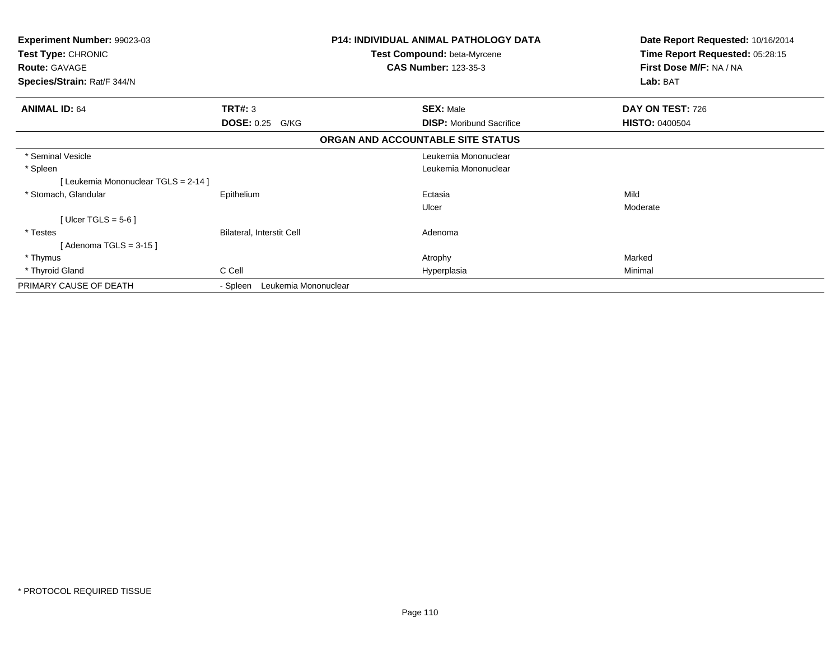| <b>Experiment Number: 99023-03</b><br>Test Type: CHRONIC<br><b>Route: GAVAGE</b><br>Species/Strain: Rat/F 344/N |                                  | <b>P14: INDIVIDUAL ANIMAL PATHOLOGY DATA</b><br>Test Compound: beta-Myrcene<br><b>CAS Number: 123-35-3</b> | Date Report Requested: 10/16/2014<br>Time Report Requested: 05:28:15<br>First Dose M/F: NA / NA<br>Lab: BAT |
|-----------------------------------------------------------------------------------------------------------------|----------------------------------|------------------------------------------------------------------------------------------------------------|-------------------------------------------------------------------------------------------------------------|
| <b>ANIMAL ID: 64</b>                                                                                            | TRT#: 3                          | <b>SEX: Male</b>                                                                                           | DAY ON TEST: 726                                                                                            |
|                                                                                                                 | <b>DOSE: 0.25</b><br>G/KG        | <b>DISP:</b> Moribund Sacrifice                                                                            | <b>HISTO: 0400504</b>                                                                                       |
|                                                                                                                 |                                  | ORGAN AND ACCOUNTABLE SITE STATUS                                                                          |                                                                                                             |
| * Seminal Vesicle                                                                                               |                                  | Leukemia Mononuclear                                                                                       |                                                                                                             |
| * Spleen                                                                                                        |                                  | Leukemia Mononuclear                                                                                       |                                                                                                             |
| [ Leukemia Mononuclear TGLS = 2-14 ]                                                                            |                                  |                                                                                                            |                                                                                                             |
| * Stomach, Glandular                                                                                            | Epithelium                       | Ectasia                                                                                                    | Mild                                                                                                        |
|                                                                                                                 |                                  | Ulcer                                                                                                      | Moderate                                                                                                    |
| [ Ulcer TGLS = $5-6$ ]                                                                                          |                                  |                                                                                                            |                                                                                                             |
| * Testes                                                                                                        | Bilateral, Interstit Cell        | Adenoma                                                                                                    |                                                                                                             |
| Adenoma TGLS = 3-15 ]                                                                                           |                                  |                                                                                                            |                                                                                                             |
| * Thymus                                                                                                        |                                  | Atrophy                                                                                                    | Marked                                                                                                      |
| * Thyroid Gland                                                                                                 | C Cell                           | Hyperplasia                                                                                                | Minimal                                                                                                     |
| PRIMARY CAUSE OF DEATH                                                                                          | Leukemia Mononuclear<br>- Spleen |                                                                                                            |                                                                                                             |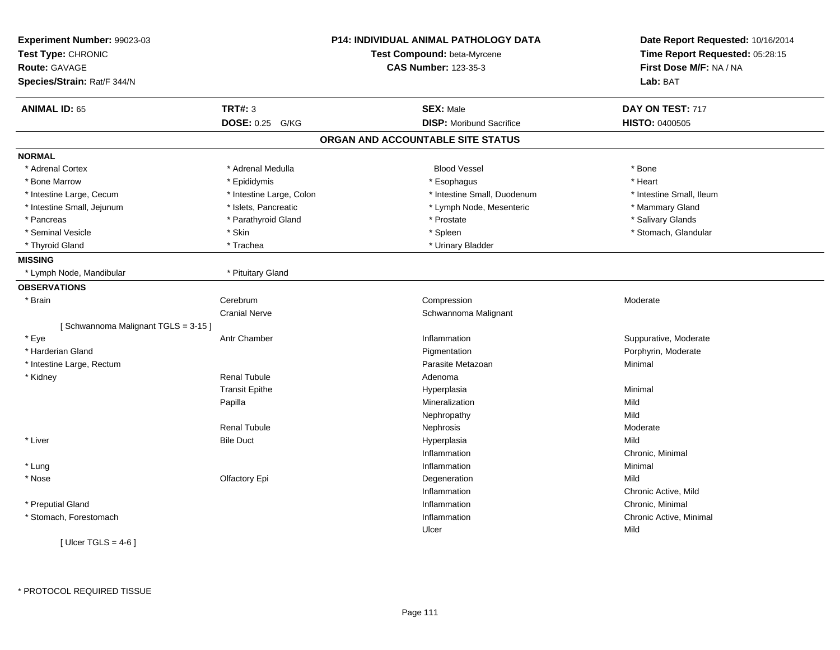| Experiment Number: 99023-03<br>Test Type: CHRONIC<br><b>Route: GAVAGE</b> |                          | <b>P14: INDIVIDUAL ANIMAL PATHOLOGY DATA</b><br>Test Compound: beta-Myrcene<br><b>CAS Number: 123-35-3</b> | Date Report Requested: 10/16/2014<br>Time Report Requested: 05:28:15<br>First Dose M/F: NA / NA |
|---------------------------------------------------------------------------|--------------------------|------------------------------------------------------------------------------------------------------------|-------------------------------------------------------------------------------------------------|
| Species/Strain: Rat/F 344/N                                               |                          |                                                                                                            | Lab: BAT                                                                                        |
| <b>ANIMAL ID: 65</b>                                                      | <b>TRT#: 3</b>           | <b>SEX: Male</b>                                                                                           | DAY ON TEST: 717                                                                                |
|                                                                           | DOSE: 0.25 G/KG          | <b>DISP:</b> Moribund Sacrifice                                                                            | HISTO: 0400505                                                                                  |
|                                                                           |                          | ORGAN AND ACCOUNTABLE SITE STATUS                                                                          |                                                                                                 |
| <b>NORMAL</b>                                                             |                          |                                                                                                            |                                                                                                 |
| * Adrenal Cortex                                                          | * Adrenal Medulla        | <b>Blood Vessel</b>                                                                                        | * Bone                                                                                          |
| * Bone Marrow                                                             | * Epididymis             | * Esophagus                                                                                                | * Heart                                                                                         |
| * Intestine Large, Cecum                                                  | * Intestine Large, Colon | * Intestine Small, Duodenum                                                                                | * Intestine Small, Ileum                                                                        |
| * Intestine Small, Jejunum                                                | * Islets, Pancreatic     | * Lymph Node, Mesenteric                                                                                   | * Mammary Gland                                                                                 |
| * Pancreas                                                                | * Parathyroid Gland      | * Prostate                                                                                                 | * Salivary Glands                                                                               |
| * Seminal Vesicle                                                         | * Skin                   | * Spleen                                                                                                   | * Stomach, Glandular                                                                            |
| * Thyroid Gland                                                           | * Trachea                | * Urinary Bladder                                                                                          |                                                                                                 |
| <b>MISSING</b>                                                            |                          |                                                                                                            |                                                                                                 |
| * Lymph Node, Mandibular                                                  | * Pituitary Gland        |                                                                                                            |                                                                                                 |
| <b>OBSERVATIONS</b>                                                       |                          |                                                                                                            |                                                                                                 |
| * Brain                                                                   | Cerebrum                 | Compression                                                                                                | Moderate                                                                                        |
|                                                                           | <b>Cranial Nerve</b>     | Schwannoma Malignant                                                                                       |                                                                                                 |
| [Schwannoma Malignant TGLS = 3-15]                                        |                          |                                                                                                            |                                                                                                 |
| * Eye                                                                     | Antr Chamber             | Inflammation                                                                                               | Suppurative, Moderate                                                                           |
| * Harderian Gland                                                         |                          | Pigmentation                                                                                               | Porphyrin, Moderate                                                                             |
| * Intestine Large, Rectum                                                 |                          | Parasite Metazoan                                                                                          | Minimal                                                                                         |
| * Kidney                                                                  | <b>Renal Tubule</b>      | Adenoma                                                                                                    |                                                                                                 |
|                                                                           | <b>Transit Epithe</b>    | Hyperplasia                                                                                                | Minimal                                                                                         |
|                                                                           | Papilla                  | Mineralization                                                                                             | Mild                                                                                            |
|                                                                           |                          | Nephropathy                                                                                                | Mild                                                                                            |
|                                                                           | <b>Renal Tubule</b>      | Nephrosis                                                                                                  | Moderate                                                                                        |
| * Liver                                                                   | <b>Bile Duct</b>         | Hyperplasia                                                                                                | Mild                                                                                            |
|                                                                           |                          | Inflammation                                                                                               | Chronic, Minimal                                                                                |
| * Lung                                                                    |                          | Inflammation                                                                                               | Minimal                                                                                         |
| * Nose                                                                    | Olfactory Epi            | Degeneration                                                                                               | Mild                                                                                            |
|                                                                           |                          | Inflammation                                                                                               | Chronic Active, Mild                                                                            |
| * Preputial Gland                                                         |                          | Inflammation                                                                                               | Chronic, Minimal                                                                                |
| * Stomach, Forestomach                                                    |                          | Inflammation                                                                                               | Chronic Active, Minimal                                                                         |
|                                                                           |                          | Ulcer                                                                                                      | Mild                                                                                            |
| [ $Ulcer TGLS = 4-6$ ]                                                    |                          |                                                                                                            |                                                                                                 |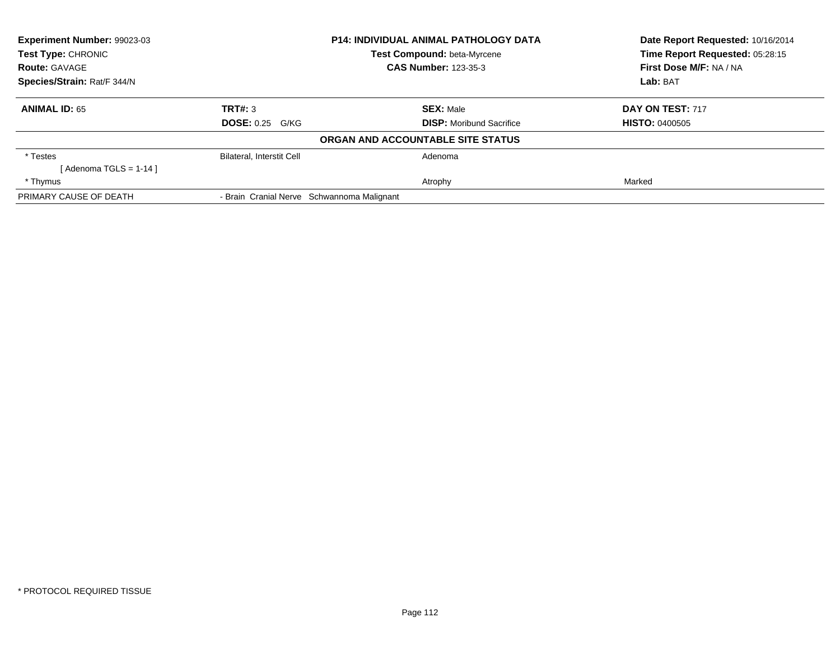| <b>Experiment Number: 99023-03</b><br><b>Test Type: CHRONIC</b> |                                            |                                    | <b>P14: INDIVIDUAL ANIMAL PATHOLOGY DATA</b> |  | Date Report Requested: 10/16/2014<br>Time Report Requested: 05:28:15 |  |
|-----------------------------------------------------------------|--------------------------------------------|------------------------------------|----------------------------------------------|--|----------------------------------------------------------------------|--|
|                                                                 |                                            | <b>Test Compound: beta-Myrcene</b> |                                              |  |                                                                      |  |
| <b>Route: GAVAGE</b>                                            |                                            |                                    | <b>CAS Number: 123-35-3</b>                  |  | First Dose M/F: NA / NA                                              |  |
| Species/Strain: Rat/F 344/N                                     |                                            |                                    |                                              |  | Lab: BAT                                                             |  |
| <b>ANIMAL ID: 65</b>                                            | TRT#: 3                                    |                                    | <b>SEX: Male</b>                             |  | DAY ON TEST: 717                                                     |  |
|                                                                 | <b>DOSE: 0.25 G/KG</b>                     |                                    | <b>DISP:</b> Moribund Sacrifice              |  | <b>HISTO: 0400505</b>                                                |  |
|                                                                 |                                            |                                    | ORGAN AND ACCOUNTABLE SITE STATUS            |  |                                                                      |  |
| * Testes                                                        | <b>Bilateral, Interstit Cell</b>           |                                    | Adenoma                                      |  |                                                                      |  |
| [Adenoma TGLS = 1-14]                                           |                                            |                                    |                                              |  |                                                                      |  |
| * Thymus                                                        |                                            |                                    | Atrophy                                      |  | Marked                                                               |  |
| PRIMARY CAUSE OF DEATH                                          | - Brain Cranial Nerve Schwannoma Malignant |                                    |                                              |  |                                                                      |  |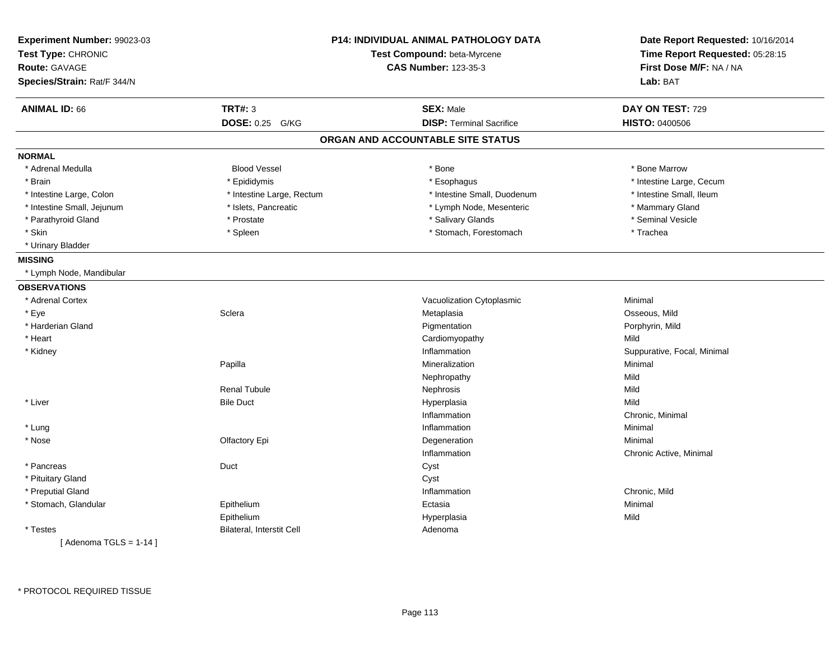| Experiment Number: 99023-03<br>Test Type: CHRONIC<br><b>Route: GAVAGE</b> |                                  | <b>P14: INDIVIDUAL ANIMAL PATHOLOGY DATA</b><br>Test Compound: beta-Myrcene<br><b>CAS Number: 123-35-3</b> | Date Report Requested: 10/16/2014<br>Time Report Requested: 05:28:15<br>First Dose M/F: NA / NA |  |
|---------------------------------------------------------------------------|----------------------------------|------------------------------------------------------------------------------------------------------------|-------------------------------------------------------------------------------------------------|--|
| Species/Strain: Rat/F 344/N                                               |                                  |                                                                                                            | Lab: BAT                                                                                        |  |
| <b>ANIMAL ID: 66</b>                                                      | TRT#: 3                          | <b>SEX: Male</b>                                                                                           | DAY ON TEST: 729                                                                                |  |
|                                                                           | <b>DOSE: 0.25 G/KG</b>           | <b>DISP: Terminal Sacrifice</b>                                                                            | <b>HISTO: 0400506</b>                                                                           |  |
|                                                                           |                                  | ORGAN AND ACCOUNTABLE SITE STATUS                                                                          |                                                                                                 |  |
| <b>NORMAL</b>                                                             |                                  |                                                                                                            |                                                                                                 |  |
| * Adrenal Medulla                                                         | <b>Blood Vessel</b>              | * Bone                                                                                                     | * Bone Marrow                                                                                   |  |
| * Brain                                                                   | * Epididymis                     | * Esophagus                                                                                                | * Intestine Large, Cecum                                                                        |  |
| * Intestine Large, Colon                                                  | * Intestine Large, Rectum        | * Intestine Small, Duodenum                                                                                | * Intestine Small, Ileum                                                                        |  |
| * Intestine Small, Jejunum                                                | * Islets, Pancreatic             | * Lymph Node, Mesenteric                                                                                   | * Mammary Gland                                                                                 |  |
| * Parathyroid Gland                                                       | * Prostate                       | * Salivary Glands                                                                                          | * Seminal Vesicle                                                                               |  |
| * Skin                                                                    | * Spleen                         | * Stomach, Forestomach                                                                                     | * Trachea                                                                                       |  |
| * Urinary Bladder                                                         |                                  |                                                                                                            |                                                                                                 |  |
| <b>MISSING</b>                                                            |                                  |                                                                                                            |                                                                                                 |  |
| * Lymph Node, Mandibular                                                  |                                  |                                                                                                            |                                                                                                 |  |
| <b>OBSERVATIONS</b>                                                       |                                  |                                                                                                            |                                                                                                 |  |
| * Adrenal Cortex                                                          |                                  | Vacuolization Cytoplasmic                                                                                  | Minimal                                                                                         |  |
| * Eye                                                                     | Sclera                           | Metaplasia                                                                                                 | Osseous, Mild                                                                                   |  |
| * Harderian Gland                                                         |                                  | Pigmentation                                                                                               | Porphyrin, Mild                                                                                 |  |
| * Heart                                                                   |                                  | Cardiomyopathy                                                                                             | Mild                                                                                            |  |
| * Kidney                                                                  |                                  | Inflammation                                                                                               | Suppurative, Focal, Minimal                                                                     |  |
|                                                                           | Papilla                          | Mineralization                                                                                             | Minimal                                                                                         |  |
|                                                                           |                                  | Nephropathy                                                                                                | Mild                                                                                            |  |
|                                                                           | <b>Renal Tubule</b>              | Nephrosis                                                                                                  | Mild                                                                                            |  |
| * Liver                                                                   | <b>Bile Duct</b>                 | Hyperplasia                                                                                                | Mild                                                                                            |  |
|                                                                           |                                  | Inflammation                                                                                               | Chronic, Minimal                                                                                |  |
| * Lung                                                                    |                                  | Inflammation                                                                                               | Minimal                                                                                         |  |
| * Nose                                                                    | Olfactory Epi                    | Degeneration                                                                                               | Minimal                                                                                         |  |
|                                                                           |                                  | Inflammation                                                                                               | Chronic Active, Minimal                                                                         |  |
| * Pancreas                                                                | Duct                             | Cyst                                                                                                       |                                                                                                 |  |
| * Pituitary Gland                                                         |                                  | Cyst                                                                                                       |                                                                                                 |  |
| * Preputial Gland                                                         |                                  | Inflammation                                                                                               | Chronic, Mild                                                                                   |  |
| * Stomach, Glandular                                                      | Epithelium                       | Ectasia                                                                                                    | Minimal                                                                                         |  |
|                                                                           | Epithelium                       | Hyperplasia                                                                                                | Mild                                                                                            |  |
| * Testes                                                                  | <b>Bilateral, Interstit Cell</b> | Adenoma                                                                                                    |                                                                                                 |  |
| [Adenoma TGLS = $1-14$ ]                                                  |                                  |                                                                                                            |                                                                                                 |  |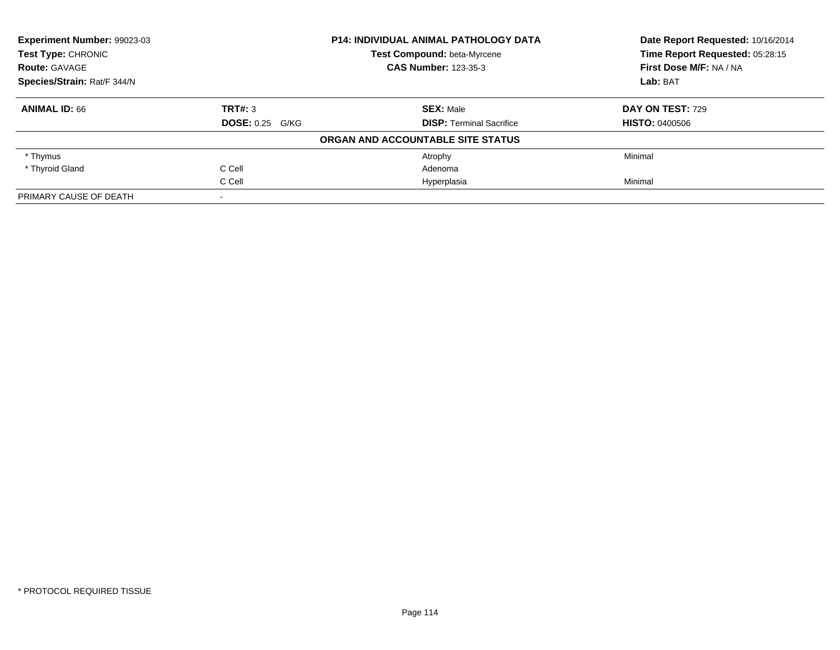| <b>Experiment Number: 99023-03</b><br><b>Test Type: CHRONIC</b> |                             | <b>P14: INDIVIDUAL ANIMAL PATHOLOGY DATA</b> | Date Report Requested: 10/16/2014<br>Time Report Requested: 05:28:15 |
|-----------------------------------------------------------------|-----------------------------|----------------------------------------------|----------------------------------------------------------------------|
|                                                                 |                             | Test Compound: beta-Myrcene                  |                                                                      |
| <b>Route: GAVAGE</b>                                            | <b>CAS Number: 123-35-3</b> |                                              | First Dose M/F: NA / NA                                              |
| Species/Strain: Rat/F 344/N                                     |                             |                                              | Lab: BAT                                                             |
| <b>ANIMAL ID: 66</b>                                            | TRT#: 3                     | <b>SEX: Male</b>                             | DAY ON TEST: 729                                                     |
|                                                                 | <b>DOSE: 0.25 G/KG</b>      | <b>DISP:</b> Terminal Sacrifice              | <b>HISTO: 0400506</b>                                                |
|                                                                 |                             | ORGAN AND ACCOUNTABLE SITE STATUS            |                                                                      |
| * Thymus                                                        |                             | Atrophy                                      | Minimal                                                              |
| * Thyroid Gland                                                 | C Cell                      | Adenoma                                      |                                                                      |
|                                                                 | C Cell                      | Hyperplasia                                  | Minimal                                                              |
| PRIMARY CAUSE OF DEATH                                          |                             |                                              |                                                                      |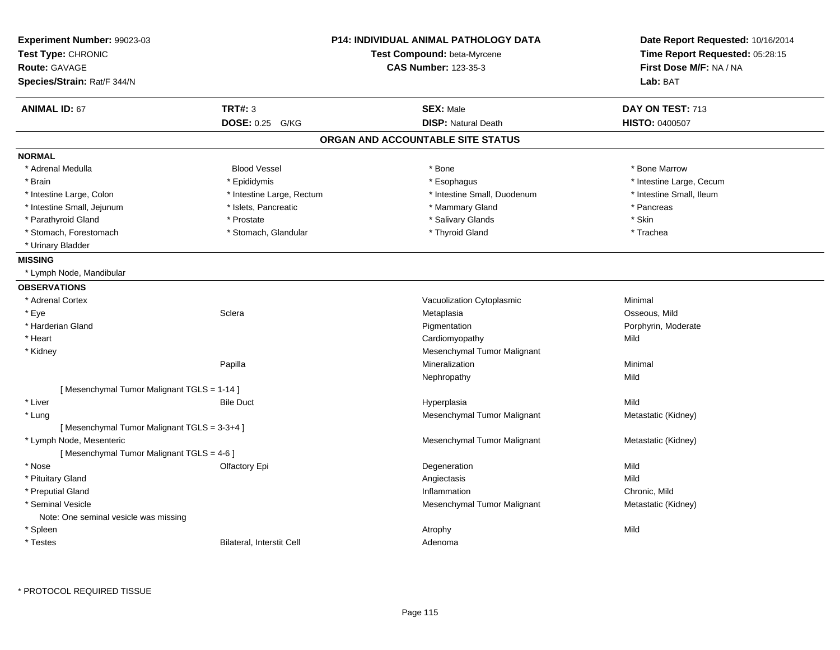| Experiment Number: 99023-03<br>Test Type: CHRONIC<br><b>Route: GAVAGE</b><br>Species/Strain: Rat/F 344/N |                           | <b>P14: INDIVIDUAL ANIMAL PATHOLOGY DATA</b><br>Test Compound: beta-Myrcene<br><b>CAS Number: 123-35-3</b> | Date Report Requested: 10/16/2014<br>Time Report Requested: 05:28:15<br>First Dose M/F: NA / NA<br>Lab: BAT |
|----------------------------------------------------------------------------------------------------------|---------------------------|------------------------------------------------------------------------------------------------------------|-------------------------------------------------------------------------------------------------------------|
| <b>ANIMAL ID: 67</b>                                                                                     | <b>TRT#: 3</b>            | <b>SEX: Male</b>                                                                                           | DAY ON TEST: 713                                                                                            |
|                                                                                                          | DOSE: 0.25 G/KG           | <b>DISP: Natural Death</b>                                                                                 | <b>HISTO: 0400507</b>                                                                                       |
|                                                                                                          |                           | ORGAN AND ACCOUNTABLE SITE STATUS                                                                          |                                                                                                             |
| <b>NORMAL</b>                                                                                            |                           |                                                                                                            |                                                                                                             |
| * Adrenal Medulla                                                                                        | <b>Blood Vessel</b>       | * Bone                                                                                                     | * Bone Marrow                                                                                               |
| * Brain                                                                                                  | * Epididymis              | * Esophagus                                                                                                | * Intestine Large, Cecum                                                                                    |
| * Intestine Large, Colon                                                                                 | * Intestine Large, Rectum | * Intestine Small, Duodenum                                                                                | * Intestine Small, Ileum                                                                                    |
| * Intestine Small, Jejunum                                                                               | * Islets, Pancreatic      | * Mammary Gland                                                                                            | * Pancreas                                                                                                  |
| * Parathyroid Gland                                                                                      | * Prostate                | * Salivary Glands                                                                                          | * Skin                                                                                                      |
| * Stomach, Forestomach                                                                                   | * Stomach, Glandular      | * Thyroid Gland                                                                                            | * Trachea                                                                                                   |
| * Urinary Bladder                                                                                        |                           |                                                                                                            |                                                                                                             |
| <b>MISSING</b>                                                                                           |                           |                                                                                                            |                                                                                                             |
| * Lymph Node, Mandibular                                                                                 |                           |                                                                                                            |                                                                                                             |
| <b>OBSERVATIONS</b>                                                                                      |                           |                                                                                                            |                                                                                                             |
| * Adrenal Cortex                                                                                         |                           | Vacuolization Cytoplasmic                                                                                  | Minimal                                                                                                     |
| * Eye                                                                                                    | Sclera                    | Metaplasia                                                                                                 | Osseous, Mild                                                                                               |
| * Harderian Gland                                                                                        |                           | Pigmentation                                                                                               | Porphyrin, Moderate                                                                                         |
| * Heart                                                                                                  |                           | Cardiomyopathy                                                                                             | Mild                                                                                                        |
| * Kidney                                                                                                 |                           | Mesenchymal Tumor Malignant                                                                                |                                                                                                             |
|                                                                                                          | Papilla                   | Mineralization                                                                                             | Minimal                                                                                                     |
|                                                                                                          |                           | Nephropathy                                                                                                | Mild                                                                                                        |
| [Mesenchymal Tumor Malignant TGLS = 1-14]                                                                |                           |                                                                                                            |                                                                                                             |
| * Liver                                                                                                  | <b>Bile Duct</b>          | Hyperplasia                                                                                                | Mild                                                                                                        |
| * Lung                                                                                                   |                           | Mesenchymal Tumor Malignant                                                                                | Metastatic (Kidney)                                                                                         |
| [Mesenchymal Tumor Malignant TGLS = 3-3+4]                                                               |                           |                                                                                                            |                                                                                                             |
| * Lymph Node, Mesenteric                                                                                 |                           | Mesenchymal Tumor Malignant                                                                                | Metastatic (Kidney)                                                                                         |
| [Mesenchymal Tumor Malignant TGLS = 4-6]                                                                 |                           |                                                                                                            |                                                                                                             |
| * Nose                                                                                                   | Olfactory Epi             | Degeneration                                                                                               | Mild                                                                                                        |
| * Pituitary Gland                                                                                        |                           | Angiectasis                                                                                                | Mild                                                                                                        |
| * Preputial Gland                                                                                        |                           | Inflammation                                                                                               | Chronic, Mild                                                                                               |
| * Seminal Vesicle                                                                                        |                           | Mesenchymal Tumor Malignant                                                                                | Metastatic (Kidney)                                                                                         |
| Note: One seminal vesicle was missing                                                                    |                           |                                                                                                            |                                                                                                             |
| * Spleen                                                                                                 |                           | Atrophy                                                                                                    | Mild                                                                                                        |
| * Testes                                                                                                 | Bilateral, Interstit Cell | Adenoma                                                                                                    |                                                                                                             |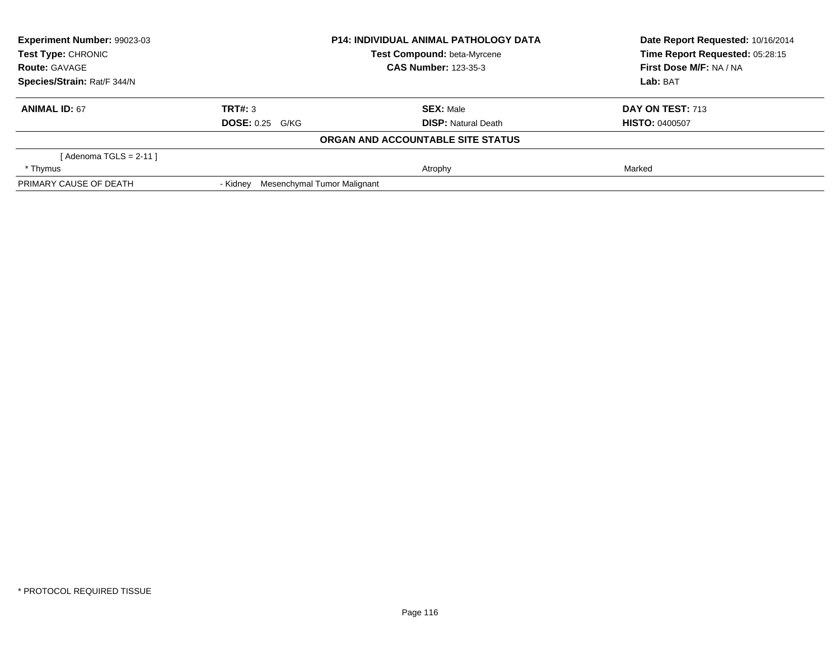| Experiment Number: 99023-03 |                                         | <b>P14: INDIVIDUAL ANIMAL PATHOLOGY DATA</b> | Date Report Requested: 10/16/2014 |  |
|-----------------------------|-----------------------------------------|----------------------------------------------|-----------------------------------|--|
| Test Type: CHRONIC          |                                         | Test Compound: beta-Myrcene                  | Time Report Requested: 05:28:15   |  |
| <b>Route: GAVAGE</b>        |                                         | <b>CAS Number: 123-35-3</b>                  | First Dose M/F: NA / NA           |  |
| Species/Strain: Rat/F 344/N |                                         |                                              | Lab: BAT                          |  |
| <b>ANIMAL ID: 67</b>        | TRT#: 3                                 | <b>SEX: Male</b>                             | DAY ON TEST: 713                  |  |
|                             | <b>DOSE: 0.25 G/KG</b>                  | <b>DISP:</b> Natural Death                   | <b>HISTO: 0400507</b>             |  |
|                             |                                         | ORGAN AND ACCOUNTABLE SITE STATUS            |                                   |  |
| [ Adenoma TGLS = 2-11 ]     |                                         |                                              |                                   |  |
| * Thymus                    |                                         | Atrophy                                      | Marked                            |  |
| PRIMARY CAUSE OF DEATH      | Mesenchymal Tumor Malignant<br>- Kidney |                                              |                                   |  |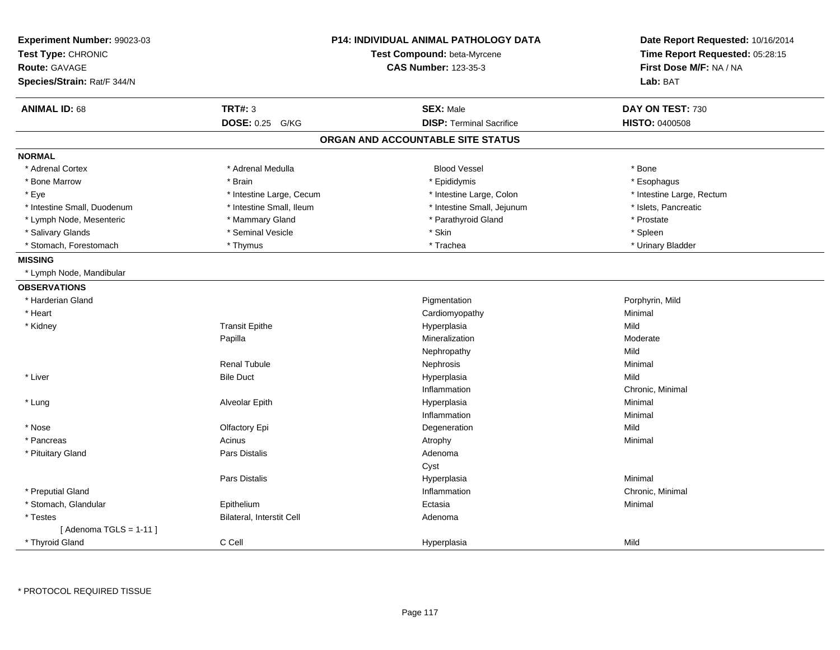| Experiment Number: 99023-03<br>Test Type: CHRONIC<br><b>Route: GAVAGE</b><br>Species/Strain: Rat/F 344/N |                           | <b>P14: INDIVIDUAL ANIMAL PATHOLOGY DATA</b><br>Test Compound: beta-Myrcene<br><b>CAS Number: 123-35-3</b> | Date Report Requested: 10/16/2014<br>Time Report Requested: 05:28:15<br>First Dose M/F: NA / NA<br>Lab: BAT |
|----------------------------------------------------------------------------------------------------------|---------------------------|------------------------------------------------------------------------------------------------------------|-------------------------------------------------------------------------------------------------------------|
| <b>ANIMAL ID: 68</b>                                                                                     | <b>TRT#: 3</b>            | <b>SEX: Male</b>                                                                                           | DAY ON TEST: 730                                                                                            |
|                                                                                                          | DOSE: 0.25 G/KG           | <b>DISP: Terminal Sacrifice</b>                                                                            | <b>HISTO: 0400508</b>                                                                                       |
|                                                                                                          |                           | ORGAN AND ACCOUNTABLE SITE STATUS                                                                          |                                                                                                             |
| <b>NORMAL</b>                                                                                            |                           |                                                                                                            |                                                                                                             |
| * Adrenal Cortex                                                                                         | * Adrenal Medulla         | <b>Blood Vessel</b>                                                                                        | * Bone                                                                                                      |
| * Bone Marrow                                                                                            | * Brain                   | * Epididymis                                                                                               | * Esophagus                                                                                                 |
| * Eye                                                                                                    | * Intestine Large, Cecum  | * Intestine Large, Colon                                                                                   | * Intestine Large, Rectum                                                                                   |
| * Intestine Small, Duodenum                                                                              | * Intestine Small, Ileum  | * Intestine Small, Jejunum                                                                                 | * Islets, Pancreatic                                                                                        |
| * Lymph Node, Mesenteric                                                                                 | * Mammary Gland           | * Parathyroid Gland                                                                                        | * Prostate                                                                                                  |
| * Salivary Glands                                                                                        | * Seminal Vesicle         | * Skin                                                                                                     | * Spleen                                                                                                    |
| * Stomach, Forestomach                                                                                   | * Thymus                  | * Trachea                                                                                                  | * Urinary Bladder                                                                                           |
| <b>MISSING</b>                                                                                           |                           |                                                                                                            |                                                                                                             |
| * Lymph Node, Mandibular                                                                                 |                           |                                                                                                            |                                                                                                             |
| <b>OBSERVATIONS</b>                                                                                      |                           |                                                                                                            |                                                                                                             |
| * Harderian Gland                                                                                        |                           | Pigmentation                                                                                               | Porphyrin, Mild                                                                                             |
| * Heart                                                                                                  |                           | Cardiomyopathy                                                                                             | Minimal                                                                                                     |
| * Kidney                                                                                                 | <b>Transit Epithe</b>     | Hyperplasia                                                                                                | Mild                                                                                                        |
|                                                                                                          | Papilla                   | Mineralization                                                                                             | Moderate                                                                                                    |
|                                                                                                          |                           | Nephropathy                                                                                                | Mild                                                                                                        |
|                                                                                                          | <b>Renal Tubule</b>       | Nephrosis                                                                                                  | Minimal                                                                                                     |
| * Liver                                                                                                  | <b>Bile Duct</b>          | Hyperplasia                                                                                                | Mild                                                                                                        |
|                                                                                                          |                           | Inflammation                                                                                               | Chronic, Minimal                                                                                            |
| * Lung                                                                                                   | Alveolar Epith            | Hyperplasia                                                                                                | Minimal                                                                                                     |
|                                                                                                          |                           | Inflammation                                                                                               | Minimal                                                                                                     |
| * Nose                                                                                                   | Olfactory Epi             | Degeneration                                                                                               | Mild                                                                                                        |
| * Pancreas                                                                                               | Acinus                    | Atrophy                                                                                                    | Minimal                                                                                                     |
| * Pituitary Gland                                                                                        | <b>Pars Distalis</b>      | Adenoma                                                                                                    |                                                                                                             |
|                                                                                                          |                           | Cyst                                                                                                       |                                                                                                             |
|                                                                                                          | Pars Distalis             | Hyperplasia                                                                                                | Minimal                                                                                                     |
| * Preputial Gland                                                                                        |                           | Inflammation                                                                                               | Chronic, Minimal                                                                                            |
| * Stomach, Glandular                                                                                     | Epithelium                | Ectasia                                                                                                    | Minimal                                                                                                     |
| * Testes                                                                                                 | Bilateral, Interstit Cell | Adenoma                                                                                                    |                                                                                                             |
| [Adenoma TGLS = $1-11$ ]                                                                                 |                           |                                                                                                            |                                                                                                             |
| * Thyroid Gland                                                                                          | C Cell                    | Hyperplasia                                                                                                | Mild                                                                                                        |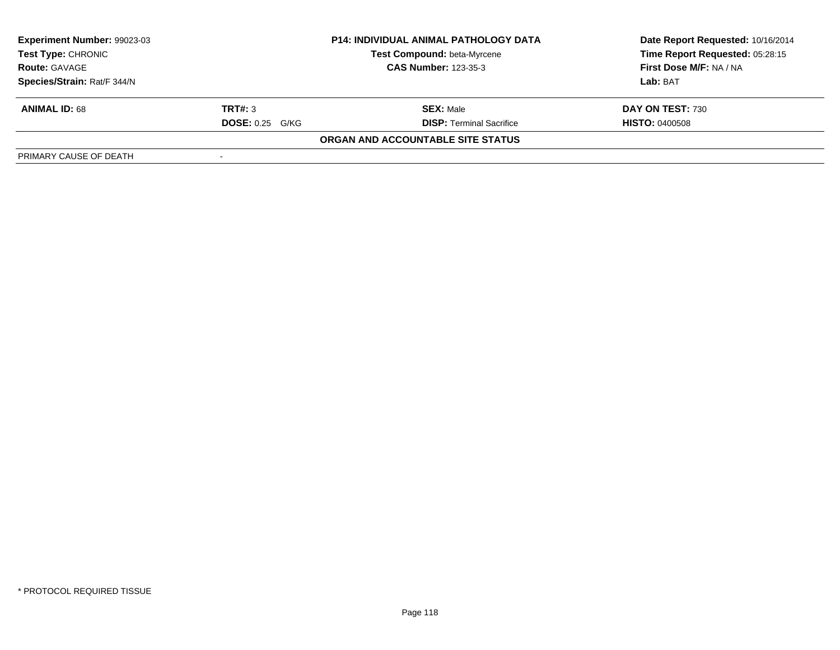| Experiment Number: 99023-03 | <b>P14: INDIVIDUAL ANIMAL PATHOLOGY DATA</b> |                                    | Date Report Requested: 10/16/2014 |  |
|-----------------------------|----------------------------------------------|------------------------------------|-----------------------------------|--|
| Test Type: CHRONIC          |                                              | <b>Test Compound: beta-Myrcene</b> | Time Report Requested: 05:28:15   |  |
| <b>Route: GAVAGE</b>        |                                              | <b>CAS Number: 123-35-3</b>        | First Dose M/F: NA / NA           |  |
| Species/Strain: Rat/F 344/N |                                              |                                    | Lab: BAT                          |  |
| <b>ANIMAL ID: 68</b>        | TRT#: 3                                      | <b>SEX: Male</b>                   | DAY ON TEST: 730                  |  |
|                             | <b>DOSE:</b> 0.25 G/KG                       | <b>DISP:</b> Terminal Sacrifice    | <b>HISTO: 0400508</b>             |  |
|                             |                                              | ORGAN AND ACCOUNTABLE SITE STATUS  |                                   |  |
| PRIMARY CAUSE OF DEATH      |                                              |                                    |                                   |  |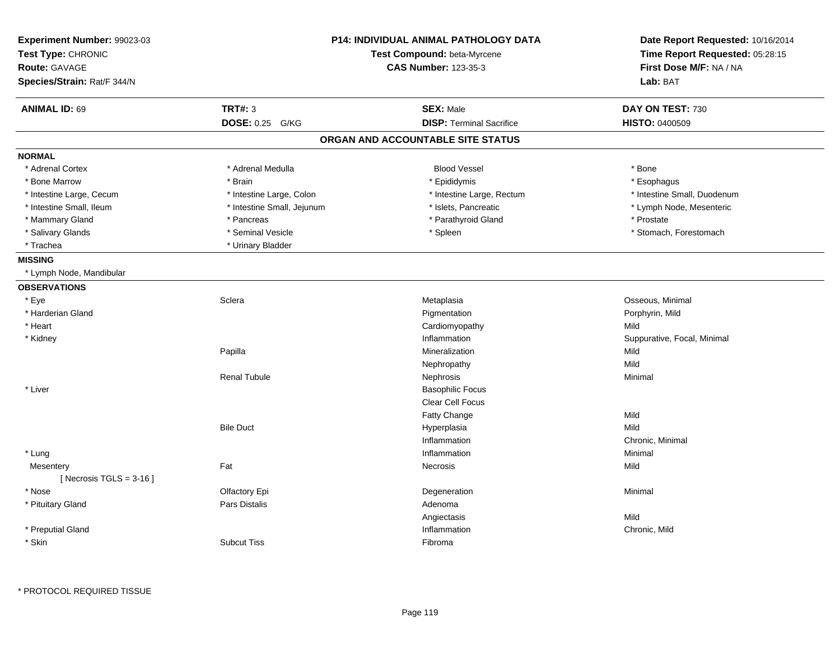| Experiment Number: 99023-03<br>Test Type: CHRONIC<br><b>Route: GAVAGE</b><br>Species/Strain: Rat/F 344/N |                            | P14: INDIVIDUAL ANIMAL PATHOLOGY DATA<br>Test Compound: beta-Myrcene<br><b>CAS Number: 123-35-3</b> | Date Report Requested: 10/16/2014<br>Time Report Requested: 05:28:15<br>First Dose M/F: NA / NA<br>Lab: BAT |
|----------------------------------------------------------------------------------------------------------|----------------------------|-----------------------------------------------------------------------------------------------------|-------------------------------------------------------------------------------------------------------------|
| <b>ANIMAL ID: 69</b>                                                                                     | <b>TRT#: 3</b>             | <b>SEX: Male</b>                                                                                    | DAY ON TEST: 730                                                                                            |
|                                                                                                          | DOSE: 0.25 G/KG            | <b>DISP: Terminal Sacrifice</b>                                                                     | <b>HISTO: 0400509</b>                                                                                       |
|                                                                                                          |                            | ORGAN AND ACCOUNTABLE SITE STATUS                                                                   |                                                                                                             |
| <b>NORMAL</b>                                                                                            |                            |                                                                                                     |                                                                                                             |
| * Adrenal Cortex                                                                                         | * Adrenal Medulla          | <b>Blood Vessel</b>                                                                                 | * Bone                                                                                                      |
| * Bone Marrow                                                                                            | * Brain                    | * Epididymis                                                                                        | * Esophagus                                                                                                 |
| * Intestine Large, Cecum                                                                                 | * Intestine Large, Colon   | * Intestine Large, Rectum                                                                           | * Intestine Small, Duodenum                                                                                 |
| * Intestine Small, Ileum                                                                                 | * Intestine Small, Jejunum | * Islets, Pancreatic                                                                                | * Lymph Node, Mesenteric                                                                                    |
| * Mammary Gland                                                                                          | * Pancreas                 | * Parathyroid Gland                                                                                 | * Prostate                                                                                                  |
| * Salivary Glands                                                                                        | * Seminal Vesicle          | * Spleen                                                                                            | * Stomach, Forestomach                                                                                      |
| * Trachea                                                                                                | * Urinary Bladder          |                                                                                                     |                                                                                                             |
| <b>MISSING</b>                                                                                           |                            |                                                                                                     |                                                                                                             |
| * Lymph Node, Mandibular                                                                                 |                            |                                                                                                     |                                                                                                             |
| <b>OBSERVATIONS</b>                                                                                      |                            |                                                                                                     |                                                                                                             |
| * Eye                                                                                                    | Sclera                     | Metaplasia                                                                                          | Osseous, Minimal                                                                                            |
| * Harderian Gland                                                                                        |                            | Pigmentation                                                                                        | Porphyrin, Mild                                                                                             |
| * Heart                                                                                                  |                            | Cardiomyopathy                                                                                      | Mild                                                                                                        |
| * Kidney                                                                                                 |                            | Inflammation                                                                                        | Suppurative, Focal, Minimal                                                                                 |
|                                                                                                          | Papilla                    | Mineralization                                                                                      | Mild                                                                                                        |
|                                                                                                          |                            | Nephropathy                                                                                         | Mild                                                                                                        |
|                                                                                                          | <b>Renal Tubule</b>        | Nephrosis                                                                                           | Minimal                                                                                                     |
| * Liver                                                                                                  |                            | <b>Basophilic Focus</b>                                                                             |                                                                                                             |
|                                                                                                          |                            | Clear Cell Focus                                                                                    |                                                                                                             |
|                                                                                                          |                            | Fatty Change                                                                                        | Mild                                                                                                        |
|                                                                                                          | <b>Bile Duct</b>           | Hyperplasia                                                                                         | Mild                                                                                                        |
|                                                                                                          |                            | Inflammation                                                                                        | Chronic, Minimal                                                                                            |
| * Lung                                                                                                   |                            | Inflammation                                                                                        | Minimal                                                                                                     |
| Mesentery                                                                                                | Fat                        | Necrosis                                                                                            | Mild                                                                                                        |
| [Necrosis TGLS = $3-16$ ]                                                                                |                            |                                                                                                     |                                                                                                             |
| * Nose                                                                                                   | Olfactory Epi              | Degeneration                                                                                        | Minimal                                                                                                     |
| * Pituitary Gland                                                                                        | <b>Pars Distalis</b>       | Adenoma                                                                                             |                                                                                                             |
|                                                                                                          |                            | Angiectasis                                                                                         | Mild                                                                                                        |
| * Preputial Gland                                                                                        |                            | Inflammation                                                                                        | Chronic, Mild                                                                                               |
| * Skin                                                                                                   | <b>Subcut Tiss</b>         | Fibroma                                                                                             |                                                                                                             |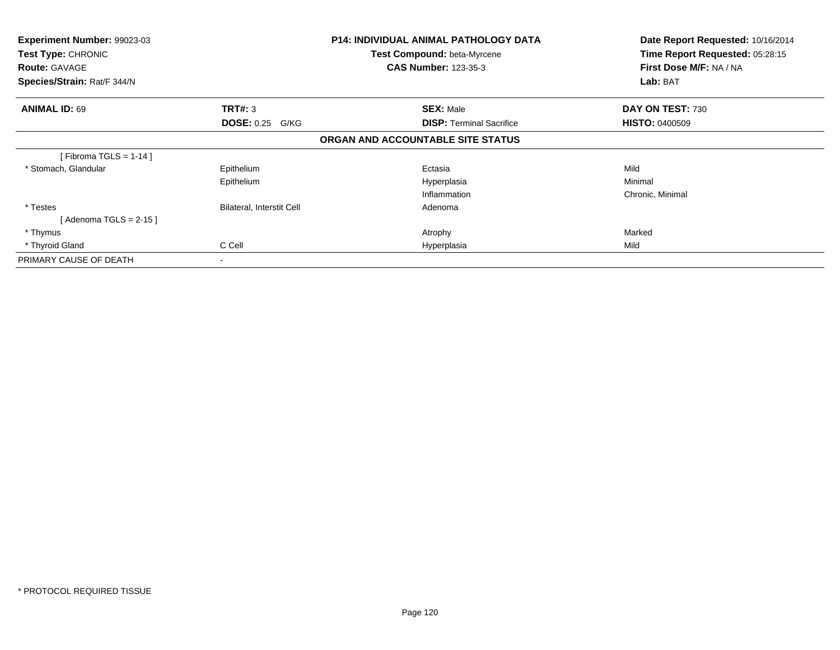| Experiment Number: 99023-03<br>Test Type: CHRONIC<br><b>Route: GAVAGE</b><br>Species/Strain: Rat/F 344/N |                           | <b>P14: INDIVIDUAL ANIMAL PATHOLOGY DATA</b><br><b>Test Compound: beta-Myrcene</b><br><b>CAS Number: 123-35-3</b> | Date Report Requested: 10/16/2014<br>Time Report Requested: 05:28:15<br>First Dose M/F: NA / NA<br>Lab: BAT |
|----------------------------------------------------------------------------------------------------------|---------------------------|-------------------------------------------------------------------------------------------------------------------|-------------------------------------------------------------------------------------------------------------|
|                                                                                                          |                           |                                                                                                                   |                                                                                                             |
| <b>ANIMAL ID: 69</b>                                                                                     | TRT#: 3                   | <b>SEX: Male</b>                                                                                                  | DAY ON TEST: 730                                                                                            |
|                                                                                                          | <b>DOSE: 0.25 G/KG</b>    | <b>DISP:</b> Terminal Sacrifice                                                                                   | <b>HISTO: 0400509</b>                                                                                       |
|                                                                                                          |                           | ORGAN AND ACCOUNTABLE SITE STATUS                                                                                 |                                                                                                             |
| [Fibroma TGLS = 1-14]                                                                                    |                           |                                                                                                                   |                                                                                                             |
| * Stomach, Glandular                                                                                     | Epithelium                | Ectasia                                                                                                           | Mild                                                                                                        |
|                                                                                                          | Epithelium                | Hyperplasia                                                                                                       | Minimal                                                                                                     |
|                                                                                                          |                           | Inflammation                                                                                                      | Chronic, Minimal                                                                                            |
| * Testes                                                                                                 | Bilateral, Interstit Cell | Adenoma                                                                                                           |                                                                                                             |
| [Adenoma TGLS = 2-15 ]                                                                                   |                           |                                                                                                                   |                                                                                                             |
| * Thymus                                                                                                 |                           | Atrophy                                                                                                           | Marked                                                                                                      |
| * Thyroid Gland                                                                                          | C Cell                    | Hyperplasia                                                                                                       | Mild                                                                                                        |
| PRIMARY CAUSE OF DEATH                                                                                   | ۰                         |                                                                                                                   |                                                                                                             |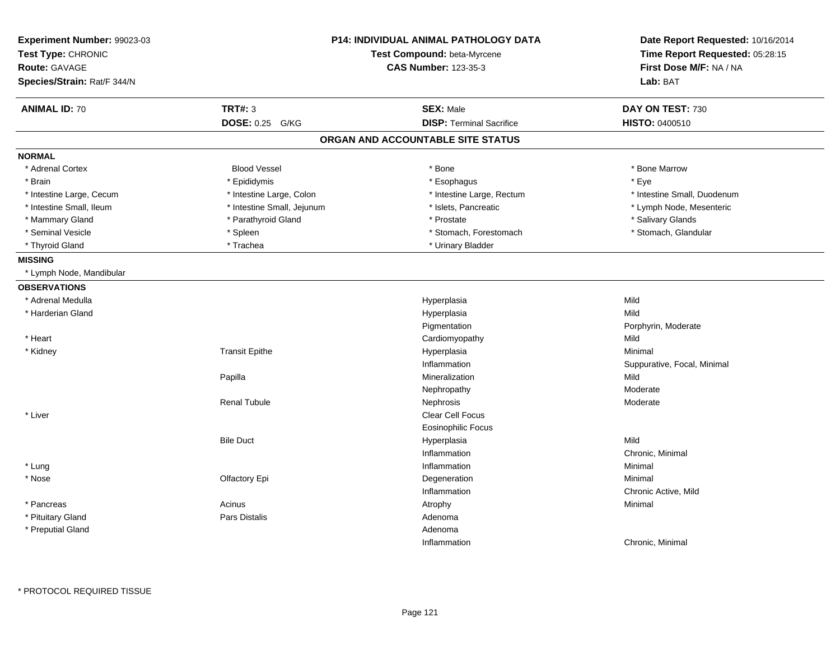| Experiment Number: 99023-03<br>Test Type: CHRONIC<br><b>Route: GAVAGE</b><br>Species/Strain: Rat/F 344/N |                            | P14: INDIVIDUAL ANIMAL PATHOLOGY DATA<br>Test Compound: beta-Myrcene<br><b>CAS Number: 123-35-3</b> | Date Report Requested: 10/16/2014<br>Time Report Requested: 05:28:15<br>First Dose M/F: NA / NA<br>Lab: BAT |
|----------------------------------------------------------------------------------------------------------|----------------------------|-----------------------------------------------------------------------------------------------------|-------------------------------------------------------------------------------------------------------------|
| <b>ANIMAL ID: 70</b>                                                                                     | <b>TRT#: 3</b>             | <b>SEX: Male</b>                                                                                    | DAY ON TEST: 730                                                                                            |
|                                                                                                          | <b>DOSE: 0.25</b><br>G/KG  | <b>DISP: Terminal Sacrifice</b>                                                                     | <b>HISTO: 0400510</b>                                                                                       |
|                                                                                                          |                            | ORGAN AND ACCOUNTABLE SITE STATUS                                                                   |                                                                                                             |
| <b>NORMAL</b>                                                                                            |                            |                                                                                                     |                                                                                                             |
| * Adrenal Cortex                                                                                         | <b>Blood Vessel</b>        | * Bone                                                                                              | * Bone Marrow                                                                                               |
| * Brain                                                                                                  | * Epididymis               | * Esophagus                                                                                         | * Eye                                                                                                       |
| * Intestine Large, Cecum                                                                                 | * Intestine Large, Colon   | * Intestine Large, Rectum                                                                           | * Intestine Small, Duodenum                                                                                 |
| * Intestine Small, Ileum                                                                                 | * Intestine Small, Jejunum | * Islets, Pancreatic                                                                                | * Lymph Node, Mesenteric                                                                                    |
| * Mammary Gland                                                                                          | * Parathyroid Gland        | * Prostate                                                                                          | * Salivary Glands                                                                                           |
| * Seminal Vesicle                                                                                        | * Spleen                   | * Stomach, Forestomach                                                                              | * Stomach, Glandular                                                                                        |
| * Thyroid Gland                                                                                          | * Trachea                  | * Urinary Bladder                                                                                   |                                                                                                             |
| <b>MISSING</b>                                                                                           |                            |                                                                                                     |                                                                                                             |
| * Lymph Node, Mandibular                                                                                 |                            |                                                                                                     |                                                                                                             |
| <b>OBSERVATIONS</b>                                                                                      |                            |                                                                                                     |                                                                                                             |
| * Adrenal Medulla                                                                                        |                            | Hyperplasia                                                                                         | Mild                                                                                                        |
| * Harderian Gland                                                                                        |                            | Hyperplasia                                                                                         | Mild                                                                                                        |
|                                                                                                          |                            | Pigmentation                                                                                        | Porphyrin, Moderate                                                                                         |
| * Heart                                                                                                  |                            | Cardiomyopathy                                                                                      | Mild                                                                                                        |
| * Kidney                                                                                                 | <b>Transit Epithe</b>      | Hyperplasia                                                                                         | Minimal                                                                                                     |
|                                                                                                          |                            | Inflammation                                                                                        | Suppurative, Focal, Minimal                                                                                 |
|                                                                                                          | Papilla                    | Mineralization                                                                                      | Mild                                                                                                        |
|                                                                                                          |                            | Nephropathy                                                                                         | Moderate                                                                                                    |
|                                                                                                          | <b>Renal Tubule</b>        | Nephrosis                                                                                           | Moderate                                                                                                    |
| * Liver                                                                                                  |                            | Clear Cell Focus                                                                                    |                                                                                                             |
|                                                                                                          |                            | <b>Eosinophilic Focus</b>                                                                           |                                                                                                             |
|                                                                                                          | <b>Bile Duct</b>           | Hyperplasia                                                                                         | Mild                                                                                                        |
|                                                                                                          |                            | Inflammation                                                                                        | Chronic, Minimal                                                                                            |
| * Lung                                                                                                   |                            | Inflammation                                                                                        | Minimal                                                                                                     |
| * Nose                                                                                                   | Olfactory Epi              | Degeneration                                                                                        | Minimal                                                                                                     |
|                                                                                                          |                            | Inflammation                                                                                        | Chronic Active, Mild                                                                                        |
| * Pancreas                                                                                               | Acinus                     | Atrophy                                                                                             | Minimal                                                                                                     |
| * Pituitary Gland                                                                                        | <b>Pars Distalis</b>       | Adenoma                                                                                             |                                                                                                             |
| * Preputial Gland                                                                                        |                            | Adenoma                                                                                             |                                                                                                             |
|                                                                                                          |                            | Inflammation                                                                                        | Chronic, Minimal                                                                                            |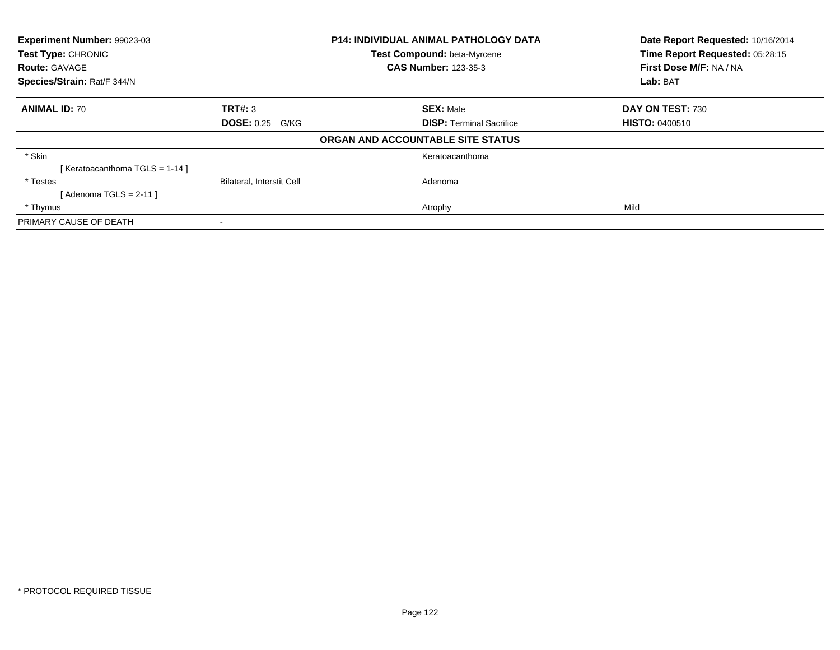| Experiment Number: 99023-03<br>Test Type: CHRONIC<br><b>Route: GAVAGE</b><br>Species/Strain: Rat/F 344/N |                                  | <b>P14: INDIVIDUAL ANIMAL PATHOLOGY DATA</b><br>Test Compound: beta-Myrcene<br><b>CAS Number: 123-35-3</b> | Date Report Requested: 10/16/2014<br>Time Report Requested: 05:28:15<br>First Dose M/F: NA / NA |
|----------------------------------------------------------------------------------------------------------|----------------------------------|------------------------------------------------------------------------------------------------------------|-------------------------------------------------------------------------------------------------|
|                                                                                                          |                                  |                                                                                                            | Lab: BAT                                                                                        |
| <b>ANIMAL ID: 70</b>                                                                                     | TRT#: 3                          | <b>SEX: Male</b>                                                                                           | DAY ON TEST: 730                                                                                |
|                                                                                                          | <b>DOSE: 0.25 G/KG</b>           | <b>DISP: Terminal Sacrifice</b>                                                                            | <b>HISTO: 0400510</b>                                                                           |
|                                                                                                          |                                  | ORGAN AND ACCOUNTABLE SITE STATUS                                                                          |                                                                                                 |
| * Skin                                                                                                   |                                  | Keratoacanthoma                                                                                            |                                                                                                 |
| [Keratoacanthoma TGLS = $1-14$ ]                                                                         |                                  |                                                                                                            |                                                                                                 |
| * Testes                                                                                                 | <b>Bilateral, Interstit Cell</b> | Adenoma                                                                                                    |                                                                                                 |
| [ Adenoma TGLS = 2-11 ]                                                                                  |                                  |                                                                                                            |                                                                                                 |
| * Thymus                                                                                                 |                                  | Atrophy                                                                                                    | Mild                                                                                            |
| PRIMARY CAUSE OF DEATH                                                                                   |                                  |                                                                                                            |                                                                                                 |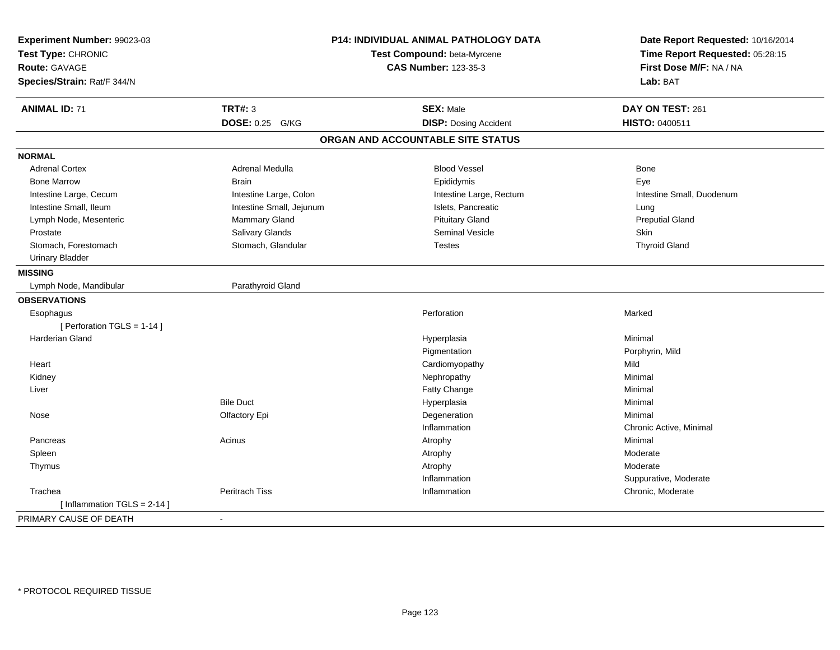| Experiment Number: 99023-03<br>Test Type: CHRONIC<br><b>Route: GAVAGE</b><br>Species/Strain: Rat/F 344/N | P14: INDIVIDUAL ANIMAL PATHOLOGY DATA<br>Test Compound: beta-Myrcene<br><b>CAS Number: 123-35-3</b> |                                   | Date Report Requested: 10/16/2014<br>Time Report Requested: 05:28:15<br>First Dose M/F: NA / NA<br>Lab: BAT |
|----------------------------------------------------------------------------------------------------------|-----------------------------------------------------------------------------------------------------|-----------------------------------|-------------------------------------------------------------------------------------------------------------|
| <b>ANIMAL ID: 71</b>                                                                                     | <b>TRT#: 3</b>                                                                                      | <b>SEX: Male</b>                  | DAY ON TEST: 261                                                                                            |
|                                                                                                          | DOSE: 0.25 G/KG                                                                                     | <b>DISP: Dosing Accident</b>      | HISTO: 0400511                                                                                              |
|                                                                                                          |                                                                                                     | ORGAN AND ACCOUNTABLE SITE STATUS |                                                                                                             |
| <b>NORMAL</b>                                                                                            |                                                                                                     |                                   |                                                                                                             |
| <b>Adrenal Cortex</b>                                                                                    | Adrenal Medulla                                                                                     | <b>Blood Vessel</b>               | Bone                                                                                                        |
| <b>Bone Marrow</b>                                                                                       | <b>Brain</b>                                                                                        | Epididymis                        | Eye                                                                                                         |
| Intestine Large, Cecum                                                                                   | Intestine Large, Colon                                                                              | Intestine Large, Rectum           | Intestine Small, Duodenum                                                                                   |
| Intestine Small, Ileum                                                                                   | Intestine Small, Jejunum                                                                            | Islets, Pancreatic                | Lung                                                                                                        |
| Lymph Node, Mesenteric                                                                                   | Mammary Gland                                                                                       | <b>Pituitary Gland</b>            | <b>Preputial Gland</b>                                                                                      |
| Prostate                                                                                                 | Salivary Glands                                                                                     | <b>Seminal Vesicle</b>            | Skin                                                                                                        |
| Stomach, Forestomach                                                                                     | Stomach, Glandular                                                                                  | <b>Testes</b>                     | <b>Thyroid Gland</b>                                                                                        |
| <b>Urinary Bladder</b>                                                                                   |                                                                                                     |                                   |                                                                                                             |
| <b>MISSING</b>                                                                                           |                                                                                                     |                                   |                                                                                                             |
| Lymph Node, Mandibular                                                                                   | Parathyroid Gland                                                                                   |                                   |                                                                                                             |
| <b>OBSERVATIONS</b>                                                                                      |                                                                                                     |                                   |                                                                                                             |
| Esophagus                                                                                                |                                                                                                     | Perforation                       | Marked                                                                                                      |
| [ Perforation TGLS = 1-14 ]                                                                              |                                                                                                     |                                   |                                                                                                             |
| <b>Harderian Gland</b>                                                                                   |                                                                                                     | Hyperplasia                       | Minimal                                                                                                     |
|                                                                                                          |                                                                                                     | Pigmentation                      | Porphyrin, Mild                                                                                             |
| Heart                                                                                                    |                                                                                                     | Cardiomyopathy                    | Mild                                                                                                        |
| Kidney                                                                                                   |                                                                                                     | Nephropathy                       | Minimal                                                                                                     |
| Liver                                                                                                    |                                                                                                     | Fatty Change                      | Minimal                                                                                                     |
|                                                                                                          | <b>Bile Duct</b>                                                                                    | Hyperplasia                       | Minimal                                                                                                     |
| Nose                                                                                                     | Olfactory Epi                                                                                       | Degeneration                      | Minimal                                                                                                     |
|                                                                                                          |                                                                                                     | Inflammation                      | Chronic Active, Minimal                                                                                     |
| Pancreas                                                                                                 | Acinus                                                                                              | Atrophy                           | Minimal                                                                                                     |
| Spleen                                                                                                   |                                                                                                     | Atrophy                           | Moderate                                                                                                    |
| Thymus                                                                                                   |                                                                                                     | Atrophy                           | Moderate                                                                                                    |
|                                                                                                          |                                                                                                     | Inflammation                      | Suppurative, Moderate                                                                                       |
| Trachea                                                                                                  | Peritrach Tiss                                                                                      | Inflammation                      | Chronic, Moderate                                                                                           |
| [Inflammation TGLS = $2-14$ ]                                                                            |                                                                                                     |                                   |                                                                                                             |
| PRIMARY CAUSE OF DEATH                                                                                   |                                                                                                     |                                   |                                                                                                             |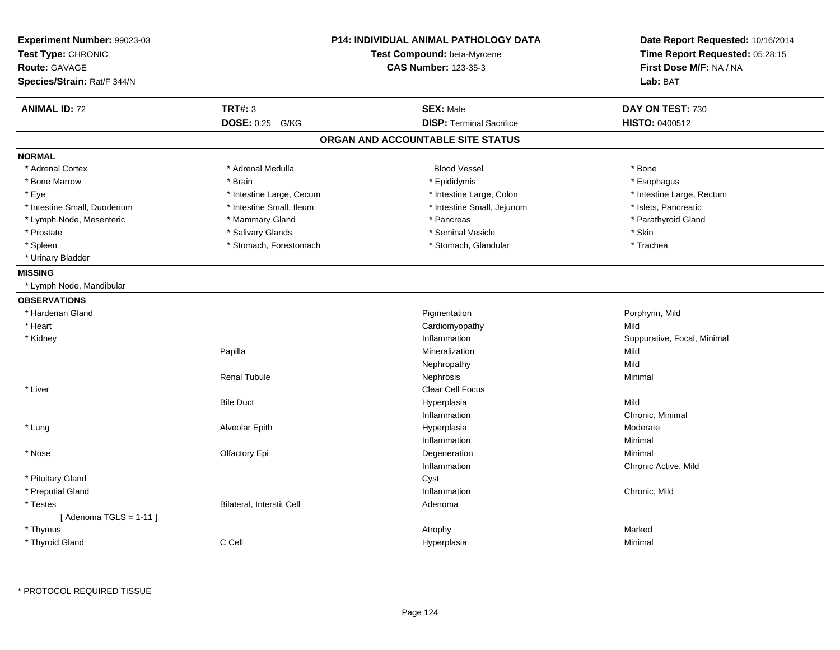| Experiment Number: 99023-03<br>Test Type: CHRONIC<br><b>Route: GAVAGE</b><br>Species/Strain: Rat/F 344/N | P14: INDIVIDUAL ANIMAL PATHOLOGY DATA<br>Test Compound: beta-Myrcene<br><b>CAS Number: 123-35-3</b> |                                   | Date Report Requested: 10/16/2014<br>Time Report Requested: 05:28:15<br>First Dose M/F: NA / NA<br>Lab: BAT |
|----------------------------------------------------------------------------------------------------------|-----------------------------------------------------------------------------------------------------|-----------------------------------|-------------------------------------------------------------------------------------------------------------|
| <b>ANIMAL ID: 72</b>                                                                                     | <b>TRT#: 3</b>                                                                                      | <b>SEX: Male</b>                  | DAY ON TEST: 730                                                                                            |
|                                                                                                          | DOSE: 0.25 G/KG                                                                                     | <b>DISP: Terminal Sacrifice</b>   | HISTO: 0400512                                                                                              |
|                                                                                                          |                                                                                                     | ORGAN AND ACCOUNTABLE SITE STATUS |                                                                                                             |
| <b>NORMAL</b>                                                                                            |                                                                                                     |                                   |                                                                                                             |
| * Adrenal Cortex                                                                                         | * Adrenal Medulla                                                                                   | <b>Blood Vessel</b>               | * Bone                                                                                                      |
| * Bone Marrow                                                                                            | * Brain                                                                                             | * Epididymis                      | * Esophagus                                                                                                 |
| * Eye                                                                                                    | * Intestine Large, Cecum                                                                            | * Intestine Large, Colon          | * Intestine Large, Rectum                                                                                   |
| * Intestine Small, Duodenum                                                                              | * Intestine Small, Ileum                                                                            | * Intestine Small, Jejunum        | * Islets, Pancreatic                                                                                        |
| * Lymph Node, Mesenteric                                                                                 | * Mammary Gland                                                                                     | * Pancreas                        | * Parathyroid Gland                                                                                         |
| * Prostate                                                                                               | * Salivary Glands                                                                                   | * Seminal Vesicle                 | * Skin                                                                                                      |
| * Spleen                                                                                                 | * Stomach, Forestomach                                                                              | * Stomach, Glandular              | * Trachea                                                                                                   |
| * Urinary Bladder                                                                                        |                                                                                                     |                                   |                                                                                                             |
| <b>MISSING</b>                                                                                           |                                                                                                     |                                   |                                                                                                             |
| * Lymph Node, Mandibular                                                                                 |                                                                                                     |                                   |                                                                                                             |
| <b>OBSERVATIONS</b>                                                                                      |                                                                                                     |                                   |                                                                                                             |
| * Harderian Gland                                                                                        |                                                                                                     | Pigmentation                      | Porphyrin, Mild                                                                                             |
| * Heart                                                                                                  |                                                                                                     | Cardiomyopathy                    | Mild                                                                                                        |
| * Kidney                                                                                                 |                                                                                                     | Inflammation                      | Suppurative, Focal, Minimal                                                                                 |
|                                                                                                          | Papilla                                                                                             | Mineralization                    | Mild                                                                                                        |
|                                                                                                          |                                                                                                     | Nephropathy                       | Mild                                                                                                        |
|                                                                                                          | <b>Renal Tubule</b>                                                                                 | Nephrosis                         | Minimal                                                                                                     |
| * Liver                                                                                                  |                                                                                                     | Clear Cell Focus                  |                                                                                                             |
|                                                                                                          | <b>Bile Duct</b>                                                                                    | Hyperplasia                       | Mild                                                                                                        |
|                                                                                                          |                                                                                                     | Inflammation                      | Chronic, Minimal                                                                                            |
| * Lung                                                                                                   | Alveolar Epith                                                                                      | Hyperplasia                       | Moderate                                                                                                    |
|                                                                                                          |                                                                                                     | Inflammation                      | Minimal                                                                                                     |
| * Nose                                                                                                   | Olfactory Epi                                                                                       | Degeneration                      | Minimal                                                                                                     |
|                                                                                                          |                                                                                                     | Inflammation                      | Chronic Active, Mild                                                                                        |
| * Pituitary Gland                                                                                        |                                                                                                     | Cyst                              |                                                                                                             |
| * Preputial Gland                                                                                        |                                                                                                     | Inflammation                      | Chronic, Mild                                                                                               |
| * Testes                                                                                                 | Bilateral, Interstit Cell                                                                           | Adenoma                           |                                                                                                             |
| [ Adenoma TGLS = 1-11 ]                                                                                  |                                                                                                     |                                   |                                                                                                             |
| * Thymus                                                                                                 |                                                                                                     | Atrophy                           | Marked                                                                                                      |
| * Thyroid Gland                                                                                          | C Cell                                                                                              | Hyperplasia                       | Minimal                                                                                                     |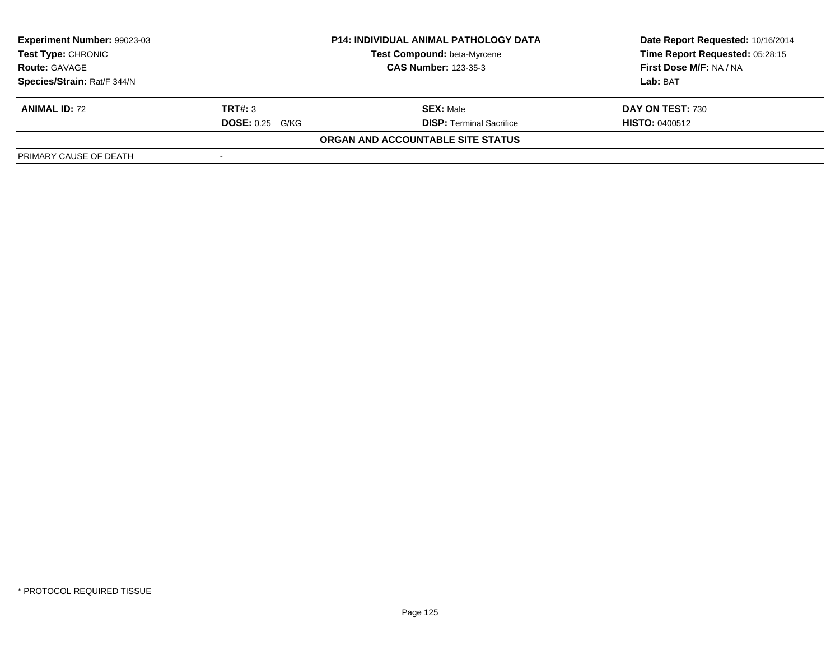| Experiment Number: 99023-03 | <b>P14: INDIVIDUAL ANIMAL PATHOLOGY DATA</b> |                                    | Date Report Requested: 10/16/2014 |
|-----------------------------|----------------------------------------------|------------------------------------|-----------------------------------|
| Test Type: CHRONIC          |                                              | <b>Test Compound: beta-Myrcene</b> | Time Report Requested: 05:28:15   |
| <b>Route: GAVAGE</b>        | <b>CAS Number: 123-35-3</b>                  |                                    | First Dose M/F: NA / NA           |
| Species/Strain: Rat/F 344/N |                                              |                                    | Lab: BAT                          |
| <b>ANIMAL ID: 72</b>        | TRT#: 3                                      | <b>SEX: Male</b>                   | DAY ON TEST: 730                  |
|                             | <b>DOSE:</b> 0.25 G/KG                       | <b>DISP:</b> Terminal Sacrifice    | <b>HISTO: 0400512</b>             |
|                             |                                              | ORGAN AND ACCOUNTABLE SITE STATUS  |                                   |
| PRIMARY CAUSE OF DEATH      |                                              |                                    |                                   |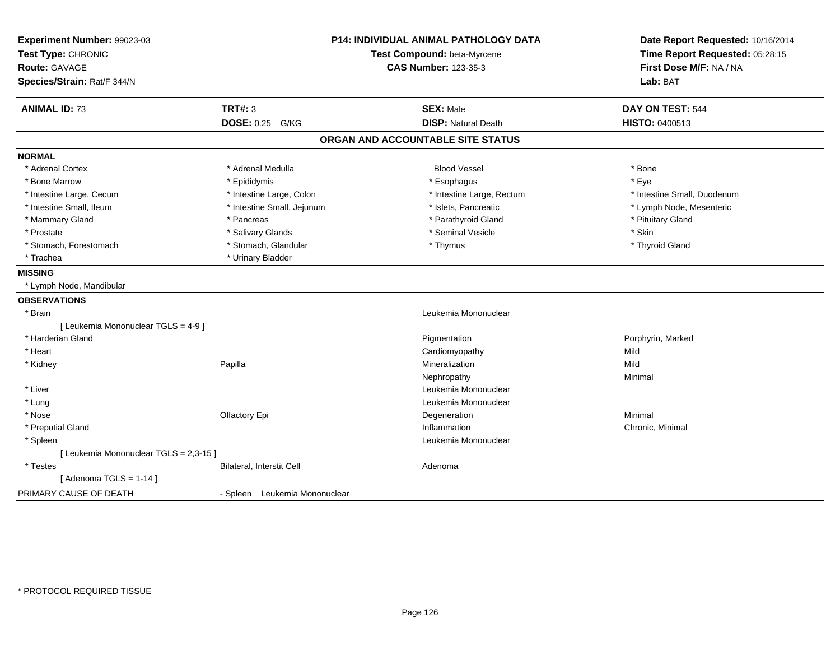| Experiment Number: 99023-03<br>Test Type: CHRONIC<br><b>Route: GAVAGE</b><br>Species/Strain: Rat/F 344/N |                               | <b>P14: INDIVIDUAL ANIMAL PATHOLOGY DATA</b><br>Test Compound: beta-Myrcene<br><b>CAS Number: 123-35-3</b> | Date Report Requested: 10/16/2014<br>Time Report Requested: 05:28:15<br>First Dose M/F: NA / NA<br>Lab: BAT |
|----------------------------------------------------------------------------------------------------------|-------------------------------|------------------------------------------------------------------------------------------------------------|-------------------------------------------------------------------------------------------------------------|
| <b>ANIMAL ID: 73</b>                                                                                     | <b>TRT#: 3</b>                | <b>SEX: Male</b><br><b>DISP: Natural Death</b>                                                             | DAY ON TEST: 544                                                                                            |
|                                                                                                          | DOSE: 0.25 G/KG               |                                                                                                            | <b>HISTO: 0400513</b>                                                                                       |
|                                                                                                          |                               | ORGAN AND ACCOUNTABLE SITE STATUS                                                                          |                                                                                                             |
| <b>NORMAL</b>                                                                                            |                               |                                                                                                            |                                                                                                             |
| * Adrenal Cortex                                                                                         | * Adrenal Medulla             | <b>Blood Vessel</b>                                                                                        | * Bone                                                                                                      |
| * Bone Marrow                                                                                            | * Epididymis                  | * Esophagus                                                                                                | * Eye                                                                                                       |
| * Intestine Large, Cecum                                                                                 | * Intestine Large, Colon      | * Intestine Large, Rectum                                                                                  | * Intestine Small, Duodenum                                                                                 |
| * Intestine Small, Ileum                                                                                 | * Intestine Small, Jejunum    | * Islets, Pancreatic                                                                                       | * Lymph Node, Mesenteric                                                                                    |
| * Mammary Gland                                                                                          | * Pancreas                    | * Parathyroid Gland                                                                                        | * Pituitary Gland                                                                                           |
| * Prostate                                                                                               | * Salivary Glands             | * Seminal Vesicle                                                                                          | * Skin                                                                                                      |
| * Stomach, Forestomach                                                                                   | * Stomach, Glandular          | * Thymus                                                                                                   | * Thyroid Gland                                                                                             |
| * Trachea                                                                                                | * Urinary Bladder             |                                                                                                            |                                                                                                             |
| <b>MISSING</b>                                                                                           |                               |                                                                                                            |                                                                                                             |
| * Lymph Node, Mandibular                                                                                 |                               |                                                                                                            |                                                                                                             |
| <b>OBSERVATIONS</b>                                                                                      |                               |                                                                                                            |                                                                                                             |
| * Brain                                                                                                  |                               | Leukemia Mononuclear                                                                                       |                                                                                                             |
| [ Leukemia Mononuclear TGLS = 4-9 ]                                                                      |                               |                                                                                                            |                                                                                                             |
| * Harderian Gland                                                                                        |                               | Pigmentation                                                                                               | Porphyrin, Marked                                                                                           |
| * Heart                                                                                                  |                               | Cardiomyopathy                                                                                             | Mild                                                                                                        |
| * Kidney                                                                                                 | Papilla                       | Mineralization                                                                                             | Mild                                                                                                        |
|                                                                                                          |                               | Nephropathy                                                                                                | Minimal                                                                                                     |
| * Liver                                                                                                  |                               | Leukemia Mononuclear                                                                                       |                                                                                                             |
| * Lung                                                                                                   |                               | Leukemia Mononuclear                                                                                       |                                                                                                             |
| * Nose                                                                                                   | Olfactory Epi                 | Degeneration                                                                                               | Minimal                                                                                                     |
| * Preputial Gland                                                                                        |                               | Inflammation                                                                                               | Chronic, Minimal                                                                                            |
| * Spleen                                                                                                 |                               | Leukemia Mononuclear                                                                                       |                                                                                                             |
| [ Leukemia Mononuclear TGLS = 2,3-15 ]                                                                   |                               |                                                                                                            |                                                                                                             |
| * Testes                                                                                                 | Bilateral, Interstit Cell     | Adenoma                                                                                                    |                                                                                                             |
| [Adenoma TGLS = $1-14$ ]                                                                                 |                               |                                                                                                            |                                                                                                             |
| PRIMARY CAUSE OF DEATH                                                                                   | - Spleen Leukemia Mononuclear |                                                                                                            |                                                                                                             |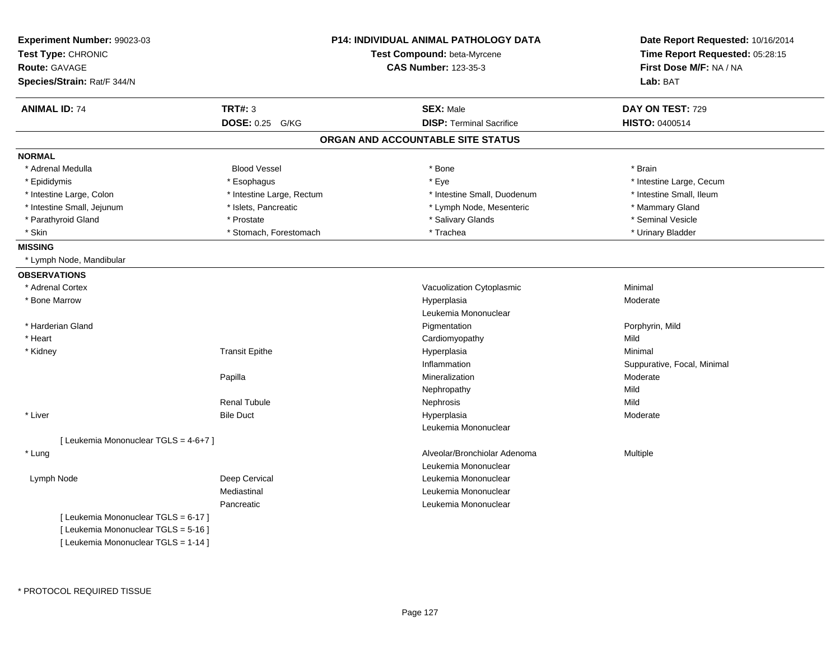| Experiment Number: 99023-03<br>Test Type: CHRONIC<br><b>Route: GAVAGE</b><br>Species/Strain: Rat/F 344/N |                           | <b>P14: INDIVIDUAL ANIMAL PATHOLOGY DATA</b><br>Test Compound: beta-Myrcene<br><b>CAS Number: 123-35-3</b> | Date Report Requested: 10/16/2014<br>Time Report Requested: 05:28:15<br>First Dose M/F: NA / NA<br>Lab: BAT |
|----------------------------------------------------------------------------------------------------------|---------------------------|------------------------------------------------------------------------------------------------------------|-------------------------------------------------------------------------------------------------------------|
| <b>ANIMAL ID: 74</b>                                                                                     | TRT#: 3                   | <b>SEX: Male</b>                                                                                           | DAY ON TEST: 729                                                                                            |
|                                                                                                          | DOSE: 0.25 G/KG           | <b>DISP: Terminal Sacrifice</b>                                                                            | <b>HISTO: 0400514</b>                                                                                       |
|                                                                                                          |                           | ORGAN AND ACCOUNTABLE SITE STATUS                                                                          |                                                                                                             |
| <b>NORMAL</b>                                                                                            |                           |                                                                                                            |                                                                                                             |
| * Adrenal Medulla                                                                                        | <b>Blood Vessel</b>       | * Bone                                                                                                     | * Brain                                                                                                     |
| * Epididymis                                                                                             | * Esophagus               | * Eye                                                                                                      | * Intestine Large, Cecum                                                                                    |
| * Intestine Large, Colon                                                                                 | * Intestine Large, Rectum | * Intestine Small, Duodenum                                                                                | * Intestine Small, Ileum                                                                                    |
| * Intestine Small, Jejunum                                                                               | * Islets, Pancreatic      | * Lymph Node, Mesenteric                                                                                   | * Mammary Gland                                                                                             |
| * Parathyroid Gland                                                                                      | * Prostate                | * Salivary Glands                                                                                          | * Seminal Vesicle                                                                                           |
| * Skin                                                                                                   | * Stomach, Forestomach    | * Trachea                                                                                                  | * Urinary Bladder                                                                                           |
| <b>MISSING</b>                                                                                           |                           |                                                                                                            |                                                                                                             |
| * Lymph Node, Mandibular                                                                                 |                           |                                                                                                            |                                                                                                             |
| <b>OBSERVATIONS</b>                                                                                      |                           |                                                                                                            |                                                                                                             |
| * Adrenal Cortex                                                                                         |                           | Vacuolization Cytoplasmic                                                                                  | Minimal                                                                                                     |
| * Bone Marrow                                                                                            |                           | Hyperplasia                                                                                                | Moderate                                                                                                    |
|                                                                                                          |                           | Leukemia Mononuclear                                                                                       |                                                                                                             |
| * Harderian Gland                                                                                        |                           | Pigmentation                                                                                               | Porphyrin, Mild                                                                                             |
| * Heart                                                                                                  |                           | Cardiomyopathy                                                                                             | Mild                                                                                                        |
| * Kidney                                                                                                 | <b>Transit Epithe</b>     | Hyperplasia                                                                                                | Minimal                                                                                                     |
|                                                                                                          |                           | Inflammation                                                                                               | Suppurative, Focal, Minimal                                                                                 |
|                                                                                                          | Papilla                   | Mineralization                                                                                             | Moderate                                                                                                    |
|                                                                                                          |                           | Nephropathy                                                                                                | Mild                                                                                                        |
|                                                                                                          | <b>Renal Tubule</b>       | Nephrosis                                                                                                  | Mild                                                                                                        |
| * Liver                                                                                                  | <b>Bile Duct</b>          | Hyperplasia                                                                                                | Moderate                                                                                                    |
|                                                                                                          |                           | Leukemia Mononuclear                                                                                       |                                                                                                             |
| [ Leukemia Mononuclear TGLS = 4-6+7 ]                                                                    |                           |                                                                                                            |                                                                                                             |
| * Lung                                                                                                   |                           | Alveolar/Bronchiolar Adenoma                                                                               | Multiple                                                                                                    |
|                                                                                                          |                           | Leukemia Mononuclear                                                                                       |                                                                                                             |
| Lymph Node                                                                                               | Deep Cervical             | Leukemia Mononuclear                                                                                       |                                                                                                             |
|                                                                                                          | Mediastinal               | Leukemia Mononuclear                                                                                       |                                                                                                             |
|                                                                                                          | Pancreatic                | Leukemia Mononuclear                                                                                       |                                                                                                             |
| [ Leukemia Mononuclear TGLS = 6-17 ]                                                                     |                           |                                                                                                            |                                                                                                             |
| [ Leukemia Mononuclear TGLS = 5-16 ]                                                                     |                           |                                                                                                            |                                                                                                             |
| [ Leukemia Mononuclear TGLS = 1-14 ]                                                                     |                           |                                                                                                            |                                                                                                             |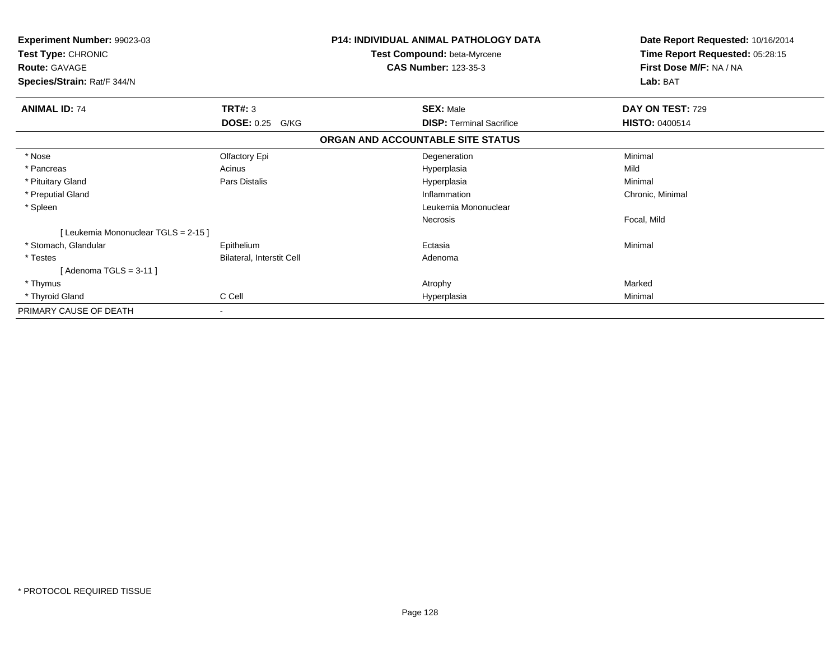| Experiment Number: 99023-03<br>Test Type: CHRONIC<br><b>Route: GAVAGE</b> |                           | <b>P14: INDIVIDUAL ANIMAL PATHOLOGY DATA</b><br>Test Compound: beta-Myrcene<br><b>CAS Number: 123-35-3</b> | Date Report Requested: 10/16/2014<br>Time Report Requested: 05:28:15<br>First Dose M/F: NA / NA |
|---------------------------------------------------------------------------|---------------------------|------------------------------------------------------------------------------------------------------------|-------------------------------------------------------------------------------------------------|
| Species/Strain: Rat/F 344/N                                               |                           |                                                                                                            | Lab: BAT                                                                                        |
| <b>ANIMAL ID: 74</b>                                                      | TRT#: 3                   | <b>SEX: Male</b>                                                                                           | DAY ON TEST: 729                                                                                |
|                                                                           | <b>DOSE: 0.25</b><br>G/KG | <b>DISP: Terminal Sacrifice</b>                                                                            | <b>HISTO: 0400514</b>                                                                           |
|                                                                           |                           | ORGAN AND ACCOUNTABLE SITE STATUS                                                                          |                                                                                                 |
| * Nose                                                                    | Olfactory Epi             | Degeneration                                                                                               | Minimal                                                                                         |
| * Pancreas                                                                | Acinus                    | Hyperplasia                                                                                                | Mild                                                                                            |
| * Pituitary Gland                                                         | Pars Distalis             | Hyperplasia                                                                                                | Minimal                                                                                         |
| * Preputial Gland                                                         |                           | Inflammation                                                                                               | Chronic, Minimal                                                                                |
| * Spleen                                                                  |                           | Leukemia Mononuclear                                                                                       |                                                                                                 |
|                                                                           |                           | Necrosis                                                                                                   | Focal, Mild                                                                                     |
| [ Leukemia Mononuclear TGLS = 2-15 ]                                      |                           |                                                                                                            |                                                                                                 |
| * Stomach, Glandular                                                      | Epithelium                | Ectasia                                                                                                    | Minimal                                                                                         |
| * Testes                                                                  | Bilateral, Interstit Cell | Adenoma                                                                                                    |                                                                                                 |
| [ Adenoma TGLS = 3-11 ]                                                   |                           |                                                                                                            |                                                                                                 |
| * Thymus                                                                  |                           | Atrophy                                                                                                    | Marked                                                                                          |
| * Thyroid Gland                                                           | C Cell                    | Hyperplasia                                                                                                | Minimal                                                                                         |
| PRIMARY CAUSE OF DEATH                                                    |                           |                                                                                                            |                                                                                                 |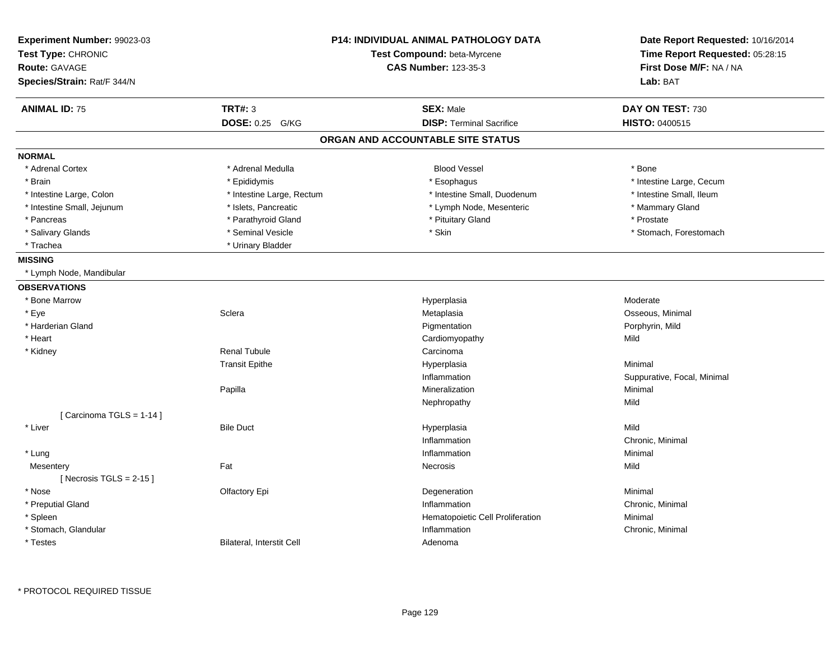| Experiment Number: 99023-03<br>Test Type: CHRONIC<br><b>Route: GAVAGE</b><br>Species/Strain: Rat/F 344/N |                           | <b>P14: INDIVIDUAL ANIMAL PATHOLOGY DATA</b><br>Test Compound: beta-Myrcene<br><b>CAS Number: 123-35-3</b> | Date Report Requested: 10/16/2014<br>Time Report Requested: 05:28:15<br>First Dose M/F: NA / NA<br>Lab: BAT |
|----------------------------------------------------------------------------------------------------------|---------------------------|------------------------------------------------------------------------------------------------------------|-------------------------------------------------------------------------------------------------------------|
| <b>ANIMAL ID: 75</b>                                                                                     | <b>TRT#: 3</b>            | <b>SEX: Male</b>                                                                                           | DAY ON TEST: 730                                                                                            |
|                                                                                                          | DOSE: 0.25 G/KG           | <b>DISP: Terminal Sacrifice</b>                                                                            | <b>HISTO: 0400515</b>                                                                                       |
|                                                                                                          |                           | ORGAN AND ACCOUNTABLE SITE STATUS                                                                          |                                                                                                             |
| <b>NORMAL</b>                                                                                            |                           |                                                                                                            |                                                                                                             |
| * Adrenal Cortex                                                                                         | * Adrenal Medulla         | <b>Blood Vessel</b>                                                                                        | * Bone                                                                                                      |
| * Brain                                                                                                  | * Epididymis              | * Esophagus                                                                                                | * Intestine Large, Cecum                                                                                    |
| * Intestine Large, Colon                                                                                 | * Intestine Large, Rectum | * Intestine Small, Duodenum                                                                                | * Intestine Small, Ileum                                                                                    |
| * Intestine Small, Jejunum                                                                               | * Islets, Pancreatic      | * Lymph Node, Mesenteric                                                                                   | * Mammary Gland                                                                                             |
| * Pancreas                                                                                               | * Parathyroid Gland       | * Pituitary Gland                                                                                          | * Prostate                                                                                                  |
| * Salivary Glands                                                                                        | * Seminal Vesicle         | * Skin                                                                                                     | * Stomach, Forestomach                                                                                      |
| * Trachea                                                                                                | * Urinary Bladder         |                                                                                                            |                                                                                                             |
| <b>MISSING</b>                                                                                           |                           |                                                                                                            |                                                                                                             |
| * Lymph Node, Mandibular                                                                                 |                           |                                                                                                            |                                                                                                             |
| <b>OBSERVATIONS</b>                                                                                      |                           |                                                                                                            |                                                                                                             |
| * Bone Marrow                                                                                            |                           | Hyperplasia                                                                                                | Moderate                                                                                                    |
| * Eye                                                                                                    | Sclera                    | Metaplasia                                                                                                 | Osseous, Minimal                                                                                            |
| * Harderian Gland                                                                                        |                           | Pigmentation                                                                                               | Porphyrin, Mild                                                                                             |
| * Heart                                                                                                  |                           | Cardiomyopathy                                                                                             | Mild                                                                                                        |
| * Kidney                                                                                                 | <b>Renal Tubule</b>       | Carcinoma                                                                                                  |                                                                                                             |
|                                                                                                          | <b>Transit Epithe</b>     | Hyperplasia                                                                                                | Minimal                                                                                                     |
|                                                                                                          |                           | Inflammation                                                                                               | Suppurative, Focal, Minimal                                                                                 |
|                                                                                                          | Papilla                   | Mineralization                                                                                             | Minimal                                                                                                     |
|                                                                                                          |                           | Nephropathy                                                                                                | Mild                                                                                                        |
| [Carcinoma TGLS = 1-14]                                                                                  |                           |                                                                                                            |                                                                                                             |
| * Liver                                                                                                  | <b>Bile Duct</b>          | Hyperplasia                                                                                                | Mild                                                                                                        |
|                                                                                                          |                           | Inflammation                                                                                               | Chronic, Minimal                                                                                            |
| * Lung                                                                                                   |                           | Inflammation                                                                                               | Minimal                                                                                                     |
| Mesentery                                                                                                | Fat                       | Necrosis                                                                                                   | Mild                                                                                                        |
| [ Necrosis TGLS = $2-15$ ]                                                                               |                           |                                                                                                            |                                                                                                             |
| * Nose                                                                                                   | Olfactory Epi             | Degeneration                                                                                               | Minimal                                                                                                     |
| * Preputial Gland                                                                                        |                           | Inflammation                                                                                               | Chronic, Minimal                                                                                            |
| * Spleen                                                                                                 |                           | Hematopoietic Cell Proliferation                                                                           | Minimal                                                                                                     |
| * Stomach, Glandular                                                                                     |                           | Inflammation                                                                                               | Chronic, Minimal                                                                                            |
| * Testes                                                                                                 | Bilateral, Interstit Cell | Adenoma                                                                                                    |                                                                                                             |

\* PROTOCOL REQUIRED TISSUE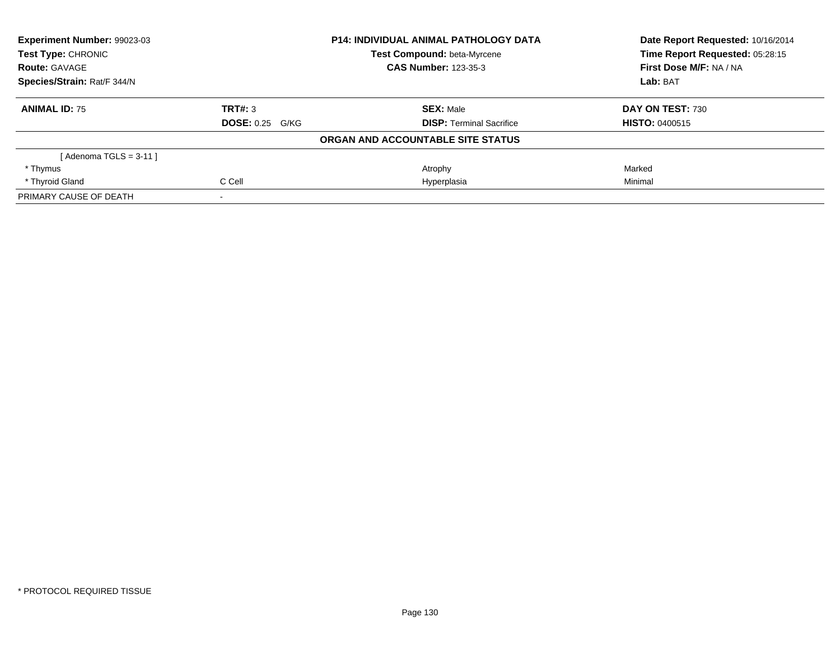| Experiment Number: 99023-03<br>Test Type: CHRONIC<br><b>Route: GAVAGE</b> |                        | <b>P14: INDIVIDUAL ANIMAL PATHOLOGY DATA</b> | Date Report Requested: 10/16/2014<br>Time Report Requested: 05:28:15 |
|---------------------------------------------------------------------------|------------------------|----------------------------------------------|----------------------------------------------------------------------|
|                                                                           |                        | <b>Test Compound: beta-Myrcene</b>           |                                                                      |
|                                                                           |                        | <b>CAS Number: 123-35-3</b>                  | First Dose M/F: NA / NA                                              |
| Species/Strain: Rat/F 344/N                                               |                        |                                              | Lab: BAT                                                             |
| <b>ANIMAL ID: 75</b>                                                      | TRT#: 3                | <b>SEX: Male</b>                             | DAY ON TEST: 730                                                     |
|                                                                           | <b>DOSE: 0.25 G/KG</b> | <b>DISP:</b> Terminal Sacrifice              | <b>HISTO: 0400515</b>                                                |
|                                                                           |                        | ORGAN AND ACCOUNTABLE SITE STATUS            |                                                                      |
| [ Adenoma TGLS = 3-11 ]                                                   |                        |                                              |                                                                      |
| * Thymus                                                                  |                        | Atrophy                                      | Marked                                                               |
| * Thyroid Gland                                                           | C Cell                 | Hyperplasia                                  | Minimal                                                              |
| PRIMARY CAUSE OF DEATH                                                    |                        |                                              |                                                                      |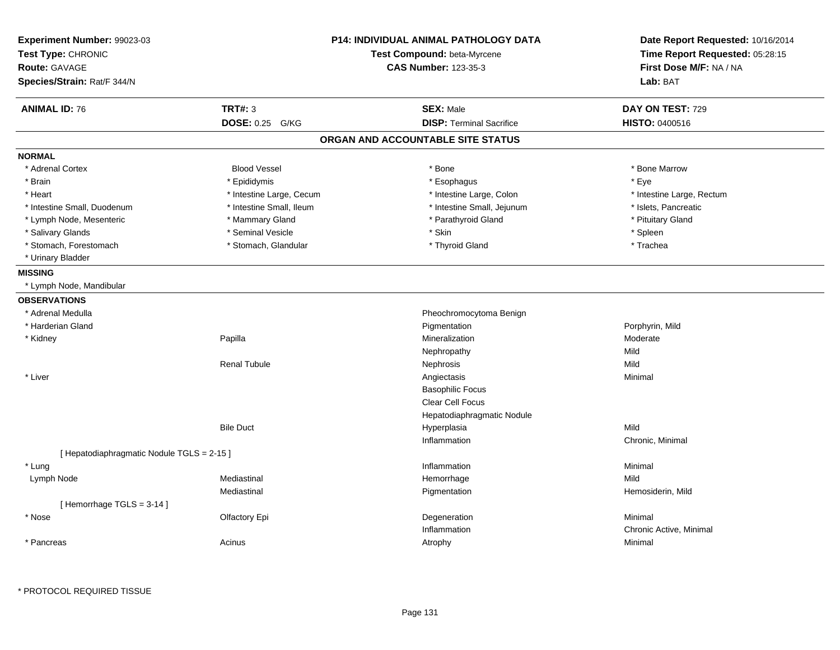| Experiment Number: 99023-03                |                          | <b>P14: INDIVIDUAL ANIMAL PATHOLOGY DATA</b> | Date Report Requested: 10/16/2014<br>Time Report Requested: 05:28:15 |
|--------------------------------------------|--------------------------|----------------------------------------------|----------------------------------------------------------------------|
| Test Type: CHRONIC                         |                          | Test Compound: beta-Myrcene                  |                                                                      |
| <b>Route: GAVAGE</b>                       |                          | <b>CAS Number: 123-35-3</b>                  | First Dose M/F: NA / NA                                              |
| Species/Strain: Rat/F 344/N                |                          |                                              | Lab: BAT                                                             |
| <b>ANIMAL ID: 76</b>                       | <b>TRT#: 3</b>           | <b>SEX: Male</b>                             | DAY ON TEST: 729                                                     |
|                                            | DOSE: 0.25 G/KG          | <b>DISP: Terminal Sacrifice</b>              | <b>HISTO: 0400516</b>                                                |
|                                            |                          | ORGAN AND ACCOUNTABLE SITE STATUS            |                                                                      |
| <b>NORMAL</b>                              |                          |                                              |                                                                      |
| * Adrenal Cortex                           | <b>Blood Vessel</b>      | * Bone                                       | * Bone Marrow                                                        |
| * Brain                                    | * Epididymis             | * Esophagus                                  | * Eye                                                                |
| * Heart                                    | * Intestine Large, Cecum | * Intestine Large, Colon                     | * Intestine Large, Rectum                                            |
| * Intestine Small, Duodenum                | * Intestine Small, Ileum | * Intestine Small, Jejunum                   | * Islets, Pancreatic                                                 |
| * Lymph Node, Mesenteric                   | * Mammary Gland          | * Parathyroid Gland                          | * Pituitary Gland                                                    |
| * Salivary Glands                          | * Seminal Vesicle        | * Skin                                       | * Spleen                                                             |
| * Stomach, Forestomach                     | * Stomach, Glandular     | * Thyroid Gland                              | * Trachea                                                            |
| * Urinary Bladder                          |                          |                                              |                                                                      |
| <b>MISSING</b>                             |                          |                                              |                                                                      |
| * Lymph Node, Mandibular                   |                          |                                              |                                                                      |
| <b>OBSERVATIONS</b>                        |                          |                                              |                                                                      |
| * Adrenal Medulla                          |                          | Pheochromocytoma Benign                      |                                                                      |
| * Harderian Gland                          |                          | Pigmentation                                 | Porphyrin, Mild                                                      |
| * Kidney                                   | Papilla                  | Mineralization                               | Moderate                                                             |
|                                            |                          | Nephropathy                                  | Mild                                                                 |
|                                            | <b>Renal Tubule</b>      | Nephrosis                                    | Mild                                                                 |
| * Liver                                    |                          | Angiectasis                                  | Minimal                                                              |
|                                            |                          | <b>Basophilic Focus</b>                      |                                                                      |
|                                            |                          | Clear Cell Focus                             |                                                                      |
|                                            |                          | Hepatodiaphragmatic Nodule                   |                                                                      |
|                                            | <b>Bile Duct</b>         | Hyperplasia                                  | Mild                                                                 |
|                                            |                          | Inflammation                                 | Chronic, Minimal                                                     |
| [ Hepatodiaphragmatic Nodule TGLS = 2-15 ] |                          |                                              |                                                                      |
| * Lung                                     |                          | Inflammation                                 | Minimal                                                              |
| Lymph Node                                 | Mediastinal              | Hemorrhage                                   | Mild                                                                 |
|                                            | Mediastinal              | Pigmentation                                 | Hemosiderin, Mild                                                    |
| [Hemorrhage TGLS = 3-14]                   |                          |                                              |                                                                      |
| * Nose                                     | Olfactory Epi            | Degeneration                                 | Minimal                                                              |
|                                            |                          | Inflammation                                 | Chronic Active, Minimal                                              |
| * Pancreas                                 | Acinus                   | Atrophy                                      | Minimal                                                              |
|                                            |                          |                                              |                                                                      |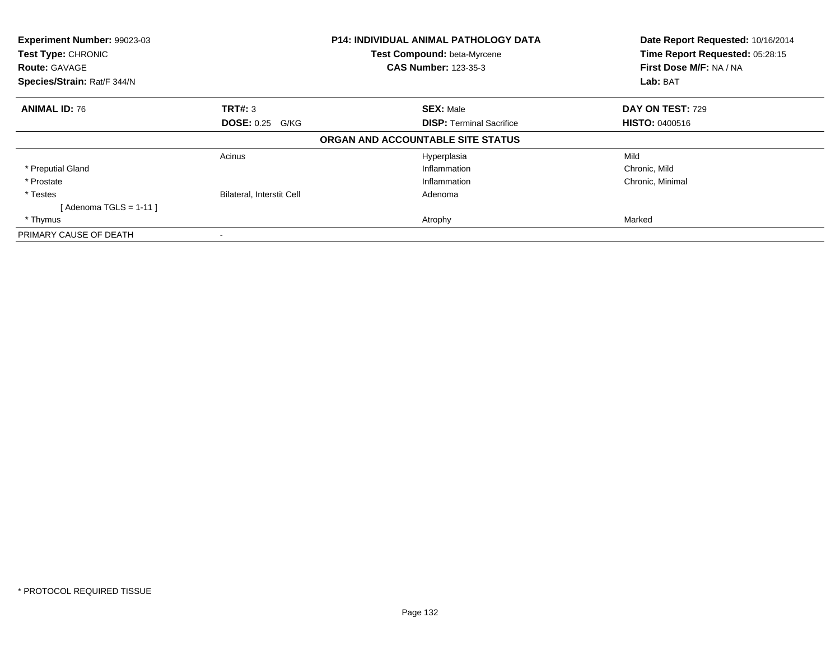| Experiment Number: 99023-03<br>Test Type: CHRONIC<br><b>Route: GAVAGE</b><br>Species/Strain: Rat/F 344/N |                                  | <b>P14: INDIVIDUAL ANIMAL PATHOLOGY DATA</b><br>Test Compound: beta-Myrcene<br><b>CAS Number: 123-35-3</b> | Date Report Requested: 10/16/2014<br>Time Report Requested: 05:28:15<br>First Dose M/F: NA / NA<br>Lab: BAT |
|----------------------------------------------------------------------------------------------------------|----------------------------------|------------------------------------------------------------------------------------------------------------|-------------------------------------------------------------------------------------------------------------|
|                                                                                                          |                                  |                                                                                                            |                                                                                                             |
| <b>ANIMAL ID: 76</b>                                                                                     | TRT#: 3                          | <b>SEX: Male</b>                                                                                           | DAY ON TEST: 729                                                                                            |
|                                                                                                          | <b>DOSE: 0.25 G/KG</b>           | <b>DISP: Terminal Sacrifice</b>                                                                            | <b>HISTO: 0400516</b>                                                                                       |
|                                                                                                          |                                  | ORGAN AND ACCOUNTABLE SITE STATUS                                                                          |                                                                                                             |
|                                                                                                          | Acinus                           | Hyperplasia                                                                                                | Mild                                                                                                        |
| * Preputial Gland                                                                                        |                                  | Inflammation                                                                                               | Chronic, Mild                                                                                               |
| * Prostate                                                                                               |                                  | Inflammation                                                                                               | Chronic, Minimal                                                                                            |
| * Testes                                                                                                 | <b>Bilateral, Interstit Cell</b> | Adenoma                                                                                                    |                                                                                                             |
| $[$ Adenoma TGLS = 1-11 $]$                                                                              |                                  |                                                                                                            |                                                                                                             |
| * Thymus                                                                                                 |                                  | Atrophy                                                                                                    | Marked                                                                                                      |
| PRIMARY CAUSE OF DEATH                                                                                   |                                  |                                                                                                            |                                                                                                             |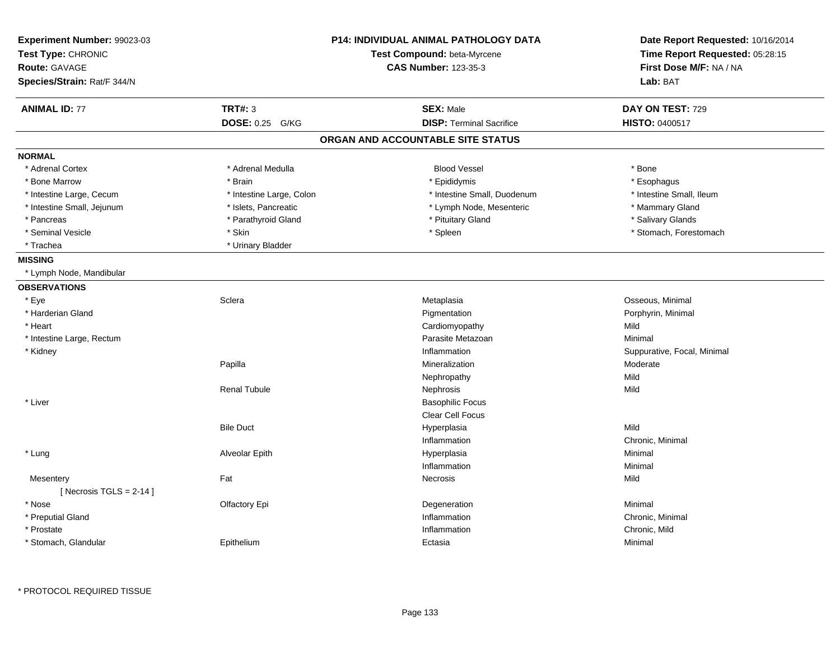| Experiment Number: 99023-03<br>Test Type: CHRONIC<br><b>Route: GAVAGE</b><br>Species/Strain: Rat/F 344/N |                          | <b>P14: INDIVIDUAL ANIMAL PATHOLOGY DATA</b><br>Test Compound: beta-Myrcene<br><b>CAS Number: 123-35-3</b> | Date Report Requested: 10/16/2014<br>Time Report Requested: 05:28:15<br>First Dose M/F: NA / NA<br>Lab: BAT |
|----------------------------------------------------------------------------------------------------------|--------------------------|------------------------------------------------------------------------------------------------------------|-------------------------------------------------------------------------------------------------------------|
| <b>ANIMAL ID: 77</b>                                                                                     | <b>TRT#: 3</b>           | <b>SEX: Male</b>                                                                                           | DAY ON TEST: 729                                                                                            |
|                                                                                                          | DOSE: 0.25 G/KG          | <b>DISP: Terminal Sacrifice</b>                                                                            | HISTO: 0400517                                                                                              |
|                                                                                                          |                          | ORGAN AND ACCOUNTABLE SITE STATUS                                                                          |                                                                                                             |
| <b>NORMAL</b>                                                                                            |                          |                                                                                                            |                                                                                                             |
| * Adrenal Cortex                                                                                         | * Adrenal Medulla        | <b>Blood Vessel</b>                                                                                        | * Bone                                                                                                      |
| * Bone Marrow                                                                                            | * Brain                  | * Epididymis                                                                                               | * Esophagus                                                                                                 |
| * Intestine Large, Cecum                                                                                 | * Intestine Large, Colon | * Intestine Small, Duodenum                                                                                | * Intestine Small, Ileum                                                                                    |
| * Intestine Small, Jejunum                                                                               | * Islets, Pancreatic     | * Lymph Node, Mesenteric                                                                                   | * Mammary Gland                                                                                             |
| * Pancreas                                                                                               | * Parathyroid Gland      | * Pituitary Gland                                                                                          | * Salivary Glands                                                                                           |
| * Seminal Vesicle                                                                                        | * Skin                   | * Spleen                                                                                                   | * Stomach, Forestomach                                                                                      |
| * Trachea                                                                                                | * Urinary Bladder        |                                                                                                            |                                                                                                             |
| <b>MISSING</b>                                                                                           |                          |                                                                                                            |                                                                                                             |
| * Lymph Node, Mandibular                                                                                 |                          |                                                                                                            |                                                                                                             |
| <b>OBSERVATIONS</b>                                                                                      |                          |                                                                                                            |                                                                                                             |
| * Eye                                                                                                    | Sclera                   | Metaplasia                                                                                                 | Osseous, Minimal                                                                                            |
| * Harderian Gland                                                                                        |                          | Pigmentation                                                                                               | Porphyrin, Minimal                                                                                          |
| * Heart                                                                                                  |                          | Cardiomyopathy                                                                                             | Mild                                                                                                        |
| * Intestine Large, Rectum                                                                                |                          | Parasite Metazoan                                                                                          | Minimal                                                                                                     |
| * Kidney                                                                                                 |                          | Inflammation                                                                                               | Suppurative, Focal, Minimal                                                                                 |
|                                                                                                          | Papilla                  | Mineralization                                                                                             | Moderate                                                                                                    |
|                                                                                                          |                          | Nephropathy                                                                                                | Mild                                                                                                        |
|                                                                                                          | <b>Renal Tubule</b>      | Nephrosis                                                                                                  | Mild                                                                                                        |
| * Liver                                                                                                  |                          | <b>Basophilic Focus</b>                                                                                    |                                                                                                             |
|                                                                                                          |                          | Clear Cell Focus                                                                                           |                                                                                                             |
|                                                                                                          | <b>Bile Duct</b>         | Hyperplasia                                                                                                | Mild                                                                                                        |
|                                                                                                          |                          | Inflammation                                                                                               | Chronic, Minimal                                                                                            |
| * Lung                                                                                                   | Alveolar Epith           | Hyperplasia                                                                                                | Minimal                                                                                                     |
|                                                                                                          |                          | Inflammation                                                                                               | Minimal                                                                                                     |
| Mesentery                                                                                                | Fat                      | Necrosis                                                                                                   | Mild                                                                                                        |
| [Necrosis TGLS = $2-14$ ]                                                                                |                          |                                                                                                            |                                                                                                             |
| * Nose                                                                                                   | Olfactory Epi            | Degeneration                                                                                               | Minimal                                                                                                     |
| * Preputial Gland                                                                                        |                          | Inflammation                                                                                               | Chronic, Minimal                                                                                            |
| * Prostate                                                                                               |                          | Inflammation                                                                                               | Chronic, Mild                                                                                               |
| * Stomach, Glandular                                                                                     | Epithelium               | Ectasia                                                                                                    | Minimal                                                                                                     |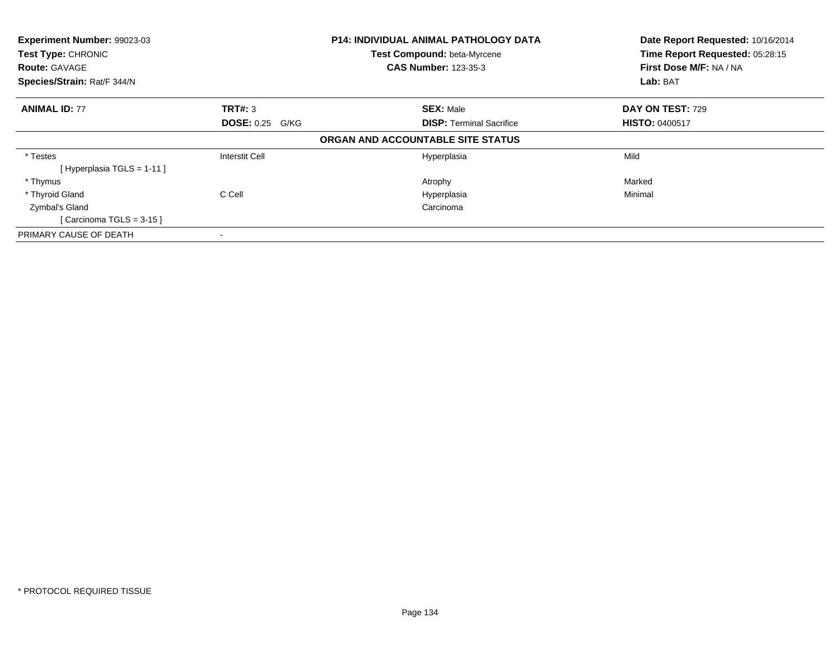| Experiment Number: 99023-03<br>Test Type: CHRONIC<br><b>Route: GAVAGE</b> |                        | <b>P14: INDIVIDUAL ANIMAL PATHOLOGY DATA</b><br>Test Compound: beta-Myrcene<br><b>CAS Number: 123-35-3</b> | Date Report Requested: 10/16/2014<br>Time Report Requested: 05:28:15<br>First Dose M/F: NA / NA<br>Lab: BAT |
|---------------------------------------------------------------------------|------------------------|------------------------------------------------------------------------------------------------------------|-------------------------------------------------------------------------------------------------------------|
| Species/Strain: Rat/F 344/N                                               |                        |                                                                                                            |                                                                                                             |
| <b>ANIMAL ID: 77</b>                                                      | <b>TRT#: 3</b>         | <b>SEX: Male</b>                                                                                           | DAY ON TEST: 729                                                                                            |
|                                                                           | <b>DOSE: 0.25 G/KG</b> | <b>DISP: Terminal Sacrifice</b>                                                                            | <b>HISTO: 0400517</b>                                                                                       |
|                                                                           |                        | ORGAN AND ACCOUNTABLE SITE STATUS                                                                          |                                                                                                             |
| * Testes                                                                  | Interstit Cell         | Hyperplasia                                                                                                | Mild                                                                                                        |
| [Hyperplasia TGLS = 1-11]                                                 |                        |                                                                                                            |                                                                                                             |
| * Thymus                                                                  |                        | Atrophy                                                                                                    | Marked                                                                                                      |
| * Thyroid Gland                                                           | C Cell                 | Hyperplasia                                                                                                | Minimal                                                                                                     |
| Zymbal's Gland                                                            |                        | Carcinoma                                                                                                  |                                                                                                             |
| [Carcinoma TGLS = 3-15]                                                   |                        |                                                                                                            |                                                                                                             |
| PRIMARY CAUSE OF DEATH                                                    | ۰                      |                                                                                                            |                                                                                                             |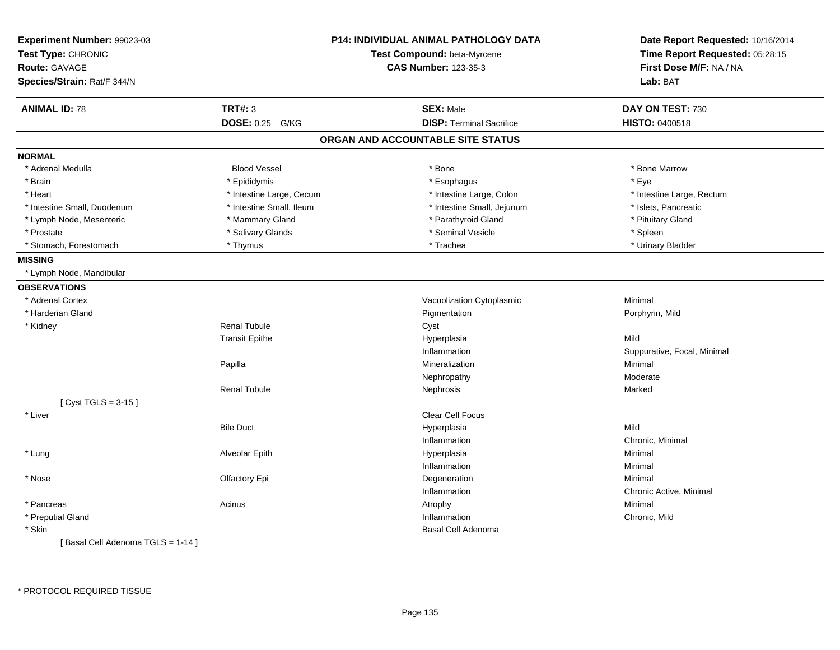| Experiment Number: 99023-03<br>Test Type: CHRONIC |                          | <b>P14: INDIVIDUAL ANIMAL PATHOLOGY DATA</b><br>Test Compound: beta-Myrcene | Date Report Requested: 10/16/2014<br>Time Report Requested: 05:28:15 |
|---------------------------------------------------|--------------------------|-----------------------------------------------------------------------------|----------------------------------------------------------------------|
| <b>Route: GAVAGE</b>                              |                          | <b>CAS Number: 123-35-3</b>                                                 | First Dose M/F: NA / NA                                              |
| Species/Strain: Rat/F 344/N                       |                          |                                                                             | Lab: BAT                                                             |
| <b>ANIMAL ID: 78</b>                              | TRT#: 3                  | <b>SEX: Male</b>                                                            | DAY ON TEST: 730                                                     |
|                                                   | DOSE: 0.25 G/KG          | <b>DISP: Terminal Sacrifice</b>                                             | <b>HISTO: 0400518</b>                                                |
|                                                   |                          | ORGAN AND ACCOUNTABLE SITE STATUS                                           |                                                                      |
| <b>NORMAL</b>                                     |                          |                                                                             |                                                                      |
| * Adrenal Medulla                                 | <b>Blood Vessel</b>      | * Bone                                                                      | * Bone Marrow                                                        |
| * Brain                                           | * Epididymis             | * Esophagus                                                                 | * Eye                                                                |
| * Heart                                           | * Intestine Large, Cecum | * Intestine Large, Colon                                                    | * Intestine Large, Rectum                                            |
| * Intestine Small, Duodenum                       | * Intestine Small, Ileum | * Intestine Small, Jejunum                                                  | * Islets, Pancreatic                                                 |
| * Lymph Node, Mesenteric                          | * Mammary Gland          | * Parathyroid Gland                                                         | * Pituitary Gland                                                    |
| * Prostate                                        | * Salivary Glands        | * Seminal Vesicle                                                           | * Spleen                                                             |
| * Stomach, Forestomach                            | * Thymus                 | * Trachea                                                                   | * Urinary Bladder                                                    |
| <b>MISSING</b>                                    |                          |                                                                             |                                                                      |
| * Lymph Node, Mandibular                          |                          |                                                                             |                                                                      |
| <b>OBSERVATIONS</b>                               |                          |                                                                             |                                                                      |
| * Adrenal Cortex                                  |                          | Vacuolization Cytoplasmic                                                   | Minimal                                                              |
| * Harderian Gland                                 |                          | Pigmentation                                                                | Porphyrin, Mild                                                      |
| * Kidney                                          | <b>Renal Tubule</b>      | Cyst                                                                        |                                                                      |
|                                                   | <b>Transit Epithe</b>    | Hyperplasia                                                                 | Mild                                                                 |
|                                                   |                          | Inflammation                                                                | Suppurative, Focal, Minimal                                          |
|                                                   | Papilla                  | Mineralization                                                              | Minimal                                                              |
|                                                   |                          | Nephropathy                                                                 | Moderate                                                             |
|                                                   | <b>Renal Tubule</b>      | Nephrosis                                                                   | Marked                                                               |
| [ $Cyst TGLS = 3-15$ ]                            |                          |                                                                             |                                                                      |
| * Liver                                           |                          | Clear Cell Focus                                                            |                                                                      |
|                                                   | <b>Bile Duct</b>         | Hyperplasia                                                                 | Mild                                                                 |
|                                                   |                          | Inflammation                                                                | Chronic, Minimal                                                     |
| * Lung                                            | Alveolar Epith           | Hyperplasia                                                                 | Minimal                                                              |
|                                                   |                          | Inflammation                                                                | Minimal                                                              |
| * Nose                                            | Olfactory Epi            | Degeneration                                                                | Minimal                                                              |
|                                                   |                          | Inflammation                                                                | Chronic Active, Minimal                                              |
| * Pancreas                                        | Acinus                   | Atrophy                                                                     | Minimal                                                              |
| * Preputial Gland                                 |                          | Inflammation                                                                | Chronic, Mild                                                        |
| * Skin                                            |                          | Basal Cell Adenoma                                                          |                                                                      |
| [ Basal Cell Adenoma TGLS = 1-14 ]                |                          |                                                                             |                                                                      |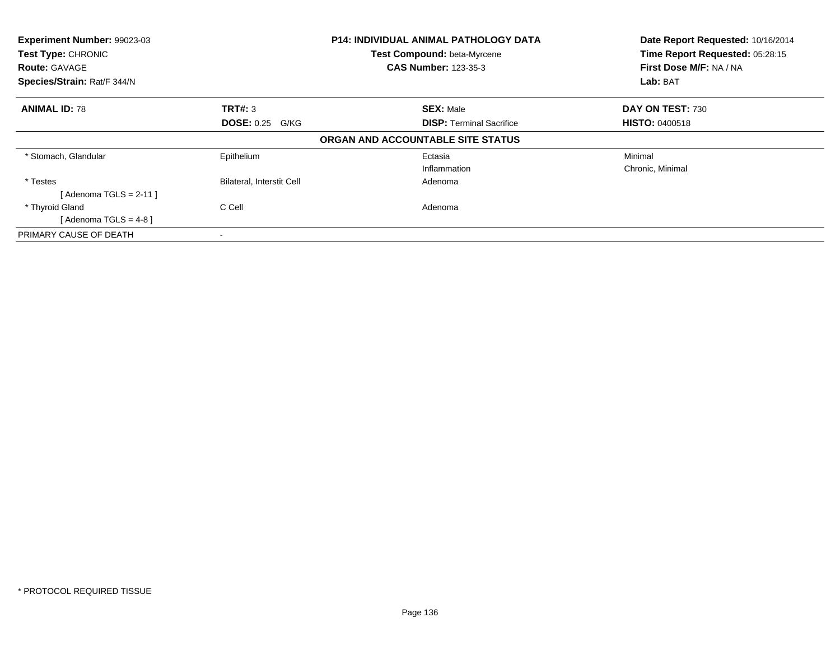| Experiment Number: 99023-03<br>Test Type: CHRONIC<br><b>Route: GAVAGE</b><br>Species/Strain: Rat/F 344/N |                                  | <b>P14: INDIVIDUAL ANIMAL PATHOLOGY DATA</b><br>Test Compound: beta-Myrcene<br><b>CAS Number: 123-35-3</b> | Date Report Requested: 10/16/2014<br>Time Report Requested: 05:28:15<br>First Dose M/F: NA / NA<br>Lab: BAT |
|----------------------------------------------------------------------------------------------------------|----------------------------------|------------------------------------------------------------------------------------------------------------|-------------------------------------------------------------------------------------------------------------|
| <b>ANIMAL ID: 78</b>                                                                                     | <b>TRT#: 3</b>                   | <b>SEX: Male</b>                                                                                           | <b>DAY ON TEST: 730</b>                                                                                     |
|                                                                                                          | <b>DOSE: 0.25 G/KG</b>           | <b>DISP:</b> Terminal Sacrifice                                                                            | <b>HISTO: 0400518</b>                                                                                       |
|                                                                                                          |                                  | ORGAN AND ACCOUNTABLE SITE STATUS                                                                          |                                                                                                             |
| * Stomach, Glandular                                                                                     | Epithelium                       | Ectasia                                                                                                    | Minimal                                                                                                     |
|                                                                                                          |                                  | Inflammation                                                                                               | Chronic, Minimal                                                                                            |
| * Testes                                                                                                 | <b>Bilateral, Interstit Cell</b> | Adenoma                                                                                                    |                                                                                                             |
| [Adenoma TGLS = $2-11$ ]                                                                                 |                                  |                                                                                                            |                                                                                                             |
| * Thyroid Gland                                                                                          | C Cell                           | Adenoma                                                                                                    |                                                                                                             |
| [Adenoma TGLS = $4-8$ ]                                                                                  |                                  |                                                                                                            |                                                                                                             |
| PRIMARY CAUSE OF DEATH                                                                                   | $\blacksquare$                   |                                                                                                            |                                                                                                             |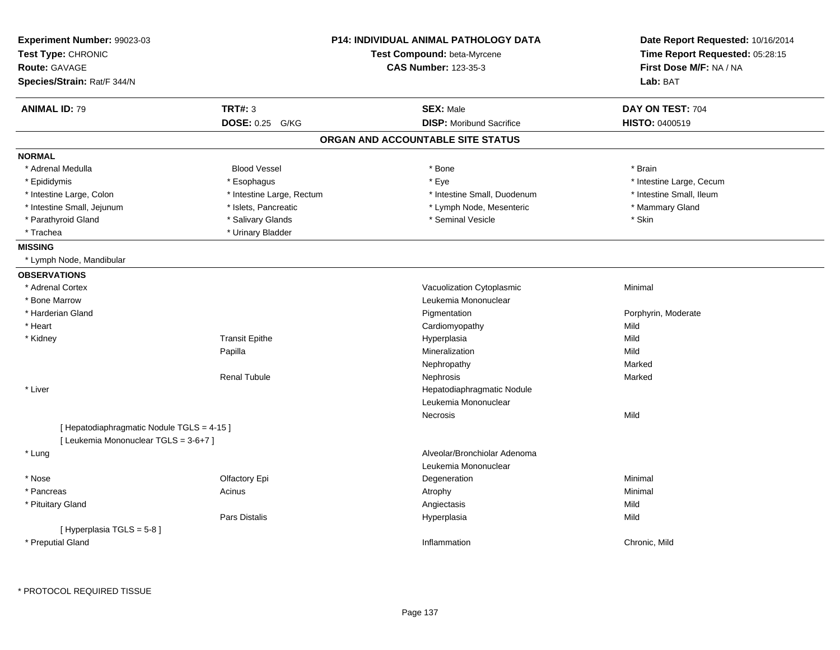| Experiment Number: 99023-03                |                           | <b>P14: INDIVIDUAL ANIMAL PATHOLOGY DATA</b> | Date Report Requested: 10/16/2014 |
|--------------------------------------------|---------------------------|----------------------------------------------|-----------------------------------|
| Test Type: CHRONIC                         |                           | Test Compound: beta-Myrcene                  | Time Report Requested: 05:28:15   |
| Route: GAVAGE                              |                           | <b>CAS Number: 123-35-3</b>                  | First Dose M/F: NA / NA           |
| Species/Strain: Rat/F 344/N                |                           |                                              | Lab: BAT                          |
| <b>ANIMAL ID: 79</b>                       | <b>TRT#: 3</b>            | <b>SEX: Male</b>                             | DAY ON TEST: 704                  |
|                                            | DOSE: 0.25 G/KG           | <b>DISP:</b> Moribund Sacrifice              | <b>HISTO: 0400519</b>             |
|                                            |                           | ORGAN AND ACCOUNTABLE SITE STATUS            |                                   |
| <b>NORMAL</b>                              |                           |                                              |                                   |
| * Adrenal Medulla                          | <b>Blood Vessel</b>       | * Bone                                       | * Brain                           |
| * Epididymis                               | * Esophagus               | * Eye                                        | * Intestine Large, Cecum          |
| * Intestine Large, Colon                   | * Intestine Large, Rectum | * Intestine Small, Duodenum                  | * Intestine Small, Ileum          |
| * Intestine Small, Jejunum                 | * Islets, Pancreatic      | * Lymph Node, Mesenteric                     | * Mammary Gland                   |
| * Parathyroid Gland                        | * Salivary Glands         | * Seminal Vesicle                            | * Skin                            |
| * Trachea                                  | * Urinary Bladder         |                                              |                                   |
| <b>MISSING</b>                             |                           |                                              |                                   |
| * Lymph Node, Mandibular                   |                           |                                              |                                   |
| <b>OBSERVATIONS</b>                        |                           |                                              |                                   |
| * Adrenal Cortex                           |                           | Vacuolization Cytoplasmic                    | Minimal                           |
| * Bone Marrow                              |                           | Leukemia Mononuclear                         |                                   |
| * Harderian Gland                          |                           | Pigmentation                                 | Porphyrin, Moderate               |
| * Heart                                    |                           | Cardiomyopathy                               | Mild                              |
| * Kidney                                   | <b>Transit Epithe</b>     | Hyperplasia                                  | Mild                              |
|                                            | Papilla                   | Mineralization                               | Mild                              |
|                                            |                           | Nephropathy                                  | Marked                            |
|                                            | <b>Renal Tubule</b>       | Nephrosis                                    | Marked                            |
| * Liver                                    |                           | Hepatodiaphragmatic Nodule                   |                                   |
|                                            |                           | Leukemia Mononuclear                         |                                   |
|                                            |                           | Necrosis                                     | Mild                              |
| [ Hepatodiaphragmatic Nodule TGLS = 4-15 ] |                           |                                              |                                   |
| [ Leukemia Mononuclear TGLS = 3-6+7 ]      |                           |                                              |                                   |
| * Lung                                     |                           | Alveolar/Bronchiolar Adenoma                 |                                   |
|                                            |                           | Leukemia Mononuclear                         |                                   |
| * Nose                                     | Olfactory Epi             | Degeneration                                 | Minimal                           |
| * Pancreas                                 | Acinus                    | Atrophy                                      | Minimal                           |
| * Pituitary Gland                          |                           | Angiectasis                                  | Mild                              |
|                                            | <b>Pars Distalis</b>      | Hyperplasia                                  | Mild                              |
| [ Hyperplasia TGLS = 5-8]                  |                           |                                              |                                   |
| * Preputial Gland                          |                           | Inflammation                                 | Chronic, Mild                     |
|                                            |                           |                                              |                                   |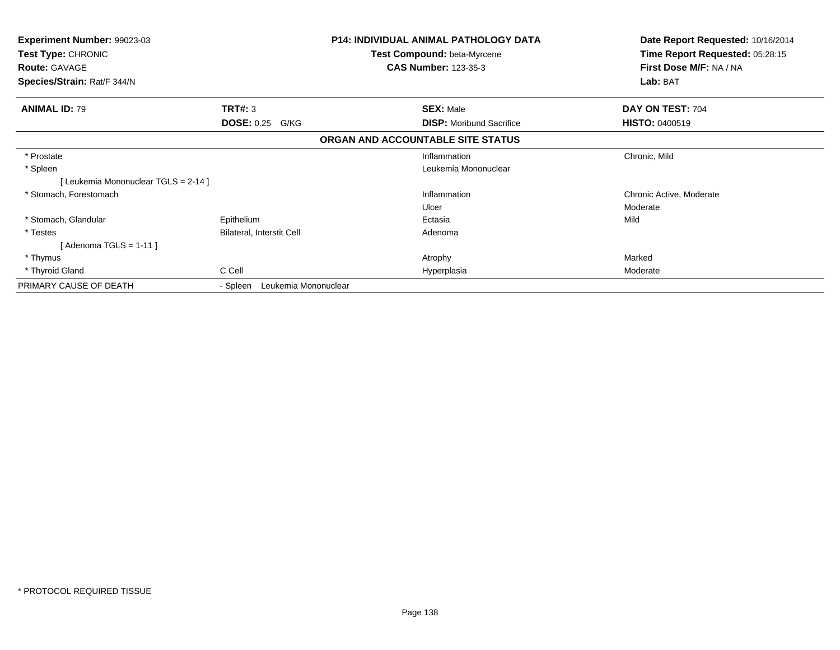| <b>Experiment Number: 99023-03</b><br>Test Type: CHRONIC<br><b>Route: GAVAGE</b><br>Species/Strain: Rat/F 344/N |                                  | <b>P14: INDIVIDUAL ANIMAL PATHOLOGY DATA</b><br><b>Test Compound: beta-Myrcene</b><br><b>CAS Number: 123-35-3</b> | Date Report Requested: 10/16/2014<br>Time Report Requested: 05:28:15<br>First Dose M/F: NA / NA<br>Lab: BAT |
|-----------------------------------------------------------------------------------------------------------------|----------------------------------|-------------------------------------------------------------------------------------------------------------------|-------------------------------------------------------------------------------------------------------------|
|                                                                                                                 |                                  |                                                                                                                   |                                                                                                             |
| <b>ANIMAL ID: 79</b>                                                                                            | <b>TRT#: 3</b>                   | <b>SEX: Male</b>                                                                                                  | DAY ON TEST: 704                                                                                            |
|                                                                                                                 | <b>DOSE: 0.25 G/KG</b>           | <b>DISP:</b> Moribund Sacrifice                                                                                   | <b>HISTO: 0400519</b>                                                                                       |
|                                                                                                                 |                                  | ORGAN AND ACCOUNTABLE SITE STATUS                                                                                 |                                                                                                             |
| * Prostate                                                                                                      |                                  | Inflammation                                                                                                      | Chronic, Mild                                                                                               |
| * Spleen                                                                                                        |                                  | Leukemia Mononuclear                                                                                              |                                                                                                             |
| [Leukemia Mononuclear TGLS = 2-14]                                                                              |                                  |                                                                                                                   |                                                                                                             |
| * Stomach, Forestomach                                                                                          |                                  | Inflammation                                                                                                      | Chronic Active, Moderate                                                                                    |
|                                                                                                                 |                                  | Ulcer                                                                                                             | Moderate                                                                                                    |
| * Stomach, Glandular                                                                                            | Epithelium                       | Ectasia                                                                                                           | Mild                                                                                                        |
| * Testes                                                                                                        | Bilateral, Interstit Cell        | Adenoma                                                                                                           |                                                                                                             |
| [ Adenoma TGLS = 1-11 ]                                                                                         |                                  |                                                                                                                   |                                                                                                             |
| * Thymus                                                                                                        |                                  | Atrophy                                                                                                           | Marked                                                                                                      |
| * Thyroid Gland                                                                                                 | C Cell                           | Hyperplasia                                                                                                       | Moderate                                                                                                    |
| PRIMARY CAUSE OF DEATH                                                                                          | Leukemia Mononuclear<br>- Spleen |                                                                                                                   |                                                                                                             |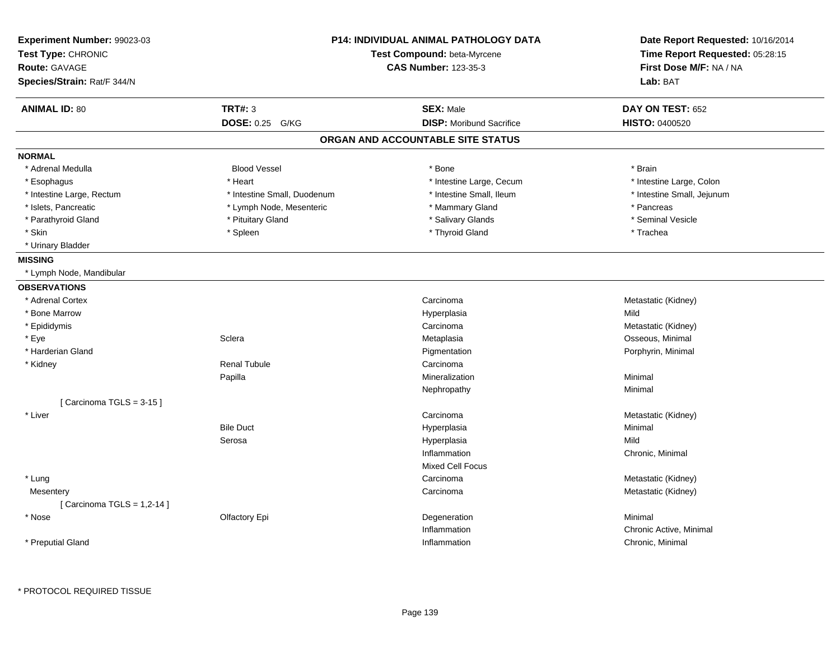| <b>ANIMAL ID: 80</b><br><b>TRT#: 3</b><br><b>SEX: Male</b><br><b>DOSE: 0.25</b><br><b>DISP:</b> Moribund Sacrifice<br>G/KG<br>ORGAN AND ACCOUNTABLE SITE STATUS<br><b>NORMAL</b><br>* Adrenal Medulla<br><b>Blood Vessel</b><br>* Bone<br>* Heart<br>* Intestine Large, Cecum<br>* Esophagus<br>* Intestine Small, Duodenum<br>* Intestine Small, Ileum<br>* Intestine Large, Rectum<br>* Mammary Gland<br>* Islets, Pancreatic<br>* Lymph Node, Mesenteric<br>* Pituitary Gland<br>* Salivary Glands<br>* Parathyroid Gland<br>* Skin<br>* Thyroid Gland<br>* Spleen<br>* Urinary Bladder<br><b>MISSING</b><br>* Lymph Node, Mandibular<br><b>OBSERVATIONS</b><br>* Adrenal Cortex<br>Carcinoma<br>* Bone Marrow<br>Hyperplasia<br>* Epididymis<br>Carcinoma<br>Sclera<br>* Eye<br>Metaplasia | DAY ON TEST: 652<br>HISTO: 0400520 |
|------------------------------------------------------------------------------------------------------------------------------------------------------------------------------------------------------------------------------------------------------------------------------------------------------------------------------------------------------------------------------------------------------------------------------------------------------------------------------------------------------------------------------------------------------------------------------------------------------------------------------------------------------------------------------------------------------------------------------------------------------------------------------------------------|------------------------------------|
|                                                                                                                                                                                                                                                                                                                                                                                                                                                                                                                                                                                                                                                                                                                                                                                                |                                    |
|                                                                                                                                                                                                                                                                                                                                                                                                                                                                                                                                                                                                                                                                                                                                                                                                |                                    |
|                                                                                                                                                                                                                                                                                                                                                                                                                                                                                                                                                                                                                                                                                                                                                                                                |                                    |
|                                                                                                                                                                                                                                                                                                                                                                                                                                                                                                                                                                                                                                                                                                                                                                                                |                                    |
|                                                                                                                                                                                                                                                                                                                                                                                                                                                                                                                                                                                                                                                                                                                                                                                                | * Brain                            |
|                                                                                                                                                                                                                                                                                                                                                                                                                                                                                                                                                                                                                                                                                                                                                                                                | * Intestine Large, Colon           |
|                                                                                                                                                                                                                                                                                                                                                                                                                                                                                                                                                                                                                                                                                                                                                                                                | * Intestine Small, Jejunum         |
|                                                                                                                                                                                                                                                                                                                                                                                                                                                                                                                                                                                                                                                                                                                                                                                                | * Pancreas                         |
|                                                                                                                                                                                                                                                                                                                                                                                                                                                                                                                                                                                                                                                                                                                                                                                                | * Seminal Vesicle                  |
|                                                                                                                                                                                                                                                                                                                                                                                                                                                                                                                                                                                                                                                                                                                                                                                                | * Trachea                          |
|                                                                                                                                                                                                                                                                                                                                                                                                                                                                                                                                                                                                                                                                                                                                                                                                |                                    |
|                                                                                                                                                                                                                                                                                                                                                                                                                                                                                                                                                                                                                                                                                                                                                                                                |                                    |
|                                                                                                                                                                                                                                                                                                                                                                                                                                                                                                                                                                                                                                                                                                                                                                                                |                                    |
|                                                                                                                                                                                                                                                                                                                                                                                                                                                                                                                                                                                                                                                                                                                                                                                                |                                    |
|                                                                                                                                                                                                                                                                                                                                                                                                                                                                                                                                                                                                                                                                                                                                                                                                | Metastatic (Kidney)                |
|                                                                                                                                                                                                                                                                                                                                                                                                                                                                                                                                                                                                                                                                                                                                                                                                | Mild                               |
|                                                                                                                                                                                                                                                                                                                                                                                                                                                                                                                                                                                                                                                                                                                                                                                                | Metastatic (Kidney)                |
|                                                                                                                                                                                                                                                                                                                                                                                                                                                                                                                                                                                                                                                                                                                                                                                                | Osseous, Minimal                   |
| * Harderian Gland<br>Pigmentation                                                                                                                                                                                                                                                                                                                                                                                                                                                                                                                                                                                                                                                                                                                                                              | Porphyrin, Minimal                 |
| <b>Renal Tubule</b><br>* Kidney<br>Carcinoma                                                                                                                                                                                                                                                                                                                                                                                                                                                                                                                                                                                                                                                                                                                                                   |                                    |
| Papilla<br>Mineralization                                                                                                                                                                                                                                                                                                                                                                                                                                                                                                                                                                                                                                                                                                                                                                      | Minimal                            |
| Nephropathy                                                                                                                                                                                                                                                                                                                                                                                                                                                                                                                                                                                                                                                                                                                                                                                    | Minimal                            |
| [Carcinoma TGLS = 3-15]                                                                                                                                                                                                                                                                                                                                                                                                                                                                                                                                                                                                                                                                                                                                                                        |                                    |
| * Liver<br>Carcinoma                                                                                                                                                                                                                                                                                                                                                                                                                                                                                                                                                                                                                                                                                                                                                                           | Metastatic (Kidney)                |
| <b>Bile Duct</b><br>Hyperplasia                                                                                                                                                                                                                                                                                                                                                                                                                                                                                                                                                                                                                                                                                                                                                                | Minimal                            |
| Serosa<br>Hyperplasia                                                                                                                                                                                                                                                                                                                                                                                                                                                                                                                                                                                                                                                                                                                                                                          | Mild                               |
| Inflammation                                                                                                                                                                                                                                                                                                                                                                                                                                                                                                                                                                                                                                                                                                                                                                                   | Chronic, Minimal                   |
| <b>Mixed Cell Focus</b>                                                                                                                                                                                                                                                                                                                                                                                                                                                                                                                                                                                                                                                                                                                                                                        |                                    |
| * Lung<br>Carcinoma                                                                                                                                                                                                                                                                                                                                                                                                                                                                                                                                                                                                                                                                                                                                                                            | Metastatic (Kidney)                |
| Mesentery<br>Carcinoma                                                                                                                                                                                                                                                                                                                                                                                                                                                                                                                                                                                                                                                                                                                                                                         | Metastatic (Kidney)                |
| [ Carcinoma TGLS = 1,2-14 ]                                                                                                                                                                                                                                                                                                                                                                                                                                                                                                                                                                                                                                                                                                                                                                    |                                    |
| * Nose<br>Olfactory Epi<br>Degeneration                                                                                                                                                                                                                                                                                                                                                                                                                                                                                                                                                                                                                                                                                                                                                        | Minimal                            |
| Inflammation                                                                                                                                                                                                                                                                                                                                                                                                                                                                                                                                                                                                                                                                                                                                                                                   | Chronic Active, Minimal            |
| * Preputial Gland<br>Inflammation                                                                                                                                                                                                                                                                                                                                                                                                                                                                                                                                                                                                                                                                                                                                                              | Chronic, Minimal                   |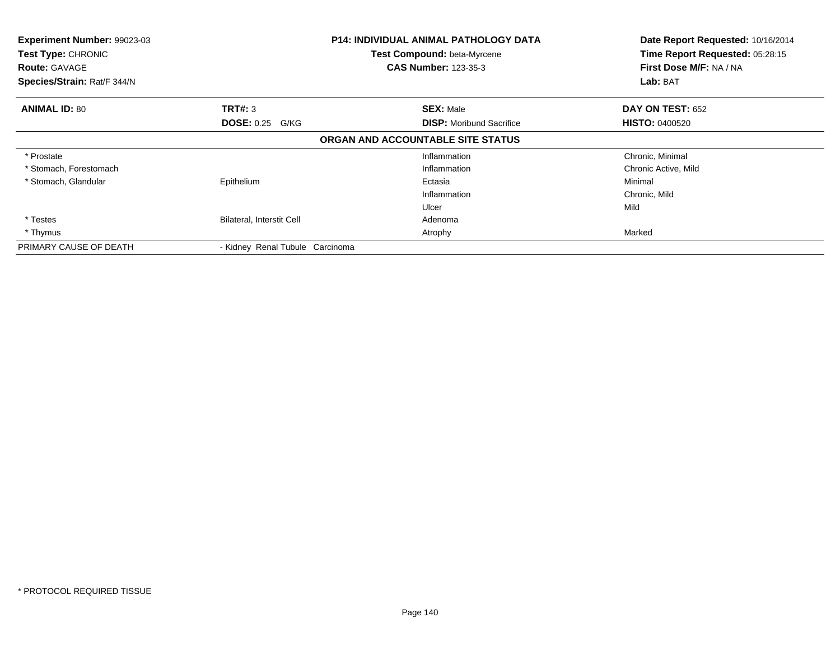| Experiment Number: 99023-03<br>Test Type: CHRONIC<br><b>Route: GAVAGE</b><br>Species/Strain: Rat/F 344/N |                                          | <b>P14: INDIVIDUAL ANIMAL PATHOLOGY DATA</b><br>Test Compound: beta-Myrcene<br><b>CAS Number: 123-35-3</b> | Date Report Requested: 10/16/2014<br>Time Report Requested: 05:28:15<br>First Dose M/F: NA / NA<br>Lab: BAT |
|----------------------------------------------------------------------------------------------------------|------------------------------------------|------------------------------------------------------------------------------------------------------------|-------------------------------------------------------------------------------------------------------------|
| <b>ANIMAL ID: 80</b>                                                                                     | <b>TRT#: 3</b><br><b>DOSE: 0.25 G/KG</b> | <b>SEX: Male</b><br><b>DISP:</b> Moribund Sacrifice                                                        | DAY ON TEST: 652<br><b>HISTO: 0400520</b>                                                                   |
|                                                                                                          |                                          | ORGAN AND ACCOUNTABLE SITE STATUS                                                                          |                                                                                                             |
| * Prostate<br>* Stomach, Forestomach                                                                     |                                          | Inflammation<br>Inflammation                                                                               | Chronic, Minimal<br>Chronic Active, Mild                                                                    |
| * Stomach, Glandular                                                                                     | Epithelium                               | Ectasia<br>Inflammation                                                                                    | Minimal<br>Chronic, Mild<br>Mild                                                                            |
| * Testes<br>* Thymus                                                                                     | Bilateral, Interstit Cell                | Ulcer<br>Adenoma<br>Atrophy                                                                                | Marked                                                                                                      |
| PRIMARY CAUSE OF DEATH                                                                                   | - Kidney Renal Tubule Carcinoma          |                                                                                                            |                                                                                                             |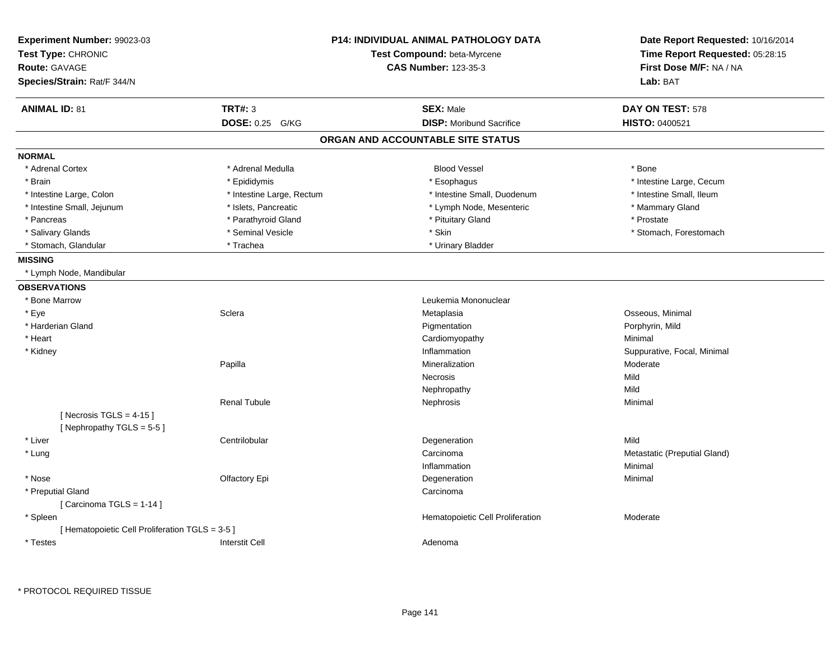| Experiment Number: 99023-03<br>Test Type: CHRONIC<br><b>Route: GAVAGE</b><br>Species/Strain: Rat/F 344/N |                           | <b>P14: INDIVIDUAL ANIMAL PATHOLOGY DATA</b><br>Test Compound: beta-Myrcene<br><b>CAS Number: 123-35-3</b> | Date Report Requested: 10/16/2014<br>Time Report Requested: 05:28:15<br>First Dose M/F: NA / NA<br>Lab: BAT |
|----------------------------------------------------------------------------------------------------------|---------------------------|------------------------------------------------------------------------------------------------------------|-------------------------------------------------------------------------------------------------------------|
| <b>ANIMAL ID: 81</b>                                                                                     | <b>TRT#: 3</b>            | <b>SEX: Male</b>                                                                                           | DAY ON TEST: 578                                                                                            |
|                                                                                                          | DOSE: 0.25 G/KG           | <b>DISP:</b> Moribund Sacrifice                                                                            | HISTO: 0400521                                                                                              |
|                                                                                                          |                           | ORGAN AND ACCOUNTABLE SITE STATUS                                                                          |                                                                                                             |
| <b>NORMAL</b>                                                                                            |                           |                                                                                                            |                                                                                                             |
| * Adrenal Cortex                                                                                         | * Adrenal Medulla         | <b>Blood Vessel</b>                                                                                        | * Bone                                                                                                      |
| * Brain                                                                                                  | * Epididymis              | * Esophagus                                                                                                | * Intestine Large, Cecum                                                                                    |
| * Intestine Large, Colon                                                                                 | * Intestine Large, Rectum | * Intestine Small, Duodenum                                                                                | * Intestine Small, Ileum                                                                                    |
| * Intestine Small, Jejunum                                                                               | * Islets, Pancreatic      | * Lymph Node, Mesenteric                                                                                   | * Mammary Gland                                                                                             |
| * Pancreas                                                                                               | * Parathyroid Gland       | * Pituitary Gland                                                                                          | * Prostate                                                                                                  |
| * Salivary Glands                                                                                        | * Seminal Vesicle         | * Skin                                                                                                     | * Stomach, Forestomach                                                                                      |
| * Stomach, Glandular                                                                                     | * Trachea                 | * Urinary Bladder                                                                                          |                                                                                                             |
| <b>MISSING</b>                                                                                           |                           |                                                                                                            |                                                                                                             |
| * Lymph Node, Mandibular                                                                                 |                           |                                                                                                            |                                                                                                             |
| <b>OBSERVATIONS</b>                                                                                      |                           |                                                                                                            |                                                                                                             |
| * Bone Marrow                                                                                            |                           | Leukemia Mononuclear                                                                                       |                                                                                                             |
| * Eye                                                                                                    | Sclera                    | Metaplasia                                                                                                 | Osseous, Minimal                                                                                            |
| * Harderian Gland                                                                                        |                           | Pigmentation                                                                                               | Porphyrin, Mild                                                                                             |
| * Heart                                                                                                  |                           | Cardiomyopathy                                                                                             | Minimal                                                                                                     |
| * Kidney                                                                                                 |                           | Inflammation                                                                                               | Suppurative, Focal, Minimal                                                                                 |
|                                                                                                          | Papilla                   | Mineralization                                                                                             | Moderate                                                                                                    |
|                                                                                                          |                           | Necrosis                                                                                                   | Mild                                                                                                        |
|                                                                                                          |                           | Nephropathy                                                                                                | Mild                                                                                                        |
|                                                                                                          | <b>Renal Tubule</b>       | Nephrosis                                                                                                  | Minimal                                                                                                     |
| [Necrosis TGLS = $4-15$ ]                                                                                |                           |                                                                                                            |                                                                                                             |
| [Nephropathy TGLS = $5-5$ ]                                                                              |                           |                                                                                                            |                                                                                                             |
| * Liver                                                                                                  | Centrilobular             | Degeneration                                                                                               | Mild                                                                                                        |
| * Lung                                                                                                   |                           | Carcinoma                                                                                                  | Metastatic (Preputial Gland)                                                                                |
|                                                                                                          |                           | Inflammation                                                                                               | Minimal                                                                                                     |
| * Nose                                                                                                   | Olfactory Epi             | Degeneration                                                                                               | Minimal                                                                                                     |
| * Preputial Gland                                                                                        |                           | Carcinoma                                                                                                  |                                                                                                             |
| [Carcinoma TGLS = 1-14]                                                                                  |                           |                                                                                                            |                                                                                                             |
| * Spleen                                                                                                 |                           | Hematopoietic Cell Proliferation                                                                           | Moderate                                                                                                    |
| [ Hematopoietic Cell Proliferation TGLS = 3-5 ]                                                          |                           |                                                                                                            |                                                                                                             |
| * Testes                                                                                                 | <b>Interstit Cell</b>     | Adenoma                                                                                                    |                                                                                                             |
|                                                                                                          |                           |                                                                                                            |                                                                                                             |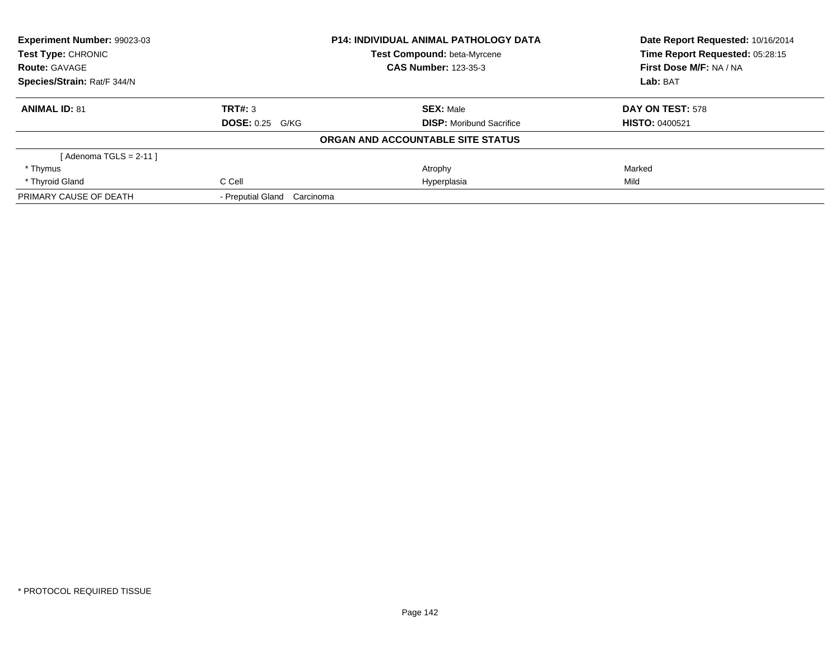| Experiment Number: 99023-03 |                             | <b>P14: INDIVIDUAL ANIMAL PATHOLOGY DATA</b> | Date Report Requested: 10/16/2014 |
|-----------------------------|-----------------------------|----------------------------------------------|-----------------------------------|
| Test Type: CHRONIC          |                             | Test Compound: beta-Myrcene                  | Time Report Requested: 05:28:15   |
| <b>Route: GAVAGE</b>        | <b>CAS Number: 123-35-3</b> |                                              | First Dose M/F: NA / NA           |
| Species/Strain: Rat/F 344/N |                             |                                              | Lab: BAT                          |
| <b>ANIMAL ID: 81</b>        | TRT#: 3                     | <b>SEX: Male</b>                             | DAY ON TEST: 578                  |
|                             | <b>DOSE: 0.25 G/KG</b>      | <b>DISP:</b> Moribund Sacrifice              | <b>HISTO: 0400521</b>             |
|                             |                             | ORGAN AND ACCOUNTABLE SITE STATUS            |                                   |
| [Adenoma TGLS = $2-11$ ]    |                             |                                              |                                   |
| * Thymus                    |                             | Atrophy                                      | Marked                            |
| * Thyroid Gland             | C Cell                      | Hyperplasia                                  | Mild                              |
| PRIMARY CAUSE OF DEATH      | - Preputial Gland Carcinoma |                                              |                                   |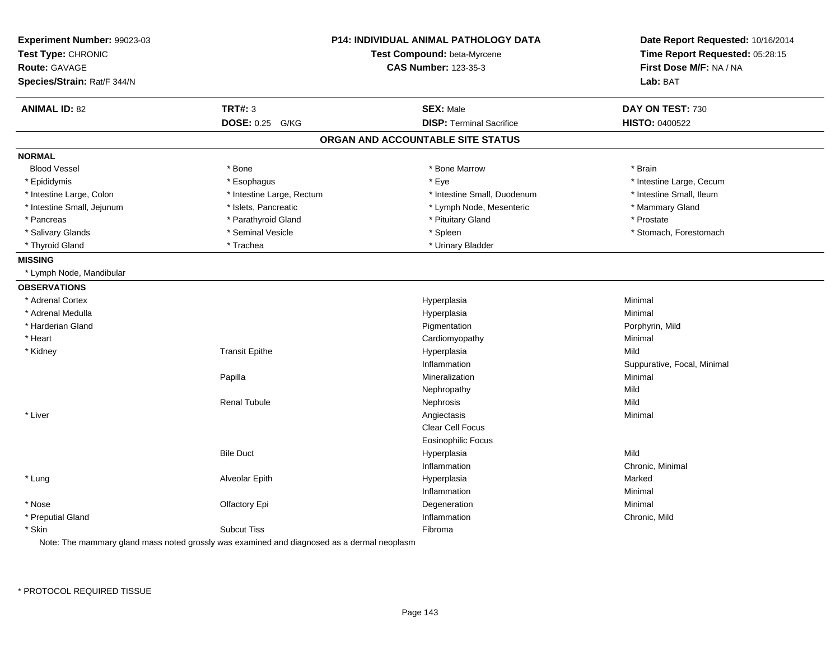| Experiment Number: 99023-03<br>Test Type: CHRONIC<br><b>Route: GAVAGE</b><br>Species/Strain: Rat/F 344/N |                           | <b>P14: INDIVIDUAL ANIMAL PATHOLOGY DATA</b><br>Test Compound: beta-Myrcene<br><b>CAS Number: 123-35-3</b> | Date Report Requested: 10/16/2014<br>Time Report Requested: 05:28:15<br>First Dose M/F: NA / NA<br>Lab: BAT |
|----------------------------------------------------------------------------------------------------------|---------------------------|------------------------------------------------------------------------------------------------------------|-------------------------------------------------------------------------------------------------------------|
| <b>ANIMAL ID: 82</b>                                                                                     | <b>TRT#: 3</b>            | <b>SEX: Male</b>                                                                                           | DAY ON TEST: 730                                                                                            |
|                                                                                                          | DOSE: 0.25 G/KG           | <b>DISP: Terminal Sacrifice</b>                                                                            | HISTO: 0400522                                                                                              |
|                                                                                                          |                           | ORGAN AND ACCOUNTABLE SITE STATUS                                                                          |                                                                                                             |
| <b>NORMAL</b>                                                                                            |                           |                                                                                                            |                                                                                                             |
| <b>Blood Vessel</b>                                                                                      | * Bone                    | * Bone Marrow                                                                                              | * Brain                                                                                                     |
| * Epididymis                                                                                             | * Esophagus               | * Eye                                                                                                      | * Intestine Large, Cecum                                                                                    |
| * Intestine Large, Colon                                                                                 | * Intestine Large, Rectum | * Intestine Small, Duodenum                                                                                | * Intestine Small, Ileum                                                                                    |
| * Intestine Small, Jejunum                                                                               | * Islets, Pancreatic      | * Lymph Node, Mesenteric                                                                                   | * Mammary Gland                                                                                             |
| * Pancreas                                                                                               | * Parathyroid Gland       | * Pituitary Gland                                                                                          | * Prostate                                                                                                  |
| * Salivary Glands                                                                                        | * Seminal Vesicle         | * Spleen                                                                                                   | * Stomach, Forestomach                                                                                      |
| * Thyroid Gland                                                                                          | * Trachea                 | * Urinary Bladder                                                                                          |                                                                                                             |
| <b>MISSING</b>                                                                                           |                           |                                                                                                            |                                                                                                             |
| * Lymph Node, Mandibular                                                                                 |                           |                                                                                                            |                                                                                                             |
| <b>OBSERVATIONS</b>                                                                                      |                           |                                                                                                            |                                                                                                             |
| * Adrenal Cortex                                                                                         |                           | Hyperplasia                                                                                                | Minimal                                                                                                     |
| * Adrenal Medulla                                                                                        |                           | Hyperplasia                                                                                                | Minimal                                                                                                     |
| * Harderian Gland                                                                                        |                           | Pigmentation                                                                                               | Porphyrin, Mild                                                                                             |
| * Heart                                                                                                  |                           | Cardiomyopathy                                                                                             | Minimal                                                                                                     |
| * Kidney                                                                                                 | <b>Transit Epithe</b>     | Hyperplasia                                                                                                | Mild                                                                                                        |
|                                                                                                          |                           | Inflammation                                                                                               | Suppurative, Focal, Minimal                                                                                 |
|                                                                                                          | Papilla                   | Mineralization                                                                                             | Minimal                                                                                                     |
|                                                                                                          |                           | Nephropathy                                                                                                | Mild                                                                                                        |
|                                                                                                          | <b>Renal Tubule</b>       | Nephrosis                                                                                                  | Mild                                                                                                        |
| * Liver                                                                                                  |                           | Angiectasis                                                                                                | Minimal                                                                                                     |
|                                                                                                          |                           | Clear Cell Focus                                                                                           |                                                                                                             |
|                                                                                                          |                           | <b>Eosinophilic Focus</b>                                                                                  |                                                                                                             |
|                                                                                                          | <b>Bile Duct</b>          | Hyperplasia                                                                                                | Mild                                                                                                        |
|                                                                                                          |                           | Inflammation                                                                                               | Chronic, Minimal                                                                                            |
| * Lung                                                                                                   | Alveolar Epith            | Hyperplasia                                                                                                | Marked                                                                                                      |
|                                                                                                          |                           | Inflammation                                                                                               | Minimal                                                                                                     |
| * Nose                                                                                                   | Olfactory Epi             | Degeneration                                                                                               | Minimal                                                                                                     |
| * Preputial Gland                                                                                        |                           | Inflammation                                                                                               | Chronic, Mild                                                                                               |
| * Skin                                                                                                   | <b>Subcut Tiss</b>        | Fibroma                                                                                                    |                                                                                                             |

Note: The mammary gland mass noted grossly was examined and diagnosed as a dermal neoplasm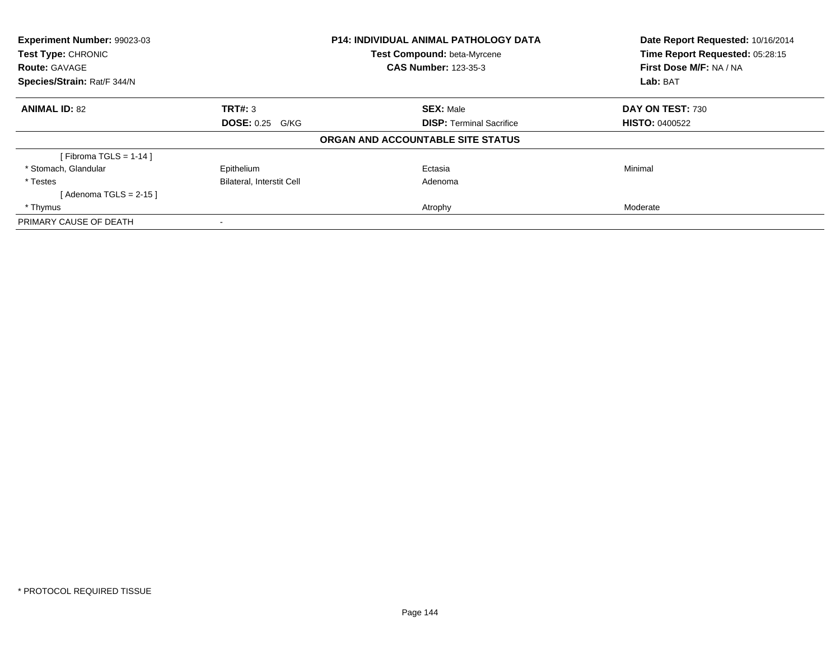| <b>Experiment Number: 99023-03</b><br>Test Type: CHRONIC<br><b>Route: GAVAGE</b><br>Species/Strain: Rat/F 344/N |                                  | <b>P14: INDIVIDUAL ANIMAL PATHOLOGY DATA</b> | Date Report Requested: 10/16/2014<br>Time Report Requested: 05:28:15 |
|-----------------------------------------------------------------------------------------------------------------|----------------------------------|----------------------------------------------|----------------------------------------------------------------------|
|                                                                                                                 |                                  | Test Compound: beta-Myrcene                  |                                                                      |
|                                                                                                                 |                                  | <b>CAS Number: 123-35-3</b>                  | First Dose M/F: NA / NA                                              |
|                                                                                                                 |                                  |                                              | Lab: BAT                                                             |
| <b>ANIMAL ID: 82</b>                                                                                            | TRT#: 3                          | <b>SEX: Male</b>                             | DAY ON TEST: 730                                                     |
|                                                                                                                 | <b>DOSE: 0.25 G/KG</b>           | <b>DISP:</b> Terminal Sacrifice              | <b>HISTO: 0400522</b>                                                |
|                                                                                                                 |                                  | ORGAN AND ACCOUNTABLE SITE STATUS            |                                                                      |
| [Fibroma TGLS = $1-14$ ]                                                                                        |                                  |                                              |                                                                      |
| * Stomach, Glandular                                                                                            | Epithelium                       | Ectasia                                      | Minimal                                                              |
| * Testes                                                                                                        | <b>Bilateral, Interstit Cell</b> | Adenoma                                      |                                                                      |
| [Adenoma TGLS = $2-15$ ]                                                                                        |                                  |                                              |                                                                      |
| * Thymus                                                                                                        |                                  | Atrophy                                      | Moderate                                                             |
| PRIMARY CAUSE OF DEATH                                                                                          |                                  |                                              |                                                                      |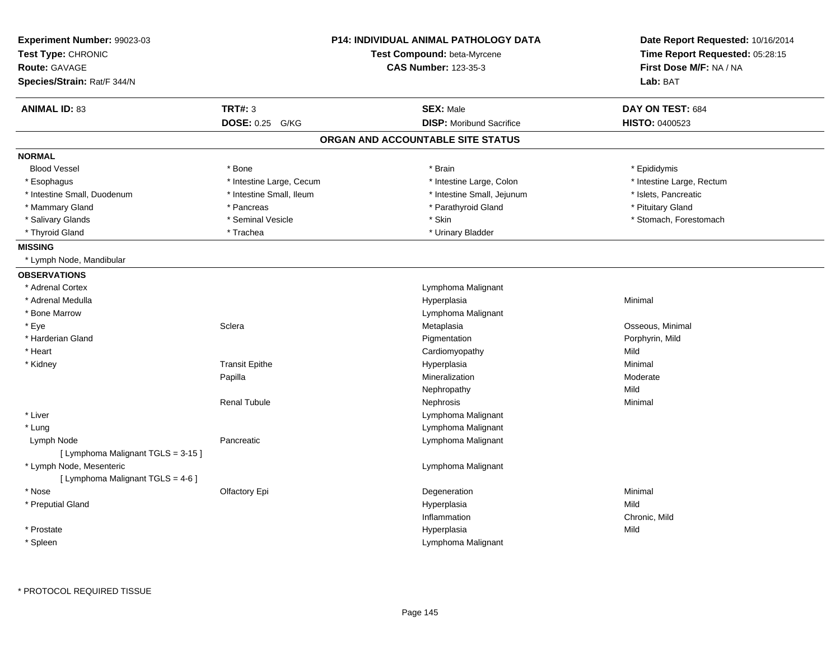| Experiment Number: 99023-03<br>Test Type: CHRONIC<br><b>Route: GAVAGE</b><br>Species/Strain: Rat/F 344/N |                           | <b>P14: INDIVIDUAL ANIMAL PATHOLOGY DATA</b><br>Test Compound: beta-Myrcene<br><b>CAS Number: 123-35-3</b> | Date Report Requested: 10/16/2014<br>Time Report Requested: 05:28:15<br>First Dose M/F: NA / NA<br>Lab: BAT |
|----------------------------------------------------------------------------------------------------------|---------------------------|------------------------------------------------------------------------------------------------------------|-------------------------------------------------------------------------------------------------------------|
| <b>ANIMAL ID: 83</b>                                                                                     | <b>TRT#: 3</b>            | <b>SEX: Male</b>                                                                                           | DAY ON TEST: 684                                                                                            |
|                                                                                                          | <b>DOSE: 0.25</b><br>G/KG | <b>DISP:</b> Moribund Sacrifice                                                                            | <b>HISTO: 0400523</b>                                                                                       |
|                                                                                                          |                           | ORGAN AND ACCOUNTABLE SITE STATUS                                                                          |                                                                                                             |
| <b>NORMAL</b>                                                                                            |                           |                                                                                                            |                                                                                                             |
| <b>Blood Vessel</b>                                                                                      | * Bone                    | * Brain                                                                                                    | * Epididymis                                                                                                |
| * Esophagus                                                                                              | * Intestine Large, Cecum  | * Intestine Large, Colon                                                                                   | * Intestine Large, Rectum                                                                                   |
| * Intestine Small, Duodenum                                                                              | * Intestine Small, Ileum  | * Intestine Small, Jejunum                                                                                 | * Islets, Pancreatic                                                                                        |
| * Mammary Gland                                                                                          | * Pancreas                | * Parathyroid Gland                                                                                        | * Pituitary Gland                                                                                           |
| * Salivary Glands                                                                                        | * Seminal Vesicle         | * Skin                                                                                                     | * Stomach, Forestomach                                                                                      |
| * Thyroid Gland                                                                                          | * Trachea                 | * Urinary Bladder                                                                                          |                                                                                                             |
| <b>MISSING</b>                                                                                           |                           |                                                                                                            |                                                                                                             |
| * Lymph Node, Mandibular                                                                                 |                           |                                                                                                            |                                                                                                             |
| <b>OBSERVATIONS</b>                                                                                      |                           |                                                                                                            |                                                                                                             |
| * Adrenal Cortex                                                                                         |                           | Lymphoma Malignant                                                                                         |                                                                                                             |
| * Adrenal Medulla                                                                                        |                           | Hyperplasia                                                                                                | Minimal                                                                                                     |
| * Bone Marrow                                                                                            |                           | Lymphoma Malignant                                                                                         |                                                                                                             |
| * Eye                                                                                                    | Sclera                    | Metaplasia                                                                                                 | Osseous, Minimal                                                                                            |
| * Harderian Gland                                                                                        |                           | Pigmentation                                                                                               | Porphyrin, Mild                                                                                             |
| * Heart                                                                                                  |                           | Cardiomyopathy                                                                                             | Mild                                                                                                        |
| * Kidney                                                                                                 | <b>Transit Epithe</b>     | Hyperplasia                                                                                                | Minimal                                                                                                     |
|                                                                                                          | Papilla                   | Mineralization                                                                                             | Moderate                                                                                                    |
|                                                                                                          |                           | Nephropathy                                                                                                | Mild                                                                                                        |
|                                                                                                          | <b>Renal Tubule</b>       | Nephrosis                                                                                                  | Minimal                                                                                                     |
| * Liver                                                                                                  |                           | Lymphoma Malignant                                                                                         |                                                                                                             |
| * Lung                                                                                                   |                           | Lymphoma Malignant                                                                                         |                                                                                                             |
| Lymph Node                                                                                               | Pancreatic                | Lymphoma Malignant                                                                                         |                                                                                                             |
| [ Lymphoma Malignant TGLS = 3-15 ]                                                                       |                           |                                                                                                            |                                                                                                             |
| * Lymph Node, Mesenteric                                                                                 |                           | Lymphoma Malignant                                                                                         |                                                                                                             |
| [ Lymphoma Malignant TGLS = 4-6 ]                                                                        |                           |                                                                                                            |                                                                                                             |
| * Nose                                                                                                   | Olfactory Epi             | Degeneration                                                                                               | Minimal                                                                                                     |
| * Preputial Gland                                                                                        |                           | Hyperplasia                                                                                                | Mild                                                                                                        |
|                                                                                                          |                           | Inflammation                                                                                               | Chronic, Mild                                                                                               |
| * Prostate                                                                                               |                           | Hyperplasia                                                                                                | Mild                                                                                                        |
| * Spleen                                                                                                 |                           | Lymphoma Malignant                                                                                         |                                                                                                             |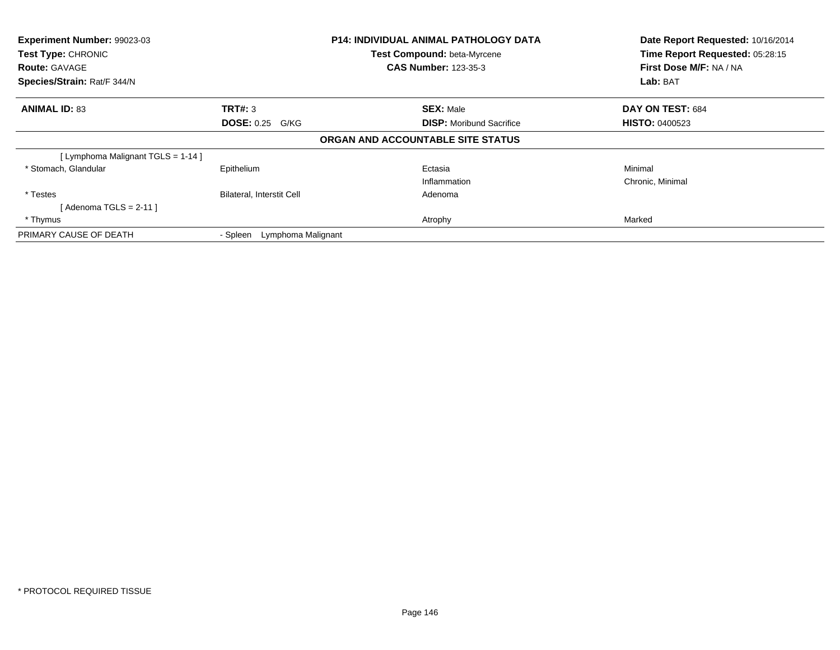| Experiment Number: 99023-03<br><b>Test Type: CHRONIC</b><br><b>Route: GAVAGE</b> |                                | <b>P14: INDIVIDUAL ANIMAL PATHOLOGY DATA</b><br>Test Compound: beta-Myrcene<br><b>CAS Number: 123-35-3</b> | Date Report Requested: 10/16/2014<br>Time Report Requested: 05:28:15<br>First Dose M/F: NA / NA |  |
|----------------------------------------------------------------------------------|--------------------------------|------------------------------------------------------------------------------------------------------------|-------------------------------------------------------------------------------------------------|--|
| Species/Strain: Rat/F 344/N                                                      |                                |                                                                                                            | Lab: BAT                                                                                        |  |
| <b>ANIMAL ID: 83</b>                                                             | TRT#: 3                        | <b>SEX: Male</b>                                                                                           | DAY ON TEST: 684                                                                                |  |
|                                                                                  | <b>DOSE: 0.25 G/KG</b>         | <b>DISP:</b> Moribund Sacrifice                                                                            | <b>HISTO: 0400523</b>                                                                           |  |
|                                                                                  |                                | ORGAN AND ACCOUNTABLE SITE STATUS                                                                          |                                                                                                 |  |
| [ Lymphoma Malignant TGLS = 1-14 ]                                               |                                |                                                                                                            |                                                                                                 |  |
| * Stomach, Glandular                                                             | Epithelium                     | Ectasia                                                                                                    | Minimal                                                                                         |  |
|                                                                                  |                                | Inflammation                                                                                               | Chronic, Minimal                                                                                |  |
| * Testes                                                                         | Bilateral, Interstit Cell      | Adenoma                                                                                                    |                                                                                                 |  |
| [ Adenoma TGLS = 2-11 ]                                                          |                                |                                                                                                            |                                                                                                 |  |
| * Thymus                                                                         |                                | Atrophy                                                                                                    | Marked                                                                                          |  |
| PRIMARY CAUSE OF DEATH                                                           | Lymphoma Malignant<br>- Spleen |                                                                                                            |                                                                                                 |  |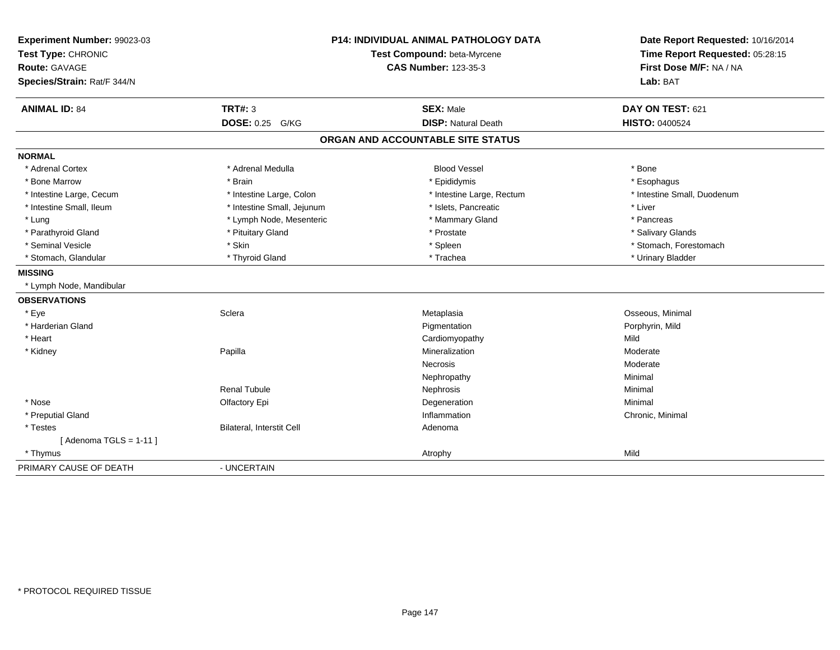| Experiment Number: 99023-03<br>Test Type: CHRONIC<br><b>Route: GAVAGE</b><br>Species/Strain: Rat/F 344/N | <b>P14: INDIVIDUAL ANIMAL PATHOLOGY DATA</b><br>Test Compound: beta-Myrcene<br><b>CAS Number: 123-35-3</b> |                                   | Date Report Requested: 10/16/2014<br>Time Report Requested: 05:28:15<br>First Dose M/F: NA / NA<br>Lab: BAT |
|----------------------------------------------------------------------------------------------------------|------------------------------------------------------------------------------------------------------------|-----------------------------------|-------------------------------------------------------------------------------------------------------------|
| <b>ANIMAL ID: 84</b>                                                                                     | <b>TRT#: 3</b>                                                                                             | <b>SEX: Male</b>                  | DAY ON TEST: 621                                                                                            |
|                                                                                                          | <b>DOSE: 0.25 G/KG</b>                                                                                     | <b>DISP: Natural Death</b>        | <b>HISTO: 0400524</b>                                                                                       |
|                                                                                                          |                                                                                                            | ORGAN AND ACCOUNTABLE SITE STATUS |                                                                                                             |
| <b>NORMAL</b>                                                                                            |                                                                                                            |                                   |                                                                                                             |
| * Adrenal Cortex                                                                                         | * Adrenal Medulla                                                                                          | <b>Blood Vessel</b>               | * Bone                                                                                                      |
| * Bone Marrow                                                                                            | * Brain                                                                                                    | * Epididymis                      | * Esophagus                                                                                                 |
| * Intestine Large, Cecum                                                                                 | * Intestine Large, Colon                                                                                   | * Intestine Large, Rectum         | * Intestine Small, Duodenum                                                                                 |
| * Intestine Small, Ileum                                                                                 | * Intestine Small, Jejunum                                                                                 | * Islets, Pancreatic              | * Liver                                                                                                     |
| * Lung                                                                                                   | * Lymph Node, Mesenteric                                                                                   | * Mammary Gland                   | * Pancreas                                                                                                  |
| * Parathyroid Gland                                                                                      | * Pituitary Gland                                                                                          | * Prostate                        | * Salivary Glands                                                                                           |
| * Seminal Vesicle                                                                                        | * Skin                                                                                                     | * Spleen                          | * Stomach, Forestomach                                                                                      |
| * Stomach, Glandular                                                                                     | * Thyroid Gland                                                                                            | * Trachea                         | * Urinary Bladder                                                                                           |
| <b>MISSING</b>                                                                                           |                                                                                                            |                                   |                                                                                                             |
| * Lymph Node, Mandibular                                                                                 |                                                                                                            |                                   |                                                                                                             |
| <b>OBSERVATIONS</b>                                                                                      |                                                                                                            |                                   |                                                                                                             |
| * Eye                                                                                                    | Sclera                                                                                                     | Metaplasia                        | Osseous, Minimal                                                                                            |
| * Harderian Gland                                                                                        |                                                                                                            | Pigmentation                      | Porphyrin, Mild                                                                                             |
| * Heart                                                                                                  |                                                                                                            | Cardiomyopathy                    | Mild                                                                                                        |
| * Kidney                                                                                                 | Papilla                                                                                                    | Mineralization                    | Moderate                                                                                                    |
|                                                                                                          |                                                                                                            | <b>Necrosis</b>                   | Moderate                                                                                                    |
|                                                                                                          |                                                                                                            | Nephropathy                       | Minimal                                                                                                     |
|                                                                                                          | <b>Renal Tubule</b>                                                                                        | Nephrosis                         | Minimal                                                                                                     |
| * Nose                                                                                                   | Olfactory Epi                                                                                              | Degeneration                      | Minimal                                                                                                     |
| * Preputial Gland                                                                                        |                                                                                                            | Inflammation                      | Chronic, Minimal                                                                                            |
| * Testes                                                                                                 | Bilateral, Interstit Cell                                                                                  | Adenoma                           |                                                                                                             |
| [Adenoma TGLS = $1-11$ ]                                                                                 |                                                                                                            |                                   |                                                                                                             |
| * Thymus                                                                                                 |                                                                                                            | Atrophy                           | Mild                                                                                                        |
| PRIMARY CAUSE OF DEATH                                                                                   | - UNCERTAIN                                                                                                |                                   |                                                                                                             |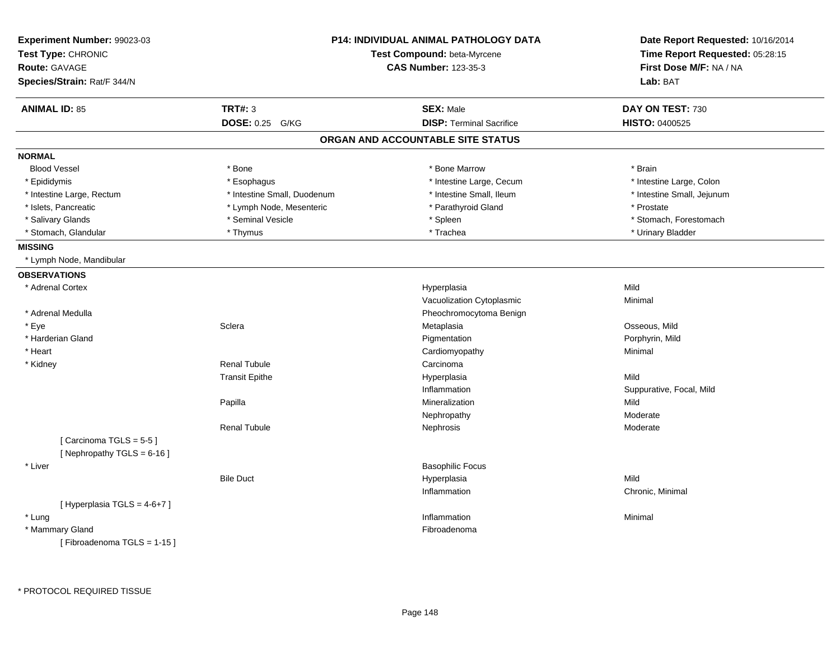| Experiment Number: 99023-03<br>Test Type: CHRONIC<br><b>Route: GAVAGE</b><br>Species/Strain: Rat/F 344/N |                             | <b>P14: INDIVIDUAL ANIMAL PATHOLOGY DATA</b><br>Test Compound: beta-Myrcene<br><b>CAS Number: 123-35-3</b> | Date Report Requested: 10/16/2014<br>Time Report Requested: 05:28:15<br>First Dose M/F: NA / NA<br>Lab: BAT |
|----------------------------------------------------------------------------------------------------------|-----------------------------|------------------------------------------------------------------------------------------------------------|-------------------------------------------------------------------------------------------------------------|
| <b>ANIMAL ID: 85</b>                                                                                     | <b>TRT#: 3</b>              | <b>SEX: Male</b>                                                                                           | DAY ON TEST: 730                                                                                            |
|                                                                                                          | DOSE: 0.25 G/KG             | <b>DISP: Terminal Sacrifice</b>                                                                            | <b>HISTO: 0400525</b>                                                                                       |
|                                                                                                          |                             | ORGAN AND ACCOUNTABLE SITE STATUS                                                                          |                                                                                                             |
| <b>NORMAL</b>                                                                                            |                             |                                                                                                            |                                                                                                             |
| <b>Blood Vessel</b>                                                                                      | * Bone                      | * Bone Marrow                                                                                              | * Brain                                                                                                     |
| * Epididymis                                                                                             | * Esophagus                 | * Intestine Large, Cecum                                                                                   | * Intestine Large, Colon                                                                                    |
| * Intestine Large, Rectum                                                                                | * Intestine Small, Duodenum | * Intestine Small, Ileum                                                                                   | * Intestine Small, Jejunum                                                                                  |
| * Islets, Pancreatic                                                                                     | * Lymph Node, Mesenteric    | * Parathyroid Gland                                                                                        | * Prostate                                                                                                  |
| * Salivary Glands                                                                                        | * Seminal Vesicle           | * Spleen                                                                                                   | * Stomach, Forestomach                                                                                      |
| * Stomach, Glandular                                                                                     | * Thymus                    | * Trachea                                                                                                  | * Urinary Bladder                                                                                           |
| <b>MISSING</b>                                                                                           |                             |                                                                                                            |                                                                                                             |
| * Lymph Node, Mandibular                                                                                 |                             |                                                                                                            |                                                                                                             |
| <b>OBSERVATIONS</b>                                                                                      |                             |                                                                                                            |                                                                                                             |
| * Adrenal Cortex                                                                                         |                             | Hyperplasia                                                                                                | Mild                                                                                                        |
|                                                                                                          |                             | Vacuolization Cytoplasmic                                                                                  | Minimal                                                                                                     |
| * Adrenal Medulla                                                                                        |                             | Pheochromocytoma Benign                                                                                    |                                                                                                             |
| * Eye                                                                                                    | Sclera                      | Metaplasia                                                                                                 | Osseous, Mild                                                                                               |
| * Harderian Gland                                                                                        |                             | Pigmentation                                                                                               | Porphyrin, Mild                                                                                             |
| * Heart                                                                                                  |                             | Cardiomyopathy                                                                                             | Minimal                                                                                                     |
| * Kidney                                                                                                 | <b>Renal Tubule</b>         | Carcinoma                                                                                                  |                                                                                                             |
|                                                                                                          | <b>Transit Epithe</b>       | Hyperplasia                                                                                                | Mild                                                                                                        |
|                                                                                                          |                             | Inflammation                                                                                               | Suppurative, Focal, Mild                                                                                    |
|                                                                                                          | Papilla                     | Mineralization                                                                                             | Mild                                                                                                        |
|                                                                                                          |                             | Nephropathy                                                                                                | Moderate                                                                                                    |
|                                                                                                          | <b>Renal Tubule</b>         | Nephrosis                                                                                                  | Moderate                                                                                                    |
| [Carcinoma TGLS = 5-5]                                                                                   |                             |                                                                                                            |                                                                                                             |
| [Nephropathy TGLS = $6-16$ ]                                                                             |                             |                                                                                                            |                                                                                                             |
| * Liver                                                                                                  |                             | <b>Basophilic Focus</b>                                                                                    |                                                                                                             |
|                                                                                                          | <b>Bile Duct</b>            | Hyperplasia                                                                                                | Mild                                                                                                        |
|                                                                                                          |                             | Inflammation                                                                                               | Chronic, Minimal                                                                                            |
| [ Hyperplasia TGLS = 4-6+7 ]                                                                             |                             |                                                                                                            |                                                                                                             |
| * Lung                                                                                                   |                             | Inflammation                                                                                               | Minimal                                                                                                     |
| * Mammary Gland                                                                                          |                             | Fibroadenoma                                                                                               |                                                                                                             |
| [Fibroadenoma TGLS = 1-15]                                                                               |                             |                                                                                                            |                                                                                                             |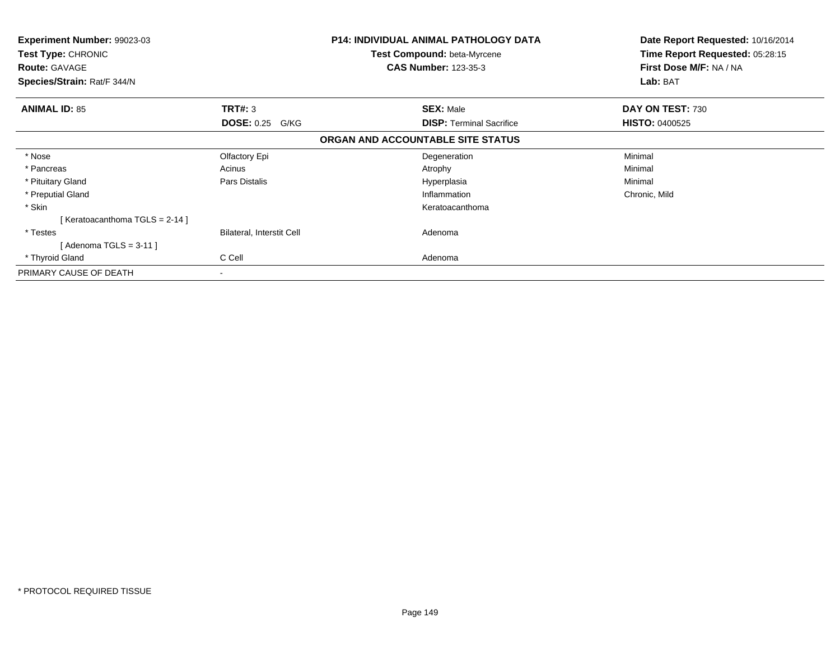| <b>Experiment Number: 99023-03</b><br><b>Test Type: CHRONIC</b><br><b>Route: GAVAGE</b><br>Species/Strain: Rat/F 344/N |                                  | P14: INDIVIDUAL ANIMAL PATHOLOGY DATA<br><b>Test Compound: beta-Myrcene</b><br><b>CAS Number: 123-35-3</b> | Date Report Requested: 10/16/2014<br>Time Report Requested: 05:28:15<br>First Dose M/F: NA / NA<br>Lab: BAT |
|------------------------------------------------------------------------------------------------------------------------|----------------------------------|------------------------------------------------------------------------------------------------------------|-------------------------------------------------------------------------------------------------------------|
| <b>ANIMAL ID: 85</b>                                                                                                   | TRT#: 3                          | <b>SEX: Male</b>                                                                                           | DAY ON TEST: 730                                                                                            |
|                                                                                                                        | <b>DOSE: 0.25 G/KG</b>           | <b>DISP:</b> Terminal Sacrifice                                                                            | <b>HISTO: 0400525</b>                                                                                       |
|                                                                                                                        |                                  | ORGAN AND ACCOUNTABLE SITE STATUS                                                                          |                                                                                                             |
| * Nose                                                                                                                 | Olfactory Epi                    | Degeneration                                                                                               | Minimal                                                                                                     |
| * Pancreas                                                                                                             | Acinus                           | Atrophy                                                                                                    | Minimal                                                                                                     |
| * Pituitary Gland                                                                                                      | Pars Distalis                    | Hyperplasia                                                                                                | Minimal                                                                                                     |
| * Preputial Gland                                                                                                      |                                  | Inflammation                                                                                               | Chronic, Mild                                                                                               |
| * Skin                                                                                                                 |                                  | Keratoacanthoma                                                                                            |                                                                                                             |
| [Keratoacanthoma TGLS = 2-14]                                                                                          |                                  |                                                                                                            |                                                                                                             |
| * Testes                                                                                                               | <b>Bilateral, Interstit Cell</b> | Adenoma                                                                                                    |                                                                                                             |
| Adenoma TGLS = 3-11 ]                                                                                                  |                                  |                                                                                                            |                                                                                                             |
| * Thyroid Gland                                                                                                        | C Cell                           | Adenoma                                                                                                    |                                                                                                             |
| PRIMARY CAUSE OF DEATH                                                                                                 | ٠                                |                                                                                                            |                                                                                                             |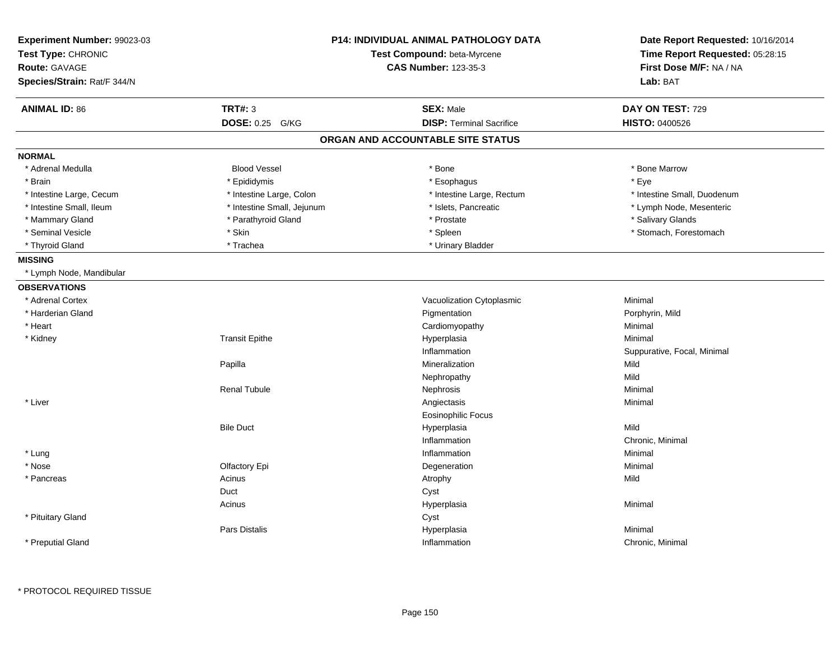| Experiment Number: 99023-03<br>Test Type: CHRONIC<br><b>Route: GAVAGE</b><br>Species/Strain: Rat/F 344/N | <b>P14: INDIVIDUAL ANIMAL PATHOLOGY DATA</b><br>Test Compound: beta-Myrcene<br><b>CAS Number: 123-35-3</b> |                                   | Date Report Requested: 10/16/2014<br>Time Report Requested: 05:28:15<br>First Dose M/F: NA / NA<br>Lab: BAT |
|----------------------------------------------------------------------------------------------------------|------------------------------------------------------------------------------------------------------------|-----------------------------------|-------------------------------------------------------------------------------------------------------------|
| <b>ANIMAL ID: 86</b>                                                                                     | <b>TRT#: 3</b>                                                                                             | <b>SEX: Male</b>                  | DAY ON TEST: 729                                                                                            |
|                                                                                                          | DOSE: 0.25 G/KG                                                                                            | <b>DISP: Terminal Sacrifice</b>   | <b>HISTO: 0400526</b>                                                                                       |
|                                                                                                          |                                                                                                            | ORGAN AND ACCOUNTABLE SITE STATUS |                                                                                                             |
| <b>NORMAL</b>                                                                                            |                                                                                                            |                                   |                                                                                                             |
| * Adrenal Medulla                                                                                        | <b>Blood Vessel</b>                                                                                        | * Bone                            | * Bone Marrow                                                                                               |
| * Brain                                                                                                  | * Epididymis                                                                                               | * Esophagus                       | * Eye                                                                                                       |
| * Intestine Large, Cecum                                                                                 | * Intestine Large, Colon                                                                                   | * Intestine Large, Rectum         | * Intestine Small, Duodenum                                                                                 |
| * Intestine Small, Ileum                                                                                 | * Intestine Small, Jejunum                                                                                 | * Islets, Pancreatic              | * Lymph Node, Mesenteric                                                                                    |
| * Mammary Gland                                                                                          | * Parathyroid Gland                                                                                        | * Prostate                        | * Salivary Glands                                                                                           |
| * Seminal Vesicle                                                                                        | * Skin                                                                                                     | * Spleen                          | * Stomach, Forestomach                                                                                      |
| * Thyroid Gland                                                                                          | * Trachea                                                                                                  | * Urinary Bladder                 |                                                                                                             |
| <b>MISSING</b>                                                                                           |                                                                                                            |                                   |                                                                                                             |
| * Lymph Node, Mandibular                                                                                 |                                                                                                            |                                   |                                                                                                             |
| <b>OBSERVATIONS</b>                                                                                      |                                                                                                            |                                   |                                                                                                             |
| * Adrenal Cortex                                                                                         |                                                                                                            | Vacuolization Cytoplasmic         | Minimal                                                                                                     |
| * Harderian Gland                                                                                        |                                                                                                            | Pigmentation                      | Porphyrin, Mild                                                                                             |
| * Heart                                                                                                  |                                                                                                            | Cardiomyopathy                    | Minimal                                                                                                     |
| * Kidney                                                                                                 | <b>Transit Epithe</b>                                                                                      | Hyperplasia                       | Minimal                                                                                                     |
|                                                                                                          |                                                                                                            | Inflammation                      | Suppurative, Focal, Minimal                                                                                 |
|                                                                                                          | Papilla                                                                                                    | Mineralization                    | Mild                                                                                                        |
|                                                                                                          |                                                                                                            | Nephropathy                       | Mild                                                                                                        |
|                                                                                                          | <b>Renal Tubule</b>                                                                                        | Nephrosis                         | Minimal                                                                                                     |
| * Liver                                                                                                  |                                                                                                            | Angiectasis                       | Minimal                                                                                                     |
|                                                                                                          |                                                                                                            | <b>Eosinophilic Focus</b>         |                                                                                                             |
|                                                                                                          | <b>Bile Duct</b>                                                                                           | Hyperplasia                       | Mild                                                                                                        |
|                                                                                                          |                                                                                                            | Inflammation                      | Chronic, Minimal                                                                                            |
| * Lung                                                                                                   |                                                                                                            | Inflammation                      | Minimal                                                                                                     |
| * Nose                                                                                                   | Olfactory Epi                                                                                              | Degeneration                      | Minimal                                                                                                     |
| * Pancreas                                                                                               | Acinus                                                                                                     | Atrophy                           | Mild                                                                                                        |
|                                                                                                          | Duct                                                                                                       | Cyst                              |                                                                                                             |
|                                                                                                          | Acinus                                                                                                     | Hyperplasia                       | Minimal                                                                                                     |
| * Pituitary Gland                                                                                        |                                                                                                            | Cyst                              |                                                                                                             |
|                                                                                                          | <b>Pars Distalis</b>                                                                                       | Hyperplasia                       | Minimal                                                                                                     |
| * Preputial Gland                                                                                        |                                                                                                            | Inflammation                      | Chronic, Minimal                                                                                            |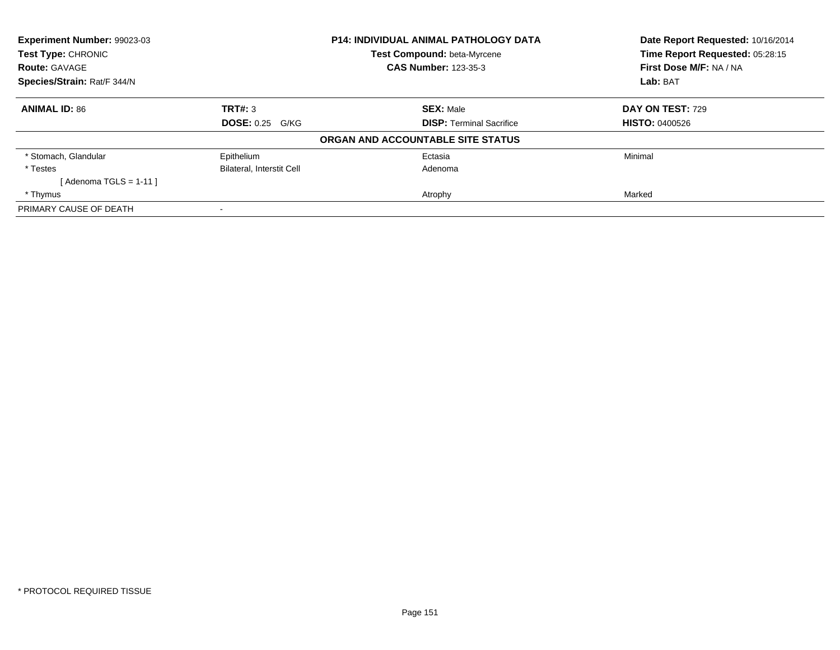| Experiment Number: 99023-03<br><b>Test Type: CHRONIC</b> |                                  | <b>P14: INDIVIDUAL ANIMAL PATHOLOGY DATA</b> | Date Report Requested: 10/16/2014<br>Time Report Requested: 05:28:15 |
|----------------------------------------------------------|----------------------------------|----------------------------------------------|----------------------------------------------------------------------|
|                                                          |                                  | <b>Test Compound: beta-Myrcene</b>           |                                                                      |
| <b>Route: GAVAGE</b>                                     |                                  | <b>CAS Number: 123-35-3</b>                  | First Dose M/F: NA / NA                                              |
| Species/Strain: Rat/F 344/N                              |                                  |                                              | Lab: BAT                                                             |
| <b>ANIMAL ID: 86</b>                                     | TRT#: 3                          | <b>SEX: Male</b>                             | DAY ON TEST: 729                                                     |
|                                                          | <b>DOSE: 0.25 G/KG</b>           | <b>DISP: Terminal Sacrifice</b>              | <b>HISTO: 0400526</b>                                                |
|                                                          |                                  | ORGAN AND ACCOUNTABLE SITE STATUS            |                                                                      |
| * Stomach, Glandular                                     | Epithelium                       | Ectasia                                      | Minimal                                                              |
| * Testes                                                 | <b>Bilateral, Interstit Cell</b> | Adenoma                                      |                                                                      |
| [Adenoma TGLS = $1-11$ ]                                 |                                  |                                              |                                                                      |
| * Thymus                                                 |                                  | Atrophy                                      | Marked                                                               |
| PRIMARY CAUSE OF DEATH                                   |                                  |                                              |                                                                      |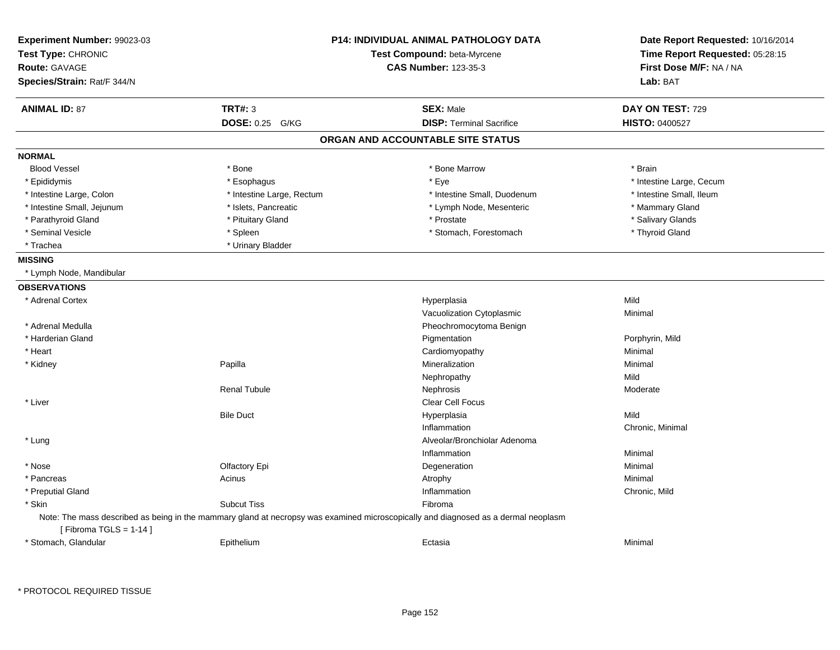| Experiment Number: 99023-03<br>Test Type: CHRONIC<br>Route: GAVAGE<br>Species/Strain: Rat/F 344/N | <b>P14: INDIVIDUAL ANIMAL PATHOLOGY DATA</b><br>Test Compound: beta-Myrcene<br><b>CAS Number: 123-35-3</b> |                                                                                                                                    | Date Report Requested: 10/16/2014<br>Time Report Requested: 05:28:15<br>First Dose M/F: NA / NA<br>Lab: BAT |
|---------------------------------------------------------------------------------------------------|------------------------------------------------------------------------------------------------------------|------------------------------------------------------------------------------------------------------------------------------------|-------------------------------------------------------------------------------------------------------------|
| <b>ANIMAL ID: 87</b>                                                                              | TRT#: 3                                                                                                    | <b>SEX: Male</b>                                                                                                                   | DAY ON TEST: 729                                                                                            |
|                                                                                                   | <b>DOSE: 0.25 G/KG</b>                                                                                     | <b>DISP: Terminal Sacrifice</b>                                                                                                    | <b>HISTO: 0400527</b>                                                                                       |
|                                                                                                   |                                                                                                            | ORGAN AND ACCOUNTABLE SITE STATUS                                                                                                  |                                                                                                             |
| <b>NORMAL</b>                                                                                     |                                                                                                            |                                                                                                                                    |                                                                                                             |
| <b>Blood Vessel</b>                                                                               | * Bone                                                                                                     | * Bone Marrow                                                                                                                      | * Brain                                                                                                     |
| * Epididymis                                                                                      | * Esophagus                                                                                                | * Eye                                                                                                                              | * Intestine Large, Cecum                                                                                    |
| * Intestine Large, Colon                                                                          | * Intestine Large, Rectum                                                                                  | * Intestine Small, Duodenum                                                                                                        | * Intestine Small, Ileum                                                                                    |
| * Intestine Small, Jejunum                                                                        | * Islets, Pancreatic                                                                                       | * Lymph Node, Mesenteric                                                                                                           | * Mammary Gland                                                                                             |
| * Parathyroid Gland                                                                               | * Pituitary Gland                                                                                          | * Prostate                                                                                                                         | * Salivary Glands                                                                                           |
| * Seminal Vesicle                                                                                 | * Spleen                                                                                                   | * Stomach, Forestomach                                                                                                             | * Thyroid Gland                                                                                             |
| * Trachea                                                                                         | * Urinary Bladder                                                                                          |                                                                                                                                    |                                                                                                             |
| <b>MISSING</b>                                                                                    |                                                                                                            |                                                                                                                                    |                                                                                                             |
| * Lymph Node, Mandibular                                                                          |                                                                                                            |                                                                                                                                    |                                                                                                             |
| <b>OBSERVATIONS</b>                                                                               |                                                                                                            |                                                                                                                                    |                                                                                                             |
| * Adrenal Cortex                                                                                  |                                                                                                            | Hyperplasia                                                                                                                        | Mild                                                                                                        |
|                                                                                                   |                                                                                                            | Vacuolization Cytoplasmic                                                                                                          | Minimal                                                                                                     |
| * Adrenal Medulla                                                                                 |                                                                                                            | Pheochromocytoma Benign                                                                                                            |                                                                                                             |
| * Harderian Gland                                                                                 |                                                                                                            | Pigmentation                                                                                                                       | Porphyrin, Mild                                                                                             |
| * Heart                                                                                           |                                                                                                            | Cardiomyopathy                                                                                                                     | Minimal                                                                                                     |
| * Kidney                                                                                          | Papilla                                                                                                    | Mineralization                                                                                                                     | Minimal                                                                                                     |
|                                                                                                   |                                                                                                            | Nephropathy                                                                                                                        | Mild                                                                                                        |
|                                                                                                   | <b>Renal Tubule</b>                                                                                        | Nephrosis                                                                                                                          | Moderate                                                                                                    |
| * Liver                                                                                           |                                                                                                            | Clear Cell Focus                                                                                                                   |                                                                                                             |
|                                                                                                   | <b>Bile Duct</b>                                                                                           | Hyperplasia                                                                                                                        | Mild                                                                                                        |
|                                                                                                   |                                                                                                            | Inflammation                                                                                                                       | Chronic, Minimal                                                                                            |
| * Lung                                                                                            |                                                                                                            | Alveolar/Bronchiolar Adenoma                                                                                                       |                                                                                                             |
|                                                                                                   |                                                                                                            | Inflammation                                                                                                                       | Minimal                                                                                                     |
| * Nose                                                                                            | Olfactory Epi                                                                                              | Degeneration                                                                                                                       | Minimal                                                                                                     |
| * Pancreas                                                                                        | Acinus                                                                                                     | Atrophy                                                                                                                            | Minimal                                                                                                     |
| * Preputial Gland                                                                                 |                                                                                                            | Inflammation                                                                                                                       | Chronic, Mild                                                                                               |
| * Skin                                                                                            | <b>Subcut Tiss</b>                                                                                         | Fibroma                                                                                                                            |                                                                                                             |
|                                                                                                   |                                                                                                            | Note: The mass described as being in the mammary gland at necropsy was examined microscopically and diagnosed as a dermal neoplasm |                                                                                                             |
| [Fibroma TGLS = $1-14$ ]                                                                          |                                                                                                            |                                                                                                                                    |                                                                                                             |
| * Stomach, Glandular                                                                              | Epithelium                                                                                                 | Ectasia                                                                                                                            | Minimal                                                                                                     |
|                                                                                                   |                                                                                                            |                                                                                                                                    |                                                                                                             |

\* PROTOCOL REQUIRED TISSUE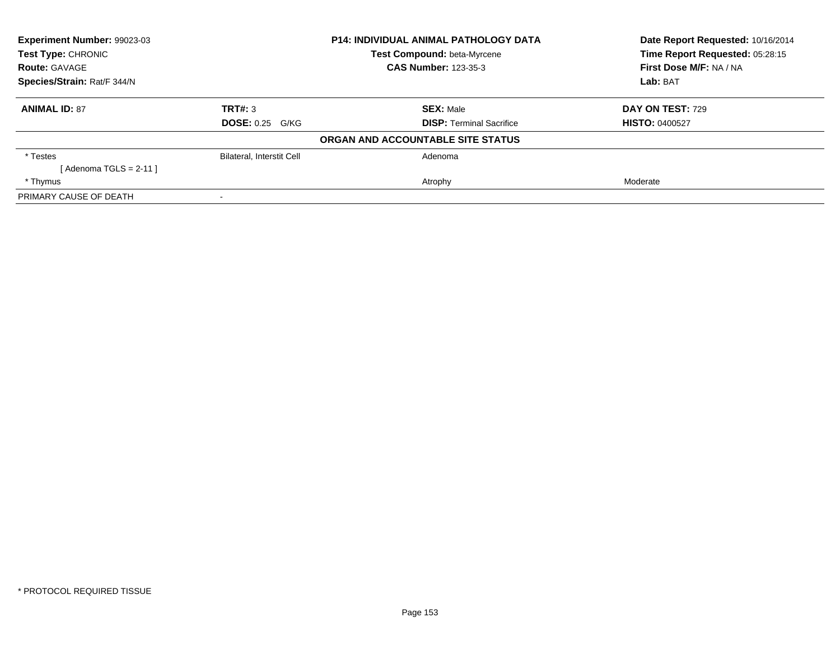| <b>Experiment Number: 99023-03</b><br>Test Type: CHRONIC |                             | <b>P14: INDIVIDUAL ANIMAL PATHOLOGY DATA</b> | Date Report Requested: 10/16/2014<br>Time Report Requested: 05:28:15 |
|----------------------------------------------------------|-----------------------------|----------------------------------------------|----------------------------------------------------------------------|
|                                                          |                             | Test Compound: beta-Myrcene                  |                                                                      |
| <b>Route: GAVAGE</b>                                     | <b>CAS Number: 123-35-3</b> |                                              | First Dose M/F: NA / NA                                              |
| Species/Strain: Rat/F 344/N                              |                             |                                              | Lab: BAT                                                             |
| <b>ANIMAL ID: 87</b>                                     | TRT#: 3                     | <b>SEX: Male</b>                             | DAY ON TEST: 729                                                     |
|                                                          | <b>DOSE: 0.25 G/KG</b>      | <b>DISP:</b> Terminal Sacrifice              | <b>HISTO: 0400527</b>                                                |
|                                                          |                             | ORGAN AND ACCOUNTABLE SITE STATUS            |                                                                      |
| * Testes                                                 | Bilateral, Interstit Cell   | Adenoma                                      |                                                                      |
| [ Adenoma TGLS = 2-11 ]                                  |                             |                                              |                                                                      |
| * Thymus                                                 |                             | Atrophy                                      | Moderate                                                             |
| PRIMARY CAUSE OF DEATH                                   |                             |                                              |                                                                      |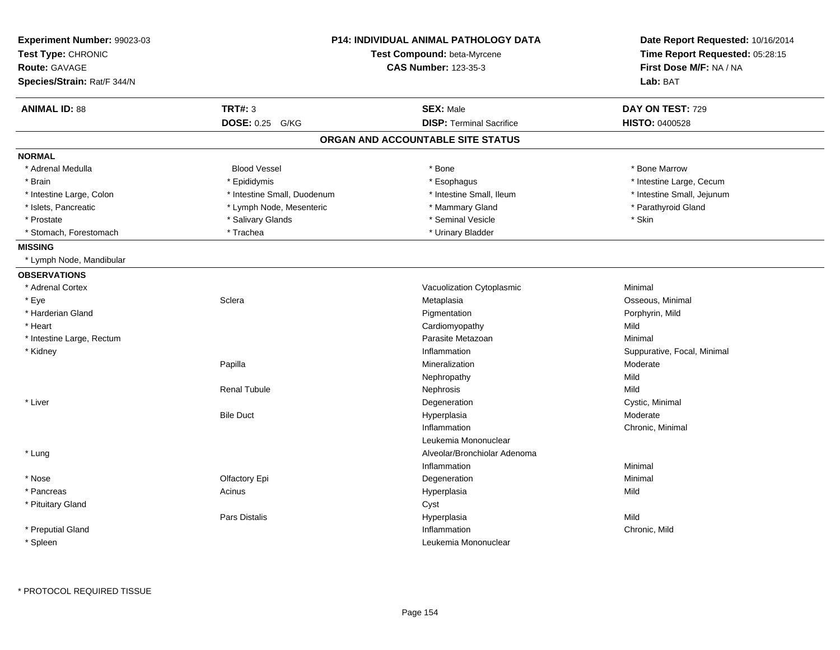| Experiment Number: 99023-03<br>Test Type: CHRONIC<br><b>Route: GAVAGE</b><br>Species/Strain: Rat/F 344/N |                             | <b>P14: INDIVIDUAL ANIMAL PATHOLOGY DATA</b><br>Test Compound: beta-Myrcene<br><b>CAS Number: 123-35-3</b> |                             |
|----------------------------------------------------------------------------------------------------------|-----------------------------|------------------------------------------------------------------------------------------------------------|-----------------------------|
| <b>ANIMAL ID: 88</b>                                                                                     | <b>TRT#: 3</b>              | <b>SEX: Male</b>                                                                                           | DAY ON TEST: 729            |
|                                                                                                          | <b>DOSE: 0.25</b><br>G/KG   | <b>DISP: Terminal Sacrifice</b>                                                                            | <b>HISTO: 0400528</b>       |
|                                                                                                          |                             | ORGAN AND ACCOUNTABLE SITE STATUS                                                                          |                             |
| <b>NORMAL</b>                                                                                            |                             |                                                                                                            |                             |
| * Adrenal Medulla                                                                                        | <b>Blood Vessel</b>         | * Bone                                                                                                     | * Bone Marrow               |
| * Brain                                                                                                  | * Epididymis                | * Esophagus                                                                                                | * Intestine Large, Cecum    |
| * Intestine Large, Colon                                                                                 | * Intestine Small, Duodenum | * Intestine Small, Ileum                                                                                   | * Intestine Small, Jejunum  |
| * Islets, Pancreatic                                                                                     | * Lymph Node, Mesenteric    | * Mammary Gland                                                                                            | * Parathyroid Gland         |
| * Prostate                                                                                               | * Salivary Glands           | * Seminal Vesicle                                                                                          | * Skin                      |
| * Stomach, Forestomach                                                                                   | * Trachea                   | * Urinary Bladder                                                                                          |                             |
| <b>MISSING</b>                                                                                           |                             |                                                                                                            |                             |
| * Lymph Node, Mandibular                                                                                 |                             |                                                                                                            |                             |
| <b>OBSERVATIONS</b>                                                                                      |                             |                                                                                                            |                             |
| * Adrenal Cortex                                                                                         |                             | Vacuolization Cytoplasmic                                                                                  | Minimal                     |
| * Eye                                                                                                    | Sclera                      | Metaplasia                                                                                                 | Osseous, Minimal            |
| * Harderian Gland                                                                                        |                             | Pigmentation                                                                                               | Porphyrin, Mild             |
| * Heart                                                                                                  |                             | Cardiomyopathy                                                                                             | Mild                        |
| * Intestine Large, Rectum                                                                                |                             | Parasite Metazoan                                                                                          | Minimal                     |
| * Kidney                                                                                                 |                             | Inflammation                                                                                               | Suppurative, Focal, Minimal |
|                                                                                                          | Papilla                     | Mineralization                                                                                             | Moderate                    |
|                                                                                                          |                             | Nephropathy                                                                                                | Mild                        |
|                                                                                                          | <b>Renal Tubule</b>         | Nephrosis                                                                                                  | Mild                        |
| * Liver                                                                                                  |                             | Degeneration                                                                                               | Cystic, Minimal             |
|                                                                                                          | <b>Bile Duct</b>            | Hyperplasia                                                                                                | Moderate                    |
|                                                                                                          |                             | Inflammation                                                                                               | Chronic, Minimal            |
|                                                                                                          |                             | Leukemia Mononuclear                                                                                       |                             |
| * Lung                                                                                                   |                             | Alveolar/Bronchiolar Adenoma                                                                               |                             |
|                                                                                                          |                             | Inflammation                                                                                               | Minimal                     |
| * Nose                                                                                                   | Olfactory Epi               | Degeneration                                                                                               | Minimal                     |
| * Pancreas                                                                                               | Acinus                      | Hyperplasia                                                                                                | Mild                        |
| * Pituitary Gland                                                                                        |                             | Cyst                                                                                                       |                             |
|                                                                                                          | <b>Pars Distalis</b>        | Hyperplasia                                                                                                | Mild                        |
| * Preputial Gland                                                                                        |                             | Inflammation                                                                                               | Chronic, Mild               |
|                                                                                                          |                             | Leukemia Mononuclear                                                                                       |                             |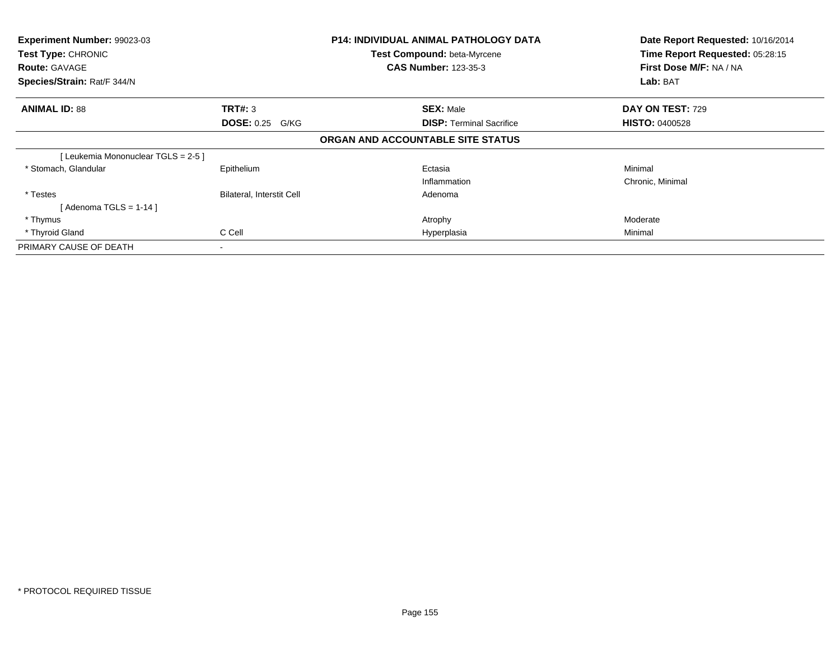| Experiment Number: 99023-03                |                                  | <b>P14: INDIVIDUAL ANIMAL PATHOLOGY DATA</b>               | Date Report Requested: 10/16/2014                          |  |
|--------------------------------------------|----------------------------------|------------------------------------------------------------|------------------------------------------------------------|--|
| Test Type: CHRONIC<br><b>Route: GAVAGE</b> |                                  | Test Compound: beta-Myrcene<br><b>CAS Number: 123-35-3</b> | Time Report Requested: 05:28:15<br>First Dose M/F: NA / NA |  |
| Species/Strain: Rat/F 344/N                |                                  |                                                            | Lab: BAT                                                   |  |
| <b>ANIMAL ID: 88</b>                       | <b>TRT#: 3</b>                   | <b>SEX: Male</b>                                           | <b>DAY ON TEST: 729</b>                                    |  |
|                                            | <b>DOSE: 0.25 G/KG</b>           | <b>DISP:</b> Terminal Sacrifice                            | <b>HISTO: 0400528</b>                                      |  |
|                                            |                                  | ORGAN AND ACCOUNTABLE SITE STATUS                          |                                                            |  |
| [Leukemia Mononuclear TGLS = 2-5 ]         |                                  |                                                            |                                                            |  |
| * Stomach, Glandular                       | Epithelium                       | Ectasia                                                    | Minimal                                                    |  |
|                                            |                                  | Inflammation                                               | Chronic, Minimal                                           |  |
| * Testes                                   | <b>Bilateral, Interstit Cell</b> | Adenoma                                                    |                                                            |  |
| [ Adenoma TGLS = 1-14 ]                    |                                  |                                                            |                                                            |  |
| * Thymus                                   |                                  | Atrophy                                                    | Moderate                                                   |  |
| * Thyroid Gland                            | C Cell                           | Hyperplasia                                                | Minimal                                                    |  |
| PRIMARY CAUSE OF DEATH                     |                                  |                                                            |                                                            |  |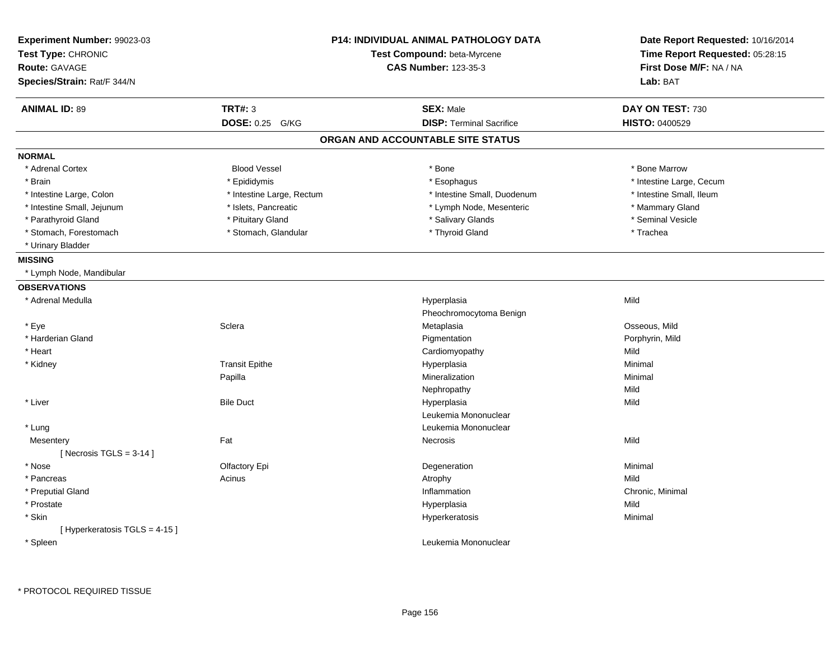| Experiment Number: 99023-03<br>Test Type: CHRONIC<br><b>Route: GAVAGE</b><br>Species/Strain: Rat/F 344/N | <b>P14: INDIVIDUAL ANIMAL PATHOLOGY DATA</b><br>Test Compound: beta-Myrcene<br><b>CAS Number: 123-35-3</b> |                                   | Date Report Requested: 10/16/2014<br>Time Report Requested: 05:28:15<br>First Dose M/F: NA / NA<br>Lab: BAT |
|----------------------------------------------------------------------------------------------------------|------------------------------------------------------------------------------------------------------------|-----------------------------------|-------------------------------------------------------------------------------------------------------------|
| <b>ANIMAL ID: 89</b>                                                                                     | <b>TRT#: 3</b>                                                                                             | <b>SEX: Male</b>                  | DAY ON TEST: 730                                                                                            |
|                                                                                                          | DOSE: 0.25 G/KG                                                                                            | <b>DISP: Terminal Sacrifice</b>   | <b>HISTO: 0400529</b>                                                                                       |
|                                                                                                          |                                                                                                            | ORGAN AND ACCOUNTABLE SITE STATUS |                                                                                                             |
| <b>NORMAL</b>                                                                                            |                                                                                                            |                                   |                                                                                                             |
| * Adrenal Cortex                                                                                         | <b>Blood Vessel</b>                                                                                        | $*$ Bone                          | * Bone Marrow                                                                                               |
| * Brain                                                                                                  | * Epididymis                                                                                               | * Esophagus                       | * Intestine Large, Cecum                                                                                    |
| * Intestine Large, Colon                                                                                 | * Intestine Large, Rectum                                                                                  | * Intestine Small, Duodenum       | * Intestine Small, Ileum                                                                                    |
| * Intestine Small, Jejunum                                                                               | * Islets, Pancreatic                                                                                       | * Lymph Node, Mesenteric          | * Mammary Gland                                                                                             |
| * Parathyroid Gland                                                                                      | * Pituitary Gland                                                                                          | * Salivary Glands                 | * Seminal Vesicle                                                                                           |
| * Stomach, Forestomach                                                                                   | * Stomach, Glandular                                                                                       | * Thyroid Gland                   | * Trachea                                                                                                   |
| * Urinary Bladder                                                                                        |                                                                                                            |                                   |                                                                                                             |
| <b>MISSING</b>                                                                                           |                                                                                                            |                                   |                                                                                                             |
| * Lymph Node, Mandibular                                                                                 |                                                                                                            |                                   |                                                                                                             |
| <b>OBSERVATIONS</b>                                                                                      |                                                                                                            |                                   |                                                                                                             |
| * Adrenal Medulla                                                                                        |                                                                                                            | Hyperplasia                       | Mild                                                                                                        |
|                                                                                                          |                                                                                                            | Pheochromocytoma Benign           |                                                                                                             |
| * Eye                                                                                                    | Sclera                                                                                                     | Metaplasia                        | Osseous, Mild                                                                                               |
| * Harderian Gland                                                                                        |                                                                                                            | Pigmentation                      | Porphyrin, Mild                                                                                             |
| * Heart                                                                                                  |                                                                                                            | Cardiomyopathy                    | Mild                                                                                                        |
| * Kidney                                                                                                 | <b>Transit Epithe</b>                                                                                      | Hyperplasia                       | Minimal                                                                                                     |
|                                                                                                          | Papilla                                                                                                    | Mineralization                    | Minimal                                                                                                     |
|                                                                                                          |                                                                                                            | Nephropathy                       | Mild                                                                                                        |
| * Liver                                                                                                  | <b>Bile Duct</b>                                                                                           | Hyperplasia                       | Mild                                                                                                        |
|                                                                                                          |                                                                                                            | Leukemia Mononuclear              |                                                                                                             |
| * Lung                                                                                                   |                                                                                                            | Leukemia Mononuclear              |                                                                                                             |
| Mesentery                                                                                                | Fat                                                                                                        | <b>Necrosis</b>                   | Mild                                                                                                        |
| [Necrosis TGLS = $3-14$ ]                                                                                |                                                                                                            |                                   |                                                                                                             |
| * Nose                                                                                                   | Olfactory Epi                                                                                              | Degeneration                      | Minimal                                                                                                     |
| * Pancreas                                                                                               | Acinus                                                                                                     | Atrophy                           | Mild                                                                                                        |
| * Preputial Gland                                                                                        |                                                                                                            | Inflammation                      | Chronic, Minimal                                                                                            |
| * Prostate                                                                                               |                                                                                                            | Hyperplasia                       | Mild                                                                                                        |
| * Skin                                                                                                   |                                                                                                            | Hyperkeratosis                    | Minimal                                                                                                     |
| [ Hyperkeratosis TGLS = 4-15 ]                                                                           |                                                                                                            |                                   |                                                                                                             |
| * Spleen                                                                                                 |                                                                                                            | Leukemia Mononuclear              |                                                                                                             |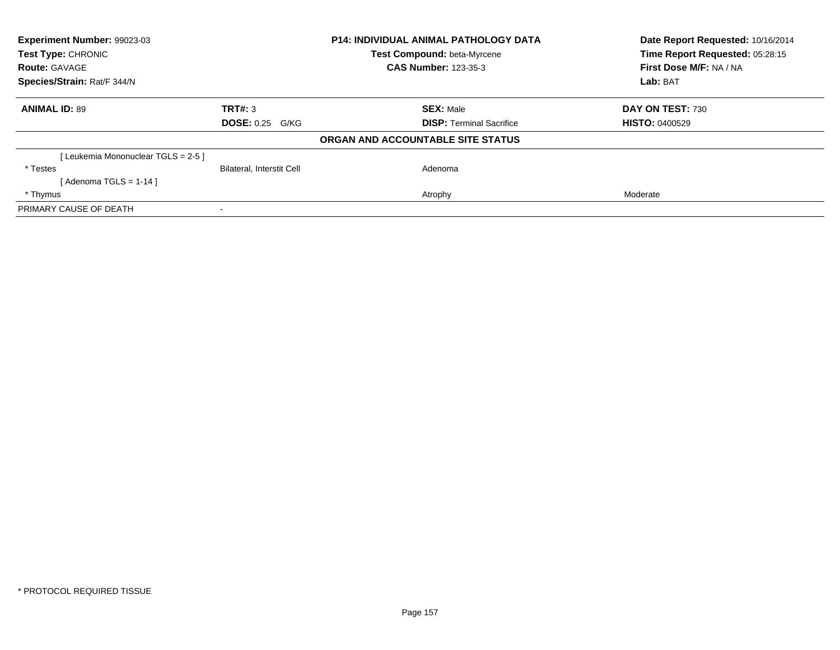| Experiment Number: 99023-03        |                                  | <b>P14: INDIVIDUAL ANIMAL PATHOLOGY DATA</b> | Date Report Requested: 10/16/2014 |
|------------------------------------|----------------------------------|----------------------------------------------|-----------------------------------|
| <b>Test Type: CHRONIC</b>          |                                  | <b>Test Compound: beta-Myrcene</b>           | Time Report Requested: 05:28:15   |
| <b>Route: GAVAGE</b>               |                                  | <b>CAS Number: 123-35-3</b>                  | First Dose M/F: NA / NA           |
| Species/Strain: Rat/F 344/N        |                                  |                                              | Lab: BAT                          |
| <b>ANIMAL ID: 89</b>               | TRT#: 3                          | <b>SEX: Male</b>                             | DAY ON TEST: 730                  |
|                                    | <b>DOSE: 0.25 G/KG</b>           | <b>DISP:</b> Terminal Sacrifice              | <b>HISTO: 0400529</b>             |
|                                    |                                  | ORGAN AND ACCOUNTABLE SITE STATUS            |                                   |
| [Leukemia Mononuclear TGLS = 2-5 ] |                                  |                                              |                                   |
| * Testes                           | <b>Bilateral, Interstit Cell</b> | Adenoma                                      |                                   |
| [Adenoma TGLS = $1-14$ ]           |                                  |                                              |                                   |
| * Thymus                           |                                  | Atrophy                                      | Moderate                          |
| PRIMARY CAUSE OF DEATH             |                                  |                                              |                                   |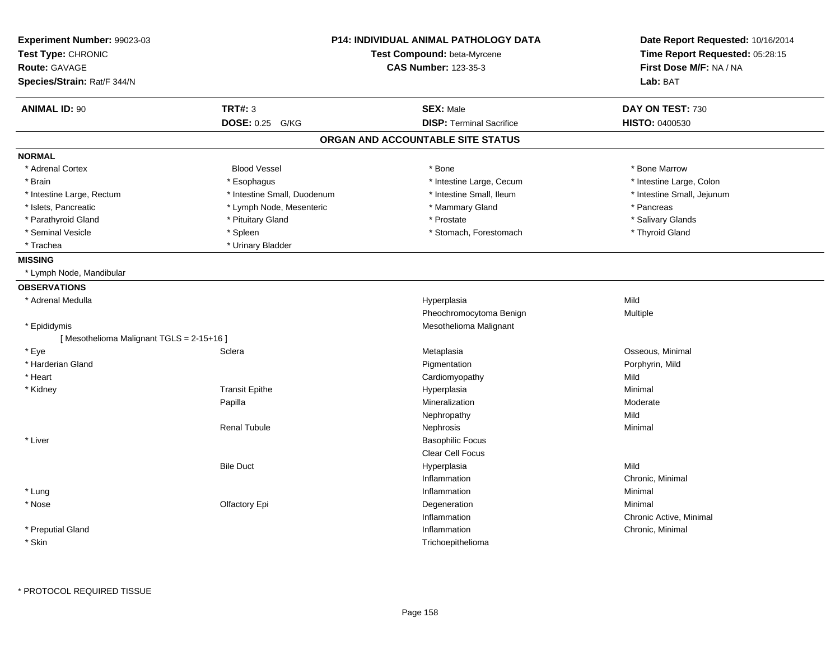| Experiment Number: 99023-03<br>Test Type: CHRONIC<br><b>Route: GAVAGE</b><br>Species/Strain: Rat/F 344/N |                             | <b>P14: INDIVIDUAL ANIMAL PATHOLOGY DATA</b><br>Test Compound: beta-Myrcene<br><b>CAS Number: 123-35-3</b> | Date Report Requested: 10/16/2014<br>Time Report Requested: 05:28:15<br>First Dose M/F: NA / NA<br>Lab: BAT |
|----------------------------------------------------------------------------------------------------------|-----------------------------|------------------------------------------------------------------------------------------------------------|-------------------------------------------------------------------------------------------------------------|
| <b>ANIMAL ID: 90</b>                                                                                     | <b>TRT#: 3</b>              | <b>SEX: Male</b>                                                                                           | DAY ON TEST: 730                                                                                            |
|                                                                                                          | DOSE: 0.25 G/KG             | <b>DISP: Terminal Sacrifice</b>                                                                            | HISTO: 0400530                                                                                              |
|                                                                                                          |                             | ORGAN AND ACCOUNTABLE SITE STATUS                                                                          |                                                                                                             |
| <b>NORMAL</b>                                                                                            |                             |                                                                                                            |                                                                                                             |
| * Adrenal Cortex                                                                                         | <b>Blood Vessel</b>         | * Bone                                                                                                     | * Bone Marrow                                                                                               |
| * Brain                                                                                                  | * Esophagus                 | * Intestine Large, Cecum                                                                                   | * Intestine Large, Colon                                                                                    |
| * Intestine Large, Rectum                                                                                | * Intestine Small, Duodenum | * Intestine Small, Ileum                                                                                   | * Intestine Small, Jejunum                                                                                  |
| * Islets, Pancreatic                                                                                     | * Lymph Node, Mesenteric    | * Mammary Gland                                                                                            | * Pancreas                                                                                                  |
| * Parathyroid Gland                                                                                      | * Pituitary Gland           | * Prostate                                                                                                 | * Salivary Glands                                                                                           |
| * Seminal Vesicle                                                                                        | * Spleen                    | * Stomach, Forestomach                                                                                     | * Thyroid Gland                                                                                             |
| * Trachea                                                                                                | * Urinary Bladder           |                                                                                                            |                                                                                                             |
| <b>MISSING</b>                                                                                           |                             |                                                                                                            |                                                                                                             |
| * Lymph Node, Mandibular                                                                                 |                             |                                                                                                            |                                                                                                             |
| <b>OBSERVATIONS</b>                                                                                      |                             |                                                                                                            |                                                                                                             |
| * Adrenal Medulla                                                                                        |                             | Hyperplasia                                                                                                | Mild                                                                                                        |
|                                                                                                          |                             | Pheochromocytoma Benign                                                                                    | Multiple                                                                                                    |
| * Epididymis                                                                                             |                             | Mesothelioma Malignant                                                                                     |                                                                                                             |
| [Mesothelioma Malignant TGLS = 2-15+16]                                                                  |                             |                                                                                                            |                                                                                                             |
| * Eye                                                                                                    | Sclera                      | Metaplasia                                                                                                 | Osseous, Minimal                                                                                            |
| * Harderian Gland                                                                                        |                             | Pigmentation                                                                                               | Porphyrin, Mild                                                                                             |
| * Heart                                                                                                  |                             | Cardiomyopathy                                                                                             | Mild                                                                                                        |
| * Kidney                                                                                                 | <b>Transit Epithe</b>       | Hyperplasia                                                                                                | Minimal                                                                                                     |
|                                                                                                          | Papilla                     | Mineralization                                                                                             | Moderate                                                                                                    |
|                                                                                                          |                             | Nephropathy                                                                                                | Mild                                                                                                        |
|                                                                                                          | <b>Renal Tubule</b>         | Nephrosis                                                                                                  | Minimal                                                                                                     |
| * Liver                                                                                                  |                             | <b>Basophilic Focus</b>                                                                                    |                                                                                                             |
|                                                                                                          |                             | Clear Cell Focus                                                                                           |                                                                                                             |
|                                                                                                          | <b>Bile Duct</b>            | Hyperplasia                                                                                                | Mild                                                                                                        |
|                                                                                                          |                             | Inflammation                                                                                               | Chronic, Minimal                                                                                            |
| * Lung                                                                                                   |                             | Inflammation                                                                                               | Minimal                                                                                                     |
| * Nose                                                                                                   | Olfactory Epi               | Degeneration                                                                                               | Minimal                                                                                                     |
|                                                                                                          |                             | Inflammation                                                                                               | Chronic Active, Minimal                                                                                     |
| * Preputial Gland                                                                                        |                             | Inflammation                                                                                               | Chronic, Minimal                                                                                            |
| * Skin                                                                                                   |                             | Trichoepithelioma                                                                                          |                                                                                                             |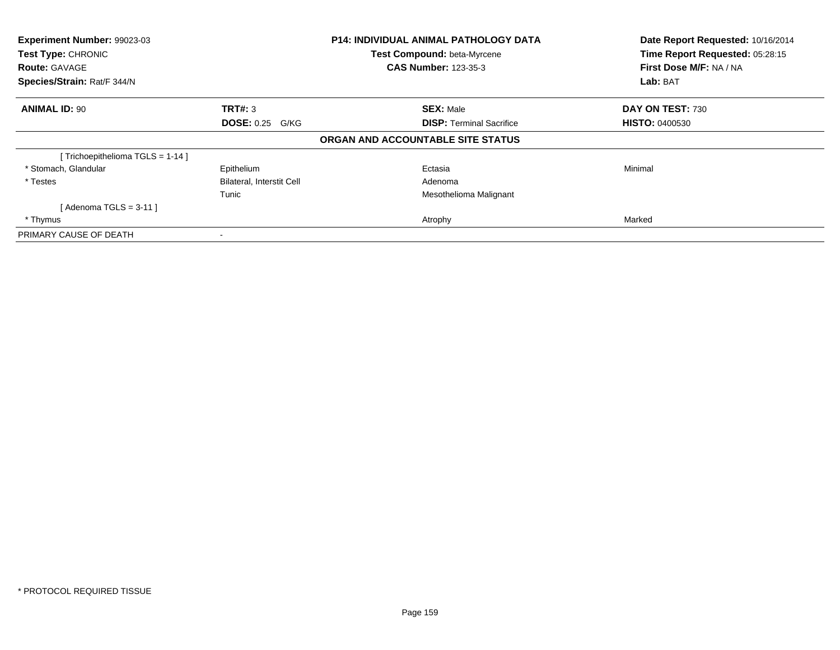| Experiment Number: 99023-03<br><b>Test Type: CHRONIC</b><br><b>Route: GAVAGE</b> |                                  | <b>P14: INDIVIDUAL ANIMAL PATHOLOGY DATA</b><br>Test Compound: beta-Myrcene<br><b>CAS Number: 123-35-3</b> | Date Report Requested: 10/16/2014<br>Time Report Requested: 05:28:15<br>First Dose M/F: NA / NA |
|----------------------------------------------------------------------------------|----------------------------------|------------------------------------------------------------------------------------------------------------|-------------------------------------------------------------------------------------------------|
| Species/Strain: Rat/F 344/N                                                      |                                  |                                                                                                            | Lab: BAT                                                                                        |
| <b>ANIMAL ID: 90</b>                                                             | <b>TRT#: 3</b>                   | <b>SEX: Male</b>                                                                                           | DAY ON TEST: 730                                                                                |
|                                                                                  | <b>DOSE: 0.25 G/KG</b>           | <b>DISP:</b> Terminal Sacrifice                                                                            | <b>HISTO: 0400530</b>                                                                           |
|                                                                                  |                                  | ORGAN AND ACCOUNTABLE SITE STATUS                                                                          |                                                                                                 |
| Trichoepithelioma TGLS = 1-14 ]                                                  |                                  |                                                                                                            |                                                                                                 |
| * Stomach, Glandular                                                             | Epithelium                       | Ectasia                                                                                                    | Minimal                                                                                         |
| * Testes                                                                         | <b>Bilateral, Interstit Cell</b> | Adenoma                                                                                                    |                                                                                                 |
|                                                                                  | Tunic                            | Mesothelioma Malignant                                                                                     |                                                                                                 |
| [Adenoma TGLS = $3-11$ ]                                                         |                                  |                                                                                                            |                                                                                                 |
| * Thymus                                                                         |                                  | Atrophy                                                                                                    | Marked                                                                                          |
| PRIMARY CAUSE OF DEATH                                                           |                                  |                                                                                                            |                                                                                                 |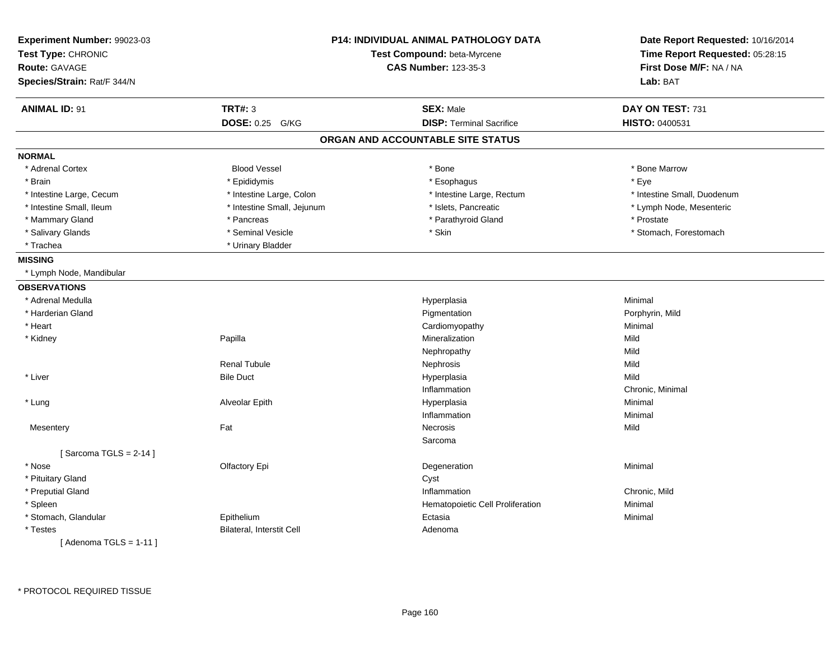| Experiment Number: 99023-03<br>Test Type: CHRONIC<br><b>Route: GAVAGE</b><br>Species/Strain: Rat/F 344/N |                                  | <b>P14: INDIVIDUAL ANIMAL PATHOLOGY DATA</b><br>Test Compound: beta-Myrcene<br><b>CAS Number: 123-35-3</b> | Date Report Requested: 10/16/2014<br>Time Report Requested: 05:28:15<br>First Dose M/F: NA / NA<br>Lab: BAT |
|----------------------------------------------------------------------------------------------------------|----------------------------------|------------------------------------------------------------------------------------------------------------|-------------------------------------------------------------------------------------------------------------|
| <b>ANIMAL ID: 91</b>                                                                                     | <b>TRT#: 3</b>                   | <b>SEX: Male</b>                                                                                           | DAY ON TEST: 731                                                                                            |
|                                                                                                          | DOSE: 0.25 G/KG                  | <b>DISP: Terminal Sacrifice</b>                                                                            | HISTO: 0400531                                                                                              |
|                                                                                                          |                                  | ORGAN AND ACCOUNTABLE SITE STATUS                                                                          |                                                                                                             |
| <b>NORMAL</b>                                                                                            |                                  |                                                                                                            |                                                                                                             |
| * Adrenal Cortex                                                                                         | <b>Blood Vessel</b>              | * Bone                                                                                                     | * Bone Marrow                                                                                               |
| * Brain                                                                                                  | * Epididymis                     | * Esophagus                                                                                                | * Eye                                                                                                       |
| * Intestine Large, Cecum                                                                                 | * Intestine Large, Colon         | * Intestine Large, Rectum                                                                                  | * Intestine Small, Duodenum                                                                                 |
| * Intestine Small, Ileum                                                                                 | * Intestine Small, Jejunum       | * Islets, Pancreatic                                                                                       | * Lymph Node, Mesenteric                                                                                    |
| * Mammary Gland                                                                                          | * Pancreas                       | * Parathyroid Gland                                                                                        | * Prostate                                                                                                  |
| * Salivary Glands                                                                                        | * Seminal Vesicle                | * Skin                                                                                                     | * Stomach, Forestomach                                                                                      |
| * Trachea                                                                                                | * Urinary Bladder                |                                                                                                            |                                                                                                             |
| <b>MISSING</b>                                                                                           |                                  |                                                                                                            |                                                                                                             |
| * Lymph Node, Mandibular                                                                                 |                                  |                                                                                                            |                                                                                                             |
| <b>OBSERVATIONS</b>                                                                                      |                                  |                                                                                                            |                                                                                                             |
| * Adrenal Medulla                                                                                        |                                  | Hyperplasia                                                                                                | Minimal                                                                                                     |
| * Harderian Gland                                                                                        |                                  | Pigmentation                                                                                               | Porphyrin, Mild                                                                                             |
| * Heart                                                                                                  |                                  | Cardiomyopathy                                                                                             | Minimal                                                                                                     |
| * Kidney                                                                                                 | Papilla                          | Mineralization                                                                                             | Mild                                                                                                        |
|                                                                                                          |                                  | Nephropathy                                                                                                | Mild                                                                                                        |
|                                                                                                          | <b>Renal Tubule</b>              | Nephrosis                                                                                                  | Mild                                                                                                        |
| * Liver                                                                                                  | <b>Bile Duct</b>                 | Hyperplasia                                                                                                | Mild                                                                                                        |
|                                                                                                          |                                  | Inflammation                                                                                               | Chronic, Minimal                                                                                            |
| * Lung                                                                                                   | Alveolar Epith                   | Hyperplasia                                                                                                | Minimal                                                                                                     |
|                                                                                                          |                                  | Inflammation                                                                                               | Minimal                                                                                                     |
| Mesentery                                                                                                | Fat                              | Necrosis                                                                                                   | Mild                                                                                                        |
|                                                                                                          |                                  | Sarcoma                                                                                                    |                                                                                                             |
| [Sarcoma TGLS = $2-14$ ]                                                                                 |                                  |                                                                                                            |                                                                                                             |
| * Nose                                                                                                   | Olfactory Epi                    | Degeneration                                                                                               | Minimal                                                                                                     |
| * Pituitary Gland                                                                                        |                                  | Cyst                                                                                                       |                                                                                                             |
| * Preputial Gland                                                                                        |                                  | Inflammation                                                                                               | Chronic, Mild                                                                                               |
| * Spleen                                                                                                 |                                  | Hematopoietic Cell Proliferation                                                                           | Minimal                                                                                                     |
| * Stomach, Glandular                                                                                     | Epithelium                       | Ectasia                                                                                                    | Minimal                                                                                                     |
| * Testes                                                                                                 | <b>Bilateral, Interstit Cell</b> | Adenoma                                                                                                    |                                                                                                             |
| [Adenoma TGLS = $1-11$ ]                                                                                 |                                  |                                                                                                            |                                                                                                             |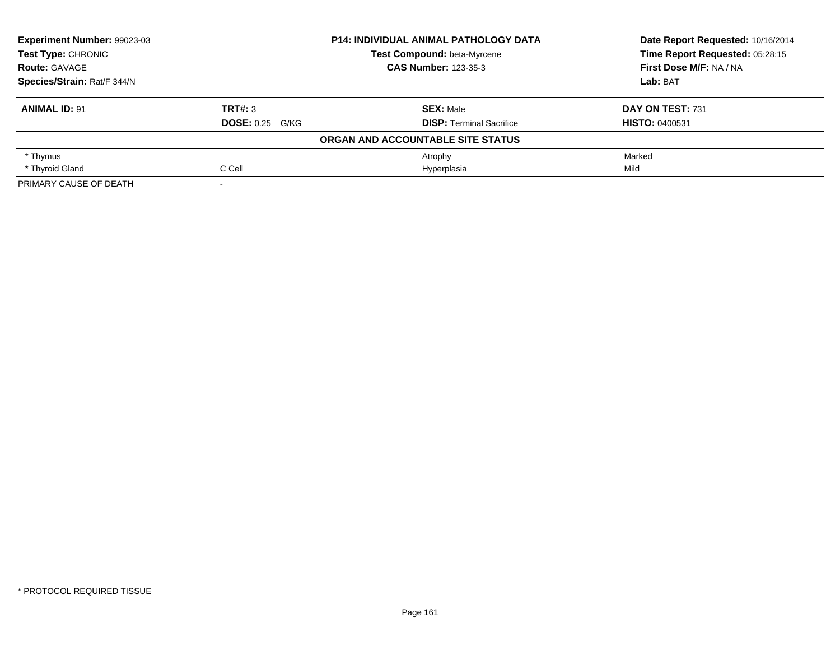| <b>Experiment Number: 99023-03</b> |                        | <b>P14: INDIVIDUAL ANIMAL PATHOLOGY DATA</b> | Date Report Requested: 10/16/2014<br>Time Report Requested: 05:28:15 |
|------------------------------------|------------------------|----------------------------------------------|----------------------------------------------------------------------|
| <b>Test Type: CHRONIC</b>          |                        | Test Compound: beta-Myrcene                  |                                                                      |
| <b>Route: GAVAGE</b>               |                        | <b>CAS Number: 123-35-3</b>                  | First Dose M/F: NA / NA                                              |
| Species/Strain: Rat/F 344/N        |                        |                                              | Lab: BAT                                                             |
| <b>ANIMAL ID: 91</b>               | TRT#: 3                | <b>SEX: Male</b>                             | DAY ON TEST: 731                                                     |
|                                    | <b>DOSE: 0.25 G/KG</b> | <b>DISP: Terminal Sacrifice</b>              | <b>HISTO: 0400531</b>                                                |
|                                    |                        | ORGAN AND ACCOUNTABLE SITE STATUS            |                                                                      |
| * Thymus                           |                        | Atrophy                                      | Marked                                                               |
| * Thyroid Gland                    | C Cell                 | Hyperplasia                                  | Mild                                                                 |
| PRIMARY CAUSE OF DEATH             |                        |                                              |                                                                      |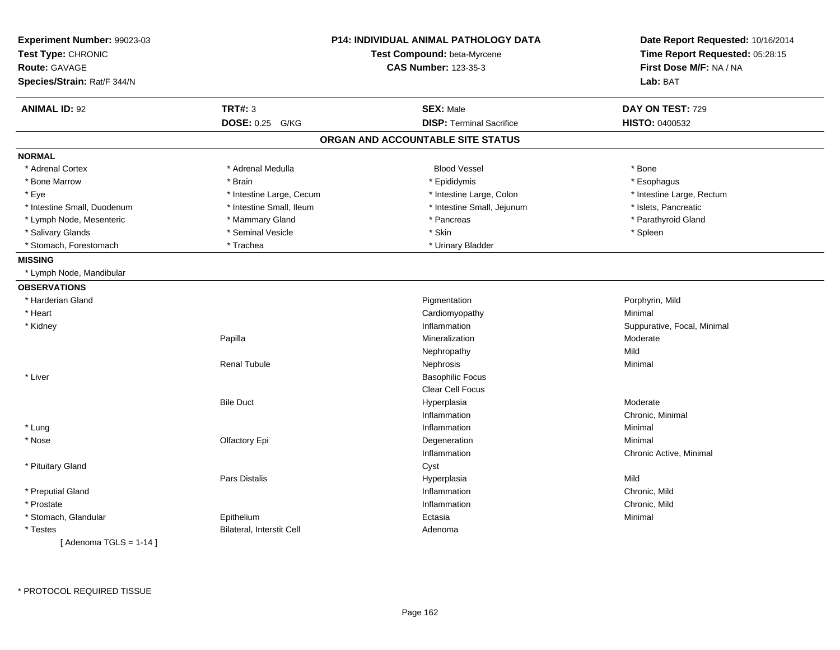| Experiment Number: 99023-03<br>Test Type: CHRONIC |                           | <b>P14: INDIVIDUAL ANIMAL PATHOLOGY DATA</b><br>Test Compound: beta-Myrcene | Date Report Requested: 10/16/2014<br>Time Report Requested: 05:28:15 |
|---------------------------------------------------|---------------------------|-----------------------------------------------------------------------------|----------------------------------------------------------------------|
| <b>Route: GAVAGE</b>                              |                           | <b>CAS Number: 123-35-3</b>                                                 | First Dose M/F: NA / NA                                              |
|                                                   |                           |                                                                             |                                                                      |
| Species/Strain: Rat/F 344/N                       |                           |                                                                             | Lab: BAT                                                             |
| <b>ANIMAL ID: 92</b>                              | <b>TRT#: 3</b>            | <b>SEX: Male</b>                                                            | DAY ON TEST: 729                                                     |
|                                                   | DOSE: 0.25 G/KG           | <b>DISP: Terminal Sacrifice</b>                                             | HISTO: 0400532                                                       |
|                                                   |                           | ORGAN AND ACCOUNTABLE SITE STATUS                                           |                                                                      |
| <b>NORMAL</b>                                     |                           |                                                                             |                                                                      |
| * Adrenal Cortex                                  | * Adrenal Medulla         | <b>Blood Vessel</b>                                                         | * Bone                                                               |
| * Bone Marrow                                     | * Brain                   | * Epididymis                                                                | * Esophagus                                                          |
| * Eye                                             | * Intestine Large, Cecum  | * Intestine Large, Colon                                                    | * Intestine Large, Rectum                                            |
| * Intestine Small, Duodenum                       | * Intestine Small, Ileum  | * Intestine Small, Jejunum                                                  | * Islets, Pancreatic                                                 |
| * Lymph Node, Mesenteric                          | * Mammary Gland           | * Pancreas                                                                  | * Parathyroid Gland                                                  |
| * Salivary Glands                                 | * Seminal Vesicle         | * Skin                                                                      | * Spleen                                                             |
| * Stomach, Forestomach                            | * Trachea                 | * Urinary Bladder                                                           |                                                                      |
| <b>MISSING</b>                                    |                           |                                                                             |                                                                      |
| * Lymph Node, Mandibular                          |                           |                                                                             |                                                                      |
| <b>OBSERVATIONS</b>                               |                           |                                                                             |                                                                      |
| * Harderian Gland                                 |                           | Pigmentation                                                                | Porphyrin, Mild                                                      |
| * Heart                                           |                           | Cardiomyopathy                                                              | Minimal                                                              |
| * Kidney                                          |                           | Inflammation                                                                | Suppurative, Focal, Minimal                                          |
|                                                   | Papilla                   | Mineralization                                                              | Moderate                                                             |
|                                                   |                           | Nephropathy                                                                 | Mild                                                                 |
|                                                   | <b>Renal Tubule</b>       | Nephrosis                                                                   | Minimal                                                              |
| * Liver                                           |                           | <b>Basophilic Focus</b>                                                     |                                                                      |
|                                                   |                           | Clear Cell Focus                                                            |                                                                      |
|                                                   | <b>Bile Duct</b>          | Hyperplasia                                                                 | Moderate                                                             |
|                                                   |                           | Inflammation                                                                | Chronic, Minimal                                                     |
| * Lung                                            |                           | Inflammation                                                                | Minimal                                                              |
| * Nose                                            | Olfactory Epi             | Degeneration                                                                | Minimal                                                              |
|                                                   |                           | Inflammation                                                                | Chronic Active, Minimal                                              |
| * Pituitary Gland                                 |                           | Cyst                                                                        |                                                                      |
|                                                   | Pars Distalis             | Hyperplasia                                                                 | Mild                                                                 |
| * Preputial Gland                                 |                           | Inflammation                                                                | Chronic, Mild                                                        |
| * Prostate                                        |                           | Inflammation                                                                | Chronic, Mild                                                        |
| * Stomach, Glandular                              | Epithelium                | Ectasia                                                                     | Minimal                                                              |
| * Testes                                          | Bilateral, Interstit Cell | Adenoma                                                                     |                                                                      |
| [Adenoma TGLS = $1-14$ ]                          |                           |                                                                             |                                                                      |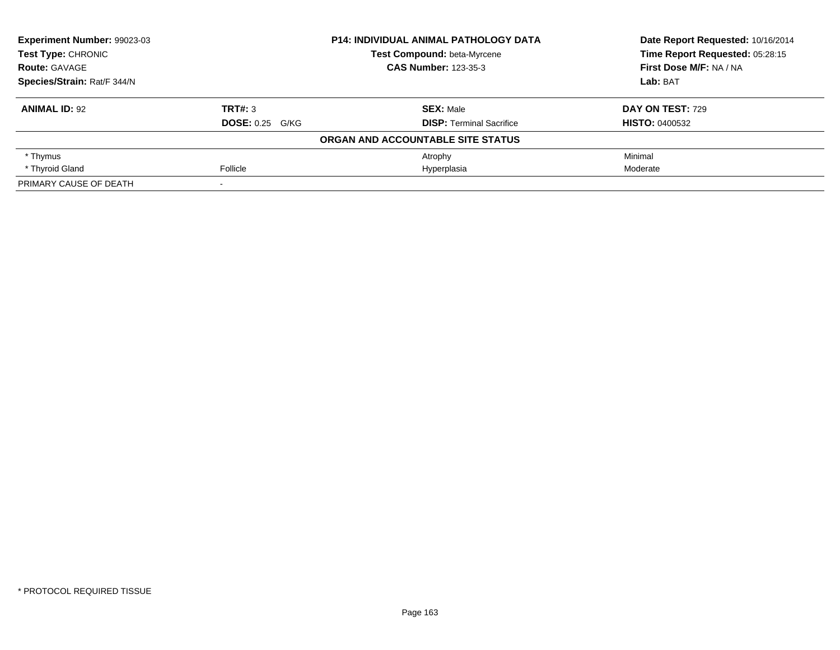| <b>Experiment Number: 99023-03</b> |                        | <b>P14: INDIVIDUAL ANIMAL PATHOLOGY DATA</b> | Date Report Requested: 10/16/2014 |
|------------------------------------|------------------------|----------------------------------------------|-----------------------------------|
| Test Type: CHRONIC                 |                        | Test Compound: beta-Myrcene                  | Time Report Requested: 05:28:15   |
| <b>Route: GAVAGE</b>               |                        | <b>CAS Number: 123-35-3</b>                  | First Dose M/F: NA / NA           |
| Species/Strain: Rat/F 344/N        |                        |                                              | Lab: BAT                          |
| <b>ANIMAL ID: 92</b>               | TRT#: 3                | <b>SEX:</b> Male                             | <b>DAY ON TEST: 729</b>           |
|                                    | <b>DOSE: 0.25 G/KG</b> | <b>DISP:</b> Terminal Sacrifice              | <b>HISTO: 0400532</b>             |
|                                    |                        | ORGAN AND ACCOUNTABLE SITE STATUS            |                                   |
| * Thymus                           |                        | Atrophy                                      | Minimal                           |
| * Thyroid Gland                    | Follicle               | Hyperplasia                                  | Moderate                          |
| PRIMARY CAUSE OF DEATH             |                        |                                              |                                   |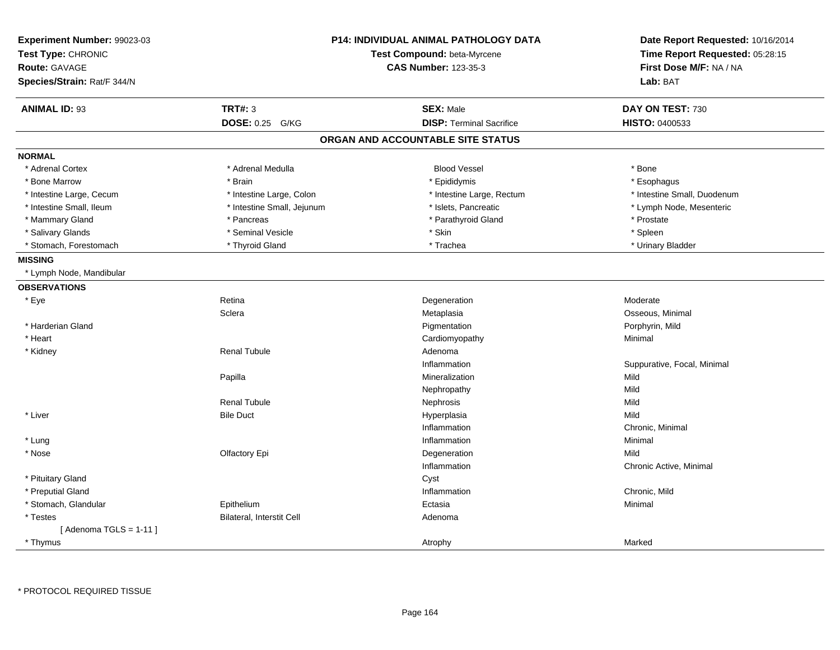| Experiment Number: 99023-03<br>Test Type: CHRONIC<br><b>Route: GAVAGE</b><br>Species/Strain: Rat/F 344/N |                            | <b>P14: INDIVIDUAL ANIMAL PATHOLOGY DATA</b><br>Test Compound: beta-Myrcene<br><b>CAS Number: 123-35-3</b> | Date Report Requested: 10/16/2014<br>Time Report Requested: 05:28:15<br>First Dose M/F: NA / NA<br>Lab: BAT |
|----------------------------------------------------------------------------------------------------------|----------------------------|------------------------------------------------------------------------------------------------------------|-------------------------------------------------------------------------------------------------------------|
| <b>ANIMAL ID: 93</b>                                                                                     | <b>TRT#: 3</b>             | <b>SEX: Male</b>                                                                                           | DAY ON TEST: 730                                                                                            |
|                                                                                                          | DOSE: 0.25 G/KG            | <b>DISP: Terminal Sacrifice</b>                                                                            | <b>HISTO: 0400533</b>                                                                                       |
|                                                                                                          |                            | ORGAN AND ACCOUNTABLE SITE STATUS                                                                          |                                                                                                             |
| <b>NORMAL</b>                                                                                            |                            |                                                                                                            |                                                                                                             |
| * Adrenal Cortex                                                                                         | * Adrenal Medulla          | <b>Blood Vessel</b>                                                                                        | * Bone                                                                                                      |
| * Bone Marrow                                                                                            | * Brain                    | * Epididymis                                                                                               | * Esophagus                                                                                                 |
| * Intestine Large, Cecum                                                                                 | * Intestine Large, Colon   | * Intestine Large, Rectum                                                                                  | * Intestine Small, Duodenum                                                                                 |
| * Intestine Small, Ileum                                                                                 | * Intestine Small, Jejunum | * Islets, Pancreatic                                                                                       | * Lymph Node, Mesenteric                                                                                    |
| * Mammary Gland                                                                                          | * Pancreas                 | * Parathyroid Gland                                                                                        | * Prostate                                                                                                  |
| * Salivary Glands                                                                                        | * Seminal Vesicle          | * Skin                                                                                                     | * Spleen                                                                                                    |
| * Stomach, Forestomach                                                                                   | * Thyroid Gland            | * Trachea                                                                                                  | * Urinary Bladder                                                                                           |
| <b>MISSING</b>                                                                                           |                            |                                                                                                            |                                                                                                             |
| * Lymph Node, Mandibular                                                                                 |                            |                                                                                                            |                                                                                                             |
| <b>OBSERVATIONS</b>                                                                                      |                            |                                                                                                            |                                                                                                             |
| * Eye                                                                                                    | Retina                     | Degeneration                                                                                               | Moderate                                                                                                    |
|                                                                                                          | Sclera                     | Metaplasia                                                                                                 | Osseous, Minimal                                                                                            |
| * Harderian Gland                                                                                        |                            | Pigmentation                                                                                               | Porphyrin, Mild                                                                                             |
| * Heart                                                                                                  |                            | Cardiomyopathy                                                                                             | Minimal                                                                                                     |
| * Kidney                                                                                                 | <b>Renal Tubule</b>        | Adenoma                                                                                                    |                                                                                                             |
|                                                                                                          |                            | Inflammation                                                                                               | Suppurative, Focal, Minimal                                                                                 |
|                                                                                                          | Papilla                    | Mineralization                                                                                             | Mild                                                                                                        |
|                                                                                                          |                            | Nephropathy                                                                                                | Mild                                                                                                        |
|                                                                                                          | <b>Renal Tubule</b>        | Nephrosis                                                                                                  | Mild                                                                                                        |
| * Liver                                                                                                  | <b>Bile Duct</b>           | Hyperplasia                                                                                                | Mild                                                                                                        |
|                                                                                                          |                            | Inflammation                                                                                               | Chronic, Minimal                                                                                            |
| * Lung                                                                                                   |                            | Inflammation                                                                                               | Minimal                                                                                                     |
| * Nose                                                                                                   | Olfactory Epi              | Degeneration                                                                                               | Mild                                                                                                        |
|                                                                                                          |                            | Inflammation                                                                                               | Chronic Active, Minimal                                                                                     |
| * Pituitary Gland                                                                                        |                            | Cyst                                                                                                       |                                                                                                             |
| * Preputial Gland                                                                                        |                            | Inflammation                                                                                               | Chronic, Mild                                                                                               |
| * Stomach, Glandular                                                                                     | Epithelium                 | Ectasia                                                                                                    | Minimal                                                                                                     |
| * Testes                                                                                                 | Bilateral, Interstit Cell  | Adenoma                                                                                                    |                                                                                                             |
| [Adenoma TGLS = $1-11$ ]                                                                                 |                            |                                                                                                            |                                                                                                             |
| * Thymus                                                                                                 |                            | Atrophy                                                                                                    | Marked                                                                                                      |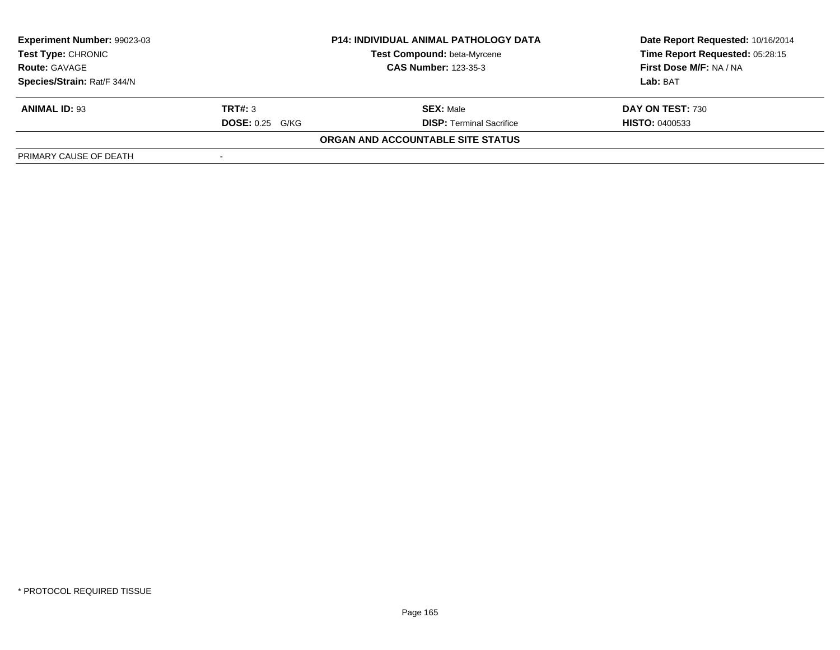| Experiment Number: 99023-03 |                        | <b>P14: INDIVIDUAL ANIMAL PATHOLOGY DATA</b> | Date Report Requested: 10/16/2014 |
|-----------------------------|------------------------|----------------------------------------------|-----------------------------------|
| <b>Test Type: CHRONIC</b>   |                        | <b>Test Compound: beta-Myrcene</b>           | Time Report Requested: 05:28:15   |
| <b>Route: GAVAGE</b>        |                        | <b>CAS Number: 123-35-3</b>                  | First Dose M/F: NA / NA           |
| Species/Strain: Rat/F 344/N |                        |                                              | Lab: BAT                          |
| <b>ANIMAL ID: 93</b>        | TRT#: 3                | <b>SEX: Male</b>                             | DAY ON TEST: 730                  |
|                             | <b>DOSE: 0.25 G/KG</b> | <b>DISP: Terminal Sacrifice</b>              | <b>HISTO: 0400533</b>             |
|                             |                        | ORGAN AND ACCOUNTABLE SITE STATUS            |                                   |
| PRIMARY CAUSE OF DEATH      |                        |                                              |                                   |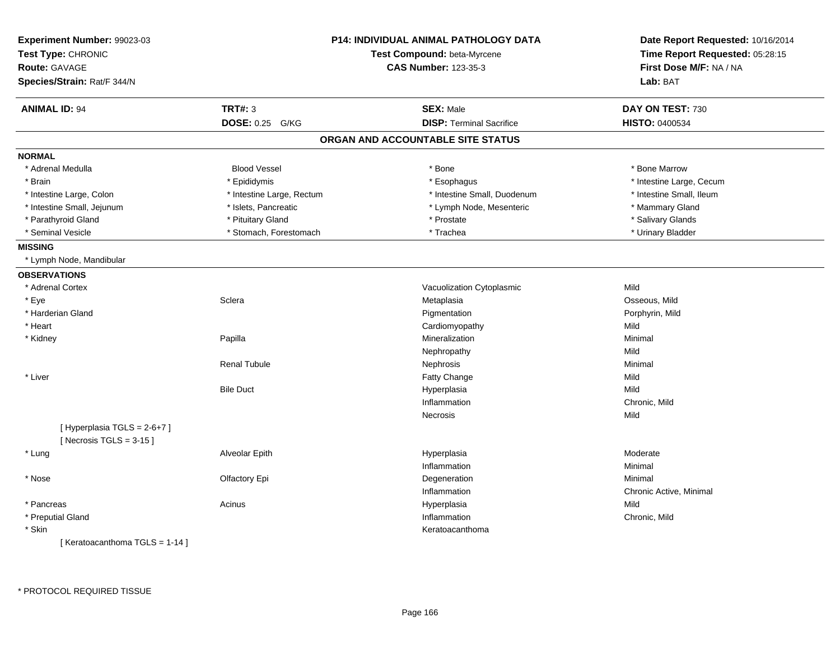| Experiment Number: 99023-03<br>Test Type: CHRONIC<br><b>Route: GAVAGE</b><br>Species/Strain: Rat/F 344/N |                           | <b>P14: INDIVIDUAL ANIMAL PATHOLOGY DATA</b><br>Test Compound: beta-Myrcene<br><b>CAS Number: 123-35-3</b> | Date Report Requested: 10/16/2014<br>Time Report Requested: 05:28:15<br>First Dose M/F: NA / NA<br>Lab: BAT |
|----------------------------------------------------------------------------------------------------------|---------------------------|------------------------------------------------------------------------------------------------------------|-------------------------------------------------------------------------------------------------------------|
| <b>ANIMAL ID: 94</b>                                                                                     | <b>TRT#: 3</b>            | <b>SEX: Male</b>                                                                                           | DAY ON TEST: 730                                                                                            |
|                                                                                                          | <b>DOSE: 0.25</b><br>G/KG | <b>DISP: Terminal Sacrifice</b>                                                                            | HISTO: 0400534                                                                                              |
|                                                                                                          |                           | ORGAN AND ACCOUNTABLE SITE STATUS                                                                          |                                                                                                             |
| <b>NORMAL</b>                                                                                            |                           |                                                                                                            |                                                                                                             |
| * Adrenal Medulla                                                                                        | <b>Blood Vessel</b>       | * Bone                                                                                                     | * Bone Marrow                                                                                               |
| * Brain                                                                                                  | * Epididymis              | * Esophagus                                                                                                | * Intestine Large, Cecum                                                                                    |
| * Intestine Large, Colon                                                                                 | * Intestine Large, Rectum | * Intestine Small, Duodenum                                                                                | * Intestine Small, Ileum                                                                                    |
| * Intestine Small, Jejunum                                                                               | * Islets, Pancreatic      | * Lymph Node, Mesenteric                                                                                   | * Mammary Gland                                                                                             |
| * Parathyroid Gland                                                                                      | * Pituitary Gland         | * Prostate                                                                                                 | * Salivary Glands                                                                                           |
| * Seminal Vesicle                                                                                        | * Stomach, Forestomach    | * Trachea                                                                                                  | * Urinary Bladder                                                                                           |
| <b>MISSING</b>                                                                                           |                           |                                                                                                            |                                                                                                             |
| * Lymph Node, Mandibular                                                                                 |                           |                                                                                                            |                                                                                                             |
| <b>OBSERVATIONS</b>                                                                                      |                           |                                                                                                            |                                                                                                             |
| * Adrenal Cortex                                                                                         |                           | Vacuolization Cytoplasmic                                                                                  | Mild                                                                                                        |
| * Eye                                                                                                    | Sclera                    | Metaplasia                                                                                                 | Osseous, Mild                                                                                               |
| * Harderian Gland                                                                                        |                           | Pigmentation                                                                                               | Porphyrin, Mild                                                                                             |
| * Heart                                                                                                  |                           | Cardiomyopathy                                                                                             | Mild                                                                                                        |
| * Kidney                                                                                                 | Papilla                   | Mineralization                                                                                             | Minimal                                                                                                     |
|                                                                                                          |                           | Nephropathy                                                                                                | Mild                                                                                                        |
|                                                                                                          | <b>Renal Tubule</b>       | Nephrosis                                                                                                  | Minimal                                                                                                     |
| * Liver                                                                                                  |                           | Fatty Change                                                                                               | Mild                                                                                                        |
|                                                                                                          | <b>Bile Duct</b>          | Hyperplasia                                                                                                | Mild                                                                                                        |
|                                                                                                          |                           | Inflammation                                                                                               | Chronic, Mild                                                                                               |
|                                                                                                          |                           | Necrosis                                                                                                   | Mild                                                                                                        |
| [Hyperplasia TGLS = 2-6+7]<br>[Necrosis $TGLS = 3-15$ ]                                                  |                           |                                                                                                            |                                                                                                             |
| * Lung                                                                                                   | Alveolar Epith            | Hyperplasia                                                                                                | Moderate                                                                                                    |
|                                                                                                          |                           | Inflammation                                                                                               | Minimal                                                                                                     |
| * Nose                                                                                                   | Olfactory Epi             | Degeneration                                                                                               | Minimal                                                                                                     |
|                                                                                                          |                           | Inflammation                                                                                               | Chronic Active, Minimal                                                                                     |
| * Pancreas                                                                                               | Acinus                    | Hyperplasia                                                                                                | Mild                                                                                                        |
| * Preputial Gland                                                                                        |                           | Inflammation                                                                                               | Chronic, Mild                                                                                               |
| * Skin                                                                                                   |                           | Keratoacanthoma                                                                                            |                                                                                                             |
| [Keratoacanthoma TGLS = 1-14]                                                                            |                           |                                                                                                            |                                                                                                             |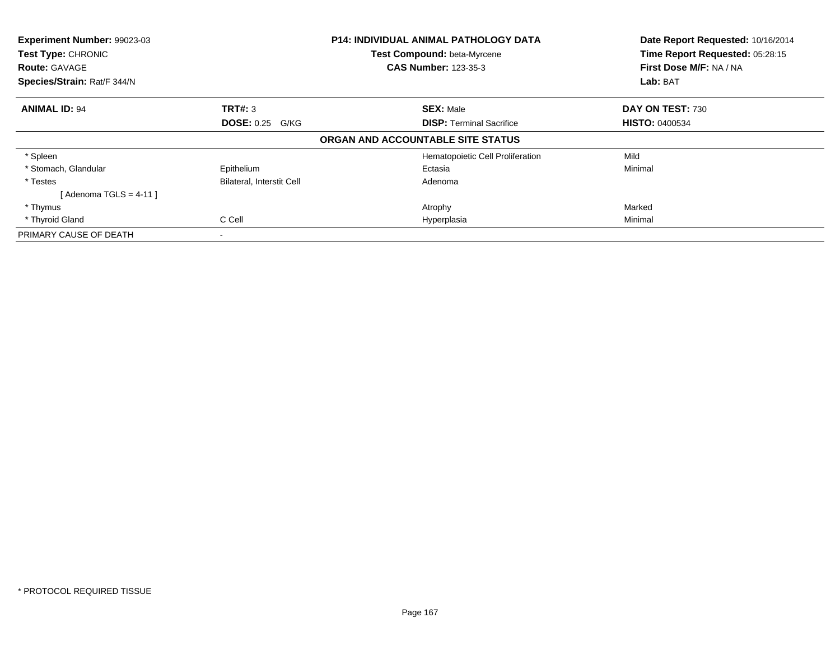| Experiment Number: 99023-03 |                                  | <b>P14: INDIVIDUAL ANIMAL PATHOLOGY DATA</b> | Date Report Requested: 10/16/2014 |
|-----------------------------|----------------------------------|----------------------------------------------|-----------------------------------|
| Test Type: CHRONIC          |                                  | <b>Test Compound: beta-Myrcene</b>           | Time Report Requested: 05:28:15   |
| <b>Route: GAVAGE</b>        |                                  | <b>CAS Number: 123-35-3</b>                  | First Dose M/F: NA / NA           |
| Species/Strain: Rat/F 344/N |                                  |                                              | Lab: BAT                          |
| <b>ANIMAL ID: 94</b>        | TRT#: 3                          | <b>SEX: Male</b>                             | DAY ON TEST: 730                  |
|                             | <b>DOSE: 0.25 G/KG</b>           | <b>DISP:</b> Terminal Sacrifice              | <b>HISTO: 0400534</b>             |
|                             |                                  | ORGAN AND ACCOUNTABLE SITE STATUS            |                                   |
| * Spleen                    |                                  | Hematopoietic Cell Proliferation             | Mild                              |
| * Stomach, Glandular        | Epithelium                       | Ectasia                                      | Minimal                           |
| * Testes                    | <b>Bilateral, Interstit Cell</b> | Adenoma                                      |                                   |
| [ Adenoma TGLS = 4-11 ]     |                                  |                                              |                                   |
| * Thymus                    |                                  | Atrophy                                      | Marked                            |
| * Thyroid Gland             | C Cell                           | Hyperplasia                                  | Minimal                           |
| PRIMARY CAUSE OF DEATH      |                                  |                                              |                                   |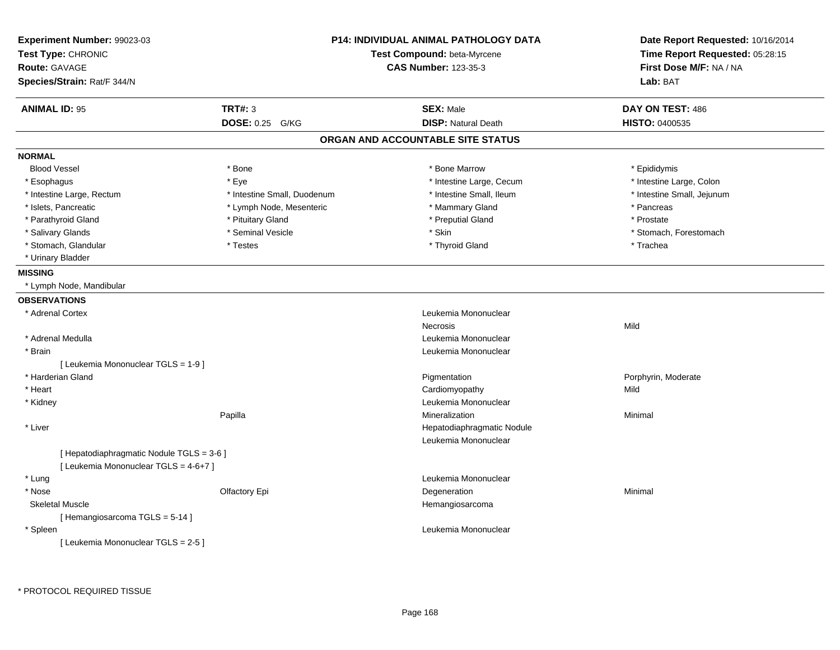| <b>Experiment Number: 99023-03</b><br>Test Type: CHRONIC |                             | <b>P14: INDIVIDUAL ANIMAL PATHOLOGY DATA</b><br>Test Compound: beta-Myrcene | Date Report Requested: 10/16/2014<br>Time Report Requested: 05:28:15 |
|----------------------------------------------------------|-----------------------------|-----------------------------------------------------------------------------|----------------------------------------------------------------------|
| <b>Route: GAVAGE</b>                                     |                             | <b>CAS Number: 123-35-3</b>                                                 | First Dose M/F: NA / NA                                              |
| Species/Strain: Rat/F 344/N                              |                             |                                                                             | Lab: BAT                                                             |
| <b>ANIMAL ID: 95</b>                                     | <b>TRT#: 3</b>              | <b>SEX: Male</b>                                                            | DAY ON TEST: 486                                                     |
|                                                          | DOSE: 0.25 G/KG             | <b>DISP: Natural Death</b>                                                  | <b>HISTO: 0400535</b>                                                |
|                                                          |                             | ORGAN AND ACCOUNTABLE SITE STATUS                                           |                                                                      |
| <b>NORMAL</b>                                            |                             |                                                                             |                                                                      |
| <b>Blood Vessel</b>                                      | * Bone                      | * Bone Marrow                                                               | * Epididymis                                                         |
| * Esophagus                                              | * Eye                       | * Intestine Large, Cecum                                                    | * Intestine Large, Colon                                             |
| * Intestine Large, Rectum                                | * Intestine Small, Duodenum | * Intestine Small, Ileum                                                    | * Intestine Small, Jejunum                                           |
| * Islets, Pancreatic                                     | * Lymph Node, Mesenteric    | * Mammary Gland                                                             | * Pancreas                                                           |
| * Parathyroid Gland                                      | * Pituitary Gland           | * Preputial Gland                                                           | * Prostate                                                           |
| * Salivary Glands                                        | * Seminal Vesicle           | * Skin                                                                      | * Stomach, Forestomach                                               |
| * Stomach, Glandular                                     | * Testes                    | * Thyroid Gland                                                             | * Trachea                                                            |
| * Urinary Bladder                                        |                             |                                                                             |                                                                      |
| <b>MISSING</b>                                           |                             |                                                                             |                                                                      |
| * Lymph Node, Mandibular                                 |                             |                                                                             |                                                                      |
| <b>OBSERVATIONS</b>                                      |                             |                                                                             |                                                                      |
| * Adrenal Cortex                                         |                             | Leukemia Mononuclear                                                        |                                                                      |
|                                                          |                             | Necrosis                                                                    | Mild                                                                 |
| * Adrenal Medulla                                        |                             | Leukemia Mononuclear                                                        |                                                                      |
| * Brain                                                  |                             | Leukemia Mononuclear                                                        |                                                                      |
| [ Leukemia Mononuclear TGLS = 1-9 ]                      |                             |                                                                             |                                                                      |
| * Harderian Gland                                        |                             | Pigmentation                                                                | Porphyrin, Moderate                                                  |
| * Heart                                                  |                             | Cardiomyopathy                                                              | Mild                                                                 |
| * Kidney                                                 |                             | Leukemia Mononuclear                                                        |                                                                      |
|                                                          | Papilla                     | Mineralization                                                              | Minimal                                                              |
| * Liver                                                  |                             | Hepatodiaphragmatic Nodule                                                  |                                                                      |
|                                                          |                             | Leukemia Mononuclear                                                        |                                                                      |
| [Hepatodiaphragmatic Nodule TGLS = 3-6]                  |                             |                                                                             |                                                                      |
| [ Leukemia Mononuclear TGLS = 4-6+7 ]                    |                             |                                                                             |                                                                      |
| * Lung                                                   |                             | Leukemia Mononuclear                                                        |                                                                      |
| * Nose                                                   | Olfactory Epi               | Degeneration                                                                | Minimal                                                              |
| <b>Skeletal Muscle</b>                                   |                             | Hemangiosarcoma                                                             |                                                                      |
| [Hemangiosarcoma TGLS = 5-14]                            |                             |                                                                             |                                                                      |
| * Spleen                                                 |                             | Leukemia Mononuclear                                                        |                                                                      |
| [Leukemia Mononuclear TGLS = 2-5]                        |                             |                                                                             |                                                                      |
|                                                          |                             |                                                                             |                                                                      |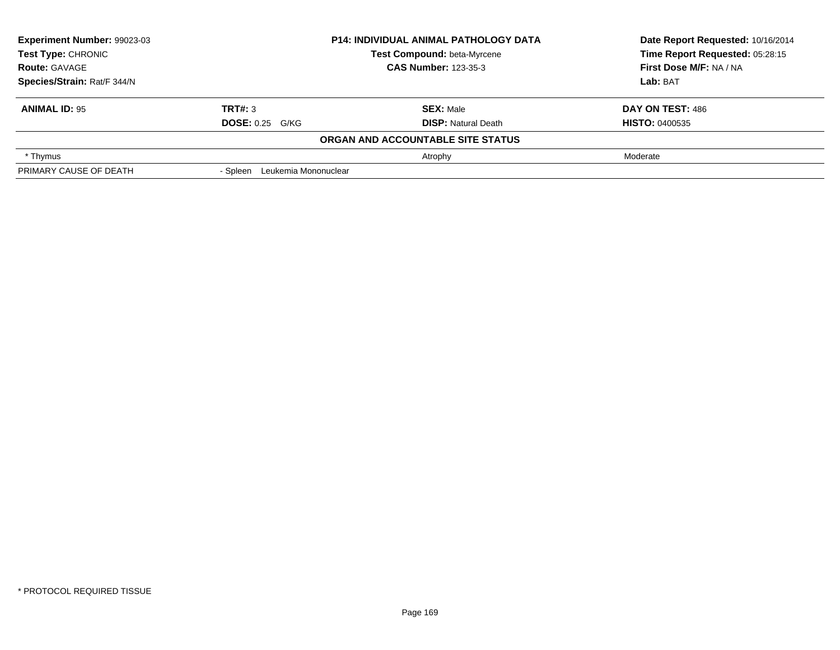| Experiment Number: 99023-03 |                                  | <b>P14: INDIVIDUAL ANIMAL PATHOLOGY DATA</b> | Date Report Requested: 10/16/2014 |
|-----------------------------|----------------------------------|----------------------------------------------|-----------------------------------|
| Test Type: CHRONIC          |                                  | Test Compound: beta-Myrcene                  | Time Report Requested: 05:28:15   |
| <b>Route: GAVAGE</b>        |                                  | <b>CAS Number: 123-35-3</b>                  | First Dose M/F: NA / NA           |
| Species/Strain: Rat/F 344/N |                                  |                                              | Lab: BAT                          |
| <b>ANIMAL ID: 95</b>        | TRT#: 3                          | <b>SEX: Male</b>                             | DAY ON TEST: 486                  |
|                             | <b>DOSE: 0.25 G/KG</b>           | <b>DISP: Natural Death</b>                   | <b>HISTO: 0400535</b>             |
|                             |                                  | ORGAN AND ACCOUNTABLE SITE STATUS            |                                   |
| * Thymus                    |                                  | Atrophy                                      | Moderate                          |
| PRIMARY CAUSE OF DEATH      | Leukemia Mononuclear<br>- Spleen |                                              |                                   |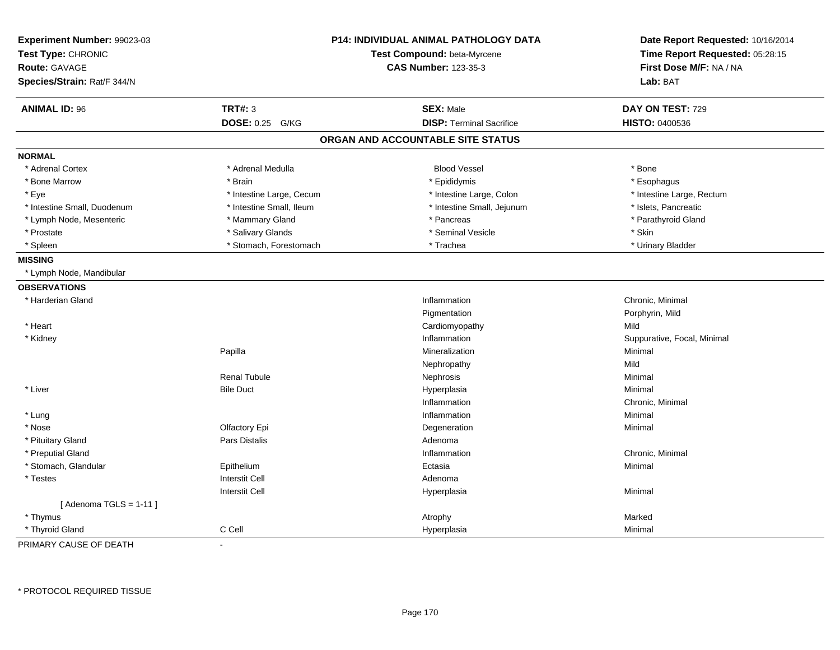| Experiment Number: 99023-03<br>Test Type: CHRONIC<br><b>Route: GAVAGE</b> |                          | <b>P14: INDIVIDUAL ANIMAL PATHOLOGY DATA</b><br>Test Compound: beta-Myrcene<br><b>CAS Number: 123-35-3</b> | Date Report Requested: 10/16/2014<br>Time Report Requested: 05:28:15<br>First Dose M/F: NA / NA |
|---------------------------------------------------------------------------|--------------------------|------------------------------------------------------------------------------------------------------------|-------------------------------------------------------------------------------------------------|
| Species/Strain: Rat/F 344/N                                               |                          |                                                                                                            | Lab: BAT                                                                                        |
| <b>ANIMAL ID: 96</b>                                                      | <b>TRT#: 3</b>           | <b>SEX: Male</b>                                                                                           | DAY ON TEST: 729                                                                                |
|                                                                           | DOSE: 0.25 G/KG          | <b>DISP: Terminal Sacrifice</b>                                                                            | HISTO: 0400536                                                                                  |
|                                                                           |                          | ORGAN AND ACCOUNTABLE SITE STATUS                                                                          |                                                                                                 |
| <b>NORMAL</b>                                                             |                          |                                                                                                            |                                                                                                 |
| * Adrenal Cortex                                                          | * Adrenal Medulla        | <b>Blood Vessel</b>                                                                                        | * Bone                                                                                          |
| * Bone Marrow                                                             | * Brain                  | * Epididymis                                                                                               | * Esophagus                                                                                     |
| * Eye                                                                     | * Intestine Large, Cecum | * Intestine Large, Colon                                                                                   | * Intestine Large, Rectum                                                                       |
| * Intestine Small, Duodenum                                               | * Intestine Small, Ileum | * Intestine Small, Jejunum                                                                                 | * Islets, Pancreatic                                                                            |
| * Lymph Node, Mesenteric                                                  | * Mammary Gland          | * Pancreas                                                                                                 | * Parathyroid Gland                                                                             |
| * Prostate                                                                | * Salivary Glands        | * Seminal Vesicle                                                                                          | * Skin                                                                                          |
| * Spleen                                                                  | * Stomach, Forestomach   | * Trachea                                                                                                  | * Urinary Bladder                                                                               |
| <b>MISSING</b>                                                            |                          |                                                                                                            |                                                                                                 |
| * Lymph Node, Mandibular                                                  |                          |                                                                                                            |                                                                                                 |
| <b>OBSERVATIONS</b>                                                       |                          |                                                                                                            |                                                                                                 |
| * Harderian Gland                                                         |                          | Inflammation                                                                                               | Chronic, Minimal                                                                                |
|                                                                           |                          | Pigmentation                                                                                               | Porphyrin, Mild                                                                                 |
| * Heart                                                                   |                          | Cardiomyopathy                                                                                             | Mild                                                                                            |
| * Kidney                                                                  |                          | Inflammation                                                                                               | Suppurative, Focal, Minimal                                                                     |
|                                                                           | Papilla                  | Mineralization                                                                                             | Minimal                                                                                         |
|                                                                           |                          | Nephropathy                                                                                                | Mild                                                                                            |
|                                                                           | <b>Renal Tubule</b>      | Nephrosis                                                                                                  | Minimal                                                                                         |
| * Liver                                                                   | <b>Bile Duct</b>         | Hyperplasia                                                                                                | Minimal                                                                                         |
|                                                                           |                          | Inflammation                                                                                               | Chronic, Minimal                                                                                |
| * Lung                                                                    |                          | Inflammation                                                                                               | Minimal                                                                                         |
| * Nose                                                                    | Olfactory Epi            | Degeneration                                                                                               | Minimal                                                                                         |
| * Pituitary Gland                                                         | Pars Distalis            | Adenoma                                                                                                    |                                                                                                 |
| * Preputial Gland                                                         |                          | Inflammation                                                                                               | Chronic, Minimal                                                                                |
| * Stomach, Glandular                                                      | Epithelium               | Ectasia                                                                                                    | Minimal                                                                                         |
| * Testes                                                                  | <b>Interstit Cell</b>    | Adenoma                                                                                                    |                                                                                                 |
|                                                                           | Interstit Cell           | Hyperplasia                                                                                                | Minimal                                                                                         |
| [Adenoma TGLS = $1-11$ ]                                                  |                          |                                                                                                            |                                                                                                 |
| * Thymus                                                                  |                          | Atrophy                                                                                                    | Marked                                                                                          |
| * Thyroid Gland                                                           | C Cell                   | Hyperplasia                                                                                                | Minimal                                                                                         |

PRIMARY CAUSE OF DEATH-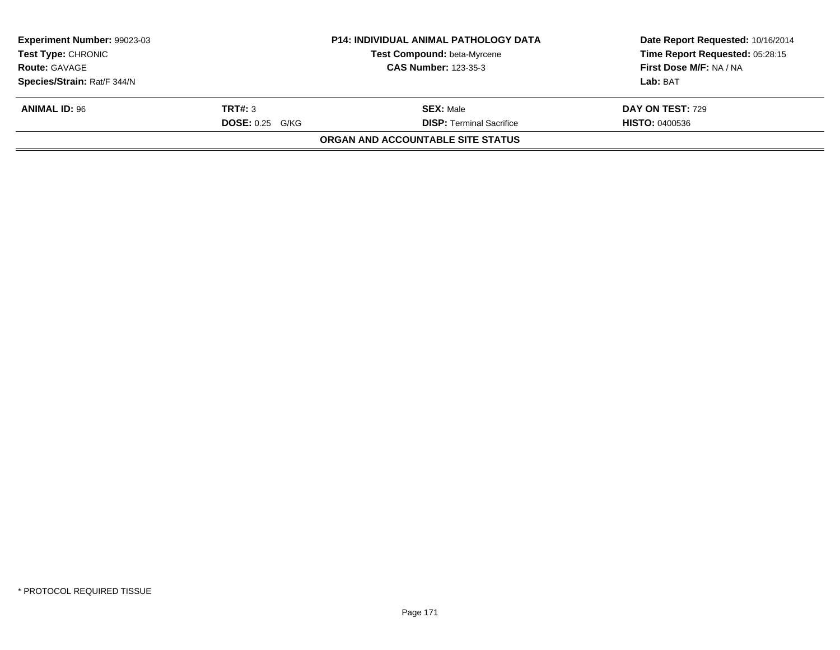| Experiment Number: 99023-03 |                        | <b>P14: INDIVIDUAL ANIMAL PATHOLOGY DATA</b> | Date Report Requested: 10/16/2014 |
|-----------------------------|------------------------|----------------------------------------------|-----------------------------------|
| <b>Test Type: CHRONIC</b>   |                        | Test Compound: beta-Myrcene                  | Time Report Requested: 05:28:15   |
| <b>Route: GAVAGE</b>        |                        | <b>CAS Number: 123-35-3</b>                  | First Dose M/F: NA / NA           |
| Species/Strain: Rat/F 344/N |                        |                                              | Lab: BAT                          |
| <b>ANIMAL ID: 96</b>        | TRT#: 3                | <b>SEX: Male</b>                             | <b>DAY ON TEST: 729</b>           |
|                             | <b>DOSE: 0.25 G/KG</b> | <b>DISP: Terminal Sacrifice</b>              | <b>HISTO: 0400536</b>             |
|                             |                        | ORGAN AND ACCOUNTABLE SITE STATUS            |                                   |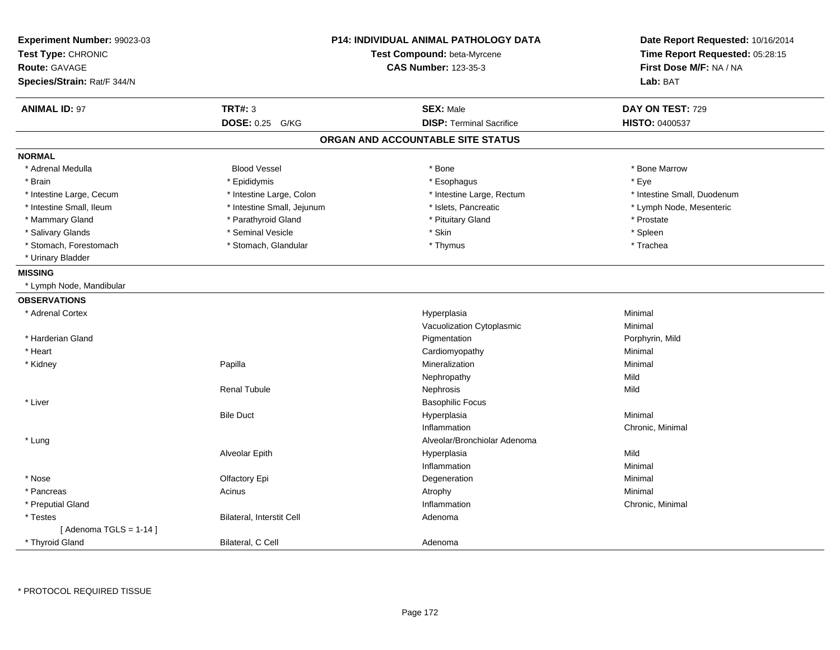| Experiment Number: 99023-03<br>Test Type: CHRONIC<br><b>Route: GAVAGE</b><br>Species/Strain: Rat/F 344/N |                            | <b>P14: INDIVIDUAL ANIMAL PATHOLOGY DATA</b><br>Test Compound: beta-Myrcene<br><b>CAS Number: 123-35-3</b> | Date Report Requested: 10/16/2014<br>Time Report Requested: 05:28:15<br>First Dose M/F: NA / NA<br>Lab: BAT |
|----------------------------------------------------------------------------------------------------------|----------------------------|------------------------------------------------------------------------------------------------------------|-------------------------------------------------------------------------------------------------------------|
| <b>ANIMAL ID: 97</b>                                                                                     | <b>TRT#: 3</b>             | <b>SEX: Male</b>                                                                                           | DAY ON TEST: 729                                                                                            |
|                                                                                                          | DOSE: 0.25 G/KG            | <b>DISP: Terminal Sacrifice</b>                                                                            | <b>HISTO: 0400537</b>                                                                                       |
|                                                                                                          |                            | ORGAN AND ACCOUNTABLE SITE STATUS                                                                          |                                                                                                             |
| <b>NORMAL</b>                                                                                            |                            |                                                                                                            |                                                                                                             |
| * Adrenal Medulla                                                                                        | <b>Blood Vessel</b>        | * Bone                                                                                                     | * Bone Marrow                                                                                               |
| * Brain                                                                                                  | * Epididymis               | * Esophagus                                                                                                | * Eye                                                                                                       |
| * Intestine Large, Cecum                                                                                 | * Intestine Large, Colon   | * Intestine Large, Rectum                                                                                  | * Intestine Small, Duodenum                                                                                 |
| * Intestine Small, Ileum                                                                                 | * Intestine Small, Jejunum | * Islets, Pancreatic                                                                                       | * Lymph Node, Mesenteric                                                                                    |
| * Mammary Gland                                                                                          | * Parathyroid Gland        | * Pituitary Gland                                                                                          | * Prostate                                                                                                  |
| * Salivary Glands                                                                                        | * Seminal Vesicle          | * Skin                                                                                                     | * Spleen                                                                                                    |
| * Stomach, Forestomach                                                                                   | * Stomach, Glandular       | * Thymus                                                                                                   | * Trachea                                                                                                   |
| * Urinary Bladder                                                                                        |                            |                                                                                                            |                                                                                                             |
| <b>MISSING</b>                                                                                           |                            |                                                                                                            |                                                                                                             |
| * Lymph Node, Mandibular                                                                                 |                            |                                                                                                            |                                                                                                             |
| <b>OBSERVATIONS</b>                                                                                      |                            |                                                                                                            |                                                                                                             |
| * Adrenal Cortex                                                                                         |                            | Hyperplasia                                                                                                | Minimal                                                                                                     |
|                                                                                                          |                            | Vacuolization Cytoplasmic                                                                                  | Minimal                                                                                                     |
| * Harderian Gland                                                                                        |                            | Pigmentation                                                                                               | Porphyrin, Mild                                                                                             |
| * Heart                                                                                                  |                            | Cardiomyopathy                                                                                             | Minimal                                                                                                     |
| * Kidney                                                                                                 | Papilla                    | Mineralization                                                                                             | Minimal                                                                                                     |
|                                                                                                          |                            | Nephropathy                                                                                                | Mild                                                                                                        |
|                                                                                                          | <b>Renal Tubule</b>        | Nephrosis                                                                                                  | Mild                                                                                                        |
| * Liver                                                                                                  |                            | <b>Basophilic Focus</b>                                                                                    |                                                                                                             |
|                                                                                                          | <b>Bile Duct</b>           | Hyperplasia                                                                                                | Minimal                                                                                                     |
|                                                                                                          |                            | Inflammation                                                                                               | Chronic, Minimal                                                                                            |
| * Lung                                                                                                   |                            | Alveolar/Bronchiolar Adenoma                                                                               |                                                                                                             |
|                                                                                                          | Alveolar Epith             | Hyperplasia                                                                                                | Mild                                                                                                        |
|                                                                                                          |                            | Inflammation                                                                                               | Minimal                                                                                                     |
| * Nose                                                                                                   | Olfactory Epi              | Degeneration                                                                                               | Minimal                                                                                                     |
| * Pancreas                                                                                               | Acinus                     | Atrophy                                                                                                    | Minimal                                                                                                     |
| * Preputial Gland                                                                                        |                            | Inflammation                                                                                               | Chronic, Minimal                                                                                            |
| * Testes                                                                                                 | Bilateral, Interstit Cell  | Adenoma                                                                                                    |                                                                                                             |
| [Adenoma TGLS = $1-14$ ]                                                                                 |                            |                                                                                                            |                                                                                                             |
| * Thyroid Gland                                                                                          | Bilateral, C Cell          | Adenoma                                                                                                    |                                                                                                             |

\* PROTOCOL REQUIRED TISSUE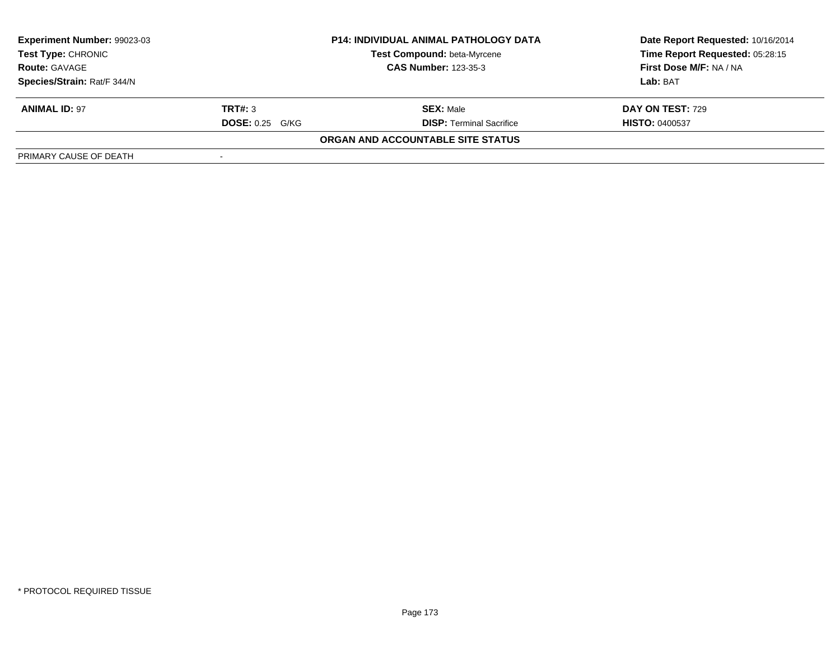| Experiment Number: 99023-03 |                        | <b>P14: INDIVIDUAL ANIMAL PATHOLOGY DATA</b> | Date Report Requested: 10/16/2014 |
|-----------------------------|------------------------|----------------------------------------------|-----------------------------------|
| <b>Test Type: CHRONIC</b>   |                        | Test Compound: beta-Myrcene                  | Time Report Requested: 05:28:15   |
| <b>Route: GAVAGE</b>        |                        | <b>CAS Number: 123-35-3</b>                  | First Dose M/F: NA / NA           |
| Species/Strain: Rat/F 344/N |                        |                                              | Lab: BAT                          |
| <b>ANIMAL ID: 97</b>        | TRT#: 3                | <b>SEX: Male</b>                             | <b>DAY ON TEST: 729</b>           |
|                             | <b>DOSE: 0.25 G/KG</b> | <b>DISP: Terminal Sacrifice</b>              | <b>HISTO: 0400537</b>             |
|                             |                        | ORGAN AND ACCOUNTABLE SITE STATUS            |                                   |
| PRIMARY CAUSE OF DEATH      |                        |                                              |                                   |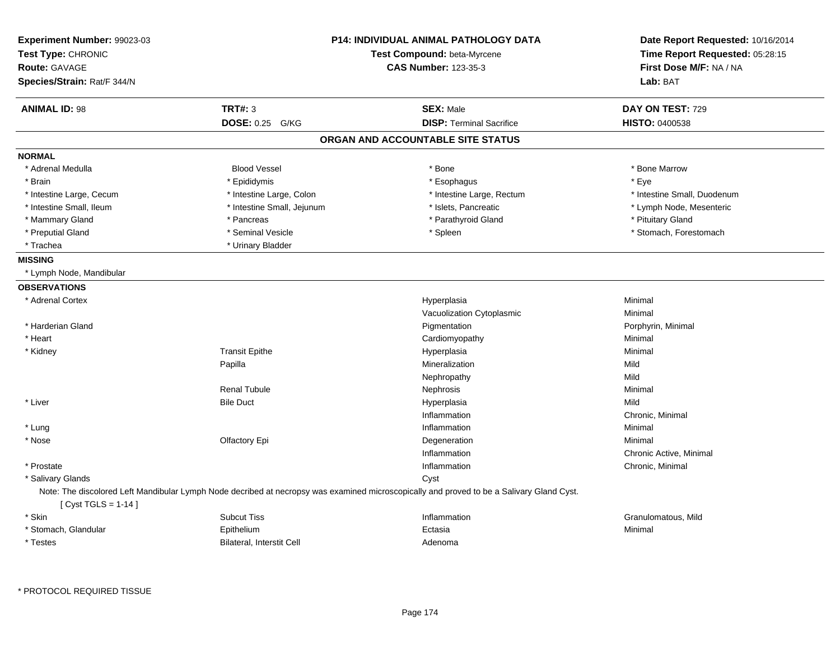| Experiment Number: 99023-03<br>Test Type: CHRONIC<br><b>Route: GAVAGE</b><br>Species/Strain: Rat/F 344/N |                                  | <b>P14: INDIVIDUAL ANIMAL PATHOLOGY DATA</b><br>Test Compound: beta-Myrcene<br><b>CAS Number: 123-35-3</b>                                | Date Report Requested: 10/16/2014<br>Time Report Requested: 05:28:15<br>First Dose M/F: NA / NA<br>Lab: BAT |
|----------------------------------------------------------------------------------------------------------|----------------------------------|-------------------------------------------------------------------------------------------------------------------------------------------|-------------------------------------------------------------------------------------------------------------|
| <b>ANIMAL ID: 98</b>                                                                                     | <b>TRT#: 3</b>                   | <b>SEX: Male</b>                                                                                                                          | DAY ON TEST: 729                                                                                            |
|                                                                                                          | DOSE: 0.25 G/KG                  | <b>DISP: Terminal Sacrifice</b>                                                                                                           | <b>HISTO: 0400538</b>                                                                                       |
|                                                                                                          |                                  | ORGAN AND ACCOUNTABLE SITE STATUS                                                                                                         |                                                                                                             |
| <b>NORMAL</b>                                                                                            |                                  |                                                                                                                                           |                                                                                                             |
| * Adrenal Medulla                                                                                        | <b>Blood Vessel</b>              | * Bone                                                                                                                                    | * Bone Marrow                                                                                               |
| * Brain                                                                                                  | * Epididymis                     | * Esophagus                                                                                                                               | * Eve                                                                                                       |
| * Intestine Large, Cecum                                                                                 | * Intestine Large, Colon         | * Intestine Large, Rectum                                                                                                                 | * Intestine Small, Duodenum                                                                                 |
| * Intestine Small, Ileum                                                                                 | * Intestine Small, Jejunum       | * Islets, Pancreatic                                                                                                                      | * Lymph Node, Mesenteric                                                                                    |
| * Mammary Gland                                                                                          | * Pancreas                       | * Parathyroid Gland                                                                                                                       | * Pituitary Gland                                                                                           |
| * Preputial Gland                                                                                        | * Seminal Vesicle                | * Spleen                                                                                                                                  | * Stomach, Forestomach                                                                                      |
| * Trachea                                                                                                | * Urinary Bladder                |                                                                                                                                           |                                                                                                             |
| <b>MISSING</b>                                                                                           |                                  |                                                                                                                                           |                                                                                                             |
| * Lymph Node, Mandibular                                                                                 |                                  |                                                                                                                                           |                                                                                                             |
| <b>OBSERVATIONS</b>                                                                                      |                                  |                                                                                                                                           |                                                                                                             |
| * Adrenal Cortex                                                                                         |                                  | Hyperplasia                                                                                                                               | Minimal                                                                                                     |
|                                                                                                          |                                  | Vacuolization Cytoplasmic                                                                                                                 | Minimal                                                                                                     |
| * Harderian Gland                                                                                        |                                  | Pigmentation                                                                                                                              | Porphyrin, Minimal                                                                                          |
| * Heart                                                                                                  |                                  | Cardiomyopathy                                                                                                                            | Minimal                                                                                                     |
| * Kidney                                                                                                 | <b>Transit Epithe</b>            | Hyperplasia                                                                                                                               | Minimal                                                                                                     |
|                                                                                                          | Papilla                          | Mineralization                                                                                                                            | Mild                                                                                                        |
|                                                                                                          |                                  | Nephropathy                                                                                                                               | Mild                                                                                                        |
|                                                                                                          | <b>Renal Tubule</b>              | Nephrosis                                                                                                                                 | Minimal                                                                                                     |
| * Liver                                                                                                  | <b>Bile Duct</b>                 | Hyperplasia                                                                                                                               | Mild                                                                                                        |
|                                                                                                          |                                  | Inflammation                                                                                                                              | Chronic, Minimal                                                                                            |
| * Lung                                                                                                   |                                  | Inflammation                                                                                                                              | Minimal                                                                                                     |
| * Nose                                                                                                   | Olfactory Epi                    | Degeneration                                                                                                                              | Minimal                                                                                                     |
|                                                                                                          |                                  | Inflammation                                                                                                                              | Chronic Active, Minimal                                                                                     |
| * Prostate                                                                                               |                                  | Inflammation                                                                                                                              | Chronic, Minimal                                                                                            |
| * Salivary Glands                                                                                        |                                  | Cyst                                                                                                                                      |                                                                                                             |
| [ Cyst TGLS = 1-14 ]                                                                                     |                                  | Note: The discolored Left Mandibular Lymph Node decribed at necropsy was examined microscopically and proved to be a Salivary Gland Cyst. |                                                                                                             |
| * Skin                                                                                                   | <b>Subcut Tiss</b>               | Inflammation                                                                                                                              | Granulomatous, Mild                                                                                         |
| * Stomach, Glandular                                                                                     | Epithelium                       | Ectasia                                                                                                                                   | Minimal                                                                                                     |
| * Testes                                                                                                 | <b>Bilateral, Interstit Cell</b> | Adenoma                                                                                                                                   |                                                                                                             |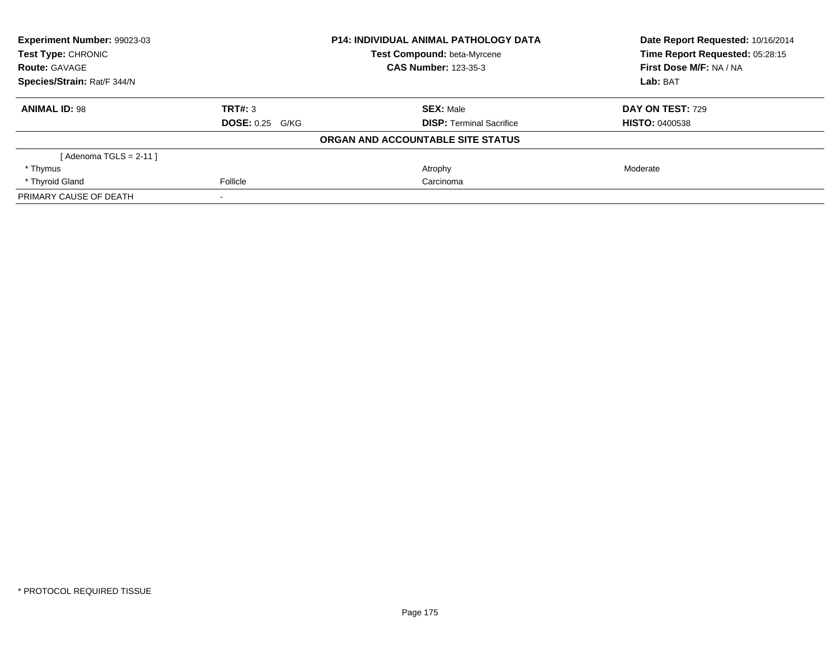| Experiment Number: 99023-03 |                        | <b>P14: INDIVIDUAL ANIMAL PATHOLOGY DATA</b> | Date Report Requested: 10/16/2014 |
|-----------------------------|------------------------|----------------------------------------------|-----------------------------------|
| Test Type: CHRONIC          |                        | Test Compound: beta-Myrcene                  | Time Report Requested: 05:28:15   |
| <b>Route: GAVAGE</b>        |                        | <b>CAS Number: 123-35-3</b>                  | First Dose M/F: NA / NA           |
| Species/Strain: Rat/F 344/N |                        |                                              | Lab: BAT                          |
| <b>ANIMAL ID: 98</b>        | TRT#: 3                | <b>SEX: Male</b>                             | DAY ON TEST: 729                  |
|                             | <b>DOSE: 0.25 G/KG</b> | <b>DISP:</b> Terminal Sacrifice              | <b>HISTO: 0400538</b>             |
|                             |                        | ORGAN AND ACCOUNTABLE SITE STATUS            |                                   |
| [ Adenoma TGLS = 2-11 ]     |                        |                                              |                                   |
| * Thymus                    |                        | Atrophy                                      | Moderate                          |
| * Thyroid Gland             | Follicle               | Carcinoma                                    |                                   |
| PRIMARY CAUSE OF DEATH      |                        |                                              |                                   |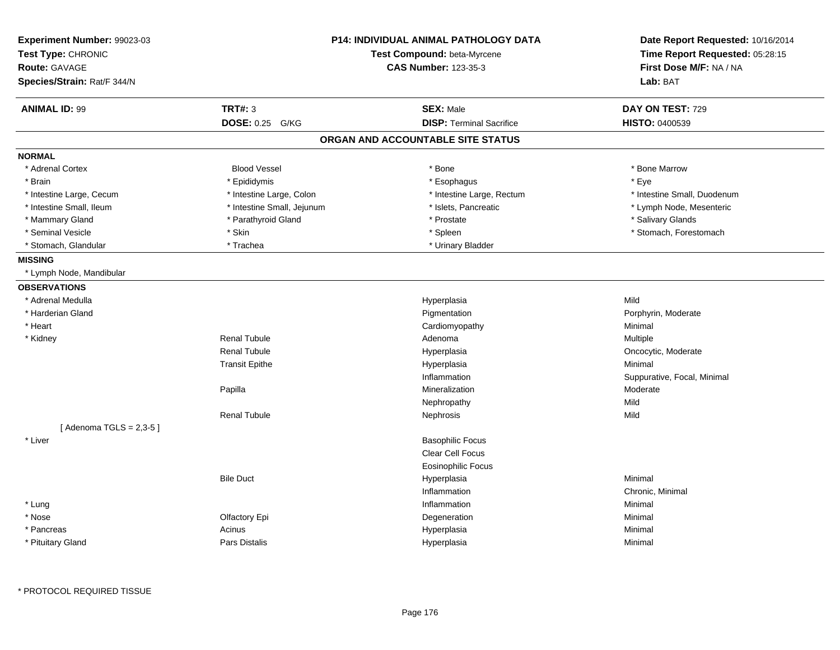| <b>Experiment Number: 99023-03</b><br>Test Type: CHRONIC<br><b>Route: GAVAGE</b><br>Species/Strain: Rat/F 344/N |                            | <b>P14: INDIVIDUAL ANIMAL PATHOLOGY DATA</b><br>Test Compound: beta-Myrcene<br><b>CAS Number: 123-35-3</b> | Date Report Requested: 10/16/2014<br>Time Report Requested: 05:28:15<br>First Dose M/F: NA / NA<br>Lab: BAT |
|-----------------------------------------------------------------------------------------------------------------|----------------------------|------------------------------------------------------------------------------------------------------------|-------------------------------------------------------------------------------------------------------------|
| <b>ANIMAL ID: 99</b>                                                                                            | <b>TRT#: 3</b>             | <b>SEX: Male</b>                                                                                           | DAY ON TEST: 729                                                                                            |
|                                                                                                                 | <b>DOSE: 0.25</b><br>G/KG  | <b>DISP: Terminal Sacrifice</b>                                                                            | HISTO: 0400539                                                                                              |
|                                                                                                                 |                            | ORGAN AND ACCOUNTABLE SITE STATUS                                                                          |                                                                                                             |
| <b>NORMAL</b>                                                                                                   |                            |                                                                                                            |                                                                                                             |
| * Adrenal Cortex                                                                                                | <b>Blood Vessel</b>        | $*$ Bone                                                                                                   | * Bone Marrow                                                                                               |
| * Brain                                                                                                         | * Epididymis               | * Esophagus                                                                                                | * Eye                                                                                                       |
| * Intestine Large, Cecum                                                                                        | * Intestine Large, Colon   | * Intestine Large, Rectum                                                                                  | * Intestine Small, Duodenum                                                                                 |
| * Intestine Small, Ileum                                                                                        | * Intestine Small, Jejunum | * Islets, Pancreatic                                                                                       | * Lymph Node, Mesenteric                                                                                    |
| * Mammary Gland                                                                                                 | * Parathyroid Gland        | * Prostate                                                                                                 | * Salivary Glands                                                                                           |
| * Seminal Vesicle                                                                                               | * Skin                     | * Spleen                                                                                                   | * Stomach, Forestomach                                                                                      |
| * Stomach, Glandular                                                                                            | * Trachea                  | * Urinary Bladder                                                                                          |                                                                                                             |
| <b>MISSING</b>                                                                                                  |                            |                                                                                                            |                                                                                                             |
| * Lymph Node, Mandibular                                                                                        |                            |                                                                                                            |                                                                                                             |
| <b>OBSERVATIONS</b>                                                                                             |                            |                                                                                                            |                                                                                                             |
| * Adrenal Medulla                                                                                               |                            | Hyperplasia                                                                                                | Mild                                                                                                        |
| * Harderian Gland                                                                                               |                            | Pigmentation                                                                                               | Porphyrin, Moderate                                                                                         |
| * Heart                                                                                                         |                            | Cardiomyopathy                                                                                             | Minimal                                                                                                     |
| * Kidney                                                                                                        | <b>Renal Tubule</b>        | Adenoma                                                                                                    | Multiple                                                                                                    |
|                                                                                                                 | <b>Renal Tubule</b>        | Hyperplasia                                                                                                | Oncocytic, Moderate                                                                                         |
|                                                                                                                 | <b>Transit Epithe</b>      | Hyperplasia                                                                                                | Minimal                                                                                                     |
|                                                                                                                 |                            | Inflammation                                                                                               | Suppurative, Focal, Minimal                                                                                 |
|                                                                                                                 | Papilla                    | Mineralization                                                                                             | Moderate                                                                                                    |
|                                                                                                                 |                            | Nephropathy                                                                                                | Mild                                                                                                        |
|                                                                                                                 | <b>Renal Tubule</b>        | Nephrosis                                                                                                  | Mild                                                                                                        |
| [Adenoma TGLS = $2,3-5$ ]                                                                                       |                            |                                                                                                            |                                                                                                             |
| * Liver                                                                                                         |                            | <b>Basophilic Focus</b>                                                                                    |                                                                                                             |
|                                                                                                                 |                            | Clear Cell Focus                                                                                           |                                                                                                             |
|                                                                                                                 |                            | <b>Eosinophilic Focus</b>                                                                                  |                                                                                                             |
|                                                                                                                 | <b>Bile Duct</b>           | Hyperplasia                                                                                                | Minimal                                                                                                     |
|                                                                                                                 |                            | Inflammation                                                                                               | Chronic, Minimal                                                                                            |
| * Lung                                                                                                          |                            | Inflammation                                                                                               | Minimal                                                                                                     |
| * Nose                                                                                                          | Olfactory Epi              | Degeneration                                                                                               | Minimal                                                                                                     |
| * Pancreas                                                                                                      | Acinus                     | Hyperplasia                                                                                                | Minimal                                                                                                     |
| * Pituitary Gland                                                                                               | <b>Pars Distalis</b>       | Hyperplasia                                                                                                | Minimal                                                                                                     |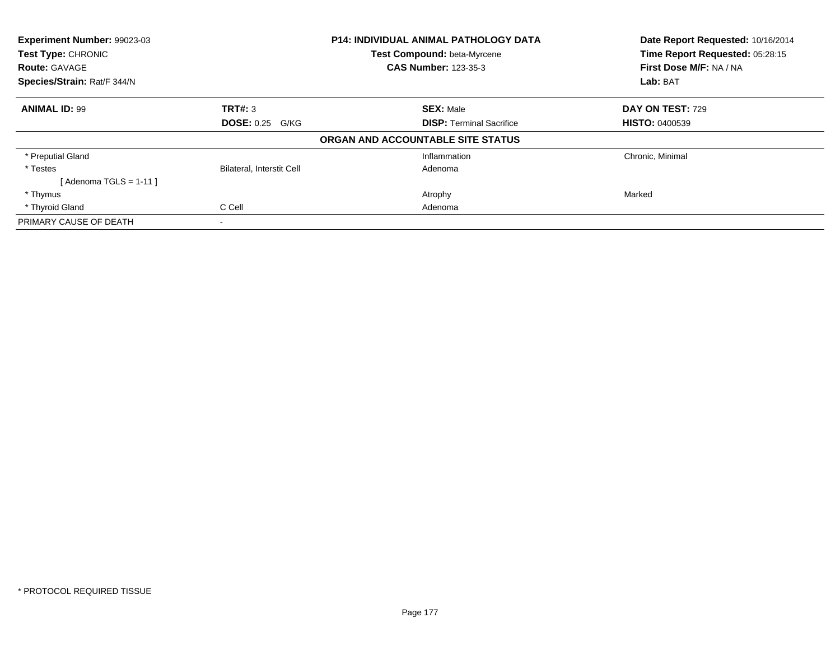| Experiment Number: 99023-03 |                                  | P14: INDIVIDUAL ANIMAL PATHOLOGY DATA | Date Report Requested: 10/16/2014 |
|-----------------------------|----------------------------------|---------------------------------------|-----------------------------------|
| Test Type: CHRONIC          |                                  | Test Compound: beta-Myrcene           | Time Report Requested: 05:28:15   |
| <b>Route: GAVAGE</b>        |                                  | <b>CAS Number: 123-35-3</b>           | First Dose M/F: NA / NA           |
| Species/Strain: Rat/F 344/N |                                  |                                       | Lab: BAT                          |
| <b>ANIMAL ID: 99</b>        | TRT#: 3                          | <b>SEX: Male</b>                      | DAY ON TEST: 729                  |
|                             | <b>DOSE: 0.25 G/KG</b>           | <b>DISP:</b> Terminal Sacrifice       | <b>HISTO: 0400539</b>             |
|                             |                                  | ORGAN AND ACCOUNTABLE SITE STATUS     |                                   |
| * Preputial Gland           |                                  | Inflammation                          | Chronic, Minimal                  |
| * Testes                    | <b>Bilateral, Interstit Cell</b> | Adenoma                               |                                   |
| [Adenoma TGLS = $1-11$ ]    |                                  |                                       |                                   |
| * Thymus                    |                                  | Atrophy                               | Marked                            |
| * Thyroid Gland             | C Cell                           | Adenoma                               |                                   |
| PRIMARY CAUSE OF DEATH      |                                  |                                       |                                   |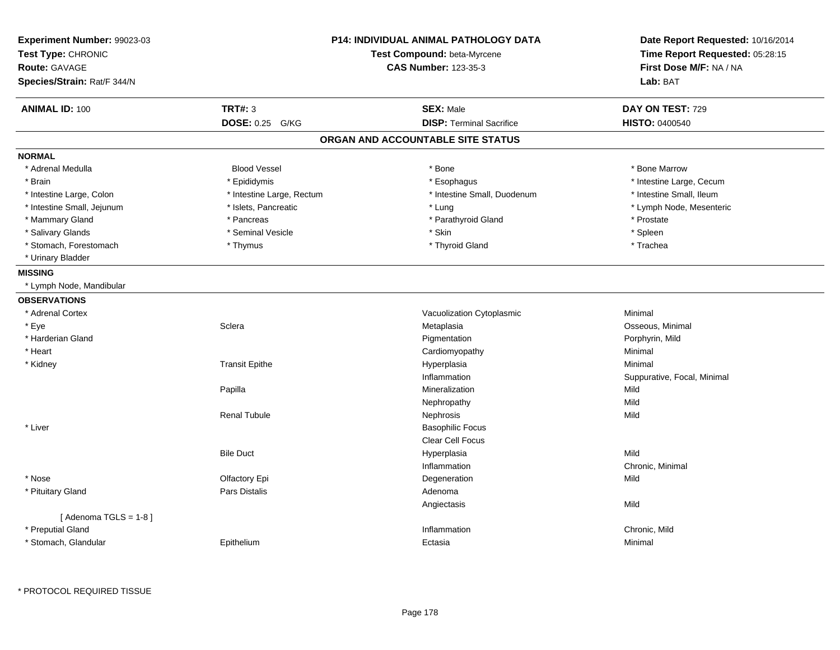| <b>TRT#: 3</b><br><b>SEX: Male</b><br>DAY ON TEST: 729<br><b>DISP: Terminal Sacrifice</b><br>DOSE: 0.25 G/KG<br><b>HISTO: 0400540</b><br>ORGAN AND ACCOUNTABLE SITE STATUS<br><b>Blood Vessel</b><br>* Bone Marrow<br>* Adrenal Medulla<br>* Bone<br>* Intestine Large, Cecum<br>* Brain<br>* Epididymis<br>* Esophagus<br>* Intestine Large, Colon<br>* Intestine Large, Rectum<br>* Intestine Small, Duodenum<br>* Intestine Small, Ileum<br>* Islets, Pancreatic<br>* Intestine Small, Jejunum<br>* Lung<br>* Lymph Node, Mesenteric<br>* Parathyroid Gland<br>* Mammary Gland<br>* Pancreas<br>* Prostate<br>* Salivary Glands<br>* Seminal Vesicle<br>* Skin<br>* Spleen<br>* Stomach, Forestomach<br>* Thyroid Gland<br>* Thymus<br>* Trachea<br>* Urinary Bladder<br>* Lymph Node, Mandibular<br>Vacuolization Cytoplasmic<br>* Adrenal Cortex<br>Minimal<br>* Eye<br>Sclera<br>Metaplasia<br>Osseous, Minimal<br>* Harderian Gland<br>Pigmentation<br>Porphyrin, Mild<br>Minimal<br>* Heart<br>Cardiomyopathy<br>* Kidney<br><b>Transit Epithe</b><br>Hyperplasia<br>Minimal<br>Inflammation<br>Suppurative, Focal, Minimal<br>Papilla<br>Mineralization<br>Mild<br>Mild<br>Nephropathy<br>Mild<br><b>Renal Tubule</b><br>Nephrosis<br>* Liver<br><b>Basophilic Focus</b><br>Clear Cell Focus<br>Mild<br><b>Bile Duct</b><br>Hyperplasia<br>Inflammation<br>Chronic, Minimal<br>* Nose<br>Olfactory Epi<br>Degeneration<br>Mild<br>* Pituitary Gland<br>Pars Distalis<br>Adenoma<br>Mild<br>Angiectasis<br>[Adenoma TGLS = $1-8$ ]<br>* Preputial Gland<br>Inflammation<br>Chronic, Mild | Experiment Number: 99023-03<br>Test Type: CHRONIC<br><b>Route: GAVAGE</b><br>Species/Strain: Rat/F 344/N |            | <b>P14: INDIVIDUAL ANIMAL PATHOLOGY DATA</b><br>Test Compound: beta-Myrcene<br><b>CAS Number: 123-35-3</b> | Date Report Requested: 10/16/2014<br>Time Report Requested: 05:28:15<br>First Dose M/F: NA / NA<br>Lab: BAT |
|--------------------------------------------------------------------------------------------------------------------------------------------------------------------------------------------------------------------------------------------------------------------------------------------------------------------------------------------------------------------------------------------------------------------------------------------------------------------------------------------------------------------------------------------------------------------------------------------------------------------------------------------------------------------------------------------------------------------------------------------------------------------------------------------------------------------------------------------------------------------------------------------------------------------------------------------------------------------------------------------------------------------------------------------------------------------------------------------------------------------------------------------------------------------------------------------------------------------------------------------------------------------------------------------------------------------------------------------------------------------------------------------------------------------------------------------------------------------------------------------------------------------------------------------------------------------------------------------------|----------------------------------------------------------------------------------------------------------|------------|------------------------------------------------------------------------------------------------------------|-------------------------------------------------------------------------------------------------------------|
|                                                                                                                                                                                                                                                                                                                                                                                                                                                                                                                                                                                                                                                                                                                                                                                                                                                                                                                                                                                                                                                                                                                                                                                                                                                                                                                                                                                                                                                                                                                                                                                                  | <b>ANIMAL ID: 100</b>                                                                                    |            |                                                                                                            |                                                                                                             |
|                                                                                                                                                                                                                                                                                                                                                                                                                                                                                                                                                                                                                                                                                                                                                                                                                                                                                                                                                                                                                                                                                                                                                                                                                                                                                                                                                                                                                                                                                                                                                                                                  |                                                                                                          |            |                                                                                                            |                                                                                                             |
|                                                                                                                                                                                                                                                                                                                                                                                                                                                                                                                                                                                                                                                                                                                                                                                                                                                                                                                                                                                                                                                                                                                                                                                                                                                                                                                                                                                                                                                                                                                                                                                                  |                                                                                                          |            |                                                                                                            |                                                                                                             |
|                                                                                                                                                                                                                                                                                                                                                                                                                                                                                                                                                                                                                                                                                                                                                                                                                                                                                                                                                                                                                                                                                                                                                                                                                                                                                                                                                                                                                                                                                                                                                                                                  | <b>NORMAL</b>                                                                                            |            |                                                                                                            |                                                                                                             |
|                                                                                                                                                                                                                                                                                                                                                                                                                                                                                                                                                                                                                                                                                                                                                                                                                                                                                                                                                                                                                                                                                                                                                                                                                                                                                                                                                                                                                                                                                                                                                                                                  |                                                                                                          |            |                                                                                                            |                                                                                                             |
|                                                                                                                                                                                                                                                                                                                                                                                                                                                                                                                                                                                                                                                                                                                                                                                                                                                                                                                                                                                                                                                                                                                                                                                                                                                                                                                                                                                                                                                                                                                                                                                                  |                                                                                                          |            |                                                                                                            |                                                                                                             |
|                                                                                                                                                                                                                                                                                                                                                                                                                                                                                                                                                                                                                                                                                                                                                                                                                                                                                                                                                                                                                                                                                                                                                                                                                                                                                                                                                                                                                                                                                                                                                                                                  |                                                                                                          |            |                                                                                                            |                                                                                                             |
|                                                                                                                                                                                                                                                                                                                                                                                                                                                                                                                                                                                                                                                                                                                                                                                                                                                                                                                                                                                                                                                                                                                                                                                                                                                                                                                                                                                                                                                                                                                                                                                                  |                                                                                                          |            |                                                                                                            |                                                                                                             |
|                                                                                                                                                                                                                                                                                                                                                                                                                                                                                                                                                                                                                                                                                                                                                                                                                                                                                                                                                                                                                                                                                                                                                                                                                                                                                                                                                                                                                                                                                                                                                                                                  |                                                                                                          |            |                                                                                                            |                                                                                                             |
|                                                                                                                                                                                                                                                                                                                                                                                                                                                                                                                                                                                                                                                                                                                                                                                                                                                                                                                                                                                                                                                                                                                                                                                                                                                                                                                                                                                                                                                                                                                                                                                                  |                                                                                                          |            |                                                                                                            |                                                                                                             |
|                                                                                                                                                                                                                                                                                                                                                                                                                                                                                                                                                                                                                                                                                                                                                                                                                                                                                                                                                                                                                                                                                                                                                                                                                                                                                                                                                                                                                                                                                                                                                                                                  |                                                                                                          |            |                                                                                                            |                                                                                                             |
|                                                                                                                                                                                                                                                                                                                                                                                                                                                                                                                                                                                                                                                                                                                                                                                                                                                                                                                                                                                                                                                                                                                                                                                                                                                                                                                                                                                                                                                                                                                                                                                                  |                                                                                                          |            |                                                                                                            |                                                                                                             |
|                                                                                                                                                                                                                                                                                                                                                                                                                                                                                                                                                                                                                                                                                                                                                                                                                                                                                                                                                                                                                                                                                                                                                                                                                                                                                                                                                                                                                                                                                                                                                                                                  | <b>MISSING</b>                                                                                           |            |                                                                                                            |                                                                                                             |
|                                                                                                                                                                                                                                                                                                                                                                                                                                                                                                                                                                                                                                                                                                                                                                                                                                                                                                                                                                                                                                                                                                                                                                                                                                                                                                                                                                                                                                                                                                                                                                                                  |                                                                                                          |            |                                                                                                            |                                                                                                             |
|                                                                                                                                                                                                                                                                                                                                                                                                                                                                                                                                                                                                                                                                                                                                                                                                                                                                                                                                                                                                                                                                                                                                                                                                                                                                                                                                                                                                                                                                                                                                                                                                  | <b>OBSERVATIONS</b>                                                                                      |            |                                                                                                            |                                                                                                             |
|                                                                                                                                                                                                                                                                                                                                                                                                                                                                                                                                                                                                                                                                                                                                                                                                                                                                                                                                                                                                                                                                                                                                                                                                                                                                                                                                                                                                                                                                                                                                                                                                  |                                                                                                          |            |                                                                                                            |                                                                                                             |
|                                                                                                                                                                                                                                                                                                                                                                                                                                                                                                                                                                                                                                                                                                                                                                                                                                                                                                                                                                                                                                                                                                                                                                                                                                                                                                                                                                                                                                                                                                                                                                                                  |                                                                                                          |            |                                                                                                            |                                                                                                             |
|                                                                                                                                                                                                                                                                                                                                                                                                                                                                                                                                                                                                                                                                                                                                                                                                                                                                                                                                                                                                                                                                                                                                                                                                                                                                                                                                                                                                                                                                                                                                                                                                  |                                                                                                          |            |                                                                                                            |                                                                                                             |
|                                                                                                                                                                                                                                                                                                                                                                                                                                                                                                                                                                                                                                                                                                                                                                                                                                                                                                                                                                                                                                                                                                                                                                                                                                                                                                                                                                                                                                                                                                                                                                                                  |                                                                                                          |            |                                                                                                            |                                                                                                             |
|                                                                                                                                                                                                                                                                                                                                                                                                                                                                                                                                                                                                                                                                                                                                                                                                                                                                                                                                                                                                                                                                                                                                                                                                                                                                                                                                                                                                                                                                                                                                                                                                  |                                                                                                          |            |                                                                                                            |                                                                                                             |
|                                                                                                                                                                                                                                                                                                                                                                                                                                                                                                                                                                                                                                                                                                                                                                                                                                                                                                                                                                                                                                                                                                                                                                                                                                                                                                                                                                                                                                                                                                                                                                                                  |                                                                                                          |            |                                                                                                            |                                                                                                             |
|                                                                                                                                                                                                                                                                                                                                                                                                                                                                                                                                                                                                                                                                                                                                                                                                                                                                                                                                                                                                                                                                                                                                                                                                                                                                                                                                                                                                                                                                                                                                                                                                  |                                                                                                          |            |                                                                                                            |                                                                                                             |
|                                                                                                                                                                                                                                                                                                                                                                                                                                                                                                                                                                                                                                                                                                                                                                                                                                                                                                                                                                                                                                                                                                                                                                                                                                                                                                                                                                                                                                                                                                                                                                                                  |                                                                                                          |            |                                                                                                            |                                                                                                             |
|                                                                                                                                                                                                                                                                                                                                                                                                                                                                                                                                                                                                                                                                                                                                                                                                                                                                                                                                                                                                                                                                                                                                                                                                                                                                                                                                                                                                                                                                                                                                                                                                  |                                                                                                          |            |                                                                                                            |                                                                                                             |
|                                                                                                                                                                                                                                                                                                                                                                                                                                                                                                                                                                                                                                                                                                                                                                                                                                                                                                                                                                                                                                                                                                                                                                                                                                                                                                                                                                                                                                                                                                                                                                                                  |                                                                                                          |            |                                                                                                            |                                                                                                             |
|                                                                                                                                                                                                                                                                                                                                                                                                                                                                                                                                                                                                                                                                                                                                                                                                                                                                                                                                                                                                                                                                                                                                                                                                                                                                                                                                                                                                                                                                                                                                                                                                  |                                                                                                          |            |                                                                                                            |                                                                                                             |
|                                                                                                                                                                                                                                                                                                                                                                                                                                                                                                                                                                                                                                                                                                                                                                                                                                                                                                                                                                                                                                                                                                                                                                                                                                                                                                                                                                                                                                                                                                                                                                                                  |                                                                                                          |            |                                                                                                            |                                                                                                             |
|                                                                                                                                                                                                                                                                                                                                                                                                                                                                                                                                                                                                                                                                                                                                                                                                                                                                                                                                                                                                                                                                                                                                                                                                                                                                                                                                                                                                                                                                                                                                                                                                  |                                                                                                          |            |                                                                                                            |                                                                                                             |
|                                                                                                                                                                                                                                                                                                                                                                                                                                                                                                                                                                                                                                                                                                                                                                                                                                                                                                                                                                                                                                                                                                                                                                                                                                                                                                                                                                                                                                                                                                                                                                                                  |                                                                                                          |            |                                                                                                            |                                                                                                             |
|                                                                                                                                                                                                                                                                                                                                                                                                                                                                                                                                                                                                                                                                                                                                                                                                                                                                                                                                                                                                                                                                                                                                                                                                                                                                                                                                                                                                                                                                                                                                                                                                  |                                                                                                          |            |                                                                                                            |                                                                                                             |
|                                                                                                                                                                                                                                                                                                                                                                                                                                                                                                                                                                                                                                                                                                                                                                                                                                                                                                                                                                                                                                                                                                                                                                                                                                                                                                                                                                                                                                                                                                                                                                                                  |                                                                                                          |            |                                                                                                            |                                                                                                             |
|                                                                                                                                                                                                                                                                                                                                                                                                                                                                                                                                                                                                                                                                                                                                                                                                                                                                                                                                                                                                                                                                                                                                                                                                                                                                                                                                                                                                                                                                                                                                                                                                  |                                                                                                          |            |                                                                                                            |                                                                                                             |
|                                                                                                                                                                                                                                                                                                                                                                                                                                                                                                                                                                                                                                                                                                                                                                                                                                                                                                                                                                                                                                                                                                                                                                                                                                                                                                                                                                                                                                                                                                                                                                                                  |                                                                                                          |            |                                                                                                            |                                                                                                             |
|                                                                                                                                                                                                                                                                                                                                                                                                                                                                                                                                                                                                                                                                                                                                                                                                                                                                                                                                                                                                                                                                                                                                                                                                                                                                                                                                                                                                                                                                                                                                                                                                  | * Stomach, Glandular                                                                                     | Epithelium | Ectasia                                                                                                    | Minimal                                                                                                     |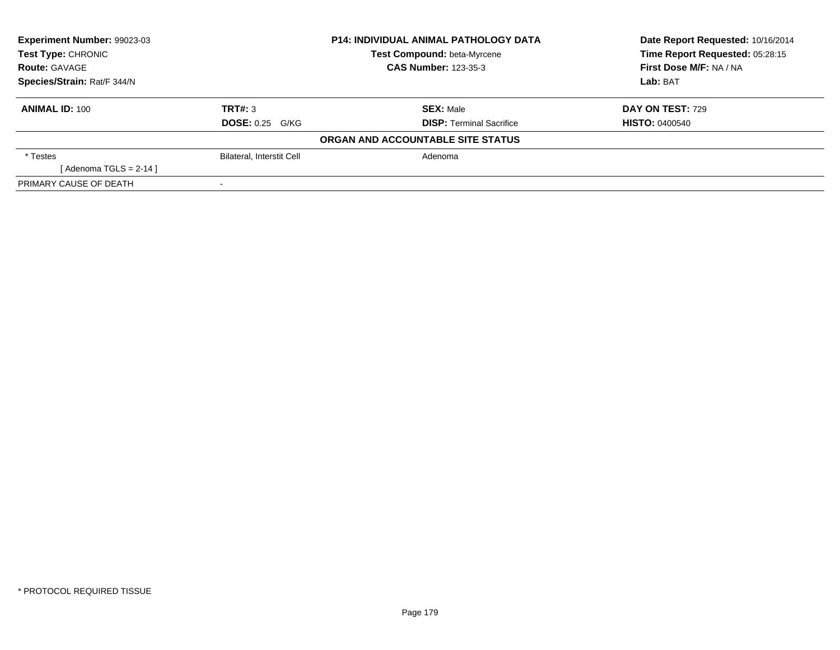| Experiment Number: 99023-03 |                                  | <b>P14: INDIVIDUAL ANIMAL PATHOLOGY DATA</b> | Date Report Requested: 10/16/2014 |
|-----------------------------|----------------------------------|----------------------------------------------|-----------------------------------|
| <b>Test Type: CHRONIC</b>   |                                  | Test Compound: beta-Myrcene                  | Time Report Requested: 05:28:15   |
| <b>Route: GAVAGE</b>        |                                  | <b>CAS Number: 123-35-3</b>                  | First Dose M/F: NA / NA           |
| Species/Strain: Rat/F 344/N |                                  |                                              | Lab: BAT                          |
| <b>ANIMAL ID: 100</b>       | TRT#: 3                          | <b>SEX: Male</b>                             | <b>DAY ON TEST: 729</b>           |
|                             | <b>DOSE: 0.25 G/KG</b>           | <b>DISP:</b> Terminal Sacrifice              | <b>HISTO: 0400540</b>             |
|                             |                                  | ORGAN AND ACCOUNTABLE SITE STATUS            |                                   |
| * Testes                    | <b>Bilateral, Interstit Cell</b> | Adenoma                                      |                                   |
| [ Adenoma TGLS = 2-14 ]     |                                  |                                              |                                   |
| PRIMARY CAUSE OF DEATH      |                                  |                                              |                                   |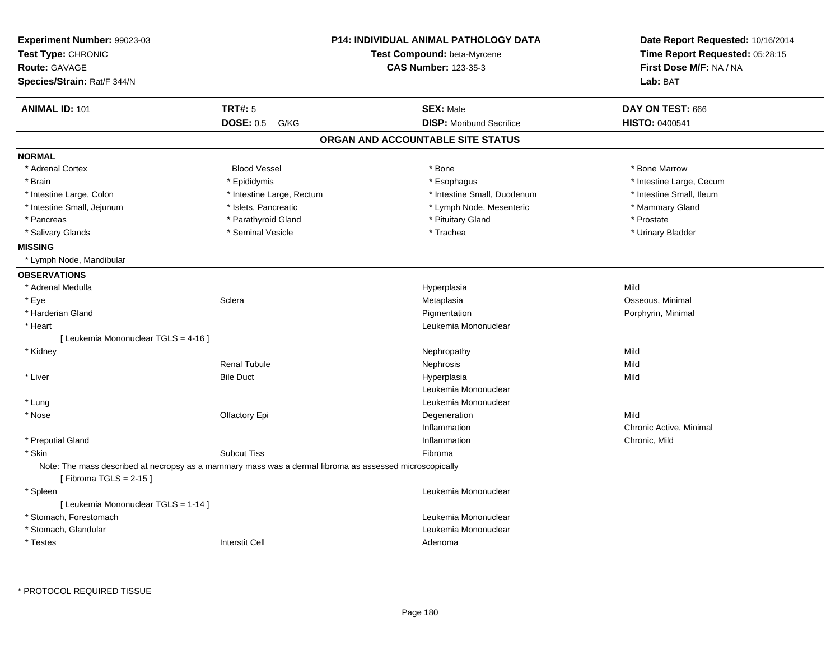| Experiment Number: 99023-03                                                                                                         |                           | <b>P14: INDIVIDUAL ANIMAL PATHOLOGY DATA</b> | Date Report Requested: 10/16/2014 |
|-------------------------------------------------------------------------------------------------------------------------------------|---------------------------|----------------------------------------------|-----------------------------------|
| Test Type: CHRONIC                                                                                                                  |                           | Test Compound: beta-Myrcene                  | Time Report Requested: 05:28:15   |
| <b>Route: GAVAGE</b>                                                                                                                |                           | <b>CAS Number: 123-35-3</b>                  | First Dose M/F: NA / NA           |
| Species/Strain: Rat/F 344/N                                                                                                         |                           |                                              | Lab: BAT                          |
| <b>ANIMAL ID: 101</b>                                                                                                               | <b>TRT#: 5</b>            | <b>SEX: Male</b>                             | DAY ON TEST: 666                  |
|                                                                                                                                     | <b>DOSE: 0.5</b><br>G/KG  | <b>DISP:</b> Moribund Sacrifice              | <b>HISTO: 0400541</b>             |
|                                                                                                                                     |                           | ORGAN AND ACCOUNTABLE SITE STATUS            |                                   |
| <b>NORMAL</b>                                                                                                                       |                           |                                              |                                   |
| * Adrenal Cortex                                                                                                                    | <b>Blood Vessel</b>       | * Bone                                       | * Bone Marrow                     |
| * Brain                                                                                                                             | * Epididymis              | * Esophagus                                  | * Intestine Large, Cecum          |
| * Intestine Large, Colon                                                                                                            | * Intestine Large, Rectum | * Intestine Small, Duodenum                  | * Intestine Small, Ileum          |
| * Intestine Small, Jejunum                                                                                                          | * Islets, Pancreatic      | * Lymph Node, Mesenteric                     | * Mammary Gland                   |
| * Pancreas                                                                                                                          | * Parathyroid Gland       | * Pituitary Gland                            | * Prostate                        |
| * Salivary Glands                                                                                                                   | * Seminal Vesicle         | * Trachea                                    | * Urinary Bladder                 |
| <b>MISSING</b>                                                                                                                      |                           |                                              |                                   |
| * Lymph Node, Mandibular                                                                                                            |                           |                                              |                                   |
| <b>OBSERVATIONS</b>                                                                                                                 |                           |                                              |                                   |
| * Adrenal Medulla                                                                                                                   |                           | Hyperplasia                                  | Mild                              |
| * Eye                                                                                                                               | Sclera                    | Metaplasia                                   | Osseous, Minimal                  |
| * Harderian Gland                                                                                                                   |                           | Pigmentation                                 | Porphyrin, Minimal                |
| * Heart                                                                                                                             |                           | Leukemia Mononuclear                         |                                   |
| [ Leukemia Mononuclear TGLS = 4-16 ]                                                                                                |                           |                                              |                                   |
| * Kidney                                                                                                                            |                           | Nephropathy                                  | Mild                              |
|                                                                                                                                     | <b>Renal Tubule</b>       | Nephrosis                                    | Mild                              |
| * Liver                                                                                                                             | <b>Bile Duct</b>          | Hyperplasia                                  | Mild                              |
|                                                                                                                                     |                           | Leukemia Mononuclear                         |                                   |
| * Lung                                                                                                                              |                           | Leukemia Mononuclear                         |                                   |
| * Nose                                                                                                                              | Olfactory Epi             | Degeneration                                 | Mild                              |
|                                                                                                                                     |                           | Inflammation                                 | Chronic Active, Minimal           |
| * Preputial Gland                                                                                                                   |                           | Inflammation                                 | Chronic, Mild                     |
| * Skin                                                                                                                              | <b>Subcut Tiss</b>        | Fibroma                                      |                                   |
| Note: The mass described at necropsy as a mammary mass was a dermal fibroma as assessed microscopically<br>[Fibroma TGLS = $2-15$ ] |                           |                                              |                                   |
| * Spleen                                                                                                                            |                           | Leukemia Mononuclear                         |                                   |
| [ Leukemia Mononuclear TGLS = 1-14 ]                                                                                                |                           |                                              |                                   |
| * Stomach, Forestomach                                                                                                              |                           | Leukemia Mononuclear                         |                                   |
| * Stomach, Glandular                                                                                                                |                           | Leukemia Mononuclear                         |                                   |
| * Testes                                                                                                                            | <b>Interstit Cell</b>     | Adenoma                                      |                                   |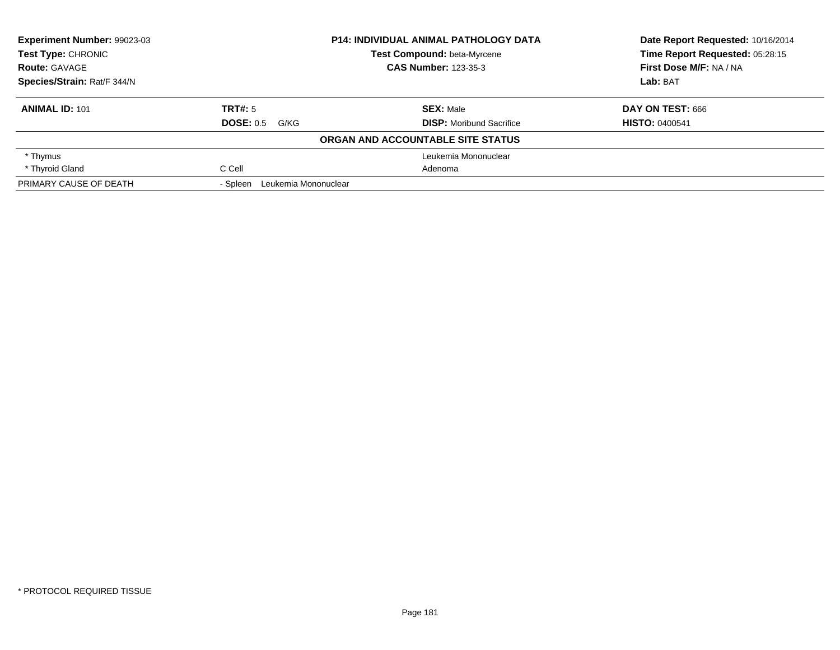| Experiment Number: 99023-03 |                               | <b>P14: INDIVIDUAL ANIMAL PATHOLOGY DATA</b> | Date Report Requested: 10/16/2014 |
|-----------------------------|-------------------------------|----------------------------------------------|-----------------------------------|
| <b>Test Type: CHRONIC</b>   |                               | <b>Test Compound: beta-Myrcene</b>           | Time Report Requested: 05:28:15   |
| <b>Route: GAVAGE</b>        |                               | <b>CAS Number: 123-35-3</b>                  | First Dose M/F: NA / NA           |
| Species/Strain: Rat/F 344/N |                               |                                              | Lab: BAT                          |
| <b>ANIMAL ID: 101</b>       | TRT#: 5                       | <b>SEX: Male</b>                             | DAY ON TEST: 666                  |
|                             | <b>DOSE: 0.5</b><br>G/KG      | <b>DISP:</b> Moribund Sacrifice              | <b>HISTO: 0400541</b>             |
|                             |                               | ORGAN AND ACCOUNTABLE SITE STATUS            |                                   |
| * Thymus                    |                               | Leukemia Mononuclear                         |                                   |
| * Thyroid Gland             | C Cell                        | Adenoma                                      |                                   |
| PRIMARY CAUSE OF DEATH      | - Spleen Leukemia Mononuclear |                                              |                                   |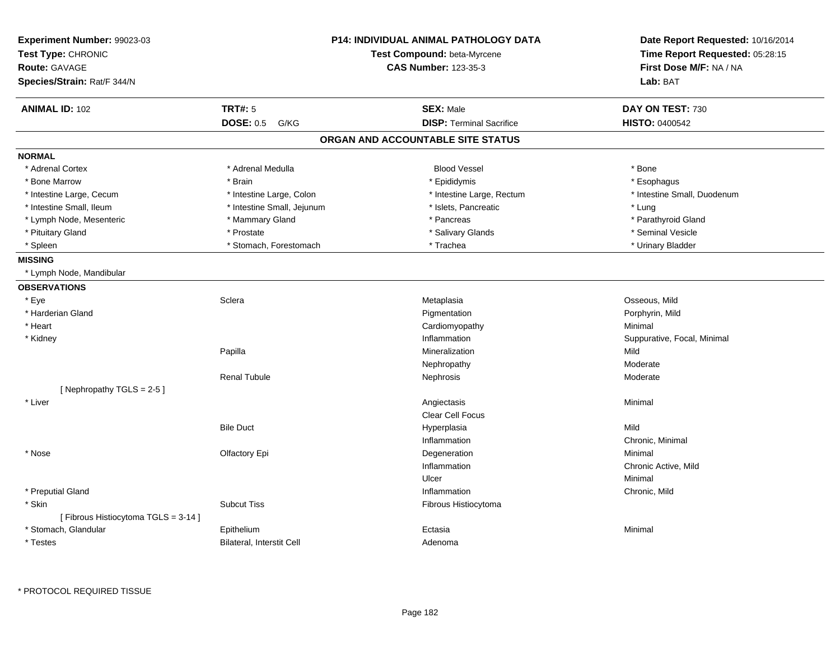| <b>P14: INDIVIDUAL ANIMAL PATHOLOGY DATA</b><br>Experiment Number: 99023-03<br>Test Type: CHRONIC<br>Test Compound: beta-Myrcene<br><b>Route: GAVAGE</b><br><b>CAS Number: 123-35-3</b><br>Species/Strain: Rat/F 344/N |                            | Date Report Requested: 10/16/2014<br>Time Report Requested: 05:28:15<br>First Dose M/F: NA / NA<br>Lab: BAT |                             |
|------------------------------------------------------------------------------------------------------------------------------------------------------------------------------------------------------------------------|----------------------------|-------------------------------------------------------------------------------------------------------------|-----------------------------|
| <b>ANIMAL ID: 102</b>                                                                                                                                                                                                  | <b>TRT#: 5</b>             | <b>SEX: Male</b>                                                                                            | DAY ON TEST: 730            |
|                                                                                                                                                                                                                        | <b>DOSE: 0.5</b><br>G/KG   | <b>DISP: Terminal Sacrifice</b>                                                                             | <b>HISTO: 0400542</b>       |
|                                                                                                                                                                                                                        |                            | ORGAN AND ACCOUNTABLE SITE STATUS                                                                           |                             |
| <b>NORMAL</b>                                                                                                                                                                                                          |                            |                                                                                                             |                             |
| * Adrenal Cortex                                                                                                                                                                                                       | * Adrenal Medulla          | <b>Blood Vessel</b>                                                                                         | * Bone                      |
| * Bone Marrow                                                                                                                                                                                                          | * Brain                    | * Epididymis                                                                                                | * Esophagus                 |
| * Intestine Large, Cecum                                                                                                                                                                                               | * Intestine Large, Colon   | * Intestine Large, Rectum                                                                                   | * Intestine Small, Duodenum |
| * Intestine Small, Ileum                                                                                                                                                                                               | * Intestine Small, Jejunum | * Islets, Pancreatic                                                                                        | * Lung                      |
| * Lymph Node, Mesenteric                                                                                                                                                                                               | * Mammary Gland            | * Pancreas                                                                                                  | * Parathyroid Gland         |
| * Pituitary Gland                                                                                                                                                                                                      | * Prostate                 | * Salivary Glands                                                                                           | * Seminal Vesicle           |
| * Spleen                                                                                                                                                                                                               | * Stomach, Forestomach     | * Trachea                                                                                                   | * Urinary Bladder           |
| <b>MISSING</b>                                                                                                                                                                                                         |                            |                                                                                                             |                             |
| * Lymph Node, Mandibular                                                                                                                                                                                               |                            |                                                                                                             |                             |
| <b>OBSERVATIONS</b>                                                                                                                                                                                                    |                            |                                                                                                             |                             |
| * Eye                                                                                                                                                                                                                  | Sclera                     | Metaplasia                                                                                                  | Osseous, Mild               |
| * Harderian Gland                                                                                                                                                                                                      |                            | Pigmentation                                                                                                | Porphyrin, Mild             |
| * Heart                                                                                                                                                                                                                |                            | Cardiomyopathy                                                                                              | Minimal                     |
| * Kidney                                                                                                                                                                                                               |                            | Inflammation                                                                                                | Suppurative, Focal, Minimal |
|                                                                                                                                                                                                                        | Papilla                    | Mineralization                                                                                              | Mild                        |
|                                                                                                                                                                                                                        |                            | Nephropathy                                                                                                 | Moderate                    |
|                                                                                                                                                                                                                        | <b>Renal Tubule</b>        | Nephrosis                                                                                                   | Moderate                    |
| [Nephropathy TGLS = 2-5]                                                                                                                                                                                               |                            |                                                                                                             |                             |
| * Liver                                                                                                                                                                                                                |                            | Angiectasis<br>Clear Cell Focus                                                                             | Minimal                     |
|                                                                                                                                                                                                                        | <b>Bile Duct</b>           | Hyperplasia                                                                                                 | Mild                        |
|                                                                                                                                                                                                                        |                            | Inflammation                                                                                                | Chronic, Minimal            |
| * Nose                                                                                                                                                                                                                 | Olfactory Epi              | Degeneration                                                                                                | Minimal                     |
|                                                                                                                                                                                                                        |                            | Inflammation                                                                                                | Chronic Active, Mild        |
|                                                                                                                                                                                                                        |                            | Ulcer                                                                                                       | Minimal                     |
| * Preputial Gland                                                                                                                                                                                                      |                            | Inflammation                                                                                                | Chronic, Mild               |
| * Skin<br>[Fibrous Histiocytoma TGLS = 3-14]                                                                                                                                                                           | <b>Subcut Tiss</b>         | Fibrous Histiocytoma                                                                                        |                             |
| * Stomach, Glandular                                                                                                                                                                                                   | Epithelium                 | Ectasia                                                                                                     | Minimal                     |
| * Testes                                                                                                                                                                                                               | Bilateral, Interstit Cell  | Adenoma                                                                                                     |                             |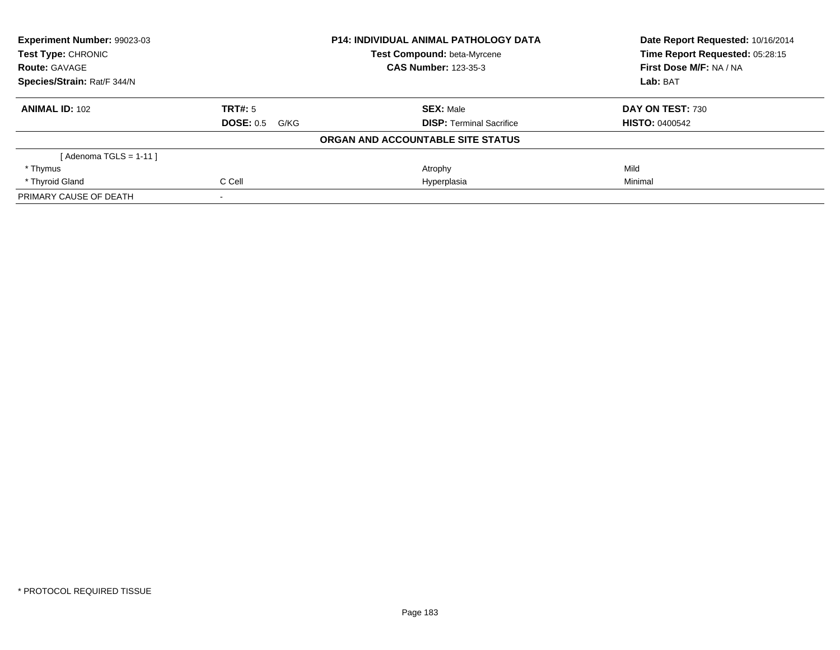| Experiment Number: 99023-03<br><b>Test Type: CHRONIC</b><br><b>Route: GAVAGE</b><br>Species/Strain: Rat/F 344/N |                          | <b>P14: INDIVIDUAL ANIMAL PATHOLOGY DATA</b> | Date Report Requested: 10/16/2014<br>Time Report Requested: 05:28:15 |
|-----------------------------------------------------------------------------------------------------------------|--------------------------|----------------------------------------------|----------------------------------------------------------------------|
|                                                                                                                 |                          | <b>Test Compound: beta-Myrcene</b>           |                                                                      |
|                                                                                                                 |                          | <b>CAS Number: 123-35-3</b>                  | First Dose M/F: NA / NA                                              |
|                                                                                                                 |                          |                                              | Lab: BAT                                                             |
| <b>ANIMAL ID: 102</b>                                                                                           | TRT#: 5                  | <b>SEX: Male</b>                             | DAY ON TEST: 730                                                     |
|                                                                                                                 | <b>DOSE: 0.5</b><br>G/KG | <b>DISP:</b> Terminal Sacrifice              | <b>HISTO: 0400542</b>                                                |
|                                                                                                                 |                          | ORGAN AND ACCOUNTABLE SITE STATUS            |                                                                      |
| [ Adenoma TGLS = 1-11 ]                                                                                         |                          |                                              |                                                                      |
| * Thymus                                                                                                        |                          | Atrophy                                      | Mild                                                                 |
| * Thyroid Gland                                                                                                 | C Cell                   | Hyperplasia                                  | Minimal                                                              |
| PRIMARY CAUSE OF DEATH                                                                                          |                          |                                              |                                                                      |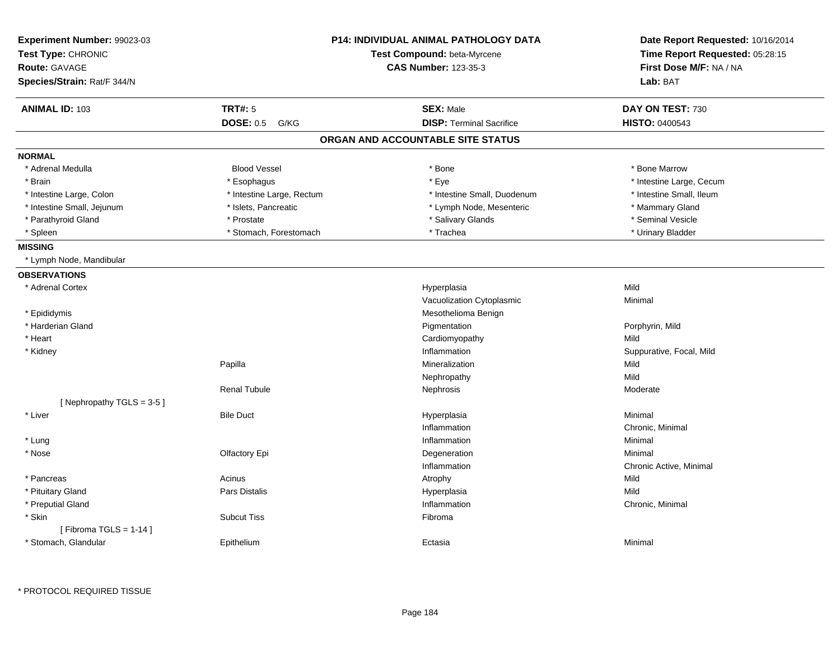| Experiment Number: 99023-03<br>Test Type: CHRONIC<br>Route: GAVAGE<br>Species/Strain: Rat/F 344/N |                           | <b>P14: INDIVIDUAL ANIMAL PATHOLOGY DATA</b><br>Test Compound: beta-Myrcene<br><b>CAS Number: 123-35-3</b> | Date Report Requested: 10/16/2014<br>Time Report Requested: 05:28:15<br>First Dose M/F: NA / NA<br>Lab: BAT |  |
|---------------------------------------------------------------------------------------------------|---------------------------|------------------------------------------------------------------------------------------------------------|-------------------------------------------------------------------------------------------------------------|--|
| <b>ANIMAL ID: 103</b>                                                                             | <b>TRT#: 5</b>            | <b>SEX: Male</b>                                                                                           | DAY ON TEST: 730                                                                                            |  |
|                                                                                                   | <b>DOSE: 0.5</b><br>G/KG  | <b>DISP: Terminal Sacrifice</b>                                                                            | <b>HISTO: 0400543</b>                                                                                       |  |
|                                                                                                   |                           | ORGAN AND ACCOUNTABLE SITE STATUS                                                                          |                                                                                                             |  |
| <b>NORMAL</b>                                                                                     |                           |                                                                                                            |                                                                                                             |  |
| * Adrenal Medulla                                                                                 | <b>Blood Vessel</b>       | * Bone                                                                                                     | * Bone Marrow                                                                                               |  |
| * Brain                                                                                           | * Esophagus               | * Eye                                                                                                      | * Intestine Large, Cecum                                                                                    |  |
| * Intestine Large, Colon                                                                          | * Intestine Large, Rectum | * Intestine Small, Duodenum                                                                                | * Intestine Small, Ileum                                                                                    |  |
| * Intestine Small, Jejunum                                                                        | * Islets, Pancreatic      | * Lymph Node, Mesenteric                                                                                   | * Mammary Gland                                                                                             |  |
| * Parathyroid Gland                                                                               | * Prostate                | * Salivary Glands                                                                                          | * Seminal Vesicle                                                                                           |  |
| * Spleen                                                                                          | * Stomach, Forestomach    | * Trachea                                                                                                  | * Urinary Bladder                                                                                           |  |
| <b>MISSING</b>                                                                                    |                           |                                                                                                            |                                                                                                             |  |
| * Lymph Node, Mandibular                                                                          |                           |                                                                                                            |                                                                                                             |  |
| <b>OBSERVATIONS</b>                                                                               |                           |                                                                                                            |                                                                                                             |  |
| * Adrenal Cortex                                                                                  |                           | Hyperplasia                                                                                                | Mild                                                                                                        |  |
|                                                                                                   |                           | Vacuolization Cytoplasmic                                                                                  | Minimal                                                                                                     |  |
| * Epididymis                                                                                      |                           | Mesothelioma Benign                                                                                        |                                                                                                             |  |
| * Harderian Gland                                                                                 |                           | Pigmentation                                                                                               | Porphyrin, Mild                                                                                             |  |
| * Heart                                                                                           |                           | Cardiomyopathy                                                                                             | Mild                                                                                                        |  |
| * Kidney                                                                                          |                           | Inflammation                                                                                               | Suppurative, Focal, Mild                                                                                    |  |
|                                                                                                   | Papilla                   | Mineralization                                                                                             | Mild                                                                                                        |  |
|                                                                                                   |                           | Nephropathy                                                                                                | Mild                                                                                                        |  |
|                                                                                                   | <b>Renal Tubule</b>       | Nephrosis                                                                                                  | Moderate                                                                                                    |  |
| [Nephropathy TGLS = 3-5]                                                                          |                           |                                                                                                            |                                                                                                             |  |
| * Liver                                                                                           | <b>Bile Duct</b>          | Hyperplasia                                                                                                | Minimal                                                                                                     |  |
|                                                                                                   |                           | Inflammation                                                                                               | Chronic, Minimal                                                                                            |  |
| * Lung                                                                                            |                           | Inflammation                                                                                               | Minimal                                                                                                     |  |
| * Nose                                                                                            | Olfactory Epi             | Degeneration                                                                                               | Minimal                                                                                                     |  |
|                                                                                                   |                           | Inflammation                                                                                               | Chronic Active, Minimal                                                                                     |  |
| * Pancreas                                                                                        | Acinus                    | Atrophy                                                                                                    | Mild                                                                                                        |  |
| * Pituitary Gland                                                                                 | <b>Pars Distalis</b>      | Hyperplasia                                                                                                | Mild                                                                                                        |  |
| * Preputial Gland                                                                                 |                           | Inflammation                                                                                               | Chronic, Minimal                                                                                            |  |
| * Skin                                                                                            | <b>Subcut Tiss</b>        | Fibroma                                                                                                    |                                                                                                             |  |
| [Fibroma TGLS = $1-14$ ]                                                                          |                           |                                                                                                            |                                                                                                             |  |
| * Stomach, Glandular                                                                              | Epithelium                | Ectasia                                                                                                    | Minimal                                                                                                     |  |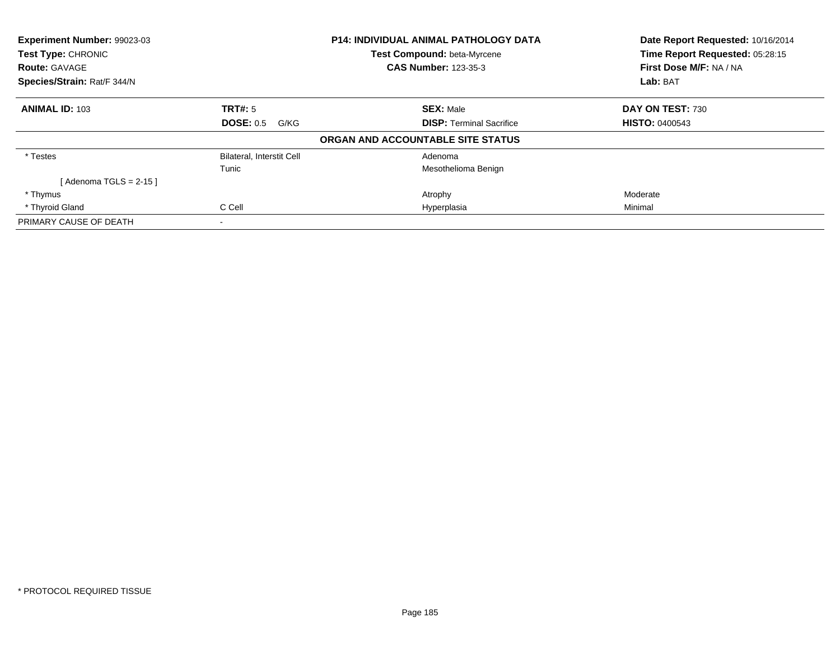| <b>Experiment Number: 99023-03</b> |                                  | <b>P14: INDIVIDUAL ANIMAL PATHOLOGY DATA</b> | Date Report Requested: 10/16/2014 |  |
|------------------------------------|----------------------------------|----------------------------------------------|-----------------------------------|--|
| Test Type: CHRONIC                 |                                  | Test Compound: beta-Myrcene                  | Time Report Requested: 05:28:15   |  |
| <b>Route: GAVAGE</b>               |                                  | <b>CAS Number: 123-35-3</b>                  | First Dose M/F: NA / NA           |  |
| Species/Strain: Rat/F 344/N        |                                  |                                              | Lab: BAT                          |  |
| <b>ANIMAL ID: 103</b>              | <b>TRT#: 5</b>                   | <b>SEX: Male</b>                             | DAY ON TEST: 730                  |  |
|                                    | DOSE: 0.5<br>G/KG                | <b>DISP:</b> Terminal Sacrifice              | <b>HISTO: 0400543</b>             |  |
|                                    |                                  | ORGAN AND ACCOUNTABLE SITE STATUS            |                                   |  |
| * Testes                           | <b>Bilateral, Interstit Cell</b> | Adenoma                                      |                                   |  |
|                                    | Tunic                            | Mesothelioma Benign                          |                                   |  |
| [ Adenoma TGLS = 2-15 ]            |                                  |                                              |                                   |  |
| * Thymus                           |                                  | Atrophy                                      | Moderate                          |  |
| * Thyroid Gland                    | C Cell                           | Hyperplasia                                  | Minimal                           |  |
| PRIMARY CAUSE OF DEATH             |                                  |                                              |                                   |  |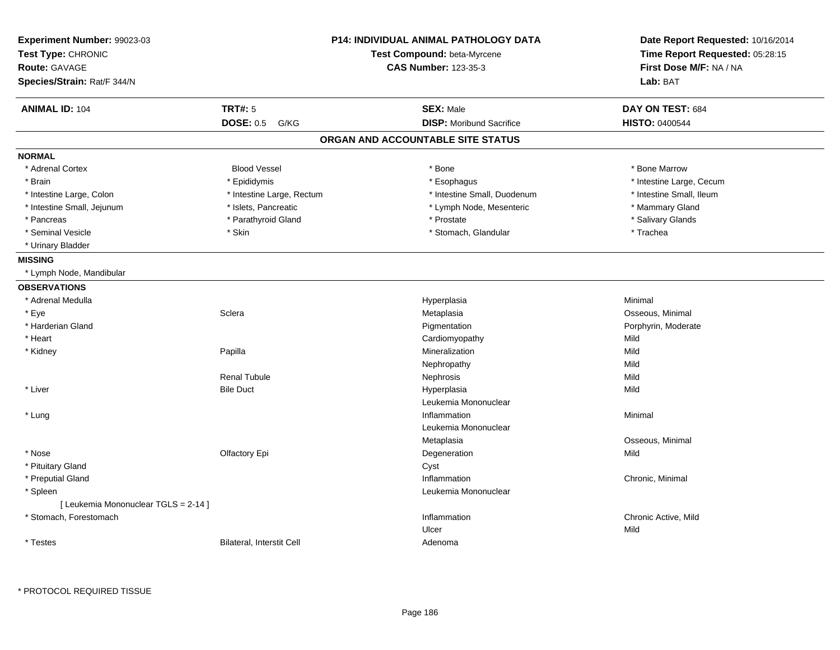| Experiment Number: 99023-03<br>Test Type: CHRONIC<br><b>Route: GAVAGE</b><br>Species/Strain: Rat/F 344/N |                           | <b>P14: INDIVIDUAL ANIMAL PATHOLOGY DATA</b><br>Test Compound: beta-Myrcene<br><b>CAS Number: 123-35-3</b> | Date Report Requested: 10/16/2014<br>Time Report Requested: 05:28:15<br>First Dose M/F: NA / NA<br>Lab: BAT |  |
|----------------------------------------------------------------------------------------------------------|---------------------------|------------------------------------------------------------------------------------------------------------|-------------------------------------------------------------------------------------------------------------|--|
| <b>ANIMAL ID: 104</b>                                                                                    | <b>TRT#: 5</b>            | <b>SEX: Male</b>                                                                                           | DAY ON TEST: 684                                                                                            |  |
|                                                                                                          | <b>DOSE: 0.5</b><br>G/KG  | <b>DISP:</b> Moribund Sacrifice                                                                            | <b>HISTO: 0400544</b>                                                                                       |  |
|                                                                                                          |                           | ORGAN AND ACCOUNTABLE SITE STATUS                                                                          |                                                                                                             |  |
| <b>NORMAL</b>                                                                                            |                           |                                                                                                            |                                                                                                             |  |
| * Adrenal Cortex                                                                                         | <b>Blood Vessel</b>       | * Bone                                                                                                     | * Bone Marrow                                                                                               |  |
| * Brain                                                                                                  | * Epididymis              | * Esophagus                                                                                                | * Intestine Large, Cecum                                                                                    |  |
| * Intestine Large, Colon                                                                                 | * Intestine Large, Rectum | * Intestine Small, Duodenum                                                                                | * Intestine Small, Ileum                                                                                    |  |
| * Intestine Small, Jejunum                                                                               | * Islets, Pancreatic      | * Lymph Node, Mesenteric                                                                                   | * Mammary Gland                                                                                             |  |
| * Pancreas                                                                                               | * Parathyroid Gland       | * Prostate                                                                                                 | * Salivary Glands                                                                                           |  |
| * Seminal Vesicle                                                                                        | * Skin                    | * Stomach, Glandular                                                                                       | * Trachea                                                                                                   |  |
| * Urinary Bladder                                                                                        |                           |                                                                                                            |                                                                                                             |  |
| <b>MISSING</b>                                                                                           |                           |                                                                                                            |                                                                                                             |  |
| * Lymph Node, Mandibular                                                                                 |                           |                                                                                                            |                                                                                                             |  |
| <b>OBSERVATIONS</b>                                                                                      |                           |                                                                                                            |                                                                                                             |  |
| * Adrenal Medulla                                                                                        |                           | Hyperplasia                                                                                                | Minimal                                                                                                     |  |
| * Eye                                                                                                    | Sclera                    | Metaplasia                                                                                                 | Osseous, Minimal                                                                                            |  |
| * Harderian Gland                                                                                        |                           | Pigmentation                                                                                               | Porphyrin, Moderate                                                                                         |  |
| * Heart                                                                                                  |                           | Cardiomyopathy                                                                                             | Mild                                                                                                        |  |
| * Kidney                                                                                                 | Papilla                   | Mineralization                                                                                             | Mild                                                                                                        |  |
|                                                                                                          |                           | Nephropathy                                                                                                | Mild                                                                                                        |  |
|                                                                                                          | <b>Renal Tubule</b>       | Nephrosis                                                                                                  | Mild                                                                                                        |  |
| * Liver                                                                                                  | <b>Bile Duct</b>          | Hyperplasia                                                                                                | Mild                                                                                                        |  |
|                                                                                                          |                           | Leukemia Mononuclear                                                                                       |                                                                                                             |  |
| * Lung                                                                                                   |                           | Inflammation                                                                                               | Minimal                                                                                                     |  |
|                                                                                                          |                           | Leukemia Mononuclear                                                                                       |                                                                                                             |  |
|                                                                                                          |                           | Metaplasia                                                                                                 | Osseous, Minimal                                                                                            |  |
| * Nose                                                                                                   | Olfactory Epi             | Degeneration                                                                                               | Mild                                                                                                        |  |
| * Pituitary Gland                                                                                        |                           | Cyst                                                                                                       |                                                                                                             |  |
| * Preputial Gland                                                                                        |                           | Inflammation                                                                                               | Chronic, Minimal                                                                                            |  |
| * Spleen                                                                                                 |                           | Leukemia Mononuclear                                                                                       |                                                                                                             |  |
| [ Leukemia Mononuclear TGLS = 2-14 ]                                                                     |                           |                                                                                                            |                                                                                                             |  |
| * Stomach, Forestomach                                                                                   |                           | Inflammation                                                                                               | Chronic Active, Mild                                                                                        |  |
|                                                                                                          |                           | Ulcer                                                                                                      | Mild                                                                                                        |  |
| * Testes                                                                                                 | Bilateral, Interstit Cell | Adenoma                                                                                                    |                                                                                                             |  |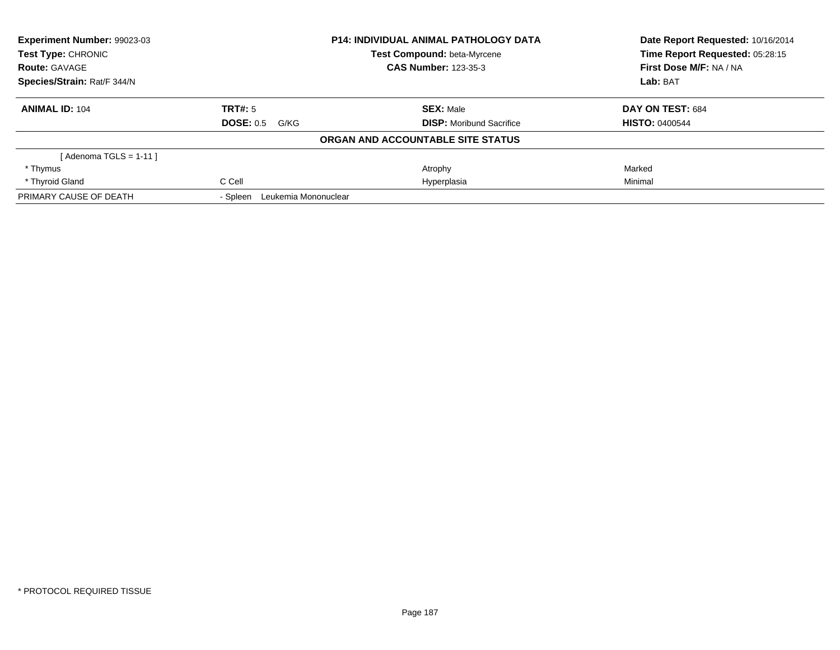| Experiment Number: 99023-03 |                                  | <b>P14: INDIVIDUAL ANIMAL PATHOLOGY DATA</b> | Date Report Requested: 10/16/2014 |
|-----------------------------|----------------------------------|----------------------------------------------|-----------------------------------|
| Test Type: CHRONIC          |                                  | Test Compound: beta-Myrcene                  | Time Report Requested: 05:28:15   |
| <b>Route: GAVAGE</b>        |                                  | <b>CAS Number: 123-35-3</b>                  | First Dose M/F: NA / NA           |
| Species/Strain: Rat/F 344/N |                                  |                                              | Lab: BAT                          |
| <b>ANIMAL ID: 104</b>       | <b>TRT#: 5</b>                   | <b>SEX: Male</b>                             | DAY ON TEST: 684                  |
|                             | <b>DOSE: 0.5</b><br>G/KG         | <b>DISP:</b> Moribund Sacrifice              | <b>HISTO: 0400544</b>             |
|                             |                                  | ORGAN AND ACCOUNTABLE SITE STATUS            |                                   |
| [ Adenoma TGLS = 1-11 ]     |                                  |                                              |                                   |
| * Thymus                    |                                  | Atrophy                                      | Marked                            |
| * Thyroid Gland             | C Cell                           | Hyperplasia                                  | Minimal                           |
| PRIMARY CAUSE OF DEATH      | Leukemia Mononuclear<br>- Spleen |                                              |                                   |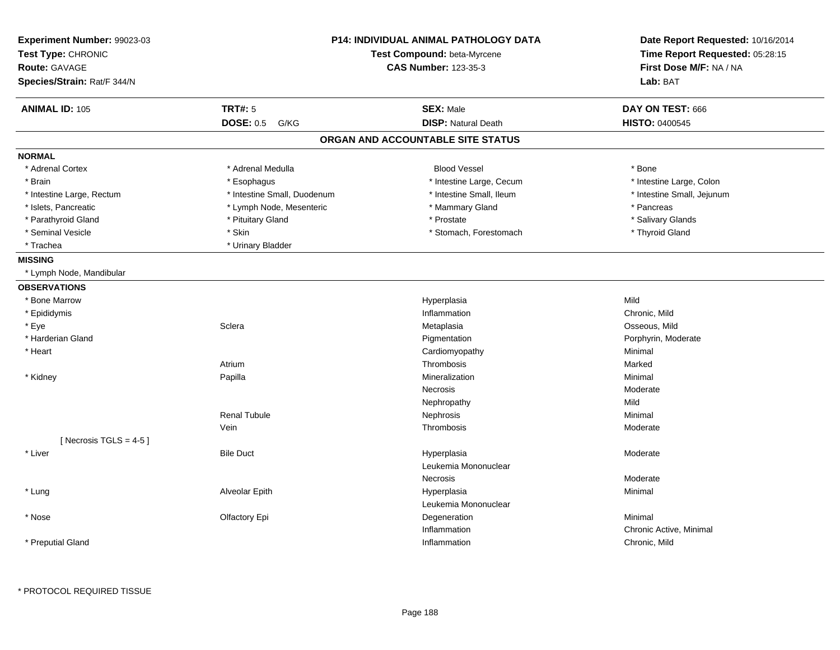| Experiment Number: 99023-03<br>Test Type: CHRONIC<br><b>Route: GAVAGE</b><br>Species/Strain: Rat/F 344/N |                             | <b>P14: INDIVIDUAL ANIMAL PATHOLOGY DATA</b><br>Test Compound: beta-Myrcene<br><b>CAS Number: 123-35-3</b> | Date Report Requested: 10/16/2014<br>Time Report Requested: 05:28:15<br>First Dose M/F: NA / NA<br>Lab: BAT |  |
|----------------------------------------------------------------------------------------------------------|-----------------------------|------------------------------------------------------------------------------------------------------------|-------------------------------------------------------------------------------------------------------------|--|
| <b>ANIMAL ID: 105</b>                                                                                    | <b>TRT#: 5</b>              | <b>SEX: Male</b>                                                                                           | DAY ON TEST: 666                                                                                            |  |
|                                                                                                          | <b>DOSE: 0.5</b><br>G/KG    | <b>DISP: Natural Death</b>                                                                                 | HISTO: 0400545                                                                                              |  |
|                                                                                                          |                             | ORGAN AND ACCOUNTABLE SITE STATUS                                                                          |                                                                                                             |  |
| <b>NORMAL</b>                                                                                            |                             |                                                                                                            |                                                                                                             |  |
| * Adrenal Cortex                                                                                         | * Adrenal Medulla           | <b>Blood Vessel</b>                                                                                        | * Bone                                                                                                      |  |
| * Brain                                                                                                  | * Esophagus                 | * Intestine Large, Cecum                                                                                   | * Intestine Large, Colon                                                                                    |  |
| * Intestine Large, Rectum                                                                                | * Intestine Small, Duodenum | * Intestine Small, Ileum                                                                                   | * Intestine Small, Jejunum                                                                                  |  |
| * Islets, Pancreatic                                                                                     | * Lymph Node, Mesenteric    | * Mammary Gland                                                                                            | * Pancreas                                                                                                  |  |
| * Parathyroid Gland                                                                                      | * Pituitary Gland           | * Prostate                                                                                                 | * Salivary Glands                                                                                           |  |
| * Seminal Vesicle                                                                                        | * Skin                      | * Stomach, Forestomach                                                                                     | * Thyroid Gland                                                                                             |  |
| * Trachea                                                                                                | * Urinary Bladder           |                                                                                                            |                                                                                                             |  |
| <b>MISSING</b>                                                                                           |                             |                                                                                                            |                                                                                                             |  |
| * Lymph Node, Mandibular                                                                                 |                             |                                                                                                            |                                                                                                             |  |
| <b>OBSERVATIONS</b>                                                                                      |                             |                                                                                                            |                                                                                                             |  |
| * Bone Marrow                                                                                            |                             | Hyperplasia                                                                                                | Mild                                                                                                        |  |
| * Epididymis                                                                                             |                             | Inflammation                                                                                               | Chronic, Mild                                                                                               |  |
| * Eye                                                                                                    | Sclera                      | Metaplasia                                                                                                 | Osseous, Mild                                                                                               |  |
| * Harderian Gland                                                                                        |                             | Pigmentation                                                                                               | Porphyrin, Moderate                                                                                         |  |
| * Heart                                                                                                  |                             | Cardiomyopathy                                                                                             | Minimal                                                                                                     |  |
|                                                                                                          | Atrium                      | Thrombosis                                                                                                 | Marked                                                                                                      |  |
| * Kidney                                                                                                 | Papilla                     | Mineralization                                                                                             | Minimal                                                                                                     |  |
|                                                                                                          |                             | <b>Necrosis</b>                                                                                            | Moderate                                                                                                    |  |
|                                                                                                          |                             | Nephropathy                                                                                                | Mild                                                                                                        |  |
|                                                                                                          | <b>Renal Tubule</b>         | Nephrosis                                                                                                  | Minimal                                                                                                     |  |
|                                                                                                          | Vein                        | Thrombosis                                                                                                 | Moderate                                                                                                    |  |
| [ Necrosis TGLS = $4-5$ ]                                                                                |                             |                                                                                                            |                                                                                                             |  |
| * Liver                                                                                                  | <b>Bile Duct</b>            | Hyperplasia                                                                                                | Moderate                                                                                                    |  |
|                                                                                                          |                             | Leukemia Mononuclear                                                                                       |                                                                                                             |  |
|                                                                                                          |                             | <b>Necrosis</b>                                                                                            | Moderate                                                                                                    |  |
| * Lung                                                                                                   | Alveolar Epith              | Hyperplasia                                                                                                | Minimal                                                                                                     |  |
|                                                                                                          |                             | Leukemia Mononuclear                                                                                       |                                                                                                             |  |
| * Nose                                                                                                   | Olfactory Epi               | Degeneration                                                                                               | Minimal                                                                                                     |  |
|                                                                                                          |                             | Inflammation                                                                                               | Chronic Active, Minimal                                                                                     |  |
| * Preputial Gland                                                                                        |                             | Inflammation                                                                                               | Chronic, Mild                                                                                               |  |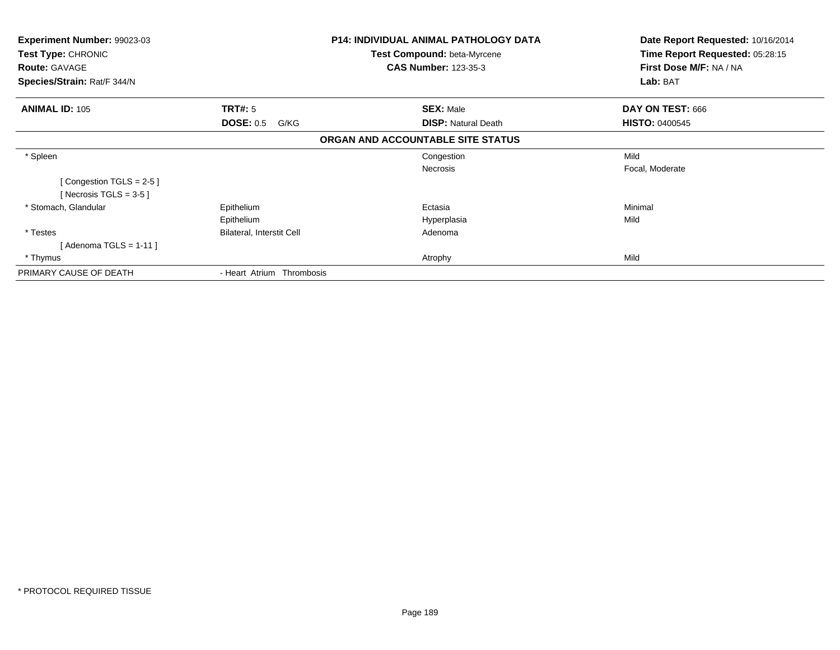| <b>Experiment Number: 99023-03</b><br>Test Type: CHRONIC |                           | <b>P14: INDIVIDUAL ANIMAL PATHOLOGY DATA</b> | Date Report Requested: 10/16/2014 |
|----------------------------------------------------------|---------------------------|----------------------------------------------|-----------------------------------|
|                                                          |                           | Test Compound: beta-Myrcene                  | Time Report Requested: 05:28:15   |
| <b>Route: GAVAGE</b>                                     |                           | <b>CAS Number: 123-35-3</b>                  | First Dose M/F: NA / NA           |
| Species/Strain: Rat/F 344/N                              |                           |                                              | Lab: BAT                          |
| <b>ANIMAL ID: 105</b>                                    | <b>TRT#: 5</b>            | <b>SEX: Male</b>                             | DAY ON TEST: 666                  |
|                                                          | <b>DOSE: 0.5</b><br>G/KG  | <b>DISP: Natural Death</b>                   | <b>HISTO: 0400545</b>             |
|                                                          |                           | ORGAN AND ACCOUNTABLE SITE STATUS            |                                   |
| * Spleen                                                 |                           | Congestion                                   | Mild                              |
|                                                          |                           | <b>Necrosis</b>                              | Focal, Moderate                   |
| [Congestion TGLS = 2-5]                                  |                           |                                              |                                   |
| [Necrosis TGLS = $3-5$ ]                                 |                           |                                              |                                   |
| * Stomach, Glandular                                     | Epithelium                | Ectasia                                      | Minimal                           |
|                                                          | Epithelium                | Hyperplasia                                  | Mild                              |
| * Testes                                                 | Bilateral, Interstit Cell | Adenoma                                      |                                   |
| [Adenoma TGLS = $1-11$ ]                                 |                           |                                              |                                   |
| * Thymus                                                 |                           | Atrophy                                      | Mild                              |
| PRIMARY CAUSE OF DEATH                                   | - Heart Atrium Thrombosis |                                              |                                   |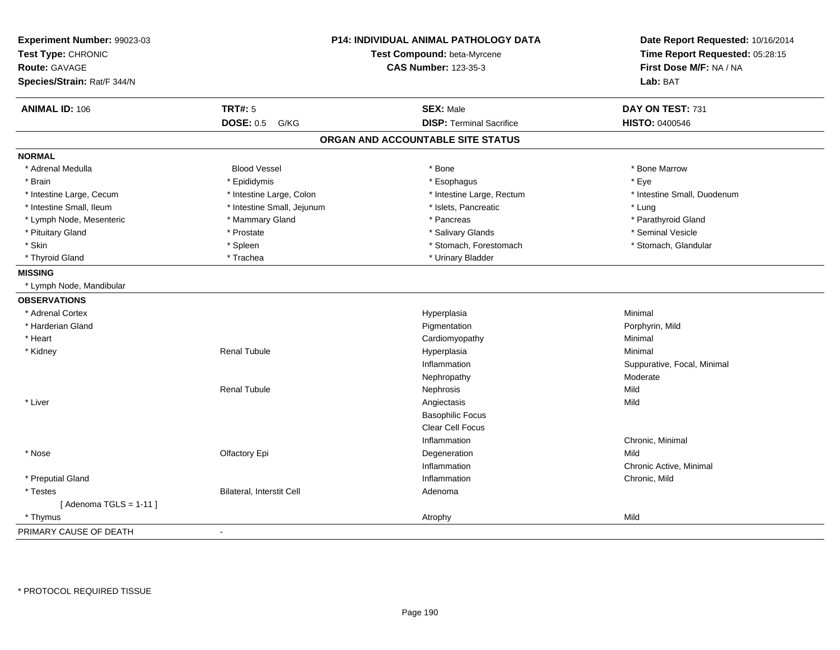| Experiment Number: 99023-03<br>Test Type: CHRONIC<br>Route: GAVAGE<br>Species/Strain: Rat/F 344/N |                            | P14: INDIVIDUAL ANIMAL PATHOLOGY DATA<br>Test Compound: beta-Myrcene<br><b>CAS Number: 123-35-3</b> | Date Report Requested: 10/16/2014<br>Time Report Requested: 05:28:15<br>First Dose M/F: NA / NA<br>Lab: BAT |  |
|---------------------------------------------------------------------------------------------------|----------------------------|-----------------------------------------------------------------------------------------------------|-------------------------------------------------------------------------------------------------------------|--|
| <b>ANIMAL ID: 106</b>                                                                             | <b>TRT#: 5</b>             | <b>SEX: Male</b>                                                                                    | DAY ON TEST: 731                                                                                            |  |
|                                                                                                   | <b>DOSE: 0.5</b><br>G/KG   | <b>DISP: Terminal Sacrifice</b>                                                                     | <b>HISTO: 0400546</b>                                                                                       |  |
|                                                                                                   |                            | ORGAN AND ACCOUNTABLE SITE STATUS                                                                   |                                                                                                             |  |
| <b>NORMAL</b>                                                                                     |                            |                                                                                                     |                                                                                                             |  |
| * Adrenal Medulla                                                                                 | <b>Blood Vessel</b>        | * Bone                                                                                              | * Bone Marrow                                                                                               |  |
| * Brain                                                                                           | * Epididymis               | * Esophagus                                                                                         | * Eye                                                                                                       |  |
| * Intestine Large, Cecum                                                                          | * Intestine Large, Colon   | * Intestine Large, Rectum                                                                           | * Intestine Small, Duodenum                                                                                 |  |
| * Intestine Small, Ileum                                                                          | * Intestine Small, Jejunum | * Islets, Pancreatic                                                                                | * Lung                                                                                                      |  |
| * Lymph Node, Mesenteric                                                                          | * Mammary Gland            | * Pancreas                                                                                          | * Parathyroid Gland                                                                                         |  |
| * Pituitary Gland                                                                                 | * Prostate                 | * Salivary Glands                                                                                   | * Seminal Vesicle                                                                                           |  |
| * Skin                                                                                            | * Spleen                   | * Stomach, Forestomach                                                                              | * Stomach, Glandular                                                                                        |  |
| * Thyroid Gland                                                                                   | * Trachea                  | * Urinary Bladder                                                                                   |                                                                                                             |  |
| <b>MISSING</b>                                                                                    |                            |                                                                                                     |                                                                                                             |  |
| * Lymph Node, Mandibular                                                                          |                            |                                                                                                     |                                                                                                             |  |
| <b>OBSERVATIONS</b>                                                                               |                            |                                                                                                     |                                                                                                             |  |
| * Adrenal Cortex                                                                                  |                            | Hyperplasia                                                                                         | Minimal                                                                                                     |  |
| * Harderian Gland                                                                                 |                            | Pigmentation                                                                                        | Porphyrin, Mild                                                                                             |  |
| * Heart                                                                                           |                            | Cardiomyopathy                                                                                      | Minimal                                                                                                     |  |
| * Kidney                                                                                          | <b>Renal Tubule</b>        | Hyperplasia                                                                                         | Minimal                                                                                                     |  |
|                                                                                                   |                            | Inflammation                                                                                        | Suppurative, Focal, Minimal                                                                                 |  |
|                                                                                                   |                            | Nephropathy                                                                                         | Moderate                                                                                                    |  |
|                                                                                                   | <b>Renal Tubule</b>        | Nephrosis                                                                                           | Mild                                                                                                        |  |
| * Liver                                                                                           |                            | Angiectasis                                                                                         | Mild                                                                                                        |  |
|                                                                                                   |                            | <b>Basophilic Focus</b>                                                                             |                                                                                                             |  |
|                                                                                                   |                            | <b>Clear Cell Focus</b>                                                                             |                                                                                                             |  |
|                                                                                                   |                            | Inflammation                                                                                        | Chronic, Minimal                                                                                            |  |
| * Nose                                                                                            | Olfactory Epi              | Degeneration                                                                                        | Mild                                                                                                        |  |
|                                                                                                   |                            | Inflammation                                                                                        | Chronic Active, Minimal                                                                                     |  |
| * Preputial Gland                                                                                 |                            | Inflammation                                                                                        | Chronic, Mild                                                                                               |  |
| * Testes                                                                                          | Bilateral, Interstit Cell  | Adenoma                                                                                             |                                                                                                             |  |
| [Adenoma TGLS = $1-11$ ]                                                                          |                            |                                                                                                     |                                                                                                             |  |
| * Thymus                                                                                          |                            | Atrophy                                                                                             | Mild                                                                                                        |  |
| PRIMARY CAUSE OF DEATH                                                                            | $\overline{a}$             |                                                                                                     |                                                                                                             |  |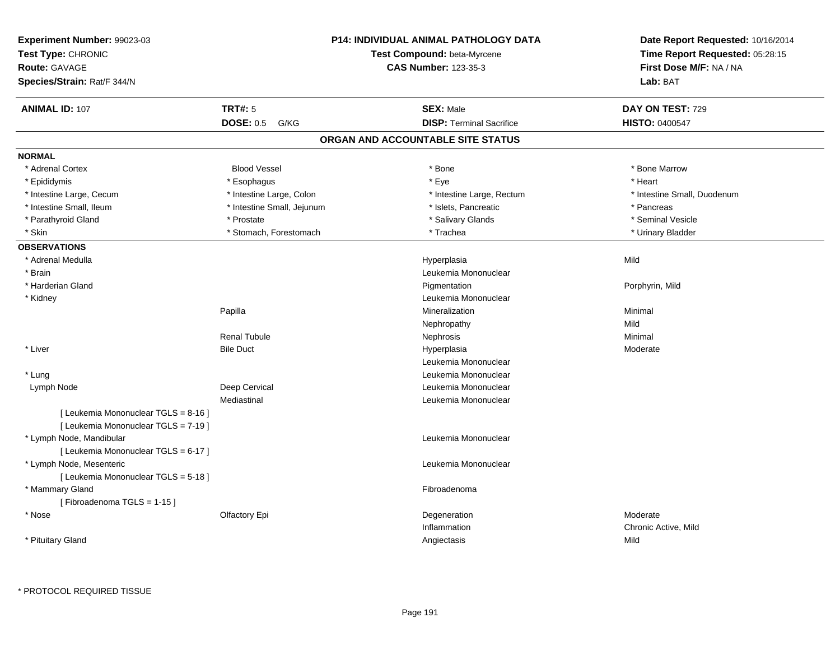| Experiment Number: 99023-03<br>Test Type: CHRONIC<br>Route: GAVAGE<br>Species/Strain: Rat/F 344/N | P14: INDIVIDUAL ANIMAL PATHOLOGY DATA<br>Test Compound: beta-Myrcene<br><b>CAS Number: 123-35-3</b> |  |                                   | Date Report Requested: 10/16/2014<br>Time Report Requested: 05:28:15<br>First Dose M/F: NA / NA<br>Lab: BAT |
|---------------------------------------------------------------------------------------------------|-----------------------------------------------------------------------------------------------------|--|-----------------------------------|-------------------------------------------------------------------------------------------------------------|
| <b>ANIMAL ID: 107</b>                                                                             | <b>TRT#: 5</b>                                                                                      |  | <b>SEX: Male</b>                  | DAY ON TEST: 729                                                                                            |
|                                                                                                   | <b>DOSE: 0.5</b><br>G/KG                                                                            |  | <b>DISP: Terminal Sacrifice</b>   | <b>HISTO: 0400547</b>                                                                                       |
|                                                                                                   |                                                                                                     |  | ORGAN AND ACCOUNTABLE SITE STATUS |                                                                                                             |
| <b>NORMAL</b>                                                                                     |                                                                                                     |  |                                   |                                                                                                             |
| * Adrenal Cortex                                                                                  | <b>Blood Vessel</b>                                                                                 |  | $*$ Bone                          | * Bone Marrow                                                                                               |
| * Epididymis                                                                                      | * Esophagus                                                                                         |  | * Eye                             | * Heart                                                                                                     |
| * Intestine Large, Cecum                                                                          | * Intestine Large, Colon                                                                            |  | * Intestine Large, Rectum         | * Intestine Small, Duodenum                                                                                 |
| * Intestine Small, Ileum                                                                          | * Intestine Small, Jejunum                                                                          |  | * Islets, Pancreatic              | * Pancreas                                                                                                  |
| * Parathyroid Gland                                                                               | * Prostate                                                                                          |  | * Salivary Glands                 | * Seminal Vesicle                                                                                           |
| * Skin                                                                                            | * Stomach, Forestomach                                                                              |  | * Trachea                         | * Urinary Bladder                                                                                           |
| <b>OBSERVATIONS</b>                                                                               |                                                                                                     |  |                                   |                                                                                                             |
| * Adrenal Medulla                                                                                 |                                                                                                     |  | Hyperplasia                       | Mild                                                                                                        |
| * Brain                                                                                           |                                                                                                     |  | Leukemia Mononuclear              |                                                                                                             |
| * Harderian Gland                                                                                 |                                                                                                     |  | Pigmentation                      | Porphyrin, Mild                                                                                             |
| * Kidney                                                                                          |                                                                                                     |  | Leukemia Mononuclear              |                                                                                                             |
|                                                                                                   | Papilla                                                                                             |  | Mineralization                    | Minimal                                                                                                     |
|                                                                                                   |                                                                                                     |  | Nephropathy                       | Mild                                                                                                        |
|                                                                                                   | <b>Renal Tubule</b>                                                                                 |  | Nephrosis                         | Minimal                                                                                                     |
| * Liver                                                                                           | <b>Bile Duct</b>                                                                                    |  | Hyperplasia                       | Moderate                                                                                                    |
|                                                                                                   |                                                                                                     |  | Leukemia Mononuclear              |                                                                                                             |
| * Lung                                                                                            |                                                                                                     |  | Leukemia Mononuclear              |                                                                                                             |
| Lymph Node                                                                                        | Deep Cervical                                                                                       |  | Leukemia Mononuclear              |                                                                                                             |
|                                                                                                   | Mediastinal                                                                                         |  | Leukemia Mononuclear              |                                                                                                             |
| [ Leukemia Mononuclear TGLS = 8-16 ]<br>[ Leukemia Mononuclear TGLS = 7-19 ]                      |                                                                                                     |  |                                   |                                                                                                             |
| * Lymph Node, Mandibular                                                                          |                                                                                                     |  | Leukemia Mononuclear              |                                                                                                             |
| [ Leukemia Mononuclear TGLS = 6-17 ]                                                              |                                                                                                     |  |                                   |                                                                                                             |
| * Lymph Node, Mesenteric                                                                          |                                                                                                     |  | Leukemia Mononuclear              |                                                                                                             |
| [ Leukemia Mononuclear TGLS = 5-18 ]                                                              |                                                                                                     |  |                                   |                                                                                                             |
| * Mammary Gland                                                                                   |                                                                                                     |  | Fibroadenoma                      |                                                                                                             |
| [Fibroadenoma TGLS = 1-15]                                                                        |                                                                                                     |  |                                   |                                                                                                             |
| $*$ Nose                                                                                          |                                                                                                     |  |                                   | Moderate                                                                                                    |
|                                                                                                   | <b>Olfactory Epi</b>                                                                                |  | Degeneration<br>Inflammation      |                                                                                                             |
|                                                                                                   |                                                                                                     |  |                                   | Chronic Active, Mild<br>Mild                                                                                |
| * Pituitary Gland                                                                                 |                                                                                                     |  | Angiectasis                       |                                                                                                             |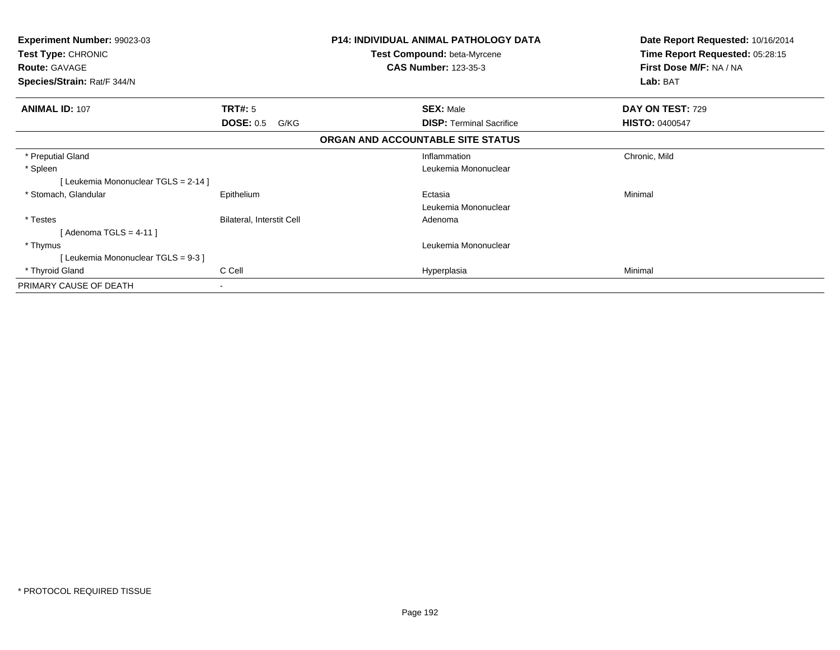| <b>Experiment Number: 99023-03</b><br>Test Type: CHRONIC<br><b>Route: GAVAGE</b><br>Species/Strain: Rat/F 344/N |                           | <b>P14: INDIVIDUAL ANIMAL PATHOLOGY DATA</b><br>Test Compound: beta-Myrcene<br><b>CAS Number: 123-35-3</b> | Date Report Requested: 10/16/2014<br>Time Report Requested: 05:28:15<br>First Dose M/F: NA / NA<br>Lab: BAT |  |
|-----------------------------------------------------------------------------------------------------------------|---------------------------|------------------------------------------------------------------------------------------------------------|-------------------------------------------------------------------------------------------------------------|--|
| <b>ANIMAL ID: 107</b>                                                                                           | <b>TRT#: 5</b>            | <b>SEX: Male</b>                                                                                           | DAY ON TEST: 729                                                                                            |  |
|                                                                                                                 | <b>DOSE: 0.5</b><br>G/KG  | <b>DISP: Terminal Sacrifice</b><br>ORGAN AND ACCOUNTABLE SITE STATUS                                       | <b>HISTO: 0400547</b>                                                                                       |  |
|                                                                                                                 |                           |                                                                                                            |                                                                                                             |  |
| * Preputial Gland                                                                                               |                           | Inflammation                                                                                               | Chronic, Mild                                                                                               |  |
| * Spleen                                                                                                        |                           | Leukemia Mononuclear                                                                                       |                                                                                                             |  |
| [Leukemia Mononuclear TGLS = 2-14]                                                                              |                           |                                                                                                            |                                                                                                             |  |
| * Stomach, Glandular                                                                                            | Epithelium                | Ectasia                                                                                                    | Minimal                                                                                                     |  |
|                                                                                                                 |                           | Leukemia Mononuclear                                                                                       |                                                                                                             |  |
| * Testes                                                                                                        | Bilateral, Interstit Cell | Adenoma                                                                                                    |                                                                                                             |  |
| [ Adenoma TGLS = 4-11 ]                                                                                         |                           |                                                                                                            |                                                                                                             |  |
| * Thymus                                                                                                        |                           | Leukemia Mononuclear                                                                                       |                                                                                                             |  |
| [Leukemia Mononuclear TGLS = 9-3]                                                                               |                           |                                                                                                            |                                                                                                             |  |
| * Thyroid Gland                                                                                                 | C Cell                    | Hyperplasia                                                                                                | Minimal                                                                                                     |  |
| PRIMARY CAUSE OF DEATH                                                                                          | ٠                         |                                                                                                            |                                                                                                             |  |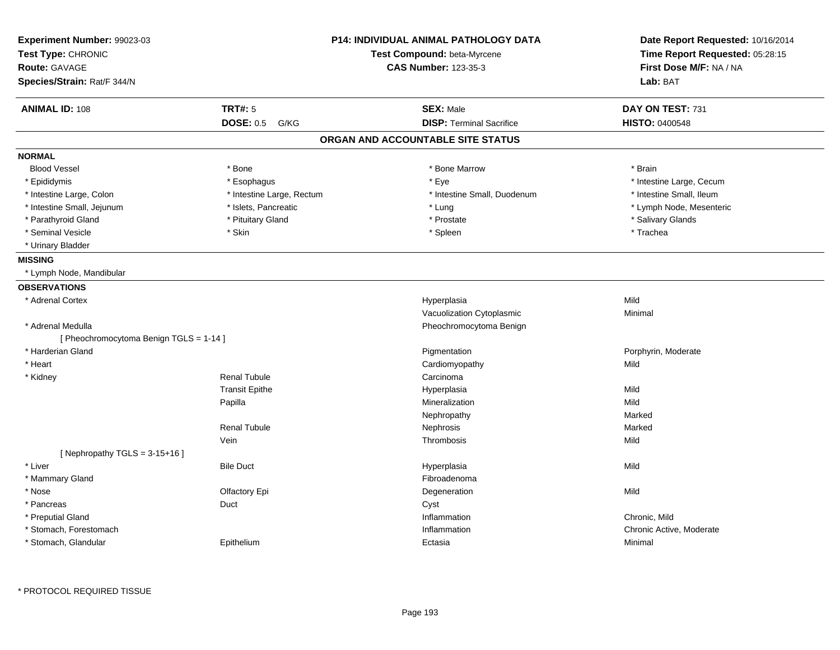| Experiment Number: 99023-03<br>Test Type: CHRONIC<br><b>Route: GAVAGE</b><br>Species/Strain: Rat/F 344/N |                           | <b>P14: INDIVIDUAL ANIMAL PATHOLOGY DATA</b><br>Test Compound: beta-Myrcene<br><b>CAS Number: 123-35-3</b> | Date Report Requested: 10/16/2014<br>Time Report Requested: 05:28:15<br>First Dose M/F: NA / NA<br>Lab: BAT |
|----------------------------------------------------------------------------------------------------------|---------------------------|------------------------------------------------------------------------------------------------------------|-------------------------------------------------------------------------------------------------------------|
| <b>ANIMAL ID: 108</b>                                                                                    | <b>TRT#: 5</b>            | <b>SEX: Male</b>                                                                                           | DAY ON TEST: 731                                                                                            |
|                                                                                                          | <b>DOSE: 0.5</b><br>G/KG  | <b>DISP: Terminal Sacrifice</b>                                                                            | <b>HISTO: 0400548</b>                                                                                       |
|                                                                                                          |                           | ORGAN AND ACCOUNTABLE SITE STATUS                                                                          |                                                                                                             |
| <b>NORMAL</b>                                                                                            |                           |                                                                                                            |                                                                                                             |
| <b>Blood Vessel</b>                                                                                      | * Bone                    | * Bone Marrow                                                                                              | * Brain                                                                                                     |
| * Epididymis                                                                                             | * Esophagus               | * Eye                                                                                                      | * Intestine Large, Cecum                                                                                    |
| * Intestine Large, Colon                                                                                 | * Intestine Large, Rectum | * Intestine Small, Duodenum                                                                                | * Intestine Small, Ileum                                                                                    |
| * Intestine Small, Jejunum                                                                               | * Islets, Pancreatic      | * Lung                                                                                                     | * Lymph Node, Mesenteric                                                                                    |
| * Parathyroid Gland                                                                                      | * Pituitary Gland         | * Prostate                                                                                                 | * Salivary Glands                                                                                           |
| * Seminal Vesicle                                                                                        | * Skin                    | * Spleen                                                                                                   | * Trachea                                                                                                   |
| * Urinary Bladder                                                                                        |                           |                                                                                                            |                                                                                                             |
| <b>MISSING</b>                                                                                           |                           |                                                                                                            |                                                                                                             |
| * Lymph Node, Mandibular                                                                                 |                           |                                                                                                            |                                                                                                             |
| <b>OBSERVATIONS</b>                                                                                      |                           |                                                                                                            |                                                                                                             |
| * Adrenal Cortex                                                                                         |                           | Hyperplasia                                                                                                | Mild                                                                                                        |
|                                                                                                          |                           | Vacuolization Cytoplasmic                                                                                  | Minimal                                                                                                     |
| * Adrenal Medulla                                                                                        |                           | Pheochromocytoma Benign                                                                                    |                                                                                                             |
| [ Pheochromocytoma Benign TGLS = 1-14 ]                                                                  |                           |                                                                                                            |                                                                                                             |
| * Harderian Gland                                                                                        |                           | Pigmentation                                                                                               | Porphyrin, Moderate                                                                                         |
| * Heart                                                                                                  |                           | Cardiomyopathy                                                                                             | Mild                                                                                                        |
| * Kidney                                                                                                 | <b>Renal Tubule</b>       | Carcinoma                                                                                                  |                                                                                                             |
|                                                                                                          | <b>Transit Epithe</b>     | Hyperplasia                                                                                                | Mild                                                                                                        |
|                                                                                                          | Papilla                   | Mineralization                                                                                             | Mild                                                                                                        |
|                                                                                                          |                           | Nephropathy                                                                                                | Marked                                                                                                      |
|                                                                                                          | <b>Renal Tubule</b>       | Nephrosis                                                                                                  | Marked                                                                                                      |
|                                                                                                          | Vein                      | Thrombosis                                                                                                 | Mild                                                                                                        |
| [Nephropathy TGLS = $3-15+16$ ]                                                                          |                           |                                                                                                            |                                                                                                             |
| * Liver                                                                                                  | <b>Bile Duct</b>          | Hyperplasia                                                                                                | Mild                                                                                                        |
| * Mammary Gland                                                                                          |                           | Fibroadenoma                                                                                               |                                                                                                             |
| * Nose                                                                                                   | Olfactory Epi             | Degeneration                                                                                               | Mild                                                                                                        |
| * Pancreas                                                                                               | Duct                      | Cyst                                                                                                       |                                                                                                             |
| * Preputial Gland                                                                                        |                           | Inflammation                                                                                               | Chronic, Mild                                                                                               |
| * Stomach, Forestomach                                                                                   |                           | Inflammation                                                                                               | Chronic Active, Moderate                                                                                    |
| * Stomach, Glandular                                                                                     | Epithelium                | Ectasia                                                                                                    | Minimal                                                                                                     |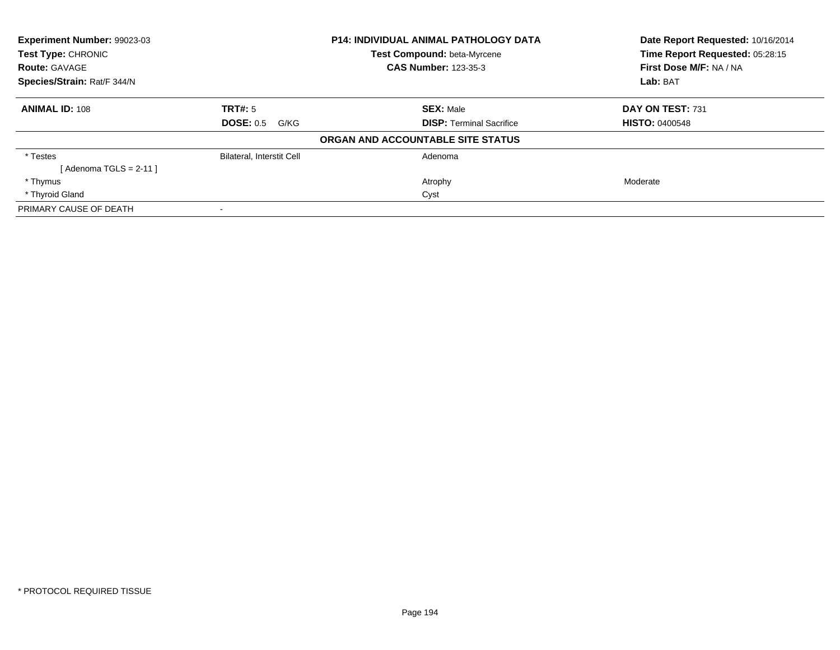| Experiment Number: 99023-03<br>Test Type: CHRONIC |                                  | <b>P14: INDIVIDUAL ANIMAL PATHOLOGY DATA</b><br>Test Compound: beta-Myrcene | Date Report Requested: 10/16/2014<br>Time Report Requested: 05:28:15 |
|---------------------------------------------------|----------------------------------|-----------------------------------------------------------------------------|----------------------------------------------------------------------|
| <b>Route: GAVAGE</b>                              |                                  | <b>CAS Number: 123-35-3</b>                                                 | First Dose M/F: NA / NA                                              |
| Species/Strain: Rat/F 344/N                       |                                  |                                                                             | Lab: BAT                                                             |
| <b>ANIMAL ID: 108</b>                             | TRT#: 5                          | <b>SEX: Male</b>                                                            | DAY ON TEST: 731                                                     |
|                                                   | <b>DOSE: 0.5</b><br>G/KG         | <b>DISP:</b> Terminal Sacrifice                                             | <b>HISTO: 0400548</b>                                                |
|                                                   |                                  | ORGAN AND ACCOUNTABLE SITE STATUS                                           |                                                                      |
| * Testes                                          | <b>Bilateral, Interstit Cell</b> | Adenoma                                                                     |                                                                      |
| [Adenoma TGLS = $2-11$ ]                          |                                  |                                                                             |                                                                      |
| * Thymus                                          |                                  | Atrophy                                                                     | Moderate                                                             |
| * Thyroid Gland                                   |                                  | Cyst                                                                        |                                                                      |
| PRIMARY CAUSE OF DEATH                            |                                  |                                                                             |                                                                      |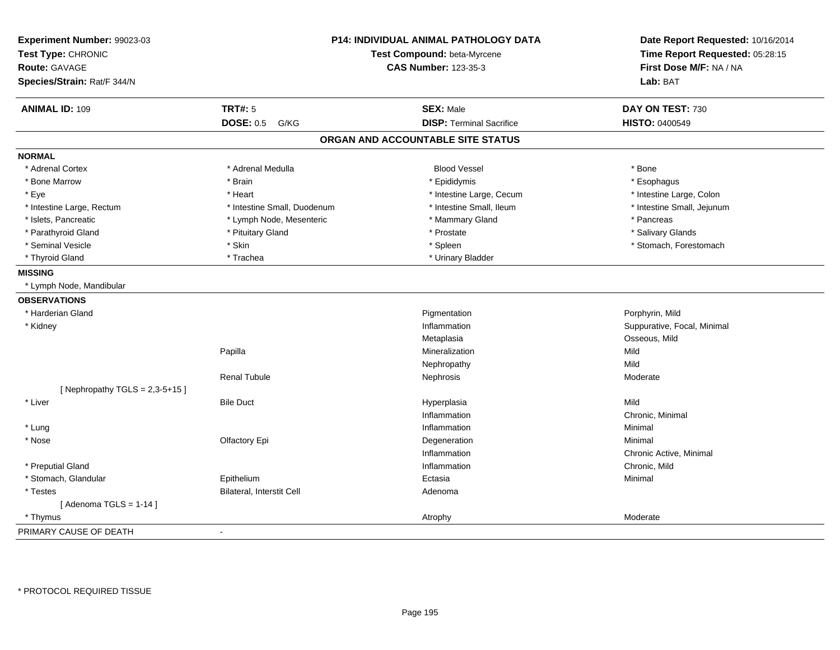| Experiment Number: 99023-03<br>Test Type: CHRONIC<br>Route: GAVAGE | P14: INDIVIDUAL ANIMAL PATHOLOGY DATA<br>Test Compound: beta-Myrcene<br><b>CAS Number: 123-35-3</b> |                                   | Date Report Requested: 10/16/2014<br>Time Report Requested: 05:28:15<br>First Dose M/F: NA / NA |
|--------------------------------------------------------------------|-----------------------------------------------------------------------------------------------------|-----------------------------------|-------------------------------------------------------------------------------------------------|
| Species/Strain: Rat/F 344/N                                        |                                                                                                     |                                   | Lab: BAT                                                                                        |
| <b>ANIMAL ID: 109</b>                                              | <b>TRT#: 5</b>                                                                                      | <b>SEX: Male</b>                  | DAY ON TEST: 730                                                                                |
|                                                                    | <b>DOSE: 0.5</b><br>G/KG                                                                            | <b>DISP: Terminal Sacrifice</b>   | <b>HISTO: 0400549</b>                                                                           |
|                                                                    |                                                                                                     | ORGAN AND ACCOUNTABLE SITE STATUS |                                                                                                 |
| <b>NORMAL</b>                                                      |                                                                                                     |                                   |                                                                                                 |
| * Adrenal Cortex                                                   | * Adrenal Medulla                                                                                   | <b>Blood Vessel</b>               | * Bone                                                                                          |
| * Bone Marrow                                                      | * Brain                                                                                             | * Epididymis                      | * Esophagus                                                                                     |
| * Eye                                                              | * Heart                                                                                             | * Intestine Large, Cecum          | * Intestine Large, Colon                                                                        |
| * Intestine Large, Rectum                                          | * Intestine Small, Duodenum                                                                         | * Intestine Small, Ileum          | * Intestine Small, Jejunum                                                                      |
| * Islets, Pancreatic                                               | * Lymph Node, Mesenteric                                                                            | * Mammary Gland                   | * Pancreas                                                                                      |
| * Parathyroid Gland                                                | * Pituitary Gland                                                                                   | * Prostate                        | * Salivary Glands                                                                               |
| * Seminal Vesicle                                                  | * Skin                                                                                              | * Spleen                          | * Stomach, Forestomach                                                                          |
| * Thyroid Gland                                                    | * Trachea                                                                                           | * Urinary Bladder                 |                                                                                                 |
| <b>MISSING</b>                                                     |                                                                                                     |                                   |                                                                                                 |
| * Lymph Node, Mandibular                                           |                                                                                                     |                                   |                                                                                                 |
| <b>OBSERVATIONS</b>                                                |                                                                                                     |                                   |                                                                                                 |
| * Harderian Gland                                                  |                                                                                                     | Pigmentation                      | Porphyrin, Mild                                                                                 |
| * Kidney                                                           |                                                                                                     | Inflammation                      | Suppurative, Focal, Minimal                                                                     |
|                                                                    |                                                                                                     | Metaplasia                        | Osseous, Mild                                                                                   |
|                                                                    | Papilla                                                                                             | Mineralization                    | Mild                                                                                            |
|                                                                    |                                                                                                     | Nephropathy                       | Mild                                                                                            |
|                                                                    | <b>Renal Tubule</b>                                                                                 | Nephrosis                         | Moderate                                                                                        |
| [Nephropathy TGLS = $2,3-5+15$ ]                                   |                                                                                                     |                                   |                                                                                                 |
| * Liver                                                            | <b>Bile Duct</b>                                                                                    | Hyperplasia                       | Mild                                                                                            |
|                                                                    |                                                                                                     | Inflammation                      | Chronic, Minimal                                                                                |
| * Lung                                                             |                                                                                                     | Inflammation                      | Minimal                                                                                         |
| * Nose                                                             | Olfactory Epi                                                                                       | Degeneration                      | Minimal                                                                                         |
|                                                                    |                                                                                                     | Inflammation                      | Chronic Active, Minimal                                                                         |
| * Preputial Gland                                                  |                                                                                                     | Inflammation                      | Chronic, Mild                                                                                   |
| * Stomach, Glandular                                               | Epithelium                                                                                          | Ectasia                           | Minimal                                                                                         |
| * Testes                                                           | Bilateral, Interstit Cell                                                                           | Adenoma                           |                                                                                                 |
| [Adenoma TGLS = $1-14$ ]                                           |                                                                                                     |                                   |                                                                                                 |
| * Thymus                                                           |                                                                                                     | Atrophy                           | Moderate                                                                                        |
| PRIMARY CAUSE OF DEATH                                             | $\blacksquare$                                                                                      |                                   |                                                                                                 |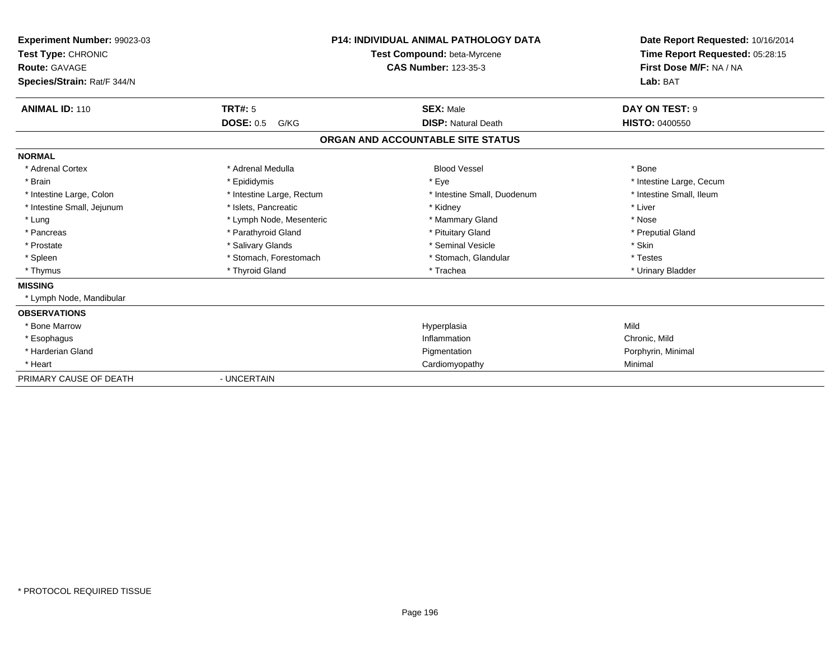| Experiment Number: 99023-03<br>Test Type: CHRONIC<br>Route: GAVAGE<br>Species/Strain: Rat/F 344/N |                           | <b>P14: INDIVIDUAL ANIMAL PATHOLOGY DATA</b><br><b>Test Compound: beta-Myrcene</b><br><b>CAS Number: 123-35-3</b> | Date Report Requested: 10/16/2014<br>Time Report Requested: 05:28:15<br>First Dose M/F: NA / NA<br>Lab: BAT |
|---------------------------------------------------------------------------------------------------|---------------------------|-------------------------------------------------------------------------------------------------------------------|-------------------------------------------------------------------------------------------------------------|
| <b>ANIMAL ID: 110</b>                                                                             | <b>TRT#: 5</b>            | <b>SEX: Male</b>                                                                                                  | DAY ON TEST: 9                                                                                              |
|                                                                                                   | <b>DOSE: 0.5</b><br>G/KG  | <b>DISP: Natural Death</b>                                                                                        | <b>HISTO: 0400550</b>                                                                                       |
|                                                                                                   |                           | ORGAN AND ACCOUNTABLE SITE STATUS                                                                                 |                                                                                                             |
| <b>NORMAL</b>                                                                                     |                           |                                                                                                                   |                                                                                                             |
| * Adrenal Cortex                                                                                  | * Adrenal Medulla         | <b>Blood Vessel</b>                                                                                               | * Bone                                                                                                      |
| * Brain                                                                                           | * Epididymis              | * Eye                                                                                                             | * Intestine Large, Cecum                                                                                    |
| * Intestine Large, Colon                                                                          | * Intestine Large, Rectum | * Intestine Small, Duodenum                                                                                       | * Intestine Small. Ileum                                                                                    |
| * Intestine Small, Jejunum                                                                        | * Islets, Pancreatic      | * Kidney                                                                                                          | * Liver                                                                                                     |
| * Lung                                                                                            | * Lymph Node, Mesenteric  | * Mammary Gland                                                                                                   | * Nose                                                                                                      |
| * Pancreas                                                                                        | * Parathyroid Gland       | * Pituitary Gland                                                                                                 | * Preputial Gland                                                                                           |
| * Prostate                                                                                        | * Salivary Glands         | * Seminal Vesicle                                                                                                 | * Skin                                                                                                      |
| * Spleen                                                                                          | * Stomach, Forestomach    | * Stomach, Glandular                                                                                              | * Testes                                                                                                    |
| * Thymus                                                                                          | * Thyroid Gland           | * Trachea                                                                                                         | * Urinary Bladder                                                                                           |
| <b>MISSING</b>                                                                                    |                           |                                                                                                                   |                                                                                                             |
| * Lymph Node, Mandibular                                                                          |                           |                                                                                                                   |                                                                                                             |
| <b>OBSERVATIONS</b>                                                                               |                           |                                                                                                                   |                                                                                                             |
| * Bone Marrow                                                                                     |                           | Hyperplasia                                                                                                       | Mild                                                                                                        |
| * Esophagus                                                                                       |                           | Inflammation                                                                                                      | Chronic, Mild                                                                                               |
| * Harderian Gland                                                                                 |                           | Pigmentation                                                                                                      | Porphyrin, Minimal                                                                                          |
| * Heart                                                                                           |                           | Cardiomyopathy                                                                                                    | Minimal                                                                                                     |
| PRIMARY CAUSE OF DEATH                                                                            | - UNCERTAIN               |                                                                                                                   |                                                                                                             |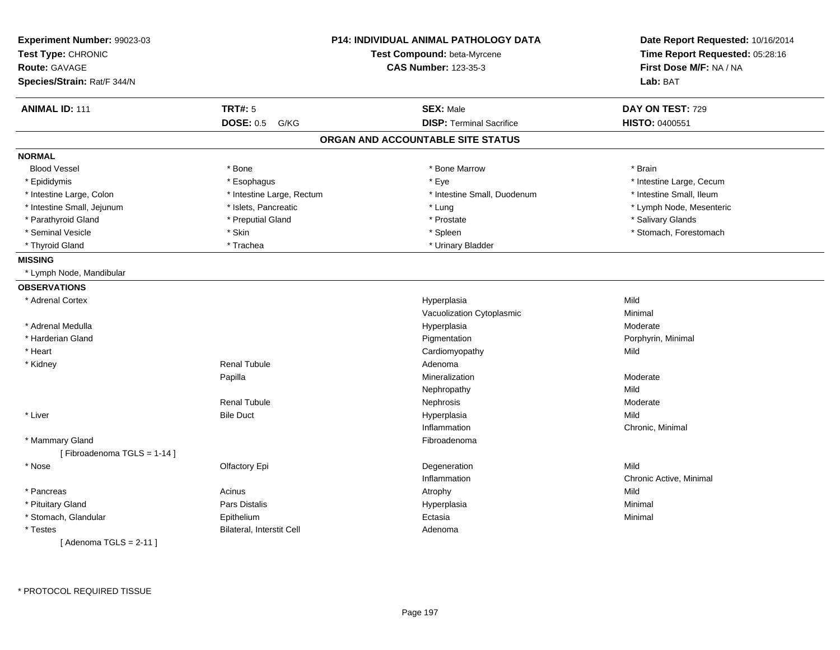| Experiment Number: 99023-03<br>Test Type: CHRONIC<br><b>Route: GAVAGE</b><br>Species/Strain: Rat/F 344/N |                                  | <b>P14: INDIVIDUAL ANIMAL PATHOLOGY DATA</b><br>Test Compound: beta-Myrcene<br><b>CAS Number: 123-35-3</b> | Date Report Requested: 10/16/2014<br>Time Report Requested: 05:28:16<br>First Dose M/F: NA / NA<br>Lab: BAT |
|----------------------------------------------------------------------------------------------------------|----------------------------------|------------------------------------------------------------------------------------------------------------|-------------------------------------------------------------------------------------------------------------|
| <b>ANIMAL ID: 111</b>                                                                                    | <b>TRT#: 5</b>                   | <b>SEX: Male</b>                                                                                           | DAY ON TEST: 729                                                                                            |
|                                                                                                          | <b>DOSE: 0.5</b><br>G/KG         | <b>DISP: Terminal Sacrifice</b>                                                                            | HISTO: 0400551                                                                                              |
|                                                                                                          |                                  | ORGAN AND ACCOUNTABLE SITE STATUS                                                                          |                                                                                                             |
| <b>NORMAL</b>                                                                                            |                                  |                                                                                                            |                                                                                                             |
| <b>Blood Vessel</b>                                                                                      | * Bone                           | * Bone Marrow                                                                                              | * Brain                                                                                                     |
| * Epididymis                                                                                             | * Esophagus                      | * Eye                                                                                                      | * Intestine Large, Cecum                                                                                    |
| * Intestine Large, Colon                                                                                 | * Intestine Large, Rectum        | * Intestine Small, Duodenum                                                                                | * Intestine Small, Ileum                                                                                    |
| * Intestine Small, Jejunum                                                                               | * Islets, Pancreatic             | * Lung                                                                                                     | * Lymph Node, Mesenteric                                                                                    |
| * Parathyroid Gland                                                                                      | * Preputial Gland                | * Prostate                                                                                                 | * Salivary Glands                                                                                           |
| * Seminal Vesicle                                                                                        | * Skin                           | * Spleen                                                                                                   | * Stomach, Forestomach                                                                                      |
| * Thyroid Gland                                                                                          | * Trachea                        | * Urinary Bladder                                                                                          |                                                                                                             |
| <b>MISSING</b>                                                                                           |                                  |                                                                                                            |                                                                                                             |
| * Lymph Node, Mandibular                                                                                 |                                  |                                                                                                            |                                                                                                             |
| <b>OBSERVATIONS</b>                                                                                      |                                  |                                                                                                            |                                                                                                             |
| * Adrenal Cortex                                                                                         |                                  | Hyperplasia                                                                                                | Mild                                                                                                        |
|                                                                                                          |                                  | Vacuolization Cytoplasmic                                                                                  | Minimal                                                                                                     |
| * Adrenal Medulla                                                                                        |                                  | Hyperplasia                                                                                                | Moderate                                                                                                    |
| * Harderian Gland                                                                                        |                                  | Pigmentation                                                                                               | Porphyrin, Minimal                                                                                          |
| * Heart                                                                                                  |                                  | Cardiomyopathy                                                                                             | Mild                                                                                                        |
| * Kidney                                                                                                 | <b>Renal Tubule</b>              | Adenoma                                                                                                    |                                                                                                             |
|                                                                                                          | Papilla                          | Mineralization                                                                                             | Moderate                                                                                                    |
|                                                                                                          |                                  | Nephropathy                                                                                                | Mild                                                                                                        |
|                                                                                                          | <b>Renal Tubule</b>              | Nephrosis                                                                                                  | Moderate                                                                                                    |
| * Liver                                                                                                  | <b>Bile Duct</b>                 | Hyperplasia                                                                                                | Mild                                                                                                        |
|                                                                                                          |                                  | Inflammation                                                                                               | Chronic, Minimal                                                                                            |
| * Mammary Gland                                                                                          |                                  | Fibroadenoma                                                                                               |                                                                                                             |
| [Fibroadenoma TGLS = 1-14]                                                                               |                                  |                                                                                                            |                                                                                                             |
| * Nose                                                                                                   | Olfactory Epi                    | Degeneration                                                                                               | Mild                                                                                                        |
|                                                                                                          |                                  | Inflammation                                                                                               | Chronic Active, Minimal                                                                                     |
| * Pancreas                                                                                               | Acinus                           | Atrophy                                                                                                    | Mild                                                                                                        |
| * Pituitary Gland                                                                                        | <b>Pars Distalis</b>             | Hyperplasia                                                                                                | Minimal                                                                                                     |
| * Stomach, Glandular                                                                                     | Epithelium                       | Ectasia                                                                                                    | Minimal                                                                                                     |
| * Testes                                                                                                 | <b>Bilateral, Interstit Cell</b> | Adenoma                                                                                                    |                                                                                                             |
| [Adenoma TGLS = $2-11$ ]                                                                                 |                                  |                                                                                                            |                                                                                                             |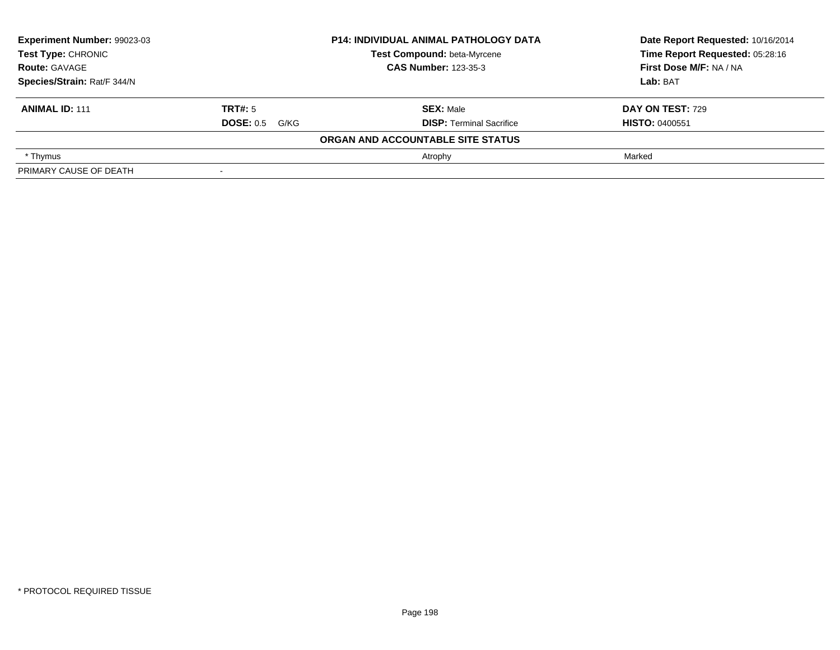| Experiment Number: 99023-03<br><b>Test Type: CHRONIC</b> |                       | <b>P14: INDIVIDUAL ANIMAL PATHOLOGY DATA</b> | Date Report Requested: 10/16/2014 |
|----------------------------------------------------------|-----------------------|----------------------------------------------|-----------------------------------|
|                                                          |                       | Test Compound: beta-Myrcene                  | Time Report Requested: 05:28:16   |
| <b>Route: GAVAGE</b>                                     |                       | <b>CAS Number: 123-35-3</b>                  | First Dose M/F: NA / NA           |
| Species/Strain: Rat/F 344/N                              |                       |                                              | Lab: BAT                          |
| <b>ANIMAL ID: 111</b>                                    | TRT#: 5               | <b>SEX: Male</b>                             | DAY ON TEST: 729                  |
|                                                          | <b>DOSE: 0.5 G/KG</b> | <b>DISP: Terminal Sacrifice</b>              | <b>HISTO: 0400551</b>             |
|                                                          |                       | ORGAN AND ACCOUNTABLE SITE STATUS            |                                   |
| * Thymus                                                 |                       | Atrophy                                      | Marked                            |
| PRIMARY CAUSE OF DEATH                                   |                       |                                              |                                   |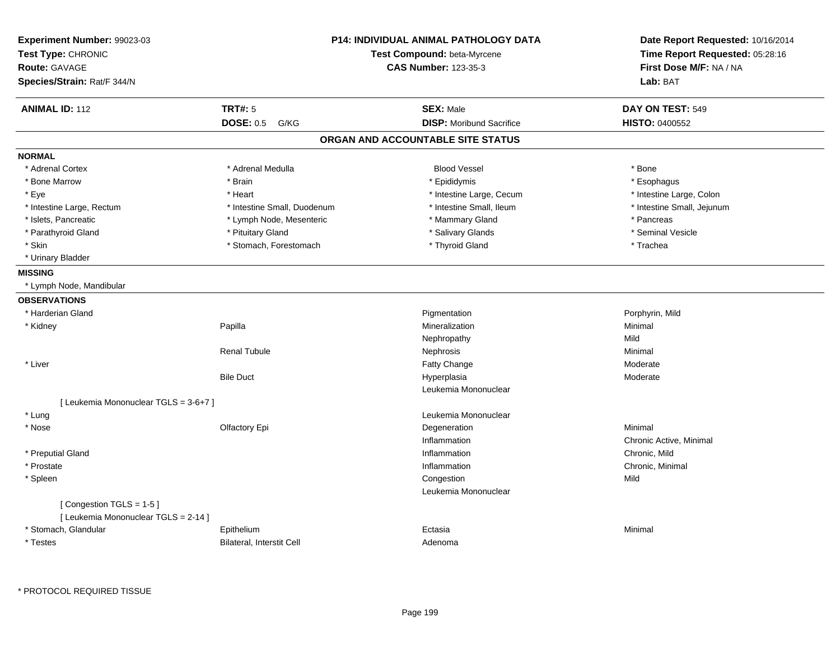| Experiment Number: 99023-03<br>Test Type: CHRONIC<br><b>Route: GAVAGE</b><br>Species/Strain: Rat/F 344/N |                             | <b>P14: INDIVIDUAL ANIMAL PATHOLOGY DATA</b><br>Test Compound: beta-Myrcene<br><b>CAS Number: 123-35-3</b> | Date Report Requested: 10/16/2014<br>Time Report Requested: 05:28:16<br>First Dose M/F: NA / NA<br>Lab: BAT |
|----------------------------------------------------------------------------------------------------------|-----------------------------|------------------------------------------------------------------------------------------------------------|-------------------------------------------------------------------------------------------------------------|
| <b>ANIMAL ID: 112</b>                                                                                    | <b>TRT#: 5</b>              | <b>SEX: Male</b>                                                                                           | DAY ON TEST: 549                                                                                            |
|                                                                                                          | <b>DOSE: 0.5</b><br>G/KG    | <b>DISP:</b> Moribund Sacrifice                                                                            | <b>HISTO: 0400552</b>                                                                                       |
|                                                                                                          |                             | ORGAN AND ACCOUNTABLE SITE STATUS                                                                          |                                                                                                             |
| <b>NORMAL</b>                                                                                            |                             |                                                                                                            |                                                                                                             |
| * Adrenal Cortex                                                                                         | * Adrenal Medulla           | <b>Blood Vessel</b>                                                                                        | * Bone                                                                                                      |
| * Bone Marrow                                                                                            | * Brain                     | * Epididymis                                                                                               | * Esophagus                                                                                                 |
| * Eye                                                                                                    | * Heart                     | * Intestine Large, Cecum                                                                                   | * Intestine Large, Colon                                                                                    |
| * Intestine Large, Rectum                                                                                | * Intestine Small, Duodenum | * Intestine Small, Ileum                                                                                   | * Intestine Small, Jejunum                                                                                  |
| * Islets, Pancreatic                                                                                     | * Lymph Node, Mesenteric    | * Mammary Gland                                                                                            | * Pancreas                                                                                                  |
| * Parathyroid Gland                                                                                      | * Pituitary Gland           | * Salivary Glands                                                                                          | * Seminal Vesicle                                                                                           |
| * Skin                                                                                                   | * Stomach, Forestomach      | * Thyroid Gland                                                                                            | * Trachea                                                                                                   |
| * Urinary Bladder                                                                                        |                             |                                                                                                            |                                                                                                             |
| <b>MISSING</b>                                                                                           |                             |                                                                                                            |                                                                                                             |
| * Lymph Node, Mandibular                                                                                 |                             |                                                                                                            |                                                                                                             |
| <b>OBSERVATIONS</b>                                                                                      |                             |                                                                                                            |                                                                                                             |
| * Harderian Gland                                                                                        |                             | Pigmentation                                                                                               | Porphyrin, Mild                                                                                             |
| * Kidney                                                                                                 | Papilla                     | Mineralization                                                                                             | Minimal                                                                                                     |
|                                                                                                          |                             | Nephropathy                                                                                                | Mild                                                                                                        |
|                                                                                                          | <b>Renal Tubule</b>         | Nephrosis                                                                                                  | Minimal                                                                                                     |
| * Liver                                                                                                  |                             | Fatty Change                                                                                               | Moderate                                                                                                    |
|                                                                                                          | <b>Bile Duct</b>            | Hyperplasia                                                                                                | Moderate                                                                                                    |
|                                                                                                          |                             | Leukemia Mononuclear                                                                                       |                                                                                                             |
| [ Leukemia Mononuclear TGLS = 3-6+7 ]                                                                    |                             |                                                                                                            |                                                                                                             |
| * Lung                                                                                                   |                             | Leukemia Mononuclear                                                                                       |                                                                                                             |
| * Nose                                                                                                   | Olfactory Epi               | Degeneration                                                                                               | Minimal                                                                                                     |
|                                                                                                          |                             | Inflammation                                                                                               | Chronic Active, Minimal                                                                                     |
| * Preputial Gland                                                                                        |                             | Inflammation                                                                                               | Chronic, Mild                                                                                               |
| * Prostate                                                                                               |                             | Inflammation                                                                                               | Chronic, Minimal                                                                                            |
| * Spleen                                                                                                 |                             | Congestion                                                                                                 | Mild                                                                                                        |
|                                                                                                          |                             | Leukemia Mononuclear                                                                                       |                                                                                                             |
| [Congestion TGLS = 1-5]<br>[ Leukemia Mononuclear TGLS = 2-14 ]                                          |                             |                                                                                                            |                                                                                                             |
| * Stomach, Glandular                                                                                     | Epithelium                  | Ectasia                                                                                                    | Minimal                                                                                                     |
| * Testes                                                                                                 | Bilateral, Interstit Cell   | Adenoma                                                                                                    |                                                                                                             |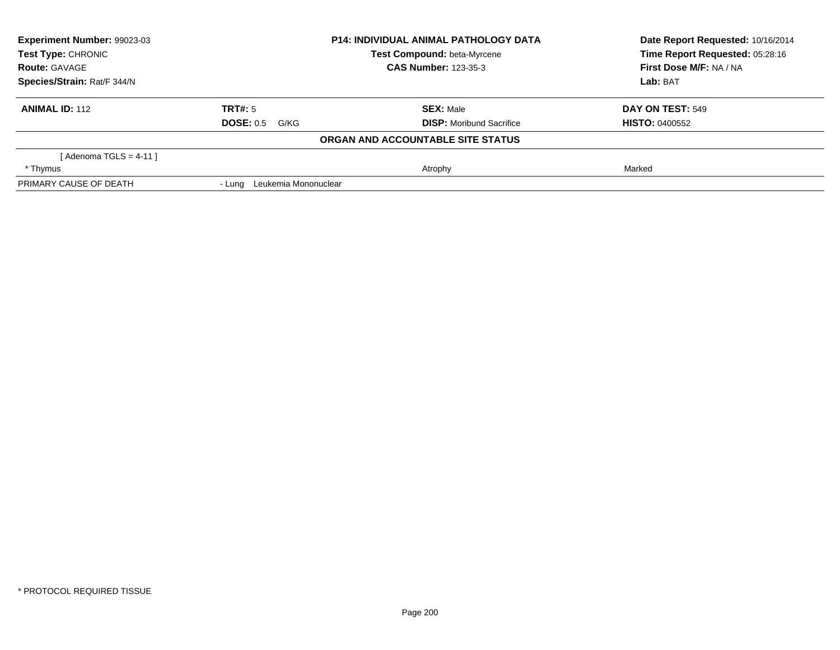| Experiment Number: 99023-03 |                             | <b>P14: INDIVIDUAL ANIMAL PATHOLOGY DATA</b> | Date Report Requested: 10/16/2014 |  |
|-----------------------------|-----------------------------|----------------------------------------------|-----------------------------------|--|
| Test Type: CHRONIC          |                             | Test Compound: beta-Myrcene                  | Time Report Requested: 05:28:16   |  |
| <b>Route: GAVAGE</b>        |                             | <b>CAS Number: 123-35-3</b>                  | First Dose M/F: NA / NA           |  |
| Species/Strain: Rat/F 344/N |                             |                                              | Lab: BAT                          |  |
| <b>ANIMAL ID: 112</b>       | TRT#: 5                     | <b>SEX: Male</b>                             | DAY ON TEST: 549                  |  |
|                             | <b>DOSE: 0.5</b><br>G/KG    | <b>DISP:</b> Moribund Sacrifice              | <b>HISTO: 0400552</b>             |  |
|                             |                             | ORGAN AND ACCOUNTABLE SITE STATUS            |                                   |  |
| [ Adenoma TGLS = 4-11 ]     |                             |                                              |                                   |  |
| * Thymus                    |                             | Atrophy                                      | Marked                            |  |
| PRIMARY CAUSE OF DEATH      | - Lung Leukemia Mononuclear |                                              |                                   |  |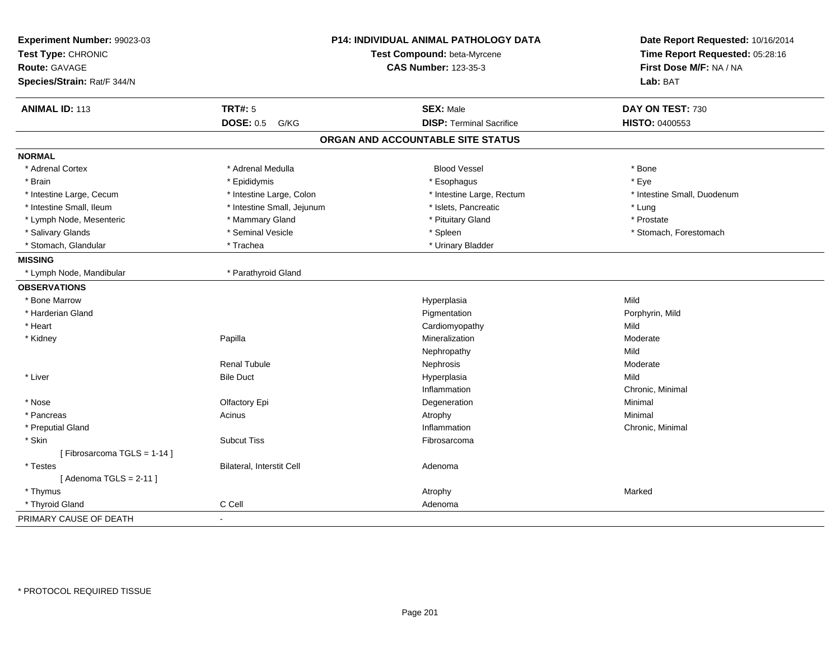| Experiment Number: 99023-03<br>Test Type: CHRONIC |                            | <b>P14: INDIVIDUAL ANIMAL PATHOLOGY DATA</b><br>Test Compound: beta-Myrcene | Date Report Requested: 10/16/2014<br>Time Report Requested: 05:28:16 |
|---------------------------------------------------|----------------------------|-----------------------------------------------------------------------------|----------------------------------------------------------------------|
| <b>Route: GAVAGE</b>                              |                            | <b>CAS Number: 123-35-3</b>                                                 | First Dose M/F: NA / NA                                              |
| Species/Strain: Rat/F 344/N                       |                            |                                                                             | Lab: BAT                                                             |
| <b>ANIMAL ID: 113</b>                             | <b>TRT#: 5</b>             | <b>SEX: Male</b>                                                            | DAY ON TEST: 730                                                     |
|                                                   | <b>DOSE: 0.5 G/KG</b>      | <b>DISP: Terminal Sacrifice</b>                                             | HISTO: 0400553                                                       |
|                                                   |                            | ORGAN AND ACCOUNTABLE SITE STATUS                                           |                                                                      |
| <b>NORMAL</b>                                     |                            |                                                                             |                                                                      |
| * Adrenal Cortex                                  | * Adrenal Medulla          | <b>Blood Vessel</b>                                                         | * Bone                                                               |
| * Brain                                           | * Epididymis               | * Esophagus                                                                 | * Eye                                                                |
| * Intestine Large, Cecum                          | * Intestine Large, Colon   | * Intestine Large, Rectum                                                   | * Intestine Small, Duodenum                                          |
| * Intestine Small, Ileum                          | * Intestine Small, Jejunum | * Islets, Pancreatic                                                        | * Lung                                                               |
| * Lymph Node, Mesenteric                          | * Mammary Gland            | * Pituitary Gland                                                           | * Prostate                                                           |
| * Salivary Glands                                 | * Seminal Vesicle          | * Spleen                                                                    | * Stomach, Forestomach                                               |
| * Stomach, Glandular                              | * Trachea                  | * Urinary Bladder                                                           |                                                                      |
| <b>MISSING</b>                                    |                            |                                                                             |                                                                      |
| * Lymph Node, Mandibular                          | * Parathyroid Gland        |                                                                             |                                                                      |
| <b>OBSERVATIONS</b>                               |                            |                                                                             |                                                                      |
| * Bone Marrow                                     |                            | Hyperplasia                                                                 | Mild                                                                 |
| * Harderian Gland                                 |                            | Pigmentation                                                                | Porphyrin, Mild                                                      |
| * Heart                                           |                            | Cardiomyopathy                                                              | Mild                                                                 |
| * Kidney                                          | Papilla                    | Mineralization                                                              | Moderate                                                             |
|                                                   |                            | Nephropathy                                                                 | Mild                                                                 |
|                                                   | <b>Renal Tubule</b>        | Nephrosis                                                                   | Moderate                                                             |
| * Liver                                           | <b>Bile Duct</b>           | Hyperplasia                                                                 | Mild                                                                 |
|                                                   |                            | Inflammation                                                                | Chronic, Minimal                                                     |
| * Nose                                            | Olfactory Epi              | Degeneration                                                                | Minimal                                                              |
| * Pancreas                                        | Acinus                     | Atrophy                                                                     | Minimal                                                              |
| * Preputial Gland                                 |                            | Inflammation                                                                | Chronic, Minimal                                                     |
| * Skin                                            | <b>Subcut Tiss</b>         | Fibrosarcoma                                                                |                                                                      |
| [Fibrosarcoma TGLS = 1-14]                        |                            |                                                                             |                                                                      |
| * Testes                                          | Bilateral, Interstit Cell  | Adenoma                                                                     |                                                                      |
| [Adenoma TGLS = $2-11$ ]                          |                            |                                                                             |                                                                      |
| * Thymus                                          |                            | Atrophy                                                                     | Marked                                                               |
| * Thyroid Gland                                   | C Cell                     | Adenoma                                                                     |                                                                      |
| PRIMARY CAUSE OF DEATH                            | $\mathbf{r}$               |                                                                             |                                                                      |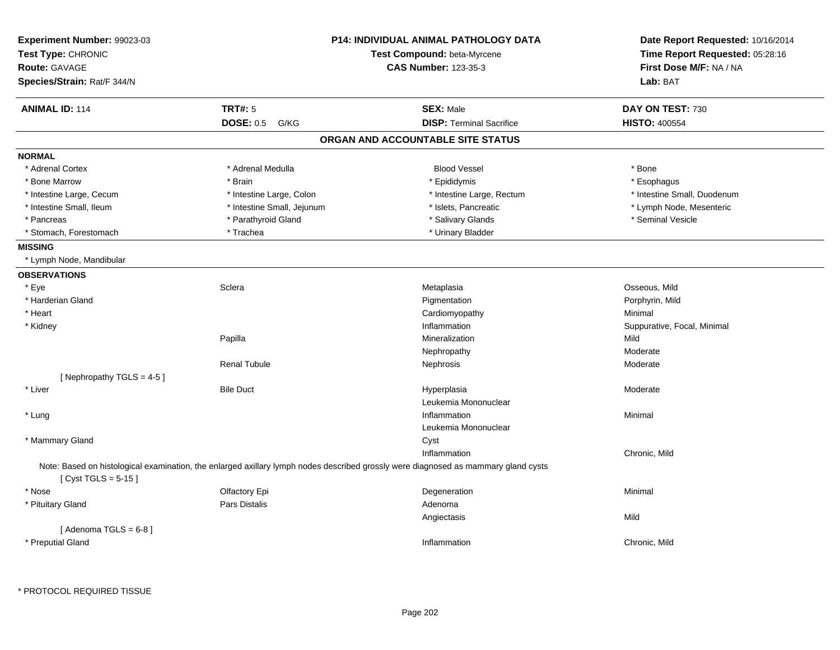| <b>Experiment Number: 99023-03</b><br>Test Type: CHRONIC<br>Route: GAVAGE<br>Species/Strain: Rat/F 344/N |                            | <b>P14: INDIVIDUAL ANIMAL PATHOLOGY DATA</b><br>Test Compound: beta-Myrcene<br><b>CAS Number: 123-35-3</b>                         | Date Report Requested: 10/16/2014<br>Time Report Requested: 05:28:16<br>First Dose M/F: NA / NA<br>Lab: BAT |
|----------------------------------------------------------------------------------------------------------|----------------------------|------------------------------------------------------------------------------------------------------------------------------------|-------------------------------------------------------------------------------------------------------------|
| <b>ANIMAL ID: 114</b>                                                                                    | <b>TRT#: 5</b>             | <b>SEX: Male</b>                                                                                                                   | DAY ON TEST: 730                                                                                            |
|                                                                                                          | <b>DOSE: 0.5</b><br>G/KG   | <b>DISP: Terminal Sacrifice</b>                                                                                                    | <b>HISTO: 400554</b>                                                                                        |
|                                                                                                          |                            | ORGAN AND ACCOUNTABLE SITE STATUS                                                                                                  |                                                                                                             |
| <b>NORMAL</b>                                                                                            |                            |                                                                                                                                    |                                                                                                             |
| * Adrenal Cortex                                                                                         | * Adrenal Medulla          | <b>Blood Vessel</b>                                                                                                                | * Bone                                                                                                      |
| * Bone Marrow                                                                                            | * Brain                    | * Epididymis                                                                                                                       | * Esophagus                                                                                                 |
| * Intestine Large, Cecum                                                                                 | * Intestine Large, Colon   | * Intestine Large, Rectum                                                                                                          | * Intestine Small, Duodenum                                                                                 |
| * Intestine Small, Ileum                                                                                 | * Intestine Small, Jejunum | * Islets, Pancreatic                                                                                                               | * Lymph Node, Mesenteric                                                                                    |
| * Pancreas                                                                                               | * Parathyroid Gland        | * Salivary Glands                                                                                                                  | * Seminal Vesicle                                                                                           |
| * Stomach, Forestomach                                                                                   | * Trachea                  | * Urinary Bladder                                                                                                                  |                                                                                                             |
| <b>MISSING</b>                                                                                           |                            |                                                                                                                                    |                                                                                                             |
| * Lymph Node, Mandibular                                                                                 |                            |                                                                                                                                    |                                                                                                             |
| <b>OBSERVATIONS</b>                                                                                      |                            |                                                                                                                                    |                                                                                                             |
| * Eye                                                                                                    | Sclera                     | Metaplasia                                                                                                                         | Osseous, Mild                                                                                               |
| * Harderian Gland                                                                                        |                            | Pigmentation                                                                                                                       | Porphyrin, Mild                                                                                             |
| * Heart                                                                                                  |                            | Cardiomyopathy                                                                                                                     | Minimal                                                                                                     |
| * Kidney                                                                                                 |                            | Inflammation                                                                                                                       | Suppurative, Focal, Minimal                                                                                 |
|                                                                                                          | Papilla                    | Mineralization                                                                                                                     | Mild                                                                                                        |
|                                                                                                          |                            | Nephropathy                                                                                                                        | Moderate                                                                                                    |
|                                                                                                          | <b>Renal Tubule</b>        | Nephrosis                                                                                                                          | Moderate                                                                                                    |
| [Nephropathy TGLS = 4-5]                                                                                 |                            |                                                                                                                                    |                                                                                                             |
| * Liver                                                                                                  | <b>Bile Duct</b>           | Hyperplasia                                                                                                                        | Moderate                                                                                                    |
|                                                                                                          |                            | Leukemia Mononuclear                                                                                                               |                                                                                                             |
| * Lung                                                                                                   |                            | Inflammation                                                                                                                       | Minimal                                                                                                     |
|                                                                                                          |                            | Leukemia Mononuclear                                                                                                               |                                                                                                             |
| * Mammary Gland                                                                                          |                            | Cyst                                                                                                                               |                                                                                                             |
|                                                                                                          |                            | Inflammation                                                                                                                       | Chronic, Mild                                                                                               |
| [ $Cyst TGLS = 5-15$ ]                                                                                   |                            | Note: Based on histological examination, the enlarged axillary lymph nodes described grossly were diagnosed as mammary gland cysts |                                                                                                             |
| * Nose                                                                                                   | Olfactory Epi              | Degeneration                                                                                                                       | Minimal                                                                                                     |
| * Pituitary Gland                                                                                        | <b>Pars Distalis</b>       | Adenoma                                                                                                                            |                                                                                                             |
|                                                                                                          |                            | Angiectasis                                                                                                                        | Mild                                                                                                        |
| [Adenoma TGLS = $6-8$ ]<br>* Preputial Gland                                                             |                            | Inflammation                                                                                                                       | Chronic, Mild                                                                                               |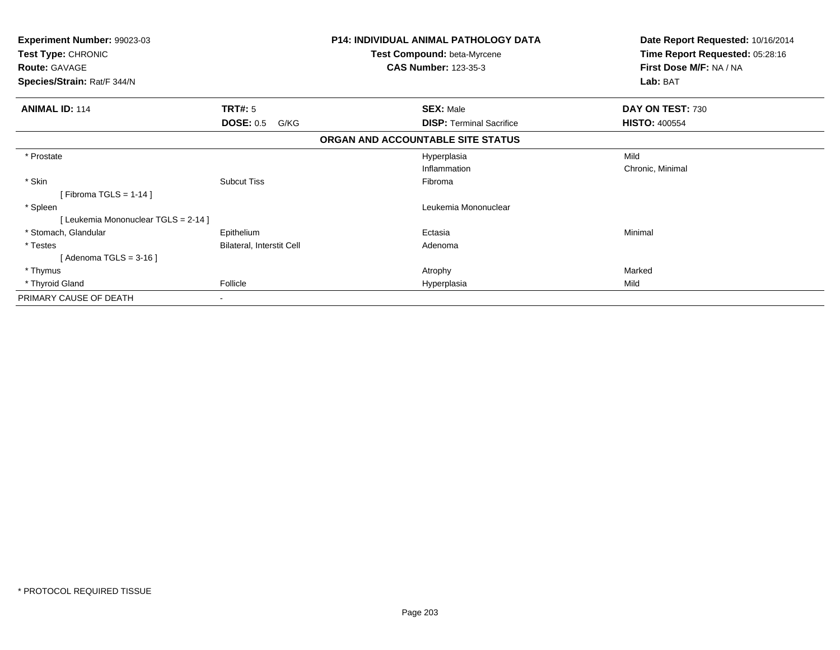| Experiment Number: 99023-03<br>Test Type: CHRONIC<br><b>Route: GAVAGE</b> |                           | <b>P14: INDIVIDUAL ANIMAL PATHOLOGY DATA</b><br>Test Compound: beta-Myrcene<br><b>CAS Number: 123-35-3</b> | Date Report Requested: 10/16/2014<br>Time Report Requested: 05:28:16<br>First Dose M/F: NA / NA |
|---------------------------------------------------------------------------|---------------------------|------------------------------------------------------------------------------------------------------------|-------------------------------------------------------------------------------------------------|
| Species/Strain: Rat/F 344/N                                               |                           |                                                                                                            | Lab: BAT                                                                                        |
| <b>ANIMAL ID: 114</b>                                                     | TRT#: 5                   | <b>SEX: Male</b>                                                                                           | DAY ON TEST: 730                                                                                |
|                                                                           | <b>DOSE: 0.5</b><br>G/KG  | <b>DISP:</b> Terminal Sacrifice                                                                            | <b>HISTO: 400554</b>                                                                            |
|                                                                           |                           | ORGAN AND ACCOUNTABLE SITE STATUS                                                                          |                                                                                                 |
| * Prostate                                                                |                           | Hyperplasia                                                                                                | Mild                                                                                            |
|                                                                           |                           | Inflammation                                                                                               | Chronic, Minimal                                                                                |
| * Skin                                                                    | <b>Subcut Tiss</b>        | Fibroma                                                                                                    |                                                                                                 |
| [Fibroma TGLS = 1-14]                                                     |                           |                                                                                                            |                                                                                                 |
| * Spleen                                                                  |                           | Leukemia Mononuclear                                                                                       |                                                                                                 |
| [Leukemia Mononuclear TGLS = 2-14]                                        |                           |                                                                                                            |                                                                                                 |
| * Stomach, Glandular                                                      | Epithelium                | Ectasia                                                                                                    | Minimal                                                                                         |
| * Testes                                                                  | Bilateral, Interstit Cell | Adenoma                                                                                                    |                                                                                                 |
| [Adenoma TGLS = $3-16$ ]                                                  |                           |                                                                                                            |                                                                                                 |
| * Thymus                                                                  |                           | Atrophy                                                                                                    | Marked                                                                                          |
| * Thyroid Gland                                                           | Follicle                  | Hyperplasia                                                                                                | Mild                                                                                            |
| PRIMARY CAUSE OF DEATH                                                    | $\overline{\phantom{0}}$  |                                                                                                            |                                                                                                 |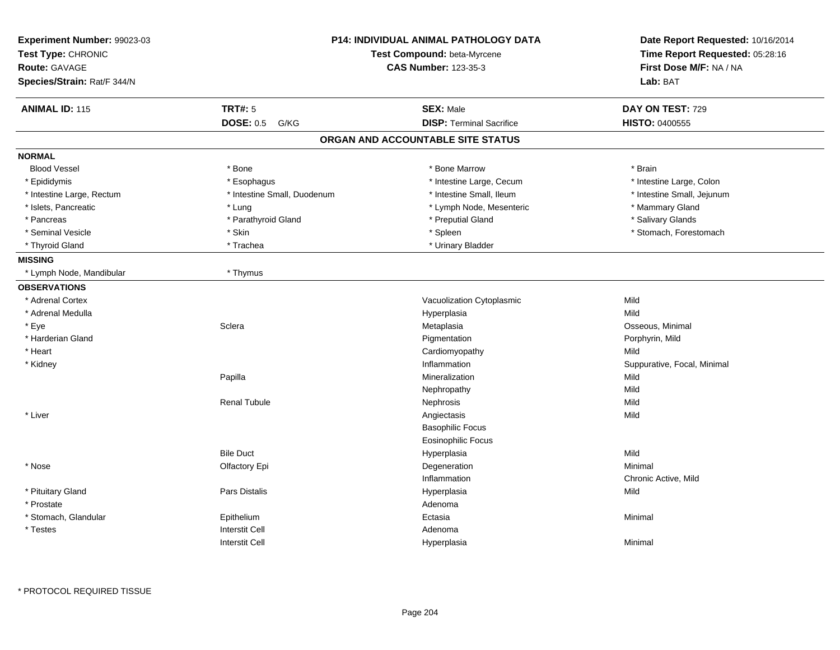| Experiment Number: 99023-03<br>Test Type: CHRONIC<br><b>Route: GAVAGE</b><br>Species/Strain: Rat/F 344/N |                             | <b>P14: INDIVIDUAL ANIMAL PATHOLOGY DATA</b><br>Test Compound: beta-Myrcene<br><b>CAS Number: 123-35-3</b> |                             |
|----------------------------------------------------------------------------------------------------------|-----------------------------|------------------------------------------------------------------------------------------------------------|-----------------------------|
| <b>ANIMAL ID: 115</b>                                                                                    | <b>TRT#: 5</b>              | <b>SEX: Male</b>                                                                                           | DAY ON TEST: 729            |
|                                                                                                          | <b>DOSE: 0.5</b><br>G/KG    | <b>DISP: Terminal Sacrifice</b>                                                                            | HISTO: 0400555              |
|                                                                                                          |                             | ORGAN AND ACCOUNTABLE SITE STATUS                                                                          |                             |
| <b>NORMAL</b>                                                                                            |                             |                                                                                                            |                             |
| <b>Blood Vessel</b>                                                                                      | * Bone                      | * Bone Marrow                                                                                              | * Brain                     |
| * Epididymis                                                                                             | * Esophagus                 | * Intestine Large, Cecum                                                                                   | * Intestine Large, Colon    |
| * Intestine Large, Rectum                                                                                | * Intestine Small, Duodenum | * Intestine Small, Ileum                                                                                   | * Intestine Small, Jejunum  |
| * Islets, Pancreatic                                                                                     | * Lung                      | * Lymph Node, Mesenteric                                                                                   | * Mammary Gland             |
| * Pancreas                                                                                               | * Parathyroid Gland         | * Preputial Gland                                                                                          | * Salivary Glands           |
| * Seminal Vesicle                                                                                        | * Skin                      | * Spleen                                                                                                   | * Stomach, Forestomach      |
| * Thyroid Gland                                                                                          | * Trachea                   | * Urinary Bladder                                                                                          |                             |
| <b>MISSING</b>                                                                                           |                             |                                                                                                            |                             |
| * Lymph Node, Mandibular                                                                                 | * Thymus                    |                                                                                                            |                             |
| <b>OBSERVATIONS</b>                                                                                      |                             |                                                                                                            |                             |
| * Adrenal Cortex                                                                                         |                             | Vacuolization Cytoplasmic                                                                                  | Mild                        |
| * Adrenal Medulla                                                                                        |                             | Hyperplasia                                                                                                | Mild                        |
| * Eye                                                                                                    | Sclera                      | Metaplasia                                                                                                 | Osseous, Minimal            |
| * Harderian Gland                                                                                        |                             | Pigmentation                                                                                               | Porphyrin, Mild             |
| * Heart                                                                                                  |                             | Cardiomyopathy                                                                                             | Mild                        |
| * Kidney                                                                                                 |                             | Inflammation                                                                                               | Suppurative, Focal, Minimal |
|                                                                                                          | Papilla                     | Mineralization                                                                                             | Mild                        |
|                                                                                                          |                             | Nephropathy                                                                                                | Mild                        |
|                                                                                                          | <b>Renal Tubule</b>         | Nephrosis                                                                                                  | Mild                        |
| * Liver                                                                                                  |                             | Angiectasis                                                                                                | Mild                        |
|                                                                                                          |                             | <b>Basophilic Focus</b>                                                                                    |                             |
|                                                                                                          |                             | <b>Eosinophilic Focus</b>                                                                                  |                             |
|                                                                                                          | <b>Bile Duct</b>            | Hyperplasia                                                                                                | Mild                        |
| * Nose                                                                                                   | Olfactory Epi               | Degeneration                                                                                               | Minimal                     |
|                                                                                                          |                             | Inflammation                                                                                               | Chronic Active, Mild        |
| * Pituitary Gland                                                                                        | Pars Distalis               | Hyperplasia                                                                                                | Mild                        |
| * Prostate                                                                                               |                             | Adenoma                                                                                                    |                             |
| * Stomach, Glandular                                                                                     | Epithelium                  | Ectasia                                                                                                    | Minimal                     |
| * Testes                                                                                                 | <b>Interstit Cell</b>       | Adenoma                                                                                                    |                             |
|                                                                                                          | <b>Interstit Cell</b>       | Hyperplasia                                                                                                | Minimal                     |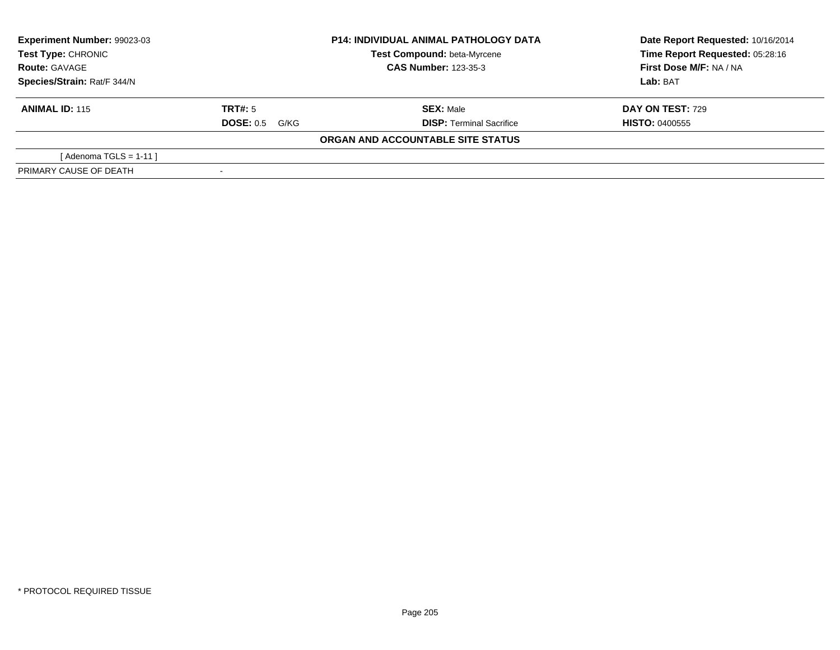| Experiment Number: 99023-03<br>Test Type: CHRONIC<br><b>Route: GAVAGE</b> |                       | <b>P14: INDIVIDUAL ANIMAL PATHOLOGY DATA</b> | Date Report Requested: 10/16/2014 |
|---------------------------------------------------------------------------|-----------------------|----------------------------------------------|-----------------------------------|
|                                                                           |                       | Test Compound: beta-Myrcene                  | Time Report Requested: 05:28:16   |
|                                                                           |                       | <b>CAS Number: 123-35-3</b>                  | First Dose M/F: NA / NA           |
| Species/Strain: Rat/F 344/N                                               |                       |                                              | Lab: BAT                          |
| <b>ANIMAL ID: 115</b>                                                     | <b>TRT#:</b> 5        | <b>SEX: Male</b>                             | <b>DAY ON TEST: 729</b>           |
|                                                                           | <b>DOSE: 0.5 G/KG</b> | <b>DISP: Terminal Sacrifice</b>              | <b>HISTO: 0400555</b>             |
|                                                                           |                       | ORGAN AND ACCOUNTABLE SITE STATUS            |                                   |
| [Adenoma TGLS = $1-11$ ]                                                  |                       |                                              |                                   |
| PRIMARY CAUSE OF DEATH                                                    |                       |                                              |                                   |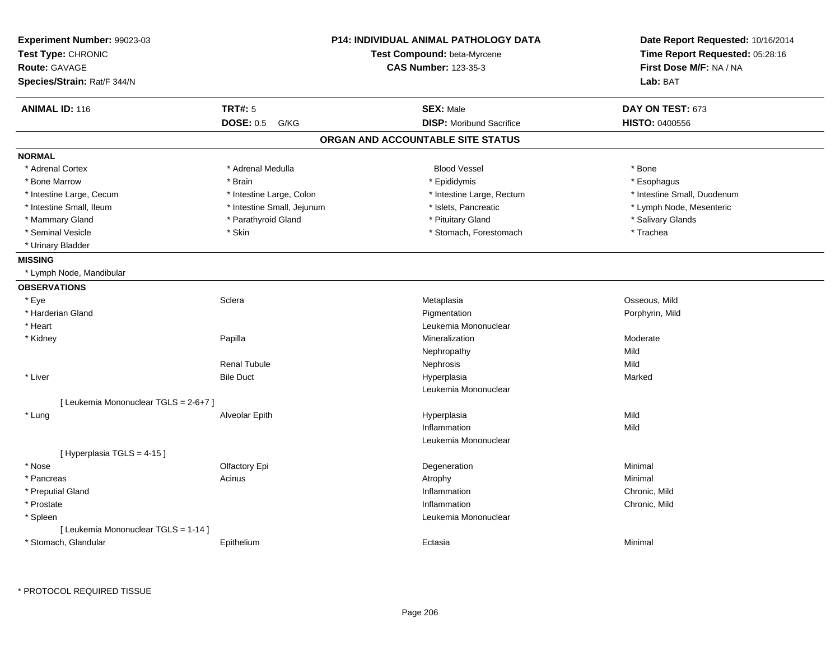| Experiment Number: 99023-03<br>Test Type: CHRONIC<br><b>Route: GAVAGE</b><br>Species/Strain: Rat/F 344/N |                            | <b>P14: INDIVIDUAL ANIMAL PATHOLOGY DATA</b><br>Test Compound: beta-Myrcene<br><b>CAS Number: 123-35-3</b> | Date Report Requested: 10/16/2014<br>Time Report Requested: 05:28:16<br>First Dose M/F: NA / NA<br>Lab: BAT |
|----------------------------------------------------------------------------------------------------------|----------------------------|------------------------------------------------------------------------------------------------------------|-------------------------------------------------------------------------------------------------------------|
| <b>ANIMAL ID: 116</b>                                                                                    | <b>TRT#: 5</b>             | <b>SEX: Male</b>                                                                                           | DAY ON TEST: 673                                                                                            |
|                                                                                                          | <b>DOSE: 0.5</b><br>G/KG   | <b>DISP:</b> Moribund Sacrifice                                                                            | <b>HISTO: 0400556</b>                                                                                       |
|                                                                                                          |                            | ORGAN AND ACCOUNTABLE SITE STATUS                                                                          |                                                                                                             |
| <b>NORMAL</b>                                                                                            |                            |                                                                                                            |                                                                                                             |
| * Adrenal Cortex                                                                                         | * Adrenal Medulla          | <b>Blood Vessel</b>                                                                                        | * Bone                                                                                                      |
| * Bone Marrow                                                                                            | * Brain                    | * Epididymis                                                                                               | * Esophagus                                                                                                 |
| * Intestine Large, Cecum                                                                                 | * Intestine Large, Colon   | * Intestine Large, Rectum                                                                                  | * Intestine Small, Duodenum                                                                                 |
| * Intestine Small, Ileum                                                                                 | * Intestine Small, Jejunum | * Islets, Pancreatic                                                                                       | * Lymph Node, Mesenteric                                                                                    |
| * Mammary Gland                                                                                          | * Parathyroid Gland        | * Pituitary Gland                                                                                          | * Salivary Glands                                                                                           |
| * Seminal Vesicle                                                                                        | * Skin                     | * Stomach, Forestomach                                                                                     | * Trachea                                                                                                   |
| * Urinary Bladder                                                                                        |                            |                                                                                                            |                                                                                                             |
| <b>MISSING</b>                                                                                           |                            |                                                                                                            |                                                                                                             |
| * Lymph Node, Mandibular                                                                                 |                            |                                                                                                            |                                                                                                             |
| <b>OBSERVATIONS</b>                                                                                      |                            |                                                                                                            |                                                                                                             |
| * Eye                                                                                                    | Sclera                     | Metaplasia                                                                                                 | Osseous, Mild                                                                                               |
| * Harderian Gland                                                                                        |                            | Pigmentation                                                                                               | Porphyrin, Mild                                                                                             |
| * Heart                                                                                                  |                            | Leukemia Mononuclear                                                                                       |                                                                                                             |
| * Kidney                                                                                                 | Papilla                    | Mineralization                                                                                             | Moderate                                                                                                    |
|                                                                                                          |                            | Nephropathy                                                                                                | Mild                                                                                                        |
|                                                                                                          | <b>Renal Tubule</b>        | Nephrosis                                                                                                  | Mild                                                                                                        |
| * Liver                                                                                                  | <b>Bile Duct</b>           | Hyperplasia                                                                                                | Marked                                                                                                      |
|                                                                                                          |                            | Leukemia Mononuclear                                                                                       |                                                                                                             |
| [ Leukemia Mononuclear TGLS = 2-6+7 ]                                                                    |                            |                                                                                                            |                                                                                                             |
| * Lung                                                                                                   | Alveolar Epith             | Hyperplasia                                                                                                | Mild                                                                                                        |
|                                                                                                          |                            | Inflammation                                                                                               | Mild                                                                                                        |
|                                                                                                          |                            | Leukemia Mononuclear                                                                                       |                                                                                                             |
| [ Hyperplasia TGLS = 4-15 ]                                                                              |                            |                                                                                                            |                                                                                                             |
| * Nose                                                                                                   | Olfactory Epi              | Degeneration                                                                                               | Minimal                                                                                                     |
| * Pancreas                                                                                               | Acinus                     | Atrophy                                                                                                    | Minimal                                                                                                     |
| * Preputial Gland                                                                                        |                            | Inflammation                                                                                               | Chronic, Mild                                                                                               |
| * Prostate                                                                                               |                            | Inflammation                                                                                               | Chronic, Mild                                                                                               |
| * Spleen                                                                                                 |                            | Leukemia Mononuclear                                                                                       |                                                                                                             |
| [ Leukemia Mononuclear TGLS = 1-14 ]                                                                     |                            |                                                                                                            |                                                                                                             |
| * Stomach, Glandular                                                                                     | Epithelium                 | Ectasia                                                                                                    | Minimal                                                                                                     |
|                                                                                                          |                            |                                                                                                            |                                                                                                             |

\* PROTOCOL REQUIRED TISSUE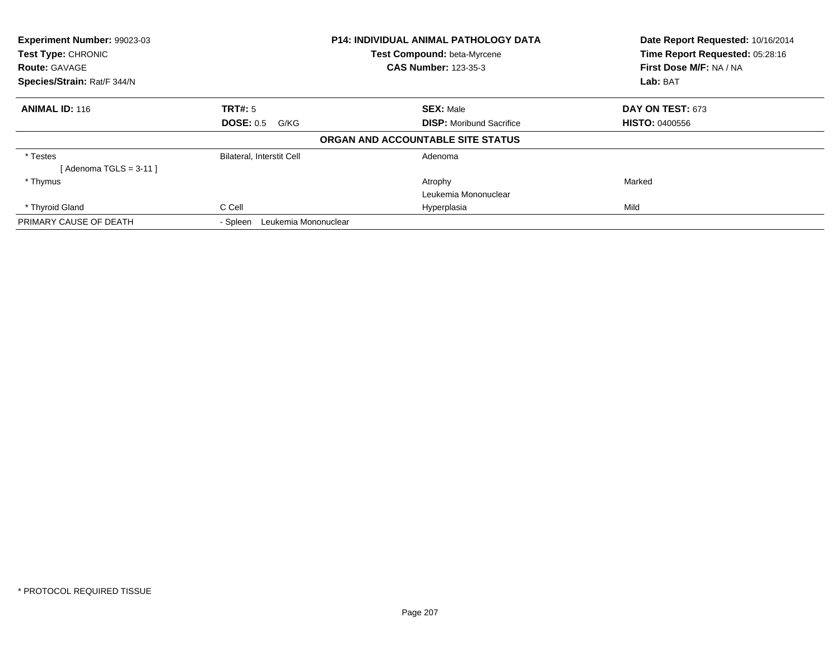| Experiment Number: 99023-03<br>Test Type: CHRONIC   |                                  | <b>P14: INDIVIDUAL ANIMAL PATHOLOGY DATA</b><br>Test Compound: beta-Myrcene | Date Report Requested: 10/16/2014<br>Time Report Requested: 05:28:16 |
|-----------------------------------------------------|----------------------------------|-----------------------------------------------------------------------------|----------------------------------------------------------------------|
| <b>Route: GAVAGE</b><br>Species/Strain: Rat/F 344/N |                                  | <b>CAS Number: 123-35-3</b>                                                 | First Dose M/F: NA / NA<br><b>Lab: BAT</b>                           |
|                                                     |                                  |                                                                             |                                                                      |
| <b>ANIMAL ID: 116</b>                               | <b>TRT#: 5</b>                   | <b>SEX: Male</b>                                                            | DAY ON TEST: 673                                                     |
|                                                     | <b>DOSE: 0.5</b><br>G/KG         | <b>DISP:</b> Moribund Sacrifice                                             | <b>HISTO: 0400556</b>                                                |
|                                                     |                                  | ORGAN AND ACCOUNTABLE SITE STATUS                                           |                                                                      |
| * Testes                                            | Bilateral, Interstit Cell        | Adenoma                                                                     |                                                                      |
| [ Adenoma TGLS = 3-11 ]                             |                                  |                                                                             |                                                                      |
| * Thymus                                            |                                  | Atrophy                                                                     | Marked                                                               |
|                                                     |                                  | Leukemia Mononuclear                                                        |                                                                      |
| * Thyroid Gland                                     | C Cell                           | Hyperplasia                                                                 | Mild                                                                 |
| PRIMARY CAUSE OF DEATH                              | Leukemia Mononuclear<br>- Spleen |                                                                             |                                                                      |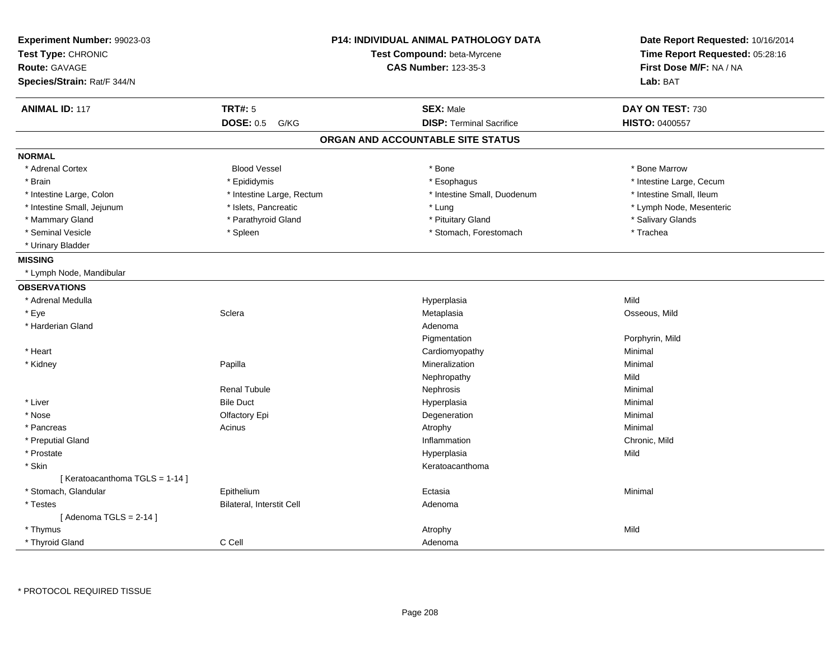| Experiment Number: 99023-03<br>Test Type: CHRONIC<br>Route: GAVAGE |                           | <b>P14: INDIVIDUAL ANIMAL PATHOLOGY DATA</b><br>Test Compound: beta-Myrcene<br><b>CAS Number: 123-35-3</b> | Date Report Requested: 10/16/2014<br>Time Report Requested: 05:28:16<br>First Dose M/F: NA / NA |  |
|--------------------------------------------------------------------|---------------------------|------------------------------------------------------------------------------------------------------------|-------------------------------------------------------------------------------------------------|--|
| Species/Strain: Rat/F 344/N                                        |                           |                                                                                                            | Lab: BAT                                                                                        |  |
| <b>ANIMAL ID: 117</b>                                              | <b>TRT#: 5</b>            | <b>SEX: Male</b>                                                                                           | DAY ON TEST: 730                                                                                |  |
|                                                                    | <b>DOSE: 0.5</b><br>G/KG  | <b>DISP: Terminal Sacrifice</b>                                                                            | HISTO: 0400557                                                                                  |  |
|                                                                    |                           | ORGAN AND ACCOUNTABLE SITE STATUS                                                                          |                                                                                                 |  |
| <b>NORMAL</b>                                                      |                           |                                                                                                            |                                                                                                 |  |
| * Adrenal Cortex                                                   | <b>Blood Vessel</b>       | * Bone                                                                                                     | * Bone Marrow                                                                                   |  |
| * Brain                                                            | * Epididymis              | * Esophagus                                                                                                | * Intestine Large, Cecum                                                                        |  |
| * Intestine Large, Colon                                           | * Intestine Large, Rectum | * Intestine Small, Duodenum                                                                                | * Intestine Small, Ileum                                                                        |  |
| * Intestine Small, Jejunum                                         | * Islets, Pancreatic      | * Lung                                                                                                     | * Lymph Node, Mesenteric                                                                        |  |
| * Mammary Gland                                                    | * Parathyroid Gland       | * Pituitary Gland                                                                                          | * Salivary Glands                                                                               |  |
| * Seminal Vesicle                                                  | * Spleen                  | * Stomach, Forestomach                                                                                     | * Trachea                                                                                       |  |
| * Urinary Bladder                                                  |                           |                                                                                                            |                                                                                                 |  |
| <b>MISSING</b>                                                     |                           |                                                                                                            |                                                                                                 |  |
| * Lymph Node, Mandibular                                           |                           |                                                                                                            |                                                                                                 |  |
| <b>OBSERVATIONS</b>                                                |                           |                                                                                                            |                                                                                                 |  |
| * Adrenal Medulla                                                  |                           | Hyperplasia                                                                                                | Mild                                                                                            |  |
| * Eye                                                              | Sclera                    | Metaplasia                                                                                                 | Osseous, Mild                                                                                   |  |
| * Harderian Gland                                                  |                           | Adenoma                                                                                                    |                                                                                                 |  |
|                                                                    |                           | Pigmentation                                                                                               | Porphyrin, Mild                                                                                 |  |
| * Heart                                                            |                           | Cardiomyopathy                                                                                             | Minimal                                                                                         |  |
| * Kidney                                                           | Papilla                   | Mineralization                                                                                             | Minimal                                                                                         |  |
|                                                                    |                           | Nephropathy                                                                                                | Mild                                                                                            |  |
|                                                                    | Renal Tubule              | Nephrosis                                                                                                  | Minimal                                                                                         |  |
| * Liver                                                            | <b>Bile Duct</b>          | Hyperplasia                                                                                                | Minimal                                                                                         |  |
| * Nose                                                             | Olfactory Epi             | Degeneration                                                                                               | Minimal                                                                                         |  |
| * Pancreas                                                         | Acinus                    | Atrophy                                                                                                    | Minimal                                                                                         |  |
| * Preputial Gland                                                  |                           | Inflammation                                                                                               | Chronic, Mild                                                                                   |  |
| * Prostate                                                         |                           | Hyperplasia                                                                                                | Mild                                                                                            |  |
| * Skin                                                             |                           | Keratoacanthoma                                                                                            |                                                                                                 |  |
| [Keratoacanthoma TGLS = 1-14]                                      |                           |                                                                                                            |                                                                                                 |  |
| * Stomach, Glandular                                               | Epithelium                | Ectasia                                                                                                    | Minimal                                                                                         |  |
| * Testes                                                           | Bilateral, Interstit Cell | Adenoma                                                                                                    |                                                                                                 |  |
| [Adenoma TGLS = $2-14$ ]                                           |                           |                                                                                                            |                                                                                                 |  |
| * Thymus                                                           |                           | Atrophy                                                                                                    | Mild                                                                                            |  |
| * Thyroid Gland                                                    | C Cell                    | Adenoma                                                                                                    |                                                                                                 |  |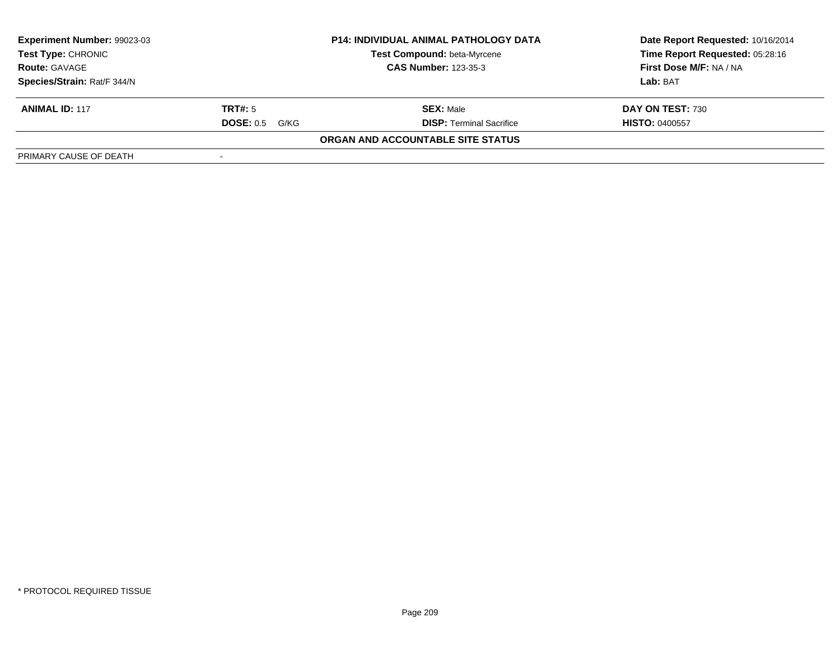| Experiment Number: 99023-03                                                                                     | <b>P14: INDIVIDUAL ANIMAL PATHOLOGY DATA</b> |                                   | Date Report Requested: 10/16/2014<br>Time Report Requested: 05:28:16 |
|-----------------------------------------------------------------------------------------------------------------|----------------------------------------------|-----------------------------------|----------------------------------------------------------------------|
| Test Compound: beta-Myrcene<br><b>Test Type: CHRONIC</b><br><b>CAS Number: 123-35-3</b><br><b>Route: GAVAGE</b> |                                              |                                   |                                                                      |
|                                                                                                                 |                                              |                                   | First Dose M/F: NA / NA                                              |
| Species/Strain: Rat/F 344/N                                                                                     |                                              |                                   | Lab: BAT                                                             |
| <b>ANIMAL ID: 117</b>                                                                                           | TRT#: 5                                      | <b>SEX: Male</b>                  | DAY ON TEST: 730                                                     |
|                                                                                                                 | <b>DOSE: 0.5</b><br>G/KG                     | <b>DISP: Terminal Sacrifice</b>   | <b>HISTO: 0400557</b>                                                |
|                                                                                                                 |                                              | ORGAN AND ACCOUNTABLE SITE STATUS |                                                                      |
| PRIMARY CAUSE OF DEATH                                                                                          |                                              |                                   |                                                                      |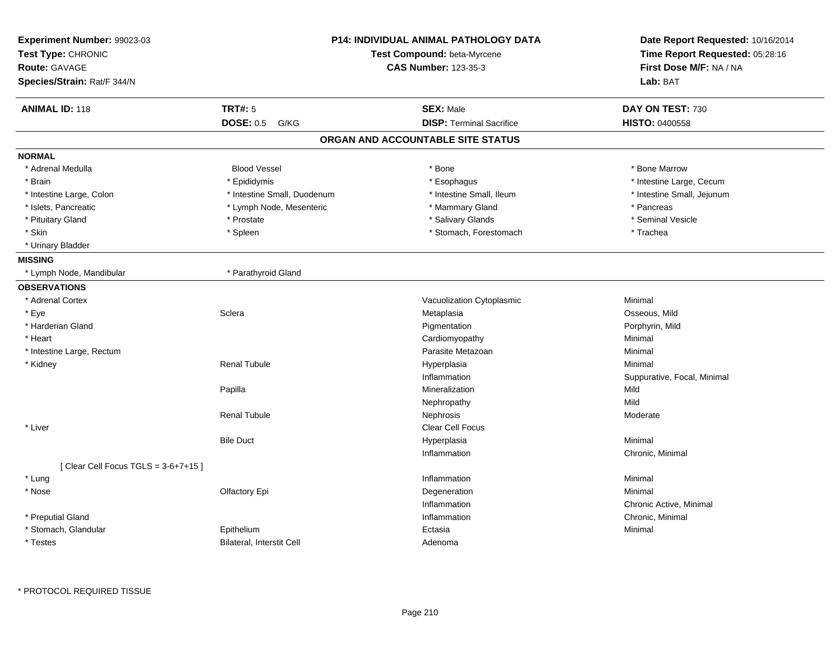| Experiment Number: 99023-03<br>Test Type: CHRONIC<br><b>Route: GAVAGE</b><br>Species/Strain: Rat/F 344/N |                             | <b>P14: INDIVIDUAL ANIMAL PATHOLOGY DATA</b><br>Test Compound: beta-Myrcene<br><b>CAS Number: 123-35-3</b> | Date Report Requested: 10/16/2014<br>Time Report Requested: 05:28:16<br>First Dose M/F: NA / NA<br>Lab: BAT |
|----------------------------------------------------------------------------------------------------------|-----------------------------|------------------------------------------------------------------------------------------------------------|-------------------------------------------------------------------------------------------------------------|
| <b>ANIMAL ID: 118</b>                                                                                    | <b>TRT#: 5</b>              | <b>SEX: Male</b>                                                                                           | DAY ON TEST: 730                                                                                            |
|                                                                                                          | <b>DOSE: 0.5</b><br>G/KG    | <b>DISP: Terminal Sacrifice</b>                                                                            | <b>HISTO: 0400558</b>                                                                                       |
|                                                                                                          |                             | ORGAN AND ACCOUNTABLE SITE STATUS                                                                          |                                                                                                             |
| <b>NORMAL</b>                                                                                            |                             |                                                                                                            |                                                                                                             |
| * Adrenal Medulla                                                                                        | <b>Blood Vessel</b>         | * Bone                                                                                                     | * Bone Marrow                                                                                               |
| * Brain                                                                                                  | * Epididymis                | * Esophagus                                                                                                | * Intestine Large, Cecum                                                                                    |
| * Intestine Large, Colon                                                                                 | * Intestine Small, Duodenum | * Intestine Small, Ileum                                                                                   | * Intestine Small, Jejunum                                                                                  |
| * Islets, Pancreatic                                                                                     | * Lymph Node, Mesenteric    | * Mammary Gland                                                                                            | * Pancreas                                                                                                  |
| * Pituitary Gland                                                                                        | * Prostate                  | * Salivary Glands                                                                                          | * Seminal Vesicle                                                                                           |
| * Skin                                                                                                   | * Spleen                    | * Stomach, Forestomach                                                                                     | * Trachea                                                                                                   |
| * Urinary Bladder                                                                                        |                             |                                                                                                            |                                                                                                             |
| <b>MISSING</b>                                                                                           |                             |                                                                                                            |                                                                                                             |
| * Lymph Node, Mandibular                                                                                 | * Parathyroid Gland         |                                                                                                            |                                                                                                             |
| <b>OBSERVATIONS</b>                                                                                      |                             |                                                                                                            |                                                                                                             |
| * Adrenal Cortex                                                                                         |                             | Vacuolization Cytoplasmic                                                                                  | Minimal                                                                                                     |
| * Eye                                                                                                    | Sclera                      | Metaplasia                                                                                                 | Osseous, Mild                                                                                               |
| * Harderian Gland                                                                                        |                             | Pigmentation                                                                                               | Porphyrin, Mild                                                                                             |
| * Heart                                                                                                  |                             | Cardiomyopathy                                                                                             | Minimal                                                                                                     |
| * Intestine Large, Rectum                                                                                |                             | Parasite Metazoan                                                                                          | Minimal                                                                                                     |
| * Kidney                                                                                                 | <b>Renal Tubule</b>         | Hyperplasia                                                                                                | Minimal                                                                                                     |
|                                                                                                          |                             | Inflammation                                                                                               | Suppurative, Focal, Minimal                                                                                 |
|                                                                                                          | Papilla                     | Mineralization                                                                                             | Mild                                                                                                        |
|                                                                                                          |                             | Nephropathy                                                                                                | Mild                                                                                                        |
|                                                                                                          | <b>Renal Tubule</b>         | Nephrosis                                                                                                  | Moderate                                                                                                    |
| * Liver                                                                                                  |                             | Clear Cell Focus                                                                                           |                                                                                                             |
|                                                                                                          | <b>Bile Duct</b>            | Hyperplasia                                                                                                | Minimal                                                                                                     |
|                                                                                                          |                             | Inflammation                                                                                               | Chronic, Minimal                                                                                            |
| [Clear Cell Focus TGLS = $3-6+7+15$ ]                                                                    |                             |                                                                                                            |                                                                                                             |
| * Lung                                                                                                   |                             | Inflammation                                                                                               | Minimal                                                                                                     |
| * Nose                                                                                                   | Olfactory Epi               | Degeneration                                                                                               | Minimal                                                                                                     |
|                                                                                                          |                             | Inflammation                                                                                               | Chronic Active, Minimal                                                                                     |
| * Preputial Gland                                                                                        |                             | Inflammation                                                                                               | Chronic, Minimal                                                                                            |
| * Stomach, Glandular                                                                                     | Epithelium                  | Ectasia                                                                                                    | Minimal                                                                                                     |
| * Testes                                                                                                 | Bilateral, Interstit Cell   | Adenoma                                                                                                    |                                                                                                             |

\* PROTOCOL REQUIRED TISSUE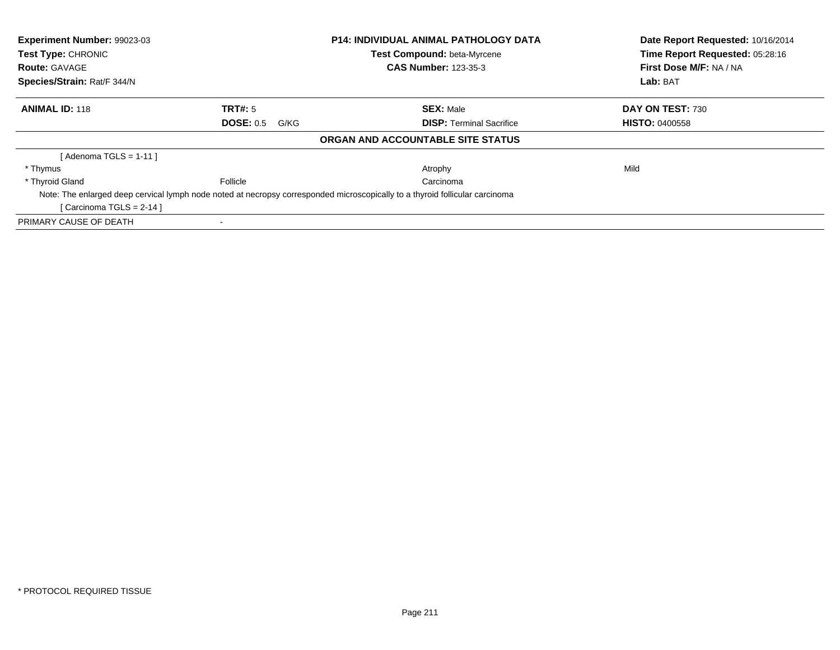| Experiment Number: 99023-03 |                          | <b>P14: INDIVIDUAL ANIMAL PATHOLOGY DATA</b>                                                                                 | Date Report Requested: 10/16/2014 |
|-----------------------------|--------------------------|------------------------------------------------------------------------------------------------------------------------------|-----------------------------------|
| <b>Test Type: CHRONIC</b>   |                          | Test Compound: beta-Myrcene                                                                                                  | Time Report Requested: 05:28:16   |
| <b>Route: GAVAGE</b>        |                          | <b>CAS Number: 123-35-3</b>                                                                                                  | First Dose M/F: NA / NA           |
| Species/Strain: Rat/F 344/N |                          |                                                                                                                              | Lab: BAT                          |
| <b>ANIMAL ID: 118</b>       | TRT#: 5                  | <b>SEX: Male</b>                                                                                                             | DAY ON TEST: 730                  |
|                             | <b>DOSE: 0.5</b><br>G/KG | <b>DISP:</b> Terminal Sacrifice                                                                                              | <b>HISTO: 0400558</b>             |
|                             |                          | ORGAN AND ACCOUNTABLE SITE STATUS                                                                                            |                                   |
| [ Adenoma TGLS = 1-11 ]     |                          |                                                                                                                              |                                   |
| * Thymus                    |                          | Atrophy                                                                                                                      | Mild                              |
| * Thyroid Gland             | Follicle                 | Carcinoma                                                                                                                    |                                   |
|                             |                          | Note: The enlarged deep cervical lymph node noted at necropsy corresponded microscopically to a thyroid follicular carcinoma |                                   |
| [Carcinoma TGLS = $2-14$ ]  |                          |                                                                                                                              |                                   |
| PRIMARY CAUSE OF DEATH      |                          |                                                                                                                              |                                   |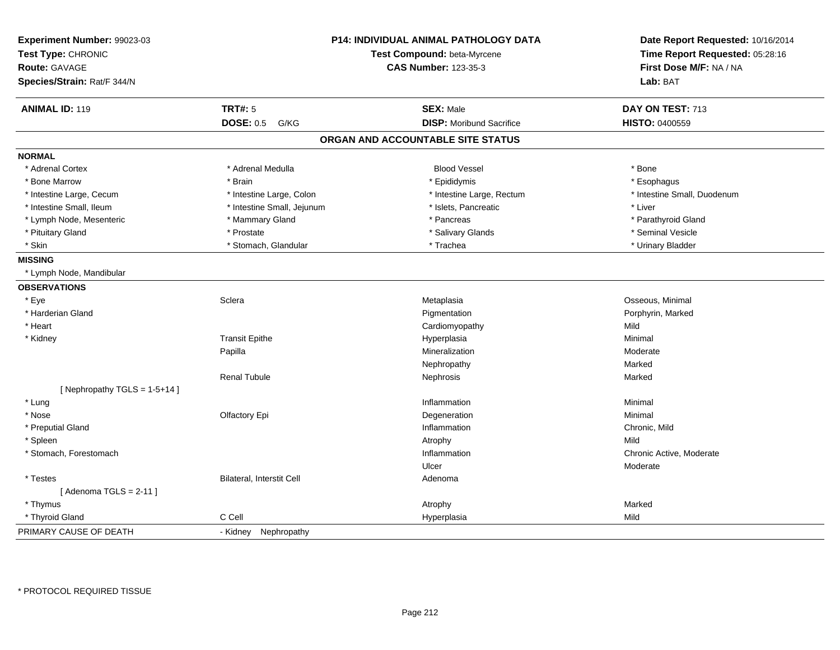| Experiment Number: 99023-03<br>Test Type: CHRONIC<br><b>Route: GAVAGE</b><br>Species/Strain: Rat/F 344/N | P14: INDIVIDUAL ANIMAL PATHOLOGY DATA<br>Test Compound: beta-Myrcene<br><b>CAS Number: 123-35-3</b> | Date Report Requested: 10/16/2014<br>Time Report Requested: 05:28:16<br>First Dose M/F: NA / NA<br>Lab: BAT |
|----------------------------------------------------------------------------------------------------------|-----------------------------------------------------------------------------------------------------|-------------------------------------------------------------------------------------------------------------|
| <b>TRT#: 5</b><br><b>ANIMAL ID: 119</b>                                                                  | <b>SEX: Male</b>                                                                                    | DAY ON TEST: 713                                                                                            |
| <b>DOSE: 0.5</b>                                                                                         | <b>DISP: Moribund Sacrifice</b><br>G/KG                                                             | <b>HISTO: 0400559</b>                                                                                       |
|                                                                                                          | ORGAN AND ACCOUNTABLE SITE STATUS                                                                   |                                                                                                             |
| <b>NORMAL</b>                                                                                            |                                                                                                     |                                                                                                             |
| * Adrenal Cortex<br>* Adrenal Medulla                                                                    | <b>Blood Vessel</b>                                                                                 | * Bone                                                                                                      |
| * Bone Marrow<br>* Brain                                                                                 | * Epididymis                                                                                        | * Esophagus                                                                                                 |
| * Intestine Large, Cecum<br>* Intestine Large, Colon                                                     | * Intestine Large, Rectum                                                                           | * Intestine Small, Duodenum                                                                                 |
| * Intestine Small, Ileum<br>* Intestine Small, Jejunum                                                   | * Islets, Pancreatic                                                                                | * Liver                                                                                                     |
| * Lymph Node, Mesenteric<br>* Mammary Gland                                                              | * Pancreas                                                                                          | * Parathyroid Gland                                                                                         |
| * Pituitary Gland<br>* Prostate                                                                          | * Salivary Glands                                                                                   | * Seminal Vesicle                                                                                           |
| * Skin<br>* Stomach, Glandular                                                                           | * Trachea                                                                                           | * Urinary Bladder                                                                                           |
| <b>MISSING</b>                                                                                           |                                                                                                     |                                                                                                             |
| * Lymph Node, Mandibular                                                                                 |                                                                                                     |                                                                                                             |
| <b>OBSERVATIONS</b>                                                                                      |                                                                                                     |                                                                                                             |
| * Eye<br>Sclera                                                                                          | Metaplasia                                                                                          | Osseous, Minimal                                                                                            |
| * Harderian Gland                                                                                        | Pigmentation                                                                                        | Porphyrin, Marked                                                                                           |
| * Heart                                                                                                  | Cardiomyopathy                                                                                      | Mild                                                                                                        |
| <b>Transit Epithe</b><br>* Kidney                                                                        | Hyperplasia                                                                                         | Minimal                                                                                                     |
| Papilla                                                                                                  | Mineralization                                                                                      | Moderate                                                                                                    |
|                                                                                                          | Nephropathy                                                                                         | Marked                                                                                                      |
| <b>Renal Tubule</b>                                                                                      | Nephrosis                                                                                           | Marked                                                                                                      |
| [Nephropathy TGLS = $1-5+14$ ]                                                                           |                                                                                                     |                                                                                                             |
| * Lung                                                                                                   | Inflammation                                                                                        | Minimal                                                                                                     |
| * Nose<br>Olfactory Epi                                                                                  | Degeneration                                                                                        | Minimal                                                                                                     |
| * Preputial Gland                                                                                        | Inflammation                                                                                        | Chronic, Mild                                                                                               |
| * Spleen                                                                                                 | Atrophy                                                                                             | Mild                                                                                                        |
| * Stomach, Forestomach                                                                                   | Inflammation                                                                                        | Chronic Active, Moderate                                                                                    |
|                                                                                                          | Ulcer                                                                                               | Moderate                                                                                                    |
| <b>Bilateral, Interstit Cell</b><br>* Testes                                                             | Adenoma                                                                                             |                                                                                                             |
| [Adenoma TGLS = $2-11$ ]                                                                                 |                                                                                                     |                                                                                                             |
| * Thymus                                                                                                 | Atrophy                                                                                             | Marked                                                                                                      |
| C Cell<br>* Thyroid Gland                                                                                | Hyperplasia                                                                                         | Mild                                                                                                        |
| PRIMARY CAUSE OF DEATH<br>- Kidney Nephropathy                                                           |                                                                                                     |                                                                                                             |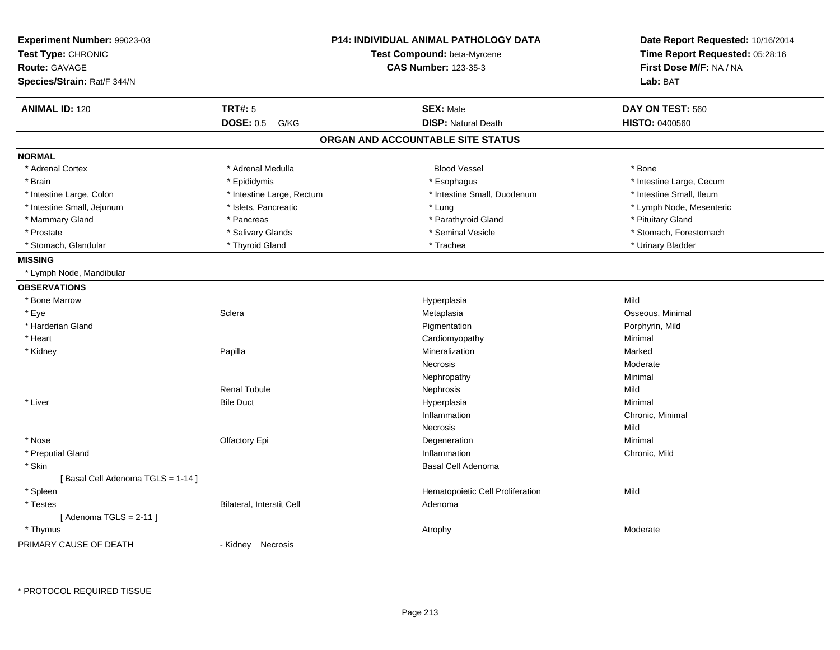| Experiment Number: 99023-03<br>Test Type: CHRONIC<br><b>Route: GAVAGE</b><br>Species/Strain: Rat/F 344/N |                           | <b>P14: INDIVIDUAL ANIMAL PATHOLOGY DATA</b><br>Test Compound: beta-Myrcene<br><b>CAS Number: 123-35-3</b> | Date Report Requested: 10/16/2014<br>Time Report Requested: 05:28:16<br>First Dose M/F: NA / NA<br>Lab: BAT |
|----------------------------------------------------------------------------------------------------------|---------------------------|------------------------------------------------------------------------------------------------------------|-------------------------------------------------------------------------------------------------------------|
| <b>ANIMAL ID: 120</b>                                                                                    | <b>TRT#: 5</b>            | <b>SEX: Male</b>                                                                                           | DAY ON TEST: 560                                                                                            |
|                                                                                                          | <b>DOSE: 0.5</b><br>G/KG  | <b>DISP: Natural Death</b>                                                                                 | <b>HISTO: 0400560</b>                                                                                       |
|                                                                                                          |                           | ORGAN AND ACCOUNTABLE SITE STATUS                                                                          |                                                                                                             |
| <b>NORMAL</b>                                                                                            |                           |                                                                                                            |                                                                                                             |
| * Adrenal Cortex                                                                                         | * Adrenal Medulla         | <b>Blood Vessel</b>                                                                                        | * Bone                                                                                                      |
| * Brain                                                                                                  | * Epididymis              | * Esophagus                                                                                                | * Intestine Large, Cecum                                                                                    |
| * Intestine Large, Colon                                                                                 | * Intestine Large, Rectum | * Intestine Small, Duodenum                                                                                | * Intestine Small, Ileum                                                                                    |
| * Intestine Small, Jejunum                                                                               | * Islets, Pancreatic      | * Lung                                                                                                     | * Lymph Node, Mesenteric                                                                                    |
| * Mammary Gland                                                                                          | * Pancreas                | * Parathyroid Gland                                                                                        | * Pituitary Gland                                                                                           |
| * Prostate                                                                                               | * Salivary Glands         | * Seminal Vesicle                                                                                          | * Stomach, Forestomach                                                                                      |
| * Stomach, Glandular                                                                                     | * Thyroid Gland           | * Trachea                                                                                                  | * Urinary Bladder                                                                                           |
| <b>MISSING</b>                                                                                           |                           |                                                                                                            |                                                                                                             |
| * Lymph Node, Mandibular                                                                                 |                           |                                                                                                            |                                                                                                             |
| <b>OBSERVATIONS</b>                                                                                      |                           |                                                                                                            |                                                                                                             |
| * Bone Marrow                                                                                            |                           | Hyperplasia                                                                                                | Mild                                                                                                        |
| * Eye                                                                                                    | Sclera                    | Metaplasia                                                                                                 | Osseous, Minimal                                                                                            |
| * Harderian Gland                                                                                        |                           | Pigmentation                                                                                               | Porphyrin, Mild                                                                                             |
| * Heart                                                                                                  |                           | Cardiomyopathy                                                                                             | Minimal                                                                                                     |
| * Kidney                                                                                                 | Papilla                   | Mineralization                                                                                             | Marked                                                                                                      |
|                                                                                                          |                           | <b>Necrosis</b>                                                                                            | Moderate                                                                                                    |
|                                                                                                          |                           | Nephropathy                                                                                                | Minimal                                                                                                     |
|                                                                                                          | <b>Renal Tubule</b>       | Nephrosis                                                                                                  | Mild                                                                                                        |
| * Liver                                                                                                  | <b>Bile Duct</b>          | Hyperplasia                                                                                                | Minimal                                                                                                     |
|                                                                                                          |                           | Inflammation                                                                                               | Chronic, Minimal                                                                                            |
|                                                                                                          |                           | Necrosis                                                                                                   | Mild                                                                                                        |
| * Nose                                                                                                   | Olfactory Epi             | Degeneration                                                                                               | Minimal                                                                                                     |
| * Preputial Gland                                                                                        |                           | Inflammation                                                                                               | Chronic, Mild                                                                                               |
| * Skin                                                                                                   |                           | Basal Cell Adenoma                                                                                         |                                                                                                             |
| [Basal Cell Adenoma TGLS = 1-14]                                                                         |                           |                                                                                                            |                                                                                                             |
| * Spleen                                                                                                 |                           | Hematopoietic Cell Proliferation                                                                           | Mild                                                                                                        |
| * Testes                                                                                                 | Bilateral, Interstit Cell | Adenoma                                                                                                    |                                                                                                             |
| [Adenoma TGLS = $2-11$ ]                                                                                 |                           |                                                                                                            |                                                                                                             |
| * Thymus                                                                                                 |                           | Atrophy                                                                                                    | Moderate                                                                                                    |
| PRIMARY CAUSE OF DEATH                                                                                   | - Kidney Necrosis         |                                                                                                            |                                                                                                             |

\* PROTOCOL REQUIRED TISSUE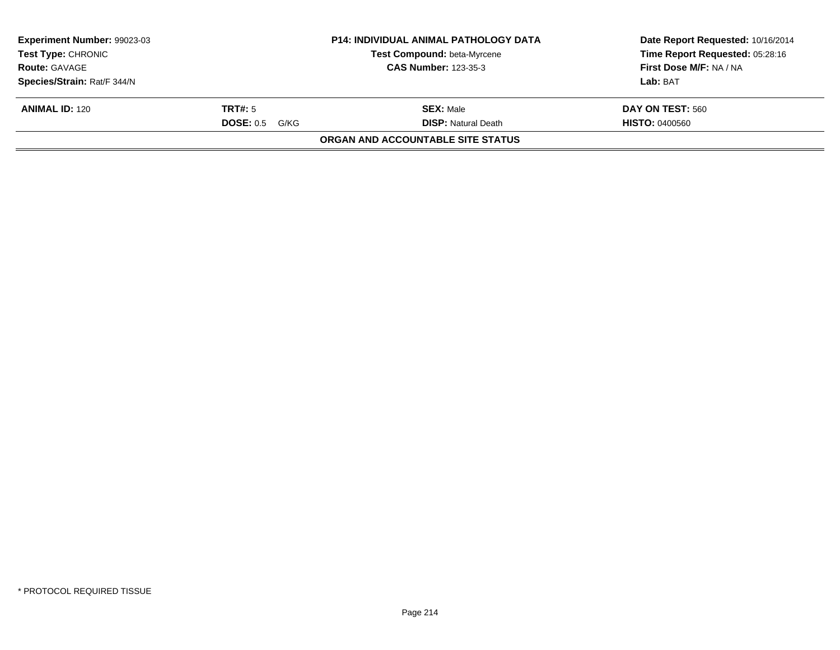| Experiment Number: 99023-03<br><b>Test Type: CHRONIC</b> |                  | <b>P14: INDIVIDUAL ANIMAL PATHOLOGY DATA</b><br><b>Test Compound: beta-Myrcene</b> | Date Report Requested: 10/16/2014<br>Time Report Requested: 05:28:16 |
|----------------------------------------------------------|------------------|------------------------------------------------------------------------------------|----------------------------------------------------------------------|
| <b>Route: GAVAGE</b>                                     |                  | <b>CAS Number: 123-35-3</b>                                                        | First Dose M/F: NA / NA                                              |
| Species/Strain: Rat/F 344/N                              |                  |                                                                                    | Lab: BAT                                                             |
| <b>ANIMAL ID: 120</b>                                    | TRT#: 5          | <b>SEX: Male</b>                                                                   | DAY ON TEST: 560                                                     |
|                                                          | $DOSE: 0.5$ G/KG | <b>DISP:</b> Natural Death                                                         | <b>HISTO: 0400560</b>                                                |
|                                                          |                  | <b>ORGAN AND ACCOUNTABLE SITE STATUS</b>                                           |                                                                      |
|                                                          |                  |                                                                                    |                                                                      |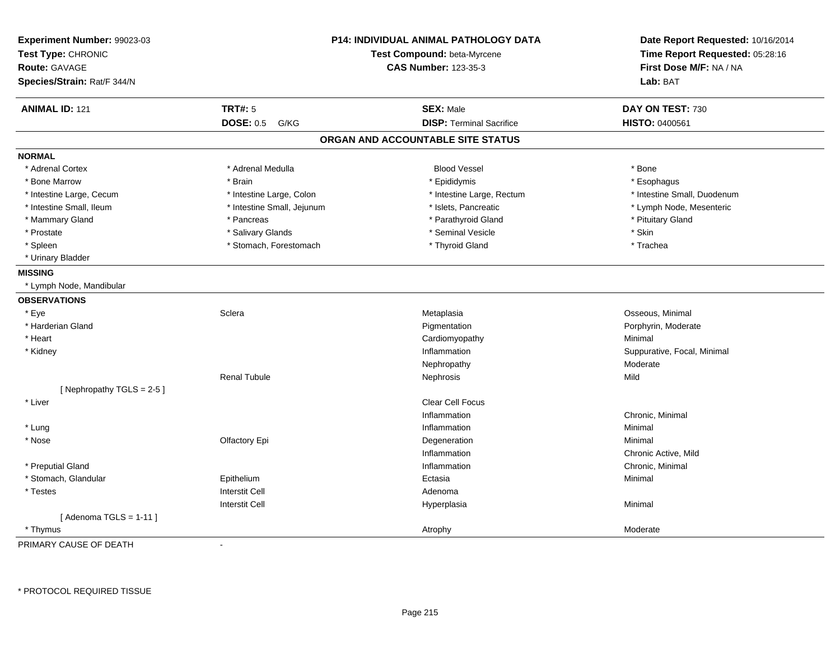| Experiment Number: 99023-03<br>Test Type: CHRONIC |                            | <b>P14: INDIVIDUAL ANIMAL PATHOLOGY DATA</b><br>Test Compound: beta-Myrcene | Date Report Requested: 10/16/2014<br>Time Report Requested: 05:28:16 |
|---------------------------------------------------|----------------------------|-----------------------------------------------------------------------------|----------------------------------------------------------------------|
| <b>Route: GAVAGE</b>                              |                            | <b>CAS Number: 123-35-3</b>                                                 | First Dose M/F: NA / NA                                              |
| Species/Strain: Rat/F 344/N                       |                            |                                                                             | Lab: BAT                                                             |
| <b>ANIMAL ID: 121</b>                             | <b>TRT#: 5</b>             | <b>SEX: Male</b>                                                            | DAY ON TEST: 730                                                     |
|                                                   | <b>DOSE: 0.5</b><br>G/KG   | <b>DISP: Terminal Sacrifice</b>                                             | HISTO: 0400561                                                       |
|                                                   |                            | ORGAN AND ACCOUNTABLE SITE STATUS                                           |                                                                      |
| <b>NORMAL</b>                                     |                            |                                                                             |                                                                      |
| * Adrenal Cortex                                  | * Adrenal Medulla          | <b>Blood Vessel</b>                                                         | * Bone                                                               |
| * Bone Marrow                                     | * Brain                    | * Epididymis                                                                | * Esophagus                                                          |
| * Intestine Large, Cecum                          | * Intestine Large, Colon   | * Intestine Large, Rectum                                                   | * Intestine Small, Duodenum                                          |
| * Intestine Small, Ileum                          | * Intestine Small, Jejunum | * Islets, Pancreatic                                                        | * Lymph Node, Mesenteric                                             |
| * Mammary Gland                                   | * Pancreas                 | * Parathyroid Gland                                                         | * Pituitary Gland                                                    |
| * Prostate                                        | * Salivary Glands          | * Seminal Vesicle                                                           | * Skin                                                               |
| * Spleen                                          | * Stomach, Forestomach     | * Thyroid Gland                                                             | * Trachea                                                            |
| * Urinary Bladder                                 |                            |                                                                             |                                                                      |
| <b>MISSING</b>                                    |                            |                                                                             |                                                                      |
| * Lymph Node, Mandibular                          |                            |                                                                             |                                                                      |
| <b>OBSERVATIONS</b>                               |                            |                                                                             |                                                                      |
| * Eye                                             | Sclera                     | Metaplasia                                                                  | Osseous, Minimal                                                     |
| * Harderian Gland                                 |                            | Pigmentation                                                                | Porphyrin, Moderate                                                  |
| * Heart                                           |                            | Cardiomyopathy                                                              | Minimal                                                              |
| * Kidney                                          |                            | Inflammation                                                                | Suppurative, Focal, Minimal                                          |
|                                                   |                            | Nephropathy                                                                 | Moderate                                                             |
|                                                   | <b>Renal Tubule</b>        | Nephrosis                                                                   | Mild                                                                 |
| [Nephropathy TGLS = 2-5]                          |                            |                                                                             |                                                                      |
| * Liver                                           |                            | Clear Cell Focus                                                            |                                                                      |
|                                                   |                            | Inflammation                                                                | Chronic, Minimal                                                     |
| * Lung                                            |                            | Inflammation                                                                | Minimal                                                              |
| * Nose                                            | Olfactory Epi              | Degeneration                                                                | Minimal                                                              |
|                                                   |                            | Inflammation                                                                | Chronic Active, Mild                                                 |
| * Preputial Gland                                 |                            | Inflammation                                                                | Chronic, Minimal                                                     |
| * Stomach, Glandular                              | Epithelium                 | Ectasia                                                                     | Minimal                                                              |
| * Testes                                          | <b>Interstit Cell</b>      | Adenoma                                                                     |                                                                      |
|                                                   | <b>Interstit Cell</b>      | Hyperplasia                                                                 | Minimal                                                              |
| [Adenoma TGLS = $1-11$ ]                          |                            |                                                                             |                                                                      |
| * Thymus                                          |                            | Atrophy                                                                     | Moderate                                                             |

PRIMARY CAUSE OF DEATH-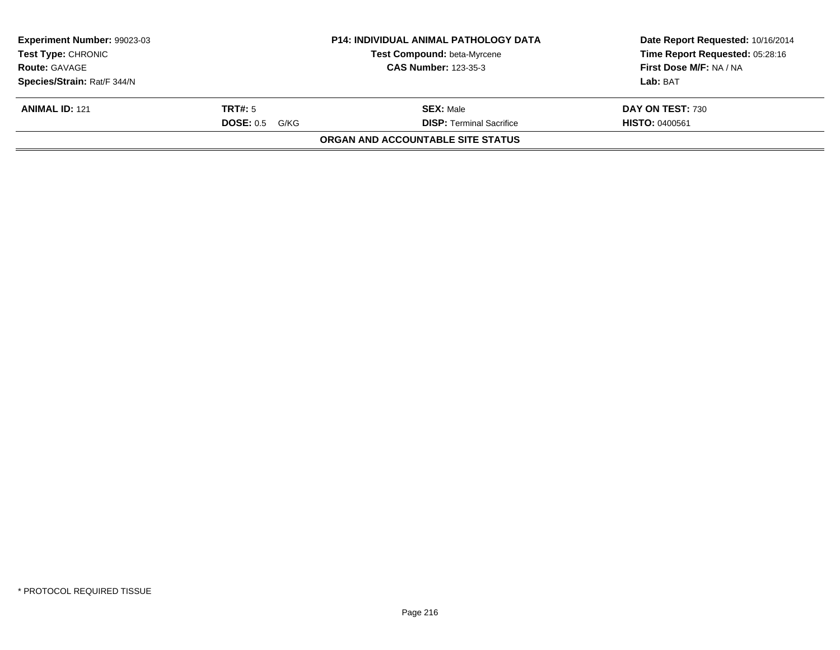| Experiment Number: 99023-03<br><b>Test Type: CHRONIC</b> |                   | <b>P14: INDIVIDUAL ANIMAL PATHOLOGY DATA</b><br><b>Test Compound: beta-Myrcene</b> | Date Report Requested: 10/16/2014<br>Time Report Requested: 05:28:16 |
|----------------------------------------------------------|-------------------|------------------------------------------------------------------------------------|----------------------------------------------------------------------|
| <b>Route: GAVAGE</b>                                     |                   | <b>CAS Number: 123-35-3</b>                                                        | First Dose M/F: NA / NA                                              |
| Species/Strain: Rat/F 344/N                              |                   |                                                                                    | Lab: BAT                                                             |
| <b>ANIMAL ID: 121</b>                                    | TRT#: 5           | <b>SEX: Male</b>                                                                   | DAY ON TEST: 730                                                     |
|                                                          | DOSE: 0.5<br>G/KG | <b>DISP: Terminal Sacrifice</b>                                                    | <b>HISTO: 0400561</b>                                                |
|                                                          |                   | <b>ORGAN AND ACCOUNTABLE SITE STATUS</b>                                           |                                                                      |
|                                                          |                   |                                                                                    |                                                                      |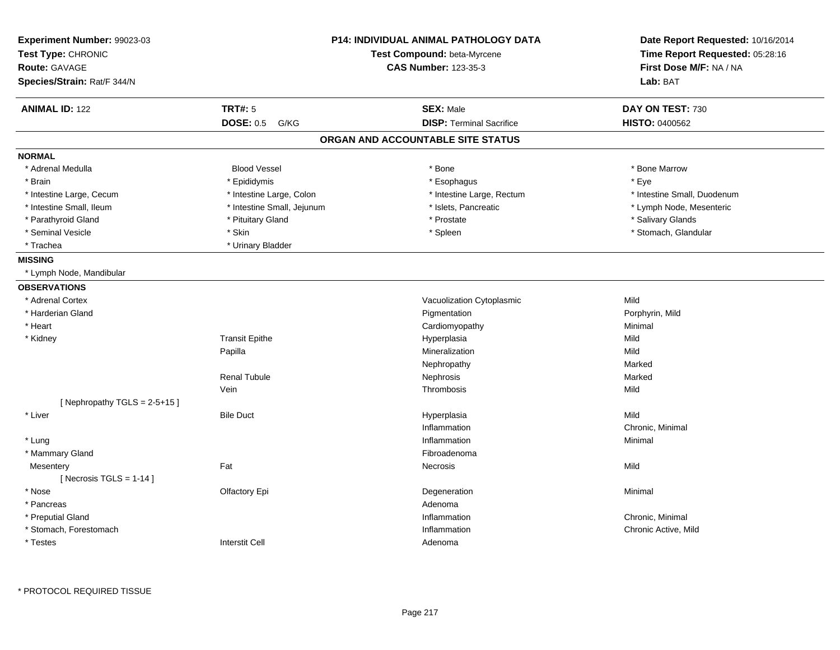| <b>ANIMAL ID: 122</b><br><b>TRT#: 5</b><br><b>SEX: Male</b><br>DAY ON TEST: 730<br><b>DISP: Terminal Sacrifice</b><br><b>DOSE: 0.5</b><br><b>HISTO: 0400562</b><br>G/KG<br>ORGAN AND ACCOUNTABLE SITE STATUS<br><b>NORMAL</b><br>* Adrenal Medulla<br><b>Blood Vessel</b><br>* Bone Marrow<br>* Bone<br>* Epididymis<br>* Esophagus<br>* Eye<br>* Brain<br>* Intestine Large, Cecum<br>* Intestine Large, Colon<br>* Intestine Large, Rectum<br>* Intestine Small, Duodenum<br>* Intestine Small, Ileum<br>* Intestine Small, Jejunum<br>* Islets, Pancreatic<br>* Lymph Node, Mesenteric<br>* Prostate<br>* Salivary Glands<br>* Parathyroid Gland<br>* Pituitary Gland<br>* Seminal Vesicle<br>* Skin<br>* Spleen<br>* Stomach, Glandular<br>* Trachea<br>* Urinary Bladder<br><b>MISSING</b><br>* Lymph Node, Mandibular<br><b>OBSERVATIONS</b><br>Vacuolization Cytoplasmic<br>Mild<br>* Adrenal Cortex<br>* Harderian Gland<br>Pigmentation<br>Porphyrin, Mild<br>* Heart<br>Cardiomyopathy<br>Minimal<br><b>Transit Epithe</b><br>Hyperplasia<br>Mild<br>* Kidney<br>Mineralization<br>Mild<br>Papilla<br>Marked<br>Nephropathy<br><b>Renal Tubule</b><br>Nephrosis<br>Marked<br>Vein<br>Thrombosis<br>Mild<br>[Nephropathy TGLS = $2-5+15$ ]<br>* Liver<br><b>Bile Duct</b><br>Hyperplasia<br>Mild<br>Chronic, Minimal<br>Inflammation<br>Inflammation<br>Minimal<br>* Lung<br>* Mammary Gland<br>Fibroadenoma<br>Fat<br>Necrosis<br>Mild<br>Mesentery<br>[ Necrosis $TGLS = 1-14$ ]<br>* Nose<br>Olfactory Epi<br>Degeneration<br>Minimal<br>* Pancreas<br>Adenoma<br>* Preputial Gland<br>Inflammation<br>Chronic, Minimal<br>* Stomach, Forestomach<br>Inflammation<br>Chronic Active, Mild<br><b>Interstit Cell</b><br>* Testes<br>Adenoma | Experiment Number: 99023-03<br>Test Type: CHRONIC<br><b>Route: GAVAGE</b> | P14: INDIVIDUAL ANIMAL PATHOLOGY DATA<br>Test Compound: beta-Myrcene<br><b>CAS Number: 123-35-3</b> | Date Report Requested: 10/16/2014<br>Time Report Requested: 05:28:16<br>First Dose M/F: NA / NA |
|-------------------------------------------------------------------------------------------------------------------------------------------------------------------------------------------------------------------------------------------------------------------------------------------------------------------------------------------------------------------------------------------------------------------------------------------------------------------------------------------------------------------------------------------------------------------------------------------------------------------------------------------------------------------------------------------------------------------------------------------------------------------------------------------------------------------------------------------------------------------------------------------------------------------------------------------------------------------------------------------------------------------------------------------------------------------------------------------------------------------------------------------------------------------------------------------------------------------------------------------------------------------------------------------------------------------------------------------------------------------------------------------------------------------------------------------------------------------------------------------------------------------------------------------------------------------------------------------------------------------------------------------------------------------------------------------------------------------------------------------------------|---------------------------------------------------------------------------|-----------------------------------------------------------------------------------------------------|-------------------------------------------------------------------------------------------------|
|                                                                                                                                                                                                                                                                                                                                                                                                                                                                                                                                                                                                                                                                                                                                                                                                                                                                                                                                                                                                                                                                                                                                                                                                                                                                                                                                                                                                                                                                                                                                                                                                                                                                                                                                                       | Species/Strain: Rat/F 344/N                                               |                                                                                                     | Lab: BAT                                                                                        |
|                                                                                                                                                                                                                                                                                                                                                                                                                                                                                                                                                                                                                                                                                                                                                                                                                                                                                                                                                                                                                                                                                                                                                                                                                                                                                                                                                                                                                                                                                                                                                                                                                                                                                                                                                       |                                                                           |                                                                                                     |                                                                                                 |
|                                                                                                                                                                                                                                                                                                                                                                                                                                                                                                                                                                                                                                                                                                                                                                                                                                                                                                                                                                                                                                                                                                                                                                                                                                                                                                                                                                                                                                                                                                                                                                                                                                                                                                                                                       |                                                                           |                                                                                                     |                                                                                                 |
|                                                                                                                                                                                                                                                                                                                                                                                                                                                                                                                                                                                                                                                                                                                                                                                                                                                                                                                                                                                                                                                                                                                                                                                                                                                                                                                                                                                                                                                                                                                                                                                                                                                                                                                                                       |                                                                           |                                                                                                     |                                                                                                 |
|                                                                                                                                                                                                                                                                                                                                                                                                                                                                                                                                                                                                                                                                                                                                                                                                                                                                                                                                                                                                                                                                                                                                                                                                                                                                                                                                                                                                                                                                                                                                                                                                                                                                                                                                                       |                                                                           |                                                                                                     |                                                                                                 |
|                                                                                                                                                                                                                                                                                                                                                                                                                                                                                                                                                                                                                                                                                                                                                                                                                                                                                                                                                                                                                                                                                                                                                                                                                                                                                                                                                                                                                                                                                                                                                                                                                                                                                                                                                       |                                                                           |                                                                                                     |                                                                                                 |
|                                                                                                                                                                                                                                                                                                                                                                                                                                                                                                                                                                                                                                                                                                                                                                                                                                                                                                                                                                                                                                                                                                                                                                                                                                                                                                                                                                                                                                                                                                                                                                                                                                                                                                                                                       |                                                                           |                                                                                                     |                                                                                                 |
|                                                                                                                                                                                                                                                                                                                                                                                                                                                                                                                                                                                                                                                                                                                                                                                                                                                                                                                                                                                                                                                                                                                                                                                                                                                                                                                                                                                                                                                                                                                                                                                                                                                                                                                                                       |                                                                           |                                                                                                     |                                                                                                 |
|                                                                                                                                                                                                                                                                                                                                                                                                                                                                                                                                                                                                                                                                                                                                                                                                                                                                                                                                                                                                                                                                                                                                                                                                                                                                                                                                                                                                                                                                                                                                                                                                                                                                                                                                                       |                                                                           |                                                                                                     |                                                                                                 |
|                                                                                                                                                                                                                                                                                                                                                                                                                                                                                                                                                                                                                                                                                                                                                                                                                                                                                                                                                                                                                                                                                                                                                                                                                                                                                                                                                                                                                                                                                                                                                                                                                                                                                                                                                       |                                                                           |                                                                                                     |                                                                                                 |
|                                                                                                                                                                                                                                                                                                                                                                                                                                                                                                                                                                                                                                                                                                                                                                                                                                                                                                                                                                                                                                                                                                                                                                                                                                                                                                                                                                                                                                                                                                                                                                                                                                                                                                                                                       |                                                                           |                                                                                                     |                                                                                                 |
|                                                                                                                                                                                                                                                                                                                                                                                                                                                                                                                                                                                                                                                                                                                                                                                                                                                                                                                                                                                                                                                                                                                                                                                                                                                                                                                                                                                                                                                                                                                                                                                                                                                                                                                                                       |                                                                           |                                                                                                     |                                                                                                 |
|                                                                                                                                                                                                                                                                                                                                                                                                                                                                                                                                                                                                                                                                                                                                                                                                                                                                                                                                                                                                                                                                                                                                                                                                                                                                                                                                                                                                                                                                                                                                                                                                                                                                                                                                                       |                                                                           |                                                                                                     |                                                                                                 |
|                                                                                                                                                                                                                                                                                                                                                                                                                                                                                                                                                                                                                                                                                                                                                                                                                                                                                                                                                                                                                                                                                                                                                                                                                                                                                                                                                                                                                                                                                                                                                                                                                                                                                                                                                       |                                                                           |                                                                                                     |                                                                                                 |
|                                                                                                                                                                                                                                                                                                                                                                                                                                                                                                                                                                                                                                                                                                                                                                                                                                                                                                                                                                                                                                                                                                                                                                                                                                                                                                                                                                                                                                                                                                                                                                                                                                                                                                                                                       |                                                                           |                                                                                                     |                                                                                                 |
|                                                                                                                                                                                                                                                                                                                                                                                                                                                                                                                                                                                                                                                                                                                                                                                                                                                                                                                                                                                                                                                                                                                                                                                                                                                                                                                                                                                                                                                                                                                                                                                                                                                                                                                                                       |                                                                           |                                                                                                     |                                                                                                 |
|                                                                                                                                                                                                                                                                                                                                                                                                                                                                                                                                                                                                                                                                                                                                                                                                                                                                                                                                                                                                                                                                                                                                                                                                                                                                                                                                                                                                                                                                                                                                                                                                                                                                                                                                                       |                                                                           |                                                                                                     |                                                                                                 |
|                                                                                                                                                                                                                                                                                                                                                                                                                                                                                                                                                                                                                                                                                                                                                                                                                                                                                                                                                                                                                                                                                                                                                                                                                                                                                                                                                                                                                                                                                                                                                                                                                                                                                                                                                       |                                                                           |                                                                                                     |                                                                                                 |
|                                                                                                                                                                                                                                                                                                                                                                                                                                                                                                                                                                                                                                                                                                                                                                                                                                                                                                                                                                                                                                                                                                                                                                                                                                                                                                                                                                                                                                                                                                                                                                                                                                                                                                                                                       |                                                                           |                                                                                                     |                                                                                                 |
|                                                                                                                                                                                                                                                                                                                                                                                                                                                                                                                                                                                                                                                                                                                                                                                                                                                                                                                                                                                                                                                                                                                                                                                                                                                                                                                                                                                                                                                                                                                                                                                                                                                                                                                                                       |                                                                           |                                                                                                     |                                                                                                 |
|                                                                                                                                                                                                                                                                                                                                                                                                                                                                                                                                                                                                                                                                                                                                                                                                                                                                                                                                                                                                                                                                                                                                                                                                                                                                                                                                                                                                                                                                                                                                                                                                                                                                                                                                                       |                                                                           |                                                                                                     |                                                                                                 |
|                                                                                                                                                                                                                                                                                                                                                                                                                                                                                                                                                                                                                                                                                                                                                                                                                                                                                                                                                                                                                                                                                                                                                                                                                                                                                                                                                                                                                                                                                                                                                                                                                                                                                                                                                       |                                                                           |                                                                                                     |                                                                                                 |
|                                                                                                                                                                                                                                                                                                                                                                                                                                                                                                                                                                                                                                                                                                                                                                                                                                                                                                                                                                                                                                                                                                                                                                                                                                                                                                                                                                                                                                                                                                                                                                                                                                                                                                                                                       |                                                                           |                                                                                                     |                                                                                                 |
|                                                                                                                                                                                                                                                                                                                                                                                                                                                                                                                                                                                                                                                                                                                                                                                                                                                                                                                                                                                                                                                                                                                                                                                                                                                                                                                                                                                                                                                                                                                                                                                                                                                                                                                                                       |                                                                           |                                                                                                     |                                                                                                 |
|                                                                                                                                                                                                                                                                                                                                                                                                                                                                                                                                                                                                                                                                                                                                                                                                                                                                                                                                                                                                                                                                                                                                                                                                                                                                                                                                                                                                                                                                                                                                                                                                                                                                                                                                                       |                                                                           |                                                                                                     |                                                                                                 |
|                                                                                                                                                                                                                                                                                                                                                                                                                                                                                                                                                                                                                                                                                                                                                                                                                                                                                                                                                                                                                                                                                                                                                                                                                                                                                                                                                                                                                                                                                                                                                                                                                                                                                                                                                       |                                                                           |                                                                                                     |                                                                                                 |
|                                                                                                                                                                                                                                                                                                                                                                                                                                                                                                                                                                                                                                                                                                                                                                                                                                                                                                                                                                                                                                                                                                                                                                                                                                                                                                                                                                                                                                                                                                                                                                                                                                                                                                                                                       |                                                                           |                                                                                                     |                                                                                                 |
|                                                                                                                                                                                                                                                                                                                                                                                                                                                                                                                                                                                                                                                                                                                                                                                                                                                                                                                                                                                                                                                                                                                                                                                                                                                                                                                                                                                                                                                                                                                                                                                                                                                                                                                                                       |                                                                           |                                                                                                     |                                                                                                 |
|                                                                                                                                                                                                                                                                                                                                                                                                                                                                                                                                                                                                                                                                                                                                                                                                                                                                                                                                                                                                                                                                                                                                                                                                                                                                                                                                                                                                                                                                                                                                                                                                                                                                                                                                                       |                                                                           |                                                                                                     |                                                                                                 |
|                                                                                                                                                                                                                                                                                                                                                                                                                                                                                                                                                                                                                                                                                                                                                                                                                                                                                                                                                                                                                                                                                                                                                                                                                                                                                                                                                                                                                                                                                                                                                                                                                                                                                                                                                       |                                                                           |                                                                                                     |                                                                                                 |
|                                                                                                                                                                                                                                                                                                                                                                                                                                                                                                                                                                                                                                                                                                                                                                                                                                                                                                                                                                                                                                                                                                                                                                                                                                                                                                                                                                                                                                                                                                                                                                                                                                                                                                                                                       |                                                                           |                                                                                                     |                                                                                                 |
|                                                                                                                                                                                                                                                                                                                                                                                                                                                                                                                                                                                                                                                                                                                                                                                                                                                                                                                                                                                                                                                                                                                                                                                                                                                                                                                                                                                                                                                                                                                                                                                                                                                                                                                                                       |                                                                           |                                                                                                     |                                                                                                 |
|                                                                                                                                                                                                                                                                                                                                                                                                                                                                                                                                                                                                                                                                                                                                                                                                                                                                                                                                                                                                                                                                                                                                                                                                                                                                                                                                                                                                                                                                                                                                                                                                                                                                                                                                                       |                                                                           |                                                                                                     |                                                                                                 |
|                                                                                                                                                                                                                                                                                                                                                                                                                                                                                                                                                                                                                                                                                                                                                                                                                                                                                                                                                                                                                                                                                                                                                                                                                                                                                                                                                                                                                                                                                                                                                                                                                                                                                                                                                       |                                                                           |                                                                                                     |                                                                                                 |
|                                                                                                                                                                                                                                                                                                                                                                                                                                                                                                                                                                                                                                                                                                                                                                                                                                                                                                                                                                                                                                                                                                                                                                                                                                                                                                                                                                                                                                                                                                                                                                                                                                                                                                                                                       |                                                                           |                                                                                                     |                                                                                                 |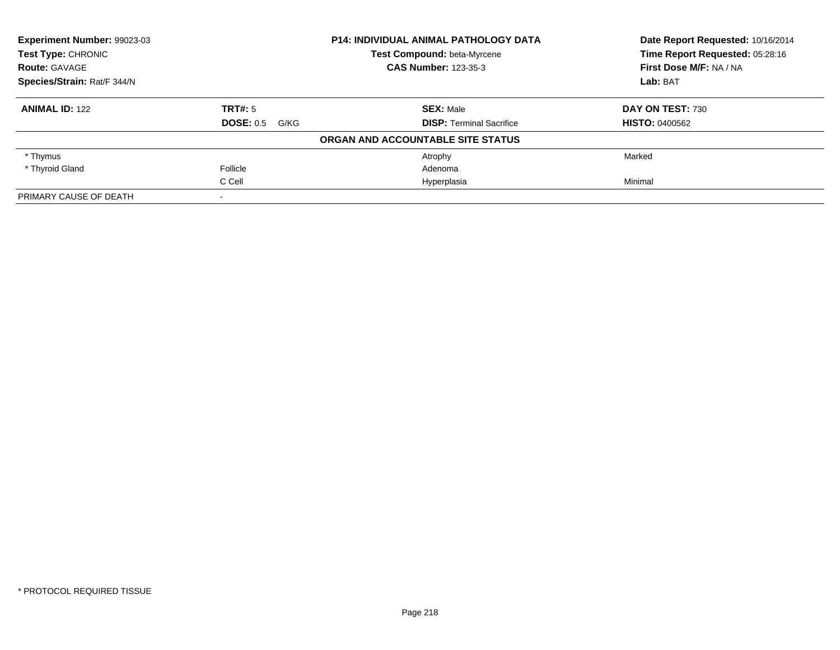| <b>Experiment Number: 99023-03</b><br><b>Test Type: CHRONIC</b> |                          | <b>P14: INDIVIDUAL ANIMAL PATHOLOGY DATA</b> | Date Report Requested: 10/16/2014 |
|-----------------------------------------------------------------|--------------------------|----------------------------------------------|-----------------------------------|
|                                                                 |                          | Test Compound: beta-Myrcene                  | Time Report Requested: 05:28:16   |
| <b>Route: GAVAGE</b>                                            |                          | <b>CAS Number: 123-35-3</b>                  | First Dose M/F: NA / NA           |
| Species/Strain: Rat/F 344/N                                     |                          |                                              | Lab: BAT                          |
| <b>ANIMAL ID: 122</b>                                           | <b>TRT#: 5</b>           | <b>SEX: Male</b>                             | DAY ON TEST: 730                  |
|                                                                 | <b>DOSE: 0.5</b><br>G/KG | <b>DISP:</b> Terminal Sacrifice              | <b>HISTO: 0400562</b>             |
|                                                                 |                          | ORGAN AND ACCOUNTABLE SITE STATUS            |                                   |
| * Thymus                                                        |                          | Atrophy                                      | Marked                            |
| * Thyroid Gland                                                 | Follicle                 | Adenoma                                      |                                   |
|                                                                 | C Cell                   | Hyperplasia                                  | Minimal                           |
| PRIMARY CAUSE OF DEATH                                          |                          |                                              |                                   |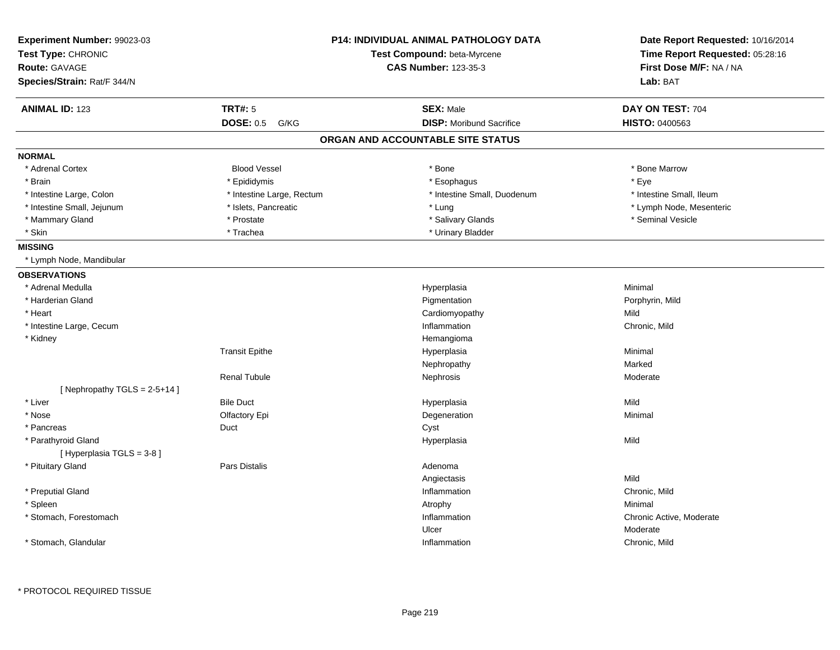| Experiment Number: 99023-03<br>Test Type: CHRONIC<br><b>Route: GAVAGE</b><br>Species/Strain: Rat/F 344/N |                           | P14: INDIVIDUAL ANIMAL PATHOLOGY DATA<br>Test Compound: beta-Myrcene<br><b>CAS Number: 123-35-3</b> | Date Report Requested: 10/16/2014<br>Time Report Requested: 05:28:16<br>First Dose M/F: NA / NA<br>Lab: BAT |
|----------------------------------------------------------------------------------------------------------|---------------------------|-----------------------------------------------------------------------------------------------------|-------------------------------------------------------------------------------------------------------------|
| <b>ANIMAL ID: 123</b>                                                                                    | <b>TRT#: 5</b>            | <b>SEX: Male</b>                                                                                    | DAY ON TEST: 704                                                                                            |
|                                                                                                          | <b>DOSE: 0.5</b><br>G/KG  | <b>DISP:</b> Moribund Sacrifice                                                                     | <b>HISTO: 0400563</b>                                                                                       |
|                                                                                                          |                           | ORGAN AND ACCOUNTABLE SITE STATUS                                                                   |                                                                                                             |
| <b>NORMAL</b>                                                                                            |                           |                                                                                                     |                                                                                                             |
| * Adrenal Cortex                                                                                         | <b>Blood Vessel</b>       | * Bone                                                                                              | * Bone Marrow                                                                                               |
| * Brain                                                                                                  | * Epididymis              | * Esophagus                                                                                         | * Eye                                                                                                       |
| * Intestine Large, Colon                                                                                 | * Intestine Large, Rectum | * Intestine Small, Duodenum                                                                         | * Intestine Small, Ileum                                                                                    |
| * Intestine Small, Jejunum                                                                               | * Islets, Pancreatic      | * Lung                                                                                              | * Lymph Node, Mesenteric                                                                                    |
| * Mammary Gland                                                                                          | * Prostate                | * Salivary Glands                                                                                   | * Seminal Vesicle                                                                                           |
| * Skin                                                                                                   | * Trachea                 | * Urinary Bladder                                                                                   |                                                                                                             |
| <b>MISSING</b>                                                                                           |                           |                                                                                                     |                                                                                                             |
| * Lymph Node, Mandibular                                                                                 |                           |                                                                                                     |                                                                                                             |
| <b>OBSERVATIONS</b>                                                                                      |                           |                                                                                                     |                                                                                                             |
| * Adrenal Medulla                                                                                        |                           | Hyperplasia                                                                                         | Minimal                                                                                                     |
| * Harderian Gland                                                                                        |                           | Pigmentation                                                                                        | Porphyrin, Mild                                                                                             |
| * Heart                                                                                                  |                           | Cardiomyopathy                                                                                      | Mild                                                                                                        |
| * Intestine Large, Cecum                                                                                 |                           | Inflammation                                                                                        | Chronic, Mild                                                                                               |
| * Kidney                                                                                                 |                           | Hemangioma                                                                                          |                                                                                                             |
|                                                                                                          | <b>Transit Epithe</b>     | Hyperplasia                                                                                         | Minimal                                                                                                     |
|                                                                                                          |                           | Nephropathy                                                                                         | Marked                                                                                                      |
|                                                                                                          | Renal Tubule              | Nephrosis                                                                                           | Moderate                                                                                                    |
| [Nephropathy TGLS = $2-5+14$ ]                                                                           |                           |                                                                                                     |                                                                                                             |
| * Liver                                                                                                  | <b>Bile Duct</b>          | Hyperplasia                                                                                         | Mild                                                                                                        |
| * Nose                                                                                                   | Olfactory Epi             | Degeneration                                                                                        | Minimal                                                                                                     |
| * Pancreas                                                                                               | Duct                      | Cyst                                                                                                |                                                                                                             |
| * Parathyroid Gland                                                                                      |                           | Hyperplasia                                                                                         | Mild                                                                                                        |
| [ Hyperplasia TGLS = 3-8 ]                                                                               |                           |                                                                                                     |                                                                                                             |
| * Pituitary Gland                                                                                        | <b>Pars Distalis</b>      | Adenoma                                                                                             |                                                                                                             |
|                                                                                                          |                           | Angiectasis                                                                                         | Mild                                                                                                        |
| * Preputial Gland                                                                                        |                           | Inflammation                                                                                        | Chronic, Mild                                                                                               |
| * Spleen                                                                                                 |                           | Atrophy                                                                                             | Minimal                                                                                                     |
| * Stomach, Forestomach                                                                                   |                           | Inflammation                                                                                        | Chronic Active, Moderate                                                                                    |
|                                                                                                          |                           | Ulcer                                                                                               | Moderate                                                                                                    |
| * Stomach, Glandular                                                                                     |                           | Inflammation                                                                                        | Chronic, Mild                                                                                               |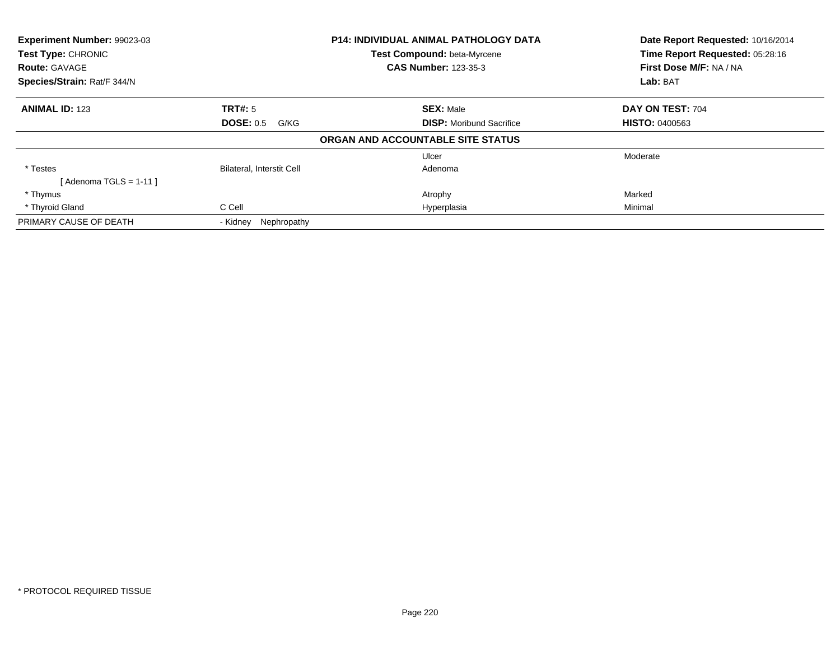| Experiment Number: 99023-03<br>Test Type: CHRONIC |                           | <b>P14: INDIVIDUAL ANIMAL PATHOLOGY DATA</b><br>Test Compound: beta-Myrcene | Date Report Requested: 10/16/2014<br>Time Report Requested: 05:28:16 |
|---------------------------------------------------|---------------------------|-----------------------------------------------------------------------------|----------------------------------------------------------------------|
| <b>Route: GAVAGE</b>                              |                           | <b>CAS Number: 123-35-3</b>                                                 | First Dose M/F: NA / NA                                              |
| Species/Strain: Rat/F 344/N                       |                           |                                                                             | Lab: BAT                                                             |
| <b>ANIMAL ID: 123</b>                             | <b>TRT#: 5</b>            | <b>SEX: Male</b>                                                            | DAY ON TEST: 704                                                     |
|                                                   | <b>DOSE: 0.5 G/KG</b>     | <b>DISP:</b> Moribund Sacrifice                                             | <b>HISTO: 0400563</b>                                                |
|                                                   |                           | ORGAN AND ACCOUNTABLE SITE STATUS                                           |                                                                      |
|                                                   |                           | Ulcer                                                                       | Moderate                                                             |
| * Testes                                          | Bilateral, Interstit Cell | Adenoma                                                                     |                                                                      |
| [ Adenoma TGLS = 1-11 ]                           |                           |                                                                             |                                                                      |
| * Thymus                                          |                           | Atrophy                                                                     | Marked                                                               |
| * Thyroid Gland                                   | C Cell                    | Hyperplasia                                                                 | Minimal                                                              |
| PRIMARY CAUSE OF DEATH                            | Nephropathy<br>- Kidney   |                                                                             |                                                                      |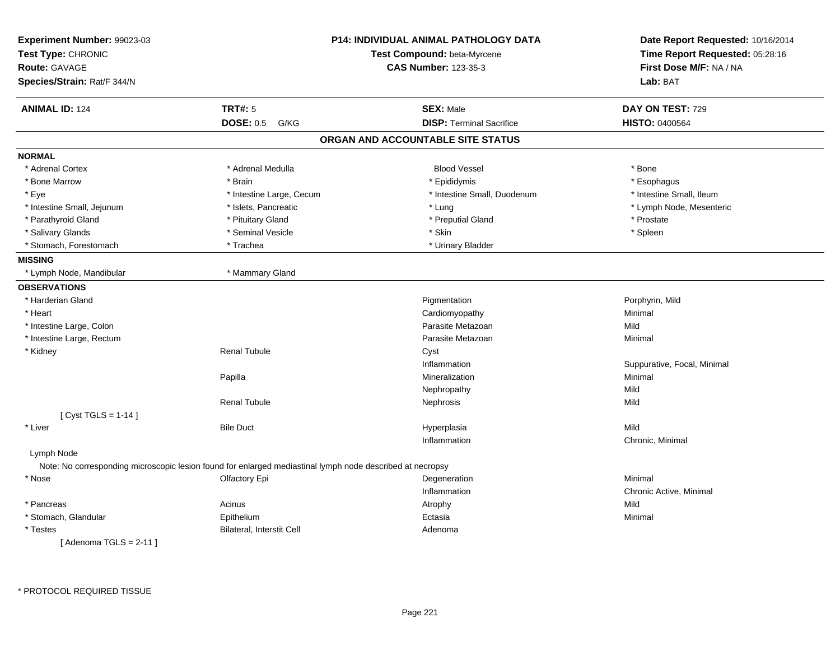| <b>ANIMAL ID: 124</b><br><b>TRT#: 5</b><br><b>SEX: Male</b><br>DAY ON TEST: 729<br><b>DOSE: 0.5 G/KG</b><br><b>DISP: Terminal Sacrifice</b><br>HISTO: 0400564<br>ORGAN AND ACCOUNTABLE SITE STATUS<br><b>Blood Vessel</b><br>* Adrenal Cortex<br>* Adrenal Medulla<br>* Bone<br>* Bone Marrow<br>* Brain<br>* Epididymis<br>* Esophagus<br>* Intestine Small, Ileum<br>* Eye<br>* Intestine Large, Cecum<br>* Intestine Small, Duodenum<br>* Intestine Small, Jejunum<br>* Islets, Pancreatic<br>* Lymph Node, Mesenteric<br>* Lung<br>* Parathyroid Gland<br>* Pituitary Gland<br>* Prostate<br>* Preputial Gland<br>* Seminal Vesicle<br>* Skin<br>* Spleen<br>* Salivary Glands<br>* Stomach, Forestomach<br>* Trachea<br>* Urinary Bladder<br>* Lymph Node, Mandibular<br>* Mammary Gland<br>* Harderian Gland<br>Pigmentation<br>Porphyrin, Mild<br>* Heart<br>Cardiomyopathy<br>Minimal<br>Mild<br>* Intestine Large, Colon<br>Parasite Metazoan<br>* Intestine Large, Rectum<br>Parasite Metazoan<br>Minimal<br><b>Renal Tubule</b><br>* Kidney<br>Cyst<br>Inflammation<br>Suppurative, Focal, Minimal<br>Papilla<br>Mineralization<br>Minimal<br>Mild<br>Nephropathy<br><b>Renal Tubule</b><br>Nephrosis<br>Mild<br>[ $Cyst TGLS = 1-14$ ]<br>* Liver<br>Mild<br><b>Bile Duct</b><br>Hyperplasia<br>Inflammation<br>Chronic, Minimal<br>Lymph Node<br>Note: No corresponding microscopic lesion found for enlarged mediastinal lymph node described at necropsy<br>* Nose<br>Minimal<br>Olfactory Epi<br>Degeneration<br>Inflammation<br>Chronic Active, Minimal<br>Acinus<br>Mild<br>* Pancreas<br>Atrophy<br>* Stomach, Glandular<br>Epithelium<br>Ectasia<br>Minimal<br>Bilateral, Interstit Cell<br>* Testes<br>Adenoma<br>[Adenoma TGLS = $2-11$ ] | Experiment Number: 99023-03<br>Test Type: CHRONIC<br><b>Route: GAVAGE</b><br>Species/Strain: Rat/F 344/N | <b>P14: INDIVIDUAL ANIMAL PATHOLOGY DATA</b><br>Test Compound: beta-Myrcene<br><b>CAS Number: 123-35-3</b> | Date Report Requested: 10/16/2014<br>Time Report Requested: 05:28:16<br>First Dose M/F: NA / NA<br>Lab: BAT |
|-----------------------------------------------------------------------------------------------------------------------------------------------------------------------------------------------------------------------------------------------------------------------------------------------------------------------------------------------------------------------------------------------------------------------------------------------------------------------------------------------------------------------------------------------------------------------------------------------------------------------------------------------------------------------------------------------------------------------------------------------------------------------------------------------------------------------------------------------------------------------------------------------------------------------------------------------------------------------------------------------------------------------------------------------------------------------------------------------------------------------------------------------------------------------------------------------------------------------------------------------------------------------------------------------------------------------------------------------------------------------------------------------------------------------------------------------------------------------------------------------------------------------------------------------------------------------------------------------------------------------------------------------------------------------------------------------------------------------------------------------------------------|----------------------------------------------------------------------------------------------------------|------------------------------------------------------------------------------------------------------------|-------------------------------------------------------------------------------------------------------------|
|                                                                                                                                                                                                                                                                                                                                                                                                                                                                                                                                                                                                                                                                                                                                                                                                                                                                                                                                                                                                                                                                                                                                                                                                                                                                                                                                                                                                                                                                                                                                                                                                                                                                                                                                                                 |                                                                                                          |                                                                                                            |                                                                                                             |
|                                                                                                                                                                                                                                                                                                                                                                                                                                                                                                                                                                                                                                                                                                                                                                                                                                                                                                                                                                                                                                                                                                                                                                                                                                                                                                                                                                                                                                                                                                                                                                                                                                                                                                                                                                 |                                                                                                          |                                                                                                            |                                                                                                             |
|                                                                                                                                                                                                                                                                                                                                                                                                                                                                                                                                                                                                                                                                                                                                                                                                                                                                                                                                                                                                                                                                                                                                                                                                                                                                                                                                                                                                                                                                                                                                                                                                                                                                                                                                                                 |                                                                                                          |                                                                                                            |                                                                                                             |
|                                                                                                                                                                                                                                                                                                                                                                                                                                                                                                                                                                                                                                                                                                                                                                                                                                                                                                                                                                                                                                                                                                                                                                                                                                                                                                                                                                                                                                                                                                                                                                                                                                                                                                                                                                 |                                                                                                          |                                                                                                            |                                                                                                             |
|                                                                                                                                                                                                                                                                                                                                                                                                                                                                                                                                                                                                                                                                                                                                                                                                                                                                                                                                                                                                                                                                                                                                                                                                                                                                                                                                                                                                                                                                                                                                                                                                                                                                                                                                                                 | <b>NORMAL</b>                                                                                            |                                                                                                            |                                                                                                             |
|                                                                                                                                                                                                                                                                                                                                                                                                                                                                                                                                                                                                                                                                                                                                                                                                                                                                                                                                                                                                                                                                                                                                                                                                                                                                                                                                                                                                                                                                                                                                                                                                                                                                                                                                                                 |                                                                                                          |                                                                                                            |                                                                                                             |
|                                                                                                                                                                                                                                                                                                                                                                                                                                                                                                                                                                                                                                                                                                                                                                                                                                                                                                                                                                                                                                                                                                                                                                                                                                                                                                                                                                                                                                                                                                                                                                                                                                                                                                                                                                 |                                                                                                          |                                                                                                            |                                                                                                             |
|                                                                                                                                                                                                                                                                                                                                                                                                                                                                                                                                                                                                                                                                                                                                                                                                                                                                                                                                                                                                                                                                                                                                                                                                                                                                                                                                                                                                                                                                                                                                                                                                                                                                                                                                                                 |                                                                                                          |                                                                                                            |                                                                                                             |
|                                                                                                                                                                                                                                                                                                                                                                                                                                                                                                                                                                                                                                                                                                                                                                                                                                                                                                                                                                                                                                                                                                                                                                                                                                                                                                                                                                                                                                                                                                                                                                                                                                                                                                                                                                 |                                                                                                          |                                                                                                            |                                                                                                             |
|                                                                                                                                                                                                                                                                                                                                                                                                                                                                                                                                                                                                                                                                                                                                                                                                                                                                                                                                                                                                                                                                                                                                                                                                                                                                                                                                                                                                                                                                                                                                                                                                                                                                                                                                                                 |                                                                                                          |                                                                                                            |                                                                                                             |
|                                                                                                                                                                                                                                                                                                                                                                                                                                                                                                                                                                                                                                                                                                                                                                                                                                                                                                                                                                                                                                                                                                                                                                                                                                                                                                                                                                                                                                                                                                                                                                                                                                                                                                                                                                 |                                                                                                          |                                                                                                            |                                                                                                             |
|                                                                                                                                                                                                                                                                                                                                                                                                                                                                                                                                                                                                                                                                                                                                                                                                                                                                                                                                                                                                                                                                                                                                                                                                                                                                                                                                                                                                                                                                                                                                                                                                                                                                                                                                                                 |                                                                                                          |                                                                                                            |                                                                                                             |
|                                                                                                                                                                                                                                                                                                                                                                                                                                                                                                                                                                                                                                                                                                                                                                                                                                                                                                                                                                                                                                                                                                                                                                                                                                                                                                                                                                                                                                                                                                                                                                                                                                                                                                                                                                 | <b>MISSING</b>                                                                                           |                                                                                                            |                                                                                                             |
|                                                                                                                                                                                                                                                                                                                                                                                                                                                                                                                                                                                                                                                                                                                                                                                                                                                                                                                                                                                                                                                                                                                                                                                                                                                                                                                                                                                                                                                                                                                                                                                                                                                                                                                                                                 |                                                                                                          |                                                                                                            |                                                                                                             |
|                                                                                                                                                                                                                                                                                                                                                                                                                                                                                                                                                                                                                                                                                                                                                                                                                                                                                                                                                                                                                                                                                                                                                                                                                                                                                                                                                                                                                                                                                                                                                                                                                                                                                                                                                                 | <b>OBSERVATIONS</b>                                                                                      |                                                                                                            |                                                                                                             |
|                                                                                                                                                                                                                                                                                                                                                                                                                                                                                                                                                                                                                                                                                                                                                                                                                                                                                                                                                                                                                                                                                                                                                                                                                                                                                                                                                                                                                                                                                                                                                                                                                                                                                                                                                                 |                                                                                                          |                                                                                                            |                                                                                                             |
|                                                                                                                                                                                                                                                                                                                                                                                                                                                                                                                                                                                                                                                                                                                                                                                                                                                                                                                                                                                                                                                                                                                                                                                                                                                                                                                                                                                                                                                                                                                                                                                                                                                                                                                                                                 |                                                                                                          |                                                                                                            |                                                                                                             |
|                                                                                                                                                                                                                                                                                                                                                                                                                                                                                                                                                                                                                                                                                                                                                                                                                                                                                                                                                                                                                                                                                                                                                                                                                                                                                                                                                                                                                                                                                                                                                                                                                                                                                                                                                                 |                                                                                                          |                                                                                                            |                                                                                                             |
|                                                                                                                                                                                                                                                                                                                                                                                                                                                                                                                                                                                                                                                                                                                                                                                                                                                                                                                                                                                                                                                                                                                                                                                                                                                                                                                                                                                                                                                                                                                                                                                                                                                                                                                                                                 |                                                                                                          |                                                                                                            |                                                                                                             |
|                                                                                                                                                                                                                                                                                                                                                                                                                                                                                                                                                                                                                                                                                                                                                                                                                                                                                                                                                                                                                                                                                                                                                                                                                                                                                                                                                                                                                                                                                                                                                                                                                                                                                                                                                                 |                                                                                                          |                                                                                                            |                                                                                                             |
|                                                                                                                                                                                                                                                                                                                                                                                                                                                                                                                                                                                                                                                                                                                                                                                                                                                                                                                                                                                                                                                                                                                                                                                                                                                                                                                                                                                                                                                                                                                                                                                                                                                                                                                                                                 |                                                                                                          |                                                                                                            |                                                                                                             |
|                                                                                                                                                                                                                                                                                                                                                                                                                                                                                                                                                                                                                                                                                                                                                                                                                                                                                                                                                                                                                                                                                                                                                                                                                                                                                                                                                                                                                                                                                                                                                                                                                                                                                                                                                                 |                                                                                                          |                                                                                                            |                                                                                                             |
|                                                                                                                                                                                                                                                                                                                                                                                                                                                                                                                                                                                                                                                                                                                                                                                                                                                                                                                                                                                                                                                                                                                                                                                                                                                                                                                                                                                                                                                                                                                                                                                                                                                                                                                                                                 |                                                                                                          |                                                                                                            |                                                                                                             |
|                                                                                                                                                                                                                                                                                                                                                                                                                                                                                                                                                                                                                                                                                                                                                                                                                                                                                                                                                                                                                                                                                                                                                                                                                                                                                                                                                                                                                                                                                                                                                                                                                                                                                                                                                                 |                                                                                                          |                                                                                                            |                                                                                                             |
|                                                                                                                                                                                                                                                                                                                                                                                                                                                                                                                                                                                                                                                                                                                                                                                                                                                                                                                                                                                                                                                                                                                                                                                                                                                                                                                                                                                                                                                                                                                                                                                                                                                                                                                                                                 |                                                                                                          |                                                                                                            |                                                                                                             |
|                                                                                                                                                                                                                                                                                                                                                                                                                                                                                                                                                                                                                                                                                                                                                                                                                                                                                                                                                                                                                                                                                                                                                                                                                                                                                                                                                                                                                                                                                                                                                                                                                                                                                                                                                                 |                                                                                                          |                                                                                                            |                                                                                                             |
|                                                                                                                                                                                                                                                                                                                                                                                                                                                                                                                                                                                                                                                                                                                                                                                                                                                                                                                                                                                                                                                                                                                                                                                                                                                                                                                                                                                                                                                                                                                                                                                                                                                                                                                                                                 |                                                                                                          |                                                                                                            |                                                                                                             |
|                                                                                                                                                                                                                                                                                                                                                                                                                                                                                                                                                                                                                                                                                                                                                                                                                                                                                                                                                                                                                                                                                                                                                                                                                                                                                                                                                                                                                                                                                                                                                                                                                                                                                                                                                                 |                                                                                                          |                                                                                                            |                                                                                                             |
|                                                                                                                                                                                                                                                                                                                                                                                                                                                                                                                                                                                                                                                                                                                                                                                                                                                                                                                                                                                                                                                                                                                                                                                                                                                                                                                                                                                                                                                                                                                                                                                                                                                                                                                                                                 |                                                                                                          |                                                                                                            |                                                                                                             |
|                                                                                                                                                                                                                                                                                                                                                                                                                                                                                                                                                                                                                                                                                                                                                                                                                                                                                                                                                                                                                                                                                                                                                                                                                                                                                                                                                                                                                                                                                                                                                                                                                                                                                                                                                                 |                                                                                                          |                                                                                                            |                                                                                                             |
|                                                                                                                                                                                                                                                                                                                                                                                                                                                                                                                                                                                                                                                                                                                                                                                                                                                                                                                                                                                                                                                                                                                                                                                                                                                                                                                                                                                                                                                                                                                                                                                                                                                                                                                                                                 |                                                                                                          |                                                                                                            |                                                                                                             |
|                                                                                                                                                                                                                                                                                                                                                                                                                                                                                                                                                                                                                                                                                                                                                                                                                                                                                                                                                                                                                                                                                                                                                                                                                                                                                                                                                                                                                                                                                                                                                                                                                                                                                                                                                                 |                                                                                                          |                                                                                                            |                                                                                                             |
|                                                                                                                                                                                                                                                                                                                                                                                                                                                                                                                                                                                                                                                                                                                                                                                                                                                                                                                                                                                                                                                                                                                                                                                                                                                                                                                                                                                                                                                                                                                                                                                                                                                                                                                                                                 |                                                                                                          |                                                                                                            |                                                                                                             |
|                                                                                                                                                                                                                                                                                                                                                                                                                                                                                                                                                                                                                                                                                                                                                                                                                                                                                                                                                                                                                                                                                                                                                                                                                                                                                                                                                                                                                                                                                                                                                                                                                                                                                                                                                                 |                                                                                                          |                                                                                                            |                                                                                                             |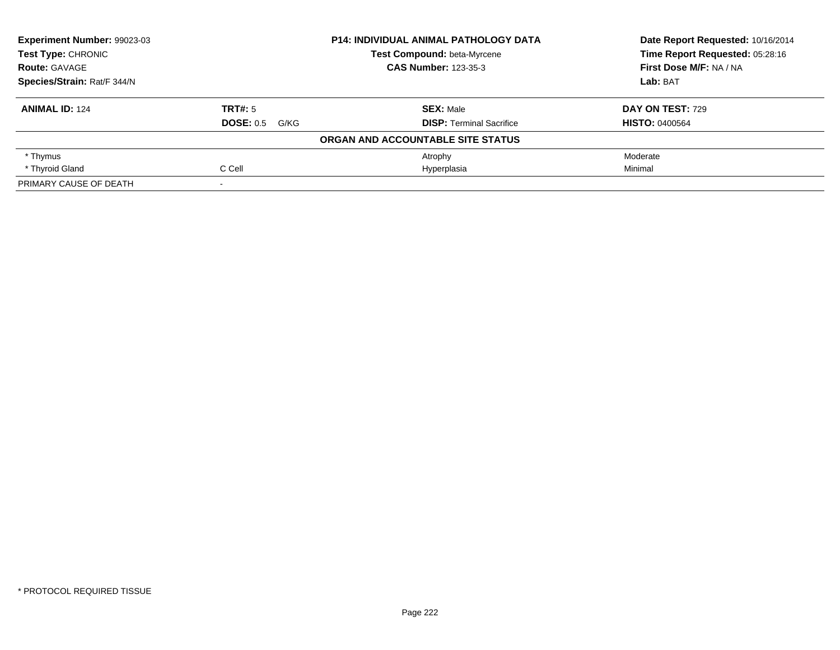| Experiment Number: 99023-03<br>Test Type: CHRONIC |                       | <b>P14: INDIVIDUAL ANIMAL PATHOLOGY DATA</b> | Date Report Requested: 10/16/2014 |
|---------------------------------------------------|-----------------------|----------------------------------------------|-----------------------------------|
|                                                   |                       | Test Compound: beta-Myrcene                  | Time Report Requested: 05:28:16   |
| <b>Route: GAVAGE</b>                              |                       | <b>CAS Number: 123-35-3</b>                  | First Dose M/F: NA / NA           |
| Species/Strain: Rat/F 344/N                       |                       |                                              | Lab: BAT                          |
| <b>ANIMAL ID: 124</b>                             | TRT#: 5               | <b>SEX: Male</b>                             | <b>DAY ON TEST: 729</b>           |
|                                                   | <b>DOSE: 0.5 G/KG</b> | <b>DISP:</b> Terminal Sacrifice              | <b>HISTO: 0400564</b>             |
|                                                   |                       | ORGAN AND ACCOUNTABLE SITE STATUS            |                                   |
| * Thymus                                          |                       | Atrophy                                      | Moderate                          |
| * Thyroid Gland                                   | C Cell                | Hyperplasia                                  | Minimal                           |
| PRIMARY CAUSE OF DEATH                            |                       |                                              |                                   |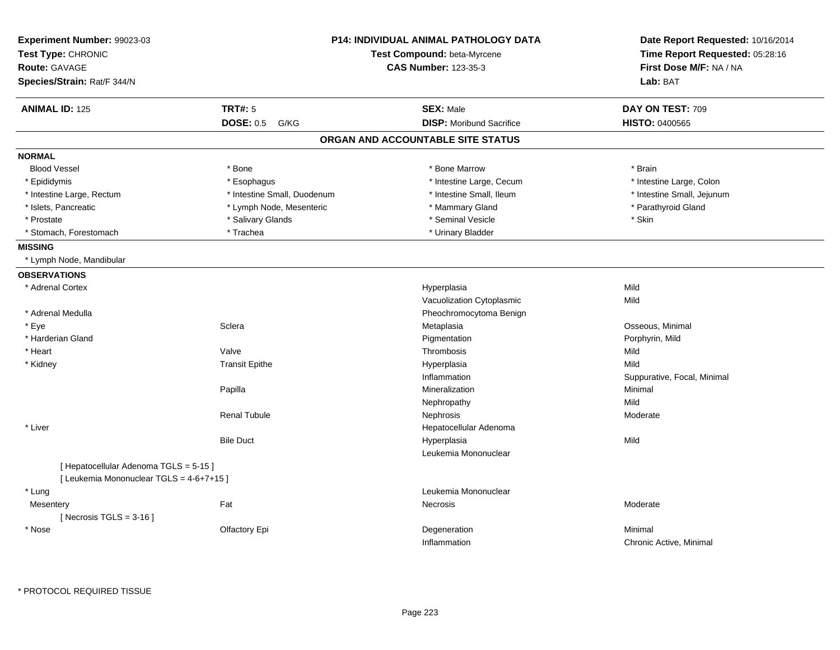| Experiment Number: 99023-03<br>Test Type: CHRONIC |                             | <b>P14: INDIVIDUAL ANIMAL PATHOLOGY DATA</b><br>Test Compound: beta-Myrcene | Date Report Requested: 10/16/2014<br>Time Report Requested: 05:28:16 |
|---------------------------------------------------|-----------------------------|-----------------------------------------------------------------------------|----------------------------------------------------------------------|
| <b>Route: GAVAGE</b>                              |                             | <b>CAS Number: 123-35-3</b>                                                 | First Dose M/F: NA / NA                                              |
| Species/Strain: Rat/F 344/N                       |                             |                                                                             | Lab: BAT                                                             |
| <b>ANIMAL ID: 125</b>                             | <b>TRT#: 5</b>              | <b>SEX: Male</b>                                                            | DAY ON TEST: 709                                                     |
|                                                   | <b>DOSE: 0.5</b><br>G/KG    | <b>DISP:</b> Moribund Sacrifice                                             | <b>HISTO: 0400565</b>                                                |
|                                                   |                             | ORGAN AND ACCOUNTABLE SITE STATUS                                           |                                                                      |
| <b>NORMAL</b>                                     |                             |                                                                             |                                                                      |
| <b>Blood Vessel</b>                               | * Bone                      | * Bone Marrow                                                               | * Brain                                                              |
| * Epididymis                                      | * Esophagus                 | * Intestine Large, Cecum                                                    | * Intestine Large, Colon                                             |
| * Intestine Large, Rectum                         | * Intestine Small, Duodenum | * Intestine Small, Ileum                                                    | * Intestine Small, Jejunum                                           |
| * Islets, Pancreatic                              | * Lymph Node, Mesenteric    | * Mammary Gland                                                             | * Parathyroid Gland                                                  |
| * Prostate                                        | * Salivary Glands           | * Seminal Vesicle                                                           | * Skin                                                               |
| * Stomach, Forestomach                            | * Trachea                   | * Urinary Bladder                                                           |                                                                      |
| <b>MISSING</b>                                    |                             |                                                                             |                                                                      |
| * Lymph Node, Mandibular                          |                             |                                                                             |                                                                      |
| <b>OBSERVATIONS</b>                               |                             |                                                                             |                                                                      |
| * Adrenal Cortex                                  |                             | Hyperplasia                                                                 | Mild                                                                 |
|                                                   |                             | Vacuolization Cytoplasmic                                                   | Mild                                                                 |
| * Adrenal Medulla                                 |                             | Pheochromocytoma Benign                                                     |                                                                      |
| * Eye                                             | Sclera                      | Metaplasia                                                                  | Osseous, Minimal                                                     |
| * Harderian Gland                                 |                             | Pigmentation                                                                | Porphyrin, Mild                                                      |
| * Heart                                           | Valve                       | Thrombosis                                                                  | Mild                                                                 |
| * Kidney                                          | <b>Transit Epithe</b>       | Hyperplasia                                                                 | Mild                                                                 |
|                                                   |                             | Inflammation                                                                | Suppurative, Focal, Minimal                                          |
|                                                   | Papilla                     | Mineralization                                                              | Minimal                                                              |
|                                                   |                             | Nephropathy                                                                 | Mild                                                                 |
|                                                   | <b>Renal Tubule</b>         | Nephrosis                                                                   | Moderate                                                             |
| * Liver                                           |                             | Hepatocellular Adenoma                                                      |                                                                      |
|                                                   | <b>Bile Duct</b>            | Hyperplasia                                                                 | Mild                                                                 |
|                                                   |                             | Leukemia Mononuclear                                                        |                                                                      |
| [ Hepatocellular Adenoma TGLS = 5-15 ]            |                             |                                                                             |                                                                      |
| [ Leukemia Mononuclear TGLS = 4-6+7+15 ]          |                             |                                                                             |                                                                      |
| * Lung                                            |                             | Leukemia Mononuclear                                                        |                                                                      |
| Mesentery                                         | Fat                         | Necrosis                                                                    | Moderate                                                             |
| [Necrosis TGLS = $3-16$ ]                         |                             |                                                                             |                                                                      |
| * Nose                                            | Olfactory Epi               | Degeneration                                                                | Minimal                                                              |
|                                                   |                             | Inflammation                                                                | Chronic Active, Minimal                                              |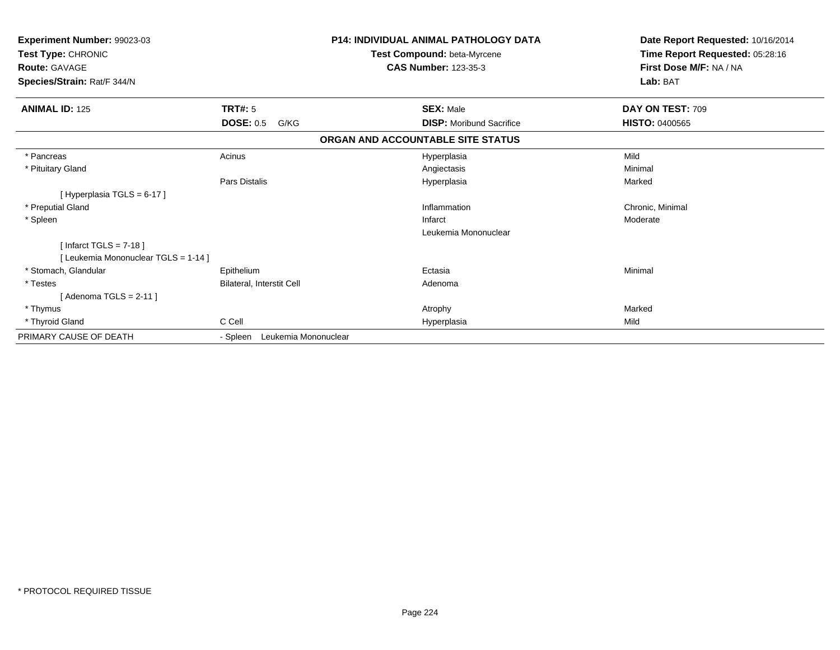| Experiment Number: 99023-03<br>Test Type: CHRONIC<br><b>Route: GAVAGE</b><br>Species/Strain: Rat/F 344/N |                                  | <b>P14: INDIVIDUAL ANIMAL PATHOLOGY DATA</b><br>Test Compound: beta-Myrcene<br><b>CAS Number: 123-35-3</b> | Date Report Requested: 10/16/2014<br>Time Report Requested: 05:28:16<br>First Dose M/F: NA / NA<br>Lab: BAT |
|----------------------------------------------------------------------------------------------------------|----------------------------------|------------------------------------------------------------------------------------------------------------|-------------------------------------------------------------------------------------------------------------|
| <b>ANIMAL ID: 125</b>                                                                                    | <b>TRT#: 5</b>                   | <b>SEX: Male</b>                                                                                           | DAY ON TEST: 709                                                                                            |
|                                                                                                          | <b>DOSE: 0.5</b><br>G/KG         | <b>DISP:</b> Moribund Sacrifice                                                                            | <b>HISTO: 0400565</b>                                                                                       |
|                                                                                                          |                                  | ORGAN AND ACCOUNTABLE SITE STATUS                                                                          |                                                                                                             |
| * Pancreas                                                                                               | Acinus                           | Hyperplasia                                                                                                | Mild                                                                                                        |
| * Pituitary Gland                                                                                        |                                  | Angiectasis                                                                                                | Minimal                                                                                                     |
|                                                                                                          | Pars Distalis                    | Hyperplasia                                                                                                | Marked                                                                                                      |
| [Hyperplasia TGLS = 6-17]                                                                                |                                  |                                                                                                            |                                                                                                             |
| * Preputial Gland                                                                                        |                                  | Inflammation                                                                                               | Chronic, Minimal                                                                                            |
| * Spleen                                                                                                 |                                  | Infarct                                                                                                    | Moderate                                                                                                    |
|                                                                                                          |                                  | Leukemia Mononuclear                                                                                       |                                                                                                             |
| [Infarct TGLS = $7-18$ ]                                                                                 |                                  |                                                                                                            |                                                                                                             |
| [Leukemia Mononuclear TGLS = 1-14]                                                                       |                                  |                                                                                                            |                                                                                                             |
| * Stomach, Glandular                                                                                     | Epithelium                       | Ectasia                                                                                                    | Minimal                                                                                                     |
| * Testes                                                                                                 | Bilateral, Interstit Cell        | Adenoma                                                                                                    |                                                                                                             |
| [ Adenoma TGLS = 2-11 ]                                                                                  |                                  |                                                                                                            |                                                                                                             |
| * Thymus                                                                                                 |                                  | Atrophy                                                                                                    | Marked                                                                                                      |
| * Thyroid Gland                                                                                          | C Cell                           | Hyperplasia                                                                                                | Mild                                                                                                        |
| PRIMARY CAUSE OF DEATH                                                                                   | Leukemia Mononuclear<br>- Spleen |                                                                                                            |                                                                                                             |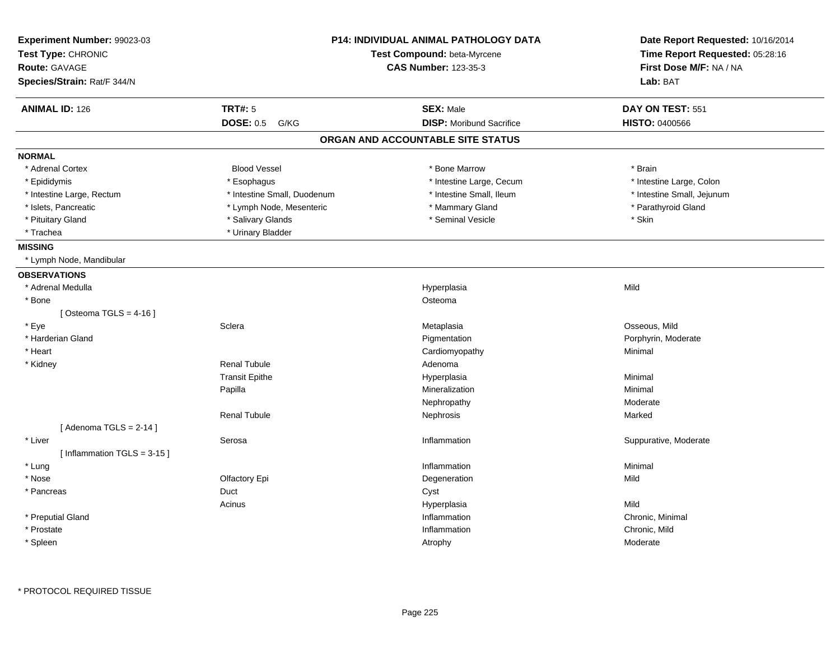| Experiment Number: 99023-03<br>Test Type: CHRONIC<br><b>Route: GAVAGE</b><br>Species/Strain: Rat/F 344/N |                             | <b>P14: INDIVIDUAL ANIMAL PATHOLOGY DATA</b><br>Test Compound: beta-Myrcene<br><b>CAS Number: 123-35-3</b> | Date Report Requested: 10/16/2014<br>Time Report Requested: 05:28:16<br>First Dose M/F: NA / NA<br>Lab: BAT |
|----------------------------------------------------------------------------------------------------------|-----------------------------|------------------------------------------------------------------------------------------------------------|-------------------------------------------------------------------------------------------------------------|
| <b>ANIMAL ID: 126</b>                                                                                    | <b>TRT#: 5</b>              | <b>SEX: Male</b>                                                                                           | DAY ON TEST: 551                                                                                            |
|                                                                                                          | <b>DOSE: 0.5</b><br>G/KG    | <b>DISP:</b> Moribund Sacrifice                                                                            | <b>HISTO: 0400566</b>                                                                                       |
|                                                                                                          |                             | ORGAN AND ACCOUNTABLE SITE STATUS                                                                          |                                                                                                             |
| <b>NORMAL</b>                                                                                            |                             |                                                                                                            |                                                                                                             |
| * Adrenal Cortex                                                                                         | <b>Blood Vessel</b>         | * Bone Marrow                                                                                              | * Brain                                                                                                     |
| * Epididymis                                                                                             | * Esophagus                 | * Intestine Large, Cecum                                                                                   | * Intestine Large, Colon                                                                                    |
| * Intestine Large, Rectum                                                                                | * Intestine Small, Duodenum | * Intestine Small, Ileum                                                                                   | * Intestine Small, Jejunum                                                                                  |
| * Islets, Pancreatic                                                                                     | * Lymph Node, Mesenteric    | * Mammary Gland                                                                                            | * Parathyroid Gland                                                                                         |
| * Pituitary Gland                                                                                        | * Salivary Glands           | * Seminal Vesicle                                                                                          | * Skin                                                                                                      |
| * Trachea                                                                                                | * Urinary Bladder           |                                                                                                            |                                                                                                             |
| <b>MISSING</b>                                                                                           |                             |                                                                                                            |                                                                                                             |
| * Lymph Node, Mandibular                                                                                 |                             |                                                                                                            |                                                                                                             |
| <b>OBSERVATIONS</b>                                                                                      |                             |                                                                                                            |                                                                                                             |
| * Adrenal Medulla                                                                                        |                             | Hyperplasia                                                                                                | Mild                                                                                                        |
| * Bone                                                                                                   |                             | Osteoma                                                                                                    |                                                                                                             |
| [Osteoma TGLS = $4-16$ ]                                                                                 |                             |                                                                                                            |                                                                                                             |
| * Eye                                                                                                    | Sclera                      | Metaplasia                                                                                                 | Osseous, Mild                                                                                               |
| * Harderian Gland                                                                                        |                             | Pigmentation                                                                                               | Porphyrin, Moderate                                                                                         |
| * Heart                                                                                                  |                             | Cardiomyopathy                                                                                             | Minimal                                                                                                     |
| * Kidney                                                                                                 | <b>Renal Tubule</b>         | Adenoma                                                                                                    |                                                                                                             |
|                                                                                                          | <b>Transit Epithe</b>       | Hyperplasia                                                                                                | Minimal                                                                                                     |
|                                                                                                          | Papilla                     | Mineralization                                                                                             | Minimal                                                                                                     |
|                                                                                                          |                             | Nephropathy                                                                                                | Moderate                                                                                                    |
|                                                                                                          | <b>Renal Tubule</b>         | Nephrosis                                                                                                  | Marked                                                                                                      |
| [Adenoma TGLS = $2-14$ ]                                                                                 |                             |                                                                                                            |                                                                                                             |
| * Liver                                                                                                  | Serosa                      | Inflammation                                                                                               | Suppurative, Moderate                                                                                       |
| [Inflammation TGLS = 3-15]                                                                               |                             |                                                                                                            |                                                                                                             |
| * Lung                                                                                                   |                             | Inflammation                                                                                               | Minimal                                                                                                     |
| * Nose                                                                                                   | Olfactory Epi               | Degeneration                                                                                               | Mild                                                                                                        |
| * Pancreas                                                                                               | Duct                        | Cyst                                                                                                       |                                                                                                             |
|                                                                                                          | Acinus                      | Hyperplasia                                                                                                | Mild                                                                                                        |
| * Preputial Gland                                                                                        |                             | Inflammation                                                                                               | Chronic, Minimal                                                                                            |
| * Prostate                                                                                               |                             | Inflammation                                                                                               | Chronic, Mild                                                                                               |
| * Spleen                                                                                                 |                             | Atrophy                                                                                                    | Moderate                                                                                                    |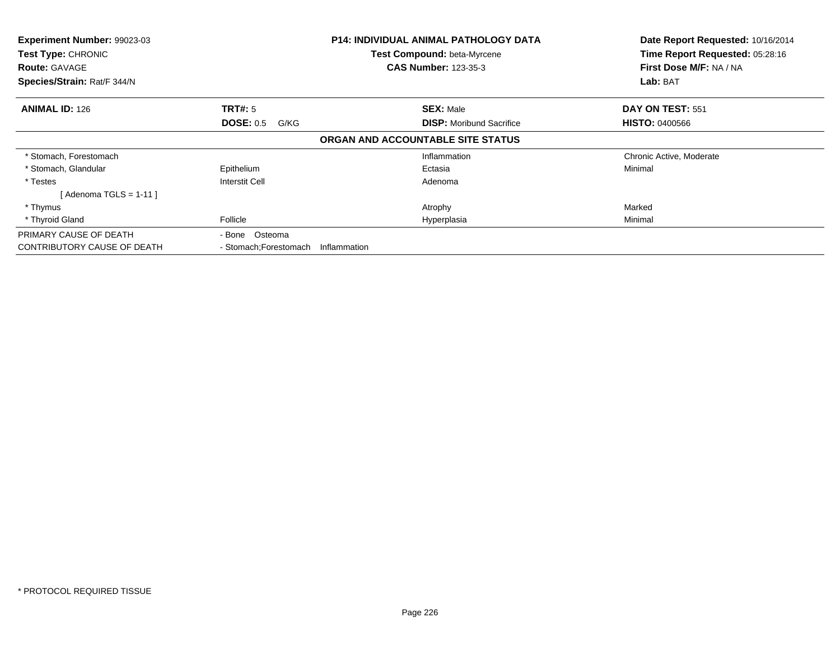| Experiment Number: 99023-03<br>Test Type: CHRONIC<br><b>Route: GAVAGE</b><br>Species/Strain: Rat/F 344/N |                                     | P14: INDIVIDUAL ANIMAL PATHOLOGY DATA<br>Test Compound: beta-Myrcene<br><b>CAS Number: 123-35-3</b> | Date Report Requested: 10/16/2014<br>Time Report Requested: 05:28:16<br>First Dose M/F: NA / NA<br>Lab: BAT |
|----------------------------------------------------------------------------------------------------------|-------------------------------------|-----------------------------------------------------------------------------------------------------|-------------------------------------------------------------------------------------------------------------|
| <b>ANIMAL ID: 126</b>                                                                                    | TRT#: 5<br><b>DOSE: 0.5</b><br>G/KG | <b>SEX: Male</b><br><b>DISP:</b> Moribund Sacrifice                                                 | DAY ON TEST: 551<br><b>HISTO: 0400566</b>                                                                   |
|                                                                                                          |                                     | ORGAN AND ACCOUNTABLE SITE STATUS                                                                   |                                                                                                             |
| * Stomach, Forestomach                                                                                   |                                     | Inflammation                                                                                        | Chronic Active, Moderate                                                                                    |
| * Stomach, Glandular                                                                                     | Epithelium                          | Ectasia                                                                                             | Minimal                                                                                                     |
| * Testes                                                                                                 | Interstit Cell                      | Adenoma                                                                                             |                                                                                                             |
| $[$ Adenoma TGLS = 1-11 $]$                                                                              |                                     |                                                                                                     |                                                                                                             |
| * Thymus                                                                                                 |                                     | Atrophy                                                                                             | Marked                                                                                                      |
| * Thyroid Gland                                                                                          | Follicle                            | Hyperplasia                                                                                         | Minimal                                                                                                     |
| PRIMARY CAUSE OF DEATH                                                                                   | - Bone Osteoma                      |                                                                                                     |                                                                                                             |
| <b>CONTRIBUTORY CAUSE OF DEATH</b>                                                                       | - Stomach; Forestomach              | Inflammation                                                                                        |                                                                                                             |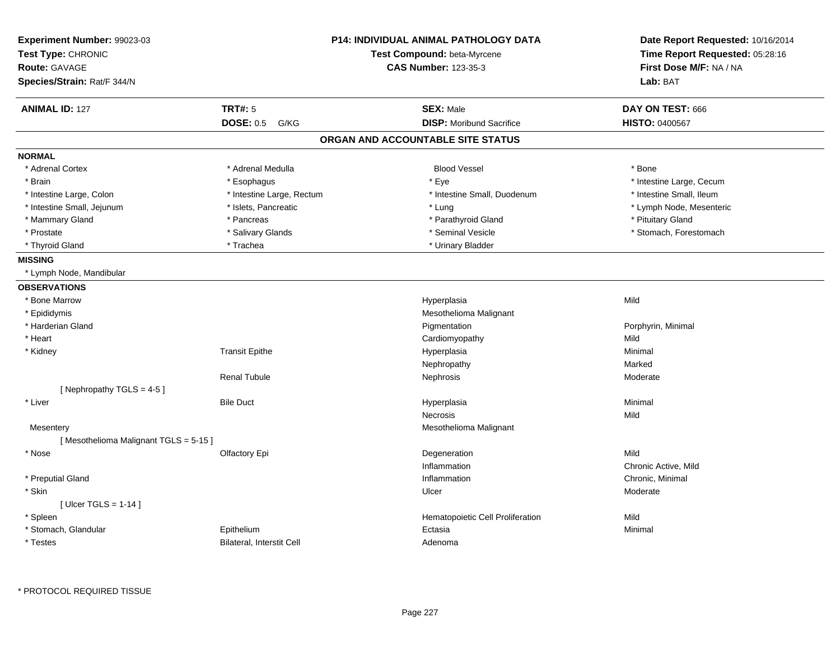| Experiment Number: 99023-03<br>Test Type: CHRONIC<br>Route: GAVAGE<br>Species/Strain: Rat/F 344/N |                           | <b>P14: INDIVIDUAL ANIMAL PATHOLOGY DATA</b><br>Test Compound: beta-Myrcene<br><b>CAS Number: 123-35-3</b> | Date Report Requested: 10/16/2014<br>Time Report Requested: 05:28:16<br>First Dose M/F: NA / NA<br>Lab: BAT |  |
|---------------------------------------------------------------------------------------------------|---------------------------|------------------------------------------------------------------------------------------------------------|-------------------------------------------------------------------------------------------------------------|--|
| <b>ANIMAL ID: 127</b>                                                                             | <b>TRT#: 5</b>            | <b>SEX: Male</b>                                                                                           | DAY ON TEST: 666                                                                                            |  |
|                                                                                                   | <b>DOSE: 0.5</b><br>G/KG  | <b>DISP:</b> Moribund Sacrifice                                                                            | <b>HISTO: 0400567</b>                                                                                       |  |
|                                                                                                   |                           | ORGAN AND ACCOUNTABLE SITE STATUS                                                                          |                                                                                                             |  |
| <b>NORMAL</b>                                                                                     |                           |                                                                                                            |                                                                                                             |  |
| * Adrenal Cortex                                                                                  | * Adrenal Medulla         | <b>Blood Vessel</b>                                                                                        | * Bone                                                                                                      |  |
| * Brain                                                                                           | * Esophagus               | * Eye                                                                                                      | * Intestine Large, Cecum                                                                                    |  |
| * Intestine Large, Colon                                                                          | * Intestine Large, Rectum | * Intestine Small, Duodenum                                                                                | * Intestine Small, Ileum                                                                                    |  |
| * Intestine Small, Jejunum                                                                        | * Islets, Pancreatic      | * Lung                                                                                                     | * Lymph Node, Mesenteric                                                                                    |  |
| * Mammary Gland                                                                                   | * Pancreas                | * Parathyroid Gland                                                                                        | * Pituitary Gland                                                                                           |  |
| * Prostate                                                                                        | * Salivary Glands         | * Seminal Vesicle                                                                                          | * Stomach, Forestomach                                                                                      |  |
| * Thyroid Gland                                                                                   | * Trachea                 | * Urinary Bladder                                                                                          |                                                                                                             |  |
| <b>MISSING</b>                                                                                    |                           |                                                                                                            |                                                                                                             |  |
| * Lymph Node, Mandibular                                                                          |                           |                                                                                                            |                                                                                                             |  |
| <b>OBSERVATIONS</b>                                                                               |                           |                                                                                                            |                                                                                                             |  |
| * Bone Marrow                                                                                     |                           | Hyperplasia                                                                                                | Mild                                                                                                        |  |
| * Epididymis                                                                                      |                           | Mesothelioma Malignant                                                                                     |                                                                                                             |  |
| * Harderian Gland                                                                                 |                           | Pigmentation                                                                                               | Porphyrin, Minimal                                                                                          |  |
| * Heart                                                                                           |                           | Cardiomyopathy                                                                                             | Mild                                                                                                        |  |
| * Kidney                                                                                          | <b>Transit Epithe</b>     | Hyperplasia                                                                                                | Minimal                                                                                                     |  |
|                                                                                                   |                           | Nephropathy                                                                                                | Marked                                                                                                      |  |
|                                                                                                   | <b>Renal Tubule</b>       | Nephrosis                                                                                                  | Moderate                                                                                                    |  |
| [Nephropathy TGLS = 4-5]                                                                          |                           |                                                                                                            |                                                                                                             |  |
| * Liver                                                                                           | <b>Bile Duct</b>          | Hyperplasia                                                                                                | Minimal                                                                                                     |  |
|                                                                                                   |                           | Necrosis                                                                                                   | Mild                                                                                                        |  |
| Mesentery                                                                                         |                           | Mesothelioma Malignant                                                                                     |                                                                                                             |  |
| [Mesothelioma Malignant TGLS = 5-15]                                                              |                           |                                                                                                            |                                                                                                             |  |
| * Nose                                                                                            | Olfactory Epi             | Degeneration                                                                                               | Mild                                                                                                        |  |
|                                                                                                   |                           | Inflammation                                                                                               | Chronic Active, Mild                                                                                        |  |
| * Preputial Gland                                                                                 |                           | Inflammation                                                                                               | Chronic, Minimal                                                                                            |  |
| * Skin                                                                                            |                           | Ulcer                                                                                                      | Moderate                                                                                                    |  |
| [ Ulcer TGLS = $1-14$ ]                                                                           |                           |                                                                                                            |                                                                                                             |  |
| * Spleen                                                                                          |                           | Hematopoietic Cell Proliferation                                                                           | Mild                                                                                                        |  |
| * Stomach, Glandular                                                                              | Epithelium                | Ectasia                                                                                                    | Minimal                                                                                                     |  |
| * Testes                                                                                          | Bilateral, Interstit Cell | Adenoma                                                                                                    |                                                                                                             |  |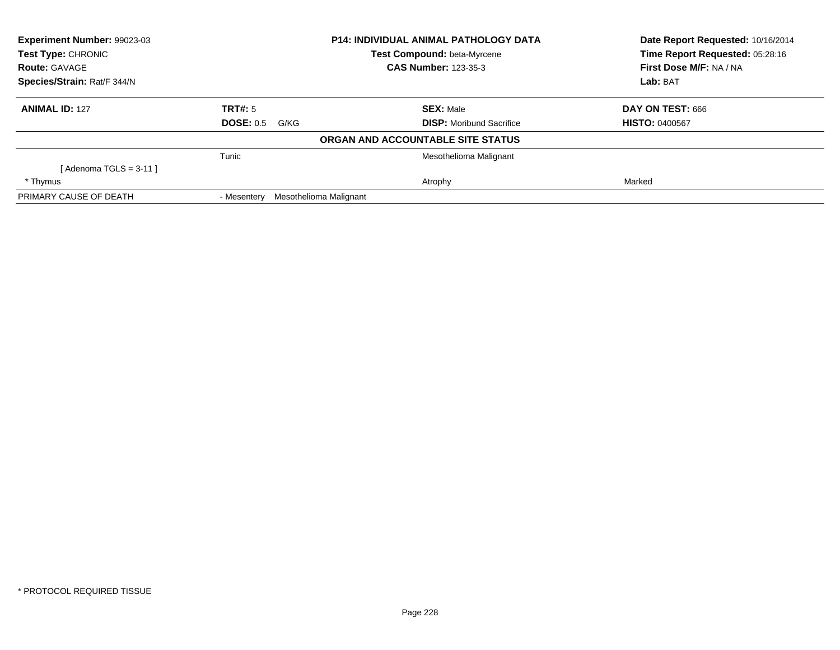| Experiment Number: 99023-03                |                  |                        | <b>P14: INDIVIDUAL ANIMAL PATHOLOGY DATA</b>               | Date Report Requested: 10/16/2014                          |  |
|--------------------------------------------|------------------|------------------------|------------------------------------------------------------|------------------------------------------------------------|--|
| Test Type: CHRONIC<br><b>Route: GAVAGE</b> |                  |                        | Test Compound: beta-Myrcene<br><b>CAS Number: 123-35-3</b> | Time Report Requested: 05:28:16<br>First Dose M/F: NA / NA |  |
|                                            |                  |                        |                                                            |                                                            |  |
| Species/Strain: Rat/F 344/N                |                  |                        |                                                            | Lab: BAT                                                   |  |
| <b>ANIMAL ID: 127</b>                      | TRT#: 5          |                        | <b>SEX: Male</b>                                           | DAY ON TEST: 666                                           |  |
|                                            | <b>DOSE: 0.5</b> | G/KG                   | <b>DISP:</b> Moribund Sacrifice                            | <b>HISTO: 0400567</b>                                      |  |
|                                            |                  |                        | ORGAN AND ACCOUNTABLE SITE STATUS                          |                                                            |  |
|                                            | Tunic            |                        | Mesothelioma Malignant                                     |                                                            |  |
| [ Adenoma TGLS = 3-11 ]                    |                  |                        |                                                            |                                                            |  |
| * Thymus                                   |                  |                        | Atrophy                                                    | Marked                                                     |  |
| PRIMARY CAUSE OF DEATH                     | - Mesentery      | Mesothelioma Malignant |                                                            |                                                            |  |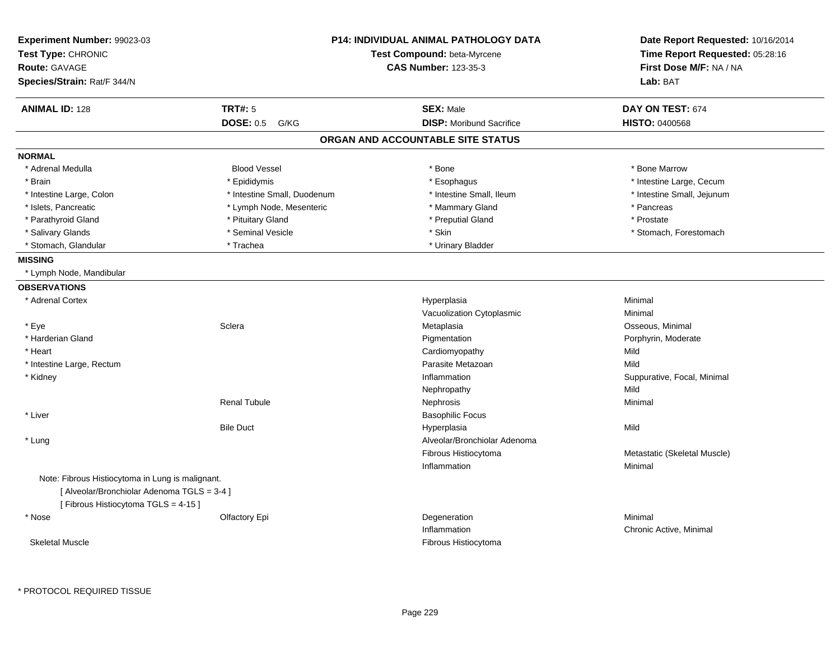| <b>TRT#: 5</b><br><b>ANIMAL ID: 128</b><br><b>SEX: Male</b><br>DAY ON TEST: 674<br><b>DISP:</b> Moribund Sacrifice<br><b>DOSE: 0.5</b><br><b>HISTO: 0400568</b><br>G/KG<br>ORGAN AND ACCOUNTABLE SITE STATUS<br><b>NORMAL</b><br>* Adrenal Medulla<br><b>Blood Vessel</b><br>* Bone<br>* Bone Marrow<br>* Brain<br>* Epididymis<br>* Esophagus<br>* Intestine Large, Cecum<br>* Intestine Small, Duodenum<br>* Intestine Small. Ileum<br>* Intestine Small, Jejunum<br>* Intestine Large, Colon<br>* Islets, Pancreatic<br>* Lymph Node, Mesenteric<br>* Mammary Gland<br>* Pancreas<br>* Parathyroid Gland<br>* Pituitary Gland<br>* Preputial Gland<br>* Prostate<br>* Seminal Vesicle<br>* Skin<br>* Salivary Glands<br>* Stomach, Forestomach<br>* Trachea<br>* Stomach, Glandular<br>* Urinary Bladder<br><b>MISSING</b><br>* Lymph Node, Mandibular<br><b>OBSERVATIONS</b><br>* Adrenal Cortex<br>Minimal<br>Hyperplasia<br>Vacuolization Cytoplasmic<br>Minimal<br>Osseous, Minimal<br>* Eye<br>Sclera<br>Metaplasia<br>* Harderian Gland<br>Pigmentation<br>Porphyrin, Moderate<br>* Heart<br>Cardiomyopathy<br>Mild<br>Parasite Metazoan<br>Mild<br>* Intestine Large, Rectum<br>* Kidney<br>Inflammation<br>Suppurative, Focal, Minimal<br>Mild<br>Nephropathy<br><b>Renal Tubule</b><br>Nephrosis<br>Minimal<br><b>Basophilic Focus</b><br>* Liver<br><b>Bile Duct</b><br>Mild<br>Hyperplasia<br>Alveolar/Bronchiolar Adenoma<br>* Lung<br>Fibrous Histiocytoma<br>Metastatic (Skeletal Muscle)<br>Inflammation<br>Minimal<br>Note: Fibrous Histiocytoma in Lung is malignant.<br>[ Alveolar/Bronchiolar Adenoma TGLS = 3-4 ]<br>[Fibrous Histiocytoma TGLS = 4-15]<br>Degeneration<br>Minimal<br>* Nose<br>Olfactory Epi<br>Inflammation<br>Chronic Active, Minimal | Experiment Number: 99023-03<br>Test Type: CHRONIC<br><b>Route: GAVAGE</b><br>Species/Strain: Rat/F 344/N | <b>P14: INDIVIDUAL ANIMAL PATHOLOGY DATA</b><br>Test Compound: beta-Myrcene<br><b>CAS Number: 123-35-3</b> |          |
|---------------------------------------------------------------------------------------------------------------------------------------------------------------------------------------------------------------------------------------------------------------------------------------------------------------------------------------------------------------------------------------------------------------------------------------------------------------------------------------------------------------------------------------------------------------------------------------------------------------------------------------------------------------------------------------------------------------------------------------------------------------------------------------------------------------------------------------------------------------------------------------------------------------------------------------------------------------------------------------------------------------------------------------------------------------------------------------------------------------------------------------------------------------------------------------------------------------------------------------------------------------------------------------------------------------------------------------------------------------------------------------------------------------------------------------------------------------------------------------------------------------------------------------------------------------------------------------------------------------------------------------------------------------------------------------------------------------------------------------------------------------------------------|----------------------------------------------------------------------------------------------------------|------------------------------------------------------------------------------------------------------------|----------|
|                                                                                                                                                                                                                                                                                                                                                                                                                                                                                                                                                                                                                                                                                                                                                                                                                                                                                                                                                                                                                                                                                                                                                                                                                                                                                                                                                                                                                                                                                                                                                                                                                                                                                                                                                                                 |                                                                                                          |                                                                                                            | Lab: BAT |
|                                                                                                                                                                                                                                                                                                                                                                                                                                                                                                                                                                                                                                                                                                                                                                                                                                                                                                                                                                                                                                                                                                                                                                                                                                                                                                                                                                                                                                                                                                                                                                                                                                                                                                                                                                                 |                                                                                                          |                                                                                                            |          |
|                                                                                                                                                                                                                                                                                                                                                                                                                                                                                                                                                                                                                                                                                                                                                                                                                                                                                                                                                                                                                                                                                                                                                                                                                                                                                                                                                                                                                                                                                                                                                                                                                                                                                                                                                                                 |                                                                                                          |                                                                                                            |          |
|                                                                                                                                                                                                                                                                                                                                                                                                                                                                                                                                                                                                                                                                                                                                                                                                                                                                                                                                                                                                                                                                                                                                                                                                                                                                                                                                                                                                                                                                                                                                                                                                                                                                                                                                                                                 |                                                                                                          |                                                                                                            |          |
|                                                                                                                                                                                                                                                                                                                                                                                                                                                                                                                                                                                                                                                                                                                                                                                                                                                                                                                                                                                                                                                                                                                                                                                                                                                                                                                                                                                                                                                                                                                                                                                                                                                                                                                                                                                 |                                                                                                          |                                                                                                            |          |
|                                                                                                                                                                                                                                                                                                                                                                                                                                                                                                                                                                                                                                                                                                                                                                                                                                                                                                                                                                                                                                                                                                                                                                                                                                                                                                                                                                                                                                                                                                                                                                                                                                                                                                                                                                                 |                                                                                                          |                                                                                                            |          |
|                                                                                                                                                                                                                                                                                                                                                                                                                                                                                                                                                                                                                                                                                                                                                                                                                                                                                                                                                                                                                                                                                                                                                                                                                                                                                                                                                                                                                                                                                                                                                                                                                                                                                                                                                                                 |                                                                                                          |                                                                                                            |          |
|                                                                                                                                                                                                                                                                                                                                                                                                                                                                                                                                                                                                                                                                                                                                                                                                                                                                                                                                                                                                                                                                                                                                                                                                                                                                                                                                                                                                                                                                                                                                                                                                                                                                                                                                                                                 |                                                                                                          |                                                                                                            |          |
|                                                                                                                                                                                                                                                                                                                                                                                                                                                                                                                                                                                                                                                                                                                                                                                                                                                                                                                                                                                                                                                                                                                                                                                                                                                                                                                                                                                                                                                                                                                                                                                                                                                                                                                                                                                 |                                                                                                          |                                                                                                            |          |
|                                                                                                                                                                                                                                                                                                                                                                                                                                                                                                                                                                                                                                                                                                                                                                                                                                                                                                                                                                                                                                                                                                                                                                                                                                                                                                                                                                                                                                                                                                                                                                                                                                                                                                                                                                                 |                                                                                                          |                                                                                                            |          |
|                                                                                                                                                                                                                                                                                                                                                                                                                                                                                                                                                                                                                                                                                                                                                                                                                                                                                                                                                                                                                                                                                                                                                                                                                                                                                                                                                                                                                                                                                                                                                                                                                                                                                                                                                                                 |                                                                                                          |                                                                                                            |          |
|                                                                                                                                                                                                                                                                                                                                                                                                                                                                                                                                                                                                                                                                                                                                                                                                                                                                                                                                                                                                                                                                                                                                                                                                                                                                                                                                                                                                                                                                                                                                                                                                                                                                                                                                                                                 |                                                                                                          |                                                                                                            |          |
|                                                                                                                                                                                                                                                                                                                                                                                                                                                                                                                                                                                                                                                                                                                                                                                                                                                                                                                                                                                                                                                                                                                                                                                                                                                                                                                                                                                                                                                                                                                                                                                                                                                                                                                                                                                 |                                                                                                          |                                                                                                            |          |
|                                                                                                                                                                                                                                                                                                                                                                                                                                                                                                                                                                                                                                                                                                                                                                                                                                                                                                                                                                                                                                                                                                                                                                                                                                                                                                                                                                                                                                                                                                                                                                                                                                                                                                                                                                                 |                                                                                                          |                                                                                                            |          |
|                                                                                                                                                                                                                                                                                                                                                                                                                                                                                                                                                                                                                                                                                                                                                                                                                                                                                                                                                                                                                                                                                                                                                                                                                                                                                                                                                                                                                                                                                                                                                                                                                                                                                                                                                                                 |                                                                                                          |                                                                                                            |          |
|                                                                                                                                                                                                                                                                                                                                                                                                                                                                                                                                                                                                                                                                                                                                                                                                                                                                                                                                                                                                                                                                                                                                                                                                                                                                                                                                                                                                                                                                                                                                                                                                                                                                                                                                                                                 |                                                                                                          |                                                                                                            |          |
|                                                                                                                                                                                                                                                                                                                                                                                                                                                                                                                                                                                                                                                                                                                                                                                                                                                                                                                                                                                                                                                                                                                                                                                                                                                                                                                                                                                                                                                                                                                                                                                                                                                                                                                                                                                 |                                                                                                          |                                                                                                            |          |
|                                                                                                                                                                                                                                                                                                                                                                                                                                                                                                                                                                                                                                                                                                                                                                                                                                                                                                                                                                                                                                                                                                                                                                                                                                                                                                                                                                                                                                                                                                                                                                                                                                                                                                                                                                                 |                                                                                                          |                                                                                                            |          |
|                                                                                                                                                                                                                                                                                                                                                                                                                                                                                                                                                                                                                                                                                                                                                                                                                                                                                                                                                                                                                                                                                                                                                                                                                                                                                                                                                                                                                                                                                                                                                                                                                                                                                                                                                                                 |                                                                                                          |                                                                                                            |          |
|                                                                                                                                                                                                                                                                                                                                                                                                                                                                                                                                                                                                                                                                                                                                                                                                                                                                                                                                                                                                                                                                                                                                                                                                                                                                                                                                                                                                                                                                                                                                                                                                                                                                                                                                                                                 |                                                                                                          |                                                                                                            |          |
|                                                                                                                                                                                                                                                                                                                                                                                                                                                                                                                                                                                                                                                                                                                                                                                                                                                                                                                                                                                                                                                                                                                                                                                                                                                                                                                                                                                                                                                                                                                                                                                                                                                                                                                                                                                 |                                                                                                          |                                                                                                            |          |
|                                                                                                                                                                                                                                                                                                                                                                                                                                                                                                                                                                                                                                                                                                                                                                                                                                                                                                                                                                                                                                                                                                                                                                                                                                                                                                                                                                                                                                                                                                                                                                                                                                                                                                                                                                                 |                                                                                                          |                                                                                                            |          |
|                                                                                                                                                                                                                                                                                                                                                                                                                                                                                                                                                                                                                                                                                                                                                                                                                                                                                                                                                                                                                                                                                                                                                                                                                                                                                                                                                                                                                                                                                                                                                                                                                                                                                                                                                                                 |                                                                                                          |                                                                                                            |          |
|                                                                                                                                                                                                                                                                                                                                                                                                                                                                                                                                                                                                                                                                                                                                                                                                                                                                                                                                                                                                                                                                                                                                                                                                                                                                                                                                                                                                                                                                                                                                                                                                                                                                                                                                                                                 |                                                                                                          |                                                                                                            |          |
|                                                                                                                                                                                                                                                                                                                                                                                                                                                                                                                                                                                                                                                                                                                                                                                                                                                                                                                                                                                                                                                                                                                                                                                                                                                                                                                                                                                                                                                                                                                                                                                                                                                                                                                                                                                 |                                                                                                          |                                                                                                            |          |
|                                                                                                                                                                                                                                                                                                                                                                                                                                                                                                                                                                                                                                                                                                                                                                                                                                                                                                                                                                                                                                                                                                                                                                                                                                                                                                                                                                                                                                                                                                                                                                                                                                                                                                                                                                                 |                                                                                                          |                                                                                                            |          |
|                                                                                                                                                                                                                                                                                                                                                                                                                                                                                                                                                                                                                                                                                                                                                                                                                                                                                                                                                                                                                                                                                                                                                                                                                                                                                                                                                                                                                                                                                                                                                                                                                                                                                                                                                                                 |                                                                                                          |                                                                                                            |          |
|                                                                                                                                                                                                                                                                                                                                                                                                                                                                                                                                                                                                                                                                                                                                                                                                                                                                                                                                                                                                                                                                                                                                                                                                                                                                                                                                                                                                                                                                                                                                                                                                                                                                                                                                                                                 |                                                                                                          |                                                                                                            |          |
|                                                                                                                                                                                                                                                                                                                                                                                                                                                                                                                                                                                                                                                                                                                                                                                                                                                                                                                                                                                                                                                                                                                                                                                                                                                                                                                                                                                                                                                                                                                                                                                                                                                                                                                                                                                 |                                                                                                          |                                                                                                            |          |
|                                                                                                                                                                                                                                                                                                                                                                                                                                                                                                                                                                                                                                                                                                                                                                                                                                                                                                                                                                                                                                                                                                                                                                                                                                                                                                                                                                                                                                                                                                                                                                                                                                                                                                                                                                                 |                                                                                                          |                                                                                                            |          |
|                                                                                                                                                                                                                                                                                                                                                                                                                                                                                                                                                                                                                                                                                                                                                                                                                                                                                                                                                                                                                                                                                                                                                                                                                                                                                                                                                                                                                                                                                                                                                                                                                                                                                                                                                                                 |                                                                                                          |                                                                                                            |          |
|                                                                                                                                                                                                                                                                                                                                                                                                                                                                                                                                                                                                                                                                                                                                                                                                                                                                                                                                                                                                                                                                                                                                                                                                                                                                                                                                                                                                                                                                                                                                                                                                                                                                                                                                                                                 | <b>Skeletal Muscle</b>                                                                                   | Fibrous Histiocytoma                                                                                       |          |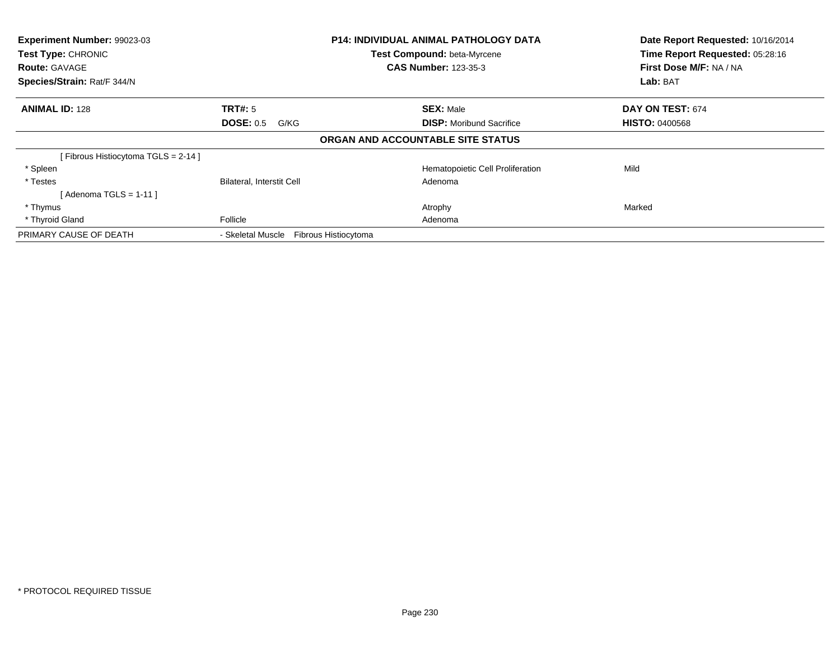| Experiment Number: 99023-03<br>Test Type: CHRONIC<br><b>Route: GAVAGE</b><br>Species/Strain: Rat/F 344/N | <b>P14: INDIVIDUAL ANIMAL PATHOLOGY DATA</b><br>Test Compound: beta-Myrcene<br><b>CAS Number: 123-35-3</b> |                                                     | Date Report Requested: 10/16/2014<br>Time Report Requested: 05:28:16<br>First Dose M/F: NA / NA<br>Lab: BAT |
|----------------------------------------------------------------------------------------------------------|------------------------------------------------------------------------------------------------------------|-----------------------------------------------------|-------------------------------------------------------------------------------------------------------------|
| <b>ANIMAL ID: 128</b>                                                                                    | TRT#: 5<br><b>DOSE: 0.5</b><br>G/KG                                                                        | <b>SEX: Male</b><br><b>DISP:</b> Moribund Sacrifice | DAY ON TEST: 674<br><b>HISTO: 0400568</b>                                                                   |
|                                                                                                          |                                                                                                            | ORGAN AND ACCOUNTABLE SITE STATUS                   |                                                                                                             |
| [Fibrous Histiocytoma TGLS = 2-14]                                                                       |                                                                                                            |                                                     |                                                                                                             |
| * Spleen                                                                                                 |                                                                                                            | Hematopoietic Cell Proliferation                    | Mild                                                                                                        |
| * Testes                                                                                                 | <b>Bilateral, Interstit Cell</b>                                                                           | Adenoma                                             |                                                                                                             |
| [ Adenoma TGLS = 1-11 ]                                                                                  |                                                                                                            |                                                     |                                                                                                             |
| * Thymus                                                                                                 |                                                                                                            | Atrophy                                             | Marked                                                                                                      |
| * Thyroid Gland                                                                                          | Follicle                                                                                                   | Adenoma                                             |                                                                                                             |
| PRIMARY CAUSE OF DEATH                                                                                   | - Skeletal Muscle<br>Fibrous Histiocytoma                                                                  |                                                     |                                                                                                             |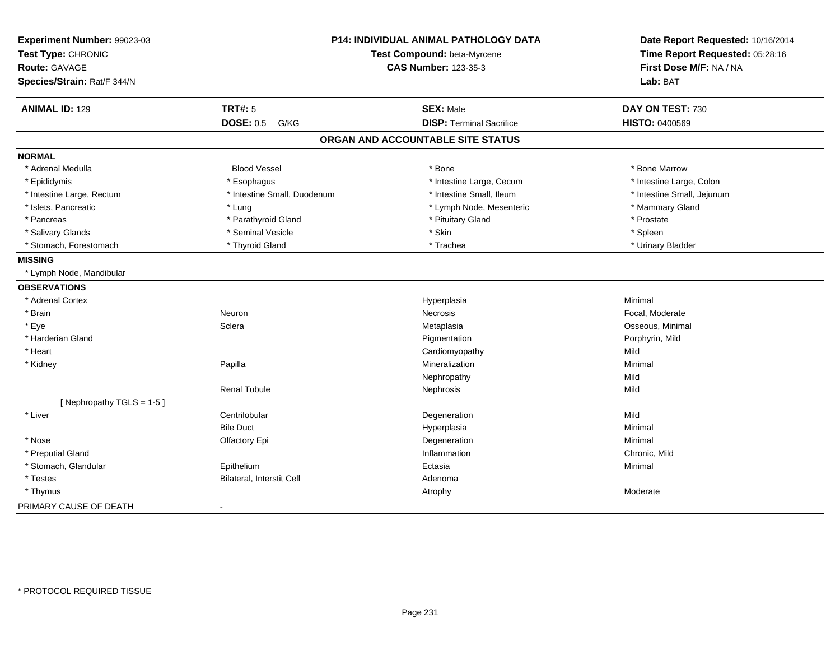| Experiment Number: 99023-03<br>Test Type: CHRONIC   |                             | <b>P14: INDIVIDUAL ANIMAL PATHOLOGY DATA</b><br>Test Compound: beta-Myrcene | Date Report Requested: 10/16/2014<br>Time Report Requested: 05:28:16 |
|-----------------------------------------------------|-----------------------------|-----------------------------------------------------------------------------|----------------------------------------------------------------------|
|                                                     |                             | <b>CAS Number: 123-35-3</b>                                                 | First Dose M/F: NA / NA                                              |
| <b>Route: GAVAGE</b><br>Species/Strain: Rat/F 344/N |                             |                                                                             | Lab: BAT                                                             |
|                                                     |                             |                                                                             |                                                                      |
| <b>ANIMAL ID: 129</b>                               | <b>TRT#: 5</b>              | <b>SEX: Male</b>                                                            | DAY ON TEST: 730                                                     |
|                                                     | <b>DOSE: 0.5</b><br>G/KG    | <b>DISP: Terminal Sacrifice</b>                                             | <b>HISTO: 0400569</b>                                                |
|                                                     |                             | ORGAN AND ACCOUNTABLE SITE STATUS                                           |                                                                      |
| <b>NORMAL</b>                                       |                             |                                                                             |                                                                      |
| * Adrenal Medulla                                   | <b>Blood Vessel</b>         | * Bone                                                                      | * Bone Marrow                                                        |
| * Epididymis                                        | * Esophagus                 | * Intestine Large, Cecum                                                    | * Intestine Large, Colon                                             |
| * Intestine Large, Rectum                           | * Intestine Small, Duodenum | * Intestine Small. Ileum                                                    | * Intestine Small, Jejunum                                           |
| * Islets, Pancreatic                                | * Lung                      | * Lymph Node, Mesenteric                                                    | * Mammary Gland                                                      |
| * Pancreas                                          | * Parathyroid Gland         | * Pituitary Gland                                                           | * Prostate                                                           |
| * Salivary Glands                                   | * Seminal Vesicle           | * Skin                                                                      | * Spleen                                                             |
| * Stomach, Forestomach                              | * Thyroid Gland             | * Trachea                                                                   | * Urinary Bladder                                                    |
| <b>MISSING</b>                                      |                             |                                                                             |                                                                      |
| * Lymph Node, Mandibular                            |                             |                                                                             |                                                                      |
| <b>OBSERVATIONS</b>                                 |                             |                                                                             |                                                                      |
| * Adrenal Cortex                                    |                             | Hyperplasia                                                                 | Minimal                                                              |
| * Brain                                             | Neuron                      | <b>Necrosis</b>                                                             | Focal, Moderate                                                      |
| * Eye                                               | Sclera                      | Metaplasia                                                                  | Osseous, Minimal                                                     |
| * Harderian Gland                                   |                             | Pigmentation                                                                | Porphyrin, Mild                                                      |
| * Heart                                             |                             | Cardiomyopathy                                                              | Mild                                                                 |
| * Kidney                                            | Papilla                     | Mineralization                                                              | Minimal                                                              |
|                                                     |                             | Nephropathy                                                                 | Mild                                                                 |
|                                                     | <b>Renal Tubule</b>         | Nephrosis                                                                   | Mild                                                                 |
| [Nephropathy TGLS = $1-5$ ]                         |                             |                                                                             |                                                                      |
| * Liver                                             | Centrilobular               | Degeneration                                                                | Mild                                                                 |
|                                                     | <b>Bile Duct</b>            | Hyperplasia                                                                 | Minimal                                                              |
| * Nose                                              | Olfactory Epi               | Degeneration                                                                | Minimal                                                              |
| * Preputial Gland                                   |                             | Inflammation                                                                | Chronic, Mild                                                        |
| * Stomach, Glandular                                | Epithelium                  | Ectasia                                                                     | Minimal                                                              |
| * Testes                                            | Bilateral, Interstit Cell   | Adenoma                                                                     |                                                                      |
| * Thymus                                            |                             | Atrophy                                                                     | Moderate                                                             |
| PRIMARY CAUSE OF DEATH                              | $\mathbf{r}$                |                                                                             |                                                                      |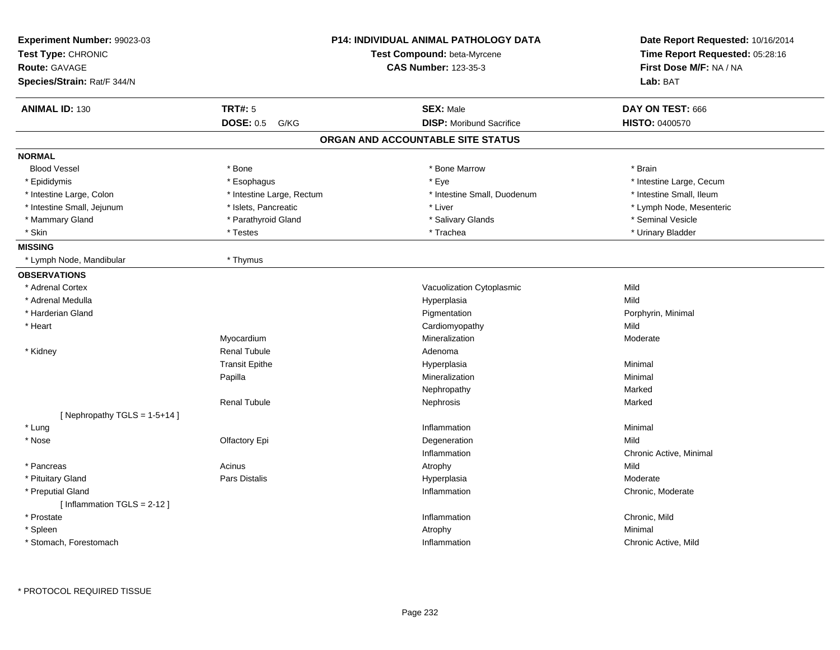| Experiment Number: 99023-03<br>Test Type: CHRONIC<br><b>Route: GAVAGE</b><br>Species/Strain: Rat/F 344/N |                           | <b>P14: INDIVIDUAL ANIMAL PATHOLOGY DATA</b><br>Test Compound: beta-Myrcene<br><b>CAS Number: 123-35-3</b> | Date Report Requested: 10/16/2014<br>Time Report Requested: 05:28:16<br>First Dose M/F: NA / NA<br>Lab: BAT |
|----------------------------------------------------------------------------------------------------------|---------------------------|------------------------------------------------------------------------------------------------------------|-------------------------------------------------------------------------------------------------------------|
|                                                                                                          |                           |                                                                                                            |                                                                                                             |
| <b>ANIMAL ID: 130</b>                                                                                    | <b>TRT#: 5</b>            | <b>SEX: Male</b>                                                                                           | DAY ON TEST: 666                                                                                            |
|                                                                                                          | <b>DOSE: 0.5</b><br>G/KG  | <b>DISP:</b> Moribund Sacrifice                                                                            | <b>HISTO: 0400570</b>                                                                                       |
|                                                                                                          |                           | ORGAN AND ACCOUNTABLE SITE STATUS                                                                          |                                                                                                             |
| <b>NORMAL</b>                                                                                            |                           |                                                                                                            |                                                                                                             |
| <b>Blood Vessel</b>                                                                                      | * Bone                    | * Bone Marrow                                                                                              | * Brain                                                                                                     |
| * Epididymis                                                                                             | * Esophagus               | * Eye                                                                                                      | * Intestine Large, Cecum                                                                                    |
| * Intestine Large, Colon                                                                                 | * Intestine Large, Rectum | * Intestine Small, Duodenum                                                                                | * Intestine Small, Ileum                                                                                    |
| * Intestine Small, Jejunum                                                                               | * Islets, Pancreatic      | * Liver                                                                                                    | * Lymph Node, Mesenteric                                                                                    |
| * Mammary Gland                                                                                          | * Parathyroid Gland       | * Salivary Glands                                                                                          | * Seminal Vesicle                                                                                           |
| * Skin                                                                                                   | * Testes                  | * Trachea                                                                                                  | * Urinary Bladder                                                                                           |
| <b>MISSING</b>                                                                                           |                           |                                                                                                            |                                                                                                             |
| * Lymph Node, Mandibular                                                                                 | * Thymus                  |                                                                                                            |                                                                                                             |
| <b>OBSERVATIONS</b>                                                                                      |                           |                                                                                                            |                                                                                                             |
| * Adrenal Cortex                                                                                         |                           | Vacuolization Cytoplasmic                                                                                  | Mild                                                                                                        |
| * Adrenal Medulla                                                                                        |                           | Hyperplasia                                                                                                | Mild                                                                                                        |
| * Harderian Gland                                                                                        |                           | Pigmentation                                                                                               | Porphyrin, Minimal                                                                                          |
| * Heart                                                                                                  |                           | Cardiomyopathy                                                                                             | Mild                                                                                                        |
|                                                                                                          | Myocardium                | Mineralization                                                                                             | Moderate                                                                                                    |
| * Kidney                                                                                                 | <b>Renal Tubule</b>       | Adenoma                                                                                                    |                                                                                                             |
|                                                                                                          | <b>Transit Epithe</b>     | Hyperplasia                                                                                                | Minimal                                                                                                     |
|                                                                                                          | Papilla                   | Mineralization                                                                                             | Minimal                                                                                                     |
|                                                                                                          |                           | Nephropathy                                                                                                | Marked                                                                                                      |
|                                                                                                          | <b>Renal Tubule</b>       | Nephrosis                                                                                                  | Marked                                                                                                      |
| [ Nephropathy $TGLS = 1-5+14$ ]                                                                          |                           |                                                                                                            |                                                                                                             |
| * Lung                                                                                                   |                           | Inflammation                                                                                               | Minimal                                                                                                     |
| * Nose                                                                                                   | Olfactory Epi             | Degeneration                                                                                               | Mild                                                                                                        |
|                                                                                                          |                           | Inflammation                                                                                               | Chronic Active, Minimal                                                                                     |
| * Pancreas                                                                                               | Acinus                    | Atrophy                                                                                                    | Mild                                                                                                        |
| * Pituitary Gland                                                                                        | Pars Distalis             | Hyperplasia                                                                                                | Moderate                                                                                                    |
| * Preputial Gland                                                                                        |                           | Inflammation                                                                                               | Chronic, Moderate                                                                                           |
| [Inflammation TGLS = 2-12]                                                                               |                           |                                                                                                            |                                                                                                             |
| * Prostate                                                                                               |                           | Inflammation                                                                                               | Chronic, Mild                                                                                               |
| * Spleen                                                                                                 |                           | Atrophy                                                                                                    | Minimal                                                                                                     |
| * Stomach, Forestomach                                                                                   |                           | Inflammation                                                                                               | Chronic Active, Mild                                                                                        |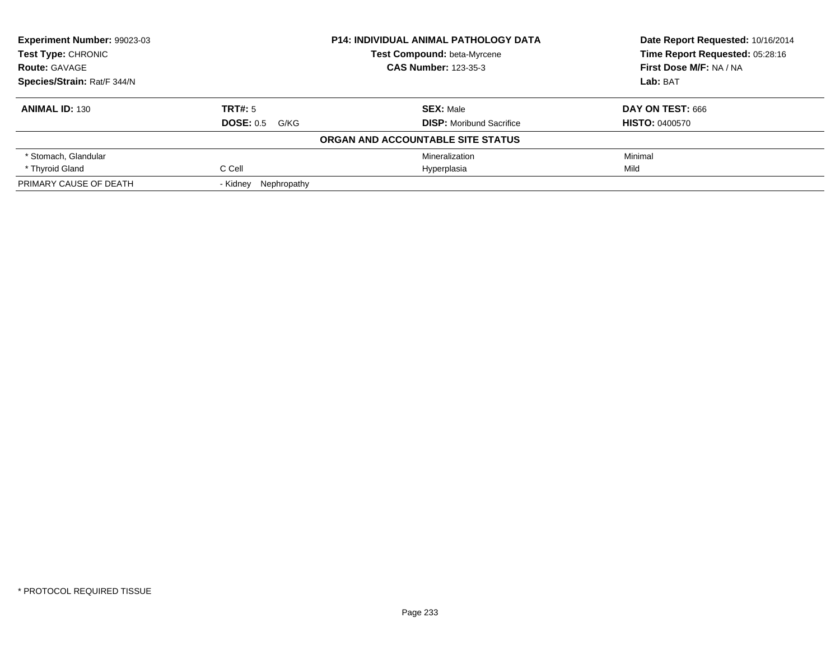| Experiment Number: 99023-03 |                         | <b>P14: INDIVIDUAL ANIMAL PATHOLOGY DATA</b> | Date Report Requested: 10/16/2014 |
|-----------------------------|-------------------------|----------------------------------------------|-----------------------------------|
| Test Type: CHRONIC          |                         | Test Compound: beta-Myrcene                  | Time Report Requested: 05:28:16   |
| <b>Route: GAVAGE</b>        |                         | <b>CAS Number: 123-35-3</b>                  | First Dose M/F: NA / NA           |
| Species/Strain: Rat/F 344/N |                         |                                              | Lab: BAT                          |
| <b>ANIMAL ID: 130</b>       | TRT#: 5                 | <b>SEX: Male</b>                             | DAY ON TEST: 666                  |
|                             | DOSE: 0.5<br>G/KG       | <b>DISP:</b> Moribund Sacrifice              | <b>HISTO: 0400570</b>             |
|                             |                         | ORGAN AND ACCOUNTABLE SITE STATUS            |                                   |
| * Stomach, Glandular        |                         | Mineralization                               | Minimal                           |
| * Thyroid Gland             | C Cell                  | Hyperplasia                                  | Mild                              |
| PRIMARY CAUSE OF DEATH      | Nephropathy<br>- Kidnev |                                              |                                   |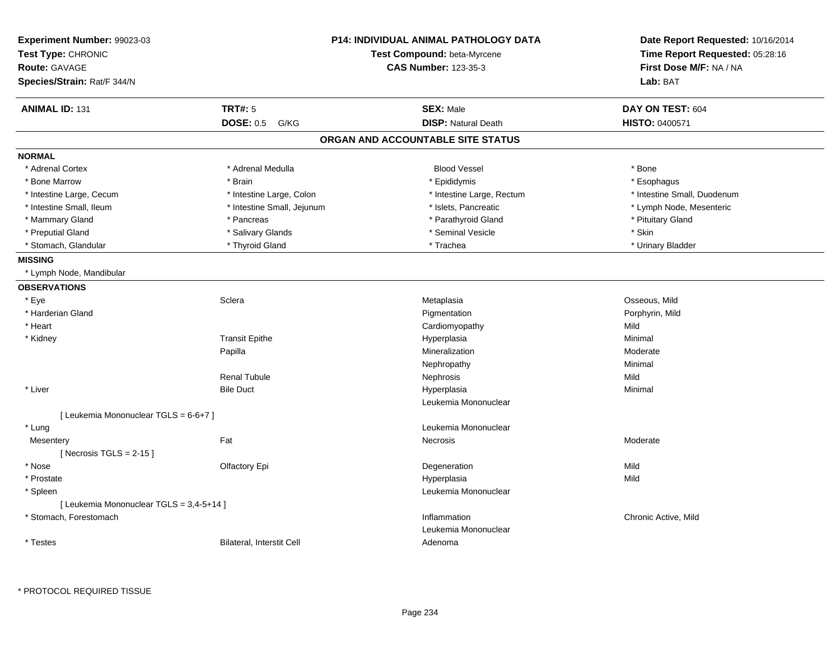| <b>Experiment Number: 99023-03</b><br>Test Type: CHRONIC<br>Route: GAVAGE<br>Species/Strain: Rat/F 344/N |                                  | P14: INDIVIDUAL ANIMAL PATHOLOGY DATA<br>Test Compound: beta-Myrcene<br><b>CAS Number: 123-35-3</b> | Date Report Requested: 10/16/2014<br>Time Report Requested: 05:28:16<br>First Dose M/F: NA / NA<br>Lab: BAT |
|----------------------------------------------------------------------------------------------------------|----------------------------------|-----------------------------------------------------------------------------------------------------|-------------------------------------------------------------------------------------------------------------|
| <b>ANIMAL ID: 131</b>                                                                                    | <b>TRT#: 5</b>                   | <b>SEX: Male</b>                                                                                    | DAY ON TEST: 604                                                                                            |
|                                                                                                          | <b>DOSE: 0.5</b><br>G/KG         | <b>DISP: Natural Death</b>                                                                          | HISTO: 0400571                                                                                              |
|                                                                                                          |                                  | ORGAN AND ACCOUNTABLE SITE STATUS                                                                   |                                                                                                             |
| <b>NORMAL</b>                                                                                            |                                  |                                                                                                     |                                                                                                             |
| * Adrenal Cortex                                                                                         | * Adrenal Medulla                | <b>Blood Vessel</b>                                                                                 | * Bone                                                                                                      |
| * Bone Marrow                                                                                            | * Brain                          | * Epididymis                                                                                        | * Esophagus                                                                                                 |
| * Intestine Large, Cecum                                                                                 | * Intestine Large, Colon         | * Intestine Large, Rectum                                                                           | * Intestine Small, Duodenum                                                                                 |
| * Intestine Small, Ileum                                                                                 | * Intestine Small, Jejunum       | * Islets, Pancreatic                                                                                | * Lymph Node, Mesenteric                                                                                    |
| * Mammary Gland                                                                                          | * Pancreas                       | * Parathyroid Gland                                                                                 | * Pituitary Gland                                                                                           |
| * Preputial Gland                                                                                        | * Salivary Glands                | * Seminal Vesicle                                                                                   | * Skin                                                                                                      |
| * Stomach, Glandular                                                                                     | * Thyroid Gland                  | * Trachea                                                                                           | * Urinary Bladder                                                                                           |
| <b>MISSING</b>                                                                                           |                                  |                                                                                                     |                                                                                                             |
| * Lymph Node, Mandibular                                                                                 |                                  |                                                                                                     |                                                                                                             |
| <b>OBSERVATIONS</b>                                                                                      |                                  |                                                                                                     |                                                                                                             |
| * Eye                                                                                                    | Sclera                           | Metaplasia                                                                                          | Osseous, Mild                                                                                               |
| * Harderian Gland                                                                                        |                                  | Pigmentation                                                                                        | Porphyrin, Mild                                                                                             |
| * Heart                                                                                                  |                                  | Cardiomyopathy                                                                                      | Mild                                                                                                        |
| * Kidney                                                                                                 | <b>Transit Epithe</b>            | Hyperplasia                                                                                         | Minimal                                                                                                     |
|                                                                                                          | Papilla                          | Mineralization                                                                                      | Moderate                                                                                                    |
|                                                                                                          |                                  | Nephropathy                                                                                         | Minimal                                                                                                     |
|                                                                                                          | <b>Renal Tubule</b>              | Nephrosis                                                                                           | Mild                                                                                                        |
| * Liver                                                                                                  | <b>Bile Duct</b>                 | Hyperplasia                                                                                         | Minimal                                                                                                     |
|                                                                                                          |                                  | Leukemia Mononuclear                                                                                |                                                                                                             |
| [ Leukemia Mononuclear TGLS = 6-6+7 ]                                                                    |                                  |                                                                                                     |                                                                                                             |
| * Lung                                                                                                   |                                  | Leukemia Mononuclear                                                                                |                                                                                                             |
| Mesentery                                                                                                | Fat                              | Necrosis                                                                                            | Moderate                                                                                                    |
| [Necrosis $TGLS = 2-15$ ]                                                                                |                                  |                                                                                                     |                                                                                                             |
| * Nose                                                                                                   | Olfactory Epi                    | Degeneration                                                                                        | Mild                                                                                                        |
| * Prostate                                                                                               |                                  | Hyperplasia                                                                                         | Mild                                                                                                        |
| * Spleen                                                                                                 |                                  | Leukemia Mononuclear                                                                                |                                                                                                             |
| [ Leukemia Mononuclear TGLS = 3,4-5+14 ]                                                                 |                                  |                                                                                                     |                                                                                                             |
| * Stomach, Forestomach                                                                                   |                                  | Inflammation                                                                                        | Chronic Active, Mild                                                                                        |
|                                                                                                          |                                  | Leukemia Mononuclear                                                                                |                                                                                                             |
| * Testes                                                                                                 | <b>Bilateral, Interstit Cell</b> | Adenoma                                                                                             |                                                                                                             |

\* PROTOCOL REQUIRED TISSUE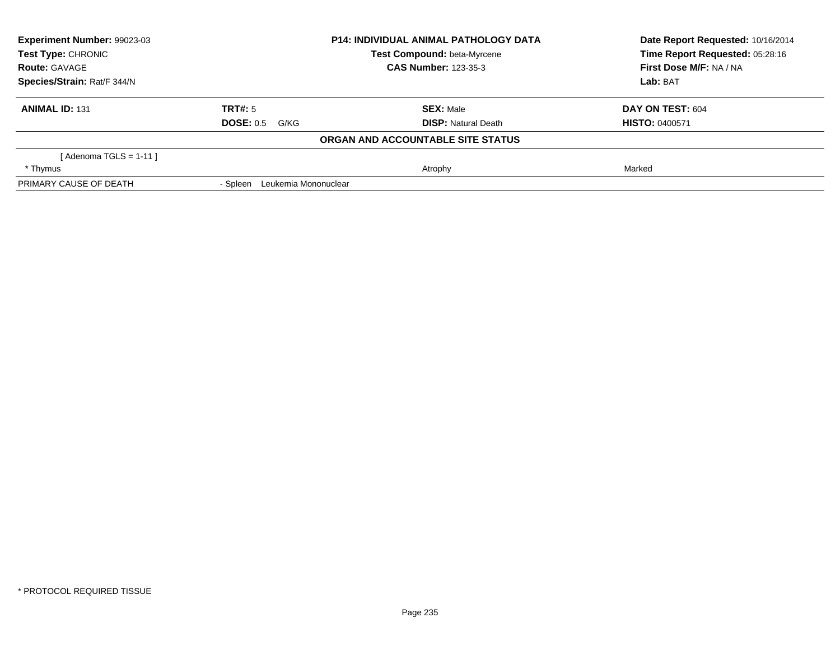| Experiment Number: 99023-03 |                                  | <b>P14: INDIVIDUAL ANIMAL PATHOLOGY DATA</b> | Date Report Requested: 10/16/2014 |
|-----------------------------|----------------------------------|----------------------------------------------|-----------------------------------|
| Test Type: CHRONIC          |                                  | Test Compound: beta-Myrcene                  | Time Report Requested: 05:28:16   |
| <b>Route: GAVAGE</b>        |                                  | <b>CAS Number: 123-35-3</b>                  | First Dose M/F: NA / NA           |
| Species/Strain: Rat/F 344/N |                                  |                                              | Lab: BAT                          |
| <b>ANIMAL ID: 131</b>       | TRT#: 5                          | <b>SEX: Male</b>                             | DAY ON TEST: 604                  |
|                             | <b>DOSE: 0.5</b><br>G/KG         | <b>DISP:</b> Natural Death                   | <b>HISTO: 0400571</b>             |
|                             |                                  | ORGAN AND ACCOUNTABLE SITE STATUS            |                                   |
| [ Adenoma TGLS = 1-11 ]     |                                  |                                              |                                   |
| * Thymus                    |                                  | Atrophy                                      | Marked                            |
| PRIMARY CAUSE OF DEATH      | Leukemia Mononuclear<br>- Spleen |                                              |                                   |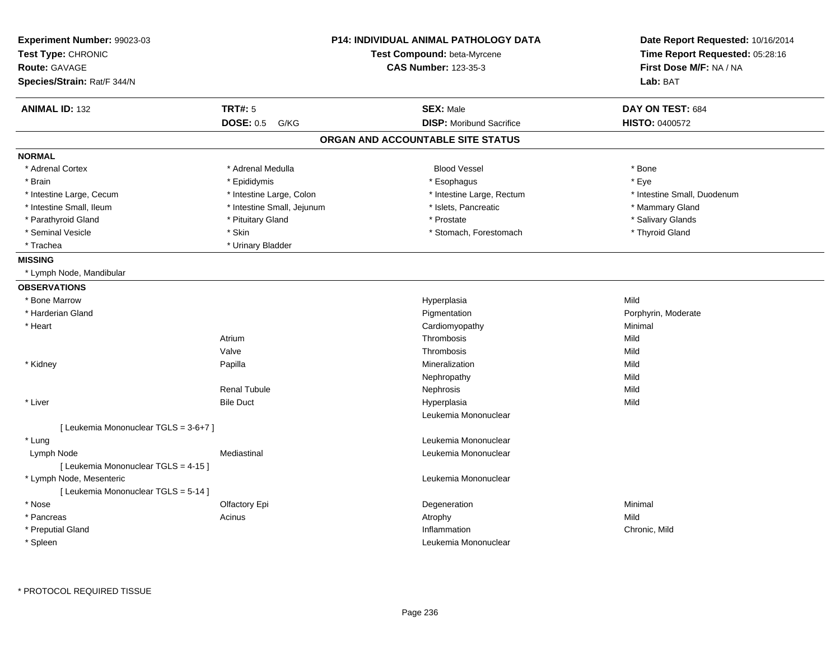| Experiment Number: 99023-03<br>Test Type: CHRONIC<br><b>Route: GAVAGE</b><br>Species/Strain: Rat/F 344/N |                            | <b>P14: INDIVIDUAL ANIMAL PATHOLOGY DATA</b><br>Test Compound: beta-Myrcene<br><b>CAS Number: 123-35-3</b> | Date Report Requested: 10/16/2014<br>Time Report Requested: 05:28:16<br>First Dose M/F: NA / NA<br>Lab: BAT |
|----------------------------------------------------------------------------------------------------------|----------------------------|------------------------------------------------------------------------------------------------------------|-------------------------------------------------------------------------------------------------------------|
| <b>ANIMAL ID: 132</b>                                                                                    | <b>TRT#: 5</b>             | <b>SEX: Male</b>                                                                                           | DAY ON TEST: 684                                                                                            |
|                                                                                                          | <b>DOSE: 0.5</b><br>G/KG   | <b>DISP:</b> Moribund Sacrifice                                                                            | HISTO: 0400572                                                                                              |
|                                                                                                          |                            | ORGAN AND ACCOUNTABLE SITE STATUS                                                                          |                                                                                                             |
| <b>NORMAL</b>                                                                                            |                            |                                                                                                            |                                                                                                             |
| * Adrenal Cortex                                                                                         | * Adrenal Medulla          | <b>Blood Vessel</b>                                                                                        | * Bone                                                                                                      |
| * Brain                                                                                                  | * Epididymis               | * Esophagus                                                                                                | * Eye                                                                                                       |
| * Intestine Large, Cecum                                                                                 | * Intestine Large, Colon   | * Intestine Large, Rectum                                                                                  | * Intestine Small, Duodenum                                                                                 |
| * Intestine Small, Ileum                                                                                 | * Intestine Small, Jejunum | * Islets, Pancreatic                                                                                       | * Mammary Gland                                                                                             |
| * Parathyroid Gland                                                                                      | * Pituitary Gland          | * Prostate                                                                                                 | * Salivary Glands                                                                                           |
| * Seminal Vesicle                                                                                        | * Skin                     | * Stomach, Forestomach                                                                                     | * Thyroid Gland                                                                                             |
| * Trachea                                                                                                | * Urinary Bladder          |                                                                                                            |                                                                                                             |
| <b>MISSING</b>                                                                                           |                            |                                                                                                            |                                                                                                             |
| * Lymph Node, Mandibular                                                                                 |                            |                                                                                                            |                                                                                                             |
| <b>OBSERVATIONS</b>                                                                                      |                            |                                                                                                            |                                                                                                             |
| * Bone Marrow                                                                                            |                            | Hyperplasia                                                                                                | Mild                                                                                                        |
| * Harderian Gland                                                                                        |                            | Pigmentation                                                                                               | Porphyrin, Moderate                                                                                         |
| * Heart                                                                                                  |                            | Cardiomyopathy                                                                                             | Minimal                                                                                                     |
|                                                                                                          | Atrium                     | Thrombosis                                                                                                 | Mild                                                                                                        |
|                                                                                                          | Valve                      | Thrombosis                                                                                                 | Mild                                                                                                        |
| * Kidney                                                                                                 | Papilla                    | Mineralization                                                                                             | Mild                                                                                                        |
|                                                                                                          |                            | Nephropathy                                                                                                | Mild                                                                                                        |
|                                                                                                          | <b>Renal Tubule</b>        | Nephrosis                                                                                                  | Mild                                                                                                        |
| * Liver                                                                                                  | <b>Bile Duct</b>           | Hyperplasia                                                                                                | Mild                                                                                                        |
|                                                                                                          |                            | Leukemia Mononuclear                                                                                       |                                                                                                             |
| [ Leukemia Mononuclear TGLS = 3-6+7 ]                                                                    |                            |                                                                                                            |                                                                                                             |
| * Lung                                                                                                   |                            | Leukemia Mononuclear                                                                                       |                                                                                                             |
| Lymph Node                                                                                               | Mediastinal                | Leukemia Mononuclear                                                                                       |                                                                                                             |
| [ Leukemia Mononuclear TGLS = 4-15 ]                                                                     |                            |                                                                                                            |                                                                                                             |
| * Lymph Node, Mesenteric                                                                                 |                            | Leukemia Mononuclear                                                                                       |                                                                                                             |
| [ Leukemia Mononuclear TGLS = 5-14 ]                                                                     |                            |                                                                                                            |                                                                                                             |
| * Nose                                                                                                   | Olfactory Epi              | Degeneration                                                                                               | Minimal                                                                                                     |
| * Pancreas                                                                                               | Acinus                     | Atrophy                                                                                                    | Mild                                                                                                        |
| * Preputial Gland                                                                                        |                            | Inflammation                                                                                               | Chronic, Mild                                                                                               |
| * Spleen                                                                                                 |                            | Leukemia Mononuclear                                                                                       |                                                                                                             |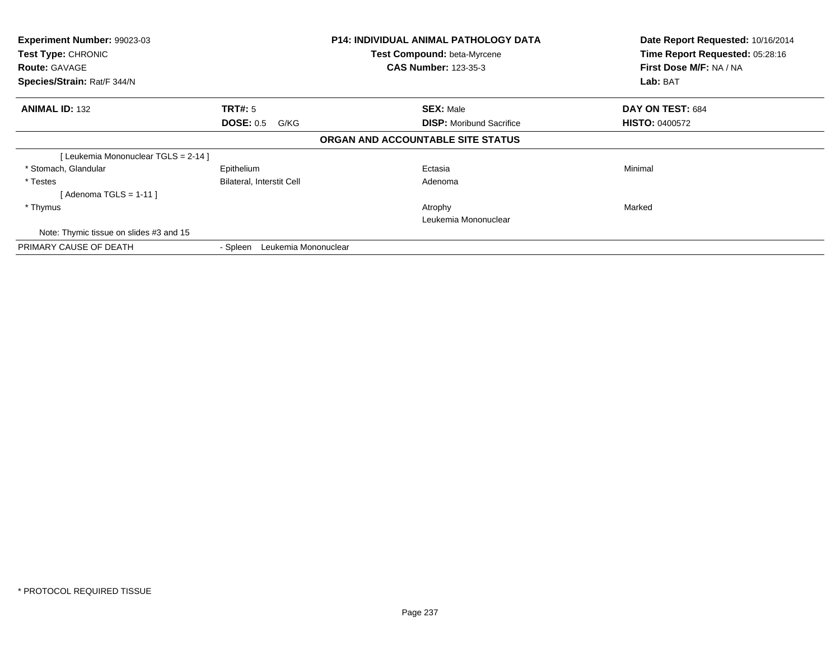| Experiment Number: 99023-03<br><b>Test Type: CHRONIC</b><br><b>Route: GAVAGE</b><br>Species/Strain: Rat/F 344/N |                                  | <b>P14: INDIVIDUAL ANIMAL PATHOLOGY DATA</b><br>Test Compound: beta-Myrcene<br><b>CAS Number: 123-35-3</b> | Date Report Requested: 10/16/2014<br>Time Report Requested: 05:28:16<br>First Dose M/F: NA / NA<br>Lab: BAT |
|-----------------------------------------------------------------------------------------------------------------|----------------------------------|------------------------------------------------------------------------------------------------------------|-------------------------------------------------------------------------------------------------------------|
| <b>ANIMAL ID: 132</b>                                                                                           | TRT#: 5                          | <b>SEX: Male</b>                                                                                           | DAY ON TEST: 684                                                                                            |
|                                                                                                                 | <b>DOSE: 0.5</b><br>G/KG         | <b>DISP:</b> Moribund Sacrifice                                                                            | <b>HISTO: 0400572</b>                                                                                       |
|                                                                                                                 |                                  | ORGAN AND ACCOUNTABLE SITE STATUS                                                                          |                                                                                                             |
| [Leukemia Mononuclear TGLS = 2-14 ]                                                                             |                                  |                                                                                                            |                                                                                                             |
| * Stomach, Glandular                                                                                            | Epithelium                       | Ectasia                                                                                                    | Minimal                                                                                                     |
| * Testes                                                                                                        | Bilateral, Interstit Cell        | Adenoma                                                                                                    |                                                                                                             |
| [ Adenoma TGLS = 1-11 ]                                                                                         |                                  |                                                                                                            |                                                                                                             |
| * Thymus                                                                                                        |                                  | Atrophy                                                                                                    | Marked                                                                                                      |
|                                                                                                                 |                                  | Leukemia Mononuclear                                                                                       |                                                                                                             |
| Note: Thymic tissue on slides #3 and 15                                                                         |                                  |                                                                                                            |                                                                                                             |
| PRIMARY CAUSE OF DEATH                                                                                          | Leukemia Mononuclear<br>- Spleen |                                                                                                            |                                                                                                             |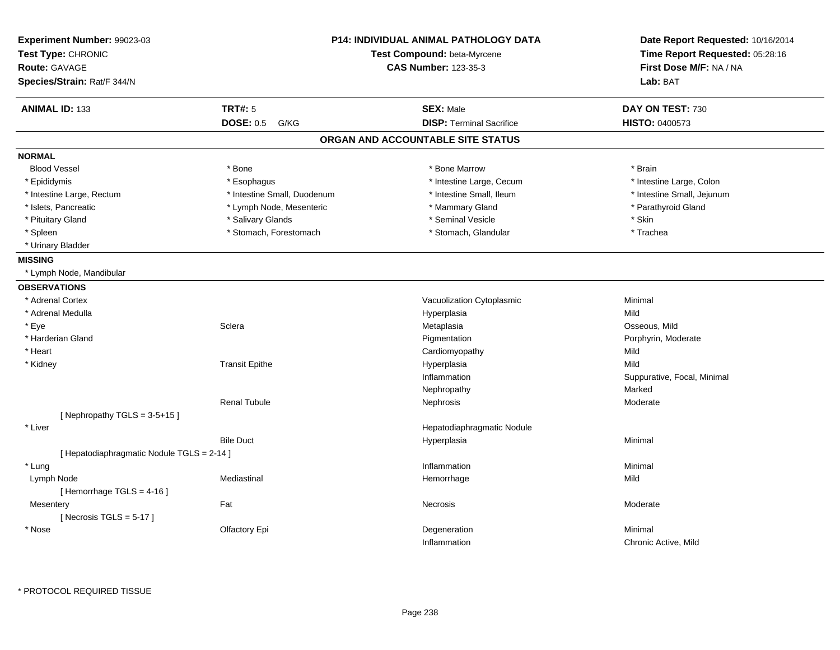| Experiment Number: 99023-03<br>Test Type: CHRONIC<br>Route: GAVAGE<br>Species/Strain: Rat/F 344/N |                             | <b>P14: INDIVIDUAL ANIMAL PATHOLOGY DATA</b><br>Test Compound: beta-Myrcene<br><b>CAS Number: 123-35-3</b> |                             |
|---------------------------------------------------------------------------------------------------|-----------------------------|------------------------------------------------------------------------------------------------------------|-----------------------------|
| <b>ANIMAL ID: 133</b>                                                                             | <b>TRT#: 5</b>              | <b>SEX: Male</b>                                                                                           | DAY ON TEST: 730            |
|                                                                                                   | <b>DOSE: 0.5</b><br>G/KG    | <b>DISP: Terminal Sacrifice</b>                                                                            | HISTO: 0400573              |
|                                                                                                   |                             | ORGAN AND ACCOUNTABLE SITE STATUS                                                                          |                             |
| <b>NORMAL</b>                                                                                     |                             |                                                                                                            |                             |
| <b>Blood Vessel</b>                                                                               | * Bone                      | * Bone Marrow                                                                                              | * Brain                     |
| * Epididymis                                                                                      | * Esophagus                 | * Intestine Large, Cecum                                                                                   | * Intestine Large, Colon    |
| * Intestine Large, Rectum                                                                         | * Intestine Small, Duodenum | * Intestine Small, Ileum                                                                                   | * Intestine Small, Jejunum  |
| * Islets, Pancreatic                                                                              | * Lymph Node, Mesenteric    | * Mammary Gland                                                                                            | * Parathyroid Gland         |
| * Pituitary Gland                                                                                 | * Salivary Glands           | * Seminal Vesicle                                                                                          | * Skin                      |
| * Spleen                                                                                          | * Stomach, Forestomach      | * Stomach, Glandular                                                                                       | * Trachea                   |
| * Urinary Bladder                                                                                 |                             |                                                                                                            |                             |
| <b>MISSING</b>                                                                                    |                             |                                                                                                            |                             |
| * Lymph Node, Mandibular                                                                          |                             |                                                                                                            |                             |
| <b>OBSERVATIONS</b>                                                                               |                             |                                                                                                            |                             |
| * Adrenal Cortex                                                                                  |                             | Vacuolization Cytoplasmic                                                                                  | Minimal                     |
| * Adrenal Medulla                                                                                 |                             | Hyperplasia                                                                                                | Mild                        |
| * Eye                                                                                             | Sclera                      | Metaplasia                                                                                                 | Osseous, Mild               |
| * Harderian Gland                                                                                 |                             | Pigmentation                                                                                               | Porphyrin, Moderate         |
| * Heart                                                                                           |                             | Cardiomyopathy                                                                                             | Mild                        |
| * Kidney                                                                                          | <b>Transit Epithe</b>       | Hyperplasia                                                                                                | Mild                        |
|                                                                                                   |                             | Inflammation                                                                                               | Suppurative, Focal, Minimal |
|                                                                                                   |                             | Nephropathy                                                                                                | Marked                      |
|                                                                                                   | <b>Renal Tubule</b>         | Nephrosis                                                                                                  | Moderate                    |
| [Nephropathy TGLS = $3-5+15$ ]                                                                    |                             |                                                                                                            |                             |
| * Liver                                                                                           |                             | Hepatodiaphragmatic Nodule                                                                                 |                             |
|                                                                                                   | <b>Bile Duct</b>            | Hyperplasia                                                                                                | Minimal                     |
| [ Hepatodiaphragmatic Nodule TGLS = 2-14 ]                                                        |                             |                                                                                                            |                             |
| * Lung                                                                                            |                             | Inflammation                                                                                               | Minimal                     |
| Lymph Node                                                                                        | Mediastinal                 | Hemorrhage                                                                                                 | Mild                        |
| [Hemorrhage TGLS = 4-16]                                                                          |                             |                                                                                                            |                             |
| Mesentery                                                                                         | Fat                         | Necrosis                                                                                                   | Moderate                    |
| [Necrosis $TGLS = 5-17$ ]                                                                         |                             |                                                                                                            |                             |
| * Nose                                                                                            | Olfactory Epi               | Degeneration                                                                                               | Minimal                     |
|                                                                                                   |                             | Inflammation                                                                                               | Chronic Active, Mild        |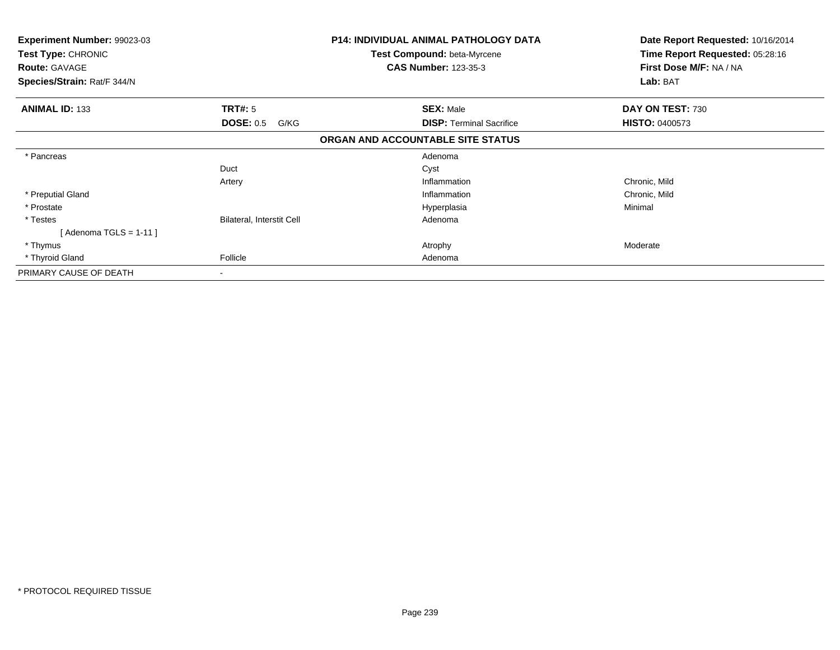| Experiment Number: 99023-03<br><b>Test Type: CHRONIC</b><br><b>Route: GAVAGE</b><br>Species/Strain: Rat/F 344/N |                                  | <b>P14: INDIVIDUAL ANIMAL PATHOLOGY DATA</b><br><b>Test Compound: beta-Myrcene</b><br><b>CAS Number: 123-35-3</b> | Date Report Requested: 10/16/2014<br>Time Report Requested: 05:28:16<br>First Dose M/F: NA / NA<br>Lab: BAT |
|-----------------------------------------------------------------------------------------------------------------|----------------------------------|-------------------------------------------------------------------------------------------------------------------|-------------------------------------------------------------------------------------------------------------|
| <b>ANIMAL ID: 133</b>                                                                                           | TRT#: 5                          | <b>SEX: Male</b>                                                                                                  | DAY ON TEST: 730                                                                                            |
|                                                                                                                 | <b>DOSE: 0.5</b><br>G/KG         | <b>DISP:</b> Terminal Sacrifice                                                                                   | <b>HISTO: 0400573</b>                                                                                       |
|                                                                                                                 |                                  | ORGAN AND ACCOUNTABLE SITE STATUS                                                                                 |                                                                                                             |
| * Pancreas                                                                                                      |                                  | Adenoma                                                                                                           |                                                                                                             |
|                                                                                                                 | Duct                             | Cyst                                                                                                              |                                                                                                             |
|                                                                                                                 | Artery                           | Inflammation                                                                                                      | Chronic, Mild                                                                                               |
| * Preputial Gland                                                                                               |                                  | Inflammation                                                                                                      | Chronic, Mild                                                                                               |
| * Prostate                                                                                                      |                                  | Hyperplasia                                                                                                       | Minimal                                                                                                     |
| * Testes                                                                                                        | <b>Bilateral, Interstit Cell</b> | Adenoma                                                                                                           |                                                                                                             |
| [ Adenoma TGLS = 1-11 ]                                                                                         |                                  |                                                                                                                   |                                                                                                             |
| * Thymus                                                                                                        |                                  | Atrophy                                                                                                           | Moderate                                                                                                    |
| * Thyroid Gland                                                                                                 | Follicle                         | Adenoma                                                                                                           |                                                                                                             |
| PRIMARY CAUSE OF DEATH                                                                                          | ٠.                               |                                                                                                                   |                                                                                                             |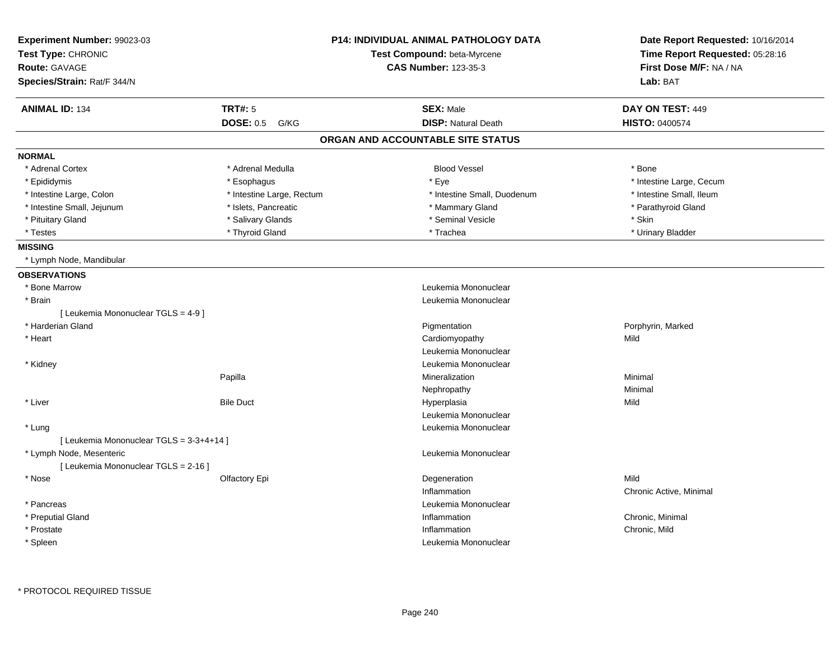| Experiment Number: 99023-03<br>Test Type: CHRONIC<br><b>Route: GAVAGE</b><br>Species/Strain: Rat/F 344/N |                           | P14: INDIVIDUAL ANIMAL PATHOLOGY DATA<br>Test Compound: beta-Myrcene<br><b>CAS Number: 123-35-3</b> | Date Report Requested: 10/16/2014<br>Time Report Requested: 05:28:16<br>First Dose M/F: NA / NA<br>Lab: BAT |
|----------------------------------------------------------------------------------------------------------|---------------------------|-----------------------------------------------------------------------------------------------------|-------------------------------------------------------------------------------------------------------------|
|                                                                                                          |                           |                                                                                                     |                                                                                                             |
| <b>ANIMAL ID: 134</b>                                                                                    | <b>TRT#: 5</b>            | <b>SEX: Male</b>                                                                                    | DAY ON TEST: 449                                                                                            |
|                                                                                                          | <b>DOSE: 0.5</b><br>G/KG  | <b>DISP: Natural Death</b>                                                                          | <b>HISTO: 0400574</b>                                                                                       |
|                                                                                                          |                           | ORGAN AND ACCOUNTABLE SITE STATUS                                                                   |                                                                                                             |
| <b>NORMAL</b>                                                                                            |                           |                                                                                                     |                                                                                                             |
| * Adrenal Cortex                                                                                         | * Adrenal Medulla         | <b>Blood Vessel</b>                                                                                 | * Bone                                                                                                      |
| * Epididymis                                                                                             | * Esophagus               | * Eye                                                                                               | * Intestine Large, Cecum                                                                                    |
| * Intestine Large, Colon                                                                                 | * Intestine Large, Rectum | * Intestine Small, Duodenum                                                                         | * Intestine Small, Ileum                                                                                    |
| * Intestine Small, Jejunum                                                                               | * Islets, Pancreatic      | * Mammary Gland                                                                                     | * Parathyroid Gland                                                                                         |
| * Pituitary Gland                                                                                        | * Salivary Glands         | * Seminal Vesicle                                                                                   | * Skin                                                                                                      |
| * Testes                                                                                                 | * Thyroid Gland           | * Trachea                                                                                           | * Urinary Bladder                                                                                           |
| <b>MISSING</b>                                                                                           |                           |                                                                                                     |                                                                                                             |
| * Lymph Node, Mandibular                                                                                 |                           |                                                                                                     |                                                                                                             |
| <b>OBSERVATIONS</b>                                                                                      |                           |                                                                                                     |                                                                                                             |
| * Bone Marrow                                                                                            |                           | Leukemia Mononuclear                                                                                |                                                                                                             |
| * Brain                                                                                                  |                           | Leukemia Mononuclear                                                                                |                                                                                                             |
| [ Leukemia Mononuclear TGLS = 4-9 ]                                                                      |                           |                                                                                                     |                                                                                                             |
| * Harderian Gland                                                                                        |                           | Pigmentation                                                                                        | Porphyrin, Marked                                                                                           |
| * Heart                                                                                                  |                           | Cardiomyopathy                                                                                      | Mild                                                                                                        |
|                                                                                                          |                           | Leukemia Mononuclear                                                                                |                                                                                                             |
| * Kidney                                                                                                 |                           | Leukemia Mononuclear                                                                                |                                                                                                             |
|                                                                                                          | Papilla                   | Mineralization                                                                                      | Minimal                                                                                                     |
|                                                                                                          |                           | Nephropathy                                                                                         | Minimal                                                                                                     |
| * Liver                                                                                                  | <b>Bile Duct</b>          | Hyperplasia                                                                                         | Mild                                                                                                        |
|                                                                                                          |                           | Leukemia Mononuclear                                                                                |                                                                                                             |
| * Lung                                                                                                   |                           | Leukemia Mononuclear                                                                                |                                                                                                             |
| [ Leukemia Mononuclear TGLS = 3-3+4+14 ]                                                                 |                           |                                                                                                     |                                                                                                             |
| * Lymph Node, Mesenteric                                                                                 |                           | Leukemia Mononuclear                                                                                |                                                                                                             |
| [ Leukemia Mononuclear TGLS = 2-16 ]                                                                     |                           |                                                                                                     |                                                                                                             |
| * Nose                                                                                                   | Olfactory Epi             | Degeneration                                                                                        | Mild                                                                                                        |
|                                                                                                          |                           | Inflammation                                                                                        | Chronic Active, Minimal                                                                                     |
| * Pancreas                                                                                               |                           | Leukemia Mononuclear                                                                                |                                                                                                             |
| * Preputial Gland                                                                                        |                           | Inflammation                                                                                        | Chronic, Minimal                                                                                            |
| * Prostate                                                                                               |                           | Inflammation                                                                                        | Chronic, Mild                                                                                               |
| * Spleen                                                                                                 |                           | Leukemia Mononuclear                                                                                |                                                                                                             |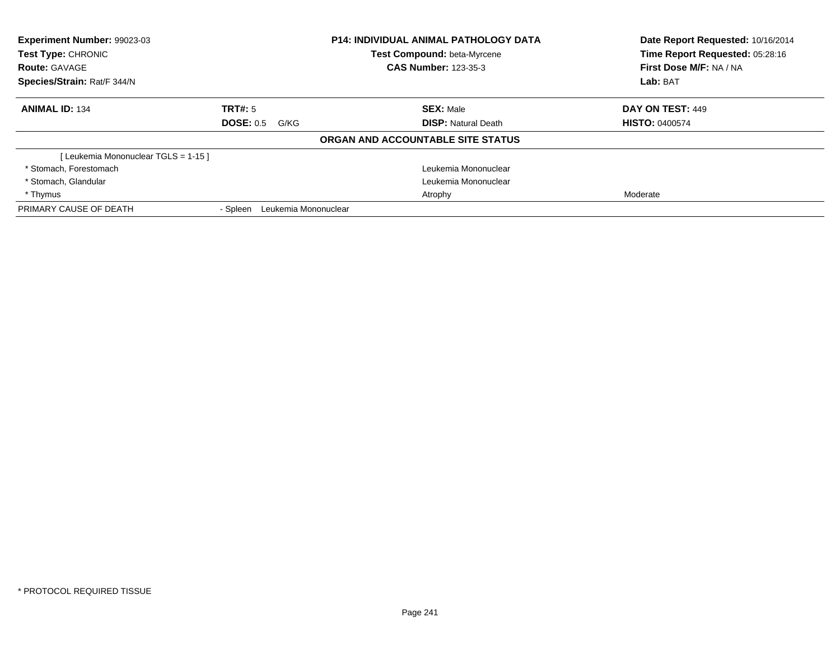| <b>Experiment Number: 99023-03</b><br><b>Test Type: CHRONIC</b> |                                  | <b>P14: INDIVIDUAL ANIMAL PATHOLOGY DATA</b><br><b>Test Compound: beta-Myrcene</b> | Date Report Requested: 10/16/2014<br>Time Report Requested: 05:28:16 |
|-----------------------------------------------------------------|----------------------------------|------------------------------------------------------------------------------------|----------------------------------------------------------------------|
| <b>Route: GAVAGE</b>                                            |                                  | <b>CAS Number: 123-35-3</b>                                                        | First Dose M/F: NA / NA                                              |
| Species/Strain: Rat/F 344/N                                     |                                  |                                                                                    | Lab: BAT                                                             |
| <b>ANIMAL ID: 134</b>                                           | TRT#: 5                          | <b>SEX: Male</b>                                                                   | DAY ON TEST: 449                                                     |
|                                                                 | <b>DOSE: 0.5</b><br>G/KG         | <b>DISP:</b> Natural Death                                                         | <b>HISTO: 0400574</b>                                                |
|                                                                 |                                  | ORGAN AND ACCOUNTABLE SITE STATUS                                                  |                                                                      |
| [Leukemia Mononuclear TGLS = 1-15]                              |                                  |                                                                                    |                                                                      |
| * Stomach, Forestomach                                          |                                  | Leukemia Mononuclear                                                               |                                                                      |
| * Stomach, Glandular                                            |                                  | Leukemia Mononuclear                                                               |                                                                      |
| * Thymus                                                        |                                  | Atrophy                                                                            | Moderate                                                             |
| PRIMARY CAUSE OF DEATH                                          | Leukemia Mononuclear<br>- Spleen |                                                                                    |                                                                      |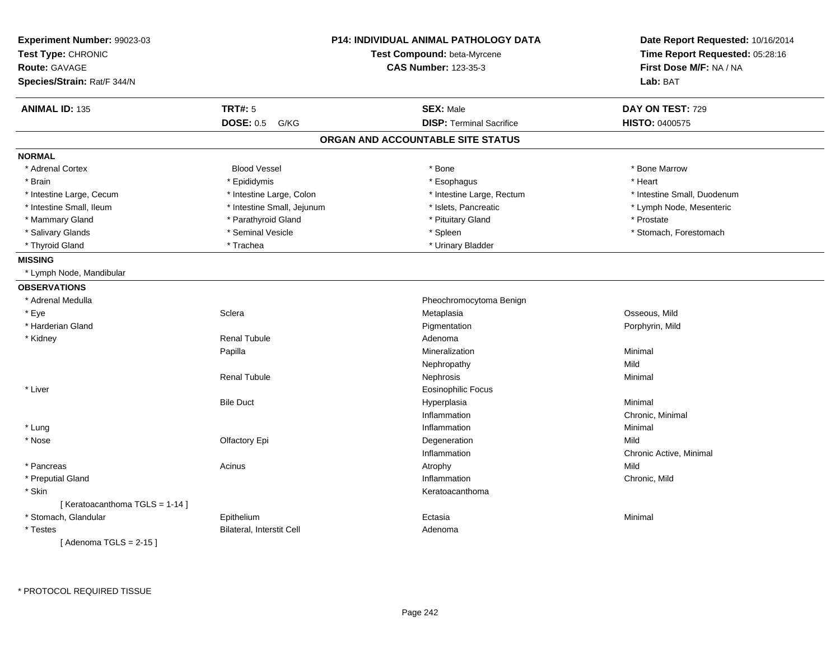| Experiment Number: 99023-03<br>Test Type: CHRONIC |                                  | <b>P14: INDIVIDUAL ANIMAL PATHOLOGY DATA</b><br>Test Compound: beta-Myrcene | Date Report Requested: 10/16/2014<br>Time Report Requested: 05:28:16 |  |
|---------------------------------------------------|----------------------------------|-----------------------------------------------------------------------------|----------------------------------------------------------------------|--|
| <b>Route: GAVAGE</b>                              |                                  | <b>CAS Number: 123-35-3</b>                                                 | First Dose M/F: NA / NA                                              |  |
| Species/Strain: Rat/F 344/N                       |                                  |                                                                             | Lab: BAT                                                             |  |
| <b>ANIMAL ID: 135</b>                             | <b>TRT#: 5</b>                   | <b>SEX: Male</b>                                                            | DAY ON TEST: 729                                                     |  |
|                                                   | <b>DOSE: 0.5</b><br>G/KG         | <b>DISP: Terminal Sacrifice</b>                                             | HISTO: 0400575                                                       |  |
|                                                   |                                  | ORGAN AND ACCOUNTABLE SITE STATUS                                           |                                                                      |  |
| <b>NORMAL</b>                                     |                                  |                                                                             |                                                                      |  |
| * Adrenal Cortex                                  | <b>Blood Vessel</b>              | * Bone                                                                      | * Bone Marrow                                                        |  |
| * Brain                                           | * Epididymis                     | * Esophagus                                                                 | * Heart                                                              |  |
| * Intestine Large, Cecum                          | * Intestine Large, Colon         | * Intestine Large, Rectum                                                   | * Intestine Small, Duodenum                                          |  |
| * Intestine Small, Ileum                          | * Intestine Small, Jejunum       | * Islets, Pancreatic                                                        | * Lymph Node, Mesenteric                                             |  |
| * Mammary Gland                                   | * Parathyroid Gland              | * Pituitary Gland                                                           | * Prostate                                                           |  |
| * Salivary Glands                                 | * Seminal Vesicle                | * Spleen                                                                    | * Stomach, Forestomach                                               |  |
| * Thyroid Gland                                   | * Trachea                        | * Urinary Bladder                                                           |                                                                      |  |
| <b>MISSING</b>                                    |                                  |                                                                             |                                                                      |  |
| * Lymph Node, Mandibular                          |                                  |                                                                             |                                                                      |  |
| <b>OBSERVATIONS</b>                               |                                  |                                                                             |                                                                      |  |
| * Adrenal Medulla                                 |                                  | Pheochromocytoma Benign                                                     |                                                                      |  |
| * Eye                                             | Sclera                           | Metaplasia                                                                  | Osseous, Mild                                                        |  |
| * Harderian Gland                                 |                                  | Pigmentation                                                                | Porphyrin, Mild                                                      |  |
| * Kidney                                          | <b>Renal Tubule</b>              | Adenoma                                                                     |                                                                      |  |
|                                                   | Papilla                          | Mineralization                                                              | Minimal                                                              |  |
|                                                   |                                  | Nephropathy                                                                 | Mild                                                                 |  |
|                                                   | <b>Renal Tubule</b>              | Nephrosis                                                                   | Minimal                                                              |  |
| * Liver                                           |                                  | <b>Eosinophilic Focus</b>                                                   |                                                                      |  |
|                                                   | <b>Bile Duct</b>                 | Hyperplasia                                                                 | Minimal                                                              |  |
|                                                   |                                  | Inflammation                                                                | Chronic, Minimal                                                     |  |
| * Lung                                            |                                  | Inflammation                                                                | Minimal                                                              |  |
| * Nose                                            | Olfactory Epi                    | Degeneration                                                                | Mild                                                                 |  |
|                                                   |                                  | Inflammation                                                                | Chronic Active, Minimal                                              |  |
| * Pancreas                                        | Acinus                           | Atrophy                                                                     | Mild                                                                 |  |
| * Preputial Gland                                 |                                  | Inflammation                                                                | Chronic, Mild                                                        |  |
| * Skin                                            |                                  | Keratoacanthoma                                                             |                                                                      |  |
| [Keratoacanthoma TGLS = 1-14]                     |                                  |                                                                             |                                                                      |  |
| * Stomach, Glandular                              | Epithelium                       | Ectasia                                                                     | Minimal                                                              |  |
| $^\star$ Testes                                   | <b>Bilateral, Interstit Cell</b> | Adenoma                                                                     |                                                                      |  |
| [Adenoma TGLS = $2-15$ ]                          |                                  |                                                                             |                                                                      |  |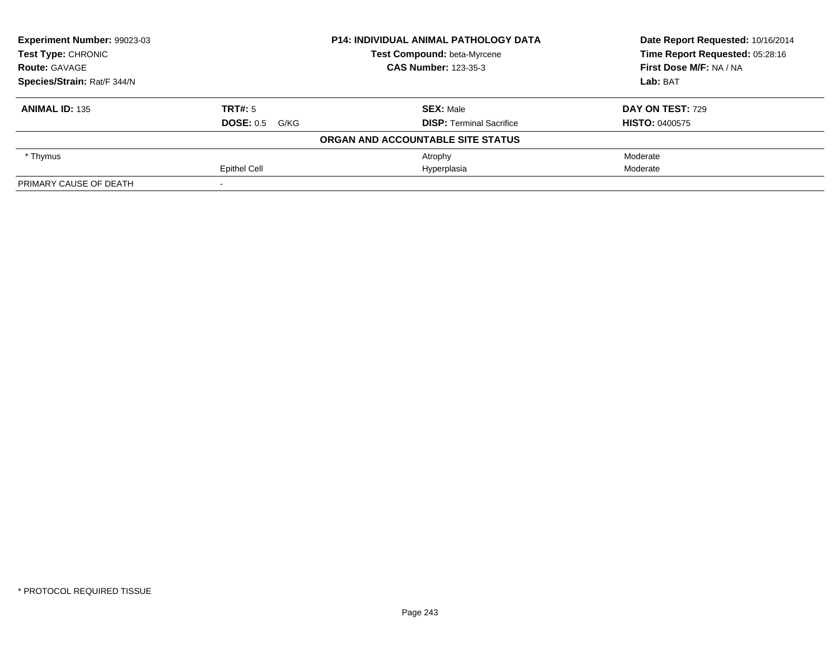| Experiment Number: 99023-03 |                       | <b>P14: INDIVIDUAL ANIMAL PATHOLOGY DATA</b> | Date Report Requested: 10/16/2014<br>Time Report Requested: 05:28:16 |
|-----------------------------|-----------------------|----------------------------------------------|----------------------------------------------------------------------|
| Test Type: CHRONIC          |                       | Test Compound: beta-Myrcene                  |                                                                      |
| <b>Route: GAVAGE</b>        |                       | <b>CAS Number: 123-35-3</b>                  | First Dose M/F: NA / NA                                              |
| Species/Strain: Rat/F 344/N |                       |                                              | Lab: BAT                                                             |
| <b>ANIMAL ID: 135</b>       | TRT#: 5               | <b>SEX: Male</b>                             | DAY ON TEST: 729                                                     |
|                             | <b>DOSE: 0.5 G/KG</b> | <b>DISP: Terminal Sacrifice</b>              | <b>HISTO: 0400575</b>                                                |
|                             |                       | ORGAN AND ACCOUNTABLE SITE STATUS            |                                                                      |
| * Thymus                    |                       | Atrophy                                      | Moderate                                                             |
|                             | <b>Epithel Cell</b>   | Hyperplasia                                  | Moderate                                                             |
| PRIMARY CAUSE OF DEATH      |                       |                                              |                                                                      |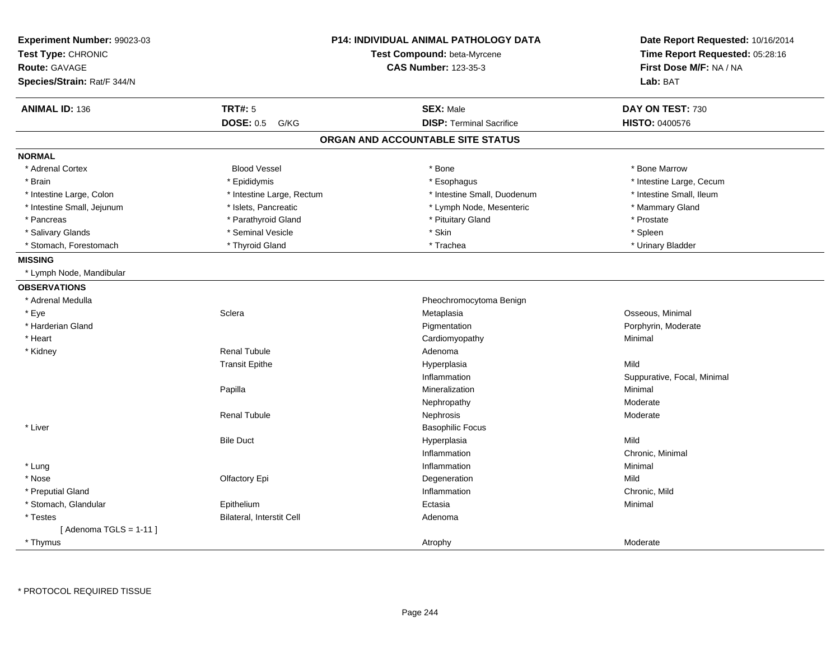| Experiment Number: 99023-03<br>Test Type: CHRONIC<br><b>Route: GAVAGE</b><br>Species/Strain: Rat/F 344/N | <b>P14: INDIVIDUAL ANIMAL PATHOLOGY DATA</b><br>Test Compound: beta-Myrcene<br><b>CAS Number: 123-35-3</b> |                                   | Date Report Requested: 10/16/2014<br>Time Report Requested: 05:28:16<br>First Dose M/F: NA / NA<br>Lab: BAT |
|----------------------------------------------------------------------------------------------------------|------------------------------------------------------------------------------------------------------------|-----------------------------------|-------------------------------------------------------------------------------------------------------------|
| <b>ANIMAL ID: 136</b>                                                                                    | <b>TRT#: 5</b>                                                                                             | <b>SEX: Male</b>                  | DAY ON TEST: 730                                                                                            |
|                                                                                                          | <b>DOSE: 0.5</b><br>G/KG                                                                                   | <b>DISP: Terminal Sacrifice</b>   | <b>HISTO: 0400576</b>                                                                                       |
|                                                                                                          |                                                                                                            | ORGAN AND ACCOUNTABLE SITE STATUS |                                                                                                             |
| <b>NORMAL</b>                                                                                            |                                                                                                            |                                   |                                                                                                             |
| * Adrenal Cortex                                                                                         | <b>Blood Vessel</b>                                                                                        | * Bone                            | * Bone Marrow                                                                                               |
| * Brain                                                                                                  | * Epididymis                                                                                               | * Esophagus                       | * Intestine Large, Cecum                                                                                    |
| * Intestine Large, Colon                                                                                 | * Intestine Large, Rectum                                                                                  | * Intestine Small, Duodenum       | * Intestine Small, Ileum                                                                                    |
| * Intestine Small, Jejunum                                                                               | * Islets, Pancreatic                                                                                       | * Lymph Node, Mesenteric          | * Mammary Gland                                                                                             |
| * Pancreas                                                                                               | * Parathyroid Gland                                                                                        | * Pituitary Gland                 | * Prostate                                                                                                  |
| * Salivary Glands                                                                                        | * Seminal Vesicle                                                                                          | * Skin                            | * Spleen                                                                                                    |
| * Stomach, Forestomach                                                                                   | * Thyroid Gland                                                                                            | * Trachea                         | * Urinary Bladder                                                                                           |
| <b>MISSING</b>                                                                                           |                                                                                                            |                                   |                                                                                                             |
| * Lymph Node, Mandibular                                                                                 |                                                                                                            |                                   |                                                                                                             |
| <b>OBSERVATIONS</b>                                                                                      |                                                                                                            |                                   |                                                                                                             |
| * Adrenal Medulla                                                                                        |                                                                                                            | Pheochromocytoma Benign           |                                                                                                             |
| * Eye                                                                                                    | Sclera                                                                                                     | Metaplasia                        | Osseous, Minimal                                                                                            |
| * Harderian Gland                                                                                        |                                                                                                            | Pigmentation                      | Porphyrin, Moderate                                                                                         |
| * Heart                                                                                                  |                                                                                                            | Cardiomyopathy                    | Minimal                                                                                                     |
| * Kidney                                                                                                 | <b>Renal Tubule</b>                                                                                        | Adenoma                           |                                                                                                             |
|                                                                                                          | <b>Transit Epithe</b>                                                                                      | Hyperplasia                       | Mild                                                                                                        |
|                                                                                                          |                                                                                                            | Inflammation                      | Suppurative, Focal, Minimal                                                                                 |
|                                                                                                          | Papilla                                                                                                    | Mineralization                    | Minimal                                                                                                     |
|                                                                                                          |                                                                                                            | Nephropathy                       | Moderate                                                                                                    |
|                                                                                                          | <b>Renal Tubule</b>                                                                                        | Nephrosis                         | Moderate                                                                                                    |
| * Liver                                                                                                  |                                                                                                            | <b>Basophilic Focus</b>           |                                                                                                             |
|                                                                                                          | <b>Bile Duct</b>                                                                                           | Hyperplasia                       | Mild                                                                                                        |
|                                                                                                          |                                                                                                            | Inflammation                      | Chronic, Minimal                                                                                            |
| * Lung                                                                                                   |                                                                                                            | Inflammation                      | Minimal                                                                                                     |
| * Nose                                                                                                   | Olfactory Epi                                                                                              | Degeneration                      | Mild                                                                                                        |
| * Preputial Gland                                                                                        |                                                                                                            | Inflammation                      | Chronic, Mild                                                                                               |
| * Stomach, Glandular                                                                                     | Epithelium                                                                                                 | Ectasia                           | Minimal                                                                                                     |
| * Testes                                                                                                 | Bilateral, Interstit Cell                                                                                  | Adenoma                           |                                                                                                             |
| [Adenoma TGLS = $1-11$ ]                                                                                 |                                                                                                            |                                   |                                                                                                             |
| * Thymus                                                                                                 |                                                                                                            | Atrophy                           | Moderate                                                                                                    |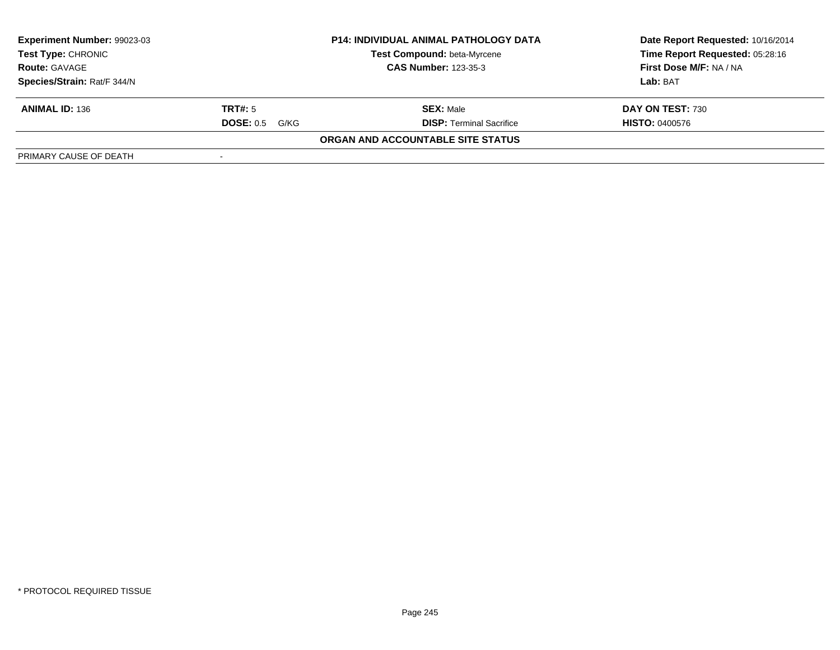| Experiment Number: 99023-03                         | <b>P14: INDIVIDUAL ANIMAL PATHOLOGY DATA</b> |                                   | Date Report Requested: 10/16/2014 |
|-----------------------------------------------------|----------------------------------------------|-----------------------------------|-----------------------------------|
| <b>Test Type: CHRONIC</b>                           |                                              | Test Compound: beta-Myrcene       | Time Report Requested: 05:28:16   |
| <b>CAS Number: 123-35-3</b><br><b>Route: GAVAGE</b> |                                              | First Dose M/F: NA / NA           |                                   |
| Species/Strain: Rat/F 344/N                         |                                              |                                   | Lab: BAT                          |
| <b>ANIMAL ID: 136</b>                               | TRT#: 5                                      | <b>SEX: Male</b>                  | DAY ON TEST: 730                  |
|                                                     | <b>DOSE: 0.5</b><br>G/KG                     | <b>DISP: Terminal Sacrifice</b>   | <b>HISTO: 0400576</b>             |
|                                                     |                                              | ORGAN AND ACCOUNTABLE SITE STATUS |                                   |
| PRIMARY CAUSE OF DEATH                              |                                              |                                   |                                   |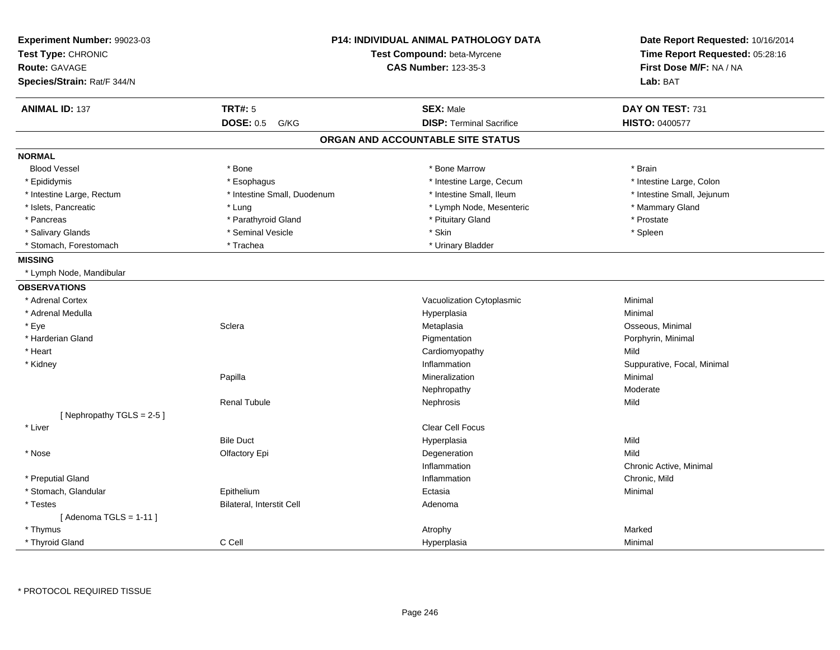| Experiment Number: 99023-03<br>Test Type: CHRONIC<br><b>Route: GAVAGE</b><br>Species/Strain: Rat/F 344/N | <b>P14: INDIVIDUAL ANIMAL PATHOLOGY DATA</b><br>Test Compound: beta-Myrcene<br><b>CAS Number: 123-35-3</b> |                                   | Date Report Requested: 10/16/2014<br>Time Report Requested: 05:28:16<br>First Dose M/F: NA / NA<br>Lab: BAT |
|----------------------------------------------------------------------------------------------------------|------------------------------------------------------------------------------------------------------------|-----------------------------------|-------------------------------------------------------------------------------------------------------------|
| <b>ANIMAL ID: 137</b>                                                                                    | <b>TRT#: 5</b>                                                                                             | <b>SEX: Male</b>                  | DAY ON TEST: 731                                                                                            |
|                                                                                                          | <b>DOSE: 0.5</b><br>G/KG                                                                                   | <b>DISP: Terminal Sacrifice</b>   | HISTO: 0400577                                                                                              |
|                                                                                                          |                                                                                                            | ORGAN AND ACCOUNTABLE SITE STATUS |                                                                                                             |
| <b>NORMAL</b>                                                                                            |                                                                                                            |                                   |                                                                                                             |
| <b>Blood Vessel</b>                                                                                      | * Bone                                                                                                     | * Bone Marrow                     | * Brain                                                                                                     |
| * Epididymis                                                                                             | * Esophagus                                                                                                | * Intestine Large, Cecum          | * Intestine Large, Colon                                                                                    |
| * Intestine Large, Rectum                                                                                | * Intestine Small, Duodenum                                                                                | * Intestine Small, Ileum          | * Intestine Small, Jejunum                                                                                  |
| * Islets, Pancreatic                                                                                     | * Lung                                                                                                     | * Lymph Node, Mesenteric          | * Mammary Gland                                                                                             |
| * Pancreas                                                                                               | * Parathyroid Gland                                                                                        | * Pituitary Gland                 | * Prostate                                                                                                  |
| * Salivary Glands                                                                                        | * Seminal Vesicle                                                                                          | * Skin                            | * Spleen                                                                                                    |
| * Stomach, Forestomach                                                                                   | * Trachea                                                                                                  | * Urinary Bladder                 |                                                                                                             |
| <b>MISSING</b>                                                                                           |                                                                                                            |                                   |                                                                                                             |
| * Lymph Node, Mandibular                                                                                 |                                                                                                            |                                   |                                                                                                             |
| <b>OBSERVATIONS</b>                                                                                      |                                                                                                            |                                   |                                                                                                             |
| * Adrenal Cortex                                                                                         |                                                                                                            | Vacuolization Cytoplasmic         | Minimal                                                                                                     |
| * Adrenal Medulla                                                                                        |                                                                                                            | Hyperplasia                       | Minimal                                                                                                     |
| * Eye                                                                                                    | Sclera                                                                                                     | Metaplasia                        | Osseous, Minimal                                                                                            |
| * Harderian Gland                                                                                        |                                                                                                            | Pigmentation                      | Porphyrin, Minimal                                                                                          |
| * Heart                                                                                                  |                                                                                                            | Cardiomyopathy                    | Mild                                                                                                        |
| * Kidney                                                                                                 |                                                                                                            | Inflammation                      | Suppurative, Focal, Minimal                                                                                 |
|                                                                                                          | Papilla                                                                                                    | Mineralization                    | Minimal                                                                                                     |
|                                                                                                          |                                                                                                            | Nephropathy                       | Moderate                                                                                                    |
|                                                                                                          | <b>Renal Tubule</b>                                                                                        | Nephrosis                         | Mild                                                                                                        |
| [Nephropathy TGLS = 2-5]                                                                                 |                                                                                                            |                                   |                                                                                                             |
| * Liver                                                                                                  |                                                                                                            | Clear Cell Focus                  |                                                                                                             |
|                                                                                                          | <b>Bile Duct</b>                                                                                           | Hyperplasia                       | Mild                                                                                                        |
| * Nose                                                                                                   | Olfactory Epi                                                                                              | Degeneration                      | Mild                                                                                                        |
|                                                                                                          |                                                                                                            | Inflammation                      | Chronic Active, Minimal                                                                                     |
| * Preputial Gland                                                                                        |                                                                                                            | Inflammation                      | Chronic, Mild                                                                                               |
| * Stomach, Glandular                                                                                     | Epithelium                                                                                                 | Ectasia                           | Minimal                                                                                                     |
| * Testes                                                                                                 | Bilateral, Interstit Cell                                                                                  | Adenoma                           |                                                                                                             |
| [Adenoma TGLS = $1-11$ ]                                                                                 |                                                                                                            |                                   |                                                                                                             |
| * Thymus                                                                                                 |                                                                                                            | Atrophy                           | Marked                                                                                                      |
| * Thyroid Gland                                                                                          | C Cell                                                                                                     | Hyperplasia                       | Minimal                                                                                                     |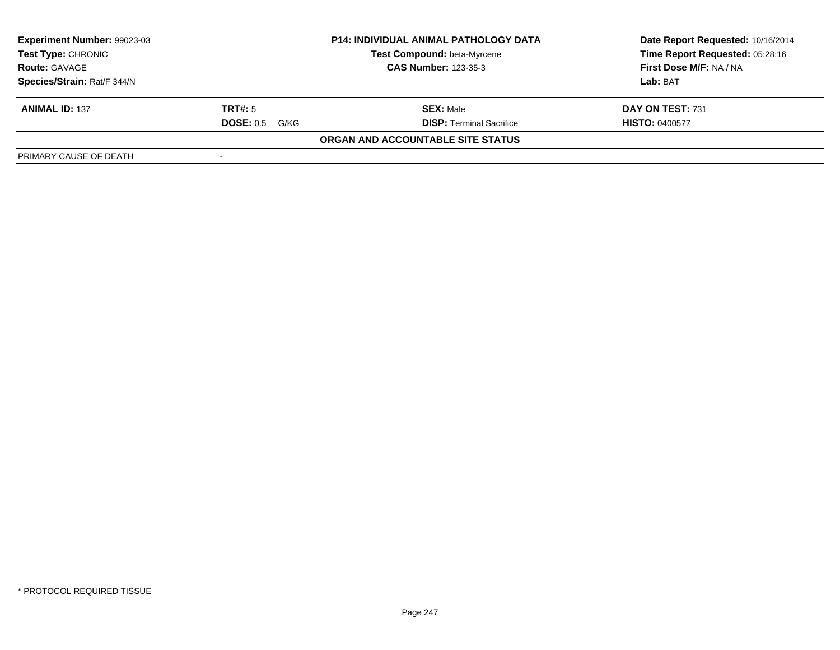| Experiment Number: 99023-03                         | <b>P14: INDIVIDUAL ANIMAL PATHOLOGY DATA</b> |                                   | Date Report Requested: 10/16/2014 |
|-----------------------------------------------------|----------------------------------------------|-----------------------------------|-----------------------------------|
| <b>Test Type: CHRONIC</b>                           |                                              | Test Compound: beta-Myrcene       | Time Report Requested: 05:28:16   |
| <b>CAS Number: 123-35-3</b><br><b>Route: GAVAGE</b> |                                              | First Dose M/F: NA / NA           |                                   |
| Species/Strain: Rat/F 344/N                         |                                              |                                   | Lab: BAT                          |
| <b>ANIMAL ID: 137</b>                               | TRT#: 5                                      | <b>SEX: Male</b>                  | DAY ON TEST: 731                  |
|                                                     | <b>DOSE: 0.5</b><br>G/KG                     | <b>DISP: Terminal Sacrifice</b>   | <b>HISTO: 0400577</b>             |
|                                                     |                                              | ORGAN AND ACCOUNTABLE SITE STATUS |                                   |
| PRIMARY CAUSE OF DEATH                              |                                              |                                   |                                   |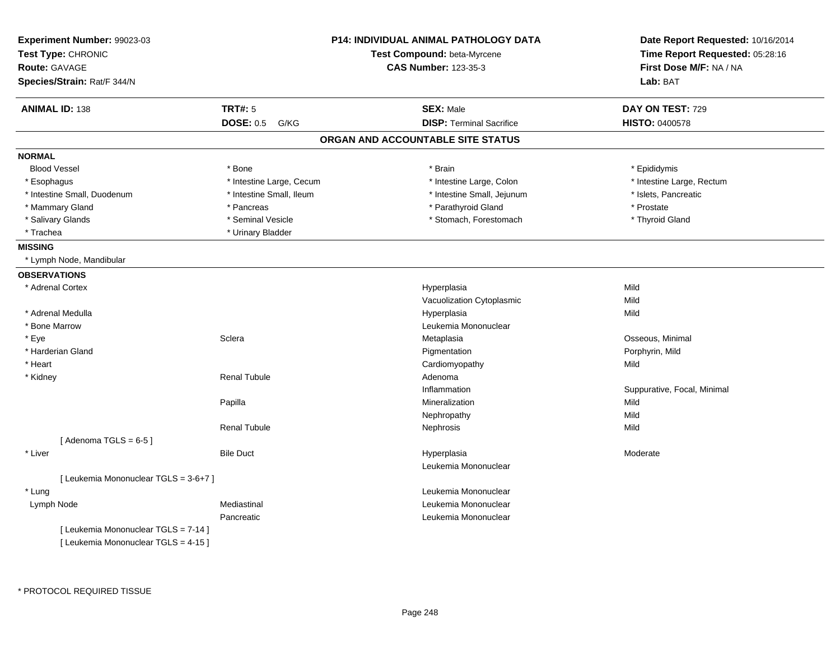| Experiment Number: 99023-03<br>Test Type: CHRONIC<br><b>Route: GAVAGE</b><br>Species/Strain: Rat/F 344/N |                          | <b>P14: INDIVIDUAL ANIMAL PATHOLOGY DATA</b><br>Test Compound: beta-Myrcene<br><b>CAS Number: 123-35-3</b> | Date Report Requested: 10/16/2014<br>Time Report Requested: 05:28:16<br>First Dose M/F: NA / NA<br>Lab: BAT |
|----------------------------------------------------------------------------------------------------------|--------------------------|------------------------------------------------------------------------------------------------------------|-------------------------------------------------------------------------------------------------------------|
|                                                                                                          |                          |                                                                                                            |                                                                                                             |
| <b>ANIMAL ID: 138</b>                                                                                    | <b>TRT#: 5</b>           | <b>SEX: Male</b>                                                                                           | DAY ON TEST: 729                                                                                            |
|                                                                                                          | DOSE: 0.5 G/KG           | <b>DISP: Terminal Sacrifice</b>                                                                            | <b>HISTO: 0400578</b>                                                                                       |
|                                                                                                          |                          | ORGAN AND ACCOUNTABLE SITE STATUS                                                                          |                                                                                                             |
| <b>NORMAL</b>                                                                                            |                          |                                                                                                            |                                                                                                             |
| <b>Blood Vessel</b>                                                                                      | * Bone                   | * Brain                                                                                                    | * Epididymis                                                                                                |
| * Esophagus                                                                                              | * Intestine Large, Cecum | * Intestine Large, Colon                                                                                   | * Intestine Large, Rectum                                                                                   |
| * Intestine Small, Duodenum                                                                              | * Intestine Small, Ileum | * Intestine Small, Jejunum                                                                                 | * Islets, Pancreatic                                                                                        |
| * Mammary Gland                                                                                          | * Pancreas               | * Parathyroid Gland                                                                                        | * Prostate                                                                                                  |
| * Salivary Glands                                                                                        | * Seminal Vesicle        | * Stomach, Forestomach                                                                                     | * Thyroid Gland                                                                                             |
| * Trachea                                                                                                | * Urinary Bladder        |                                                                                                            |                                                                                                             |
| <b>MISSING</b>                                                                                           |                          |                                                                                                            |                                                                                                             |
| * Lymph Node, Mandibular                                                                                 |                          |                                                                                                            |                                                                                                             |
| <b>OBSERVATIONS</b>                                                                                      |                          |                                                                                                            |                                                                                                             |
| * Adrenal Cortex                                                                                         |                          | Hyperplasia                                                                                                | Mild                                                                                                        |
|                                                                                                          |                          | Vacuolization Cytoplasmic                                                                                  | Mild                                                                                                        |
| * Adrenal Medulla                                                                                        |                          | Hyperplasia                                                                                                | Mild                                                                                                        |
| * Bone Marrow                                                                                            |                          | Leukemia Mononuclear                                                                                       |                                                                                                             |
| * Eye                                                                                                    | Sclera                   | Metaplasia                                                                                                 | Osseous, Minimal                                                                                            |
| * Harderian Gland                                                                                        |                          | Pigmentation                                                                                               | Porphyrin, Mild                                                                                             |
| * Heart                                                                                                  |                          | Cardiomyopathy                                                                                             | Mild                                                                                                        |
| * Kidney                                                                                                 | <b>Renal Tubule</b>      | Adenoma                                                                                                    |                                                                                                             |
|                                                                                                          |                          | Inflammation                                                                                               | Suppurative, Focal, Minimal                                                                                 |
|                                                                                                          | Papilla                  | Mineralization                                                                                             | Mild                                                                                                        |
|                                                                                                          |                          | Nephropathy                                                                                                | Mild                                                                                                        |
|                                                                                                          | <b>Renal Tubule</b>      | Nephrosis                                                                                                  | Mild                                                                                                        |
| [Adenoma TGLS = $6-5$ ]                                                                                  |                          |                                                                                                            |                                                                                                             |
| * Liver                                                                                                  | <b>Bile Duct</b>         | Hyperplasia                                                                                                | Moderate                                                                                                    |
|                                                                                                          |                          | Leukemia Mononuclear                                                                                       |                                                                                                             |
| [ Leukemia Mononuclear TGLS = 3-6+7 ]                                                                    |                          |                                                                                                            |                                                                                                             |
| * Lung                                                                                                   |                          | Leukemia Mononuclear                                                                                       |                                                                                                             |
| Lymph Node                                                                                               | Mediastinal              | Leukemia Mononuclear                                                                                       |                                                                                                             |
|                                                                                                          | Pancreatic               | Leukemia Mononuclear                                                                                       |                                                                                                             |
| [ Leukemia Mononuclear TGLS = 7-14 ]                                                                     |                          |                                                                                                            |                                                                                                             |
| [ Leukemia Mononuclear TGLS = 4-15 ]                                                                     |                          |                                                                                                            |                                                                                                             |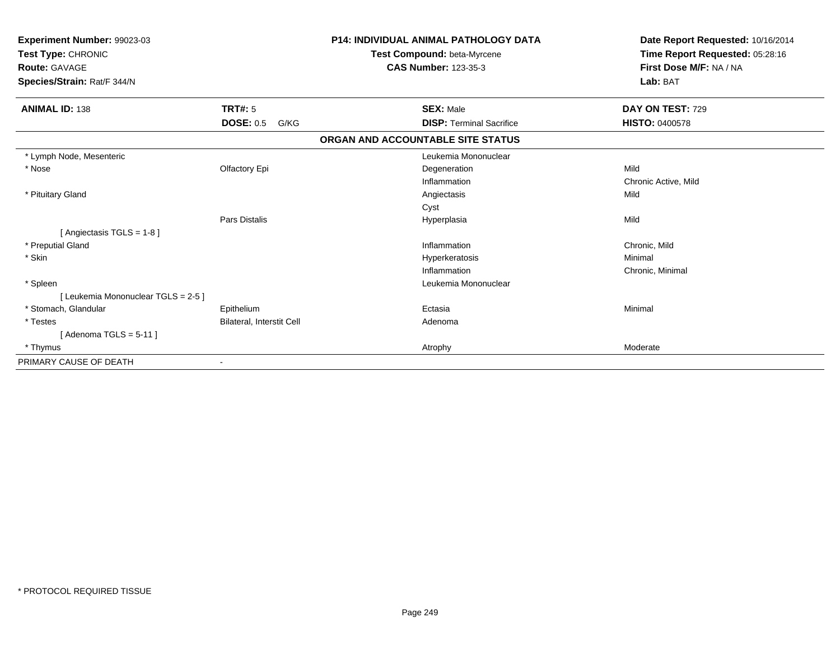| Experiment Number: 99023-03<br>Test Type: CHRONIC<br><b>Route: GAVAGE</b><br>Species/Strain: Rat/F 344/N |                           | <b>P14: INDIVIDUAL ANIMAL PATHOLOGY DATA</b><br>Test Compound: beta-Myrcene<br><b>CAS Number: 123-35-3</b> |                                 | Date Report Requested: 10/16/2014<br>Time Report Requested: 05:28:16<br>First Dose M/F: NA / NA<br>Lab: BAT |
|----------------------------------------------------------------------------------------------------------|---------------------------|------------------------------------------------------------------------------------------------------------|---------------------------------|-------------------------------------------------------------------------------------------------------------|
| <b>ANIMAL ID: 138</b>                                                                                    | TRT#: 5                   | <b>SEX: Male</b>                                                                                           |                                 | DAY ON TEST: 729                                                                                            |
|                                                                                                          | <b>DOSE: 0.5</b><br>G/KG  |                                                                                                            | <b>DISP: Terminal Sacrifice</b> | <b>HISTO: 0400578</b>                                                                                       |
|                                                                                                          |                           | ORGAN AND ACCOUNTABLE SITE STATUS                                                                          |                                 |                                                                                                             |
| * Lymph Node, Mesenteric                                                                                 |                           |                                                                                                            | Leukemia Mononuclear            |                                                                                                             |
| * Nose                                                                                                   | Olfactory Epi             | Degeneration                                                                                               |                                 | Mild                                                                                                        |
|                                                                                                          |                           | Inflammation                                                                                               |                                 | Chronic Active, Mild                                                                                        |
| * Pituitary Gland                                                                                        |                           | Angiectasis                                                                                                |                                 | Mild                                                                                                        |
|                                                                                                          |                           | Cyst                                                                                                       |                                 |                                                                                                             |
|                                                                                                          | Pars Distalis             | Hyperplasia                                                                                                |                                 | Mild                                                                                                        |
| [ Angiectasis TGLS = 1-8 ]                                                                               |                           |                                                                                                            |                                 |                                                                                                             |
| * Preputial Gland                                                                                        |                           | Inflammation                                                                                               |                                 | Chronic, Mild                                                                                               |
| * Skin                                                                                                   |                           | Hyperkeratosis                                                                                             |                                 | Minimal                                                                                                     |
|                                                                                                          |                           | Inflammation                                                                                               |                                 | Chronic, Minimal                                                                                            |
| * Spleen                                                                                                 |                           |                                                                                                            | Leukemia Mononuclear            |                                                                                                             |
| [ Leukemia Mononuclear TGLS = 2-5 ]                                                                      |                           |                                                                                                            |                                 |                                                                                                             |
| * Stomach, Glandular                                                                                     | Epithelium                | Ectasia                                                                                                    |                                 | Minimal                                                                                                     |
| * Testes                                                                                                 | Bilateral, Interstit Cell | Adenoma                                                                                                    |                                 |                                                                                                             |
| [Adenoma TGLS = $5-11$ ]                                                                                 |                           |                                                                                                            |                                 |                                                                                                             |
| * Thymus                                                                                                 |                           | Atrophy                                                                                                    |                                 | Moderate                                                                                                    |
| PRIMARY CAUSE OF DEATH                                                                                   |                           |                                                                                                            |                                 |                                                                                                             |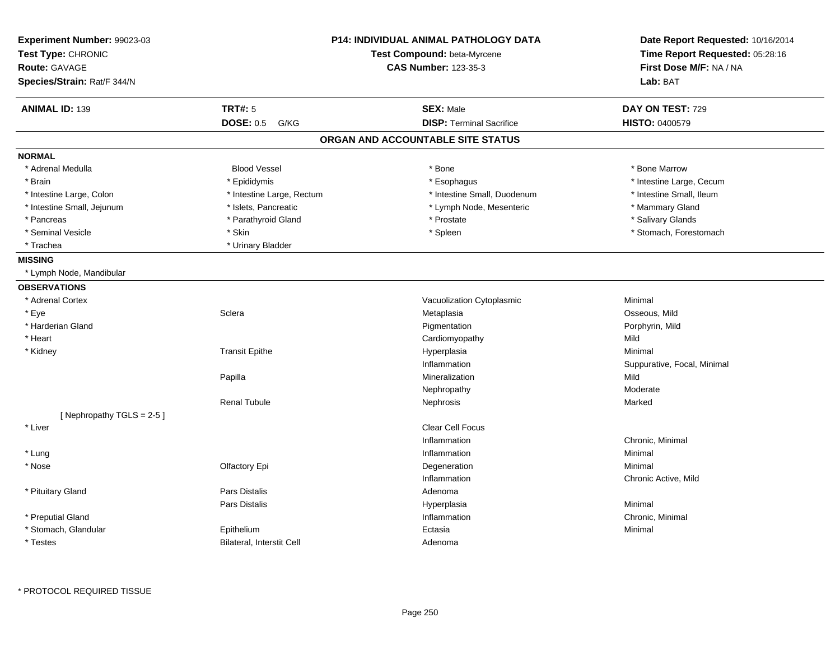| Experiment Number: 99023-03<br>Test Type: CHRONIC<br><b>Route: GAVAGE</b><br>Species/Strain: Rat/F 344/N | <b>P14: INDIVIDUAL ANIMAL PATHOLOGY DATA</b><br>Test Compound: beta-Myrcene<br><b>CAS Number: 123-35-3</b> |                                   | Date Report Requested: 10/16/2014<br>Time Report Requested: 05:28:16<br>First Dose M/F: NA / NA<br>Lab: BAT |
|----------------------------------------------------------------------------------------------------------|------------------------------------------------------------------------------------------------------------|-----------------------------------|-------------------------------------------------------------------------------------------------------------|
| <b>ANIMAL ID: 139</b>                                                                                    | <b>TRT#: 5</b>                                                                                             | <b>SEX: Male</b>                  | DAY ON TEST: 729                                                                                            |
|                                                                                                          | <b>DOSE: 0.5</b><br>G/KG                                                                                   | <b>DISP: Terminal Sacrifice</b>   | HISTO: 0400579                                                                                              |
|                                                                                                          |                                                                                                            | ORGAN AND ACCOUNTABLE SITE STATUS |                                                                                                             |
| <b>NORMAL</b>                                                                                            |                                                                                                            |                                   |                                                                                                             |
| * Adrenal Medulla                                                                                        | <b>Blood Vessel</b>                                                                                        | * Bone                            | * Bone Marrow                                                                                               |
| * Brain                                                                                                  | * Epididymis                                                                                               | * Esophagus                       | * Intestine Large, Cecum                                                                                    |
| * Intestine Large, Colon                                                                                 | * Intestine Large, Rectum                                                                                  | * Intestine Small, Duodenum       | * Intestine Small, Ileum                                                                                    |
| * Intestine Small, Jejunum                                                                               | * Islets, Pancreatic                                                                                       | * Lymph Node, Mesenteric          | * Mammary Gland                                                                                             |
| * Pancreas                                                                                               | * Parathyroid Gland                                                                                        | * Prostate                        | * Salivary Glands                                                                                           |
| * Seminal Vesicle                                                                                        | * Skin                                                                                                     | * Spleen                          | * Stomach, Forestomach                                                                                      |
| * Trachea                                                                                                | * Urinary Bladder                                                                                          |                                   |                                                                                                             |
| <b>MISSING</b>                                                                                           |                                                                                                            |                                   |                                                                                                             |
| * Lymph Node, Mandibular                                                                                 |                                                                                                            |                                   |                                                                                                             |
| <b>OBSERVATIONS</b>                                                                                      |                                                                                                            |                                   |                                                                                                             |
| * Adrenal Cortex                                                                                         |                                                                                                            | Vacuolization Cytoplasmic         | Minimal                                                                                                     |
| * Eye                                                                                                    | Sclera                                                                                                     | Metaplasia                        | Osseous, Mild                                                                                               |
| * Harderian Gland                                                                                        |                                                                                                            | Pigmentation                      | Porphyrin, Mild                                                                                             |
| * Heart                                                                                                  |                                                                                                            | Cardiomyopathy                    | Mild                                                                                                        |
| * Kidney                                                                                                 | <b>Transit Epithe</b>                                                                                      | Hyperplasia                       | Minimal                                                                                                     |
|                                                                                                          |                                                                                                            | Inflammation                      | Suppurative, Focal, Minimal                                                                                 |
|                                                                                                          | Papilla                                                                                                    | Mineralization                    | Mild                                                                                                        |
|                                                                                                          |                                                                                                            | Nephropathy                       | Moderate                                                                                                    |
|                                                                                                          | <b>Renal Tubule</b>                                                                                        | Nephrosis                         | Marked                                                                                                      |
| [ Nephropathy $TGLS = 2-5$ ]                                                                             |                                                                                                            |                                   |                                                                                                             |
| * Liver                                                                                                  |                                                                                                            | Clear Cell Focus                  |                                                                                                             |
|                                                                                                          |                                                                                                            | Inflammation                      | Chronic, Minimal                                                                                            |
| * Lung                                                                                                   |                                                                                                            | Inflammation                      | Minimal                                                                                                     |
| * Nose                                                                                                   | Olfactory Epi                                                                                              | Degeneration                      | Minimal                                                                                                     |
|                                                                                                          |                                                                                                            | Inflammation                      | Chronic Active, Mild                                                                                        |
| * Pituitary Gland                                                                                        | <b>Pars Distalis</b>                                                                                       | Adenoma                           |                                                                                                             |
|                                                                                                          | <b>Pars Distalis</b>                                                                                       | Hyperplasia                       | Minimal                                                                                                     |
| * Preputial Gland                                                                                        |                                                                                                            | Inflammation                      | Chronic, Minimal                                                                                            |
| * Stomach, Glandular                                                                                     | Epithelium                                                                                                 | Ectasia                           | Minimal                                                                                                     |
| * Testes                                                                                                 | Bilateral, Interstit Cell                                                                                  | Adenoma                           |                                                                                                             |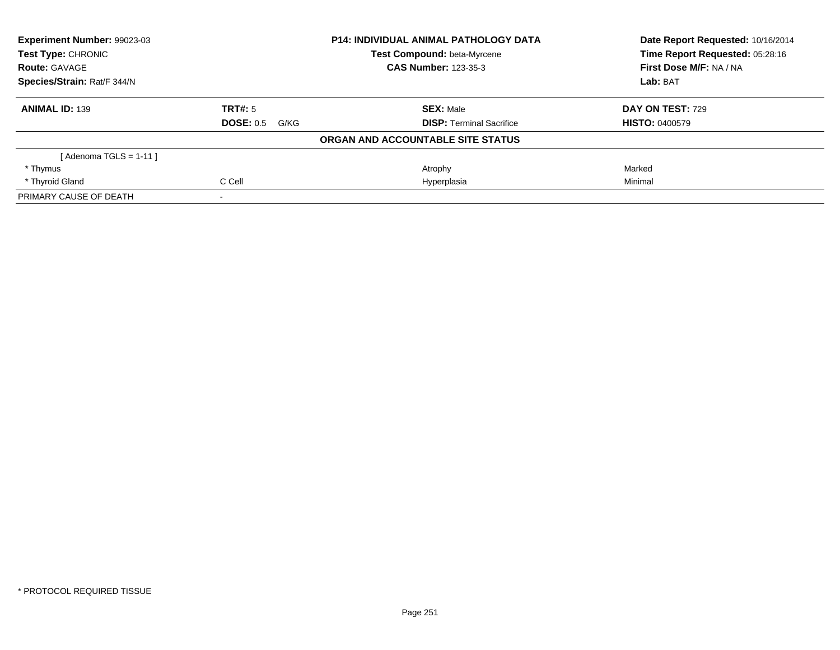| Experiment Number: 99023-03 |                          | <b>P14: INDIVIDUAL ANIMAL PATHOLOGY DATA</b> | Date Report Requested: 10/16/2014 |
|-----------------------------|--------------------------|----------------------------------------------|-----------------------------------|
| Test Type: CHRONIC          |                          | <b>Test Compound: beta-Myrcene</b>           | Time Report Requested: 05:28:16   |
| <b>Route: GAVAGE</b>        |                          | <b>CAS Number: 123-35-3</b>                  | First Dose M/F: NA / NA           |
| Species/Strain: Rat/F 344/N |                          |                                              | Lab: BAT                          |
| <b>ANIMAL ID: 139</b>       | TRT#: 5                  | <b>SEX: Male</b>                             | DAY ON TEST: 729                  |
|                             | <b>DOSE: 0.5</b><br>G/KG | <b>DISP:</b> Terminal Sacrifice              | <b>HISTO: 0400579</b>             |
|                             |                          | ORGAN AND ACCOUNTABLE SITE STATUS            |                                   |
| [ Adenoma TGLS = 1-11 ]     |                          |                                              |                                   |
| * Thymus                    |                          | Atrophy                                      | Marked                            |
| * Thyroid Gland             | C Cell                   | Hyperplasia                                  | Minimal                           |
| PRIMARY CAUSE OF DEATH      |                          |                                              |                                   |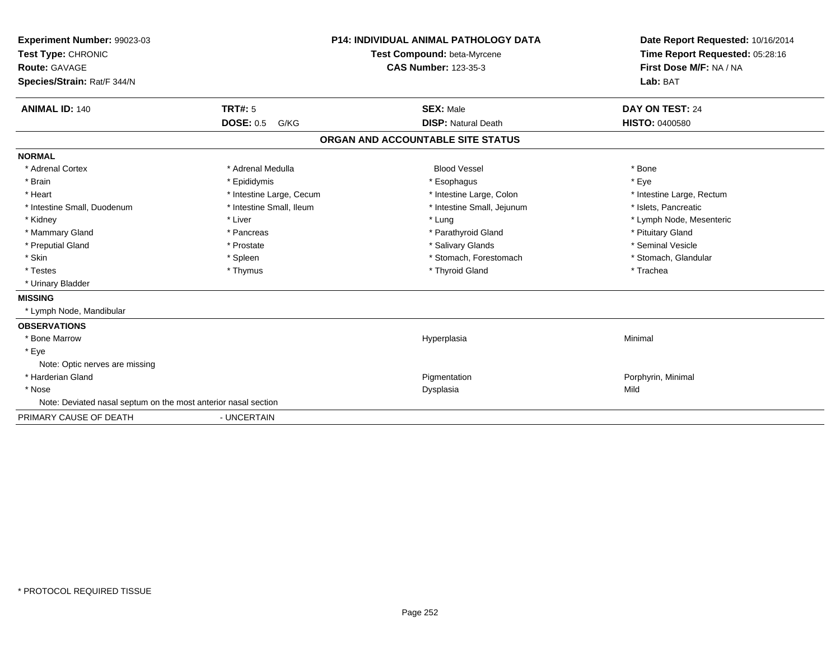| Experiment Number: 99023-03<br>Test Type: CHRONIC<br>Route: GAVAGE<br>Species/Strain: Rat/F 344/N |                          | <b>P14: INDIVIDUAL ANIMAL PATHOLOGY DATA</b><br>Test Compound: beta-Myrcene<br><b>CAS Number: 123-35-3</b> | Date Report Requested: 10/16/2014<br>Time Report Requested: 05:28:16<br>First Dose M/F: NA / NA<br>Lab: BAT |
|---------------------------------------------------------------------------------------------------|--------------------------|------------------------------------------------------------------------------------------------------------|-------------------------------------------------------------------------------------------------------------|
| <b>ANIMAL ID: 140</b>                                                                             | <b>TRT#: 5</b>           | <b>SEX: Male</b>                                                                                           | DAY ON TEST: 24                                                                                             |
|                                                                                                   | <b>DOSE: 0.5</b><br>G/KG | <b>DISP: Natural Death</b>                                                                                 | <b>HISTO: 0400580</b>                                                                                       |
|                                                                                                   |                          | ORGAN AND ACCOUNTABLE SITE STATUS                                                                          |                                                                                                             |
| <b>NORMAL</b>                                                                                     |                          |                                                                                                            |                                                                                                             |
| * Adrenal Cortex                                                                                  | * Adrenal Medulla        | <b>Blood Vessel</b>                                                                                        | * Bone                                                                                                      |
| * Brain                                                                                           | * Epididymis             | * Esophagus                                                                                                | * Eve                                                                                                       |
| * Heart                                                                                           | * Intestine Large, Cecum | * Intestine Large, Colon                                                                                   | * Intestine Large, Rectum                                                                                   |
| * Intestine Small, Duodenum                                                                       | * Intestine Small, Ileum | * Intestine Small, Jejunum                                                                                 | * Islets, Pancreatic                                                                                        |
| * Kidney                                                                                          | * Liver                  | * Lung                                                                                                     | * Lymph Node, Mesenteric                                                                                    |
| * Mammary Gland                                                                                   | * Pancreas               | * Parathyroid Gland                                                                                        | * Pituitary Gland                                                                                           |
| * Preputial Gland                                                                                 | * Prostate               | * Salivary Glands                                                                                          | * Seminal Vesicle                                                                                           |
| * Skin                                                                                            | * Spleen                 | * Stomach, Forestomach                                                                                     | * Stomach, Glandular                                                                                        |
| * Testes                                                                                          | * Thymus                 | * Thyroid Gland                                                                                            | * Trachea                                                                                                   |
| * Urinary Bladder                                                                                 |                          |                                                                                                            |                                                                                                             |
| <b>MISSING</b>                                                                                    |                          |                                                                                                            |                                                                                                             |
| * Lymph Node, Mandibular                                                                          |                          |                                                                                                            |                                                                                                             |
| <b>OBSERVATIONS</b>                                                                               |                          |                                                                                                            |                                                                                                             |
| * Bone Marrow                                                                                     |                          | Hyperplasia                                                                                                | Minimal                                                                                                     |
| * Eye                                                                                             |                          |                                                                                                            |                                                                                                             |
| Note: Optic nerves are missing                                                                    |                          |                                                                                                            |                                                                                                             |
| * Harderian Gland                                                                                 |                          | Pigmentation                                                                                               | Porphyrin, Minimal                                                                                          |
| * Nose                                                                                            |                          | Dysplasia                                                                                                  | Mild                                                                                                        |
| Note: Deviated nasal septum on the most anterior nasal section                                    |                          |                                                                                                            |                                                                                                             |
| PRIMARY CAUSE OF DEATH                                                                            | - UNCERTAIN              |                                                                                                            |                                                                                                             |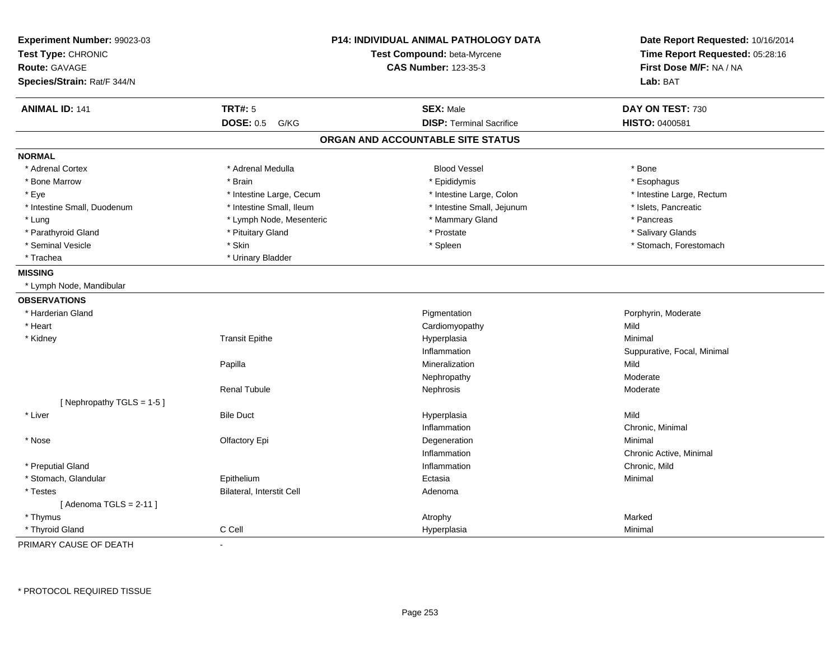| Experiment Number: 99023-03<br>Test Type: CHRONIC<br><b>Route: GAVAGE</b><br>Species/Strain: Rat/F 344/N | P14: INDIVIDUAL ANIMAL PATHOLOGY DATA<br>Test Compound: beta-Myrcene<br><b>CAS Number: 123-35-3</b> |                                   | Date Report Requested: 10/16/2014<br>Time Report Requested: 05:28:16<br>First Dose M/F: NA / NA<br>Lab: BAT |
|----------------------------------------------------------------------------------------------------------|-----------------------------------------------------------------------------------------------------|-----------------------------------|-------------------------------------------------------------------------------------------------------------|
| <b>ANIMAL ID: 141</b>                                                                                    | <b>TRT#: 5</b>                                                                                      | <b>SEX: Male</b>                  | DAY ON TEST: 730                                                                                            |
|                                                                                                          | <b>DOSE: 0.5</b><br>G/KG                                                                            | <b>DISP: Terminal Sacrifice</b>   | HISTO: 0400581                                                                                              |
|                                                                                                          |                                                                                                     | ORGAN AND ACCOUNTABLE SITE STATUS |                                                                                                             |
| <b>NORMAL</b>                                                                                            |                                                                                                     |                                   |                                                                                                             |
| * Adrenal Cortex                                                                                         | * Adrenal Medulla                                                                                   | <b>Blood Vessel</b>               | * Bone                                                                                                      |
| * Bone Marrow                                                                                            | * Brain                                                                                             | * Epididymis                      | * Esophagus                                                                                                 |
| * Eye                                                                                                    | * Intestine Large, Cecum                                                                            | * Intestine Large, Colon          | * Intestine Large, Rectum                                                                                   |
| * Intestine Small, Duodenum                                                                              | * Intestine Small, Ileum                                                                            | * Intestine Small, Jejunum        | * Islets, Pancreatic                                                                                        |
| * Lung                                                                                                   | * Lymph Node, Mesenteric                                                                            | * Mammary Gland                   | * Pancreas                                                                                                  |
| * Parathyroid Gland                                                                                      | * Pituitary Gland                                                                                   | * Prostate                        | * Salivary Glands                                                                                           |
| * Seminal Vesicle                                                                                        | * Skin                                                                                              | * Spleen                          | * Stomach, Forestomach                                                                                      |
| * Trachea                                                                                                | * Urinary Bladder                                                                                   |                                   |                                                                                                             |
| <b>MISSING</b>                                                                                           |                                                                                                     |                                   |                                                                                                             |
| * Lymph Node, Mandibular                                                                                 |                                                                                                     |                                   |                                                                                                             |
| <b>OBSERVATIONS</b>                                                                                      |                                                                                                     |                                   |                                                                                                             |
| * Harderian Gland                                                                                        |                                                                                                     | Pigmentation                      | Porphyrin, Moderate                                                                                         |
| * Heart                                                                                                  |                                                                                                     | Cardiomyopathy                    | Mild                                                                                                        |
| * Kidney                                                                                                 | <b>Transit Epithe</b>                                                                               | Hyperplasia                       | Minimal                                                                                                     |
|                                                                                                          |                                                                                                     | Inflammation                      | Suppurative, Focal, Minimal                                                                                 |
|                                                                                                          | Papilla                                                                                             | Mineralization                    | Mild                                                                                                        |
|                                                                                                          |                                                                                                     | Nephropathy                       | Moderate                                                                                                    |
|                                                                                                          | <b>Renal Tubule</b>                                                                                 | Nephrosis                         | Moderate                                                                                                    |
| [Nephropathy TGLS = $1-5$ ]                                                                              |                                                                                                     |                                   |                                                                                                             |
| * Liver                                                                                                  | <b>Bile Duct</b>                                                                                    | Hyperplasia                       | Mild                                                                                                        |
|                                                                                                          |                                                                                                     | Inflammation                      | Chronic, Minimal                                                                                            |
| * Nose                                                                                                   | Olfactory Epi                                                                                       | Degeneration                      | Minimal                                                                                                     |
|                                                                                                          |                                                                                                     | Inflammation                      | Chronic Active, Minimal                                                                                     |
| * Preputial Gland                                                                                        |                                                                                                     | Inflammation                      | Chronic, Mild                                                                                               |
| * Stomach, Glandular                                                                                     | Epithelium                                                                                          | Ectasia                           | Minimal                                                                                                     |
| * Testes                                                                                                 | Bilateral, Interstit Cell                                                                           | Adenoma                           |                                                                                                             |
| [Adenoma TGLS = $2-11$ ]                                                                                 |                                                                                                     |                                   |                                                                                                             |
| * Thymus                                                                                                 |                                                                                                     | Atrophy                           | Marked                                                                                                      |
| * Thyroid Gland                                                                                          | C Cell                                                                                              | Hyperplasia                       | Minimal                                                                                                     |

PRIMARY CAUSE OF DEATH-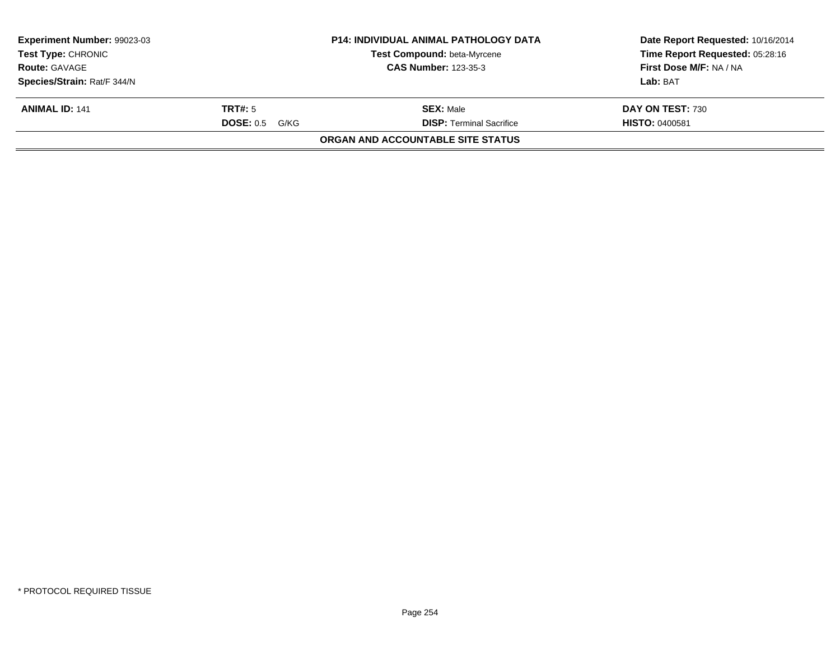| <b>Experiment Number: 99023-03</b><br><b>Test Type: CHRONIC</b><br><b>Route: GAVAGE</b>     |  | <b>P14: INDIVIDUAL ANIMAL PATHOLOGY DATA</b><br><b>Test Compound: beta-Myrcene</b><br><b>CAS Number: 123-35-3</b> | Date Report Requested: 10/16/2014<br>Time Report Requested: 05:28:16<br>First Dose M/F: NA / NA<br>Lab: BAT<br>DAY ON TEST: 730<br><b>HISTO: 0400581</b> |
|---------------------------------------------------------------------------------------------|--|-------------------------------------------------------------------------------------------------------------------|----------------------------------------------------------------------------------------------------------------------------------------------------------|
| Species/Strain: Rat/F 344/N<br><b>ANIMAL ID: 141</b><br>TRT#: 5<br><b>DOSE: 0.5</b><br>G/KG |  | <b>SEX: Male</b><br><b>DISP: Terminal Sacrifice</b>                                                               |                                                                                                                                                          |
|                                                                                             |  | <b>ORGAN AND ACCOUNTABLE SITE STATUS</b>                                                                          |                                                                                                                                                          |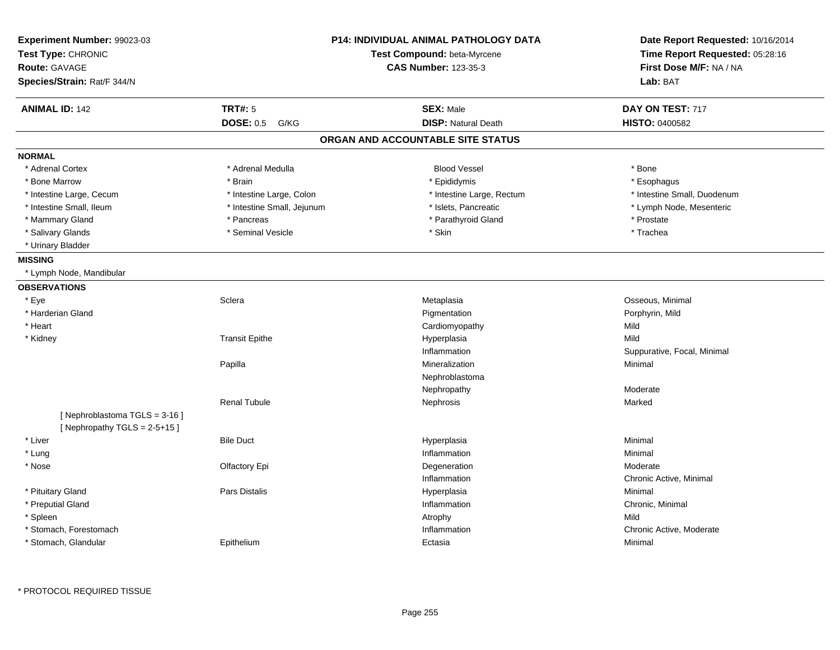| Experiment Number: 99023-03<br>Test Type: CHRONIC<br><b>Route: GAVAGE</b><br>Species/Strain: Rat/F 344/N |                            | <b>P14: INDIVIDUAL ANIMAL PATHOLOGY DATA</b><br>Test Compound: beta-Myrcene<br><b>CAS Number: 123-35-3</b> | Date Report Requested: 10/16/2014<br>Time Report Requested: 05:28:16<br>First Dose M/F: NA / NA<br>Lab: BAT |
|----------------------------------------------------------------------------------------------------------|----------------------------|------------------------------------------------------------------------------------------------------------|-------------------------------------------------------------------------------------------------------------|
| <b>ANIMAL ID: 142</b>                                                                                    | <b>TRT#: 5</b>             | <b>SEX: Male</b>                                                                                           | DAY ON TEST: 717                                                                                            |
|                                                                                                          | DOSE: 0.5 G/KG             | <b>DISP: Natural Death</b>                                                                                 | HISTO: 0400582                                                                                              |
|                                                                                                          |                            | ORGAN AND ACCOUNTABLE SITE STATUS                                                                          |                                                                                                             |
| <b>NORMAL</b>                                                                                            |                            |                                                                                                            |                                                                                                             |
| * Adrenal Cortex                                                                                         | * Adrenal Medulla          | <b>Blood Vessel</b>                                                                                        | * Bone                                                                                                      |
| * Bone Marrow                                                                                            | * Brain                    | * Epididymis                                                                                               | * Esophagus                                                                                                 |
| * Intestine Large, Cecum                                                                                 | * Intestine Large, Colon   | * Intestine Large, Rectum                                                                                  | * Intestine Small, Duodenum                                                                                 |
| * Intestine Small, Ileum                                                                                 | * Intestine Small, Jejunum | * Islets, Pancreatic                                                                                       | * Lymph Node, Mesenteric                                                                                    |
| * Mammary Gland                                                                                          | * Pancreas                 | * Parathyroid Gland                                                                                        | * Prostate                                                                                                  |
| * Salivary Glands                                                                                        | * Seminal Vesicle          | * Skin                                                                                                     | * Trachea                                                                                                   |
| * Urinary Bladder                                                                                        |                            |                                                                                                            |                                                                                                             |
| <b>MISSING</b>                                                                                           |                            |                                                                                                            |                                                                                                             |
| * Lymph Node, Mandibular                                                                                 |                            |                                                                                                            |                                                                                                             |
| <b>OBSERVATIONS</b>                                                                                      |                            |                                                                                                            |                                                                                                             |
| * Eye                                                                                                    | Sclera                     | Metaplasia                                                                                                 | Osseous, Minimal                                                                                            |
| * Harderian Gland                                                                                        |                            | Pigmentation                                                                                               | Porphyrin, Mild                                                                                             |
| * Heart                                                                                                  |                            | Cardiomyopathy                                                                                             | Mild                                                                                                        |
| * Kidney                                                                                                 | <b>Transit Epithe</b>      | Hyperplasia                                                                                                | Mild                                                                                                        |
|                                                                                                          |                            | Inflammation                                                                                               | Suppurative, Focal, Minimal                                                                                 |
|                                                                                                          | Papilla                    | Mineralization                                                                                             | Minimal                                                                                                     |
|                                                                                                          |                            | Nephroblastoma                                                                                             |                                                                                                             |
|                                                                                                          |                            | Nephropathy                                                                                                | Moderate                                                                                                    |
|                                                                                                          | <b>Renal Tubule</b>        | Nephrosis                                                                                                  | Marked                                                                                                      |
| [Nephroblastoma TGLS = 3-16]                                                                             |                            |                                                                                                            |                                                                                                             |
| [Nephropathy TGLS = $2-5+15$ ]                                                                           |                            |                                                                                                            |                                                                                                             |
| * Liver                                                                                                  | <b>Bile Duct</b>           | Hyperplasia                                                                                                | Minimal                                                                                                     |
| * Lung                                                                                                   |                            | Inflammation                                                                                               | Minimal                                                                                                     |
| * Nose                                                                                                   | Olfactory Epi              | Degeneration                                                                                               | Moderate                                                                                                    |
|                                                                                                          |                            | Inflammation                                                                                               | Chronic Active, Minimal                                                                                     |
| * Pituitary Gland                                                                                        | <b>Pars Distalis</b>       | Hyperplasia                                                                                                | Minimal                                                                                                     |
| * Preputial Gland                                                                                        |                            | Inflammation                                                                                               | Chronic, Minimal                                                                                            |
| * Spleen                                                                                                 |                            | Atrophy                                                                                                    | Mild                                                                                                        |
| * Stomach, Forestomach                                                                                   |                            | Inflammation                                                                                               | Chronic Active, Moderate                                                                                    |
| * Stomach, Glandular                                                                                     | Epithelium                 | Ectasia                                                                                                    | Minimal                                                                                                     |

\* PROTOCOL REQUIRED TISSUE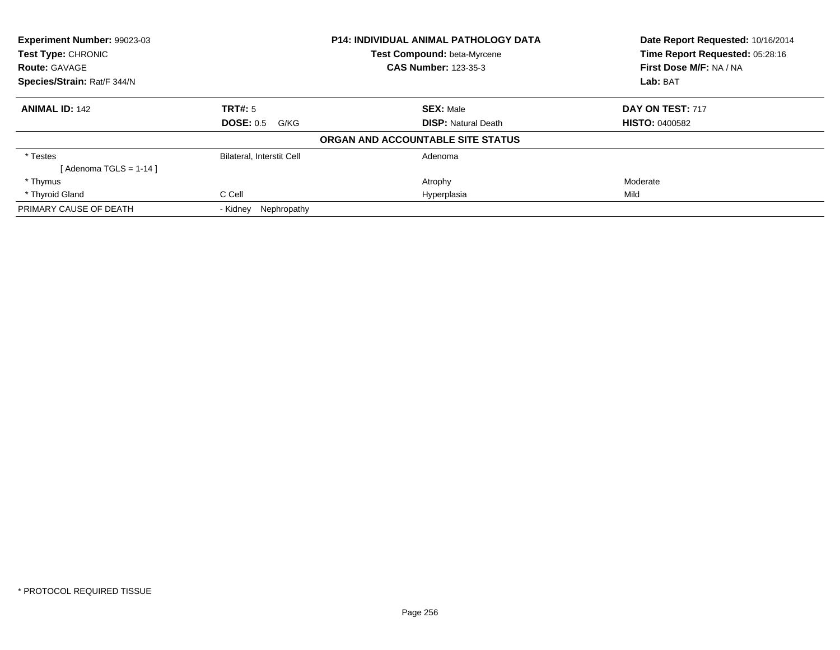| Experiment Number: 99023-03<br><b>Test Type: CHRONIC</b> |                                  | <b>P14: INDIVIDUAL ANIMAL PATHOLOGY DATA</b> | Date Report Requested: 10/16/2014<br>Time Report Requested: 05:28:16 |
|----------------------------------------------------------|----------------------------------|----------------------------------------------|----------------------------------------------------------------------|
|                                                          |                                  | <b>Test Compound: beta-Myrcene</b>           |                                                                      |
| <b>Route: GAVAGE</b>                                     |                                  | <b>CAS Number: 123-35-3</b>                  | First Dose M/F: NA / NA                                              |
| Species/Strain: Rat/F 344/N                              |                                  |                                              | Lab: BAT                                                             |
| <b>ANIMAL ID: 142</b>                                    | TRT#: 5                          | <b>SEX: Male</b>                             | DAY ON TEST: 717                                                     |
|                                                          | DOSE: 0.5<br>G/KG                | <b>DISP: Natural Death</b>                   | <b>HISTO: 0400582</b>                                                |
|                                                          |                                  | ORGAN AND ACCOUNTABLE SITE STATUS            |                                                                      |
| * Testes                                                 | <b>Bilateral, Interstit Cell</b> | Adenoma                                      |                                                                      |
| [Adenoma TGLS = $1-14$ ]                                 |                                  |                                              |                                                                      |
| * Thymus                                                 |                                  | Atrophy                                      | Moderate                                                             |
| * Thyroid Gland                                          | C Cell                           | Hyperplasia                                  | Mild                                                                 |
| PRIMARY CAUSE OF DEATH                                   | Nephropathy<br>- Kidney          |                                              |                                                                      |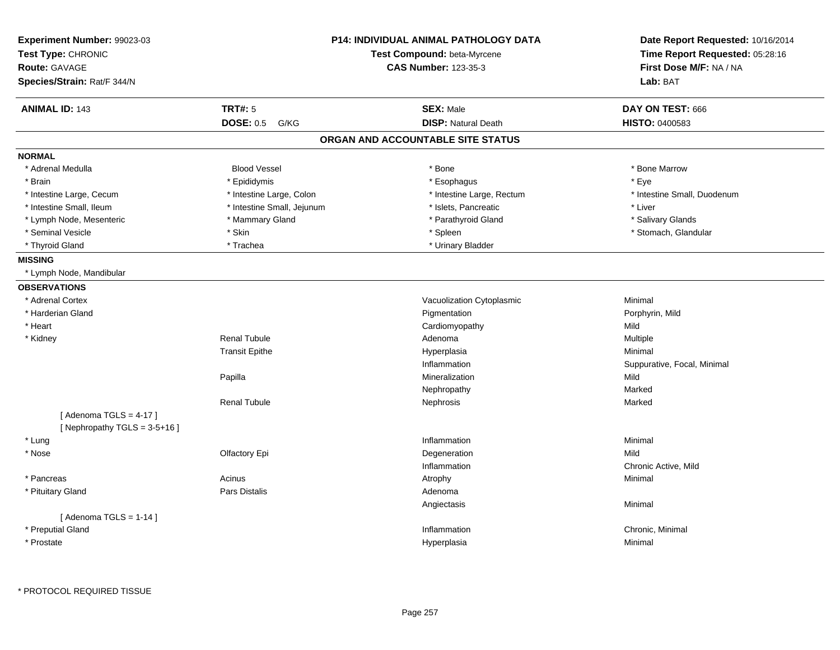| Experiment Number: 99023-03<br>Test Type: CHRONIC<br><b>Route: GAVAGE</b><br>Species/Strain: Rat/F 344/N |                            | P14: INDIVIDUAL ANIMAL PATHOLOGY DATA<br>Test Compound: beta-Myrcene<br><b>CAS Number: 123-35-3</b> | Date Report Requested: 10/16/2014<br>Time Report Requested: 05:28:16<br>First Dose M/F: NA / NA<br>Lab: BAT |
|----------------------------------------------------------------------------------------------------------|----------------------------|-----------------------------------------------------------------------------------------------------|-------------------------------------------------------------------------------------------------------------|
| <b>ANIMAL ID: 143</b>                                                                                    | <b>TRT#: 5</b>             | <b>SEX: Male</b>                                                                                    | DAY ON TEST: 666                                                                                            |
|                                                                                                          | <b>DOSE: 0.5</b><br>G/KG   | <b>DISP: Natural Death</b>                                                                          | <b>HISTO: 0400583</b>                                                                                       |
|                                                                                                          |                            | ORGAN AND ACCOUNTABLE SITE STATUS                                                                   |                                                                                                             |
| <b>NORMAL</b>                                                                                            |                            |                                                                                                     |                                                                                                             |
| * Adrenal Medulla                                                                                        | <b>Blood Vessel</b>        | * Bone                                                                                              | * Bone Marrow                                                                                               |
| * Brain                                                                                                  | * Epididymis               | * Esophagus                                                                                         | * Eye                                                                                                       |
| * Intestine Large, Cecum                                                                                 | * Intestine Large, Colon   | * Intestine Large, Rectum                                                                           | * Intestine Small, Duodenum                                                                                 |
| * Intestine Small, Ileum                                                                                 | * Intestine Small, Jejunum | * Islets, Pancreatic                                                                                | * Liver                                                                                                     |
| * Lymph Node, Mesenteric                                                                                 | * Mammary Gland            | * Parathyroid Gland                                                                                 | * Salivary Glands                                                                                           |
| * Seminal Vesicle                                                                                        | * Skin                     | * Spleen                                                                                            | * Stomach, Glandular                                                                                        |
| * Thyroid Gland                                                                                          | * Trachea                  | * Urinary Bladder                                                                                   |                                                                                                             |
| <b>MISSING</b>                                                                                           |                            |                                                                                                     |                                                                                                             |
| * Lymph Node, Mandibular                                                                                 |                            |                                                                                                     |                                                                                                             |
| <b>OBSERVATIONS</b>                                                                                      |                            |                                                                                                     |                                                                                                             |
| * Adrenal Cortex                                                                                         |                            | Vacuolization Cytoplasmic                                                                           | Minimal                                                                                                     |
| * Harderian Gland                                                                                        |                            | Pigmentation                                                                                        | Porphyrin, Mild                                                                                             |
| * Heart                                                                                                  |                            | Cardiomyopathy                                                                                      | Mild                                                                                                        |
| * Kidney                                                                                                 | <b>Renal Tubule</b>        | Adenoma                                                                                             | Multiple                                                                                                    |
|                                                                                                          | <b>Transit Epithe</b>      | Hyperplasia                                                                                         | Minimal                                                                                                     |
|                                                                                                          |                            | Inflammation                                                                                        | Suppurative, Focal, Minimal                                                                                 |
|                                                                                                          | Papilla                    | Mineralization                                                                                      | Mild                                                                                                        |
|                                                                                                          |                            | Nephropathy                                                                                         | Marked                                                                                                      |
|                                                                                                          | <b>Renal Tubule</b>        | Nephrosis                                                                                           | Marked                                                                                                      |
| [Adenoma TGLS = $4-17$ ]                                                                                 |                            |                                                                                                     |                                                                                                             |
| [Nephropathy TGLS = $3-5+16$ ]                                                                           |                            |                                                                                                     |                                                                                                             |
| * Lung                                                                                                   |                            | Inflammation                                                                                        | Minimal                                                                                                     |
| * Nose                                                                                                   | Olfactory Epi              | Degeneration                                                                                        | Mild                                                                                                        |
|                                                                                                          |                            | Inflammation                                                                                        | Chronic Active, Mild                                                                                        |
| * Pancreas                                                                                               | Acinus                     | Atrophy                                                                                             | Minimal                                                                                                     |
| * Pituitary Gland                                                                                        | <b>Pars Distalis</b>       | Adenoma                                                                                             |                                                                                                             |
|                                                                                                          |                            | Angiectasis                                                                                         | Minimal                                                                                                     |
| [Adenoma TGLS = $1-14$ ]                                                                                 |                            |                                                                                                     |                                                                                                             |
| * Preputial Gland                                                                                        |                            | Inflammation                                                                                        | Chronic, Minimal                                                                                            |
| * Prostate                                                                                               |                            | Hyperplasia                                                                                         | Minimal                                                                                                     |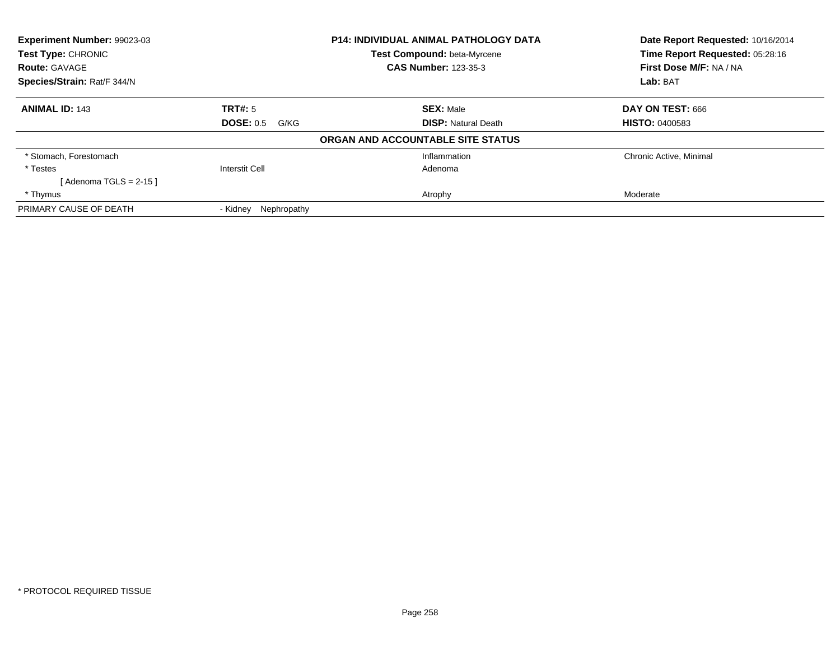| Experiment Number: 99023-03<br><b>Test Type: CHRONIC</b> |                          | <b>P14: INDIVIDUAL ANIMAL PATHOLOGY DATA</b> | Date Report Requested: 10/16/2014<br>Time Report Requested: 05:28:16 |
|----------------------------------------------------------|--------------------------|----------------------------------------------|----------------------------------------------------------------------|
|                                                          |                          | <b>Test Compound: beta-Myrcene</b>           |                                                                      |
| <b>Route: GAVAGE</b>                                     |                          | <b>CAS Number: 123-35-3</b>                  | First Dose M/F: NA / NA                                              |
| Species/Strain: Rat/F 344/N                              |                          |                                              | Lab: BAT                                                             |
| <b>ANIMAL ID: 143</b>                                    | TRT#: 5                  | <b>SEX: Male</b>                             | DAY ON TEST: 666                                                     |
|                                                          | <b>DOSE: 0.5</b><br>G/KG | <b>DISP: Natural Death</b>                   | <b>HISTO: 0400583</b>                                                |
|                                                          |                          | ORGAN AND ACCOUNTABLE SITE STATUS            |                                                                      |
| * Stomach, Forestomach                                   |                          | Inflammation                                 | Chronic Active, Minimal                                              |
| * Testes                                                 | Interstit Cell           | Adenoma                                      |                                                                      |
| [ Adenoma TGLS = 2-15 ]                                  |                          |                                              |                                                                      |
| * Thymus                                                 |                          | Atrophy                                      | Moderate                                                             |
| PRIMARY CAUSE OF DEATH                                   | Nephropathy<br>- Kidney  |                                              |                                                                      |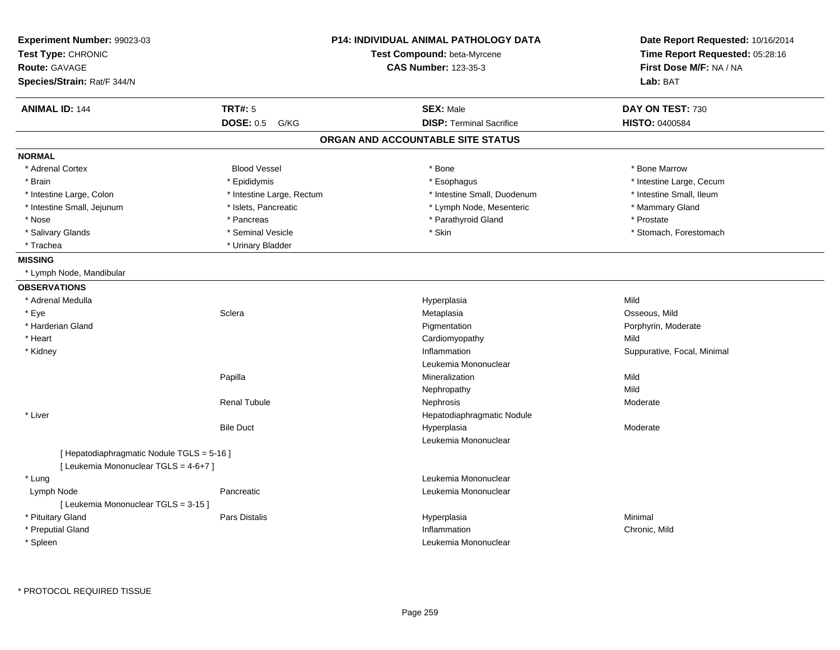| Experiment Number: 99023-03<br>Test Type: CHRONIC<br><b>Route: GAVAGE</b><br>Species/Strain: Rat/F 344/N |                           | <b>P14: INDIVIDUAL ANIMAL PATHOLOGY DATA</b><br>Test Compound: beta-Myrcene<br><b>CAS Number: 123-35-3</b> | Date Report Requested: 10/16/2014<br>Time Report Requested: 05:28:16<br>First Dose M/F: NA / NA<br>Lab: BAT |
|----------------------------------------------------------------------------------------------------------|---------------------------|------------------------------------------------------------------------------------------------------------|-------------------------------------------------------------------------------------------------------------|
| <b>ANIMAL ID: 144</b>                                                                                    | <b>TRT#: 5</b>            | <b>SEX: Male</b>                                                                                           | DAY ON TEST: 730                                                                                            |
|                                                                                                          | <b>DOSE: 0.5</b><br>G/KG  | <b>DISP: Terminal Sacrifice</b>                                                                            | HISTO: 0400584                                                                                              |
|                                                                                                          |                           | ORGAN AND ACCOUNTABLE SITE STATUS                                                                          |                                                                                                             |
| <b>NORMAL</b>                                                                                            |                           |                                                                                                            |                                                                                                             |
| * Adrenal Cortex                                                                                         | <b>Blood Vessel</b>       | * Bone                                                                                                     | * Bone Marrow                                                                                               |
| * Brain                                                                                                  | * Epididymis              | * Esophagus                                                                                                | * Intestine Large, Cecum                                                                                    |
| * Intestine Large, Colon                                                                                 | * Intestine Large, Rectum | * Intestine Small, Duodenum                                                                                | * Intestine Small, Ileum                                                                                    |
| * Intestine Small, Jejunum                                                                               | * Islets, Pancreatic      | * Lymph Node, Mesenteric                                                                                   | * Mammary Gland                                                                                             |
| * Nose                                                                                                   | * Pancreas                | * Parathyroid Gland                                                                                        | * Prostate                                                                                                  |
| * Salivary Glands                                                                                        | * Seminal Vesicle         | * Skin                                                                                                     | * Stomach, Forestomach                                                                                      |
| * Trachea                                                                                                | * Urinary Bladder         |                                                                                                            |                                                                                                             |
| <b>MISSING</b>                                                                                           |                           |                                                                                                            |                                                                                                             |
| * Lymph Node, Mandibular                                                                                 |                           |                                                                                                            |                                                                                                             |
| <b>OBSERVATIONS</b>                                                                                      |                           |                                                                                                            |                                                                                                             |
| * Adrenal Medulla                                                                                        |                           | Hyperplasia                                                                                                | Mild                                                                                                        |
| * Eye                                                                                                    | Sclera                    | Metaplasia                                                                                                 | Osseous, Mild                                                                                               |
| * Harderian Gland                                                                                        |                           | Pigmentation                                                                                               | Porphyrin, Moderate                                                                                         |
| * Heart                                                                                                  |                           | Cardiomyopathy                                                                                             | Mild                                                                                                        |
| * Kidney                                                                                                 |                           | Inflammation                                                                                               | Suppurative, Focal, Minimal                                                                                 |
|                                                                                                          |                           | Leukemia Mononuclear                                                                                       |                                                                                                             |
|                                                                                                          | Papilla                   | Mineralization                                                                                             | Mild                                                                                                        |
|                                                                                                          |                           | Nephropathy                                                                                                | Mild                                                                                                        |
|                                                                                                          | <b>Renal Tubule</b>       | Nephrosis                                                                                                  | Moderate                                                                                                    |
| * Liver                                                                                                  |                           | Hepatodiaphragmatic Nodule                                                                                 |                                                                                                             |
|                                                                                                          | <b>Bile Duct</b>          | Hyperplasia                                                                                                | Moderate                                                                                                    |
|                                                                                                          |                           | Leukemia Mononuclear                                                                                       |                                                                                                             |
| [ Hepatodiaphragmatic Nodule TGLS = 5-16 ]                                                               |                           |                                                                                                            |                                                                                                             |
| [ Leukemia Mononuclear TGLS = 4-6+7 ]                                                                    |                           |                                                                                                            |                                                                                                             |
| * Lung                                                                                                   |                           | Leukemia Mononuclear                                                                                       |                                                                                                             |
| Lymph Node                                                                                               | Pancreatic                | Leukemia Mononuclear                                                                                       |                                                                                                             |
| [ Leukemia Mononuclear TGLS = 3-15 ]                                                                     |                           |                                                                                                            |                                                                                                             |
| * Pituitary Gland                                                                                        | <b>Pars Distalis</b>      | Hyperplasia                                                                                                | Minimal                                                                                                     |
| * Preputial Gland                                                                                        |                           | Inflammation                                                                                               | Chronic, Mild                                                                                               |
| * Spleen                                                                                                 |                           | Leukemia Mononuclear                                                                                       |                                                                                                             |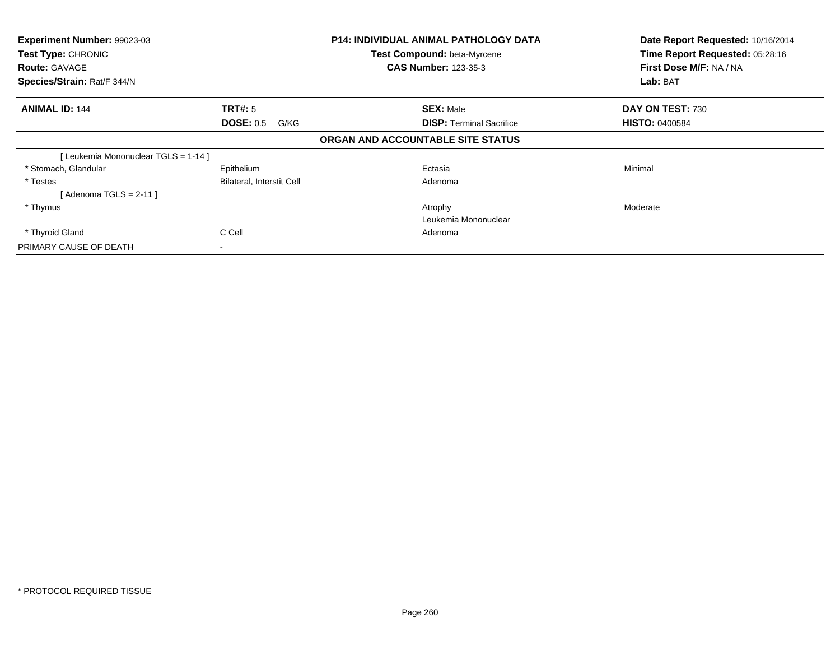| Experiment Number: 99023-03<br>Test Type: CHRONIC<br><b>Route: GAVAGE</b><br>Species/Strain: Rat/F 344/N |                           | P14: INDIVIDUAL ANIMAL PATHOLOGY DATA<br>Test Compound: beta-Myrcene<br><b>CAS Number: 123-35-3</b> | Date Report Requested: 10/16/2014<br>Time Report Requested: 05:28:16<br>First Dose M/F: NA / NA<br>Lab: BAT |
|----------------------------------------------------------------------------------------------------------|---------------------------|-----------------------------------------------------------------------------------------------------|-------------------------------------------------------------------------------------------------------------|
| <b>ANIMAL ID: 144</b>                                                                                    | <b>TRT#: 5</b>            | <b>SEX: Male</b>                                                                                    | DAY ON TEST: 730                                                                                            |
|                                                                                                          | <b>DOSE: 0.5</b><br>G/KG  | <b>DISP:</b> Terminal Sacrifice                                                                     | <b>HISTO: 0400584</b>                                                                                       |
|                                                                                                          |                           | ORGAN AND ACCOUNTABLE SITE STATUS                                                                   |                                                                                                             |
| Leukemia Mononuclear TGLS = 1-14 ]                                                                       |                           |                                                                                                     |                                                                                                             |
| * Stomach, Glandular                                                                                     | Epithelium                | Ectasia                                                                                             | Minimal                                                                                                     |
| * Testes                                                                                                 | Bilateral, Interstit Cell | Adenoma                                                                                             |                                                                                                             |
| [Adenoma TGLS = 2-11 ]                                                                                   |                           |                                                                                                     |                                                                                                             |
| * Thymus                                                                                                 |                           | Atrophy                                                                                             | Moderate                                                                                                    |
|                                                                                                          |                           | Leukemia Mononuclear                                                                                |                                                                                                             |
| * Thyroid Gland                                                                                          | C Cell                    | Adenoma                                                                                             |                                                                                                             |
| PRIMARY CAUSE OF DEATH                                                                                   |                           |                                                                                                     |                                                                                                             |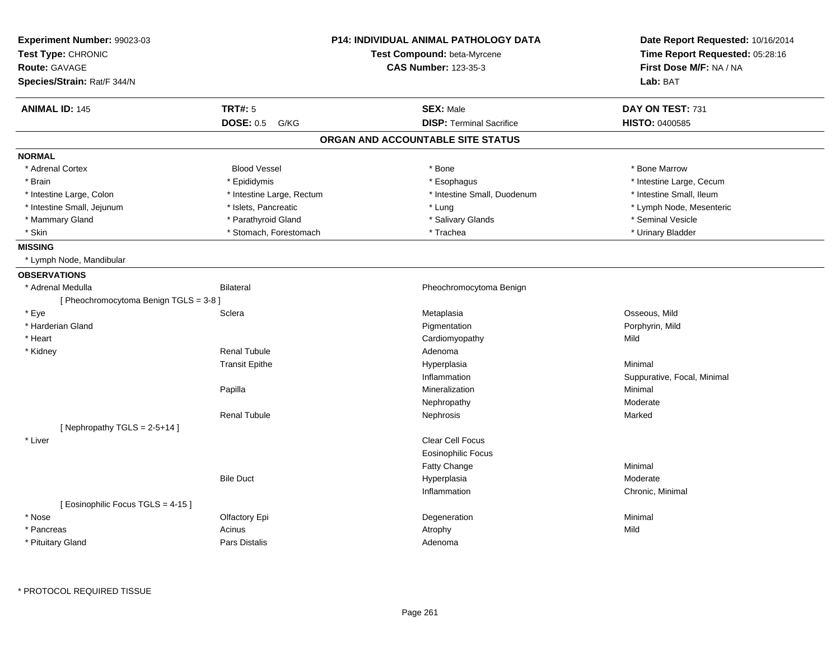| Experiment Number: 99023-03            |                           | <b>P14: INDIVIDUAL ANIMAL PATHOLOGY DATA</b> | Date Report Requested: 10/16/2014                          |
|----------------------------------------|---------------------------|----------------------------------------------|------------------------------------------------------------|
| Test Type: CHRONIC                     |                           | Test Compound: beta-Myrcene                  | Time Report Requested: 05:28:16<br>First Dose M/F: NA / NA |
| <b>Route: GAVAGE</b>                   |                           | <b>CAS Number: 123-35-3</b>                  |                                                            |
| Species/Strain: Rat/F 344/N            |                           |                                              | Lab: BAT                                                   |
| <b>ANIMAL ID: 145</b>                  | <b>TRT#: 5</b>            | <b>SEX: Male</b>                             | DAY ON TEST: 731                                           |
|                                        | <b>DOSE: 0.5</b><br>G/KG  | <b>DISP: Terminal Sacrifice</b>              | HISTO: 0400585                                             |
|                                        |                           | ORGAN AND ACCOUNTABLE SITE STATUS            |                                                            |
| <b>NORMAL</b>                          |                           |                                              |                                                            |
| * Adrenal Cortex                       | <b>Blood Vessel</b>       | * Bone                                       | * Bone Marrow                                              |
| * Brain                                | * Epididymis              | * Esophagus                                  | * Intestine Large, Cecum                                   |
| * Intestine Large, Colon               | * Intestine Large, Rectum | * Intestine Small, Duodenum                  | * Intestine Small, Ileum                                   |
| * Intestine Small, Jejunum             | * Islets, Pancreatic      | * Lung                                       | * Lymph Node, Mesenteric                                   |
| * Mammary Gland                        | * Parathyroid Gland       | * Salivary Glands                            | * Seminal Vesicle                                          |
| * Skin                                 | * Stomach, Forestomach    | * Trachea                                    | * Urinary Bladder                                          |
| <b>MISSING</b>                         |                           |                                              |                                                            |
| * Lymph Node, Mandibular               |                           |                                              |                                                            |
| <b>OBSERVATIONS</b>                    |                           |                                              |                                                            |
| * Adrenal Medulla                      | <b>Bilateral</b>          | Pheochromocytoma Benign                      |                                                            |
| [ Pheochromocytoma Benign TGLS = 3-8 ] |                           |                                              |                                                            |
| * Eye                                  | Sclera                    | Metaplasia                                   | Osseous, Mild                                              |
| * Harderian Gland                      |                           | Pigmentation                                 | Porphyrin, Mild                                            |
| * Heart                                |                           | Cardiomyopathy                               | Mild                                                       |
| * Kidney                               | <b>Renal Tubule</b>       | Adenoma                                      |                                                            |
|                                        | <b>Transit Epithe</b>     | Hyperplasia                                  | Minimal                                                    |
|                                        |                           | Inflammation                                 | Suppurative, Focal, Minimal                                |
|                                        | Papilla                   | Mineralization                               | Minimal                                                    |
|                                        |                           | Nephropathy                                  | Moderate                                                   |
|                                        | <b>Renal Tubule</b>       | Nephrosis                                    | Marked                                                     |
| [Nephropathy TGLS = $2-5+14$ ]         |                           |                                              |                                                            |
| * Liver                                |                           | Clear Cell Focus                             |                                                            |
|                                        |                           | <b>Eosinophilic Focus</b>                    |                                                            |
|                                        |                           | Fatty Change                                 | Minimal                                                    |
|                                        | <b>Bile Duct</b>          | Hyperplasia                                  | Moderate                                                   |
|                                        |                           | Inflammation                                 | Chronic, Minimal                                           |
| [Eosinophilic Focus TGLS = 4-15]       |                           |                                              |                                                            |
| * Nose                                 | Olfactory Epi             | Degeneration                                 | Minimal                                                    |
| * Pancreas                             | Acinus                    | Atrophy                                      | Mild                                                       |
| * Pituitary Gland                      | Pars Distalis             | Adenoma                                      |                                                            |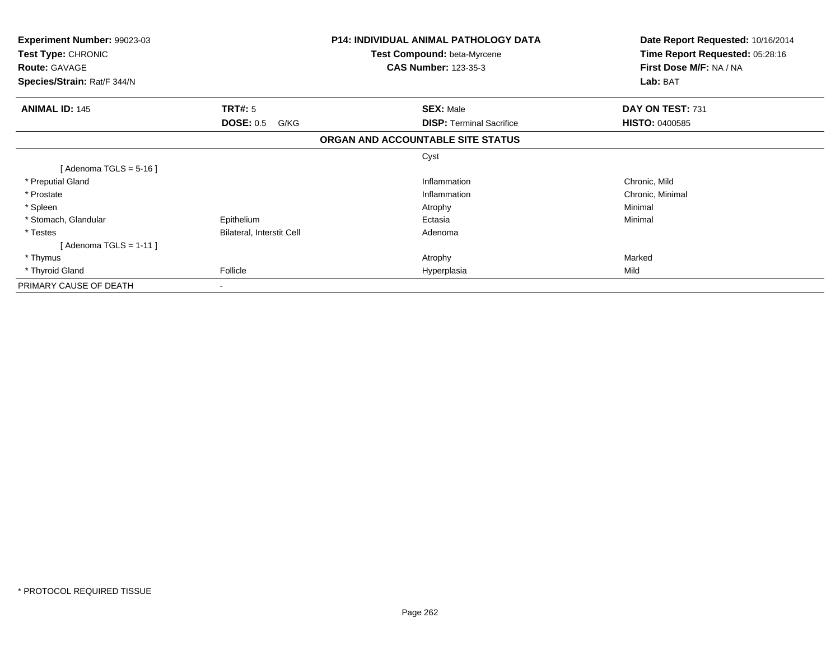| <b>Experiment Number: 99023-03</b><br>Test Type: CHRONIC<br><b>Route: GAVAGE</b> |                           | <b>P14: INDIVIDUAL ANIMAL PATHOLOGY DATA</b><br>Test Compound: beta-Myrcene<br><b>CAS Number: 123-35-3</b> | Date Report Requested: 10/16/2014<br>Time Report Requested: 05:28:16<br>First Dose M/F: NA / NA |
|----------------------------------------------------------------------------------|---------------------------|------------------------------------------------------------------------------------------------------------|-------------------------------------------------------------------------------------------------|
| Species/Strain: Rat/F 344/N                                                      |                           |                                                                                                            | Lab: BAT                                                                                        |
| <b>ANIMAL ID: 145</b>                                                            | <b>TRT#: 5</b>            | <b>SEX: Male</b>                                                                                           | DAY ON TEST: 731                                                                                |
|                                                                                  | <b>DOSE: 0.5</b><br>G/KG  | <b>DISP:</b> Terminal Sacrifice                                                                            | <b>HISTO: 0400585</b>                                                                           |
|                                                                                  |                           | ORGAN AND ACCOUNTABLE SITE STATUS                                                                          |                                                                                                 |
|                                                                                  |                           | Cyst                                                                                                       |                                                                                                 |
| [ Adenoma TGLS = 5-16 ]                                                          |                           |                                                                                                            |                                                                                                 |
| * Preputial Gland                                                                |                           | Inflammation                                                                                               | Chronic, Mild                                                                                   |
| * Prostate                                                                       |                           | Inflammation                                                                                               | Chronic, Minimal                                                                                |
| * Spleen                                                                         |                           | Atrophy                                                                                                    | Minimal                                                                                         |
| * Stomach, Glandular                                                             | Epithelium                | Ectasia                                                                                                    | Minimal                                                                                         |
| * Testes                                                                         | Bilateral, Interstit Cell | Adenoma                                                                                                    |                                                                                                 |
| [ Adenoma TGLS = 1-11 ]                                                          |                           |                                                                                                            |                                                                                                 |
| * Thymus                                                                         |                           | Atrophy                                                                                                    | Marked                                                                                          |
| * Thyroid Gland                                                                  | Follicle                  | Hyperplasia                                                                                                | Mild                                                                                            |
| PRIMARY CAUSE OF DEATH                                                           |                           |                                                                                                            |                                                                                                 |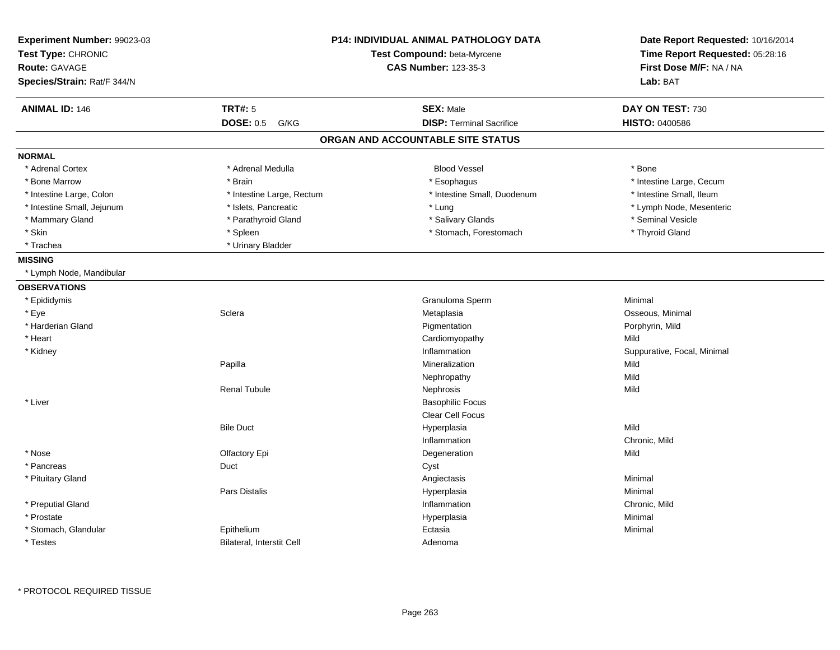| Experiment Number: 99023-03<br>Test Type: CHRONIC<br><b>Route: GAVAGE</b> |                           | <b>P14: INDIVIDUAL ANIMAL PATHOLOGY DATA</b><br>Test Compound: beta-Myrcene<br><b>CAS Number: 123-35-3</b> | Date Report Requested: 10/16/2014<br>Time Report Requested: 05:28:16<br>First Dose M/F: NA / NA |
|---------------------------------------------------------------------------|---------------------------|------------------------------------------------------------------------------------------------------------|-------------------------------------------------------------------------------------------------|
| Species/Strain: Rat/F 344/N                                               |                           |                                                                                                            | Lab: BAT                                                                                        |
| <b>ANIMAL ID: 146</b>                                                     | <b>TRT#: 5</b>            | <b>SEX: Male</b>                                                                                           | DAY ON TEST: 730                                                                                |
|                                                                           | <b>DOSE: 0.5</b><br>G/KG  | <b>DISP: Terminal Sacrifice</b>                                                                            | <b>HISTO: 0400586</b>                                                                           |
|                                                                           |                           | ORGAN AND ACCOUNTABLE SITE STATUS                                                                          |                                                                                                 |
| <b>NORMAL</b>                                                             |                           |                                                                                                            |                                                                                                 |
| * Adrenal Cortex                                                          | * Adrenal Medulla         | <b>Blood Vessel</b>                                                                                        | * Bone                                                                                          |
| * Bone Marrow                                                             | * Brain                   | * Esophagus                                                                                                | * Intestine Large, Cecum                                                                        |
| * Intestine Large, Colon                                                  | * Intestine Large, Rectum | * Intestine Small, Duodenum                                                                                | * Intestine Small, Ileum                                                                        |
| * Intestine Small, Jejunum                                                | * Islets, Pancreatic      | * Lung                                                                                                     | * Lymph Node, Mesenteric                                                                        |
| * Mammary Gland                                                           | * Parathyroid Gland       | * Salivary Glands                                                                                          | * Seminal Vesicle                                                                               |
| * Skin                                                                    | * Spleen                  | * Stomach, Forestomach                                                                                     | * Thyroid Gland                                                                                 |
| * Trachea                                                                 | * Urinary Bladder         |                                                                                                            |                                                                                                 |
| <b>MISSING</b>                                                            |                           |                                                                                                            |                                                                                                 |
| * Lymph Node, Mandibular                                                  |                           |                                                                                                            |                                                                                                 |
| <b>OBSERVATIONS</b>                                                       |                           |                                                                                                            |                                                                                                 |
| * Epididymis                                                              |                           | Granuloma Sperm                                                                                            | Minimal                                                                                         |
| * Eye                                                                     | Sclera                    | Metaplasia                                                                                                 | Osseous, Minimal                                                                                |
| * Harderian Gland                                                         |                           | Pigmentation                                                                                               | Porphyrin, Mild                                                                                 |
| * Heart                                                                   |                           | Cardiomyopathy                                                                                             | Mild                                                                                            |
| * Kidney                                                                  |                           | Inflammation                                                                                               | Suppurative, Focal, Minimal                                                                     |
|                                                                           | Papilla                   | Mineralization                                                                                             | Mild                                                                                            |
|                                                                           |                           | Nephropathy                                                                                                | Mild                                                                                            |
|                                                                           | <b>Renal Tubule</b>       | Nephrosis                                                                                                  | Mild                                                                                            |
| * Liver                                                                   |                           | <b>Basophilic Focus</b>                                                                                    |                                                                                                 |
|                                                                           |                           | Clear Cell Focus                                                                                           |                                                                                                 |
|                                                                           | <b>Bile Duct</b>          | Hyperplasia                                                                                                | Mild                                                                                            |
|                                                                           |                           | Inflammation                                                                                               | Chronic, Mild                                                                                   |
| * Nose                                                                    | Olfactory Epi             | Degeneration                                                                                               | Mild                                                                                            |
| * Pancreas                                                                | Duct                      | Cyst                                                                                                       |                                                                                                 |
| * Pituitary Gland                                                         |                           | Angiectasis                                                                                                | Minimal                                                                                         |
|                                                                           | Pars Distalis             | Hyperplasia                                                                                                | Minimal                                                                                         |
| * Preputial Gland                                                         |                           | Inflammation                                                                                               | Chronic, Mild                                                                                   |
| * Prostate                                                                |                           | Hyperplasia                                                                                                | Minimal                                                                                         |
| * Stomach, Glandular                                                      | Epithelium                | Ectasia                                                                                                    | Minimal                                                                                         |
| * Testes                                                                  | Bilateral, Interstit Cell | Adenoma                                                                                                    |                                                                                                 |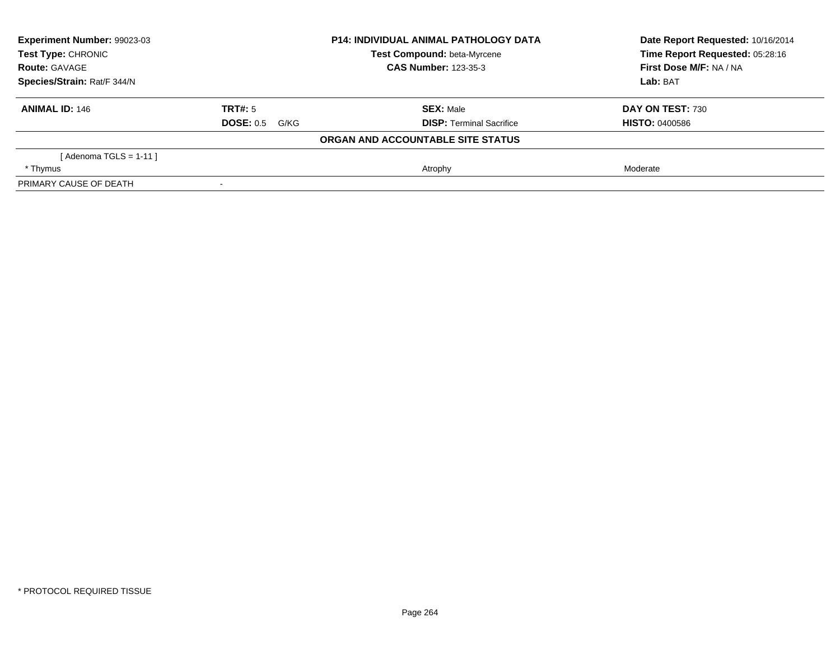| Experiment Number: 99023-03 |                          | <b>P14: INDIVIDUAL ANIMAL PATHOLOGY DATA</b> | Date Report Requested: 10/16/2014 |
|-----------------------------|--------------------------|----------------------------------------------|-----------------------------------|
| <b>Test Type: CHRONIC</b>   |                          | Test Compound: beta-Myrcene                  | Time Report Requested: 05:28:16   |
| <b>Route: GAVAGE</b>        |                          | <b>CAS Number: 123-35-3</b>                  | First Dose M/F: NA / NA           |
| Species/Strain: Rat/F 344/N |                          |                                              | Lab: BAT                          |
| <b>ANIMAL ID: 146</b>       | TRT#: 5                  | <b>SEX: Male</b>                             | DAY ON TEST: 730                  |
|                             | <b>DOSE: 0.5</b><br>G/KG | <b>DISP:</b> Terminal Sacrifice              | <b>HISTO: 0400586</b>             |
|                             |                          | ORGAN AND ACCOUNTABLE SITE STATUS            |                                   |
| [Adenoma TGLS = $1-11$ ]    |                          |                                              |                                   |
| * Thymus                    |                          | Atrophy                                      | Moderate                          |
| PRIMARY CAUSE OF DEATH      |                          |                                              |                                   |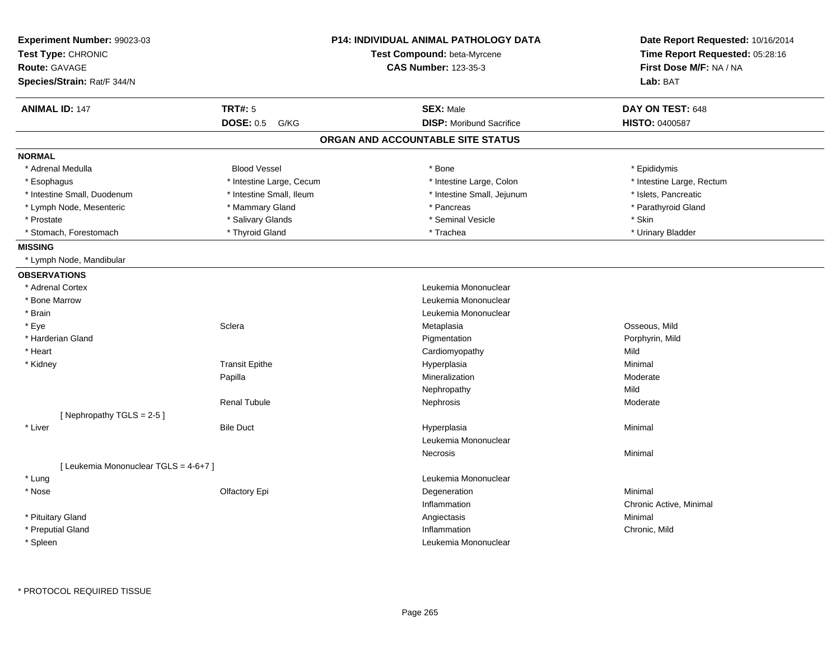| Experiment Number: 99023-03<br>Test Type: CHRONIC<br><b>Route: GAVAGE</b><br>Species/Strain: Rat/F 344/N |                          | <b>P14: INDIVIDUAL ANIMAL PATHOLOGY DATA</b><br>Test Compound: beta-Myrcene<br><b>CAS Number: 123-35-3</b> | Date Report Requested: 10/16/2014<br>Time Report Requested: 05:28:16<br>First Dose M/F: NA / NA<br>Lab: BAT |
|----------------------------------------------------------------------------------------------------------|--------------------------|------------------------------------------------------------------------------------------------------------|-------------------------------------------------------------------------------------------------------------|
|                                                                                                          |                          |                                                                                                            |                                                                                                             |
| <b>ANIMAL ID: 147</b>                                                                                    | <b>TRT#: 5</b>           | <b>SEX: Male</b>                                                                                           | DAY ON TEST: 648                                                                                            |
|                                                                                                          | <b>DOSE: 0.5</b><br>G/KG | <b>DISP:</b> Moribund Sacrifice                                                                            | HISTO: 0400587                                                                                              |
|                                                                                                          |                          | ORGAN AND ACCOUNTABLE SITE STATUS                                                                          |                                                                                                             |
| <b>NORMAL</b>                                                                                            |                          |                                                                                                            |                                                                                                             |
| * Adrenal Medulla                                                                                        | <b>Blood Vessel</b>      | * Bone                                                                                                     | * Epididymis                                                                                                |
| * Esophagus                                                                                              | * Intestine Large, Cecum | * Intestine Large, Colon                                                                                   | * Intestine Large, Rectum                                                                                   |
| * Intestine Small, Duodenum                                                                              | * Intestine Small, Ileum | * Intestine Small, Jejunum                                                                                 | * Islets, Pancreatic                                                                                        |
| * Lymph Node, Mesenteric                                                                                 | * Mammary Gland          | * Pancreas                                                                                                 | * Parathyroid Gland                                                                                         |
| * Prostate                                                                                               | * Salivary Glands        | * Seminal Vesicle                                                                                          | * Skin                                                                                                      |
| * Stomach, Forestomach                                                                                   | * Thyroid Gland          | * Trachea                                                                                                  | * Urinary Bladder                                                                                           |
| <b>MISSING</b>                                                                                           |                          |                                                                                                            |                                                                                                             |
| * Lymph Node, Mandibular                                                                                 |                          |                                                                                                            |                                                                                                             |
| <b>OBSERVATIONS</b>                                                                                      |                          |                                                                                                            |                                                                                                             |
| * Adrenal Cortex                                                                                         |                          | Leukemia Mononuclear                                                                                       |                                                                                                             |
| * Bone Marrow                                                                                            |                          | Leukemia Mononuclear                                                                                       |                                                                                                             |
| * Brain                                                                                                  |                          | Leukemia Mononuclear                                                                                       |                                                                                                             |
| * Eye                                                                                                    | Sclera                   | Metaplasia                                                                                                 | Osseous, Mild                                                                                               |
| * Harderian Gland                                                                                        |                          | Pigmentation                                                                                               | Porphyrin, Mild                                                                                             |
| * Heart                                                                                                  |                          | Cardiomyopathy                                                                                             | Mild                                                                                                        |
| * Kidney                                                                                                 | <b>Transit Epithe</b>    | Hyperplasia                                                                                                | Minimal                                                                                                     |
|                                                                                                          | Papilla                  | Mineralization                                                                                             | Moderate                                                                                                    |
|                                                                                                          |                          | Nephropathy                                                                                                | Mild                                                                                                        |
|                                                                                                          | <b>Renal Tubule</b>      | Nephrosis                                                                                                  | Moderate                                                                                                    |
| [Nephropathy TGLS = 2-5]                                                                                 |                          |                                                                                                            |                                                                                                             |
| * Liver                                                                                                  | <b>Bile Duct</b>         | Hyperplasia                                                                                                | Minimal                                                                                                     |
|                                                                                                          |                          | Leukemia Mononuclear                                                                                       |                                                                                                             |
|                                                                                                          |                          | Necrosis                                                                                                   | Minimal                                                                                                     |
| [ Leukemia Mononuclear TGLS = 4-6+7 ]                                                                    |                          |                                                                                                            |                                                                                                             |
| * Lung                                                                                                   |                          | Leukemia Mononuclear                                                                                       |                                                                                                             |
| * Nose                                                                                                   | Olfactory Epi            | Degeneration                                                                                               | Minimal                                                                                                     |
|                                                                                                          |                          | Inflammation                                                                                               | Chronic Active, Minimal                                                                                     |
| * Pituitary Gland                                                                                        |                          | Angiectasis                                                                                                | Minimal                                                                                                     |
| * Preputial Gland                                                                                        |                          | Inflammation                                                                                               | Chronic, Mild                                                                                               |
|                                                                                                          |                          | Leukemia Mononuclear                                                                                       |                                                                                                             |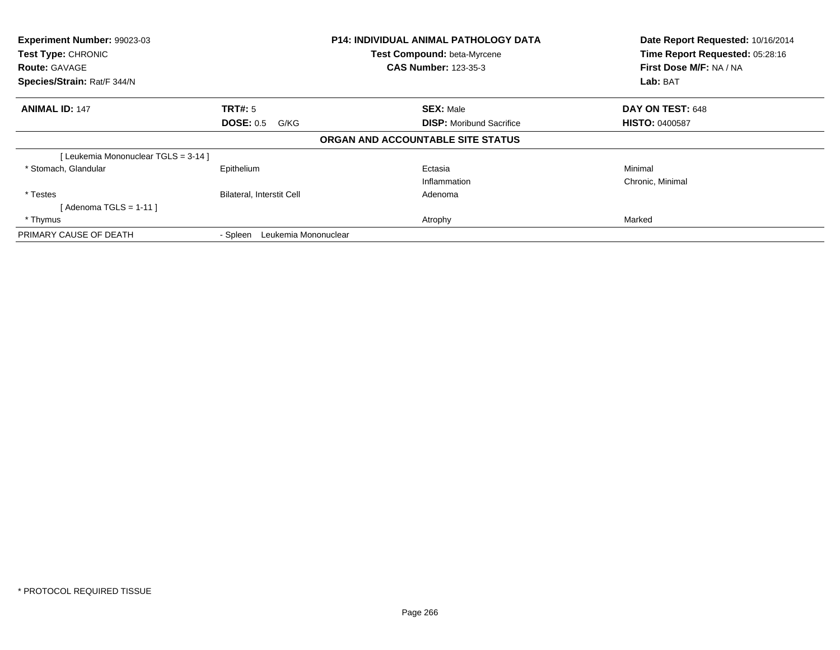| Experiment Number: 99023-03<br>Test Type: CHRONIC<br><b>Route: GAVAGE</b><br>Species/Strain: Rat/F 344/N |                                            | <b>P14: INDIVIDUAL ANIMAL PATHOLOGY DATA</b><br>Test Compound: beta-Myrcene<br><b>CAS Number: 123-35-3</b> | Date Report Requested: 10/16/2014<br>Time Report Requested: 05:28:16<br>First Dose M/F: NA / NA<br>Lab: BAT |
|----------------------------------------------------------------------------------------------------------|--------------------------------------------|------------------------------------------------------------------------------------------------------------|-------------------------------------------------------------------------------------------------------------|
| <b>ANIMAL ID: 147</b>                                                                                    | <b>TRT#: 5</b><br><b>DOSE: 0.5</b><br>G/KG | <b>SEX: Male</b><br><b>DISP:</b> Moribund Sacrifice                                                        | DAY ON TEST: 648<br><b>HISTO: 0400587</b>                                                                   |
|                                                                                                          |                                            | ORGAN AND ACCOUNTABLE SITE STATUS                                                                          |                                                                                                             |
| [Leukemia Mononuclear TGLS = 3-14]                                                                       |                                            |                                                                                                            |                                                                                                             |
| * Stomach, Glandular                                                                                     | Epithelium                                 | Ectasia<br>Inflammation                                                                                    | Minimal<br>Chronic, Minimal                                                                                 |
| * Testes<br>[Adenoma TGLS = 1-11]                                                                        | Bilateral, Interstit Cell                  | Adenoma                                                                                                    |                                                                                                             |
| * Thymus                                                                                                 |                                            | Atrophy                                                                                                    | Marked                                                                                                      |
| PRIMARY CAUSE OF DEATH                                                                                   | Leukemia Mononuclear<br>- Spleen           |                                                                                                            |                                                                                                             |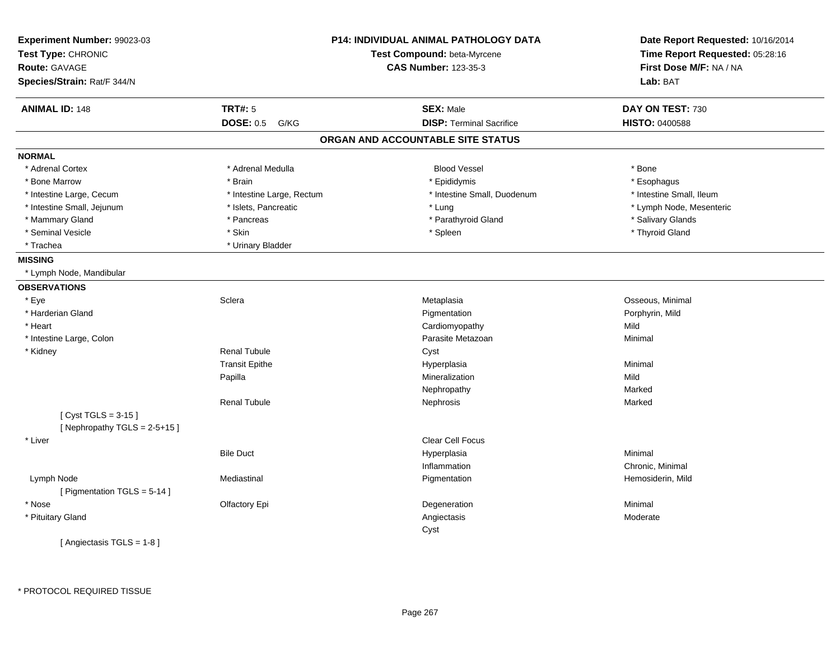| Experiment Number: 99023-03<br>Test Type: CHRONIC<br><b>Route: GAVAGE</b><br>Species/Strain: Rat/F 344/N |                           | <b>P14: INDIVIDUAL ANIMAL PATHOLOGY DATA</b><br>Test Compound: beta-Myrcene<br><b>CAS Number: 123-35-3</b> | Date Report Requested: 10/16/2014<br>Time Report Requested: 05:28:16<br>First Dose M/F: NA / NA<br>Lab: BAT |
|----------------------------------------------------------------------------------------------------------|---------------------------|------------------------------------------------------------------------------------------------------------|-------------------------------------------------------------------------------------------------------------|
| <b>ANIMAL ID: 148</b>                                                                                    | <b>TRT#: 5</b>            | <b>SEX: Male</b>                                                                                           | DAY ON TEST: 730                                                                                            |
|                                                                                                          | <b>DOSE: 0.5</b><br>G/KG  | <b>DISP: Terminal Sacrifice</b>                                                                            | <b>HISTO: 0400588</b>                                                                                       |
|                                                                                                          |                           | ORGAN AND ACCOUNTABLE SITE STATUS                                                                          |                                                                                                             |
| <b>NORMAL</b>                                                                                            |                           |                                                                                                            |                                                                                                             |
| * Adrenal Cortex                                                                                         | * Adrenal Medulla         | <b>Blood Vessel</b>                                                                                        | * Bone                                                                                                      |
| * Bone Marrow                                                                                            | * Brain                   | * Epididymis                                                                                               | * Esophagus                                                                                                 |
| * Intestine Large, Cecum                                                                                 | * Intestine Large, Rectum | * Intestine Small, Duodenum                                                                                | * Intestine Small, Ileum                                                                                    |
| * Intestine Small, Jejunum                                                                               | * Islets, Pancreatic      | * Lung                                                                                                     | * Lymph Node, Mesenteric                                                                                    |
| * Mammary Gland                                                                                          | * Pancreas                | * Parathyroid Gland                                                                                        | * Salivary Glands                                                                                           |
| * Seminal Vesicle                                                                                        | * Skin                    | * Spleen                                                                                                   | * Thyroid Gland                                                                                             |
| * Trachea                                                                                                | * Urinary Bladder         |                                                                                                            |                                                                                                             |
| <b>MISSING</b>                                                                                           |                           |                                                                                                            |                                                                                                             |
| * Lymph Node, Mandibular                                                                                 |                           |                                                                                                            |                                                                                                             |
| <b>OBSERVATIONS</b>                                                                                      |                           |                                                                                                            |                                                                                                             |
| * Eye                                                                                                    | Sclera                    | Metaplasia                                                                                                 | Osseous, Minimal                                                                                            |
| * Harderian Gland                                                                                        |                           | Pigmentation                                                                                               | Porphyrin, Mild                                                                                             |
| * Heart                                                                                                  |                           | Cardiomyopathy                                                                                             | Mild                                                                                                        |
| * Intestine Large, Colon                                                                                 |                           | Parasite Metazoan                                                                                          | Minimal                                                                                                     |
| * Kidney                                                                                                 | <b>Renal Tubule</b>       | Cyst                                                                                                       |                                                                                                             |
|                                                                                                          | <b>Transit Epithe</b>     | Hyperplasia                                                                                                | Minimal                                                                                                     |
|                                                                                                          | Papilla                   | Mineralization                                                                                             | Mild                                                                                                        |
|                                                                                                          |                           | Nephropathy                                                                                                | Marked                                                                                                      |
|                                                                                                          | <b>Renal Tubule</b>       | Nephrosis                                                                                                  | Marked                                                                                                      |
| [Cyst TGLS = $3-15$ ]                                                                                    |                           |                                                                                                            |                                                                                                             |
| [Nephropathy TGLS = $2-5+15$ ]                                                                           |                           |                                                                                                            |                                                                                                             |
| * Liver                                                                                                  |                           | Clear Cell Focus                                                                                           |                                                                                                             |
|                                                                                                          | <b>Bile Duct</b>          | Hyperplasia                                                                                                | Minimal                                                                                                     |
|                                                                                                          |                           | Inflammation                                                                                               | Chronic, Minimal                                                                                            |
| Lymph Node                                                                                               | Mediastinal               | Pigmentation                                                                                               | Hemosiderin, Mild                                                                                           |
| [ Pigmentation TGLS = 5-14 ]                                                                             |                           |                                                                                                            |                                                                                                             |
| * Nose                                                                                                   | Olfactory Epi             | Degeneration                                                                                               | Minimal                                                                                                     |
| * Pituitary Gland                                                                                        |                           | Angiectasis                                                                                                | Moderate                                                                                                    |
|                                                                                                          |                           | Cyst                                                                                                       |                                                                                                             |
| [ Angiectasis TGLS = 1-8 ]                                                                               |                           |                                                                                                            |                                                                                                             |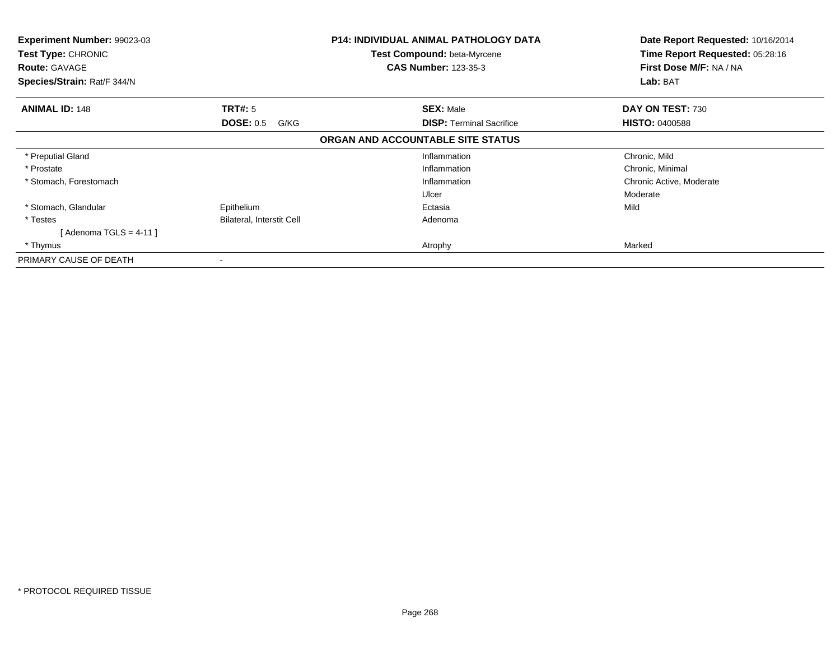| <b>Experiment Number: 99023-03</b><br>Test Type: CHRONIC<br><b>Route: GAVAGE</b><br>Species/Strain: Rat/F 344/N |                           | <b>P14: INDIVIDUAL ANIMAL PATHOLOGY DATA</b><br><b>Test Compound: beta-Myrcene</b><br><b>CAS Number: 123-35-3</b> | Date Report Requested: 10/16/2014<br>Time Report Requested: 05:28:16<br>First Dose M/F: NA / NA<br>Lab: BAT |
|-----------------------------------------------------------------------------------------------------------------|---------------------------|-------------------------------------------------------------------------------------------------------------------|-------------------------------------------------------------------------------------------------------------|
| <b>ANIMAL ID: 148</b>                                                                                           | <b>TRT#: 5</b>            | <b>SEX: Male</b>                                                                                                  | DAY ON TEST: 730                                                                                            |
|                                                                                                                 | <b>DOSE: 0.5</b><br>G/KG  | <b>DISP:</b> Terminal Sacrifice                                                                                   | <b>HISTO: 0400588</b>                                                                                       |
|                                                                                                                 |                           | ORGAN AND ACCOUNTABLE SITE STATUS                                                                                 |                                                                                                             |
| * Preputial Gland                                                                                               |                           | Inflammation                                                                                                      | Chronic, Mild                                                                                               |
| * Prostate                                                                                                      |                           | Inflammation                                                                                                      | Chronic, Minimal                                                                                            |
| * Stomach, Forestomach                                                                                          |                           | Inflammation                                                                                                      | Chronic Active, Moderate                                                                                    |
|                                                                                                                 |                           | Ulcer                                                                                                             | Moderate                                                                                                    |
| * Stomach, Glandular                                                                                            | Epithelium                | Ectasia                                                                                                           | Mild                                                                                                        |
| * Testes                                                                                                        | Bilateral, Interstit Cell | Adenoma                                                                                                           |                                                                                                             |
| [Adenoma TGLS = 4-11 ]                                                                                          |                           |                                                                                                                   |                                                                                                             |
| * Thymus                                                                                                        |                           | Atrophy                                                                                                           | Marked                                                                                                      |
| PRIMARY CAUSE OF DEATH                                                                                          |                           |                                                                                                                   |                                                                                                             |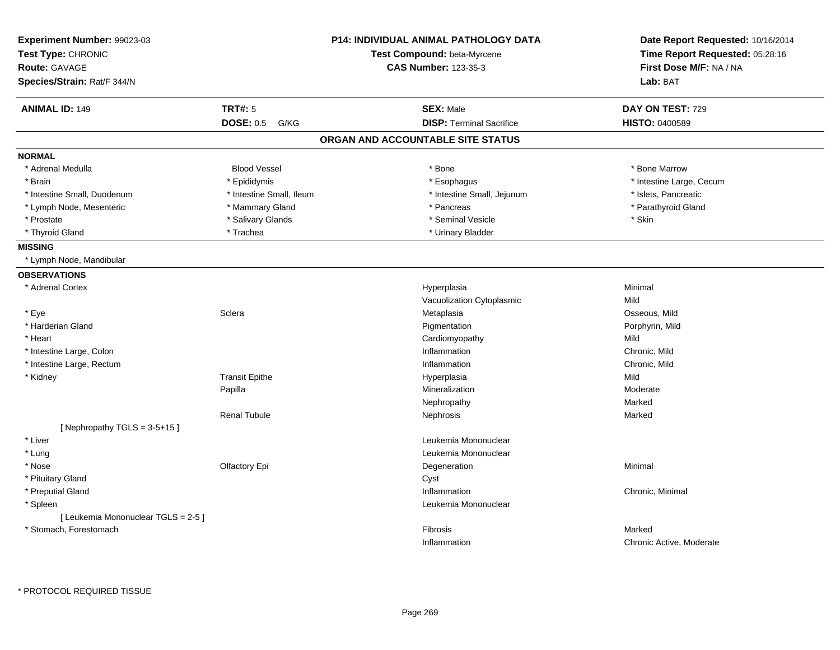| Experiment Number: 99023-03<br>Test Type: CHRONIC |                          | <b>P14: INDIVIDUAL ANIMAL PATHOLOGY DATA</b><br>Test Compound: beta-Myrcene | Date Report Requested: 10/16/2014<br>Time Report Requested: 05:28:16 |
|---------------------------------------------------|--------------------------|-----------------------------------------------------------------------------|----------------------------------------------------------------------|
| <b>Route: GAVAGE</b>                              |                          | <b>CAS Number: 123-35-3</b>                                                 | First Dose M/F: NA / NA                                              |
| Species/Strain: Rat/F 344/N                       |                          |                                                                             | Lab: BAT                                                             |
| <b>ANIMAL ID: 149</b>                             | <b>TRT#: 5</b>           | <b>SEX: Male</b>                                                            | DAY ON TEST: 729                                                     |
|                                                   | <b>DOSE: 0.5</b><br>G/KG | <b>DISP: Terminal Sacrifice</b>                                             | HISTO: 0400589                                                       |
|                                                   |                          | ORGAN AND ACCOUNTABLE SITE STATUS                                           |                                                                      |
| <b>NORMAL</b>                                     |                          |                                                                             |                                                                      |
| * Adrenal Medulla                                 | <b>Blood Vessel</b>      | * Bone                                                                      | * Bone Marrow                                                        |
| * Brain                                           | * Epididymis             | * Esophagus                                                                 | * Intestine Large, Cecum                                             |
| * Intestine Small, Duodenum                       | * Intestine Small, Ileum | * Intestine Small, Jejunum                                                  | * Islets, Pancreatic                                                 |
| * Lymph Node, Mesenteric                          | * Mammary Gland          | * Pancreas                                                                  | * Parathyroid Gland                                                  |
| * Prostate                                        | * Salivary Glands        | * Seminal Vesicle                                                           | $^{\star}$ Skin                                                      |
| * Thyroid Gland                                   | * Trachea                | * Urinary Bladder                                                           |                                                                      |
| <b>MISSING</b>                                    |                          |                                                                             |                                                                      |
| * Lymph Node, Mandibular                          |                          |                                                                             |                                                                      |
| <b>OBSERVATIONS</b>                               |                          |                                                                             |                                                                      |
| * Adrenal Cortex                                  |                          | Hyperplasia                                                                 | Minimal                                                              |
|                                                   |                          | Vacuolization Cytoplasmic                                                   | Mild                                                                 |
| * Eye                                             | Sclera                   | Metaplasia                                                                  | Osseous, Mild                                                        |
| * Harderian Gland                                 |                          | Pigmentation                                                                | Porphyrin, Mild                                                      |
| * Heart                                           |                          | Cardiomyopathy                                                              | Mild                                                                 |
| * Intestine Large, Colon                          |                          | Inflammation                                                                | Chronic, Mild                                                        |
| * Intestine Large, Rectum                         |                          | Inflammation                                                                | Chronic, Mild                                                        |
| * Kidney                                          | <b>Transit Epithe</b>    | Hyperplasia                                                                 | Mild                                                                 |
|                                                   | Papilla                  | Mineralization                                                              | Moderate                                                             |
|                                                   |                          | Nephropathy                                                                 | Marked                                                               |
|                                                   | <b>Renal Tubule</b>      | Nephrosis                                                                   | Marked                                                               |
| [Nephropathy TGLS = $3-5+15$ ]                    |                          |                                                                             |                                                                      |
| * Liver                                           |                          | Leukemia Mononuclear                                                        |                                                                      |
| * Lung                                            |                          | Leukemia Mononuclear                                                        |                                                                      |
| * Nose                                            | Olfactory Epi            | Degeneration                                                                | Minimal                                                              |
| * Pituitary Gland                                 |                          | Cyst                                                                        |                                                                      |
| * Preputial Gland                                 |                          | Inflammation                                                                | Chronic, Minimal                                                     |
| * Spleen                                          |                          | Leukemia Mononuclear                                                        |                                                                      |
| [Leukemia Mononuclear TGLS = 2-5]                 |                          |                                                                             |                                                                      |
| * Stomach, Forestomach                            |                          | Fibrosis                                                                    | Marked                                                               |
|                                                   |                          | Inflammation                                                                | Chronic Active, Moderate                                             |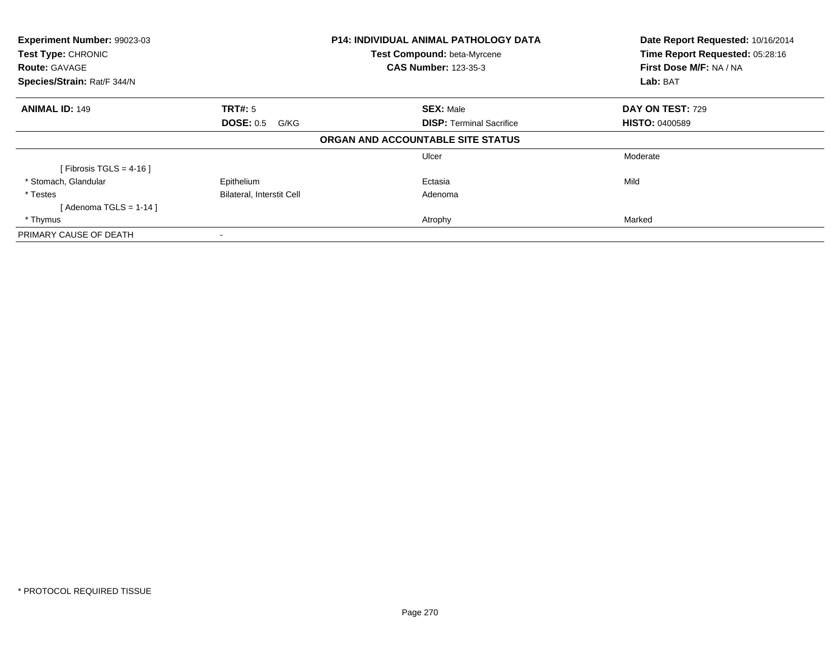| Experiment Number: 99023-03<br>Test Type: CHRONIC |                                  | <b>P14: INDIVIDUAL ANIMAL PATHOLOGY DATA</b> | Date Report Requested: 10/16/2014<br>Time Report Requested: 05:28:16 |  |
|---------------------------------------------------|----------------------------------|----------------------------------------------|----------------------------------------------------------------------|--|
|                                                   |                                  | Test Compound: beta-Myrcene                  |                                                                      |  |
| <b>Route: GAVAGE</b>                              |                                  | <b>CAS Number: 123-35-3</b>                  | First Dose M/F: NA / NA                                              |  |
| Species/Strain: Rat/F 344/N                       |                                  |                                              | Lab: BAT                                                             |  |
| <b>ANIMAL ID: 149</b>                             | TRT#: 5                          | <b>SEX: Male</b>                             | DAY ON TEST: 729                                                     |  |
|                                                   | <b>DOSE: 0.5</b><br>G/KG         | <b>DISP:</b> Terminal Sacrifice              | <b>HISTO: 0400589</b>                                                |  |
|                                                   |                                  | ORGAN AND ACCOUNTABLE SITE STATUS            |                                                                      |  |
|                                                   |                                  | Ulcer                                        | Moderate                                                             |  |
| [Fibrosis TGLS = $4-16$ ]                         |                                  |                                              |                                                                      |  |
| * Stomach, Glandular                              | Epithelium                       | Ectasia                                      | Mild                                                                 |  |
| * Testes                                          | <b>Bilateral, Interstit Cell</b> | Adenoma                                      |                                                                      |  |
| [Adenoma TGLS = 1-14]                             |                                  |                                              |                                                                      |  |
| * Thymus                                          |                                  | Atrophy                                      | Marked                                                               |  |
| PRIMARY CAUSE OF DEATH                            |                                  |                                              |                                                                      |  |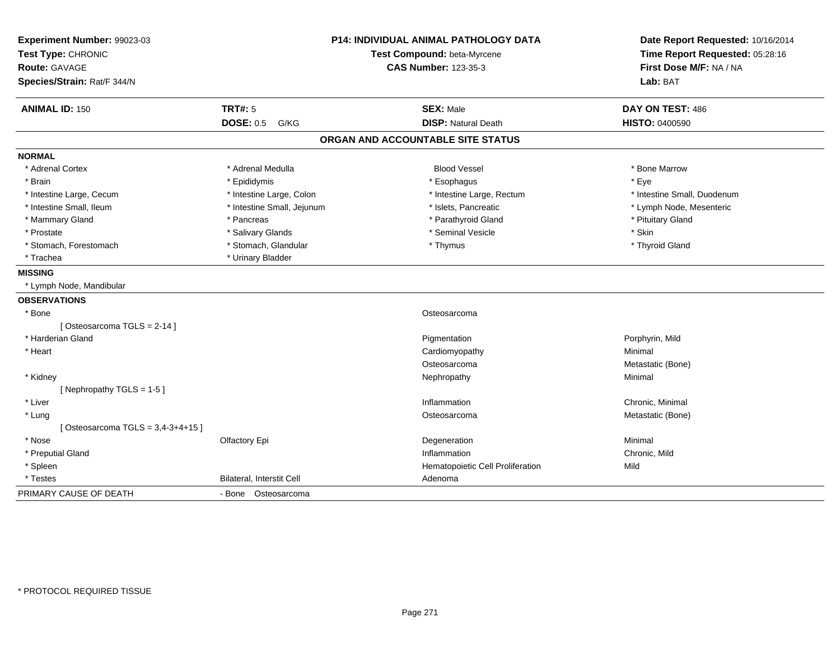| Experiment Number: 99023-03<br>Test Type: CHRONIC<br>Route: GAVAGE<br>Species/Strain: Rat/F 344/N |                                            | <b>P14: INDIVIDUAL ANIMAL PATHOLOGY DATA</b><br>Test Compound: beta-Myrcene<br><b>CAS Number: 123-35-3</b> | Date Report Requested: 10/16/2014<br>Time Report Requested: 05:28:16<br>First Dose M/F: NA / NA<br>Lab: BAT |
|---------------------------------------------------------------------------------------------------|--------------------------------------------|------------------------------------------------------------------------------------------------------------|-------------------------------------------------------------------------------------------------------------|
| <b>ANIMAL ID: 150</b>                                                                             | <b>TRT#: 5</b><br><b>DOSE: 0.5</b><br>G/KG | <b>SEX: Male</b><br><b>DISP: Natural Death</b>                                                             | DAY ON TEST: 486<br><b>HISTO: 0400590</b>                                                                   |
|                                                                                                   |                                            | ORGAN AND ACCOUNTABLE SITE STATUS                                                                          |                                                                                                             |
|                                                                                                   |                                            |                                                                                                            |                                                                                                             |
| <b>NORMAL</b>                                                                                     |                                            |                                                                                                            |                                                                                                             |
| * Adrenal Cortex                                                                                  | * Adrenal Medulla                          | <b>Blood Vessel</b>                                                                                        | * Bone Marrow                                                                                               |
| * Brain                                                                                           | * Epididymis                               | * Esophagus                                                                                                | * Eye                                                                                                       |
| * Intestine Large, Cecum                                                                          | * Intestine Large, Colon                   | * Intestine Large, Rectum                                                                                  | * Intestine Small, Duodenum                                                                                 |
| * Intestine Small, Ileum                                                                          | * Intestine Small, Jejunum                 | * Islets, Pancreatic                                                                                       | * Lymph Node, Mesenteric                                                                                    |
| * Mammary Gland                                                                                   | * Pancreas                                 | * Parathyroid Gland                                                                                        | * Pituitary Gland                                                                                           |
| * Prostate                                                                                        | * Salivary Glands                          | * Seminal Vesicle                                                                                          | * Skin                                                                                                      |
| * Stomach, Forestomach                                                                            | * Stomach, Glandular                       | * Thymus                                                                                                   | * Thyroid Gland                                                                                             |
| * Trachea                                                                                         | * Urinary Bladder                          |                                                                                                            |                                                                                                             |
| <b>MISSING</b>                                                                                    |                                            |                                                                                                            |                                                                                                             |
| * Lymph Node, Mandibular                                                                          |                                            |                                                                                                            |                                                                                                             |
| <b>OBSERVATIONS</b>                                                                               |                                            |                                                                                                            |                                                                                                             |
| * Bone                                                                                            |                                            | Osteosarcoma                                                                                               |                                                                                                             |
| [Osteosarcoma TGLS = 2-14]                                                                        |                                            |                                                                                                            |                                                                                                             |
| * Harderian Gland                                                                                 |                                            | Pigmentation                                                                                               | Porphyrin, Mild                                                                                             |
| * Heart                                                                                           |                                            | Cardiomyopathy                                                                                             | Minimal                                                                                                     |
|                                                                                                   |                                            | Osteosarcoma                                                                                               | Metastatic (Bone)                                                                                           |
| * Kidney                                                                                          |                                            | Nephropathy                                                                                                | Minimal                                                                                                     |
| [Nephropathy TGLS = 1-5]                                                                          |                                            |                                                                                                            |                                                                                                             |
| * Liver                                                                                           |                                            | Inflammation                                                                                               | Chronic, Minimal                                                                                            |
| * Lung                                                                                            |                                            | Osteosarcoma                                                                                               | Metastatic (Bone)                                                                                           |
| [Osteosarcoma TGLS = $3,4-3+4+15$ ]                                                               |                                            |                                                                                                            |                                                                                                             |
| * Nose                                                                                            | Olfactory Epi                              | Degeneration                                                                                               | Minimal                                                                                                     |
| * Preputial Gland                                                                                 |                                            | Inflammation                                                                                               | Chronic, Mild                                                                                               |
| * Spleen                                                                                          |                                            | Hematopoietic Cell Proliferation                                                                           | Mild                                                                                                        |
| * Testes                                                                                          | Bilateral, Interstit Cell                  | Adenoma                                                                                                    |                                                                                                             |
| PRIMARY CAUSE OF DEATH                                                                            | - Bone Osteosarcoma                        |                                                                                                            |                                                                                                             |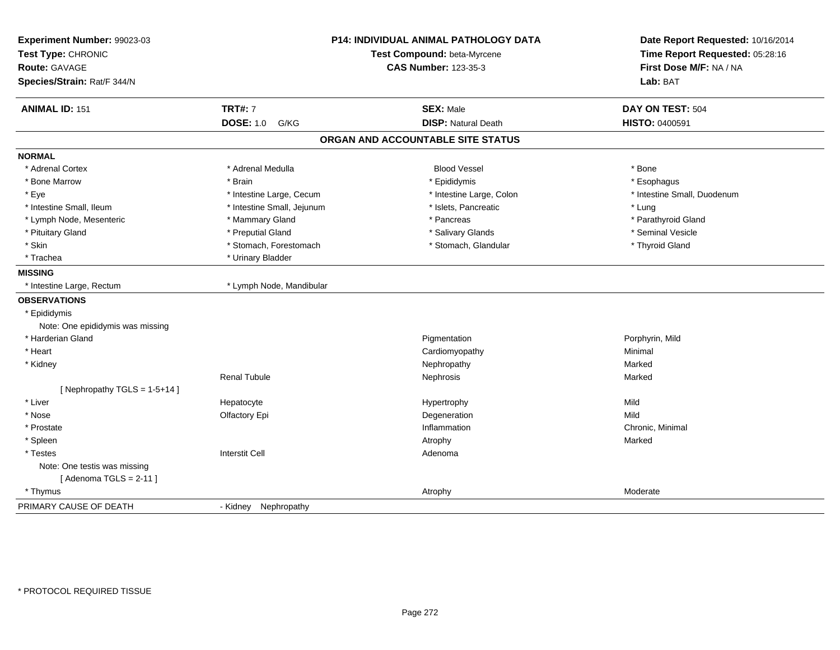| Experiment Number: 99023-03<br>Test Type: CHRONIC<br>Route: GAVAGE<br>Species/Strain: Rat/F 344/N |                            | <b>P14: INDIVIDUAL ANIMAL PATHOLOGY DATA</b><br>Test Compound: beta-Myrcene<br><b>CAS Number: 123-35-3</b> | Date Report Requested: 10/16/2014<br>Time Report Requested: 05:28:16<br>First Dose M/F: NA / NA<br>Lab: BAT |
|---------------------------------------------------------------------------------------------------|----------------------------|------------------------------------------------------------------------------------------------------------|-------------------------------------------------------------------------------------------------------------|
| <b>ANIMAL ID: 151</b>                                                                             | <b>TRT#: 7</b>             | <b>SEX: Male</b>                                                                                           | DAY ON TEST: 504                                                                                            |
|                                                                                                   | <b>DOSE: 1.0</b><br>G/KG   | <b>DISP: Natural Death</b>                                                                                 | HISTO: 0400591                                                                                              |
|                                                                                                   |                            | ORGAN AND ACCOUNTABLE SITE STATUS                                                                          |                                                                                                             |
| <b>NORMAL</b>                                                                                     |                            |                                                                                                            |                                                                                                             |
| * Adrenal Cortex                                                                                  | * Adrenal Medulla          | <b>Blood Vessel</b>                                                                                        | * Bone                                                                                                      |
| * Bone Marrow                                                                                     | * Brain                    | * Epididymis                                                                                               | * Esophagus                                                                                                 |
| * Eye                                                                                             | * Intestine Large, Cecum   | * Intestine Large, Colon                                                                                   | * Intestine Small, Duodenum                                                                                 |
| * Intestine Small, Ileum                                                                          | * Intestine Small, Jejunum | * Islets, Pancreatic                                                                                       | * Lung                                                                                                      |
| * Lymph Node, Mesenteric                                                                          | * Mammary Gland            | * Pancreas                                                                                                 | * Parathyroid Gland                                                                                         |
| * Pituitary Gland                                                                                 | * Preputial Gland          | * Salivary Glands                                                                                          | * Seminal Vesicle                                                                                           |
| * Skin                                                                                            | * Stomach, Forestomach     | * Stomach, Glandular                                                                                       | * Thyroid Gland                                                                                             |
| * Trachea                                                                                         | * Urinary Bladder          |                                                                                                            |                                                                                                             |
| <b>MISSING</b>                                                                                    |                            |                                                                                                            |                                                                                                             |
| * Intestine Large, Rectum                                                                         | * Lymph Node, Mandibular   |                                                                                                            |                                                                                                             |
| <b>OBSERVATIONS</b>                                                                               |                            |                                                                                                            |                                                                                                             |
| * Epididymis                                                                                      |                            |                                                                                                            |                                                                                                             |
| Note: One epididymis was missing                                                                  |                            |                                                                                                            |                                                                                                             |
| * Harderian Gland                                                                                 |                            | Pigmentation                                                                                               | Porphyrin, Mild                                                                                             |
| * Heart                                                                                           |                            | Cardiomyopathy                                                                                             | Minimal                                                                                                     |
| * Kidney                                                                                          |                            | Nephropathy                                                                                                | Marked                                                                                                      |
|                                                                                                   | <b>Renal Tubule</b>        | Nephrosis                                                                                                  | Marked                                                                                                      |
| [Nephropathy TGLS = $1-5+14$ ]                                                                    |                            |                                                                                                            |                                                                                                             |
| * Liver                                                                                           | Hepatocyte                 | Hypertrophy                                                                                                | Mild                                                                                                        |
| * Nose                                                                                            | Olfactory Epi              | Degeneration                                                                                               | Mild                                                                                                        |
| * Prostate                                                                                        |                            | Inflammation                                                                                               | Chronic, Minimal                                                                                            |
| * Spleen                                                                                          |                            | Atrophy                                                                                                    | Marked                                                                                                      |
| * Testes                                                                                          | <b>Interstit Cell</b>      | Adenoma                                                                                                    |                                                                                                             |
| Note: One testis was missing                                                                      |                            |                                                                                                            |                                                                                                             |
| [Adenoma TGLS = $2-11$ ]                                                                          |                            |                                                                                                            |                                                                                                             |
| * Thymus                                                                                          |                            | Atrophy                                                                                                    | Moderate                                                                                                    |
| PRIMARY CAUSE OF DEATH                                                                            | - Kidnev<br>Nephropathy    |                                                                                                            |                                                                                                             |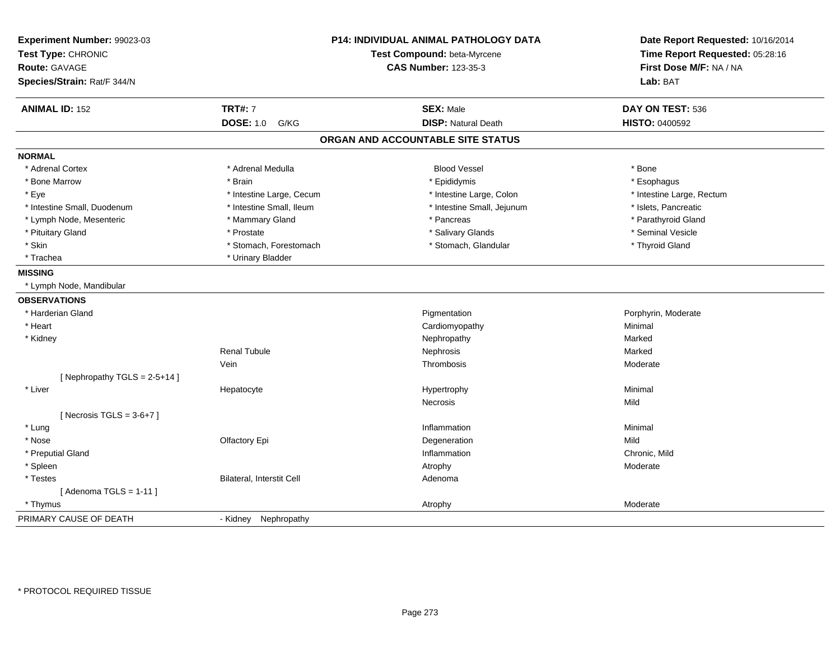| Experiment Number: 99023-03<br>Test Type: CHRONIC<br><b>Route: GAVAGE</b><br>Species/Strain: Rat/F 344/N |                           | <b>P14: INDIVIDUAL ANIMAL PATHOLOGY DATA</b><br>Test Compound: beta-Myrcene<br><b>CAS Number: 123-35-3</b> | Date Report Requested: 10/16/2014<br>Time Report Requested: 05:28:16<br>First Dose M/F: NA / NA<br>Lab: BAT |
|----------------------------------------------------------------------------------------------------------|---------------------------|------------------------------------------------------------------------------------------------------------|-------------------------------------------------------------------------------------------------------------|
| <b>ANIMAL ID: 152</b>                                                                                    | <b>TRT#: 7</b>            | <b>SEX: Male</b>                                                                                           | DAY ON TEST: 536                                                                                            |
|                                                                                                          | <b>DOSE: 1.0</b><br>G/KG  | <b>DISP: Natural Death</b>                                                                                 | HISTO: 0400592                                                                                              |
|                                                                                                          |                           | ORGAN AND ACCOUNTABLE SITE STATUS                                                                          |                                                                                                             |
| <b>NORMAL</b>                                                                                            |                           |                                                                                                            |                                                                                                             |
| * Adrenal Cortex                                                                                         | * Adrenal Medulla         | <b>Blood Vessel</b>                                                                                        | * Bone                                                                                                      |
| * Bone Marrow                                                                                            | * Brain                   | * Epididymis                                                                                               | * Esophagus                                                                                                 |
| * Eye                                                                                                    | * Intestine Large, Cecum  | * Intestine Large, Colon                                                                                   | * Intestine Large, Rectum                                                                                   |
| * Intestine Small, Duodenum                                                                              | * Intestine Small, Ileum  | * Intestine Small, Jejunum                                                                                 | * Islets, Pancreatic                                                                                        |
| * Lymph Node, Mesenteric                                                                                 | * Mammary Gland           | * Pancreas                                                                                                 | * Parathyroid Gland                                                                                         |
| * Pituitary Gland                                                                                        | * Prostate                | * Salivary Glands                                                                                          | * Seminal Vesicle                                                                                           |
| * Skin                                                                                                   | * Stomach, Forestomach    | * Stomach, Glandular                                                                                       | * Thyroid Gland                                                                                             |
| * Trachea                                                                                                | * Urinary Bladder         |                                                                                                            |                                                                                                             |
| <b>MISSING</b>                                                                                           |                           |                                                                                                            |                                                                                                             |
| * Lymph Node, Mandibular                                                                                 |                           |                                                                                                            |                                                                                                             |
| <b>OBSERVATIONS</b>                                                                                      |                           |                                                                                                            |                                                                                                             |
| * Harderian Gland                                                                                        |                           | Pigmentation                                                                                               | Porphyrin, Moderate                                                                                         |
| * Heart                                                                                                  |                           | Cardiomyopathy                                                                                             | Minimal                                                                                                     |
| * Kidney                                                                                                 |                           | Nephropathy                                                                                                | Marked                                                                                                      |
|                                                                                                          | <b>Renal Tubule</b>       | Nephrosis                                                                                                  | Marked                                                                                                      |
|                                                                                                          | Vein                      | Thrombosis                                                                                                 | Moderate                                                                                                    |
| [Nephropathy TGLS = $2-5+14$ ]                                                                           |                           |                                                                                                            |                                                                                                             |
| * Liver                                                                                                  | Hepatocyte                | Hypertrophy                                                                                                | Minimal                                                                                                     |
|                                                                                                          |                           | Necrosis                                                                                                   | Mild                                                                                                        |
| [Necrosis TGLS = $3-6+7$ ]                                                                               |                           |                                                                                                            |                                                                                                             |
| * Lung                                                                                                   |                           | Inflammation                                                                                               | Minimal                                                                                                     |
| * Nose                                                                                                   | Olfactory Epi             | Degeneration                                                                                               | Mild                                                                                                        |
| * Preputial Gland                                                                                        |                           | Inflammation                                                                                               | Chronic, Mild                                                                                               |
| * Spleen                                                                                                 |                           | Atrophy                                                                                                    | Moderate                                                                                                    |
| * Testes                                                                                                 | Bilateral, Interstit Cell | Adenoma                                                                                                    |                                                                                                             |
| [Adenoma TGLS = $1-11$ ]                                                                                 |                           |                                                                                                            |                                                                                                             |
| * Thymus                                                                                                 |                           | Atrophy                                                                                                    | Moderate                                                                                                    |
| PRIMARY CAUSE OF DEATH                                                                                   | - Kidney Nephropathy      |                                                                                                            |                                                                                                             |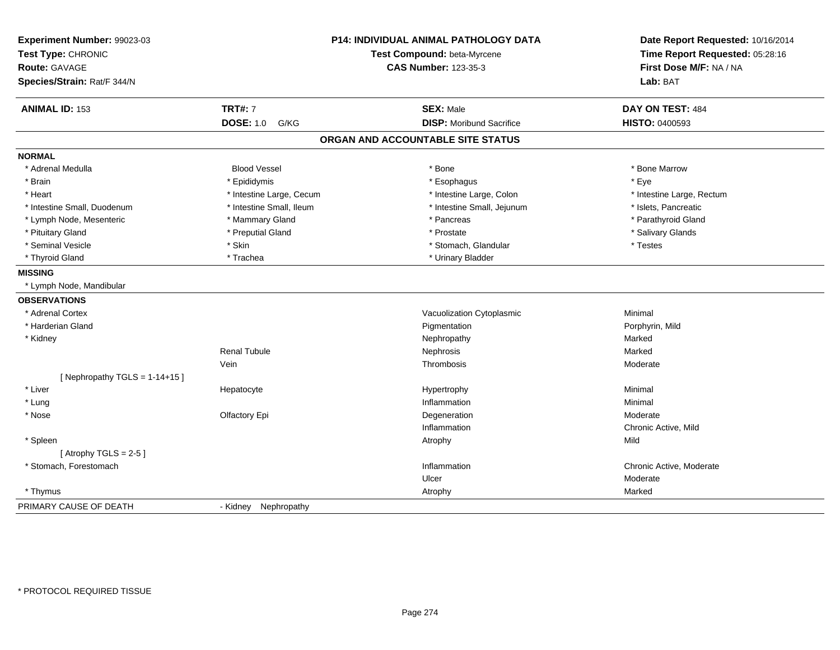| Experiment Number: 99023-03     |                          | <b>P14: INDIVIDUAL ANIMAL PATHOLOGY DATA</b> | Date Report Requested: 10/16/2014 |
|---------------------------------|--------------------------|----------------------------------------------|-----------------------------------|
| Test Type: CHRONIC              |                          | Test Compound: beta-Myrcene                  | Time Report Requested: 05:28:16   |
| <b>Route: GAVAGE</b>            |                          | <b>CAS Number: 123-35-3</b>                  | First Dose M/F: NA / NA           |
| Species/Strain: Rat/F 344/N     |                          |                                              | Lab: BAT                          |
| <b>ANIMAL ID: 153</b>           | <b>TRT#: 7</b>           | <b>SEX: Male</b>                             | DAY ON TEST: 484                  |
|                                 | <b>DOSE: 1.0</b><br>G/KG | <b>DISP:</b> Moribund Sacrifice              | <b>HISTO: 0400593</b>             |
|                                 |                          | ORGAN AND ACCOUNTABLE SITE STATUS            |                                   |
| <b>NORMAL</b>                   |                          |                                              |                                   |
| * Adrenal Medulla               | <b>Blood Vessel</b>      | * Bone                                       | * Bone Marrow                     |
| * Brain                         | * Epididymis             | * Esophagus                                  | * Eye                             |
| * Heart                         | * Intestine Large, Cecum | * Intestine Large, Colon                     | * Intestine Large, Rectum         |
| * Intestine Small, Duodenum     | * Intestine Small, Ileum | * Intestine Small, Jejunum                   | * Islets, Pancreatic              |
| * Lymph Node, Mesenteric        | * Mammary Gland          | * Pancreas                                   | * Parathyroid Gland               |
| * Pituitary Gland               | * Preputial Gland        | * Prostate                                   | * Salivary Glands                 |
| * Seminal Vesicle               | * Skin                   | * Stomach, Glandular                         | * Testes                          |
| * Thyroid Gland                 | * Trachea                | * Urinary Bladder                            |                                   |
| <b>MISSING</b>                  |                          |                                              |                                   |
| * Lymph Node, Mandibular        |                          |                                              |                                   |
| <b>OBSERVATIONS</b>             |                          |                                              |                                   |
| * Adrenal Cortex                |                          | Vacuolization Cytoplasmic                    | Minimal                           |
| * Harderian Gland               |                          | Pigmentation                                 | Porphyrin, Mild                   |
| * Kidney                        |                          | Nephropathy                                  | Marked                            |
|                                 | <b>Renal Tubule</b>      | Nephrosis                                    | Marked                            |
|                                 | Vein                     | Thrombosis                                   | Moderate                          |
| [Nephropathy TGLS = $1-14+15$ ] |                          |                                              |                                   |
| * Liver                         | Hepatocyte               | Hypertrophy                                  | Minimal                           |
| * Lung                          |                          | Inflammation                                 | Minimal                           |
| * Nose                          | Olfactory Epi            | Degeneration                                 | Moderate                          |
|                                 |                          | Inflammation                                 | Chronic Active, Mild              |
| * Spleen                        |                          | Atrophy                                      | Mild                              |
| [Atrophy TGLS = $2-5$ ]         |                          |                                              |                                   |
| * Stomach, Forestomach          |                          | Inflammation                                 | Chronic Active, Moderate          |
|                                 |                          | Ulcer                                        | Moderate                          |
| * Thymus                        |                          | Atrophy                                      | Marked                            |
| PRIMARY CAUSE OF DEATH          | - Kidney Nephropathy     |                                              |                                   |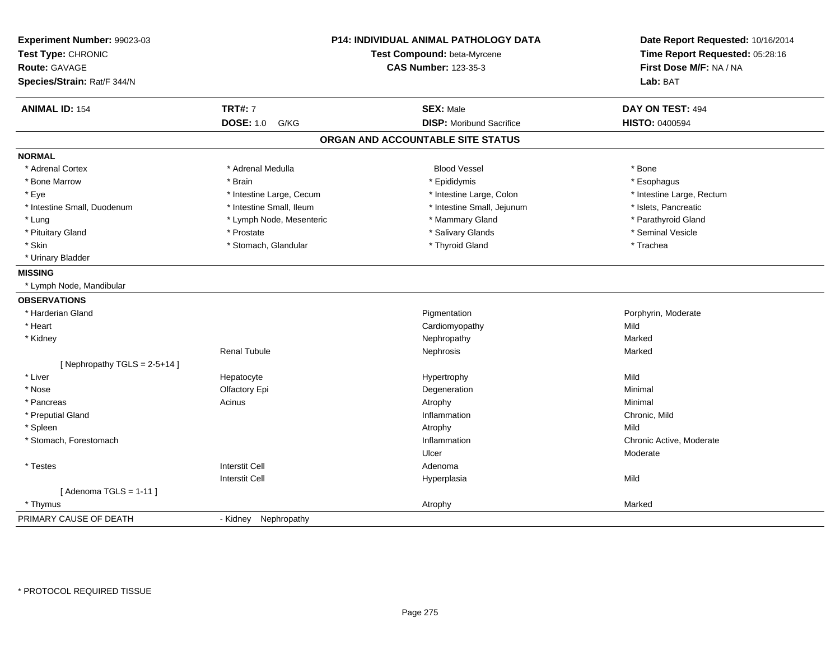| Experiment Number: 99023-03<br>Test Type: CHRONIC<br><b>Route: GAVAGE</b><br>Species/Strain: Rat/F 344/N | P14: INDIVIDUAL ANIMAL PATHOLOGY DATA<br>Test Compound: beta-Myrcene<br><b>CAS Number: 123-35-3</b> |                                   | Date Report Requested: 10/16/2014<br>Time Report Requested: 05:28:16<br>First Dose M/F: NA / NA<br>Lab: BAT |
|----------------------------------------------------------------------------------------------------------|-----------------------------------------------------------------------------------------------------|-----------------------------------|-------------------------------------------------------------------------------------------------------------|
| <b>ANIMAL ID: 154</b>                                                                                    | <b>TRT#: 7</b>                                                                                      | <b>SEX: Male</b>                  | DAY ON TEST: 494                                                                                            |
|                                                                                                          | <b>DOSE: 1.0</b><br>G/KG                                                                            | <b>DISP:</b> Moribund Sacrifice   | HISTO: 0400594                                                                                              |
|                                                                                                          |                                                                                                     | ORGAN AND ACCOUNTABLE SITE STATUS |                                                                                                             |
| <b>NORMAL</b>                                                                                            |                                                                                                     |                                   |                                                                                                             |
| * Adrenal Cortex                                                                                         | * Adrenal Medulla                                                                                   | <b>Blood Vessel</b>               | * Bone                                                                                                      |
| * Bone Marrow                                                                                            | * Brain                                                                                             | * Epididymis                      | * Esophagus                                                                                                 |
| * Eye                                                                                                    | * Intestine Large, Cecum                                                                            | * Intestine Large, Colon          | * Intestine Large, Rectum                                                                                   |
| * Intestine Small, Duodenum                                                                              | * Intestine Small, Ileum                                                                            | * Intestine Small, Jejunum        | * Islets, Pancreatic                                                                                        |
| * Lung                                                                                                   | * Lymph Node, Mesenteric                                                                            | * Mammary Gland                   | * Parathyroid Gland                                                                                         |
| * Pituitary Gland                                                                                        | * Prostate                                                                                          | * Salivary Glands                 | * Seminal Vesicle                                                                                           |
| * Skin                                                                                                   | * Stomach, Glandular                                                                                | * Thyroid Gland                   | * Trachea                                                                                                   |
| * Urinary Bladder                                                                                        |                                                                                                     |                                   |                                                                                                             |
| <b>MISSING</b>                                                                                           |                                                                                                     |                                   |                                                                                                             |
| * Lymph Node, Mandibular                                                                                 |                                                                                                     |                                   |                                                                                                             |
| <b>OBSERVATIONS</b>                                                                                      |                                                                                                     |                                   |                                                                                                             |
| * Harderian Gland                                                                                        |                                                                                                     | Pigmentation                      | Porphyrin, Moderate                                                                                         |
| * Heart                                                                                                  |                                                                                                     | Cardiomyopathy                    | Mild                                                                                                        |
| * Kidney                                                                                                 |                                                                                                     | Nephropathy                       | Marked                                                                                                      |
|                                                                                                          | <b>Renal Tubule</b>                                                                                 | Nephrosis                         | Marked                                                                                                      |
| [Nephropathy TGLS = $2-5+14$ ]                                                                           |                                                                                                     |                                   |                                                                                                             |
| * Liver                                                                                                  | Hepatocyte                                                                                          | Hypertrophy                       | Mild                                                                                                        |
| * Nose                                                                                                   | Olfactory Epi                                                                                       | Degeneration                      | Minimal                                                                                                     |
| * Pancreas                                                                                               | Acinus                                                                                              | Atrophy                           | Minimal                                                                                                     |
| * Preputial Gland                                                                                        |                                                                                                     | Inflammation                      | Chronic, Mild                                                                                               |
| * Spleen                                                                                                 |                                                                                                     | Atrophy                           | Mild                                                                                                        |
| * Stomach, Forestomach                                                                                   |                                                                                                     | Inflammation                      | Chronic Active, Moderate                                                                                    |
|                                                                                                          |                                                                                                     | Ulcer                             | Moderate                                                                                                    |
| * Testes                                                                                                 | <b>Interstit Cell</b>                                                                               | Adenoma                           |                                                                                                             |
|                                                                                                          | <b>Interstit Cell</b>                                                                               | Hyperplasia                       | Mild                                                                                                        |
| [Adenoma TGLS = $1-11$ ]                                                                                 |                                                                                                     |                                   |                                                                                                             |
| * Thymus                                                                                                 |                                                                                                     | Atrophy                           | Marked                                                                                                      |
| PRIMARY CAUSE OF DEATH                                                                                   | - Kidney Nephropathy                                                                                |                                   |                                                                                                             |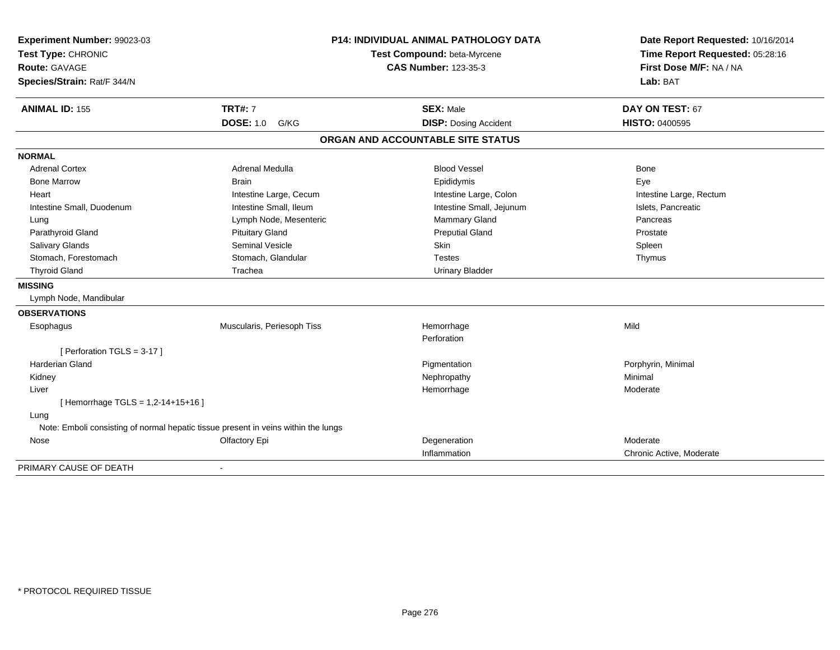| Experiment Number: 99023-03      |                                                                                    | <b>P14: INDIVIDUAL ANIMAL PATHOLOGY DATA</b> | Date Report Requested: 10/16/2014 |
|----------------------------------|------------------------------------------------------------------------------------|----------------------------------------------|-----------------------------------|
| Test Type: CHRONIC               | Test Compound: beta-Myrcene                                                        |                                              | Time Report Requested: 05:28:16   |
| <b>Route: GAVAGE</b>             |                                                                                    | <b>CAS Number: 123-35-3</b>                  | First Dose M/F: NA / NA           |
| Species/Strain: Rat/F 344/N      |                                                                                    |                                              | Lab: BAT                          |
| <b>ANIMAL ID: 155</b>            | <b>TRT#: 7</b>                                                                     | <b>SEX: Male</b>                             | DAY ON TEST: 67                   |
|                                  | <b>DOSE: 1.0</b><br>G/KG                                                           | <b>DISP: Dosing Accident</b>                 | <b>HISTO: 0400595</b>             |
|                                  |                                                                                    | ORGAN AND ACCOUNTABLE SITE STATUS            |                                   |
| <b>NORMAL</b>                    |                                                                                    |                                              |                                   |
| <b>Adrenal Cortex</b>            | Adrenal Medulla                                                                    | <b>Blood Vessel</b>                          | <b>Bone</b>                       |
| <b>Bone Marrow</b>               | <b>Brain</b>                                                                       | Epididymis                                   | Eye                               |
| Heart                            | Intestine Large, Cecum                                                             | Intestine Large, Colon                       | Intestine Large, Rectum           |
| Intestine Small, Duodenum        | Intestine Small, Ileum                                                             | Intestine Small, Jejunum                     | Islets, Pancreatic                |
| Lung                             | Lymph Node, Mesenteric                                                             | Mammary Gland                                | Pancreas                          |
| Parathyroid Gland                | <b>Pituitary Gland</b>                                                             | <b>Preputial Gland</b>                       | Prostate                          |
| Salivary Glands                  | <b>Seminal Vesicle</b>                                                             | Skin                                         | Spleen                            |
| Stomach, Forestomach             | Stomach, Glandular                                                                 | <b>Testes</b>                                | Thymus                            |
| <b>Thyroid Gland</b>             | Trachea                                                                            | <b>Urinary Bladder</b>                       |                                   |
| <b>MISSING</b>                   |                                                                                    |                                              |                                   |
| Lymph Node, Mandibular           |                                                                                    |                                              |                                   |
| <b>OBSERVATIONS</b>              |                                                                                    |                                              |                                   |
| Esophagus                        | Muscularis, Periesoph Tiss                                                         | Hemorrhage                                   | Mild                              |
|                                  |                                                                                    | Perforation                                  |                                   |
| [ Perforation TGLS = 3-17 ]      |                                                                                    |                                              |                                   |
| <b>Harderian Gland</b>           |                                                                                    | Pigmentation                                 | Porphyrin, Minimal                |
| Kidney                           |                                                                                    | Nephropathy                                  | Minimal                           |
| Liver                            |                                                                                    | Hemorrhage                                   | Moderate                          |
| [Hemorrhage TGLS = 1,2-14+15+16] |                                                                                    |                                              |                                   |
| Lung                             |                                                                                    |                                              |                                   |
|                                  | Note: Emboli consisting of normal hepatic tissue present in veins within the lungs |                                              |                                   |
| Nose                             | Olfactory Epi                                                                      | Degeneration                                 | Moderate                          |
|                                  |                                                                                    | Inflammation                                 | Chronic Active, Moderate          |
| PRIMARY CAUSE OF DEATH           |                                                                                    |                                              |                                   |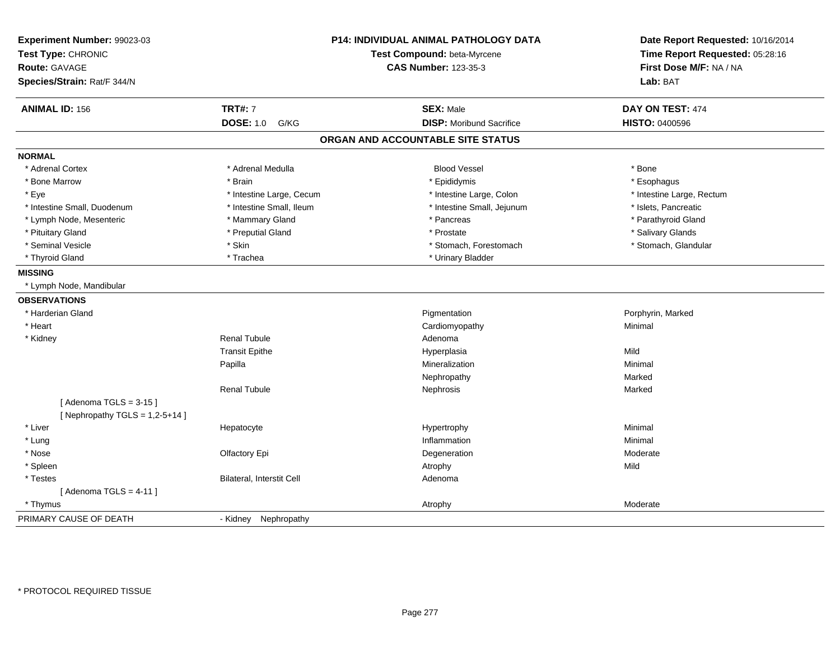| Experiment Number: 99023-03<br>Test Type: CHRONIC<br><b>Route: GAVAGE</b><br>Species/Strain: Rat/F 344/N |                           | P14: INDIVIDUAL ANIMAL PATHOLOGY DATA<br>Test Compound: beta-Myrcene<br><b>CAS Number: 123-35-3</b> | Date Report Requested: 10/16/2014<br>Time Report Requested: 05:28:16<br>First Dose M/F: NA / NA<br>Lab: BAT |
|----------------------------------------------------------------------------------------------------------|---------------------------|-----------------------------------------------------------------------------------------------------|-------------------------------------------------------------------------------------------------------------|
| <b>ANIMAL ID: 156</b>                                                                                    | <b>TRT#: 7</b>            | <b>SEX: Male</b>                                                                                    | DAY ON TEST: 474                                                                                            |
|                                                                                                          | <b>DOSE: 1.0</b><br>G/KG  | <b>DISP: Moribund Sacrifice</b>                                                                     | <b>HISTO: 0400596</b>                                                                                       |
|                                                                                                          |                           | ORGAN AND ACCOUNTABLE SITE STATUS                                                                   |                                                                                                             |
| <b>NORMAL</b>                                                                                            |                           |                                                                                                     |                                                                                                             |
| * Adrenal Cortex                                                                                         | * Adrenal Medulla         | <b>Blood Vessel</b>                                                                                 | * Bone                                                                                                      |
| * Bone Marrow                                                                                            | * Brain                   | * Epididymis                                                                                        | * Esophagus                                                                                                 |
| * Eye                                                                                                    | * Intestine Large, Cecum  | * Intestine Large, Colon                                                                            | * Intestine Large, Rectum                                                                                   |
| * Intestine Small, Duodenum                                                                              | * Intestine Small, Ileum  | * Intestine Small, Jejunum                                                                          | * Islets, Pancreatic                                                                                        |
| * Lymph Node, Mesenteric                                                                                 | * Mammary Gland           | * Pancreas                                                                                          | * Parathyroid Gland                                                                                         |
| * Pituitary Gland                                                                                        | * Preputial Gland         | * Prostate                                                                                          | * Salivary Glands                                                                                           |
| * Seminal Vesicle                                                                                        | * Skin                    | * Stomach, Forestomach                                                                              | * Stomach, Glandular                                                                                        |
| * Thyroid Gland                                                                                          | * Trachea                 | * Urinary Bladder                                                                                   |                                                                                                             |
| <b>MISSING</b>                                                                                           |                           |                                                                                                     |                                                                                                             |
| * Lymph Node, Mandibular                                                                                 |                           |                                                                                                     |                                                                                                             |
| <b>OBSERVATIONS</b>                                                                                      |                           |                                                                                                     |                                                                                                             |
| * Harderian Gland                                                                                        |                           | Pigmentation                                                                                        | Porphyrin, Marked                                                                                           |
| * Heart                                                                                                  |                           | Cardiomyopathy                                                                                      | Minimal                                                                                                     |
| * Kidney                                                                                                 | <b>Renal Tubule</b>       | Adenoma                                                                                             |                                                                                                             |
|                                                                                                          | <b>Transit Epithe</b>     | Hyperplasia                                                                                         | Mild                                                                                                        |
|                                                                                                          | Papilla                   | Mineralization                                                                                      | Minimal                                                                                                     |
|                                                                                                          |                           | Nephropathy                                                                                         | Marked                                                                                                      |
|                                                                                                          | <b>Renal Tubule</b>       | Nephrosis                                                                                           | Marked                                                                                                      |
| [Adenoma TGLS = $3-15$ ]                                                                                 |                           |                                                                                                     |                                                                                                             |
| [ Nephropathy TGLS = $1,2-5+14$ ]                                                                        |                           |                                                                                                     |                                                                                                             |
| * Liver                                                                                                  | Hepatocyte                | Hypertrophy                                                                                         | Minimal                                                                                                     |
| * Lung                                                                                                   |                           | Inflammation                                                                                        | Minimal                                                                                                     |
| * Nose                                                                                                   | Olfactory Epi             | Degeneration                                                                                        | Moderate                                                                                                    |
| * Spleen                                                                                                 |                           | Atrophy                                                                                             | Mild                                                                                                        |
| * Testes                                                                                                 | Bilateral, Interstit Cell | Adenoma                                                                                             |                                                                                                             |
| [Adenoma TGLS = $4-11$ ]                                                                                 |                           |                                                                                                     |                                                                                                             |
| * Thymus                                                                                                 |                           | Atrophy                                                                                             | Moderate                                                                                                    |
| PRIMARY CAUSE OF DEATH                                                                                   | - Kidney Nephropathy      |                                                                                                     |                                                                                                             |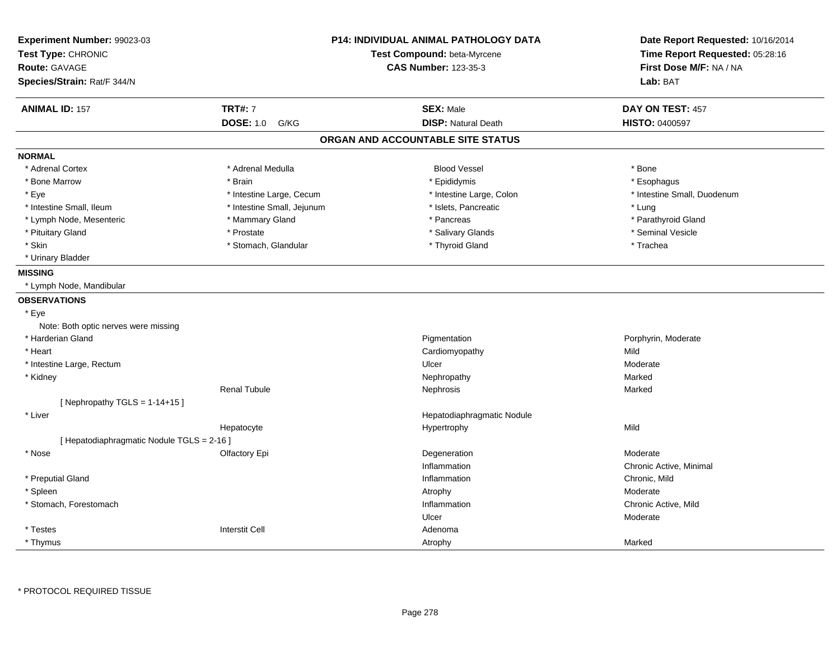| Experiment Number: 99023-03<br>Test Type: CHRONIC<br><b>Route: GAVAGE</b><br>Species/Strain: Rat/F 344/N |                            | <b>P14: INDIVIDUAL ANIMAL PATHOLOGY DATA</b><br>Test Compound: beta-Myrcene<br><b>CAS Number: 123-35-3</b> | Date Report Requested: 10/16/2014<br>Time Report Requested: 05:28:16<br>First Dose M/F: NA / NA<br>Lab: BAT |
|----------------------------------------------------------------------------------------------------------|----------------------------|------------------------------------------------------------------------------------------------------------|-------------------------------------------------------------------------------------------------------------|
| <b>ANIMAL ID: 157</b>                                                                                    | <b>TRT#: 7</b>             | <b>SEX: Male</b>                                                                                           | DAY ON TEST: 457                                                                                            |
|                                                                                                          | <b>DOSE: 1.0</b><br>G/KG   | <b>DISP: Natural Death</b>                                                                                 | HISTO: 0400597                                                                                              |
|                                                                                                          |                            | ORGAN AND ACCOUNTABLE SITE STATUS                                                                          |                                                                                                             |
| <b>NORMAL</b>                                                                                            |                            |                                                                                                            |                                                                                                             |
| * Adrenal Cortex                                                                                         | * Adrenal Medulla          | <b>Blood Vessel</b>                                                                                        | * Bone                                                                                                      |
| * Bone Marrow                                                                                            | * Brain                    | * Epididymis                                                                                               | * Esophagus                                                                                                 |
| * Eye                                                                                                    | * Intestine Large, Cecum   | * Intestine Large, Colon                                                                                   | * Intestine Small, Duodenum                                                                                 |
| * Intestine Small, Ileum                                                                                 | * Intestine Small, Jejunum | * Islets, Pancreatic                                                                                       | * Lung                                                                                                      |
| * Lymph Node, Mesenteric                                                                                 | * Mammary Gland            | * Pancreas                                                                                                 | * Parathyroid Gland                                                                                         |
| * Pituitary Gland                                                                                        | * Prostate                 | * Salivary Glands                                                                                          | * Seminal Vesicle                                                                                           |
| * Skin                                                                                                   | * Stomach, Glandular       | * Thyroid Gland                                                                                            | * Trachea                                                                                                   |
| * Urinary Bladder                                                                                        |                            |                                                                                                            |                                                                                                             |
| <b>MISSING</b>                                                                                           |                            |                                                                                                            |                                                                                                             |
| * Lymph Node, Mandibular                                                                                 |                            |                                                                                                            |                                                                                                             |
| <b>OBSERVATIONS</b>                                                                                      |                            |                                                                                                            |                                                                                                             |
| * Eye                                                                                                    |                            |                                                                                                            |                                                                                                             |
| Note: Both optic nerves were missing                                                                     |                            |                                                                                                            |                                                                                                             |
| * Harderian Gland                                                                                        |                            | Pigmentation                                                                                               | Porphyrin, Moderate                                                                                         |
| * Heart                                                                                                  |                            | Cardiomyopathy                                                                                             | Mild                                                                                                        |
| * Intestine Large, Rectum                                                                                |                            | Ulcer                                                                                                      | Moderate                                                                                                    |
| * Kidney                                                                                                 |                            | Nephropathy                                                                                                | Marked                                                                                                      |
|                                                                                                          | <b>Renal Tubule</b>        | Nephrosis                                                                                                  | Marked                                                                                                      |
| [Nephropathy TGLS = $1-14+15$ ]                                                                          |                            |                                                                                                            |                                                                                                             |
| * Liver                                                                                                  |                            | Hepatodiaphragmatic Nodule                                                                                 |                                                                                                             |
|                                                                                                          | Hepatocyte                 | Hypertrophy                                                                                                | Mild                                                                                                        |
| [ Hepatodiaphragmatic Nodule TGLS = 2-16 ]                                                               |                            |                                                                                                            |                                                                                                             |
| * Nose                                                                                                   | Olfactory Epi              | Degeneration                                                                                               | Moderate                                                                                                    |
|                                                                                                          |                            | Inflammation                                                                                               | Chronic Active, Minimal                                                                                     |
| * Preputial Gland                                                                                        |                            | Inflammation                                                                                               | Chronic, Mild                                                                                               |
| * Spleen                                                                                                 |                            | Atrophy                                                                                                    | Moderate                                                                                                    |
| * Stomach, Forestomach                                                                                   |                            | Inflammation                                                                                               | Chronic Active, Mild                                                                                        |
|                                                                                                          |                            | Ulcer                                                                                                      | Moderate                                                                                                    |
| * Testes                                                                                                 | <b>Interstit Cell</b>      | Adenoma                                                                                                    |                                                                                                             |
| * Thymus                                                                                                 |                            | Atrophy                                                                                                    | Marked                                                                                                      |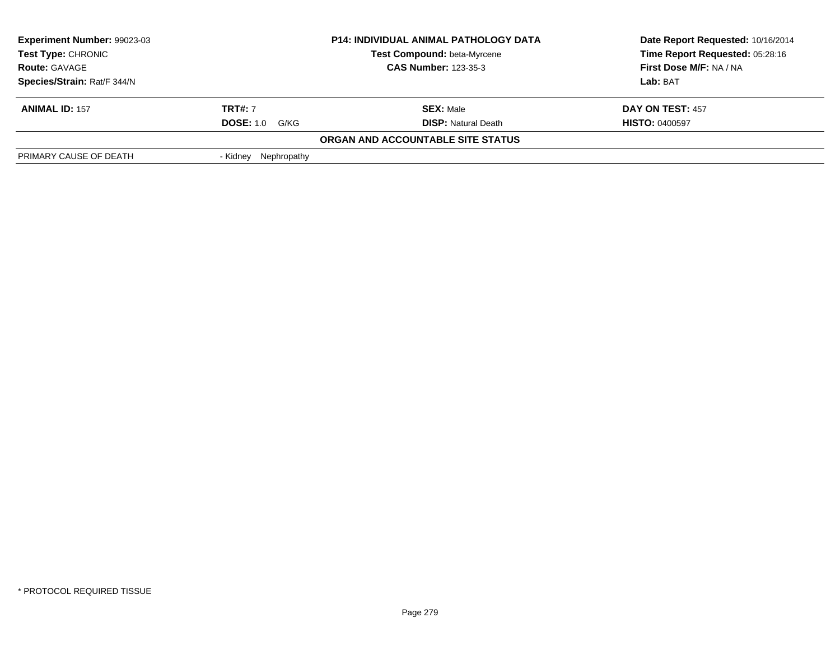| <b>Experiment Number: 99023-03</b><br>Test Type: CHRONIC |                          | <b>P14: INDIVIDUAL ANIMAL PATHOLOGY DATA</b><br><b>Test Compound: beta-Myrcene</b> | Date Report Requested: 10/16/2014<br>Time Report Requested: 05:28:16 |
|----------------------------------------------------------|--------------------------|------------------------------------------------------------------------------------|----------------------------------------------------------------------|
| <b>Route: GAVAGE</b>                                     |                          | <b>CAS Number: 123-35-3</b>                                                        | First Dose M/F: NA / NA                                              |
|                                                          |                          |                                                                                    |                                                                      |
| Species/Strain: Rat/F 344/N                              |                          |                                                                                    | Lab: BAT                                                             |
| <b>ANIMAL ID: 157</b>                                    | <b>TRT#:</b> 7           | <b>SEX: Male</b>                                                                   | DAY ON TEST: 457                                                     |
|                                                          | <b>DOSE: 1.0</b><br>G/KG | <b>DISP:</b> Natural Death                                                         | <b>HISTO: 0400597</b>                                                |
|                                                          |                          | ORGAN AND ACCOUNTABLE SITE STATUS                                                  |                                                                      |
| PRIMARY CAUSE OF DEATH                                   | Nephropathy<br>- Kidnev  |                                                                                    |                                                                      |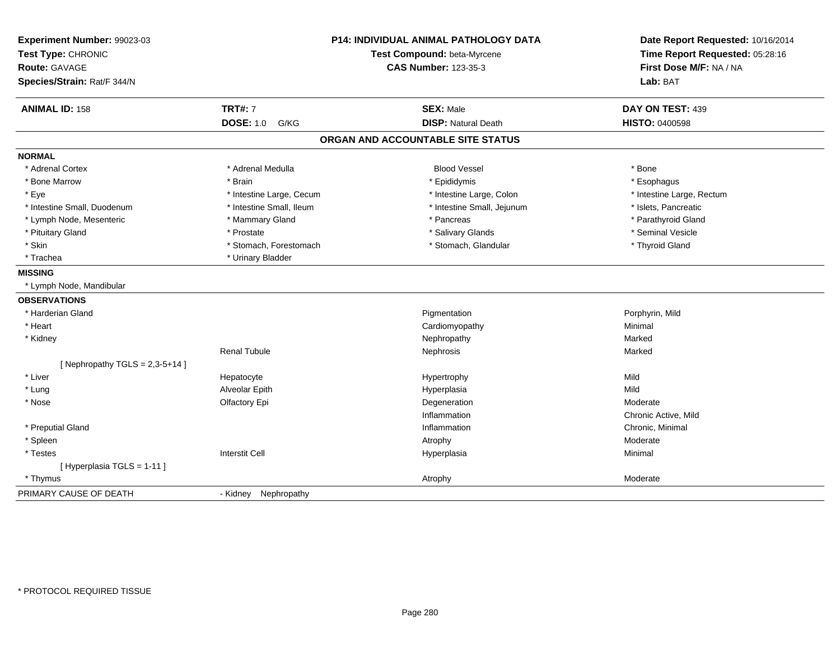| Experiment Number: 99023-03<br>Test Type: CHRONIC<br>Route: GAVAGE<br>Species/Strain: Rat/F 344/N |                          | <b>P14: INDIVIDUAL ANIMAL PATHOLOGY DATA</b><br>Test Compound: beta-Myrcene<br><b>CAS Number: 123-35-3</b> | Date Report Requested: 10/16/2014<br>Time Report Requested: 05:28:16<br>First Dose M/F: NA / NA<br>Lab: BAT |
|---------------------------------------------------------------------------------------------------|--------------------------|------------------------------------------------------------------------------------------------------------|-------------------------------------------------------------------------------------------------------------|
| <b>ANIMAL ID: 158</b>                                                                             | <b>TRT#: 7</b>           | <b>SEX: Male</b>                                                                                           | DAY ON TEST: 439                                                                                            |
|                                                                                                   | <b>DOSE: 1.0</b><br>G/KG | <b>DISP: Natural Death</b>                                                                                 | <b>HISTO: 0400598</b>                                                                                       |
|                                                                                                   |                          | ORGAN AND ACCOUNTABLE SITE STATUS                                                                          |                                                                                                             |
| <b>NORMAL</b>                                                                                     |                          |                                                                                                            |                                                                                                             |
| * Adrenal Cortex                                                                                  | * Adrenal Medulla        | <b>Blood Vessel</b>                                                                                        | * Bone                                                                                                      |
| * Bone Marrow                                                                                     | * Brain                  | * Epididymis                                                                                               | * Esophagus                                                                                                 |
| * Eye                                                                                             | * Intestine Large, Cecum | * Intestine Large, Colon                                                                                   | * Intestine Large, Rectum                                                                                   |
| * Intestine Small, Duodenum                                                                       | * Intestine Small, Ileum | * Intestine Small, Jejunum                                                                                 | * Islets, Pancreatic                                                                                        |
| * Lymph Node, Mesenteric                                                                          | * Mammary Gland          | * Pancreas                                                                                                 | * Parathyroid Gland                                                                                         |
| * Pituitary Gland                                                                                 | * Prostate               | * Salivary Glands                                                                                          | * Seminal Vesicle                                                                                           |
| * Skin                                                                                            | * Stomach, Forestomach   | * Stomach, Glandular                                                                                       | * Thyroid Gland                                                                                             |
| * Trachea                                                                                         | * Urinary Bladder        |                                                                                                            |                                                                                                             |
| <b>MISSING</b>                                                                                    |                          |                                                                                                            |                                                                                                             |
| * Lymph Node, Mandibular                                                                          |                          |                                                                                                            |                                                                                                             |
| <b>OBSERVATIONS</b>                                                                               |                          |                                                                                                            |                                                                                                             |
| * Harderian Gland                                                                                 |                          | Pigmentation                                                                                               | Porphyrin, Mild                                                                                             |
| * Heart                                                                                           |                          | Cardiomyopathy                                                                                             | Minimal                                                                                                     |
| * Kidney                                                                                          |                          | Nephropathy                                                                                                | Marked                                                                                                      |
|                                                                                                   | <b>Renal Tubule</b>      | Nephrosis                                                                                                  | Marked                                                                                                      |
| [ Nephropathy TGLS = $2,3-5+14$ ]                                                                 |                          |                                                                                                            |                                                                                                             |
| * Liver                                                                                           | Hepatocyte               | Hypertrophy                                                                                                | Mild                                                                                                        |
| * Lung                                                                                            | Alveolar Epith           | Hyperplasia                                                                                                | Mild                                                                                                        |
| * Nose                                                                                            | Olfactory Epi            | Degeneration                                                                                               | Moderate                                                                                                    |
|                                                                                                   |                          | Inflammation                                                                                               | Chronic Active, Mild                                                                                        |
| * Preputial Gland                                                                                 |                          | Inflammation                                                                                               | Chronic, Minimal                                                                                            |
| * Spleen                                                                                          |                          | Atrophy                                                                                                    | Moderate                                                                                                    |
| * Testes                                                                                          | <b>Interstit Cell</b>    | Hyperplasia                                                                                                | Minimal                                                                                                     |
| [Hyperplasia TGLS = 1-11]                                                                         |                          |                                                                                                            |                                                                                                             |
| * Thymus                                                                                          |                          | Atrophy                                                                                                    | Moderate                                                                                                    |
| PRIMARY CAUSE OF DEATH                                                                            | - Kidney<br>Nephropathy  |                                                                                                            |                                                                                                             |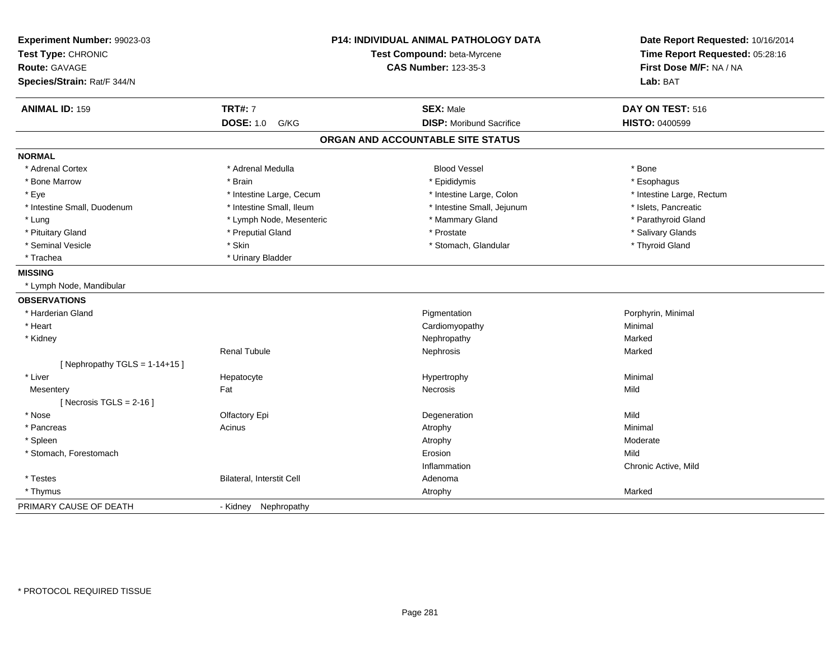| Experiment Number: 99023-03<br>Test Type: CHRONIC<br><b>Route: GAVAGE</b><br>Species/Strain: Rat/F 344/N |                           | <b>P14: INDIVIDUAL ANIMAL PATHOLOGY DATA</b><br>Test Compound: beta-Myrcene<br><b>CAS Number: 123-35-3</b> | Date Report Requested: 10/16/2014<br>Time Report Requested: 05:28:16<br>First Dose M/F: NA / NA<br>Lab: BAT |
|----------------------------------------------------------------------------------------------------------|---------------------------|------------------------------------------------------------------------------------------------------------|-------------------------------------------------------------------------------------------------------------|
| <b>ANIMAL ID: 159</b>                                                                                    | <b>TRT#: 7</b>            | <b>SEX: Male</b>                                                                                           | DAY ON TEST: 516                                                                                            |
|                                                                                                          | <b>DOSE: 1.0</b><br>G/KG  | <b>DISP:</b> Moribund Sacrifice                                                                            | <b>HISTO: 0400599</b>                                                                                       |
|                                                                                                          |                           | ORGAN AND ACCOUNTABLE SITE STATUS                                                                          |                                                                                                             |
| <b>NORMAL</b>                                                                                            |                           |                                                                                                            |                                                                                                             |
| * Adrenal Cortex                                                                                         | * Adrenal Medulla         | <b>Blood Vessel</b>                                                                                        | * Bone                                                                                                      |
| * Bone Marrow                                                                                            | * Brain                   | * Epididymis                                                                                               | * Esophagus                                                                                                 |
| * Eye                                                                                                    | * Intestine Large, Cecum  | * Intestine Large, Colon                                                                                   | * Intestine Large, Rectum                                                                                   |
| * Intestine Small, Duodenum                                                                              | * Intestine Small, Ileum  | * Intestine Small, Jejunum                                                                                 | * Islets, Pancreatic                                                                                        |
| * Lung                                                                                                   | * Lymph Node, Mesenteric  | * Mammary Gland                                                                                            | * Parathyroid Gland                                                                                         |
| * Pituitary Gland                                                                                        | * Preputial Gland         | * Prostate                                                                                                 | * Salivary Glands                                                                                           |
| * Seminal Vesicle                                                                                        | * Skin                    | * Stomach, Glandular                                                                                       | * Thyroid Gland                                                                                             |
| * Trachea                                                                                                | * Urinary Bladder         |                                                                                                            |                                                                                                             |
| <b>MISSING</b>                                                                                           |                           |                                                                                                            |                                                                                                             |
| * Lymph Node, Mandibular                                                                                 |                           |                                                                                                            |                                                                                                             |
| <b>OBSERVATIONS</b>                                                                                      |                           |                                                                                                            |                                                                                                             |
| * Harderian Gland                                                                                        |                           | Pigmentation                                                                                               | Porphyrin, Minimal                                                                                          |
| * Heart                                                                                                  |                           | Cardiomyopathy                                                                                             | Minimal                                                                                                     |
| * Kidney                                                                                                 |                           | Nephropathy                                                                                                | Marked                                                                                                      |
|                                                                                                          | <b>Renal Tubule</b>       | Nephrosis                                                                                                  | Marked                                                                                                      |
| [Nephropathy TGLS = $1-14+15$ ]                                                                          |                           |                                                                                                            |                                                                                                             |
| * Liver                                                                                                  | Hepatocyte                | Hypertrophy                                                                                                | Minimal                                                                                                     |
| Mesentery                                                                                                | Fat                       | <b>Necrosis</b>                                                                                            | Mild                                                                                                        |
| [Necrosis TGLS = $2-16$ ]                                                                                |                           |                                                                                                            |                                                                                                             |
| * Nose                                                                                                   | Olfactory Epi             | Degeneration                                                                                               | Mild                                                                                                        |
| * Pancreas                                                                                               | Acinus                    | Atrophy                                                                                                    | Minimal                                                                                                     |
| * Spleen                                                                                                 |                           | Atrophy                                                                                                    | Moderate                                                                                                    |
| * Stomach, Forestomach                                                                                   |                           | Erosion                                                                                                    | Mild                                                                                                        |
|                                                                                                          |                           | Inflammation                                                                                               | Chronic Active, Mild                                                                                        |
| * Testes                                                                                                 | Bilateral, Interstit Cell | Adenoma                                                                                                    |                                                                                                             |
| * Thymus                                                                                                 |                           | Atrophy                                                                                                    | Marked                                                                                                      |
| PRIMARY CAUSE OF DEATH                                                                                   | - Kidney<br>Nephropathy   |                                                                                                            |                                                                                                             |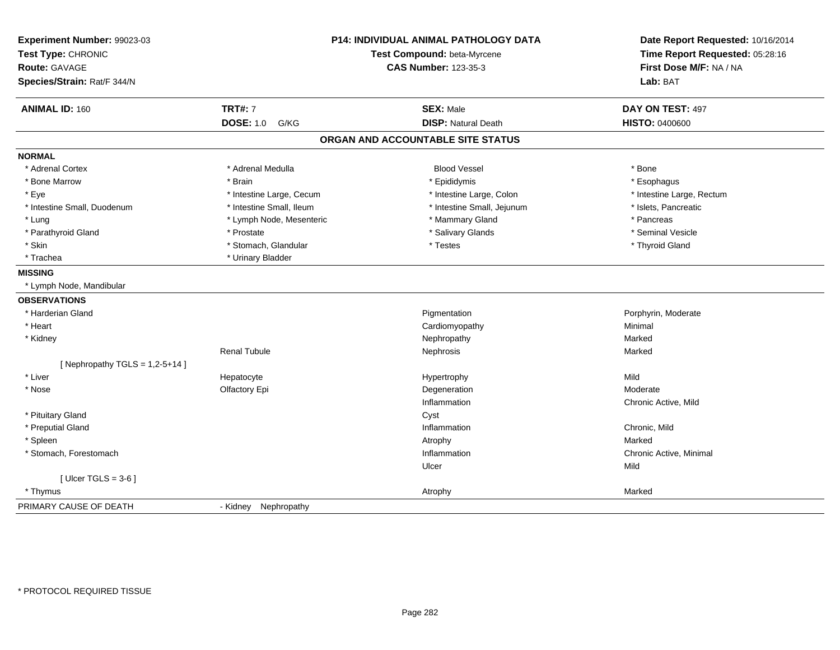| Experiment Number: 99023-03<br>Test Type: CHRONIC<br>Route: GAVAGE<br>Species/Strain: Rat/F 344/N |                          | <b>P14: INDIVIDUAL ANIMAL PATHOLOGY DATA</b><br>Test Compound: beta-Myrcene<br><b>CAS Number: 123-35-3</b> | Date Report Requested: 10/16/2014<br>Time Report Requested: 05:28:16<br>First Dose M/F: NA / NA<br>Lab: BAT |
|---------------------------------------------------------------------------------------------------|--------------------------|------------------------------------------------------------------------------------------------------------|-------------------------------------------------------------------------------------------------------------|
| <b>ANIMAL ID: 160</b>                                                                             | <b>TRT#: 7</b>           | <b>SEX: Male</b>                                                                                           | DAY ON TEST: 497                                                                                            |
|                                                                                                   | <b>DOSE: 1.0</b><br>G/KG | <b>DISP: Natural Death</b>                                                                                 | <b>HISTO: 0400600</b>                                                                                       |
|                                                                                                   |                          | ORGAN AND ACCOUNTABLE SITE STATUS                                                                          |                                                                                                             |
| <b>NORMAL</b>                                                                                     |                          |                                                                                                            |                                                                                                             |
| * Adrenal Cortex                                                                                  | * Adrenal Medulla        | <b>Blood Vessel</b>                                                                                        | * Bone                                                                                                      |
| * Bone Marrow                                                                                     | * Brain                  | * Epididymis                                                                                               | * Esophagus                                                                                                 |
| * Eye                                                                                             | * Intestine Large, Cecum | * Intestine Large, Colon                                                                                   | * Intestine Large, Rectum                                                                                   |
| * Intestine Small, Duodenum                                                                       | * Intestine Small, Ileum | * Intestine Small, Jejunum                                                                                 | * Islets, Pancreatic                                                                                        |
| * Lung                                                                                            | * Lymph Node, Mesenteric | * Mammary Gland                                                                                            | * Pancreas                                                                                                  |
| * Parathyroid Gland                                                                               | * Prostate               | * Salivary Glands                                                                                          | * Seminal Vesicle                                                                                           |
| * Skin                                                                                            | * Stomach, Glandular     | * Testes                                                                                                   | * Thyroid Gland                                                                                             |
| * Trachea                                                                                         | * Urinary Bladder        |                                                                                                            |                                                                                                             |
| <b>MISSING</b>                                                                                    |                          |                                                                                                            |                                                                                                             |
| * Lymph Node, Mandibular                                                                          |                          |                                                                                                            |                                                                                                             |
| <b>OBSERVATIONS</b>                                                                               |                          |                                                                                                            |                                                                                                             |
| * Harderian Gland                                                                                 |                          | Pigmentation                                                                                               | Porphyrin, Moderate                                                                                         |
| * Heart                                                                                           |                          | Cardiomyopathy                                                                                             | Minimal                                                                                                     |
| * Kidney                                                                                          |                          | Nephropathy                                                                                                | Marked                                                                                                      |
|                                                                                                   | <b>Renal Tubule</b>      | Nephrosis                                                                                                  | Marked                                                                                                      |
| [Nephropathy TGLS = $1,2-5+14$ ]                                                                  |                          |                                                                                                            |                                                                                                             |
| * Liver                                                                                           | Hepatocyte               | Hypertrophy                                                                                                | Mild                                                                                                        |
| * Nose                                                                                            | Olfactory Epi            | Degeneration                                                                                               | Moderate                                                                                                    |
|                                                                                                   |                          | Inflammation                                                                                               | Chronic Active, Mild                                                                                        |
| * Pituitary Gland                                                                                 |                          | Cyst                                                                                                       |                                                                                                             |
| * Preputial Gland                                                                                 |                          | Inflammation                                                                                               | Chronic, Mild                                                                                               |
| * Spleen                                                                                          |                          | Atrophy                                                                                                    | Marked                                                                                                      |
| * Stomach, Forestomach                                                                            |                          | Inflammation                                                                                               | Chronic Active, Minimal                                                                                     |
|                                                                                                   |                          | Ulcer                                                                                                      | Mild                                                                                                        |
| [Ulcer TGLS = $3-6$ ]                                                                             |                          |                                                                                                            |                                                                                                             |
| * Thymus                                                                                          |                          | Atrophy                                                                                                    | Marked                                                                                                      |
| PRIMARY CAUSE OF DEATH                                                                            | - Kidney Nephropathy     |                                                                                                            |                                                                                                             |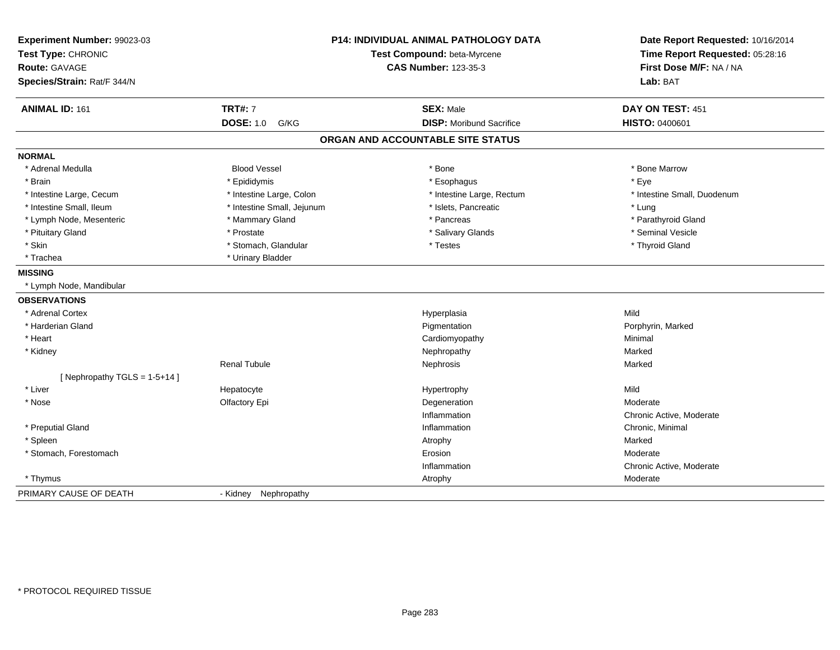| Experiment Number: 99023-03<br>Test Type: CHRONIC<br><b>Route: GAVAGE</b><br>Species/Strain: Rat/F 344/N |                            | <b>P14: INDIVIDUAL ANIMAL PATHOLOGY DATA</b><br>Test Compound: beta-Myrcene<br><b>CAS Number: 123-35-3</b> | Date Report Requested: 10/16/2014<br>Time Report Requested: 05:28:16<br>First Dose M/F: NA / NA<br>Lab: BAT |
|----------------------------------------------------------------------------------------------------------|----------------------------|------------------------------------------------------------------------------------------------------------|-------------------------------------------------------------------------------------------------------------|
| <b>ANIMAL ID: 161</b>                                                                                    | <b>TRT#: 7</b>             | <b>SEX: Male</b>                                                                                           | DAY ON TEST: 451                                                                                            |
|                                                                                                          | <b>DOSE: 1.0</b><br>G/KG   | <b>DISP:</b> Moribund Sacrifice                                                                            | <b>HISTO: 0400601</b>                                                                                       |
|                                                                                                          |                            | ORGAN AND ACCOUNTABLE SITE STATUS                                                                          |                                                                                                             |
| <b>NORMAL</b>                                                                                            |                            |                                                                                                            |                                                                                                             |
| * Adrenal Medulla                                                                                        | <b>Blood Vessel</b>        | * Bone                                                                                                     | * Bone Marrow                                                                                               |
| * Brain                                                                                                  | * Epididymis               | * Esophagus                                                                                                | * Eye                                                                                                       |
| * Intestine Large, Cecum                                                                                 | * Intestine Large, Colon   | * Intestine Large, Rectum                                                                                  | * Intestine Small, Duodenum                                                                                 |
| * Intestine Small, Ileum                                                                                 | * Intestine Small, Jejunum | * Islets, Pancreatic                                                                                       | * Lung                                                                                                      |
| * Lymph Node, Mesenteric                                                                                 | * Mammary Gland            | * Pancreas                                                                                                 | * Parathyroid Gland                                                                                         |
| * Pituitary Gland                                                                                        | * Prostate                 | * Salivary Glands                                                                                          | * Seminal Vesicle                                                                                           |
| * Skin                                                                                                   | * Stomach, Glandular       | * Testes                                                                                                   | * Thyroid Gland                                                                                             |
| * Trachea                                                                                                | * Urinary Bladder          |                                                                                                            |                                                                                                             |
| <b>MISSING</b>                                                                                           |                            |                                                                                                            |                                                                                                             |
| * Lymph Node, Mandibular                                                                                 |                            |                                                                                                            |                                                                                                             |
| <b>OBSERVATIONS</b>                                                                                      |                            |                                                                                                            |                                                                                                             |
| * Adrenal Cortex                                                                                         |                            | Hyperplasia                                                                                                | Mild                                                                                                        |
| * Harderian Gland                                                                                        |                            | Pigmentation                                                                                               | Porphyrin, Marked                                                                                           |
| * Heart                                                                                                  |                            | Cardiomyopathy                                                                                             | Minimal                                                                                                     |
| * Kidney                                                                                                 |                            | Nephropathy                                                                                                | Marked                                                                                                      |
|                                                                                                          | <b>Renal Tubule</b>        | Nephrosis                                                                                                  | Marked                                                                                                      |
| [Nephropathy TGLS = 1-5+14]                                                                              |                            |                                                                                                            |                                                                                                             |
| * Liver                                                                                                  | Hepatocyte                 | Hypertrophy                                                                                                | Mild                                                                                                        |
| * Nose                                                                                                   | Olfactory Epi              | Degeneration                                                                                               | Moderate                                                                                                    |
|                                                                                                          |                            | Inflammation                                                                                               | Chronic Active, Moderate                                                                                    |
| * Preputial Gland                                                                                        |                            | Inflammation                                                                                               | Chronic, Minimal                                                                                            |
| * Spleen                                                                                                 |                            | Atrophy                                                                                                    | Marked                                                                                                      |
| * Stomach, Forestomach                                                                                   |                            | Erosion                                                                                                    | Moderate                                                                                                    |
|                                                                                                          |                            | Inflammation                                                                                               | Chronic Active, Moderate                                                                                    |
| * Thymus                                                                                                 |                            | Atrophy                                                                                                    | Moderate                                                                                                    |
| PRIMARY CAUSE OF DEATH                                                                                   | - Kidney Nephropathy       |                                                                                                            |                                                                                                             |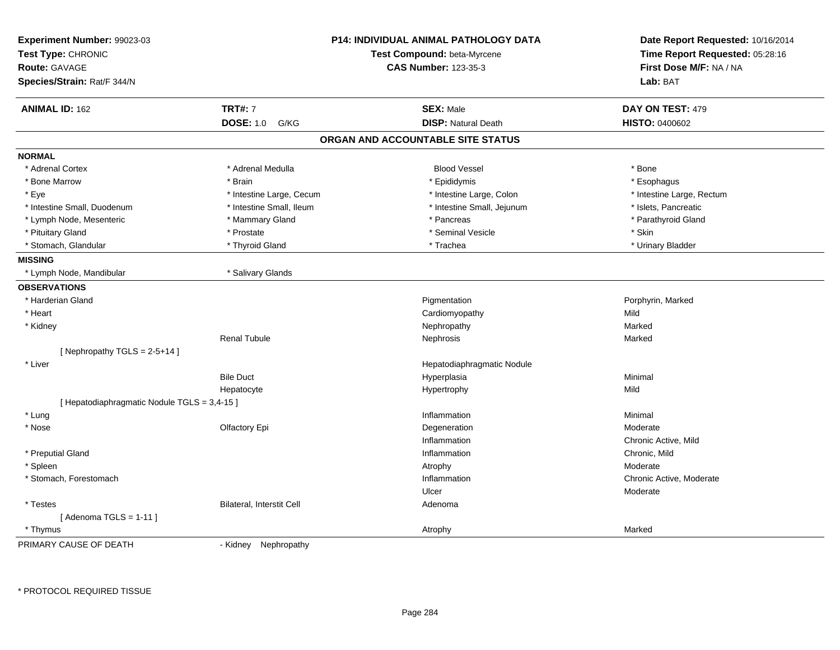| Experiment Number: 99023-03<br>Test Type: CHRONIC<br><b>Route: GAVAGE</b><br>Species/Strain: Rat/F 344/N |                           | P14: INDIVIDUAL ANIMAL PATHOLOGY DATA<br>Test Compound: beta-Myrcene<br><b>CAS Number: 123-35-3</b> | Date Report Requested: 10/16/2014<br>Time Report Requested: 05:28:16<br>First Dose M/F: NA / NA<br>Lab: BAT |
|----------------------------------------------------------------------------------------------------------|---------------------------|-----------------------------------------------------------------------------------------------------|-------------------------------------------------------------------------------------------------------------|
| <b>ANIMAL ID: 162</b>                                                                                    | <b>TRT#: 7</b>            | <b>SEX: Male</b>                                                                                    | DAY ON TEST: 479                                                                                            |
|                                                                                                          | <b>DOSE: 1.0</b><br>G/KG  | <b>DISP: Natural Death</b>                                                                          | <b>HISTO: 0400602</b>                                                                                       |
|                                                                                                          |                           | ORGAN AND ACCOUNTABLE SITE STATUS                                                                   |                                                                                                             |
| <b>NORMAL</b>                                                                                            |                           |                                                                                                     |                                                                                                             |
| * Adrenal Cortex                                                                                         | * Adrenal Medulla         | <b>Blood Vessel</b>                                                                                 | * Bone                                                                                                      |
| * Bone Marrow                                                                                            | * Brain                   | * Epididymis                                                                                        | * Esophagus                                                                                                 |
| * Eye                                                                                                    | * Intestine Large, Cecum  | * Intestine Large, Colon                                                                            | * Intestine Large, Rectum                                                                                   |
| * Intestine Small, Duodenum                                                                              | * Intestine Small, Ileum  | * Intestine Small, Jejunum                                                                          | * Islets, Pancreatic                                                                                        |
| * Lymph Node, Mesenteric                                                                                 | * Mammary Gland           | * Pancreas                                                                                          | * Parathyroid Gland                                                                                         |
| * Pituitary Gland                                                                                        | * Prostate                | * Seminal Vesicle                                                                                   | * Skin                                                                                                      |
| * Stomach, Glandular                                                                                     | * Thyroid Gland           | * Trachea                                                                                           | * Urinary Bladder                                                                                           |
| <b>MISSING</b>                                                                                           |                           |                                                                                                     |                                                                                                             |
| * Lymph Node, Mandibular                                                                                 | * Salivary Glands         |                                                                                                     |                                                                                                             |
| <b>OBSERVATIONS</b>                                                                                      |                           |                                                                                                     |                                                                                                             |
| * Harderian Gland                                                                                        |                           | Pigmentation                                                                                        | Porphyrin, Marked                                                                                           |
| * Heart                                                                                                  |                           | Cardiomyopathy                                                                                      | Mild                                                                                                        |
| * Kidney                                                                                                 |                           | Nephropathy                                                                                         | Marked                                                                                                      |
|                                                                                                          | <b>Renal Tubule</b>       | Nephrosis                                                                                           | Marked                                                                                                      |
| [Nephropathy TGLS = $2-5+14$ ]                                                                           |                           |                                                                                                     |                                                                                                             |
| * Liver                                                                                                  |                           | Hepatodiaphragmatic Nodule                                                                          |                                                                                                             |
|                                                                                                          | <b>Bile Duct</b>          | Hyperplasia                                                                                         | Minimal                                                                                                     |
|                                                                                                          | Hepatocyte                | Hypertrophy                                                                                         | Mild                                                                                                        |
| [ Hepatodiaphragmatic Nodule TGLS = 3,4-15 ]                                                             |                           |                                                                                                     |                                                                                                             |
| * Lung                                                                                                   |                           | Inflammation                                                                                        | Minimal                                                                                                     |
| * Nose                                                                                                   | Olfactory Epi             | Degeneration                                                                                        | Moderate                                                                                                    |
|                                                                                                          |                           | Inflammation                                                                                        | Chronic Active, Mild                                                                                        |
| * Preputial Gland                                                                                        |                           | Inflammation                                                                                        | Chronic, Mild                                                                                               |
| * Spleen                                                                                                 |                           | Atrophy                                                                                             | Moderate                                                                                                    |
| * Stomach, Forestomach                                                                                   |                           | Inflammation                                                                                        | Chronic Active, Moderate                                                                                    |
|                                                                                                          |                           | Ulcer                                                                                               | Moderate                                                                                                    |
| * Testes                                                                                                 | Bilateral, Interstit Cell | Adenoma                                                                                             |                                                                                                             |
| [Adenoma TGLS = $1-11$ ]                                                                                 |                           |                                                                                                     |                                                                                                             |
| * Thymus                                                                                                 |                           | Atrophy                                                                                             | Marked                                                                                                      |
| PRIMARY CAUSE OF DEATH                                                                                   | Nephropathy<br>- Kidney   |                                                                                                     |                                                                                                             |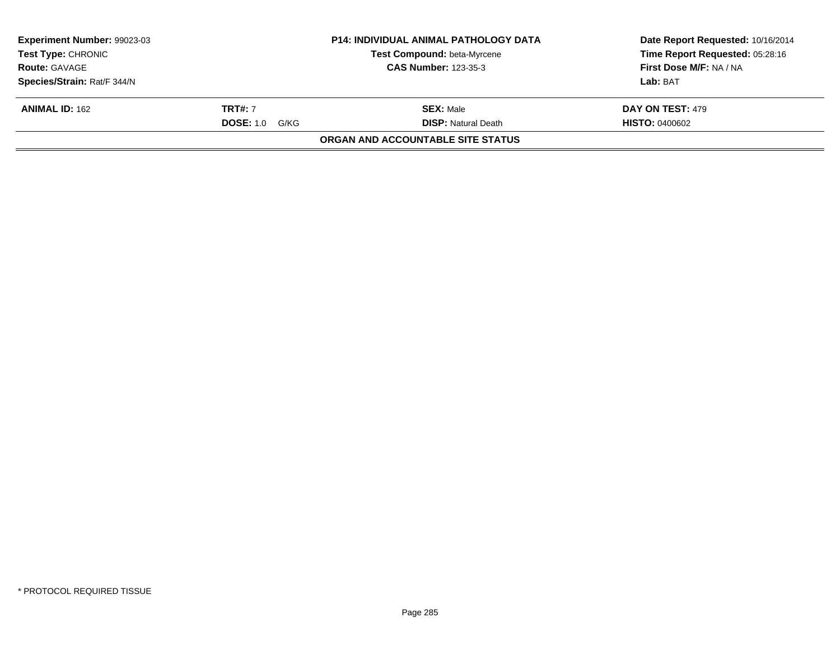| <b>Experiment Number: 99023-03</b> |                       | <b>P14: INDIVIDUAL ANIMAL PATHOLOGY DATA</b> | Date Report Requested: 10/16/2014 |
|------------------------------------|-----------------------|----------------------------------------------|-----------------------------------|
| <b>Test Type: CHRONIC</b>          |                       | <b>Test Compound: beta-Myrcene</b>           | Time Report Requested: 05:28:16   |
| <b>Route: GAVAGE</b>               |                       | <b>CAS Number: 123-35-3</b>                  | First Dose M/F: NA / NA           |
| Species/Strain: Rat/F 344/N        |                       |                                              | Lab: BAT                          |
| <b>ANIMAL ID: 162</b>              | <b>TRT#:</b> 7        | <b>SEX: Male</b>                             | DAY ON TEST: 479                  |
|                                    | <b>DOSE:</b> 1.0 G/KG | <b>DISP:</b> Natural Death                   | <b>HISTO: 0400602</b>             |
|                                    |                       | ORGAN AND ACCOUNTABLE SITE STATUS            |                                   |
|                                    |                       |                                              |                                   |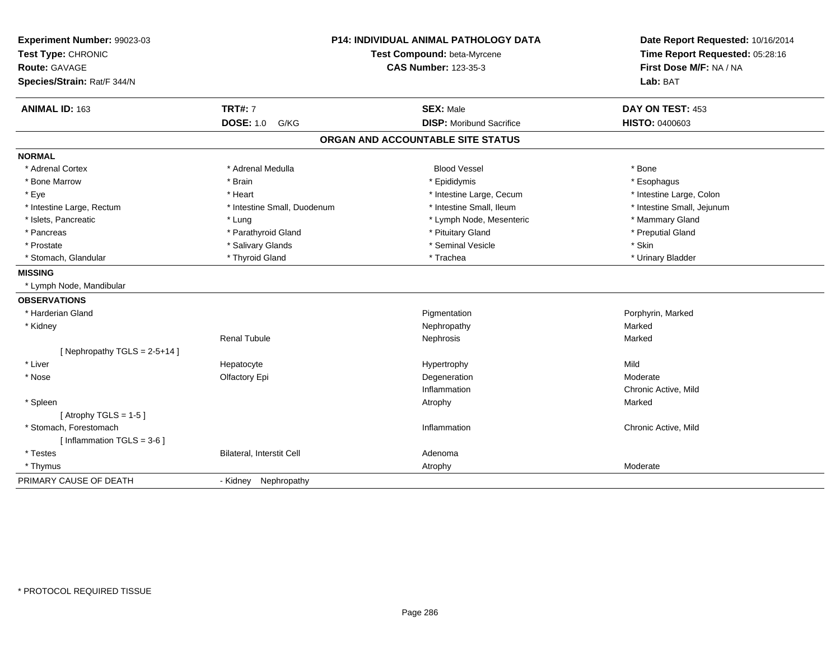| Experiment Number: 99023-03<br>Test Type: CHRONIC<br><b>Route: GAVAGE</b><br>Species/Strain: Rat/F 344/N |                             | <b>P14: INDIVIDUAL ANIMAL PATHOLOGY DATA</b><br>Test Compound: beta-Myrcene<br><b>CAS Number: 123-35-3</b> | Date Report Requested: 10/16/2014<br>Time Report Requested: 05:28:16<br>First Dose M/F: NA / NA<br>Lab: BAT |
|----------------------------------------------------------------------------------------------------------|-----------------------------|------------------------------------------------------------------------------------------------------------|-------------------------------------------------------------------------------------------------------------|
| ANIMAL ID: 163                                                                                           | <b>TRT#: 7</b>              | <b>SEX: Male</b>                                                                                           | DAY ON TEST: 453                                                                                            |
|                                                                                                          | <b>DOSE: 1.0 G/KG</b>       | <b>DISP: Moribund Sacrifice</b>                                                                            | HISTO: 0400603                                                                                              |
|                                                                                                          |                             | ORGAN AND ACCOUNTABLE SITE STATUS                                                                          |                                                                                                             |
| <b>NORMAL</b>                                                                                            |                             |                                                                                                            |                                                                                                             |
| * Adrenal Cortex                                                                                         | * Adrenal Medulla           | <b>Blood Vessel</b>                                                                                        | * Bone                                                                                                      |
| * Bone Marrow                                                                                            | * Brain                     | * Epididymis                                                                                               | * Esophagus                                                                                                 |
| * Eye                                                                                                    | * Heart                     | * Intestine Large, Cecum                                                                                   | * Intestine Large, Colon                                                                                    |
| * Intestine Large, Rectum                                                                                | * Intestine Small, Duodenum | * Intestine Small, Ileum                                                                                   | * Intestine Small, Jejunum                                                                                  |
| * Islets, Pancreatic                                                                                     | * Lung                      | * Lymph Node, Mesenteric                                                                                   | * Mammary Gland                                                                                             |
| * Pancreas                                                                                               | * Parathyroid Gland         | * Pituitary Gland                                                                                          | * Preputial Gland                                                                                           |
| * Prostate                                                                                               | * Salivary Glands           | * Seminal Vesicle                                                                                          | * Skin                                                                                                      |
| * Stomach, Glandular                                                                                     | * Thyroid Gland             | * Trachea                                                                                                  | * Urinary Bladder                                                                                           |
| <b>MISSING</b>                                                                                           |                             |                                                                                                            |                                                                                                             |
| * Lymph Node, Mandibular                                                                                 |                             |                                                                                                            |                                                                                                             |
| <b>OBSERVATIONS</b>                                                                                      |                             |                                                                                                            |                                                                                                             |
| * Harderian Gland                                                                                        |                             | Pigmentation                                                                                               | Porphyrin, Marked                                                                                           |
| * Kidney                                                                                                 |                             | Nephropathy                                                                                                | Marked                                                                                                      |
|                                                                                                          | <b>Renal Tubule</b>         | Nephrosis                                                                                                  | Marked                                                                                                      |
| [Nephropathy TGLS = $2-5+14$ ]                                                                           |                             |                                                                                                            |                                                                                                             |
| * Liver                                                                                                  | Hepatocyte                  | Hypertrophy                                                                                                | Mild                                                                                                        |
| * Nose                                                                                                   | Olfactory Epi               | Degeneration                                                                                               | Moderate                                                                                                    |
|                                                                                                          |                             | Inflammation                                                                                               | Chronic Active, Mild                                                                                        |
| * Spleen                                                                                                 |                             | Atrophy                                                                                                    | Marked                                                                                                      |
| [Atrophy TGLS = $1-5$ ]                                                                                  |                             |                                                                                                            |                                                                                                             |
| * Stomach, Forestomach                                                                                   |                             | Inflammation                                                                                               | Chronic Active, Mild                                                                                        |
| [Inflammation TGLS = $3-6$ ]                                                                             |                             |                                                                                                            |                                                                                                             |
| * Testes                                                                                                 | Bilateral, Interstit Cell   | Adenoma                                                                                                    |                                                                                                             |
| * Thymus                                                                                                 |                             | Atrophy                                                                                                    | Moderate                                                                                                    |
| PRIMARY CAUSE OF DEATH                                                                                   | - Kidney<br>Nephropathy     |                                                                                                            |                                                                                                             |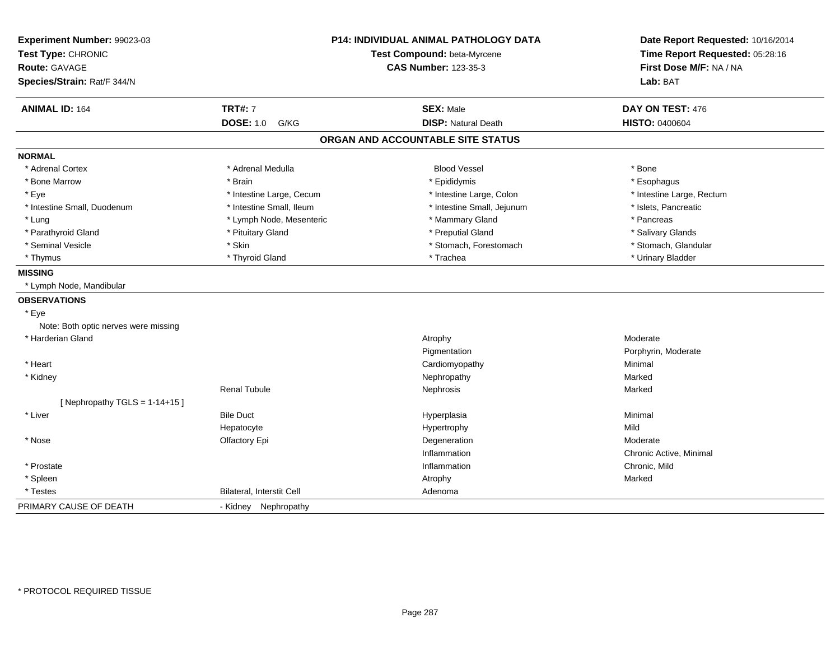| Experiment Number: 99023-03<br>Test Type: CHRONIC<br><b>Route: GAVAGE</b><br>Species/Strain: Rat/F 344/N |                           | <b>P14: INDIVIDUAL ANIMAL PATHOLOGY DATA</b><br>Test Compound: beta-Myrcene<br><b>CAS Number: 123-35-3</b> | Date Report Requested: 10/16/2014<br>Time Report Requested: 05:28:16<br>First Dose M/F: NA / NA<br>Lab: BAT |
|----------------------------------------------------------------------------------------------------------|---------------------------|------------------------------------------------------------------------------------------------------------|-------------------------------------------------------------------------------------------------------------|
| <b>ANIMAL ID: 164</b>                                                                                    | <b>TRT#: 7</b>            | <b>SEX: Male</b>                                                                                           | DAY ON TEST: 476                                                                                            |
|                                                                                                          | <b>DOSE: 1.0</b><br>G/KG  | <b>DISP: Natural Death</b>                                                                                 | <b>HISTO: 0400604</b>                                                                                       |
|                                                                                                          |                           | ORGAN AND ACCOUNTABLE SITE STATUS                                                                          |                                                                                                             |
| <b>NORMAL</b>                                                                                            |                           |                                                                                                            |                                                                                                             |
| * Adrenal Cortex                                                                                         | * Adrenal Medulla         | <b>Blood Vessel</b>                                                                                        | * Bone                                                                                                      |
| * Bone Marrow                                                                                            | * Brain                   | * Epididymis                                                                                               | * Esophagus                                                                                                 |
| * Eye                                                                                                    | * Intestine Large, Cecum  | * Intestine Large, Colon                                                                                   | * Intestine Large, Rectum                                                                                   |
| * Intestine Small, Duodenum                                                                              | * Intestine Small, Ileum  | * Intestine Small, Jejunum                                                                                 | * Islets, Pancreatic                                                                                        |
| * Lung                                                                                                   | * Lymph Node, Mesenteric  | * Mammary Gland                                                                                            | * Pancreas                                                                                                  |
| * Parathyroid Gland                                                                                      | * Pituitary Gland         | * Preputial Gland                                                                                          | * Salivary Glands                                                                                           |
| * Seminal Vesicle                                                                                        | * Skin                    | * Stomach, Forestomach                                                                                     | * Stomach, Glandular                                                                                        |
| * Thymus                                                                                                 | * Thyroid Gland           | * Trachea                                                                                                  | * Urinary Bladder                                                                                           |
| <b>MISSING</b>                                                                                           |                           |                                                                                                            |                                                                                                             |
| * Lymph Node, Mandibular                                                                                 |                           |                                                                                                            |                                                                                                             |
| <b>OBSERVATIONS</b>                                                                                      |                           |                                                                                                            |                                                                                                             |
| * Eye                                                                                                    |                           |                                                                                                            |                                                                                                             |
| Note: Both optic nerves were missing                                                                     |                           |                                                                                                            |                                                                                                             |
| * Harderian Gland                                                                                        |                           | Atrophy                                                                                                    | Moderate                                                                                                    |
|                                                                                                          |                           | Pigmentation                                                                                               | Porphyrin, Moderate                                                                                         |
| * Heart                                                                                                  |                           | Cardiomyopathy                                                                                             | Minimal                                                                                                     |
| * Kidney                                                                                                 |                           | Nephropathy                                                                                                | Marked                                                                                                      |
|                                                                                                          | <b>Renal Tubule</b>       | Nephrosis                                                                                                  | Marked                                                                                                      |
| [Nephropathy TGLS = $1-14+15$ ]                                                                          |                           |                                                                                                            |                                                                                                             |
| * Liver                                                                                                  | <b>Bile Duct</b>          | Hyperplasia                                                                                                | Minimal                                                                                                     |
|                                                                                                          | Hepatocyte                | Hypertrophy                                                                                                | Mild                                                                                                        |
| * Nose                                                                                                   | Olfactory Epi             | Degeneration                                                                                               | Moderate                                                                                                    |
|                                                                                                          |                           | Inflammation                                                                                               | Chronic Active, Minimal                                                                                     |
| * Prostate                                                                                               |                           | Inflammation                                                                                               | Chronic, Mild                                                                                               |
| * Spleen                                                                                                 |                           | Atrophy                                                                                                    | Marked                                                                                                      |
| * Testes                                                                                                 | Bilateral, Interstit Cell | Adenoma                                                                                                    |                                                                                                             |
| PRIMARY CAUSE OF DEATH                                                                                   | - Kidney Nephropathy      |                                                                                                            |                                                                                                             |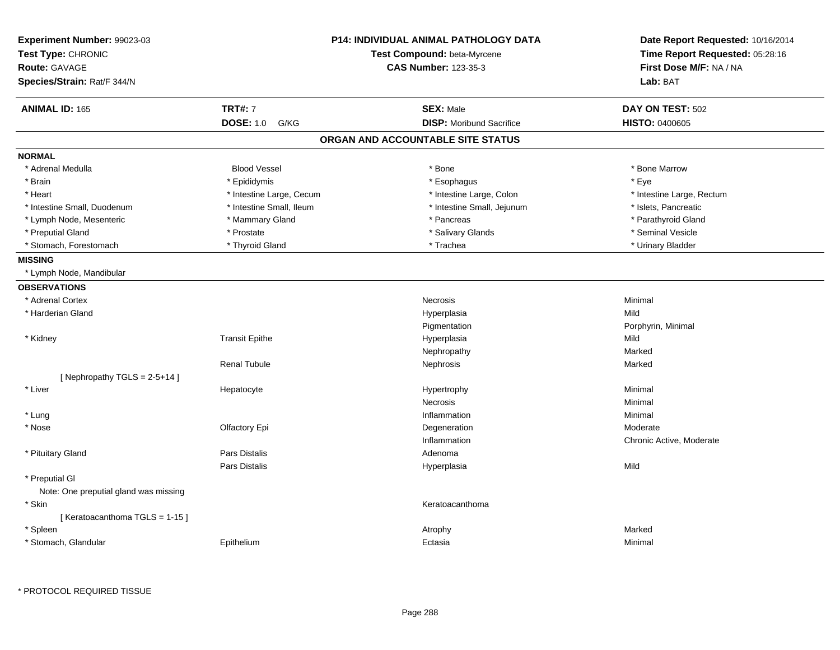| Experiment Number: 99023-03<br>Test Type: CHRONIC<br><b>Route: GAVAGE</b><br>Species/Strain: Rat/F 344/N |                          | <b>P14: INDIVIDUAL ANIMAL PATHOLOGY DATA</b><br>Test Compound: beta-Myrcene<br><b>CAS Number: 123-35-3</b> | Date Report Requested: 10/16/2014<br>Time Report Requested: 05:28:16<br>First Dose M/F: NA / NA<br>Lab: BAT |
|----------------------------------------------------------------------------------------------------------|--------------------------|------------------------------------------------------------------------------------------------------------|-------------------------------------------------------------------------------------------------------------|
| <b>ANIMAL ID: 165</b>                                                                                    | <b>TRT#: 7</b>           | <b>SEX: Male</b>                                                                                           | DAY ON TEST: 502                                                                                            |
|                                                                                                          | <b>DOSE: 1.0</b><br>G/KG | <b>DISP:</b> Moribund Sacrifice                                                                            | <b>HISTO: 0400605</b>                                                                                       |
|                                                                                                          |                          | ORGAN AND ACCOUNTABLE SITE STATUS                                                                          |                                                                                                             |
| <b>NORMAL</b>                                                                                            |                          |                                                                                                            |                                                                                                             |
| * Adrenal Medulla                                                                                        | <b>Blood Vessel</b>      | * Bone                                                                                                     | * Bone Marrow                                                                                               |
| * Brain                                                                                                  | * Epididymis             | * Esophagus                                                                                                | * Eye                                                                                                       |
| * Heart                                                                                                  | * Intestine Large, Cecum | * Intestine Large, Colon                                                                                   | * Intestine Large, Rectum                                                                                   |
| * Intestine Small, Duodenum                                                                              | * Intestine Small, Ileum | * Intestine Small, Jejunum                                                                                 | * Islets, Pancreatic                                                                                        |
| * Lymph Node, Mesenteric                                                                                 | * Mammary Gland          | * Pancreas                                                                                                 | * Parathyroid Gland                                                                                         |
| * Preputial Gland                                                                                        | * Prostate               | * Salivary Glands                                                                                          | * Seminal Vesicle                                                                                           |
| * Stomach, Forestomach                                                                                   | * Thyroid Gland          | * Trachea                                                                                                  | * Urinary Bladder                                                                                           |
| <b>MISSING</b>                                                                                           |                          |                                                                                                            |                                                                                                             |
| * Lymph Node, Mandibular                                                                                 |                          |                                                                                                            |                                                                                                             |
| <b>OBSERVATIONS</b>                                                                                      |                          |                                                                                                            |                                                                                                             |
| * Adrenal Cortex                                                                                         |                          | <b>Necrosis</b>                                                                                            | Minimal                                                                                                     |
| * Harderian Gland                                                                                        |                          | Hyperplasia                                                                                                | Mild                                                                                                        |
|                                                                                                          |                          | Pigmentation                                                                                               | Porphyrin, Minimal                                                                                          |
| * Kidney                                                                                                 | <b>Transit Epithe</b>    | Hyperplasia                                                                                                | Mild                                                                                                        |
|                                                                                                          |                          | Nephropathy                                                                                                | Marked                                                                                                      |
|                                                                                                          | <b>Renal Tubule</b>      | Nephrosis                                                                                                  | Marked                                                                                                      |
| [Nephropathy TGLS = $2-5+14$ ]                                                                           |                          |                                                                                                            |                                                                                                             |
| * Liver                                                                                                  | Hepatocyte               | Hypertrophy                                                                                                | Minimal                                                                                                     |
|                                                                                                          |                          | Necrosis                                                                                                   | Minimal                                                                                                     |
| * Lung                                                                                                   |                          | Inflammation                                                                                               | Minimal                                                                                                     |
| * Nose                                                                                                   | Olfactory Epi            | Degeneration                                                                                               | Moderate                                                                                                    |
|                                                                                                          |                          | Inflammation                                                                                               | Chronic Active, Moderate                                                                                    |
| * Pituitary Gland                                                                                        | Pars Distalis            | Adenoma                                                                                                    |                                                                                                             |
|                                                                                                          | <b>Pars Distalis</b>     | Hyperplasia                                                                                                | Mild                                                                                                        |
| * Preputial GI                                                                                           |                          |                                                                                                            |                                                                                                             |
| Note: One preputial gland was missing                                                                    |                          |                                                                                                            |                                                                                                             |
| * Skin                                                                                                   |                          | Keratoacanthoma                                                                                            |                                                                                                             |
| [Keratoacanthoma TGLS = 1-15]                                                                            |                          |                                                                                                            |                                                                                                             |
| * Spleen                                                                                                 |                          | Atrophy                                                                                                    | Marked                                                                                                      |
| * Stomach, Glandular                                                                                     | Epithelium               | Ectasia                                                                                                    | Minimal                                                                                                     |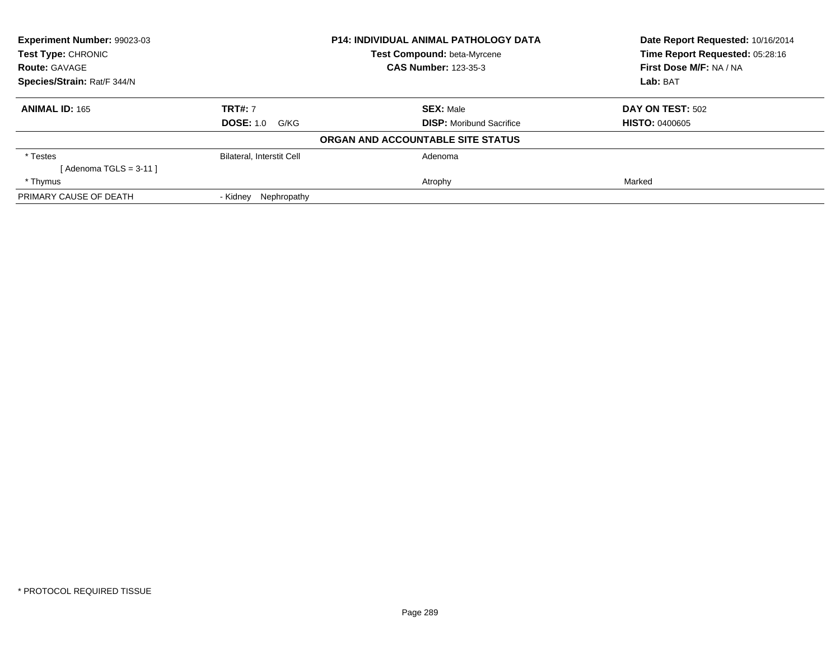| Experiment Number: 99023-03<br><b>Test Type: CHRONIC</b> |                           | <b>P14: INDIVIDUAL ANIMAL PATHOLOGY DATA</b> | Date Report Requested: 10/16/2014<br>Time Report Requested: 05:28:16 |
|----------------------------------------------------------|---------------------------|----------------------------------------------|----------------------------------------------------------------------|
|                                                          |                           | <b>Test Compound: beta-Myrcene</b>           |                                                                      |
| <b>Route: GAVAGE</b>                                     |                           | <b>CAS Number: 123-35-3</b>                  | First Dose M/F: NA / NA                                              |
| Species/Strain: Rat/F 344/N                              |                           |                                              | Lab: BAT                                                             |
| <b>ANIMAL ID: 165</b>                                    | <b>TRT#: 7</b>            | <b>SEX: Male</b>                             | DAY ON TEST: 502                                                     |
|                                                          | <b>DOSE: 1.0 G/KG</b>     | <b>DISP:</b> Moribund Sacrifice              | <b>HISTO: 0400605</b>                                                |
|                                                          |                           | ORGAN AND ACCOUNTABLE SITE STATUS            |                                                                      |
| * Testes                                                 | Bilateral, Interstit Cell | Adenoma                                      |                                                                      |
| [ Adenoma TGLS = 3-11 ]                                  |                           |                                              |                                                                      |
| * Thymus                                                 |                           | Atrophy                                      | Marked                                                               |
| PRIMARY CAUSE OF DEATH                                   | - Kidnev<br>Nephropathy   |                                              |                                                                      |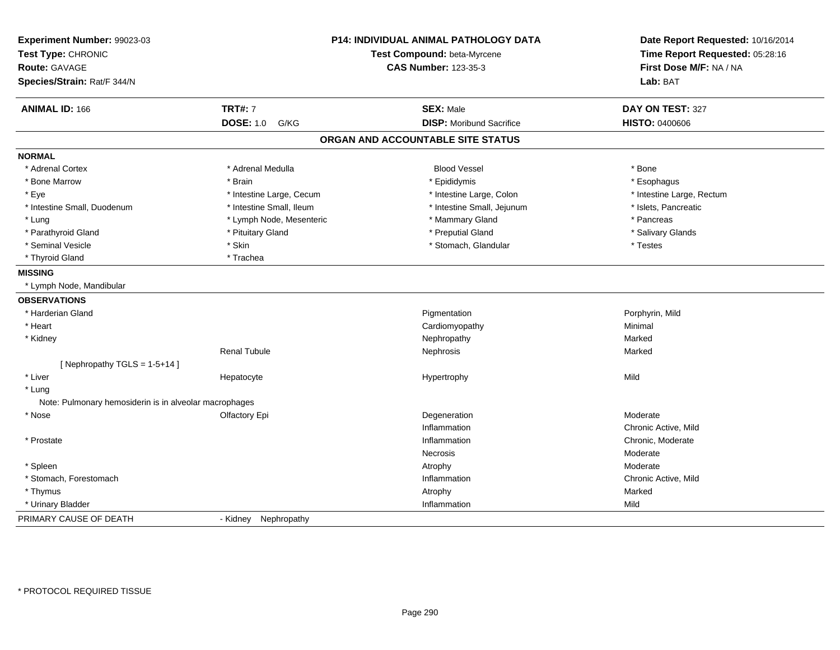| Experiment Number: 99023-03<br>Test Type: CHRONIC<br><b>Route: GAVAGE</b><br>Species/Strain: Rat/F 344/N |                          | P14: INDIVIDUAL ANIMAL PATHOLOGY DATA<br>Test Compound: beta-Myrcene<br><b>CAS Number: 123-35-3</b> | Date Report Requested: 10/16/2014<br>Time Report Requested: 05:28:16<br>First Dose M/F: NA / NA<br>Lab: BAT |
|----------------------------------------------------------------------------------------------------------|--------------------------|-----------------------------------------------------------------------------------------------------|-------------------------------------------------------------------------------------------------------------|
| <b>ANIMAL ID: 166</b>                                                                                    | <b>TRT#: 7</b>           | <b>SEX: Male</b>                                                                                    | DAY ON TEST: 327                                                                                            |
|                                                                                                          | <b>DOSE: 1.0 G/KG</b>    | <b>DISP: Moribund Sacrifice</b>                                                                     | <b>HISTO: 0400606</b>                                                                                       |
|                                                                                                          |                          | ORGAN AND ACCOUNTABLE SITE STATUS                                                                   |                                                                                                             |
| <b>NORMAL</b>                                                                                            |                          |                                                                                                     |                                                                                                             |
| * Adrenal Cortex                                                                                         | * Adrenal Medulla        | <b>Blood Vessel</b>                                                                                 | * Bone                                                                                                      |
| * Bone Marrow                                                                                            | * Brain                  | * Epididymis                                                                                        | * Esophagus                                                                                                 |
| * Eye                                                                                                    | * Intestine Large, Cecum | * Intestine Large, Colon                                                                            | * Intestine Large, Rectum                                                                                   |
| * Intestine Small, Duodenum                                                                              | * Intestine Small, Ileum | * Intestine Small, Jejunum                                                                          | * Islets, Pancreatic                                                                                        |
| * Lung                                                                                                   | * Lymph Node, Mesenteric | * Mammary Gland                                                                                     | * Pancreas                                                                                                  |
| * Parathyroid Gland                                                                                      | * Pituitary Gland        | * Preputial Gland                                                                                   | * Salivary Glands                                                                                           |
| * Seminal Vesicle                                                                                        | * Skin                   | * Stomach, Glandular                                                                                | * Testes                                                                                                    |
| * Thyroid Gland                                                                                          | * Trachea                |                                                                                                     |                                                                                                             |
| <b>MISSING</b>                                                                                           |                          |                                                                                                     |                                                                                                             |
| * Lymph Node, Mandibular                                                                                 |                          |                                                                                                     |                                                                                                             |
| <b>OBSERVATIONS</b>                                                                                      |                          |                                                                                                     |                                                                                                             |
| * Harderian Gland                                                                                        |                          | Pigmentation                                                                                        | Porphyrin, Mild                                                                                             |
| * Heart                                                                                                  |                          | Cardiomyopathy                                                                                      | Minimal                                                                                                     |
| * Kidney                                                                                                 |                          | Nephropathy                                                                                         | Marked                                                                                                      |
|                                                                                                          | <b>Renal Tubule</b>      | Nephrosis                                                                                           | Marked                                                                                                      |
| [Nephropathy TGLS = 1-5+14]                                                                              |                          |                                                                                                     |                                                                                                             |
| * Liver                                                                                                  | Hepatocyte               | Hypertrophy                                                                                         | Mild                                                                                                        |
| * Lung                                                                                                   |                          |                                                                                                     |                                                                                                             |
| Note: Pulmonary hemosiderin is in alveolar macrophages                                                   |                          |                                                                                                     |                                                                                                             |
| * Nose                                                                                                   | Olfactory Epi            | Degeneration                                                                                        | Moderate                                                                                                    |
|                                                                                                          |                          | Inflammation                                                                                        | Chronic Active, Mild                                                                                        |
| * Prostate                                                                                               |                          | Inflammation                                                                                        | Chronic, Moderate                                                                                           |
|                                                                                                          |                          | Necrosis                                                                                            | Moderate                                                                                                    |
| * Spleen                                                                                                 |                          | Atrophy                                                                                             | Moderate                                                                                                    |
| * Stomach, Forestomach                                                                                   |                          | Inflammation                                                                                        | Chronic Active, Mild                                                                                        |
| * Thymus                                                                                                 |                          | Atrophy                                                                                             | Marked                                                                                                      |
| * Urinary Bladder                                                                                        |                          | Inflammation                                                                                        | Mild                                                                                                        |
| PRIMARY CAUSE OF DEATH                                                                                   | - Kidney Nephropathy     |                                                                                                     |                                                                                                             |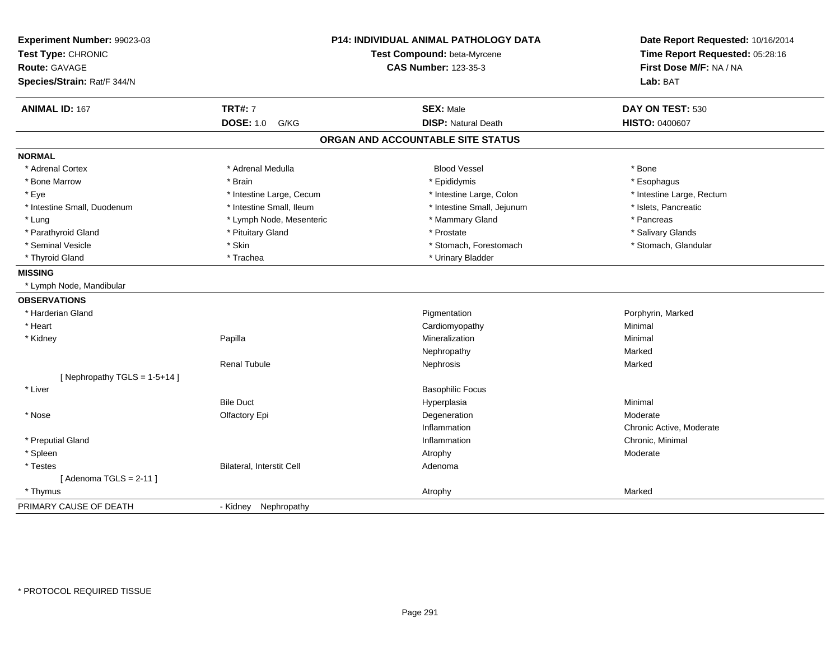| Experiment Number: 99023-03<br>Test Type: CHRONIC<br>Route: GAVAGE<br>Species/Strain: Rat/F 344/N |                           | <b>P14: INDIVIDUAL ANIMAL PATHOLOGY DATA</b><br>Test Compound: beta-Myrcene<br><b>CAS Number: 123-35-3</b> | Date Report Requested: 10/16/2014<br>Time Report Requested: 05:28:16<br>First Dose M/F: NA / NA<br>Lab: BAT |
|---------------------------------------------------------------------------------------------------|---------------------------|------------------------------------------------------------------------------------------------------------|-------------------------------------------------------------------------------------------------------------|
| <b>ANIMAL ID: 167</b>                                                                             | <b>TRT#: 7</b>            | <b>SEX: Male</b>                                                                                           | DAY ON TEST: 530                                                                                            |
|                                                                                                   | <b>DOSE: 1.0</b><br>G/KG  | <b>DISP: Natural Death</b>                                                                                 | <b>HISTO: 0400607</b>                                                                                       |
|                                                                                                   |                           | ORGAN AND ACCOUNTABLE SITE STATUS                                                                          |                                                                                                             |
| <b>NORMAL</b>                                                                                     |                           |                                                                                                            |                                                                                                             |
| * Adrenal Cortex                                                                                  | * Adrenal Medulla         | <b>Blood Vessel</b>                                                                                        | * Bone                                                                                                      |
| * Bone Marrow                                                                                     | * Brain                   | * Epididymis                                                                                               | * Esophagus                                                                                                 |
| * Eye                                                                                             | * Intestine Large, Cecum  | * Intestine Large, Colon                                                                                   | * Intestine Large, Rectum                                                                                   |
| * Intestine Small, Duodenum                                                                       | * Intestine Small, Ileum  | * Intestine Small, Jejunum                                                                                 | * Islets, Pancreatic                                                                                        |
| * Lung                                                                                            | * Lymph Node, Mesenteric  | * Mammary Gland                                                                                            | * Pancreas                                                                                                  |
| * Parathyroid Gland                                                                               | * Pituitary Gland         | * Prostate                                                                                                 | * Salivary Glands                                                                                           |
| * Seminal Vesicle                                                                                 | * Skin                    | * Stomach, Forestomach                                                                                     | * Stomach, Glandular                                                                                        |
| * Thyroid Gland                                                                                   | * Trachea                 | * Urinary Bladder                                                                                          |                                                                                                             |
| <b>MISSING</b>                                                                                    |                           |                                                                                                            |                                                                                                             |
| * Lymph Node, Mandibular                                                                          |                           |                                                                                                            |                                                                                                             |
| <b>OBSERVATIONS</b>                                                                               |                           |                                                                                                            |                                                                                                             |
| * Harderian Gland                                                                                 |                           | Pigmentation                                                                                               | Porphyrin, Marked                                                                                           |
| * Heart                                                                                           |                           | Cardiomyopathy                                                                                             | Minimal                                                                                                     |
| * Kidney                                                                                          | Papilla                   | Mineralization                                                                                             | Minimal                                                                                                     |
|                                                                                                   |                           | Nephropathy                                                                                                | Marked                                                                                                      |
|                                                                                                   | <b>Renal Tubule</b>       | Nephrosis                                                                                                  | Marked                                                                                                      |
| [Nephropathy TGLS = 1-5+14]                                                                       |                           |                                                                                                            |                                                                                                             |
| * Liver                                                                                           |                           | <b>Basophilic Focus</b>                                                                                    |                                                                                                             |
|                                                                                                   | <b>Bile Duct</b>          | Hyperplasia                                                                                                | Minimal                                                                                                     |
| * Nose                                                                                            | Olfactory Epi             | Degeneration                                                                                               | Moderate                                                                                                    |
|                                                                                                   |                           | Inflammation                                                                                               | Chronic Active, Moderate                                                                                    |
| * Preputial Gland                                                                                 |                           | Inflammation                                                                                               | Chronic, Minimal                                                                                            |
| * Spleen                                                                                          |                           | Atrophy                                                                                                    | Moderate                                                                                                    |
| * Testes                                                                                          | Bilateral, Interstit Cell | Adenoma                                                                                                    |                                                                                                             |
| [Adenoma TGLS = $2-11$ ]                                                                          |                           |                                                                                                            |                                                                                                             |
| * Thymus                                                                                          |                           | Atrophy                                                                                                    | Marked                                                                                                      |
| PRIMARY CAUSE OF DEATH                                                                            | - Kidney Nephropathy      |                                                                                                            |                                                                                                             |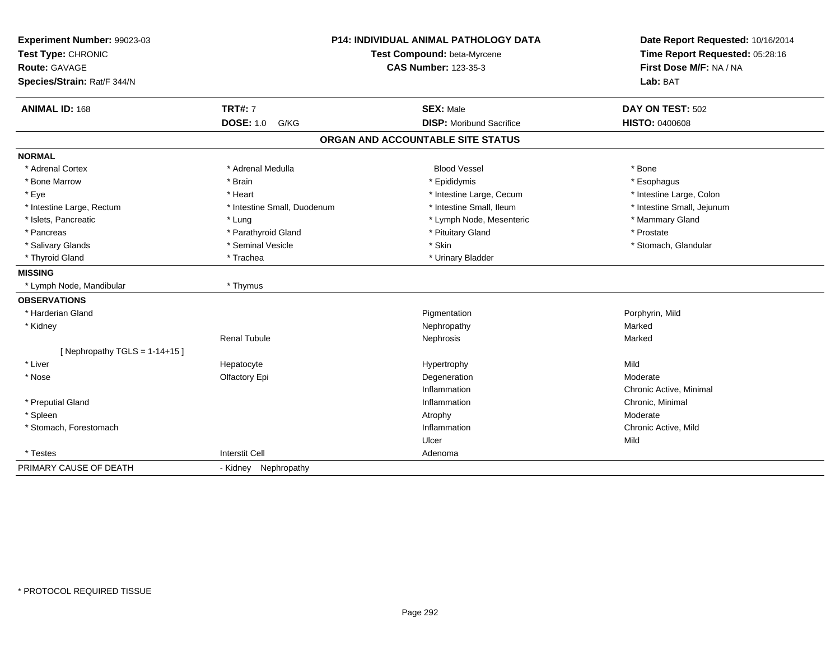| Experiment Number: 99023-03<br>Test Type: CHRONIC |                             | <b>P14: INDIVIDUAL ANIMAL PATHOLOGY DATA</b><br>Test Compound: beta-Myrcene | Date Report Requested: 10/16/2014<br>Time Report Requested: 05:28:16 |
|---------------------------------------------------|-----------------------------|-----------------------------------------------------------------------------|----------------------------------------------------------------------|
| <b>Route: GAVAGE</b>                              |                             | <b>CAS Number: 123-35-3</b>                                                 | First Dose M/F: NA / NA                                              |
| Species/Strain: Rat/F 344/N                       |                             |                                                                             | Lab: BAT                                                             |
| <b>ANIMAL ID: 168</b>                             | <b>TRT#: 7</b>              | <b>SEX: Male</b>                                                            | DAY ON TEST: 502                                                     |
|                                                   | <b>DOSE: 1.0</b><br>G/KG    | <b>DISP:</b> Moribund Sacrifice                                             | HISTO: 0400608                                                       |
|                                                   |                             | ORGAN AND ACCOUNTABLE SITE STATUS                                           |                                                                      |
| <b>NORMAL</b>                                     |                             |                                                                             |                                                                      |
| * Adrenal Cortex                                  | * Adrenal Medulla           | <b>Blood Vessel</b>                                                         | * Bone                                                               |
| * Bone Marrow                                     | * Brain                     | * Epididymis                                                                | * Esophagus                                                          |
| * Eye                                             | * Heart                     | * Intestine Large, Cecum                                                    | * Intestine Large, Colon                                             |
| * Intestine Large, Rectum                         | * Intestine Small, Duodenum | * Intestine Small, Ileum                                                    | * Intestine Small, Jejunum                                           |
| * Islets, Pancreatic                              | * Lung                      | * Lymph Node, Mesenteric                                                    | * Mammary Gland                                                      |
| * Pancreas                                        | * Parathyroid Gland         | * Pituitary Gland                                                           | * Prostate                                                           |
| * Salivary Glands                                 | * Seminal Vesicle           | * Skin                                                                      | * Stomach, Glandular                                                 |
| * Thyroid Gland                                   | * Trachea                   | * Urinary Bladder                                                           |                                                                      |
| <b>MISSING</b>                                    |                             |                                                                             |                                                                      |
| * Lymph Node, Mandibular                          | * Thymus                    |                                                                             |                                                                      |
| <b>OBSERVATIONS</b>                               |                             |                                                                             |                                                                      |
| * Harderian Gland                                 |                             | Pigmentation                                                                | Porphyrin, Mild                                                      |
| * Kidney                                          |                             | Nephropathy                                                                 | Marked                                                               |
|                                                   | <b>Renal Tubule</b>         | Nephrosis                                                                   | Marked                                                               |
| [ Nephropathy TGLS = $1-14+15$ ]                  |                             |                                                                             |                                                                      |
| * Liver                                           | Hepatocyte                  | Hypertrophy                                                                 | Mild                                                                 |
| * Nose                                            | Olfactory Epi               | Degeneration                                                                | Moderate                                                             |
|                                                   |                             | Inflammation                                                                | Chronic Active, Minimal                                              |
| * Preputial Gland                                 |                             | Inflammation                                                                | Chronic, Minimal                                                     |
| * Spleen                                          |                             | Atrophy                                                                     | Moderate                                                             |
| * Stomach, Forestomach                            |                             | Inflammation                                                                | Chronic Active, Mild                                                 |
|                                                   |                             | Ulcer                                                                       | Mild                                                                 |
| * Testes                                          | <b>Interstit Cell</b>       | Adenoma                                                                     |                                                                      |
| PRIMARY CAUSE OF DEATH                            | - Kidney Nephropathy        |                                                                             |                                                                      |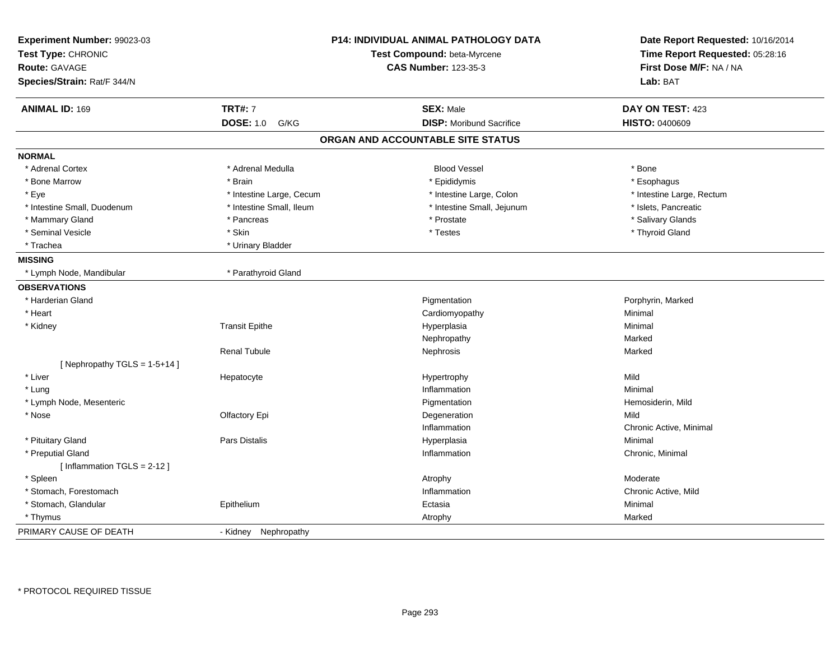| Experiment Number: 99023-03<br>Test Type: CHRONIC<br><b>Route: GAVAGE</b><br>Species/Strain: Rat/F 344/N |                          | <b>P14: INDIVIDUAL ANIMAL PATHOLOGY DATA</b><br>Test Compound: beta-Myrcene<br><b>CAS Number: 123-35-3</b> | Date Report Requested: 10/16/2014<br>Time Report Requested: 05:28:16<br>First Dose M/F: NA / NA<br>Lab: BAT |
|----------------------------------------------------------------------------------------------------------|--------------------------|------------------------------------------------------------------------------------------------------------|-------------------------------------------------------------------------------------------------------------|
| <b>ANIMAL ID: 169</b>                                                                                    | <b>TRT#: 7</b>           | <b>SEX: Male</b>                                                                                           | DAY ON TEST: 423                                                                                            |
|                                                                                                          | <b>DOSE: 1.0</b><br>G/KG | <b>DISP:</b> Moribund Sacrifice                                                                            | <b>HISTO: 0400609</b>                                                                                       |
|                                                                                                          |                          | ORGAN AND ACCOUNTABLE SITE STATUS                                                                          |                                                                                                             |
| <b>NORMAL</b>                                                                                            |                          |                                                                                                            |                                                                                                             |
| * Adrenal Cortex                                                                                         | * Adrenal Medulla        | <b>Blood Vessel</b>                                                                                        | * Bone                                                                                                      |
| * Bone Marrow                                                                                            | * Brain                  | * Epididymis                                                                                               | * Esophagus                                                                                                 |
| * Eye                                                                                                    | * Intestine Large, Cecum | * Intestine Large, Colon                                                                                   | * Intestine Large, Rectum                                                                                   |
| * Intestine Small, Duodenum                                                                              | * Intestine Small, Ileum | * Intestine Small, Jejunum                                                                                 | * Islets, Pancreatic                                                                                        |
| * Mammary Gland                                                                                          | * Pancreas               | * Prostate                                                                                                 | * Salivary Glands                                                                                           |
| * Seminal Vesicle                                                                                        | * Skin                   | * Testes                                                                                                   | * Thyroid Gland                                                                                             |
| * Trachea                                                                                                | * Urinary Bladder        |                                                                                                            |                                                                                                             |
| <b>MISSING</b>                                                                                           |                          |                                                                                                            |                                                                                                             |
| * Lymph Node, Mandibular                                                                                 | * Parathyroid Gland      |                                                                                                            |                                                                                                             |
| <b>OBSERVATIONS</b>                                                                                      |                          |                                                                                                            |                                                                                                             |
| * Harderian Gland                                                                                        |                          | Pigmentation                                                                                               | Porphyrin, Marked                                                                                           |
| * Heart                                                                                                  |                          | Cardiomyopathy                                                                                             | Minimal                                                                                                     |
| * Kidney                                                                                                 | <b>Transit Epithe</b>    | Hyperplasia                                                                                                | Minimal                                                                                                     |
|                                                                                                          |                          | Nephropathy                                                                                                | Marked                                                                                                      |
|                                                                                                          | <b>Renal Tubule</b>      | Nephrosis                                                                                                  | Marked                                                                                                      |
| [Nephropathy TGLS = 1-5+14]                                                                              |                          |                                                                                                            |                                                                                                             |
| * Liver                                                                                                  | Hepatocyte               | Hypertrophy                                                                                                | Mild                                                                                                        |
| * Lung                                                                                                   |                          | Inflammation                                                                                               | Minimal                                                                                                     |
| * Lymph Node, Mesenteric                                                                                 |                          | Pigmentation                                                                                               | Hemosiderin, Mild                                                                                           |
| * Nose                                                                                                   | Olfactory Epi            | Degeneration                                                                                               | Mild                                                                                                        |
|                                                                                                          |                          | Inflammation                                                                                               | Chronic Active, Minimal                                                                                     |
| * Pituitary Gland                                                                                        | Pars Distalis            | Hyperplasia                                                                                                | Minimal                                                                                                     |
| * Preputial Gland                                                                                        |                          | Inflammation                                                                                               | Chronic, Minimal                                                                                            |
| [Inflammation TGLS = $2-12$ ]                                                                            |                          |                                                                                                            |                                                                                                             |
| * Spleen                                                                                                 |                          | Atrophy                                                                                                    | Moderate                                                                                                    |
| * Stomach, Forestomach                                                                                   |                          | Inflammation                                                                                               | Chronic Active, Mild                                                                                        |
| * Stomach, Glandular                                                                                     | Epithelium               | Ectasia                                                                                                    | Minimal                                                                                                     |
| * Thymus                                                                                                 |                          | Atrophy                                                                                                    | Marked                                                                                                      |
| PRIMARY CAUSE OF DEATH                                                                                   | - Kidney<br>Nephropathy  |                                                                                                            |                                                                                                             |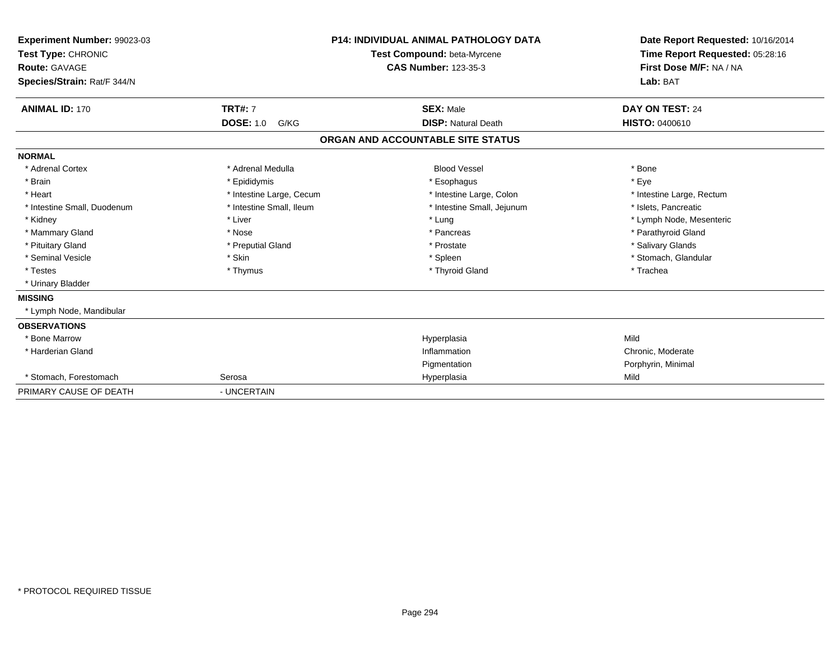| Experiment Number: 99023-03<br>Test Type: CHRONIC<br><b>Route: GAVAGE</b><br>Species/Strain: Rat/F 344/N |                          | <b>P14: INDIVIDUAL ANIMAL PATHOLOGY DATA</b><br>Test Compound: beta-Myrcene<br><b>CAS Number: 123-35-3</b> | Date Report Requested: 10/16/2014<br>Time Report Requested: 05:28:16<br>First Dose M/F: NA / NA<br>Lab: BAT |
|----------------------------------------------------------------------------------------------------------|--------------------------|------------------------------------------------------------------------------------------------------------|-------------------------------------------------------------------------------------------------------------|
| <b>ANIMAL ID: 170</b>                                                                                    | <b>TRT#: 7</b>           | <b>SEX: Male</b>                                                                                           | DAY ON TEST: 24                                                                                             |
|                                                                                                          | <b>DOSE: 1.0</b><br>G/KG | <b>DISP: Natural Death</b>                                                                                 | <b>HISTO: 0400610</b>                                                                                       |
|                                                                                                          |                          | ORGAN AND ACCOUNTABLE SITE STATUS                                                                          |                                                                                                             |
| <b>NORMAL</b>                                                                                            |                          |                                                                                                            |                                                                                                             |
| * Adrenal Cortex                                                                                         | * Adrenal Medulla        | <b>Blood Vessel</b>                                                                                        | * Bone                                                                                                      |
| * Brain                                                                                                  | * Epididymis             | * Esophagus                                                                                                | * Eye                                                                                                       |
| * Heart                                                                                                  | * Intestine Large, Cecum | * Intestine Large, Colon                                                                                   | * Intestine Large, Rectum                                                                                   |
| * Intestine Small, Duodenum                                                                              | * Intestine Small. Ileum | * Intestine Small, Jejunum                                                                                 | * Islets. Pancreatic                                                                                        |
| * Kidney                                                                                                 | * Liver                  | * Lung                                                                                                     | * Lymph Node, Mesenteric                                                                                    |
| * Mammary Gland                                                                                          | * Nose                   | * Pancreas                                                                                                 | * Parathyroid Gland                                                                                         |
| * Pituitary Gland                                                                                        | * Preputial Gland        | * Prostate                                                                                                 | * Salivary Glands                                                                                           |
| * Seminal Vesicle                                                                                        | * Skin                   | * Spleen                                                                                                   | * Stomach, Glandular                                                                                        |
| * Testes                                                                                                 | * Thymus                 | * Thyroid Gland                                                                                            | * Trachea                                                                                                   |
| * Urinary Bladder                                                                                        |                          |                                                                                                            |                                                                                                             |
| <b>MISSING</b>                                                                                           |                          |                                                                                                            |                                                                                                             |
| * Lymph Node, Mandibular                                                                                 |                          |                                                                                                            |                                                                                                             |
| <b>OBSERVATIONS</b>                                                                                      |                          |                                                                                                            |                                                                                                             |
| * Bone Marrow                                                                                            |                          | Hyperplasia                                                                                                | Mild                                                                                                        |
| * Harderian Gland                                                                                        |                          | Inflammation                                                                                               | Chronic, Moderate                                                                                           |
|                                                                                                          |                          | Pigmentation                                                                                               | Porphyrin, Minimal                                                                                          |
| * Stomach, Forestomach                                                                                   | Serosa                   | Hyperplasia                                                                                                | Mild                                                                                                        |
| PRIMARY CAUSE OF DEATH                                                                                   | - UNCERTAIN              |                                                                                                            |                                                                                                             |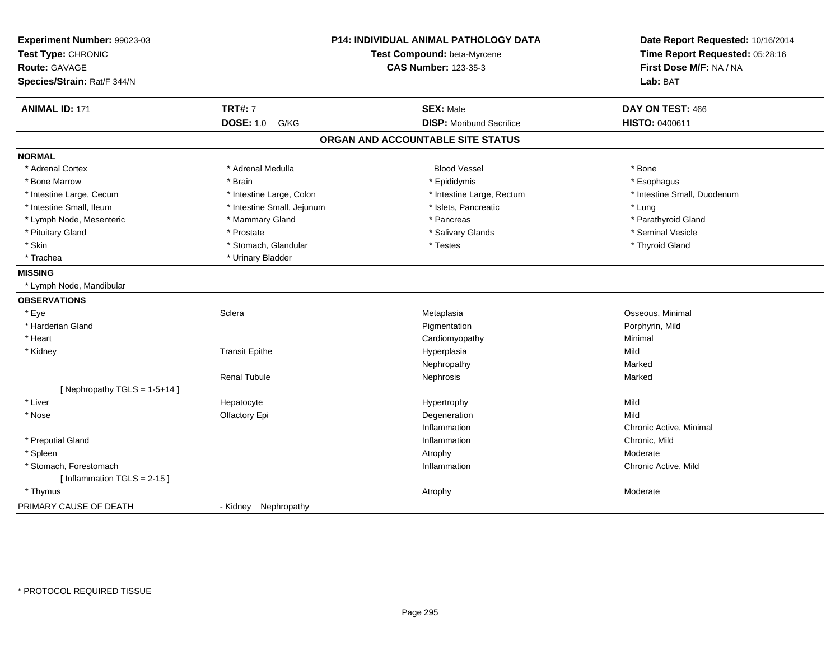| Experiment Number: 99023-03<br>Test Type: CHRONIC<br>Route: GAVAGE<br>Species/Strain: Rat/F 344/N |                            | <b>P14: INDIVIDUAL ANIMAL PATHOLOGY DATA</b><br>Test Compound: beta-Myrcene<br><b>CAS Number: 123-35-3</b> | Date Report Requested: 10/16/2014<br>Time Report Requested: 05:28:16<br>First Dose M/F: NA / NA<br>Lab: BAT |
|---------------------------------------------------------------------------------------------------|----------------------------|------------------------------------------------------------------------------------------------------------|-------------------------------------------------------------------------------------------------------------|
| <b>ANIMAL ID: 171</b>                                                                             | <b>TRT#: 7</b>             | <b>SEX: Male</b>                                                                                           | DAY ON TEST: 466                                                                                            |
|                                                                                                   | <b>DOSE: 1.0</b><br>G/KG   | <b>DISP:</b> Moribund Sacrifice                                                                            | HISTO: 0400611                                                                                              |
|                                                                                                   |                            | ORGAN AND ACCOUNTABLE SITE STATUS                                                                          |                                                                                                             |
| <b>NORMAL</b>                                                                                     |                            |                                                                                                            |                                                                                                             |
| * Adrenal Cortex                                                                                  | * Adrenal Medulla          | <b>Blood Vessel</b>                                                                                        | * Bone                                                                                                      |
| * Bone Marrow                                                                                     | * Brain                    | * Epididymis                                                                                               | * Esophagus                                                                                                 |
| * Intestine Large, Cecum                                                                          | * Intestine Large, Colon   | * Intestine Large, Rectum                                                                                  | * Intestine Small, Duodenum                                                                                 |
| * Intestine Small, Ileum                                                                          | * Intestine Small, Jejunum | * Islets, Pancreatic                                                                                       | * Lung                                                                                                      |
| * Lymph Node, Mesenteric                                                                          | * Mammary Gland            | * Pancreas                                                                                                 | * Parathyroid Gland                                                                                         |
| * Pituitary Gland                                                                                 | * Prostate                 | * Salivary Glands                                                                                          | * Seminal Vesicle                                                                                           |
| * Skin                                                                                            | * Stomach, Glandular       | * Testes                                                                                                   | * Thyroid Gland                                                                                             |
| * Trachea                                                                                         | * Urinary Bladder          |                                                                                                            |                                                                                                             |
| <b>MISSING</b>                                                                                    |                            |                                                                                                            |                                                                                                             |
| * Lymph Node, Mandibular                                                                          |                            |                                                                                                            |                                                                                                             |
| <b>OBSERVATIONS</b>                                                                               |                            |                                                                                                            |                                                                                                             |
| * Eye                                                                                             | Sclera                     | Metaplasia                                                                                                 | Osseous, Minimal                                                                                            |
| * Harderian Gland                                                                                 |                            | Pigmentation                                                                                               | Porphyrin, Mild                                                                                             |
| * Heart                                                                                           |                            | Cardiomyopathy                                                                                             | Minimal                                                                                                     |
| * Kidney                                                                                          | <b>Transit Epithe</b>      | Hyperplasia                                                                                                | Mild                                                                                                        |
|                                                                                                   |                            | Nephropathy                                                                                                | Marked                                                                                                      |
|                                                                                                   | <b>Renal Tubule</b>        | Nephrosis                                                                                                  | Marked                                                                                                      |
| [Nephropathy TGLS = $1-5+14$ ]                                                                    |                            |                                                                                                            |                                                                                                             |
| * Liver                                                                                           | Hepatocyte                 | Hypertrophy                                                                                                | Mild                                                                                                        |
| * Nose                                                                                            | Olfactory Epi              | Degeneration                                                                                               | Mild                                                                                                        |
|                                                                                                   |                            | Inflammation                                                                                               | Chronic Active, Minimal                                                                                     |
| * Preputial Gland                                                                                 |                            | Inflammation                                                                                               | Chronic, Mild                                                                                               |
| * Spleen                                                                                          |                            | Atrophy                                                                                                    | Moderate                                                                                                    |
| * Stomach, Forestomach                                                                            |                            | Inflammation                                                                                               | Chronic Active, Mild                                                                                        |
| [Inflammation TGLS = $2-15$ ]                                                                     |                            |                                                                                                            |                                                                                                             |
| * Thymus                                                                                          |                            | Atrophy                                                                                                    | Moderate                                                                                                    |
| PRIMARY CAUSE OF DEATH                                                                            | - Kidney<br>Nephropathy    |                                                                                                            |                                                                                                             |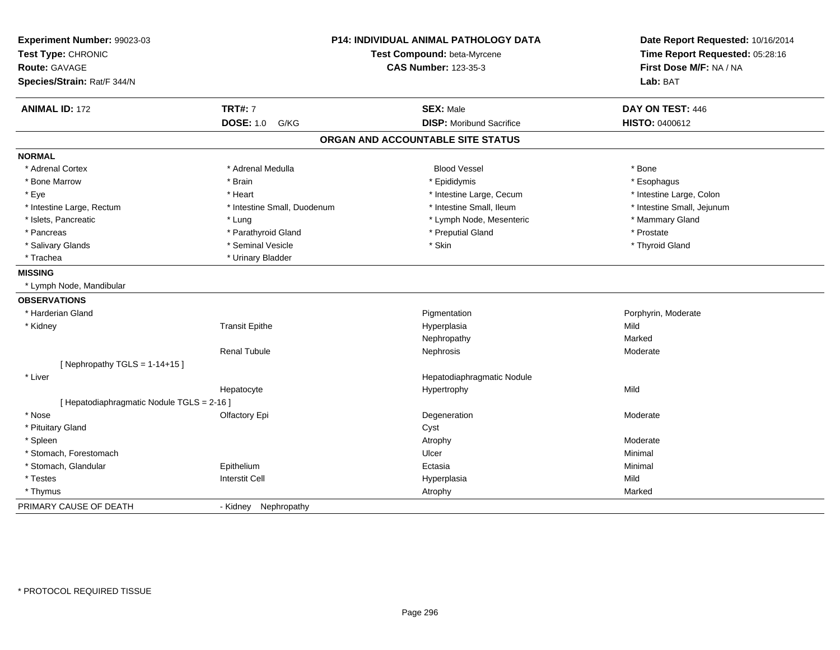| Experiment Number: 99023-03<br>Test Type: CHRONIC<br><b>Route: GAVAGE</b><br>Species/Strain: Rat/F 344/N |                             | <b>P14: INDIVIDUAL ANIMAL PATHOLOGY DATA</b><br>Test Compound: beta-Myrcene<br><b>CAS Number: 123-35-3</b> |                            |
|----------------------------------------------------------------------------------------------------------|-----------------------------|------------------------------------------------------------------------------------------------------------|----------------------------|
| <b>ANIMAL ID: 172</b>                                                                                    | <b>TRT#: 7</b>              | <b>SEX: Male</b>                                                                                           | DAY ON TEST: 446           |
|                                                                                                          | <b>DOSE: 1.0</b><br>G/KG    | <b>DISP:</b> Moribund Sacrifice                                                                            | <b>HISTO: 0400612</b>      |
|                                                                                                          |                             | ORGAN AND ACCOUNTABLE SITE STATUS                                                                          |                            |
| <b>NORMAL</b>                                                                                            |                             |                                                                                                            |                            |
| * Adrenal Cortex                                                                                         | * Adrenal Medulla           | <b>Blood Vessel</b>                                                                                        | * Bone                     |
| * Bone Marrow                                                                                            | * Brain                     | * Epididymis                                                                                               | * Esophagus                |
| * Eye                                                                                                    | * Heart                     | * Intestine Large, Cecum                                                                                   | * Intestine Large, Colon   |
| * Intestine Large, Rectum                                                                                | * Intestine Small, Duodenum | * Intestine Small, Ileum                                                                                   | * Intestine Small, Jejunum |
| * Islets, Pancreatic                                                                                     | * Lung                      | * Lymph Node, Mesenteric                                                                                   | * Mammary Gland            |
| * Pancreas                                                                                               | * Parathyroid Gland         | * Preputial Gland                                                                                          | * Prostate                 |
| * Salivary Glands                                                                                        | * Seminal Vesicle           | * Skin                                                                                                     | * Thyroid Gland            |
| * Trachea                                                                                                | * Urinary Bladder           |                                                                                                            |                            |
| <b>MISSING</b>                                                                                           |                             |                                                                                                            |                            |
| * Lymph Node, Mandibular                                                                                 |                             |                                                                                                            |                            |
| <b>OBSERVATIONS</b>                                                                                      |                             |                                                                                                            |                            |
| * Harderian Gland                                                                                        |                             | Pigmentation                                                                                               | Porphyrin, Moderate        |
| * Kidney                                                                                                 | <b>Transit Epithe</b>       | Hyperplasia                                                                                                | Mild                       |
|                                                                                                          |                             | Nephropathy                                                                                                | Marked                     |
|                                                                                                          | <b>Renal Tubule</b>         | Nephrosis                                                                                                  | Moderate                   |
| [Nephropathy TGLS = $1-14+15$ ]                                                                          |                             |                                                                                                            |                            |
| * Liver                                                                                                  |                             | Hepatodiaphragmatic Nodule                                                                                 |                            |
|                                                                                                          | Hepatocyte                  | Hypertrophy                                                                                                | Mild                       |
| [ Hepatodiaphragmatic Nodule TGLS = 2-16 ]                                                               |                             |                                                                                                            |                            |
| * Nose                                                                                                   | Olfactory Epi               | Degeneration                                                                                               | Moderate                   |
| * Pituitary Gland                                                                                        |                             | Cyst                                                                                                       |                            |
| * Spleen                                                                                                 |                             | Atrophy                                                                                                    | Moderate                   |
| * Stomach, Forestomach                                                                                   |                             | Ulcer                                                                                                      | Minimal                    |
| * Stomach, Glandular                                                                                     | Epithelium                  | Ectasia                                                                                                    | Minimal                    |
| * Testes                                                                                                 | <b>Interstit Cell</b>       | Hyperplasia                                                                                                | Mild                       |
| * Thymus                                                                                                 |                             | Atrophy                                                                                                    | Marked                     |
| PRIMARY CAUSE OF DEATH                                                                                   | - Kidney<br>Nephropathy     |                                                                                                            |                            |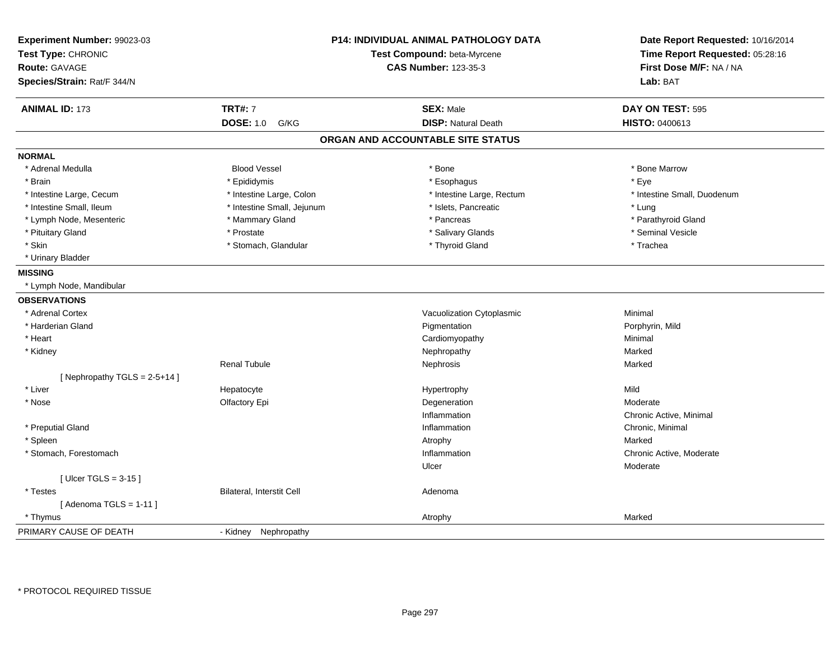| Experiment Number: 99023-03<br>Test Type: CHRONIC<br><b>Route: GAVAGE</b><br>Species/Strain: Rat/F 344/N |                                  | <b>P14: INDIVIDUAL ANIMAL PATHOLOGY DATA</b><br>Test Compound: beta-Myrcene<br><b>CAS Number: 123-35-3</b> | Date Report Requested: 10/16/2014<br>Time Report Requested: 05:28:16<br>First Dose M/F: NA / NA<br>Lab: BAT |
|----------------------------------------------------------------------------------------------------------|----------------------------------|------------------------------------------------------------------------------------------------------------|-------------------------------------------------------------------------------------------------------------|
| <b>ANIMAL ID: 173</b>                                                                                    | <b>TRT#: 7</b>                   | <b>SEX: Male</b>                                                                                           | DAY ON TEST: 595                                                                                            |
|                                                                                                          | <b>DOSE: 1.0</b><br>G/KG         | <b>DISP: Natural Death</b>                                                                                 | HISTO: 0400613                                                                                              |
|                                                                                                          |                                  | ORGAN AND ACCOUNTABLE SITE STATUS                                                                          |                                                                                                             |
| <b>NORMAL</b>                                                                                            |                                  |                                                                                                            |                                                                                                             |
| * Adrenal Medulla                                                                                        | <b>Blood Vessel</b>              | * Bone                                                                                                     | * Bone Marrow                                                                                               |
| * Brain                                                                                                  | * Epididymis                     | * Esophagus                                                                                                | * Eye                                                                                                       |
| * Intestine Large, Cecum                                                                                 | * Intestine Large, Colon         | * Intestine Large, Rectum                                                                                  | * Intestine Small, Duodenum                                                                                 |
| * Intestine Small, Ileum                                                                                 | * Intestine Small, Jejunum       | * Islets, Pancreatic                                                                                       | * Lung                                                                                                      |
| * Lymph Node, Mesenteric                                                                                 | * Mammary Gland                  | * Pancreas                                                                                                 | * Parathyroid Gland                                                                                         |
| * Pituitary Gland                                                                                        | * Prostate                       | * Salivary Glands                                                                                          | * Seminal Vesicle                                                                                           |
| * Skin                                                                                                   | * Stomach, Glandular             | * Thyroid Gland                                                                                            | * Trachea                                                                                                   |
| * Urinary Bladder                                                                                        |                                  |                                                                                                            |                                                                                                             |
| <b>MISSING</b>                                                                                           |                                  |                                                                                                            |                                                                                                             |
| * Lymph Node, Mandibular                                                                                 |                                  |                                                                                                            |                                                                                                             |
| <b>OBSERVATIONS</b>                                                                                      |                                  |                                                                                                            |                                                                                                             |
| * Adrenal Cortex                                                                                         |                                  | Vacuolization Cytoplasmic                                                                                  | Minimal                                                                                                     |
| * Harderian Gland                                                                                        |                                  | Pigmentation                                                                                               | Porphyrin, Mild                                                                                             |
| * Heart                                                                                                  |                                  | Cardiomyopathy                                                                                             | Minimal                                                                                                     |
| * Kidney                                                                                                 |                                  | Nephropathy                                                                                                | Marked                                                                                                      |
|                                                                                                          | <b>Renal Tubule</b>              | Nephrosis                                                                                                  | Marked                                                                                                      |
| [Nephropathy TGLS = $2-5+14$ ]                                                                           |                                  |                                                                                                            |                                                                                                             |
| * Liver                                                                                                  | Hepatocyte                       | Hypertrophy                                                                                                | Mild                                                                                                        |
| * Nose                                                                                                   | Olfactory Epi                    | Degeneration                                                                                               | Moderate                                                                                                    |
|                                                                                                          |                                  | Inflammation                                                                                               | Chronic Active, Minimal                                                                                     |
| * Preputial Gland                                                                                        |                                  | Inflammation                                                                                               | Chronic, Minimal                                                                                            |
| * Spleen                                                                                                 |                                  | Atrophy                                                                                                    | Marked                                                                                                      |
| * Stomach, Forestomach                                                                                   |                                  | Inflammation                                                                                               | Chronic Active, Moderate                                                                                    |
|                                                                                                          |                                  | Ulcer                                                                                                      | Moderate                                                                                                    |
| [Ulcer TGLS = $3-15$ ]                                                                                   |                                  |                                                                                                            |                                                                                                             |
| * Testes                                                                                                 | <b>Bilateral, Interstit Cell</b> | Adenoma                                                                                                    |                                                                                                             |
| [Adenoma TGLS = $1-11$ ]                                                                                 |                                  |                                                                                                            |                                                                                                             |
| * Thymus                                                                                                 |                                  | Atrophy                                                                                                    | Marked                                                                                                      |
| PRIMARY CAUSE OF DEATH                                                                                   | - Kidney<br>Nephropathy          |                                                                                                            |                                                                                                             |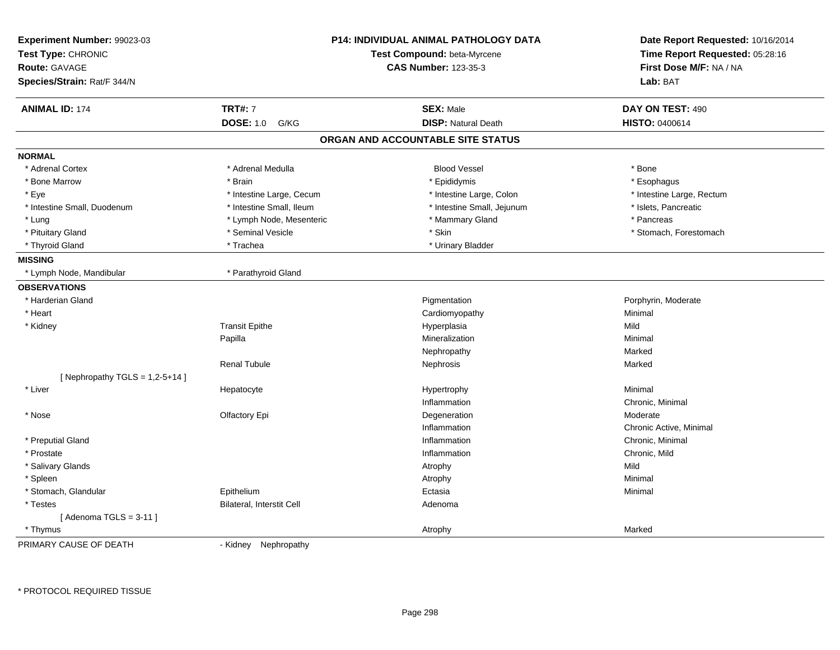| Experiment Number: 99023-03<br>Test Type: CHRONIC<br><b>Route: GAVAGE</b><br>Species/Strain: Rat/F 344/N |                                  | <b>P14: INDIVIDUAL ANIMAL PATHOLOGY DATA</b><br>Test Compound: beta-Myrcene<br><b>CAS Number: 123-35-3</b> | Date Report Requested: 10/16/2014<br>Time Report Requested: 05:28:16<br>First Dose M/F: NA / NA<br>Lab: BAT |
|----------------------------------------------------------------------------------------------------------|----------------------------------|------------------------------------------------------------------------------------------------------------|-------------------------------------------------------------------------------------------------------------|
| <b>ANIMAL ID: 174</b>                                                                                    | <b>TRT#: 7</b>                   | <b>SEX: Male</b>                                                                                           | DAY ON TEST: 490                                                                                            |
|                                                                                                          | <b>DOSE: 1.0</b><br>G/KG         | <b>DISP: Natural Death</b>                                                                                 | <b>HISTO: 0400614</b>                                                                                       |
|                                                                                                          |                                  | ORGAN AND ACCOUNTABLE SITE STATUS                                                                          |                                                                                                             |
| <b>NORMAL</b>                                                                                            |                                  |                                                                                                            |                                                                                                             |
| * Adrenal Cortex                                                                                         | * Adrenal Medulla                | <b>Blood Vessel</b>                                                                                        | * Bone                                                                                                      |
| * Bone Marrow                                                                                            | * Brain                          | * Epididymis                                                                                               | * Esophagus                                                                                                 |
| * Eye                                                                                                    | * Intestine Large, Cecum         | * Intestine Large, Colon                                                                                   | * Intestine Large, Rectum                                                                                   |
| * Intestine Small, Duodenum                                                                              | * Intestine Small, Ileum         | * Intestine Small, Jejunum                                                                                 | * Islets, Pancreatic                                                                                        |
| * Lung                                                                                                   | * Lymph Node, Mesenteric         | * Mammary Gland                                                                                            | * Pancreas                                                                                                  |
| * Pituitary Gland                                                                                        | * Seminal Vesicle                | * Skin                                                                                                     | * Stomach, Forestomach                                                                                      |
| * Thyroid Gland                                                                                          | * Trachea                        | * Urinary Bladder                                                                                          |                                                                                                             |
| <b>MISSING</b>                                                                                           |                                  |                                                                                                            |                                                                                                             |
| * Lymph Node, Mandibular                                                                                 | * Parathyroid Gland              |                                                                                                            |                                                                                                             |
| <b>OBSERVATIONS</b>                                                                                      |                                  |                                                                                                            |                                                                                                             |
| * Harderian Gland                                                                                        |                                  | Pigmentation                                                                                               | Porphyrin, Moderate                                                                                         |
| * Heart                                                                                                  |                                  | Cardiomyopathy                                                                                             | Minimal                                                                                                     |
| * Kidney                                                                                                 | <b>Transit Epithe</b>            | Hyperplasia                                                                                                | Mild                                                                                                        |
|                                                                                                          | Papilla                          | Mineralization                                                                                             | Minimal                                                                                                     |
|                                                                                                          |                                  | Nephropathy                                                                                                | Marked                                                                                                      |
|                                                                                                          | <b>Renal Tubule</b>              | Nephrosis                                                                                                  | Marked                                                                                                      |
| [Nephropathy TGLS = $1,2-5+14$ ]                                                                         |                                  |                                                                                                            |                                                                                                             |
| * Liver                                                                                                  | Hepatocyte                       | Hypertrophy                                                                                                | Minimal                                                                                                     |
|                                                                                                          |                                  | Inflammation                                                                                               | Chronic, Minimal                                                                                            |
| * Nose                                                                                                   | Olfactory Epi                    | Degeneration                                                                                               | Moderate                                                                                                    |
|                                                                                                          |                                  | Inflammation                                                                                               | Chronic Active, Minimal                                                                                     |
| * Preputial Gland                                                                                        |                                  | Inflammation                                                                                               | Chronic, Minimal                                                                                            |
| * Prostate                                                                                               |                                  | Inflammation                                                                                               | Chronic, Mild                                                                                               |
| * Salivary Glands                                                                                        |                                  | Atrophy                                                                                                    | Mild                                                                                                        |
| * Spleen                                                                                                 |                                  | Atrophy                                                                                                    | Minimal                                                                                                     |
| * Stomach, Glandular                                                                                     | Epithelium                       | Ectasia                                                                                                    | Minimal                                                                                                     |
| * Testes                                                                                                 | <b>Bilateral, Interstit Cell</b> | Adenoma                                                                                                    |                                                                                                             |
| [Adenoma TGLS = $3-11$ ]                                                                                 |                                  |                                                                                                            |                                                                                                             |
| * Thymus                                                                                                 |                                  | Atrophy                                                                                                    | Marked                                                                                                      |
| PRIMARY CAUSE OF DEATH                                                                                   | Nephropathy<br>- Kidney          |                                                                                                            |                                                                                                             |

\* PROTOCOL REQUIRED TISSUE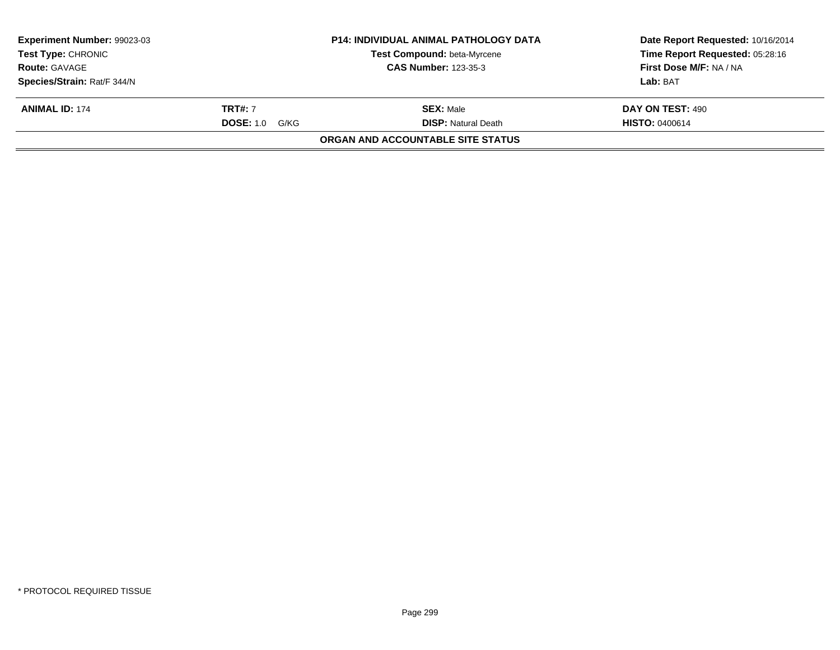| <b>P14: INDIVIDUAL ANIMAL PATHOLOGY DATA</b><br><b>Experiment Number: 99023-03</b><br><b>Test Type: CHRONIC</b><br><b>Test Compound: beta-Myrcene</b><br><b>CAS Number: 123-35-3</b><br><b>Route: GAVAGE</b> |                       |                                   | Date Report Requested: 10/16/2014 |  |
|--------------------------------------------------------------------------------------------------------------------------------------------------------------------------------------------------------------|-----------------------|-----------------------------------|-----------------------------------|--|
|                                                                                                                                                                                                              |                       |                                   | Time Report Requested: 05:28:16   |  |
|                                                                                                                                                                                                              |                       |                                   | First Dose M/F: NA / NA           |  |
| Species/Strain: Rat/F 344/N                                                                                                                                                                                  |                       |                                   | Lab: BAT                          |  |
| <b>ANIMAL ID: 174</b>                                                                                                                                                                                        | <b>TRT#: 7</b>        | <b>SEX: Male</b>                  | DAY ON TEST: 490                  |  |
|                                                                                                                                                                                                              | <b>DOSE:</b> 1.0 G/KG | <b>DISP:</b> Natural Death        | <b>HISTO: 0400614</b>             |  |
|                                                                                                                                                                                                              |                       | ORGAN AND ACCOUNTABLE SITE STATUS |                                   |  |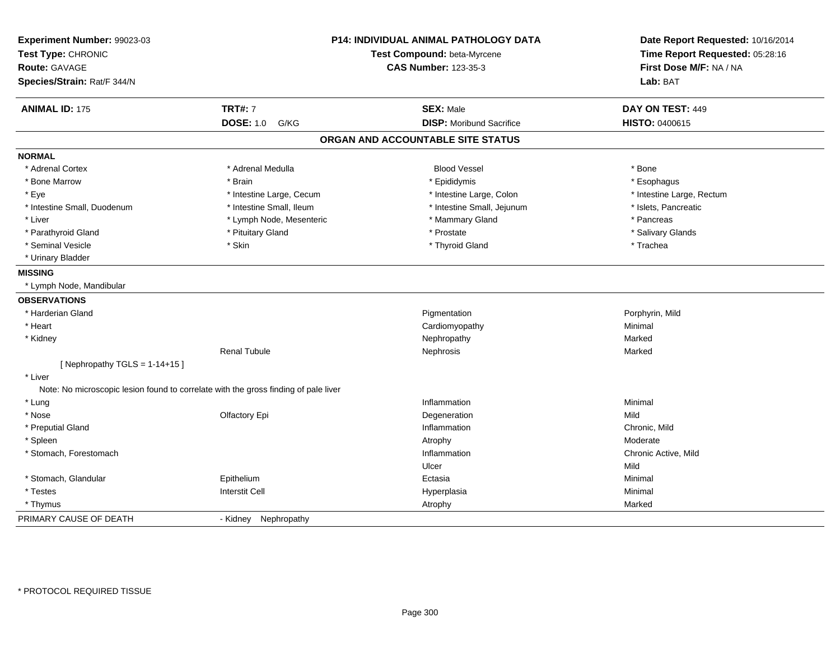| Experiment Number: 99023-03<br>Test Type: CHRONIC   |                                                                                     | <b>P14: INDIVIDUAL ANIMAL PATHOLOGY DATA</b><br>Test Compound: beta-Myrcene | Date Report Requested: 10/16/2014<br>Time Report Requested: 05:28:16 |
|-----------------------------------------------------|-------------------------------------------------------------------------------------|-----------------------------------------------------------------------------|----------------------------------------------------------------------|
| <b>Route: GAVAGE</b><br>Species/Strain: Rat/F 344/N |                                                                                     | <b>CAS Number: 123-35-3</b>                                                 | First Dose M/F: NA / NA<br>Lab: BAT                                  |
|                                                     |                                                                                     |                                                                             |                                                                      |
| <b>ANIMAL ID: 175</b>                               | <b>TRT#: 7</b>                                                                      | <b>SEX: Male</b>                                                            | DAY ON TEST: 449                                                     |
|                                                     | <b>DOSE: 1.0</b><br>G/KG                                                            | <b>DISP: Moribund Sacrifice</b>                                             | HISTO: 0400615                                                       |
|                                                     |                                                                                     | ORGAN AND ACCOUNTABLE SITE STATUS                                           |                                                                      |
| <b>NORMAL</b>                                       |                                                                                     |                                                                             |                                                                      |
| * Adrenal Cortex                                    | * Adrenal Medulla                                                                   | <b>Blood Vessel</b>                                                         | * Bone                                                               |
| * Bone Marrow                                       | * Brain                                                                             | * Epididymis                                                                | * Esophagus                                                          |
| * Eye                                               | * Intestine Large, Cecum                                                            | * Intestine Large, Colon                                                    | * Intestine Large, Rectum                                            |
| * Intestine Small, Duodenum                         | * Intestine Small, Ileum                                                            | * Intestine Small, Jejunum                                                  | * Islets, Pancreatic                                                 |
| * Liver                                             | * Lymph Node, Mesenteric                                                            | * Mammary Gland                                                             | * Pancreas                                                           |
| * Parathyroid Gland                                 | * Pituitary Gland                                                                   | * Prostate                                                                  | * Salivary Glands                                                    |
| * Seminal Vesicle                                   | * Skin                                                                              | * Thyroid Gland                                                             | * Trachea                                                            |
| * Urinary Bladder                                   |                                                                                     |                                                                             |                                                                      |
| <b>MISSING</b>                                      |                                                                                     |                                                                             |                                                                      |
| * Lymph Node, Mandibular                            |                                                                                     |                                                                             |                                                                      |
| <b>OBSERVATIONS</b>                                 |                                                                                     |                                                                             |                                                                      |
| * Harderian Gland                                   |                                                                                     | Pigmentation                                                                | Porphyrin, Mild                                                      |
| * Heart                                             |                                                                                     | Cardiomyopathy                                                              | Minimal                                                              |
| * Kidney                                            |                                                                                     | Nephropathy                                                                 | Marked                                                               |
|                                                     | <b>Renal Tubule</b>                                                                 | Nephrosis                                                                   | Marked                                                               |
| [Nephropathy TGLS = $1-14+15$ ]                     |                                                                                     |                                                                             |                                                                      |
| * Liver                                             |                                                                                     |                                                                             |                                                                      |
|                                                     | Note: No microscopic lesion found to correlate with the gross finding of pale liver |                                                                             |                                                                      |
| * Lung                                              |                                                                                     | Inflammation                                                                | Minimal                                                              |
| * Nose                                              | Olfactory Epi                                                                       | Degeneration                                                                | Mild                                                                 |
| * Preputial Gland                                   |                                                                                     | Inflammation                                                                | Chronic, Mild                                                        |
| * Spleen                                            |                                                                                     | Atrophy                                                                     | Moderate                                                             |
| * Stomach, Forestomach                              |                                                                                     | Inflammation                                                                | Chronic Active, Mild                                                 |
|                                                     |                                                                                     | Ulcer                                                                       | Mild                                                                 |
| * Stomach, Glandular                                | Epithelium                                                                          | Ectasia                                                                     | Minimal                                                              |
| * Testes                                            | <b>Interstit Cell</b>                                                               | Hyperplasia                                                                 | Minimal                                                              |
| * Thymus                                            |                                                                                     | Atrophy                                                                     | Marked                                                               |
| PRIMARY CAUSE OF DEATH                              | - Kidney Nephropathy                                                                |                                                                             |                                                                      |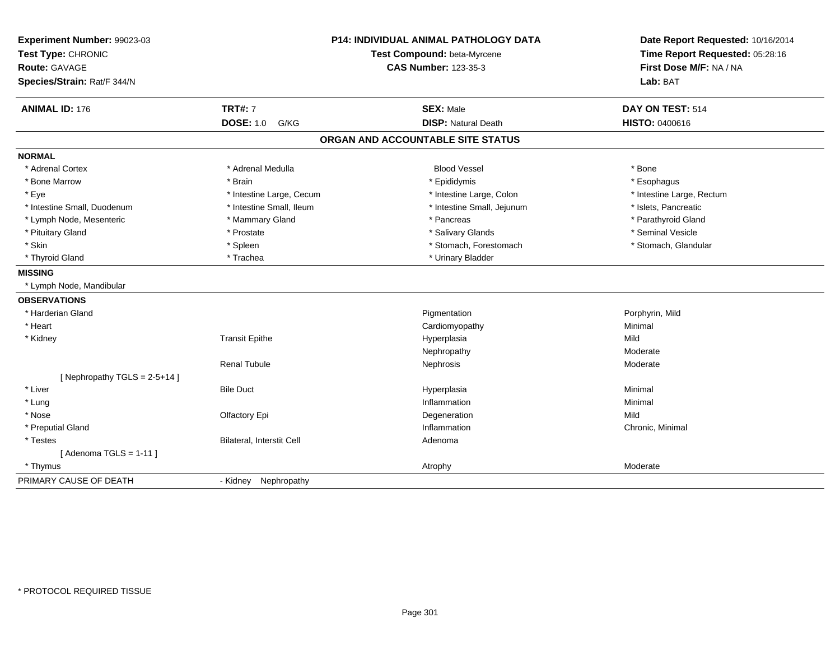| Experiment Number: 99023-03<br>Test Type: CHRONIC<br><b>Route: GAVAGE</b><br>Species/Strain: Rat/F 344/N |                           | <b>P14: INDIVIDUAL ANIMAL PATHOLOGY DATA</b><br>Test Compound: beta-Myrcene<br><b>CAS Number: 123-35-3</b> | Date Report Requested: 10/16/2014<br>Time Report Requested: 05:28:16<br>First Dose M/F: NA / NA<br>Lab: BAT |
|----------------------------------------------------------------------------------------------------------|---------------------------|------------------------------------------------------------------------------------------------------------|-------------------------------------------------------------------------------------------------------------|
| <b>ANIMAL ID: 176</b>                                                                                    | <b>TRT#: 7</b>            | <b>SEX: Male</b>                                                                                           | DAY ON TEST: 514                                                                                            |
|                                                                                                          | <b>DOSE: 1.0 G/KG</b>     | <b>DISP: Natural Death</b>                                                                                 | <b>HISTO: 0400616</b>                                                                                       |
|                                                                                                          |                           | ORGAN AND ACCOUNTABLE SITE STATUS                                                                          |                                                                                                             |
| <b>NORMAL</b>                                                                                            |                           |                                                                                                            |                                                                                                             |
| * Adrenal Cortex                                                                                         | * Adrenal Medulla         | <b>Blood Vessel</b>                                                                                        | * Bone                                                                                                      |
| * Bone Marrow                                                                                            | * Brain                   | * Epididymis                                                                                               | * Esophagus                                                                                                 |
| * Eye                                                                                                    | * Intestine Large, Cecum  | * Intestine Large, Colon                                                                                   | * Intestine Large, Rectum                                                                                   |
| * Intestine Small, Duodenum                                                                              | * Intestine Small, Ileum  | * Intestine Small, Jejunum                                                                                 | * Islets, Pancreatic                                                                                        |
| * Lymph Node, Mesenteric                                                                                 | * Mammary Gland           | * Pancreas                                                                                                 | * Parathyroid Gland                                                                                         |
| * Pituitary Gland                                                                                        | * Prostate                | * Salivary Glands                                                                                          | * Seminal Vesicle                                                                                           |
| * Skin                                                                                                   | * Spleen                  | * Stomach, Forestomach                                                                                     | * Stomach, Glandular                                                                                        |
| * Thyroid Gland                                                                                          | * Trachea                 | * Urinary Bladder                                                                                          |                                                                                                             |
| <b>MISSING</b>                                                                                           |                           |                                                                                                            |                                                                                                             |
| * Lymph Node, Mandibular                                                                                 |                           |                                                                                                            |                                                                                                             |
| <b>OBSERVATIONS</b>                                                                                      |                           |                                                                                                            |                                                                                                             |
| * Harderian Gland                                                                                        |                           | Pigmentation                                                                                               | Porphyrin, Mild                                                                                             |
| * Heart                                                                                                  |                           | Cardiomyopathy                                                                                             | Minimal                                                                                                     |
| * Kidney                                                                                                 | <b>Transit Epithe</b>     | Hyperplasia                                                                                                | Mild                                                                                                        |
|                                                                                                          |                           | Nephropathy                                                                                                | Moderate                                                                                                    |
|                                                                                                          | <b>Renal Tubule</b>       | Nephrosis                                                                                                  | Moderate                                                                                                    |
| [Nephropathy TGLS = $2-5+14$ ]                                                                           |                           |                                                                                                            |                                                                                                             |
| * Liver                                                                                                  | <b>Bile Duct</b>          | Hyperplasia                                                                                                | Minimal                                                                                                     |
| * Lung                                                                                                   |                           | Inflammation                                                                                               | Minimal                                                                                                     |
| * Nose                                                                                                   | Olfactory Epi             | Degeneration                                                                                               | Mild                                                                                                        |
| * Preputial Gland                                                                                        |                           | Inflammation                                                                                               | Chronic, Minimal                                                                                            |
| * Testes                                                                                                 | Bilateral, Interstit Cell | Adenoma                                                                                                    |                                                                                                             |
| [Adenoma TGLS = $1-11$ ]                                                                                 |                           |                                                                                                            |                                                                                                             |
| * Thymus                                                                                                 |                           | Atrophy                                                                                                    | Moderate                                                                                                    |
| PRIMARY CAUSE OF DEATH                                                                                   | - Kidney Nephropathy      |                                                                                                            |                                                                                                             |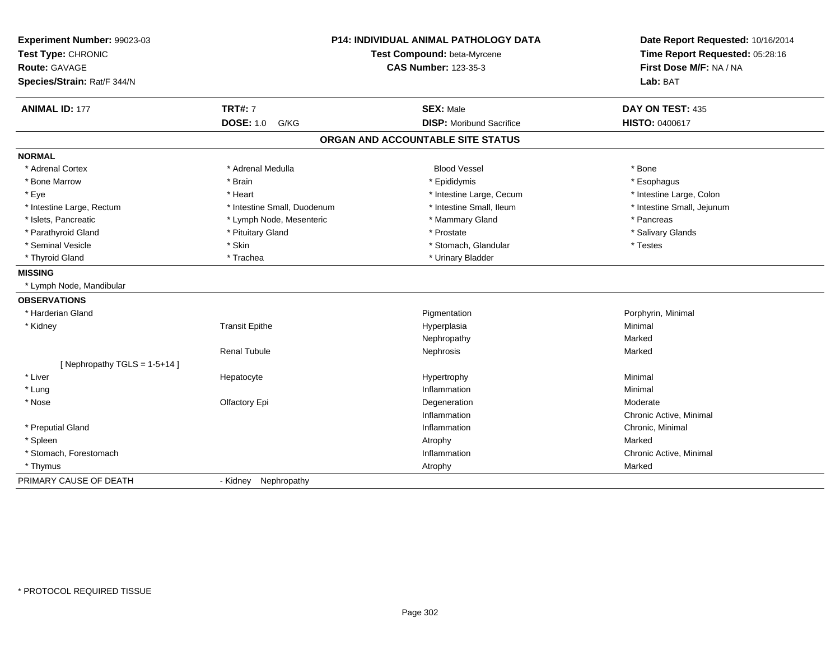| Experiment Number: 99023-03<br>Test Type: CHRONIC<br>Route: GAVAGE<br>Species/Strain: Rat/F 344/N |                             | <b>P14: INDIVIDUAL ANIMAL PATHOLOGY DATA</b><br>Test Compound: beta-Myrcene<br><b>CAS Number: 123-35-3</b> | Date Report Requested: 10/16/2014<br>Time Report Requested: 05:28:16<br>First Dose M/F: NA / NA<br>Lab: BAT |
|---------------------------------------------------------------------------------------------------|-----------------------------|------------------------------------------------------------------------------------------------------------|-------------------------------------------------------------------------------------------------------------|
| <b>ANIMAL ID: 177</b>                                                                             | <b>TRT#: 7</b>              | <b>SEX: Male</b>                                                                                           | DAY ON TEST: 435                                                                                            |
|                                                                                                   | <b>DOSE: 1.0 G/KG</b>       | <b>DISP:</b> Moribund Sacrifice                                                                            | <b>HISTO: 0400617</b>                                                                                       |
|                                                                                                   |                             | ORGAN AND ACCOUNTABLE SITE STATUS                                                                          |                                                                                                             |
| <b>NORMAL</b>                                                                                     |                             |                                                                                                            |                                                                                                             |
| * Adrenal Cortex                                                                                  | * Adrenal Medulla           | <b>Blood Vessel</b>                                                                                        | * Bone                                                                                                      |
| * Bone Marrow                                                                                     | * Brain                     | * Epididymis                                                                                               | * Esophagus                                                                                                 |
| * Eye                                                                                             | * Heart                     | * Intestine Large, Cecum                                                                                   | * Intestine Large, Colon                                                                                    |
| * Intestine Large, Rectum                                                                         | * Intestine Small, Duodenum | * Intestine Small, Ileum                                                                                   | * Intestine Small, Jejunum                                                                                  |
| * Islets, Pancreatic                                                                              | * Lymph Node, Mesenteric    | * Mammary Gland                                                                                            | * Pancreas                                                                                                  |
| * Parathyroid Gland                                                                               | * Pituitary Gland           | * Prostate                                                                                                 | * Salivary Glands                                                                                           |
| * Seminal Vesicle                                                                                 | * Skin                      | * Stomach, Glandular                                                                                       | * Testes                                                                                                    |
| * Thyroid Gland                                                                                   | * Trachea                   | * Urinary Bladder                                                                                          |                                                                                                             |
| <b>MISSING</b>                                                                                    |                             |                                                                                                            |                                                                                                             |
| * Lymph Node, Mandibular                                                                          |                             |                                                                                                            |                                                                                                             |
| <b>OBSERVATIONS</b>                                                                               |                             |                                                                                                            |                                                                                                             |
| * Harderian Gland                                                                                 |                             | Pigmentation                                                                                               | Porphyrin, Minimal                                                                                          |
| * Kidney                                                                                          | <b>Transit Epithe</b>       | Hyperplasia                                                                                                | Minimal                                                                                                     |
|                                                                                                   |                             | Nephropathy                                                                                                | Marked                                                                                                      |
|                                                                                                   | <b>Renal Tubule</b>         | Nephrosis                                                                                                  | Marked                                                                                                      |
| [Nephropathy TGLS = 1-5+14]                                                                       |                             |                                                                                                            |                                                                                                             |
| * Liver                                                                                           | Hepatocyte                  | Hypertrophy                                                                                                | Minimal                                                                                                     |
| * Lung                                                                                            |                             | Inflammation                                                                                               | Minimal                                                                                                     |
| * Nose                                                                                            | Olfactory Epi               | Degeneration                                                                                               | Moderate                                                                                                    |
|                                                                                                   |                             | Inflammation                                                                                               | Chronic Active, Minimal                                                                                     |
| * Preputial Gland                                                                                 |                             | Inflammation                                                                                               | Chronic, Minimal                                                                                            |
| * Spleen                                                                                          |                             | Atrophy                                                                                                    | Marked                                                                                                      |
| * Stomach, Forestomach                                                                            |                             | Inflammation                                                                                               | Chronic Active, Minimal                                                                                     |
| * Thymus                                                                                          |                             | Atrophy                                                                                                    | Marked                                                                                                      |
| PRIMARY CAUSE OF DEATH                                                                            | Nephropathy<br>- Kidney     |                                                                                                            |                                                                                                             |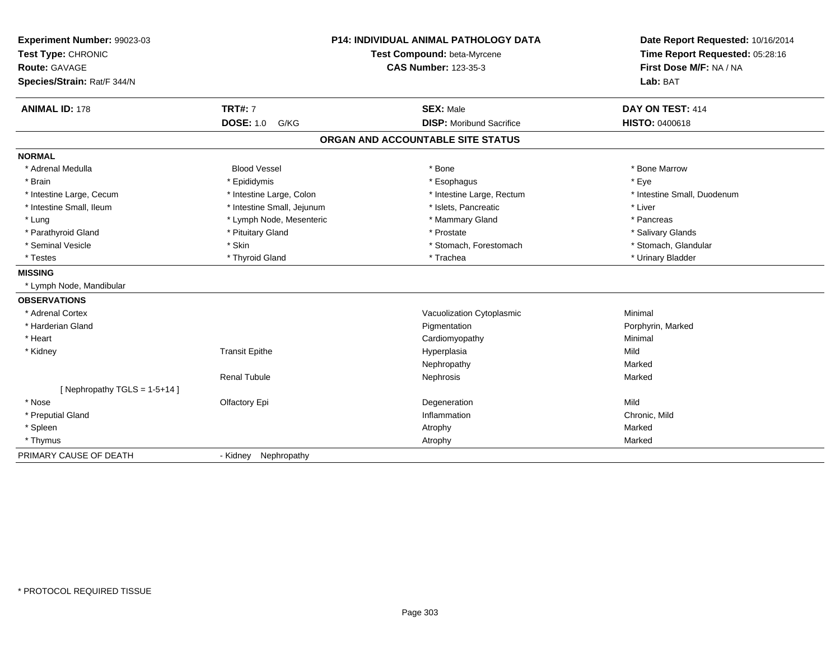| Experiment Number: 99023-03<br>Test Type: CHRONIC<br>Route: GAVAGE<br>Species/Strain: Rat/F 344/N | <b>P14: INDIVIDUAL ANIMAL PATHOLOGY DATA</b><br>Test Compound: beta-Myrcene<br><b>CAS Number: 123-35-3</b> |                                   | Date Report Requested: 10/16/2014<br>Time Report Requested: 05:28:16<br>First Dose M/F: NA / NA<br>Lab: BAT |
|---------------------------------------------------------------------------------------------------|------------------------------------------------------------------------------------------------------------|-----------------------------------|-------------------------------------------------------------------------------------------------------------|
| <b>ANIMAL ID: 178</b>                                                                             | <b>TRT#: 7</b>                                                                                             | <b>SEX: Male</b>                  | DAY ON TEST: 414                                                                                            |
|                                                                                                   | <b>DOSE: 1.0</b><br>G/KG                                                                                   | <b>DISP:</b> Moribund Sacrifice   | <b>HISTO: 0400618</b>                                                                                       |
|                                                                                                   |                                                                                                            | ORGAN AND ACCOUNTABLE SITE STATUS |                                                                                                             |
| <b>NORMAL</b>                                                                                     |                                                                                                            |                                   |                                                                                                             |
| * Adrenal Medulla                                                                                 | <b>Blood Vessel</b>                                                                                        | * Bone                            | * Bone Marrow                                                                                               |
| * Brain                                                                                           | * Epididymis                                                                                               | * Esophagus                       | * Eye                                                                                                       |
| * Intestine Large, Cecum                                                                          | * Intestine Large, Colon                                                                                   | * Intestine Large, Rectum         | * Intestine Small, Duodenum                                                                                 |
| * Intestine Small, Ileum                                                                          | * Intestine Small, Jejunum                                                                                 | * Islets, Pancreatic              | * Liver                                                                                                     |
| * Lung                                                                                            | * Lymph Node, Mesenteric                                                                                   | * Mammary Gland                   | * Pancreas                                                                                                  |
| * Parathyroid Gland                                                                               | * Pituitary Gland                                                                                          | * Prostate                        | * Salivary Glands                                                                                           |
| * Seminal Vesicle                                                                                 | * Skin                                                                                                     | * Stomach, Forestomach            | * Stomach, Glandular                                                                                        |
| * Testes                                                                                          | * Thyroid Gland                                                                                            | * Trachea                         | * Urinary Bladder                                                                                           |
| <b>MISSING</b>                                                                                    |                                                                                                            |                                   |                                                                                                             |
| * Lymph Node, Mandibular                                                                          |                                                                                                            |                                   |                                                                                                             |
| <b>OBSERVATIONS</b>                                                                               |                                                                                                            |                                   |                                                                                                             |
| * Adrenal Cortex                                                                                  |                                                                                                            | Vacuolization Cytoplasmic         | Minimal                                                                                                     |
| * Harderian Gland                                                                                 |                                                                                                            | Pigmentation                      | Porphyrin, Marked                                                                                           |
| * Heart                                                                                           |                                                                                                            | Cardiomyopathy                    | Minimal                                                                                                     |
| * Kidney                                                                                          | <b>Transit Epithe</b>                                                                                      | Hyperplasia                       | Mild                                                                                                        |
|                                                                                                   |                                                                                                            | Nephropathy                       | Marked                                                                                                      |
|                                                                                                   | <b>Renal Tubule</b>                                                                                        | Nephrosis                         | Marked                                                                                                      |
| [Nephropathy TGLS = 1-5+14]                                                                       |                                                                                                            |                                   |                                                                                                             |
| * Nose                                                                                            | Olfactory Epi                                                                                              | Degeneration                      | Mild                                                                                                        |
| * Preputial Gland                                                                                 |                                                                                                            | Inflammation                      | Chronic, Mild                                                                                               |
| * Spleen                                                                                          |                                                                                                            | Atrophy                           | Marked                                                                                                      |
| * Thymus                                                                                          |                                                                                                            | Atrophy                           | Marked                                                                                                      |
| PRIMARY CAUSE OF DEATH                                                                            | Nephropathy<br>- Kidney                                                                                    |                                   |                                                                                                             |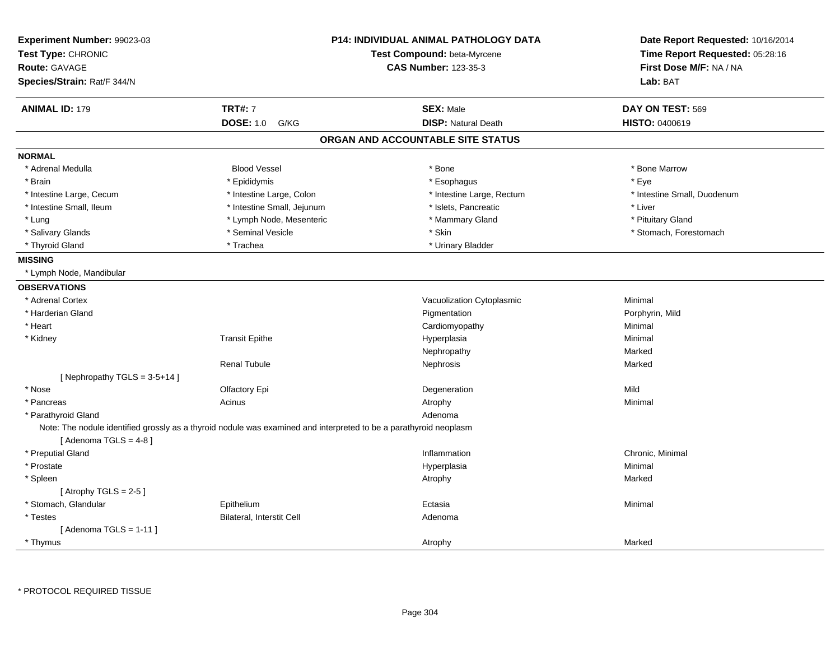| Experiment Number: 99023-03<br>Test Type: CHRONIC<br><b>Route: GAVAGE</b><br>Species/Strain: Rat/F 344/N |                                                                                                                   | <b>P14: INDIVIDUAL ANIMAL PATHOLOGY DATA</b><br>Test Compound: beta-Myrcene<br><b>CAS Number: 123-35-3</b> | Date Report Requested: 10/16/2014<br>Time Report Requested: 05:28:16<br>First Dose M/F: NA / NA<br>Lab: BAT |
|----------------------------------------------------------------------------------------------------------|-------------------------------------------------------------------------------------------------------------------|------------------------------------------------------------------------------------------------------------|-------------------------------------------------------------------------------------------------------------|
| <b>ANIMAL ID: 179</b>                                                                                    | <b>TRT#: 7</b>                                                                                                    | <b>SEX: Male</b>                                                                                           | DAY ON TEST: 569                                                                                            |
|                                                                                                          | <b>DOSE: 1.0</b><br>G/KG                                                                                          | <b>DISP: Natural Death</b>                                                                                 | HISTO: 0400619                                                                                              |
|                                                                                                          |                                                                                                                   | ORGAN AND ACCOUNTABLE SITE STATUS                                                                          |                                                                                                             |
| <b>NORMAL</b>                                                                                            |                                                                                                                   |                                                                                                            |                                                                                                             |
| * Adrenal Medulla                                                                                        | <b>Blood Vessel</b>                                                                                               | * Bone                                                                                                     | * Bone Marrow                                                                                               |
| * Brain                                                                                                  | * Epididymis                                                                                                      | * Esophagus                                                                                                | * Eye                                                                                                       |
| * Intestine Large, Cecum                                                                                 | * Intestine Large, Colon                                                                                          | * Intestine Large, Rectum                                                                                  | * Intestine Small, Duodenum                                                                                 |
| * Intestine Small, Ileum                                                                                 | * Intestine Small, Jejunum                                                                                        | * Islets, Pancreatic                                                                                       | * Liver                                                                                                     |
| * Lung                                                                                                   | * Lymph Node, Mesenteric                                                                                          | * Mammary Gland                                                                                            | * Pituitary Gland                                                                                           |
| * Salivary Glands                                                                                        | * Seminal Vesicle                                                                                                 | * Skin                                                                                                     | * Stomach, Forestomach                                                                                      |
| * Thyroid Gland                                                                                          | * Trachea                                                                                                         | * Urinary Bladder                                                                                          |                                                                                                             |
| <b>MISSING</b>                                                                                           |                                                                                                                   |                                                                                                            |                                                                                                             |
| * Lymph Node, Mandibular                                                                                 |                                                                                                                   |                                                                                                            |                                                                                                             |
| <b>OBSERVATIONS</b>                                                                                      |                                                                                                                   |                                                                                                            |                                                                                                             |
| * Adrenal Cortex                                                                                         |                                                                                                                   | Vacuolization Cytoplasmic                                                                                  | Minimal                                                                                                     |
| * Harderian Gland                                                                                        |                                                                                                                   | Pigmentation                                                                                               | Porphyrin, Mild                                                                                             |
| * Heart                                                                                                  |                                                                                                                   | Cardiomyopathy                                                                                             | Minimal                                                                                                     |
| * Kidney                                                                                                 | <b>Transit Epithe</b>                                                                                             | Hyperplasia                                                                                                | Minimal                                                                                                     |
|                                                                                                          |                                                                                                                   | Nephropathy                                                                                                | Marked                                                                                                      |
|                                                                                                          | <b>Renal Tubule</b>                                                                                               | Nephrosis                                                                                                  | Marked                                                                                                      |
| [Nephropathy TGLS = $3-5+14$ ]                                                                           |                                                                                                                   |                                                                                                            |                                                                                                             |
| * Nose                                                                                                   | Olfactory Epi                                                                                                     | Degeneration                                                                                               | Mild                                                                                                        |
| * Pancreas                                                                                               | Acinus                                                                                                            | Atrophy                                                                                                    | Minimal                                                                                                     |
| * Parathyroid Gland                                                                                      |                                                                                                                   | Adenoma                                                                                                    |                                                                                                             |
|                                                                                                          | Note: The nodule identified grossly as a thyroid nodule was examined and interpreted to be a parathyroid neoplasm |                                                                                                            |                                                                                                             |
| [Adenoma TGLS = $4-8$ ]<br>* Preputial Gland                                                             |                                                                                                                   |                                                                                                            | Chronic, Minimal                                                                                            |
| * Prostate                                                                                               |                                                                                                                   | Inflammation                                                                                               | Minimal                                                                                                     |
|                                                                                                          |                                                                                                                   | Hyperplasia                                                                                                |                                                                                                             |
| * Spleen<br>[ Atrophy TGLS = $2-5$ ]                                                                     |                                                                                                                   | Atrophy                                                                                                    | Marked                                                                                                      |
| * Stomach, Glandular                                                                                     | Epithelium                                                                                                        | Ectasia                                                                                                    | Minimal                                                                                                     |
| * Testes                                                                                                 | Bilateral, Interstit Cell                                                                                         | Adenoma                                                                                                    |                                                                                                             |
| [Adenoma TGLS = $1-11$ ]                                                                                 |                                                                                                                   |                                                                                                            |                                                                                                             |
| * Thymus                                                                                                 |                                                                                                                   | Atrophy                                                                                                    | Marked                                                                                                      |
|                                                                                                          |                                                                                                                   |                                                                                                            |                                                                                                             |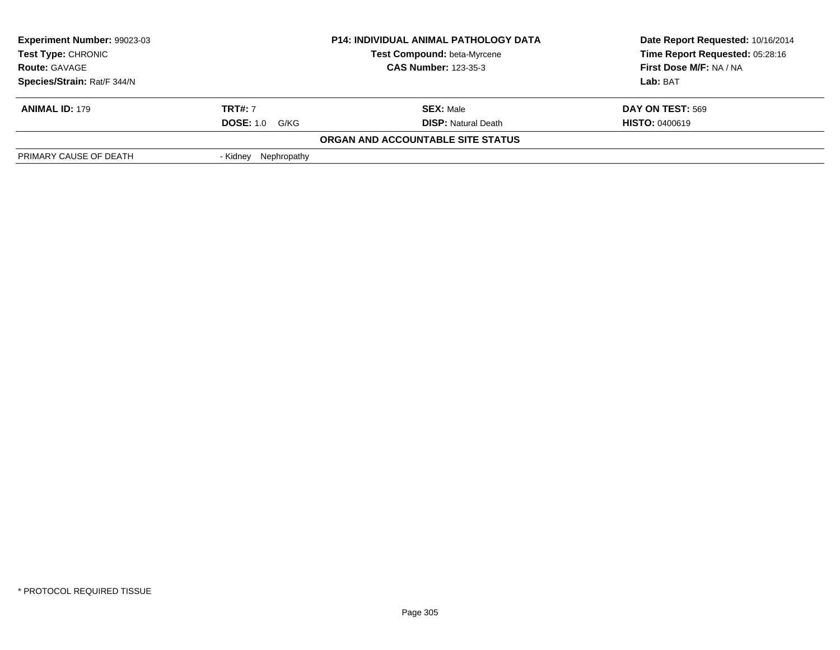| Experiment Number: 99023-03 |                       | <b>P14: INDIVIDUAL ANIMAL PATHOLOGY DATA</b> | Date Report Requested: 10/16/2014 |
|-----------------------------|-----------------------|----------------------------------------------|-----------------------------------|
| <b>Test Type: CHRONIC</b>   |                       | <b>Test Compound: beta-Myrcene</b>           | Time Report Requested: 05:28:16   |
| <b>Route: GAVAGE</b>        |                       | <b>CAS Number: 123-35-3</b>                  | First Dose M/F: NA / NA           |
| Species/Strain: Rat/F 344/N |                       |                                              | Lab: BAT                          |
| <b>ANIMAL ID: 179</b>       | <b>TRT#: 7</b>        | <b>SEX: Male</b>                             | DAY ON TEST: 569                  |
|                             | <b>DOSE: 1.0 G/KG</b> | <b>DISP:</b> Natural Death                   | <b>HISTO: 0400619</b>             |
|                             |                       | ORGAN AND ACCOUNTABLE SITE STATUS            |                                   |
| PRIMARY CAUSE OF DEATH      | - Kidney Nephropathy  |                                              |                                   |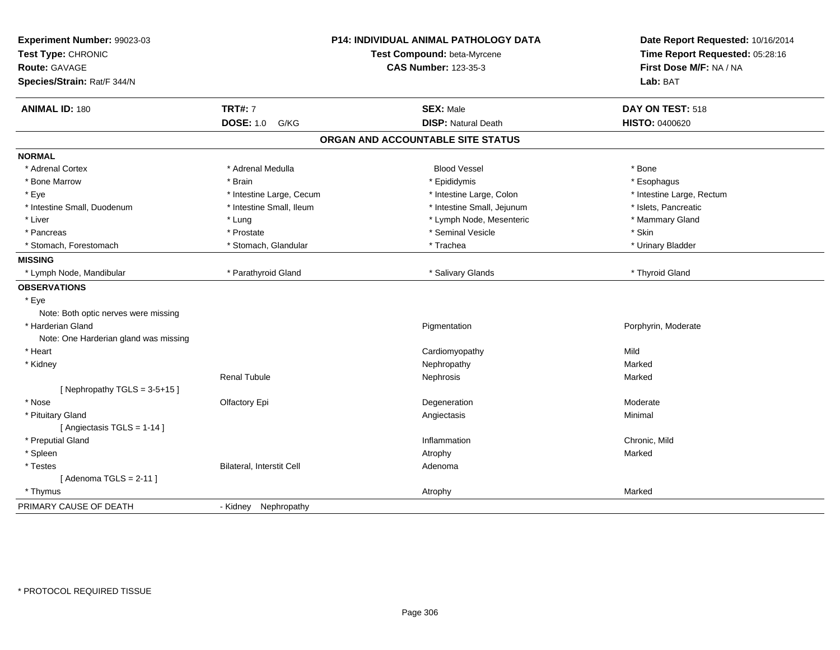| Experiment Number: 99023-03<br>Test Type: CHRONIC<br>Route: GAVAGE<br>Species/Strain: Rat/F 344/N | <b>P14: INDIVIDUAL ANIMAL PATHOLOGY DATA</b><br>Test Compound: beta-Myrcene<br><b>CAS Number: 123-35-3</b> |                                   | Date Report Requested: 10/16/2014<br>Time Report Requested: 05:28:16<br>First Dose M/F: NA / NA<br>Lab: BAT |
|---------------------------------------------------------------------------------------------------|------------------------------------------------------------------------------------------------------------|-----------------------------------|-------------------------------------------------------------------------------------------------------------|
| <b>ANIMAL ID: 180</b>                                                                             | <b>TRT#: 7</b>                                                                                             | <b>SEX: Male</b>                  | DAY ON TEST: 518                                                                                            |
|                                                                                                   | <b>DOSE: 1.0</b><br>G/KG                                                                                   | <b>DISP: Natural Death</b>        | HISTO: 0400620                                                                                              |
|                                                                                                   |                                                                                                            | ORGAN AND ACCOUNTABLE SITE STATUS |                                                                                                             |
| <b>NORMAL</b>                                                                                     |                                                                                                            |                                   |                                                                                                             |
| * Adrenal Cortex                                                                                  | * Adrenal Medulla                                                                                          | <b>Blood Vessel</b>               | * Bone                                                                                                      |
| * Bone Marrow                                                                                     | * Brain                                                                                                    | * Epididymis                      | * Esophagus                                                                                                 |
| * Eye                                                                                             | * Intestine Large, Cecum                                                                                   | * Intestine Large, Colon          | * Intestine Large, Rectum                                                                                   |
| * Intestine Small, Duodenum                                                                       | * Intestine Small, Ileum                                                                                   | * Intestine Small, Jejunum        | * Islets, Pancreatic                                                                                        |
| * Liver                                                                                           | * Lung                                                                                                     | * Lymph Node, Mesenteric          | * Mammary Gland                                                                                             |
| * Pancreas                                                                                        | * Prostate                                                                                                 | * Seminal Vesicle                 | * Skin                                                                                                      |
| * Stomach, Forestomach                                                                            | * Stomach, Glandular                                                                                       | * Trachea                         | * Urinary Bladder                                                                                           |
| <b>MISSING</b>                                                                                    |                                                                                                            |                                   |                                                                                                             |
| * Lymph Node, Mandibular                                                                          | * Parathyroid Gland                                                                                        | * Salivary Glands                 | * Thyroid Gland                                                                                             |
| <b>OBSERVATIONS</b>                                                                               |                                                                                                            |                                   |                                                                                                             |
| * Eye                                                                                             |                                                                                                            |                                   |                                                                                                             |
| Note: Both optic nerves were missing                                                              |                                                                                                            |                                   |                                                                                                             |
| * Harderian Gland                                                                                 |                                                                                                            | Pigmentation                      | Porphyrin, Moderate                                                                                         |
| Note: One Harderian gland was missing                                                             |                                                                                                            |                                   |                                                                                                             |
| * Heart                                                                                           |                                                                                                            | Cardiomyopathy                    | Mild                                                                                                        |
| * Kidney                                                                                          |                                                                                                            | Nephropathy                       | Marked                                                                                                      |
|                                                                                                   | <b>Renal Tubule</b>                                                                                        | Nephrosis                         | Marked                                                                                                      |
| [Nephropathy TGLS = $3-5+15$ ]                                                                    |                                                                                                            |                                   |                                                                                                             |
| * Nose                                                                                            | Olfactory Epi                                                                                              | Degeneration                      | Moderate                                                                                                    |
| * Pituitary Gland                                                                                 |                                                                                                            | Angiectasis                       | Minimal                                                                                                     |
| [Angiectasis TGLS = 1-14]                                                                         |                                                                                                            |                                   |                                                                                                             |
| * Preputial Gland                                                                                 |                                                                                                            | Inflammation                      | Chronic, Mild                                                                                               |
| * Spleen                                                                                          |                                                                                                            | Atrophy                           | Marked                                                                                                      |
| * Testes                                                                                          | Bilateral, Interstit Cell                                                                                  | Adenoma                           |                                                                                                             |
| [Adenoma TGLS = $2-11$ ]                                                                          |                                                                                                            |                                   |                                                                                                             |
| * Thymus                                                                                          |                                                                                                            | Atrophy                           | Marked                                                                                                      |
| PRIMARY CAUSE OF DEATH                                                                            | - Kidney Nephropathy                                                                                       |                                   |                                                                                                             |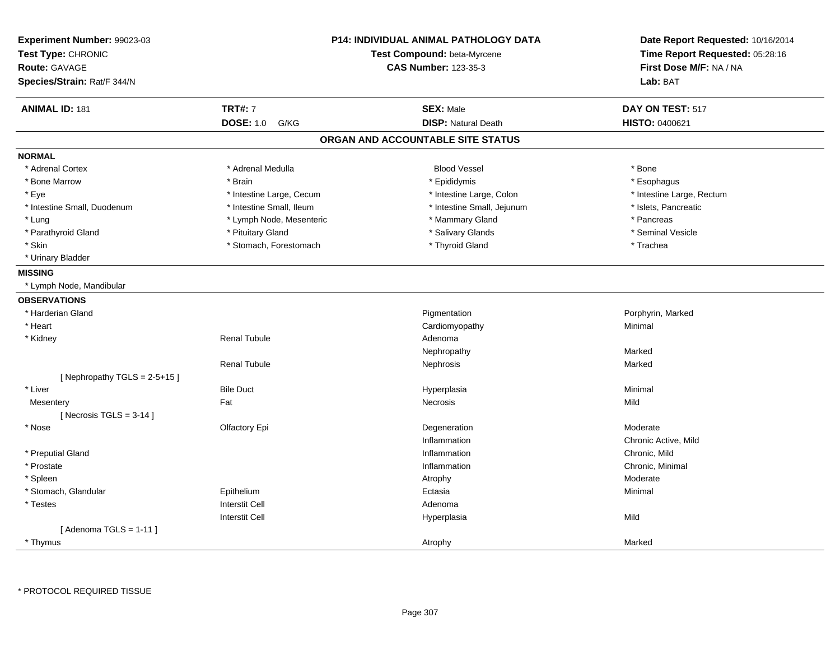| Experiment Number: 99023-03<br>Test Type: CHRONIC<br><b>Route: GAVAGE</b><br>Species/Strain: Rat/F 344/N | <b>P14: INDIVIDUAL ANIMAL PATHOLOGY DATA</b><br>Test Compound: beta-Myrcene<br><b>CAS Number: 123-35-3</b> |                                   | Date Report Requested: 10/16/2014<br>Time Report Requested: 05:28:16<br>First Dose M/F: NA / NA<br>Lab: BAT |
|----------------------------------------------------------------------------------------------------------|------------------------------------------------------------------------------------------------------------|-----------------------------------|-------------------------------------------------------------------------------------------------------------|
| <b>ANIMAL ID: 181</b>                                                                                    | <b>TRT#: 7</b>                                                                                             | <b>SEX: Male</b>                  | DAY ON TEST: 517                                                                                            |
|                                                                                                          | <b>DOSE: 1.0</b><br>G/KG                                                                                   | <b>DISP: Natural Death</b>        | <b>HISTO: 0400621</b>                                                                                       |
|                                                                                                          |                                                                                                            | ORGAN AND ACCOUNTABLE SITE STATUS |                                                                                                             |
| <b>NORMAL</b>                                                                                            |                                                                                                            |                                   |                                                                                                             |
| * Adrenal Cortex                                                                                         | * Adrenal Medulla                                                                                          | <b>Blood Vessel</b>               | * Bone                                                                                                      |
| * Bone Marrow                                                                                            | * Brain                                                                                                    | * Epididymis                      | * Esophagus                                                                                                 |
| * Eye                                                                                                    | * Intestine Large, Cecum                                                                                   | * Intestine Large, Colon          | * Intestine Large, Rectum                                                                                   |
| * Intestine Small, Duodenum                                                                              | * Intestine Small, Ileum                                                                                   | * Intestine Small, Jejunum        | * Islets, Pancreatic                                                                                        |
| * Lung                                                                                                   | * Lymph Node, Mesenteric                                                                                   | * Mammary Gland                   | * Pancreas                                                                                                  |
| * Parathyroid Gland                                                                                      | * Pituitary Gland                                                                                          | * Salivary Glands                 | * Seminal Vesicle                                                                                           |
| * Skin                                                                                                   | * Stomach, Forestomach                                                                                     | * Thyroid Gland                   | * Trachea                                                                                                   |
| * Urinary Bladder                                                                                        |                                                                                                            |                                   |                                                                                                             |
| <b>MISSING</b>                                                                                           |                                                                                                            |                                   |                                                                                                             |
| * Lymph Node, Mandibular                                                                                 |                                                                                                            |                                   |                                                                                                             |
| <b>OBSERVATIONS</b>                                                                                      |                                                                                                            |                                   |                                                                                                             |
| * Harderian Gland                                                                                        |                                                                                                            | Pigmentation                      | Porphyrin, Marked                                                                                           |
| * Heart                                                                                                  |                                                                                                            | Cardiomyopathy                    | Minimal                                                                                                     |
| * Kidney                                                                                                 | <b>Renal Tubule</b>                                                                                        | Adenoma                           |                                                                                                             |
|                                                                                                          |                                                                                                            | Nephropathy                       | Marked                                                                                                      |
|                                                                                                          | <b>Renal Tubule</b>                                                                                        | Nephrosis                         | Marked                                                                                                      |
| [Nephropathy TGLS = $2-5+15$ ]                                                                           |                                                                                                            |                                   |                                                                                                             |
| * Liver                                                                                                  | <b>Bile Duct</b>                                                                                           | Hyperplasia                       | Minimal                                                                                                     |
| Mesentery                                                                                                | Fat                                                                                                        | Necrosis                          | Mild                                                                                                        |
| [ Necrosis TGLS = $3-14$ ]                                                                               |                                                                                                            |                                   |                                                                                                             |
| * Nose                                                                                                   | Olfactory Epi                                                                                              | Degeneration                      | Moderate                                                                                                    |
|                                                                                                          |                                                                                                            | Inflammation                      | Chronic Active, Mild                                                                                        |
| * Preputial Gland                                                                                        |                                                                                                            | Inflammation                      | Chronic, Mild                                                                                               |
| * Prostate                                                                                               |                                                                                                            | Inflammation                      | Chronic, Minimal                                                                                            |
| * Spleen                                                                                                 |                                                                                                            | Atrophy                           | Moderate                                                                                                    |
| * Stomach, Glandular                                                                                     | Epithelium                                                                                                 | Ectasia                           | Minimal                                                                                                     |
| * Testes                                                                                                 | <b>Interstit Cell</b>                                                                                      | Adenoma                           |                                                                                                             |
|                                                                                                          | <b>Interstit Cell</b>                                                                                      | Hyperplasia                       | Mild                                                                                                        |
| [Adenoma TGLS = $1-11$ ]                                                                                 |                                                                                                            |                                   |                                                                                                             |
| * Thymus                                                                                                 |                                                                                                            | Atrophy                           | Marked                                                                                                      |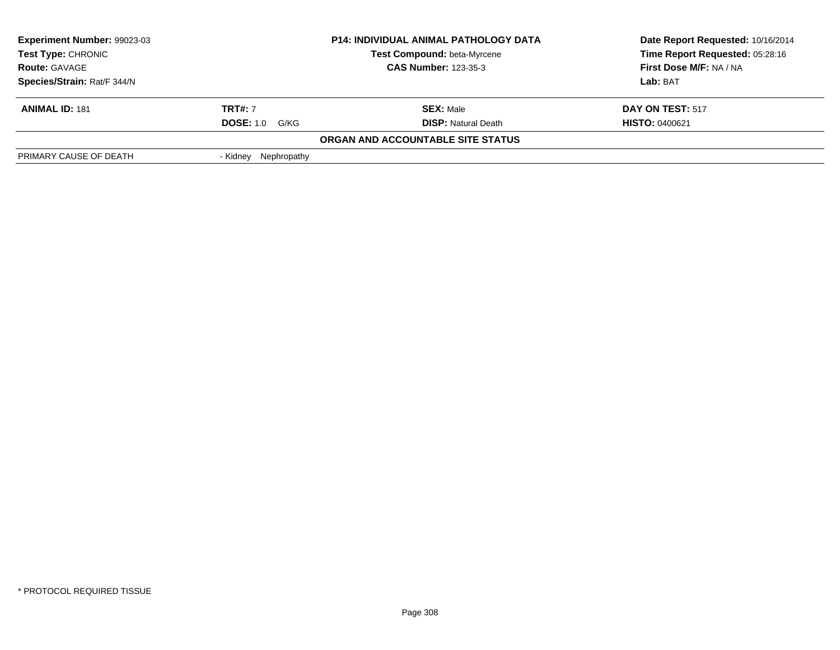| <b>Experiment Number: 99023-03</b> |                             | <b>P14: INDIVIDUAL ANIMAL PATHOLOGY DATA</b> | Date Report Requested: 10/16/2014 |
|------------------------------------|-----------------------------|----------------------------------------------|-----------------------------------|
| Test Type: CHRONIC                 |                             | <b>Test Compound: beta-Myrcene</b>           | Time Report Requested: 05:28:16   |
| <b>Route: GAVAGE</b>               | <b>CAS Number: 123-35-3</b> |                                              | First Dose M/F: NA / NA           |
| Species/Strain: Rat/F 344/N        |                             |                                              | Lab: BAT                          |
| <b>ANIMAL ID: 181</b>              | <b>TRT#:</b> 7              | <b>SEX: Male</b>                             | DAY ON TEST: 517                  |
|                                    | <b>DOSE: 1.0</b><br>G/KG    | <b>DISP:</b> Natural Death                   | <b>HISTO: 0400621</b>             |
|                                    |                             | ORGAN AND ACCOUNTABLE SITE STATUS            |                                   |
| PRIMARY CAUSE OF DEATH             | Nephropathy<br>- Kidnev     |                                              |                                   |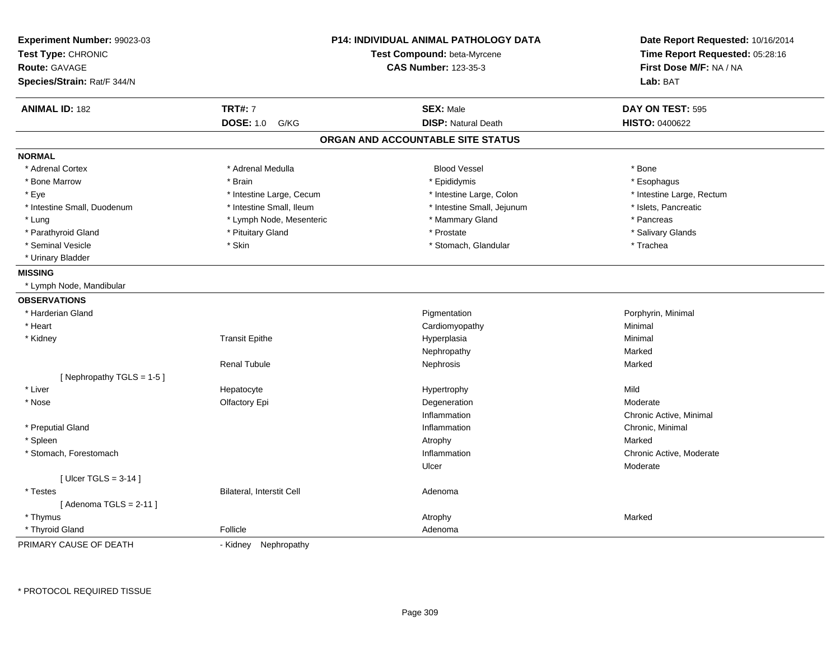| Experiment Number: 99023-03<br>Test Type: CHRONIC<br><b>Route: GAVAGE</b><br>Species/Strain: Rat/F 344/N |                           | <b>P14: INDIVIDUAL ANIMAL PATHOLOGY DATA</b><br>Test Compound: beta-Myrcene<br><b>CAS Number: 123-35-3</b> | Date Report Requested: 10/16/2014<br>Time Report Requested: 05:28:16<br>First Dose M/F: NA / NA<br>Lab: BAT |
|----------------------------------------------------------------------------------------------------------|---------------------------|------------------------------------------------------------------------------------------------------------|-------------------------------------------------------------------------------------------------------------|
| <b>ANIMAL ID: 182</b>                                                                                    | <b>TRT#: 7</b>            | <b>SEX: Male</b>                                                                                           | DAY ON TEST: 595                                                                                            |
|                                                                                                          | <b>DOSE: 1.0</b><br>G/KG  | <b>DISP: Natural Death</b>                                                                                 | <b>HISTO: 0400622</b>                                                                                       |
|                                                                                                          |                           | ORGAN AND ACCOUNTABLE SITE STATUS                                                                          |                                                                                                             |
| <b>NORMAL</b>                                                                                            |                           |                                                                                                            |                                                                                                             |
| * Adrenal Cortex                                                                                         | * Adrenal Medulla         | <b>Blood Vessel</b>                                                                                        | * Bone                                                                                                      |
| * Bone Marrow                                                                                            | * Brain                   | * Epididymis                                                                                               | * Esophagus                                                                                                 |
| * Eye                                                                                                    | * Intestine Large, Cecum  | * Intestine Large, Colon                                                                                   | * Intestine Large, Rectum                                                                                   |
| * Intestine Small, Duodenum                                                                              | * Intestine Small, Ileum  | * Intestine Small, Jejunum                                                                                 | * Islets, Pancreatic                                                                                        |
| * Lung                                                                                                   | * Lymph Node, Mesenteric  | * Mammary Gland                                                                                            | * Pancreas                                                                                                  |
| * Parathyroid Gland                                                                                      | * Pituitary Gland         | * Prostate                                                                                                 | * Salivary Glands                                                                                           |
| * Seminal Vesicle                                                                                        | * Skin                    | * Stomach, Glandular                                                                                       | * Trachea                                                                                                   |
| * Urinary Bladder                                                                                        |                           |                                                                                                            |                                                                                                             |
| <b>MISSING</b>                                                                                           |                           |                                                                                                            |                                                                                                             |
| * Lymph Node, Mandibular                                                                                 |                           |                                                                                                            |                                                                                                             |
| <b>OBSERVATIONS</b>                                                                                      |                           |                                                                                                            |                                                                                                             |
| * Harderian Gland                                                                                        |                           | Pigmentation                                                                                               | Porphyrin, Minimal                                                                                          |
| * Heart                                                                                                  |                           | Cardiomyopathy                                                                                             | Minimal                                                                                                     |
| * Kidney                                                                                                 | <b>Transit Epithe</b>     | Hyperplasia                                                                                                | Minimal                                                                                                     |
|                                                                                                          |                           | Nephropathy                                                                                                | Marked                                                                                                      |
|                                                                                                          | <b>Renal Tubule</b>       | Nephrosis                                                                                                  | Marked                                                                                                      |
| [ Nephropathy TGLS = $1-5$ ]                                                                             |                           |                                                                                                            |                                                                                                             |
| * Liver                                                                                                  | Hepatocyte                | Hypertrophy                                                                                                | Mild                                                                                                        |
| * Nose                                                                                                   | Olfactory Epi             | Degeneration                                                                                               | Moderate                                                                                                    |
|                                                                                                          |                           | Inflammation                                                                                               | Chronic Active, Minimal                                                                                     |
| * Preputial Gland                                                                                        |                           | Inflammation                                                                                               | Chronic, Minimal                                                                                            |
| * Spleen                                                                                                 |                           | Atrophy                                                                                                    | Marked                                                                                                      |
| * Stomach, Forestomach                                                                                   |                           | Inflammation                                                                                               | Chronic Active, Moderate                                                                                    |
|                                                                                                          |                           | Ulcer                                                                                                      | Moderate                                                                                                    |
| [ $Ulcer TGLS = 3-14$ ]                                                                                  |                           |                                                                                                            |                                                                                                             |
| * Testes                                                                                                 | Bilateral, Interstit Cell | Adenoma                                                                                                    |                                                                                                             |
| [Adenoma TGLS = $2-11$ ]                                                                                 |                           |                                                                                                            |                                                                                                             |
| * Thymus                                                                                                 |                           | Atrophy                                                                                                    | Marked                                                                                                      |
| * Thyroid Gland                                                                                          | Follicle                  | Adenoma                                                                                                    |                                                                                                             |
| PRIMARY CAUSE OF DEATH                                                                                   | Nephropathy<br>- Kidney   |                                                                                                            |                                                                                                             |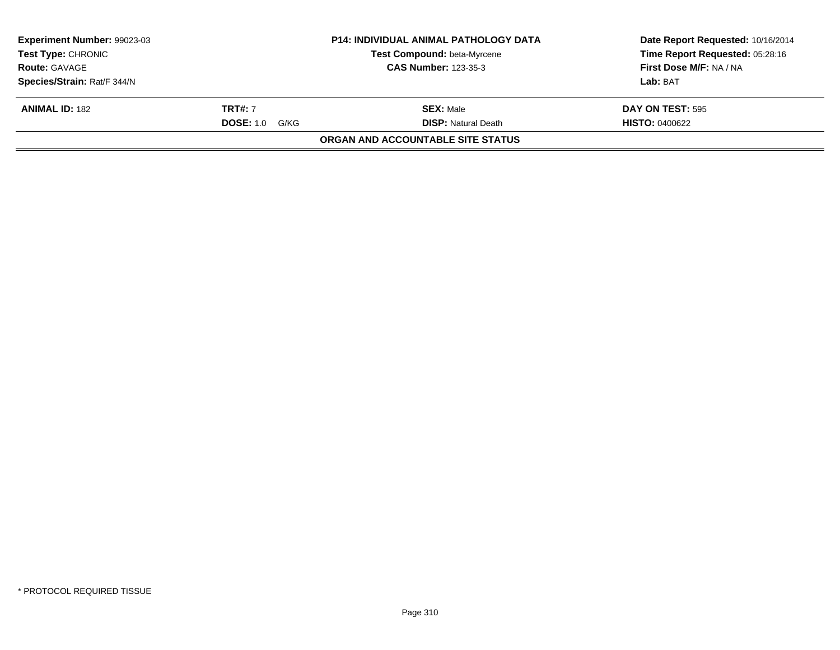| <b>Experiment Number: 99023-03</b><br><b>Test Type: CHRONIC</b> |                       | <b>P14: INDIVIDUAL ANIMAL PATHOLOGY DATA</b><br>Test Compound: beta-Myrcene | Date Report Requested: 10/16/2014<br>Time Report Requested: 05:28:16 |
|-----------------------------------------------------------------|-----------------------|-----------------------------------------------------------------------------|----------------------------------------------------------------------|
| <b>Route: GAVAGE</b>                                            |                       | <b>CAS Number: 123-35-3</b>                                                 | First Dose M/F: NA / NA                                              |
| Species/Strain: Rat/F 344/N                                     |                       |                                                                             | Lab: BAT                                                             |
| <b>ANIMAL ID: 182</b>                                           | <b>TRT#:</b> 7        | <b>SEX: Male</b>                                                            | DAY ON TEST: 595                                                     |
|                                                                 | <b>DOSE:</b> 1.0 G/KG | <b>DISP:</b> Natural Death                                                  | <b>HISTO: 0400622</b>                                                |
|                                                                 |                       | <b>ORGAN AND ACCOUNTABLE SITE STATUS</b>                                    |                                                                      |
|                                                                 |                       |                                                                             |                                                                      |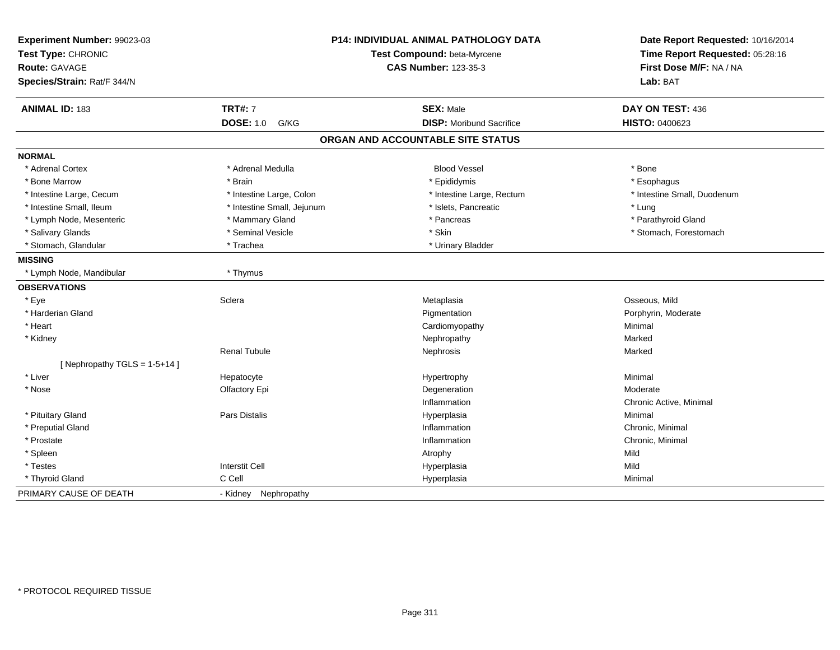| Experiment Number: 99023-03<br>Test Type: CHRONIC<br><b>Route: GAVAGE</b><br>Species/Strain: Rat/F 344/N |                            | P14: INDIVIDUAL ANIMAL PATHOLOGY DATA<br>Test Compound: beta-Myrcene<br><b>CAS Number: 123-35-3</b> | Date Report Requested: 10/16/2014<br>Time Report Requested: 05:28:16<br>First Dose M/F: NA / NA<br>Lab: BAT |
|----------------------------------------------------------------------------------------------------------|----------------------------|-----------------------------------------------------------------------------------------------------|-------------------------------------------------------------------------------------------------------------|
| ANIMAL ID: 183                                                                                           | <b>TRT#: 7</b>             | <b>SEX: Male</b>                                                                                    | DAY ON TEST: 436                                                                                            |
|                                                                                                          | <b>DOSE: 1.0</b><br>G/KG   | <b>DISP:</b> Moribund Sacrifice                                                                     | HISTO: 0400623                                                                                              |
|                                                                                                          |                            | ORGAN AND ACCOUNTABLE SITE STATUS                                                                   |                                                                                                             |
| <b>NORMAL</b>                                                                                            |                            |                                                                                                     |                                                                                                             |
| * Adrenal Cortex                                                                                         | * Adrenal Medulla          | <b>Blood Vessel</b>                                                                                 | * Bone                                                                                                      |
| * Bone Marrow                                                                                            | * Brain                    | * Epididymis                                                                                        | * Esophagus                                                                                                 |
| * Intestine Large, Cecum                                                                                 | * Intestine Large, Colon   | * Intestine Large, Rectum                                                                           | * Intestine Small, Duodenum                                                                                 |
| * Intestine Small, Ileum                                                                                 | * Intestine Small, Jejunum | * Islets, Pancreatic                                                                                | * Lung                                                                                                      |
| * Lymph Node, Mesenteric                                                                                 | * Mammary Gland            | * Pancreas                                                                                          | * Parathyroid Gland                                                                                         |
| * Salivary Glands                                                                                        | * Seminal Vesicle          | * Skin                                                                                              | * Stomach, Forestomach                                                                                      |
| * Stomach, Glandular                                                                                     | * Trachea                  | * Urinary Bladder                                                                                   |                                                                                                             |
| <b>MISSING</b>                                                                                           |                            |                                                                                                     |                                                                                                             |
| * Lymph Node, Mandibular                                                                                 | * Thymus                   |                                                                                                     |                                                                                                             |
| <b>OBSERVATIONS</b>                                                                                      |                            |                                                                                                     |                                                                                                             |
| * Eye                                                                                                    | Sclera                     | Metaplasia                                                                                          | Osseous, Mild                                                                                               |
| * Harderian Gland                                                                                        |                            | Pigmentation                                                                                        | Porphyrin, Moderate                                                                                         |
| * Heart                                                                                                  |                            | Cardiomyopathy                                                                                      | Minimal                                                                                                     |
| * Kidney                                                                                                 |                            | Nephropathy                                                                                         | Marked                                                                                                      |
|                                                                                                          | <b>Renal Tubule</b>        | Nephrosis                                                                                           | Marked                                                                                                      |
| [Nephropathy TGLS = $1-5+14$ ]                                                                           |                            |                                                                                                     |                                                                                                             |
| * Liver                                                                                                  | Hepatocyte                 | Hypertrophy                                                                                         | Minimal                                                                                                     |
| * Nose                                                                                                   | Olfactory Epi              | Degeneration                                                                                        | Moderate                                                                                                    |
|                                                                                                          |                            | Inflammation                                                                                        | Chronic Active, Minimal                                                                                     |
| * Pituitary Gland                                                                                        | Pars Distalis              | Hyperplasia                                                                                         | Minimal                                                                                                     |
| * Preputial Gland                                                                                        |                            | Inflammation                                                                                        | Chronic, Minimal                                                                                            |
| * Prostate                                                                                               |                            | Inflammation                                                                                        | Chronic, Minimal                                                                                            |
| * Spleen                                                                                                 |                            | Atrophy                                                                                             | Mild                                                                                                        |
| * Testes                                                                                                 | <b>Interstit Cell</b>      | Hyperplasia                                                                                         | Mild                                                                                                        |
| * Thyroid Gland                                                                                          | C Cell                     | Hyperplasia                                                                                         | Minimal                                                                                                     |
| PRIMARY CAUSE OF DEATH                                                                                   | - Kidney Nephropathy       |                                                                                                     |                                                                                                             |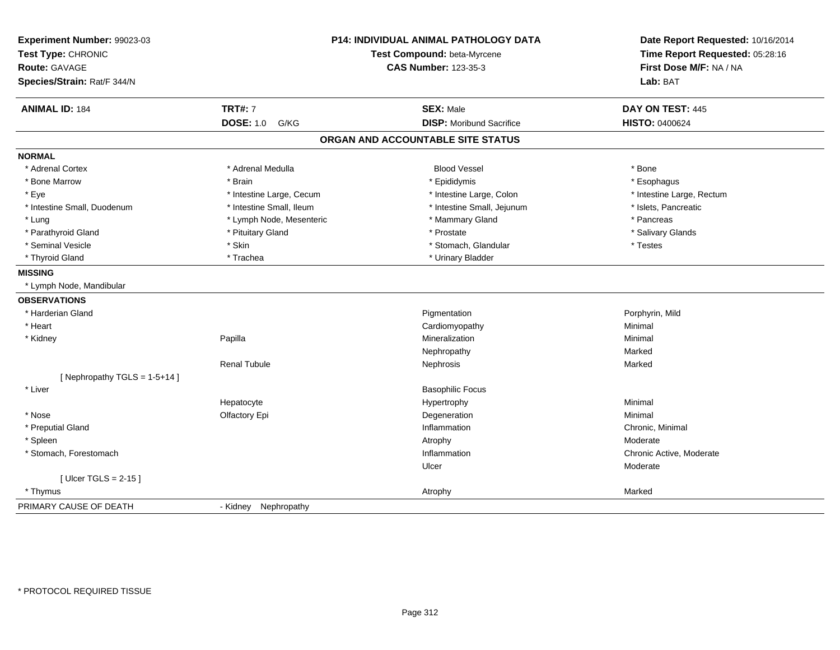| Experiment Number: 99023-03<br>Test Type: CHRONIC<br>Route: GAVAGE<br>Species/Strain: Rat/F 344/N | <b>P14: INDIVIDUAL ANIMAL PATHOLOGY DATA</b><br>Test Compound: beta-Myrcene<br><b>CAS Number: 123-35-3</b> |                                   | Date Report Requested: 10/16/2014<br>Time Report Requested: 05:28:16<br>First Dose M/F: NA / NA<br>Lab: BAT |
|---------------------------------------------------------------------------------------------------|------------------------------------------------------------------------------------------------------------|-----------------------------------|-------------------------------------------------------------------------------------------------------------|
| <b>ANIMAL ID: 184</b>                                                                             | <b>TRT#: 7</b>                                                                                             | <b>SEX: Male</b>                  | DAY ON TEST: 445                                                                                            |
|                                                                                                   | <b>DOSE: 1.0</b><br>G/KG                                                                                   | <b>DISP: Moribund Sacrifice</b>   | <b>HISTO: 0400624</b>                                                                                       |
|                                                                                                   |                                                                                                            | ORGAN AND ACCOUNTABLE SITE STATUS |                                                                                                             |
| <b>NORMAL</b>                                                                                     |                                                                                                            |                                   |                                                                                                             |
| * Adrenal Cortex                                                                                  | * Adrenal Medulla                                                                                          | <b>Blood Vessel</b>               | * Bone                                                                                                      |
| * Bone Marrow                                                                                     | * Brain                                                                                                    | * Epididymis                      | * Esophagus                                                                                                 |
| * Eye                                                                                             | * Intestine Large, Cecum                                                                                   | * Intestine Large, Colon          | * Intestine Large, Rectum                                                                                   |
| * Intestine Small, Duodenum                                                                       | * Intestine Small, Ileum                                                                                   | * Intestine Small, Jejunum        | * Islets, Pancreatic                                                                                        |
| * Lung                                                                                            | * Lymph Node, Mesenteric                                                                                   | * Mammary Gland                   | * Pancreas                                                                                                  |
| * Parathyroid Gland                                                                               | * Pituitary Gland                                                                                          | * Prostate                        | * Salivary Glands                                                                                           |
| * Seminal Vesicle                                                                                 | * Skin                                                                                                     | * Stomach, Glandular              | * Testes                                                                                                    |
| * Thyroid Gland                                                                                   | * Trachea                                                                                                  | * Urinary Bladder                 |                                                                                                             |
| <b>MISSING</b>                                                                                    |                                                                                                            |                                   |                                                                                                             |
| * Lymph Node, Mandibular                                                                          |                                                                                                            |                                   |                                                                                                             |
| <b>OBSERVATIONS</b>                                                                               |                                                                                                            |                                   |                                                                                                             |
| * Harderian Gland                                                                                 |                                                                                                            | Pigmentation                      | Porphyrin, Mild                                                                                             |
| * Heart                                                                                           |                                                                                                            | Cardiomyopathy                    | Minimal                                                                                                     |
| * Kidney                                                                                          | Papilla                                                                                                    | Mineralization                    | Minimal                                                                                                     |
|                                                                                                   |                                                                                                            | Nephropathy                       | Marked                                                                                                      |
|                                                                                                   | <b>Renal Tubule</b>                                                                                        | Nephrosis                         | Marked                                                                                                      |
| [Nephropathy TGLS = $1-5+14$ ]                                                                    |                                                                                                            |                                   |                                                                                                             |
| * Liver                                                                                           |                                                                                                            | <b>Basophilic Focus</b>           |                                                                                                             |
|                                                                                                   | Hepatocyte                                                                                                 | Hypertrophy                       | Minimal                                                                                                     |
| * Nose                                                                                            | Olfactory Epi                                                                                              | Degeneration                      | Minimal                                                                                                     |
| * Preputial Gland                                                                                 |                                                                                                            | Inflammation                      | Chronic, Minimal                                                                                            |
| * Spleen                                                                                          |                                                                                                            | Atrophy                           | Moderate                                                                                                    |
| * Stomach, Forestomach                                                                            |                                                                                                            | Inflammation                      | Chronic Active, Moderate                                                                                    |
|                                                                                                   |                                                                                                            | Ulcer                             | Moderate                                                                                                    |
| [Ulcer TGLS = $2-15$ ]                                                                            |                                                                                                            |                                   |                                                                                                             |
| * Thymus                                                                                          |                                                                                                            | Atrophy                           | Marked                                                                                                      |
| PRIMARY CAUSE OF DEATH                                                                            | - Kidney Nephropathy                                                                                       |                                   |                                                                                                             |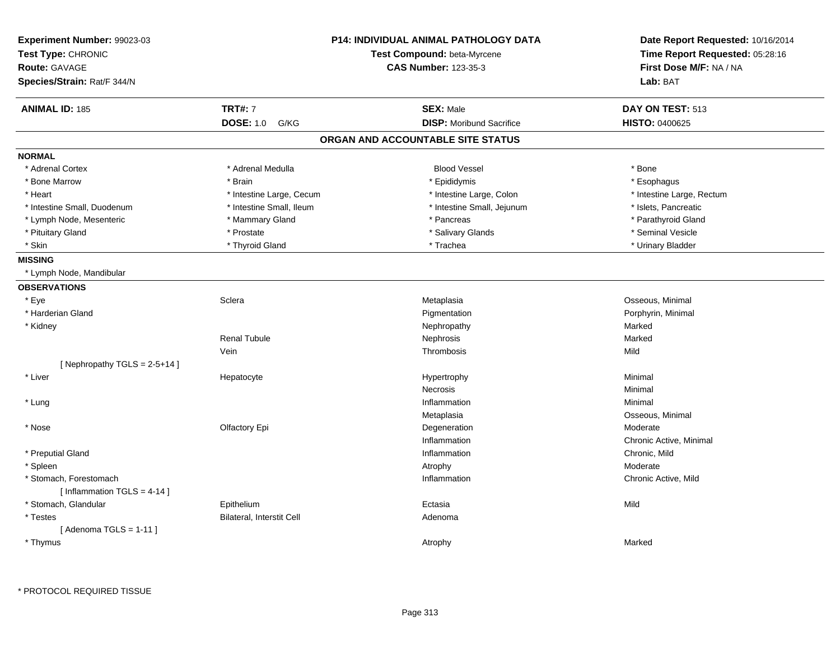| <b>Experiment Number: 99023-03</b><br>Test Type: CHRONIC<br><b>Route: GAVAGE</b><br>Species/Strain: Rat/F 344/N |                           | <b>P14: INDIVIDUAL ANIMAL PATHOLOGY DATA</b><br>Test Compound: beta-Myrcene<br><b>CAS Number: 123-35-3</b> | Date Report Requested: 10/16/2014<br>Time Report Requested: 05:28:16<br>First Dose M/F: NA / NA<br>Lab: BAT |
|-----------------------------------------------------------------------------------------------------------------|---------------------------|------------------------------------------------------------------------------------------------------------|-------------------------------------------------------------------------------------------------------------|
| <b>ANIMAL ID: 185</b>                                                                                           | <b>TRT#: 7</b>            | <b>SEX: Male</b>                                                                                           | DAY ON TEST: 513                                                                                            |
|                                                                                                                 | <b>DOSE: 1.0</b><br>G/KG  | <b>DISP:</b> Moribund Sacrifice                                                                            | <b>HISTO: 0400625</b>                                                                                       |
|                                                                                                                 |                           | ORGAN AND ACCOUNTABLE SITE STATUS                                                                          |                                                                                                             |
| <b>NORMAL</b>                                                                                                   |                           |                                                                                                            |                                                                                                             |
| * Adrenal Cortex                                                                                                | * Adrenal Medulla         | <b>Blood Vessel</b>                                                                                        | * Bone                                                                                                      |
| * Bone Marrow                                                                                                   | * Brain                   | * Epididymis                                                                                               | * Esophagus                                                                                                 |
| * Heart                                                                                                         | * Intestine Large, Cecum  | * Intestine Large, Colon                                                                                   | * Intestine Large, Rectum                                                                                   |
| * Intestine Small, Duodenum                                                                                     | * Intestine Small, Ileum  | * Intestine Small, Jejunum                                                                                 | * Islets, Pancreatic                                                                                        |
| * Lymph Node, Mesenteric                                                                                        | * Mammary Gland           | * Pancreas                                                                                                 | * Parathyroid Gland                                                                                         |
| * Pituitary Gland                                                                                               | * Prostate                | * Salivary Glands                                                                                          | * Seminal Vesicle                                                                                           |
| * Skin                                                                                                          | * Thyroid Gland           | * Trachea                                                                                                  | * Urinary Bladder                                                                                           |
| <b>MISSING</b>                                                                                                  |                           |                                                                                                            |                                                                                                             |
| * Lymph Node, Mandibular                                                                                        |                           |                                                                                                            |                                                                                                             |
| <b>OBSERVATIONS</b>                                                                                             |                           |                                                                                                            |                                                                                                             |
| * Eye                                                                                                           | Sclera                    | Metaplasia                                                                                                 | Osseous, Minimal                                                                                            |
| * Harderian Gland                                                                                               |                           | Pigmentation                                                                                               | Porphyrin, Minimal                                                                                          |
| * Kidney                                                                                                        |                           | Nephropathy                                                                                                | Marked                                                                                                      |
|                                                                                                                 | <b>Renal Tubule</b>       | Nephrosis                                                                                                  | Marked                                                                                                      |
|                                                                                                                 | Vein                      | Thrombosis                                                                                                 | Mild                                                                                                        |
| [Nephropathy TGLS = $2-5+14$ ]                                                                                  |                           |                                                                                                            |                                                                                                             |
| * Liver                                                                                                         | Hepatocyte                | Hypertrophy                                                                                                | Minimal                                                                                                     |
|                                                                                                                 |                           | <b>Necrosis</b>                                                                                            | Minimal                                                                                                     |
| * Lung                                                                                                          |                           | Inflammation                                                                                               | Minimal                                                                                                     |
|                                                                                                                 |                           | Metaplasia                                                                                                 | Osseous, Minimal                                                                                            |
| * Nose                                                                                                          | Olfactory Epi             | Degeneration                                                                                               | Moderate                                                                                                    |
|                                                                                                                 |                           | Inflammation                                                                                               | Chronic Active, Minimal                                                                                     |
| * Preputial Gland                                                                                               |                           | Inflammation                                                                                               | Chronic, Mild                                                                                               |
| * Spleen                                                                                                        |                           | Atrophy                                                                                                    | Moderate                                                                                                    |
| * Stomach, Forestomach                                                                                          |                           | Inflammation                                                                                               | Chronic Active, Mild                                                                                        |
| [Inflammation TGLS = $4-14$ ]                                                                                   |                           |                                                                                                            |                                                                                                             |
| * Stomach, Glandular                                                                                            | Epithelium                | Ectasia                                                                                                    | Mild                                                                                                        |
| * Testes                                                                                                        | Bilateral, Interstit Cell | Adenoma                                                                                                    |                                                                                                             |
| [Adenoma TGLS = $1-11$ ]                                                                                        |                           |                                                                                                            |                                                                                                             |
| * Thymus                                                                                                        |                           | Atrophy                                                                                                    | Marked                                                                                                      |
|                                                                                                                 |                           |                                                                                                            |                                                                                                             |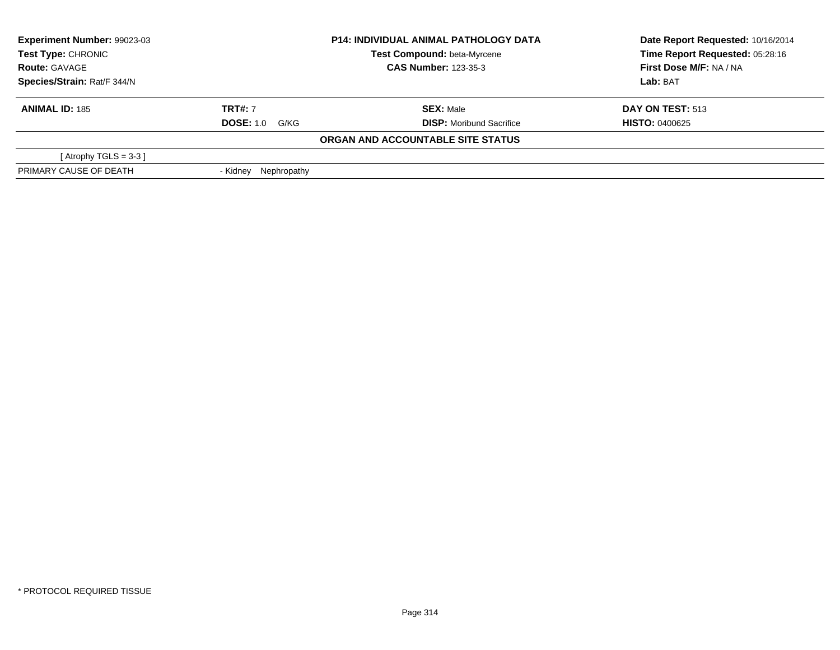| Experiment Number: 99023-03<br><b>Test Type: CHRONIC</b><br><b>Route: GAVAGE</b> |                         | <b>P14: INDIVIDUAL ANIMAL PATHOLOGY DATA</b> | Date Report Requested: 10/16/2014 |
|----------------------------------------------------------------------------------|-------------------------|----------------------------------------------|-----------------------------------|
|                                                                                  |                         | <b>Test Compound: beta-Myrcene</b>           | Time Report Requested: 05:28:16   |
|                                                                                  |                         | <b>CAS Number: 123-35-3</b>                  | First Dose M/F: NA / NA           |
| Species/Strain: Rat/F 344/N                                                      |                         |                                              | Lab: BAT                          |
| <b>ANIMAL ID: 185</b>                                                            | <b>TRT#: 7</b>          | <b>SEX: Male</b>                             | <b>DAY ON TEST: 513</b>           |
|                                                                                  | <b>DOSE: 1.0 G/KG</b>   | <b>DISP:</b> Moribund Sacrifice              | <b>HISTO: 0400625</b>             |
|                                                                                  |                         | ORGAN AND ACCOUNTABLE SITE STATUS            |                                   |
| [Atrophy TGLS = $3-3$ ]                                                          |                         |                                              |                                   |
| PRIMARY CAUSE OF DEATH                                                           | Nephropathy<br>- Kidnev |                                              |                                   |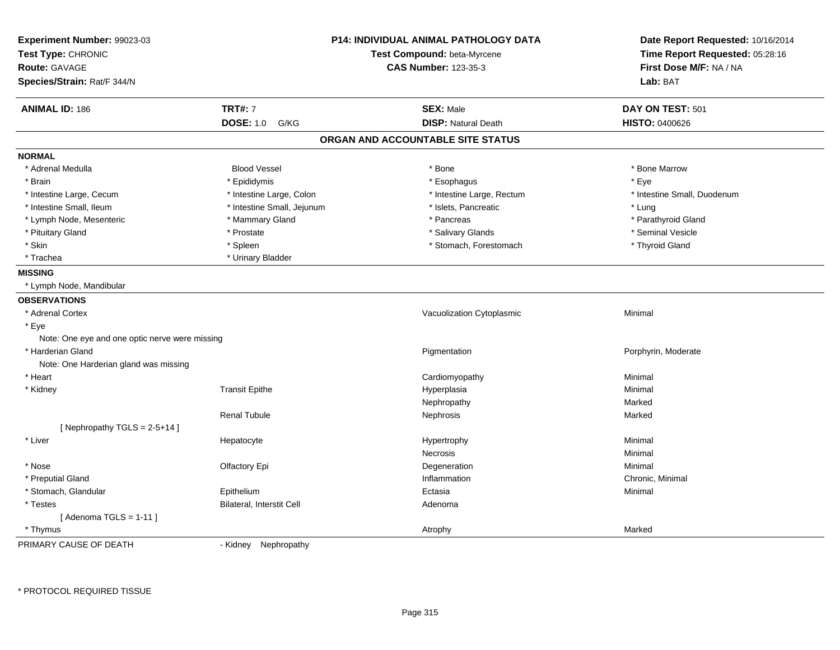| Experiment Number: 99023-03                    |                            | <b>P14: INDIVIDUAL ANIMAL PATHOLOGY DATA</b> | Date Report Requested: 10/16/2014 |
|------------------------------------------------|----------------------------|----------------------------------------------|-----------------------------------|
| Test Type: CHRONIC                             |                            | Test Compound: beta-Myrcene                  | Time Report Requested: 05:28:16   |
| <b>Route: GAVAGE</b>                           |                            | <b>CAS Number: 123-35-3</b>                  | First Dose M/F: NA / NA           |
| Species/Strain: Rat/F 344/N                    |                            |                                              | Lab: BAT                          |
| <b>ANIMAL ID: 186</b>                          | <b>TRT#: 7</b>             | <b>SEX: Male</b>                             | DAY ON TEST: 501                  |
|                                                | <b>DOSE: 1.0</b><br>G/KG   | <b>DISP: Natural Death</b>                   | HISTO: 0400626                    |
|                                                |                            | ORGAN AND ACCOUNTABLE SITE STATUS            |                                   |
| <b>NORMAL</b>                                  |                            |                                              |                                   |
| * Adrenal Medulla                              | <b>Blood Vessel</b>        | * Bone                                       | * Bone Marrow                     |
| * Brain                                        | * Epididymis               | * Esophagus                                  | * Eye                             |
| * Intestine Large, Cecum                       | * Intestine Large, Colon   | * Intestine Large, Rectum                    | * Intestine Small, Duodenum       |
| * Intestine Small, Ileum                       | * Intestine Small, Jejunum | * Islets, Pancreatic                         | * Lung                            |
| * Lymph Node, Mesenteric                       | * Mammary Gland            | * Pancreas                                   | * Parathyroid Gland               |
| * Pituitary Gland                              | * Prostate                 | * Salivary Glands                            | * Seminal Vesicle                 |
| * Skin                                         | * Spleen                   | * Stomach, Forestomach                       | * Thyroid Gland                   |
| * Trachea                                      | * Urinary Bladder          |                                              |                                   |
| <b>MISSING</b>                                 |                            |                                              |                                   |
| * Lymph Node, Mandibular                       |                            |                                              |                                   |
| <b>OBSERVATIONS</b>                            |                            |                                              |                                   |
| * Adrenal Cortex                               |                            | Vacuolization Cytoplasmic                    | Minimal                           |
| $*$ Eye                                        |                            |                                              |                                   |
| Note: One eye and one optic nerve were missing |                            |                                              |                                   |
| * Harderian Gland                              |                            | Pigmentation                                 | Porphyrin, Moderate               |
| Note: One Harderian gland was missing          |                            |                                              |                                   |
| * Heart                                        |                            | Cardiomyopathy                               | Minimal                           |
| * Kidney                                       | <b>Transit Epithe</b>      | Hyperplasia                                  | Minimal                           |
|                                                |                            | Nephropathy                                  | Marked                            |
|                                                | <b>Renal Tubule</b>        | Nephrosis                                    | Marked                            |
| [Nephropathy TGLS = $2-5+14$ ]                 |                            |                                              |                                   |
| * Liver                                        | Hepatocyte                 | Hypertrophy                                  | Minimal                           |
|                                                |                            | Necrosis                                     | Minimal                           |
| * Nose                                         | Olfactory Epi              | Degeneration                                 | Minimal                           |
| * Preputial Gland                              |                            | Inflammation                                 | Chronic, Minimal                  |
| * Stomach, Glandular                           | Epithelium                 | Ectasia                                      | Minimal                           |
| * Testes                                       | Bilateral, Interstit Cell  | Adenoma                                      |                                   |
| [Adenoma TGLS = $1-11$ ]                       |                            |                                              |                                   |
| * Thymus                                       |                            | Atrophy                                      | Marked                            |
| PRIMARY CAUSE OF DEATH                         | - Kidney Nephropathy       |                                              |                                   |

- Kidney Nephropathy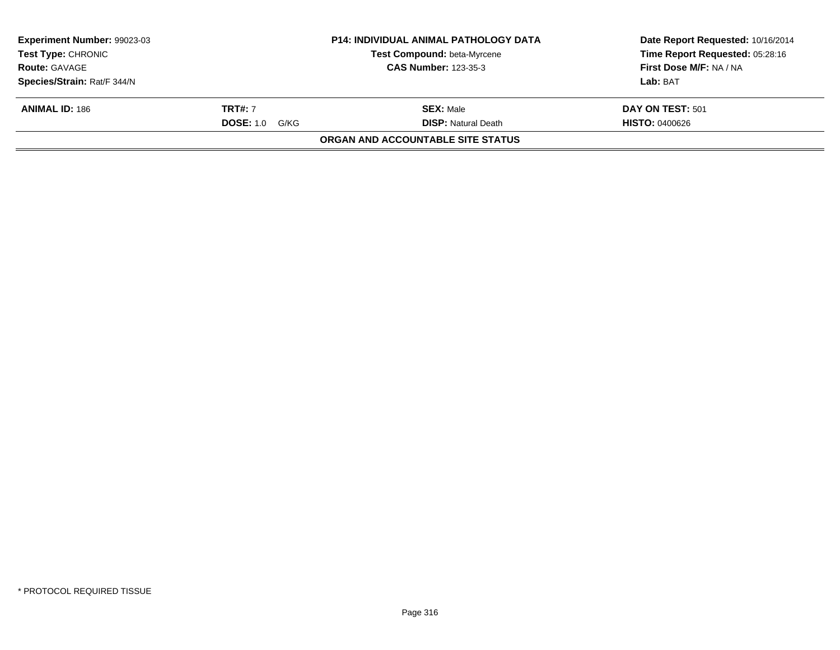| Experiment Number: 99023-03<br>Test Type: CHRONIC<br><b>Route: GAVAGE</b> |                          | <b>P14: INDIVIDUAL ANIMAL PATHOLOGY DATA</b><br>Test Compound: beta-Myrcene<br><b>CAS Number: 123-35-3</b> | Date Report Requested: 10/16/2014<br>Time Report Requested: 05:28:16<br>First Dose M/F: NA / NA |
|---------------------------------------------------------------------------|--------------------------|------------------------------------------------------------------------------------------------------------|-------------------------------------------------------------------------------------------------|
|                                                                           |                          |                                                                                                            |                                                                                                 |
| Species/Strain: Rat/F 344/N                                               |                          |                                                                                                            | Lab: BAT                                                                                        |
| <b>ANIMAL ID: 186</b>                                                     | <b>TRT#: 7</b>           | <b>SEX: Male</b>                                                                                           | DAY ON TEST: 501                                                                                |
|                                                                           | <b>DOSE: 1.0</b><br>G/KG | <b>DISP:</b> Natural Death                                                                                 | <b>HISTO: 0400626</b>                                                                           |
|                                                                           |                          | <b>ORGAN AND ACCOUNTABLE SITE STATUS</b>                                                                   |                                                                                                 |
|                                                                           |                          |                                                                                                            |                                                                                                 |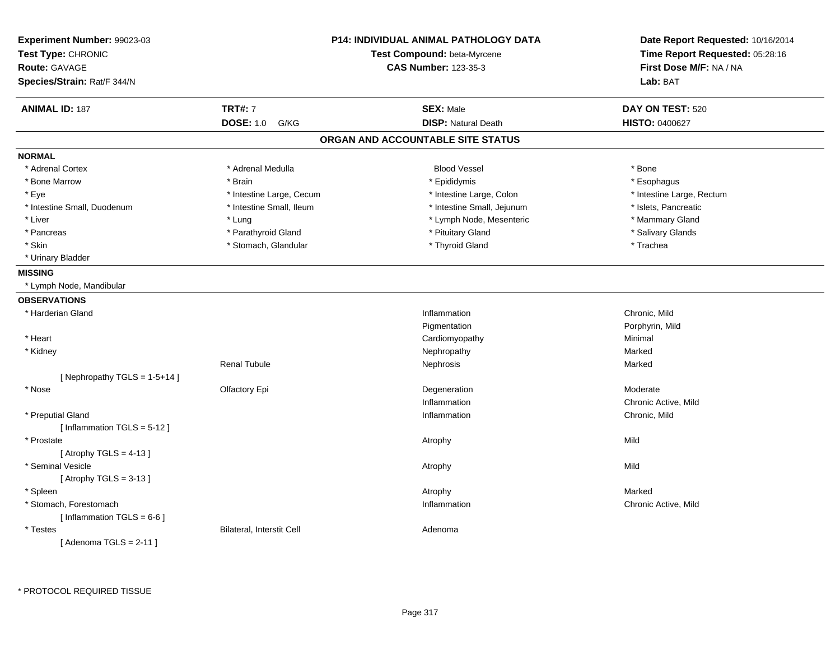| Experiment Number: 99023-03<br>Test Type: CHRONIC<br>Route: GAVAGE<br>Species/Strain: Rat/F 344/N |                           | <b>P14: INDIVIDUAL ANIMAL PATHOLOGY DATA</b><br>Test Compound: beta-Myrcene<br><b>CAS Number: 123-35-3</b> | Date Report Requested: 10/16/2014<br>Time Report Requested: 05:28:16<br>First Dose M/F: NA / NA<br>Lab: BAT |
|---------------------------------------------------------------------------------------------------|---------------------------|------------------------------------------------------------------------------------------------------------|-------------------------------------------------------------------------------------------------------------|
| <b>ANIMAL ID: 187</b>                                                                             | <b>TRT#: 7</b>            | <b>SEX: Male</b>                                                                                           | DAY ON TEST: 520                                                                                            |
|                                                                                                   | <b>DOSE: 1.0</b><br>G/KG  | <b>DISP: Natural Death</b>                                                                                 | HISTO: 0400627                                                                                              |
|                                                                                                   |                           | ORGAN AND ACCOUNTABLE SITE STATUS                                                                          |                                                                                                             |
| <b>NORMAL</b>                                                                                     |                           |                                                                                                            |                                                                                                             |
| * Adrenal Cortex                                                                                  | * Adrenal Medulla         | <b>Blood Vessel</b>                                                                                        | * Bone                                                                                                      |
| * Bone Marrow                                                                                     | * Brain                   | * Epididymis                                                                                               | * Esophagus                                                                                                 |
| * Eye                                                                                             | * Intestine Large, Cecum  | * Intestine Large, Colon                                                                                   | * Intestine Large, Rectum                                                                                   |
| * Intestine Small, Duodenum                                                                       | * Intestine Small, Ileum  | * Intestine Small, Jejunum                                                                                 | * Islets, Pancreatic                                                                                        |
| * Liver                                                                                           | * Lung                    | * Lymph Node, Mesenteric                                                                                   | * Mammary Gland                                                                                             |
| * Pancreas                                                                                        | * Parathyroid Gland       | * Pituitary Gland                                                                                          | * Salivary Glands                                                                                           |
| * Skin                                                                                            | * Stomach, Glandular      | * Thyroid Gland                                                                                            | * Trachea                                                                                                   |
| * Urinary Bladder                                                                                 |                           |                                                                                                            |                                                                                                             |
| <b>MISSING</b>                                                                                    |                           |                                                                                                            |                                                                                                             |
| * Lymph Node, Mandibular                                                                          |                           |                                                                                                            |                                                                                                             |
| <b>OBSERVATIONS</b>                                                                               |                           |                                                                                                            |                                                                                                             |
| * Harderian Gland                                                                                 |                           | Inflammation                                                                                               | Chronic, Mild                                                                                               |
|                                                                                                   |                           | Pigmentation                                                                                               | Porphyrin, Mild                                                                                             |
| * Heart                                                                                           |                           | Cardiomyopathy                                                                                             | Minimal                                                                                                     |
| * Kidney                                                                                          |                           | Nephropathy                                                                                                | Marked                                                                                                      |
|                                                                                                   | <b>Renal Tubule</b>       | Nephrosis                                                                                                  | Marked                                                                                                      |
| [ Nephropathy TGLS = $1-5+14$ ]                                                                   |                           |                                                                                                            |                                                                                                             |
| * Nose                                                                                            | Olfactory Epi             | Degeneration                                                                                               | Moderate                                                                                                    |
|                                                                                                   |                           | Inflammation                                                                                               | Chronic Active, Mild                                                                                        |
| * Preputial Gland                                                                                 |                           | Inflammation                                                                                               | Chronic, Mild                                                                                               |
| [Inflammation $TGLS = 5-12$ ]                                                                     |                           |                                                                                                            |                                                                                                             |
| * Prostate                                                                                        |                           | Atrophy                                                                                                    | Mild                                                                                                        |
| [Atrophy TGLS = $4-13$ ]                                                                          |                           |                                                                                                            |                                                                                                             |
| * Seminal Vesicle                                                                                 |                           | Atrophy                                                                                                    | Mild                                                                                                        |
| [Atrophy TGLS = $3-13$ ]                                                                          |                           |                                                                                                            |                                                                                                             |
| * Spleen                                                                                          |                           | Atrophy                                                                                                    | Marked                                                                                                      |
| * Stomach, Forestomach                                                                            |                           | Inflammation                                                                                               | Chronic Active, Mild                                                                                        |
| [Inflammation TGLS = $6-6$ ]                                                                      |                           |                                                                                                            |                                                                                                             |
| * Testes                                                                                          | Bilateral, Interstit Cell | Adenoma                                                                                                    |                                                                                                             |
| [Adenoma TGLS = $2-11$ ]                                                                          |                           |                                                                                                            |                                                                                                             |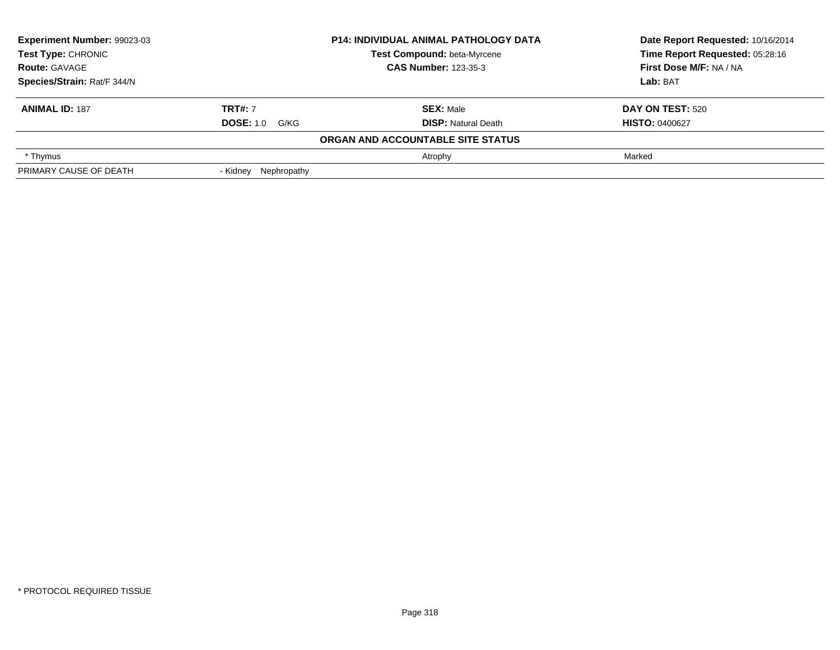| Experiment Number: 99023-03<br><b>Test Type: CHRONIC</b><br><b>Route: GAVAGE</b> |                       | <b>P14: INDIVIDUAL ANIMAL PATHOLOGY DATA</b> | Date Report Requested: 10/16/2014 |  |
|----------------------------------------------------------------------------------|-----------------------|----------------------------------------------|-----------------------------------|--|
|                                                                                  |                       | Test Compound: beta-Myrcene                  | Time Report Requested: 05:28:16   |  |
|                                                                                  |                       | <b>CAS Number: 123-35-3</b>                  | First Dose M/F: NA / NA           |  |
| Species/Strain: Rat/F 344/N                                                      |                       |                                              | Lab: BAT                          |  |
| <b>ANIMAL ID: 187</b>                                                            | <b>TRT#: 7</b>        | <b>SEX: Male</b>                             | DAY ON TEST: 520                  |  |
|                                                                                  | <b>DOSE: 1.0 G/KG</b> | <b>DISP: Natural Death</b>                   | <b>HISTO: 0400627</b>             |  |
|                                                                                  |                       | ORGAN AND ACCOUNTABLE SITE STATUS            |                                   |  |
| * Thymus                                                                         |                       | Atrophy                                      | Marked                            |  |
| PRIMARY CAUSE OF DEATH                                                           | - Kidney Nephropathy  |                                              |                                   |  |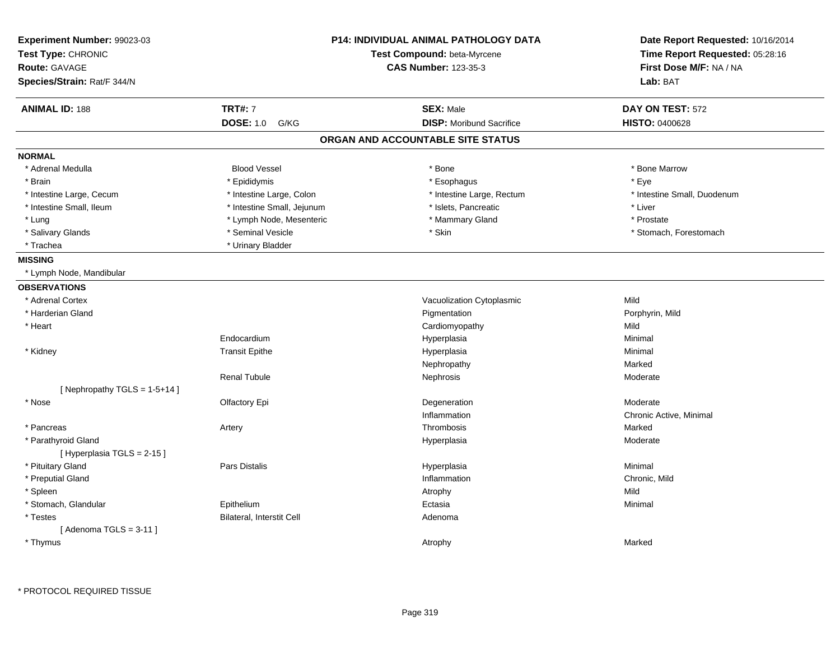| Experiment Number: 99023-03<br>Test Type: CHRONIC<br><b>Route: GAVAGE</b><br>Species/Strain: Rat/F 344/N |                            | <b>P14: INDIVIDUAL ANIMAL PATHOLOGY DATA</b><br>Test Compound: beta-Myrcene<br><b>CAS Number: 123-35-3</b> | Date Report Requested: 10/16/2014<br>Time Report Requested: 05:28:16<br>First Dose M/F: NA / NA<br>Lab: BAT |
|----------------------------------------------------------------------------------------------------------|----------------------------|------------------------------------------------------------------------------------------------------------|-------------------------------------------------------------------------------------------------------------|
| <b>ANIMAL ID: 188</b>                                                                                    | <b>TRT#: 7</b>             | <b>SEX: Male</b>                                                                                           | DAY ON TEST: 572                                                                                            |
|                                                                                                          | <b>DOSE: 1.0</b><br>G/KG   | <b>DISP:</b> Moribund Sacrifice                                                                            | <b>HISTO: 0400628</b>                                                                                       |
|                                                                                                          |                            | ORGAN AND ACCOUNTABLE SITE STATUS                                                                          |                                                                                                             |
| <b>NORMAL</b>                                                                                            |                            |                                                                                                            |                                                                                                             |
| * Adrenal Medulla                                                                                        | <b>Blood Vessel</b>        | * Bone                                                                                                     | * Bone Marrow                                                                                               |
| * Brain                                                                                                  | * Epididymis               | * Esophagus                                                                                                | * Eye                                                                                                       |
| * Intestine Large, Cecum                                                                                 | * Intestine Large, Colon   | * Intestine Large, Rectum                                                                                  | * Intestine Small, Duodenum                                                                                 |
| * Intestine Small, Ileum                                                                                 | * Intestine Small, Jejunum | * Islets, Pancreatic                                                                                       | * Liver                                                                                                     |
| * Lung                                                                                                   | * Lymph Node, Mesenteric   | * Mammary Gland                                                                                            | * Prostate                                                                                                  |
| * Salivary Glands                                                                                        | * Seminal Vesicle          | * Skin                                                                                                     | * Stomach, Forestomach                                                                                      |
| * Trachea                                                                                                | * Urinary Bladder          |                                                                                                            |                                                                                                             |
| <b>MISSING</b>                                                                                           |                            |                                                                                                            |                                                                                                             |
| * Lymph Node, Mandibular                                                                                 |                            |                                                                                                            |                                                                                                             |
| <b>OBSERVATIONS</b>                                                                                      |                            |                                                                                                            |                                                                                                             |
| * Adrenal Cortex                                                                                         |                            | Vacuolization Cytoplasmic                                                                                  | Mild                                                                                                        |
| * Harderian Gland                                                                                        |                            | Pigmentation                                                                                               | Porphyrin, Mild                                                                                             |
| * Heart                                                                                                  |                            | Cardiomyopathy                                                                                             | Mild                                                                                                        |
|                                                                                                          | Endocardium                | Hyperplasia                                                                                                | Minimal                                                                                                     |
| * Kidney                                                                                                 | <b>Transit Epithe</b>      | Hyperplasia                                                                                                | Minimal                                                                                                     |
|                                                                                                          |                            | Nephropathy                                                                                                | Marked                                                                                                      |
|                                                                                                          | <b>Renal Tubule</b>        | Nephrosis                                                                                                  | Moderate                                                                                                    |
| [Nephropathy TGLS = $1-5+14$ ]                                                                           |                            |                                                                                                            |                                                                                                             |
| * Nose                                                                                                   | Olfactory Epi              | Degeneration                                                                                               | Moderate                                                                                                    |
|                                                                                                          |                            | Inflammation                                                                                               | Chronic Active, Minimal                                                                                     |
| * Pancreas                                                                                               | Artery                     | Thrombosis                                                                                                 | Marked                                                                                                      |
| * Parathyroid Gland<br>[Hyperplasia TGLS = 2-15]                                                         |                            | Hyperplasia                                                                                                | Moderate                                                                                                    |
| * Pituitary Gland                                                                                        | Pars Distalis              | Hyperplasia                                                                                                | Minimal                                                                                                     |
| * Preputial Gland                                                                                        |                            | Inflammation                                                                                               | Chronic, Mild                                                                                               |
| * Spleen                                                                                                 |                            | Atrophy                                                                                                    | Mild                                                                                                        |
| * Stomach, Glandular                                                                                     | Epithelium                 | Ectasia                                                                                                    | Minimal                                                                                                     |
| * Testes<br>[Adenoma TGLS = $3-11$ ]                                                                     | Bilateral, Interstit Cell  | Adenoma                                                                                                    |                                                                                                             |
| * Thymus                                                                                                 |                            | Atrophy                                                                                                    | Marked                                                                                                      |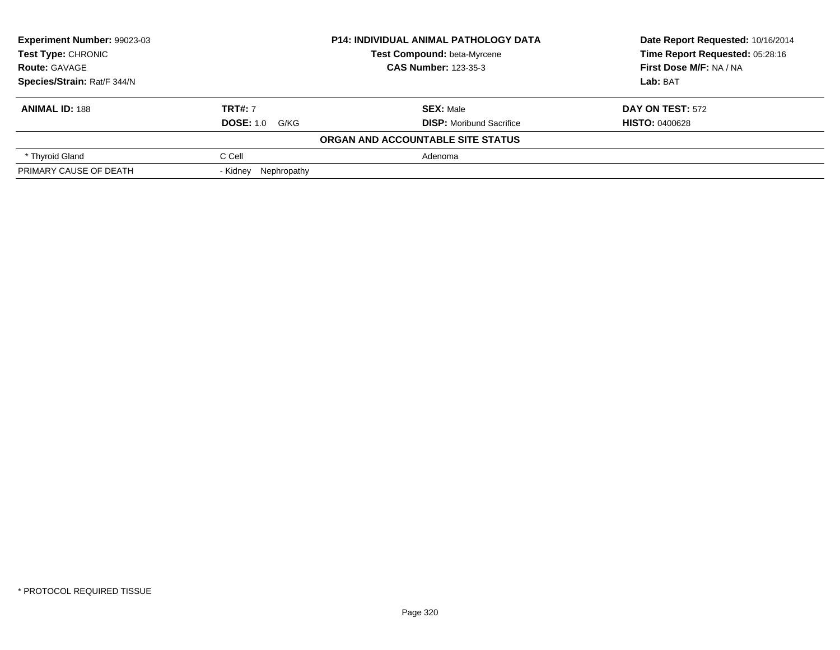| <b>Experiment Number: 99023-03</b> |                         | <b>P14: INDIVIDUAL ANIMAL PATHOLOGY DATA</b> | Date Report Requested: 10/16/2014<br>Time Report Requested: 05:28:16 |  |
|------------------------------------|-------------------------|----------------------------------------------|----------------------------------------------------------------------|--|
| Test Type: CHRONIC                 |                         | Test Compound: beta-Myrcene                  |                                                                      |  |
| <b>Route: GAVAGE</b>               |                         | <b>CAS Number: 123-35-3</b>                  | First Dose M/F: NA / NA                                              |  |
| Species/Strain: Rat/F 344/N        |                         |                                              | Lab: BAT                                                             |  |
| <b>ANIMAL ID: 188</b>              | <b>TRT#: 7</b>          | <b>SEX: Male</b>                             | DAY ON TEST: 572                                                     |  |
|                                    | <b>DOSE: 1.0 G/KG</b>   | <b>DISP:</b> Moribund Sacrifice              | <b>HISTO: 0400628</b>                                                |  |
|                                    |                         | ORGAN AND ACCOUNTABLE SITE STATUS            |                                                                      |  |
| * Thyroid Gland                    | C Cell                  | Adenoma                                      |                                                                      |  |
| PRIMARY CAUSE OF DEATH             | Nephropathy<br>- Kidney |                                              |                                                                      |  |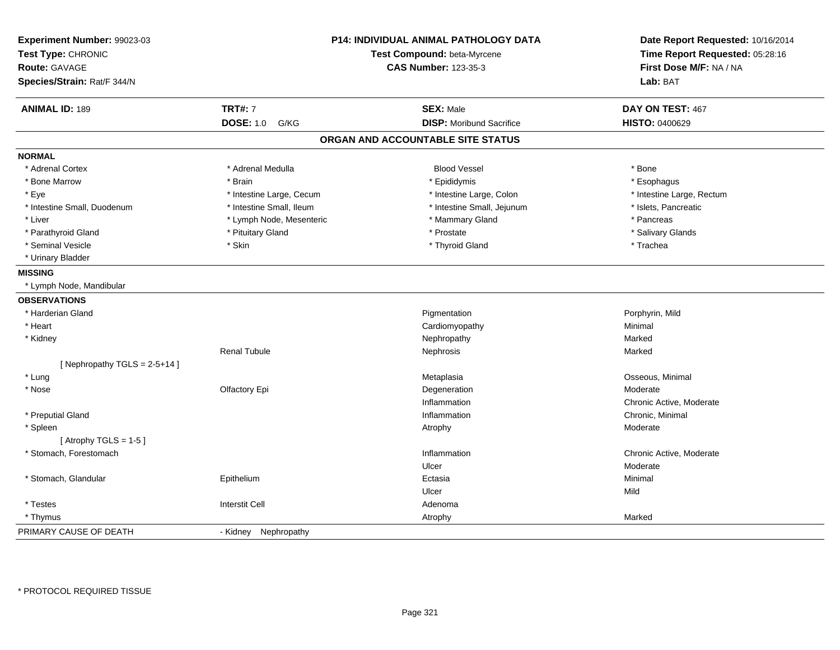| Experiment Number: 99023-03<br>Test Type: CHRONIC<br><b>Route: GAVAGE</b><br>Species/Strain: Rat/F 344/N |                          | <b>P14: INDIVIDUAL ANIMAL PATHOLOGY DATA</b><br>Test Compound: beta-Myrcene<br><b>CAS Number: 123-35-3</b> | Date Report Requested: 10/16/2014<br>Time Report Requested: 05:28:16<br>First Dose M/F: NA / NA<br>Lab: BAT |
|----------------------------------------------------------------------------------------------------------|--------------------------|------------------------------------------------------------------------------------------------------------|-------------------------------------------------------------------------------------------------------------|
| <b>ANIMAL ID: 189</b>                                                                                    | <b>TRT#: 7</b>           | <b>SEX: Male</b>                                                                                           | DAY ON TEST: 467                                                                                            |
|                                                                                                          | <b>DOSE: 1.0</b><br>G/KG | <b>DISP:</b> Moribund Sacrifice                                                                            | HISTO: 0400629                                                                                              |
|                                                                                                          |                          | ORGAN AND ACCOUNTABLE SITE STATUS                                                                          |                                                                                                             |
| <b>NORMAL</b>                                                                                            |                          |                                                                                                            |                                                                                                             |
| * Adrenal Cortex                                                                                         | * Adrenal Medulla        | <b>Blood Vessel</b>                                                                                        | * Bone                                                                                                      |
| * Bone Marrow                                                                                            | * Brain                  | * Epididymis                                                                                               | * Esophagus                                                                                                 |
| * Eye                                                                                                    | * Intestine Large, Cecum | * Intestine Large, Colon                                                                                   | * Intestine Large, Rectum                                                                                   |
| * Intestine Small, Duodenum                                                                              | * Intestine Small, Ileum | * Intestine Small, Jejunum                                                                                 | * Islets, Pancreatic                                                                                        |
| * Liver                                                                                                  | * Lymph Node, Mesenteric | * Mammary Gland                                                                                            | * Pancreas                                                                                                  |
| * Parathyroid Gland                                                                                      | * Pituitary Gland        | * Prostate                                                                                                 | * Salivary Glands                                                                                           |
| * Seminal Vesicle                                                                                        | * Skin                   | * Thyroid Gland                                                                                            | * Trachea                                                                                                   |
| * Urinary Bladder                                                                                        |                          |                                                                                                            |                                                                                                             |
| <b>MISSING</b>                                                                                           |                          |                                                                                                            |                                                                                                             |
| * Lymph Node, Mandibular                                                                                 |                          |                                                                                                            |                                                                                                             |
| <b>OBSERVATIONS</b>                                                                                      |                          |                                                                                                            |                                                                                                             |
| * Harderian Gland                                                                                        |                          | Pigmentation                                                                                               | Porphyrin, Mild                                                                                             |
| * Heart                                                                                                  |                          | Cardiomyopathy                                                                                             | Minimal                                                                                                     |
| * Kidney                                                                                                 |                          | Nephropathy                                                                                                | Marked                                                                                                      |
|                                                                                                          | <b>Renal Tubule</b>      | Nephrosis                                                                                                  | Marked                                                                                                      |
| [Nephropathy TGLS = $2-5+14$ ]                                                                           |                          |                                                                                                            |                                                                                                             |
| * Lung                                                                                                   |                          | Metaplasia                                                                                                 | Osseous, Minimal                                                                                            |
| * Nose                                                                                                   | Olfactory Epi            | Degeneration                                                                                               | Moderate                                                                                                    |
|                                                                                                          |                          | Inflammation                                                                                               | Chronic Active, Moderate                                                                                    |
| * Preputial Gland                                                                                        |                          | Inflammation                                                                                               | Chronic, Minimal                                                                                            |
| * Spleen                                                                                                 |                          | Atrophy                                                                                                    | Moderate                                                                                                    |
| [Atrophy TGLS = $1-5$ ]                                                                                  |                          |                                                                                                            |                                                                                                             |
| * Stomach, Forestomach                                                                                   |                          | Inflammation                                                                                               | Chronic Active, Moderate                                                                                    |
|                                                                                                          |                          | Ulcer                                                                                                      | Moderate                                                                                                    |
| * Stomach, Glandular                                                                                     | Epithelium               | Ectasia                                                                                                    | Minimal                                                                                                     |
|                                                                                                          |                          | Ulcer                                                                                                      | Mild                                                                                                        |
| * Testes                                                                                                 | <b>Interstit Cell</b>    | Adenoma                                                                                                    |                                                                                                             |
| * Thymus                                                                                                 |                          | Atrophy                                                                                                    | Marked                                                                                                      |
| PRIMARY CAUSE OF DEATH                                                                                   | - Kidney Nephropathy     |                                                                                                            |                                                                                                             |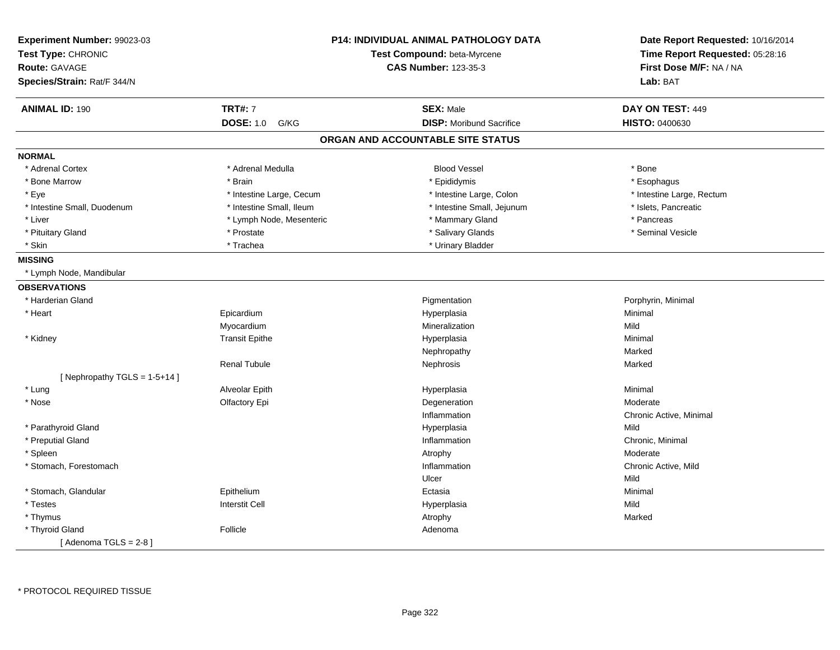| Experiment Number: 99023-03<br>Test Type: CHRONIC<br><b>Route: GAVAGE</b><br>Species/Strain: Rat/F 344/N |                          | <b>P14: INDIVIDUAL ANIMAL PATHOLOGY DATA</b><br>Test Compound: beta-Myrcene<br><b>CAS Number: 123-35-3</b> | Date Report Requested: 10/16/2014<br>Time Report Requested: 05:28:16<br>First Dose M/F: NA / NA<br>Lab: BAT |
|----------------------------------------------------------------------------------------------------------|--------------------------|------------------------------------------------------------------------------------------------------------|-------------------------------------------------------------------------------------------------------------|
|                                                                                                          | <b>TRT#: 7</b>           |                                                                                                            |                                                                                                             |
| <b>ANIMAL ID: 190</b>                                                                                    | <b>DOSE: 1.0</b><br>G/KG | <b>SEX: Male</b><br><b>DISP:</b> Moribund Sacrifice                                                        | DAY ON TEST: 449<br>HISTO: 0400630                                                                          |
|                                                                                                          |                          | ORGAN AND ACCOUNTABLE SITE STATUS                                                                          |                                                                                                             |
| <b>NORMAL</b>                                                                                            |                          |                                                                                                            |                                                                                                             |
| * Adrenal Cortex                                                                                         | * Adrenal Medulla        | <b>Blood Vessel</b>                                                                                        | * Bone                                                                                                      |
| * Bone Marrow                                                                                            | * Brain                  |                                                                                                            |                                                                                                             |
|                                                                                                          |                          | * Epididymis                                                                                               | * Esophagus                                                                                                 |
| * Eye                                                                                                    | * Intestine Large, Cecum | * Intestine Large, Colon                                                                                   | * Intestine Large, Rectum                                                                                   |
| * Intestine Small, Duodenum                                                                              | * Intestine Small, Ileum | * Intestine Small, Jejunum                                                                                 | * Islets, Pancreatic                                                                                        |
| * Liver                                                                                                  | * Lymph Node, Mesenteric | * Mammary Gland                                                                                            | * Pancreas                                                                                                  |
| * Pituitary Gland                                                                                        | * Prostate               | * Salivary Glands                                                                                          | * Seminal Vesicle                                                                                           |
| * Skin                                                                                                   | * Trachea                | * Urinary Bladder                                                                                          |                                                                                                             |
| <b>MISSING</b>                                                                                           |                          |                                                                                                            |                                                                                                             |
| * Lymph Node, Mandibular                                                                                 |                          |                                                                                                            |                                                                                                             |
| <b>OBSERVATIONS</b>                                                                                      |                          |                                                                                                            |                                                                                                             |
| * Harderian Gland                                                                                        |                          | Pigmentation                                                                                               | Porphyrin, Minimal                                                                                          |
| * Heart                                                                                                  | Epicardium               | Hyperplasia                                                                                                | Minimal                                                                                                     |
|                                                                                                          | Myocardium               | Mineralization                                                                                             | Mild                                                                                                        |
| * Kidney                                                                                                 | <b>Transit Epithe</b>    | Hyperplasia                                                                                                | Minimal                                                                                                     |
|                                                                                                          |                          | Nephropathy                                                                                                | Marked                                                                                                      |
|                                                                                                          | <b>Renal Tubule</b>      | Nephrosis                                                                                                  | Marked                                                                                                      |
| [Nephropathy TGLS = $1-5+14$ ]                                                                           |                          |                                                                                                            |                                                                                                             |
| * Lung                                                                                                   | Alveolar Epith           | Hyperplasia                                                                                                | Minimal                                                                                                     |
| * Nose                                                                                                   | Olfactory Epi            | Degeneration                                                                                               | Moderate                                                                                                    |
|                                                                                                          |                          | Inflammation                                                                                               | Chronic Active, Minimal                                                                                     |
| * Parathyroid Gland                                                                                      |                          | Hyperplasia                                                                                                | Mild                                                                                                        |
| * Preputial Gland                                                                                        |                          | Inflammation                                                                                               | Chronic, Minimal                                                                                            |
| * Spleen                                                                                                 |                          | Atrophy                                                                                                    | Moderate                                                                                                    |
| * Stomach, Forestomach                                                                                   |                          | Inflammation                                                                                               | Chronic Active, Mild                                                                                        |
|                                                                                                          |                          | Ulcer                                                                                                      | Mild                                                                                                        |
| * Stomach, Glandular                                                                                     | Epithelium               | Ectasia                                                                                                    | Minimal                                                                                                     |
| * Testes                                                                                                 | <b>Interstit Cell</b>    | Hyperplasia                                                                                                | Mild                                                                                                        |
| * Thymus                                                                                                 |                          | Atrophy                                                                                                    | Marked                                                                                                      |
| * Thyroid Gland                                                                                          | Follicle                 | Adenoma                                                                                                    |                                                                                                             |
| [Adenoma TGLS = $2-8$ ]                                                                                  |                          |                                                                                                            |                                                                                                             |
|                                                                                                          |                          |                                                                                                            |                                                                                                             |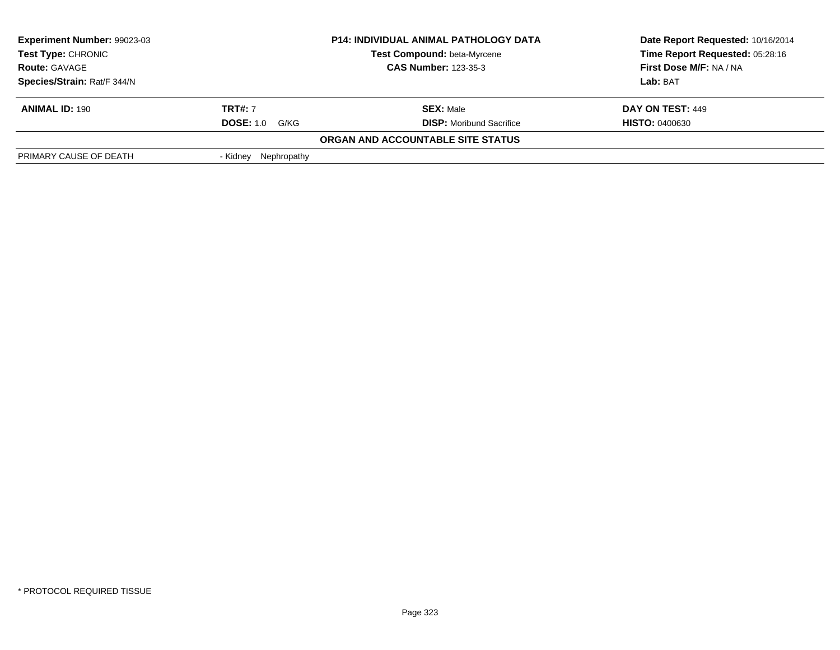| <b>Experiment Number: 99023-03</b><br>Test Type: CHRONIC<br><b>Route: GAVAGE</b> |                       | <b>P14: INDIVIDUAL ANIMAL PATHOLOGY DATA</b> | Date Report Requested: 10/16/2014 |
|----------------------------------------------------------------------------------|-----------------------|----------------------------------------------|-----------------------------------|
|                                                                                  |                       | <b>Test Compound: beta-Myrcene</b>           | Time Report Requested: 05:28:16   |
|                                                                                  |                       | <b>CAS Number: 123-35-3</b>                  | First Dose M/F: NA / NA           |
| Species/Strain: Rat/F 344/N                                                      |                       |                                              | Lab: BAT                          |
| <b>ANIMAL ID: 190</b>                                                            | <b>TRT#: 7</b>        | <b>SEX: Male</b>                             | DAY ON TEST: 449                  |
|                                                                                  | <b>DOSE: 1.0 G/KG</b> | <b>DISP:</b> Moribund Sacrifice              | <b>HISTO: 0400630</b>             |
|                                                                                  |                       | ORGAN AND ACCOUNTABLE SITE STATUS            |                                   |
| PRIMARY CAUSE OF DEATH                                                           | - Kidney Nephropathy  |                                              |                                   |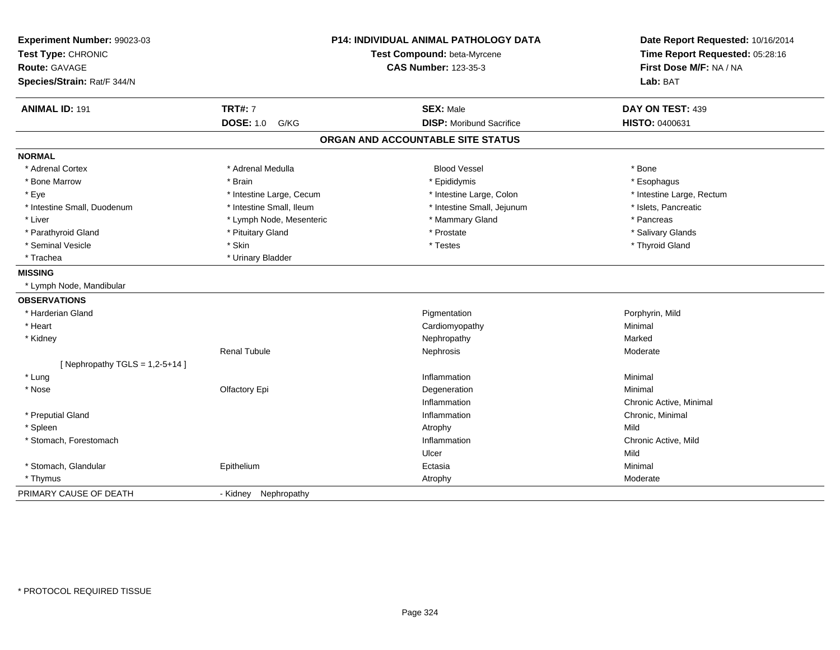| Experiment Number: 99023-03<br>Test Type: CHRONIC<br>Route: GAVAGE<br>Species/Strain: Rat/F 344/N |                          | P14: INDIVIDUAL ANIMAL PATHOLOGY DATA<br>Test Compound: beta-Myrcene<br><b>CAS Number: 123-35-3</b> | Date Report Requested: 10/16/2014<br>Time Report Requested: 05:28:16<br>First Dose M/F: NA / NA<br>Lab: BAT |
|---------------------------------------------------------------------------------------------------|--------------------------|-----------------------------------------------------------------------------------------------------|-------------------------------------------------------------------------------------------------------------|
| <b>ANIMAL ID: 191</b>                                                                             | <b>TRT#: 7</b>           | <b>SEX: Male</b>                                                                                    | DAY ON TEST: 439                                                                                            |
|                                                                                                   | <b>DOSE: 1.0</b><br>G/KG | <b>DISP:</b> Moribund Sacrifice                                                                     | HISTO: 0400631                                                                                              |
|                                                                                                   |                          | ORGAN AND ACCOUNTABLE SITE STATUS                                                                   |                                                                                                             |
| <b>NORMAL</b>                                                                                     |                          |                                                                                                     |                                                                                                             |
| * Adrenal Cortex                                                                                  | * Adrenal Medulla        | <b>Blood Vessel</b>                                                                                 | * Bone                                                                                                      |
| * Bone Marrow                                                                                     | * Brain                  | * Epididymis                                                                                        | * Esophagus                                                                                                 |
| * Eye                                                                                             | * Intestine Large, Cecum | * Intestine Large, Colon                                                                            | * Intestine Large, Rectum                                                                                   |
| * Intestine Small, Duodenum                                                                       | * Intestine Small, Ileum | * Intestine Small, Jejunum                                                                          | * Islets, Pancreatic                                                                                        |
| * Liver                                                                                           | * Lymph Node, Mesenteric | * Mammary Gland                                                                                     | * Pancreas                                                                                                  |
| * Parathyroid Gland                                                                               | * Pituitary Gland        | * Prostate                                                                                          | * Salivary Glands                                                                                           |
| * Seminal Vesicle                                                                                 | * Skin                   | * Testes                                                                                            | * Thyroid Gland                                                                                             |
| * Trachea                                                                                         | * Urinary Bladder        |                                                                                                     |                                                                                                             |
| <b>MISSING</b>                                                                                    |                          |                                                                                                     |                                                                                                             |
| * Lymph Node, Mandibular                                                                          |                          |                                                                                                     |                                                                                                             |
| <b>OBSERVATIONS</b>                                                                               |                          |                                                                                                     |                                                                                                             |
| * Harderian Gland                                                                                 |                          | Pigmentation                                                                                        | Porphyrin, Mild                                                                                             |
| * Heart                                                                                           |                          | Cardiomyopathy                                                                                      | Minimal                                                                                                     |
| * Kidney                                                                                          |                          | Nephropathy                                                                                         | Marked                                                                                                      |
|                                                                                                   | <b>Renal Tubule</b>      | Nephrosis                                                                                           | Moderate                                                                                                    |
| [ Nephropathy TGLS = $1,2-5+14$ ]                                                                 |                          |                                                                                                     |                                                                                                             |
| * Lung                                                                                            |                          | Inflammation                                                                                        | Minimal                                                                                                     |
| * Nose                                                                                            | Olfactory Epi            | Degeneration                                                                                        | Minimal                                                                                                     |
|                                                                                                   |                          | Inflammation                                                                                        | Chronic Active, Minimal                                                                                     |
| * Preputial Gland                                                                                 |                          | Inflammation                                                                                        | Chronic, Minimal                                                                                            |
| * Spleen                                                                                          |                          | Atrophy                                                                                             | Mild                                                                                                        |
| * Stomach, Forestomach                                                                            |                          | Inflammation                                                                                        | Chronic Active, Mild                                                                                        |
|                                                                                                   |                          | Ulcer                                                                                               | Mild                                                                                                        |
| * Stomach, Glandular                                                                              | Epithelium               | Ectasia                                                                                             | Minimal                                                                                                     |
| * Thymus                                                                                          |                          | Atrophy                                                                                             | Moderate                                                                                                    |
| PRIMARY CAUSE OF DEATH                                                                            | Nephropathy<br>- Kidney  |                                                                                                     |                                                                                                             |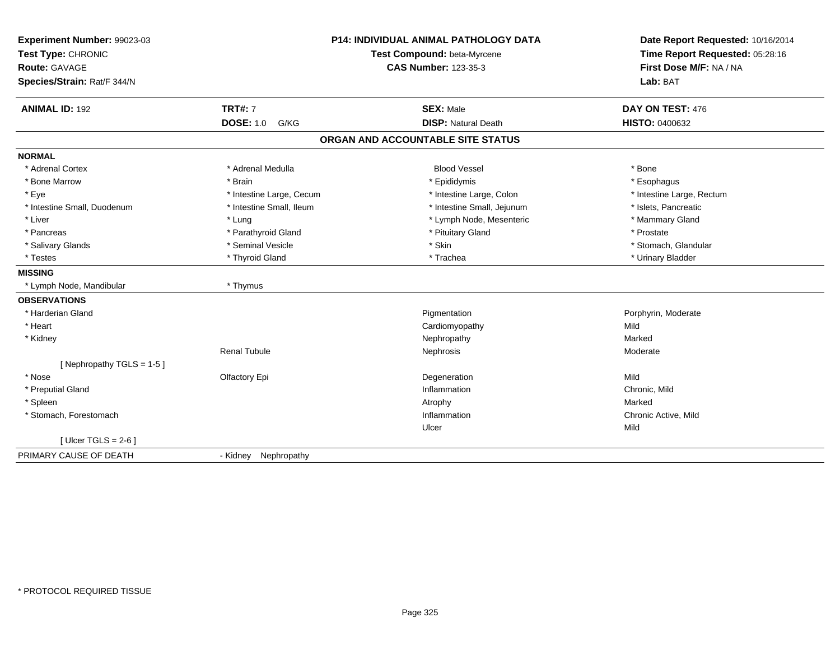| Experiment Number: 99023-03<br>Test Type: CHRONIC<br>Route: GAVAGE<br>Species/Strain: Rat/F 344/N |                          | <b>P14: INDIVIDUAL ANIMAL PATHOLOGY DATA</b><br>Test Compound: beta-Myrcene<br><b>CAS Number: 123-35-3</b> | Date Report Requested: 10/16/2014<br>Time Report Requested: 05:28:16<br>First Dose M/F: NA / NA<br>Lab: BAT |
|---------------------------------------------------------------------------------------------------|--------------------------|------------------------------------------------------------------------------------------------------------|-------------------------------------------------------------------------------------------------------------|
| <b>ANIMAL ID: 192</b>                                                                             | <b>TRT#: 7</b>           | <b>SEX: Male</b>                                                                                           | DAY ON TEST: 476                                                                                            |
|                                                                                                   | <b>DOSE: 1.0</b><br>G/KG | <b>DISP: Natural Death</b>                                                                                 | <b>HISTO: 0400632</b>                                                                                       |
|                                                                                                   |                          | ORGAN AND ACCOUNTABLE SITE STATUS                                                                          |                                                                                                             |
| <b>NORMAL</b>                                                                                     |                          |                                                                                                            |                                                                                                             |
| * Adrenal Cortex                                                                                  | * Adrenal Medulla        | <b>Blood Vessel</b>                                                                                        | * Bone                                                                                                      |
| * Bone Marrow                                                                                     | * Brain                  | * Epididymis                                                                                               | * Esophagus                                                                                                 |
| * Eye                                                                                             | * Intestine Large, Cecum | * Intestine Large, Colon                                                                                   | * Intestine Large, Rectum                                                                                   |
| * Intestine Small, Duodenum                                                                       | * Intestine Small, Ileum | * Intestine Small, Jejunum                                                                                 | * Islets, Pancreatic                                                                                        |
| * Liver                                                                                           | * Lung                   | * Lymph Node, Mesenteric                                                                                   | * Mammary Gland                                                                                             |
| * Pancreas                                                                                        | * Parathyroid Gland      | * Pituitary Gland                                                                                          | * Prostate                                                                                                  |
| * Salivary Glands                                                                                 | * Seminal Vesicle        | * Skin                                                                                                     | * Stomach, Glandular                                                                                        |
| * Testes                                                                                          | * Thyroid Gland          | * Trachea                                                                                                  | * Urinary Bladder                                                                                           |
| <b>MISSING</b>                                                                                    |                          |                                                                                                            |                                                                                                             |
| * Lymph Node, Mandibular                                                                          | * Thymus                 |                                                                                                            |                                                                                                             |
| <b>OBSERVATIONS</b>                                                                               |                          |                                                                                                            |                                                                                                             |
| * Harderian Gland                                                                                 |                          | Pigmentation                                                                                               | Porphyrin, Moderate                                                                                         |
| * Heart                                                                                           |                          | Cardiomyopathy                                                                                             | Mild                                                                                                        |
| * Kidney                                                                                          |                          | Nephropathy                                                                                                | Marked                                                                                                      |
|                                                                                                   | <b>Renal Tubule</b>      | Nephrosis                                                                                                  | Moderate                                                                                                    |
| [Nephropathy TGLS = 1-5]                                                                          |                          |                                                                                                            |                                                                                                             |
| * Nose                                                                                            | Olfactory Epi            | Degeneration                                                                                               | Mild                                                                                                        |
| * Preputial Gland                                                                                 |                          | Inflammation                                                                                               | Chronic, Mild                                                                                               |
| * Spleen                                                                                          |                          | Atrophy                                                                                                    | Marked                                                                                                      |
| * Stomach, Forestomach                                                                            |                          | Inflammation                                                                                               | Chronic Active, Mild                                                                                        |
|                                                                                                   |                          | Ulcer                                                                                                      | Mild                                                                                                        |
| [ Ulcer TGLS = $2-6$ ]                                                                            |                          |                                                                                                            |                                                                                                             |
| PRIMARY CAUSE OF DEATH                                                                            | - Kidney Nephropathy     |                                                                                                            |                                                                                                             |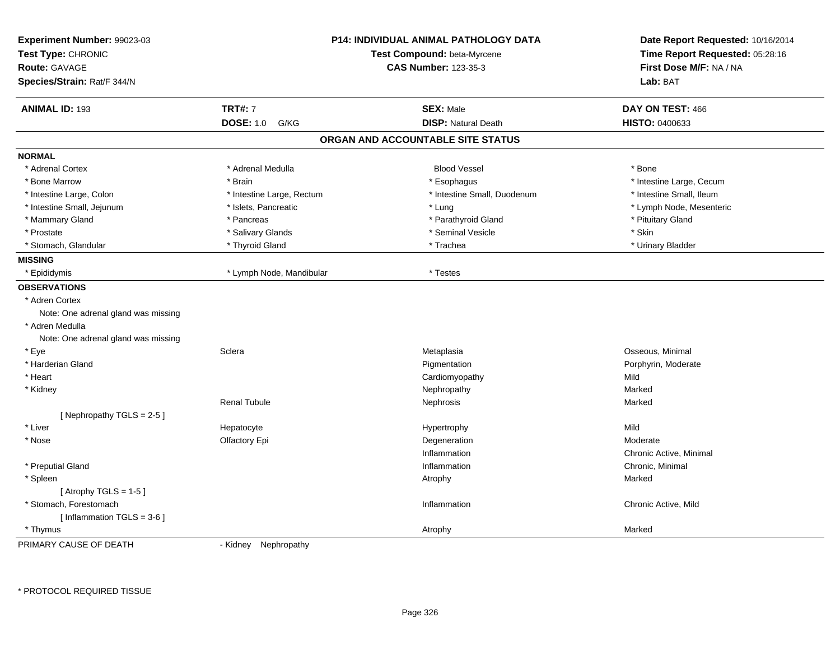| Experiment Number: 99023-03<br>Test Type: CHRONIC<br><b>Route: GAVAGE</b><br>Species/Strain: Rat/F 344/N | <b>P14: INDIVIDUAL ANIMAL PATHOLOGY DATA</b><br>Test Compound: beta-Myrcene<br><b>CAS Number: 123-35-3</b> |                                   | Date Report Requested: 10/16/2014<br>Time Report Requested: 05:28:16<br>First Dose M/F: NA / NA<br>Lab: BAT |
|----------------------------------------------------------------------------------------------------------|------------------------------------------------------------------------------------------------------------|-----------------------------------|-------------------------------------------------------------------------------------------------------------|
| <b>ANIMAL ID: 193</b>                                                                                    | <b>TRT#: 7</b>                                                                                             | <b>SEX: Male</b>                  | DAY ON TEST: 466                                                                                            |
|                                                                                                          | <b>DOSE: 1.0</b><br>G/KG                                                                                   | <b>DISP: Natural Death</b>        | HISTO: 0400633                                                                                              |
|                                                                                                          |                                                                                                            | ORGAN AND ACCOUNTABLE SITE STATUS |                                                                                                             |
| <b>NORMAL</b>                                                                                            |                                                                                                            |                                   |                                                                                                             |
| * Adrenal Cortex                                                                                         | * Adrenal Medulla                                                                                          | <b>Blood Vessel</b>               | * Bone                                                                                                      |
| * Bone Marrow                                                                                            | * Brain                                                                                                    | * Esophagus                       | * Intestine Large, Cecum                                                                                    |
| * Intestine Large, Colon                                                                                 | * Intestine Large, Rectum                                                                                  | * Intestine Small, Duodenum       | * Intestine Small, Ileum                                                                                    |
| * Intestine Small, Jejunum                                                                               | * Islets, Pancreatic                                                                                       | * Lung                            | * Lymph Node, Mesenteric                                                                                    |
| * Mammary Gland                                                                                          | * Pancreas                                                                                                 | * Parathyroid Gland               | * Pituitary Gland                                                                                           |
| * Prostate                                                                                               | * Salivary Glands                                                                                          | * Seminal Vesicle                 | * Skin                                                                                                      |
| * Stomach, Glandular                                                                                     | * Thyroid Gland                                                                                            | * Trachea                         | * Urinary Bladder                                                                                           |
| <b>MISSING</b>                                                                                           |                                                                                                            |                                   |                                                                                                             |
| * Epididymis                                                                                             | * Lymph Node, Mandibular                                                                                   | * Testes                          |                                                                                                             |
| <b>OBSERVATIONS</b>                                                                                      |                                                                                                            |                                   |                                                                                                             |
| * Adren Cortex                                                                                           |                                                                                                            |                                   |                                                                                                             |
| Note: One adrenal gland was missing                                                                      |                                                                                                            |                                   |                                                                                                             |
| * Adren Medulla                                                                                          |                                                                                                            |                                   |                                                                                                             |
| Note: One adrenal gland was missing                                                                      |                                                                                                            |                                   |                                                                                                             |
| * Eye                                                                                                    | Sclera                                                                                                     | Metaplasia                        | Osseous, Minimal                                                                                            |
| * Harderian Gland                                                                                        |                                                                                                            | Pigmentation                      | Porphyrin, Moderate                                                                                         |
| * Heart                                                                                                  |                                                                                                            | Cardiomyopathy                    | Mild                                                                                                        |
| * Kidney                                                                                                 |                                                                                                            | Nephropathy                       | Marked                                                                                                      |
|                                                                                                          | <b>Renal Tubule</b>                                                                                        | Nephrosis                         | Marked                                                                                                      |
| [Nephropathy TGLS = 2-5]                                                                                 |                                                                                                            |                                   |                                                                                                             |
| * Liver                                                                                                  | Hepatocyte                                                                                                 | Hypertrophy                       | Mild                                                                                                        |
| * Nose                                                                                                   | Olfactory Epi                                                                                              | Degeneration                      | Moderate                                                                                                    |
|                                                                                                          |                                                                                                            | Inflammation                      | Chronic Active, Minimal                                                                                     |
| * Preputial Gland                                                                                        |                                                                                                            | Inflammation                      | Chronic, Minimal                                                                                            |
| * Spleen                                                                                                 |                                                                                                            | Atrophy                           | Marked                                                                                                      |
| [Atrophy TGLS = $1-5$ ]                                                                                  |                                                                                                            |                                   |                                                                                                             |
| * Stomach, Forestomach                                                                                   |                                                                                                            | Inflammation                      | Chronic Active, Mild                                                                                        |
| [Inflammation TGLS = $3-6$ ]                                                                             |                                                                                                            |                                   |                                                                                                             |
| * Thymus                                                                                                 |                                                                                                            | Atrophy                           | Marked                                                                                                      |

PRIMARY CAUSE OF DEATH

- Kidney Nephropathy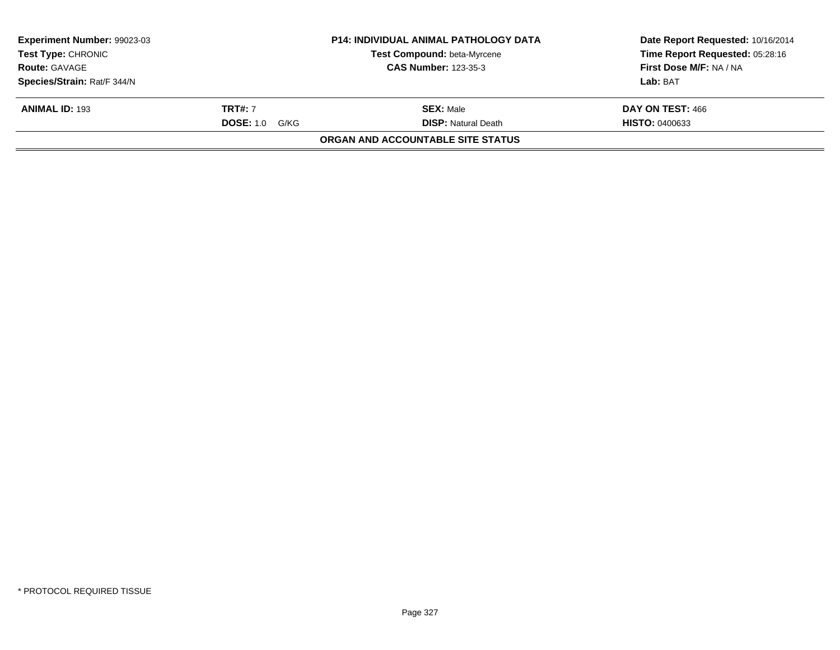| <b>Experiment Number: 99023-03</b> |                       | <b>P14: INDIVIDUAL ANIMAL PATHOLOGY DATA</b> | Date Report Requested: 10/16/2014 |
|------------------------------------|-----------------------|----------------------------------------------|-----------------------------------|
| <b>Test Type: CHRONIC</b>          |                       | <b>Test Compound: beta-Myrcene</b>           | Time Report Requested: 05:28:16   |
| <b>Route: GAVAGE</b>               |                       | <b>CAS Number: 123-35-3</b>                  | First Dose M/F: NA / NA           |
| Species/Strain: Rat/F 344/N        |                       |                                              | Lab: BAT                          |
| <b>ANIMAL ID: 193</b>              | <b>TRT#:</b> 7        | <b>SEX: Male</b>                             | DAY ON TEST: 466                  |
|                                    | <b>DOSE:</b> 1.0 G/KG | <b>DISP:</b> Natural Death                   | <b>HISTO: 0400633</b>             |
|                                    |                       | ORGAN AND ACCOUNTABLE SITE STATUS            |                                   |
|                                    |                       |                                              |                                   |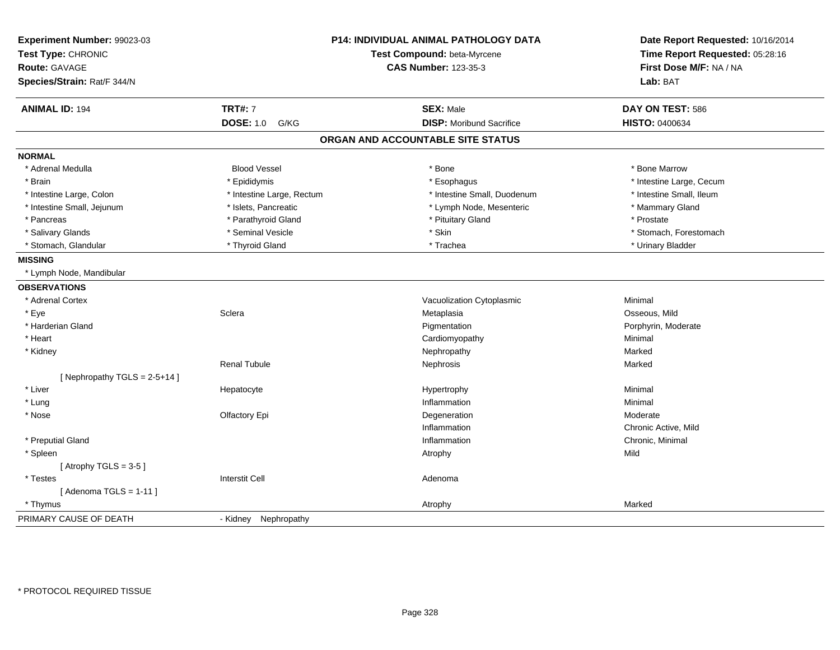| Experiment Number: 99023-03<br>Test Type: CHRONIC<br><b>Route: GAVAGE</b><br>Species/Strain: Rat/F 344/N |                           | <b>P14: INDIVIDUAL ANIMAL PATHOLOGY DATA</b><br>Test Compound: beta-Myrcene<br><b>CAS Number: 123-35-3</b> | Date Report Requested: 10/16/2014<br>Time Report Requested: 05:28:16<br>First Dose M/F: NA / NA<br>Lab: BAT |
|----------------------------------------------------------------------------------------------------------|---------------------------|------------------------------------------------------------------------------------------------------------|-------------------------------------------------------------------------------------------------------------|
|                                                                                                          |                           |                                                                                                            |                                                                                                             |
| <b>ANIMAL ID: 194</b>                                                                                    | <b>TRT#: 7</b>            | <b>SEX: Male</b>                                                                                           | DAY ON TEST: 586                                                                                            |
|                                                                                                          | <b>DOSE: 1.0</b><br>G/KG  | <b>DISP:</b> Moribund Sacrifice                                                                            | HISTO: 0400634                                                                                              |
|                                                                                                          |                           | ORGAN AND ACCOUNTABLE SITE STATUS                                                                          |                                                                                                             |
| <b>NORMAL</b>                                                                                            |                           |                                                                                                            |                                                                                                             |
| * Adrenal Medulla                                                                                        | <b>Blood Vessel</b>       | * Bone                                                                                                     | * Bone Marrow                                                                                               |
| * Brain                                                                                                  | * Epididymis              | * Esophagus                                                                                                | * Intestine Large, Cecum                                                                                    |
| * Intestine Large, Colon                                                                                 | * Intestine Large, Rectum | * Intestine Small, Duodenum                                                                                | * Intestine Small, Ileum                                                                                    |
| * Intestine Small, Jejunum                                                                               | * Islets, Pancreatic      | * Lymph Node, Mesenteric                                                                                   | * Mammary Gland                                                                                             |
| * Pancreas                                                                                               | * Parathyroid Gland       | * Pituitary Gland                                                                                          | * Prostate                                                                                                  |
| * Salivary Glands                                                                                        | * Seminal Vesicle         | * Skin                                                                                                     | * Stomach, Forestomach                                                                                      |
| * Stomach, Glandular                                                                                     | * Thyroid Gland           | * Trachea                                                                                                  | * Urinary Bladder                                                                                           |
| <b>MISSING</b>                                                                                           |                           |                                                                                                            |                                                                                                             |
| * Lymph Node, Mandibular                                                                                 |                           |                                                                                                            |                                                                                                             |
| <b>OBSERVATIONS</b>                                                                                      |                           |                                                                                                            |                                                                                                             |
| * Adrenal Cortex                                                                                         |                           | Vacuolization Cytoplasmic                                                                                  | Minimal                                                                                                     |
| * Eye                                                                                                    | Sclera                    | Metaplasia                                                                                                 | Osseous, Mild                                                                                               |
| * Harderian Gland                                                                                        |                           | Pigmentation                                                                                               | Porphyrin, Moderate                                                                                         |
| * Heart                                                                                                  |                           | Cardiomyopathy                                                                                             | Minimal                                                                                                     |
| * Kidney                                                                                                 |                           | Nephropathy                                                                                                | Marked                                                                                                      |
|                                                                                                          | <b>Renal Tubule</b>       | Nephrosis                                                                                                  | Marked                                                                                                      |
| [Nephropathy TGLS = $2-5+14$ ]                                                                           |                           |                                                                                                            |                                                                                                             |
| * Liver                                                                                                  | Hepatocyte                | Hypertrophy                                                                                                | Minimal                                                                                                     |
| $*$ Lung                                                                                                 |                           | Inflammation                                                                                               | Minimal                                                                                                     |
| * Nose                                                                                                   | Olfactory Epi             | Degeneration                                                                                               | Moderate                                                                                                    |
|                                                                                                          |                           | Inflammation                                                                                               | Chronic Active, Mild                                                                                        |
| * Preputial Gland                                                                                        |                           | Inflammation                                                                                               | Chronic, Minimal                                                                                            |
| * Spleen                                                                                                 |                           | Atrophy                                                                                                    | Mild                                                                                                        |
| [Atrophy TGLS = $3-5$ ]                                                                                  |                           |                                                                                                            |                                                                                                             |
| * Testes                                                                                                 | <b>Interstit Cell</b>     | Adenoma                                                                                                    |                                                                                                             |
| [Adenoma TGLS = $1-11$ ]                                                                                 |                           |                                                                                                            |                                                                                                             |
| * Thymus                                                                                                 |                           | Atrophy                                                                                                    | Marked                                                                                                      |
| PRIMARY CAUSE OF DEATH                                                                                   | - Kidney Nephropathy      |                                                                                                            |                                                                                                             |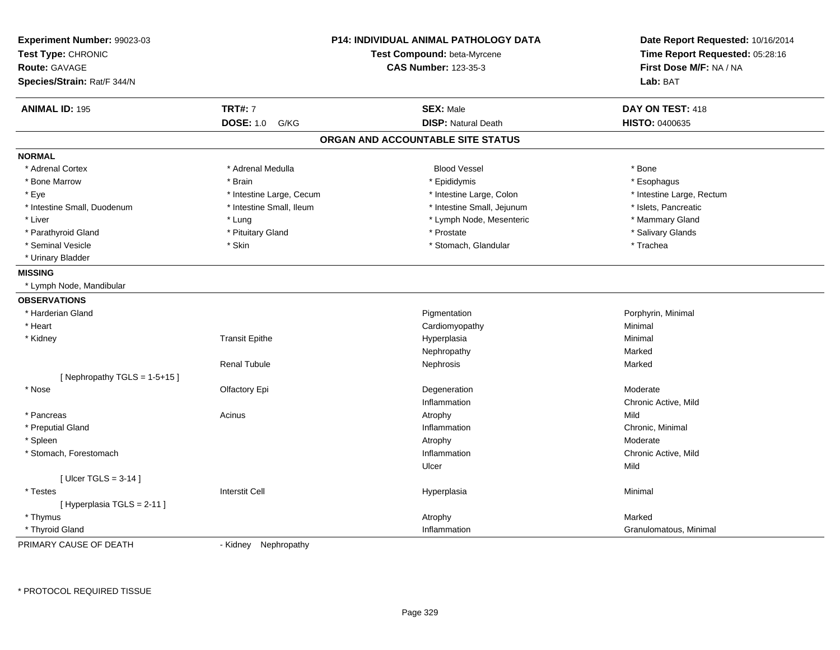| Experiment Number: 99023-03<br>Test Type: CHRONIC | <b>P14: INDIVIDUAL ANIMAL PATHOLOGY DATA</b><br>Test Compound: beta-Myrcene |                                   | Date Report Requested: 10/16/2014<br>Time Report Requested: 05:28:16 |
|---------------------------------------------------|-----------------------------------------------------------------------------|-----------------------------------|----------------------------------------------------------------------|
| <b>Route: GAVAGE</b>                              |                                                                             | <b>CAS Number: 123-35-3</b>       | First Dose M/F: NA / NA                                              |
| Species/Strain: Rat/F 344/N                       |                                                                             |                                   | Lab: BAT                                                             |
| <b>ANIMAL ID: 195</b>                             | <b>TRT#: 7</b>                                                              | <b>SEX: Male</b>                  | DAY ON TEST: 418                                                     |
|                                                   | <b>DOSE: 1.0</b><br>G/KG                                                    | <b>DISP: Natural Death</b>        | HISTO: 0400635                                                       |
|                                                   |                                                                             | ORGAN AND ACCOUNTABLE SITE STATUS |                                                                      |
| <b>NORMAL</b>                                     |                                                                             |                                   |                                                                      |
| * Adrenal Cortex                                  | * Adrenal Medulla                                                           | <b>Blood Vessel</b>               | * Bone                                                               |
| * Bone Marrow                                     | * Brain                                                                     | * Epididymis                      | * Esophagus                                                          |
| * Eye                                             | * Intestine Large, Cecum                                                    | * Intestine Large, Colon          | * Intestine Large, Rectum                                            |
| * Intestine Small, Duodenum                       | * Intestine Small, Ileum                                                    | * Intestine Small, Jejunum        | * Islets, Pancreatic                                                 |
| * Liver                                           | * Lung                                                                      | * Lymph Node, Mesenteric          | * Mammary Gland                                                      |
| * Parathyroid Gland                               | * Pituitary Gland                                                           | * Prostate                        | * Salivary Glands                                                    |
| * Seminal Vesicle                                 | * Skin                                                                      | * Stomach, Glandular              | * Trachea                                                            |
| * Urinary Bladder                                 |                                                                             |                                   |                                                                      |
| <b>MISSING</b>                                    |                                                                             |                                   |                                                                      |
| * Lymph Node, Mandibular                          |                                                                             |                                   |                                                                      |
| <b>OBSERVATIONS</b>                               |                                                                             |                                   |                                                                      |
| * Harderian Gland                                 |                                                                             | Pigmentation                      | Porphyrin, Minimal                                                   |
| * Heart                                           |                                                                             | Cardiomyopathy                    | Minimal                                                              |
| * Kidney                                          | <b>Transit Epithe</b>                                                       | Hyperplasia                       | Minimal                                                              |
|                                                   |                                                                             | Nephropathy                       | Marked                                                               |
|                                                   | <b>Renal Tubule</b>                                                         | Nephrosis                         | Marked                                                               |
| [Nephropathy TGLS = $1-5+15$ ]                    |                                                                             |                                   |                                                                      |
| * Nose                                            | Olfactory Epi                                                               | Degeneration                      | Moderate                                                             |
|                                                   |                                                                             | Inflammation                      | Chronic Active, Mild                                                 |
| * Pancreas                                        | Acinus                                                                      | Atrophy                           | Mild                                                                 |
| * Preputial Gland                                 |                                                                             | Inflammation                      | Chronic, Minimal                                                     |
| * Spleen                                          |                                                                             | Atrophy                           | Moderate                                                             |
| * Stomach, Forestomach                            |                                                                             | Inflammation                      | Chronic Active, Mild                                                 |
|                                                   |                                                                             | Ulcer                             | Mild                                                                 |
| [Ulcer TGLS = $3-14$ ]                            |                                                                             |                                   |                                                                      |
| * Testes                                          | <b>Interstit Cell</b>                                                       | Hyperplasia                       | Minimal                                                              |
| [Hyperplasia TGLS = 2-11]                         |                                                                             |                                   |                                                                      |
| * Thymus                                          |                                                                             | Atrophy                           | Marked                                                               |
| * Thyroid Gland                                   |                                                                             | Inflammation                      | Granulomatous, Minimal                                               |

PRIMARY CAUSE OF DEATH

- Kidney Nephropathy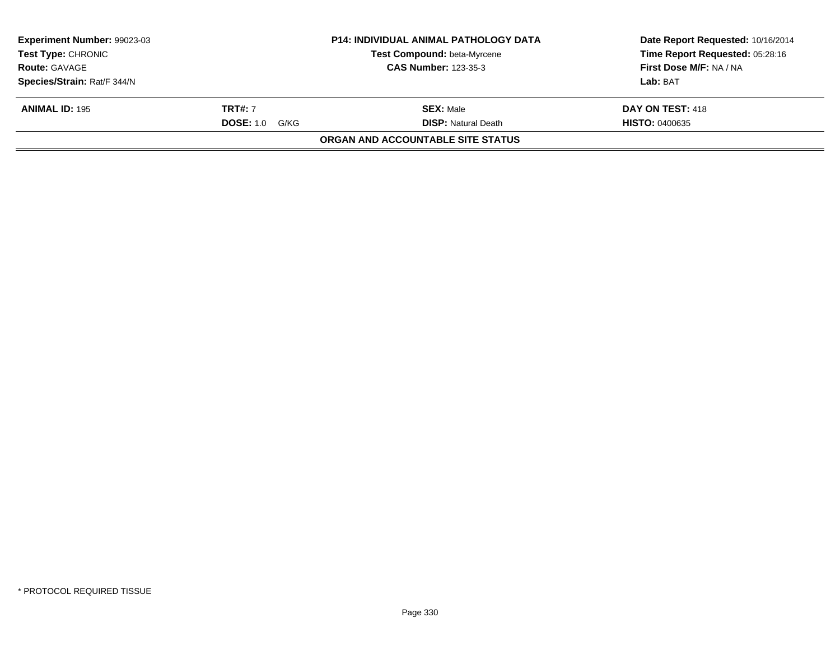| <b>Experiment Number: 99023-03</b><br><b>Test Type: CHRONIC</b> |                       | <b>P14: INDIVIDUAL ANIMAL PATHOLOGY DATA</b><br>Test Compound: beta-Myrcene | Date Report Requested: 10/16/2014<br>Time Report Requested: 05:28:16 |
|-----------------------------------------------------------------|-----------------------|-----------------------------------------------------------------------------|----------------------------------------------------------------------|
| <b>Route: GAVAGE</b>                                            |                       | <b>CAS Number: 123-35-3</b>                                                 | First Dose M/F: NA / NA                                              |
| Species/Strain: Rat/F 344/N                                     |                       |                                                                             | Lab: BAT                                                             |
| <b>ANIMAL ID: 195</b>                                           | <b>TRT#:</b> 7        | <b>SEX: Male</b>                                                            | DAY ON TEST: 418                                                     |
|                                                                 | <b>DOSE:</b> 1.0 G/KG | <b>DISP:</b> Natural Death                                                  | <b>HISTO: 0400635</b>                                                |
|                                                                 |                       | ORGAN AND ACCOUNTABLE SITE STATUS                                           |                                                                      |
|                                                                 |                       |                                                                             |                                                                      |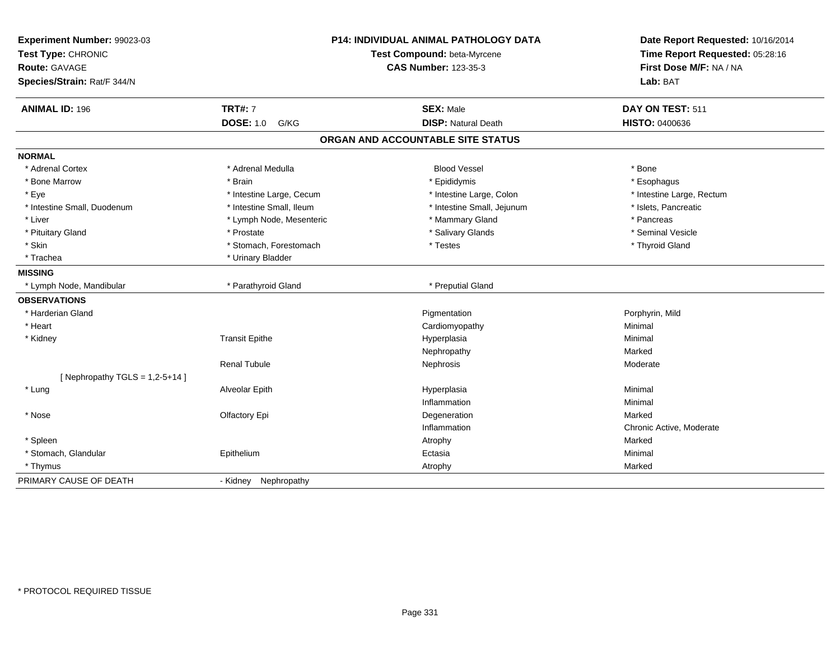| Experiment Number: 99023-03<br>Test Type: CHRONIC<br><b>Route: GAVAGE</b><br>Species/Strain: Rat/F 344/N | <b>P14: INDIVIDUAL ANIMAL PATHOLOGY DATA</b><br>Test Compound: beta-Myrcene<br><b>CAS Number: 123-35-3</b> |                                   | Date Report Requested: 10/16/2014<br>Time Report Requested: 05:28:16<br>First Dose M/F: NA / NA<br>Lab: BAT |
|----------------------------------------------------------------------------------------------------------|------------------------------------------------------------------------------------------------------------|-----------------------------------|-------------------------------------------------------------------------------------------------------------|
| <b>ANIMAL ID: 196</b>                                                                                    | <b>TRT#: 7</b>                                                                                             | <b>SEX: Male</b>                  | DAY ON TEST: 511                                                                                            |
|                                                                                                          | <b>DOSE: 1.0</b><br>G/KG                                                                                   | <b>DISP: Natural Death</b>        | <b>HISTO: 0400636</b>                                                                                       |
|                                                                                                          |                                                                                                            | ORGAN AND ACCOUNTABLE SITE STATUS |                                                                                                             |
| <b>NORMAL</b>                                                                                            |                                                                                                            |                                   |                                                                                                             |
| * Adrenal Cortex                                                                                         | * Adrenal Medulla                                                                                          | <b>Blood Vessel</b>               | * Bone                                                                                                      |
| * Bone Marrow                                                                                            | * Brain                                                                                                    | * Epididymis                      | * Esophagus                                                                                                 |
| * Eye                                                                                                    | * Intestine Large, Cecum                                                                                   | * Intestine Large, Colon          | * Intestine Large, Rectum                                                                                   |
| * Intestine Small, Duodenum                                                                              | * Intestine Small, Ileum                                                                                   | * Intestine Small, Jejunum        | * Islets, Pancreatic                                                                                        |
| * Liver                                                                                                  | * Lymph Node, Mesenteric                                                                                   | * Mammary Gland                   | * Pancreas                                                                                                  |
| * Pituitary Gland                                                                                        | * Prostate                                                                                                 | * Salivary Glands                 | * Seminal Vesicle                                                                                           |
| * Skin                                                                                                   | * Stomach, Forestomach                                                                                     | * Testes                          | * Thyroid Gland                                                                                             |
| * Trachea                                                                                                | * Urinary Bladder                                                                                          |                                   |                                                                                                             |
| <b>MISSING</b>                                                                                           |                                                                                                            |                                   |                                                                                                             |
| * Lymph Node, Mandibular                                                                                 | * Parathyroid Gland                                                                                        | * Preputial Gland                 |                                                                                                             |
| <b>OBSERVATIONS</b>                                                                                      |                                                                                                            |                                   |                                                                                                             |
| * Harderian Gland                                                                                        |                                                                                                            | Pigmentation                      | Porphyrin, Mild                                                                                             |
| * Heart                                                                                                  |                                                                                                            | Cardiomyopathy                    | Minimal                                                                                                     |
| * Kidney                                                                                                 | <b>Transit Epithe</b>                                                                                      | Hyperplasia                       | Minimal                                                                                                     |
|                                                                                                          |                                                                                                            | Nephropathy                       | Marked                                                                                                      |
|                                                                                                          | <b>Renal Tubule</b>                                                                                        | Nephrosis                         | Moderate                                                                                                    |
| [ Nephropathy TGLS = $1,2-5+14$ ]                                                                        |                                                                                                            |                                   |                                                                                                             |
| * Lung                                                                                                   | Alveolar Epith                                                                                             | Hyperplasia                       | Minimal                                                                                                     |
|                                                                                                          |                                                                                                            | Inflammation                      | Minimal                                                                                                     |
| * Nose                                                                                                   | Olfactory Epi                                                                                              | Degeneration                      | Marked                                                                                                      |
|                                                                                                          |                                                                                                            | Inflammation                      | Chronic Active, Moderate                                                                                    |
| * Spleen                                                                                                 |                                                                                                            | Atrophy                           | Marked                                                                                                      |
| * Stomach, Glandular                                                                                     | Epithelium                                                                                                 | Ectasia                           | Minimal                                                                                                     |
| * Thymus                                                                                                 |                                                                                                            | Atrophy                           | Marked                                                                                                      |
| PRIMARY CAUSE OF DEATH                                                                                   | Nephropathy<br>- Kidney                                                                                    |                                   |                                                                                                             |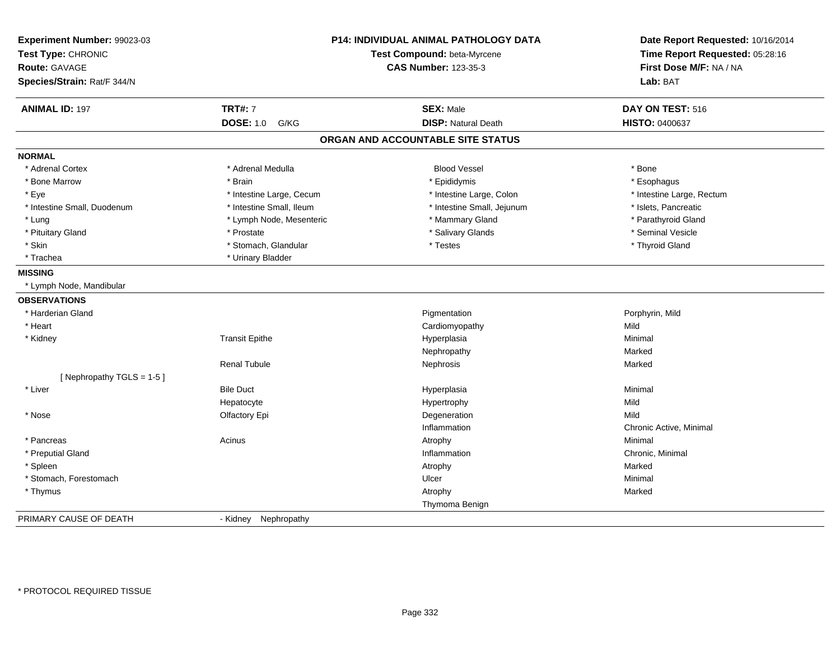| Experiment Number: 99023-03<br>Test Type: CHRONIC<br><b>Route: GAVAGE</b><br>Species/Strain: Rat/F 344/N |                          | <b>P14: INDIVIDUAL ANIMAL PATHOLOGY DATA</b><br>Test Compound: beta-Myrcene<br><b>CAS Number: 123-35-3</b> | Date Report Requested: 10/16/2014<br>Time Report Requested: 05:28:16<br>First Dose M/F: NA / NA<br>Lab: BAT |
|----------------------------------------------------------------------------------------------------------|--------------------------|------------------------------------------------------------------------------------------------------------|-------------------------------------------------------------------------------------------------------------|
| <b>ANIMAL ID: 197</b>                                                                                    | <b>TRT#: 7</b>           | <b>SEX: Male</b>                                                                                           | DAY ON TEST: 516                                                                                            |
|                                                                                                          | <b>DOSE: 1.0</b><br>G/KG | <b>DISP: Natural Death</b>                                                                                 | HISTO: 0400637                                                                                              |
|                                                                                                          |                          | ORGAN AND ACCOUNTABLE SITE STATUS                                                                          |                                                                                                             |
| <b>NORMAL</b>                                                                                            |                          |                                                                                                            |                                                                                                             |
| * Adrenal Cortex                                                                                         | * Adrenal Medulla        | <b>Blood Vessel</b>                                                                                        | * Bone                                                                                                      |
| * Bone Marrow                                                                                            | * Brain                  | * Epididymis                                                                                               | * Esophagus                                                                                                 |
| * Eye                                                                                                    | * Intestine Large, Cecum | * Intestine Large, Colon                                                                                   | * Intestine Large, Rectum                                                                                   |
| * Intestine Small, Duodenum                                                                              | * Intestine Small, Ileum | * Intestine Small, Jejunum                                                                                 | * Islets, Pancreatic                                                                                        |
| * Lung                                                                                                   | * Lymph Node, Mesenteric | * Mammary Gland                                                                                            | * Parathyroid Gland                                                                                         |
| * Pituitary Gland                                                                                        | * Prostate               | * Salivary Glands                                                                                          | * Seminal Vesicle                                                                                           |
| * Skin                                                                                                   | * Stomach, Glandular     | * Testes                                                                                                   | * Thyroid Gland                                                                                             |
| * Trachea                                                                                                | * Urinary Bladder        |                                                                                                            |                                                                                                             |
| <b>MISSING</b>                                                                                           |                          |                                                                                                            |                                                                                                             |
| * Lymph Node, Mandibular                                                                                 |                          |                                                                                                            |                                                                                                             |
| <b>OBSERVATIONS</b>                                                                                      |                          |                                                                                                            |                                                                                                             |
| * Harderian Gland                                                                                        |                          | Pigmentation                                                                                               | Porphyrin, Mild                                                                                             |
| * Heart                                                                                                  |                          | Cardiomyopathy                                                                                             | Mild                                                                                                        |
| * Kidney                                                                                                 | <b>Transit Epithe</b>    | Hyperplasia                                                                                                | Minimal                                                                                                     |
|                                                                                                          |                          | Nephropathy                                                                                                | Marked                                                                                                      |
|                                                                                                          | <b>Renal Tubule</b>      | Nephrosis                                                                                                  | Marked                                                                                                      |
| [Nephropathy TGLS = 1-5]                                                                                 |                          |                                                                                                            |                                                                                                             |
| * Liver                                                                                                  | <b>Bile Duct</b>         | Hyperplasia                                                                                                | Minimal                                                                                                     |
|                                                                                                          | Hepatocyte               | Hypertrophy                                                                                                | Mild                                                                                                        |
| * Nose                                                                                                   | Olfactory Epi            | Degeneration                                                                                               | Mild                                                                                                        |
|                                                                                                          |                          | Inflammation                                                                                               | Chronic Active, Minimal                                                                                     |
| * Pancreas                                                                                               | Acinus                   | Atrophy                                                                                                    | Minimal                                                                                                     |
| * Preputial Gland                                                                                        |                          | Inflammation                                                                                               | Chronic, Minimal                                                                                            |
| * Spleen                                                                                                 |                          | Atrophy                                                                                                    | Marked                                                                                                      |
| * Stomach, Forestomach                                                                                   |                          | Ulcer                                                                                                      | Minimal                                                                                                     |
| * Thymus                                                                                                 |                          | Atrophy                                                                                                    | Marked                                                                                                      |
|                                                                                                          |                          | Thymoma Benign                                                                                             |                                                                                                             |
| PRIMARY CAUSE OF DEATH                                                                                   | - Kidney Nephropathy     |                                                                                                            |                                                                                                             |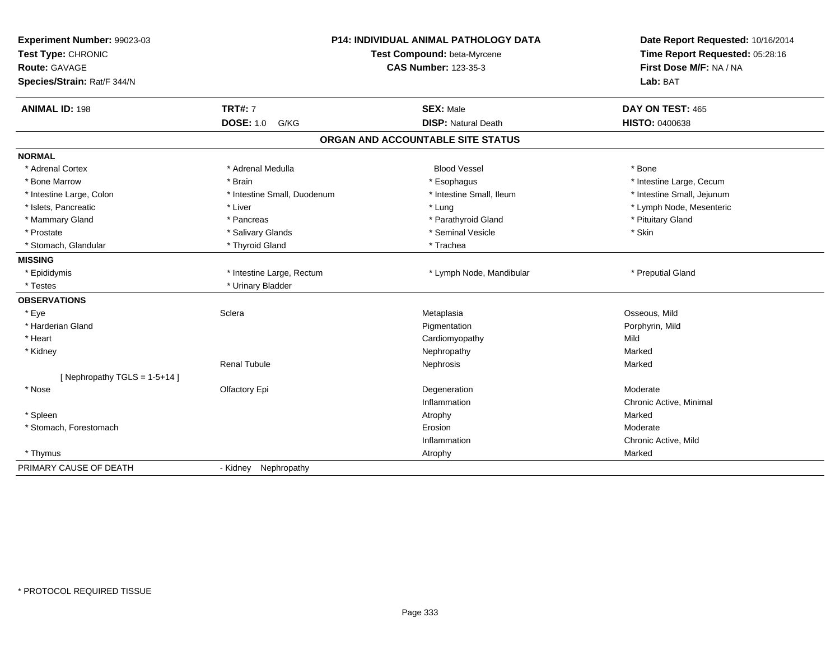| Experiment Number: 99023-03<br>Test Type: CHRONIC   |                             | <b>P14: INDIVIDUAL ANIMAL PATHOLOGY DATA</b><br>Test Compound: beta-Myrcene | Date Report Requested: 10/16/2014<br>Time Report Requested: 05:28:16 |
|-----------------------------------------------------|-----------------------------|-----------------------------------------------------------------------------|----------------------------------------------------------------------|
| <b>Route: GAVAGE</b><br>Species/Strain: Rat/F 344/N |                             | <b>CAS Number: 123-35-3</b>                                                 | First Dose M/F: NA / NA<br>Lab: BAT                                  |
| <b>ANIMAL ID: 198</b>                               | <b>TRT#: 7</b>              | <b>SEX: Male</b>                                                            | DAY ON TEST: 465                                                     |
|                                                     | <b>DOSE: 1.0</b><br>G/KG    | <b>DISP: Natural Death</b>                                                  | <b>HISTO: 0400638</b>                                                |
|                                                     |                             | ORGAN AND ACCOUNTABLE SITE STATUS                                           |                                                                      |
| <b>NORMAL</b>                                       |                             |                                                                             |                                                                      |
| * Adrenal Cortex                                    | * Adrenal Medulla           | <b>Blood Vessel</b>                                                         | * Bone                                                               |
| * Bone Marrow                                       | * Brain                     | * Esophagus                                                                 | * Intestine Large, Cecum                                             |
| * Intestine Large, Colon                            | * Intestine Small, Duodenum | * Intestine Small, Ileum                                                    | * Intestine Small, Jejunum                                           |
| * Islets, Pancreatic                                | * Liver                     | * Lung                                                                      | * Lymph Node, Mesenteric                                             |
| * Mammary Gland                                     | * Pancreas                  | * Parathyroid Gland                                                         | * Pituitary Gland                                                    |
| * Prostate                                          | * Salivary Glands           | * Seminal Vesicle                                                           | * Skin                                                               |
| * Stomach, Glandular                                | * Thyroid Gland             | * Trachea                                                                   |                                                                      |
| <b>MISSING</b>                                      |                             |                                                                             |                                                                      |
| * Epididymis                                        | * Intestine Large, Rectum   | * Lymph Node, Mandibular                                                    | * Preputial Gland                                                    |
| * Testes                                            | * Urinary Bladder           |                                                                             |                                                                      |
| <b>OBSERVATIONS</b>                                 |                             |                                                                             |                                                                      |
| * Eye                                               | Sclera                      | Metaplasia                                                                  | Osseous, Mild                                                        |
| * Harderian Gland                                   |                             | Pigmentation                                                                | Porphyrin, Mild                                                      |
| * Heart                                             |                             | Cardiomyopathy                                                              | Mild                                                                 |
| * Kidney                                            |                             | Nephropathy                                                                 | Marked                                                               |
|                                                     | <b>Renal Tubule</b>         | Nephrosis                                                                   | Marked                                                               |
| [Nephropathy TGLS = $1-5+14$ ]                      |                             |                                                                             |                                                                      |
| * Nose                                              | Olfactory Epi               | Degeneration                                                                | Moderate                                                             |
|                                                     |                             | Inflammation                                                                | Chronic Active, Minimal                                              |
| * Spleen                                            |                             | Atrophy                                                                     | Marked                                                               |
| * Stomach, Forestomach                              |                             | Erosion                                                                     | Moderate                                                             |
|                                                     |                             | Inflammation                                                                | Chronic Active, Mild                                                 |
| * Thymus                                            |                             | Atrophy                                                                     | Marked                                                               |
| PRIMARY CAUSE OF DEATH                              | Nephropathy<br>- Kidney     |                                                                             |                                                                      |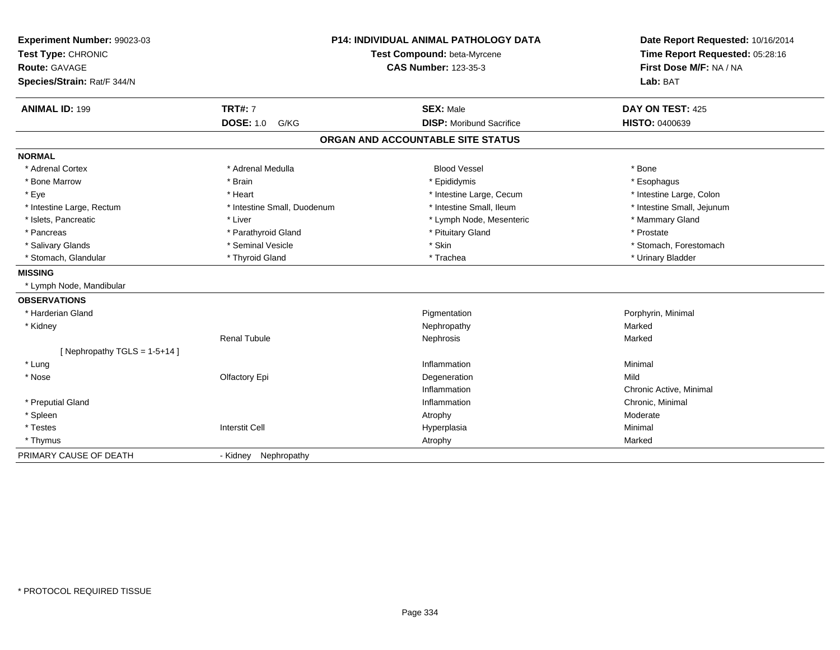| Experiment Number: 99023-03<br>Test Type: CHRONIC<br>Route: GAVAGE<br>Species/Strain: Rat/F 344/N |                             | <b>P14: INDIVIDUAL ANIMAL PATHOLOGY DATA</b><br>Test Compound: beta-Myrcene<br><b>CAS Number: 123-35-3</b> | Date Report Requested: 10/16/2014<br>Time Report Requested: 05:28:16<br>First Dose M/F: NA / NA<br>Lab: BAT |
|---------------------------------------------------------------------------------------------------|-----------------------------|------------------------------------------------------------------------------------------------------------|-------------------------------------------------------------------------------------------------------------|
| <b>ANIMAL ID: 199</b>                                                                             | <b>TRT#: 7</b>              | <b>SEX: Male</b>                                                                                           | DAY ON TEST: 425                                                                                            |
|                                                                                                   | <b>DOSE: 1.0</b><br>G/KG    | <b>DISP:</b> Moribund Sacrifice                                                                            | <b>HISTO: 0400639</b>                                                                                       |
|                                                                                                   |                             | ORGAN AND ACCOUNTABLE SITE STATUS                                                                          |                                                                                                             |
| <b>NORMAL</b>                                                                                     |                             |                                                                                                            |                                                                                                             |
| * Adrenal Cortex                                                                                  | * Adrenal Medulla           | <b>Blood Vessel</b>                                                                                        | * Bone                                                                                                      |
| * Bone Marrow                                                                                     | * Brain                     | * Epididymis                                                                                               | * Esophagus                                                                                                 |
| * Eye                                                                                             | * Heart                     | * Intestine Large, Cecum                                                                                   | * Intestine Large, Colon                                                                                    |
| * Intestine Large, Rectum                                                                         | * Intestine Small, Duodenum | * Intestine Small, Ileum                                                                                   | * Intestine Small, Jejunum                                                                                  |
| * Islets, Pancreatic                                                                              | * Liver                     | * Lymph Node, Mesenteric                                                                                   | * Mammary Gland                                                                                             |
| * Pancreas                                                                                        | * Parathyroid Gland         | * Pituitary Gland                                                                                          | * Prostate                                                                                                  |
| * Salivary Glands                                                                                 | * Seminal Vesicle           | * Skin                                                                                                     | * Stomach, Forestomach                                                                                      |
| * Stomach, Glandular                                                                              | * Thyroid Gland             | * Trachea                                                                                                  | * Urinary Bladder                                                                                           |
| <b>MISSING</b>                                                                                    |                             |                                                                                                            |                                                                                                             |
| * Lymph Node, Mandibular                                                                          |                             |                                                                                                            |                                                                                                             |
| <b>OBSERVATIONS</b>                                                                               |                             |                                                                                                            |                                                                                                             |
| * Harderian Gland                                                                                 |                             | Pigmentation                                                                                               | Porphyrin, Minimal                                                                                          |
| * Kidney                                                                                          |                             | Nephropathy                                                                                                | Marked                                                                                                      |
|                                                                                                   | <b>Renal Tubule</b>         | Nephrosis                                                                                                  | Marked                                                                                                      |
| [Nephropathy TGLS = 1-5+14]                                                                       |                             |                                                                                                            |                                                                                                             |
| * Lung                                                                                            |                             | Inflammation                                                                                               | Minimal                                                                                                     |
| * Nose                                                                                            | Olfactory Epi               | Degeneration                                                                                               | Mild                                                                                                        |
|                                                                                                   |                             | Inflammation                                                                                               | Chronic Active, Minimal                                                                                     |
| * Preputial Gland                                                                                 |                             | Inflammation                                                                                               | Chronic, Minimal                                                                                            |
| * Spleen                                                                                          |                             | Atrophy                                                                                                    | Moderate                                                                                                    |
| * Testes                                                                                          | <b>Interstit Cell</b>       | Hyperplasia                                                                                                | Minimal                                                                                                     |
| * Thymus                                                                                          |                             | Atrophy                                                                                                    | Marked                                                                                                      |
| PRIMARY CAUSE OF DEATH                                                                            | Nephropathy<br>- Kidney     |                                                                                                            |                                                                                                             |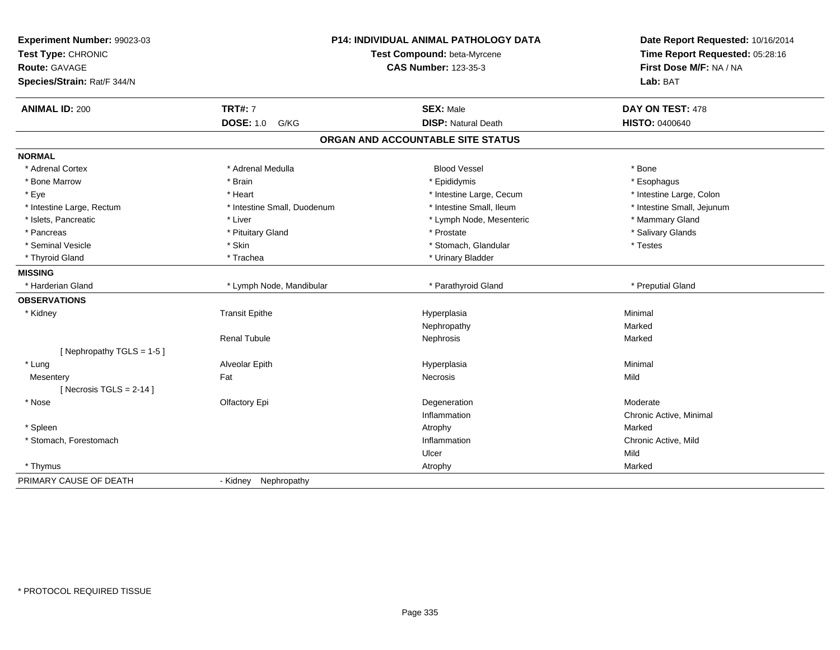| Experiment Number: 99023-03<br>Test Type: CHRONIC<br><b>Route: GAVAGE</b><br>Species/Strain: Rat/F 344/N | <b>P14: INDIVIDUAL ANIMAL PATHOLOGY DATA</b><br>Test Compound: beta-Myrcene<br><b>CAS Number: 123-35-3</b> |                                   | Date Report Requested: 10/16/2014<br>Time Report Requested: 05:28:16<br>First Dose M/F: NA / NA<br>Lab: BAT |
|----------------------------------------------------------------------------------------------------------|------------------------------------------------------------------------------------------------------------|-----------------------------------|-------------------------------------------------------------------------------------------------------------|
| <b>ANIMAL ID: 200</b>                                                                                    | <b>TRT#: 7</b>                                                                                             | <b>SEX: Male</b>                  | DAY ON TEST: 478                                                                                            |
|                                                                                                          | <b>DOSE: 1.0 G/KG</b>                                                                                      | <b>DISP: Natural Death</b>        | <b>HISTO: 0400640</b>                                                                                       |
|                                                                                                          |                                                                                                            | ORGAN AND ACCOUNTABLE SITE STATUS |                                                                                                             |
| <b>NORMAL</b>                                                                                            |                                                                                                            |                                   |                                                                                                             |
| * Adrenal Cortex                                                                                         | * Adrenal Medulla                                                                                          | <b>Blood Vessel</b>               | * Bone                                                                                                      |
| * Bone Marrow                                                                                            | * Brain                                                                                                    | * Epididymis                      | * Esophagus                                                                                                 |
| * Eye                                                                                                    | * Heart                                                                                                    | * Intestine Large, Cecum          | * Intestine Large, Colon                                                                                    |
| * Intestine Large, Rectum                                                                                | * Intestine Small, Duodenum                                                                                | * Intestine Small, Ileum          | * Intestine Small, Jejunum                                                                                  |
| * Islets, Pancreatic                                                                                     | * Liver                                                                                                    | * Lymph Node, Mesenteric          | * Mammary Gland                                                                                             |
| * Pancreas                                                                                               | * Pituitary Gland                                                                                          | * Prostate                        | * Salivary Glands                                                                                           |
| * Seminal Vesicle                                                                                        | * Skin                                                                                                     | * Stomach, Glandular              | * Testes                                                                                                    |
| * Thyroid Gland                                                                                          | * Trachea                                                                                                  | * Urinary Bladder                 |                                                                                                             |
| <b>MISSING</b>                                                                                           |                                                                                                            |                                   |                                                                                                             |
| * Harderian Gland                                                                                        | * Lymph Node, Mandibular                                                                                   | * Parathyroid Gland               | * Preputial Gland                                                                                           |
| <b>OBSERVATIONS</b>                                                                                      |                                                                                                            |                                   |                                                                                                             |
| * Kidney                                                                                                 | <b>Transit Epithe</b>                                                                                      | Hyperplasia                       | Minimal                                                                                                     |
|                                                                                                          |                                                                                                            | Nephropathy                       | Marked                                                                                                      |
|                                                                                                          | <b>Renal Tubule</b>                                                                                        | Nephrosis                         | Marked                                                                                                      |
| [ Nephropathy TGLS = $1-5$ ]                                                                             |                                                                                                            |                                   |                                                                                                             |
| * Lung                                                                                                   | Alveolar Epith                                                                                             | Hyperplasia                       | Minimal                                                                                                     |
| Mesentery                                                                                                | Fat                                                                                                        | Necrosis                          | Mild                                                                                                        |
| [Necrosis TGLS = $2-14$ ]                                                                                |                                                                                                            |                                   |                                                                                                             |
| * Nose                                                                                                   | Olfactory Epi                                                                                              | Degeneration                      | Moderate                                                                                                    |
|                                                                                                          |                                                                                                            | Inflammation                      | Chronic Active, Minimal                                                                                     |
| * Spleen                                                                                                 |                                                                                                            | Atrophy                           | Marked                                                                                                      |
| * Stomach, Forestomach                                                                                   |                                                                                                            | Inflammation                      | Chronic Active, Mild                                                                                        |
|                                                                                                          |                                                                                                            | Ulcer                             | Mild                                                                                                        |
| * Thymus                                                                                                 |                                                                                                            | Atrophy                           | Marked                                                                                                      |
| PRIMARY CAUSE OF DEATH                                                                                   | Nephropathy<br>- Kidney                                                                                    |                                   |                                                                                                             |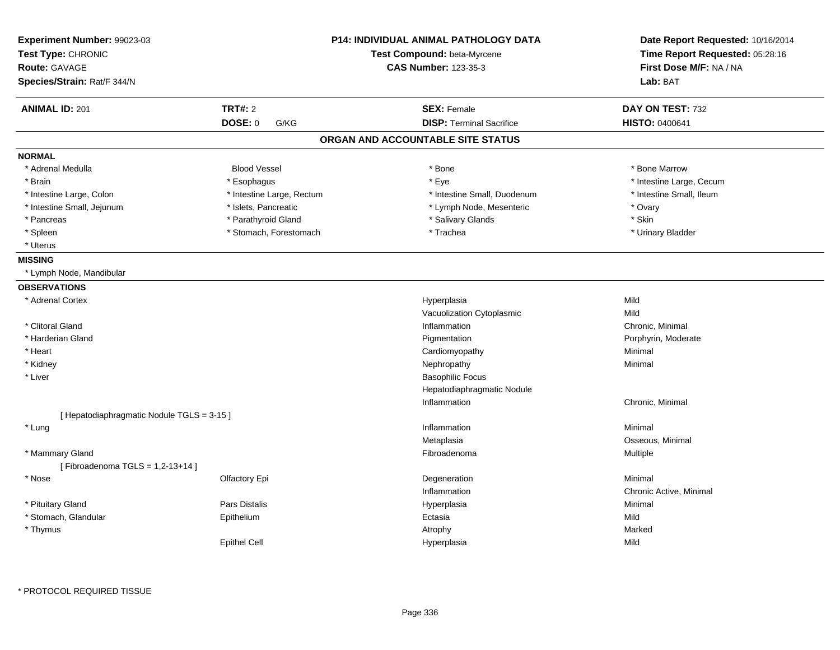| Experiment Number: 99023-03                |                           | <b>P14: INDIVIDUAL ANIMAL PATHOLOGY DATA</b> | Date Report Requested: 10/16/2014 |
|--------------------------------------------|---------------------------|----------------------------------------------|-----------------------------------|
| Test Type: CHRONIC                         |                           | Test Compound: beta-Myrcene                  | Time Report Requested: 05:28:16   |
| Route: GAVAGE                              |                           | <b>CAS Number: 123-35-3</b>                  | First Dose M/F: NA / NA           |
| Species/Strain: Rat/F 344/N                |                           |                                              | Lab: BAT                          |
| <b>ANIMAL ID: 201</b>                      | <b>TRT#: 2</b>            | <b>SEX: Female</b>                           | DAY ON TEST: 732                  |
|                                            | DOSE: 0<br>G/KG           | <b>DISP: Terminal Sacrifice</b>              | HISTO: 0400641                    |
|                                            |                           | ORGAN AND ACCOUNTABLE SITE STATUS            |                                   |
| <b>NORMAL</b>                              |                           |                                              |                                   |
| * Adrenal Medulla                          | <b>Blood Vessel</b>       | $*$ Bone                                     | * Bone Marrow                     |
| * Brain                                    | * Esophagus               | * Eye                                        | * Intestine Large, Cecum          |
| * Intestine Large, Colon                   | * Intestine Large, Rectum | * Intestine Small, Duodenum                  | * Intestine Small, Ileum          |
| * Intestine Small, Jejunum                 | * Islets, Pancreatic      | * Lymph Node, Mesenteric                     | * Ovary                           |
| * Pancreas                                 | * Parathyroid Gland       | * Salivary Glands                            | * Skin                            |
| * Spleen                                   | * Stomach, Forestomach    | * Trachea                                    | * Urinary Bladder                 |
| * Uterus                                   |                           |                                              |                                   |
| <b>MISSING</b>                             |                           |                                              |                                   |
| * Lymph Node, Mandibular                   |                           |                                              |                                   |
| <b>OBSERVATIONS</b>                        |                           |                                              |                                   |
| * Adrenal Cortex                           |                           | Hyperplasia                                  | Mild                              |
|                                            |                           | Vacuolization Cytoplasmic                    | Mild                              |
| * Clitoral Gland                           |                           | Inflammation                                 | Chronic, Minimal                  |
| * Harderian Gland                          |                           | Pigmentation                                 | Porphyrin, Moderate               |
| * Heart                                    |                           | Cardiomyopathy                               | Minimal                           |
| * Kidney                                   |                           | Nephropathy                                  | Minimal                           |
| * Liver                                    |                           | <b>Basophilic Focus</b>                      |                                   |
|                                            |                           | Hepatodiaphragmatic Nodule                   |                                   |
|                                            |                           | Inflammation                                 | Chronic, Minimal                  |
| [ Hepatodiaphragmatic Nodule TGLS = 3-15 ] |                           |                                              |                                   |
| * Lung                                     |                           | Inflammation                                 | Minimal                           |
|                                            |                           | Metaplasia                                   | Osseous, Minimal                  |
| * Mammary Gland                            |                           | Fibroadenoma                                 | Multiple                          |
| [Fibroadenoma TGLS = $1,2-13+14$ ]         |                           |                                              |                                   |
| * Nose                                     | Olfactory Epi             | Degeneration                                 | Minimal                           |
|                                            |                           | Inflammation                                 | Chronic Active, Minimal           |
| * Pituitary Gland                          | Pars Distalis             | Hyperplasia                                  | Minimal                           |
| * Stomach, Glandular                       | Epithelium                | Ectasia                                      | Mild                              |
| * Thymus                                   |                           | Atrophy                                      | Marked                            |
|                                            | <b>Epithel Cell</b>       | Hyperplasia                                  | Mild                              |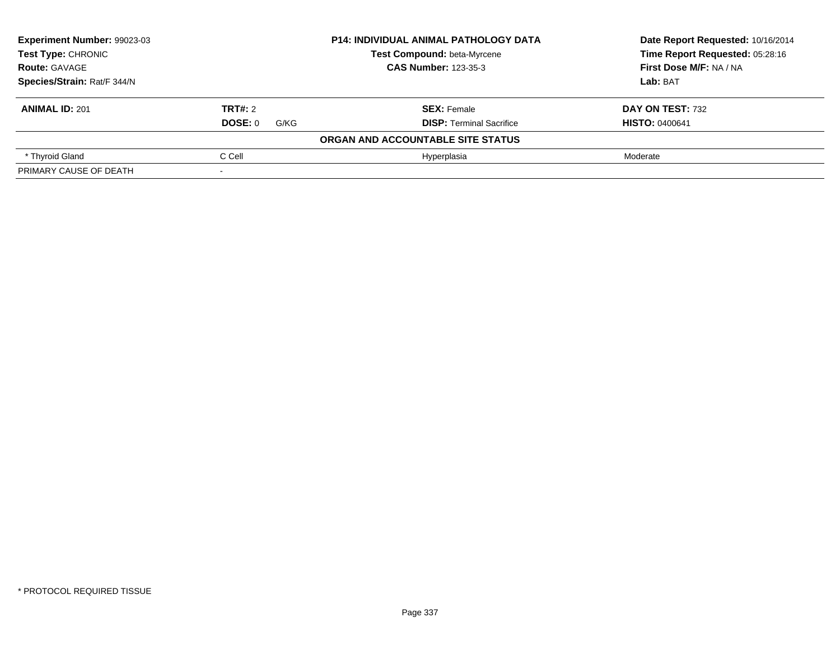| Experiment Number: 99023-03 |                        | <b>P14: INDIVIDUAL ANIMAL PATHOLOGY DATA</b> | Date Report Requested: 10/16/2014 |
|-----------------------------|------------------------|----------------------------------------------|-----------------------------------|
| Test Type: CHRONIC          |                        | <b>Test Compound: beta-Myrcene</b>           | Time Report Requested: 05:28:16   |
| <b>Route: GAVAGE</b>        |                        | <b>CAS Number: 123-35-3</b>                  | First Dose M/F: NA / NA           |
| Species/Strain: Rat/F 344/N |                        |                                              | Lab: BAT                          |
| <b>ANIMAL ID: 201</b>       | TRT#: 2                | <b>SEX: Female</b>                           | DAY ON TEST: 732                  |
|                             | <b>DOSE: 0</b><br>G/KG | <b>DISP:</b> Terminal Sacrifice              | <b>HISTO: 0400641</b>             |
|                             |                        | ORGAN AND ACCOUNTABLE SITE STATUS            |                                   |
| * Thyroid Gland             | C Cell                 | Hyperplasia                                  | Moderate                          |
| PRIMARY CAUSE OF DEATH      |                        |                                              |                                   |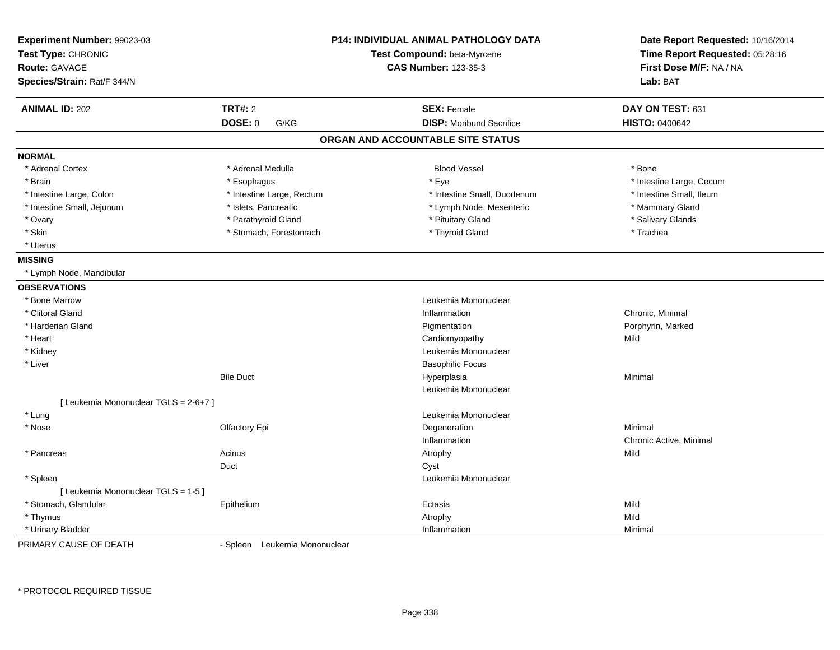| Experiment Number: 99023-03<br>Test Type: CHRONIC<br><b>Route: GAVAGE</b> |                           | <b>P14: INDIVIDUAL ANIMAL PATHOLOGY DATA</b><br>Test Compound: beta-Myrcene<br><b>CAS Number: 123-35-3</b> | Date Report Requested: 10/16/2014<br>Time Report Requested: 05:28:16<br>First Dose M/F: NA / NA |
|---------------------------------------------------------------------------|---------------------------|------------------------------------------------------------------------------------------------------------|-------------------------------------------------------------------------------------------------|
| Species/Strain: Rat/F 344/N                                               |                           |                                                                                                            | Lab: BAT                                                                                        |
| <b>ANIMAL ID: 202</b>                                                     | <b>TRT#: 2</b>            | <b>SEX: Female</b>                                                                                         | DAY ON TEST: 631                                                                                |
|                                                                           | <b>DOSE: 0</b><br>G/KG    | <b>DISP: Moribund Sacrifice</b>                                                                            | <b>HISTO: 0400642</b>                                                                           |
|                                                                           |                           | ORGAN AND ACCOUNTABLE SITE STATUS                                                                          |                                                                                                 |
| <b>NORMAL</b>                                                             |                           |                                                                                                            |                                                                                                 |
| * Adrenal Cortex                                                          | * Adrenal Medulla         | <b>Blood Vessel</b>                                                                                        | * Bone                                                                                          |
| * Brain                                                                   | * Esophagus               | * Eye                                                                                                      | * Intestine Large, Cecum                                                                        |
| * Intestine Large, Colon                                                  | * Intestine Large, Rectum | * Intestine Small, Duodenum                                                                                | * Intestine Small, Ileum                                                                        |
| * Intestine Small, Jejunum                                                | * Islets, Pancreatic      | * Lymph Node, Mesenteric                                                                                   | * Mammary Gland                                                                                 |
| * Ovary                                                                   | * Parathyroid Gland       | * Pituitary Gland                                                                                          | * Salivary Glands                                                                               |
| * Skin                                                                    | * Stomach, Forestomach    | * Thyroid Gland                                                                                            | * Trachea                                                                                       |
| * Uterus                                                                  |                           |                                                                                                            |                                                                                                 |
| <b>MISSING</b>                                                            |                           |                                                                                                            |                                                                                                 |
| * Lymph Node, Mandibular                                                  |                           |                                                                                                            |                                                                                                 |
| <b>OBSERVATIONS</b>                                                       |                           |                                                                                                            |                                                                                                 |
| * Bone Marrow                                                             |                           | Leukemia Mononuclear                                                                                       |                                                                                                 |
| * Clitoral Gland                                                          |                           | Inflammation                                                                                               | Chronic, Minimal                                                                                |
| * Harderian Gland                                                         |                           | Pigmentation                                                                                               | Porphyrin, Marked                                                                               |
| * Heart                                                                   |                           | Cardiomyopathy                                                                                             | Mild                                                                                            |
| * Kidney                                                                  |                           | Leukemia Mononuclear                                                                                       |                                                                                                 |
| * Liver                                                                   |                           | <b>Basophilic Focus</b>                                                                                    |                                                                                                 |
|                                                                           | <b>Bile Duct</b>          | Hyperplasia                                                                                                | Minimal                                                                                         |
|                                                                           |                           | Leukemia Mononuclear                                                                                       |                                                                                                 |
| [ Leukemia Mononuclear TGLS = 2-6+7 ]                                     |                           |                                                                                                            |                                                                                                 |
| * Lung                                                                    |                           | Leukemia Mononuclear                                                                                       |                                                                                                 |
| * Nose                                                                    | Olfactory Epi             | Degeneration                                                                                               | Minimal                                                                                         |
|                                                                           |                           | Inflammation                                                                                               | Chronic Active, Minimal                                                                         |
| * Pancreas                                                                | Acinus                    | Atrophy                                                                                                    | Mild                                                                                            |
|                                                                           | Duct                      | Cyst                                                                                                       |                                                                                                 |
| * Spleen                                                                  |                           | Leukemia Mononuclear                                                                                       |                                                                                                 |
| [ Leukemia Mononuclear TGLS = 1-5 ]                                       |                           |                                                                                                            |                                                                                                 |
| * Stomach, Glandular                                                      | Epithelium                | Ectasia                                                                                                    | Mild                                                                                            |
| * Thymus                                                                  |                           | Atrophy                                                                                                    | Mild                                                                                            |
| * Urinary Bladder                                                         |                           | Inflammation                                                                                               | Minimal                                                                                         |

PRIMARY CAUSE OF DEATH

- Spleen Leukemia Mononuclear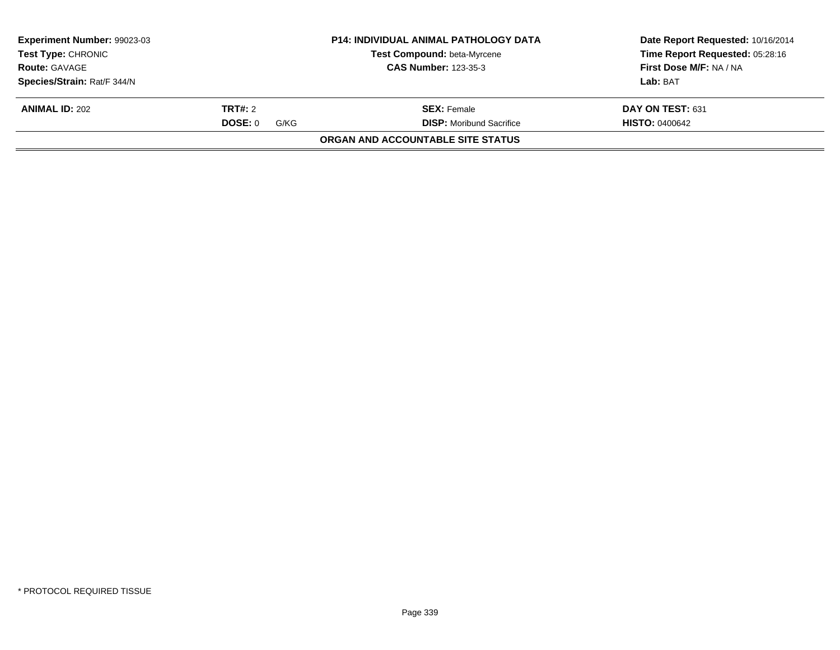| Experiment Number: 99023-03<br>Test Type: CHRONIC |                 | <b>P14: INDIVIDUAL ANIMAL PATHOLOGY DATA</b><br><b>Test Compound: beta-Myrcene</b> | Date Report Requested: 10/16/2014<br>Time Report Requested: 05:28:16 |
|---------------------------------------------------|-----------------|------------------------------------------------------------------------------------|----------------------------------------------------------------------|
| <b>Route: GAVAGE</b>                              |                 | <b>CAS Number: 123-35-3</b>                                                        | First Dose M/F: NA / NA                                              |
| Species/Strain: Rat/F 344/N                       |                 |                                                                                    | Lab: BAT                                                             |
| <b>ANIMAL ID: 202</b>                             | <b>TRT#: 2</b>  | <b>SEX:</b> Female                                                                 | DAY ON TEST: 631                                                     |
|                                                   | DOSE: 0<br>G/KG | <b>DISP:</b> Moribund Sacrifice                                                    | <b>HISTO: 0400642</b>                                                |
|                                                   |                 | ORGAN AND ACCOUNTABLE SITE STATUS                                                  |                                                                      |
|                                                   |                 |                                                                                    |                                                                      |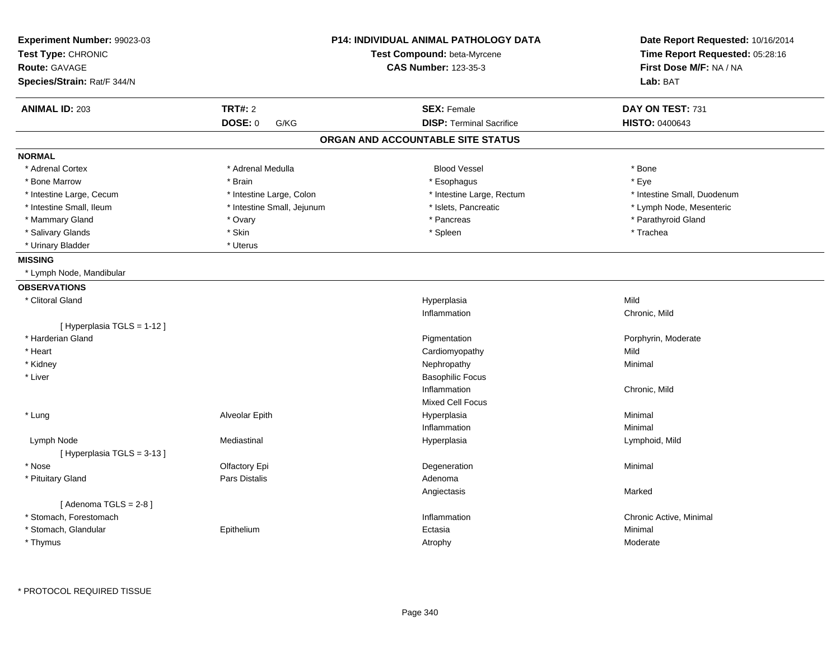| Experiment Number: 99023-03 |                            | <b>P14: INDIVIDUAL ANIMAL PATHOLOGY DATA</b> | Date Report Requested: 10/16/2014 |  |
|-----------------------------|----------------------------|----------------------------------------------|-----------------------------------|--|
| Test Type: CHRONIC          |                            | Test Compound: beta-Myrcene                  | Time Report Requested: 05:28:16   |  |
| <b>Route: GAVAGE</b>        |                            | <b>CAS Number: 123-35-3</b>                  | First Dose M/F: NA / NA           |  |
| Species/Strain: Rat/F 344/N |                            |                                              | Lab: BAT                          |  |
| <b>ANIMAL ID: 203</b>       | <b>TRT#: 2</b>             | <b>SEX: Female</b>                           | DAY ON TEST: 731                  |  |
|                             | <b>DOSE: 0</b><br>G/KG     | <b>DISP: Terminal Sacrifice</b>              | <b>HISTO: 0400643</b>             |  |
|                             |                            | ORGAN AND ACCOUNTABLE SITE STATUS            |                                   |  |
| <b>NORMAL</b>               |                            |                                              |                                   |  |
| * Adrenal Cortex            | * Adrenal Medulla          | <b>Blood Vessel</b>                          | * Bone                            |  |
| * Bone Marrow               | * Brain                    | * Esophagus                                  | * Eye                             |  |
| * Intestine Large, Cecum    | * Intestine Large, Colon   | * Intestine Large, Rectum                    | * Intestine Small, Duodenum       |  |
| * Intestine Small, Ileum    | * Intestine Small, Jejunum | * Islets, Pancreatic                         | * Lymph Node, Mesenteric          |  |
| * Mammary Gland             | * Ovary                    | * Pancreas                                   | * Parathyroid Gland               |  |
| * Salivary Glands           | * Skin                     | * Spleen                                     | * Trachea                         |  |
| * Urinary Bladder           | * Uterus                   |                                              |                                   |  |
| <b>MISSING</b>              |                            |                                              |                                   |  |
| * Lymph Node, Mandibular    |                            |                                              |                                   |  |
| <b>OBSERVATIONS</b>         |                            |                                              |                                   |  |
| * Clitoral Gland            |                            | Hyperplasia                                  | Mild                              |  |
|                             |                            | Inflammation                                 | Chronic, Mild                     |  |
| [Hyperplasia TGLS = 1-12]   |                            |                                              |                                   |  |
| * Harderian Gland           |                            | Pigmentation                                 | Porphyrin, Moderate               |  |
| * Heart                     |                            | Cardiomyopathy                               | Mild                              |  |
| * Kidney                    |                            | Nephropathy                                  | Minimal                           |  |
| * Liver                     |                            | <b>Basophilic Focus</b>                      |                                   |  |
|                             |                            | Inflammation                                 | Chronic, Mild                     |  |
|                             |                            | Mixed Cell Focus                             |                                   |  |
| * Lung                      | Alveolar Epith             | Hyperplasia                                  | Minimal                           |  |
|                             |                            | Inflammation                                 | Minimal                           |  |
| Lymph Node                  | Mediastinal                | Hyperplasia                                  | Lymphoid, Mild                    |  |
| [Hyperplasia TGLS = 3-13]   |                            |                                              |                                   |  |
| * Nose                      | Olfactory Epi              | Degeneration                                 | Minimal                           |  |
| * Pituitary Gland           | Pars Distalis              | Adenoma                                      |                                   |  |
|                             |                            | Angiectasis                                  | Marked                            |  |
| [Adenoma TGLS = $2-8$ ]     |                            |                                              |                                   |  |
| * Stomach. Forestomach      |                            | Inflammation                                 | Chronic Active, Minimal           |  |
| * Stomach, Glandular        | Epithelium                 | Ectasia                                      | Minimal                           |  |
| * Thymus                    |                            | Atrophy                                      | Moderate                          |  |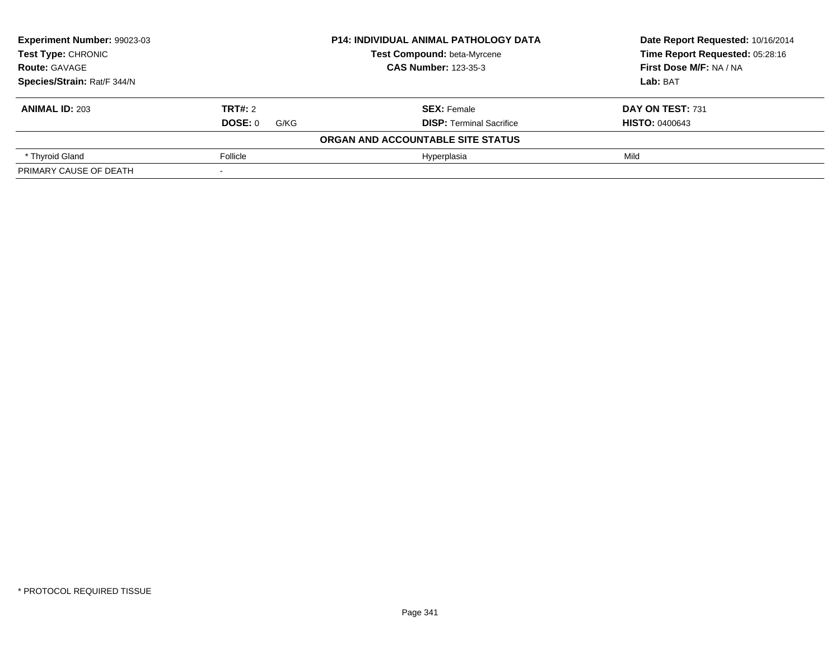| <b>Experiment Number: 99023-03</b><br><b>Test Type: CHRONIC</b> |                        | <b>P14: INDIVIDUAL ANIMAL PATHOLOGY DATA</b> | Date Report Requested: 10/16/2014<br>Time Report Requested: 05:28:16 |
|-----------------------------------------------------------------|------------------------|----------------------------------------------|----------------------------------------------------------------------|
|                                                                 |                        | Test Compound: beta-Myrcene                  |                                                                      |
| <b>Route: GAVAGE</b>                                            |                        | <b>CAS Number: 123-35-3</b>                  | First Dose M/F: NA / NA                                              |
| Species/Strain: Rat/F 344/N                                     |                        |                                              | Lab: BAT                                                             |
| <b>ANIMAL ID: 203</b>                                           | TRT#: 2                | <b>SEX: Female</b>                           | DAY ON TEST: 731                                                     |
|                                                                 | <b>DOSE: 0</b><br>G/KG | <b>DISP:</b> Terminal Sacrifice              | <b>HISTO: 0400643</b>                                                |
|                                                                 |                        | ORGAN AND ACCOUNTABLE SITE STATUS            |                                                                      |
| * Thyroid Gland                                                 | Follicle               | Hyperplasia                                  | Mild                                                                 |
| PRIMARY CAUSE OF DEATH                                          |                        |                                              |                                                                      |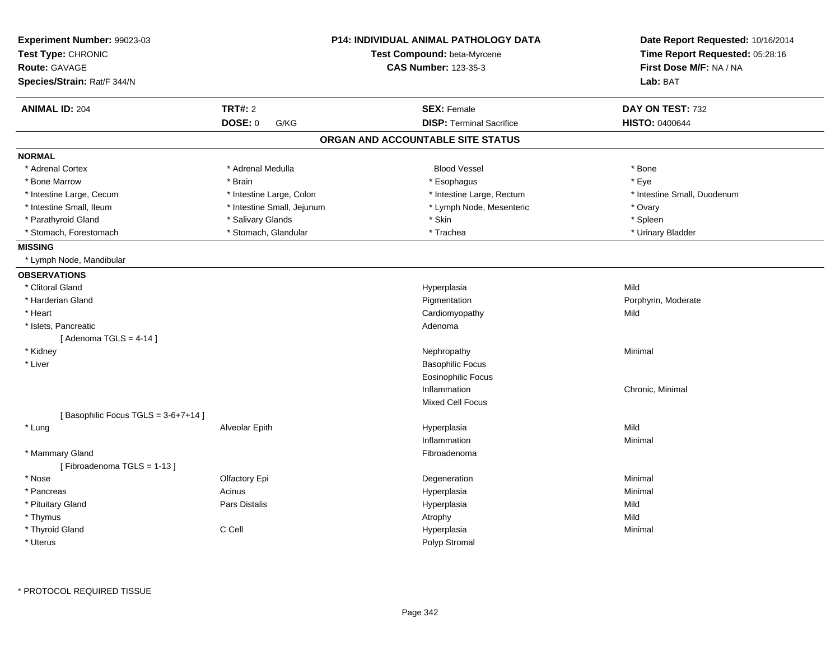| Experiment Number: 99023-03<br>Test Type: CHRONIC |                            | <b>P14: INDIVIDUAL ANIMAL PATHOLOGY DATA</b><br>Test Compound: beta-Myrcene | Date Report Requested: 10/16/2014<br>Time Report Requested: 05:28:16 |  |
|---------------------------------------------------|----------------------------|-----------------------------------------------------------------------------|----------------------------------------------------------------------|--|
| <b>Route: GAVAGE</b>                              |                            | <b>CAS Number: 123-35-3</b>                                                 | First Dose M/F: NA / NA                                              |  |
| Species/Strain: Rat/F 344/N                       |                            |                                                                             | Lab: BAT                                                             |  |
| <b>ANIMAL ID: 204</b>                             | <b>TRT#: 2</b>             | <b>SEX: Female</b>                                                          | DAY ON TEST: 732                                                     |  |
|                                                   | DOSE: 0<br>G/KG            | <b>DISP: Terminal Sacrifice</b>                                             | <b>HISTO: 0400644</b>                                                |  |
|                                                   |                            | ORGAN AND ACCOUNTABLE SITE STATUS                                           |                                                                      |  |
| <b>NORMAL</b>                                     |                            |                                                                             |                                                                      |  |
| * Adrenal Cortex                                  | * Adrenal Medulla          | <b>Blood Vessel</b>                                                         | * Bone                                                               |  |
| * Bone Marrow                                     | * Brain                    | * Esophagus                                                                 | * Eye                                                                |  |
| * Intestine Large, Cecum                          | * Intestine Large, Colon   | * Intestine Large, Rectum                                                   | * Intestine Small, Duodenum                                          |  |
| * Intestine Small, Ileum                          | * Intestine Small, Jejunum | * Lymph Node, Mesenteric                                                    | * Ovary                                                              |  |
| * Parathyroid Gland                               | * Salivary Glands          | * Skin                                                                      | * Spleen                                                             |  |
| * Stomach, Forestomach                            | * Stomach, Glandular       | * Trachea                                                                   | * Urinary Bladder                                                    |  |
| <b>MISSING</b>                                    |                            |                                                                             |                                                                      |  |
| * Lymph Node, Mandibular                          |                            |                                                                             |                                                                      |  |
| <b>OBSERVATIONS</b>                               |                            |                                                                             |                                                                      |  |
| * Clitoral Gland                                  |                            | Hyperplasia                                                                 | Mild                                                                 |  |
| * Harderian Gland                                 |                            | Pigmentation                                                                | Porphyrin, Moderate                                                  |  |
| * Heart                                           |                            | Cardiomyopathy                                                              | Mild                                                                 |  |
| * Islets, Pancreatic                              |                            | Adenoma                                                                     |                                                                      |  |
| [Adenoma TGLS = $4-14$ ]                          |                            |                                                                             |                                                                      |  |
| * Kidney                                          |                            | Nephropathy                                                                 | Minimal                                                              |  |
| * Liver                                           |                            | <b>Basophilic Focus</b>                                                     |                                                                      |  |
|                                                   |                            | <b>Eosinophilic Focus</b>                                                   |                                                                      |  |
|                                                   |                            | Inflammation                                                                | Chronic, Minimal                                                     |  |
|                                                   |                            | <b>Mixed Cell Focus</b>                                                     |                                                                      |  |
| [Basophilic Focus TGLS = 3-6+7+14]                |                            |                                                                             |                                                                      |  |
| * Lung                                            | Alveolar Epith             | Hyperplasia                                                                 | Mild                                                                 |  |
|                                                   |                            | Inflammation                                                                | Minimal                                                              |  |
| * Mammary Gland                                   |                            | Fibroadenoma                                                                |                                                                      |  |
| [Fibroadenoma TGLS = 1-13]                        |                            |                                                                             |                                                                      |  |
| * Nose                                            | Olfactory Epi              | Degeneration                                                                | Minimal                                                              |  |
| * Pancreas                                        | Acinus                     | Hyperplasia                                                                 | Minimal                                                              |  |
| * Pituitary Gland                                 | Pars Distalis              | Hyperplasia                                                                 | Mild                                                                 |  |
| * Thymus                                          |                            | Atrophy                                                                     | Mild                                                                 |  |
| * Thyroid Gland                                   | C Cell                     | Hyperplasia                                                                 | Minimal                                                              |  |
| * Uterus                                          |                            | Polyp Stromal                                                               |                                                                      |  |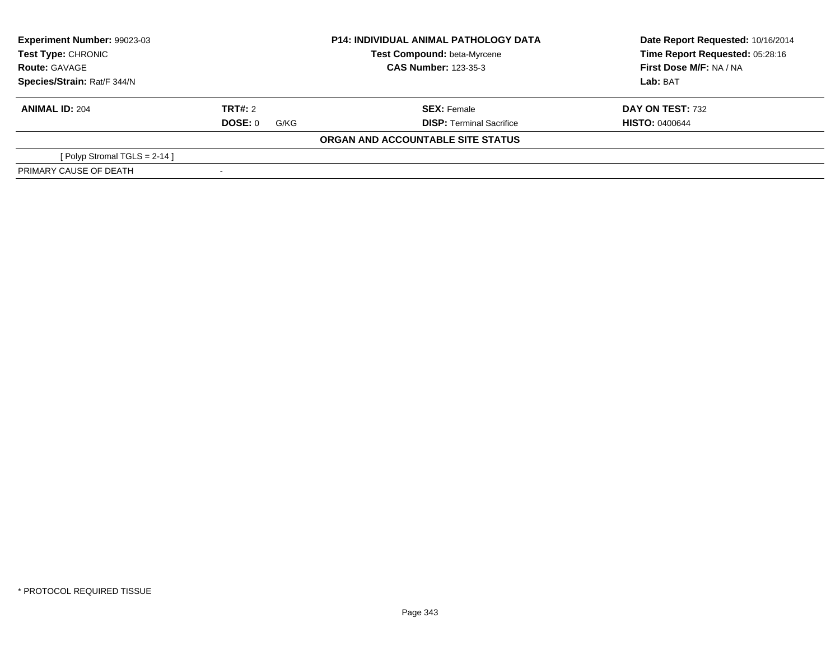| <b>Experiment Number: 99023-03</b><br><b>Test Type: CHRONIC</b> |                 | <b>P14: INDIVIDUAL ANIMAL PATHOLOGY DATA</b><br>Test Compound: beta-Myrcene | Date Report Requested: 10/16/2014<br>Time Report Requested: 05:28:16 |
|-----------------------------------------------------------------|-----------------|-----------------------------------------------------------------------------|----------------------------------------------------------------------|
| <b>Route: GAVAGE</b>                                            |                 | <b>CAS Number: 123-35-3</b>                                                 | First Dose M/F: NA / NA                                              |
| Species/Strain: Rat/F 344/N                                     |                 |                                                                             | <b>Lab:</b> BAT                                                      |
| <b>ANIMAL ID: 204</b>                                           | TRT#: 2         | <b>SEX: Female</b>                                                          | <b>DAY ON TEST: 732</b>                                              |
|                                                                 | DOSE: 0<br>G/KG | <b>DISP:</b> Terminal Sacrifice                                             | <b>HISTO: 0400644</b>                                                |
|                                                                 |                 | ORGAN AND ACCOUNTABLE SITE STATUS                                           |                                                                      |
| [ Polyp Stromal TGLS = $2-14$ ]                                 |                 |                                                                             |                                                                      |
| PRIMARY CAUSE OF DEATH                                          |                 |                                                                             |                                                                      |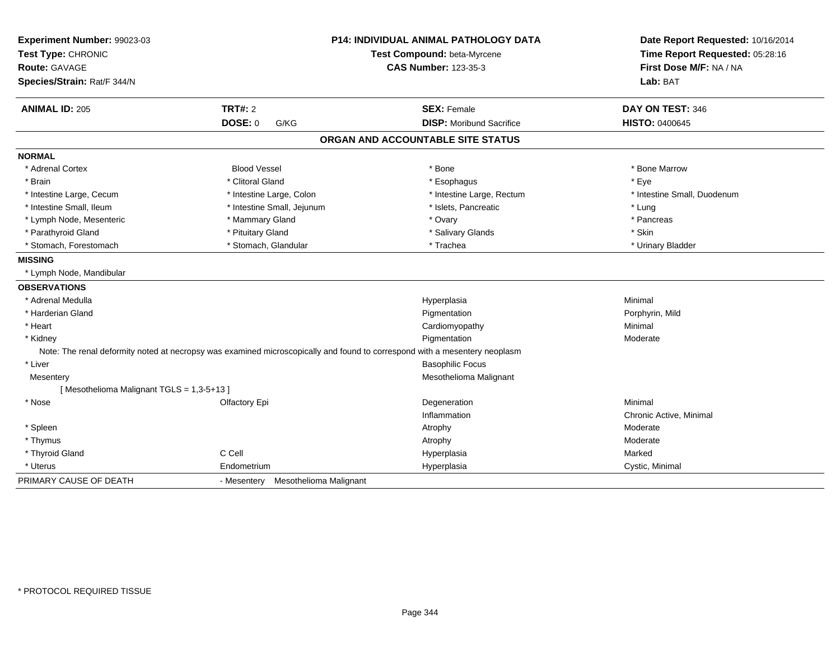| Experiment Number: 99023-03<br>Test Type: CHRONIC |                                    | <b>P14: INDIVIDUAL ANIMAL PATHOLOGY DATA</b><br>Test Compound: beta-Myrcene                                                | Date Report Requested: 10/16/2014<br>Time Report Requested: 05:28:16 |
|---------------------------------------------------|------------------------------------|----------------------------------------------------------------------------------------------------------------------------|----------------------------------------------------------------------|
| Route: GAVAGE<br>Species/Strain: Rat/F 344/N      |                                    | <b>CAS Number: 123-35-3</b>                                                                                                | First Dose M/F: NA / NA<br>Lab: BAT                                  |
|                                                   |                                    |                                                                                                                            |                                                                      |
| <b>ANIMAL ID: 205</b>                             | <b>TRT#: 2</b>                     | <b>SEX: Female</b>                                                                                                         | DAY ON TEST: 346                                                     |
|                                                   | <b>DOSE: 0</b><br>G/KG             | <b>DISP:</b> Moribund Sacrifice                                                                                            | <b>HISTO: 0400645</b>                                                |
|                                                   |                                    | ORGAN AND ACCOUNTABLE SITE STATUS                                                                                          |                                                                      |
| <b>NORMAL</b>                                     |                                    |                                                                                                                            |                                                                      |
| * Adrenal Cortex                                  | <b>Blood Vessel</b>                | * Bone                                                                                                                     | * Bone Marrow                                                        |
| * Brain                                           | * Clitoral Gland                   | * Esophagus                                                                                                                | * Eye                                                                |
| * Intestine Large, Cecum                          | * Intestine Large, Colon           | * Intestine Large, Rectum                                                                                                  | * Intestine Small, Duodenum                                          |
| * Intestine Small, Ileum                          | * Intestine Small, Jejunum         | * Islets, Pancreatic                                                                                                       | * Lung                                                               |
| * Lymph Node, Mesenteric                          | * Mammary Gland                    | * Ovary                                                                                                                    | * Pancreas                                                           |
| * Parathyroid Gland                               | * Pituitary Gland                  | * Salivary Glands                                                                                                          | * Skin                                                               |
| * Stomach, Forestomach                            | * Stomach, Glandular               | * Trachea                                                                                                                  | * Urinary Bladder                                                    |
| <b>MISSING</b>                                    |                                    |                                                                                                                            |                                                                      |
| * Lymph Node, Mandibular                          |                                    |                                                                                                                            |                                                                      |
| <b>OBSERVATIONS</b>                               |                                    |                                                                                                                            |                                                                      |
| * Adrenal Medulla                                 |                                    | Hyperplasia                                                                                                                | Minimal                                                              |
| * Harderian Gland                                 |                                    | Pigmentation                                                                                                               | Porphyrin, Mild                                                      |
| * Heart                                           |                                    | Cardiomyopathy                                                                                                             | Minimal                                                              |
| * Kidney                                          |                                    | Pigmentation                                                                                                               | Moderate                                                             |
|                                                   |                                    | Note: The renal deformity noted at necropsy was examined microscopically and found to correspond with a mesentery neoplasm |                                                                      |
| * Liver                                           |                                    | <b>Basophilic Focus</b>                                                                                                    |                                                                      |
| Mesentery                                         |                                    | Mesothelioma Malignant                                                                                                     |                                                                      |
| [Mesothelioma Malignant TGLS = 1,3-5+13]          |                                    |                                                                                                                            |                                                                      |
| * Nose                                            | Olfactory Epi                      | Degeneration                                                                                                               | Minimal                                                              |
|                                                   |                                    | Inflammation                                                                                                               | Chronic Active, Minimal                                              |
| * Spleen                                          |                                    | Atrophy                                                                                                                    | Moderate                                                             |
| * Thymus                                          |                                    | Atrophy                                                                                                                    | Moderate                                                             |
| * Thyroid Gland                                   | C Cell                             | Hyperplasia                                                                                                                | Marked                                                               |
| * Uterus                                          | Endometrium                        | Hyperplasia                                                                                                                | Cystic, Minimal                                                      |
| PRIMARY CAUSE OF DEATH                            | - Mesentery Mesothelioma Malignant |                                                                                                                            |                                                                      |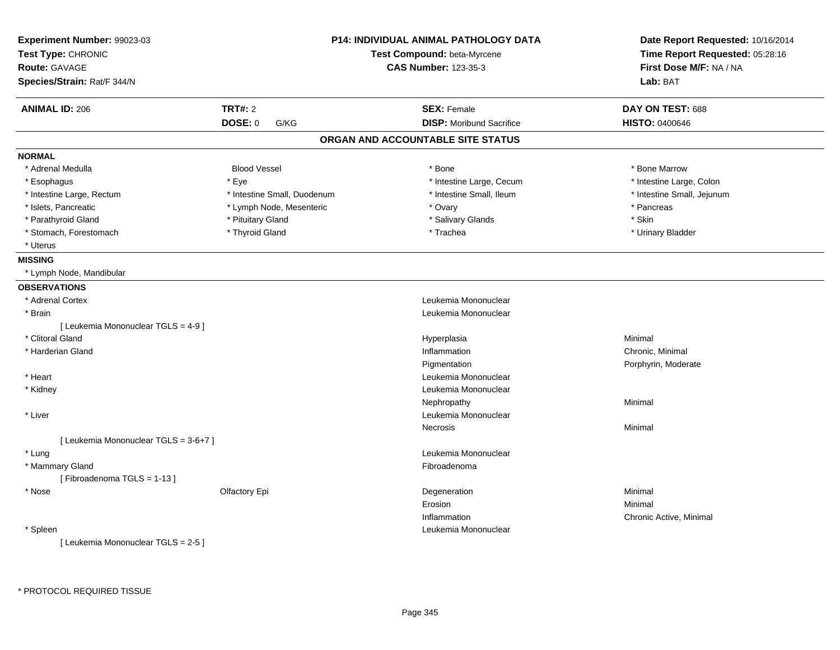| Experiment Number: 99023-03           |                             | <b>P14: INDIVIDUAL ANIMAL PATHOLOGY DATA</b> | Date Report Requested: 10/16/2014 |
|---------------------------------------|-----------------------------|----------------------------------------------|-----------------------------------|
| Test Type: CHRONIC                    | Test Compound: beta-Myrcene |                                              | Time Report Requested: 05:28:16   |
| Route: GAVAGE                         |                             | <b>CAS Number: 123-35-3</b>                  | First Dose M/F: NA / NA           |
| Species/Strain: Rat/F 344/N           |                             |                                              | Lab: BAT                          |
| <b>ANIMAL ID: 206</b>                 | TRT#: 2                     | <b>SEX: Female</b>                           | DAY ON TEST: 688                  |
|                                       | <b>DOSE: 0</b><br>G/KG      | <b>DISP: Moribund Sacrifice</b>              | <b>HISTO: 0400646</b>             |
|                                       |                             | ORGAN AND ACCOUNTABLE SITE STATUS            |                                   |
| <b>NORMAL</b>                         |                             |                                              |                                   |
| * Adrenal Medulla                     | <b>Blood Vessel</b>         | * Bone                                       | * Bone Marrow                     |
| * Esophagus                           | * Eye                       | * Intestine Large, Cecum                     | * Intestine Large, Colon          |
| * Intestine Large, Rectum             | * Intestine Small, Duodenum | * Intestine Small, Ileum                     | * Intestine Small, Jejunum        |
| * Islets, Pancreatic                  | * Lymph Node, Mesenteric    | * Ovary                                      | * Pancreas                        |
| * Parathyroid Gland                   | * Pituitary Gland           | * Salivary Glands                            | * Skin                            |
| * Stomach, Forestomach                | * Thyroid Gland             | * Trachea                                    | * Urinary Bladder                 |
| * Uterus                              |                             |                                              |                                   |
| <b>MISSING</b>                        |                             |                                              |                                   |
| * Lymph Node, Mandibular              |                             |                                              |                                   |
| <b>OBSERVATIONS</b>                   |                             |                                              |                                   |
| * Adrenal Cortex                      |                             | Leukemia Mononuclear                         |                                   |
| * Brain                               |                             | Leukemia Mononuclear                         |                                   |
| [ Leukemia Mononuclear TGLS = 4-9 ]   |                             |                                              |                                   |
| * Clitoral Gland                      |                             | Hyperplasia                                  | Minimal                           |
| * Harderian Gland                     |                             | Inflammation                                 | Chronic, Minimal                  |
|                                       |                             | Pigmentation                                 | Porphyrin, Moderate               |
| * Heart                               |                             | Leukemia Mononuclear                         |                                   |
| * Kidney                              |                             | Leukemia Mononuclear                         |                                   |
|                                       |                             | Nephropathy                                  | Minimal                           |
| * Liver                               |                             | Leukemia Mononuclear                         |                                   |
|                                       |                             | Necrosis                                     | Minimal                           |
| [ Leukemia Mononuclear TGLS = 3-6+7 ] |                             |                                              |                                   |
| * Lung                                |                             | Leukemia Mononuclear                         |                                   |
| * Mammary Gland                       |                             | Fibroadenoma                                 |                                   |
| [Fibroadenoma TGLS = 1-13]            |                             |                                              |                                   |
| * Nose                                | Olfactory Epi               | Degeneration                                 | Minimal                           |
|                                       |                             | Erosion                                      | Minimal                           |
|                                       |                             | Inflammation                                 | Chronic Active, Minimal           |
| * Spleen                              |                             | Leukemia Mononuclear                         |                                   |
| [ Leukemia Mononuclear TGLS = 2-5 ]   |                             |                                              |                                   |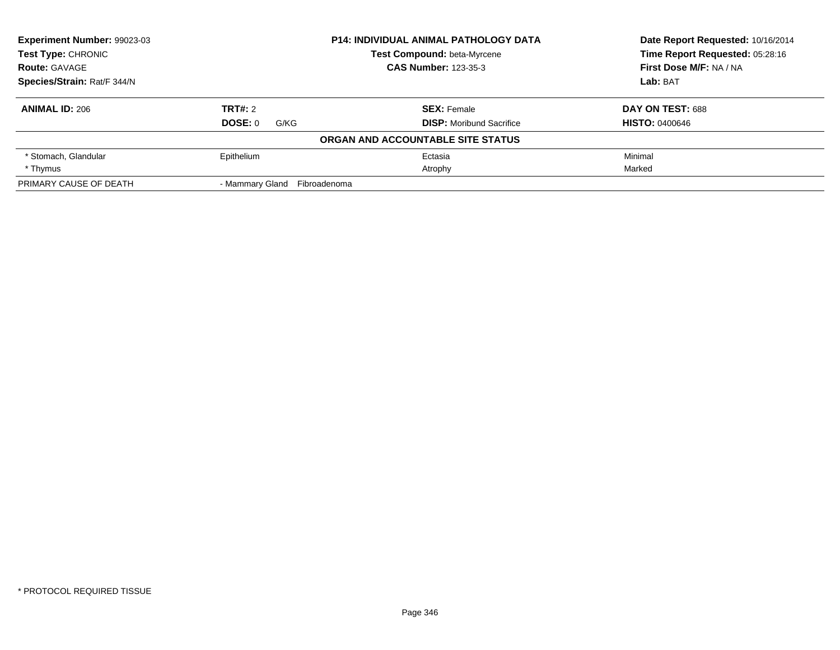| <b>Experiment Number: 99023-03</b> |                              | <b>P14: INDIVIDUAL ANIMAL PATHOLOGY DATA</b> | Date Report Requested: 10/16/2014 |
|------------------------------------|------------------------------|----------------------------------------------|-----------------------------------|
| Test Type: CHRONIC                 |                              | Test Compound: beta-Myrcene                  | Time Report Requested: 05:28:16   |
| <b>Route: GAVAGE</b>               |                              | <b>CAS Number: 123-35-3</b>                  | First Dose M/F: NA / NA           |
| Species/Strain: Rat/F 344/N        |                              |                                              | Lab: BAT                          |
| <b>ANIMAL ID: 206</b>              | <b>TRT#: 2</b>               | <b>SEX: Female</b>                           | DAY ON TEST: 688                  |
|                                    | DOSE: 0<br>G/KG              | <b>DISP:</b> Moribund Sacrifice              | <b>HISTO: 0400646</b>             |
|                                    |                              | ORGAN AND ACCOUNTABLE SITE STATUS            |                                   |
| * Stomach, Glandular               | Epithelium                   | Ectasia                                      | Minimal                           |
| * Thymus                           |                              | Atrophy                                      | Marked                            |
| PRIMARY CAUSE OF DEATH             | - Mammary Gland Fibroadenoma |                                              |                                   |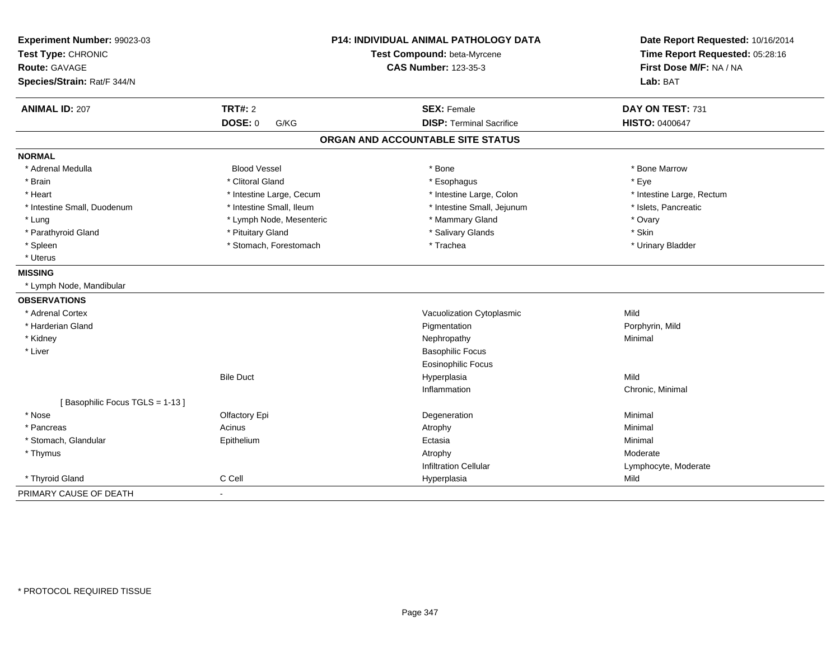| Experiment Number: 99023-03<br>Test Type: CHRONIC<br>Route: GAVAGE<br>Species/Strain: Rat/F 344/N |                          | P14: INDIVIDUAL ANIMAL PATHOLOGY DATA<br>Test Compound: beta-Myrcene<br><b>CAS Number: 123-35-3</b> | Date Report Requested: 10/16/2014<br>Time Report Requested: 05:28:16<br>First Dose M/F: NA / NA<br>Lab: BAT |
|---------------------------------------------------------------------------------------------------|--------------------------|-----------------------------------------------------------------------------------------------------|-------------------------------------------------------------------------------------------------------------|
| <b>ANIMAL ID: 207</b>                                                                             | <b>TRT#: 2</b>           | <b>SEX: Female</b>                                                                                  | DAY ON TEST: 731                                                                                            |
|                                                                                                   | DOSE: 0<br>G/KG          | <b>DISP: Terminal Sacrifice</b>                                                                     | HISTO: 0400647                                                                                              |
|                                                                                                   |                          | ORGAN AND ACCOUNTABLE SITE STATUS                                                                   |                                                                                                             |
| <b>NORMAL</b>                                                                                     |                          |                                                                                                     |                                                                                                             |
| * Adrenal Medulla                                                                                 | <b>Blood Vessel</b>      | * Bone                                                                                              | * Bone Marrow                                                                                               |
| * Brain                                                                                           | * Clitoral Gland         | * Esophagus                                                                                         | * Eye                                                                                                       |
| * Heart                                                                                           | * Intestine Large, Cecum | * Intestine Large, Colon                                                                            | * Intestine Large, Rectum                                                                                   |
| * Intestine Small, Duodenum                                                                       | * Intestine Small, Ileum | * Intestine Small, Jejunum                                                                          | * Islets, Pancreatic                                                                                        |
| * Lung                                                                                            | * Lymph Node, Mesenteric | * Mammary Gland                                                                                     | * Ovary                                                                                                     |
| * Parathyroid Gland                                                                               | * Pituitary Gland        | * Salivary Glands                                                                                   | * Skin                                                                                                      |
| * Spleen                                                                                          | * Stomach, Forestomach   | * Trachea                                                                                           | * Urinary Bladder                                                                                           |
| * Uterus                                                                                          |                          |                                                                                                     |                                                                                                             |
| <b>MISSING</b>                                                                                    |                          |                                                                                                     |                                                                                                             |
| * Lymph Node, Mandibular                                                                          |                          |                                                                                                     |                                                                                                             |
| <b>OBSERVATIONS</b>                                                                               |                          |                                                                                                     |                                                                                                             |
| * Adrenal Cortex                                                                                  |                          | Vacuolization Cytoplasmic                                                                           | Mild                                                                                                        |
| * Harderian Gland                                                                                 |                          | Pigmentation                                                                                        | Porphyrin, Mild                                                                                             |
| * Kidney                                                                                          |                          | Nephropathy                                                                                         | Minimal                                                                                                     |
| * Liver                                                                                           |                          | <b>Basophilic Focus</b>                                                                             |                                                                                                             |
|                                                                                                   |                          | <b>Eosinophilic Focus</b>                                                                           |                                                                                                             |
|                                                                                                   | <b>Bile Duct</b>         | Hyperplasia                                                                                         | Mild                                                                                                        |
|                                                                                                   |                          | Inflammation                                                                                        | Chronic, Minimal                                                                                            |
| [Basophilic Focus TGLS = 1-13]                                                                    |                          |                                                                                                     |                                                                                                             |
| * Nose                                                                                            | Olfactory Epi            | Degeneration                                                                                        | Minimal                                                                                                     |
| * Pancreas                                                                                        | Acinus                   | Atrophy                                                                                             | Minimal                                                                                                     |
| * Stomach, Glandular                                                                              | Epithelium               | Ectasia                                                                                             | Minimal                                                                                                     |
| * Thymus                                                                                          |                          | Atrophy                                                                                             | Moderate                                                                                                    |
|                                                                                                   |                          | <b>Infiltration Cellular</b>                                                                        | Lymphocyte, Moderate                                                                                        |
| * Thyroid Gland                                                                                   | C Cell                   | Hyperplasia                                                                                         | Mild                                                                                                        |
| PRIMARY CAUSE OF DEATH                                                                            | $\blacksquare$           |                                                                                                     |                                                                                                             |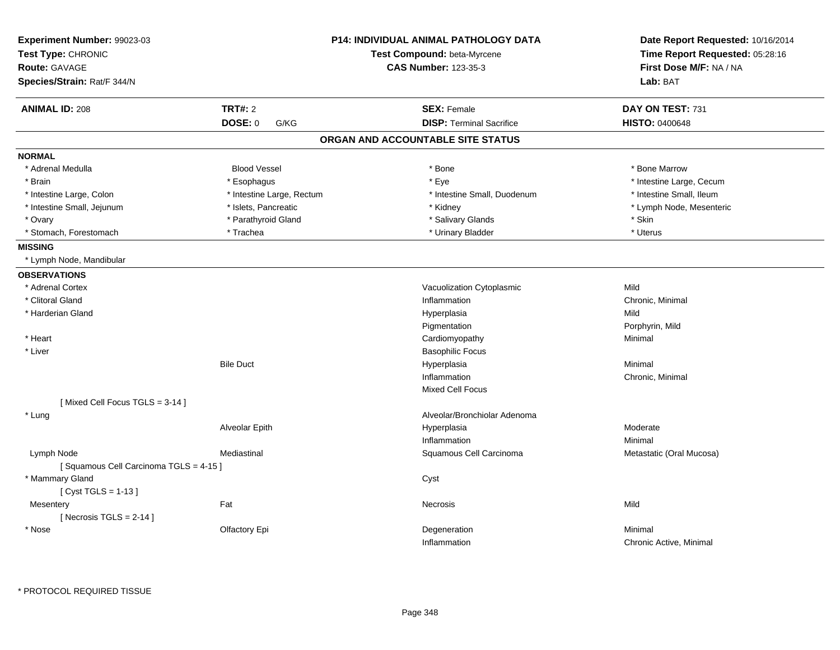| Experiment Number: 99023-03<br>Test Type: CHRONIC |                           | <b>P14: INDIVIDUAL ANIMAL PATHOLOGY DATA</b> | Date Report Requested: 10/16/2014<br>Time Report Requested: 05:28:16 |  |
|---------------------------------------------------|---------------------------|----------------------------------------------|----------------------------------------------------------------------|--|
|                                                   |                           | Test Compound: beta-Myrcene                  |                                                                      |  |
| <b>Route: GAVAGE</b>                              |                           | <b>CAS Number: 123-35-3</b>                  | First Dose M/F: NA / NA                                              |  |
| Species/Strain: Rat/F 344/N                       |                           |                                              | Lab: BAT                                                             |  |
| <b>ANIMAL ID: 208</b>                             | <b>TRT#: 2</b>            | <b>SEX: Female</b>                           | DAY ON TEST: 731                                                     |  |
|                                                   | DOSE: 0<br>G/KG           | <b>DISP: Terminal Sacrifice</b>              | <b>HISTO: 0400648</b>                                                |  |
|                                                   |                           | ORGAN AND ACCOUNTABLE SITE STATUS            |                                                                      |  |
| <b>NORMAL</b>                                     |                           |                                              |                                                                      |  |
| * Adrenal Medulla                                 | <b>Blood Vessel</b>       | $*$ Bone                                     | * Bone Marrow                                                        |  |
| * Brain                                           | * Esophagus               | * Eye                                        | * Intestine Large, Cecum                                             |  |
| * Intestine Large, Colon                          | * Intestine Large, Rectum | * Intestine Small, Duodenum                  | * Intestine Small, Ileum                                             |  |
| * Intestine Small, Jejunum                        | * Islets, Pancreatic      | * Kidney                                     | * Lymph Node, Mesenteric                                             |  |
| * Ovary                                           | * Parathyroid Gland       | * Salivary Glands                            | * Skin                                                               |  |
| * Stomach, Forestomach                            | * Trachea                 | * Urinary Bladder                            | * Uterus                                                             |  |
| <b>MISSING</b>                                    |                           |                                              |                                                                      |  |
| * Lymph Node, Mandibular                          |                           |                                              |                                                                      |  |
| <b>OBSERVATIONS</b>                               |                           |                                              |                                                                      |  |
| * Adrenal Cortex                                  |                           | Vacuolization Cytoplasmic                    | Mild                                                                 |  |
| * Clitoral Gland                                  |                           | Inflammation                                 | Chronic, Minimal                                                     |  |
| * Harderian Gland                                 |                           | Hyperplasia                                  | Mild                                                                 |  |
|                                                   |                           | Pigmentation                                 | Porphyrin, Mild                                                      |  |
| * Heart                                           |                           | Cardiomyopathy                               | Minimal                                                              |  |
| * Liver                                           |                           | <b>Basophilic Focus</b>                      |                                                                      |  |
|                                                   | <b>Bile Duct</b>          | Hyperplasia                                  | Minimal                                                              |  |
|                                                   |                           | Inflammation                                 | Chronic, Minimal                                                     |  |
|                                                   |                           | Mixed Cell Focus                             |                                                                      |  |
| [Mixed Cell Focus TGLS = 3-14]                    |                           |                                              |                                                                      |  |
| * Lung                                            |                           | Alveolar/Bronchiolar Adenoma                 |                                                                      |  |
|                                                   | Alveolar Epith            | Hyperplasia                                  | Moderate                                                             |  |
|                                                   |                           | Inflammation                                 | Minimal                                                              |  |
| Lymph Node                                        | Mediastinal               | Squamous Cell Carcinoma                      | Metastatic (Oral Mucosa)                                             |  |
| [Squamous Cell Carcinoma TGLS = 4-15]             |                           |                                              |                                                                      |  |
| * Mammary Gland                                   |                           | Cyst                                         |                                                                      |  |
| [ $Cyst TGLS = 1-13$ ]                            |                           |                                              |                                                                      |  |
| Mesentery                                         | Fat                       | Necrosis                                     | Mild                                                                 |  |
| [Necrosis $TGLS = 2-14$ ]                         |                           |                                              |                                                                      |  |
| * Nose                                            | Olfactory Epi             | Degeneration                                 | Minimal                                                              |  |
|                                                   |                           | Inflammation                                 | Chronic Active, Minimal                                              |  |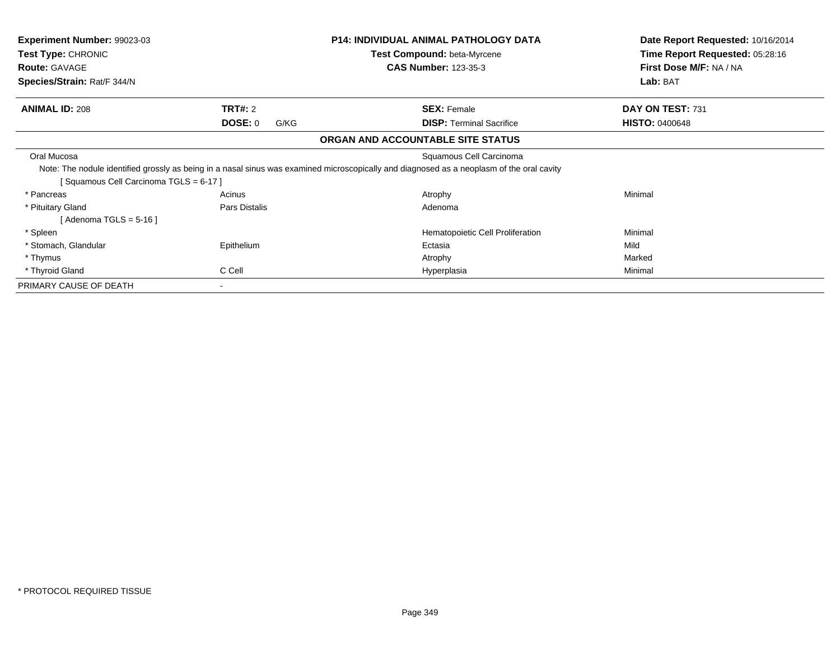| <b>Experiment Number: 99023-03</b><br>Test Type: CHRONIC<br><b>Route: GAVAGE</b><br>Species/Strain: Rat/F 344/N |                                   | <b>P14: INDIVIDUAL ANIMAL PATHOLOGY DATA</b><br>Test Compound: beta-Myrcene<br><b>CAS Number: 123-35-3</b>                                                           | Date Report Requested: 10/16/2014<br>Time Report Requested: 05:28:16<br>First Dose M/F: NA / NA<br>Lab: BAT |
|-----------------------------------------------------------------------------------------------------------------|-----------------------------------|----------------------------------------------------------------------------------------------------------------------------------------------------------------------|-------------------------------------------------------------------------------------------------------------|
| <b>ANIMAL ID: 208</b>                                                                                           | <b>TRT#: 2</b><br>DOSE: 0<br>G/KG | <b>SEX: Female</b><br><b>DISP:</b> Terminal Sacrifice                                                                                                                | DAY ON TEST: 731<br><b>HISTO: 0400648</b>                                                                   |
|                                                                                                                 |                                   | ORGAN AND ACCOUNTABLE SITE STATUS                                                                                                                                    |                                                                                                             |
| Oral Mucosa<br>Squamous Cell Carcinoma TGLS = 6-17 ]                                                            |                                   | Squamous Cell Carcinoma<br>Note: The nodule identified grossly as being in a nasal sinus was examined microscopically and diagnosed as a neoplasm of the oral cavity |                                                                                                             |
| * Pancreas<br>* Pituitary Gland<br>[ Adenoma TGLS = 5-16 ]                                                      | Acinus<br>Pars Distalis           | Atrophy<br>Adenoma                                                                                                                                                   | Minimal                                                                                                     |
| * Spleen<br>* Stomach, Glandular<br>* Thymus<br>* Thyroid Gland                                                 | Epithelium<br>C Cell              | Hematopoietic Cell Proliferation<br>Ectasia<br>Atrophy<br>Hyperplasia                                                                                                | Minimal<br>Mild<br>Marked<br>Minimal                                                                        |
| PRIMARY CAUSE OF DEATH                                                                                          | $\blacksquare$                    |                                                                                                                                                                      |                                                                                                             |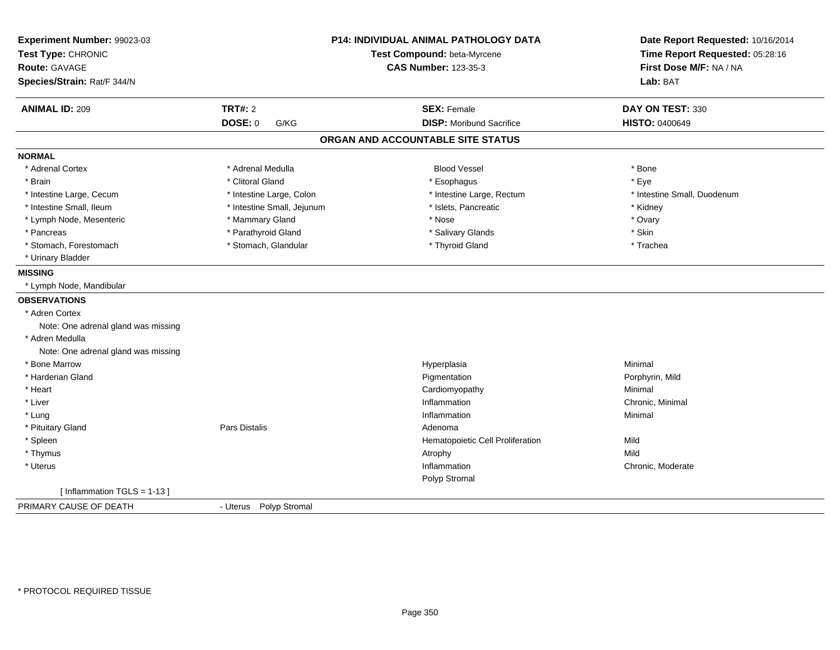| Experiment Number: 99023-03<br>Test Type: CHRONIC |                            | <b>P14: INDIVIDUAL ANIMAL PATHOLOGY DATA</b><br>Test Compound: beta-Myrcene | Date Report Requested: 10/16/2014<br>Time Report Requested: 05:28:16 |
|---------------------------------------------------|----------------------------|-----------------------------------------------------------------------------|----------------------------------------------------------------------|
| Route: GAVAGE                                     |                            | <b>CAS Number: 123-35-3</b>                                                 | First Dose M/F: NA / NA                                              |
| Species/Strain: Rat/F 344/N                       |                            |                                                                             | Lab: BAT                                                             |
| <b>ANIMAL ID: 209</b>                             | <b>TRT#: 2</b>             | <b>SEX: Female</b>                                                          | DAY ON TEST: 330                                                     |
|                                                   | <b>DOSE: 0</b><br>G/KG     | <b>DISP: Moribund Sacrifice</b>                                             | <b>HISTO: 0400649</b>                                                |
|                                                   |                            | ORGAN AND ACCOUNTABLE SITE STATUS                                           |                                                                      |
| <b>NORMAL</b>                                     |                            |                                                                             |                                                                      |
| * Adrenal Cortex                                  | * Adrenal Medulla          | <b>Blood Vessel</b>                                                         | * Bone                                                               |
| * Brain                                           | * Clitoral Gland           | * Esophagus                                                                 | * Eye                                                                |
| * Intestine Large, Cecum                          | * Intestine Large, Colon   | * Intestine Large, Rectum                                                   | * Intestine Small, Duodenum                                          |
| * Intestine Small, Ileum                          | * Intestine Small, Jejunum | * Islets, Pancreatic                                                        | * Kidney                                                             |
| * Lymph Node, Mesenteric                          | * Mammary Gland            | * Nose                                                                      | * Ovary                                                              |
| * Pancreas                                        | * Parathyroid Gland        | * Salivary Glands                                                           | * Skin                                                               |
| * Stomach, Forestomach                            | * Stomach, Glandular       | * Thyroid Gland                                                             | * Trachea                                                            |
| * Urinary Bladder                                 |                            |                                                                             |                                                                      |
| <b>MISSING</b>                                    |                            |                                                                             |                                                                      |
| * Lymph Node, Mandibular                          |                            |                                                                             |                                                                      |
| <b>OBSERVATIONS</b>                               |                            |                                                                             |                                                                      |
| * Adren Cortex                                    |                            |                                                                             |                                                                      |
| Note: One adrenal gland was missing               |                            |                                                                             |                                                                      |
| * Adren Medulla                                   |                            |                                                                             |                                                                      |
| Note: One adrenal gland was missing               |                            |                                                                             |                                                                      |
| * Bone Marrow                                     |                            | Hyperplasia                                                                 | Minimal                                                              |
| * Harderian Gland                                 |                            | Pigmentation                                                                | Porphyrin, Mild                                                      |
| * Heart                                           |                            | Cardiomyopathy                                                              | Minimal                                                              |
| * Liver                                           |                            | Inflammation                                                                | Chronic, Minimal                                                     |
| * Lung                                            |                            | Inflammation                                                                | Minimal                                                              |
| * Pituitary Gland                                 | Pars Distalis              | Adenoma                                                                     |                                                                      |
| * Spleen                                          |                            | Hematopoietic Cell Proliferation                                            | Mild                                                                 |
| * Thymus                                          |                            | Atrophy                                                                     | Mild                                                                 |
| * Uterus                                          |                            | Inflammation                                                                | Chronic, Moderate                                                    |
|                                                   |                            | Polyp Stromal                                                               |                                                                      |
| [Inflammation TGLS = $1-13$ ]                     |                            |                                                                             |                                                                      |
| PRIMARY CAUSE OF DEATH                            | - Uterus Polyp Stromal     |                                                                             |                                                                      |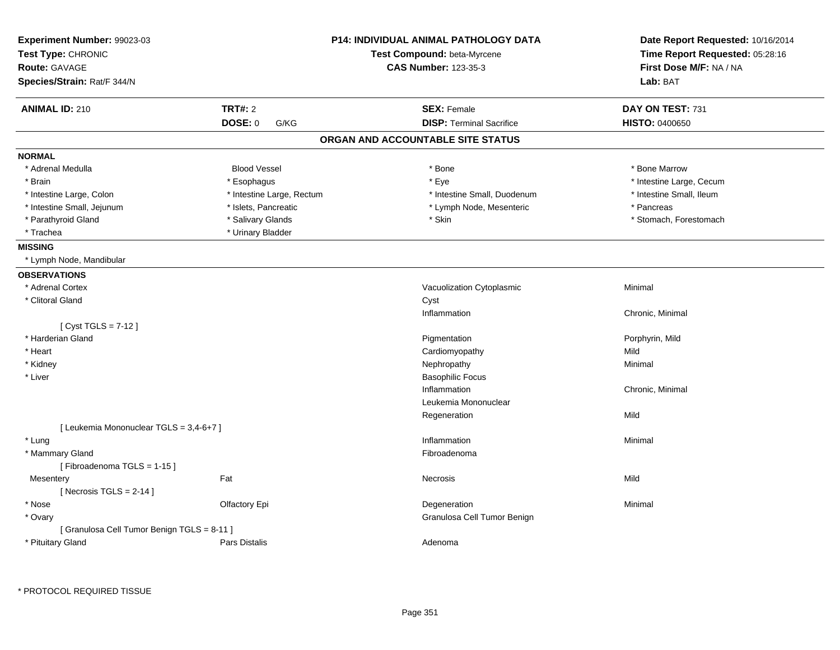| Lab: BAT<br><b>TRT#: 2</b><br><b>SEX: Female</b><br><b>ANIMAL ID: 210</b><br>DAY ON TEST: 731<br><b>DISP: Terminal Sacrifice</b><br><b>DOSE: 0</b><br><b>HISTO: 0400650</b><br>G/KG<br>ORGAN AND ACCOUNTABLE SITE STATUS<br>* Adrenal Medulla<br><b>Blood Vessel</b><br>* Bone Marrow<br>* Bone<br>* Brain<br>* Eye<br>* Intestine Large, Cecum<br>* Esophagus<br>* Intestine Large, Colon<br>* Intestine Large, Rectum<br>* Intestine Small, Duodenum<br>* Intestine Small, Ileum<br>* Intestine Small, Jejunum<br>* Islets, Pancreatic<br>* Pancreas<br>* Lymph Node, Mesenteric<br>* Parathyroid Gland<br>* Salivary Glands<br>* Skin<br>* Stomach, Forestomach<br>* Trachea<br>* Urinary Bladder<br>* Lymph Node, Mandibular<br>* Adrenal Cortex<br>Vacuolization Cytoplasmic<br>Minimal<br>* Clitoral Gland<br>Cyst<br>Inflammation<br>Chronic, Minimal<br>[ Cyst TGLS = 7-12 ]<br>* Harderian Gland<br>Pigmentation<br>Porphyrin, Mild<br>* Heart<br>Cardiomyopathy<br>Mild<br>* Kidney<br>Nephropathy<br>Minimal<br>* Liver<br><b>Basophilic Focus</b><br>Inflammation<br>Chronic, Minimal<br>Leukemia Mononuclear<br>Mild<br>Regeneration<br>[ Leukemia Mononuclear TGLS = 3,4-6+7 ]<br>* Lung<br>Inflammation<br>Minimal<br>* Mammary Gland<br>Fibroadenoma<br>[Fibroadenoma TGLS = 1-15]<br>Fat<br>Mild<br>Necrosis<br>Mesentery<br>[Necrosis TGLS = $2-14$ ]<br>* Nose<br>Olfactory Epi<br>Degeneration<br>Minimal<br>* Ovary<br>Granulosa Cell Tumor Benign<br>[ Granulosa Cell Tumor Benign TGLS = 8-11 ]<br>* Pituitary Gland<br><b>Pars Distalis</b><br>Adenoma | Experiment Number: 99023-03<br>Test Type: CHRONIC<br><b>Route: GAVAGE</b> | <b>P14: INDIVIDUAL ANIMAL PATHOLOGY DATA</b><br>Test Compound: beta-Myrcene<br><b>CAS Number: 123-35-3</b> | Date Report Requested: 10/16/2014<br>Time Report Requested: 05:28:16<br>First Dose M/F: NA / NA |  |
|--------------------------------------------------------------------------------------------------------------------------------------------------------------------------------------------------------------------------------------------------------------------------------------------------------------------------------------------------------------------------------------------------------------------------------------------------------------------------------------------------------------------------------------------------------------------------------------------------------------------------------------------------------------------------------------------------------------------------------------------------------------------------------------------------------------------------------------------------------------------------------------------------------------------------------------------------------------------------------------------------------------------------------------------------------------------------------------------------------------------------------------------------------------------------------------------------------------------------------------------------------------------------------------------------------------------------------------------------------------------------------------------------------------------------------------------------------------------------------------------------------------------------------------------------------------------------------|---------------------------------------------------------------------------|------------------------------------------------------------------------------------------------------------|-------------------------------------------------------------------------------------------------|--|
|                                                                                                                                                                                                                                                                                                                                                                                                                                                                                                                                                                                                                                                                                                                                                                                                                                                                                                                                                                                                                                                                                                                                                                                                                                                                                                                                                                                                                                                                                                                                                                                | Species/Strain: Rat/F 344/N                                               |                                                                                                            |                                                                                                 |  |
|                                                                                                                                                                                                                                                                                                                                                                                                                                                                                                                                                                                                                                                                                                                                                                                                                                                                                                                                                                                                                                                                                                                                                                                                                                                                                                                                                                                                                                                                                                                                                                                |                                                                           |                                                                                                            |                                                                                                 |  |
|                                                                                                                                                                                                                                                                                                                                                                                                                                                                                                                                                                                                                                                                                                                                                                                                                                                                                                                                                                                                                                                                                                                                                                                                                                                                                                                                                                                                                                                                                                                                                                                |                                                                           |                                                                                                            |                                                                                                 |  |
|                                                                                                                                                                                                                                                                                                                                                                                                                                                                                                                                                                                                                                                                                                                                                                                                                                                                                                                                                                                                                                                                                                                                                                                                                                                                                                                                                                                                                                                                                                                                                                                |                                                                           |                                                                                                            |                                                                                                 |  |
|                                                                                                                                                                                                                                                                                                                                                                                                                                                                                                                                                                                                                                                                                                                                                                                                                                                                                                                                                                                                                                                                                                                                                                                                                                                                                                                                                                                                                                                                                                                                                                                | <b>NORMAL</b>                                                             |                                                                                                            |                                                                                                 |  |
|                                                                                                                                                                                                                                                                                                                                                                                                                                                                                                                                                                                                                                                                                                                                                                                                                                                                                                                                                                                                                                                                                                                                                                                                                                                                                                                                                                                                                                                                                                                                                                                |                                                                           |                                                                                                            |                                                                                                 |  |
|                                                                                                                                                                                                                                                                                                                                                                                                                                                                                                                                                                                                                                                                                                                                                                                                                                                                                                                                                                                                                                                                                                                                                                                                                                                                                                                                                                                                                                                                                                                                                                                |                                                                           |                                                                                                            |                                                                                                 |  |
|                                                                                                                                                                                                                                                                                                                                                                                                                                                                                                                                                                                                                                                                                                                                                                                                                                                                                                                                                                                                                                                                                                                                                                                                                                                                                                                                                                                                                                                                                                                                                                                |                                                                           |                                                                                                            |                                                                                                 |  |
|                                                                                                                                                                                                                                                                                                                                                                                                                                                                                                                                                                                                                                                                                                                                                                                                                                                                                                                                                                                                                                                                                                                                                                                                                                                                                                                                                                                                                                                                                                                                                                                |                                                                           |                                                                                                            |                                                                                                 |  |
|                                                                                                                                                                                                                                                                                                                                                                                                                                                                                                                                                                                                                                                                                                                                                                                                                                                                                                                                                                                                                                                                                                                                                                                                                                                                                                                                                                                                                                                                                                                                                                                |                                                                           |                                                                                                            |                                                                                                 |  |
|                                                                                                                                                                                                                                                                                                                                                                                                                                                                                                                                                                                                                                                                                                                                                                                                                                                                                                                                                                                                                                                                                                                                                                                                                                                                                                                                                                                                                                                                                                                                                                                |                                                                           |                                                                                                            |                                                                                                 |  |
|                                                                                                                                                                                                                                                                                                                                                                                                                                                                                                                                                                                                                                                                                                                                                                                                                                                                                                                                                                                                                                                                                                                                                                                                                                                                                                                                                                                                                                                                                                                                                                                | <b>MISSING</b>                                                            |                                                                                                            |                                                                                                 |  |
|                                                                                                                                                                                                                                                                                                                                                                                                                                                                                                                                                                                                                                                                                                                                                                                                                                                                                                                                                                                                                                                                                                                                                                                                                                                                                                                                                                                                                                                                                                                                                                                |                                                                           |                                                                                                            |                                                                                                 |  |
|                                                                                                                                                                                                                                                                                                                                                                                                                                                                                                                                                                                                                                                                                                                                                                                                                                                                                                                                                                                                                                                                                                                                                                                                                                                                                                                                                                                                                                                                                                                                                                                | <b>OBSERVATIONS</b>                                                       |                                                                                                            |                                                                                                 |  |
|                                                                                                                                                                                                                                                                                                                                                                                                                                                                                                                                                                                                                                                                                                                                                                                                                                                                                                                                                                                                                                                                                                                                                                                                                                                                                                                                                                                                                                                                                                                                                                                |                                                                           |                                                                                                            |                                                                                                 |  |
|                                                                                                                                                                                                                                                                                                                                                                                                                                                                                                                                                                                                                                                                                                                                                                                                                                                                                                                                                                                                                                                                                                                                                                                                                                                                                                                                                                                                                                                                                                                                                                                |                                                                           |                                                                                                            |                                                                                                 |  |
|                                                                                                                                                                                                                                                                                                                                                                                                                                                                                                                                                                                                                                                                                                                                                                                                                                                                                                                                                                                                                                                                                                                                                                                                                                                                                                                                                                                                                                                                                                                                                                                |                                                                           |                                                                                                            |                                                                                                 |  |
|                                                                                                                                                                                                                                                                                                                                                                                                                                                                                                                                                                                                                                                                                                                                                                                                                                                                                                                                                                                                                                                                                                                                                                                                                                                                                                                                                                                                                                                                                                                                                                                |                                                                           |                                                                                                            |                                                                                                 |  |
|                                                                                                                                                                                                                                                                                                                                                                                                                                                                                                                                                                                                                                                                                                                                                                                                                                                                                                                                                                                                                                                                                                                                                                                                                                                                                                                                                                                                                                                                                                                                                                                |                                                                           |                                                                                                            |                                                                                                 |  |
|                                                                                                                                                                                                                                                                                                                                                                                                                                                                                                                                                                                                                                                                                                                                                                                                                                                                                                                                                                                                                                                                                                                                                                                                                                                                                                                                                                                                                                                                                                                                                                                |                                                                           |                                                                                                            |                                                                                                 |  |
|                                                                                                                                                                                                                                                                                                                                                                                                                                                                                                                                                                                                                                                                                                                                                                                                                                                                                                                                                                                                                                                                                                                                                                                                                                                                                                                                                                                                                                                                                                                                                                                |                                                                           |                                                                                                            |                                                                                                 |  |
|                                                                                                                                                                                                                                                                                                                                                                                                                                                                                                                                                                                                                                                                                                                                                                                                                                                                                                                                                                                                                                                                                                                                                                                                                                                                                                                                                                                                                                                                                                                                                                                |                                                                           |                                                                                                            |                                                                                                 |  |
|                                                                                                                                                                                                                                                                                                                                                                                                                                                                                                                                                                                                                                                                                                                                                                                                                                                                                                                                                                                                                                                                                                                                                                                                                                                                                                                                                                                                                                                                                                                                                                                |                                                                           |                                                                                                            |                                                                                                 |  |
|                                                                                                                                                                                                                                                                                                                                                                                                                                                                                                                                                                                                                                                                                                                                                                                                                                                                                                                                                                                                                                                                                                                                                                                                                                                                                                                                                                                                                                                                                                                                                                                |                                                                           |                                                                                                            |                                                                                                 |  |
|                                                                                                                                                                                                                                                                                                                                                                                                                                                                                                                                                                                                                                                                                                                                                                                                                                                                                                                                                                                                                                                                                                                                                                                                                                                                                                                                                                                                                                                                                                                                                                                |                                                                           |                                                                                                            |                                                                                                 |  |
|                                                                                                                                                                                                                                                                                                                                                                                                                                                                                                                                                                                                                                                                                                                                                                                                                                                                                                                                                                                                                                                                                                                                                                                                                                                                                                                                                                                                                                                                                                                                                                                |                                                                           |                                                                                                            |                                                                                                 |  |
|                                                                                                                                                                                                                                                                                                                                                                                                                                                                                                                                                                                                                                                                                                                                                                                                                                                                                                                                                                                                                                                                                                                                                                                                                                                                                                                                                                                                                                                                                                                                                                                |                                                                           |                                                                                                            |                                                                                                 |  |
|                                                                                                                                                                                                                                                                                                                                                                                                                                                                                                                                                                                                                                                                                                                                                                                                                                                                                                                                                                                                                                                                                                                                                                                                                                                                                                                                                                                                                                                                                                                                                                                |                                                                           |                                                                                                            |                                                                                                 |  |
|                                                                                                                                                                                                                                                                                                                                                                                                                                                                                                                                                                                                                                                                                                                                                                                                                                                                                                                                                                                                                                                                                                                                                                                                                                                                                                                                                                                                                                                                                                                                                                                |                                                                           |                                                                                                            |                                                                                                 |  |
|                                                                                                                                                                                                                                                                                                                                                                                                                                                                                                                                                                                                                                                                                                                                                                                                                                                                                                                                                                                                                                                                                                                                                                                                                                                                                                                                                                                                                                                                                                                                                                                |                                                                           |                                                                                                            |                                                                                                 |  |
|                                                                                                                                                                                                                                                                                                                                                                                                                                                                                                                                                                                                                                                                                                                                                                                                                                                                                                                                                                                                                                                                                                                                                                                                                                                                                                                                                                                                                                                                                                                                                                                |                                                                           |                                                                                                            |                                                                                                 |  |
|                                                                                                                                                                                                                                                                                                                                                                                                                                                                                                                                                                                                                                                                                                                                                                                                                                                                                                                                                                                                                                                                                                                                                                                                                                                                                                                                                                                                                                                                                                                                                                                |                                                                           |                                                                                                            |                                                                                                 |  |
|                                                                                                                                                                                                                                                                                                                                                                                                                                                                                                                                                                                                                                                                                                                                                                                                                                                                                                                                                                                                                                                                                                                                                                                                                                                                                                                                                                                                                                                                                                                                                                                |                                                                           |                                                                                                            |                                                                                                 |  |
|                                                                                                                                                                                                                                                                                                                                                                                                                                                                                                                                                                                                                                                                                                                                                                                                                                                                                                                                                                                                                                                                                                                                                                                                                                                                                                                                                                                                                                                                                                                                                                                |                                                                           |                                                                                                            |                                                                                                 |  |
|                                                                                                                                                                                                                                                                                                                                                                                                                                                                                                                                                                                                                                                                                                                                                                                                                                                                                                                                                                                                                                                                                                                                                                                                                                                                                                                                                                                                                                                                                                                                                                                |                                                                           |                                                                                                            |                                                                                                 |  |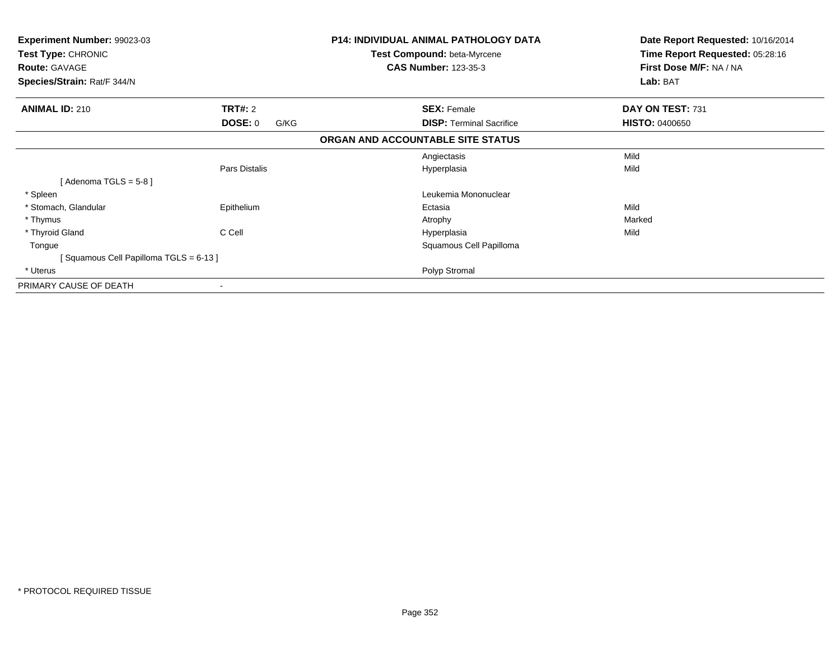| Experiment Number: 99023-03<br>Test Type: CHRONIC<br><b>Route: GAVAGE</b> |                 | <b>P14: INDIVIDUAL ANIMAL PATHOLOGY DATA</b><br>Test Compound: beta-Myrcene<br><b>CAS Number: 123-35-3</b> | Date Report Requested: 10/16/2014<br>Time Report Requested: 05:28:16<br>First Dose M/F: NA / NA |
|---------------------------------------------------------------------------|-----------------|------------------------------------------------------------------------------------------------------------|-------------------------------------------------------------------------------------------------|
| Species/Strain: Rat/F 344/N                                               |                 |                                                                                                            | Lab: BAT                                                                                        |
| <b>ANIMAL ID: 210</b>                                                     | <b>TRT#: 2</b>  | <b>SEX: Female</b>                                                                                         | DAY ON TEST: 731                                                                                |
|                                                                           | DOSE: 0<br>G/KG | <b>DISP:</b> Terminal Sacrifice                                                                            | <b>HISTO: 0400650</b>                                                                           |
|                                                                           |                 | ORGAN AND ACCOUNTABLE SITE STATUS                                                                          |                                                                                                 |
|                                                                           |                 | Angiectasis                                                                                                | Mild                                                                                            |
|                                                                           | Pars Distalis   | Hyperplasia                                                                                                | Mild                                                                                            |
| [Adenoma TGLS = $5-8$ ]                                                   |                 |                                                                                                            |                                                                                                 |
| * Spleen                                                                  |                 | Leukemia Mononuclear                                                                                       |                                                                                                 |
| * Stomach, Glandular                                                      | Epithelium      | Ectasia                                                                                                    | Mild                                                                                            |
| * Thymus                                                                  |                 | Atrophy                                                                                                    | Marked                                                                                          |
| * Thyroid Gland                                                           | C Cell          | Hyperplasia                                                                                                | Mild                                                                                            |
| Tongue                                                                    |                 | Squamous Cell Papilloma                                                                                    |                                                                                                 |
| [Squamous Cell Papilloma TGLS = 6-13]                                     |                 |                                                                                                            |                                                                                                 |
| * Uterus                                                                  |                 | Polyp Stromal                                                                                              |                                                                                                 |
| PRIMARY CAUSE OF DEATH                                                    | ۰               |                                                                                                            |                                                                                                 |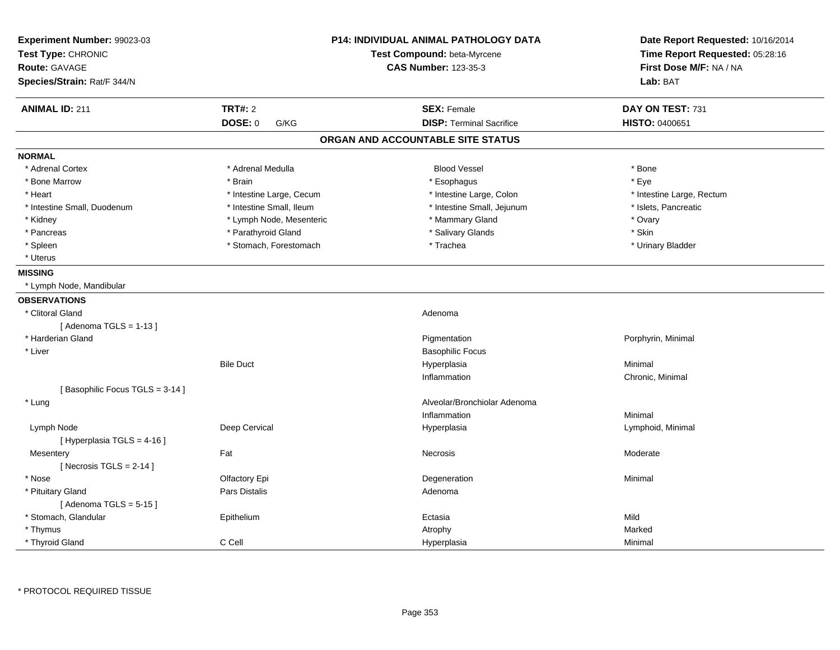| Experiment Number: 99023-03<br>Test Type: CHRONIC |                          | <b>P14: INDIVIDUAL ANIMAL PATHOLOGY DATA</b><br>Test Compound: beta-Myrcene | Date Report Requested: 10/16/2014<br>Time Report Requested: 05:28:16 |
|---------------------------------------------------|--------------------------|-----------------------------------------------------------------------------|----------------------------------------------------------------------|
| Route: GAVAGE                                     |                          | <b>CAS Number: 123-35-3</b>                                                 | First Dose M/F: NA / NA                                              |
| Species/Strain: Rat/F 344/N                       |                          |                                                                             | Lab: BAT                                                             |
| <b>ANIMAL ID: 211</b>                             | <b>TRT#: 2</b>           | <b>SEX: Female</b>                                                          | DAY ON TEST: 731                                                     |
|                                                   | DOSE: 0<br>G/KG          | <b>DISP: Terminal Sacrifice</b>                                             | HISTO: 0400651                                                       |
|                                                   |                          | ORGAN AND ACCOUNTABLE SITE STATUS                                           |                                                                      |
| <b>NORMAL</b>                                     |                          |                                                                             |                                                                      |
| * Adrenal Cortex                                  | * Adrenal Medulla        | <b>Blood Vessel</b>                                                         | * Bone                                                               |
| * Bone Marrow                                     | * Brain                  | * Esophagus                                                                 | * Eye                                                                |
| * Heart                                           | * Intestine Large, Cecum | * Intestine Large, Colon                                                    | * Intestine Large, Rectum                                            |
| * Intestine Small, Duodenum                       | * Intestine Small, Ileum | * Intestine Small, Jejunum                                                  | * Islets, Pancreatic                                                 |
| * Kidney                                          | * Lymph Node, Mesenteric | * Mammary Gland                                                             | * Ovary                                                              |
| * Pancreas                                        | * Parathyroid Gland      | * Salivary Glands                                                           | * Skin                                                               |
| * Spleen                                          | * Stomach, Forestomach   | * Trachea                                                                   | * Urinary Bladder                                                    |
| * Uterus                                          |                          |                                                                             |                                                                      |
| <b>MISSING</b>                                    |                          |                                                                             |                                                                      |
| * Lymph Node, Mandibular                          |                          |                                                                             |                                                                      |
| <b>OBSERVATIONS</b>                               |                          |                                                                             |                                                                      |
| * Clitoral Gland                                  |                          | Adenoma                                                                     |                                                                      |
| [Adenoma TGLS = $1-13$ ]                          |                          |                                                                             |                                                                      |
| * Harderian Gland                                 |                          | Pigmentation                                                                | Porphyrin, Minimal                                                   |
| * Liver                                           |                          | <b>Basophilic Focus</b>                                                     |                                                                      |
|                                                   | <b>Bile Duct</b>         | Hyperplasia                                                                 | Minimal                                                              |
|                                                   |                          | Inflammation                                                                | Chronic, Minimal                                                     |
| [Basophilic Focus TGLS = 3-14]                    |                          |                                                                             |                                                                      |
| * Lung                                            |                          | Alveolar/Bronchiolar Adenoma                                                |                                                                      |
|                                                   |                          | Inflammation                                                                | Minimal                                                              |
| Lymph Node                                        | Deep Cervical            | Hyperplasia                                                                 | Lymphoid, Minimal                                                    |
| [ Hyperplasia TGLS = 4-16 ]                       |                          |                                                                             |                                                                      |
| Mesentery                                         | Fat                      | Necrosis                                                                    | Moderate                                                             |
| [Necrosis TGLS = $2-14$ ]                         |                          |                                                                             |                                                                      |
| * Nose                                            | Olfactory Epi            | Degeneration                                                                | Minimal                                                              |
| * Pituitary Gland                                 | Pars Distalis            | Adenoma                                                                     |                                                                      |
| [Adenoma TGLS = $5-15$ ]                          |                          |                                                                             |                                                                      |
| * Stomach, Glandular                              | Epithelium               | Ectasia                                                                     | Mild                                                                 |
| * Thymus                                          |                          | Atrophy                                                                     | Marked                                                               |
| * Thyroid Gland                                   | C Cell                   | Hyperplasia                                                                 | Minimal                                                              |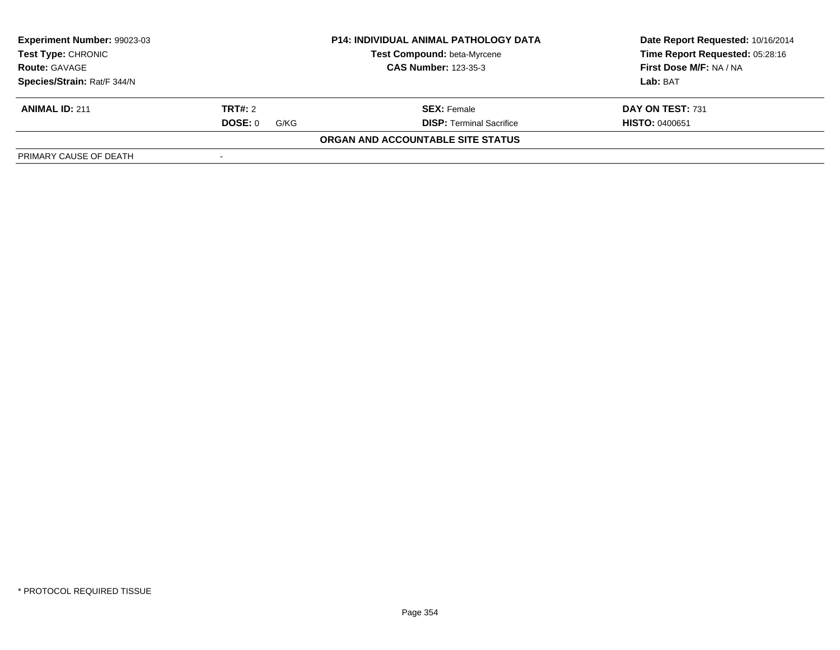| Experiment Number: 99023-03                         |                 | <b>P14: INDIVIDUAL ANIMAL PATHOLOGY DATA</b> | Date Report Requested: 10/16/2014 |  |
|-----------------------------------------------------|-----------------|----------------------------------------------|-----------------------------------|--|
| <b>Test Type: CHRONIC</b>                           |                 | Test Compound: beta-Myrcene                  | Time Report Requested: 05:28:16   |  |
| <b>CAS Number: 123-35-3</b><br><b>Route: GAVAGE</b> |                 | First Dose M/F: NA / NA                      |                                   |  |
| Species/Strain: Rat/F 344/N                         |                 |                                              | Lab: BAT                          |  |
| <b>ANIMAL ID: 211</b>                               | TRT#: 2         | <b>SEX: Female</b>                           | DAY ON TEST: 731                  |  |
|                                                     | DOSE: 0<br>G/KG | <b>DISP: Terminal Sacrifice</b>              | <b>HISTO: 0400651</b>             |  |
|                                                     |                 | ORGAN AND ACCOUNTABLE SITE STATUS            |                                   |  |
| PRIMARY CAUSE OF DEATH                              |                 |                                              |                                   |  |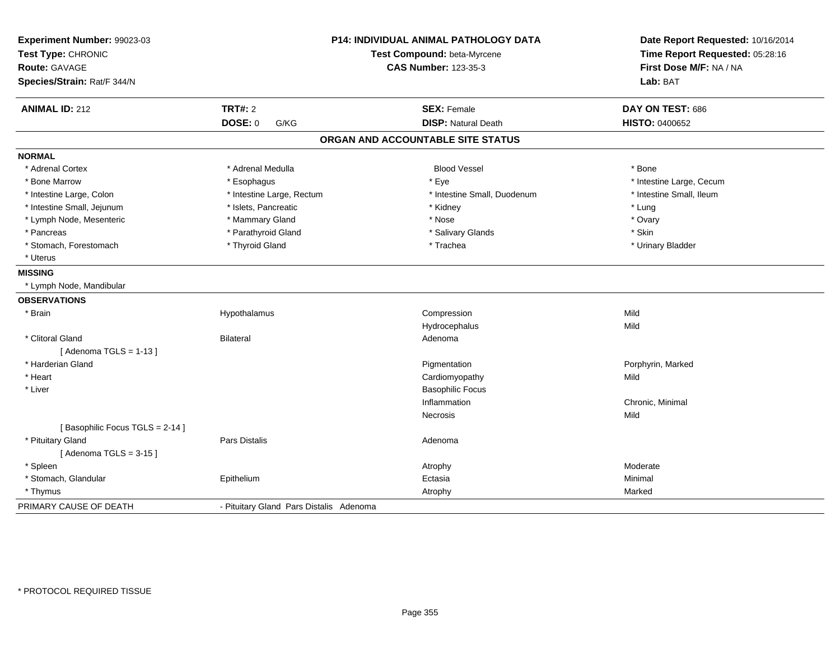| Experiment Number: 99023-03<br>Test Type: CHRONIC |                                         | <b>P14: INDIVIDUAL ANIMAL PATHOLOGY DATA</b><br>Test Compound: beta-Myrcene | Date Report Requested: 10/16/2014<br>Time Report Requested: 05:28:16 |
|---------------------------------------------------|-----------------------------------------|-----------------------------------------------------------------------------|----------------------------------------------------------------------|
| <b>Route: GAVAGE</b>                              |                                         | <b>CAS Number: 123-35-3</b>                                                 | First Dose M/F: NA / NA                                              |
| Species/Strain: Rat/F 344/N                       |                                         |                                                                             | Lab: BAT                                                             |
| <b>ANIMAL ID: 212</b>                             | <b>TRT#: 2</b>                          | <b>SEX: Female</b>                                                          | DAY ON TEST: 686                                                     |
|                                                   | <b>DOSE: 0</b><br>G/KG                  | <b>DISP: Natural Death</b>                                                  | <b>HISTO: 0400652</b>                                                |
|                                                   |                                         | ORGAN AND ACCOUNTABLE SITE STATUS                                           |                                                                      |
| <b>NORMAL</b>                                     |                                         |                                                                             |                                                                      |
| * Adrenal Cortex                                  | * Adrenal Medulla                       | <b>Blood Vessel</b>                                                         | * Bone                                                               |
| * Bone Marrow                                     | * Esophagus                             | * Eye                                                                       | * Intestine Large, Cecum                                             |
| * Intestine Large, Colon                          | * Intestine Large, Rectum               | * Intestine Small, Duodenum                                                 | * Intestine Small, Ileum                                             |
| * Intestine Small, Jejunum                        | * Islets, Pancreatic                    | * Kidney                                                                    | * Lung                                                               |
| * Lymph Node, Mesenteric                          | * Mammary Gland                         | * Nose                                                                      | * Ovary                                                              |
| * Pancreas                                        | * Parathyroid Gland                     | * Salivary Glands                                                           | * Skin                                                               |
| * Stomach, Forestomach                            | * Thyroid Gland                         | * Trachea                                                                   | * Urinary Bladder                                                    |
| * Uterus                                          |                                         |                                                                             |                                                                      |
| <b>MISSING</b>                                    |                                         |                                                                             |                                                                      |
| * Lymph Node, Mandibular                          |                                         |                                                                             |                                                                      |
| <b>OBSERVATIONS</b>                               |                                         |                                                                             |                                                                      |
| * Brain                                           | Hypothalamus                            | Compression                                                                 | Mild                                                                 |
|                                                   |                                         | Hydrocephalus                                                               | Mild                                                                 |
| * Clitoral Gland                                  | <b>Bilateral</b>                        | Adenoma                                                                     |                                                                      |
| [Adenoma TGLS = $1-13$ ]                          |                                         |                                                                             |                                                                      |
| * Harderian Gland                                 |                                         | Pigmentation                                                                | Porphyrin, Marked                                                    |
| * Heart                                           |                                         | Cardiomyopathy                                                              | Mild                                                                 |
| * Liver                                           |                                         | <b>Basophilic Focus</b>                                                     |                                                                      |
|                                                   |                                         | Inflammation                                                                | Chronic, Minimal                                                     |
|                                                   |                                         | Necrosis                                                                    | Mild                                                                 |
| [Basophilic Focus TGLS = 2-14]                    |                                         |                                                                             |                                                                      |
| * Pituitary Gland                                 | Pars Distalis                           | Adenoma                                                                     |                                                                      |
| [Adenoma TGLS = $3-15$ ]                          |                                         |                                                                             |                                                                      |
| * Spleen                                          |                                         | Atrophy                                                                     | Moderate                                                             |
| * Stomach, Glandular                              | Epithelium                              | Ectasia                                                                     | Minimal                                                              |
| * Thymus                                          |                                         | Atrophy                                                                     | Marked                                                               |
| PRIMARY CAUSE OF DEATH                            | - Pituitary Gland Pars Distalis Adenoma |                                                                             |                                                                      |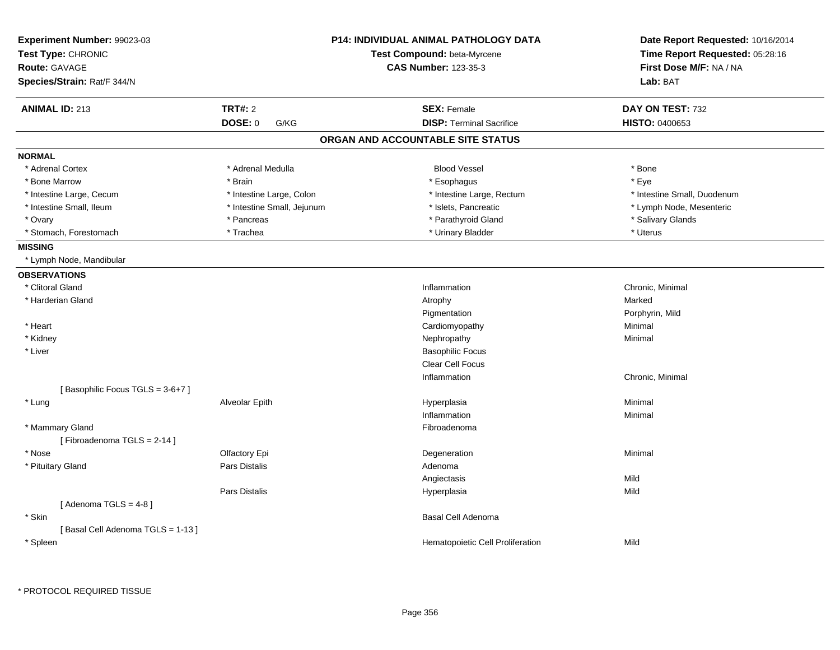| <b>CAS Number: 123-35-3</b><br>First Dose M/F: NA / NA<br><b>Route: GAVAGE</b><br>Lab: BAT<br><b>TRT#: 2</b><br><b>ANIMAL ID: 213</b><br><b>SEX: Female</b><br>DAY ON TEST: 732<br><b>DOSE: 0</b><br><b>DISP: Terminal Sacrifice</b><br><b>HISTO: 0400653</b><br>G/KG<br>ORGAN AND ACCOUNTABLE SITE STATUS<br><b>NORMAL</b><br>* Adrenal Cortex<br>* Adrenal Medulla<br><b>Blood Vessel</b><br>* Bone<br>* Bone Marrow<br>* Brain<br>* Esophagus<br>* Eye<br>* Intestine Large, Cecum<br>* Intestine Large, Colon<br>* Intestine Large, Rectum<br>* Intestine Small, Duodenum<br>* Intestine Small, Ileum<br>* Intestine Small, Jejunum<br>* Islets, Pancreatic<br>* Lymph Node, Mesenteric<br>* Parathyroid Gland<br>* Salivary Glands<br>* Ovary<br>* Pancreas<br>* Stomach, Forestomach<br>* Trachea<br>* Urinary Bladder<br>* Uterus<br><b>MISSING</b><br>* Lymph Node, Mandibular<br><b>OBSERVATIONS</b><br>* Clitoral Gland<br>Inflammation<br>Chronic, Minimal<br>* Harderian Gland<br>Atrophy<br>Marked<br>Pigmentation<br>Porphyrin, Mild<br>* Heart<br>Minimal<br>Cardiomyopathy<br>* Kidney<br>Nephropathy<br>Minimal<br>* Liver<br><b>Basophilic Focus</b><br>Clear Cell Focus<br>Inflammation<br>Chronic, Minimal<br>[Basophilic Focus TGLS = 3-6+7]<br>* Lung<br>Alveolar Epith<br>Hyperplasia<br>Minimal<br>Inflammation<br>Minimal<br>* Mammary Gland<br>Fibroadenoma<br>[Fibroadenoma TGLS = 2-14]<br>Olfactory Epi<br>* Nose<br>Degeneration<br>Minimal<br>* Pituitary Gland<br>Pars Distalis<br>Adenoma<br>Angiectasis<br>Mild<br>Pars Distalis<br>Mild<br>Hyperplasia<br>[Adenoma TGLS = $4-8$ ]<br>* Skin<br>Basal Cell Adenoma<br>[Basal Cell Adenoma TGLS = 1-13]<br>* Spleen<br>Hematopoietic Cell Proliferation<br>Mild | Experiment Number: 99023-03<br>Test Type: CHRONIC |  | <b>P14: INDIVIDUAL ANIMAL PATHOLOGY DATA</b><br>Test Compound: beta-Myrcene | Date Report Requested: 10/16/2014<br>Time Report Requested: 05:28:16 |
|--------------------------------------------------------------------------------------------------------------------------------------------------------------------------------------------------------------------------------------------------------------------------------------------------------------------------------------------------------------------------------------------------------------------------------------------------------------------------------------------------------------------------------------------------------------------------------------------------------------------------------------------------------------------------------------------------------------------------------------------------------------------------------------------------------------------------------------------------------------------------------------------------------------------------------------------------------------------------------------------------------------------------------------------------------------------------------------------------------------------------------------------------------------------------------------------------------------------------------------------------------------------------------------------------------------------------------------------------------------------------------------------------------------------------------------------------------------------------------------------------------------------------------------------------------------------------------------------------------------------------------------------------------------------------------------------------------------------------------------------------|---------------------------------------------------|--|-----------------------------------------------------------------------------|----------------------------------------------------------------------|
|                                                                                                                                                                                                                                                                                                                                                                                                                                                                                                                                                                                                                                                                                                                                                                                                                                                                                                                                                                                                                                                                                                                                                                                                                                                                                                                                                                                                                                                                                                                                                                                                                                                                                                                                                  |                                                   |  |                                                                             |                                                                      |
|                                                                                                                                                                                                                                                                                                                                                                                                                                                                                                                                                                                                                                                                                                                                                                                                                                                                                                                                                                                                                                                                                                                                                                                                                                                                                                                                                                                                                                                                                                                                                                                                                                                                                                                                                  | Species/Strain: Rat/F 344/N                       |  |                                                                             |                                                                      |
|                                                                                                                                                                                                                                                                                                                                                                                                                                                                                                                                                                                                                                                                                                                                                                                                                                                                                                                                                                                                                                                                                                                                                                                                                                                                                                                                                                                                                                                                                                                                                                                                                                                                                                                                                  |                                                   |  |                                                                             |                                                                      |
|                                                                                                                                                                                                                                                                                                                                                                                                                                                                                                                                                                                                                                                                                                                                                                                                                                                                                                                                                                                                                                                                                                                                                                                                                                                                                                                                                                                                                                                                                                                                                                                                                                                                                                                                                  |                                                   |  |                                                                             |                                                                      |
|                                                                                                                                                                                                                                                                                                                                                                                                                                                                                                                                                                                                                                                                                                                                                                                                                                                                                                                                                                                                                                                                                                                                                                                                                                                                                                                                                                                                                                                                                                                                                                                                                                                                                                                                                  |                                                   |  |                                                                             |                                                                      |
|                                                                                                                                                                                                                                                                                                                                                                                                                                                                                                                                                                                                                                                                                                                                                                                                                                                                                                                                                                                                                                                                                                                                                                                                                                                                                                                                                                                                                                                                                                                                                                                                                                                                                                                                                  |                                                   |  |                                                                             |                                                                      |
|                                                                                                                                                                                                                                                                                                                                                                                                                                                                                                                                                                                                                                                                                                                                                                                                                                                                                                                                                                                                                                                                                                                                                                                                                                                                                                                                                                                                                                                                                                                                                                                                                                                                                                                                                  |                                                   |  |                                                                             |                                                                      |
|                                                                                                                                                                                                                                                                                                                                                                                                                                                                                                                                                                                                                                                                                                                                                                                                                                                                                                                                                                                                                                                                                                                                                                                                                                                                                                                                                                                                                                                                                                                                                                                                                                                                                                                                                  |                                                   |  |                                                                             |                                                                      |
|                                                                                                                                                                                                                                                                                                                                                                                                                                                                                                                                                                                                                                                                                                                                                                                                                                                                                                                                                                                                                                                                                                                                                                                                                                                                                                                                                                                                                                                                                                                                                                                                                                                                                                                                                  |                                                   |  |                                                                             |                                                                      |
|                                                                                                                                                                                                                                                                                                                                                                                                                                                                                                                                                                                                                                                                                                                                                                                                                                                                                                                                                                                                                                                                                                                                                                                                                                                                                                                                                                                                                                                                                                                                                                                                                                                                                                                                                  |                                                   |  |                                                                             |                                                                      |
|                                                                                                                                                                                                                                                                                                                                                                                                                                                                                                                                                                                                                                                                                                                                                                                                                                                                                                                                                                                                                                                                                                                                                                                                                                                                                                                                                                                                                                                                                                                                                                                                                                                                                                                                                  |                                                   |  |                                                                             |                                                                      |
|                                                                                                                                                                                                                                                                                                                                                                                                                                                                                                                                                                                                                                                                                                                                                                                                                                                                                                                                                                                                                                                                                                                                                                                                                                                                                                                                                                                                                                                                                                                                                                                                                                                                                                                                                  |                                                   |  |                                                                             |                                                                      |
|                                                                                                                                                                                                                                                                                                                                                                                                                                                                                                                                                                                                                                                                                                                                                                                                                                                                                                                                                                                                                                                                                                                                                                                                                                                                                                                                                                                                                                                                                                                                                                                                                                                                                                                                                  |                                                   |  |                                                                             |                                                                      |
|                                                                                                                                                                                                                                                                                                                                                                                                                                                                                                                                                                                                                                                                                                                                                                                                                                                                                                                                                                                                                                                                                                                                                                                                                                                                                                                                                                                                                                                                                                                                                                                                                                                                                                                                                  |                                                   |  |                                                                             |                                                                      |
|                                                                                                                                                                                                                                                                                                                                                                                                                                                                                                                                                                                                                                                                                                                                                                                                                                                                                                                                                                                                                                                                                                                                                                                                                                                                                                                                                                                                                                                                                                                                                                                                                                                                                                                                                  |                                                   |  |                                                                             |                                                                      |
|                                                                                                                                                                                                                                                                                                                                                                                                                                                                                                                                                                                                                                                                                                                                                                                                                                                                                                                                                                                                                                                                                                                                                                                                                                                                                                                                                                                                                                                                                                                                                                                                                                                                                                                                                  |                                                   |  |                                                                             |                                                                      |
|                                                                                                                                                                                                                                                                                                                                                                                                                                                                                                                                                                                                                                                                                                                                                                                                                                                                                                                                                                                                                                                                                                                                                                                                                                                                                                                                                                                                                                                                                                                                                                                                                                                                                                                                                  |                                                   |  |                                                                             |                                                                      |
|                                                                                                                                                                                                                                                                                                                                                                                                                                                                                                                                                                                                                                                                                                                                                                                                                                                                                                                                                                                                                                                                                                                                                                                                                                                                                                                                                                                                                                                                                                                                                                                                                                                                                                                                                  |                                                   |  |                                                                             |                                                                      |
|                                                                                                                                                                                                                                                                                                                                                                                                                                                                                                                                                                                                                                                                                                                                                                                                                                                                                                                                                                                                                                                                                                                                                                                                                                                                                                                                                                                                                                                                                                                                                                                                                                                                                                                                                  |                                                   |  |                                                                             |                                                                      |
|                                                                                                                                                                                                                                                                                                                                                                                                                                                                                                                                                                                                                                                                                                                                                                                                                                                                                                                                                                                                                                                                                                                                                                                                                                                                                                                                                                                                                                                                                                                                                                                                                                                                                                                                                  |                                                   |  |                                                                             |                                                                      |
|                                                                                                                                                                                                                                                                                                                                                                                                                                                                                                                                                                                                                                                                                                                                                                                                                                                                                                                                                                                                                                                                                                                                                                                                                                                                                                                                                                                                                                                                                                                                                                                                                                                                                                                                                  |                                                   |  |                                                                             |                                                                      |
|                                                                                                                                                                                                                                                                                                                                                                                                                                                                                                                                                                                                                                                                                                                                                                                                                                                                                                                                                                                                                                                                                                                                                                                                                                                                                                                                                                                                                                                                                                                                                                                                                                                                                                                                                  |                                                   |  |                                                                             |                                                                      |
|                                                                                                                                                                                                                                                                                                                                                                                                                                                                                                                                                                                                                                                                                                                                                                                                                                                                                                                                                                                                                                                                                                                                                                                                                                                                                                                                                                                                                                                                                                                                                                                                                                                                                                                                                  |                                                   |  |                                                                             |                                                                      |
|                                                                                                                                                                                                                                                                                                                                                                                                                                                                                                                                                                                                                                                                                                                                                                                                                                                                                                                                                                                                                                                                                                                                                                                                                                                                                                                                                                                                                                                                                                                                                                                                                                                                                                                                                  |                                                   |  |                                                                             |                                                                      |
|                                                                                                                                                                                                                                                                                                                                                                                                                                                                                                                                                                                                                                                                                                                                                                                                                                                                                                                                                                                                                                                                                                                                                                                                                                                                                                                                                                                                                                                                                                                                                                                                                                                                                                                                                  |                                                   |  |                                                                             |                                                                      |
|                                                                                                                                                                                                                                                                                                                                                                                                                                                                                                                                                                                                                                                                                                                                                                                                                                                                                                                                                                                                                                                                                                                                                                                                                                                                                                                                                                                                                                                                                                                                                                                                                                                                                                                                                  |                                                   |  |                                                                             |                                                                      |
|                                                                                                                                                                                                                                                                                                                                                                                                                                                                                                                                                                                                                                                                                                                                                                                                                                                                                                                                                                                                                                                                                                                                                                                                                                                                                                                                                                                                                                                                                                                                                                                                                                                                                                                                                  |                                                   |  |                                                                             |                                                                      |
|                                                                                                                                                                                                                                                                                                                                                                                                                                                                                                                                                                                                                                                                                                                                                                                                                                                                                                                                                                                                                                                                                                                                                                                                                                                                                                                                                                                                                                                                                                                                                                                                                                                                                                                                                  |                                                   |  |                                                                             |                                                                      |
|                                                                                                                                                                                                                                                                                                                                                                                                                                                                                                                                                                                                                                                                                                                                                                                                                                                                                                                                                                                                                                                                                                                                                                                                                                                                                                                                                                                                                                                                                                                                                                                                                                                                                                                                                  |                                                   |  |                                                                             |                                                                      |
|                                                                                                                                                                                                                                                                                                                                                                                                                                                                                                                                                                                                                                                                                                                                                                                                                                                                                                                                                                                                                                                                                                                                                                                                                                                                                                                                                                                                                                                                                                                                                                                                                                                                                                                                                  |                                                   |  |                                                                             |                                                                      |
|                                                                                                                                                                                                                                                                                                                                                                                                                                                                                                                                                                                                                                                                                                                                                                                                                                                                                                                                                                                                                                                                                                                                                                                                                                                                                                                                                                                                                                                                                                                                                                                                                                                                                                                                                  |                                                   |  |                                                                             |                                                                      |
|                                                                                                                                                                                                                                                                                                                                                                                                                                                                                                                                                                                                                                                                                                                                                                                                                                                                                                                                                                                                                                                                                                                                                                                                                                                                                                                                                                                                                                                                                                                                                                                                                                                                                                                                                  |                                                   |  |                                                                             |                                                                      |
|                                                                                                                                                                                                                                                                                                                                                                                                                                                                                                                                                                                                                                                                                                                                                                                                                                                                                                                                                                                                                                                                                                                                                                                                                                                                                                                                                                                                                                                                                                                                                                                                                                                                                                                                                  |                                                   |  |                                                                             |                                                                      |
|                                                                                                                                                                                                                                                                                                                                                                                                                                                                                                                                                                                                                                                                                                                                                                                                                                                                                                                                                                                                                                                                                                                                                                                                                                                                                                                                                                                                                                                                                                                                                                                                                                                                                                                                                  |                                                   |  |                                                                             |                                                                      |
|                                                                                                                                                                                                                                                                                                                                                                                                                                                                                                                                                                                                                                                                                                                                                                                                                                                                                                                                                                                                                                                                                                                                                                                                                                                                                                                                                                                                                                                                                                                                                                                                                                                                                                                                                  |                                                   |  |                                                                             |                                                                      |
|                                                                                                                                                                                                                                                                                                                                                                                                                                                                                                                                                                                                                                                                                                                                                                                                                                                                                                                                                                                                                                                                                                                                                                                                                                                                                                                                                                                                                                                                                                                                                                                                                                                                                                                                                  |                                                   |  |                                                                             |                                                                      |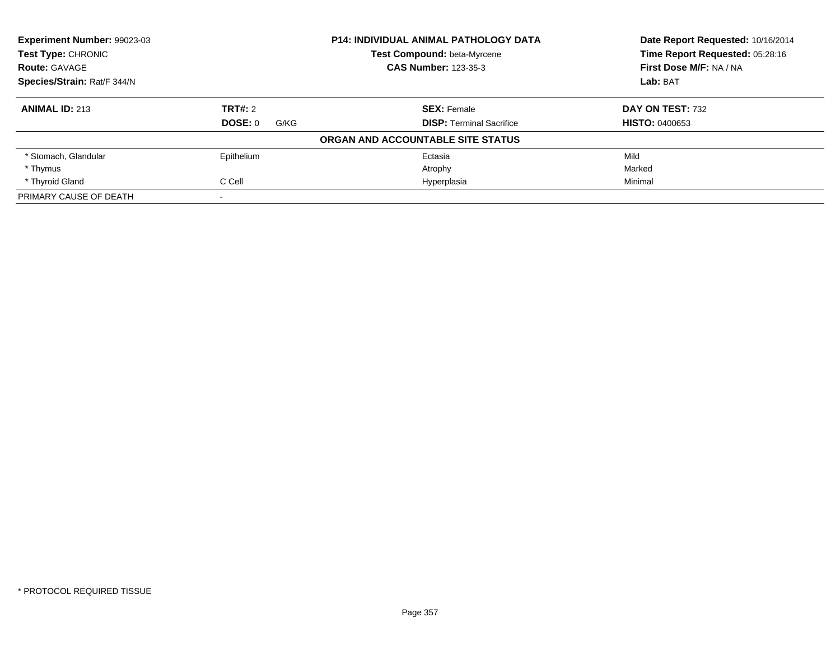| <b>Experiment Number: 99023-03</b><br><b>P14: INDIVIDUAL ANIMAL PATHOLOGY DATA</b> |                 |                                   | Date Report Requested: 10/16/2014 |
|------------------------------------------------------------------------------------|-----------------|-----------------------------------|-----------------------------------|
| <b>Test Type: CHRONIC</b>                                                          |                 | Test Compound: beta-Myrcene       | Time Report Requested: 05:28:16   |
| <b>Route: GAVAGE</b>                                                               |                 | <b>CAS Number: 123-35-3</b>       | First Dose M/F: NA / NA           |
| Species/Strain: Rat/F 344/N                                                        |                 |                                   | Lab: BAT                          |
| <b>ANIMAL ID: 213</b>                                                              | TRT#: 2         | <b>SEX: Female</b>                | DAY ON TEST: 732                  |
|                                                                                    | DOSE: 0<br>G/KG | <b>DISP:</b> Terminal Sacrifice   | <b>HISTO: 0400653</b>             |
|                                                                                    |                 | ORGAN AND ACCOUNTABLE SITE STATUS |                                   |
| * Stomach, Glandular                                                               | Epithelium      | Ectasia                           | Mild                              |
| * Thymus                                                                           |                 | Atrophy                           | Marked                            |
| * Thyroid Gland                                                                    | C Cell          | Hyperplasia                       | Minimal                           |
| PRIMARY CAUSE OF DEATH                                                             |                 |                                   |                                   |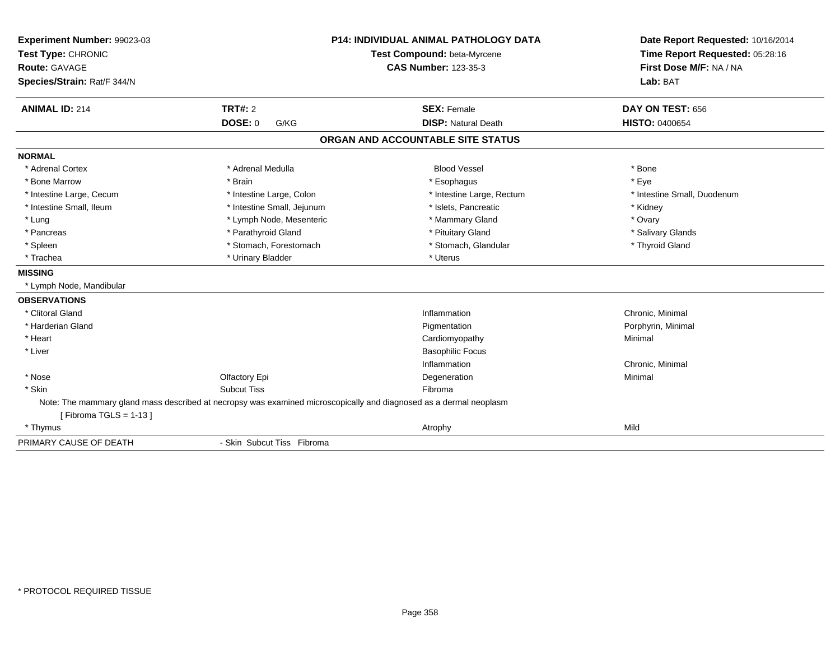| Experiment Number: 99023-03 |                                                                                                                    | <b>P14: INDIVIDUAL ANIMAL PATHOLOGY DATA</b> | Date Report Requested: 10/16/2014 |
|-----------------------------|--------------------------------------------------------------------------------------------------------------------|----------------------------------------------|-----------------------------------|
| Test Type: CHRONIC          |                                                                                                                    | Test Compound: beta-Myrcene                  | Time Report Requested: 05:28:16   |
| Route: GAVAGE               |                                                                                                                    | <b>CAS Number: 123-35-3</b>                  | First Dose M/F: NA / NA           |
| Species/Strain: Rat/F 344/N |                                                                                                                    |                                              | Lab: BAT                          |
| <b>ANIMAL ID: 214</b>       | TRT#: 2                                                                                                            | <b>SEX: Female</b>                           | DAY ON TEST: 656                  |
|                             | <b>DOSE: 0</b><br>G/KG                                                                                             | <b>DISP: Natural Death</b>                   | <b>HISTO: 0400654</b>             |
|                             |                                                                                                                    | ORGAN AND ACCOUNTABLE SITE STATUS            |                                   |
| <b>NORMAL</b>               |                                                                                                                    |                                              |                                   |
| * Adrenal Cortex            | * Adrenal Medulla                                                                                                  | <b>Blood Vessel</b>                          | * Bone                            |
| * Bone Marrow               | * Brain                                                                                                            | * Esophagus                                  | * Eye                             |
| * Intestine Large, Cecum    | * Intestine Large, Colon                                                                                           | * Intestine Large, Rectum                    | * Intestine Small, Duodenum       |
| * Intestine Small, Ileum    | * Intestine Small, Jejunum                                                                                         | * Islets, Pancreatic                         | * Kidney                          |
| * Lung                      | * Lymph Node, Mesenteric                                                                                           | * Mammary Gland                              | * Ovary                           |
| * Pancreas                  | * Parathyroid Gland                                                                                                | * Pituitary Gland                            | * Salivary Glands                 |
| * Spleen                    | * Stomach, Forestomach                                                                                             | * Stomach, Glandular                         | * Thyroid Gland                   |
| * Trachea                   | * Urinary Bladder                                                                                                  | * Uterus                                     |                                   |
| <b>MISSING</b>              |                                                                                                                    |                                              |                                   |
| * Lymph Node, Mandibular    |                                                                                                                    |                                              |                                   |
| <b>OBSERVATIONS</b>         |                                                                                                                    |                                              |                                   |
| * Clitoral Gland            |                                                                                                                    | Inflammation                                 | Chronic, Minimal                  |
| * Harderian Gland           |                                                                                                                    | Pigmentation                                 | Porphyrin, Minimal                |
| * Heart                     |                                                                                                                    | Cardiomyopathy                               | Minimal                           |
| * Liver                     |                                                                                                                    | <b>Basophilic Focus</b>                      |                                   |
|                             |                                                                                                                    | Inflammation                                 | Chronic, Minimal                  |
| * Nose                      | Olfactory Epi                                                                                                      | Degeneration                                 | Minimal                           |
| * Skin                      | <b>Subcut Tiss</b>                                                                                                 | Fibroma                                      |                                   |
|                             | Note: The mammary gland mass described at necropsy was examined microscopically and diagnosed as a dermal neoplasm |                                              |                                   |
| [Fibroma TGLS = $1-13$ ]    |                                                                                                                    |                                              |                                   |
| * Thymus                    |                                                                                                                    | Atrophy                                      | Mild                              |
| PRIMARY CAUSE OF DEATH      | - Skin Subcut Tiss Fibroma                                                                                         |                                              |                                   |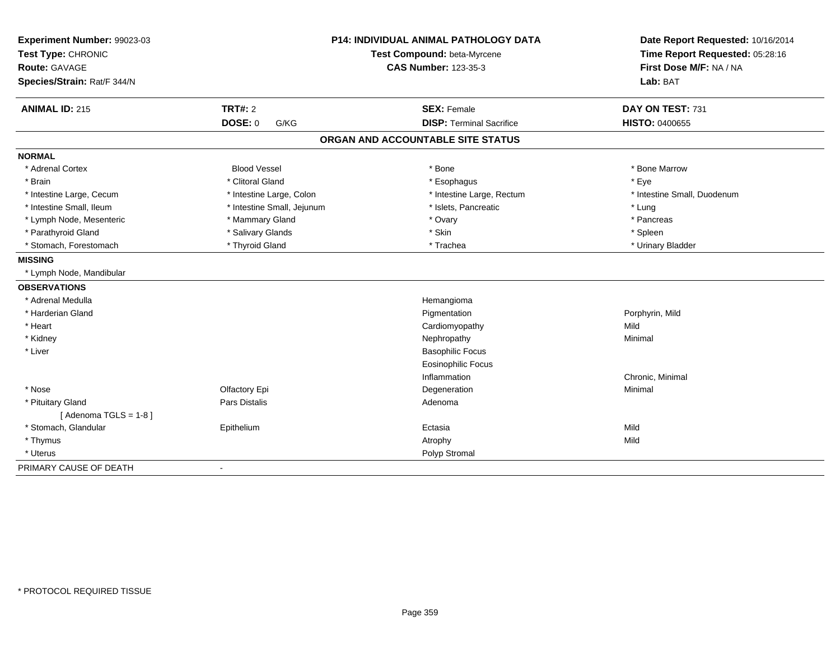| Experiment Number: 99023-03 |                             | <b>P14: INDIVIDUAL ANIMAL PATHOLOGY DATA</b> | Date Report Requested: 10/16/2014 |
|-----------------------------|-----------------------------|----------------------------------------------|-----------------------------------|
| Test Type: CHRONIC          |                             | Test Compound: beta-Myrcene                  | Time Report Requested: 05:28:16   |
| <b>Route: GAVAGE</b>        | <b>CAS Number: 123-35-3</b> |                                              | First Dose M/F: NA / NA           |
| Species/Strain: Rat/F 344/N |                             |                                              | Lab: BAT                          |
| <b>ANIMAL ID: 215</b>       | <b>TRT#: 2</b>              | <b>SEX: Female</b>                           | DAY ON TEST: 731                  |
|                             | DOSE: 0<br>G/KG             | <b>DISP: Terminal Sacrifice</b>              | <b>HISTO: 0400655</b>             |
|                             |                             | ORGAN AND ACCOUNTABLE SITE STATUS            |                                   |
| <b>NORMAL</b>               |                             |                                              |                                   |
| * Adrenal Cortex            | <b>Blood Vessel</b>         | * Bone                                       | * Bone Marrow                     |
| * Brain                     | * Clitoral Gland            | * Esophagus                                  | * Eye                             |
| * Intestine Large, Cecum    | * Intestine Large, Colon    | * Intestine Large, Rectum                    | * Intestine Small, Duodenum       |
| * Intestine Small, Ileum    | * Intestine Small, Jejunum  | * Islets, Pancreatic                         | * Lung                            |
| * Lymph Node, Mesenteric    | * Mammary Gland             | * Ovary                                      | * Pancreas                        |
| * Parathyroid Gland         | * Salivary Glands           | * Skin                                       | * Spleen                          |
| * Stomach, Forestomach      | * Thyroid Gland             | * Trachea                                    | * Urinary Bladder                 |
| <b>MISSING</b>              |                             |                                              |                                   |
| * Lymph Node, Mandibular    |                             |                                              |                                   |
| <b>OBSERVATIONS</b>         |                             |                                              |                                   |
| * Adrenal Medulla           |                             | Hemangioma                                   |                                   |
| * Harderian Gland           |                             | Pigmentation                                 | Porphyrin, Mild                   |
| * Heart                     |                             | Cardiomyopathy                               | Mild                              |
| * Kidney                    |                             | Nephropathy                                  | Minimal                           |
| * Liver                     |                             | <b>Basophilic Focus</b>                      |                                   |
|                             |                             | <b>Eosinophilic Focus</b>                    |                                   |
|                             |                             | Inflammation                                 | Chronic, Minimal                  |
| * Nose                      | Olfactory Epi               | Degeneration                                 | Minimal                           |
| * Pituitary Gland           | Pars Distalis               | Adenoma                                      |                                   |
| [Adenoma TGLS = $1-8$ ]     |                             |                                              |                                   |
| * Stomach, Glandular        | Epithelium                  | Ectasia                                      | Mild                              |
| * Thymus                    |                             | Atrophy                                      | Mild                              |
| * Uterus                    |                             | Polyp Stromal                                |                                   |
| PRIMARY CAUSE OF DEATH      | $\blacksquare$              |                                              |                                   |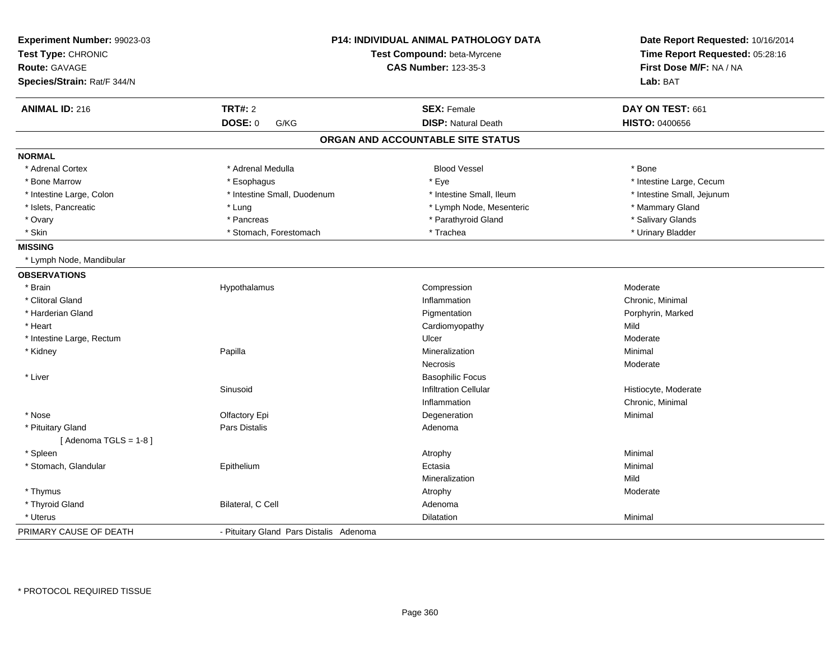| Experiment Number: 99023-03<br>Test Type: CHRONIC<br><b>Route: GAVAGE</b><br>Species/Strain: Rat/F 344/N |                                         | <b>P14: INDIVIDUAL ANIMAL PATHOLOGY DATA</b><br>Test Compound: beta-Myrcene<br><b>CAS Number: 123-35-3</b> | Date Report Requested: 10/16/2014<br>Time Report Requested: 05:28:16<br>First Dose M/F: NA / NA<br>Lab: BAT |
|----------------------------------------------------------------------------------------------------------|-----------------------------------------|------------------------------------------------------------------------------------------------------------|-------------------------------------------------------------------------------------------------------------|
| <b>ANIMAL ID: 216</b>                                                                                    | <b>TRT#: 2</b>                          | <b>SEX: Female</b>                                                                                         | DAY ON TEST: 661                                                                                            |
|                                                                                                          | <b>DOSE: 0</b><br>G/KG                  | <b>DISP: Natural Death</b>                                                                                 | <b>HISTO: 0400656</b>                                                                                       |
|                                                                                                          |                                         | ORGAN AND ACCOUNTABLE SITE STATUS                                                                          |                                                                                                             |
| <b>NORMAL</b>                                                                                            |                                         |                                                                                                            |                                                                                                             |
| * Adrenal Cortex                                                                                         | * Adrenal Medulla                       | <b>Blood Vessel</b>                                                                                        | * Bone                                                                                                      |
| * Bone Marrow                                                                                            | * Esophagus                             | * Eye                                                                                                      | * Intestine Large, Cecum                                                                                    |
| * Intestine Large, Colon                                                                                 | * Intestine Small, Duodenum             | * Intestine Small, Ileum                                                                                   | * Intestine Small, Jejunum                                                                                  |
| * Islets, Pancreatic                                                                                     | * Lung                                  | * Lymph Node, Mesenteric                                                                                   | * Mammary Gland                                                                                             |
| * Ovary                                                                                                  | * Pancreas                              | * Parathyroid Gland                                                                                        | * Salivary Glands                                                                                           |
| * Skin                                                                                                   | * Stomach, Forestomach                  | * Trachea                                                                                                  | * Urinary Bladder                                                                                           |
| <b>MISSING</b>                                                                                           |                                         |                                                                                                            |                                                                                                             |
| * Lymph Node, Mandibular                                                                                 |                                         |                                                                                                            |                                                                                                             |
| <b>OBSERVATIONS</b>                                                                                      |                                         |                                                                                                            |                                                                                                             |
| * Brain                                                                                                  | Hypothalamus                            | Compression                                                                                                | Moderate                                                                                                    |
| * Clitoral Gland                                                                                         |                                         | Inflammation                                                                                               | Chronic, Minimal                                                                                            |
| * Harderian Gland                                                                                        |                                         | Pigmentation                                                                                               | Porphyrin, Marked                                                                                           |
| * Heart                                                                                                  |                                         | Cardiomyopathy                                                                                             | Mild                                                                                                        |
| * Intestine Large, Rectum                                                                                |                                         | Ulcer                                                                                                      | Moderate                                                                                                    |
| * Kidney                                                                                                 | Papilla                                 | Mineralization                                                                                             | Minimal                                                                                                     |
|                                                                                                          |                                         | Necrosis                                                                                                   | Moderate                                                                                                    |
| * Liver                                                                                                  |                                         | <b>Basophilic Focus</b>                                                                                    |                                                                                                             |
|                                                                                                          | Sinusoid                                | <b>Infiltration Cellular</b>                                                                               | Histiocyte, Moderate                                                                                        |
|                                                                                                          |                                         | Inflammation                                                                                               | Chronic, Minimal                                                                                            |
| * Nose                                                                                                   | Olfactory Epi                           | Degeneration                                                                                               | Minimal                                                                                                     |
| * Pituitary Gland                                                                                        | Pars Distalis                           | Adenoma                                                                                                    |                                                                                                             |
| [Adenoma TGLS = $1-8$ ]                                                                                  |                                         |                                                                                                            |                                                                                                             |
| * Spleen                                                                                                 |                                         | Atrophy                                                                                                    | Minimal                                                                                                     |
| * Stomach, Glandular                                                                                     | Epithelium                              | Ectasia                                                                                                    | Minimal                                                                                                     |
|                                                                                                          |                                         | Mineralization                                                                                             | Mild                                                                                                        |
| * Thymus                                                                                                 |                                         | Atrophy                                                                                                    | Moderate                                                                                                    |
| * Thyroid Gland                                                                                          | Bilateral, C Cell                       | Adenoma                                                                                                    |                                                                                                             |
| * Uterus                                                                                                 |                                         | Dilatation                                                                                                 | Minimal                                                                                                     |
| PRIMARY CAUSE OF DEATH                                                                                   | - Pituitary Gland Pars Distalis Adenoma |                                                                                                            |                                                                                                             |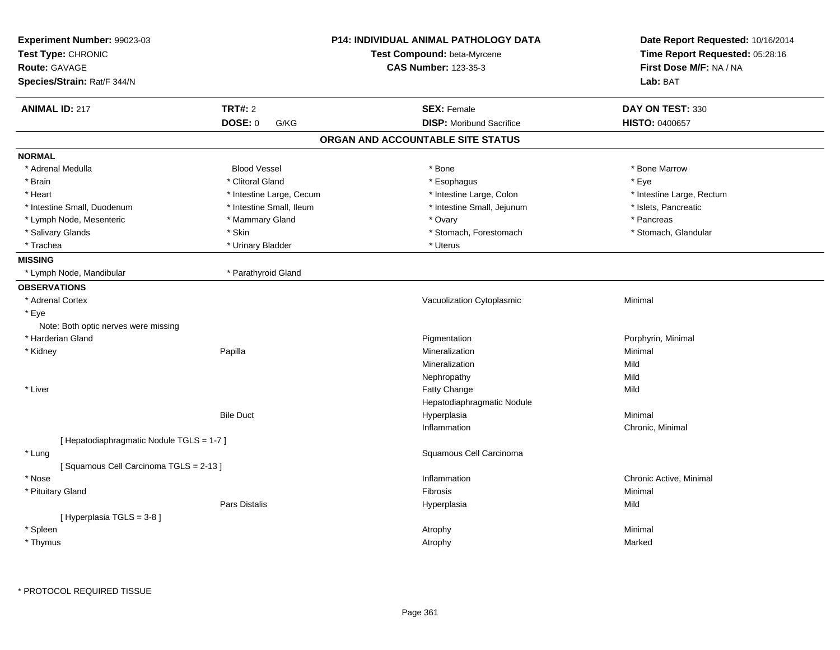| Experiment Number: 99023-03<br>Test Type: CHRONIC<br><b>Route: GAVAGE</b> |                          | <b>P14: INDIVIDUAL ANIMAL PATHOLOGY DATA</b><br>Test Compound: beta-Myrcene<br><b>CAS Number: 123-35-3</b> | Date Report Requested: 10/16/2014<br>Time Report Requested: 05:28:16<br>First Dose M/F: NA / NA |  |
|---------------------------------------------------------------------------|--------------------------|------------------------------------------------------------------------------------------------------------|-------------------------------------------------------------------------------------------------|--|
| Species/Strain: Rat/F 344/N                                               |                          |                                                                                                            | Lab: BAT                                                                                        |  |
| <b>ANIMAL ID: 217</b>                                                     | <b>TRT#: 2</b>           | <b>SEX: Female</b>                                                                                         | DAY ON TEST: 330                                                                                |  |
|                                                                           | <b>DOSE: 0</b><br>G/KG   | <b>DISP:</b> Moribund Sacrifice                                                                            | <b>HISTO: 0400657</b>                                                                           |  |
|                                                                           |                          | ORGAN AND ACCOUNTABLE SITE STATUS                                                                          |                                                                                                 |  |
| <b>NORMAL</b>                                                             |                          |                                                                                                            |                                                                                                 |  |
| * Adrenal Medulla                                                         | <b>Blood Vessel</b>      | * Bone                                                                                                     | * Bone Marrow                                                                                   |  |
| * Brain                                                                   | * Clitoral Gland         | * Esophagus                                                                                                | * Eye                                                                                           |  |
| * Heart                                                                   | * Intestine Large, Cecum | * Intestine Large, Colon                                                                                   | * Intestine Large, Rectum                                                                       |  |
| * Intestine Small, Duodenum                                               | * Intestine Small, Ileum | * Intestine Small, Jejunum                                                                                 | * Islets, Pancreatic                                                                            |  |
| * Lymph Node, Mesenteric                                                  | * Mammary Gland          | * Ovary                                                                                                    | * Pancreas                                                                                      |  |
| * Salivary Glands                                                         | * Skin                   | * Stomach, Forestomach                                                                                     | * Stomach, Glandular                                                                            |  |
| * Trachea                                                                 | * Urinary Bladder        | * Uterus                                                                                                   |                                                                                                 |  |
| <b>MISSING</b>                                                            |                          |                                                                                                            |                                                                                                 |  |
| * Lymph Node, Mandibular                                                  | * Parathyroid Gland      |                                                                                                            |                                                                                                 |  |
| <b>OBSERVATIONS</b>                                                       |                          |                                                                                                            |                                                                                                 |  |
| * Adrenal Cortex                                                          |                          | Vacuolization Cytoplasmic                                                                                  | Minimal                                                                                         |  |
| * Eye                                                                     |                          |                                                                                                            |                                                                                                 |  |
| Note: Both optic nerves were missing                                      |                          |                                                                                                            |                                                                                                 |  |
| * Harderian Gland                                                         |                          | Pigmentation                                                                                               | Porphyrin, Minimal                                                                              |  |
| * Kidney                                                                  | Papilla                  | Mineralization                                                                                             | Minimal                                                                                         |  |
|                                                                           |                          | Mineralization                                                                                             | Mild                                                                                            |  |
|                                                                           |                          | Nephropathy                                                                                                | Mild                                                                                            |  |
| * Liver                                                                   |                          | <b>Fatty Change</b>                                                                                        | Mild                                                                                            |  |
|                                                                           |                          | Hepatodiaphragmatic Nodule                                                                                 |                                                                                                 |  |
|                                                                           | <b>Bile Duct</b>         | Hyperplasia                                                                                                | Minimal                                                                                         |  |
|                                                                           |                          | Inflammation                                                                                               | Chronic, Minimal                                                                                |  |
| [ Hepatodiaphragmatic Nodule TGLS = 1-7 ]                                 |                          |                                                                                                            |                                                                                                 |  |
| * Lung                                                                    |                          | Squamous Cell Carcinoma                                                                                    |                                                                                                 |  |
| [Squamous Cell Carcinoma TGLS = 2-13]                                     |                          |                                                                                                            |                                                                                                 |  |
| * Nose                                                                    |                          | Inflammation                                                                                               | Chronic Active, Minimal                                                                         |  |
| * Pituitary Gland                                                         |                          | Fibrosis                                                                                                   | Minimal                                                                                         |  |
|                                                                           | <b>Pars Distalis</b>     | Hyperplasia                                                                                                | Mild                                                                                            |  |
| [Hyperplasia TGLS = 3-8]                                                  |                          |                                                                                                            |                                                                                                 |  |
| * Spleen                                                                  |                          | Atrophy                                                                                                    | Minimal                                                                                         |  |
| * Thymus                                                                  |                          | Atrophy                                                                                                    | Marked                                                                                          |  |
|                                                                           |                          |                                                                                                            |                                                                                                 |  |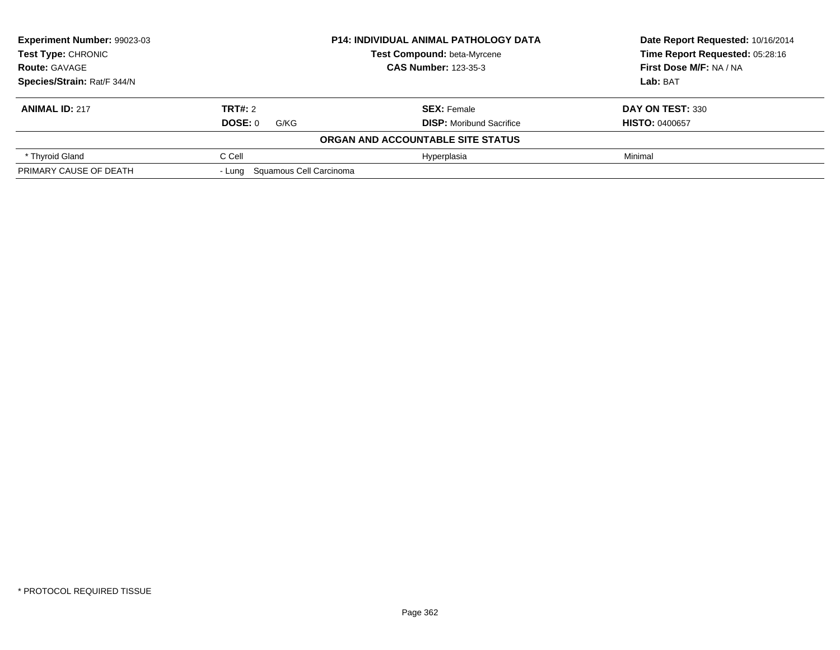| Experiment Number: 99023-03<br><b>Test Type: CHRONIC</b> |                                | <b>P14: INDIVIDUAL ANIMAL PATHOLOGY DATA</b> | Date Report Requested: 10/16/2014 |
|----------------------------------------------------------|--------------------------------|----------------------------------------------|-----------------------------------|
|                                                          |                                | Test Compound: beta-Myrcene                  | Time Report Requested: 05:28:16   |
| <b>Route: GAVAGE</b>                                     | <b>CAS Number: 123-35-3</b>    |                                              | First Dose M/F: NA / NA           |
| Species/Strain: Rat/F 344/N                              |                                |                                              | Lab: BAT                          |
| <b>ANIMAL ID: 217</b>                                    | TRT#: 2                        | <b>SEX: Female</b>                           | DAY ON TEST: 330                  |
|                                                          | DOSE: 0<br>G/KG                | <b>DISP:</b> Moribund Sacrifice              | <b>HISTO: 0400657</b>             |
|                                                          |                                | ORGAN AND ACCOUNTABLE SITE STATUS            |                                   |
| * Thyroid Gland                                          | C Cell                         | Hyperplasia                                  | Minimal                           |
| PRIMARY CAUSE OF DEATH                                   | - Lung Squamous Cell Carcinoma |                                              |                                   |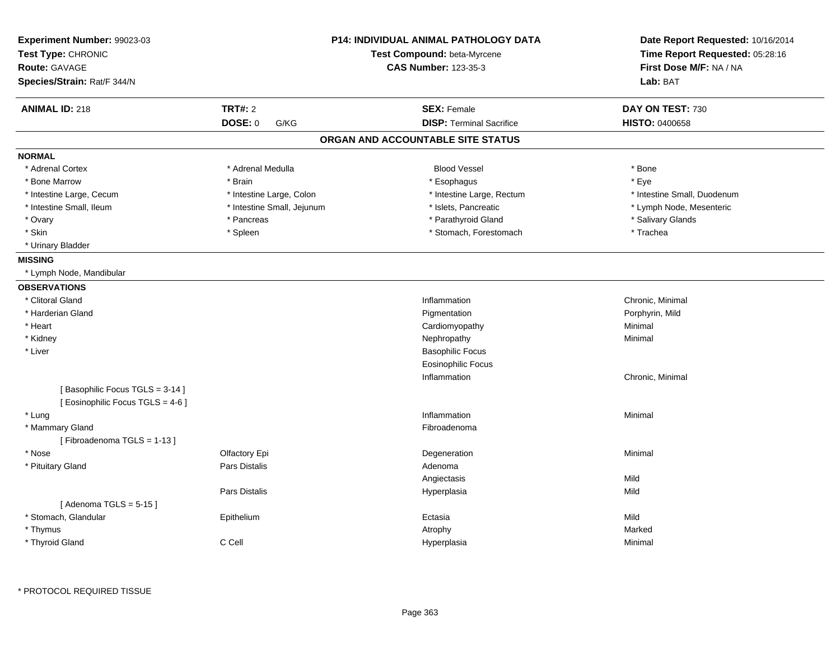| <b>TRT#: 2</b><br><b>ANIMAL ID: 218</b><br><b>SEX: Female</b><br>DAY ON TEST: 730<br>DOSE: 0<br><b>DISP: Terminal Sacrifice</b><br><b>HISTO: 0400658</b><br>G/KG<br>ORGAN AND ACCOUNTABLE SITE STATUS<br><b>NORMAL</b><br>* Adrenal Cortex<br>* Adrenal Medulla<br><b>Blood Vessel</b><br>* Bone<br>* Eye<br>* Bone Marrow<br>* Brain<br>* Esophagus<br>* Intestine Large, Colon<br>* Intestine Large, Rectum<br>* Intestine Small, Duodenum<br>* Intestine Large, Cecum<br>* Intestine Small, Ileum<br>* Intestine Small, Jejunum<br>* Islets, Pancreatic<br>* Lymph Node, Mesenteric<br>* Parathyroid Gland<br>* Salivary Glands<br>* Ovary<br>* Pancreas<br>* Skin<br>* Stomach, Forestomach<br>* Spleen<br>* Trachea<br>* Urinary Bladder<br><b>MISSING</b><br>* Lymph Node, Mandibular<br><b>OBSERVATIONS</b><br>* Clitoral Gland<br>Inflammation<br>Chronic, Minimal<br>* Harderian Gland<br>Pigmentation<br>Porphyrin, Mild<br>* Heart<br>Cardiomyopathy<br>Minimal<br>* Kidney<br>Nephropathy<br>Minimal<br>* Liver<br><b>Basophilic Focus</b><br><b>Eosinophilic Focus</b><br>Inflammation<br>Chronic, Minimal<br>[Basophilic Focus TGLS = 3-14]<br>[ Eosinophilic Focus TGLS = 4-6 ]<br>* Lung<br>Inflammation<br>Minimal<br>* Mammary Gland<br>Fibroadenoma<br>[Fibroadenoma TGLS = 1-13]<br>* Nose<br>Olfactory Epi<br>Degeneration<br>Minimal<br>* Pituitary Gland<br>Pars Distalis<br>Adenoma<br>Mild<br>Angiectasis<br>Pars Distalis<br>Hyperplasia<br>Mild<br>[Adenoma TGLS = $5-15$ ]<br>* Stomach, Glandular<br>Mild<br>Epithelium<br>Ectasia<br>* Thymus<br>Atrophy<br>Marked<br>* Thyroid Gland<br>C Cell<br>Hyperplasia<br>Minimal | Experiment Number: 99023-03<br>Test Type: CHRONIC<br><b>Route: GAVAGE</b><br>Species/Strain: Rat/F 344/N | <b>P14: INDIVIDUAL ANIMAL PATHOLOGY DATA</b><br>Test Compound: beta-Myrcene<br><b>CAS Number: 123-35-3</b> | Date Report Requested: 10/16/2014<br>Time Report Requested: 05:28:16<br>First Dose M/F: NA / NA<br>Lab: BAT |
|---------------------------------------------------------------------------------------------------------------------------------------------------------------------------------------------------------------------------------------------------------------------------------------------------------------------------------------------------------------------------------------------------------------------------------------------------------------------------------------------------------------------------------------------------------------------------------------------------------------------------------------------------------------------------------------------------------------------------------------------------------------------------------------------------------------------------------------------------------------------------------------------------------------------------------------------------------------------------------------------------------------------------------------------------------------------------------------------------------------------------------------------------------------------------------------------------------------------------------------------------------------------------------------------------------------------------------------------------------------------------------------------------------------------------------------------------------------------------------------------------------------------------------------------------------------------------------------------------------------------------------------------------------|----------------------------------------------------------------------------------------------------------|------------------------------------------------------------------------------------------------------------|-------------------------------------------------------------------------------------------------------------|
|                                                                                                                                                                                                                                                                                                                                                                                                                                                                                                                                                                                                                                                                                                                                                                                                                                                                                                                                                                                                                                                                                                                                                                                                                                                                                                                                                                                                                                                                                                                                                                                                                                                         |                                                                                                          |                                                                                                            |                                                                                                             |
|                                                                                                                                                                                                                                                                                                                                                                                                                                                                                                                                                                                                                                                                                                                                                                                                                                                                                                                                                                                                                                                                                                                                                                                                                                                                                                                                                                                                                                                                                                                                                                                                                                                         |                                                                                                          |                                                                                                            |                                                                                                             |
|                                                                                                                                                                                                                                                                                                                                                                                                                                                                                                                                                                                                                                                                                                                                                                                                                                                                                                                                                                                                                                                                                                                                                                                                                                                                                                                                                                                                                                                                                                                                                                                                                                                         |                                                                                                          |                                                                                                            |                                                                                                             |
|                                                                                                                                                                                                                                                                                                                                                                                                                                                                                                                                                                                                                                                                                                                                                                                                                                                                                                                                                                                                                                                                                                                                                                                                                                                                                                                                                                                                                                                                                                                                                                                                                                                         |                                                                                                          |                                                                                                            |                                                                                                             |
|                                                                                                                                                                                                                                                                                                                                                                                                                                                                                                                                                                                                                                                                                                                                                                                                                                                                                                                                                                                                                                                                                                                                                                                                                                                                                                                                                                                                                                                                                                                                                                                                                                                         |                                                                                                          |                                                                                                            |                                                                                                             |
|                                                                                                                                                                                                                                                                                                                                                                                                                                                                                                                                                                                                                                                                                                                                                                                                                                                                                                                                                                                                                                                                                                                                                                                                                                                                                                                                                                                                                                                                                                                                                                                                                                                         |                                                                                                          |                                                                                                            |                                                                                                             |
|                                                                                                                                                                                                                                                                                                                                                                                                                                                                                                                                                                                                                                                                                                                                                                                                                                                                                                                                                                                                                                                                                                                                                                                                                                                                                                                                                                                                                                                                                                                                                                                                                                                         |                                                                                                          |                                                                                                            |                                                                                                             |
|                                                                                                                                                                                                                                                                                                                                                                                                                                                                                                                                                                                                                                                                                                                                                                                                                                                                                                                                                                                                                                                                                                                                                                                                                                                                                                                                                                                                                                                                                                                                                                                                                                                         |                                                                                                          |                                                                                                            |                                                                                                             |
|                                                                                                                                                                                                                                                                                                                                                                                                                                                                                                                                                                                                                                                                                                                                                                                                                                                                                                                                                                                                                                                                                                                                                                                                                                                                                                                                                                                                                                                                                                                                                                                                                                                         |                                                                                                          |                                                                                                            |                                                                                                             |
|                                                                                                                                                                                                                                                                                                                                                                                                                                                                                                                                                                                                                                                                                                                                                                                                                                                                                                                                                                                                                                                                                                                                                                                                                                                                                                                                                                                                                                                                                                                                                                                                                                                         |                                                                                                          |                                                                                                            |                                                                                                             |
|                                                                                                                                                                                                                                                                                                                                                                                                                                                                                                                                                                                                                                                                                                                                                                                                                                                                                                                                                                                                                                                                                                                                                                                                                                                                                                                                                                                                                                                                                                                                                                                                                                                         |                                                                                                          |                                                                                                            |                                                                                                             |
|                                                                                                                                                                                                                                                                                                                                                                                                                                                                                                                                                                                                                                                                                                                                                                                                                                                                                                                                                                                                                                                                                                                                                                                                                                                                                                                                                                                                                                                                                                                                                                                                                                                         |                                                                                                          |                                                                                                            |                                                                                                             |
|                                                                                                                                                                                                                                                                                                                                                                                                                                                                                                                                                                                                                                                                                                                                                                                                                                                                                                                                                                                                                                                                                                                                                                                                                                                                                                                                                                                                                                                                                                                                                                                                                                                         |                                                                                                          |                                                                                                            |                                                                                                             |
|                                                                                                                                                                                                                                                                                                                                                                                                                                                                                                                                                                                                                                                                                                                                                                                                                                                                                                                                                                                                                                                                                                                                                                                                                                                                                                                                                                                                                                                                                                                                                                                                                                                         |                                                                                                          |                                                                                                            |                                                                                                             |
|                                                                                                                                                                                                                                                                                                                                                                                                                                                                                                                                                                                                                                                                                                                                                                                                                                                                                                                                                                                                                                                                                                                                                                                                                                                                                                                                                                                                                                                                                                                                                                                                                                                         |                                                                                                          |                                                                                                            |                                                                                                             |
|                                                                                                                                                                                                                                                                                                                                                                                                                                                                                                                                                                                                                                                                                                                                                                                                                                                                                                                                                                                                                                                                                                                                                                                                                                                                                                                                                                                                                                                                                                                                                                                                                                                         |                                                                                                          |                                                                                                            |                                                                                                             |
|                                                                                                                                                                                                                                                                                                                                                                                                                                                                                                                                                                                                                                                                                                                                                                                                                                                                                                                                                                                                                                                                                                                                                                                                                                                                                                                                                                                                                                                                                                                                                                                                                                                         |                                                                                                          |                                                                                                            |                                                                                                             |
|                                                                                                                                                                                                                                                                                                                                                                                                                                                                                                                                                                                                                                                                                                                                                                                                                                                                                                                                                                                                                                                                                                                                                                                                                                                                                                                                                                                                                                                                                                                                                                                                                                                         |                                                                                                          |                                                                                                            |                                                                                                             |
|                                                                                                                                                                                                                                                                                                                                                                                                                                                                                                                                                                                                                                                                                                                                                                                                                                                                                                                                                                                                                                                                                                                                                                                                                                                                                                                                                                                                                                                                                                                                                                                                                                                         |                                                                                                          |                                                                                                            |                                                                                                             |
|                                                                                                                                                                                                                                                                                                                                                                                                                                                                                                                                                                                                                                                                                                                                                                                                                                                                                                                                                                                                                                                                                                                                                                                                                                                                                                                                                                                                                                                                                                                                                                                                                                                         |                                                                                                          |                                                                                                            |                                                                                                             |
|                                                                                                                                                                                                                                                                                                                                                                                                                                                                                                                                                                                                                                                                                                                                                                                                                                                                                                                                                                                                                                                                                                                                                                                                                                                                                                                                                                                                                                                                                                                                                                                                                                                         |                                                                                                          |                                                                                                            |                                                                                                             |
|                                                                                                                                                                                                                                                                                                                                                                                                                                                                                                                                                                                                                                                                                                                                                                                                                                                                                                                                                                                                                                                                                                                                                                                                                                                                                                                                                                                                                                                                                                                                                                                                                                                         |                                                                                                          |                                                                                                            |                                                                                                             |
|                                                                                                                                                                                                                                                                                                                                                                                                                                                                                                                                                                                                                                                                                                                                                                                                                                                                                                                                                                                                                                                                                                                                                                                                                                                                                                                                                                                                                                                                                                                                                                                                                                                         |                                                                                                          |                                                                                                            |                                                                                                             |
|                                                                                                                                                                                                                                                                                                                                                                                                                                                                                                                                                                                                                                                                                                                                                                                                                                                                                                                                                                                                                                                                                                                                                                                                                                                                                                                                                                                                                                                                                                                                                                                                                                                         |                                                                                                          |                                                                                                            |                                                                                                             |
|                                                                                                                                                                                                                                                                                                                                                                                                                                                                                                                                                                                                                                                                                                                                                                                                                                                                                                                                                                                                                                                                                                                                                                                                                                                                                                                                                                                                                                                                                                                                                                                                                                                         |                                                                                                          |                                                                                                            |                                                                                                             |
|                                                                                                                                                                                                                                                                                                                                                                                                                                                                                                                                                                                                                                                                                                                                                                                                                                                                                                                                                                                                                                                                                                                                                                                                                                                                                                                                                                                                                                                                                                                                                                                                                                                         |                                                                                                          |                                                                                                            |                                                                                                             |
|                                                                                                                                                                                                                                                                                                                                                                                                                                                                                                                                                                                                                                                                                                                                                                                                                                                                                                                                                                                                                                                                                                                                                                                                                                                                                                                                                                                                                                                                                                                                                                                                                                                         |                                                                                                          |                                                                                                            |                                                                                                             |
|                                                                                                                                                                                                                                                                                                                                                                                                                                                                                                                                                                                                                                                                                                                                                                                                                                                                                                                                                                                                                                                                                                                                                                                                                                                                                                                                                                                                                                                                                                                                                                                                                                                         |                                                                                                          |                                                                                                            |                                                                                                             |
|                                                                                                                                                                                                                                                                                                                                                                                                                                                                                                                                                                                                                                                                                                                                                                                                                                                                                                                                                                                                                                                                                                                                                                                                                                                                                                                                                                                                                                                                                                                                                                                                                                                         |                                                                                                          |                                                                                                            |                                                                                                             |
|                                                                                                                                                                                                                                                                                                                                                                                                                                                                                                                                                                                                                                                                                                                                                                                                                                                                                                                                                                                                                                                                                                                                                                                                                                                                                                                                                                                                                                                                                                                                                                                                                                                         |                                                                                                          |                                                                                                            |                                                                                                             |
|                                                                                                                                                                                                                                                                                                                                                                                                                                                                                                                                                                                                                                                                                                                                                                                                                                                                                                                                                                                                                                                                                                                                                                                                                                                                                                                                                                                                                                                                                                                                                                                                                                                         |                                                                                                          |                                                                                                            |                                                                                                             |
|                                                                                                                                                                                                                                                                                                                                                                                                                                                                                                                                                                                                                                                                                                                                                                                                                                                                                                                                                                                                                                                                                                                                                                                                                                                                                                                                                                                                                                                                                                                                                                                                                                                         |                                                                                                          |                                                                                                            |                                                                                                             |
|                                                                                                                                                                                                                                                                                                                                                                                                                                                                                                                                                                                                                                                                                                                                                                                                                                                                                                                                                                                                                                                                                                                                                                                                                                                                                                                                                                                                                                                                                                                                                                                                                                                         |                                                                                                          |                                                                                                            |                                                                                                             |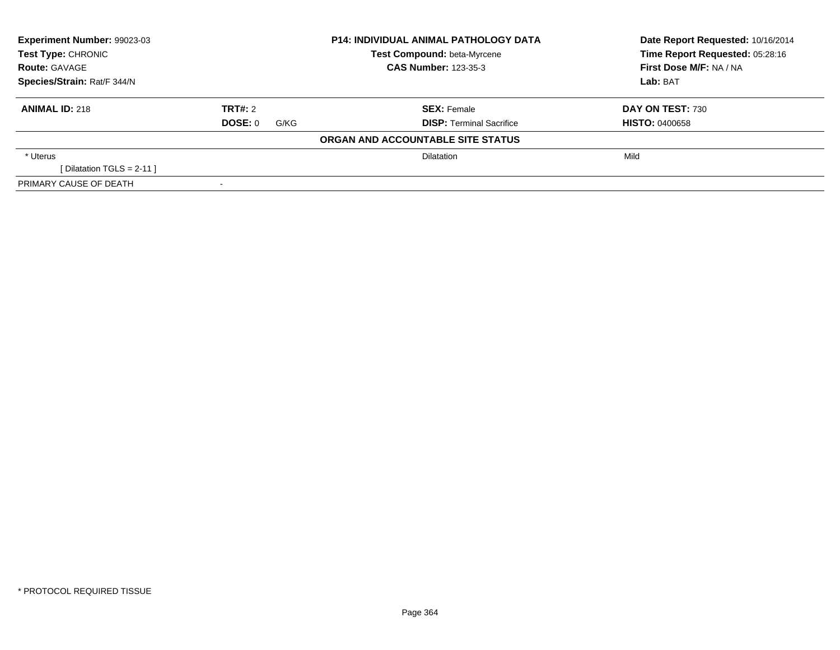| Experiment Number: 99023-03<br><b>Test Type: CHRONIC</b> |                 | <b>P14: INDIVIDUAL ANIMAL PATHOLOGY DATA</b> | Date Report Requested: 10/16/2014 |  |
|----------------------------------------------------------|-----------------|----------------------------------------------|-----------------------------------|--|
|                                                          |                 | Test Compound: beta-Myrcene                  | Time Report Requested: 05:28:16   |  |
| <b>Route: GAVAGE</b>                                     |                 | <b>CAS Number: 123-35-3</b>                  | First Dose M/F: NA / NA           |  |
| Species/Strain: Rat/F 344/N                              |                 |                                              | Lab: BAT                          |  |
| <b>ANIMAL ID: 218</b>                                    | TRT#: 2         | <b>SEX: Female</b>                           | DAY ON TEST: 730                  |  |
|                                                          | DOSE: 0<br>G/KG | <b>DISP: Terminal Sacrifice</b>              | <b>HISTO: 0400658</b>             |  |
|                                                          |                 | ORGAN AND ACCOUNTABLE SITE STATUS            |                                   |  |
| * Uterus                                                 |                 | <b>Dilatation</b>                            | Mild                              |  |
| [Dilatation TGLS = $2-11$ ]                              |                 |                                              |                                   |  |
| PRIMARY CAUSE OF DEATH                                   |                 |                                              |                                   |  |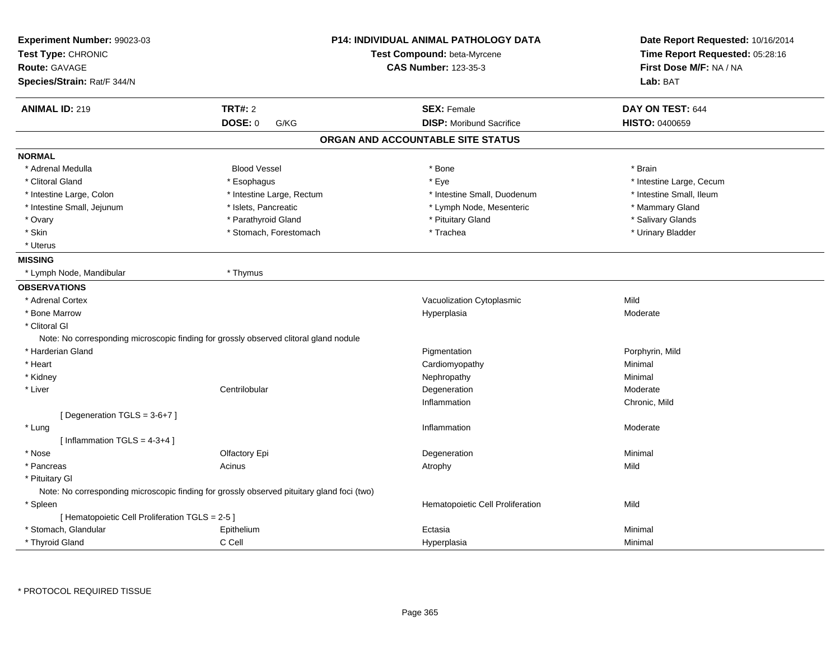| Experiment Number: 99023-03<br>Test Type: CHRONIC<br><b>Route: GAVAGE</b><br>Species/Strain: Rat/F 344/N |                                                                                            | <b>P14: INDIVIDUAL ANIMAL PATHOLOGY DATA</b><br>Test Compound: beta-Myrcene<br><b>CAS Number: 123-35-3</b> | Date Report Requested: 10/16/2014<br>Time Report Requested: 05:28:16<br>First Dose M/F: NA / NA<br>Lab: BAT |
|----------------------------------------------------------------------------------------------------------|--------------------------------------------------------------------------------------------|------------------------------------------------------------------------------------------------------------|-------------------------------------------------------------------------------------------------------------|
| <b>ANIMAL ID: 219</b>                                                                                    | <b>TRT#: 2</b>                                                                             | <b>SEX: Female</b>                                                                                         | DAY ON TEST: 644                                                                                            |
|                                                                                                          | DOSE: 0<br>G/KG                                                                            | <b>DISP:</b> Moribund Sacrifice                                                                            | <b>HISTO: 0400659</b>                                                                                       |
|                                                                                                          |                                                                                            | ORGAN AND ACCOUNTABLE SITE STATUS                                                                          |                                                                                                             |
| <b>NORMAL</b>                                                                                            |                                                                                            |                                                                                                            |                                                                                                             |
| * Adrenal Medulla                                                                                        | <b>Blood Vessel</b>                                                                        | * Bone                                                                                                     | * Brain                                                                                                     |
| * Clitoral Gland                                                                                         | * Esophagus                                                                                | * Eye                                                                                                      | * Intestine Large, Cecum                                                                                    |
| * Intestine Large, Colon                                                                                 | * Intestine Large, Rectum                                                                  | * Intestine Small, Duodenum                                                                                | * Intestine Small, Ileum                                                                                    |
| * Intestine Small, Jejunum                                                                               | * Islets, Pancreatic                                                                       | * Lymph Node, Mesenteric                                                                                   | * Mammary Gland                                                                                             |
| * Ovary                                                                                                  | * Parathyroid Gland                                                                        | * Pituitary Gland                                                                                          | * Salivary Glands                                                                                           |
| * Skin                                                                                                   | * Stomach, Forestomach                                                                     | * Trachea                                                                                                  | * Urinary Bladder                                                                                           |
| * Uterus                                                                                                 |                                                                                            |                                                                                                            |                                                                                                             |
| <b>MISSING</b>                                                                                           |                                                                                            |                                                                                                            |                                                                                                             |
| * Lymph Node, Mandibular                                                                                 | * Thymus                                                                                   |                                                                                                            |                                                                                                             |
| <b>OBSERVATIONS</b>                                                                                      |                                                                                            |                                                                                                            |                                                                                                             |
| * Adrenal Cortex                                                                                         |                                                                                            | Vacuolization Cytoplasmic                                                                                  | Mild                                                                                                        |
| * Bone Marrow                                                                                            |                                                                                            | Hyperplasia                                                                                                | Moderate                                                                                                    |
| * Clitoral GI                                                                                            |                                                                                            |                                                                                                            |                                                                                                             |
|                                                                                                          | Note: No corresponding microscopic finding for grossly observed clitoral gland nodule      |                                                                                                            |                                                                                                             |
| * Harderian Gland                                                                                        |                                                                                            | Pigmentation                                                                                               | Porphyrin, Mild                                                                                             |
| * Heart                                                                                                  |                                                                                            | Cardiomyopathy                                                                                             | Minimal                                                                                                     |
| * Kidney                                                                                                 |                                                                                            | Nephropathy                                                                                                | Minimal                                                                                                     |
| * Liver                                                                                                  | Centrilobular                                                                              | Degeneration                                                                                               | Moderate                                                                                                    |
|                                                                                                          |                                                                                            | Inflammation                                                                                               | Chronic, Mild                                                                                               |
| [ Degeneration TGLS = 3-6+7 ]                                                                            |                                                                                            |                                                                                                            |                                                                                                             |
| * Lung                                                                                                   |                                                                                            | Inflammation                                                                                               | Moderate                                                                                                    |
| [Inflammation TGLS = $4-3+4$ ]                                                                           |                                                                                            |                                                                                                            |                                                                                                             |
| * Nose                                                                                                   | Olfactory Epi                                                                              | Degeneration                                                                                               | Minimal                                                                                                     |
| * Pancreas                                                                                               | Acinus                                                                                     | Atrophy                                                                                                    | Mild                                                                                                        |
| * Pituitary Gl                                                                                           |                                                                                            |                                                                                                            |                                                                                                             |
|                                                                                                          | Note: No corresponding microscopic finding for grossly observed pituitary gland foci (two) |                                                                                                            |                                                                                                             |
| * Spleen                                                                                                 |                                                                                            | Hematopoietic Cell Proliferation                                                                           | Mild                                                                                                        |
| [ Hematopoietic Cell Proliferation TGLS = 2-5 ]                                                          |                                                                                            |                                                                                                            |                                                                                                             |
| * Stomach, Glandular                                                                                     | Epithelium                                                                                 | Ectasia                                                                                                    | Minimal                                                                                                     |
| * Thyroid Gland                                                                                          | C Cell                                                                                     | Hyperplasia                                                                                                | Minimal                                                                                                     |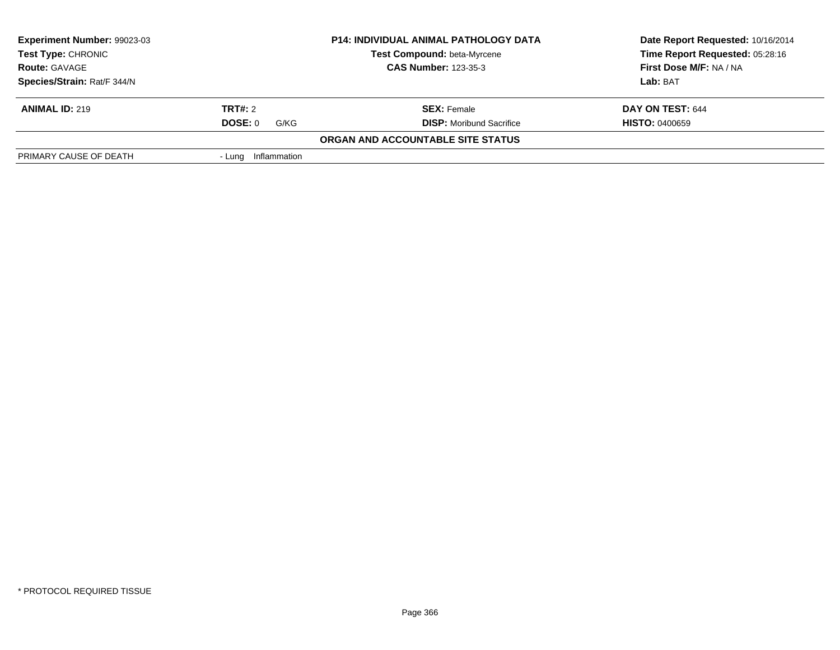| Experiment Number: 99023-03                                                                                            |                     | <b>P14: INDIVIDUAL ANIMAL PATHOLOGY DATA</b> | Date Report Requested: 10/16/2014 |
|------------------------------------------------------------------------------------------------------------------------|---------------------|----------------------------------------------|-----------------------------------|
| <b>Test Type: CHRONIC</b><br><b>Test Compound: beta-Myrcene</b><br><b>CAS Number: 123-35-3</b><br><b>Route: GAVAGE</b> |                     |                                              | Time Report Requested: 05:28:16   |
|                                                                                                                        |                     |                                              | First Dose M/F: NA / NA           |
| Species/Strain: Rat/F 344/N                                                                                            |                     |                                              | Lab: BAT                          |
| <b>ANIMAL ID: 219</b>                                                                                                  | <b>TRT#:</b> 2      | <b>SEX: Female</b>                           | DAY ON TEST: 644                  |
|                                                                                                                        | DOSE: 0<br>G/KG     | <b>DISP:</b> Moribund Sacrifice              | <b>HISTO: 0400659</b>             |
|                                                                                                                        |                     | ORGAN AND ACCOUNTABLE SITE STATUS            |                                   |
| PRIMARY CAUSE OF DEATH                                                                                                 | - Lung Inflammation |                                              |                                   |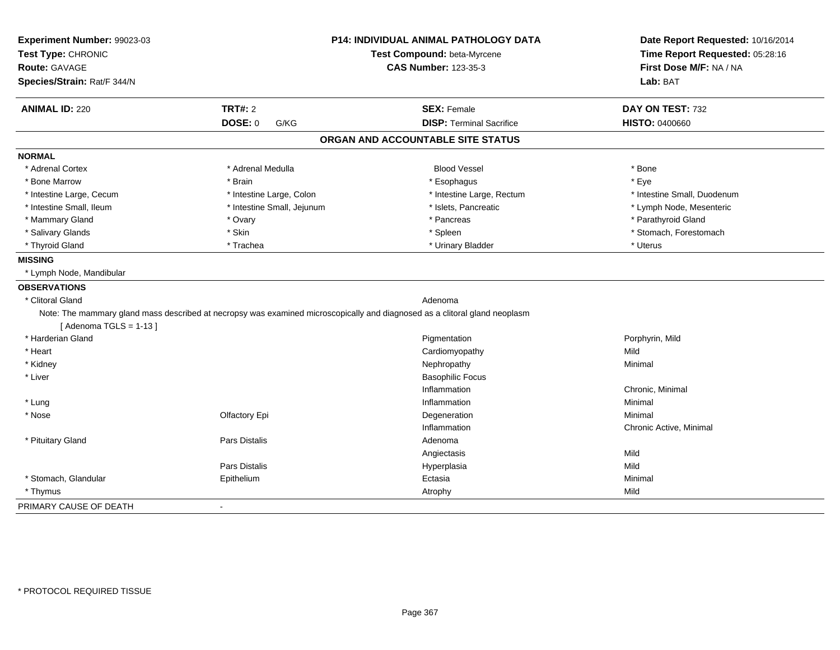| Experiment Number: 99023-03 |                                                                                                                            | P14: INDIVIDUAL ANIMAL PATHOLOGY DATA | Date Report Requested: 10/16/2014 |
|-----------------------------|----------------------------------------------------------------------------------------------------------------------------|---------------------------------------|-----------------------------------|
| Test Type: CHRONIC          |                                                                                                                            | Test Compound: beta-Myrcene           | Time Report Requested: 05:28:16   |
| <b>Route: GAVAGE</b>        |                                                                                                                            | <b>CAS Number: 123-35-3</b>           | First Dose M/F: NA / NA           |
| Species/Strain: Rat/F 344/N |                                                                                                                            |                                       | Lab: BAT                          |
| <b>ANIMAL ID: 220</b>       | <b>TRT#: 2</b>                                                                                                             | <b>SEX: Female</b>                    | DAY ON TEST: 732                  |
|                             | <b>DOSE: 0</b><br>G/KG                                                                                                     | <b>DISP: Terminal Sacrifice</b>       | <b>HISTO: 0400660</b>             |
|                             |                                                                                                                            | ORGAN AND ACCOUNTABLE SITE STATUS     |                                   |
| <b>NORMAL</b>               |                                                                                                                            |                                       |                                   |
| * Adrenal Cortex            | * Adrenal Medulla                                                                                                          | <b>Blood Vessel</b>                   | * Bone                            |
| * Bone Marrow               | * Brain                                                                                                                    | * Esophagus                           | * Eye                             |
| * Intestine Large, Cecum    | * Intestine Large, Colon                                                                                                   | * Intestine Large, Rectum             | * Intestine Small, Duodenum       |
| * Intestine Small. Ileum    | * Intestine Small, Jejunum                                                                                                 | * Islets, Pancreatic                  | * Lymph Node, Mesenteric          |
| * Mammary Gland             | * Ovary                                                                                                                    | * Pancreas                            | * Parathyroid Gland               |
| * Salivary Glands           | * Skin                                                                                                                     | * Spleen                              | * Stomach, Forestomach            |
| * Thyroid Gland             | * Trachea                                                                                                                  | * Urinary Bladder                     | * Uterus                          |
| <b>MISSING</b>              |                                                                                                                            |                                       |                                   |
| * Lymph Node, Mandibular    |                                                                                                                            |                                       |                                   |
| <b>OBSERVATIONS</b>         |                                                                                                                            |                                       |                                   |
| * Clitoral Gland            |                                                                                                                            | Adenoma                               |                                   |
| [Adenoma TGLS = $1-13$ ]    | Note: The mammary gland mass described at necropsy was examined microscopically and diagnosed as a clitoral gland neoplasm |                                       |                                   |
| * Harderian Gland           |                                                                                                                            | Pigmentation                          | Porphyrin, Mild                   |
| * Heart                     |                                                                                                                            | Cardiomyopathy                        | Mild                              |
| * Kidney                    |                                                                                                                            | Nephropathy                           | Minimal                           |
| * Liver                     |                                                                                                                            | <b>Basophilic Focus</b>               |                                   |
|                             |                                                                                                                            | Inflammation                          | Chronic, Minimal                  |
| * Lung                      |                                                                                                                            | Inflammation                          | Minimal                           |
| * Nose                      | Olfactory Epi                                                                                                              | Degeneration                          | Minimal                           |
|                             |                                                                                                                            | Inflammation                          | Chronic Active, Minimal           |
| * Pituitary Gland           | Pars Distalis                                                                                                              | Adenoma                               |                                   |
|                             |                                                                                                                            | Angiectasis                           | Mild                              |
|                             | <b>Pars Distalis</b>                                                                                                       | Hyperplasia                           | Mild                              |
| * Stomach, Glandular        | Epithelium                                                                                                                 | Ectasia                               | Minimal                           |
| * Thymus                    |                                                                                                                            | Atrophy                               | Mild                              |
| PRIMARY CAUSE OF DEATH      | $\blacksquare$                                                                                                             |                                       |                                   |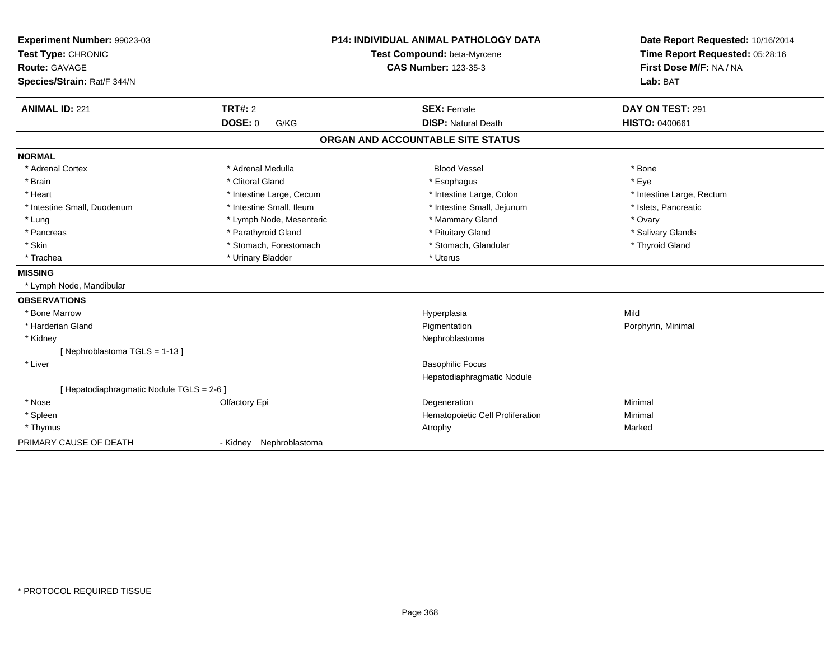| Experiment Number: 99023-03             | <b>P14: INDIVIDUAL ANIMAL PATHOLOGY DATA</b><br>Test Compound: beta-Myrcene |                                   | Date Report Requested: 10/16/2014<br>Time Report Requested: 05:28:16 |
|-----------------------------------------|-----------------------------------------------------------------------------|-----------------------------------|----------------------------------------------------------------------|
| Test Type: CHRONIC                      |                                                                             |                                   |                                                                      |
| <b>Route: GAVAGE</b>                    |                                                                             | <b>CAS Number: 123-35-3</b>       | First Dose M/F: NA / NA                                              |
| Species/Strain: Rat/F 344/N             |                                                                             |                                   | Lab: BAT                                                             |
| <b>ANIMAL ID: 221</b>                   | <b>TRT#: 2</b>                                                              | <b>SEX: Female</b>                | DAY ON TEST: 291                                                     |
|                                         | <b>DOSE: 0</b><br>G/KG                                                      | <b>DISP: Natural Death</b>        | <b>HISTO: 0400661</b>                                                |
|                                         |                                                                             | ORGAN AND ACCOUNTABLE SITE STATUS |                                                                      |
| <b>NORMAL</b>                           |                                                                             |                                   |                                                                      |
| * Adrenal Cortex                        | * Adrenal Medulla                                                           | <b>Blood Vessel</b>               | * Bone                                                               |
| * Brain                                 | * Clitoral Gland                                                            | * Esophagus                       | * Eye                                                                |
| * Heart                                 | * Intestine Large, Cecum                                                    | * Intestine Large, Colon          | * Intestine Large, Rectum                                            |
| * Intestine Small, Duodenum             | * Intestine Small, Ileum                                                    | * Intestine Small, Jejunum        | * Islets, Pancreatic                                                 |
| * Lung                                  | * Lymph Node, Mesenteric                                                    | * Mammary Gland                   | * Ovary                                                              |
| * Pancreas                              | * Parathyroid Gland                                                         | * Pituitary Gland                 | * Salivary Glands                                                    |
| * Skin                                  | * Stomach, Forestomach                                                      | * Stomach, Glandular              | * Thyroid Gland                                                      |
| * Trachea                               | * Urinary Bladder                                                           | * Uterus                          |                                                                      |
| <b>MISSING</b>                          |                                                                             |                                   |                                                                      |
| * Lymph Node, Mandibular                |                                                                             |                                   |                                                                      |
| <b>OBSERVATIONS</b>                     |                                                                             |                                   |                                                                      |
| * Bone Marrow                           |                                                                             | Hyperplasia                       | Mild                                                                 |
| * Harderian Gland                       |                                                                             | Pigmentation                      | Porphyrin, Minimal                                                   |
| * Kidney                                |                                                                             | Nephroblastoma                    |                                                                      |
| [Nephroblastoma TGLS = 1-13]            |                                                                             |                                   |                                                                      |
| * Liver                                 |                                                                             | <b>Basophilic Focus</b>           |                                                                      |
|                                         |                                                                             | Hepatodiaphragmatic Nodule        |                                                                      |
| [Hepatodiaphragmatic Nodule TGLS = 2-6] |                                                                             |                                   |                                                                      |
| * Nose                                  | Olfactory Epi                                                               | Degeneration                      | Minimal                                                              |
| * Spleen                                |                                                                             | Hematopoietic Cell Proliferation  | Minimal                                                              |
| * Thymus                                |                                                                             | Atrophy                           | Marked                                                               |
| PRIMARY CAUSE OF DEATH                  | Nephroblastoma<br>- Kidney                                                  |                                   |                                                                      |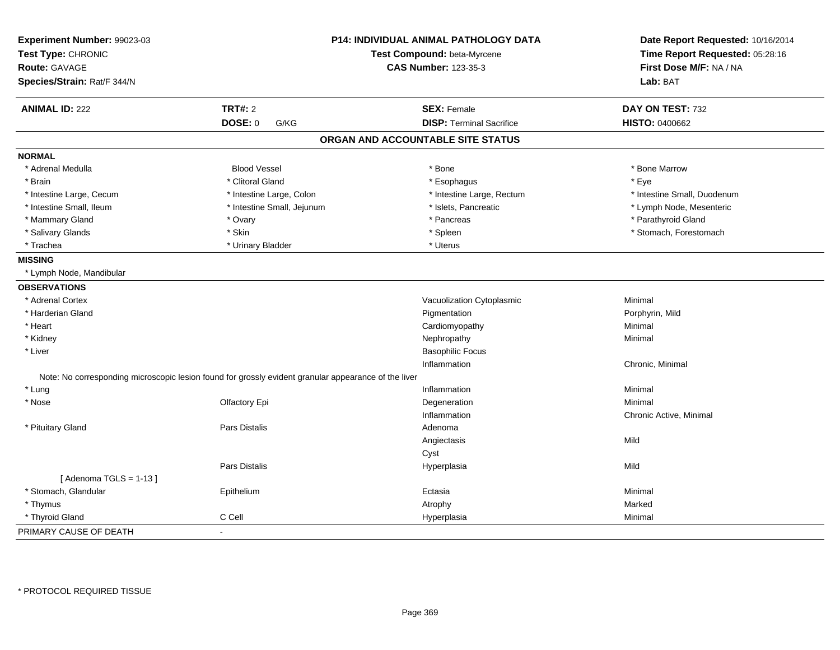| Experiment Number: 99023-03<br>Test Type: CHRONIC<br><b>Route: GAVAGE</b><br>Species/Strain: Rat/F 344/N |                                                                                                      | <b>P14: INDIVIDUAL ANIMAL PATHOLOGY DATA</b><br>Test Compound: beta-Myrcene<br><b>CAS Number: 123-35-3</b> | Date Report Requested: 10/16/2014<br>Time Report Requested: 05:28:16<br>First Dose M/F: NA / NA<br>Lab: BAT |
|----------------------------------------------------------------------------------------------------------|------------------------------------------------------------------------------------------------------|------------------------------------------------------------------------------------------------------------|-------------------------------------------------------------------------------------------------------------|
| <b>ANIMAL ID: 222</b>                                                                                    | <b>TRT#: 2</b>                                                                                       | <b>SEX: Female</b>                                                                                         | DAY ON TEST: 732                                                                                            |
|                                                                                                          | <b>DOSE: 0</b><br>G/KG                                                                               | <b>DISP: Terminal Sacrifice</b>                                                                            | <b>HISTO: 0400662</b>                                                                                       |
|                                                                                                          |                                                                                                      | ORGAN AND ACCOUNTABLE SITE STATUS                                                                          |                                                                                                             |
| <b>NORMAL</b>                                                                                            |                                                                                                      |                                                                                                            |                                                                                                             |
| * Adrenal Medulla                                                                                        | <b>Blood Vessel</b>                                                                                  | * Bone                                                                                                     | * Bone Marrow                                                                                               |
| * Brain                                                                                                  | * Clitoral Gland                                                                                     | * Esophagus                                                                                                | * Eye                                                                                                       |
| * Intestine Large, Cecum                                                                                 | * Intestine Large, Colon                                                                             | * Intestine Large, Rectum                                                                                  | * Intestine Small, Duodenum                                                                                 |
| * Intestine Small, Ileum                                                                                 | * Intestine Small, Jejunum                                                                           | * Islets, Pancreatic                                                                                       | * Lymph Node, Mesenteric                                                                                    |
| * Mammary Gland                                                                                          | * Ovary                                                                                              | * Pancreas                                                                                                 | * Parathyroid Gland                                                                                         |
| * Salivary Glands                                                                                        | * Skin                                                                                               | * Spleen                                                                                                   | * Stomach, Forestomach                                                                                      |
| * Trachea                                                                                                | * Urinary Bladder                                                                                    | * Uterus                                                                                                   |                                                                                                             |
| <b>MISSING</b>                                                                                           |                                                                                                      |                                                                                                            |                                                                                                             |
| * Lymph Node, Mandibular                                                                                 |                                                                                                      |                                                                                                            |                                                                                                             |
| <b>OBSERVATIONS</b>                                                                                      |                                                                                                      |                                                                                                            |                                                                                                             |
| * Adrenal Cortex                                                                                         |                                                                                                      | Vacuolization Cytoplasmic                                                                                  | Minimal                                                                                                     |
| * Harderian Gland                                                                                        |                                                                                                      | Pigmentation                                                                                               | Porphyrin, Mild                                                                                             |
| * Heart                                                                                                  |                                                                                                      | Cardiomyopathy                                                                                             | Minimal                                                                                                     |
| * Kidney                                                                                                 |                                                                                                      | Nephropathy                                                                                                | Minimal                                                                                                     |
| * Liver                                                                                                  |                                                                                                      | <b>Basophilic Focus</b>                                                                                    |                                                                                                             |
|                                                                                                          |                                                                                                      | Inflammation                                                                                               | Chronic, Minimal                                                                                            |
|                                                                                                          | Note: No corresponding microscopic lesion found for grossly evident granular appearance of the liver |                                                                                                            |                                                                                                             |
| * Lung                                                                                                   |                                                                                                      | Inflammation                                                                                               | Minimal                                                                                                     |
| * Nose                                                                                                   | Olfactory Epi                                                                                        | Degeneration                                                                                               | Minimal                                                                                                     |
|                                                                                                          |                                                                                                      | Inflammation                                                                                               | Chronic Active, Minimal                                                                                     |
| * Pituitary Gland                                                                                        | <b>Pars Distalis</b>                                                                                 | Adenoma                                                                                                    |                                                                                                             |
|                                                                                                          |                                                                                                      | Angiectasis                                                                                                | Mild                                                                                                        |
|                                                                                                          |                                                                                                      | Cyst                                                                                                       |                                                                                                             |
|                                                                                                          | <b>Pars Distalis</b>                                                                                 | Hyperplasia                                                                                                | Mild                                                                                                        |
| [Adenoma TGLS = $1-13$ ]                                                                                 |                                                                                                      |                                                                                                            |                                                                                                             |
| * Stomach, Glandular                                                                                     | Epithelium                                                                                           | Ectasia                                                                                                    | Minimal                                                                                                     |
| * Thymus                                                                                                 |                                                                                                      | Atrophy                                                                                                    | Marked                                                                                                      |
| * Thyroid Gland                                                                                          | C Cell                                                                                               | Hyperplasia                                                                                                | Minimal                                                                                                     |
| PRIMARY CAUSE OF DEATH                                                                                   |                                                                                                      |                                                                                                            |                                                                                                             |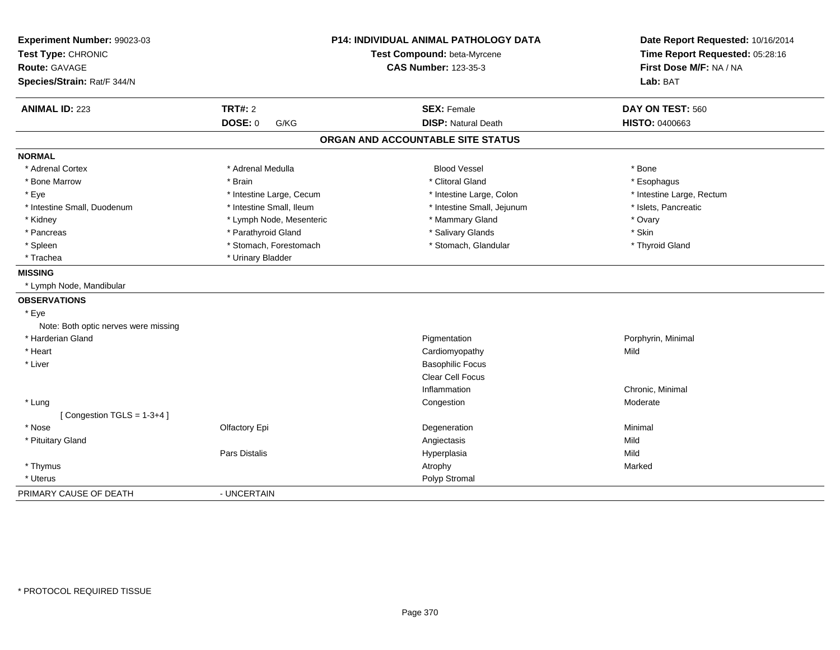| Experiment Number: 99023-03<br>Test Type: CHRONIC<br><b>Route: GAVAGE</b><br>Species/Strain: Rat/F 344/N | P14: INDIVIDUAL ANIMAL PATHOLOGY DATA<br>Test Compound: beta-Myrcene<br><b>CAS Number: 123-35-3</b> |                                                  | Date Report Requested: 10/16/2014<br>Time Report Requested: 05:28:16<br>First Dose M/F: NA / NA<br>Lab: BAT |
|----------------------------------------------------------------------------------------------------------|-----------------------------------------------------------------------------------------------------|--------------------------------------------------|-------------------------------------------------------------------------------------------------------------|
| <b>ANIMAL ID: 223</b>                                                                                    | <b>TRT#: 2</b><br>DOSE: 0<br>G/KG                                                                   | <b>SEX: Female</b><br><b>DISP: Natural Death</b> | DAY ON TEST: 560<br><b>HISTO: 0400663</b>                                                                   |
|                                                                                                          |                                                                                                     |                                                  |                                                                                                             |
|                                                                                                          |                                                                                                     | ORGAN AND ACCOUNTABLE SITE STATUS                |                                                                                                             |
| <b>NORMAL</b>                                                                                            |                                                                                                     |                                                  |                                                                                                             |
| * Adrenal Cortex                                                                                         | * Adrenal Medulla                                                                                   | <b>Blood Vessel</b>                              | * Bone                                                                                                      |
| * Bone Marrow                                                                                            | * Brain                                                                                             | * Clitoral Gland                                 | * Esophagus                                                                                                 |
| * Eye                                                                                                    | * Intestine Large, Cecum                                                                            | * Intestine Large, Colon                         | * Intestine Large, Rectum                                                                                   |
| * Intestine Small, Duodenum                                                                              | * Intestine Small, Ileum                                                                            | * Intestine Small, Jejunum                       | * Islets, Pancreatic                                                                                        |
| * Kidney                                                                                                 | * Lymph Node, Mesenteric                                                                            | * Mammary Gland                                  | * Ovary                                                                                                     |
| * Pancreas                                                                                               | * Parathyroid Gland                                                                                 | * Salivary Glands                                | * Skin                                                                                                      |
| * Spleen                                                                                                 | * Stomach, Forestomach                                                                              | * Stomach, Glandular                             | * Thyroid Gland                                                                                             |
| * Trachea                                                                                                | * Urinary Bladder                                                                                   |                                                  |                                                                                                             |
| <b>MISSING</b>                                                                                           |                                                                                                     |                                                  |                                                                                                             |
| * Lymph Node, Mandibular                                                                                 |                                                                                                     |                                                  |                                                                                                             |
| <b>OBSERVATIONS</b>                                                                                      |                                                                                                     |                                                  |                                                                                                             |
| * Eye                                                                                                    |                                                                                                     |                                                  |                                                                                                             |
| Note: Both optic nerves were missing                                                                     |                                                                                                     |                                                  |                                                                                                             |
| * Harderian Gland                                                                                        |                                                                                                     | Pigmentation                                     | Porphyrin, Minimal                                                                                          |
| * Heart                                                                                                  |                                                                                                     | Cardiomyopathy                                   | Mild                                                                                                        |
| * Liver                                                                                                  |                                                                                                     | <b>Basophilic Focus</b>                          |                                                                                                             |
|                                                                                                          |                                                                                                     | Clear Cell Focus                                 |                                                                                                             |
|                                                                                                          |                                                                                                     | Inflammation                                     | Chronic, Minimal                                                                                            |
| * Lung                                                                                                   |                                                                                                     | Congestion                                       | Moderate                                                                                                    |
| [Congestion TGLS = $1-3+4$ ]                                                                             |                                                                                                     |                                                  |                                                                                                             |
| * Nose                                                                                                   | Olfactory Epi                                                                                       | Degeneration                                     | Minimal                                                                                                     |
| * Pituitary Gland                                                                                        |                                                                                                     | Angiectasis                                      | Mild                                                                                                        |
|                                                                                                          | Pars Distalis                                                                                       | Hyperplasia                                      | Mild                                                                                                        |
| * Thymus                                                                                                 |                                                                                                     | Atrophy                                          | Marked                                                                                                      |
| * Uterus                                                                                                 |                                                                                                     | Polyp Stromal                                    |                                                                                                             |
| PRIMARY CAUSE OF DEATH                                                                                   | - UNCERTAIN                                                                                         |                                                  |                                                                                                             |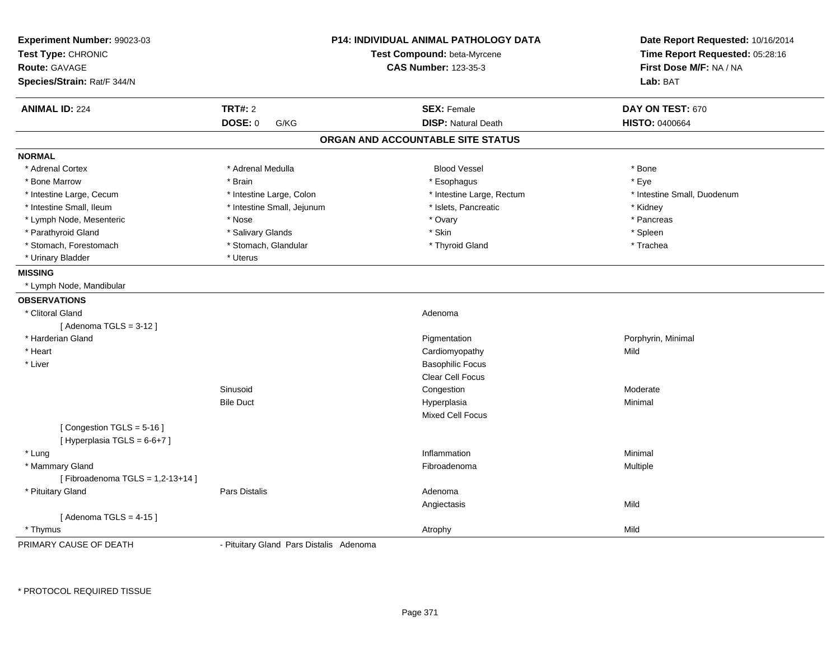| Experiment Number: 99023-03<br>Test Type: CHRONIC<br><b>Route: GAVAGE</b> |                                         | P14: INDIVIDUAL ANIMAL PATHOLOGY DATA<br>Test Compound: beta-Myrcene<br><b>CAS Number: 123-35-3</b> | Date Report Requested: 10/16/2014<br>Time Report Requested: 05:28:16<br>First Dose M/F: NA / NA |
|---------------------------------------------------------------------------|-----------------------------------------|-----------------------------------------------------------------------------------------------------|-------------------------------------------------------------------------------------------------|
| Species/Strain: Rat/F 344/N                                               |                                         |                                                                                                     | Lab: BAT                                                                                        |
| <b>ANIMAL ID: 224</b>                                                     | <b>TRT#: 2</b>                          | <b>SEX: Female</b>                                                                                  | DAY ON TEST: 670                                                                                |
|                                                                           | DOSE: 0<br>G/KG                         | <b>DISP: Natural Death</b>                                                                          | <b>HISTO: 0400664</b>                                                                           |
|                                                                           |                                         | ORGAN AND ACCOUNTABLE SITE STATUS                                                                   |                                                                                                 |
| <b>NORMAL</b>                                                             |                                         |                                                                                                     |                                                                                                 |
| * Adrenal Cortex                                                          | * Adrenal Medulla                       | <b>Blood Vessel</b>                                                                                 | * Bone                                                                                          |
| * Bone Marrow                                                             | * Brain                                 | * Esophagus                                                                                         | * Eye                                                                                           |
| * Intestine Large, Cecum                                                  | * Intestine Large, Colon                | * Intestine Large, Rectum                                                                           | * Intestine Small, Duodenum                                                                     |
| * Intestine Small, Ileum                                                  | * Intestine Small, Jejunum              | * Islets, Pancreatic                                                                                | * Kidney                                                                                        |
| * Lymph Node, Mesenteric                                                  | * Nose                                  | * Ovary                                                                                             | * Pancreas                                                                                      |
| * Parathyroid Gland                                                       | * Salivary Glands                       | * Skin                                                                                              | * Spleen                                                                                        |
| * Stomach, Forestomach                                                    | * Stomach, Glandular                    | * Thyroid Gland                                                                                     | * Trachea                                                                                       |
| * Urinary Bladder                                                         | * Uterus                                |                                                                                                     |                                                                                                 |
| <b>MISSING</b>                                                            |                                         |                                                                                                     |                                                                                                 |
| * Lymph Node, Mandibular                                                  |                                         |                                                                                                     |                                                                                                 |
| <b>OBSERVATIONS</b>                                                       |                                         |                                                                                                     |                                                                                                 |
| * Clitoral Gland                                                          |                                         | Adenoma                                                                                             |                                                                                                 |
| [Adenoma TGLS = $3-12$ ]                                                  |                                         |                                                                                                     |                                                                                                 |
| * Harderian Gland                                                         |                                         | Pigmentation                                                                                        | Porphyrin, Minimal                                                                              |
| * Heart                                                                   |                                         | Cardiomyopathy                                                                                      | Mild                                                                                            |
| * Liver                                                                   |                                         | <b>Basophilic Focus</b>                                                                             |                                                                                                 |
|                                                                           |                                         | <b>Clear Cell Focus</b>                                                                             |                                                                                                 |
|                                                                           | Sinusoid                                | Congestion                                                                                          | Moderate                                                                                        |
|                                                                           | <b>Bile Duct</b>                        | Hyperplasia                                                                                         | Minimal                                                                                         |
|                                                                           |                                         | <b>Mixed Cell Focus</b>                                                                             |                                                                                                 |
| [Congestion TGLS = 5-16]<br>[Hyperplasia TGLS = 6-6+7]                    |                                         |                                                                                                     |                                                                                                 |
| * Lung                                                                    |                                         | Inflammation                                                                                        | Minimal                                                                                         |
| * Mammary Gland                                                           |                                         | Fibroadenoma                                                                                        | Multiple                                                                                        |
| [Fibroadenoma TGLS = $1,2-13+14$ ]                                        |                                         |                                                                                                     |                                                                                                 |
| * Pituitary Gland                                                         | <b>Pars Distalis</b>                    | Adenoma                                                                                             |                                                                                                 |
|                                                                           |                                         | Angiectasis                                                                                         | Mild                                                                                            |
| [Adenoma TGLS = $4-15$ ]                                                  |                                         |                                                                                                     |                                                                                                 |
| * Thymus                                                                  |                                         | Atrophy                                                                                             | Mild                                                                                            |
| PRIMARY CAUSE OF DEATH                                                    | - Pituitary Gland Pars Distalis Adenoma |                                                                                                     |                                                                                                 |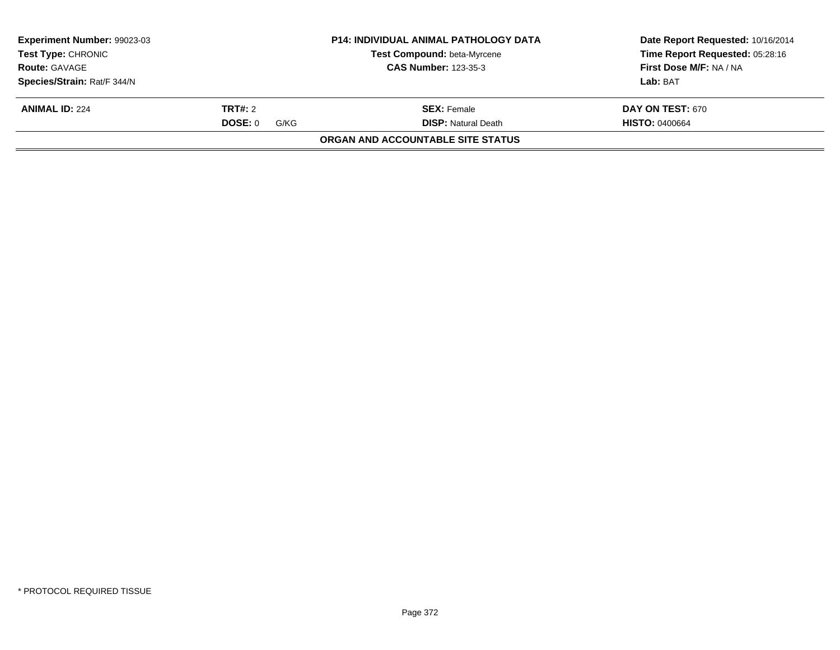| Experiment Number: 99023-03<br><b>Test Type: CHRONIC</b><br><b>Route: GAVAGE</b> |                 | <b>P14: INDIVIDUAL ANIMAL PATHOLOGY DATA</b><br><b>Test Compound: beta-Myrcene</b><br><b>CAS Number: 123-35-3</b> | Date Report Requested: 10/16/2014<br>Time Report Requested: 05:28:16<br>First Dose M/F: NA / NA |
|----------------------------------------------------------------------------------|-----------------|-------------------------------------------------------------------------------------------------------------------|-------------------------------------------------------------------------------------------------|
| Species/Strain: Rat/F 344/N                                                      |                 |                                                                                                                   | Lab: BAT                                                                                        |
| <b>ANIMAL ID: 224</b>                                                            | <b>TRT#:</b> 2  | <b>SEX:</b> Female                                                                                                | <b>DAY ON TEST: 670</b>                                                                         |
|                                                                                  | DOSE: 0<br>G/KG | <b>DISP:</b> Natural Death                                                                                        | <b>HISTO: 0400664</b>                                                                           |
|                                                                                  |                 | ORGAN AND ACCOUNTABLE SITE STATUS                                                                                 |                                                                                                 |
|                                                                                  |                 |                                                                                                                   |                                                                                                 |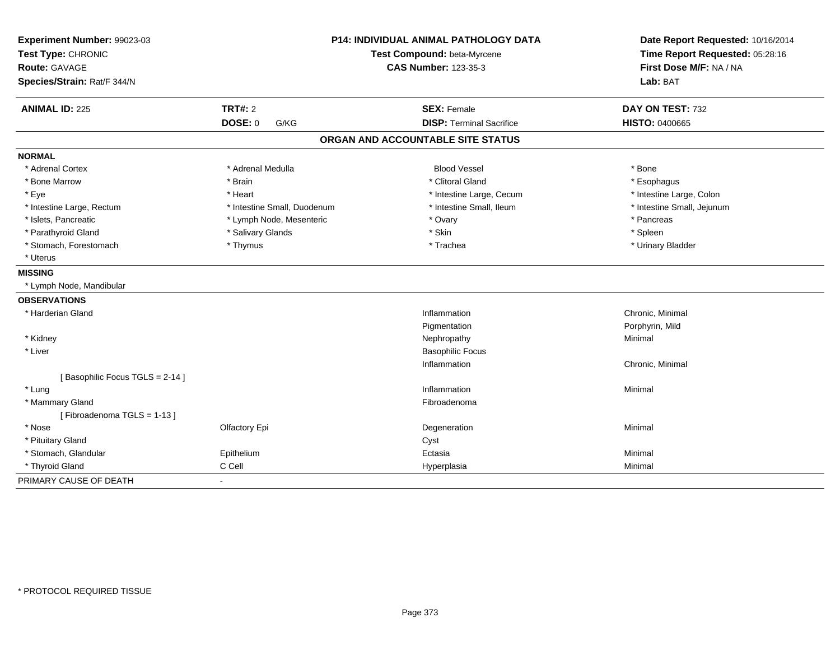| Experiment Number: 99023-03<br>Test Type: CHRONIC<br>Route: GAVAGE<br>Species/Strain: Rat/F 344/N |                             | <b>P14: INDIVIDUAL ANIMAL PATHOLOGY DATA</b><br>Test Compound: beta-Myrcene<br><b>CAS Number: 123-35-3</b> | Date Report Requested: 10/16/2014<br>Time Report Requested: 05:28:16<br>First Dose M/F: NA / NA<br>Lab: BAT |
|---------------------------------------------------------------------------------------------------|-----------------------------|------------------------------------------------------------------------------------------------------------|-------------------------------------------------------------------------------------------------------------|
| <b>ANIMAL ID: 225</b>                                                                             | <b>TRT#: 2</b>              | <b>SEX: Female</b>                                                                                         | DAY ON TEST: 732                                                                                            |
|                                                                                                   | <b>DOSE: 0</b><br>G/KG      | <b>DISP: Terminal Sacrifice</b>                                                                            | <b>HISTO: 0400665</b>                                                                                       |
|                                                                                                   |                             | ORGAN AND ACCOUNTABLE SITE STATUS                                                                          |                                                                                                             |
| <b>NORMAL</b>                                                                                     |                             |                                                                                                            |                                                                                                             |
| * Adrenal Cortex                                                                                  | * Adrenal Medulla           | <b>Blood Vessel</b>                                                                                        | * Bone                                                                                                      |
| * Bone Marrow                                                                                     | * Brain                     | * Clitoral Gland                                                                                           | * Esophagus                                                                                                 |
| * Eye                                                                                             | * Heart                     | * Intestine Large, Cecum                                                                                   | * Intestine Large, Colon                                                                                    |
| * Intestine Large, Rectum                                                                         | * Intestine Small, Duodenum | * Intestine Small, Ileum                                                                                   | * Intestine Small, Jejunum                                                                                  |
| * Islets, Pancreatic                                                                              | * Lymph Node, Mesenteric    | * Ovary                                                                                                    | * Pancreas                                                                                                  |
| * Parathyroid Gland                                                                               | * Salivary Glands           | * Skin                                                                                                     | * Spleen                                                                                                    |
| * Stomach, Forestomach                                                                            | * Thymus                    | * Trachea                                                                                                  | * Urinary Bladder                                                                                           |
| * Uterus                                                                                          |                             |                                                                                                            |                                                                                                             |
| <b>MISSING</b>                                                                                    |                             |                                                                                                            |                                                                                                             |
| * Lymph Node, Mandibular                                                                          |                             |                                                                                                            |                                                                                                             |
| <b>OBSERVATIONS</b>                                                                               |                             |                                                                                                            |                                                                                                             |
| * Harderian Gland                                                                                 |                             | Inflammation                                                                                               | Chronic, Minimal                                                                                            |
|                                                                                                   |                             | Pigmentation                                                                                               | Porphyrin, Mild                                                                                             |
| * Kidney                                                                                          |                             | Nephropathy                                                                                                | Minimal                                                                                                     |
| * Liver                                                                                           |                             | <b>Basophilic Focus</b>                                                                                    |                                                                                                             |
|                                                                                                   |                             | Inflammation                                                                                               | Chronic, Minimal                                                                                            |
| [Basophilic Focus TGLS = 2-14]                                                                    |                             |                                                                                                            |                                                                                                             |
| * Lung                                                                                            |                             | Inflammation                                                                                               | Minimal                                                                                                     |
| * Mammary Gland                                                                                   |                             | Fibroadenoma                                                                                               |                                                                                                             |
| [Fibroadenoma TGLS = 1-13]                                                                        |                             |                                                                                                            |                                                                                                             |
| * Nose                                                                                            | Olfactory Epi               | Degeneration                                                                                               | Minimal                                                                                                     |
| * Pituitary Gland                                                                                 |                             | Cyst                                                                                                       |                                                                                                             |
| * Stomach, Glandular                                                                              | Epithelium                  | Ectasia                                                                                                    | Minimal                                                                                                     |
| * Thyroid Gland                                                                                   | C Cell                      | Hyperplasia                                                                                                | Minimal                                                                                                     |
| PRIMARY CAUSE OF DEATH                                                                            | $\blacksquare$              |                                                                                                            |                                                                                                             |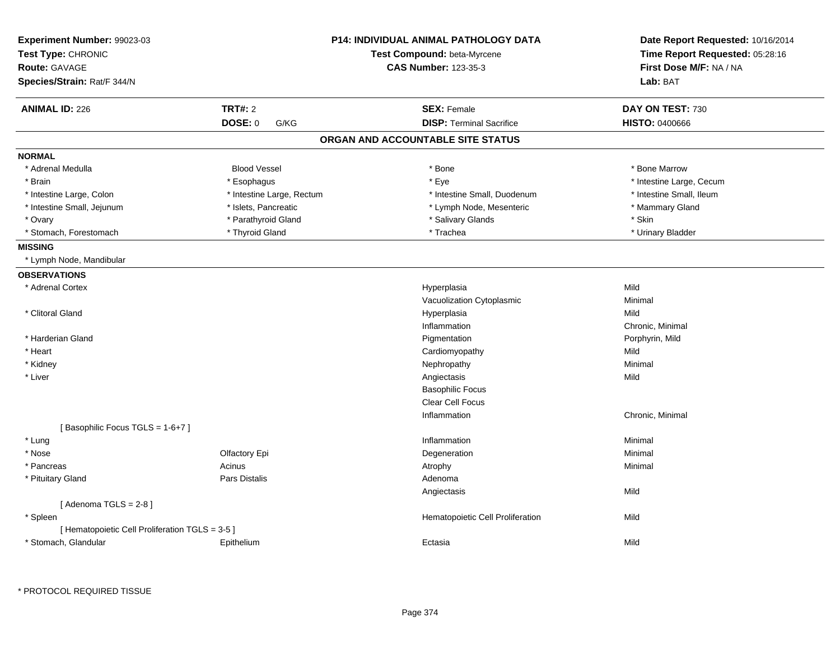| Experiment Number: 99023-03                     |                           | <b>P14: INDIVIDUAL ANIMAL PATHOLOGY DATA</b> | Date Report Requested: 10/16/2014 |
|-------------------------------------------------|---------------------------|----------------------------------------------|-----------------------------------|
| Test Type: CHRONIC                              |                           | Test Compound: beta-Myrcene                  | Time Report Requested: 05:28:16   |
| <b>Route: GAVAGE</b>                            |                           | <b>CAS Number: 123-35-3</b>                  | First Dose M/F: NA / NA           |
| Species/Strain: Rat/F 344/N                     |                           |                                              | Lab: BAT                          |
| <b>ANIMAL ID: 226</b>                           | <b>TRT#: 2</b>            | <b>SEX: Female</b>                           | DAY ON TEST: 730                  |
|                                                 | DOSE: 0<br>G/KG           | <b>DISP: Terminal Sacrifice</b>              | <b>HISTO: 0400666</b>             |
|                                                 |                           | ORGAN AND ACCOUNTABLE SITE STATUS            |                                   |
| <b>NORMAL</b>                                   |                           |                                              |                                   |
| * Adrenal Medulla                               | <b>Blood Vessel</b>       | * Bone                                       | * Bone Marrow                     |
| * Brain                                         | * Esophagus               | * Eye                                        | * Intestine Large, Cecum          |
| * Intestine Large, Colon                        | * Intestine Large, Rectum | * Intestine Small, Duodenum                  | * Intestine Small, Ileum          |
| * Intestine Small, Jejunum                      | * Islets, Pancreatic      | * Lymph Node, Mesenteric                     | * Mammary Gland                   |
| * Ovary                                         | * Parathyroid Gland       | * Salivary Glands                            | * Skin                            |
| * Stomach, Forestomach                          | * Thyroid Gland           | * Trachea                                    | * Urinary Bladder                 |
| <b>MISSING</b>                                  |                           |                                              |                                   |
| * Lymph Node, Mandibular                        |                           |                                              |                                   |
| <b>OBSERVATIONS</b>                             |                           |                                              |                                   |
| * Adrenal Cortex                                |                           | Hyperplasia                                  | Mild                              |
|                                                 |                           | Vacuolization Cytoplasmic                    | Minimal                           |
| * Clitoral Gland                                |                           | Hyperplasia                                  | Mild                              |
|                                                 |                           | Inflammation                                 | Chronic, Minimal                  |
| * Harderian Gland                               |                           | Pigmentation                                 | Porphyrin, Mild                   |
| * Heart                                         |                           | Cardiomyopathy                               | Mild                              |
| * Kidney                                        |                           | Nephropathy                                  | Minimal                           |
| * Liver                                         |                           | Angiectasis                                  | Mild                              |
|                                                 |                           | <b>Basophilic Focus</b>                      |                                   |
|                                                 |                           | Clear Cell Focus                             |                                   |
|                                                 |                           | Inflammation                                 | Chronic, Minimal                  |
| [Basophilic Focus TGLS = 1-6+7]                 |                           |                                              |                                   |
| * Lung                                          |                           | Inflammation                                 | Minimal                           |
| * Nose                                          | Olfactory Epi             | Degeneration                                 | Minimal                           |
| * Pancreas                                      | Acinus                    | Atrophy                                      | Minimal                           |
| * Pituitary Gland                               | Pars Distalis             | Adenoma                                      |                                   |
|                                                 |                           | Angiectasis                                  | Mild                              |
| [Adenoma TGLS = $2-8$ ]                         |                           |                                              |                                   |
| * Spleen                                        |                           | Hematopoietic Cell Proliferation             | Mild                              |
| [ Hematopoietic Cell Proliferation TGLS = 3-5 ] |                           |                                              |                                   |
| * Stomach, Glandular                            | Epithelium                | Ectasia                                      | Mild                              |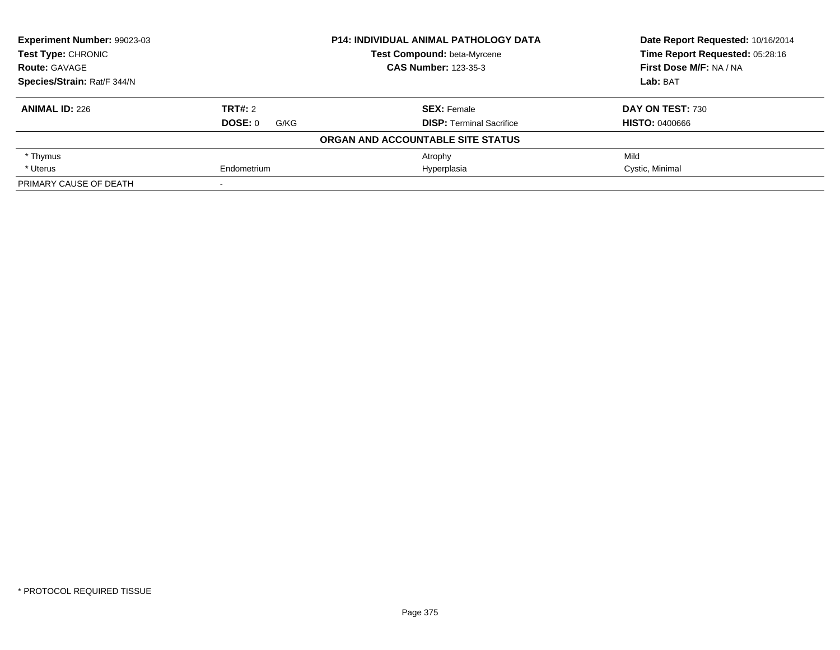| Experiment Number: 99023-03<br><b>Test Type: CHRONIC</b> |                 | <b>P14: INDIVIDUAL ANIMAL PATHOLOGY DATA</b> | Date Report Requested: 10/16/2014<br>Time Report Requested: 05:28:16 |
|----------------------------------------------------------|-----------------|----------------------------------------------|----------------------------------------------------------------------|
|                                                          |                 | Test Compound: beta-Myrcene                  |                                                                      |
| <b>Route: GAVAGE</b>                                     |                 | <b>CAS Number: 123-35-3</b>                  | First Dose M/F: NA / NA                                              |
| Species/Strain: Rat/F 344/N                              |                 |                                              | Lab: BAT                                                             |
| <b>ANIMAL ID: 226</b>                                    | <b>TRT#: 2</b>  | <b>SEX: Female</b>                           | DAY ON TEST: 730                                                     |
|                                                          | DOSE: 0<br>G/KG | <b>DISP: Terminal Sacrifice</b>              | <b>HISTO: 0400666</b>                                                |
|                                                          |                 | ORGAN AND ACCOUNTABLE SITE STATUS            |                                                                      |
| * Thymus                                                 |                 | Atrophy                                      | Mild                                                                 |
| * Uterus                                                 | Endometrium     | Hyperplasia                                  | Cystic, Minimal                                                      |
| PRIMARY CAUSE OF DEATH                                   |                 |                                              |                                                                      |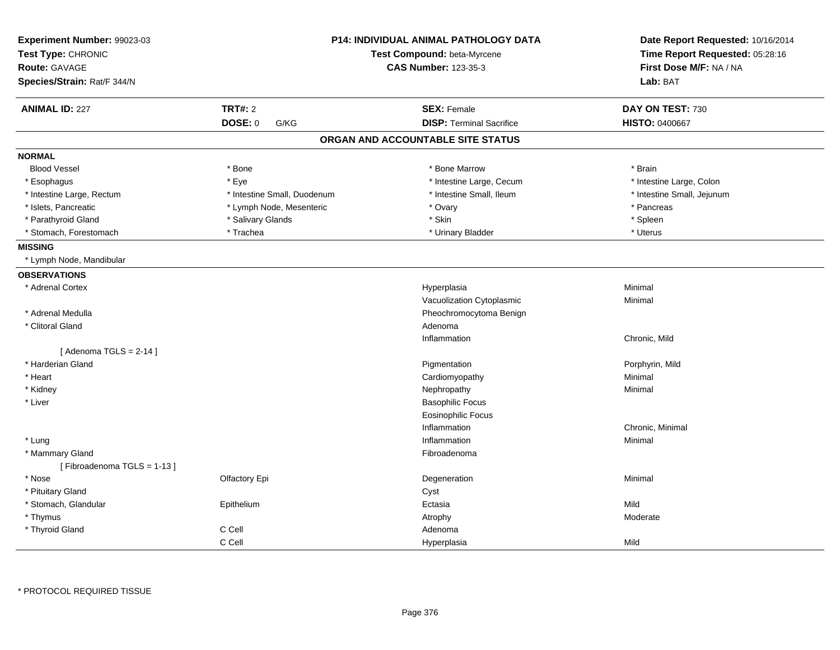| Experiment Number: 99023-03<br>Test Type: CHRONIC<br>Route: GAVAGE |                             | P14: INDIVIDUAL ANIMAL PATHOLOGY DATA<br>Test Compound: beta-Myrcene<br><b>CAS Number: 123-35-3</b> | Date Report Requested: 10/16/2014<br>Time Report Requested: 05:28:16<br>First Dose M/F: NA / NA |
|--------------------------------------------------------------------|-----------------------------|-----------------------------------------------------------------------------------------------------|-------------------------------------------------------------------------------------------------|
| Species/Strain: Rat/F 344/N                                        |                             |                                                                                                     | Lab: BAT                                                                                        |
| <b>ANIMAL ID: 227</b>                                              | <b>TRT#: 2</b>              | <b>SEX: Female</b>                                                                                  | DAY ON TEST: 730                                                                                |
|                                                                    | <b>DOSE: 0</b><br>G/KG      | <b>DISP: Terminal Sacrifice</b>                                                                     | HISTO: 0400667                                                                                  |
|                                                                    |                             | ORGAN AND ACCOUNTABLE SITE STATUS                                                                   |                                                                                                 |
| <b>NORMAL</b>                                                      |                             |                                                                                                     |                                                                                                 |
| <b>Blood Vessel</b>                                                | * Bone                      | * Bone Marrow                                                                                       | * Brain                                                                                         |
| * Esophagus                                                        | * Eye                       | * Intestine Large, Cecum                                                                            | * Intestine Large, Colon                                                                        |
| * Intestine Large, Rectum                                          | * Intestine Small, Duodenum | * Intestine Small, Ileum                                                                            | * Intestine Small, Jejunum                                                                      |
| * Islets, Pancreatic                                               | * Lymph Node, Mesenteric    | * Ovary                                                                                             | * Pancreas                                                                                      |
| * Parathyroid Gland                                                | * Salivary Glands           | * Skin                                                                                              | * Spleen                                                                                        |
| * Stomach, Forestomach                                             | * Trachea                   | * Urinary Bladder                                                                                   | * Uterus                                                                                        |
| <b>MISSING</b>                                                     |                             |                                                                                                     |                                                                                                 |
| * Lymph Node, Mandibular                                           |                             |                                                                                                     |                                                                                                 |
| <b>OBSERVATIONS</b>                                                |                             |                                                                                                     |                                                                                                 |
| * Adrenal Cortex                                                   |                             | Hyperplasia                                                                                         | Minimal                                                                                         |
|                                                                    |                             | Vacuolization Cytoplasmic                                                                           | Minimal                                                                                         |
| * Adrenal Medulla                                                  |                             | Pheochromocytoma Benign                                                                             |                                                                                                 |
| * Clitoral Gland                                                   |                             | Adenoma                                                                                             |                                                                                                 |
|                                                                    |                             | Inflammation                                                                                        | Chronic, Mild                                                                                   |
| [Adenoma TGLS = $2-14$ ]                                           |                             |                                                                                                     |                                                                                                 |
| * Harderian Gland                                                  |                             | Pigmentation                                                                                        | Porphyrin, Mild                                                                                 |
| * Heart                                                            |                             | Cardiomyopathy                                                                                      | Minimal                                                                                         |
| * Kidney                                                           |                             | Nephropathy                                                                                         | Minimal                                                                                         |
| * Liver                                                            |                             | <b>Basophilic Focus</b>                                                                             |                                                                                                 |
|                                                                    |                             | Eosinophilic Focus                                                                                  |                                                                                                 |
|                                                                    |                             | Inflammation                                                                                        | Chronic, Minimal                                                                                |
| * Lung                                                             |                             | Inflammation                                                                                        | Minimal                                                                                         |
| * Mammary Gland                                                    |                             | Fibroadenoma                                                                                        |                                                                                                 |
| [Fibroadenoma TGLS = 1-13]                                         |                             |                                                                                                     |                                                                                                 |
| * Nose                                                             | Olfactory Epi               | Degeneration                                                                                        | Minimal                                                                                         |
| * Pituitary Gland                                                  |                             | Cyst                                                                                                |                                                                                                 |
| * Stomach, Glandular                                               | Epithelium                  | Ectasia                                                                                             | Mild                                                                                            |
| * Thymus                                                           |                             | Atrophy                                                                                             | Moderate                                                                                        |
| * Thyroid Gland                                                    | C Cell                      | Adenoma                                                                                             |                                                                                                 |
|                                                                    | C Cell                      | Hyperplasia                                                                                         | Mild                                                                                            |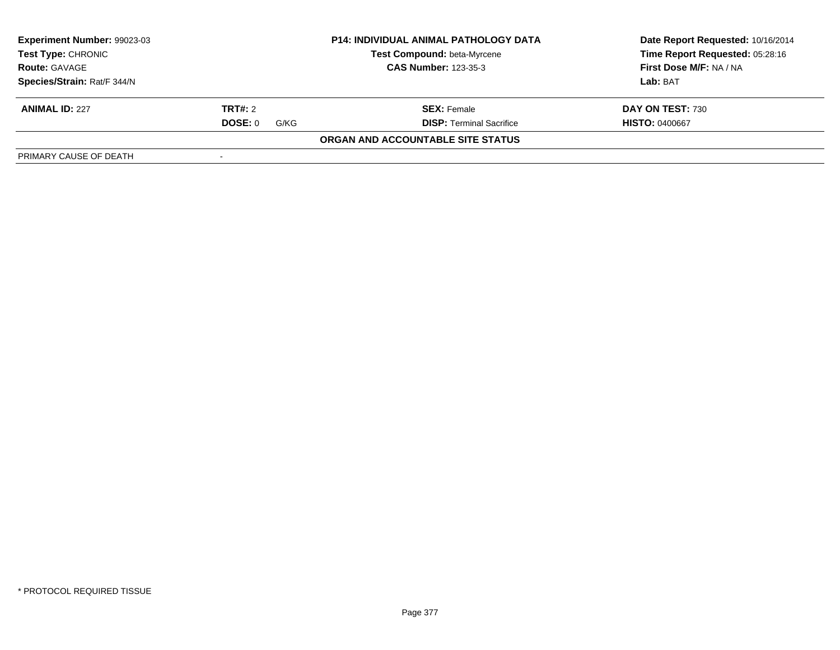| Experiment Number: 99023-03                                                                                     | <b>P14: INDIVIDUAL ANIMAL PATHOLOGY DATA</b> |                                   | Date Report Requested: 10/16/2014<br>Time Report Requested: 05:28:16 |
|-----------------------------------------------------------------------------------------------------------------|----------------------------------------------|-----------------------------------|----------------------------------------------------------------------|
| Test Compound: beta-Myrcene<br><b>Test Type: CHRONIC</b><br><b>CAS Number: 123-35-3</b><br><b>Route: GAVAGE</b> |                                              |                                   |                                                                      |
|                                                                                                                 |                                              |                                   | First Dose M/F: NA / NA                                              |
| Species/Strain: Rat/F 344/N                                                                                     |                                              |                                   | Lab: BAT                                                             |
| <b>ANIMAL ID: 227</b>                                                                                           | <b>TRT#:</b> 2                               | <b>SEX: Female</b>                | DAY ON TEST: 730                                                     |
|                                                                                                                 | <b>DOSE: 0</b><br>G/KG                       | <b>DISP: Terminal Sacrifice</b>   | <b>HISTO: 0400667</b>                                                |
|                                                                                                                 |                                              | ORGAN AND ACCOUNTABLE SITE STATUS |                                                                      |
| PRIMARY CAUSE OF DEATH                                                                                          |                                              |                                   |                                                                      |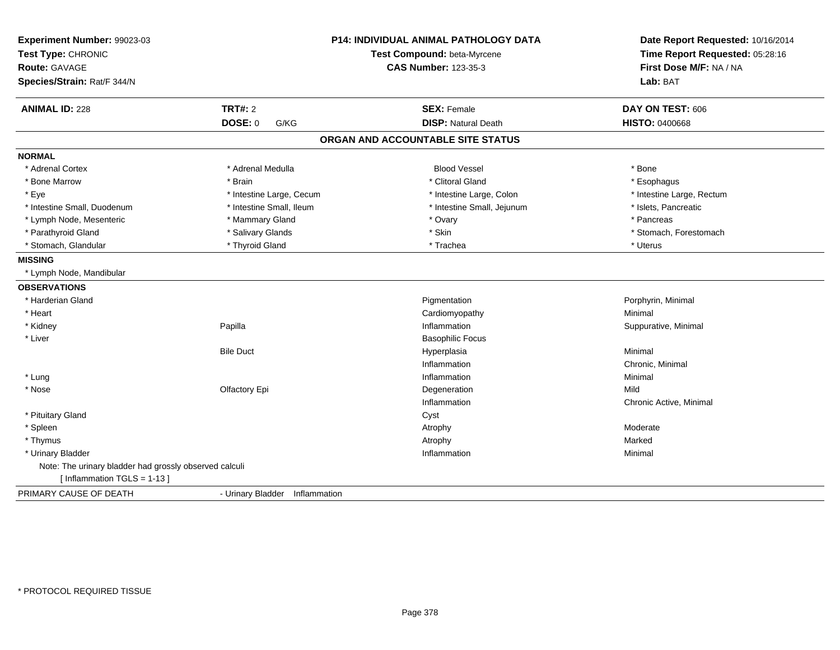| Experiment Number: 99023-03<br>Test Type: CHRONIC<br><b>Route: GAVAGE</b><br>Species/Strain: Rat/F 344/N |                                | <b>P14: INDIVIDUAL ANIMAL PATHOLOGY DATA</b><br>Test Compound: beta-Myrcene<br><b>CAS Number: 123-35-3</b> | Date Report Requested: 10/16/2014<br>Time Report Requested: 05:28:16<br>First Dose M/F: NA / NA<br>Lab: BAT |
|----------------------------------------------------------------------------------------------------------|--------------------------------|------------------------------------------------------------------------------------------------------------|-------------------------------------------------------------------------------------------------------------|
| <b>ANIMAL ID: 228</b>                                                                                    | <b>TRT#: 2</b>                 | <b>SEX: Female</b>                                                                                         | DAY ON TEST: 606                                                                                            |
|                                                                                                          | <b>DOSE: 0</b><br>G/KG         | <b>DISP: Natural Death</b>                                                                                 | <b>HISTO: 0400668</b>                                                                                       |
|                                                                                                          |                                | ORGAN AND ACCOUNTABLE SITE STATUS                                                                          |                                                                                                             |
| <b>NORMAL</b>                                                                                            |                                |                                                                                                            |                                                                                                             |
| * Adrenal Cortex                                                                                         | * Adrenal Medulla              | <b>Blood Vessel</b>                                                                                        | * Bone                                                                                                      |
| * Bone Marrow                                                                                            | * Brain                        | * Clitoral Gland                                                                                           | * Esophagus                                                                                                 |
| * Eye                                                                                                    | * Intestine Large, Cecum       | * Intestine Large, Colon                                                                                   | * Intestine Large, Rectum                                                                                   |
| * Intestine Small, Duodenum                                                                              | * Intestine Small, Ileum       | * Intestine Small, Jejunum                                                                                 | * Islets, Pancreatic                                                                                        |
| * Lymph Node, Mesenteric                                                                                 | * Mammary Gland                | * Ovary                                                                                                    | * Pancreas                                                                                                  |
| * Parathyroid Gland                                                                                      | * Salivary Glands              | * Skin                                                                                                     | * Stomach, Forestomach                                                                                      |
| * Stomach, Glandular                                                                                     | * Thyroid Gland                | * Trachea                                                                                                  | * Uterus                                                                                                    |
| <b>MISSING</b>                                                                                           |                                |                                                                                                            |                                                                                                             |
| * Lymph Node, Mandibular                                                                                 |                                |                                                                                                            |                                                                                                             |
| <b>OBSERVATIONS</b>                                                                                      |                                |                                                                                                            |                                                                                                             |
| * Harderian Gland                                                                                        |                                | Pigmentation                                                                                               | Porphyrin, Minimal                                                                                          |
| * Heart                                                                                                  |                                | Cardiomyopathy                                                                                             | Minimal                                                                                                     |
| * Kidney                                                                                                 | Papilla                        | Inflammation                                                                                               | Suppurative, Minimal                                                                                        |
| * Liver                                                                                                  |                                | <b>Basophilic Focus</b>                                                                                    |                                                                                                             |
|                                                                                                          | <b>Bile Duct</b>               | Hyperplasia                                                                                                | Minimal                                                                                                     |
|                                                                                                          |                                | Inflammation                                                                                               | Chronic, Minimal                                                                                            |
| * Lung                                                                                                   |                                | Inflammation                                                                                               | Minimal                                                                                                     |
| * Nose                                                                                                   | Olfactory Epi                  | Degeneration                                                                                               | Mild                                                                                                        |
|                                                                                                          |                                | Inflammation                                                                                               | Chronic Active, Minimal                                                                                     |
| * Pituitary Gland                                                                                        |                                | Cyst                                                                                                       |                                                                                                             |
| * Spleen                                                                                                 |                                | Atrophy                                                                                                    | Moderate                                                                                                    |
| * Thymus                                                                                                 |                                | Atrophy                                                                                                    | Marked                                                                                                      |
| * Urinary Bladder                                                                                        |                                | Inflammation                                                                                               | Minimal                                                                                                     |
| Note: The urinary bladder had grossly observed calculi                                                   |                                |                                                                                                            |                                                                                                             |
| [Inflammation $TGLS = 1-13$ ]                                                                            |                                |                                                                                                            |                                                                                                             |
| PRIMARY CAUSE OF DEATH                                                                                   | - Urinary Bladder Inflammation |                                                                                                            |                                                                                                             |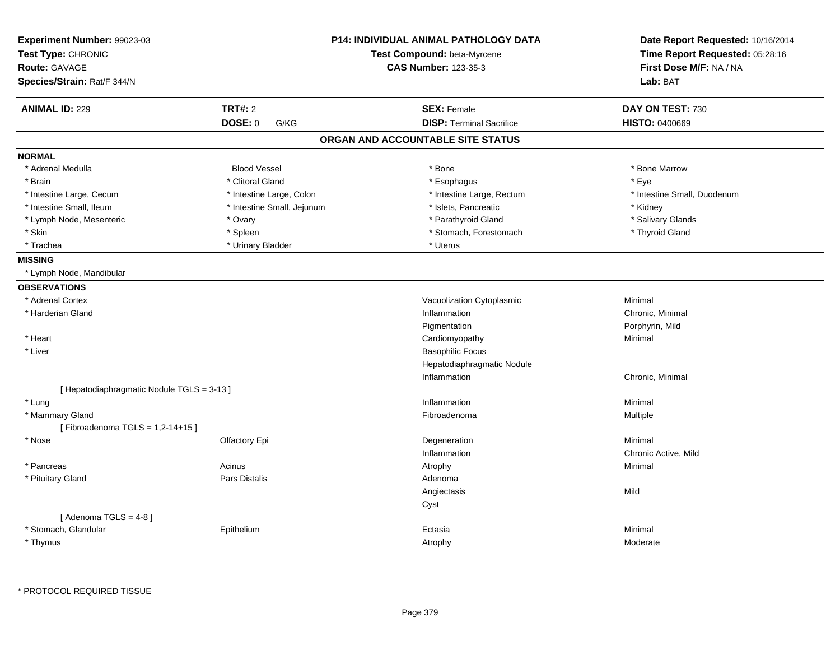| Experiment Number: 99023-03<br>Test Type: CHRONIC |                            | <b>P14: INDIVIDUAL ANIMAL PATHOLOGY DATA</b><br>Test Compound: beta-Myrcene | Date Report Requested: 10/16/2014<br>Time Report Requested: 05:28:16 |
|---------------------------------------------------|----------------------------|-----------------------------------------------------------------------------|----------------------------------------------------------------------|
| <b>Route: GAVAGE</b>                              |                            | <b>CAS Number: 123-35-3</b>                                                 | First Dose M/F: NA / NA                                              |
| Species/Strain: Rat/F 344/N                       |                            |                                                                             | Lab: BAT                                                             |
|                                                   |                            |                                                                             |                                                                      |
| <b>ANIMAL ID: 229</b>                             | <b>TRT#: 2</b>             | <b>SEX: Female</b>                                                          | DAY ON TEST: 730                                                     |
|                                                   | DOSE: 0<br>G/KG            | <b>DISP: Terminal Sacrifice</b>                                             | <b>HISTO: 0400669</b>                                                |
|                                                   |                            | ORGAN AND ACCOUNTABLE SITE STATUS                                           |                                                                      |
| <b>NORMAL</b>                                     |                            |                                                                             |                                                                      |
| * Adrenal Medulla                                 | <b>Blood Vessel</b>        | * Bone                                                                      | * Bone Marrow                                                        |
| * Brain                                           | * Clitoral Gland           | * Esophagus                                                                 | * Eye                                                                |
| * Intestine Large, Cecum                          | * Intestine Large, Colon   | * Intestine Large, Rectum                                                   | * Intestine Small, Duodenum                                          |
| * Intestine Small, Ileum                          | * Intestine Small, Jejunum | * Islets, Pancreatic                                                        | * Kidney                                                             |
| * Lymph Node, Mesenteric                          | * Ovary                    | * Parathyroid Gland                                                         | * Salivary Glands                                                    |
| * Skin                                            | * Spleen                   | * Stomach, Forestomach                                                      | * Thyroid Gland                                                      |
| * Trachea                                         | * Urinary Bladder          | * Uterus                                                                    |                                                                      |
| <b>MISSING</b>                                    |                            |                                                                             |                                                                      |
| * Lymph Node, Mandibular                          |                            |                                                                             |                                                                      |
| <b>OBSERVATIONS</b>                               |                            |                                                                             |                                                                      |
| * Adrenal Cortex                                  |                            | Vacuolization Cytoplasmic                                                   | Minimal                                                              |
| * Harderian Gland                                 |                            | Inflammation                                                                | Chronic, Minimal                                                     |
|                                                   |                            | Pigmentation                                                                | Porphyrin, Mild                                                      |
| * Heart                                           |                            | Cardiomyopathy                                                              | Minimal                                                              |
| * Liver                                           |                            | <b>Basophilic Focus</b>                                                     |                                                                      |
|                                                   |                            | Hepatodiaphragmatic Nodule                                                  |                                                                      |
|                                                   |                            | Inflammation                                                                | Chronic, Minimal                                                     |
| [Hepatodiaphragmatic Nodule TGLS = 3-13]          |                            |                                                                             |                                                                      |
| * Lung                                            |                            | Inflammation                                                                | Minimal                                                              |
| * Mammary Gland                                   |                            | Fibroadenoma                                                                | Multiple                                                             |
| [Fibroadenoma TGLS = 1,2-14+15]                   |                            |                                                                             |                                                                      |
| * Nose                                            | Olfactory Epi              | Degeneration                                                                | Minimal                                                              |
|                                                   |                            | Inflammation                                                                | Chronic Active, Mild                                                 |
| * Pancreas                                        | Acinus                     | Atrophy                                                                     | Minimal                                                              |
| * Pituitary Gland                                 | <b>Pars Distalis</b>       | Adenoma                                                                     |                                                                      |
|                                                   |                            | Angiectasis                                                                 | Mild                                                                 |
|                                                   |                            | Cyst                                                                        |                                                                      |
| [Adenoma TGLS = $4-8$ ]                           |                            |                                                                             |                                                                      |
| * Stomach, Glandular                              | Epithelium                 | Ectasia                                                                     | Minimal                                                              |
| * Thymus                                          |                            | Atrophy                                                                     | Moderate                                                             |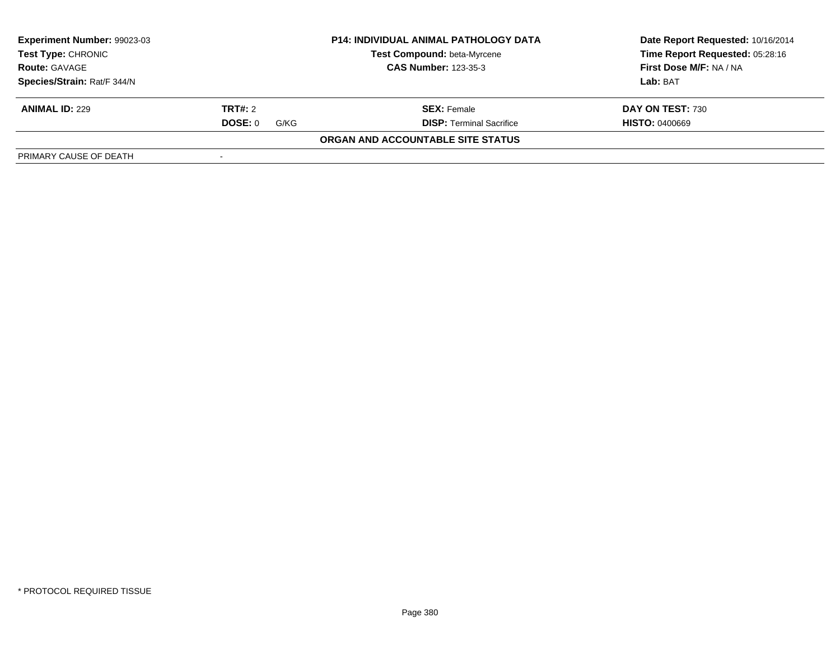| Experiment Number: 99023-03                                                      | <b>P14: INDIVIDUAL ANIMAL PATHOLOGY DATA</b> |                                   | Date Report Requested: 10/16/2014 |
|----------------------------------------------------------------------------------|----------------------------------------------|-----------------------------------|-----------------------------------|
| <b>Test Type: CHRONIC</b><br><b>CAS Number: 123-35-3</b><br><b>Route: GAVAGE</b> |                                              | Test Compound: beta-Myrcene       | Time Report Requested: 05:28:16   |
|                                                                                  |                                              |                                   | First Dose M/F: NA / NA           |
| Species/Strain: Rat/F 344/N                                                      |                                              |                                   | Lab: BAT                          |
| <b>ANIMAL ID: 229</b>                                                            | TRT#: 2                                      | <b>SEX: Female</b>                | DAY ON TEST: 730                  |
|                                                                                  | DOSE: 0<br>G/KG                              | <b>DISP: Terminal Sacrifice</b>   | <b>HISTO: 0400669</b>             |
|                                                                                  |                                              | ORGAN AND ACCOUNTABLE SITE STATUS |                                   |
| PRIMARY CAUSE OF DEATH                                                           |                                              |                                   |                                   |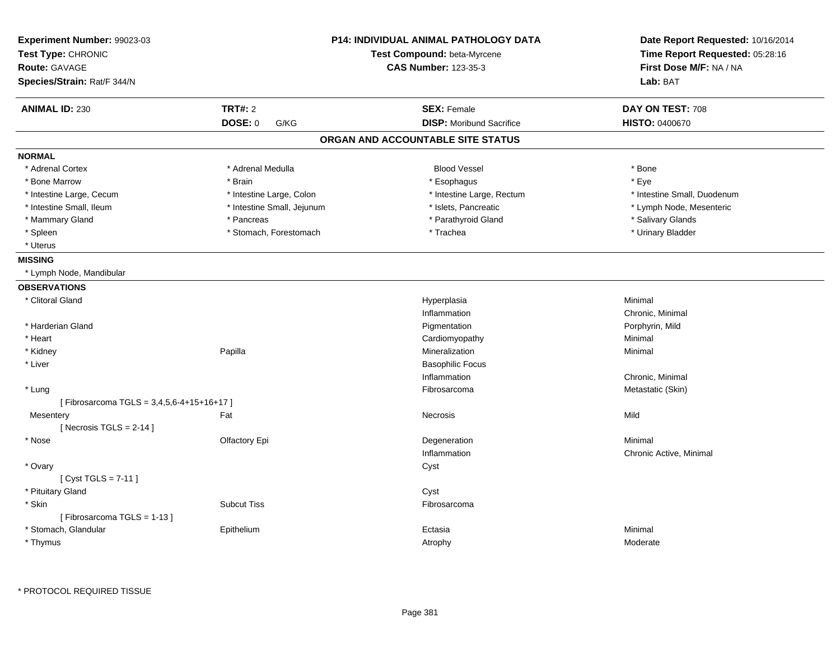| Experiment Number: 99023-03<br>Test Type: CHRONIC<br><b>Route: GAVAGE</b> |                            | P14: INDIVIDUAL ANIMAL PATHOLOGY DATA<br>Test Compound: beta-Myrcene<br><b>CAS Number: 123-35-3</b> | Date Report Requested: 10/16/2014<br>Time Report Requested: 05:28:16<br>First Dose M/F: NA / NA |
|---------------------------------------------------------------------------|----------------------------|-----------------------------------------------------------------------------------------------------|-------------------------------------------------------------------------------------------------|
| Species/Strain: Rat/F 344/N                                               |                            |                                                                                                     | Lab: BAT                                                                                        |
| <b>ANIMAL ID: 230</b>                                                     | <b>TRT#: 2</b>             | <b>SEX: Female</b>                                                                                  | DAY ON TEST: 708                                                                                |
|                                                                           | <b>DOSE: 0</b><br>G/KG     | <b>DISP:</b> Moribund Sacrifice                                                                     | HISTO: 0400670                                                                                  |
|                                                                           |                            | ORGAN AND ACCOUNTABLE SITE STATUS                                                                   |                                                                                                 |
| <b>NORMAL</b>                                                             |                            |                                                                                                     |                                                                                                 |
| * Adrenal Cortex                                                          | * Adrenal Medulla          | <b>Blood Vessel</b>                                                                                 | * Bone                                                                                          |
| * Bone Marrow                                                             | * Brain                    | * Esophagus                                                                                         | * Eye                                                                                           |
| * Intestine Large, Cecum                                                  | * Intestine Large, Colon   | * Intestine Large, Rectum                                                                           | * Intestine Small, Duodenum                                                                     |
| * Intestine Small, Ileum                                                  | * Intestine Small, Jejunum | * Islets, Pancreatic                                                                                | * Lymph Node, Mesenteric                                                                        |
| * Mammary Gland                                                           | * Pancreas                 | * Parathyroid Gland                                                                                 | * Salivary Glands                                                                               |
| * Spleen                                                                  | * Stomach, Forestomach     | * Trachea                                                                                           | * Urinary Bladder                                                                               |
| * Uterus                                                                  |                            |                                                                                                     |                                                                                                 |
| <b>MISSING</b>                                                            |                            |                                                                                                     |                                                                                                 |
| * Lymph Node, Mandibular                                                  |                            |                                                                                                     |                                                                                                 |
| <b>OBSERVATIONS</b>                                                       |                            |                                                                                                     |                                                                                                 |
| * Clitoral Gland                                                          |                            | Hyperplasia                                                                                         | Minimal                                                                                         |
|                                                                           |                            | Inflammation                                                                                        | Chronic, Minimal                                                                                |
| * Harderian Gland                                                         |                            | Pigmentation                                                                                        | Porphyrin, Mild                                                                                 |
| * Heart                                                                   |                            | Cardiomyopathy                                                                                      | Minimal                                                                                         |
| * Kidney                                                                  | Papilla                    | Mineralization                                                                                      | Minimal                                                                                         |
| * Liver                                                                   |                            | <b>Basophilic Focus</b>                                                                             |                                                                                                 |
|                                                                           |                            | Inflammation                                                                                        | Chronic, Minimal                                                                                |
| * Lung                                                                    |                            | Fibrosarcoma                                                                                        | Metastatic (Skin)                                                                               |
| [Fibrosarcoma TGLS = 3,4,5,6-4+15+16+17]                                  |                            |                                                                                                     |                                                                                                 |
| Mesentery                                                                 | Fat                        | <b>Necrosis</b>                                                                                     | Mild                                                                                            |
| [Necrosis $TGLS = 2-14$ ]                                                 |                            |                                                                                                     |                                                                                                 |
| * Nose                                                                    | Olfactory Epi              | Degeneration                                                                                        | Minimal                                                                                         |
|                                                                           |                            | Inflammation                                                                                        | Chronic Active, Minimal                                                                         |
| * Ovary                                                                   |                            | Cyst                                                                                                |                                                                                                 |
| [Cyst TGLS = $7-11$ ]                                                     |                            |                                                                                                     |                                                                                                 |
| * Pituitary Gland                                                         |                            | Cyst                                                                                                |                                                                                                 |
| * Skin<br>[Fibrosarcoma TGLS = 1-13]                                      | <b>Subcut Tiss</b>         | Fibrosarcoma                                                                                        |                                                                                                 |
| * Stomach, Glandular                                                      | Epithelium                 | Ectasia                                                                                             | Minimal                                                                                         |
| * Thymus                                                                  |                            | Atrophy                                                                                             | Moderate                                                                                        |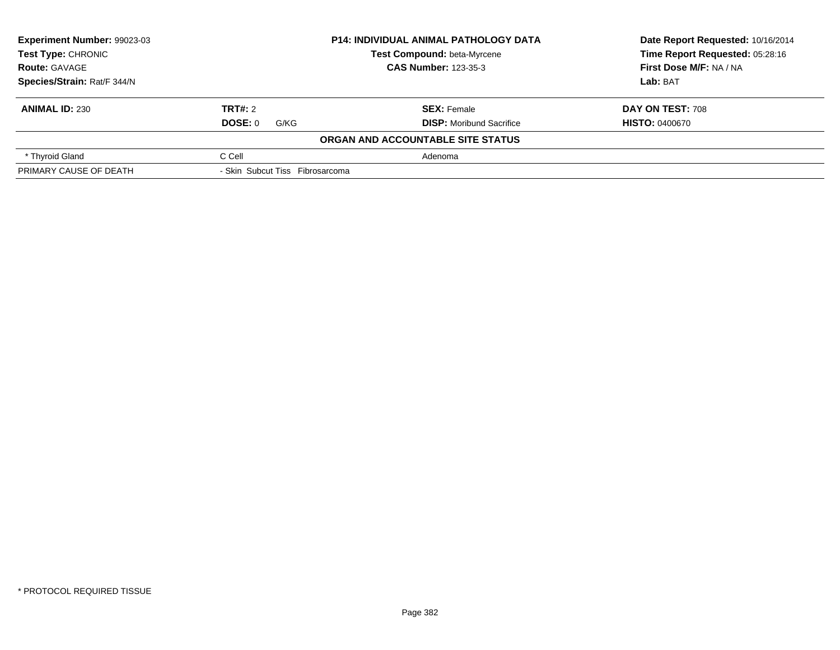| Experiment Number: 99023-03                |                                 | <b>P14: INDIVIDUAL ANIMAL PATHOLOGY DATA</b> | Date Report Requested: 10/16/2014 |  |
|--------------------------------------------|---------------------------------|----------------------------------------------|-----------------------------------|--|
| Test Type: CHRONIC<br><b>Route: GAVAGE</b> |                                 | Test Compound: beta-Myrcene                  | Time Report Requested: 05:28:16   |  |
|                                            |                                 | <b>CAS Number: 123-35-3</b>                  | First Dose M/F: NA / NA           |  |
| Species/Strain: Rat/F 344/N                |                                 |                                              | <b>Lab: BAT</b>                   |  |
| <b>ANIMAL ID: 230</b>                      | TRT#: 2                         | <b>SEX: Female</b>                           | <b>DAY ON TEST: 708</b>           |  |
|                                            | DOSE: 0<br>G/KG                 | <b>DISP:</b> Moribund Sacrifice              | <b>HISTO: 0400670</b>             |  |
|                                            |                                 | ORGAN AND ACCOUNTABLE SITE STATUS            |                                   |  |
| * Thyroid Gland                            | C Cell                          | Adenoma                                      |                                   |  |
| PRIMARY CAUSE OF DEATH                     | - Skin Subcut Tiss Fibrosarcoma |                                              |                                   |  |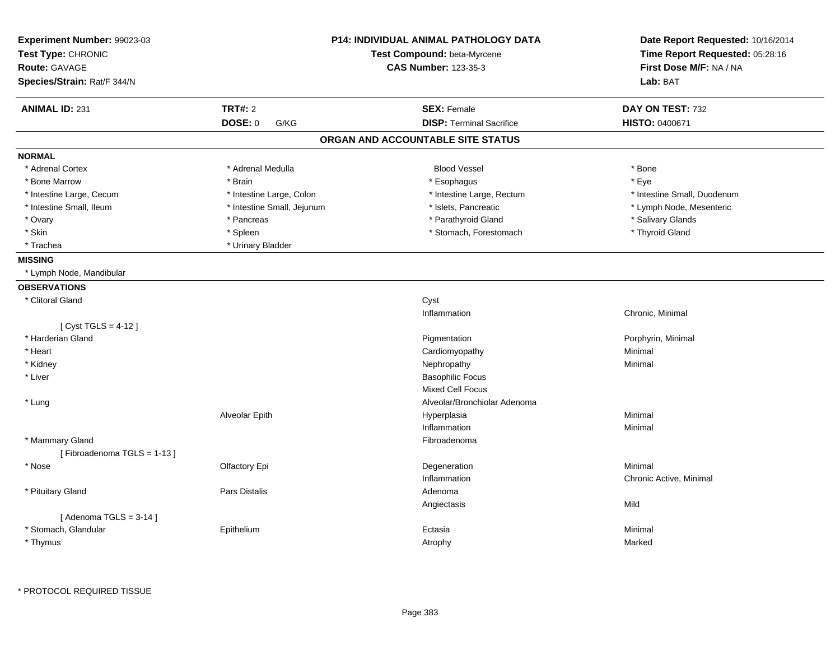| Experiment Number: 99023-03<br>Test Type: CHRONIC<br><b>Route: GAVAGE</b> | <b>P14: INDIVIDUAL ANIMAL PATHOLOGY DATA</b><br>Test Compound: beta-Myrcene<br><b>CAS Number: 123-35-3</b> |                                   | Date Report Requested: 10/16/2014<br>Time Report Requested: 05:28:16<br>First Dose M/F: NA / NA |
|---------------------------------------------------------------------------|------------------------------------------------------------------------------------------------------------|-----------------------------------|-------------------------------------------------------------------------------------------------|
| Species/Strain: Rat/F 344/N                                               |                                                                                                            |                                   | Lab: BAT                                                                                        |
| <b>ANIMAL ID: 231</b>                                                     | <b>TRT#: 2</b>                                                                                             | <b>SEX: Female</b>                | DAY ON TEST: 732                                                                                |
|                                                                           | <b>DOSE: 0</b><br>G/KG                                                                                     | <b>DISP: Terminal Sacrifice</b>   | HISTO: 0400671                                                                                  |
|                                                                           |                                                                                                            | ORGAN AND ACCOUNTABLE SITE STATUS |                                                                                                 |
| <b>NORMAL</b>                                                             |                                                                                                            |                                   |                                                                                                 |
| * Adrenal Cortex                                                          | * Adrenal Medulla                                                                                          | <b>Blood Vessel</b>               | * Bone                                                                                          |
| * Bone Marrow                                                             | * Brain                                                                                                    | * Esophagus                       | * Eye                                                                                           |
| * Intestine Large, Cecum                                                  | * Intestine Large, Colon                                                                                   | * Intestine Large, Rectum         | * Intestine Small, Duodenum                                                                     |
| * Intestine Small, Ileum                                                  | * Intestine Small, Jejunum                                                                                 | * Islets, Pancreatic              | * Lymph Node, Mesenteric                                                                        |
| * Ovary                                                                   | * Pancreas                                                                                                 | * Parathyroid Gland               | * Salivary Glands                                                                               |
| * Skin                                                                    | * Spleen                                                                                                   | * Stomach, Forestomach            | * Thyroid Gland                                                                                 |
| * Trachea                                                                 | * Urinary Bladder                                                                                          |                                   |                                                                                                 |
| <b>MISSING</b>                                                            |                                                                                                            |                                   |                                                                                                 |
| * Lymph Node, Mandibular                                                  |                                                                                                            |                                   |                                                                                                 |
| <b>OBSERVATIONS</b>                                                       |                                                                                                            |                                   |                                                                                                 |
| * Clitoral Gland                                                          |                                                                                                            | Cyst                              |                                                                                                 |
|                                                                           |                                                                                                            | Inflammation                      | Chronic, Minimal                                                                                |
| [ $Cyst TGLS = 4-12$ ]                                                    |                                                                                                            |                                   |                                                                                                 |
| * Harderian Gland                                                         |                                                                                                            | Pigmentation                      | Porphyrin, Minimal                                                                              |
| * Heart                                                                   |                                                                                                            | Cardiomyopathy                    | Minimal                                                                                         |
| * Kidney                                                                  |                                                                                                            | Nephropathy                       | Minimal                                                                                         |
| * Liver                                                                   |                                                                                                            | <b>Basophilic Focus</b>           |                                                                                                 |
|                                                                           |                                                                                                            | <b>Mixed Cell Focus</b>           |                                                                                                 |
| * Lung                                                                    |                                                                                                            | Alveolar/Bronchiolar Adenoma      |                                                                                                 |
|                                                                           | Alveolar Epith                                                                                             | Hyperplasia                       | Minimal                                                                                         |
|                                                                           |                                                                                                            | Inflammation                      | Minimal                                                                                         |
| * Mammary Gland                                                           |                                                                                                            | Fibroadenoma                      |                                                                                                 |
| [Fibroadenoma TGLS = 1-13]                                                |                                                                                                            |                                   |                                                                                                 |
| * Nose                                                                    | Olfactory Epi                                                                                              | Degeneration                      | Minimal                                                                                         |
|                                                                           |                                                                                                            | Inflammation                      | Chronic Active, Minimal                                                                         |
| * Pituitary Gland                                                         | <b>Pars Distalis</b>                                                                                       | Adenoma                           |                                                                                                 |
|                                                                           |                                                                                                            | Angiectasis                       | Mild                                                                                            |
| [Adenoma TGLS = $3-14$ ]                                                  |                                                                                                            |                                   |                                                                                                 |
| * Stomach, Glandular                                                      | Epithelium                                                                                                 | Ectasia                           | Minimal                                                                                         |
| * Thymus                                                                  |                                                                                                            | Atrophy                           | Marked                                                                                          |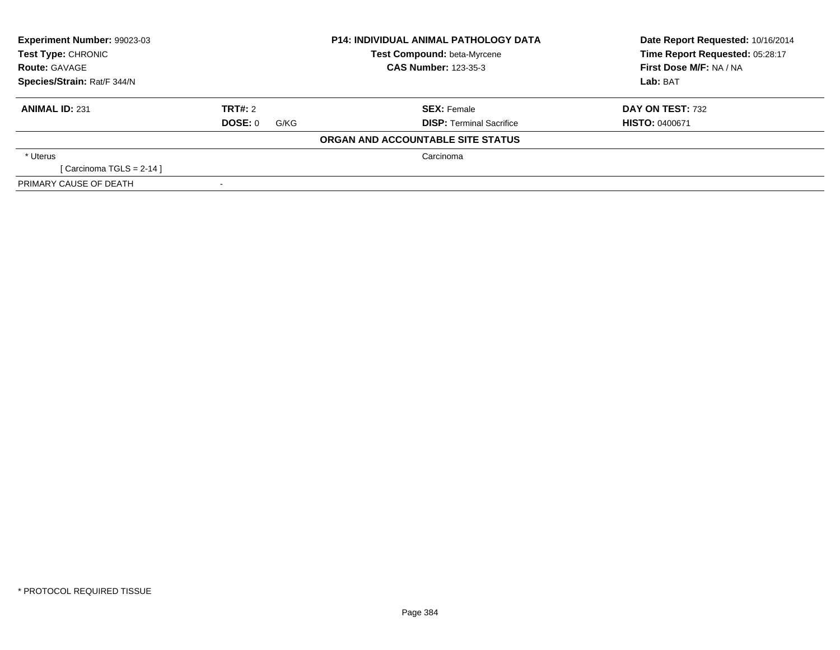| Experiment Number: 99023-03<br><b>Test Type: CHRONIC</b> |                 | <b>P14: INDIVIDUAL ANIMAL PATHOLOGY DATA</b> | Date Report Requested: 10/16/2014 |
|----------------------------------------------------------|-----------------|----------------------------------------------|-----------------------------------|
|                                                          |                 | Test Compound: beta-Myrcene                  | Time Report Requested: 05:28:17   |
| <b>Route: GAVAGE</b>                                     |                 | <b>CAS Number: 123-35-3</b>                  | First Dose M/F: NA / NA           |
| Species/Strain: Rat/F 344/N                              |                 |                                              | Lab: BAT                          |
| <b>ANIMAL ID: 231</b>                                    | TRT#: 2         | <b>SEX: Female</b>                           | DAY ON TEST: 732                  |
|                                                          | DOSE: 0<br>G/KG | <b>DISP: Terminal Sacrifice</b>              | <b>HISTO: 0400671</b>             |
|                                                          |                 | ORGAN AND ACCOUNTABLE SITE STATUS            |                                   |
| * Uterus                                                 |                 | Carcinoma                                    |                                   |
| [Carcinoma TGLS = 2-14 ]                                 |                 |                                              |                                   |
| PRIMARY CAUSE OF DEATH                                   |                 |                                              |                                   |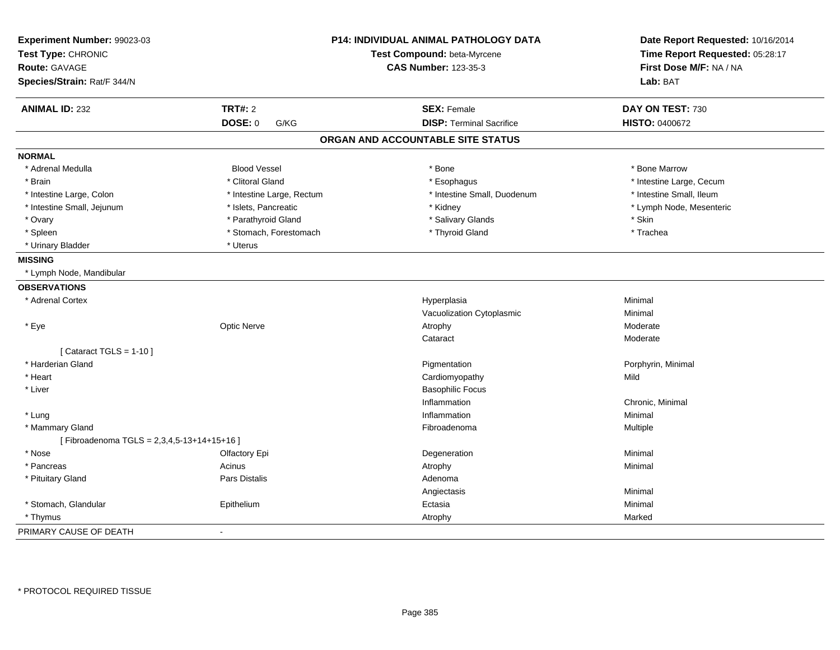| Experiment Number: 99023-03<br>Test Type: CHRONIC<br><b>Route: GAVAGE</b> |                           | <b>P14: INDIVIDUAL ANIMAL PATHOLOGY DATA</b><br>Test Compound: beta-Myrcene<br><b>CAS Number: 123-35-3</b> | Date Report Requested: 10/16/2014<br>Time Report Requested: 05:28:17<br>First Dose M/F: NA / NA |
|---------------------------------------------------------------------------|---------------------------|------------------------------------------------------------------------------------------------------------|-------------------------------------------------------------------------------------------------|
| Species/Strain: Rat/F 344/N                                               |                           |                                                                                                            | Lab: BAT                                                                                        |
| <b>ANIMAL ID: 232</b>                                                     | <b>TRT#: 2</b>            | <b>SEX: Female</b>                                                                                         | DAY ON TEST: 730                                                                                |
|                                                                           | DOSE: 0<br>G/KG           | <b>DISP: Terminal Sacrifice</b>                                                                            | <b>HISTO: 0400672</b>                                                                           |
|                                                                           |                           | ORGAN AND ACCOUNTABLE SITE STATUS                                                                          |                                                                                                 |
| <b>NORMAL</b>                                                             |                           |                                                                                                            |                                                                                                 |
| * Adrenal Medulla                                                         | <b>Blood Vessel</b>       | * Bone                                                                                                     | * Bone Marrow                                                                                   |
| * Brain                                                                   | * Clitoral Gland          | * Esophagus                                                                                                | * Intestine Large, Cecum                                                                        |
| * Intestine Large, Colon                                                  | * Intestine Large, Rectum | * Intestine Small, Duodenum                                                                                | * Intestine Small, Ileum                                                                        |
| * Intestine Small, Jejunum                                                | * Islets, Pancreatic      | * Kidney                                                                                                   | * Lymph Node, Mesenteric                                                                        |
| * Ovary                                                                   | * Parathyroid Gland       | * Salivary Glands                                                                                          | * Skin                                                                                          |
| * Spleen                                                                  | * Stomach, Forestomach    | * Thyroid Gland                                                                                            | * Trachea                                                                                       |
| * Urinary Bladder                                                         | * Uterus                  |                                                                                                            |                                                                                                 |
| <b>MISSING</b>                                                            |                           |                                                                                                            |                                                                                                 |
| * Lymph Node, Mandibular                                                  |                           |                                                                                                            |                                                                                                 |
| <b>OBSERVATIONS</b>                                                       |                           |                                                                                                            |                                                                                                 |
| * Adrenal Cortex                                                          |                           | Hyperplasia                                                                                                | Minimal                                                                                         |
|                                                                           |                           | Vacuolization Cytoplasmic                                                                                  | Minimal                                                                                         |
| * Eye                                                                     | <b>Optic Nerve</b>        | Atrophy                                                                                                    | Moderate                                                                                        |
|                                                                           |                           | Cataract                                                                                                   | Moderate                                                                                        |
| [ Cataract TGLS = $1-10$ ]                                                |                           |                                                                                                            |                                                                                                 |
| * Harderian Gland                                                         |                           | Pigmentation                                                                                               | Porphyrin, Minimal                                                                              |
| * Heart                                                                   |                           | Cardiomyopathy                                                                                             | Mild                                                                                            |
| * Liver                                                                   |                           | <b>Basophilic Focus</b>                                                                                    |                                                                                                 |
|                                                                           |                           | Inflammation                                                                                               | Chronic, Minimal                                                                                |
| * Lung                                                                    |                           | Inflammation                                                                                               | Minimal                                                                                         |
| * Mammary Gland                                                           |                           | Fibroadenoma                                                                                               | Multiple                                                                                        |
| [Fibroadenoma TGLS = 2,3,4,5-13+14+15+16]                                 |                           |                                                                                                            |                                                                                                 |
| * Nose                                                                    | Olfactory Epi             | Degeneration                                                                                               | Minimal                                                                                         |
| * Pancreas                                                                | Acinus                    | Atrophy                                                                                                    | Minimal                                                                                         |
| * Pituitary Gland                                                         | Pars Distalis             | Adenoma                                                                                                    |                                                                                                 |
|                                                                           |                           | Angiectasis                                                                                                | Minimal                                                                                         |
| * Stomach, Glandular                                                      | Epithelium                | Ectasia                                                                                                    | Minimal                                                                                         |
| * Thymus                                                                  |                           | Atrophy                                                                                                    | Marked                                                                                          |
| PRIMARY CAUSE OF DEATH                                                    | $\sim$                    |                                                                                                            |                                                                                                 |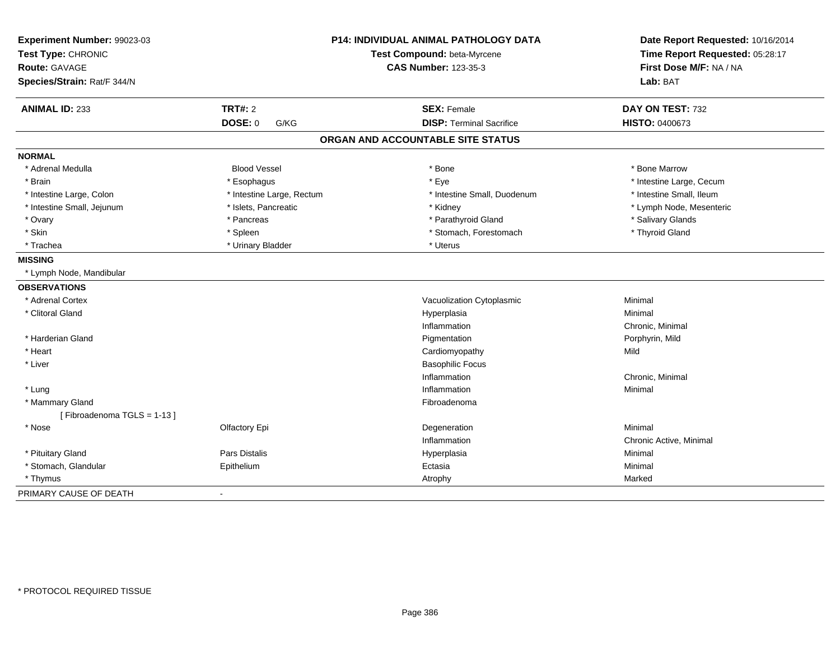| Experiment Number: 99023-03<br>Test Type: CHRONIC<br><b>Route: GAVAGE</b><br>Species/Strain: Rat/F 344/N |                           | P14: INDIVIDUAL ANIMAL PATHOLOGY DATA<br>Test Compound: beta-Myrcene<br><b>CAS Number: 123-35-3</b> | Date Report Requested: 10/16/2014<br>Time Report Requested: 05:28:17<br>First Dose M/F: NA / NA<br>Lab: BAT |  |
|----------------------------------------------------------------------------------------------------------|---------------------------|-----------------------------------------------------------------------------------------------------|-------------------------------------------------------------------------------------------------------------|--|
| <b>ANIMAL ID: 233</b>                                                                                    | <b>TRT#: 2</b>            | <b>SEX: Female</b>                                                                                  | DAY ON TEST: 732                                                                                            |  |
|                                                                                                          | DOSE: 0<br>G/KG           | <b>DISP: Terminal Sacrifice</b>                                                                     | <b>HISTO: 0400673</b>                                                                                       |  |
|                                                                                                          |                           | ORGAN AND ACCOUNTABLE SITE STATUS                                                                   |                                                                                                             |  |
| <b>NORMAL</b>                                                                                            |                           |                                                                                                     |                                                                                                             |  |
| * Adrenal Medulla                                                                                        | <b>Blood Vessel</b>       | * Bone                                                                                              | * Bone Marrow                                                                                               |  |
| * Brain                                                                                                  | * Esophagus               | * Eye                                                                                               | * Intestine Large, Cecum                                                                                    |  |
| * Intestine Large, Colon                                                                                 | * Intestine Large, Rectum | * Intestine Small, Duodenum                                                                         | * Intestine Small, Ileum                                                                                    |  |
| * Intestine Small, Jejunum                                                                               | * Islets, Pancreatic      | * Kidney                                                                                            | * Lymph Node, Mesenteric                                                                                    |  |
| * Ovary                                                                                                  | * Pancreas                | * Parathyroid Gland                                                                                 | * Salivary Glands                                                                                           |  |
| * Skin                                                                                                   | * Spleen                  | * Stomach, Forestomach                                                                              | * Thyroid Gland                                                                                             |  |
| * Trachea                                                                                                | * Urinary Bladder         | * Uterus                                                                                            |                                                                                                             |  |
| <b>MISSING</b>                                                                                           |                           |                                                                                                     |                                                                                                             |  |
| * Lymph Node, Mandibular                                                                                 |                           |                                                                                                     |                                                                                                             |  |
| <b>OBSERVATIONS</b>                                                                                      |                           |                                                                                                     |                                                                                                             |  |
| * Adrenal Cortex                                                                                         |                           | Vacuolization Cytoplasmic                                                                           | Minimal                                                                                                     |  |
| * Clitoral Gland                                                                                         |                           | Hyperplasia                                                                                         | Minimal                                                                                                     |  |
|                                                                                                          |                           | Inflammation                                                                                        | Chronic, Minimal                                                                                            |  |
| * Harderian Gland                                                                                        |                           | Pigmentation                                                                                        | Porphyrin, Mild                                                                                             |  |
| * Heart                                                                                                  |                           | Cardiomyopathy                                                                                      | Mild                                                                                                        |  |
| * Liver                                                                                                  |                           | <b>Basophilic Focus</b>                                                                             |                                                                                                             |  |
|                                                                                                          |                           | Inflammation                                                                                        | Chronic, Minimal                                                                                            |  |
| * Lung                                                                                                   |                           | Inflammation                                                                                        | Minimal                                                                                                     |  |
| * Mammary Gland                                                                                          |                           | Fibroadenoma                                                                                        |                                                                                                             |  |
| [Fibroadenoma TGLS = 1-13]                                                                               |                           |                                                                                                     |                                                                                                             |  |
| * Nose                                                                                                   | Olfactory Epi             | Degeneration                                                                                        | Minimal                                                                                                     |  |
|                                                                                                          |                           | Inflammation                                                                                        | Chronic Active, Minimal                                                                                     |  |
| * Pituitary Gland                                                                                        | Pars Distalis             | Hyperplasia                                                                                         | Minimal                                                                                                     |  |
| * Stomach, Glandular                                                                                     | Epithelium                | Ectasia                                                                                             | Minimal                                                                                                     |  |
| * Thymus                                                                                                 |                           | Atrophy                                                                                             | Marked                                                                                                      |  |
| PRIMARY CAUSE OF DEATH                                                                                   |                           |                                                                                                     |                                                                                                             |  |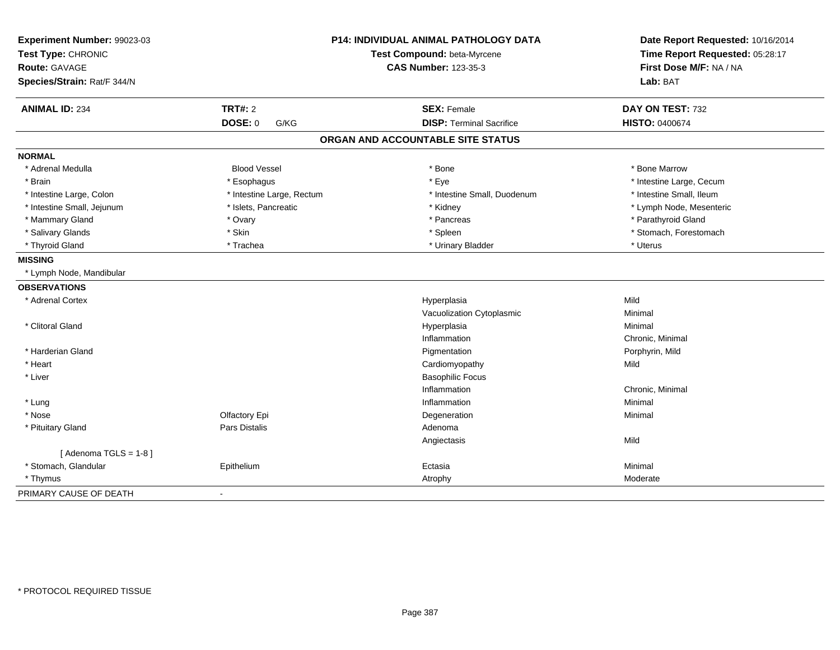| Experiment Number: 99023-03<br>Test Type: CHRONIC<br><b>Route: GAVAGE</b><br>Species/Strain: Rat/F 344/N | P14: INDIVIDUAL ANIMAL PATHOLOGY DATA<br>Test Compound: beta-Myrcene<br><b>CAS Number: 123-35-3</b> |                                   | Date Report Requested: 10/16/2014<br>Time Report Requested: 05:28:17<br>First Dose M/F: NA / NA<br>Lab: BAT |  |
|----------------------------------------------------------------------------------------------------------|-----------------------------------------------------------------------------------------------------|-----------------------------------|-------------------------------------------------------------------------------------------------------------|--|
| <b>ANIMAL ID: 234</b>                                                                                    | <b>TRT#: 2</b>                                                                                      | <b>SEX: Female</b>                | DAY ON TEST: 732                                                                                            |  |
|                                                                                                          | DOSE: 0<br>G/KG                                                                                     | <b>DISP: Terminal Sacrifice</b>   | <b>HISTO: 0400674</b>                                                                                       |  |
|                                                                                                          |                                                                                                     | ORGAN AND ACCOUNTABLE SITE STATUS |                                                                                                             |  |
| <b>NORMAL</b>                                                                                            |                                                                                                     |                                   |                                                                                                             |  |
| * Adrenal Medulla                                                                                        | <b>Blood Vessel</b>                                                                                 | * Bone                            | * Bone Marrow                                                                                               |  |
| * Brain                                                                                                  | * Esophagus                                                                                         | * Eye                             | * Intestine Large, Cecum                                                                                    |  |
| * Intestine Large, Colon                                                                                 | * Intestine Large, Rectum                                                                           | * Intestine Small, Duodenum       | * Intestine Small, Ileum                                                                                    |  |
| * Intestine Small, Jejunum                                                                               | * Islets, Pancreatic                                                                                | * Kidney                          | * Lymph Node, Mesenteric                                                                                    |  |
| * Mammary Gland                                                                                          | * Ovary                                                                                             | * Pancreas                        | * Parathyroid Gland                                                                                         |  |
| * Salivary Glands                                                                                        | * Skin                                                                                              | * Spleen                          | * Stomach, Forestomach                                                                                      |  |
| * Thyroid Gland                                                                                          | * Trachea                                                                                           | * Urinary Bladder                 | * Uterus                                                                                                    |  |
| <b>MISSING</b>                                                                                           |                                                                                                     |                                   |                                                                                                             |  |
| * Lymph Node, Mandibular                                                                                 |                                                                                                     |                                   |                                                                                                             |  |
| <b>OBSERVATIONS</b>                                                                                      |                                                                                                     |                                   |                                                                                                             |  |
| * Adrenal Cortex                                                                                         |                                                                                                     | Hyperplasia                       | Mild                                                                                                        |  |
|                                                                                                          |                                                                                                     | Vacuolization Cytoplasmic         | Minimal                                                                                                     |  |
| * Clitoral Gland                                                                                         |                                                                                                     | Hyperplasia                       | Minimal                                                                                                     |  |
|                                                                                                          |                                                                                                     | Inflammation                      | Chronic, Minimal                                                                                            |  |
| * Harderian Gland                                                                                        |                                                                                                     | Pigmentation                      | Porphyrin, Mild                                                                                             |  |
| * Heart                                                                                                  |                                                                                                     | Cardiomyopathy                    | Mild                                                                                                        |  |
| * Liver                                                                                                  |                                                                                                     | <b>Basophilic Focus</b>           |                                                                                                             |  |
|                                                                                                          |                                                                                                     | Inflammation                      | Chronic, Minimal                                                                                            |  |
| * Lung                                                                                                   |                                                                                                     | Inflammation                      | Minimal                                                                                                     |  |
| * Nose                                                                                                   | Olfactory Epi                                                                                       | Degeneration                      | Minimal                                                                                                     |  |
| * Pituitary Gland                                                                                        | Pars Distalis                                                                                       | Adenoma                           |                                                                                                             |  |
|                                                                                                          |                                                                                                     | Angiectasis                       | Mild                                                                                                        |  |
| [Adenoma TGLS = $1-8$ ]                                                                                  |                                                                                                     |                                   |                                                                                                             |  |
| * Stomach, Glandular                                                                                     | Epithelium                                                                                          | Ectasia                           | Minimal                                                                                                     |  |
| * Thymus                                                                                                 |                                                                                                     | Atrophy                           | Moderate                                                                                                    |  |
| PRIMARY CAUSE OF DEATH                                                                                   |                                                                                                     |                                   |                                                                                                             |  |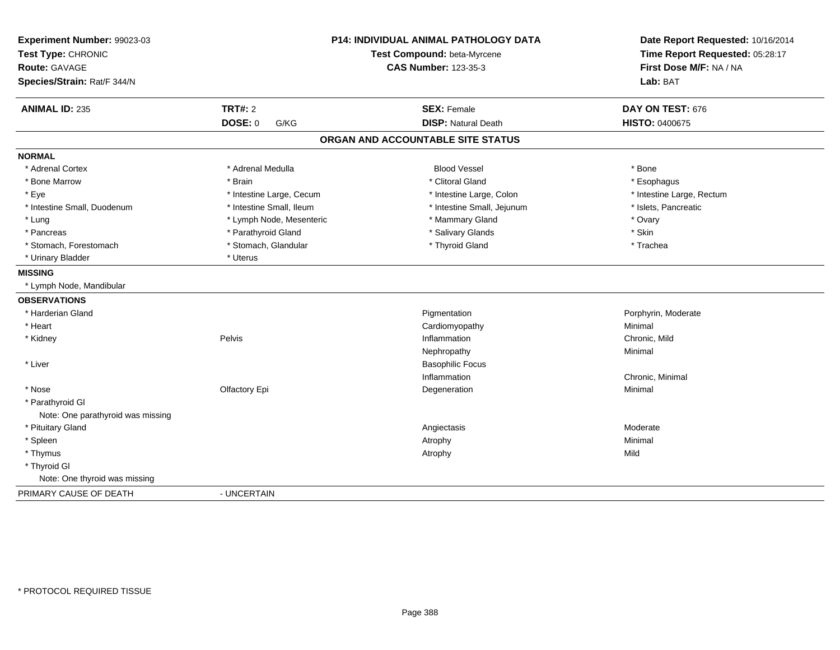| Experiment Number: 99023-03<br>Test Type: CHRONIC<br><b>Route: GAVAGE</b><br>Species/Strain: Rat/F 344/N |                          | P14: INDIVIDUAL ANIMAL PATHOLOGY DATA<br>Test Compound: beta-Myrcene<br><b>CAS Number: 123-35-3</b> | Date Report Requested: 10/16/2014<br>Time Report Requested: 05:28:17<br>First Dose M/F: NA / NA<br>Lab: BAT |  |
|----------------------------------------------------------------------------------------------------------|--------------------------|-----------------------------------------------------------------------------------------------------|-------------------------------------------------------------------------------------------------------------|--|
| <b>ANIMAL ID: 235</b>                                                                                    | <b>TRT#: 2</b>           | <b>SEX: Female</b>                                                                                  | DAY ON TEST: 676                                                                                            |  |
|                                                                                                          | <b>DOSE: 0</b><br>G/KG   | <b>DISP: Natural Death</b>                                                                          | <b>HISTO: 0400675</b>                                                                                       |  |
|                                                                                                          |                          | ORGAN AND ACCOUNTABLE SITE STATUS                                                                   |                                                                                                             |  |
| <b>NORMAL</b>                                                                                            |                          |                                                                                                     |                                                                                                             |  |
| * Adrenal Cortex                                                                                         | * Adrenal Medulla        | <b>Blood Vessel</b>                                                                                 | * Bone                                                                                                      |  |
| * Bone Marrow                                                                                            | * Brain                  | * Clitoral Gland                                                                                    | * Esophagus                                                                                                 |  |
| * Eye                                                                                                    | * Intestine Large, Cecum | * Intestine Large, Colon                                                                            | * Intestine Large, Rectum                                                                                   |  |
| * Intestine Small, Duodenum                                                                              | * Intestine Small, Ileum | * Intestine Small, Jejunum                                                                          | * Islets, Pancreatic                                                                                        |  |
| * Lung                                                                                                   | * Lymph Node, Mesenteric | * Mammary Gland                                                                                     | * Ovary                                                                                                     |  |
| * Pancreas                                                                                               | * Parathyroid Gland      | * Salivary Glands                                                                                   | * Skin                                                                                                      |  |
| * Stomach, Forestomach                                                                                   | * Stomach, Glandular     | * Thyroid Gland                                                                                     | * Trachea                                                                                                   |  |
| * Urinary Bladder                                                                                        | * Uterus                 |                                                                                                     |                                                                                                             |  |
| <b>MISSING</b>                                                                                           |                          |                                                                                                     |                                                                                                             |  |
| * Lymph Node, Mandibular                                                                                 |                          |                                                                                                     |                                                                                                             |  |
| <b>OBSERVATIONS</b>                                                                                      |                          |                                                                                                     |                                                                                                             |  |
| * Harderian Gland                                                                                        |                          | Pigmentation                                                                                        | Porphyrin, Moderate                                                                                         |  |
| * Heart                                                                                                  |                          | Cardiomyopathy                                                                                      | Minimal                                                                                                     |  |
| * Kidney                                                                                                 | Pelvis                   | Inflammation                                                                                        | Chronic, Mild                                                                                               |  |
|                                                                                                          |                          | Nephropathy                                                                                         | Minimal                                                                                                     |  |
| * Liver                                                                                                  |                          | <b>Basophilic Focus</b>                                                                             |                                                                                                             |  |
|                                                                                                          |                          | Inflammation                                                                                        | Chronic, Minimal                                                                                            |  |
| * Nose                                                                                                   | Olfactory Epi            | Degeneration                                                                                        | Minimal                                                                                                     |  |
| * Parathyroid Gl<br>Note: One parathyroid was missing                                                    |                          |                                                                                                     |                                                                                                             |  |
| * Pituitary Gland                                                                                        |                          | Angiectasis                                                                                         | Moderate                                                                                                    |  |
| * Spleen                                                                                                 |                          | Atrophy                                                                                             | Minimal                                                                                                     |  |
| * Thymus                                                                                                 |                          | Atrophy                                                                                             | Mild                                                                                                        |  |
| * Thyroid GI                                                                                             |                          |                                                                                                     |                                                                                                             |  |
| Note: One thyroid was missing                                                                            |                          |                                                                                                     |                                                                                                             |  |
| PRIMARY CAUSE OF DEATH                                                                                   | - UNCERTAIN              |                                                                                                     |                                                                                                             |  |
|                                                                                                          |                          |                                                                                                     |                                                                                                             |  |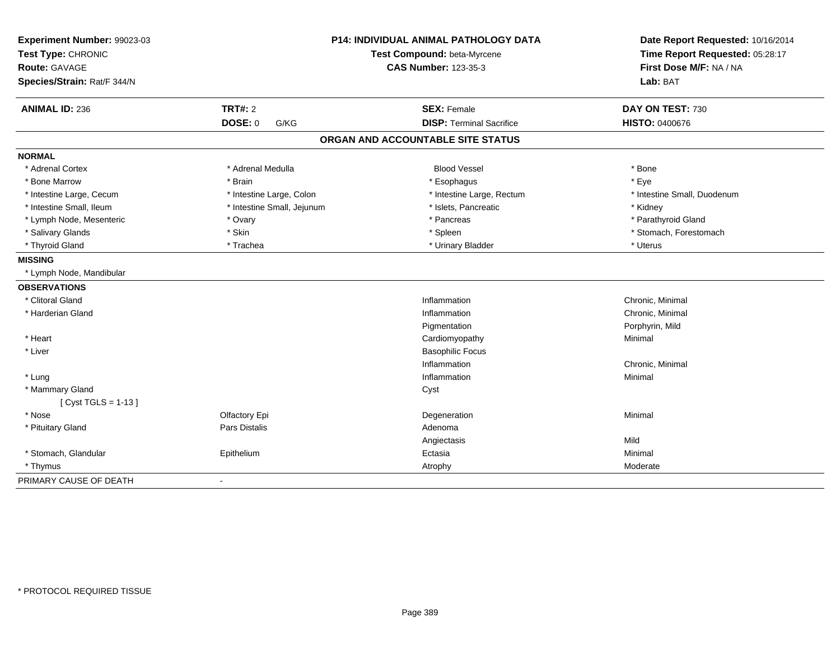| Experiment Number: 99023-03 |                            | <b>P14: INDIVIDUAL ANIMAL PATHOLOGY DATA</b> | Date Report Requested: 10/16/2014                          |  |
|-----------------------------|----------------------------|----------------------------------------------|------------------------------------------------------------|--|
| Test Type: CHRONIC          |                            | Test Compound: beta-Myrcene                  | Time Report Requested: 05:28:17<br>First Dose M/F: NA / NA |  |
| Route: GAVAGE               |                            | <b>CAS Number: 123-35-3</b>                  |                                                            |  |
| Species/Strain: Rat/F 344/N |                            |                                              | Lab: BAT                                                   |  |
| <b>ANIMAL ID: 236</b>       | <b>TRT#: 2</b>             | <b>SEX: Female</b>                           | DAY ON TEST: 730                                           |  |
|                             | DOSE: 0<br>G/KG            | <b>DISP: Terminal Sacrifice</b>              | <b>HISTO: 0400676</b>                                      |  |
|                             |                            | ORGAN AND ACCOUNTABLE SITE STATUS            |                                                            |  |
| <b>NORMAL</b>               |                            |                                              |                                                            |  |
| * Adrenal Cortex            | * Adrenal Medulla          | <b>Blood Vessel</b>                          | * Bone                                                     |  |
| * Bone Marrow               | * Brain                    | * Esophagus                                  | * Eye                                                      |  |
| * Intestine Large, Cecum    | * Intestine Large, Colon   | * Intestine Large, Rectum                    | * Intestine Small, Duodenum                                |  |
| * Intestine Small, Ileum    | * Intestine Small, Jejunum | * Islets, Pancreatic                         | * Kidney                                                   |  |
| * Lymph Node, Mesenteric    | * Ovary                    | * Pancreas                                   | * Parathyroid Gland                                        |  |
| * Salivary Glands           | * Skin                     | * Spleen                                     | * Stomach, Forestomach                                     |  |
| * Thyroid Gland             | * Trachea                  | * Urinary Bladder                            | * Uterus                                                   |  |
| <b>MISSING</b>              |                            |                                              |                                                            |  |
| * Lymph Node, Mandibular    |                            |                                              |                                                            |  |
| <b>OBSERVATIONS</b>         |                            |                                              |                                                            |  |
| * Clitoral Gland            |                            | Inflammation                                 | Chronic, Minimal                                           |  |
| * Harderian Gland           |                            | Inflammation                                 | Chronic, Minimal                                           |  |
|                             |                            | Pigmentation                                 | Porphyrin, Mild                                            |  |
| * Heart                     |                            | Cardiomyopathy                               | Minimal                                                    |  |
| * Liver                     |                            | <b>Basophilic Focus</b>                      |                                                            |  |
|                             |                            | Inflammation                                 | Chronic, Minimal                                           |  |
| * Lung                      |                            | Inflammation                                 | Minimal                                                    |  |
| * Mammary Gland             |                            | Cyst                                         |                                                            |  |
| [ Cyst TGLS = $1-13$ ]      |                            |                                              |                                                            |  |
| * Nose                      | Olfactory Epi              | Degeneration                                 | Minimal                                                    |  |
| * Pituitary Gland           | <b>Pars Distalis</b>       | Adenoma                                      |                                                            |  |
|                             |                            | Angiectasis                                  | Mild                                                       |  |
| * Stomach, Glandular        | Epithelium                 | Ectasia                                      | Minimal                                                    |  |
| * Thymus                    |                            | Atrophy                                      | Moderate                                                   |  |
| PRIMARY CAUSE OF DEATH      | $\blacksquare$             |                                              |                                                            |  |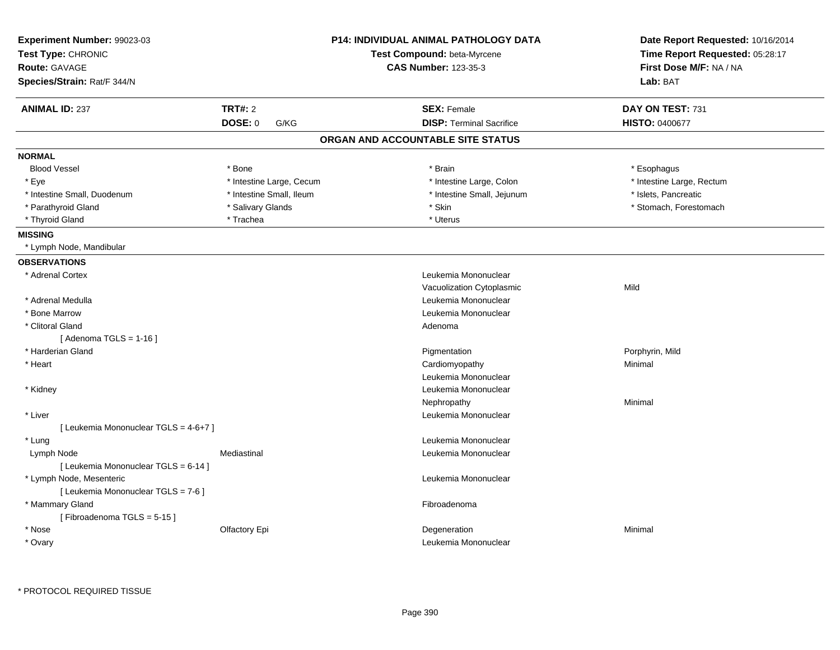|                                       |                          | P14: INDIVIDUAL ANIMAL PATHOLOGY DATA<br>Test Compound: beta-Myrcene | Date Report Requested: 10/16/2014<br>Time Report Requested: 05:28:17 |  |
|---------------------------------------|--------------------------|----------------------------------------------------------------------|----------------------------------------------------------------------|--|
| Test Type: CHRONIC<br>Route: GAVAGE   |                          | <b>CAS Number: 123-35-3</b>                                          | First Dose M/F: NA / NA                                              |  |
| Species/Strain: Rat/F 344/N           |                          |                                                                      | Lab: BAT                                                             |  |
| <b>ANIMAL ID: 237</b>                 | <b>TRT#: 2</b>           | <b>SEX: Female</b>                                                   | DAY ON TEST: 731                                                     |  |
|                                       | <b>DOSE: 0</b><br>G/KG   | <b>DISP: Terminal Sacrifice</b>                                      | <b>HISTO: 0400677</b>                                                |  |
|                                       |                          | ORGAN AND ACCOUNTABLE SITE STATUS                                    |                                                                      |  |
| <b>NORMAL</b>                         |                          |                                                                      |                                                                      |  |
| <b>Blood Vessel</b>                   | * Bone                   | * Brain                                                              | * Esophagus                                                          |  |
| * Eye                                 | * Intestine Large, Cecum | * Intestine Large, Colon                                             | * Intestine Large, Rectum                                            |  |
| * Intestine Small, Duodenum           | * Intestine Small, Ileum | * Intestine Small, Jejunum                                           | * Islets, Pancreatic                                                 |  |
| * Parathyroid Gland                   | * Salivary Glands        | * Skin                                                               | * Stomach, Forestomach                                               |  |
| * Thyroid Gland                       | * Trachea                | * Uterus                                                             |                                                                      |  |
| <b>MISSING</b>                        |                          |                                                                      |                                                                      |  |
| * Lymph Node, Mandibular              |                          |                                                                      |                                                                      |  |
| <b>OBSERVATIONS</b>                   |                          |                                                                      |                                                                      |  |
| * Adrenal Cortex                      |                          | Leukemia Mononuclear                                                 |                                                                      |  |
|                                       |                          | Vacuolization Cytoplasmic                                            | Mild                                                                 |  |
| * Adrenal Medulla                     |                          | Leukemia Mononuclear                                                 |                                                                      |  |
| * Bone Marrow                         |                          | Leukemia Mononuclear                                                 |                                                                      |  |
| * Clitoral Gland                      |                          | Adenoma                                                              |                                                                      |  |
| [Adenoma TGLS = $1-16$ ]              |                          |                                                                      |                                                                      |  |
| * Harderian Gland                     |                          | Pigmentation                                                         | Porphyrin, Mild                                                      |  |
| * Heart                               |                          | Cardiomyopathy                                                       | Minimal                                                              |  |
|                                       |                          | Leukemia Mononuclear                                                 |                                                                      |  |
| * Kidney                              |                          | Leukemia Mononuclear                                                 |                                                                      |  |
|                                       |                          | Nephropathy                                                          | Minimal                                                              |  |
| * Liver                               |                          | Leukemia Mononuclear                                                 |                                                                      |  |
| [ Leukemia Mononuclear TGLS = 4-6+7 ] |                          |                                                                      |                                                                      |  |
| * Lung                                |                          | Leukemia Mononuclear                                                 |                                                                      |  |
| Lymph Node                            | Mediastinal              | Leukemia Mononuclear                                                 |                                                                      |  |
| [ Leukemia Mononuclear TGLS = 6-14 ]  |                          |                                                                      |                                                                      |  |
| * Lymph Node, Mesenteric              |                          | Leukemia Mononuclear                                                 |                                                                      |  |
| [ Leukemia Mononuclear TGLS = 7-6 ]   |                          |                                                                      |                                                                      |  |
| * Mammary Gland                       |                          | Fibroadenoma                                                         |                                                                      |  |
| [Fibroadenoma TGLS = 5-15]            |                          |                                                                      |                                                                      |  |
| * Nose                                | Olfactory Epi            | Degeneration                                                         | Minimal                                                              |  |
| * Ovary                               |                          | Leukemia Mononuclear                                                 |                                                                      |  |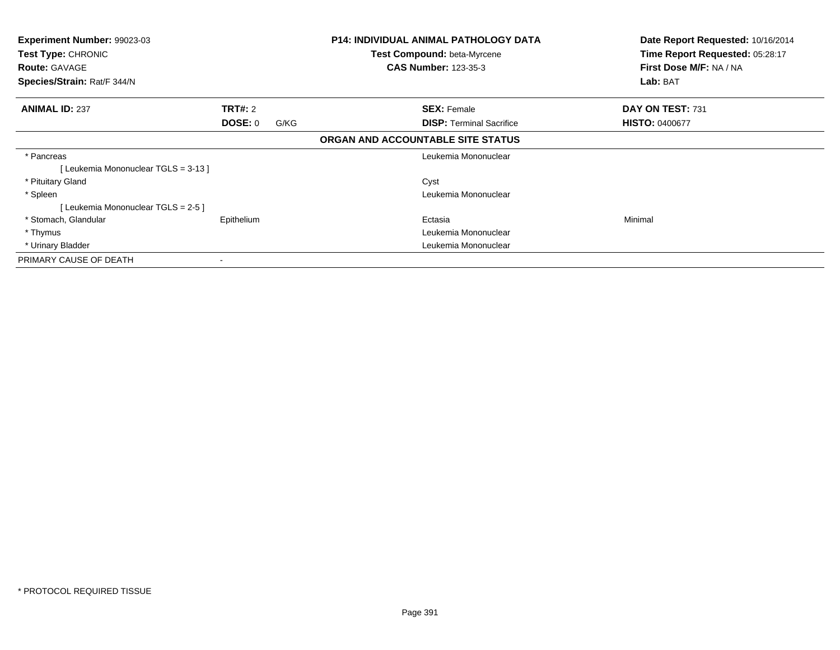| Experiment Number: 99023-03<br>Test Type: CHRONIC<br><b>Route: GAVAGE</b><br>Species/Strain: Rat/F 344/N |                        | <b>P14: INDIVIDUAL ANIMAL PATHOLOGY DATA</b><br><b>Test Compound: beta-Myrcene</b><br><b>CAS Number: 123-35-3</b> | Date Report Requested: 10/16/2014<br>Time Report Requested: 05:28:17<br>First Dose M/F: NA / NA<br>Lab: BAT |
|----------------------------------------------------------------------------------------------------------|------------------------|-------------------------------------------------------------------------------------------------------------------|-------------------------------------------------------------------------------------------------------------|
| <b>ANIMAL ID: 237</b>                                                                                    | <b>TRT#: 2</b>         | <b>SEX: Female</b>                                                                                                | DAY ON TEST: 731                                                                                            |
|                                                                                                          | <b>DOSE: 0</b><br>G/KG | <b>DISP:</b> Terminal Sacrifice                                                                                   | <b>HISTO: 0400677</b>                                                                                       |
|                                                                                                          |                        | ORGAN AND ACCOUNTABLE SITE STATUS                                                                                 |                                                                                                             |
| * Pancreas                                                                                               |                        | Leukemia Mononuclear                                                                                              |                                                                                                             |
| [Leukemia Mononuclear TGLS = 3-13]                                                                       |                        |                                                                                                                   |                                                                                                             |
| * Pituitary Gland                                                                                        |                        | Cyst                                                                                                              |                                                                                                             |
| * Spleen                                                                                                 |                        | Leukemia Mononuclear                                                                                              |                                                                                                             |
| [Leukemia Mononuclear TGLS = 2-5 ]                                                                       |                        |                                                                                                                   |                                                                                                             |
| * Stomach, Glandular                                                                                     | Epithelium             | Ectasia                                                                                                           | Minimal                                                                                                     |
| * Thymus                                                                                                 |                        | Leukemia Mononuclear                                                                                              |                                                                                                             |
| * Urinary Bladder                                                                                        |                        | Leukemia Mononuclear                                                                                              |                                                                                                             |
| PRIMARY CAUSE OF DEATH                                                                                   |                        |                                                                                                                   |                                                                                                             |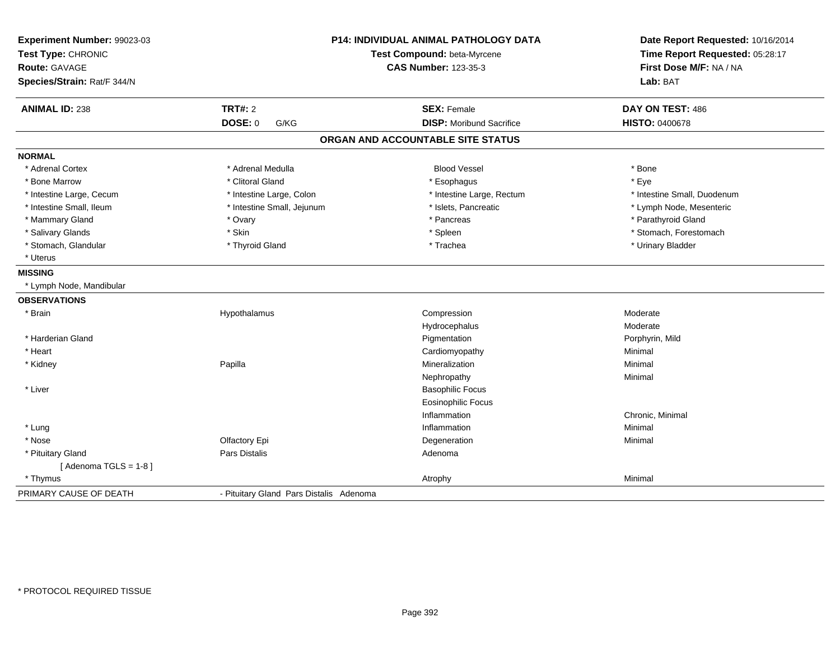| Experiment Number: 99023-03<br>Test Type: CHRONIC<br>Route: GAVAGE<br>Species/Strain: Rat/F 344/N | P14: INDIVIDUAL ANIMAL PATHOLOGY DATA<br>Test Compound: beta-Myrcene<br><b>CAS Number: 123-35-3</b> |                                   | Date Report Requested: 10/16/2014<br>Time Report Requested: 05:28:17<br>First Dose M/F: NA / NA<br>Lab: BAT |  |
|---------------------------------------------------------------------------------------------------|-----------------------------------------------------------------------------------------------------|-----------------------------------|-------------------------------------------------------------------------------------------------------------|--|
| <b>ANIMAL ID: 238</b>                                                                             | TRT#: 2                                                                                             | <b>SEX: Female</b>                | DAY ON TEST: 486                                                                                            |  |
|                                                                                                   | <b>DOSE: 0</b><br>G/KG                                                                              | <b>DISP:</b> Moribund Sacrifice   | <b>HISTO: 0400678</b>                                                                                       |  |
|                                                                                                   |                                                                                                     | ORGAN AND ACCOUNTABLE SITE STATUS |                                                                                                             |  |
| <b>NORMAL</b>                                                                                     |                                                                                                     |                                   |                                                                                                             |  |
| * Adrenal Cortex                                                                                  | * Adrenal Medulla                                                                                   | <b>Blood Vessel</b>               | * Bone                                                                                                      |  |
| * Bone Marrow                                                                                     | * Clitoral Gland                                                                                    | * Esophagus                       | * Eye                                                                                                       |  |
| * Intestine Large, Cecum                                                                          | * Intestine Large, Colon                                                                            | * Intestine Large, Rectum         | * Intestine Small, Duodenum                                                                                 |  |
| * Intestine Small, Ileum                                                                          | * Intestine Small, Jejunum                                                                          | * Islets, Pancreatic              | * Lymph Node, Mesenteric                                                                                    |  |
| * Mammary Gland                                                                                   | * Ovary                                                                                             | * Pancreas                        | * Parathyroid Gland                                                                                         |  |
| * Salivary Glands                                                                                 | * Skin                                                                                              | * Spleen                          | * Stomach, Forestomach                                                                                      |  |
| * Stomach, Glandular                                                                              | * Thyroid Gland                                                                                     | * Trachea                         | * Urinary Bladder                                                                                           |  |
| * Uterus                                                                                          |                                                                                                     |                                   |                                                                                                             |  |
| <b>MISSING</b>                                                                                    |                                                                                                     |                                   |                                                                                                             |  |
| * Lymph Node, Mandibular                                                                          |                                                                                                     |                                   |                                                                                                             |  |
| <b>OBSERVATIONS</b>                                                                               |                                                                                                     |                                   |                                                                                                             |  |
| * Brain                                                                                           | Hypothalamus                                                                                        | Compression                       | Moderate                                                                                                    |  |
|                                                                                                   |                                                                                                     | Hydrocephalus                     | Moderate                                                                                                    |  |
| * Harderian Gland                                                                                 |                                                                                                     | Pigmentation                      | Porphyrin, Mild                                                                                             |  |
| * Heart                                                                                           |                                                                                                     | Cardiomyopathy                    | Minimal                                                                                                     |  |
| * Kidney                                                                                          | Papilla                                                                                             | Mineralization                    | Minimal                                                                                                     |  |
|                                                                                                   |                                                                                                     | Nephropathy                       | Minimal                                                                                                     |  |
| * Liver                                                                                           |                                                                                                     | <b>Basophilic Focus</b>           |                                                                                                             |  |
|                                                                                                   |                                                                                                     | <b>Eosinophilic Focus</b>         |                                                                                                             |  |
|                                                                                                   |                                                                                                     | Inflammation                      | Chronic, Minimal                                                                                            |  |
| * Lung                                                                                            |                                                                                                     | Inflammation                      | Minimal                                                                                                     |  |
| * Nose                                                                                            | Olfactory Epi                                                                                       | Degeneration                      | Minimal                                                                                                     |  |
| * Pituitary Gland                                                                                 | <b>Pars Distalis</b>                                                                                | Adenoma                           |                                                                                                             |  |
| [Adenoma TGLS = $1-8$ ]                                                                           |                                                                                                     |                                   |                                                                                                             |  |
| * Thymus                                                                                          |                                                                                                     | Atrophy                           | Minimal                                                                                                     |  |
| PRIMARY CAUSE OF DEATH                                                                            | - Pituitary Gland Pars Distalis Adenoma                                                             |                                   |                                                                                                             |  |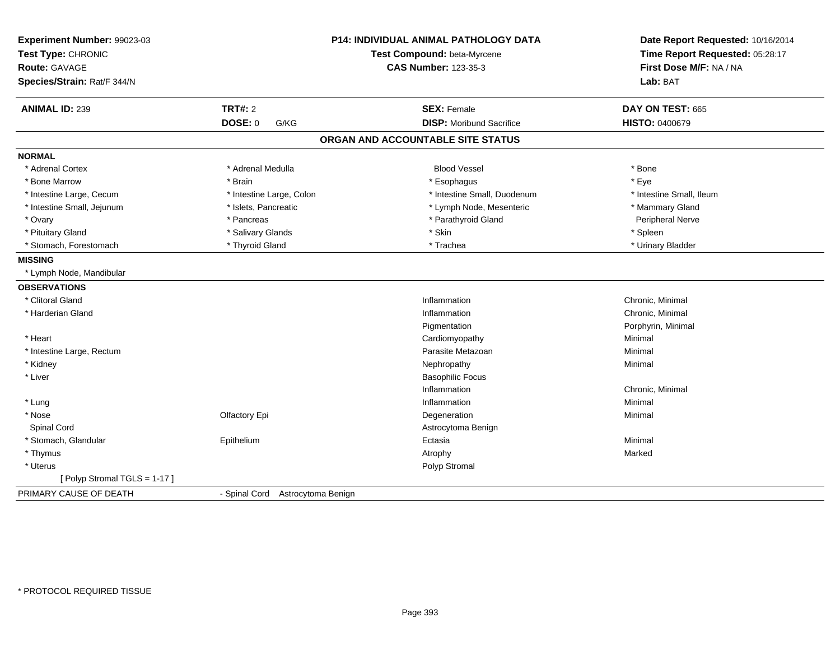| Experiment Number: 99023-03<br>Test Type: CHRONIC<br><b>Route: GAVAGE</b><br>Species/Strain: Rat/F 344/N |                                  | P14: INDIVIDUAL ANIMAL PATHOLOGY DATA<br>Test Compound: beta-Myrcene<br><b>CAS Number: 123-35-3</b> | Date Report Requested: 10/16/2014<br>Time Report Requested: 05:28:17<br>First Dose M/F: NA / NA<br>Lab: BAT |  |
|----------------------------------------------------------------------------------------------------------|----------------------------------|-----------------------------------------------------------------------------------------------------|-------------------------------------------------------------------------------------------------------------|--|
| <b>ANIMAL ID: 239</b>                                                                                    | <b>TRT#: 2</b>                   | <b>SEX: Female</b>                                                                                  | DAY ON TEST: 665                                                                                            |  |
|                                                                                                          | <b>DOSE: 0</b><br>G/KG           | <b>DISP:</b> Moribund Sacrifice                                                                     | <b>HISTO: 0400679</b>                                                                                       |  |
|                                                                                                          |                                  | ORGAN AND ACCOUNTABLE SITE STATUS                                                                   |                                                                                                             |  |
| <b>NORMAL</b>                                                                                            |                                  |                                                                                                     |                                                                                                             |  |
| * Adrenal Cortex                                                                                         | * Adrenal Medulla                | <b>Blood Vessel</b>                                                                                 | * Bone                                                                                                      |  |
| * Bone Marrow                                                                                            | * Brain                          | * Esophagus                                                                                         | * Eye                                                                                                       |  |
| * Intestine Large, Cecum                                                                                 | * Intestine Large, Colon         | * Intestine Small, Duodenum                                                                         | * Intestine Small, Ileum                                                                                    |  |
| * Intestine Small, Jejunum                                                                               | * Islets, Pancreatic             | * Lymph Node, Mesenteric                                                                            | * Mammary Gland                                                                                             |  |
| * Ovary                                                                                                  | * Pancreas                       | * Parathyroid Gland                                                                                 | Peripheral Nerve                                                                                            |  |
| * Pituitary Gland                                                                                        | * Salivary Glands                | * Skin                                                                                              | * Spleen                                                                                                    |  |
| * Stomach, Forestomach                                                                                   | * Thyroid Gland                  | * Trachea                                                                                           | * Urinary Bladder                                                                                           |  |
| <b>MISSING</b>                                                                                           |                                  |                                                                                                     |                                                                                                             |  |
| * Lymph Node, Mandibular                                                                                 |                                  |                                                                                                     |                                                                                                             |  |
| <b>OBSERVATIONS</b>                                                                                      |                                  |                                                                                                     |                                                                                                             |  |
| * Clitoral Gland                                                                                         |                                  | Inflammation                                                                                        | Chronic, Minimal                                                                                            |  |
| * Harderian Gland                                                                                        |                                  | Inflammation                                                                                        | Chronic, Minimal                                                                                            |  |
|                                                                                                          |                                  | Pigmentation                                                                                        | Porphyrin, Minimal                                                                                          |  |
| * Heart                                                                                                  |                                  | Cardiomyopathy                                                                                      | Minimal                                                                                                     |  |
| * Intestine Large, Rectum                                                                                |                                  | Parasite Metazoan                                                                                   | Minimal                                                                                                     |  |
| * Kidney                                                                                                 |                                  | Nephropathy                                                                                         | Minimal                                                                                                     |  |
| * Liver                                                                                                  |                                  | <b>Basophilic Focus</b>                                                                             |                                                                                                             |  |
|                                                                                                          |                                  | Inflammation                                                                                        | Chronic, Minimal                                                                                            |  |
| * Lung                                                                                                   |                                  | Inflammation                                                                                        | Minimal                                                                                                     |  |
| * Nose                                                                                                   | Olfactory Epi                    | Degeneration                                                                                        | Minimal                                                                                                     |  |
| Spinal Cord                                                                                              |                                  | Astrocytoma Benign                                                                                  |                                                                                                             |  |
| * Stomach, Glandular                                                                                     | Epithelium                       | Ectasia                                                                                             | Minimal                                                                                                     |  |
| * Thymus                                                                                                 |                                  | Atrophy                                                                                             | Marked                                                                                                      |  |
| * Uterus                                                                                                 |                                  | Polyp Stromal                                                                                       |                                                                                                             |  |
| [Polyp Stromal TGLS = 1-17]                                                                              |                                  |                                                                                                     |                                                                                                             |  |
| PRIMARY CAUSE OF DEATH                                                                                   | - Spinal Cord Astrocytoma Benign |                                                                                                     |                                                                                                             |  |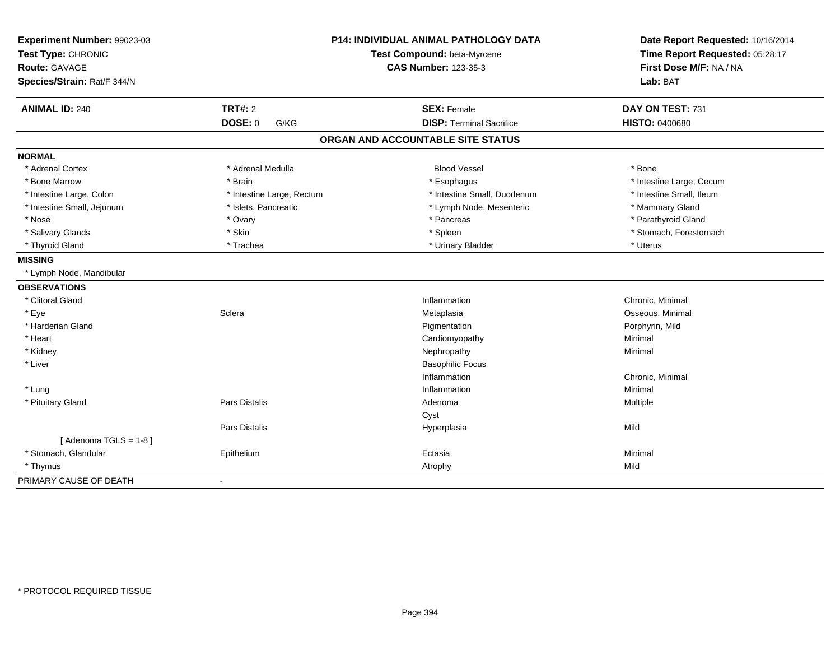| Experiment Number: 99023-03<br>Test Type: CHRONIC<br><b>Route: GAVAGE</b><br>Species/Strain: Rat/F 344/N |                           | <b>P14: INDIVIDUAL ANIMAL PATHOLOGY DATA</b><br>Test Compound: beta-Myrcene<br><b>CAS Number: 123-35-3</b> | Date Report Requested: 10/16/2014<br>Time Report Requested: 05:28:17<br>First Dose M/F: NA / NA<br>Lab: BAT |  |
|----------------------------------------------------------------------------------------------------------|---------------------------|------------------------------------------------------------------------------------------------------------|-------------------------------------------------------------------------------------------------------------|--|
| <b>ANIMAL ID: 240</b>                                                                                    | <b>TRT#: 2</b>            | <b>SEX: Female</b>                                                                                         | DAY ON TEST: 731                                                                                            |  |
|                                                                                                          | <b>DOSE: 0</b><br>G/KG    | <b>DISP: Terminal Sacrifice</b>                                                                            | <b>HISTO: 0400680</b>                                                                                       |  |
|                                                                                                          |                           | ORGAN AND ACCOUNTABLE SITE STATUS                                                                          |                                                                                                             |  |
| <b>NORMAL</b>                                                                                            |                           |                                                                                                            |                                                                                                             |  |
| * Adrenal Cortex                                                                                         | * Adrenal Medulla         | <b>Blood Vessel</b>                                                                                        | * Bone                                                                                                      |  |
| * Bone Marrow                                                                                            | * Brain                   | * Esophagus                                                                                                | * Intestine Large, Cecum                                                                                    |  |
| * Intestine Large, Colon                                                                                 | * Intestine Large, Rectum | * Intestine Small, Duodenum                                                                                | * Intestine Small, Ileum                                                                                    |  |
| * Intestine Small, Jejunum                                                                               | * Islets, Pancreatic      | * Lymph Node, Mesenteric                                                                                   | * Mammary Gland                                                                                             |  |
| * Nose                                                                                                   | * Ovary                   | * Pancreas                                                                                                 | * Parathyroid Gland                                                                                         |  |
| * Salivary Glands                                                                                        | * Skin                    | * Spleen                                                                                                   | * Stomach, Forestomach                                                                                      |  |
| * Thyroid Gland                                                                                          | * Trachea                 | * Urinary Bladder                                                                                          | * Uterus                                                                                                    |  |
| <b>MISSING</b>                                                                                           |                           |                                                                                                            |                                                                                                             |  |
| * Lymph Node, Mandibular                                                                                 |                           |                                                                                                            |                                                                                                             |  |
| <b>OBSERVATIONS</b>                                                                                      |                           |                                                                                                            |                                                                                                             |  |
| * Clitoral Gland                                                                                         |                           | Inflammation                                                                                               | Chronic, Minimal                                                                                            |  |
| * Eye                                                                                                    | Sclera                    | Metaplasia                                                                                                 | Osseous, Minimal                                                                                            |  |
| * Harderian Gland                                                                                        |                           | Pigmentation                                                                                               | Porphyrin, Mild                                                                                             |  |
| * Heart                                                                                                  |                           | Cardiomyopathy                                                                                             | Minimal                                                                                                     |  |
| * Kidney                                                                                                 |                           | Nephropathy                                                                                                | Minimal                                                                                                     |  |
| * Liver                                                                                                  |                           | <b>Basophilic Focus</b>                                                                                    |                                                                                                             |  |
|                                                                                                          |                           | Inflammation                                                                                               | Chronic, Minimal                                                                                            |  |
| * Lung                                                                                                   |                           | Inflammation                                                                                               | Minimal                                                                                                     |  |
| * Pituitary Gland                                                                                        | <b>Pars Distalis</b>      | Adenoma                                                                                                    | Multiple                                                                                                    |  |
|                                                                                                          |                           | Cyst                                                                                                       |                                                                                                             |  |
|                                                                                                          | Pars Distalis             | Hyperplasia                                                                                                | Mild                                                                                                        |  |
| [Adenoma TGLS = $1-8$ ]                                                                                  |                           |                                                                                                            |                                                                                                             |  |
| * Stomach, Glandular                                                                                     | Epithelium                | Ectasia                                                                                                    | Minimal                                                                                                     |  |
| * Thymus                                                                                                 |                           | Atrophy                                                                                                    | Mild                                                                                                        |  |
| PRIMARY CAUSE OF DEATH                                                                                   | $\blacksquare$            |                                                                                                            |                                                                                                             |  |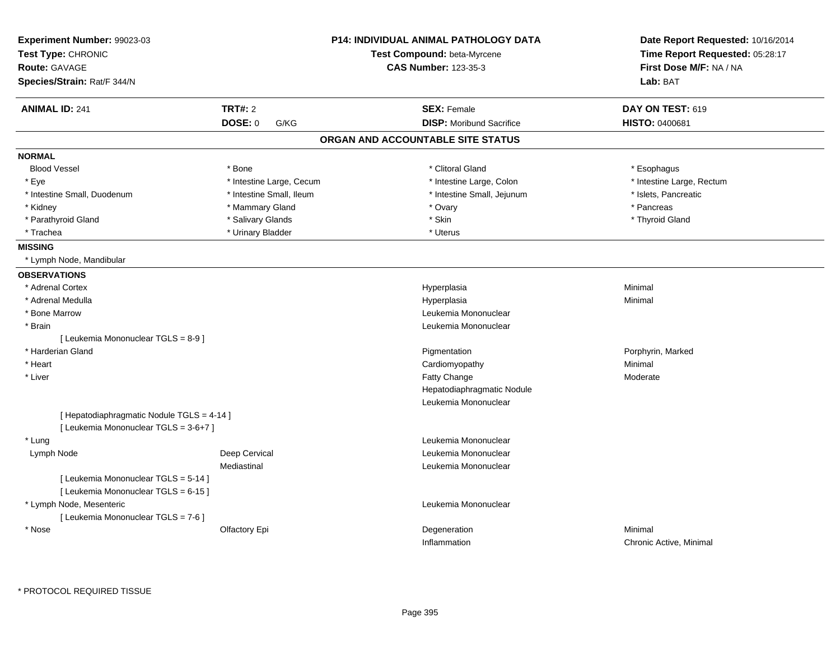| Experiment Number: 99023-03<br>Test Type: CHRONIC<br><b>Route: GAVAGE</b><br>Species/Strain: Rat/F 344/N |                          | <b>P14: INDIVIDUAL ANIMAL PATHOLOGY DATA</b><br>Test Compound: beta-Myrcene<br><b>CAS Number: 123-35-3</b> | Date Report Requested: 10/16/2014<br>Time Report Requested: 05:28:17<br>First Dose M/F: NA / NA<br>Lab: BAT |  |
|----------------------------------------------------------------------------------------------------------|--------------------------|------------------------------------------------------------------------------------------------------------|-------------------------------------------------------------------------------------------------------------|--|
| <b>ANIMAL ID: 241</b>                                                                                    | TRT#: 2                  | <b>SEX: Female</b>                                                                                         | DAY ON TEST: 619                                                                                            |  |
|                                                                                                          | <b>DOSE: 0</b><br>G/KG   | <b>DISP:</b> Moribund Sacrifice                                                                            | HISTO: 0400681                                                                                              |  |
|                                                                                                          |                          | ORGAN AND ACCOUNTABLE SITE STATUS                                                                          |                                                                                                             |  |
| <b>NORMAL</b>                                                                                            |                          |                                                                                                            |                                                                                                             |  |
| <b>Blood Vessel</b>                                                                                      | * Bone                   | * Clitoral Gland                                                                                           | * Esophagus                                                                                                 |  |
| * Eye                                                                                                    | * Intestine Large, Cecum | * Intestine Large, Colon                                                                                   | * Intestine Large, Rectum                                                                                   |  |
| * Intestine Small, Duodenum                                                                              | * Intestine Small, Ileum | * Intestine Small, Jejunum                                                                                 | * Islets, Pancreatic                                                                                        |  |
| * Kidney                                                                                                 | * Mammary Gland          | * Ovary                                                                                                    | * Pancreas                                                                                                  |  |
| * Parathyroid Gland                                                                                      | * Salivary Glands        | * Skin                                                                                                     | * Thyroid Gland                                                                                             |  |
| * Trachea                                                                                                | * Urinary Bladder        | * Uterus                                                                                                   |                                                                                                             |  |
| <b>MISSING</b>                                                                                           |                          |                                                                                                            |                                                                                                             |  |
| * Lymph Node, Mandibular                                                                                 |                          |                                                                                                            |                                                                                                             |  |
| <b>OBSERVATIONS</b>                                                                                      |                          |                                                                                                            |                                                                                                             |  |
| * Adrenal Cortex                                                                                         |                          | Hyperplasia                                                                                                | Minimal                                                                                                     |  |
| * Adrenal Medulla                                                                                        |                          | Hyperplasia                                                                                                | Minimal                                                                                                     |  |
| * Bone Marrow                                                                                            |                          | Leukemia Mononuclear                                                                                       |                                                                                                             |  |
| * Brain                                                                                                  |                          | Leukemia Mononuclear                                                                                       |                                                                                                             |  |
| [ Leukemia Mononuclear TGLS = 8-9 ]                                                                      |                          |                                                                                                            |                                                                                                             |  |
| * Harderian Gland                                                                                        |                          | Pigmentation                                                                                               | Porphyrin, Marked                                                                                           |  |
| * Heart                                                                                                  |                          | Cardiomyopathy                                                                                             | Minimal                                                                                                     |  |
| * Liver                                                                                                  |                          | Fatty Change                                                                                               | Moderate                                                                                                    |  |
|                                                                                                          |                          | Hepatodiaphragmatic Nodule                                                                                 |                                                                                                             |  |
|                                                                                                          |                          | Leukemia Mononuclear                                                                                       |                                                                                                             |  |
| [ Hepatodiaphragmatic Nodule TGLS = 4-14 ]                                                               |                          |                                                                                                            |                                                                                                             |  |
| [ Leukemia Mononuclear TGLS = 3-6+7 ]                                                                    |                          |                                                                                                            |                                                                                                             |  |
| * Lung                                                                                                   |                          | Leukemia Mononuclear                                                                                       |                                                                                                             |  |
| Lymph Node                                                                                               | Deep Cervical            | Leukemia Mononuclear                                                                                       |                                                                                                             |  |
|                                                                                                          | Mediastinal              | Leukemia Mononuclear                                                                                       |                                                                                                             |  |
| [ Leukemia Mononuclear TGLS = 5-14 ]                                                                     |                          |                                                                                                            |                                                                                                             |  |
| [ Leukemia Mononuclear TGLS = 6-15 ]                                                                     |                          |                                                                                                            |                                                                                                             |  |
| * Lymph Node, Mesenteric                                                                                 |                          | Leukemia Mononuclear                                                                                       |                                                                                                             |  |
| [ Leukemia Mononuclear TGLS = 7-6 ]                                                                      |                          |                                                                                                            |                                                                                                             |  |
| * Nose                                                                                                   | Olfactory Epi            | Degeneration                                                                                               | Minimal                                                                                                     |  |
|                                                                                                          |                          | Inflammation                                                                                               | Chronic Active, Minimal                                                                                     |  |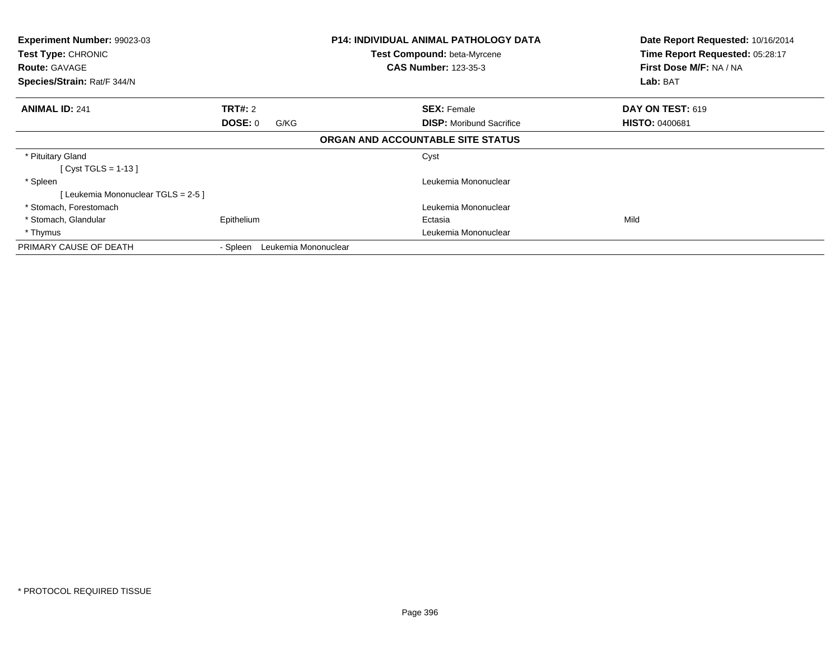| <b>Experiment Number: 99023-03</b><br>Test Type: CHRONIC<br><b>Route: GAVAGE</b><br>Species/Strain: Rat/F 344/N | <b>P14: INDIVIDUAL ANIMAL PATHOLOGY DATA</b><br>Test Compound: beta-Myrcene<br><b>CAS Number: 123-35-3</b> |                      |                                   | Date Report Requested: 10/16/2014<br>Time Report Requested: 05:28:17<br>First Dose M/F: NA / NA<br>Lab: BAT |
|-----------------------------------------------------------------------------------------------------------------|------------------------------------------------------------------------------------------------------------|----------------------|-----------------------------------|-------------------------------------------------------------------------------------------------------------|
|                                                                                                                 |                                                                                                            |                      |                                   |                                                                                                             |
| <b>ANIMAL ID: 241</b>                                                                                           | <b>TRT#: 2</b>                                                                                             |                      | <b>SEX: Female</b>                | DAY ON TEST: 619                                                                                            |
|                                                                                                                 | DOSE: 0                                                                                                    | G/KG                 | <b>DISP:</b> Moribund Sacrifice   | <b>HISTO: 0400681</b>                                                                                       |
|                                                                                                                 |                                                                                                            |                      | ORGAN AND ACCOUNTABLE SITE STATUS |                                                                                                             |
| * Pituitary Gland                                                                                               |                                                                                                            |                      | Cyst                              |                                                                                                             |
| [ Cyst TGLS = 1-13 ]                                                                                            |                                                                                                            |                      |                                   |                                                                                                             |
| * Spleen                                                                                                        |                                                                                                            |                      | Leukemia Mononuclear              |                                                                                                             |
| [Leukemia Mononuclear TGLS = 2-5]                                                                               |                                                                                                            |                      |                                   |                                                                                                             |
| * Stomach, Forestomach                                                                                          |                                                                                                            |                      | Leukemia Mononuclear              |                                                                                                             |
| * Stomach, Glandular                                                                                            | Epithelium                                                                                                 |                      | Ectasia                           | Mild                                                                                                        |
| * Thymus                                                                                                        |                                                                                                            |                      | Leukemia Mononuclear              |                                                                                                             |
| PRIMARY CAUSE OF DEATH                                                                                          | - Spleen                                                                                                   | Leukemia Mononuclear |                                   |                                                                                                             |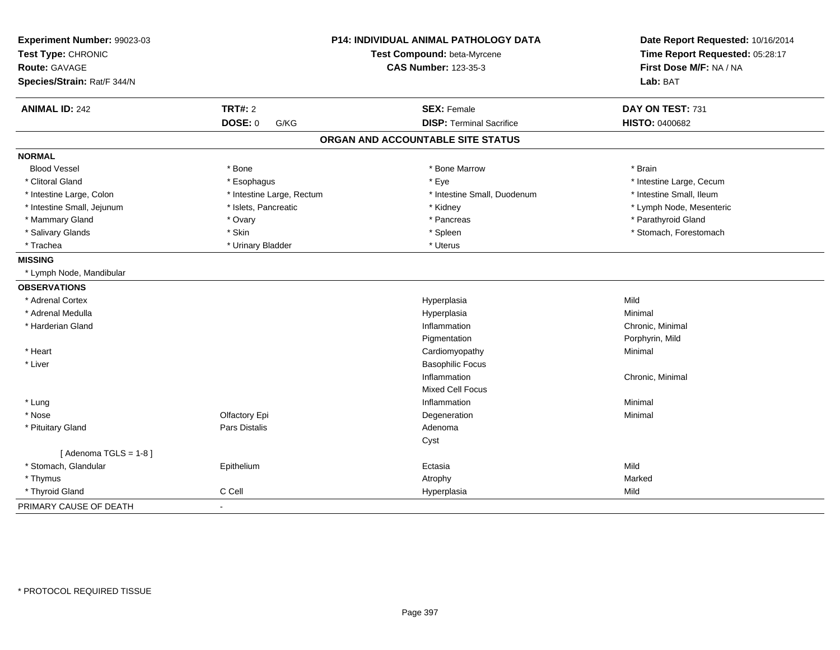| Experiment Number: 99023-03 |                           | P14: INDIVIDUAL ANIMAL PATHOLOGY DATA | Date Report Requested: 10/16/2014 |
|-----------------------------|---------------------------|---------------------------------------|-----------------------------------|
| Test Type: CHRONIC          |                           | Test Compound: beta-Myrcene           | Time Report Requested: 05:28:17   |
| <b>Route: GAVAGE</b>        |                           | <b>CAS Number: 123-35-3</b>           | First Dose M/F: NA / NA           |
| Species/Strain: Rat/F 344/N |                           |                                       | Lab: BAT                          |
| <b>ANIMAL ID: 242</b>       | <b>TRT#: 2</b>            | <b>SEX: Female</b>                    | DAY ON TEST: 731                  |
|                             | <b>DOSE: 0</b><br>G/KG    | <b>DISP: Terminal Sacrifice</b>       | HISTO: 0400682                    |
|                             |                           | ORGAN AND ACCOUNTABLE SITE STATUS     |                                   |
| <b>NORMAL</b>               |                           |                                       |                                   |
| <b>Blood Vessel</b>         | * Bone                    | * Bone Marrow                         | * Brain                           |
| * Clitoral Gland            | * Esophagus               | * Eye                                 | * Intestine Large, Cecum          |
| * Intestine Large, Colon    | * Intestine Large, Rectum | * Intestine Small, Duodenum           | * Intestine Small, Ileum          |
| * Intestine Small, Jejunum  | * Islets, Pancreatic      | * Kidney                              | * Lymph Node, Mesenteric          |
| * Mammary Gland             | * Ovary                   | * Pancreas                            | * Parathyroid Gland               |
| * Salivary Glands           | * Skin                    | * Spleen                              | * Stomach, Forestomach            |
| * Trachea                   | * Urinary Bladder         | * Uterus                              |                                   |
| <b>MISSING</b>              |                           |                                       |                                   |
| * Lymph Node, Mandibular    |                           |                                       |                                   |
| <b>OBSERVATIONS</b>         |                           |                                       |                                   |
| * Adrenal Cortex            |                           | Hyperplasia                           | Mild                              |
| * Adrenal Medulla           |                           | Hyperplasia                           | Minimal                           |
| * Harderian Gland           |                           | Inflammation                          | Chronic, Minimal                  |
|                             |                           | Pigmentation                          | Porphyrin, Mild                   |
| * Heart                     |                           | Cardiomyopathy                        | Minimal                           |
| * Liver                     |                           | <b>Basophilic Focus</b>               |                                   |
|                             |                           | Inflammation                          | Chronic, Minimal                  |
|                             |                           | Mixed Cell Focus                      |                                   |
| * Lung                      |                           | Inflammation                          | Minimal                           |
| * Nose                      | Olfactory Epi             | Degeneration                          | Minimal                           |
| * Pituitary Gland           | Pars Distalis             | Adenoma                               |                                   |
|                             |                           | Cyst                                  |                                   |
| [Adenoma TGLS = $1-8$ ]     |                           |                                       |                                   |
| * Stomach, Glandular        | Epithelium                | Ectasia                               | Mild                              |
| * Thymus                    |                           | Atrophy                               | Marked                            |
| * Thyroid Gland             | C Cell                    | Hyperplasia                           | Mild                              |
| PRIMARY CAUSE OF DEATH      | $\blacksquare$            |                                       |                                   |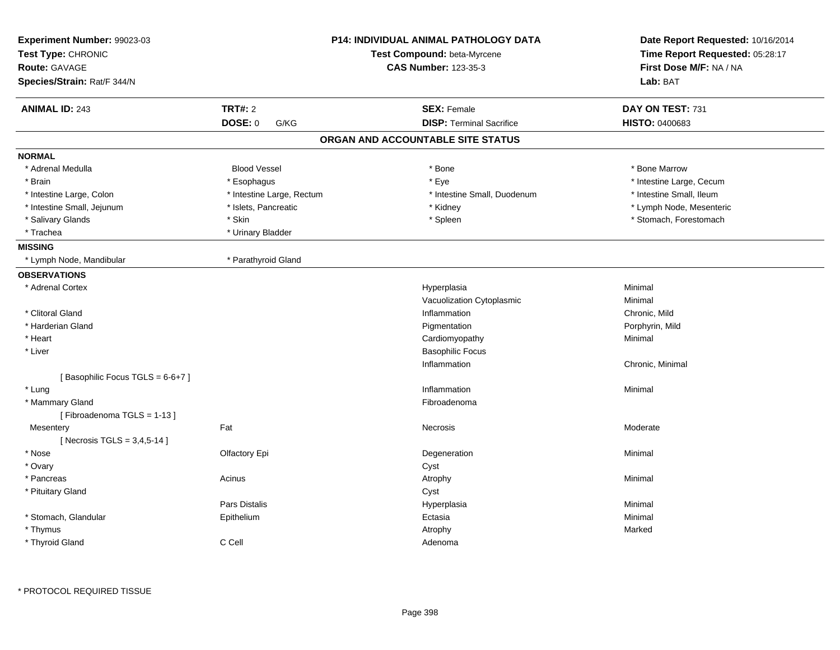| Experiment Number: 99023-03<br>Test Type: CHRONIC |                           | <b>P14: INDIVIDUAL ANIMAL PATHOLOGY DATA</b><br>Test Compound: beta-Myrcene | Date Report Requested: 10/16/2014<br>Time Report Requested: 05:28:17 |
|---------------------------------------------------|---------------------------|-----------------------------------------------------------------------------|----------------------------------------------------------------------|
| Route: GAVAGE                                     |                           | <b>CAS Number: 123-35-3</b>                                                 | First Dose M/F: NA / NA                                              |
| Species/Strain: Rat/F 344/N                       |                           |                                                                             | Lab: BAT                                                             |
| <b>ANIMAL ID: 243</b>                             | <b>TRT#: 2</b>            | <b>SEX: Female</b>                                                          | DAY ON TEST: 731                                                     |
|                                                   | DOSE: 0<br>G/KG           | <b>DISP: Terminal Sacrifice</b>                                             | HISTO: 0400683                                                       |
|                                                   |                           | ORGAN AND ACCOUNTABLE SITE STATUS                                           |                                                                      |
| <b>NORMAL</b>                                     |                           |                                                                             |                                                                      |
| * Adrenal Medulla                                 | <b>Blood Vessel</b>       | * Bone                                                                      | * Bone Marrow                                                        |
| * Brain                                           | * Esophagus               | * Eye                                                                       | * Intestine Large, Cecum                                             |
| * Intestine Large, Colon                          | * Intestine Large, Rectum | * Intestine Small, Duodenum                                                 | * Intestine Small, Ileum                                             |
| * Intestine Small, Jejunum                        | * Islets, Pancreatic      | * Kidney                                                                    | * Lymph Node, Mesenteric                                             |
| * Salivary Glands                                 | * Skin                    | * Spleen                                                                    | * Stomach, Forestomach                                               |
| * Trachea                                         | * Urinary Bladder         |                                                                             |                                                                      |
| <b>MISSING</b>                                    |                           |                                                                             |                                                                      |
| * Lymph Node, Mandibular                          | * Parathyroid Gland       |                                                                             |                                                                      |
| <b>OBSERVATIONS</b>                               |                           |                                                                             |                                                                      |
| * Adrenal Cortex                                  |                           | Hyperplasia                                                                 | Minimal                                                              |
|                                                   |                           | Vacuolization Cytoplasmic                                                   | Minimal                                                              |
| * Clitoral Gland                                  |                           | Inflammation                                                                | Chronic, Mild                                                        |
| * Harderian Gland                                 |                           | Pigmentation                                                                | Porphyrin, Mild                                                      |
| * Heart                                           |                           | Cardiomyopathy                                                              | Minimal                                                              |
| * Liver                                           |                           | <b>Basophilic Focus</b>                                                     |                                                                      |
|                                                   |                           | Inflammation                                                                | Chronic, Minimal                                                     |
| [Basophilic Focus TGLS = 6-6+7]                   |                           |                                                                             |                                                                      |
| * Lung                                            |                           | Inflammation                                                                | Minimal                                                              |
| * Mammary Gland                                   |                           | Fibroadenoma                                                                |                                                                      |
| [Fibroadenoma TGLS = 1-13]                        |                           |                                                                             |                                                                      |
| Mesentery                                         | Fat                       | Necrosis                                                                    | Moderate                                                             |
| [Necrosis TGLS = 3,4,5-14]                        |                           |                                                                             |                                                                      |
| * Nose                                            | Olfactory Epi             | Degeneration                                                                | Minimal                                                              |
| * Ovary                                           |                           | Cyst                                                                        |                                                                      |
| * Pancreas                                        | Acinus                    | Atrophy                                                                     | Minimal                                                              |
| * Pituitary Gland                                 |                           | Cyst                                                                        |                                                                      |
|                                                   | Pars Distalis             | Hyperplasia                                                                 | Minimal                                                              |
| * Stomach, Glandular                              | Epithelium                | Ectasia                                                                     | Minimal                                                              |
| * Thymus                                          |                           | Atrophy                                                                     | Marked                                                               |
| * Thyroid Gland                                   | C Cell                    | Adenoma                                                                     |                                                                      |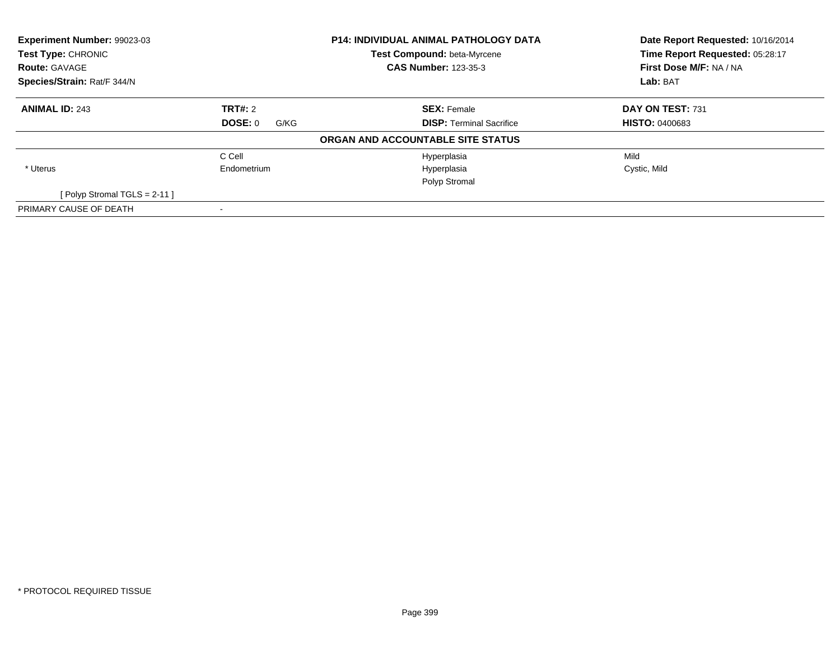| Experiment Number: 99023-03<br>Test Type: CHRONIC<br><b>Route: GAVAGE</b> |                 | <b>P14: INDIVIDUAL ANIMAL PATHOLOGY DATA</b><br>Test Compound: beta-Myrcene<br><b>CAS Number: 123-35-3</b> | Date Report Requested: 10/16/2014<br>Time Report Requested: 05:28:17<br>First Dose M/F: NA / NA |
|---------------------------------------------------------------------------|-----------------|------------------------------------------------------------------------------------------------------------|-------------------------------------------------------------------------------------------------|
| Species/Strain: Rat/F 344/N                                               |                 |                                                                                                            | Lab: BAT                                                                                        |
| <b>ANIMAL ID: 243</b>                                                     | TRT#: 2         | <b>SEX: Female</b>                                                                                         | DAY ON TEST: 731                                                                                |
|                                                                           | DOSE: 0<br>G/KG | <b>DISP:</b> Terminal Sacrifice                                                                            | <b>HISTO: 0400683</b>                                                                           |
|                                                                           |                 | ORGAN AND ACCOUNTABLE SITE STATUS                                                                          |                                                                                                 |
|                                                                           | C Cell          | Hyperplasia                                                                                                | Mild                                                                                            |
| * Uterus                                                                  | Endometrium     | Hyperplasia                                                                                                | Cystic, Mild                                                                                    |
|                                                                           |                 | Polyp Stromal                                                                                              |                                                                                                 |
| [Polyp Stromal TGLS = $2-11$ ]                                            |                 |                                                                                                            |                                                                                                 |
| PRIMARY CAUSE OF DEATH                                                    |                 |                                                                                                            |                                                                                                 |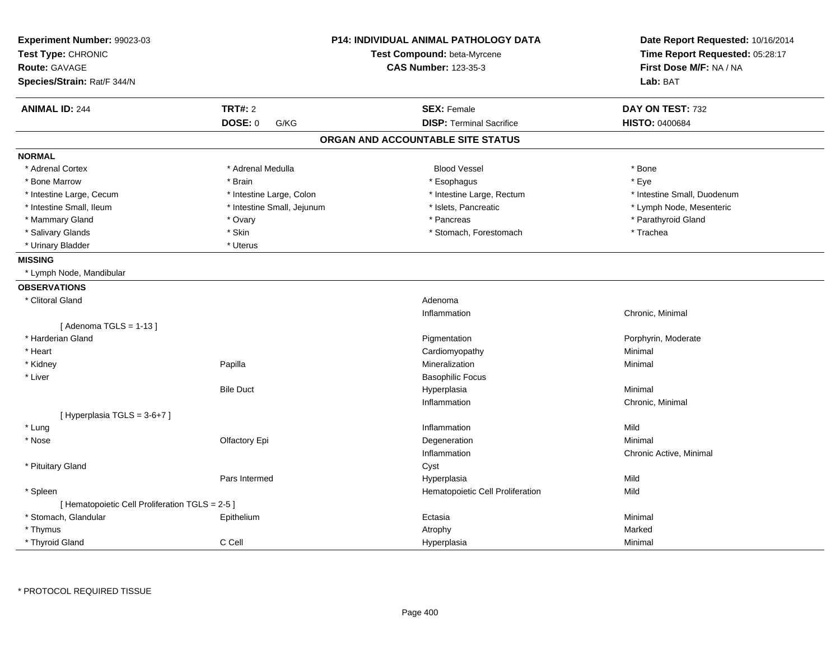| Experiment Number: 99023-03<br>Test Type: CHRONIC<br><b>Route: GAVAGE</b> |                            | <b>P14: INDIVIDUAL ANIMAL PATHOLOGY DATA</b><br>Test Compound: beta-Myrcene<br><b>CAS Number: 123-35-3</b> | Date Report Requested: 10/16/2014<br>Time Report Requested: 05:28:17<br>First Dose M/F: NA / NA |
|---------------------------------------------------------------------------|----------------------------|------------------------------------------------------------------------------------------------------------|-------------------------------------------------------------------------------------------------|
| Species/Strain: Rat/F 344/N                                               |                            |                                                                                                            | Lab: BAT                                                                                        |
| <b>ANIMAL ID: 244</b>                                                     | <b>TRT#: 2</b>             | <b>SEX: Female</b>                                                                                         | DAY ON TEST: 732                                                                                |
|                                                                           | <b>DOSE: 0</b><br>G/KG     | <b>DISP: Terminal Sacrifice</b>                                                                            | <b>HISTO: 0400684</b>                                                                           |
|                                                                           |                            | ORGAN AND ACCOUNTABLE SITE STATUS                                                                          |                                                                                                 |
| <b>NORMAL</b>                                                             |                            |                                                                                                            |                                                                                                 |
| * Adrenal Cortex                                                          | * Adrenal Medulla          | <b>Blood Vessel</b>                                                                                        | * Bone                                                                                          |
| * Bone Marrow                                                             | * Brain                    | * Esophagus                                                                                                | * Eye                                                                                           |
| * Intestine Large, Cecum                                                  | * Intestine Large, Colon   | * Intestine Large, Rectum                                                                                  | * Intestine Small, Duodenum                                                                     |
| * Intestine Small, Ileum                                                  | * Intestine Small, Jejunum | * Islets, Pancreatic                                                                                       | * Lymph Node, Mesenteric                                                                        |
| * Mammary Gland                                                           | * Ovary                    | * Pancreas                                                                                                 | * Parathyroid Gland                                                                             |
| * Salivary Glands                                                         | * Skin                     | * Stomach, Forestomach                                                                                     | * Trachea                                                                                       |
| * Urinary Bladder                                                         | * Uterus                   |                                                                                                            |                                                                                                 |
| <b>MISSING</b>                                                            |                            |                                                                                                            |                                                                                                 |
| * Lymph Node, Mandibular                                                  |                            |                                                                                                            |                                                                                                 |
| <b>OBSERVATIONS</b>                                                       |                            |                                                                                                            |                                                                                                 |
| * Clitoral Gland                                                          |                            | Adenoma                                                                                                    |                                                                                                 |
|                                                                           |                            | Inflammation                                                                                               | Chronic, Minimal                                                                                |
| [Adenoma TGLS = $1-13$ ]                                                  |                            |                                                                                                            |                                                                                                 |
| * Harderian Gland                                                         |                            | Pigmentation                                                                                               | Porphyrin, Moderate                                                                             |
| * Heart                                                                   |                            | Cardiomyopathy                                                                                             | Minimal                                                                                         |
| * Kidney                                                                  | Papilla                    | Mineralization                                                                                             | Minimal                                                                                         |
| * Liver                                                                   |                            | <b>Basophilic Focus</b>                                                                                    |                                                                                                 |
|                                                                           | <b>Bile Duct</b>           | Hyperplasia                                                                                                | Minimal                                                                                         |
|                                                                           |                            | Inflammation                                                                                               | Chronic, Minimal                                                                                |
| [Hyperplasia TGLS = 3-6+7]                                                |                            |                                                                                                            |                                                                                                 |
| * Lung                                                                    |                            | Inflammation                                                                                               | Mild                                                                                            |
| * Nose                                                                    | Olfactory Epi              | Degeneration                                                                                               | Minimal                                                                                         |
|                                                                           |                            | Inflammation                                                                                               | Chronic Active, Minimal                                                                         |
| * Pituitary Gland                                                         |                            | Cyst                                                                                                       |                                                                                                 |
|                                                                           | Pars Intermed              | Hyperplasia                                                                                                | Mild                                                                                            |
| * Spleen                                                                  |                            | Hematopoietic Cell Proliferation                                                                           | Mild                                                                                            |
| [ Hematopoietic Cell Proliferation TGLS = 2-5 ]                           |                            |                                                                                                            |                                                                                                 |
| * Stomach, Glandular                                                      | Epithelium                 | Ectasia                                                                                                    | Minimal                                                                                         |
| * Thymus                                                                  |                            | Atrophy                                                                                                    | Marked                                                                                          |
| * Thyroid Gland                                                           | C Cell                     | Hyperplasia                                                                                                | Minimal                                                                                         |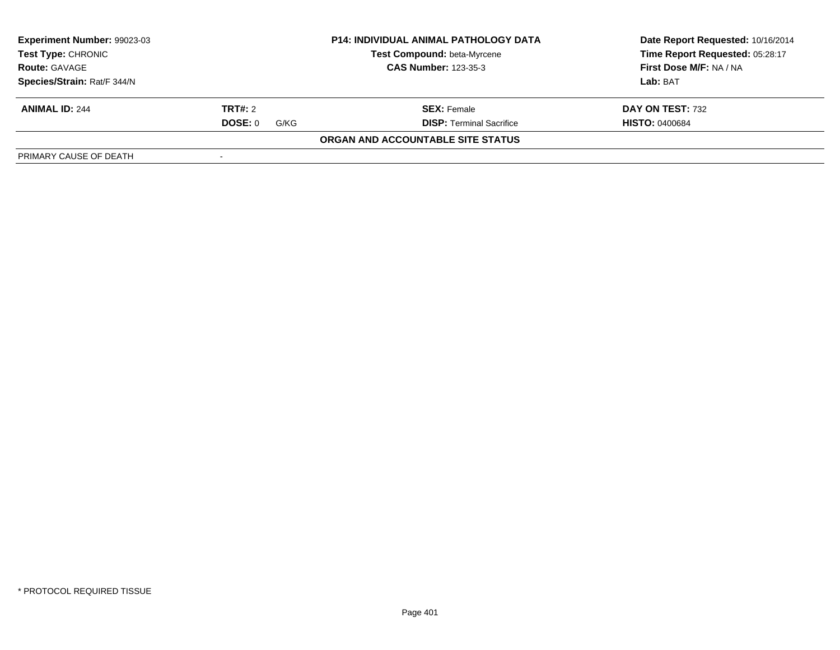| Experiment Number: 99023-03                       |                 | <b>P14: INDIVIDUAL ANIMAL PATHOLOGY DATA</b> | Date Report Requested: 10/16/2014 |  |
|---------------------------------------------------|-----------------|----------------------------------------------|-----------------------------------|--|
| <b>Test Type: CHRONIC</b><br><b>Route: GAVAGE</b> |                 | Test Compound: beta-Myrcene                  | Time Report Requested: 05:28:17   |  |
|                                                   |                 | <b>CAS Number: 123-35-3</b>                  | First Dose M/F: NA / NA           |  |
| Species/Strain: Rat/F 344/N                       |                 |                                              | Lab: BAT                          |  |
| <b>ANIMAL ID: 244</b>                             | TRT#: 2         | <b>SEX: Female</b>                           | DAY ON TEST: 732                  |  |
|                                                   | DOSE: 0<br>G/KG | <b>DISP: Terminal Sacrifice</b>              | <b>HISTO: 0400684</b>             |  |
|                                                   |                 | ORGAN AND ACCOUNTABLE SITE STATUS            |                                   |  |
| PRIMARY CAUSE OF DEATH                            |                 |                                              |                                   |  |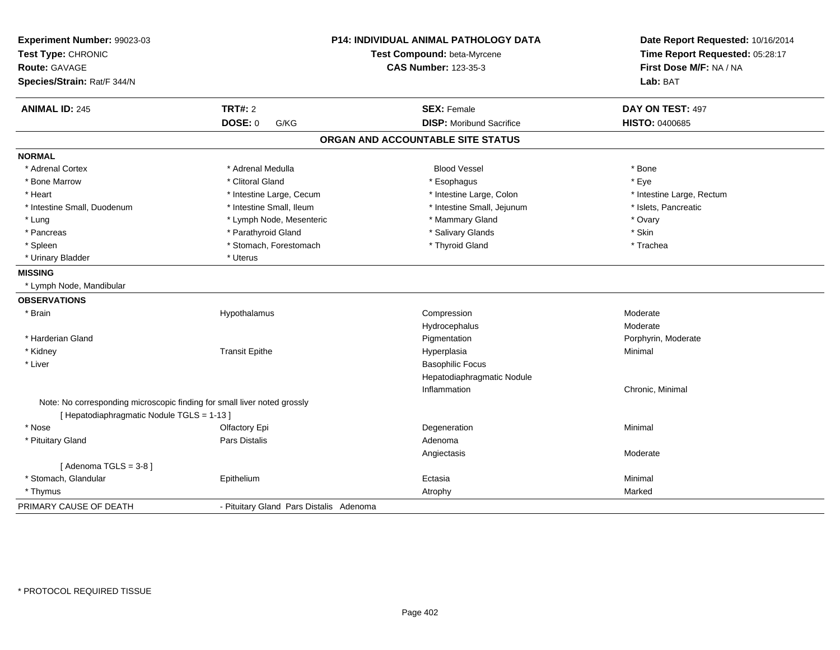| Experiment Number: 99023-03<br>Test Type: CHRONIC<br>Route: GAVAGE<br>Species/Strain: Rat/F 344/N |                                         | <b>P14: INDIVIDUAL ANIMAL PATHOLOGY DATA</b><br>Test Compound: beta-Myrcene<br><b>CAS Number: 123-35-3</b> | Date Report Requested: 10/16/2014<br>Time Report Requested: 05:28:17<br>First Dose M/F: NA / NA<br>Lab: BAT |
|---------------------------------------------------------------------------------------------------|-----------------------------------------|------------------------------------------------------------------------------------------------------------|-------------------------------------------------------------------------------------------------------------|
| <b>ANIMAL ID: 245</b>                                                                             | <b>TRT#: 2</b>                          | <b>SEX: Female</b>                                                                                         | DAY ON TEST: 497                                                                                            |
|                                                                                                   | <b>DOSE: 0</b><br>G/KG                  | <b>DISP:</b> Moribund Sacrifice                                                                            | HISTO: 0400685                                                                                              |
|                                                                                                   |                                         | ORGAN AND ACCOUNTABLE SITE STATUS                                                                          |                                                                                                             |
| <b>NORMAL</b>                                                                                     |                                         |                                                                                                            |                                                                                                             |
| * Adrenal Cortex                                                                                  | * Adrenal Medulla                       | <b>Blood Vessel</b>                                                                                        | * Bone                                                                                                      |
| * Bone Marrow                                                                                     | * Clitoral Gland                        | * Esophagus                                                                                                | * Eye                                                                                                       |
| * Heart                                                                                           | * Intestine Large, Cecum                | * Intestine Large, Colon                                                                                   | * Intestine Large, Rectum                                                                                   |
| * Intestine Small, Duodenum                                                                       | * Intestine Small, Ileum                | * Intestine Small, Jejunum                                                                                 | * Islets, Pancreatic                                                                                        |
| * Lung                                                                                            | * Lymph Node, Mesenteric                | * Mammary Gland                                                                                            | * Ovary                                                                                                     |
| * Pancreas                                                                                        | * Parathyroid Gland                     | * Salivary Glands                                                                                          | * Skin                                                                                                      |
| * Spleen                                                                                          | * Stomach, Forestomach                  | * Thyroid Gland                                                                                            | * Trachea                                                                                                   |
| * Urinary Bladder                                                                                 | * Uterus                                |                                                                                                            |                                                                                                             |
| <b>MISSING</b>                                                                                    |                                         |                                                                                                            |                                                                                                             |
| * Lymph Node, Mandibular                                                                          |                                         |                                                                                                            |                                                                                                             |
| <b>OBSERVATIONS</b>                                                                               |                                         |                                                                                                            |                                                                                                             |
| * Brain                                                                                           | Hypothalamus                            | Compression                                                                                                | Moderate                                                                                                    |
|                                                                                                   |                                         | Hydrocephalus                                                                                              | Moderate                                                                                                    |
| * Harderian Gland                                                                                 |                                         | Pigmentation                                                                                               | Porphyrin, Moderate                                                                                         |
| * Kidney                                                                                          | <b>Transit Epithe</b>                   | Hyperplasia                                                                                                | Minimal                                                                                                     |
| * Liver                                                                                           |                                         | <b>Basophilic Focus</b>                                                                                    |                                                                                                             |
|                                                                                                   |                                         | Hepatodiaphragmatic Nodule                                                                                 |                                                                                                             |
|                                                                                                   |                                         | Inflammation                                                                                               | Chronic, Minimal                                                                                            |
| Note: No corresponding microscopic finding for small liver noted grossly                          |                                         |                                                                                                            |                                                                                                             |
| [Hepatodiaphragmatic Nodule TGLS = 1-13]                                                          |                                         |                                                                                                            |                                                                                                             |
| * Nose                                                                                            | Olfactory Epi                           | Degeneration                                                                                               | Minimal                                                                                                     |
| * Pituitary Gland                                                                                 | Pars Distalis                           | Adenoma                                                                                                    |                                                                                                             |
|                                                                                                   |                                         | Angiectasis                                                                                                | Moderate                                                                                                    |
| [Adenoma TGLS = $3-8$ ]                                                                           |                                         |                                                                                                            |                                                                                                             |
| * Stomach, Glandular                                                                              | Epithelium                              | Ectasia                                                                                                    | Minimal                                                                                                     |
| * Thymus                                                                                          |                                         | Atrophy                                                                                                    | Marked                                                                                                      |
| PRIMARY CAUSE OF DEATH                                                                            | - Pituitary Gland Pars Distalis Adenoma |                                                                                                            |                                                                                                             |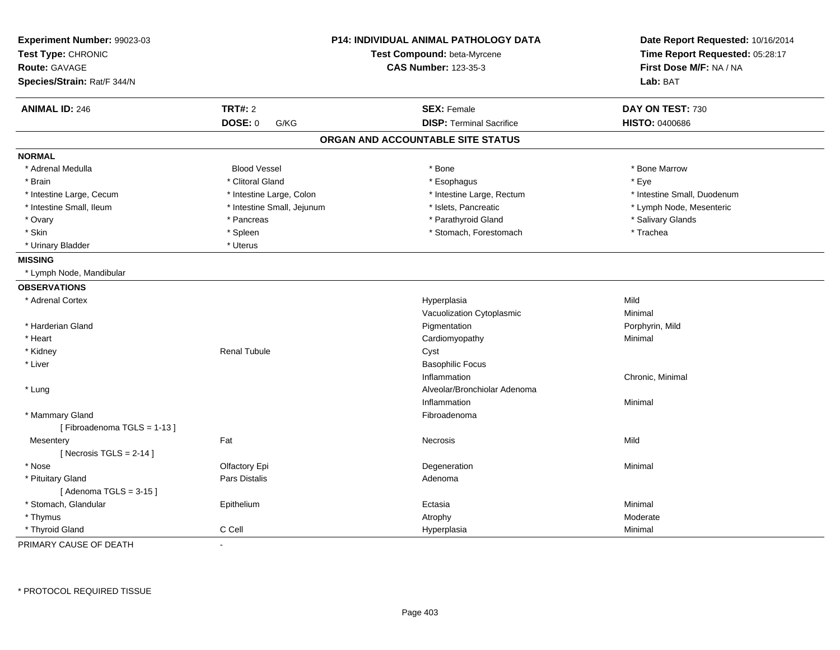| <b>TRT#: 2</b><br><b>ANIMAL ID: 246</b><br><b>SEX: Female</b><br>DAY ON TEST: 730<br>DOSE: 0<br><b>DISP: Terminal Sacrifice</b><br><b>HISTO: 0400686</b><br>G/KG<br>ORGAN AND ACCOUNTABLE SITE STATUS<br><b>NORMAL</b><br>* Adrenal Medulla<br><b>Blood Vessel</b><br>* Bone<br>* Bone Marrow<br>* Clitoral Gland<br>* Esophagus<br>* Eye<br>* Brain<br>* Intestine Large, Colon<br>* Intestine Large, Rectum<br>* Intestine Small, Duodenum<br>* Intestine Large, Cecum<br>* Intestine Small, Ileum<br>* Intestine Small, Jejunum<br>* Islets, Pancreatic<br>* Lymph Node, Mesenteric<br>* Parathyroid Gland<br>* Salivary Glands<br>* Ovary<br>* Pancreas<br>* Skin<br>* Spleen<br>* Stomach, Forestomach<br>* Trachea<br>* Urinary Bladder<br>* Uterus<br><b>MISSING</b><br>* Lymph Node, Mandibular<br><b>OBSERVATIONS</b><br>Mild<br>* Adrenal Cortex<br>Hyperplasia<br>Vacuolization Cytoplasmic<br>Minimal<br>* Harderian Gland<br>Pigmentation<br>Porphyrin, Mild<br>* Heart<br>Cardiomyopathy<br>Minimal<br>* Kidney<br><b>Renal Tubule</b><br>Cyst<br>* Liver<br><b>Basophilic Focus</b><br>Inflammation<br>Chronic, Minimal<br>Alveolar/Bronchiolar Adenoma<br>* Lung<br>Inflammation<br>Minimal<br>* Mammary Gland<br>Fibroadenoma<br>[Fibroadenoma TGLS = 1-13]<br>Fat<br>Mild<br>Mesentery<br>Necrosis<br>[ Necrosis TGLS = $2-14$ ]<br>* Nose<br>Olfactory Epi<br>Degeneration<br>Minimal<br>* Pituitary Gland<br>Pars Distalis<br>Adenoma<br>[Adenoma TGLS = $3-15$ ]<br>* Stomach, Glandular<br>Minimal<br>Epithelium<br>Ectasia<br>* Thymus<br>Atrophy<br>Moderate<br>* Thyroid Gland<br>C Cell<br>Hyperplasia<br>Minimal | Experiment Number: 99023-03<br>Test Type: CHRONIC<br><b>Route: GAVAGE</b><br>Species/Strain: Rat/F 344/N |                          | <b>P14: INDIVIDUAL ANIMAL PATHOLOGY DATA</b><br>Test Compound: beta-Myrcene<br><b>CAS Number: 123-35-3</b> | Date Report Requested: 10/16/2014<br>Time Report Requested: 05:28:17<br>First Dose M/F: NA / NA<br>Lab: BAT |
|---------------------------------------------------------------------------------------------------------------------------------------------------------------------------------------------------------------------------------------------------------------------------------------------------------------------------------------------------------------------------------------------------------------------------------------------------------------------------------------------------------------------------------------------------------------------------------------------------------------------------------------------------------------------------------------------------------------------------------------------------------------------------------------------------------------------------------------------------------------------------------------------------------------------------------------------------------------------------------------------------------------------------------------------------------------------------------------------------------------------------------------------------------------------------------------------------------------------------------------------------------------------------------------------------------------------------------------------------------------------------------------------------------------------------------------------------------------------------------------------------------------------------------------------------------------------------------------------------------------------------------------------|----------------------------------------------------------------------------------------------------------|--------------------------|------------------------------------------------------------------------------------------------------------|-------------------------------------------------------------------------------------------------------------|
|                                                                                                                                                                                                                                                                                                                                                                                                                                                                                                                                                                                                                                                                                                                                                                                                                                                                                                                                                                                                                                                                                                                                                                                                                                                                                                                                                                                                                                                                                                                                                                                                                                             |                                                                                                          |                          |                                                                                                            |                                                                                                             |
|                                                                                                                                                                                                                                                                                                                                                                                                                                                                                                                                                                                                                                                                                                                                                                                                                                                                                                                                                                                                                                                                                                                                                                                                                                                                                                                                                                                                                                                                                                                                                                                                                                             |                                                                                                          |                          |                                                                                                            |                                                                                                             |
|                                                                                                                                                                                                                                                                                                                                                                                                                                                                                                                                                                                                                                                                                                                                                                                                                                                                                                                                                                                                                                                                                                                                                                                                                                                                                                                                                                                                                                                                                                                                                                                                                                             |                                                                                                          |                          |                                                                                                            |                                                                                                             |
|                                                                                                                                                                                                                                                                                                                                                                                                                                                                                                                                                                                                                                                                                                                                                                                                                                                                                                                                                                                                                                                                                                                                                                                                                                                                                                                                                                                                                                                                                                                                                                                                                                             |                                                                                                          |                          |                                                                                                            |                                                                                                             |
|                                                                                                                                                                                                                                                                                                                                                                                                                                                                                                                                                                                                                                                                                                                                                                                                                                                                                                                                                                                                                                                                                                                                                                                                                                                                                                                                                                                                                                                                                                                                                                                                                                             |                                                                                                          |                          |                                                                                                            |                                                                                                             |
|                                                                                                                                                                                                                                                                                                                                                                                                                                                                                                                                                                                                                                                                                                                                                                                                                                                                                                                                                                                                                                                                                                                                                                                                                                                                                                                                                                                                                                                                                                                                                                                                                                             |                                                                                                          |                          |                                                                                                            |                                                                                                             |
|                                                                                                                                                                                                                                                                                                                                                                                                                                                                                                                                                                                                                                                                                                                                                                                                                                                                                                                                                                                                                                                                                                                                                                                                                                                                                                                                                                                                                                                                                                                                                                                                                                             |                                                                                                          |                          |                                                                                                            |                                                                                                             |
|                                                                                                                                                                                                                                                                                                                                                                                                                                                                                                                                                                                                                                                                                                                                                                                                                                                                                                                                                                                                                                                                                                                                                                                                                                                                                                                                                                                                                                                                                                                                                                                                                                             |                                                                                                          |                          |                                                                                                            |                                                                                                             |
|                                                                                                                                                                                                                                                                                                                                                                                                                                                                                                                                                                                                                                                                                                                                                                                                                                                                                                                                                                                                                                                                                                                                                                                                                                                                                                                                                                                                                                                                                                                                                                                                                                             |                                                                                                          |                          |                                                                                                            |                                                                                                             |
|                                                                                                                                                                                                                                                                                                                                                                                                                                                                                                                                                                                                                                                                                                                                                                                                                                                                                                                                                                                                                                                                                                                                                                                                                                                                                                                                                                                                                                                                                                                                                                                                                                             |                                                                                                          |                          |                                                                                                            |                                                                                                             |
|                                                                                                                                                                                                                                                                                                                                                                                                                                                                                                                                                                                                                                                                                                                                                                                                                                                                                                                                                                                                                                                                                                                                                                                                                                                                                                                                                                                                                                                                                                                                                                                                                                             |                                                                                                          |                          |                                                                                                            |                                                                                                             |
|                                                                                                                                                                                                                                                                                                                                                                                                                                                                                                                                                                                                                                                                                                                                                                                                                                                                                                                                                                                                                                                                                                                                                                                                                                                                                                                                                                                                                                                                                                                                                                                                                                             |                                                                                                          |                          |                                                                                                            |                                                                                                             |
|                                                                                                                                                                                                                                                                                                                                                                                                                                                                                                                                                                                                                                                                                                                                                                                                                                                                                                                                                                                                                                                                                                                                                                                                                                                                                                                                                                                                                                                                                                                                                                                                                                             |                                                                                                          |                          |                                                                                                            |                                                                                                             |
|                                                                                                                                                                                                                                                                                                                                                                                                                                                                                                                                                                                                                                                                                                                                                                                                                                                                                                                                                                                                                                                                                                                                                                                                                                                                                                                                                                                                                                                                                                                                                                                                                                             |                                                                                                          |                          |                                                                                                            |                                                                                                             |
|                                                                                                                                                                                                                                                                                                                                                                                                                                                                                                                                                                                                                                                                                                                                                                                                                                                                                                                                                                                                                                                                                                                                                                                                                                                                                                                                                                                                                                                                                                                                                                                                                                             |                                                                                                          |                          |                                                                                                            |                                                                                                             |
|                                                                                                                                                                                                                                                                                                                                                                                                                                                                                                                                                                                                                                                                                                                                                                                                                                                                                                                                                                                                                                                                                                                                                                                                                                                                                                                                                                                                                                                                                                                                                                                                                                             |                                                                                                          |                          |                                                                                                            |                                                                                                             |
|                                                                                                                                                                                                                                                                                                                                                                                                                                                                                                                                                                                                                                                                                                                                                                                                                                                                                                                                                                                                                                                                                                                                                                                                                                                                                                                                                                                                                                                                                                                                                                                                                                             |                                                                                                          |                          |                                                                                                            |                                                                                                             |
|                                                                                                                                                                                                                                                                                                                                                                                                                                                                                                                                                                                                                                                                                                                                                                                                                                                                                                                                                                                                                                                                                                                                                                                                                                                                                                                                                                                                                                                                                                                                                                                                                                             |                                                                                                          |                          |                                                                                                            |                                                                                                             |
|                                                                                                                                                                                                                                                                                                                                                                                                                                                                                                                                                                                                                                                                                                                                                                                                                                                                                                                                                                                                                                                                                                                                                                                                                                                                                                                                                                                                                                                                                                                                                                                                                                             |                                                                                                          |                          |                                                                                                            |                                                                                                             |
|                                                                                                                                                                                                                                                                                                                                                                                                                                                                                                                                                                                                                                                                                                                                                                                                                                                                                                                                                                                                                                                                                                                                                                                                                                                                                                                                                                                                                                                                                                                                                                                                                                             |                                                                                                          |                          |                                                                                                            |                                                                                                             |
|                                                                                                                                                                                                                                                                                                                                                                                                                                                                                                                                                                                                                                                                                                                                                                                                                                                                                                                                                                                                                                                                                                                                                                                                                                                                                                                                                                                                                                                                                                                                                                                                                                             |                                                                                                          |                          |                                                                                                            |                                                                                                             |
|                                                                                                                                                                                                                                                                                                                                                                                                                                                                                                                                                                                                                                                                                                                                                                                                                                                                                                                                                                                                                                                                                                                                                                                                                                                                                                                                                                                                                                                                                                                                                                                                                                             |                                                                                                          |                          |                                                                                                            |                                                                                                             |
|                                                                                                                                                                                                                                                                                                                                                                                                                                                                                                                                                                                                                                                                                                                                                                                                                                                                                                                                                                                                                                                                                                                                                                                                                                                                                                                                                                                                                                                                                                                                                                                                                                             |                                                                                                          |                          |                                                                                                            |                                                                                                             |
|                                                                                                                                                                                                                                                                                                                                                                                                                                                                                                                                                                                                                                                                                                                                                                                                                                                                                                                                                                                                                                                                                                                                                                                                                                                                                                                                                                                                                                                                                                                                                                                                                                             |                                                                                                          |                          |                                                                                                            |                                                                                                             |
|                                                                                                                                                                                                                                                                                                                                                                                                                                                                                                                                                                                                                                                                                                                                                                                                                                                                                                                                                                                                                                                                                                                                                                                                                                                                                                                                                                                                                                                                                                                                                                                                                                             |                                                                                                          |                          |                                                                                                            |                                                                                                             |
|                                                                                                                                                                                                                                                                                                                                                                                                                                                                                                                                                                                                                                                                                                                                                                                                                                                                                                                                                                                                                                                                                                                                                                                                                                                                                                                                                                                                                                                                                                                                                                                                                                             |                                                                                                          |                          |                                                                                                            |                                                                                                             |
|                                                                                                                                                                                                                                                                                                                                                                                                                                                                                                                                                                                                                                                                                                                                                                                                                                                                                                                                                                                                                                                                                                                                                                                                                                                                                                                                                                                                                                                                                                                                                                                                                                             |                                                                                                          |                          |                                                                                                            |                                                                                                             |
|                                                                                                                                                                                                                                                                                                                                                                                                                                                                                                                                                                                                                                                                                                                                                                                                                                                                                                                                                                                                                                                                                                                                                                                                                                                                                                                                                                                                                                                                                                                                                                                                                                             |                                                                                                          |                          |                                                                                                            |                                                                                                             |
|                                                                                                                                                                                                                                                                                                                                                                                                                                                                                                                                                                                                                                                                                                                                                                                                                                                                                                                                                                                                                                                                                                                                                                                                                                                                                                                                                                                                                                                                                                                                                                                                                                             |                                                                                                          |                          |                                                                                                            |                                                                                                             |
|                                                                                                                                                                                                                                                                                                                                                                                                                                                                                                                                                                                                                                                                                                                                                                                                                                                                                                                                                                                                                                                                                                                                                                                                                                                                                                                                                                                                                                                                                                                                                                                                                                             |                                                                                                          |                          |                                                                                                            |                                                                                                             |
|                                                                                                                                                                                                                                                                                                                                                                                                                                                                                                                                                                                                                                                                                                                                                                                                                                                                                                                                                                                                                                                                                                                                                                                                                                                                                                                                                                                                                                                                                                                                                                                                                                             |                                                                                                          |                          |                                                                                                            |                                                                                                             |
|                                                                                                                                                                                                                                                                                                                                                                                                                                                                                                                                                                                                                                                                                                                                                                                                                                                                                                                                                                                                                                                                                                                                                                                                                                                                                                                                                                                                                                                                                                                                                                                                                                             |                                                                                                          |                          |                                                                                                            |                                                                                                             |
|                                                                                                                                                                                                                                                                                                                                                                                                                                                                                                                                                                                                                                                                                                                                                                                                                                                                                                                                                                                                                                                                                                                                                                                                                                                                                                                                                                                                                                                                                                                                                                                                                                             |                                                                                                          |                          |                                                                                                            |                                                                                                             |
|                                                                                                                                                                                                                                                                                                                                                                                                                                                                                                                                                                                                                                                                                                                                                                                                                                                                                                                                                                                                                                                                                                                                                                                                                                                                                                                                                                                                                                                                                                                                                                                                                                             | PRIMARY CAUSE OF DEATH                                                                                   | $\overline{\phantom{a}}$ |                                                                                                            |                                                                                                             |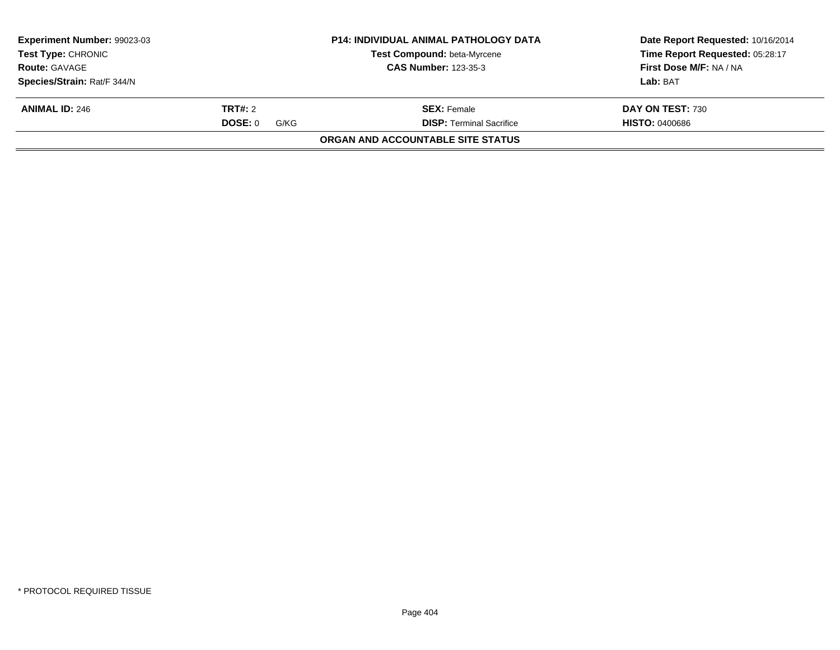| <b>Experiment Number: 99023-03</b><br>Test Type: CHRONIC |                 | <b>P14: INDIVIDUAL ANIMAL PATHOLOGY DATA</b> | Date Report Requested: 10/16/2014 |
|----------------------------------------------------------|-----------------|----------------------------------------------|-----------------------------------|
|                                                          |                 | Test Compound: beta-Myrcene                  | Time Report Requested: 05:28:17   |
| <b>Route: GAVAGE</b>                                     |                 | <b>CAS Number: 123-35-3</b>                  | First Dose M/F: NA / NA           |
| Species/Strain: Rat/F 344/N                              |                 |                                              | Lab: BAT                          |
| <b>ANIMAL ID: 246</b>                                    | TRT#: 2         | <b>SEX:</b> Female                           | DAY ON TEST: 730                  |
|                                                          | DOSE: 0<br>G/KG | <b>DISP: Terminal Sacrifice</b>              | <b>HISTO: 0400686</b>             |
|                                                          |                 | ORGAN AND ACCOUNTABLE SITE STATUS            |                                   |
|                                                          |                 |                                              |                                   |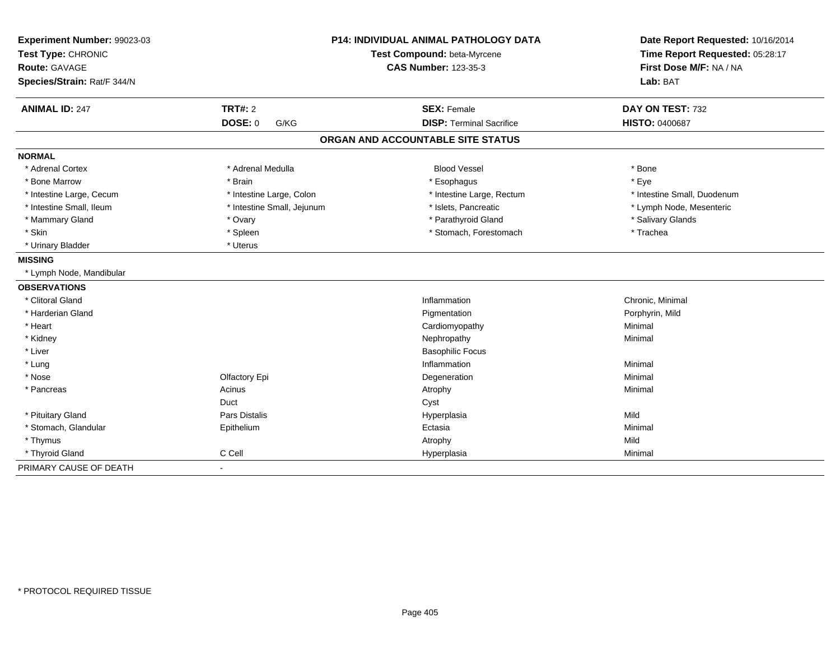| Experiment Number: 99023-03<br>Test Type: CHRONIC |                            | P14: INDIVIDUAL ANIMAL PATHOLOGY DATA<br>Test Compound: beta-Myrcene | Date Report Requested: 10/16/2014<br>Time Report Requested: 05:28:17 |
|---------------------------------------------------|----------------------------|----------------------------------------------------------------------|----------------------------------------------------------------------|
| <b>Route: GAVAGE</b>                              |                            | <b>CAS Number: 123-35-3</b>                                          | First Dose M/F: NA / NA                                              |
| Species/Strain: Rat/F 344/N                       |                            |                                                                      | Lab: BAT                                                             |
| <b>ANIMAL ID: 247</b>                             | <b>TRT#: 2</b>             | <b>SEX: Female</b>                                                   | DAY ON TEST: 732                                                     |
|                                                   | <b>DOSE: 0</b><br>G/KG     | <b>DISP: Terminal Sacrifice</b>                                      | <b>HISTO: 0400687</b>                                                |
|                                                   |                            | ORGAN AND ACCOUNTABLE SITE STATUS                                    |                                                                      |
| <b>NORMAL</b>                                     |                            |                                                                      |                                                                      |
| * Adrenal Cortex                                  | * Adrenal Medulla          | <b>Blood Vessel</b>                                                  | * Bone                                                               |
| * Bone Marrow                                     | * Brain                    | * Esophagus                                                          | * Eye                                                                |
| * Intestine Large, Cecum                          | * Intestine Large, Colon   | * Intestine Large, Rectum                                            | * Intestine Small, Duodenum                                          |
| * Intestine Small. Ileum                          | * Intestine Small, Jejunum | * Islets, Pancreatic                                                 | * Lymph Node, Mesenteric                                             |
| * Mammary Gland                                   | * Ovary                    | * Parathyroid Gland                                                  | * Salivary Glands                                                    |
| * Skin                                            | * Spleen                   | * Stomach, Forestomach                                               | * Trachea                                                            |
| * Urinary Bladder                                 | * Uterus                   |                                                                      |                                                                      |
| <b>MISSING</b>                                    |                            |                                                                      |                                                                      |
| * Lymph Node, Mandibular                          |                            |                                                                      |                                                                      |
| <b>OBSERVATIONS</b>                               |                            |                                                                      |                                                                      |
| * Clitoral Gland                                  |                            | Inflammation                                                         | Chronic, Minimal                                                     |
| * Harderian Gland                                 |                            | Pigmentation                                                         | Porphyrin, Mild                                                      |
| * Heart                                           |                            | Cardiomyopathy                                                       | Minimal                                                              |
| * Kidney                                          |                            | Nephropathy                                                          | Minimal                                                              |
| * Liver                                           |                            | <b>Basophilic Focus</b>                                              |                                                                      |
| * Lung                                            |                            | Inflammation                                                         | Minimal                                                              |
| * Nose                                            | Olfactory Epi              | Degeneration                                                         | Minimal                                                              |
| * Pancreas                                        | Acinus                     | Atrophy                                                              | Minimal                                                              |
|                                                   | Duct                       | Cyst                                                                 |                                                                      |
| * Pituitary Gland                                 | Pars Distalis              | Hyperplasia                                                          | Mild                                                                 |
| * Stomach, Glandular                              | Epithelium                 | Ectasia                                                              | Minimal                                                              |
| * Thymus                                          |                            | Atrophy                                                              | Mild                                                                 |
| * Thyroid Gland                                   | C Cell                     | Hyperplasia                                                          | Minimal                                                              |
| PRIMARY CAUSE OF DEATH                            | $\blacksquare$             |                                                                      |                                                                      |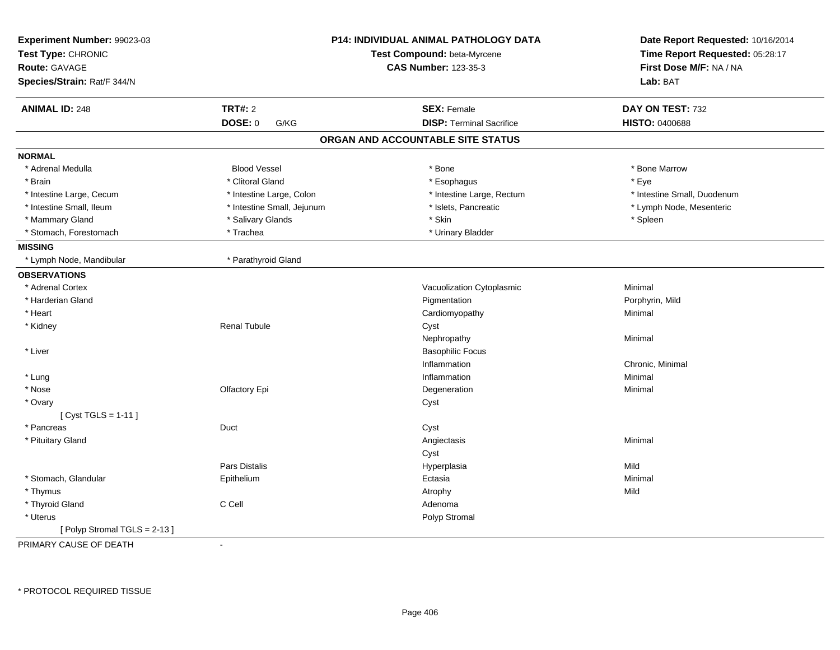| Experiment Number: 99023-03 |                            | P14: INDIVIDUAL ANIMAL PATHOLOGY DATA | Date Report Requested: 10/16/2014 |
|-----------------------------|----------------------------|---------------------------------------|-----------------------------------|
| Test Type: CHRONIC          |                            | Test Compound: beta-Myrcene           | Time Report Requested: 05:28:17   |
| Route: GAVAGE               |                            | <b>CAS Number: 123-35-3</b>           | First Dose M/F: NA / NA           |
| Species/Strain: Rat/F 344/N |                            |                                       | Lab: BAT                          |
| <b>ANIMAL ID: 248</b>       | <b>TRT#: 2</b>             | <b>SEX: Female</b>                    | DAY ON TEST: 732                  |
|                             | <b>DOSE: 0</b><br>G/KG     | <b>DISP: Terminal Sacrifice</b>       | <b>HISTO: 0400688</b>             |
|                             |                            | ORGAN AND ACCOUNTABLE SITE STATUS     |                                   |
| <b>NORMAL</b>               |                            |                                       |                                   |
| * Adrenal Medulla           | <b>Blood Vessel</b>        | * Bone                                | * Bone Marrow                     |
| * Brain                     | * Clitoral Gland           | * Esophagus                           | * Eye                             |
| * Intestine Large, Cecum    | * Intestine Large, Colon   | * Intestine Large, Rectum             | * Intestine Small, Duodenum       |
| * Intestine Small, Ileum    | * Intestine Small, Jejunum | * Islets, Pancreatic                  | * Lymph Node, Mesenteric          |
| * Mammary Gland             | * Salivary Glands          | * Skin                                | * Spleen                          |
| * Stomach, Forestomach      | * Trachea                  | * Urinary Bladder                     |                                   |
| <b>MISSING</b>              |                            |                                       |                                   |
| * Lymph Node, Mandibular    | * Parathyroid Gland        |                                       |                                   |
| <b>OBSERVATIONS</b>         |                            |                                       |                                   |
| * Adrenal Cortex            |                            | Vacuolization Cytoplasmic             | Minimal                           |
| * Harderian Gland           |                            | Pigmentation                          | Porphyrin, Mild                   |
| * Heart                     |                            | Cardiomyopathy                        | Minimal                           |
| * Kidney                    | <b>Renal Tubule</b>        | Cyst                                  |                                   |
|                             |                            | Nephropathy                           | Minimal                           |
| * Liver                     |                            | <b>Basophilic Focus</b>               |                                   |
|                             |                            | Inflammation                          | Chronic, Minimal                  |
| * Lung                      |                            | Inflammation                          | Minimal                           |
| * Nose                      | Olfactory Epi              | Degeneration                          | Minimal                           |
| * Ovary                     |                            | Cyst                                  |                                   |
| [Cyst TGLS = 1-11]          |                            |                                       |                                   |
| * Pancreas                  | Duct                       | Cyst                                  |                                   |
| * Pituitary Gland           |                            | Angiectasis                           | Minimal                           |
|                             |                            | Cyst                                  |                                   |
|                             | Pars Distalis              | Hyperplasia                           | Mild                              |
| * Stomach, Glandular        | Epithelium                 | Ectasia                               | Minimal                           |
| * Thymus                    |                            | Atrophy                               | Mild                              |
| * Thyroid Gland             | C Cell                     | Adenoma                               |                                   |
| * Uterus                    |                            | Polyp Stromal                         |                                   |
| [Polyp Stromal TGLS = 2-13] |                            |                                       |                                   |
| PRIMARY CAUSE OF DEATH      | $\blacksquare$             |                                       |                                   |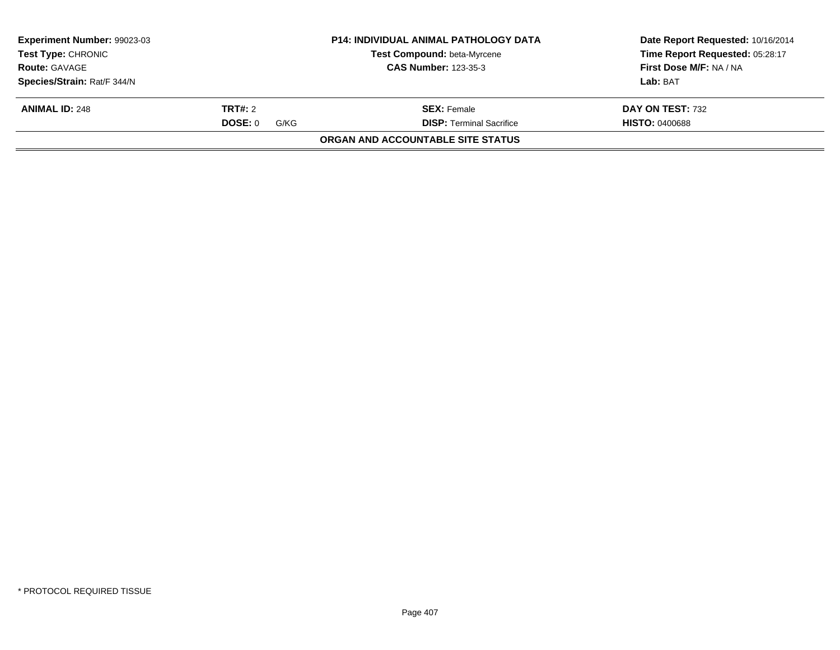| <b>Experiment Number: 99023-03</b><br><b>Test Type: CHRONIC</b><br><b>Route: GAVAGE</b> |                 | <b>P14: INDIVIDUAL ANIMAL PATHOLOGY DATA</b><br>Test Compound: beta-Myrcene<br><b>CAS Number: 123-35-3</b> | Date Report Requested: 10/16/2014<br>Time Report Requested: 05:28:17<br>First Dose M/F: NA / NA |
|-----------------------------------------------------------------------------------------|-----------------|------------------------------------------------------------------------------------------------------------|-------------------------------------------------------------------------------------------------|
| Species/Strain: Rat/F 344/N                                                             |                 |                                                                                                            | Lab: BAT                                                                                        |
| <b>ANIMAL ID: 248</b>                                                                   | <b>TRT#: 2</b>  | <b>SEX:</b> Female                                                                                         | DAY ON TEST: 732                                                                                |
|                                                                                         | DOSE: 0<br>G/KG | <b>DISP: Terminal Sacrifice</b>                                                                            | <b>HISTO: 0400688</b>                                                                           |
|                                                                                         |                 | ORGAN AND ACCOUNTABLE SITE STATUS                                                                          |                                                                                                 |
|                                                                                         |                 |                                                                                                            |                                                                                                 |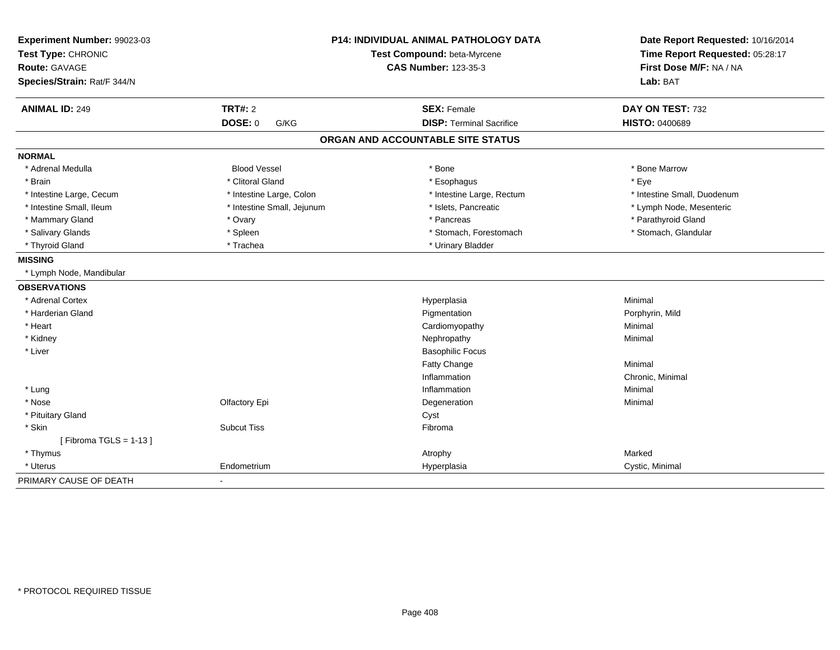| Experiment Number: 99023-03<br>Test Type: CHRONIC<br><b>Route: GAVAGE</b><br>Species/Strain: Rat/F 344/N |                            | <b>P14: INDIVIDUAL ANIMAL PATHOLOGY DATA</b><br>Test Compound: beta-Myrcene<br><b>CAS Number: 123-35-3</b> | Date Report Requested: 10/16/2014<br>Time Report Requested: 05:28:17<br>First Dose M/F: NA / NA<br>Lab: BAT |
|----------------------------------------------------------------------------------------------------------|----------------------------|------------------------------------------------------------------------------------------------------------|-------------------------------------------------------------------------------------------------------------|
| <b>ANIMAL ID: 249</b>                                                                                    | <b>TRT#: 2</b>             | <b>SEX: Female</b>                                                                                         | DAY ON TEST: 732                                                                                            |
|                                                                                                          | DOSE: 0<br>G/KG            | <b>DISP: Terminal Sacrifice</b>                                                                            | <b>HISTO: 0400689</b>                                                                                       |
|                                                                                                          |                            | ORGAN AND ACCOUNTABLE SITE STATUS                                                                          |                                                                                                             |
| <b>NORMAL</b>                                                                                            |                            |                                                                                                            |                                                                                                             |
| * Adrenal Medulla                                                                                        | <b>Blood Vessel</b>        | * Bone                                                                                                     | * Bone Marrow                                                                                               |
| * Brain                                                                                                  | * Clitoral Gland           | * Esophagus                                                                                                | * Eye                                                                                                       |
| * Intestine Large, Cecum                                                                                 | * Intestine Large, Colon   | * Intestine Large, Rectum                                                                                  | * Intestine Small, Duodenum                                                                                 |
| * Intestine Small, Ileum                                                                                 | * Intestine Small, Jejunum | * Islets, Pancreatic                                                                                       | * Lymph Node, Mesenteric                                                                                    |
| * Mammary Gland                                                                                          | * Ovary                    | * Pancreas                                                                                                 | * Parathyroid Gland                                                                                         |
| * Salivary Glands                                                                                        | * Spleen                   | * Stomach, Forestomach                                                                                     | * Stomach, Glandular                                                                                        |
| * Thyroid Gland                                                                                          | * Trachea                  | * Urinary Bladder                                                                                          |                                                                                                             |
| <b>MISSING</b>                                                                                           |                            |                                                                                                            |                                                                                                             |
| * Lymph Node, Mandibular                                                                                 |                            |                                                                                                            |                                                                                                             |
| <b>OBSERVATIONS</b>                                                                                      |                            |                                                                                                            |                                                                                                             |
| * Adrenal Cortex                                                                                         |                            | Hyperplasia                                                                                                | Minimal                                                                                                     |
| * Harderian Gland                                                                                        |                            | Pigmentation                                                                                               | Porphyrin, Mild                                                                                             |
| * Heart                                                                                                  |                            | Cardiomyopathy                                                                                             | Minimal                                                                                                     |
| * Kidney                                                                                                 |                            | Nephropathy                                                                                                | Minimal                                                                                                     |
| * Liver                                                                                                  |                            | <b>Basophilic Focus</b>                                                                                    |                                                                                                             |
|                                                                                                          |                            | Fatty Change                                                                                               | Minimal                                                                                                     |
|                                                                                                          |                            | Inflammation                                                                                               | Chronic, Minimal                                                                                            |
| * Lung                                                                                                   |                            | Inflammation                                                                                               | Minimal                                                                                                     |
| * Nose                                                                                                   | Olfactory Epi              | Degeneration                                                                                               | Minimal                                                                                                     |
| * Pituitary Gland                                                                                        |                            | Cyst                                                                                                       |                                                                                                             |
| * Skin                                                                                                   | <b>Subcut Tiss</b>         | Fibroma                                                                                                    |                                                                                                             |
| [Fibroma TGLS = $1-13$ ]                                                                                 |                            |                                                                                                            |                                                                                                             |
| * Thymus                                                                                                 |                            | Atrophy                                                                                                    | Marked                                                                                                      |
| * Uterus                                                                                                 | Endometrium                | Hyperplasia                                                                                                | Cystic, Minimal                                                                                             |
| PRIMARY CAUSE OF DEATH                                                                                   |                            |                                                                                                            |                                                                                                             |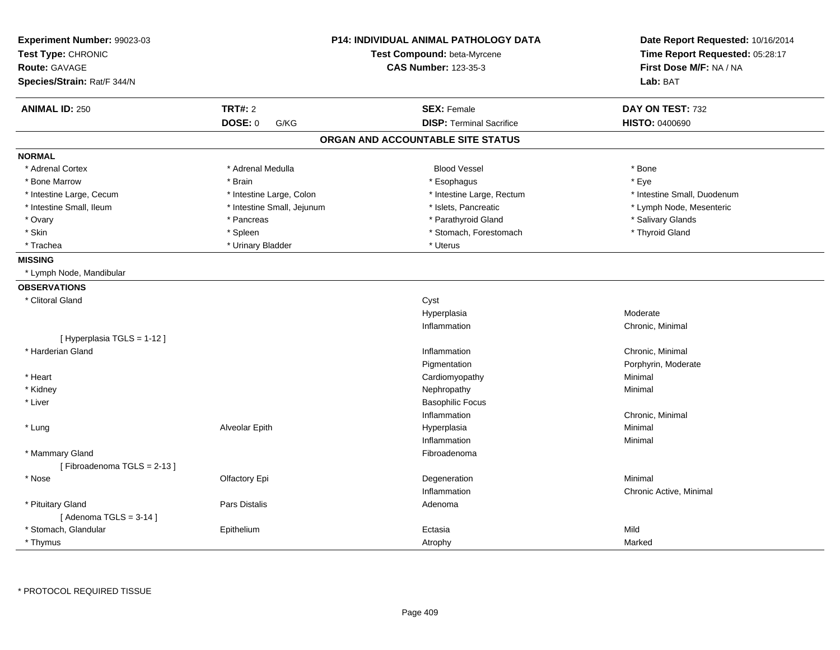| Experiment Number: 99023-03 |                            | <b>P14: INDIVIDUAL ANIMAL PATHOLOGY DATA</b> | Date Report Requested: 10/16/2014 |
|-----------------------------|----------------------------|----------------------------------------------|-----------------------------------|
| Test Type: CHRONIC          |                            | Test Compound: beta-Myrcene                  | Time Report Requested: 05:28:17   |
| Route: GAVAGE               |                            | <b>CAS Number: 123-35-3</b>                  | First Dose M/F: NA / NA           |
| Species/Strain: Rat/F 344/N |                            |                                              | Lab: BAT                          |
| <b>ANIMAL ID: 250</b>       | <b>TRT#: 2</b>             | <b>SEX: Female</b>                           | DAY ON TEST: 732                  |
|                             | DOSE: 0<br>G/KG            | <b>DISP: Terminal Sacrifice</b>              | <b>HISTO: 0400690</b>             |
|                             |                            | ORGAN AND ACCOUNTABLE SITE STATUS            |                                   |
| <b>NORMAL</b>               |                            |                                              |                                   |
| * Adrenal Cortex            | * Adrenal Medulla          | <b>Blood Vessel</b>                          | * Bone                            |
| * Bone Marrow               | * Brain                    | * Esophagus                                  | * Eye                             |
| * Intestine Large, Cecum    | * Intestine Large, Colon   | * Intestine Large, Rectum                    | * Intestine Small, Duodenum       |
| * Intestine Small, Ileum    | * Intestine Small, Jejunum | * Islets, Pancreatic                         | * Lymph Node, Mesenteric          |
| * Ovary                     | * Pancreas                 | * Parathyroid Gland                          | * Salivary Glands                 |
| * Skin                      | * Spleen                   | * Stomach, Forestomach                       | * Thyroid Gland                   |
| * Trachea                   | * Urinary Bladder          | * Uterus                                     |                                   |
| <b>MISSING</b>              |                            |                                              |                                   |
| * Lymph Node, Mandibular    |                            |                                              |                                   |
| <b>OBSERVATIONS</b>         |                            |                                              |                                   |
| * Clitoral Gland            |                            | Cyst                                         |                                   |
|                             |                            | Hyperplasia                                  | Moderate                          |
|                             |                            | Inflammation                                 | Chronic, Minimal                  |
| [ Hyperplasia TGLS = 1-12 ] |                            |                                              |                                   |
| * Harderian Gland           |                            | Inflammation                                 | Chronic, Minimal                  |
|                             |                            | Pigmentation                                 | Porphyrin, Moderate               |
| * Heart                     |                            | Cardiomyopathy                               | Minimal                           |
| * Kidney                    |                            | Nephropathy                                  | Minimal                           |
| * Liver                     |                            | <b>Basophilic Focus</b>                      |                                   |
|                             |                            | Inflammation                                 | Chronic, Minimal                  |
| * Lung                      | Alveolar Epith             | Hyperplasia                                  | Minimal                           |
|                             |                            | Inflammation                                 | Minimal                           |
| * Mammary Gland             |                            | Fibroadenoma                                 |                                   |
| [Fibroadenoma TGLS = 2-13]  |                            |                                              |                                   |
| * Nose                      | Olfactory Epi              | Degeneration                                 | Minimal                           |
|                             |                            | Inflammation                                 | Chronic Active, Minimal           |
| * Pituitary Gland           | <b>Pars Distalis</b>       | Adenoma                                      |                                   |
| [Adenoma TGLS = $3-14$ ]    |                            |                                              |                                   |
| * Stomach, Glandular        | Epithelium                 | Ectasia                                      | Mild                              |
| * Thymus                    |                            | Atrophy                                      | Marked                            |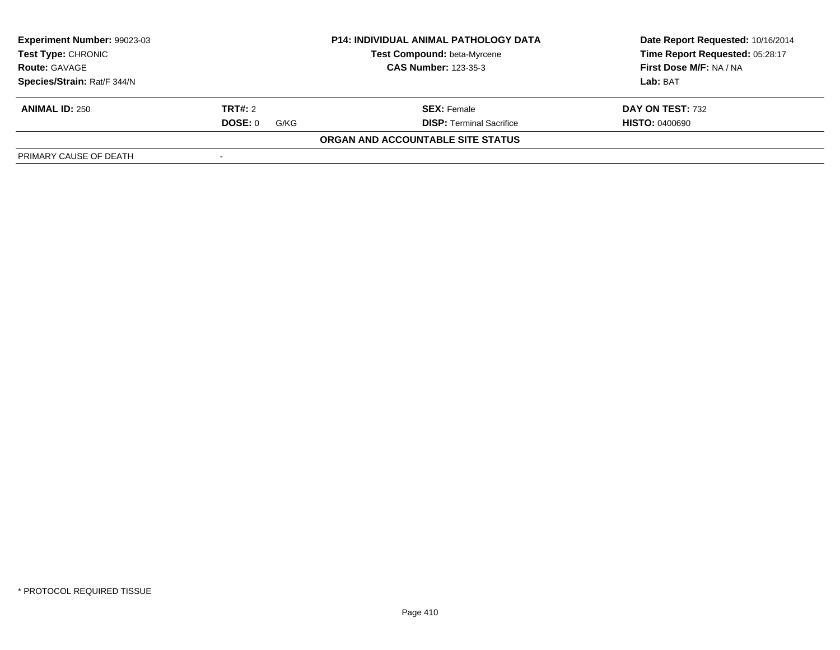| Experiment Number: 99023-03                                                                                            |                 | <b>P14: INDIVIDUAL ANIMAL PATHOLOGY DATA</b> | Date Report Requested: 10/16/2014 |  |
|------------------------------------------------------------------------------------------------------------------------|-----------------|----------------------------------------------|-----------------------------------|--|
| <b>Test Compound: beta-Myrcene</b><br><b>Test Type: CHRONIC</b><br><b>CAS Number: 123-35-3</b><br><b>Route: GAVAGE</b> |                 |                                              | Time Report Requested: 05:28:17   |  |
|                                                                                                                        |                 | First Dose M/F: NA / NA                      |                                   |  |
| Species/Strain: Rat/F 344/N                                                                                            |                 |                                              | Lab: BAT                          |  |
| <b>ANIMAL ID: 250</b>                                                                                                  | <b>TRT#: 2</b>  | <b>SEX: Female</b>                           | DAY ON TEST: 732                  |  |
|                                                                                                                        | DOSE: 0<br>G/KG | <b>DISP: Terminal Sacrifice</b>              | <b>HISTO: 0400690</b>             |  |
|                                                                                                                        |                 | ORGAN AND ACCOUNTABLE SITE STATUS            |                                   |  |
| PRIMARY CAUSE OF DEATH                                                                                                 |                 |                                              |                                   |  |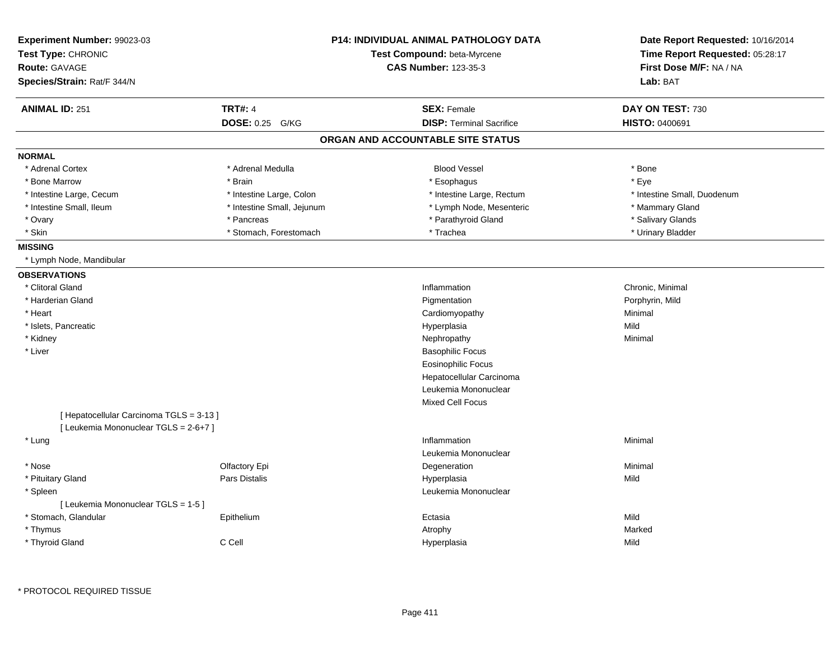| Experiment Number: 99023-03<br>Test Type: CHRONIC |                            | <b>P14: INDIVIDUAL ANIMAL PATHOLOGY DATA</b><br>Test Compound: beta-Myrcene | Date Report Requested: 10/16/2014<br>Time Report Requested: 05:28:17 |
|---------------------------------------------------|----------------------------|-----------------------------------------------------------------------------|----------------------------------------------------------------------|
| <b>Route: GAVAGE</b>                              |                            | <b>CAS Number: 123-35-3</b>                                                 | First Dose M/F: NA / NA                                              |
| Species/Strain: Rat/F 344/N                       |                            |                                                                             | Lab: BAT                                                             |
| <b>ANIMAL ID: 251</b>                             | <b>TRT#: 4</b>             | <b>SEX: Female</b>                                                          | DAY ON TEST: 730                                                     |
|                                                   | DOSE: 0.25 G/KG            | <b>DISP: Terminal Sacrifice</b>                                             | HISTO: 0400691                                                       |
|                                                   |                            | ORGAN AND ACCOUNTABLE SITE STATUS                                           |                                                                      |
| <b>NORMAL</b>                                     |                            |                                                                             |                                                                      |
| * Adrenal Cortex                                  | * Adrenal Medulla          | <b>Blood Vessel</b>                                                         | * Bone                                                               |
| * Bone Marrow                                     | * Brain                    | * Esophagus                                                                 | * Eve                                                                |
| * Intestine Large, Cecum                          | * Intestine Large, Colon   | * Intestine Large, Rectum                                                   | * Intestine Small, Duodenum                                          |
| * Intestine Small, Ileum                          | * Intestine Small, Jejunum | * Lymph Node, Mesenteric                                                    | * Mammary Gland                                                      |
| * Ovary                                           | * Pancreas                 | * Parathyroid Gland                                                         | * Salivary Glands                                                    |
| $*$ Skin                                          | * Stomach, Forestomach     | * Trachea                                                                   | * Urinary Bladder                                                    |
| <b>MISSING</b>                                    |                            |                                                                             |                                                                      |
| * Lymph Node, Mandibular                          |                            |                                                                             |                                                                      |
| <b>OBSERVATIONS</b>                               |                            |                                                                             |                                                                      |
| * Clitoral Gland                                  |                            | Inflammation                                                                | Chronic, Minimal                                                     |
| * Harderian Gland                                 |                            | Pigmentation                                                                | Porphyrin, Mild                                                      |
| * Heart                                           |                            | Cardiomyopathy                                                              | Minimal                                                              |
| * Islets, Pancreatic                              |                            | Hyperplasia                                                                 | Mild                                                                 |
| * Kidney                                          |                            | Nephropathy                                                                 | Minimal                                                              |
| * Liver                                           |                            | <b>Basophilic Focus</b>                                                     |                                                                      |
|                                                   |                            | <b>Eosinophilic Focus</b>                                                   |                                                                      |
|                                                   |                            | Hepatocellular Carcinoma                                                    |                                                                      |
|                                                   |                            | Leukemia Mononuclear                                                        |                                                                      |
|                                                   |                            | <b>Mixed Cell Focus</b>                                                     |                                                                      |
| [ Hepatocellular Carcinoma TGLS = 3-13 ]          |                            |                                                                             |                                                                      |
| [ Leukemia Mononuclear TGLS = 2-6+7 ]             |                            |                                                                             |                                                                      |
| * Lung                                            |                            | Inflammation                                                                | Minimal                                                              |
|                                                   |                            | Leukemia Mononuclear                                                        |                                                                      |
| * Nose                                            | Olfactory Epi              | Degeneration                                                                | Minimal                                                              |
| * Pituitary Gland                                 | Pars Distalis              | Hyperplasia                                                                 | Mild                                                                 |
| * Spleen                                          |                            | Leukemia Mononuclear                                                        |                                                                      |
| [ Leukemia Mononuclear TGLS = 1-5 ]               |                            |                                                                             |                                                                      |
| * Stomach, Glandular                              | Epithelium                 | Ectasia                                                                     | Mild                                                                 |
| * Thymus                                          |                            | Atrophy                                                                     | Marked                                                               |
| * Thyroid Gland                                   | C Cell                     | Hyperplasia                                                                 | Mild                                                                 |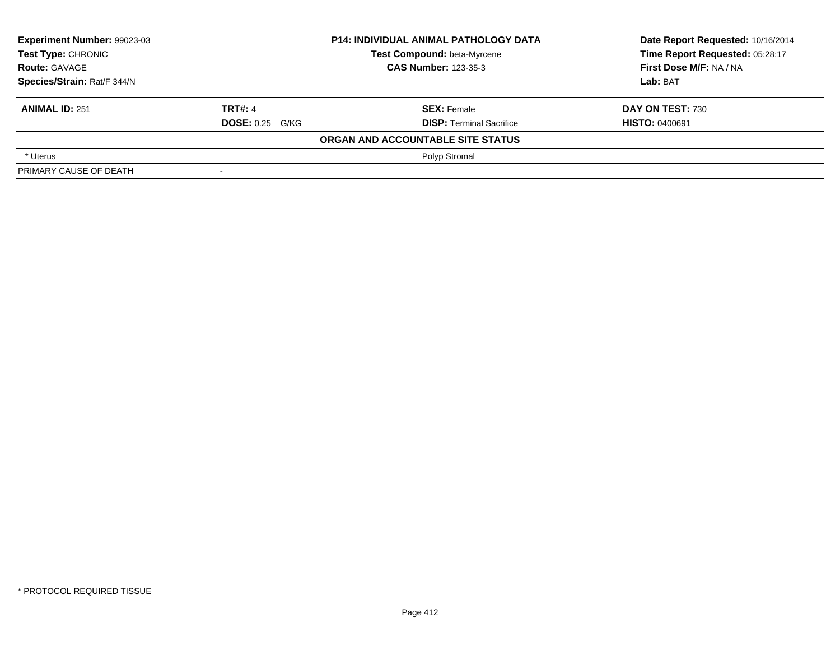| Experiment Number: 99023-03<br><b>Test Type: CHRONIC</b> |                             | <b>P14: INDIVIDUAL ANIMAL PATHOLOGY DATA</b> | Date Report Requested: 10/16/2014 |  |
|----------------------------------------------------------|-----------------------------|----------------------------------------------|-----------------------------------|--|
|                                                          |                             | Test Compound: beta-Myrcene                  | Time Report Requested: 05:28:17   |  |
| <b>Route: GAVAGE</b>                                     | <b>CAS Number: 123-35-3</b> |                                              | First Dose M/F: NA / NA           |  |
| Species/Strain: Rat/F 344/N                              |                             |                                              | Lab: BAT                          |  |
| <b>ANIMAL ID: 251</b>                                    | <b>TRT#: 4</b>              | <b>SEX: Female</b>                           | DAY ON TEST: 730                  |  |
|                                                          | <b>DOSE: 0.25 G/KG</b>      | <b>DISP: Terminal Sacrifice</b>              | <b>HISTO: 0400691</b>             |  |
|                                                          |                             | ORGAN AND ACCOUNTABLE SITE STATUS            |                                   |  |
| * Uterus                                                 |                             | Polyp Stromal                                |                                   |  |
| PRIMARY CAUSE OF DEATH                                   | $\overline{\phantom{a}}$    |                                              |                                   |  |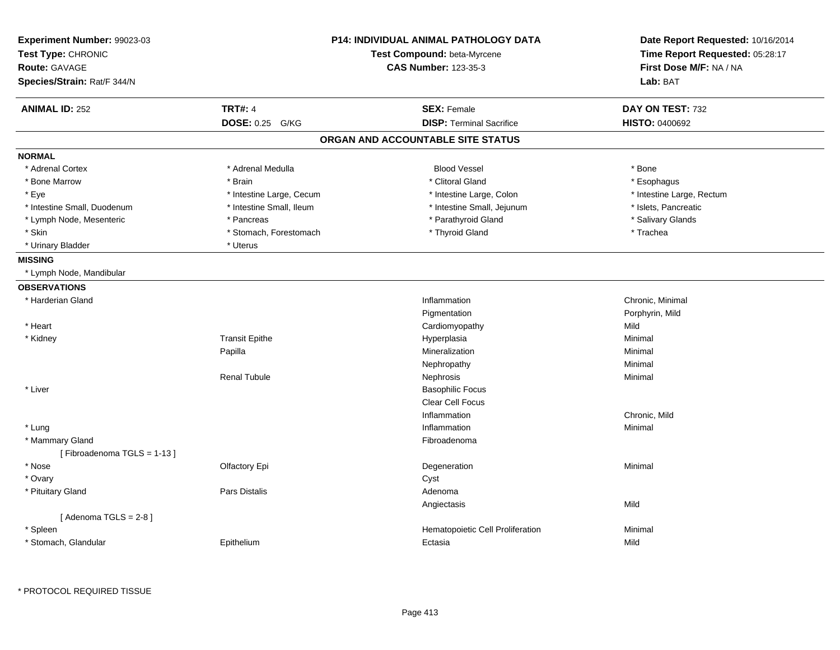| Experiment Number: 99023-03<br>Test Type: CHRONIC<br><b>Route: GAVAGE</b><br>Species/Strain: Rat/F 344/N |                          | P14: INDIVIDUAL ANIMAL PATHOLOGY DATA<br>Test Compound: beta-Myrcene<br><b>CAS Number: 123-35-3</b> | Date Report Requested: 10/16/2014<br>Time Report Requested: 05:28:17<br>First Dose M/F: NA / NA<br>Lab: BAT |
|----------------------------------------------------------------------------------------------------------|--------------------------|-----------------------------------------------------------------------------------------------------|-------------------------------------------------------------------------------------------------------------|
| <b>ANIMAL ID: 252</b>                                                                                    | <b>TRT#: 4</b>           | <b>SEX: Female</b>                                                                                  | DAY ON TEST: 732                                                                                            |
|                                                                                                          | DOSE: 0.25 G/KG          | <b>DISP: Terminal Sacrifice</b>                                                                     | HISTO: 0400692                                                                                              |
|                                                                                                          |                          | ORGAN AND ACCOUNTABLE SITE STATUS                                                                   |                                                                                                             |
| <b>NORMAL</b>                                                                                            |                          |                                                                                                     |                                                                                                             |
| * Adrenal Cortex                                                                                         | * Adrenal Medulla        | <b>Blood Vessel</b>                                                                                 | * Bone                                                                                                      |
| * Bone Marrow                                                                                            | * Brain                  | * Clitoral Gland                                                                                    | * Esophagus                                                                                                 |
| * Eye                                                                                                    | * Intestine Large, Cecum | * Intestine Large, Colon                                                                            | * Intestine Large, Rectum                                                                                   |
| * Intestine Small, Duodenum                                                                              | * Intestine Small, Ileum | * Intestine Small, Jejunum                                                                          | * Islets, Pancreatic                                                                                        |
| * Lymph Node, Mesenteric                                                                                 | * Pancreas               | * Parathyroid Gland                                                                                 | * Salivary Glands                                                                                           |
| * Skin                                                                                                   | * Stomach, Forestomach   | * Thyroid Gland                                                                                     | * Trachea                                                                                                   |
| * Urinary Bladder                                                                                        | * Uterus                 |                                                                                                     |                                                                                                             |
| <b>MISSING</b>                                                                                           |                          |                                                                                                     |                                                                                                             |
| * Lymph Node, Mandibular                                                                                 |                          |                                                                                                     |                                                                                                             |
| <b>OBSERVATIONS</b>                                                                                      |                          |                                                                                                     |                                                                                                             |
| * Harderian Gland                                                                                        |                          | Inflammation                                                                                        | Chronic, Minimal                                                                                            |
|                                                                                                          |                          | Pigmentation                                                                                        | Porphyrin, Mild                                                                                             |
| * Heart                                                                                                  |                          | Cardiomyopathy                                                                                      | Mild                                                                                                        |
| * Kidney                                                                                                 | <b>Transit Epithe</b>    | Hyperplasia                                                                                         | Minimal                                                                                                     |
|                                                                                                          | Papilla                  | Mineralization                                                                                      | Minimal                                                                                                     |
|                                                                                                          |                          | Nephropathy                                                                                         | Minimal                                                                                                     |
|                                                                                                          | <b>Renal Tubule</b>      | Nephrosis                                                                                           | Minimal                                                                                                     |
| * Liver                                                                                                  |                          | <b>Basophilic Focus</b>                                                                             |                                                                                                             |
|                                                                                                          |                          | <b>Clear Cell Focus</b>                                                                             |                                                                                                             |
|                                                                                                          |                          | Inflammation                                                                                        | Chronic, Mild                                                                                               |
| * Lung                                                                                                   |                          | Inflammation                                                                                        | Minimal                                                                                                     |
| * Mammary Gland                                                                                          |                          | Fibroadenoma                                                                                        |                                                                                                             |
| [Fibroadenoma TGLS = 1-13]                                                                               |                          |                                                                                                     |                                                                                                             |
| * Nose                                                                                                   | Olfactory Epi            | Degeneration                                                                                        | Minimal                                                                                                     |
| * Ovary                                                                                                  |                          | Cyst                                                                                                |                                                                                                             |
| * Pituitary Gland                                                                                        | <b>Pars Distalis</b>     | Adenoma                                                                                             |                                                                                                             |
|                                                                                                          |                          | Angiectasis                                                                                         | Mild                                                                                                        |
| [Adenoma TGLS = $2-8$ ]                                                                                  |                          |                                                                                                     |                                                                                                             |
| * Spleen                                                                                                 |                          | Hematopoietic Cell Proliferation                                                                    | Minimal                                                                                                     |
| * Stomach, Glandular                                                                                     | Epithelium               | Ectasia                                                                                             | Mild                                                                                                        |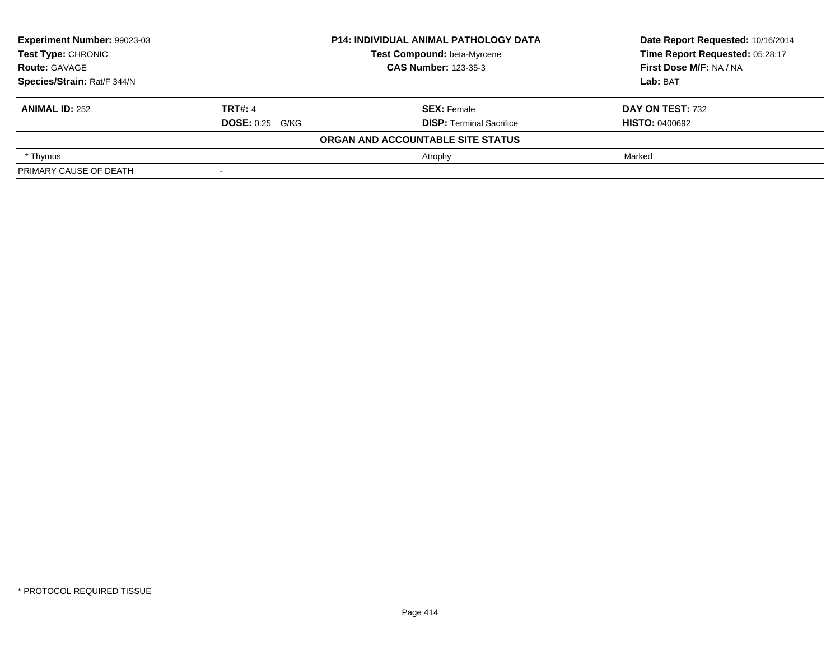| Experiment Number: 99023-03<br>Test Type: CHRONIC |                        | <b>P14: INDIVIDUAL ANIMAL PATHOLOGY DATA</b> | Date Report Requested: 10/16/2014 |
|---------------------------------------------------|------------------------|----------------------------------------------|-----------------------------------|
|                                                   |                        | Test Compound: beta-Myrcene                  | Time Report Requested: 05:28:17   |
| <b>Route: GAVAGE</b>                              |                        | <b>CAS Number: 123-35-3</b>                  | First Dose M/F: NA / NA           |
| Species/Strain: Rat/F 344/N                       |                        |                                              | Lab: BAT                          |
| <b>ANIMAL ID: 252</b>                             | <b>TRT#: 4</b>         | <b>SEX: Female</b>                           | DAY ON TEST: 732                  |
|                                                   | <b>DOSE:</b> 0.25 G/KG | <b>DISP: Terminal Sacrifice</b>              | <b>HISTO: 0400692</b>             |
|                                                   |                        | ORGAN AND ACCOUNTABLE SITE STATUS            |                                   |
| * Thymus                                          |                        | Atrophy                                      | Marked                            |
| PRIMARY CAUSE OF DEATH                            |                        |                                              |                                   |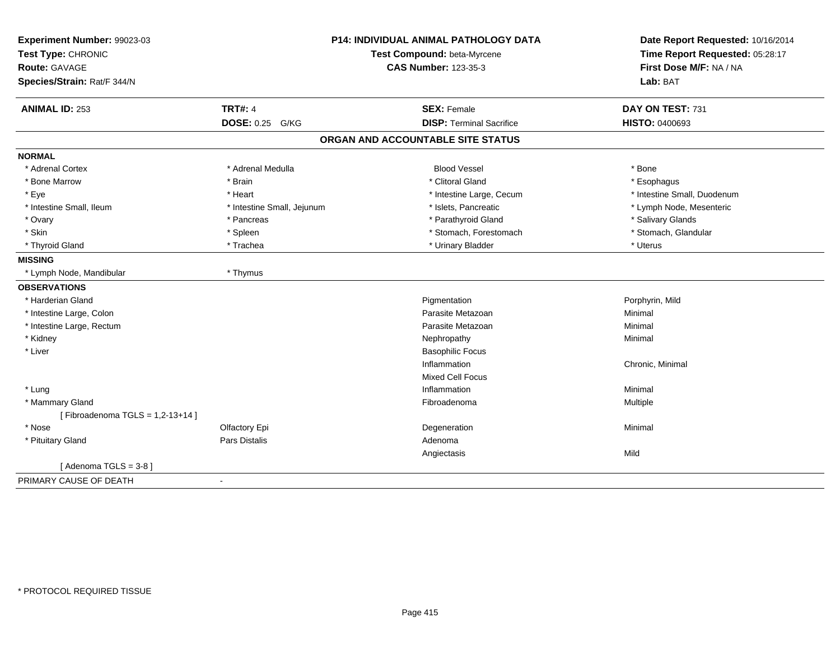| Experiment Number: 99023-03<br>Test Type: CHRONIC<br><b>Route: GAVAGE</b><br>Species/Strain: Rat/F 344/N | <b>P14: INDIVIDUAL ANIMAL PATHOLOGY DATA</b><br>Test Compound: beta-Myrcene<br><b>CAS Number: 123-35-3</b> |                                   | Date Report Requested: 10/16/2014<br>Time Report Requested: 05:28:17<br>First Dose M/F: NA / NA<br>Lab: BAT |
|----------------------------------------------------------------------------------------------------------|------------------------------------------------------------------------------------------------------------|-----------------------------------|-------------------------------------------------------------------------------------------------------------|
| <b>ANIMAL ID: 253</b>                                                                                    | <b>TRT#: 4</b>                                                                                             | <b>SEX: Female</b>                | DAY ON TEST: 731                                                                                            |
|                                                                                                          | DOSE: 0.25 G/KG                                                                                            | <b>DISP: Terminal Sacrifice</b>   | <b>HISTO: 0400693</b>                                                                                       |
|                                                                                                          |                                                                                                            | ORGAN AND ACCOUNTABLE SITE STATUS |                                                                                                             |
| <b>NORMAL</b>                                                                                            |                                                                                                            |                                   |                                                                                                             |
| * Adrenal Cortex                                                                                         | * Adrenal Medulla                                                                                          | <b>Blood Vessel</b>               | * Bone                                                                                                      |
| * Bone Marrow                                                                                            | * Brain                                                                                                    | * Clitoral Gland                  | * Esophagus                                                                                                 |
| * Eye                                                                                                    | * Heart                                                                                                    | * Intestine Large, Cecum          | * Intestine Small, Duodenum                                                                                 |
| * Intestine Small, Ileum                                                                                 | * Intestine Small, Jejunum                                                                                 | * Islets, Pancreatic              | * Lymph Node, Mesenteric                                                                                    |
| * Ovary                                                                                                  | * Pancreas                                                                                                 | * Parathyroid Gland               | * Salivary Glands                                                                                           |
| * Skin                                                                                                   | * Spleen                                                                                                   | * Stomach, Forestomach            | * Stomach, Glandular                                                                                        |
| * Thyroid Gland                                                                                          | * Trachea                                                                                                  | * Urinary Bladder                 | * Uterus                                                                                                    |
| <b>MISSING</b>                                                                                           |                                                                                                            |                                   |                                                                                                             |
| * Lymph Node, Mandibular                                                                                 | * Thymus                                                                                                   |                                   |                                                                                                             |
| <b>OBSERVATIONS</b>                                                                                      |                                                                                                            |                                   |                                                                                                             |
| * Harderian Gland                                                                                        |                                                                                                            | Pigmentation                      | Porphyrin, Mild                                                                                             |
| * Intestine Large, Colon                                                                                 |                                                                                                            | Parasite Metazoan                 | Minimal                                                                                                     |
| * Intestine Large, Rectum                                                                                |                                                                                                            | Parasite Metazoan                 | Minimal                                                                                                     |
| * Kidney                                                                                                 |                                                                                                            | Nephropathy                       | Minimal                                                                                                     |
| * Liver                                                                                                  |                                                                                                            | <b>Basophilic Focus</b>           |                                                                                                             |
|                                                                                                          |                                                                                                            | Inflammation                      | Chronic, Minimal                                                                                            |
|                                                                                                          |                                                                                                            | <b>Mixed Cell Focus</b>           |                                                                                                             |
| * Lung                                                                                                   |                                                                                                            | Inflammation                      | Minimal                                                                                                     |
| * Mammary Gland                                                                                          |                                                                                                            | Fibroadenoma                      | Multiple                                                                                                    |
| [Fibroadenoma TGLS = $1,2-13+14$ ]                                                                       |                                                                                                            |                                   |                                                                                                             |
| * Nose                                                                                                   | Olfactory Epi                                                                                              | Degeneration                      | Minimal                                                                                                     |
| * Pituitary Gland                                                                                        | <b>Pars Distalis</b>                                                                                       | Adenoma                           |                                                                                                             |
|                                                                                                          |                                                                                                            | Angiectasis                       | Mild                                                                                                        |
| [Adenoma TGLS = $3-8$ ]                                                                                  |                                                                                                            |                                   |                                                                                                             |
| PRIMARY CAUSE OF DEATH                                                                                   | $\blacksquare$                                                                                             |                                   |                                                                                                             |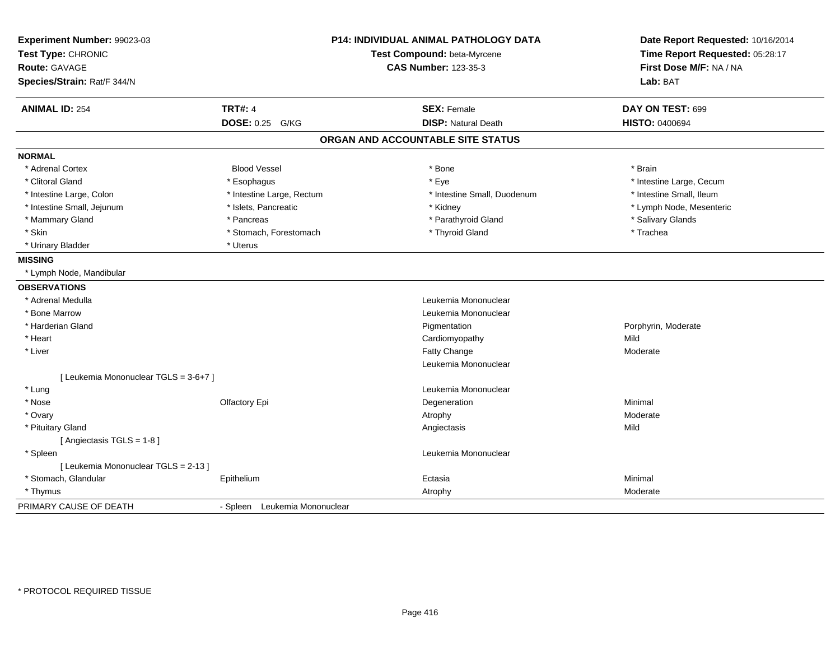| Experiment Number: 99023-03<br>Test Type: CHRONIC<br><b>Route: GAVAGE</b><br>Species/Strain: Rat/F 344/N | <b>P14: INDIVIDUAL ANIMAL PATHOLOGY DATA</b><br>Test Compound: beta-Myrcene<br><b>CAS Number: 123-35-3</b> |                                   | Date Report Requested: 10/16/2014<br>Time Report Requested: 05:28:17<br>First Dose M/F: NA / NA<br>Lab: BAT |
|----------------------------------------------------------------------------------------------------------|------------------------------------------------------------------------------------------------------------|-----------------------------------|-------------------------------------------------------------------------------------------------------------|
| <b>ANIMAL ID: 254</b>                                                                                    | <b>TRT#: 4</b>                                                                                             | <b>SEX: Female</b>                | DAY ON TEST: 699                                                                                            |
|                                                                                                          | <b>DOSE: 0.25</b><br>G/KG                                                                                  | <b>DISP: Natural Death</b>        | <b>HISTO: 0400694</b>                                                                                       |
|                                                                                                          |                                                                                                            | ORGAN AND ACCOUNTABLE SITE STATUS |                                                                                                             |
| <b>NORMAL</b>                                                                                            |                                                                                                            |                                   |                                                                                                             |
| * Adrenal Cortex                                                                                         | <b>Blood Vessel</b>                                                                                        | $*$ Bone                          | * Brain                                                                                                     |
| * Clitoral Gland                                                                                         | * Esophagus                                                                                                | * Eye                             | * Intestine Large, Cecum                                                                                    |
| * Intestine Large, Colon                                                                                 | * Intestine Large, Rectum                                                                                  | * Intestine Small, Duodenum       | * Intestine Small, Ileum                                                                                    |
| * Intestine Small, Jejunum                                                                               | * Islets, Pancreatic                                                                                       | * Kidney                          | * Lymph Node, Mesenteric                                                                                    |
| * Mammary Gland                                                                                          | * Pancreas                                                                                                 | * Parathyroid Gland               | * Salivary Glands                                                                                           |
| * Skin                                                                                                   | * Stomach, Forestomach                                                                                     | * Thyroid Gland                   | * Trachea                                                                                                   |
| * Urinary Bladder                                                                                        | * Uterus                                                                                                   |                                   |                                                                                                             |
| <b>MISSING</b>                                                                                           |                                                                                                            |                                   |                                                                                                             |
| * Lymph Node, Mandibular                                                                                 |                                                                                                            |                                   |                                                                                                             |
| <b>OBSERVATIONS</b>                                                                                      |                                                                                                            |                                   |                                                                                                             |
| * Adrenal Medulla                                                                                        |                                                                                                            | Leukemia Mononuclear              |                                                                                                             |
| * Bone Marrow                                                                                            |                                                                                                            | Leukemia Mononuclear              |                                                                                                             |
| * Harderian Gland                                                                                        |                                                                                                            | Pigmentation                      | Porphyrin, Moderate                                                                                         |
| * Heart                                                                                                  |                                                                                                            | Cardiomyopathy                    | Mild                                                                                                        |
| * Liver                                                                                                  |                                                                                                            | Fatty Change                      | Moderate                                                                                                    |
|                                                                                                          |                                                                                                            | Leukemia Mononuclear              |                                                                                                             |
| [ Leukemia Mononuclear TGLS = 3-6+7 ]                                                                    |                                                                                                            |                                   |                                                                                                             |
| * Lung                                                                                                   |                                                                                                            | Leukemia Mononuclear              |                                                                                                             |
| * Nose                                                                                                   | Olfactory Epi                                                                                              | Degeneration                      | Minimal                                                                                                     |
| * Ovary                                                                                                  |                                                                                                            | Atrophy                           | Moderate                                                                                                    |
| * Pituitary Gland                                                                                        |                                                                                                            | Angiectasis                       | Mild                                                                                                        |
| [Angiectasis TGLS = 1-8]                                                                                 |                                                                                                            |                                   |                                                                                                             |
| * Spleen                                                                                                 |                                                                                                            | Leukemia Mononuclear              |                                                                                                             |
| [ Leukemia Mononuclear TGLS = 2-13 ]                                                                     |                                                                                                            |                                   |                                                                                                             |
| * Stomach, Glandular                                                                                     | Epithelium                                                                                                 | Ectasia                           | Minimal                                                                                                     |
| * Thymus                                                                                                 |                                                                                                            | Atrophy                           | Moderate                                                                                                    |
| PRIMARY CAUSE OF DEATH                                                                                   | - Spleen Leukemia Mononuclear                                                                              |                                   |                                                                                                             |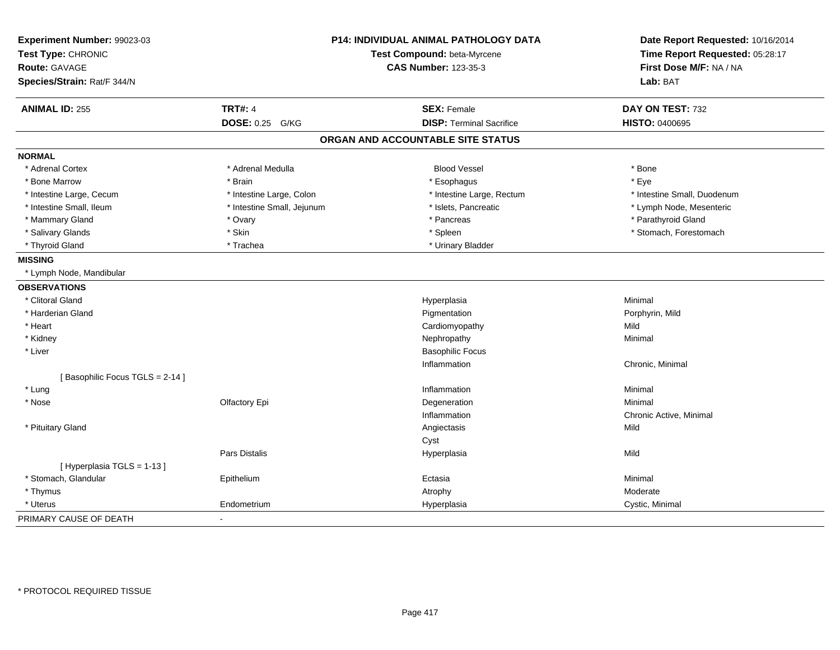| Experiment Number: 99023-03<br>Test Type: CHRONIC<br><b>Route: GAVAGE</b> | P14: INDIVIDUAL ANIMAL PATHOLOGY DATA<br>Test Compound: beta-Myrcene<br><b>CAS Number: 123-35-3</b> |                                   | Date Report Requested: 10/16/2014<br>Time Report Requested: 05:28:17<br>First Dose M/F: NA / NA |
|---------------------------------------------------------------------------|-----------------------------------------------------------------------------------------------------|-----------------------------------|-------------------------------------------------------------------------------------------------|
| Species/Strain: Rat/F 344/N                                               |                                                                                                     |                                   | Lab: BAT                                                                                        |
| <b>ANIMAL ID: 255</b>                                                     | <b>TRT#: 4</b>                                                                                      | <b>SEX: Female</b>                | DAY ON TEST: 732                                                                                |
|                                                                           | DOSE: 0.25 G/KG                                                                                     | <b>DISP: Terminal Sacrifice</b>   | <b>HISTO: 0400695</b>                                                                           |
|                                                                           |                                                                                                     | ORGAN AND ACCOUNTABLE SITE STATUS |                                                                                                 |
| <b>NORMAL</b>                                                             |                                                                                                     |                                   |                                                                                                 |
| * Adrenal Cortex                                                          | * Adrenal Medulla                                                                                   | <b>Blood Vessel</b>               | * Bone                                                                                          |
| * Bone Marrow                                                             | * Brain                                                                                             | * Esophagus                       | * Eye                                                                                           |
| * Intestine Large, Cecum                                                  | * Intestine Large, Colon                                                                            | * Intestine Large, Rectum         | * Intestine Small, Duodenum                                                                     |
| * Intestine Small, Ileum                                                  | * Intestine Small, Jejunum                                                                          | * Islets, Pancreatic              | * Lymph Node, Mesenteric                                                                        |
| * Mammary Gland                                                           | * Ovary                                                                                             | * Pancreas                        | * Parathyroid Gland                                                                             |
| * Salivary Glands                                                         | * Skin                                                                                              | * Spleen                          | * Stomach, Forestomach                                                                          |
| * Thyroid Gland                                                           | * Trachea                                                                                           | * Urinary Bladder                 |                                                                                                 |
| <b>MISSING</b>                                                            |                                                                                                     |                                   |                                                                                                 |
| * Lymph Node, Mandibular                                                  |                                                                                                     |                                   |                                                                                                 |
| <b>OBSERVATIONS</b>                                                       |                                                                                                     |                                   |                                                                                                 |
| * Clitoral Gland                                                          |                                                                                                     | Hyperplasia                       | Minimal                                                                                         |
| * Harderian Gland                                                         |                                                                                                     | Pigmentation                      | Porphyrin, Mild                                                                                 |
| * Heart                                                                   |                                                                                                     | Cardiomyopathy                    | Mild                                                                                            |
| * Kidney                                                                  |                                                                                                     | Nephropathy                       | Minimal                                                                                         |
| * Liver                                                                   |                                                                                                     | <b>Basophilic Focus</b>           |                                                                                                 |
|                                                                           |                                                                                                     | Inflammation                      | Chronic, Minimal                                                                                |
| [Basophilic Focus TGLS = 2-14]                                            |                                                                                                     |                                   |                                                                                                 |
| * Lung                                                                    |                                                                                                     | Inflammation                      | Minimal                                                                                         |
| * Nose                                                                    | Olfactory Epi                                                                                       | Degeneration                      | Minimal                                                                                         |
|                                                                           |                                                                                                     | Inflammation                      | Chronic Active, Minimal                                                                         |
| * Pituitary Gland                                                         |                                                                                                     | Angiectasis                       | Mild                                                                                            |
|                                                                           |                                                                                                     | Cyst                              |                                                                                                 |
|                                                                           | Pars Distalis                                                                                       | Hyperplasia                       | Mild                                                                                            |
| [Hyperplasia TGLS = 1-13]                                                 |                                                                                                     |                                   |                                                                                                 |
| * Stomach, Glandular                                                      | Epithelium                                                                                          | Ectasia                           | Minimal                                                                                         |
| * Thymus                                                                  |                                                                                                     | Atrophy                           | Moderate                                                                                        |
| * Uterus                                                                  | Endometrium                                                                                         | Hyperplasia                       | Cystic, Minimal                                                                                 |
| PRIMARY CAUSE OF DEATH                                                    | $\overline{\phantom{a}}$                                                                            |                                   |                                                                                                 |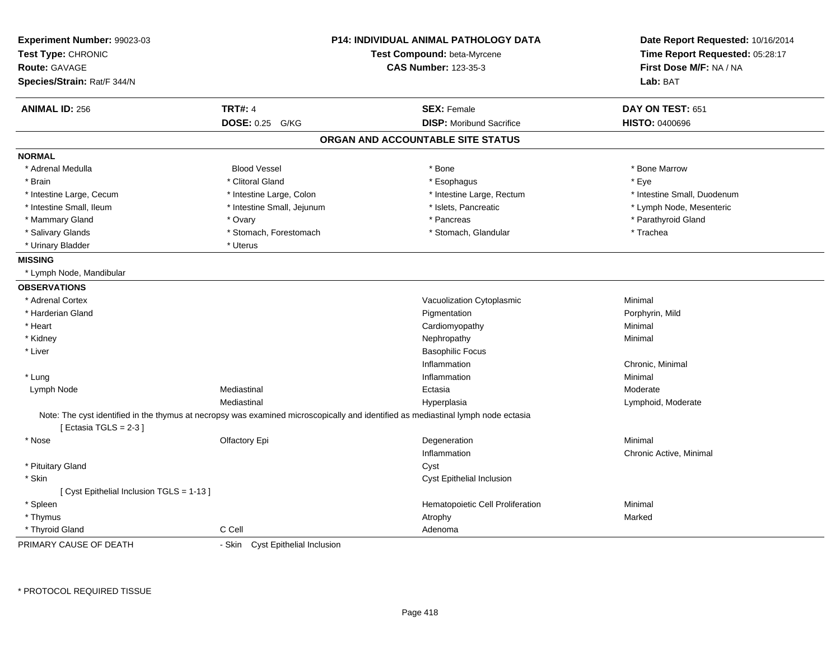| Experiment Number: 99023-03<br>Test Type: CHRONIC<br><b>Route: GAVAGE</b><br>Species/Strain: Rat/F 344/N |                                  | <b>P14: INDIVIDUAL ANIMAL PATHOLOGY DATA</b><br>Test Compound: beta-Myrcene<br><b>CAS Number: 123-35-3</b>                        | Date Report Requested: 10/16/2014<br>Time Report Requested: 05:28:17<br>First Dose M/F: NA / NA<br>Lab: BAT |
|----------------------------------------------------------------------------------------------------------|----------------------------------|-----------------------------------------------------------------------------------------------------------------------------------|-------------------------------------------------------------------------------------------------------------|
| <b>ANIMAL ID: 256</b>                                                                                    | <b>TRT#: 4</b>                   | <b>SEX: Female</b>                                                                                                                | DAY ON TEST: 651                                                                                            |
|                                                                                                          | <b>DOSE: 0.25</b><br>G/KG        | <b>DISP: Moribund Sacrifice</b>                                                                                                   | <b>HISTO: 0400696</b>                                                                                       |
|                                                                                                          |                                  | ORGAN AND ACCOUNTABLE SITE STATUS                                                                                                 |                                                                                                             |
| <b>NORMAL</b>                                                                                            |                                  |                                                                                                                                   |                                                                                                             |
| * Adrenal Medulla                                                                                        | <b>Blood Vessel</b>              | * Bone                                                                                                                            | * Bone Marrow                                                                                               |
| * Brain                                                                                                  | * Clitoral Gland                 | * Esophagus                                                                                                                       | * Eye                                                                                                       |
| * Intestine Large, Cecum                                                                                 | * Intestine Large, Colon         | * Intestine Large, Rectum                                                                                                         | * Intestine Small, Duodenum                                                                                 |
| * Intestine Small, Ileum                                                                                 | * Intestine Small, Jejunum       | * Islets, Pancreatic                                                                                                              | * Lymph Node, Mesenteric                                                                                    |
| * Mammary Gland                                                                                          | * Ovary                          | * Pancreas                                                                                                                        | * Parathyroid Gland                                                                                         |
| * Salivary Glands                                                                                        | * Stomach, Forestomach           | * Stomach, Glandular                                                                                                              | * Trachea                                                                                                   |
| * Urinary Bladder                                                                                        | * Uterus                         |                                                                                                                                   |                                                                                                             |
| <b>MISSING</b>                                                                                           |                                  |                                                                                                                                   |                                                                                                             |
| * Lymph Node, Mandibular                                                                                 |                                  |                                                                                                                                   |                                                                                                             |
| <b>OBSERVATIONS</b>                                                                                      |                                  |                                                                                                                                   |                                                                                                             |
| * Adrenal Cortex                                                                                         |                                  | Vacuolization Cytoplasmic                                                                                                         | Minimal                                                                                                     |
| * Harderian Gland                                                                                        |                                  | Pigmentation                                                                                                                      | Porphyrin, Mild                                                                                             |
| * Heart                                                                                                  |                                  | Cardiomyopathy                                                                                                                    | Minimal                                                                                                     |
| * Kidney                                                                                                 |                                  | Nephropathy                                                                                                                       | Minimal                                                                                                     |
| * Liver                                                                                                  |                                  | <b>Basophilic Focus</b>                                                                                                           |                                                                                                             |
|                                                                                                          |                                  | Inflammation                                                                                                                      | Chronic, Minimal                                                                                            |
| * Lung                                                                                                   |                                  | Inflammation                                                                                                                      | Minimal                                                                                                     |
| Lymph Node                                                                                               | Mediastinal                      | Ectasia                                                                                                                           | Moderate                                                                                                    |
|                                                                                                          | Mediastinal                      | Hyperplasia                                                                                                                       | Lymphoid, Moderate                                                                                          |
|                                                                                                          |                                  | Note: The cyst identified in the thymus at necropsy was examined microscopically and identified as mediastinal lymph node ectasia |                                                                                                             |
| [Ectasia TGLS = $2-3$ ]                                                                                  |                                  |                                                                                                                                   |                                                                                                             |
| * Nose                                                                                                   | Olfactory Epi                    | Degeneration                                                                                                                      | Minimal                                                                                                     |
|                                                                                                          |                                  | Inflammation                                                                                                                      | Chronic Active, Minimal                                                                                     |
| * Pituitary Gland                                                                                        |                                  | Cyst                                                                                                                              |                                                                                                             |
| * Skin                                                                                                   |                                  | Cyst Epithelial Inclusion                                                                                                         |                                                                                                             |
| [ Cyst Epithelial Inclusion TGLS = 1-13 ]                                                                |                                  |                                                                                                                                   |                                                                                                             |
| * Spleen                                                                                                 |                                  | Hematopoietic Cell Proliferation                                                                                                  | Minimal                                                                                                     |
| * Thymus                                                                                                 |                                  | Atrophy                                                                                                                           | Marked                                                                                                      |
| * Thyroid Gland                                                                                          | C Cell                           | Adenoma                                                                                                                           |                                                                                                             |
| PRIMARY CAUSE OF DEATH                                                                                   | - Skin Cyst Epithelial Inclusion |                                                                                                                                   |                                                                                                             |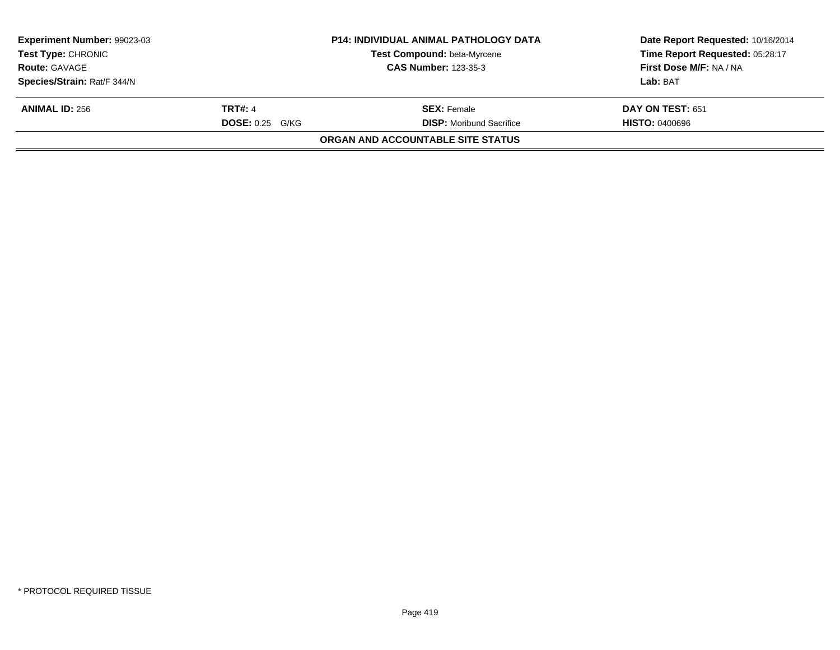| Experiment Number: 99023-03<br><b>Test Type: CHRONIC</b> |                        | <b>P14: INDIVIDUAL ANIMAL PATHOLOGY DATA</b><br>Test Compound: beta-Myrcene | Date Report Requested: 10/16/2014<br>Time Report Requested: 05:28:17 |
|----------------------------------------------------------|------------------------|-----------------------------------------------------------------------------|----------------------------------------------------------------------|
| <b>Route: GAVAGE</b>                                     |                        | <b>CAS Number: 123-35-3</b>                                                 | <b>First Dose M/F: NA / NA</b>                                       |
| Species/Strain: Rat/F 344/N                              |                        |                                                                             | Lab: BAT                                                             |
| <b>ANIMAL ID: 256</b>                                    | <b>TRT#: 4</b>         | <b>SEX: Female</b>                                                          | DAY ON TEST: 651                                                     |
|                                                          | <b>DOSE: 0.25 G/KG</b> | <b>DISP:</b> Moribund Sacrifice                                             | <b>HISTO: 0400696</b>                                                |
|                                                          |                        | ORGAN AND ACCOUNTABLE SITE STATUS                                           |                                                                      |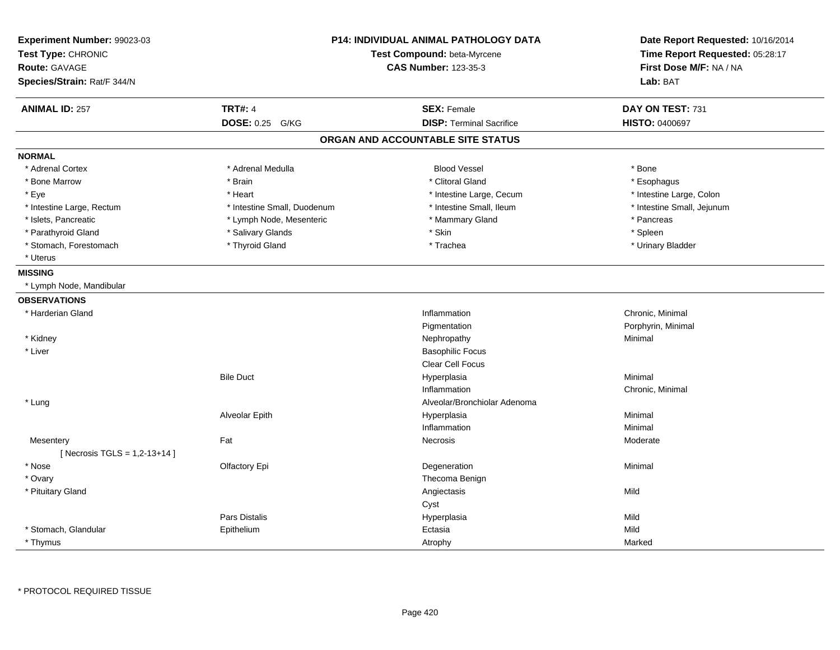| Experiment Number: 99023-03<br>Test Type: CHRONIC<br><b>Route: GAVAGE</b><br>Species/Strain: Rat/F 344/N | P14: INDIVIDUAL ANIMAL PATHOLOGY DATA<br>Test Compound: beta-Myrcene<br><b>CAS Number: 123-35-3</b> |                                   | Date Report Requested: 10/16/2014<br>Time Report Requested: 05:28:17<br>First Dose M/F: NA / NA<br>Lab: BAT |
|----------------------------------------------------------------------------------------------------------|-----------------------------------------------------------------------------------------------------|-----------------------------------|-------------------------------------------------------------------------------------------------------------|
| <b>ANIMAL ID: 257</b>                                                                                    | <b>TRT#: 4</b>                                                                                      | <b>SEX: Female</b>                | DAY ON TEST: 731                                                                                            |
|                                                                                                          | DOSE: 0.25 G/KG                                                                                     | <b>DISP: Terminal Sacrifice</b>   | HISTO: 0400697                                                                                              |
|                                                                                                          |                                                                                                     | ORGAN AND ACCOUNTABLE SITE STATUS |                                                                                                             |
| <b>NORMAL</b>                                                                                            |                                                                                                     |                                   |                                                                                                             |
| * Adrenal Cortex                                                                                         | * Adrenal Medulla                                                                                   | <b>Blood Vessel</b>               | * Bone                                                                                                      |
| * Bone Marrow                                                                                            | * Brain                                                                                             | * Clitoral Gland                  | * Esophagus                                                                                                 |
| * Eye                                                                                                    | * Heart                                                                                             | * Intestine Large, Cecum          | * Intestine Large, Colon                                                                                    |
| * Intestine Large, Rectum                                                                                | * Intestine Small, Duodenum                                                                         | * Intestine Small, Ileum          | * Intestine Small, Jejunum                                                                                  |
| * Islets, Pancreatic                                                                                     | * Lymph Node, Mesenteric                                                                            | * Mammary Gland                   | * Pancreas                                                                                                  |
| * Parathyroid Gland                                                                                      | * Salivary Glands                                                                                   | * Skin                            | * Spleen                                                                                                    |
| * Stomach, Forestomach                                                                                   | * Thyroid Gland                                                                                     | * Trachea                         | * Urinary Bladder                                                                                           |
| * Uterus                                                                                                 |                                                                                                     |                                   |                                                                                                             |
| <b>MISSING</b>                                                                                           |                                                                                                     |                                   |                                                                                                             |
| * Lymph Node, Mandibular                                                                                 |                                                                                                     |                                   |                                                                                                             |
| <b>OBSERVATIONS</b>                                                                                      |                                                                                                     |                                   |                                                                                                             |
| * Harderian Gland                                                                                        |                                                                                                     | Inflammation                      | Chronic, Minimal                                                                                            |
|                                                                                                          |                                                                                                     | Pigmentation                      | Porphyrin, Minimal                                                                                          |
| * Kidney                                                                                                 |                                                                                                     | Nephropathy                       | Minimal                                                                                                     |
| * Liver                                                                                                  |                                                                                                     | <b>Basophilic Focus</b>           |                                                                                                             |
|                                                                                                          |                                                                                                     | <b>Clear Cell Focus</b>           |                                                                                                             |
|                                                                                                          | <b>Bile Duct</b>                                                                                    | Hyperplasia                       | Minimal                                                                                                     |
|                                                                                                          |                                                                                                     | Inflammation                      | Chronic, Minimal                                                                                            |
| * Lung                                                                                                   |                                                                                                     | Alveolar/Bronchiolar Adenoma      |                                                                                                             |
|                                                                                                          | Alveolar Epith                                                                                      | Hyperplasia                       | Minimal                                                                                                     |
|                                                                                                          |                                                                                                     | Inflammation                      | Minimal                                                                                                     |
| Mesentery                                                                                                | Fat                                                                                                 | Necrosis                          | Moderate                                                                                                    |
| [ Necrosis TGLS = $1,2-13+14$ ]                                                                          |                                                                                                     |                                   |                                                                                                             |
| * Nose                                                                                                   | Olfactory Epi                                                                                       | Degeneration                      | Minimal                                                                                                     |
| * Ovary                                                                                                  |                                                                                                     | Thecoma Benign                    |                                                                                                             |
| * Pituitary Gland                                                                                        |                                                                                                     | Angiectasis                       | Mild                                                                                                        |
|                                                                                                          |                                                                                                     | Cyst                              |                                                                                                             |
|                                                                                                          | Pars Distalis                                                                                       | Hyperplasia                       | Mild                                                                                                        |
| * Stomach, Glandular                                                                                     | Epithelium                                                                                          | Ectasia                           | Mild                                                                                                        |
| * Thymus                                                                                                 |                                                                                                     | Atrophy                           | Marked                                                                                                      |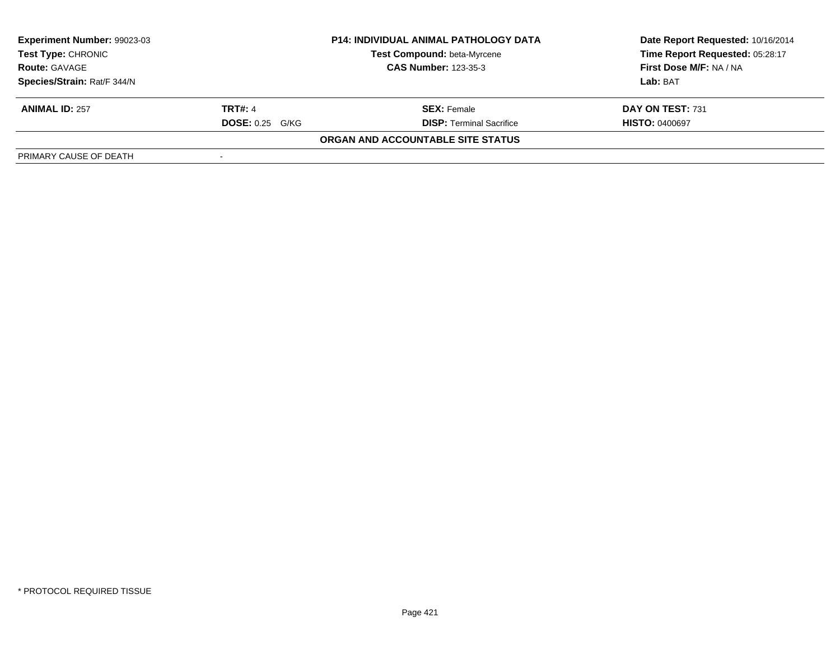| Experiment Number: 99023-03 |                        | <b>P14: INDIVIDUAL ANIMAL PATHOLOGY DATA</b> | Date Report Requested: 10/16/2014<br>Time Report Requested: 05:28:17 |
|-----------------------------|------------------------|----------------------------------------------|----------------------------------------------------------------------|
| <b>Test Type: CHRONIC</b>   |                        | <b>Test Compound: beta-Myrcene</b>           |                                                                      |
| <b>Route: GAVAGE</b>        |                        | <b>CAS Number: 123-35-3</b>                  | First Dose M/F: NA / NA                                              |
| Species/Strain: Rat/F 344/N |                        |                                              | Lab: BAT                                                             |
| <b>ANIMAL ID: 257</b>       | <b>TRT#: 4</b>         | <b>SEX:</b> Female                           | DAY ON TEST: 731                                                     |
|                             | <b>DOSE: 0.25 G/KG</b> | <b>DISP: Terminal Sacrifice</b>              | <b>HISTO: 0400697</b>                                                |
|                             |                        | ORGAN AND ACCOUNTABLE SITE STATUS            |                                                                      |
| PRIMARY CAUSE OF DEATH      |                        |                                              |                                                                      |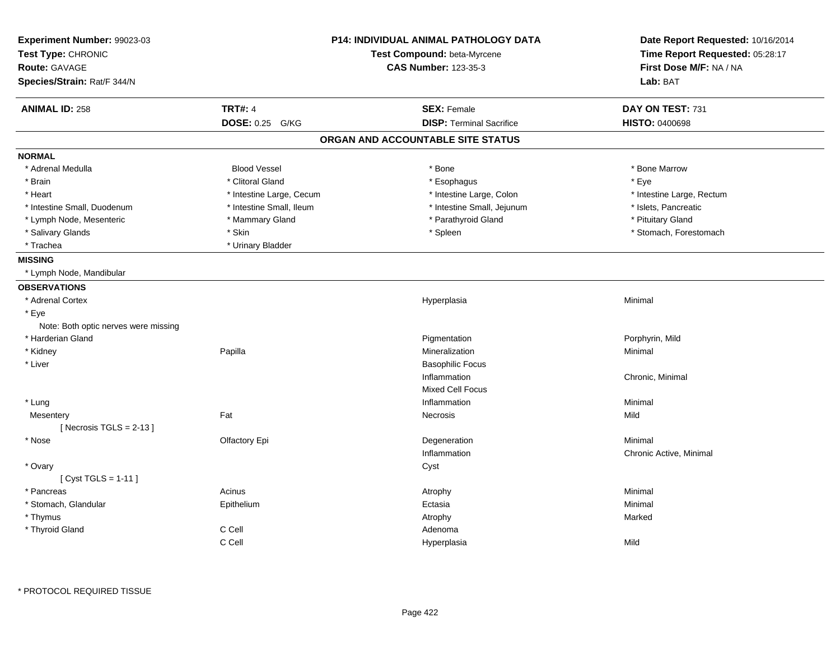| Experiment Number: 99023-03          |                             | P14: INDIVIDUAL ANIMAL PATHOLOGY DATA | Date Report Requested: 10/16/2014 |
|--------------------------------------|-----------------------------|---------------------------------------|-----------------------------------|
| Test Type: CHRONIC                   | Test Compound: beta-Myrcene |                                       | Time Report Requested: 05:28:17   |
| Route: GAVAGE                        |                             | <b>CAS Number: 123-35-3</b>           | First Dose M/F: NA / NA           |
| Species/Strain: Rat/F 344/N          |                             |                                       | Lab: BAT                          |
| <b>ANIMAL ID: 258</b>                | <b>TRT#: 4</b>              | <b>SEX: Female</b>                    | DAY ON TEST: 731                  |
|                                      | DOSE: 0.25 G/KG             | <b>DISP: Terminal Sacrifice</b>       | <b>HISTO: 0400698</b>             |
|                                      |                             | ORGAN AND ACCOUNTABLE SITE STATUS     |                                   |
| <b>NORMAL</b>                        |                             |                                       |                                   |
| * Adrenal Medulla                    | <b>Blood Vessel</b>         | * Bone                                | * Bone Marrow                     |
| * Brain                              | * Clitoral Gland            | * Esophagus                           | * Eye                             |
| * Heart                              | * Intestine Large, Cecum    | * Intestine Large, Colon              | * Intestine Large, Rectum         |
| * Intestine Small, Duodenum          | * Intestine Small, Ileum    | * Intestine Small, Jejunum            | * Islets, Pancreatic              |
| * Lymph Node, Mesenteric             | * Mammary Gland             | * Parathyroid Gland                   | * Pituitary Gland                 |
| * Salivary Glands                    | * Skin                      | * Spleen                              | * Stomach, Forestomach            |
| * Trachea                            | * Urinary Bladder           |                                       |                                   |
| <b>MISSING</b>                       |                             |                                       |                                   |
| * Lymph Node, Mandibular             |                             |                                       |                                   |
| <b>OBSERVATIONS</b>                  |                             |                                       |                                   |
| * Adrenal Cortex                     |                             | Hyperplasia                           | Minimal                           |
| * Eye                                |                             |                                       |                                   |
| Note: Both optic nerves were missing |                             |                                       |                                   |
| * Harderian Gland                    |                             | Pigmentation                          | Porphyrin, Mild                   |
| * Kidney                             | Papilla                     | Mineralization                        | Minimal                           |
| * Liver                              |                             | <b>Basophilic Focus</b>               |                                   |
|                                      |                             | Inflammation                          | Chronic, Minimal                  |
|                                      |                             | <b>Mixed Cell Focus</b>               |                                   |
| * Lung                               |                             | Inflammation                          | Minimal                           |
| Mesentery                            | Fat                         | Necrosis                              | Mild                              |
| [Necrosis TGLS = $2-13$ ]            |                             |                                       |                                   |
| $*$ Nose                             | Olfactory Epi               | Degeneration                          | Minimal                           |
|                                      |                             | Inflammation                          | Chronic Active, Minimal           |
| * Ovary                              |                             | Cyst                                  |                                   |
| [ $Cyst TGLS = 1-11$ ]               |                             |                                       |                                   |
| * Pancreas                           | Acinus                      | Atrophy                               | Minimal                           |
| * Stomach, Glandular                 | Epithelium                  | Ectasia                               | Minimal                           |
| * Thymus                             |                             | Atrophy                               | Marked                            |
| * Thyroid Gland                      | C Cell                      | Adenoma                               |                                   |
|                                      | C Cell                      |                                       |                                   |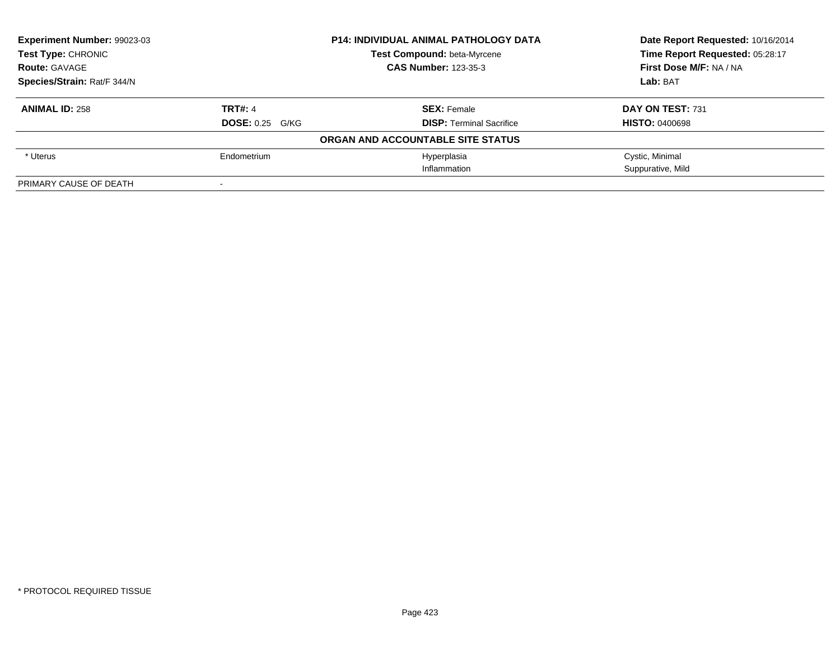| <b>Experiment Number: 99023-03</b> |                        | <b>P14: INDIVIDUAL ANIMAL PATHOLOGY DATA</b> | Date Report Requested: 10/16/2014 |
|------------------------------------|------------------------|----------------------------------------------|-----------------------------------|
| Test Type: CHRONIC                 |                        | Test Compound: beta-Myrcene                  | Time Report Requested: 05:28:17   |
| <b>Route: GAVAGE</b>               |                        | <b>CAS Number: 123-35-3</b>                  | First Dose M/F: NA / NA           |
| Species/Strain: Rat/F 344/N        |                        |                                              | Lab: BAT                          |
| <b>ANIMAL ID: 258</b>              | <b>TRT#: 4</b>         | <b>SEX: Female</b>                           | DAY ON TEST: 731                  |
|                                    | <b>DOSE: 0.25 G/KG</b> | <b>DISP: Terminal Sacrifice</b>              | <b>HISTO: 0400698</b>             |
|                                    |                        | ORGAN AND ACCOUNTABLE SITE STATUS            |                                   |
| * Uterus                           | Endometrium            | Hyperplasia                                  | Cystic, Minimal                   |
|                                    |                        | Inflammation                                 | Suppurative, Mild                 |
| PRIMARY CAUSE OF DEATH             |                        |                                              |                                   |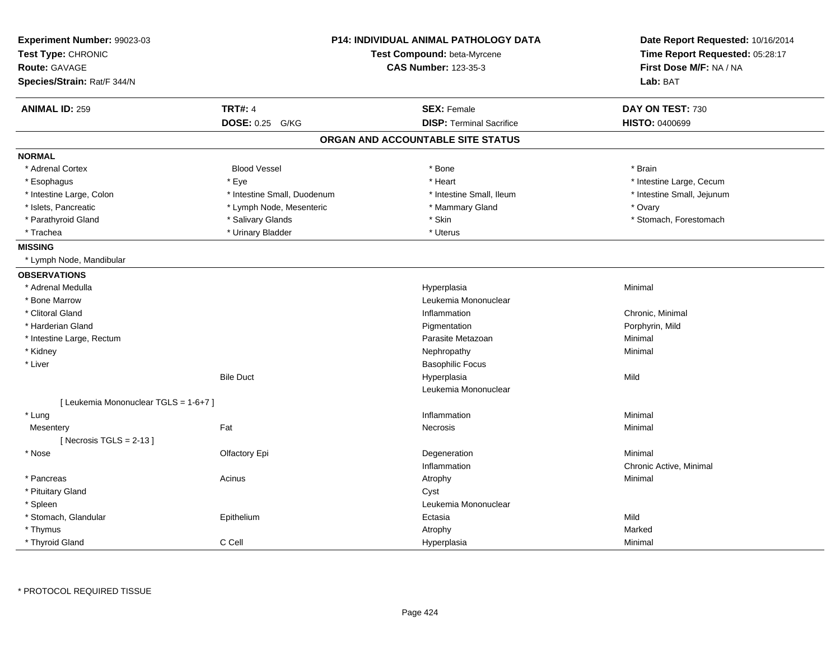| Experiment Number: 99023-03<br>Test Type: CHRONIC<br><b>Route: GAVAGE</b> |                             | <b>P14: INDIVIDUAL ANIMAL PATHOLOGY DATA</b><br>Test Compound: beta-Myrcene<br><b>CAS Number: 123-35-3</b> | Date Report Requested: 10/16/2014<br>Time Report Requested: 05:28:17<br>First Dose M/F: NA / NA |
|---------------------------------------------------------------------------|-----------------------------|------------------------------------------------------------------------------------------------------------|-------------------------------------------------------------------------------------------------|
| Species/Strain: Rat/F 344/N                                               |                             |                                                                                                            | Lab: BAT                                                                                        |
| <b>ANIMAL ID: 259</b>                                                     | <b>TRT#: 4</b>              | <b>SEX: Female</b>                                                                                         | DAY ON TEST: 730                                                                                |
|                                                                           | <b>DOSE: 0.25 G/KG</b>      | <b>DISP: Terminal Sacrifice</b>                                                                            | <b>HISTO: 0400699</b>                                                                           |
|                                                                           |                             | ORGAN AND ACCOUNTABLE SITE STATUS                                                                          |                                                                                                 |
| <b>NORMAL</b>                                                             |                             |                                                                                                            |                                                                                                 |
| * Adrenal Cortex                                                          | <b>Blood Vessel</b>         | * Bone                                                                                                     | * Brain                                                                                         |
| * Esophagus                                                               | * Eye                       | * Heart                                                                                                    | * Intestine Large, Cecum                                                                        |
| * Intestine Large, Colon                                                  | * Intestine Small, Duodenum | * Intestine Small, Ileum                                                                                   | * Intestine Small, Jejunum                                                                      |
| * Islets, Pancreatic                                                      | * Lymph Node, Mesenteric    | * Mammary Gland                                                                                            | * Ovary                                                                                         |
| * Parathyroid Gland                                                       | * Salivary Glands           | * Skin                                                                                                     | * Stomach, Forestomach                                                                          |
| * Trachea                                                                 | * Urinary Bladder           | * Uterus                                                                                                   |                                                                                                 |
| <b>MISSING</b>                                                            |                             |                                                                                                            |                                                                                                 |
| * Lymph Node, Mandibular                                                  |                             |                                                                                                            |                                                                                                 |
| <b>OBSERVATIONS</b>                                                       |                             |                                                                                                            |                                                                                                 |
| * Adrenal Medulla                                                         |                             | Hyperplasia                                                                                                | Minimal                                                                                         |
| * Bone Marrow                                                             |                             | Leukemia Mononuclear                                                                                       |                                                                                                 |
| * Clitoral Gland                                                          |                             | Inflammation                                                                                               | Chronic, Minimal                                                                                |
| * Harderian Gland                                                         |                             | Pigmentation                                                                                               | Porphyrin, Mild                                                                                 |
| * Intestine Large, Rectum                                                 |                             | Parasite Metazoan                                                                                          | Minimal                                                                                         |
| * Kidney                                                                  |                             | Nephropathy                                                                                                | Minimal                                                                                         |
| * Liver                                                                   |                             | <b>Basophilic Focus</b>                                                                                    |                                                                                                 |
|                                                                           | <b>Bile Duct</b>            | Hyperplasia                                                                                                | Mild                                                                                            |
|                                                                           |                             | Leukemia Mononuclear                                                                                       |                                                                                                 |
| [ Leukemia Mononuclear TGLS = 1-6+7 ]                                     |                             |                                                                                                            |                                                                                                 |
| * Lung                                                                    |                             | Inflammation                                                                                               | Minimal                                                                                         |
| Mesentery                                                                 | Fat                         | Necrosis                                                                                                   | Minimal                                                                                         |
| [Necrosis $TGLS = 2-13$ ]                                                 |                             |                                                                                                            |                                                                                                 |
| * Nose                                                                    | Olfactory Epi               | Degeneration                                                                                               | Minimal                                                                                         |
|                                                                           |                             | Inflammation                                                                                               | Chronic Active, Minimal                                                                         |
| * Pancreas                                                                | Acinus                      | Atrophy                                                                                                    | Minimal                                                                                         |
| * Pituitary Gland                                                         |                             | Cyst                                                                                                       |                                                                                                 |
| * Spleen                                                                  |                             | Leukemia Mononuclear                                                                                       |                                                                                                 |
| * Stomach, Glandular                                                      | Epithelium                  | Ectasia                                                                                                    | Mild                                                                                            |
| * Thymus                                                                  |                             | Atrophy                                                                                                    | Marked                                                                                          |
| * Thyroid Gland                                                           | C Cell                      | Hyperplasia                                                                                                | Minimal                                                                                         |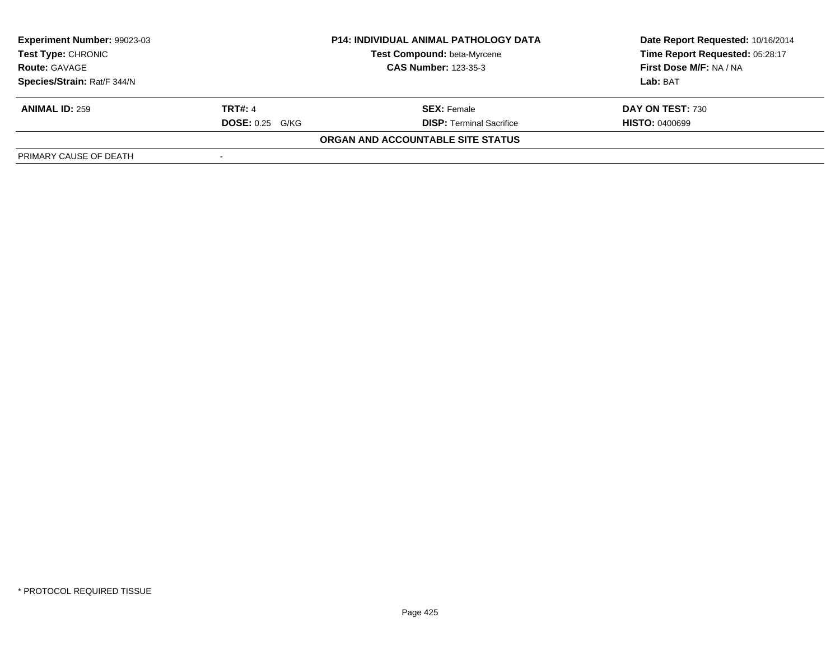| Experiment Number: 99023-03 | <b>P14: INDIVIDUAL ANIMAL PATHOLOGY DATA</b> |                                    | Date Report Requested: 10/16/2014 |
|-----------------------------|----------------------------------------------|------------------------------------|-----------------------------------|
| <b>Test Type: CHRONIC</b>   |                                              | <b>Test Compound: beta-Myrcene</b> | Time Report Requested: 05:28:17   |
| <b>Route: GAVAGE</b>        |                                              | <b>CAS Number: 123-35-3</b>        | First Dose M/F: NA / NA           |
| Species/Strain: Rat/F 344/N |                                              |                                    | Lab: BAT                          |
| <b>ANIMAL ID: 259</b>       | <b>TRT#: 4</b>                               | <b>SEX:</b> Female                 | DAY ON TEST: 730                  |
|                             | <b>DOSE: 0.25 G/KG</b>                       | <b>DISP: Terminal Sacrifice</b>    | <b>HISTO: 0400699</b>             |
|                             |                                              | ORGAN AND ACCOUNTABLE SITE STATUS  |                                   |
| PRIMARY CAUSE OF DEATH      |                                              |                                    |                                   |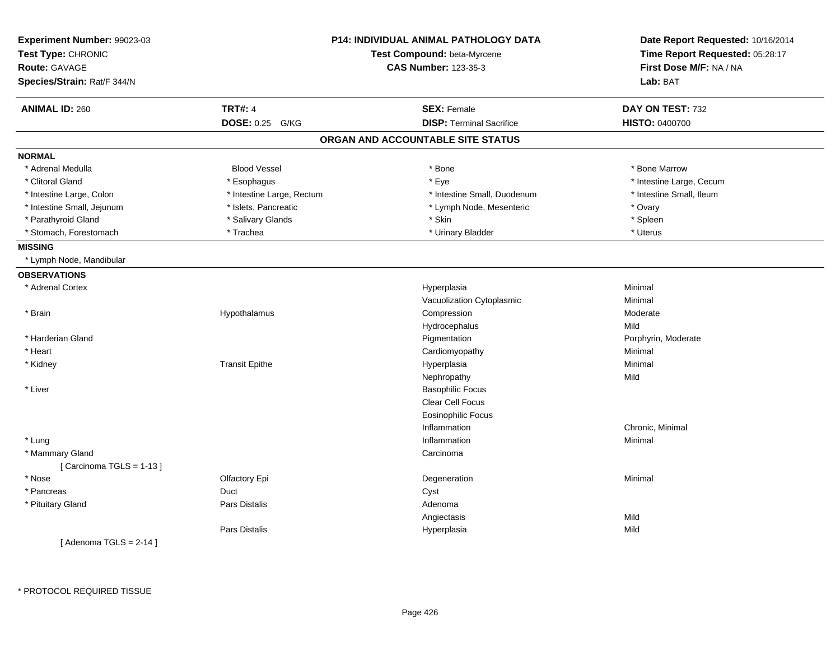| <b>CAS Number: 123-35-3</b><br>First Dose M/F: NA / NA<br>Route: GAVAGE<br>Lab: BAT<br>Species/Strain: Rat/F 344/N<br><b>TRT#: 4</b><br><b>ANIMAL ID: 260</b><br><b>SEX: Female</b><br>DAY ON TEST: 732<br><b>DISP: Terminal Sacrifice</b><br>DOSE: 0.25 G/KG<br>HISTO: 0400700<br>ORGAN AND ACCOUNTABLE SITE STATUS<br><b>Blood Vessel</b><br>* Bone Marrow<br>* Adrenal Medulla<br>* Bone<br>* Eye<br>* Intestine Large, Cecum<br>* Clitoral Gland<br>* Esophagus<br>* Intestine Large, Rectum<br>* Intestine Small, Duodenum<br>* Intestine Small, Ileum<br>* Intestine Large, Colon<br>* Islets, Pancreatic<br>* Ovary<br>* Intestine Small, Jejunum<br>* Lymph Node, Mesenteric<br>* Parathyroid Gland<br>* Salivary Glands<br>* Skin<br>* Spleen<br>* Stomach, Forestomach<br>* Trachea<br>* Urinary Bladder<br>* Uterus<br>* Lymph Node, Mandibular<br><b>OBSERVATIONS</b><br>* Adrenal Cortex<br>Minimal<br>Hyperplasia<br>Vacuolization Cytoplasmic<br>Minimal<br>* Brain<br>Compression<br>Hypothalamus<br>Moderate<br>Mild<br>Hydrocephalus<br>* Harderian Gland<br>Pigmentation<br>Porphyrin, Moderate<br>* Heart<br>Cardiomyopathy<br>Minimal<br>* Kidney<br><b>Transit Epithe</b><br>Hyperplasia<br>Minimal<br>Nephropathy<br>Mild<br>* Liver<br><b>Basophilic Focus</b><br>Clear Cell Focus<br><b>Eosinophilic Focus</b><br>Inflammation<br>Chronic, Minimal<br>* Lung<br>Inflammation<br>Minimal<br>* Mammary Gland<br>Carcinoma<br>[Carcinoma TGLS = 1-13]<br>* Nose<br>Olfactory Epi<br>Minimal<br>Degeneration<br>* Pancreas<br>Duct<br>Cyst<br>* Pituitary Gland<br><b>Pars Distalis</b><br>Adenoma<br>Mild<br>Angiectasis<br>Pars Distalis<br>Hyperplasia<br>Mild<br>[Adenoma TGLS = $2-14$ ] | Experiment Number: 99023-03<br>Test Type: CHRONIC | <b>P14: INDIVIDUAL ANIMAL PATHOLOGY DATA</b> | Date Report Requested: 10/16/2014<br>Time Report Requested: 05:28:17 |
|--------------------------------------------------------------------------------------------------------------------------------------------------------------------------------------------------------------------------------------------------------------------------------------------------------------------------------------------------------------------------------------------------------------------------------------------------------------------------------------------------------------------------------------------------------------------------------------------------------------------------------------------------------------------------------------------------------------------------------------------------------------------------------------------------------------------------------------------------------------------------------------------------------------------------------------------------------------------------------------------------------------------------------------------------------------------------------------------------------------------------------------------------------------------------------------------------------------------------------------------------------------------------------------------------------------------------------------------------------------------------------------------------------------------------------------------------------------------------------------------------------------------------------------------------------------------------------------------------------------------------------------------------------------------------------------------------------------------|---------------------------------------------------|----------------------------------------------|----------------------------------------------------------------------|
|                                                                                                                                                                                                                                                                                                                                                                                                                                                                                                                                                                                                                                                                                                                                                                                                                                                                                                                                                                                                                                                                                                                                                                                                                                                                                                                                                                                                                                                                                                                                                                                                                                                                                                                    |                                                   | Test Compound: beta-Myrcene                  |                                                                      |
|                                                                                                                                                                                                                                                                                                                                                                                                                                                                                                                                                                                                                                                                                                                                                                                                                                                                                                                                                                                                                                                                                                                                                                                                                                                                                                                                                                                                                                                                                                                                                                                                                                                                                                                    |                                                   |                                              |                                                                      |
|                                                                                                                                                                                                                                                                                                                                                                                                                                                                                                                                                                                                                                                                                                                                                                                                                                                                                                                                                                                                                                                                                                                                                                                                                                                                                                                                                                                                                                                                                                                                                                                                                                                                                                                    |                                                   |                                              |                                                                      |
|                                                                                                                                                                                                                                                                                                                                                                                                                                                                                                                                                                                                                                                                                                                                                                                                                                                                                                                                                                                                                                                                                                                                                                                                                                                                                                                                                                                                                                                                                                                                                                                                                                                                                                                    |                                                   |                                              |                                                                      |
|                                                                                                                                                                                                                                                                                                                                                                                                                                                                                                                                                                                                                                                                                                                                                                                                                                                                                                                                                                                                                                                                                                                                                                                                                                                                                                                                                                                                                                                                                                                                                                                                                                                                                                                    |                                                   |                                              |                                                                      |
|                                                                                                                                                                                                                                                                                                                                                                                                                                                                                                                                                                                                                                                                                                                                                                                                                                                                                                                                                                                                                                                                                                                                                                                                                                                                                                                                                                                                                                                                                                                                                                                                                                                                                                                    |                                                   |                                              |                                                                      |
|                                                                                                                                                                                                                                                                                                                                                                                                                                                                                                                                                                                                                                                                                                                                                                                                                                                                                                                                                                                                                                                                                                                                                                                                                                                                                                                                                                                                                                                                                                                                                                                                                                                                                                                    | <b>NORMAL</b>                                     |                                              |                                                                      |
|                                                                                                                                                                                                                                                                                                                                                                                                                                                                                                                                                                                                                                                                                                                                                                                                                                                                                                                                                                                                                                                                                                                                                                                                                                                                                                                                                                                                                                                                                                                                                                                                                                                                                                                    |                                                   |                                              |                                                                      |
|                                                                                                                                                                                                                                                                                                                                                                                                                                                                                                                                                                                                                                                                                                                                                                                                                                                                                                                                                                                                                                                                                                                                                                                                                                                                                                                                                                                                                                                                                                                                                                                                                                                                                                                    |                                                   |                                              |                                                                      |
|                                                                                                                                                                                                                                                                                                                                                                                                                                                                                                                                                                                                                                                                                                                                                                                                                                                                                                                                                                                                                                                                                                                                                                                                                                                                                                                                                                                                                                                                                                                                                                                                                                                                                                                    |                                                   |                                              |                                                                      |
|                                                                                                                                                                                                                                                                                                                                                                                                                                                                                                                                                                                                                                                                                                                                                                                                                                                                                                                                                                                                                                                                                                                                                                                                                                                                                                                                                                                                                                                                                                                                                                                                                                                                                                                    |                                                   |                                              |                                                                      |
|                                                                                                                                                                                                                                                                                                                                                                                                                                                                                                                                                                                                                                                                                                                                                                                                                                                                                                                                                                                                                                                                                                                                                                                                                                                                                                                                                                                                                                                                                                                                                                                                                                                                                                                    |                                                   |                                              |                                                                      |
|                                                                                                                                                                                                                                                                                                                                                                                                                                                                                                                                                                                                                                                                                                                                                                                                                                                                                                                                                                                                                                                                                                                                                                                                                                                                                                                                                                                                                                                                                                                                                                                                                                                                                                                    |                                                   |                                              |                                                                      |
|                                                                                                                                                                                                                                                                                                                                                                                                                                                                                                                                                                                                                                                                                                                                                                                                                                                                                                                                                                                                                                                                                                                                                                                                                                                                                                                                                                                                                                                                                                                                                                                                                                                                                                                    | <b>MISSING</b>                                    |                                              |                                                                      |
|                                                                                                                                                                                                                                                                                                                                                                                                                                                                                                                                                                                                                                                                                                                                                                                                                                                                                                                                                                                                                                                                                                                                                                                                                                                                                                                                                                                                                                                                                                                                                                                                                                                                                                                    |                                                   |                                              |                                                                      |
|                                                                                                                                                                                                                                                                                                                                                                                                                                                                                                                                                                                                                                                                                                                                                                                                                                                                                                                                                                                                                                                                                                                                                                                                                                                                                                                                                                                                                                                                                                                                                                                                                                                                                                                    |                                                   |                                              |                                                                      |
|                                                                                                                                                                                                                                                                                                                                                                                                                                                                                                                                                                                                                                                                                                                                                                                                                                                                                                                                                                                                                                                                                                                                                                                                                                                                                                                                                                                                                                                                                                                                                                                                                                                                                                                    |                                                   |                                              |                                                                      |
|                                                                                                                                                                                                                                                                                                                                                                                                                                                                                                                                                                                                                                                                                                                                                                                                                                                                                                                                                                                                                                                                                                                                                                                                                                                                                                                                                                                                                                                                                                                                                                                                                                                                                                                    |                                                   |                                              |                                                                      |
|                                                                                                                                                                                                                                                                                                                                                                                                                                                                                                                                                                                                                                                                                                                                                                                                                                                                                                                                                                                                                                                                                                                                                                                                                                                                                                                                                                                                                                                                                                                                                                                                                                                                                                                    |                                                   |                                              |                                                                      |
|                                                                                                                                                                                                                                                                                                                                                                                                                                                                                                                                                                                                                                                                                                                                                                                                                                                                                                                                                                                                                                                                                                                                                                                                                                                                                                                                                                                                                                                                                                                                                                                                                                                                                                                    |                                                   |                                              |                                                                      |
|                                                                                                                                                                                                                                                                                                                                                                                                                                                                                                                                                                                                                                                                                                                                                                                                                                                                                                                                                                                                                                                                                                                                                                                                                                                                                                                                                                                                                                                                                                                                                                                                                                                                                                                    |                                                   |                                              |                                                                      |
|                                                                                                                                                                                                                                                                                                                                                                                                                                                                                                                                                                                                                                                                                                                                                                                                                                                                                                                                                                                                                                                                                                                                                                                                                                                                                                                                                                                                                                                                                                                                                                                                                                                                                                                    |                                                   |                                              |                                                                      |
|                                                                                                                                                                                                                                                                                                                                                                                                                                                                                                                                                                                                                                                                                                                                                                                                                                                                                                                                                                                                                                                                                                                                                                                                                                                                                                                                                                                                                                                                                                                                                                                                                                                                                                                    |                                                   |                                              |                                                                      |
|                                                                                                                                                                                                                                                                                                                                                                                                                                                                                                                                                                                                                                                                                                                                                                                                                                                                                                                                                                                                                                                                                                                                                                                                                                                                                                                                                                                                                                                                                                                                                                                                                                                                                                                    |                                                   |                                              |                                                                      |
|                                                                                                                                                                                                                                                                                                                                                                                                                                                                                                                                                                                                                                                                                                                                                                                                                                                                                                                                                                                                                                                                                                                                                                                                                                                                                                                                                                                                                                                                                                                                                                                                                                                                                                                    |                                                   |                                              |                                                                      |
|                                                                                                                                                                                                                                                                                                                                                                                                                                                                                                                                                                                                                                                                                                                                                                                                                                                                                                                                                                                                                                                                                                                                                                                                                                                                                                                                                                                                                                                                                                                                                                                                                                                                                                                    |                                                   |                                              |                                                                      |
|                                                                                                                                                                                                                                                                                                                                                                                                                                                                                                                                                                                                                                                                                                                                                                                                                                                                                                                                                                                                                                                                                                                                                                                                                                                                                                                                                                                                                                                                                                                                                                                                                                                                                                                    |                                                   |                                              |                                                                      |
|                                                                                                                                                                                                                                                                                                                                                                                                                                                                                                                                                                                                                                                                                                                                                                                                                                                                                                                                                                                                                                                                                                                                                                                                                                                                                                                                                                                                                                                                                                                                                                                                                                                                                                                    |                                                   |                                              |                                                                      |
|                                                                                                                                                                                                                                                                                                                                                                                                                                                                                                                                                                                                                                                                                                                                                                                                                                                                                                                                                                                                                                                                                                                                                                                                                                                                                                                                                                                                                                                                                                                                                                                                                                                                                                                    |                                                   |                                              |                                                                      |
|                                                                                                                                                                                                                                                                                                                                                                                                                                                                                                                                                                                                                                                                                                                                                                                                                                                                                                                                                                                                                                                                                                                                                                                                                                                                                                                                                                                                                                                                                                                                                                                                                                                                                                                    |                                                   |                                              |                                                                      |
|                                                                                                                                                                                                                                                                                                                                                                                                                                                                                                                                                                                                                                                                                                                                                                                                                                                                                                                                                                                                                                                                                                                                                                                                                                                                                                                                                                                                                                                                                                                                                                                                                                                                                                                    |                                                   |                                              |                                                                      |
|                                                                                                                                                                                                                                                                                                                                                                                                                                                                                                                                                                                                                                                                                                                                                                                                                                                                                                                                                                                                                                                                                                                                                                                                                                                                                                                                                                                                                                                                                                                                                                                                                                                                                                                    |                                                   |                                              |                                                                      |
|                                                                                                                                                                                                                                                                                                                                                                                                                                                                                                                                                                                                                                                                                                                                                                                                                                                                                                                                                                                                                                                                                                                                                                                                                                                                                                                                                                                                                                                                                                                                                                                                                                                                                                                    |                                                   |                                              |                                                                      |
|                                                                                                                                                                                                                                                                                                                                                                                                                                                                                                                                                                                                                                                                                                                                                                                                                                                                                                                                                                                                                                                                                                                                                                                                                                                                                                                                                                                                                                                                                                                                                                                                                                                                                                                    |                                                   |                                              |                                                                      |
|                                                                                                                                                                                                                                                                                                                                                                                                                                                                                                                                                                                                                                                                                                                                                                                                                                                                                                                                                                                                                                                                                                                                                                                                                                                                                                                                                                                                                                                                                                                                                                                                                                                                                                                    |                                                   |                                              |                                                                      |
|                                                                                                                                                                                                                                                                                                                                                                                                                                                                                                                                                                                                                                                                                                                                                                                                                                                                                                                                                                                                                                                                                                                                                                                                                                                                                                                                                                                                                                                                                                                                                                                                                                                                                                                    |                                                   |                                              |                                                                      |
|                                                                                                                                                                                                                                                                                                                                                                                                                                                                                                                                                                                                                                                                                                                                                                                                                                                                                                                                                                                                                                                                                                                                                                                                                                                                                                                                                                                                                                                                                                                                                                                                                                                                                                                    |                                                   |                                              |                                                                      |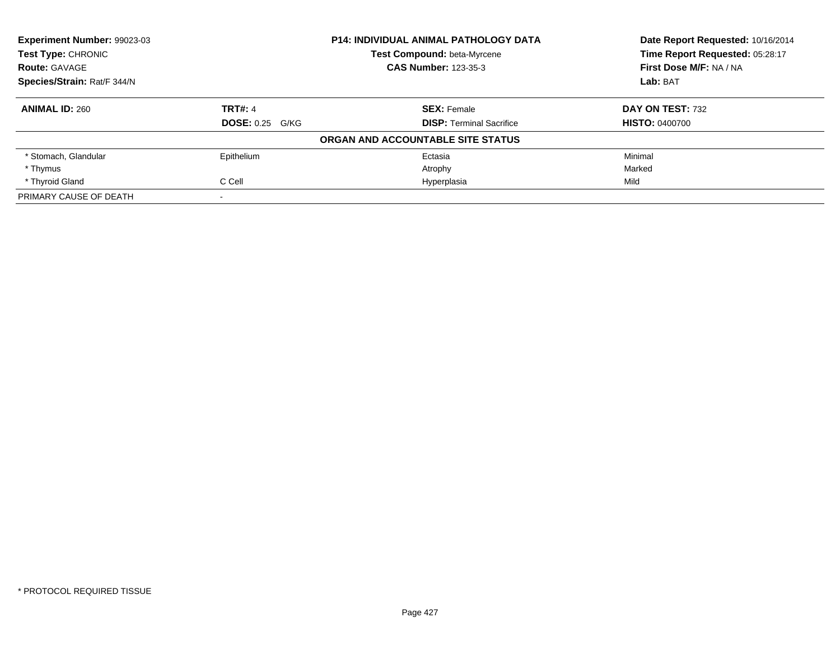| <b>Experiment Number: 99023-03</b> |                        | <b>P14: INDIVIDUAL ANIMAL PATHOLOGY DATA</b> | Date Report Requested: 10/16/2014 |
|------------------------------------|------------------------|----------------------------------------------|-----------------------------------|
| <b>Test Type: CHRONIC</b>          |                        | Test Compound: beta-Myrcene                  | Time Report Requested: 05:28:17   |
| <b>Route: GAVAGE</b>               |                        | <b>CAS Number: 123-35-3</b>                  | First Dose M/F: NA / NA           |
| Species/Strain: Rat/F 344/N        |                        |                                              | Lab: BAT                          |
| <b>ANIMAL ID: 260</b>              | <b>TRT#: 4</b>         | <b>SEX: Female</b>                           | DAY ON TEST: 732                  |
|                                    | <b>DOSE: 0.25 G/KG</b> | <b>DISP:</b> Terminal Sacrifice              | <b>HISTO: 0400700</b>             |
|                                    |                        | ORGAN AND ACCOUNTABLE SITE STATUS            |                                   |
| * Stomach, Glandular               | Epithelium             | Ectasia                                      | Minimal                           |
| * Thymus                           |                        | Atrophy                                      | Marked                            |
| * Thyroid Gland                    | C Cell                 | Hyperplasia                                  | Mild                              |
| PRIMARY CAUSE OF DEATH             |                        |                                              |                                   |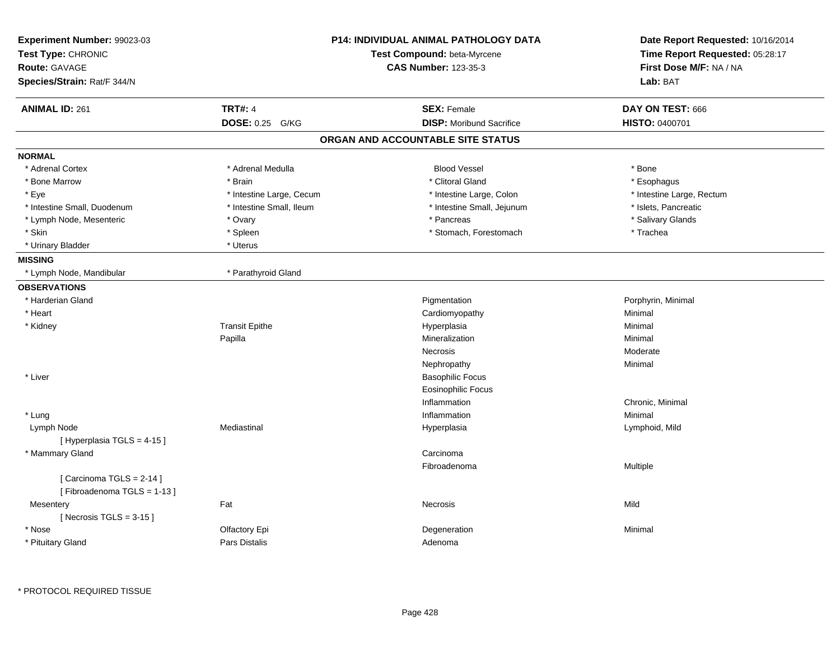| Experiment Number: 99023-03<br>Test Type: CHRONIC<br><b>Route: GAVAGE</b><br>Species/Strain: Rat/F 344/N |                          | <b>P14: INDIVIDUAL ANIMAL PATHOLOGY DATA</b><br>Test Compound: beta-Myrcene<br><b>CAS Number: 123-35-3</b> | Date Report Requested: 10/16/2014<br>Time Report Requested: 05:28:17<br>First Dose M/F: NA / NA<br>Lab: BAT |
|----------------------------------------------------------------------------------------------------------|--------------------------|------------------------------------------------------------------------------------------------------------|-------------------------------------------------------------------------------------------------------------|
| <b>ANIMAL ID: 261</b>                                                                                    | <b>TRT#: 4</b>           | <b>SEX: Female</b>                                                                                         | DAY ON TEST: 666                                                                                            |
|                                                                                                          | DOSE: 0.25 G/KG          | <b>DISP:</b> Moribund Sacrifice                                                                            | <b>HISTO: 0400701</b>                                                                                       |
|                                                                                                          |                          | ORGAN AND ACCOUNTABLE SITE STATUS                                                                          |                                                                                                             |
| <b>NORMAL</b>                                                                                            |                          |                                                                                                            |                                                                                                             |
| * Adrenal Cortex                                                                                         | * Adrenal Medulla        | <b>Blood Vessel</b>                                                                                        | * Bone                                                                                                      |
| * Bone Marrow                                                                                            | * Brain                  | * Clitoral Gland                                                                                           | * Esophagus                                                                                                 |
| * Eye                                                                                                    | * Intestine Large, Cecum | * Intestine Large, Colon                                                                                   | * Intestine Large, Rectum                                                                                   |
| * Intestine Small, Duodenum                                                                              | * Intestine Small, Ileum | * Intestine Small, Jejunum                                                                                 | * Islets, Pancreatic                                                                                        |
| * Lymph Node, Mesenteric                                                                                 | * Ovary                  | * Pancreas                                                                                                 | * Salivary Glands                                                                                           |
| * Skin                                                                                                   | * Spleen                 | * Stomach, Forestomach                                                                                     | * Trachea                                                                                                   |
| * Urinary Bladder                                                                                        | * Uterus                 |                                                                                                            |                                                                                                             |
| <b>MISSING</b>                                                                                           |                          |                                                                                                            |                                                                                                             |
| * Lymph Node, Mandibular                                                                                 | * Parathyroid Gland      |                                                                                                            |                                                                                                             |
| <b>OBSERVATIONS</b>                                                                                      |                          |                                                                                                            |                                                                                                             |
| * Harderian Gland                                                                                        |                          | Pigmentation                                                                                               | Porphyrin, Minimal                                                                                          |
| * Heart                                                                                                  |                          | Cardiomyopathy                                                                                             | Minimal                                                                                                     |
| * Kidney                                                                                                 | <b>Transit Epithe</b>    | Hyperplasia                                                                                                | Minimal                                                                                                     |
|                                                                                                          | Papilla                  | Mineralization                                                                                             | Minimal                                                                                                     |
|                                                                                                          |                          | Necrosis                                                                                                   | Moderate                                                                                                    |
|                                                                                                          |                          | Nephropathy                                                                                                | Minimal                                                                                                     |
| * Liver                                                                                                  |                          | <b>Basophilic Focus</b>                                                                                    |                                                                                                             |
|                                                                                                          |                          | <b>Eosinophilic Focus</b>                                                                                  |                                                                                                             |
|                                                                                                          |                          | Inflammation                                                                                               | Chronic, Minimal                                                                                            |
| * Lung                                                                                                   |                          | Inflammation                                                                                               | Minimal                                                                                                     |
| Lymph Node                                                                                               | Mediastinal              | Hyperplasia                                                                                                | Lymphoid, Mild                                                                                              |
| [ Hyperplasia TGLS = 4-15 ]                                                                              |                          |                                                                                                            |                                                                                                             |
| * Mammary Gland                                                                                          |                          | Carcinoma                                                                                                  |                                                                                                             |
|                                                                                                          |                          | Fibroadenoma                                                                                               | Multiple                                                                                                    |
| [Carcinoma TGLS = 2-14]                                                                                  |                          |                                                                                                            |                                                                                                             |
| [Fibroadenoma TGLS = 1-13]                                                                               |                          |                                                                                                            |                                                                                                             |
| Mesentery                                                                                                | Fat                      | Necrosis                                                                                                   | Mild                                                                                                        |
| [ Necrosis TGLS = $3-15$ ]                                                                               |                          |                                                                                                            |                                                                                                             |
| * Nose                                                                                                   | Olfactory Epi            | Degeneration                                                                                               | Minimal                                                                                                     |
| * Pituitary Gland                                                                                        | <b>Pars Distalis</b>     | Adenoma                                                                                                    |                                                                                                             |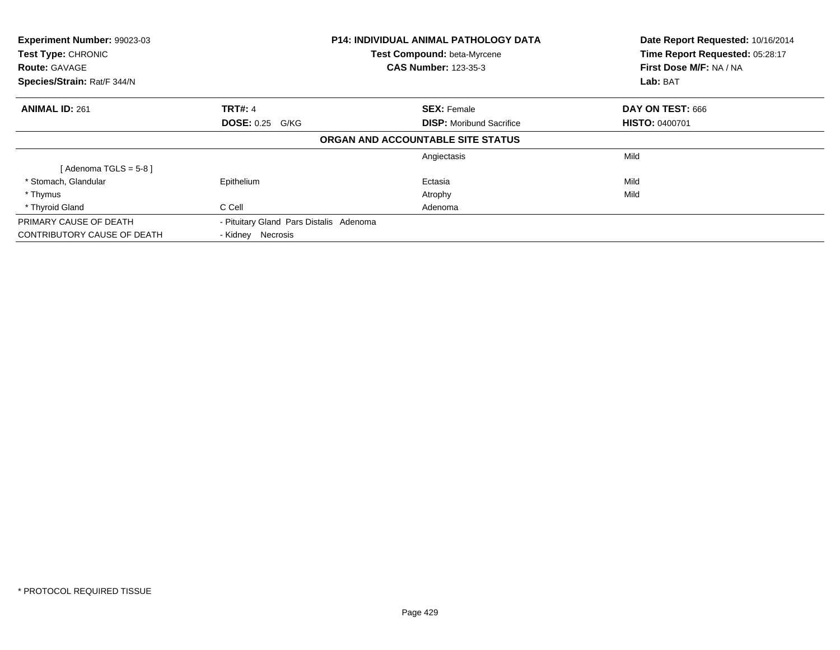| <b>Experiment Number: 99023-03</b><br>Test Type: CHRONIC<br><b>Route: GAVAGE</b> |                                         | <b>P14: INDIVIDUAL ANIMAL PATHOLOGY DATA</b><br>Test Compound: beta-Myrcene<br><b>CAS Number: 123-35-3</b> | Date Report Requested: 10/16/2014<br>Time Report Requested: 05:28:17<br>First Dose M/F: NA / NA |
|----------------------------------------------------------------------------------|-----------------------------------------|------------------------------------------------------------------------------------------------------------|-------------------------------------------------------------------------------------------------|
| Species/Strain: Rat/F 344/N                                                      |                                         |                                                                                                            | Lab: BAT                                                                                        |
| <b>ANIMAL ID: 261</b>                                                            | <b>TRT#: 4</b>                          | <b>SEX: Female</b>                                                                                         | DAY ON TEST: 666                                                                                |
|                                                                                  | <b>DOSE: 0.25 G/KG</b>                  | <b>DISP:</b> Moribund Sacrifice                                                                            | <b>HISTO: 0400701</b>                                                                           |
|                                                                                  |                                         | ORGAN AND ACCOUNTABLE SITE STATUS                                                                          |                                                                                                 |
|                                                                                  |                                         | Angiectasis                                                                                                | Mild                                                                                            |
| [Adenoma TGLS = $5-8$ ]                                                          |                                         |                                                                                                            |                                                                                                 |
| * Stomach, Glandular                                                             | Epithelium                              | Ectasia                                                                                                    | Mild                                                                                            |
| * Thymus                                                                         |                                         | Atrophy                                                                                                    | Mild                                                                                            |
| * Thyroid Gland                                                                  | C Cell                                  | Adenoma                                                                                                    |                                                                                                 |
| PRIMARY CAUSE OF DEATH                                                           | - Pituitary Gland Pars Distalis Adenoma |                                                                                                            |                                                                                                 |
| CONTRIBUTORY CAUSE OF DEATH                                                      | - Kidney Necrosis                       |                                                                                                            |                                                                                                 |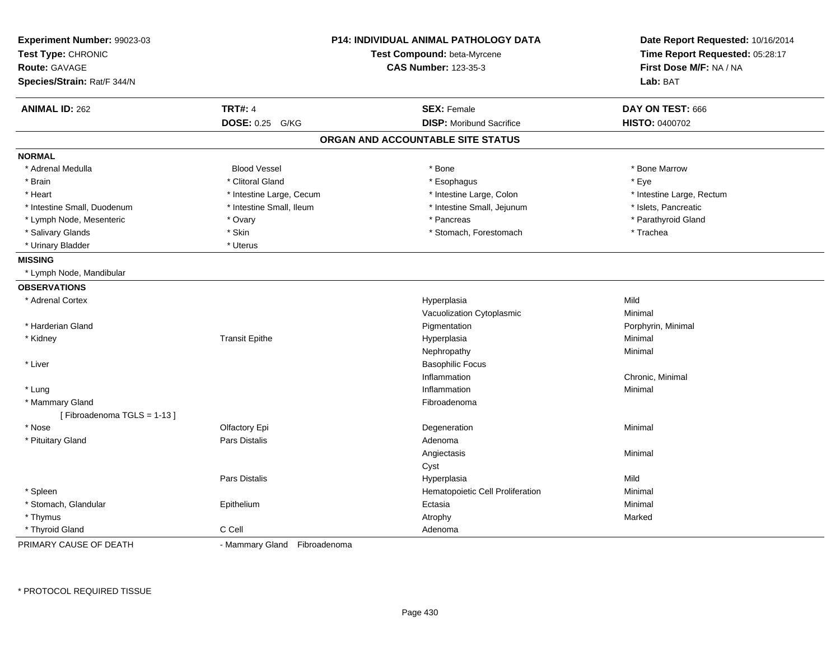| Experiment Number: 99023-03<br>Test Type: CHRONIC<br>Route: GAVAGE |                              | <b>P14: INDIVIDUAL ANIMAL PATHOLOGY DATA</b><br>Test Compound: beta-Myrcene<br><b>CAS Number: 123-35-3</b> | Date Report Requested: 10/16/2014<br>Time Report Requested: 05:28:17<br>First Dose M/F: NA / NA |
|--------------------------------------------------------------------|------------------------------|------------------------------------------------------------------------------------------------------------|-------------------------------------------------------------------------------------------------|
| Species/Strain: Rat/F 344/N                                        |                              |                                                                                                            | Lab: BAT                                                                                        |
| <b>ANIMAL ID: 262</b>                                              | <b>TRT#: 4</b>               | <b>SEX: Female</b>                                                                                         | DAY ON TEST: 666                                                                                |
|                                                                    | DOSE: 0.25 G/KG              | <b>DISP:</b> Moribund Sacrifice                                                                            | <b>HISTO: 0400702</b>                                                                           |
|                                                                    |                              | ORGAN AND ACCOUNTABLE SITE STATUS                                                                          |                                                                                                 |
| <b>NORMAL</b>                                                      |                              |                                                                                                            |                                                                                                 |
| * Adrenal Medulla                                                  | <b>Blood Vessel</b>          | * Bone                                                                                                     | * Bone Marrow                                                                                   |
| * Brain                                                            | * Clitoral Gland             | * Esophagus                                                                                                | * Eye                                                                                           |
| * Heart                                                            | * Intestine Large, Cecum     | * Intestine Large, Colon                                                                                   | * Intestine Large, Rectum                                                                       |
| * Intestine Small, Duodenum                                        | * Intestine Small, Ileum     | * Intestine Small, Jejunum                                                                                 | * Islets, Pancreatic                                                                            |
| * Lymph Node, Mesenteric                                           | * Ovary                      | * Pancreas                                                                                                 | * Parathyroid Gland                                                                             |
| * Salivary Glands                                                  | * Skin                       | * Stomach, Forestomach                                                                                     | * Trachea                                                                                       |
| * Urinary Bladder                                                  | * Uterus                     |                                                                                                            |                                                                                                 |
| <b>MISSING</b>                                                     |                              |                                                                                                            |                                                                                                 |
| * Lymph Node, Mandibular                                           |                              |                                                                                                            |                                                                                                 |
| <b>OBSERVATIONS</b>                                                |                              |                                                                                                            |                                                                                                 |
| * Adrenal Cortex                                                   |                              | Hyperplasia                                                                                                | Mild                                                                                            |
|                                                                    |                              | Vacuolization Cytoplasmic                                                                                  | Minimal                                                                                         |
| * Harderian Gland                                                  |                              | Pigmentation                                                                                               | Porphyrin, Minimal                                                                              |
| * Kidney                                                           | <b>Transit Epithe</b>        | Hyperplasia                                                                                                | Minimal                                                                                         |
|                                                                    |                              | Nephropathy                                                                                                | Minimal                                                                                         |
| * Liver                                                            |                              | <b>Basophilic Focus</b>                                                                                    |                                                                                                 |
|                                                                    |                              | Inflammation                                                                                               | Chronic, Minimal                                                                                |
| * Lung                                                             |                              | Inflammation                                                                                               | Minimal                                                                                         |
| * Mammary Gland                                                    |                              | Fibroadenoma                                                                                               |                                                                                                 |
| [Fibroadenoma TGLS = 1-13]                                         |                              |                                                                                                            |                                                                                                 |
| * Nose                                                             | Olfactory Epi                | Degeneration                                                                                               | Minimal                                                                                         |
| * Pituitary Gland                                                  | <b>Pars Distalis</b>         | Adenoma                                                                                                    |                                                                                                 |
|                                                                    |                              | Angiectasis                                                                                                | Minimal                                                                                         |
|                                                                    |                              | Cyst                                                                                                       |                                                                                                 |
|                                                                    | Pars Distalis                | Hyperplasia                                                                                                | Mild                                                                                            |
| * Spleen                                                           |                              | Hematopoietic Cell Proliferation                                                                           | Minimal                                                                                         |
| * Stomach, Glandular                                               | Epithelium                   | Ectasia                                                                                                    | Minimal                                                                                         |
| * Thymus                                                           |                              | Atrophy                                                                                                    | Marked                                                                                          |
| * Thyroid Gland                                                    | C Cell                       | Adenoma                                                                                                    |                                                                                                 |
| PRIMARY CAUSE OF DEATH                                             | - Mammary Gland Fibroadenoma |                                                                                                            |                                                                                                 |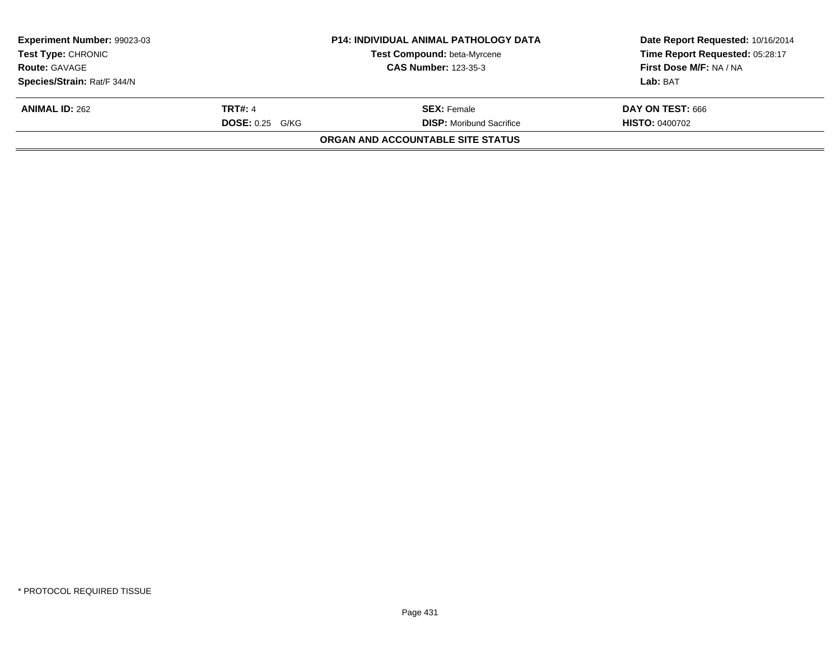|                                   | Time Report Requested: 05:28:17                                                      |
|-----------------------------------|--------------------------------------------------------------------------------------|
|                                   | <b>First Dose M/F: NA / NA</b>                                                       |
|                                   | Lab: BAT                                                                             |
| <b>SEX: Female</b>                | DAY ON TEST: 666                                                                     |
| <b>DISP:</b> Moribund Sacrifice   | <b>HISTO: 0400702</b>                                                                |
| ORGAN AND ACCOUNTABLE SITE STATUS |                                                                                      |
|                                   | Test Compound: beta-Myrcene<br><b>CAS Number: 123-35-3</b><br><b>DOSE: 0.25 G/KG</b> |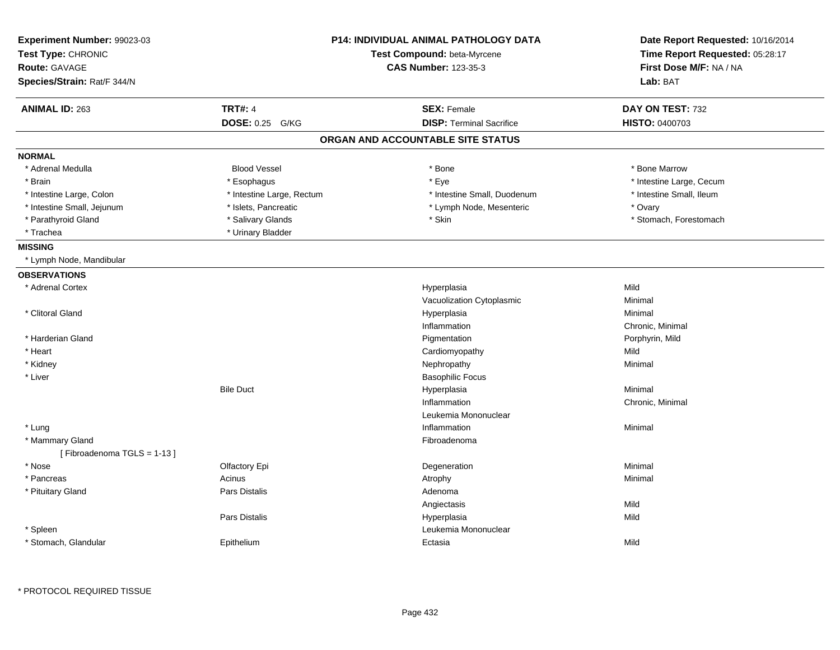| Experiment Number: 99023-03<br>Test Type: CHRONIC<br><b>Route: GAVAGE</b> |                           | <b>P14: INDIVIDUAL ANIMAL PATHOLOGY DATA</b><br>Test Compound: beta-Myrcene<br><b>CAS Number: 123-35-3</b> | Date Report Requested: 10/16/2014<br>Time Report Requested: 05:28:17<br>First Dose M/F: NA / NA<br>Lab: BAT |
|---------------------------------------------------------------------------|---------------------------|------------------------------------------------------------------------------------------------------------|-------------------------------------------------------------------------------------------------------------|
| Species/Strain: Rat/F 344/N                                               |                           |                                                                                                            |                                                                                                             |
| <b>ANIMAL ID: 263</b>                                                     | <b>TRT#: 4</b>            | <b>SEX: Female</b>                                                                                         | DAY ON TEST: 732                                                                                            |
|                                                                           | DOSE: 0.25 G/KG           | <b>DISP: Terminal Sacrifice</b>                                                                            | <b>HISTO: 0400703</b>                                                                                       |
|                                                                           |                           | ORGAN AND ACCOUNTABLE SITE STATUS                                                                          |                                                                                                             |
| <b>NORMAL</b>                                                             |                           |                                                                                                            |                                                                                                             |
| * Adrenal Medulla                                                         | <b>Blood Vessel</b>       | * Bone                                                                                                     | * Bone Marrow                                                                                               |
| * Brain                                                                   | * Esophagus               | * Eye                                                                                                      | * Intestine Large, Cecum                                                                                    |
| * Intestine Large, Colon                                                  | * Intestine Large, Rectum | * Intestine Small, Duodenum                                                                                | * Intestine Small, Ileum                                                                                    |
| * Intestine Small, Jejunum                                                | * Islets, Pancreatic      | * Lymph Node, Mesenteric                                                                                   | * Ovary                                                                                                     |
| * Parathyroid Gland                                                       | * Salivary Glands         | * Skin                                                                                                     | * Stomach, Forestomach                                                                                      |
| * Trachea                                                                 | * Urinary Bladder         |                                                                                                            |                                                                                                             |
| <b>MISSING</b>                                                            |                           |                                                                                                            |                                                                                                             |
| * Lymph Node, Mandibular                                                  |                           |                                                                                                            |                                                                                                             |
| <b>OBSERVATIONS</b>                                                       |                           |                                                                                                            |                                                                                                             |
| * Adrenal Cortex                                                          |                           | Hyperplasia                                                                                                | Mild                                                                                                        |
|                                                                           |                           | Vacuolization Cytoplasmic                                                                                  | Minimal                                                                                                     |
| * Clitoral Gland                                                          |                           | Hyperplasia                                                                                                | Minimal                                                                                                     |
|                                                                           |                           | Inflammation                                                                                               | Chronic, Minimal                                                                                            |
| * Harderian Gland                                                         |                           | Pigmentation                                                                                               | Porphyrin, Mild                                                                                             |
| * Heart                                                                   |                           | Cardiomyopathy                                                                                             | Mild                                                                                                        |
| * Kidney                                                                  |                           | Nephropathy                                                                                                | Minimal                                                                                                     |
| * Liver                                                                   |                           | <b>Basophilic Focus</b>                                                                                    |                                                                                                             |
|                                                                           | <b>Bile Duct</b>          | Hyperplasia                                                                                                | Minimal                                                                                                     |
|                                                                           |                           | Inflammation                                                                                               | Chronic, Minimal                                                                                            |
|                                                                           |                           | Leukemia Mononuclear                                                                                       |                                                                                                             |
| * Lung                                                                    |                           | Inflammation                                                                                               | Minimal                                                                                                     |
| * Mammary Gland                                                           |                           | Fibroadenoma                                                                                               |                                                                                                             |
| [Fibroadenoma TGLS = 1-13]                                                |                           |                                                                                                            |                                                                                                             |
| * Nose                                                                    | Olfactory Epi             | Degeneration                                                                                               | Minimal                                                                                                     |
| * Pancreas                                                                | Acinus                    | Atrophy                                                                                                    | Minimal                                                                                                     |
| * Pituitary Gland                                                         | Pars Distalis             | Adenoma                                                                                                    |                                                                                                             |
|                                                                           |                           | Angiectasis                                                                                                | Mild                                                                                                        |
|                                                                           | Pars Distalis             | Hyperplasia                                                                                                | Mild                                                                                                        |
| * Spleen                                                                  |                           | Leukemia Mononuclear                                                                                       |                                                                                                             |
| * Stomach, Glandular                                                      | Epithelium                | Ectasia                                                                                                    | Mild                                                                                                        |
|                                                                           |                           |                                                                                                            |                                                                                                             |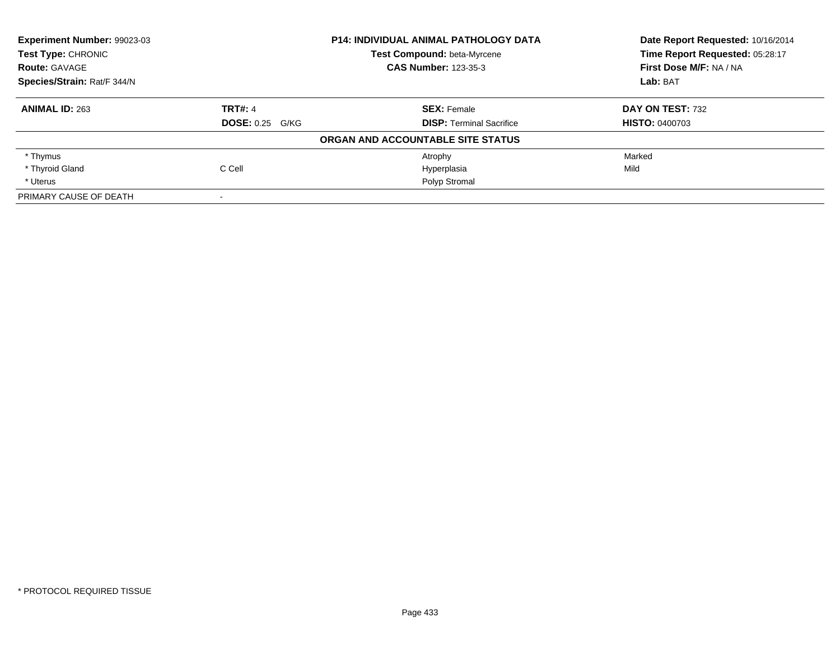| Experiment Number: 99023-03 |                        | <b>P14: INDIVIDUAL ANIMAL PATHOLOGY DATA</b> | Date Report Requested: 10/16/2014<br>Time Report Requested: 05:28:17 |
|-----------------------------|------------------------|----------------------------------------------|----------------------------------------------------------------------|
| <b>Test Type: CHRONIC</b>   |                        | Test Compound: beta-Myrcene                  |                                                                      |
| <b>Route: GAVAGE</b>        |                        | <b>CAS Number: 123-35-3</b>                  | First Dose M/F: NA / NA                                              |
| Species/Strain: Rat/F 344/N |                        |                                              | Lab: BAT                                                             |
| <b>ANIMAL ID: 263</b>       | <b>TRT#: 4</b>         | <b>SEX: Female</b>                           | DAY ON TEST: 732                                                     |
|                             | <b>DOSE: 0.25 G/KG</b> | <b>DISP: Terminal Sacrifice</b>              | <b>HISTO: 0400703</b>                                                |
|                             |                        | ORGAN AND ACCOUNTABLE SITE STATUS            |                                                                      |
| * Thymus                    |                        | Atrophy                                      | Marked                                                               |
| * Thyroid Gland             | C Cell                 | Hyperplasia                                  | Mild                                                                 |
| * Uterus                    |                        | Polyp Stromal                                |                                                                      |
| PRIMARY CAUSE OF DEATH      |                        |                                              |                                                                      |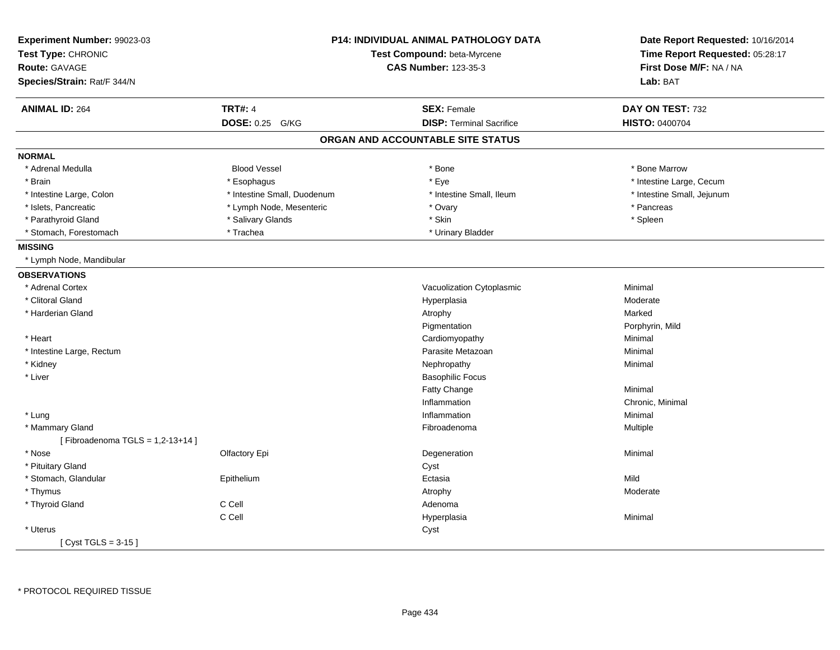| Experiment Number: 99023-03     |                             | <b>P14: INDIVIDUAL ANIMAL PATHOLOGY DATA</b> | Date Report Requested: 10/16/2014 |
|---------------------------------|-----------------------------|----------------------------------------------|-----------------------------------|
| Test Type: CHRONIC              | Test Compound: beta-Myrcene |                                              | Time Report Requested: 05:28:17   |
| Route: GAVAGE                   |                             | <b>CAS Number: 123-35-3</b>                  | First Dose M/F: NA / NA           |
| Species/Strain: Rat/F 344/N     |                             |                                              | Lab: BAT                          |
| <b>ANIMAL ID: 264</b>           | <b>TRT#: 4</b>              | <b>SEX: Female</b>                           | DAY ON TEST: 732                  |
|                                 | <b>DOSE: 0.25</b><br>G/KG   | <b>DISP: Terminal Sacrifice</b>              | <b>HISTO: 0400704</b>             |
|                                 |                             | ORGAN AND ACCOUNTABLE SITE STATUS            |                                   |
| <b>NORMAL</b>                   |                             |                                              |                                   |
| * Adrenal Medulla               | <b>Blood Vessel</b>         | * Bone                                       | * Bone Marrow                     |
| * Brain                         | * Esophagus                 | * Eye                                        | * Intestine Large, Cecum          |
| * Intestine Large, Colon        | * Intestine Small, Duodenum | * Intestine Small, Ileum                     | * Intestine Small, Jejunum        |
| * Islets, Pancreatic            | * Lymph Node, Mesenteric    | * Ovary                                      | * Pancreas                        |
| * Parathyroid Gland             | * Salivary Glands           | * Skin                                       | * Spleen                          |
| * Stomach, Forestomach          | * Trachea                   | * Urinary Bladder                            |                                   |
| <b>MISSING</b>                  |                             |                                              |                                   |
| * Lymph Node, Mandibular        |                             |                                              |                                   |
| <b>OBSERVATIONS</b>             |                             |                                              |                                   |
| * Adrenal Cortex                |                             | Vacuolization Cytoplasmic                    | Minimal                           |
| * Clitoral Gland                |                             | Hyperplasia                                  | Moderate                          |
| * Harderian Gland               |                             | Atrophy                                      | Marked                            |
|                                 |                             | Pigmentation                                 | Porphyrin, Mild                   |
| * Heart                         |                             | Cardiomyopathy                               | Minimal                           |
| * Intestine Large, Rectum       |                             | Parasite Metazoan                            | Minimal                           |
| * Kidney                        |                             | Nephropathy                                  | Minimal                           |
| * Liver                         |                             | <b>Basophilic Focus</b>                      |                                   |
|                                 |                             | Fatty Change                                 | Minimal                           |
|                                 |                             | Inflammation                                 | Chronic, Minimal                  |
| * Lung                          |                             | Inflammation                                 | Minimal                           |
| * Mammary Gland                 |                             | Fibroadenoma                                 | Multiple                          |
| [Fibroadenoma TGLS = 1,2-13+14] |                             |                                              |                                   |
| * Nose                          | Olfactory Epi               | Degeneration                                 | Minimal                           |
| * Pituitary Gland               |                             | Cyst                                         |                                   |
| * Stomach, Glandular            | Epithelium                  | Ectasia                                      | Mild                              |
| * Thymus                        |                             | Atrophy                                      | Moderate                          |
| * Thyroid Gland                 | C Cell                      | Adenoma                                      |                                   |
|                                 | C Cell                      | Hyperplasia                                  | Minimal                           |
| * Uterus                        |                             | Cyst                                         |                                   |
| [ $Cyst TGLS = 3-15$ ]          |                             |                                              |                                   |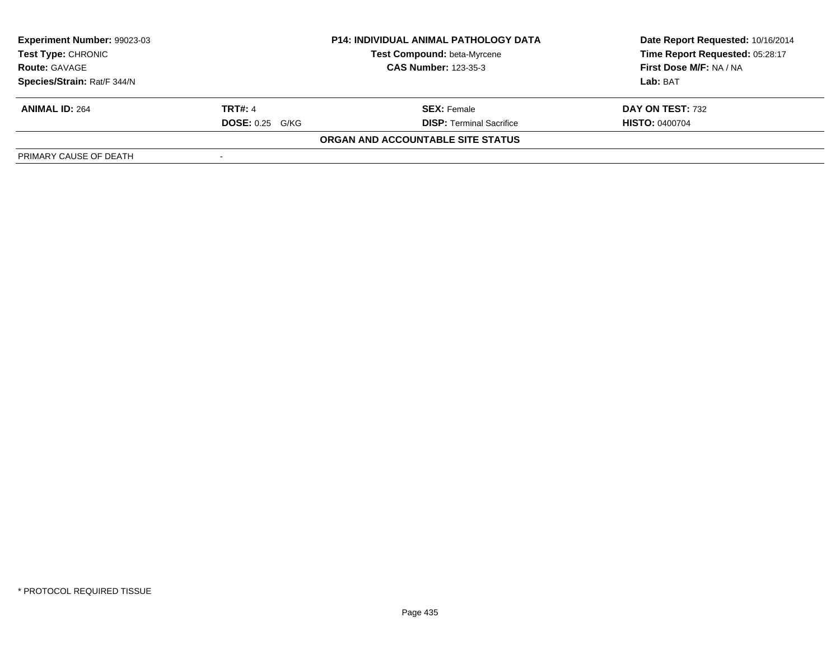| <b>Experiment Number: 99023-03</b> |                        | <b>P14: INDIVIDUAL ANIMAL PATHOLOGY DATA</b> | Date Report Requested: 10/16/2014 |  |
|------------------------------------|------------------------|----------------------------------------------|-----------------------------------|--|
| Test Type: CHRONIC                 |                        | Test Compound: beta-Myrcene                  | Time Report Requested: 05:28:17   |  |
| <b>Route: GAVAGE</b>               |                        | <b>CAS Number: 123-35-3</b>                  | First Dose M/F: NA / NA           |  |
| Species/Strain: Rat/F 344/N        |                        |                                              | Lab: BAT                          |  |
| <b>ANIMAL ID: 264</b>              | <b>TRT#: 4</b>         | <b>SEX:</b> Female                           | DAY ON TEST: 732                  |  |
|                                    | <b>DOSE: 0.25 G/KG</b> | <b>DISP: Terminal Sacrifice</b>              | <b>HISTO: 0400704</b>             |  |
|                                    |                        | ORGAN AND ACCOUNTABLE SITE STATUS            |                                   |  |
| PRIMARY CAUSE OF DEATH             |                        |                                              |                                   |  |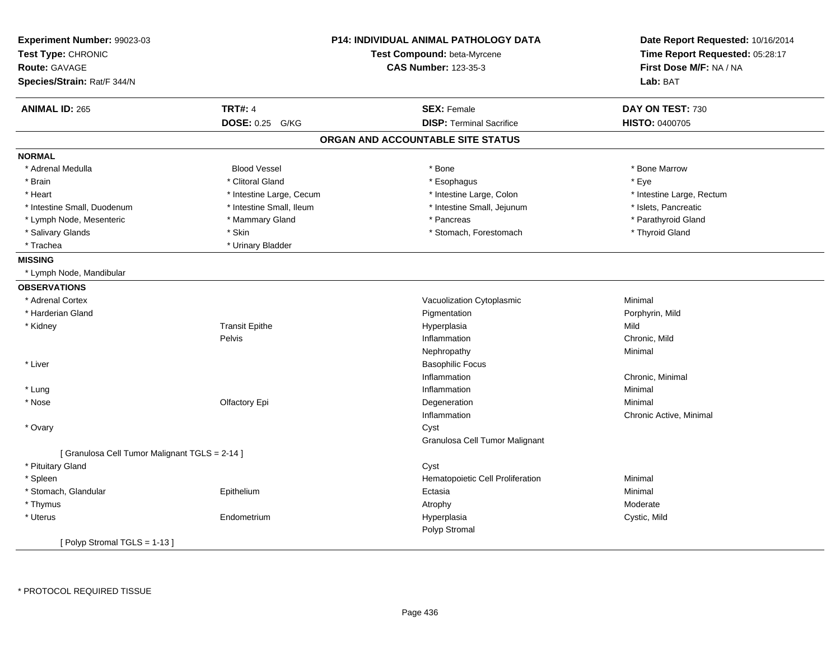| Experiment Number: 99023-03<br>Test Type: CHRONIC |                           | <b>P14: INDIVIDUAL ANIMAL PATHOLOGY DATA</b><br>Test Compound: beta-Myrcene | Date Report Requested: 10/16/2014<br>Time Report Requested: 05:28:17 |
|---------------------------------------------------|---------------------------|-----------------------------------------------------------------------------|----------------------------------------------------------------------|
| <b>Route: GAVAGE</b>                              |                           | <b>CAS Number: 123-35-3</b>                                                 | First Dose M/F: NA / NA                                              |
| Species/Strain: Rat/F 344/N                       |                           |                                                                             | Lab: BAT                                                             |
| <b>ANIMAL ID: 265</b>                             | <b>TRT#: 4</b>            | <b>SEX: Female</b>                                                          | DAY ON TEST: 730                                                     |
|                                                   | <b>DOSE: 0.25</b><br>G/KG | <b>DISP: Terminal Sacrifice</b>                                             | HISTO: 0400705                                                       |
|                                                   |                           | ORGAN AND ACCOUNTABLE SITE STATUS                                           |                                                                      |
| <b>NORMAL</b>                                     |                           |                                                                             |                                                                      |
| * Adrenal Medulla                                 | <b>Blood Vessel</b>       | * Bone                                                                      | * Bone Marrow                                                        |
| * Brain                                           | * Clitoral Gland          | * Esophagus                                                                 | * Eye                                                                |
| * Heart                                           | * Intestine Large, Cecum  | * Intestine Large, Colon                                                    | * Intestine Large, Rectum                                            |
| * Intestine Small, Duodenum                       | * Intestine Small, Ileum  | * Intestine Small, Jejunum                                                  | * Islets, Pancreatic                                                 |
| * Lymph Node, Mesenteric                          | * Mammary Gland           | * Pancreas                                                                  | * Parathyroid Gland                                                  |
| * Salivary Glands                                 | * Skin                    | * Stomach, Forestomach                                                      | * Thyroid Gland                                                      |
| * Trachea                                         | * Urinary Bladder         |                                                                             |                                                                      |
| <b>MISSING</b>                                    |                           |                                                                             |                                                                      |
| * Lymph Node, Mandibular                          |                           |                                                                             |                                                                      |
| <b>OBSERVATIONS</b>                               |                           |                                                                             |                                                                      |
| * Adrenal Cortex                                  |                           | Vacuolization Cytoplasmic                                                   | Minimal                                                              |
| * Harderian Gland                                 |                           | Pigmentation                                                                | Porphyrin, Mild                                                      |
| * Kidney                                          | <b>Transit Epithe</b>     | Hyperplasia                                                                 | Mild                                                                 |
|                                                   | Pelvis                    | Inflammation                                                                | Chronic, Mild                                                        |
|                                                   |                           | Nephropathy                                                                 | Minimal                                                              |
| * Liver                                           |                           | <b>Basophilic Focus</b>                                                     |                                                                      |
|                                                   |                           | Inflammation                                                                | Chronic, Minimal                                                     |
| * Lung                                            |                           | Inflammation                                                                | Minimal                                                              |
| * Nose                                            | Olfactory Epi             | Degeneration                                                                | Minimal                                                              |
|                                                   |                           | Inflammation                                                                | Chronic Active, Minimal                                              |
| * Ovary                                           |                           | Cyst                                                                        |                                                                      |
|                                                   |                           | Granulosa Cell Tumor Malignant                                              |                                                                      |
| [ Granulosa Cell Tumor Malignant TGLS = 2-14 ]    |                           |                                                                             |                                                                      |
| * Pituitary Gland                                 |                           | Cyst                                                                        |                                                                      |
| * Spleen                                          |                           | Hematopoietic Cell Proliferation                                            | Minimal                                                              |
| * Stomach, Glandular                              | Epithelium                | Ectasia                                                                     | Minimal                                                              |
| * Thymus                                          |                           | Atrophy                                                                     | Moderate                                                             |
| * Uterus                                          | Endometrium               | Hyperplasia                                                                 | Cystic, Mild                                                         |
|                                                   |                           | Polyp Stromal                                                               |                                                                      |
| [Polyp Stromal TGLS = 1-13]                       |                           |                                                                             |                                                                      |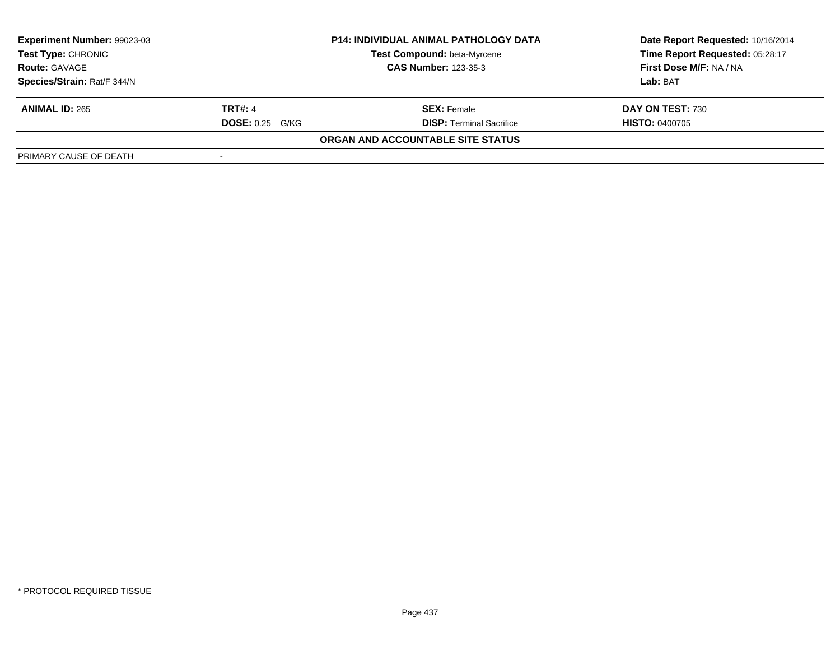| <b>Experiment Number: 99023-03</b> |                        | <b>P14: INDIVIDUAL ANIMAL PATHOLOGY DATA</b> | Date Report Requested: 10/16/2014 |  |
|------------------------------------|------------------------|----------------------------------------------|-----------------------------------|--|
| Test Type: CHRONIC                 |                        | Test Compound: beta-Myrcene                  | Time Report Requested: 05:28:17   |  |
| <b>Route: GAVAGE</b>               |                        | <b>CAS Number: 123-35-3</b>                  | First Dose M/F: NA / NA           |  |
| Species/Strain: Rat/F 344/N        |                        |                                              | Lab: BAT                          |  |
| <b>ANIMAL ID: 265</b>              | <b>TRT#: 4</b>         | <b>SEX:</b> Female                           | DAY ON TEST: 730                  |  |
|                                    | <b>DOSE: 0.25 G/KG</b> | <b>DISP: Terminal Sacrifice</b>              | <b>HISTO: 0400705</b>             |  |
|                                    |                        | ORGAN AND ACCOUNTABLE SITE STATUS            |                                   |  |
| PRIMARY CAUSE OF DEATH             |                        |                                              |                                   |  |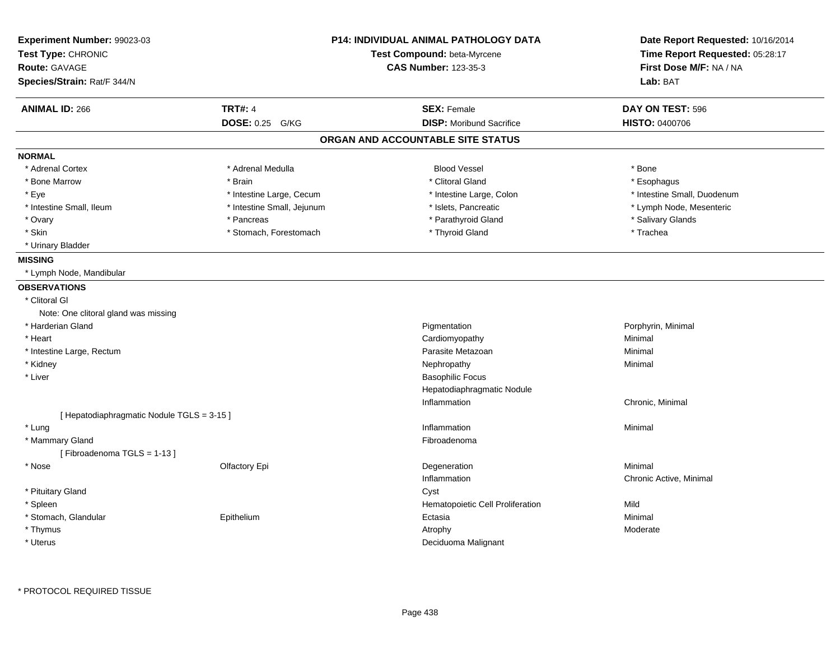| Experiment Number: 99023-03                | <b>P14: INDIVIDUAL ANIMAL PATHOLOGY DATA</b> |                                   | Date Report Requested: 10/16/2014 |
|--------------------------------------------|----------------------------------------------|-----------------------------------|-----------------------------------|
| Test Type: CHRONIC                         |                                              | Test Compound: beta-Myrcene       | Time Report Requested: 05:28:17   |
| <b>Route: GAVAGE</b>                       |                                              | <b>CAS Number: 123-35-3</b>       | First Dose M/F: NA / NA           |
| Species/Strain: Rat/F 344/N                |                                              |                                   | Lab: BAT                          |
| <b>ANIMAL ID: 266</b>                      | <b>TRT#: 4</b>                               | <b>SEX: Female</b>                | DAY ON TEST: 596                  |
|                                            | DOSE: 0.25 G/KG                              | <b>DISP:</b> Moribund Sacrifice   | <b>HISTO: 0400706</b>             |
|                                            |                                              | ORGAN AND ACCOUNTABLE SITE STATUS |                                   |
| <b>NORMAL</b>                              |                                              |                                   |                                   |
| * Adrenal Cortex                           | * Adrenal Medulla                            | <b>Blood Vessel</b>               | * Bone                            |
| * Bone Marrow                              | * Brain                                      | * Clitoral Gland                  | * Esophagus                       |
| * Eye                                      | * Intestine Large, Cecum                     | * Intestine Large, Colon          | * Intestine Small, Duodenum       |
| * Intestine Small, Ileum                   | * Intestine Small, Jejunum                   | * Islets, Pancreatic              | * Lymph Node, Mesenteric          |
| * Ovary                                    | * Pancreas                                   | * Parathyroid Gland               | * Salivary Glands                 |
| * Skin                                     | * Stomach, Forestomach                       | * Thyroid Gland                   | * Trachea                         |
| * Urinary Bladder                          |                                              |                                   |                                   |
| <b>MISSING</b>                             |                                              |                                   |                                   |
| * Lymph Node, Mandibular                   |                                              |                                   |                                   |
| <b>OBSERVATIONS</b>                        |                                              |                                   |                                   |
| * Clitoral GI                              |                                              |                                   |                                   |
| Note: One clitoral gland was missing       |                                              |                                   |                                   |
| * Harderian Gland                          |                                              | Pigmentation                      | Porphyrin, Minimal                |
| * Heart                                    |                                              | Cardiomyopathy                    | Minimal                           |
| * Intestine Large, Rectum                  |                                              | Parasite Metazoan                 | Minimal                           |
| * Kidney                                   |                                              | Nephropathy                       | Minimal                           |
| * Liver                                    |                                              | <b>Basophilic Focus</b>           |                                   |
|                                            |                                              | Hepatodiaphragmatic Nodule        |                                   |
|                                            |                                              | Inflammation                      | Chronic, Minimal                  |
| [ Hepatodiaphragmatic Nodule TGLS = 3-15 ] |                                              |                                   |                                   |
| * Lung                                     |                                              | Inflammation                      | Minimal                           |
| * Mammary Gland                            |                                              | Fibroadenoma                      |                                   |
| [Fibroadenoma TGLS = 1-13]                 |                                              |                                   |                                   |
| * Nose                                     | Olfactory Epi                                | Degeneration                      | Minimal                           |
|                                            |                                              | Inflammation                      | Chronic Active, Minimal           |
| * Pituitary Gland                          |                                              | Cyst                              |                                   |
| * Spleen                                   |                                              | Hematopoietic Cell Proliferation  | Mild                              |
| * Stomach, Glandular                       | Epithelium                                   | Ectasia                           | Minimal                           |
| * Thymus                                   |                                              | Atrophy                           | Moderate                          |
| * Uterus                                   |                                              | Deciduoma Malignant               |                                   |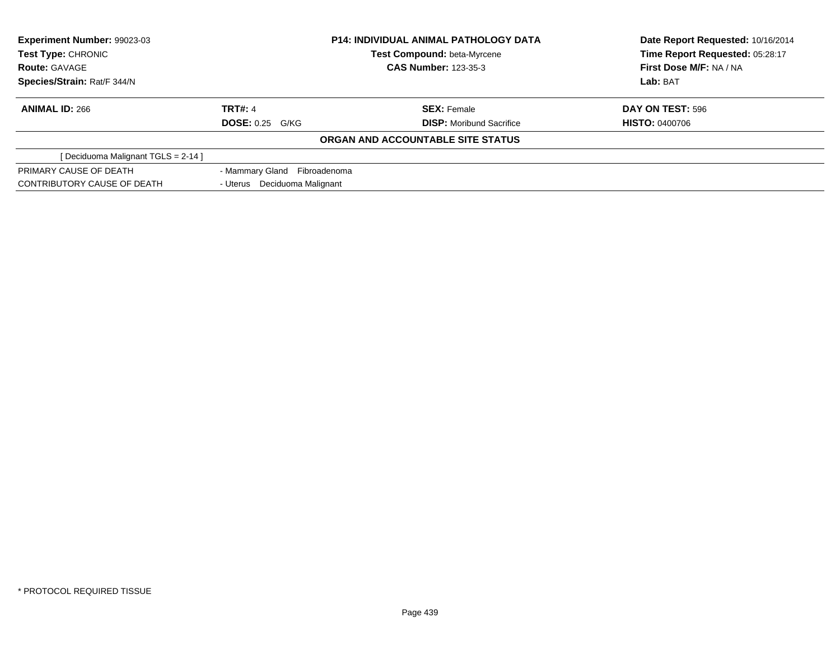| Experiment Number: 99023-03         |                              | <b>P14: INDIVIDUAL ANIMAL PATHOLOGY DATA</b> | Date Report Requested: 10/16/2014 |  |
|-------------------------------------|------------------------------|----------------------------------------------|-----------------------------------|--|
| Test Type: CHRONIC                  | Test Compound: beta-Myrcene  |                                              | Time Report Requested: 05:28:17   |  |
| <b>Route: GAVAGE</b>                |                              | <b>CAS Number: 123-35-3</b>                  | First Dose M/F: NA / NA           |  |
| Species/Strain: Rat/F 344/N         |                              |                                              | Lab: BAT                          |  |
| <b>ANIMAL ID: 266</b>               | <b>TRT#: 4</b>               | <b>SEX: Female</b>                           | DAY ON TEST: 596                  |  |
|                                     | <b>DOSE: 0.25 G/KG</b>       | <b>DISP:</b> Moribund Sacrifice              | <b>HISTO: 0400706</b>             |  |
|                                     |                              | ORGAN AND ACCOUNTABLE SITE STATUS            |                                   |  |
| [ Deciduoma Malignant TGLS = 2-14 ] |                              |                                              |                                   |  |
| PRIMARY CAUSE OF DEATH              | - Mammary Gland Fibroadenoma |                                              |                                   |  |
| CONTRIBUTORY CAUSE OF DEATH         | - Uterus Deciduoma Malignant |                                              |                                   |  |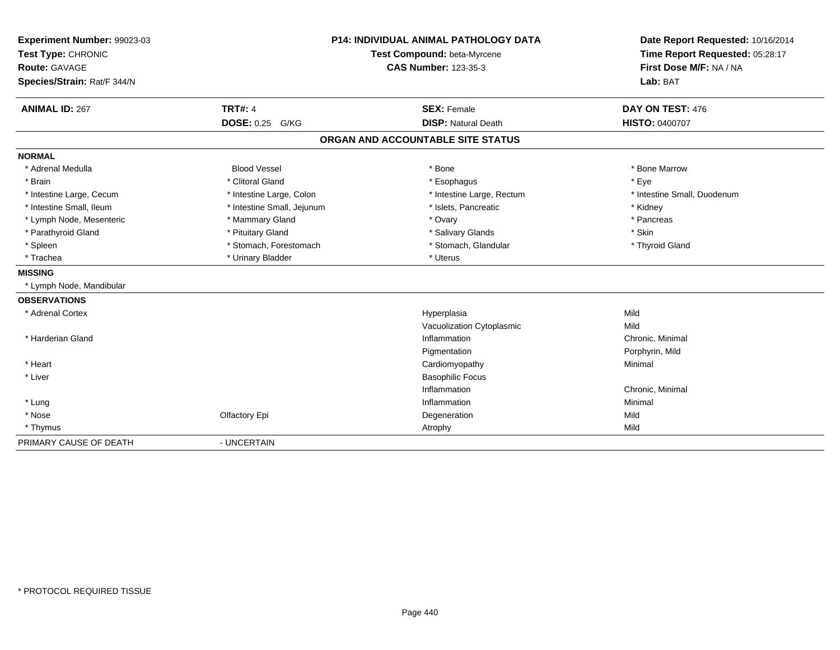| Experiment Number: 99023-03<br>Test Type: CHRONIC |                            | <b>P14: INDIVIDUAL ANIMAL PATHOLOGY DATA</b><br>Test Compound: beta-Myrcene | Date Report Requested: 10/16/2014<br>Time Report Requested: 05:28:17 |
|---------------------------------------------------|----------------------------|-----------------------------------------------------------------------------|----------------------------------------------------------------------|
| <b>Route: GAVAGE</b>                              |                            | <b>CAS Number: 123-35-3</b>                                                 | First Dose M/F: NA / NA                                              |
| Species/Strain: Rat/F 344/N                       |                            |                                                                             | Lab: BAT                                                             |
| <b>ANIMAL ID: 267</b>                             | <b>TRT#: 4</b>             | <b>SEX: Female</b>                                                          | DAY ON TEST: 476                                                     |
|                                                   | DOSE: 0.25 G/KG            | <b>DISP: Natural Death</b>                                                  | HISTO: 0400707                                                       |
|                                                   |                            | ORGAN AND ACCOUNTABLE SITE STATUS                                           |                                                                      |
| <b>NORMAL</b>                                     |                            |                                                                             |                                                                      |
| * Adrenal Medulla                                 | <b>Blood Vessel</b>        | * Bone                                                                      | * Bone Marrow                                                        |
| * Brain                                           | * Clitoral Gland           | * Esophagus                                                                 | * Eye                                                                |
| * Intestine Large, Cecum                          | * Intestine Large, Colon   | * Intestine Large, Rectum                                                   | * Intestine Small, Duodenum                                          |
| * Intestine Small, Ileum                          | * Intestine Small, Jejunum | * Islets, Pancreatic                                                        | * Kidney                                                             |
| * Lymph Node, Mesenteric                          | * Mammary Gland            | * Ovary                                                                     | * Pancreas                                                           |
| * Parathyroid Gland                               | * Pituitary Gland          | * Salivary Glands                                                           | * Skin                                                               |
| * Spleen                                          | * Stomach, Forestomach     | * Stomach, Glandular                                                        | * Thyroid Gland                                                      |
| * Trachea                                         | * Urinary Bladder          | * Uterus                                                                    |                                                                      |
| <b>MISSING</b>                                    |                            |                                                                             |                                                                      |
| * Lymph Node, Mandibular                          |                            |                                                                             |                                                                      |
| <b>OBSERVATIONS</b>                               |                            |                                                                             |                                                                      |
| * Adrenal Cortex                                  |                            | Hyperplasia                                                                 | Mild                                                                 |
|                                                   |                            | Vacuolization Cytoplasmic                                                   | Mild                                                                 |
| * Harderian Gland                                 |                            | Inflammation                                                                | Chronic, Minimal                                                     |
|                                                   |                            | Pigmentation                                                                | Porphyrin, Mild                                                      |
| * Heart                                           |                            | Cardiomyopathy                                                              | Minimal                                                              |
| * Liver                                           |                            | <b>Basophilic Focus</b>                                                     |                                                                      |
|                                                   |                            | Inflammation                                                                | Chronic, Minimal                                                     |
| * Lung                                            |                            | Inflammation                                                                | Minimal                                                              |
| * Nose                                            | Olfactory Epi              | Degeneration                                                                | Mild                                                                 |
| * Thymus                                          |                            | Atrophy                                                                     | Mild                                                                 |
| PRIMARY CAUSE OF DEATH                            | - UNCERTAIN                |                                                                             |                                                                      |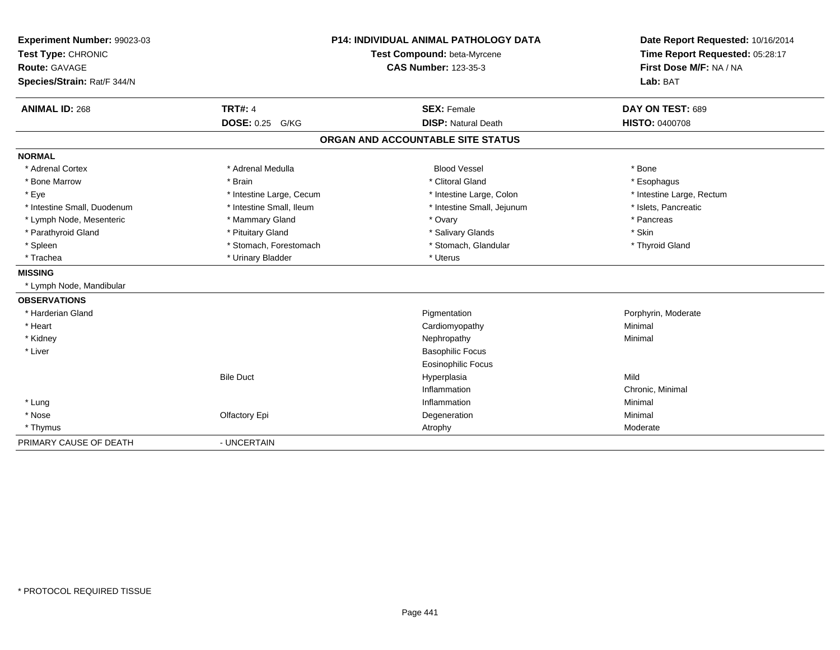| Experiment Number: 99023-03 |                           | <b>P14: INDIVIDUAL ANIMAL PATHOLOGY DATA</b> | Date Report Requested: 10/16/2014 |
|-----------------------------|---------------------------|----------------------------------------------|-----------------------------------|
| Test Type: CHRONIC          |                           | Test Compound: beta-Myrcene                  | Time Report Requested: 05:28:17   |
| <b>Route: GAVAGE</b>        |                           | <b>CAS Number: 123-35-3</b>                  | First Dose M/F: NA / NA           |
| Species/Strain: Rat/F 344/N |                           |                                              | Lab: BAT                          |
| <b>ANIMAL ID: 268</b>       | <b>TRT#: 4</b>            | <b>SEX: Female</b>                           | DAY ON TEST: 689                  |
|                             | <b>DOSE: 0.25</b><br>G/KG | <b>DISP: Natural Death</b>                   | HISTO: 0400708                    |
|                             |                           | ORGAN AND ACCOUNTABLE SITE STATUS            |                                   |
| <b>NORMAL</b>               |                           |                                              |                                   |
| * Adrenal Cortex            | * Adrenal Medulla         | <b>Blood Vessel</b>                          | * Bone                            |
| * Bone Marrow               | * Brain                   | * Clitoral Gland                             | * Esophagus                       |
| * Eye                       | * Intestine Large, Cecum  | * Intestine Large, Colon                     | * Intestine Large, Rectum         |
| * Intestine Small, Duodenum | * Intestine Small, Ileum  | * Intestine Small, Jejunum                   | * Islets, Pancreatic              |
| * Lymph Node, Mesenteric    | * Mammary Gland           | * Ovary                                      | * Pancreas                        |
| * Parathyroid Gland         | * Pituitary Gland         | * Salivary Glands                            | * Skin                            |
| * Spleen                    | * Stomach, Forestomach    | * Stomach, Glandular                         | * Thyroid Gland                   |
| * Trachea                   | * Urinary Bladder         | * Uterus                                     |                                   |
| <b>MISSING</b>              |                           |                                              |                                   |
| * Lymph Node, Mandibular    |                           |                                              |                                   |
| <b>OBSERVATIONS</b>         |                           |                                              |                                   |
| * Harderian Gland           |                           | Pigmentation                                 | Porphyrin, Moderate               |
| * Heart                     |                           | Cardiomyopathy                               | Minimal                           |
| * Kidney                    |                           | Nephropathy                                  | Minimal                           |
| * Liver                     |                           | <b>Basophilic Focus</b>                      |                                   |
|                             |                           | <b>Eosinophilic Focus</b>                    |                                   |
|                             | <b>Bile Duct</b>          | Hyperplasia                                  | Mild                              |
|                             |                           | Inflammation                                 | Chronic, Minimal                  |
| * Lung                      |                           | Inflammation                                 | Minimal                           |
| * Nose                      | Olfactory Epi             | Degeneration                                 | Minimal                           |
| * Thymus                    |                           | Atrophy                                      | Moderate                          |
| PRIMARY CAUSE OF DEATH      | - UNCERTAIN               |                                              |                                   |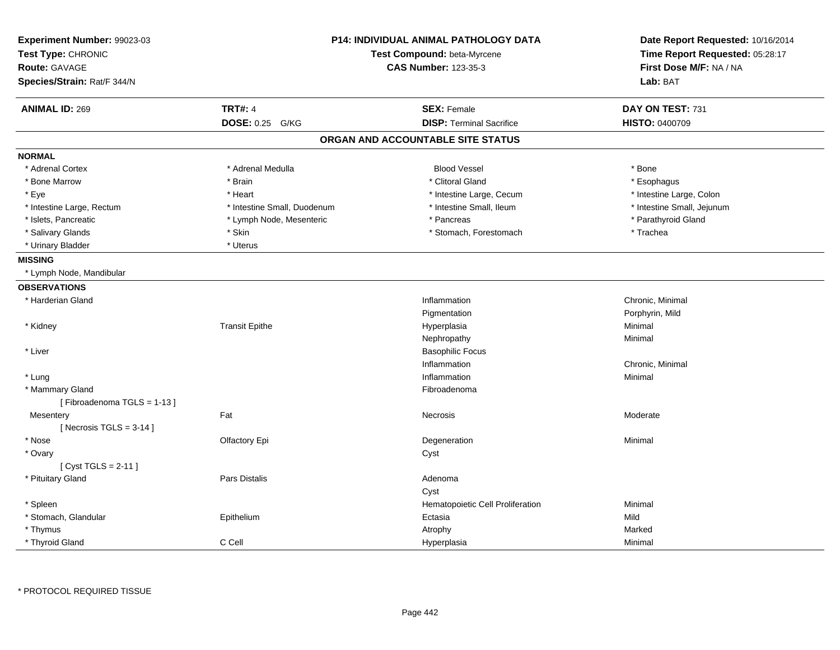| Experiment Number: 99023-03<br>Test Type: CHRONIC | <b>P14: INDIVIDUAL ANIMAL PATHOLOGY DATA</b><br>Test Compound: beta-Myrcene<br><b>CAS Number: 123-35-3</b> |                                   | Date Report Requested: 10/16/2014<br>Time Report Requested: 05:28:17<br>First Dose M/F: NA / NA |
|---------------------------------------------------|------------------------------------------------------------------------------------------------------------|-----------------------------------|-------------------------------------------------------------------------------------------------|
| Route: GAVAGE                                     |                                                                                                            |                                   |                                                                                                 |
| Species/Strain: Rat/F 344/N                       |                                                                                                            |                                   | Lab: BAT                                                                                        |
|                                                   |                                                                                                            |                                   |                                                                                                 |
| <b>ANIMAL ID: 269</b>                             | <b>TRT#: 4</b>                                                                                             | <b>SEX: Female</b>                | DAY ON TEST: 731                                                                                |
|                                                   | <b>DOSE: 0.25</b><br>G/KG                                                                                  | <b>DISP: Terminal Sacrifice</b>   | HISTO: 0400709                                                                                  |
|                                                   |                                                                                                            | ORGAN AND ACCOUNTABLE SITE STATUS |                                                                                                 |
| <b>NORMAL</b>                                     |                                                                                                            |                                   |                                                                                                 |
| * Adrenal Cortex                                  | * Adrenal Medulla                                                                                          | <b>Blood Vessel</b>               | * Bone                                                                                          |
| * Bone Marrow                                     | * Brain                                                                                                    | * Clitoral Gland                  | * Esophagus                                                                                     |
| * Eye                                             | * Heart                                                                                                    | * Intestine Large, Cecum          | * Intestine Large, Colon                                                                        |
| * Intestine Large, Rectum                         | * Intestine Small, Duodenum                                                                                | * Intestine Small, Ileum          | * Intestine Small, Jejunum                                                                      |
| * Islets, Pancreatic                              | * Lymph Node, Mesenteric                                                                                   | * Pancreas                        | * Parathyroid Gland                                                                             |
| * Salivary Glands                                 | * Skin                                                                                                     | * Stomach, Forestomach            | * Trachea                                                                                       |
| * Urinary Bladder                                 | * Uterus                                                                                                   |                                   |                                                                                                 |
| <b>MISSING</b>                                    |                                                                                                            |                                   |                                                                                                 |
| * Lymph Node, Mandibular                          |                                                                                                            |                                   |                                                                                                 |
| <b>OBSERVATIONS</b>                               |                                                                                                            |                                   |                                                                                                 |
| * Harderian Gland                                 |                                                                                                            | Inflammation                      | Chronic, Minimal                                                                                |
|                                                   |                                                                                                            | Pigmentation                      | Porphyrin, Mild                                                                                 |
| * Kidney                                          | <b>Transit Epithe</b>                                                                                      | Hyperplasia                       | Minimal                                                                                         |
|                                                   |                                                                                                            | Nephropathy                       | Minimal                                                                                         |
| * Liver                                           |                                                                                                            | <b>Basophilic Focus</b>           |                                                                                                 |
|                                                   |                                                                                                            | Inflammation                      | Chronic, Minimal                                                                                |
| * Lung                                            |                                                                                                            | Inflammation                      | Minimal                                                                                         |
| * Mammary Gland                                   |                                                                                                            | Fibroadenoma                      |                                                                                                 |
| [Fibroadenoma TGLS = 1-13]                        |                                                                                                            |                                   |                                                                                                 |
| Mesentery                                         | Fat                                                                                                        | Necrosis                          | Moderate                                                                                        |
| [ Necrosis TGLS = $3-14$ ]                        |                                                                                                            |                                   |                                                                                                 |
| * Nose                                            | Olfactory Epi                                                                                              | Degeneration                      | Minimal                                                                                         |
| * Ovary                                           |                                                                                                            | Cyst                              |                                                                                                 |
| [ $Cyst TGLS = 2-11$ ]                            |                                                                                                            |                                   |                                                                                                 |
| * Pituitary Gland                                 | Pars Distalis                                                                                              | Adenoma                           |                                                                                                 |
|                                                   |                                                                                                            | Cyst                              |                                                                                                 |
| * Spleen                                          |                                                                                                            | Hematopoietic Cell Proliferation  | Minimal                                                                                         |
| * Stomach, Glandular                              | Epithelium                                                                                                 | Ectasia                           | Mild                                                                                            |
| * Thymus                                          |                                                                                                            | Atrophy                           | Marked                                                                                          |
| * Thyroid Gland                                   | C Cell                                                                                                     | Hyperplasia                       | Minimal                                                                                         |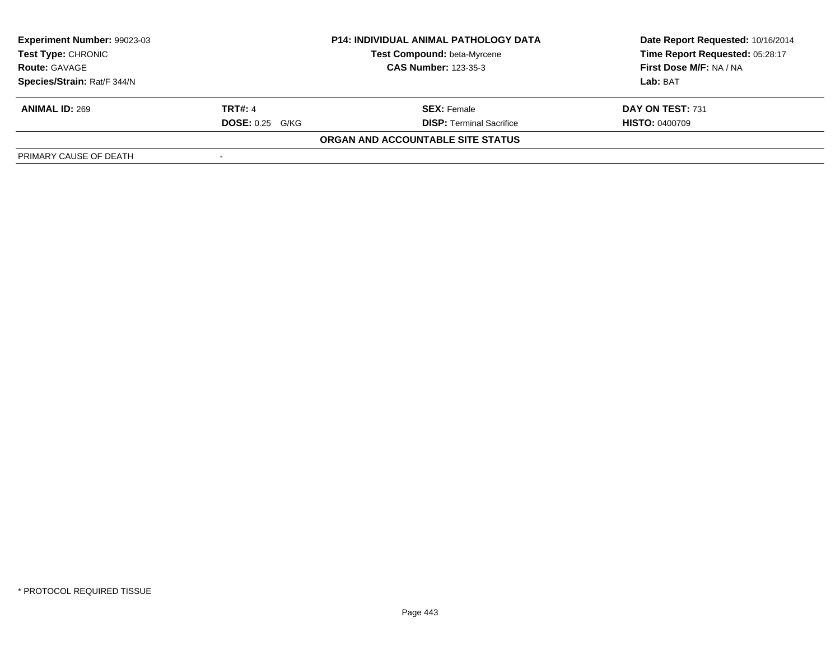| <b>Experiment Number: 99023-03</b> |                        | <b>P14: INDIVIDUAL ANIMAL PATHOLOGY DATA</b> | Date Report Requested: 10/16/2014 |  |
|------------------------------------|------------------------|----------------------------------------------|-----------------------------------|--|
| Test Type: CHRONIC                 |                        | Test Compound: beta-Myrcene                  | Time Report Requested: 05:28:17   |  |
| <b>Route: GAVAGE</b>               |                        | <b>CAS Number: 123-35-3</b>                  | First Dose M/F: NA / NA           |  |
| Species/Strain: Rat/F 344/N        |                        |                                              | Lab: BAT                          |  |
| <b>ANIMAL ID: 269</b>              | <b>TRT#: 4</b>         | <b>SEX:</b> Female                           | DAY ON TEST: 731                  |  |
|                                    | <b>DOSE: 0.25 G/KG</b> | <b>DISP: Terminal Sacrifice</b>              | <b>HISTO: 0400709</b>             |  |
|                                    |                        | ORGAN AND ACCOUNTABLE SITE STATUS            |                                   |  |
| PRIMARY CAUSE OF DEATH             |                        |                                              |                                   |  |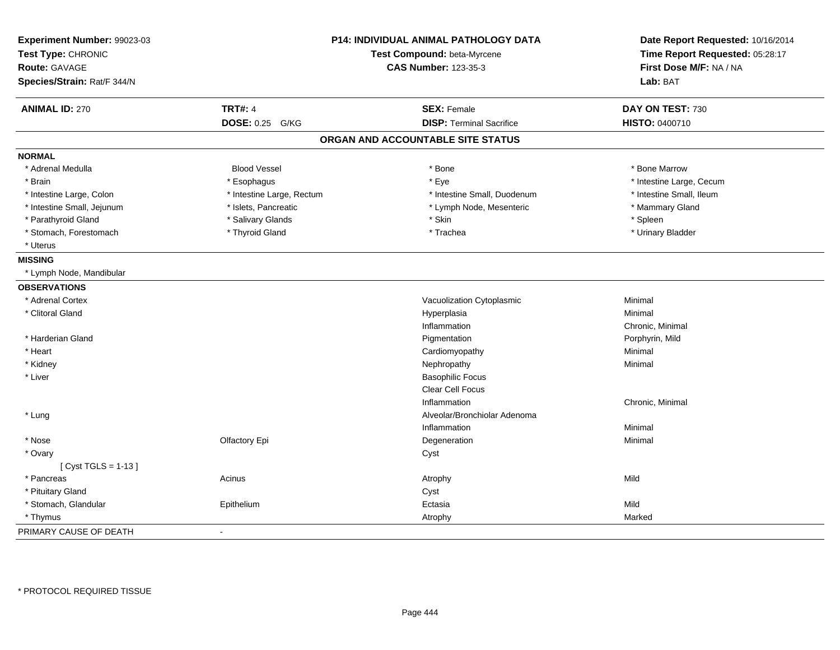| Experiment Number: 99023-03<br>Test Type: CHRONIC<br><b>Route: GAVAGE</b><br>Species/Strain: Rat/F 344/N | <b>P14: INDIVIDUAL ANIMAL PATHOLOGY DATA</b><br>Test Compound: beta-Myrcene<br><b>CAS Number: 123-35-3</b> |                                   | Date Report Requested: 10/16/2014<br>Time Report Requested: 05:28:17<br>First Dose M/F: NA / NA<br>Lab: BAT |
|----------------------------------------------------------------------------------------------------------|------------------------------------------------------------------------------------------------------------|-----------------------------------|-------------------------------------------------------------------------------------------------------------|
| <b>ANIMAL ID: 270</b>                                                                                    | <b>TRT#: 4</b>                                                                                             | <b>SEX: Female</b>                | DAY ON TEST: 730                                                                                            |
|                                                                                                          | DOSE: 0.25 G/KG                                                                                            | <b>DISP: Terminal Sacrifice</b>   | HISTO: 0400710                                                                                              |
|                                                                                                          |                                                                                                            | ORGAN AND ACCOUNTABLE SITE STATUS |                                                                                                             |
| <b>NORMAL</b>                                                                                            |                                                                                                            |                                   |                                                                                                             |
| * Adrenal Medulla                                                                                        | <b>Blood Vessel</b>                                                                                        | * Bone                            | * Bone Marrow                                                                                               |
| * Brain                                                                                                  | * Esophagus                                                                                                | * Eye                             | * Intestine Large, Cecum                                                                                    |
| * Intestine Large, Colon                                                                                 | * Intestine Large, Rectum                                                                                  | * Intestine Small, Duodenum       | * Intestine Small, Ileum                                                                                    |
| * Intestine Small, Jejunum                                                                               | * Islets, Pancreatic                                                                                       | * Lymph Node, Mesenteric          | * Mammary Gland                                                                                             |
| * Parathyroid Gland                                                                                      | * Salivary Glands                                                                                          | * Skin                            | * Spleen                                                                                                    |
| * Stomach, Forestomach                                                                                   | * Thyroid Gland                                                                                            | * Trachea                         | * Urinary Bladder                                                                                           |
| * Uterus                                                                                                 |                                                                                                            |                                   |                                                                                                             |
| <b>MISSING</b>                                                                                           |                                                                                                            |                                   |                                                                                                             |
| * Lymph Node, Mandibular                                                                                 |                                                                                                            |                                   |                                                                                                             |
| <b>OBSERVATIONS</b>                                                                                      |                                                                                                            |                                   |                                                                                                             |
| * Adrenal Cortex                                                                                         |                                                                                                            | Vacuolization Cytoplasmic         | Minimal                                                                                                     |
| * Clitoral Gland                                                                                         |                                                                                                            | Hyperplasia                       | Minimal                                                                                                     |
|                                                                                                          |                                                                                                            | Inflammation                      | Chronic, Minimal                                                                                            |
| * Harderian Gland                                                                                        |                                                                                                            | Pigmentation                      | Porphyrin, Mild                                                                                             |
| * Heart                                                                                                  |                                                                                                            | Cardiomyopathy                    | Minimal                                                                                                     |
| * Kidney                                                                                                 |                                                                                                            | Nephropathy                       | Minimal                                                                                                     |
| * Liver                                                                                                  |                                                                                                            | <b>Basophilic Focus</b>           |                                                                                                             |
|                                                                                                          |                                                                                                            | Clear Cell Focus                  |                                                                                                             |
|                                                                                                          |                                                                                                            | Inflammation                      | Chronic, Minimal                                                                                            |
| * Lung                                                                                                   |                                                                                                            | Alveolar/Bronchiolar Adenoma      |                                                                                                             |
|                                                                                                          |                                                                                                            | Inflammation                      | Minimal                                                                                                     |
| * Nose                                                                                                   | Olfactory Epi                                                                                              | Degeneration                      | Minimal                                                                                                     |
| * Ovary                                                                                                  |                                                                                                            | Cyst                              |                                                                                                             |
| [ $Cyst TGLS = 1-13$ ]                                                                                   |                                                                                                            |                                   |                                                                                                             |
| * Pancreas                                                                                               | Acinus                                                                                                     | Atrophy                           | Mild                                                                                                        |
| * Pituitary Gland                                                                                        |                                                                                                            | Cyst                              |                                                                                                             |
| * Stomach, Glandular                                                                                     | Epithelium                                                                                                 | Ectasia                           | Mild                                                                                                        |
| * Thymus                                                                                                 |                                                                                                            | Atrophy                           | Marked                                                                                                      |
| PRIMARY CAUSE OF DEATH                                                                                   | $\blacksquare$                                                                                             |                                   |                                                                                                             |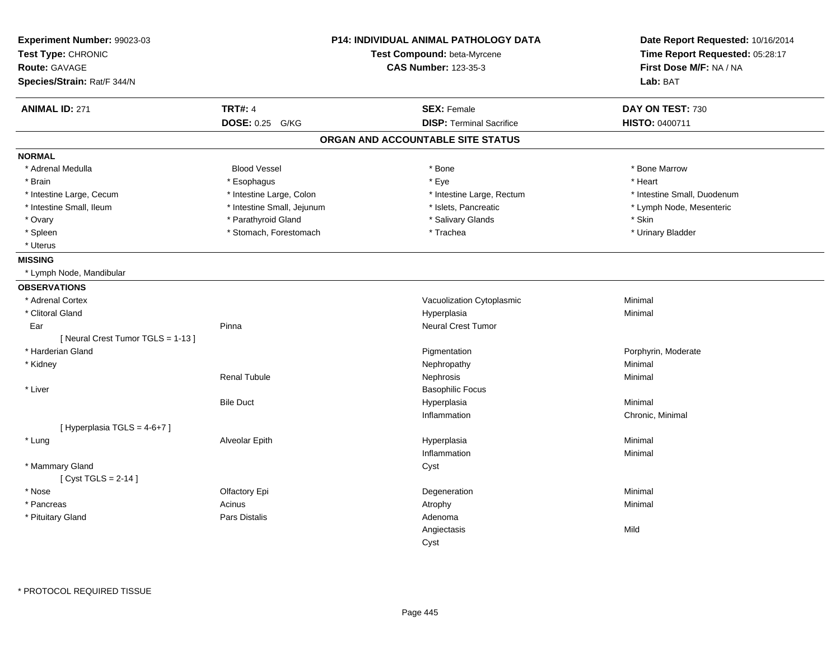| Experiment Number: 99023-03<br>Test Type: CHRONIC<br>Route: GAVAGE<br>Species/Strain: Rat/F 344/N |                            | P14: INDIVIDUAL ANIMAL PATHOLOGY DATA<br>Test Compound: beta-Myrcene<br><b>CAS Number: 123-35-3</b> | Date Report Requested: 10/16/2014<br>Time Report Requested: 05:28:17<br>First Dose M/F: NA / NA<br>Lab: BAT |
|---------------------------------------------------------------------------------------------------|----------------------------|-----------------------------------------------------------------------------------------------------|-------------------------------------------------------------------------------------------------------------|
| <b>ANIMAL ID: 271</b>                                                                             | <b>TRT#: 4</b>             | <b>SEX: Female</b>                                                                                  | DAY ON TEST: 730                                                                                            |
|                                                                                                   | DOSE: 0.25 G/KG            | <b>DISP: Terminal Sacrifice</b>                                                                     | HISTO: 0400711                                                                                              |
|                                                                                                   |                            | ORGAN AND ACCOUNTABLE SITE STATUS                                                                   |                                                                                                             |
| <b>NORMAL</b>                                                                                     |                            |                                                                                                     |                                                                                                             |
| * Adrenal Medulla                                                                                 | <b>Blood Vessel</b>        | * Bone                                                                                              | * Bone Marrow                                                                                               |
| * Brain                                                                                           | * Esophagus                | * Eye                                                                                               | * Heart                                                                                                     |
| * Intestine Large, Cecum                                                                          | * Intestine Large, Colon   | * Intestine Large, Rectum                                                                           | * Intestine Small, Duodenum                                                                                 |
| * Intestine Small, Ileum                                                                          | * Intestine Small, Jejunum | * Islets, Pancreatic                                                                                | * Lymph Node, Mesenteric                                                                                    |
| * Ovary                                                                                           | * Parathyroid Gland        | * Salivary Glands                                                                                   | * Skin                                                                                                      |
| * Spleen                                                                                          | * Stomach, Forestomach     | * Trachea                                                                                           | * Urinary Bladder                                                                                           |
| * Uterus                                                                                          |                            |                                                                                                     |                                                                                                             |
| <b>MISSING</b>                                                                                    |                            |                                                                                                     |                                                                                                             |
| * Lymph Node, Mandibular                                                                          |                            |                                                                                                     |                                                                                                             |
| <b>OBSERVATIONS</b>                                                                               |                            |                                                                                                     |                                                                                                             |
| * Adrenal Cortex                                                                                  |                            | Vacuolization Cytoplasmic                                                                           | Minimal                                                                                                     |
| * Clitoral Gland                                                                                  |                            | Hyperplasia                                                                                         | Minimal                                                                                                     |
| Ear                                                                                               | Pinna                      | Neural Crest Tumor                                                                                  |                                                                                                             |
| [Neural Crest Tumor TGLS = 1-13]                                                                  |                            |                                                                                                     |                                                                                                             |
| * Harderian Gland                                                                                 |                            | Pigmentation                                                                                        | Porphyrin, Moderate                                                                                         |
| * Kidney                                                                                          |                            | Nephropathy                                                                                         | Minimal                                                                                                     |
|                                                                                                   | <b>Renal Tubule</b>        | Nephrosis                                                                                           | Minimal                                                                                                     |
| * Liver                                                                                           |                            | <b>Basophilic Focus</b>                                                                             |                                                                                                             |
|                                                                                                   | <b>Bile Duct</b>           | Hyperplasia                                                                                         | Minimal                                                                                                     |
|                                                                                                   |                            | Inflammation                                                                                        | Chronic, Minimal                                                                                            |
| [Hyperplasia TGLS = 4-6+7]                                                                        |                            |                                                                                                     |                                                                                                             |
| * Lung                                                                                            | Alveolar Epith             | Hyperplasia                                                                                         | Minimal                                                                                                     |
|                                                                                                   |                            | Inflammation                                                                                        | Minimal                                                                                                     |
| * Mammary Gland                                                                                   |                            | Cyst                                                                                                |                                                                                                             |
| [ $Cyst TGLS = 2-14$ ]                                                                            |                            |                                                                                                     |                                                                                                             |
| * Nose                                                                                            | Olfactory Epi              | Degeneration                                                                                        | Minimal                                                                                                     |
| * Pancreas                                                                                        | Acinus                     | Atrophy                                                                                             | Minimal                                                                                                     |
| * Pituitary Gland                                                                                 | <b>Pars Distalis</b>       | Adenoma                                                                                             |                                                                                                             |
|                                                                                                   |                            | Angiectasis                                                                                         | Mild                                                                                                        |
|                                                                                                   |                            | Cyst                                                                                                |                                                                                                             |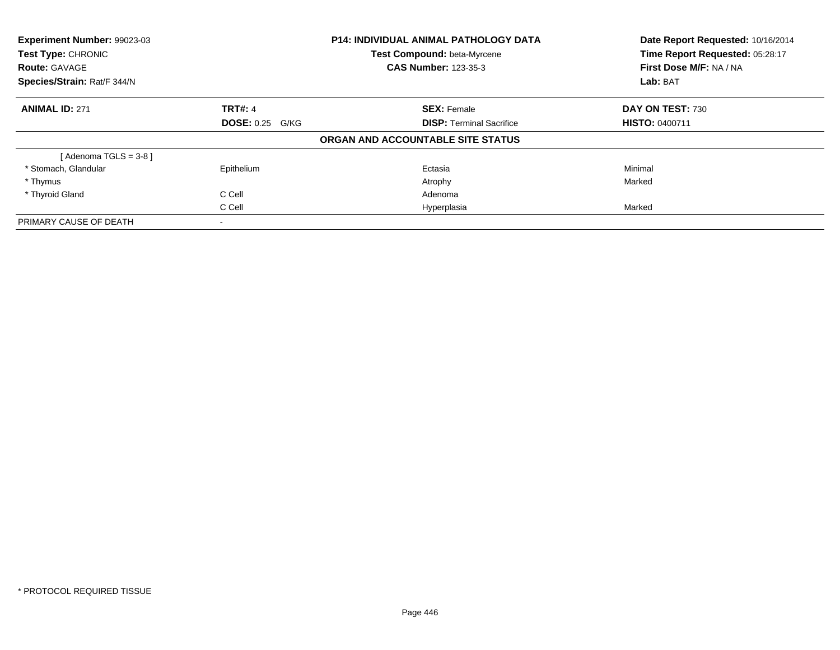| Experiment Number: 99023-03<br>Test Type: CHRONIC |                        | <b>P14: INDIVIDUAL ANIMAL PATHOLOGY DATA</b> | Date Report Requested: 10/16/2014<br>Time Report Requested: 05:28:17 |  |
|---------------------------------------------------|------------------------|----------------------------------------------|----------------------------------------------------------------------|--|
|                                                   |                        | Test Compound: beta-Myrcene                  |                                                                      |  |
| <b>Route: GAVAGE</b>                              |                        | <b>CAS Number: 123-35-3</b>                  | First Dose M/F: NA / NA                                              |  |
| Species/Strain: Rat/F 344/N                       |                        |                                              | Lab: BAT                                                             |  |
| <b>ANIMAL ID: 271</b>                             | <b>TRT#: 4</b>         | <b>SEX: Female</b>                           | DAY ON TEST: 730                                                     |  |
|                                                   | <b>DOSE: 0.25 G/KG</b> | <b>DISP:</b> Terminal Sacrifice              | <b>HISTO: 0400711</b>                                                |  |
|                                                   |                        | ORGAN AND ACCOUNTABLE SITE STATUS            |                                                                      |  |
| [Adenoma TGLS = $3-8$ ]                           |                        |                                              |                                                                      |  |
| * Stomach, Glandular                              | Epithelium             | Ectasia                                      | Minimal                                                              |  |
| * Thymus                                          |                        | Atrophy                                      | Marked                                                               |  |
| * Thyroid Gland                                   | C Cell                 | Adenoma                                      |                                                                      |  |
|                                                   | C Cell                 | Hyperplasia                                  | Marked                                                               |  |
| PRIMARY CAUSE OF DEATH                            |                        |                                              |                                                                      |  |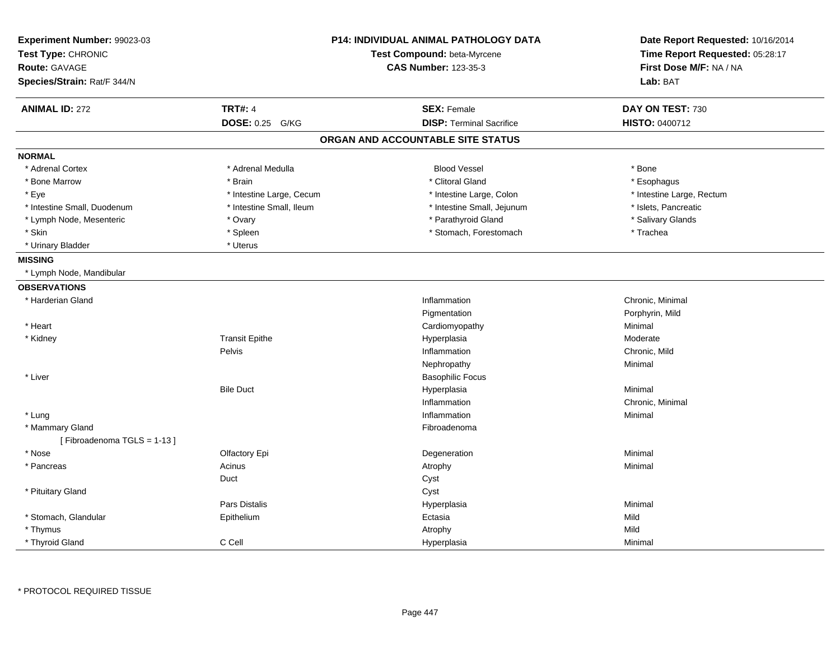| Experiment Number: 99023-03<br>Test Type: CHRONIC<br><b>Route: GAVAGE</b><br>Species/Strain: Rat/F 344/N |                           | <b>P14: INDIVIDUAL ANIMAL PATHOLOGY DATA</b><br>Test Compound: beta-Myrcene<br><b>CAS Number: 123-35-3</b> | Date Report Requested: 10/16/2014<br>Time Report Requested: 05:28:17<br>First Dose M/F: NA / NA<br>Lab: BAT |
|----------------------------------------------------------------------------------------------------------|---------------------------|------------------------------------------------------------------------------------------------------------|-------------------------------------------------------------------------------------------------------------|
| <b>ANIMAL ID: 272</b>                                                                                    | <b>TRT#: 4</b>            | <b>SEX: Female</b>                                                                                         | DAY ON TEST: 730                                                                                            |
|                                                                                                          | <b>DOSE: 0.25</b><br>G/KG | <b>DISP: Terminal Sacrifice</b>                                                                            | HISTO: 0400712                                                                                              |
|                                                                                                          |                           | ORGAN AND ACCOUNTABLE SITE STATUS                                                                          |                                                                                                             |
| <b>NORMAL</b>                                                                                            |                           |                                                                                                            |                                                                                                             |
| * Adrenal Cortex                                                                                         | * Adrenal Medulla         | <b>Blood Vessel</b>                                                                                        | * Bone                                                                                                      |
| * Bone Marrow                                                                                            | * Brain                   | * Clitoral Gland                                                                                           | * Esophagus                                                                                                 |
| * Eye                                                                                                    | * Intestine Large, Cecum  | * Intestine Large, Colon                                                                                   | * Intestine Large, Rectum                                                                                   |
| * Intestine Small, Duodenum                                                                              | * Intestine Small, Ileum  | * Intestine Small, Jejunum                                                                                 | * Islets, Pancreatic                                                                                        |
| * Lymph Node, Mesenteric                                                                                 | * Ovary                   | * Parathyroid Gland                                                                                        | * Salivary Glands                                                                                           |
| * Skin                                                                                                   | * Spleen                  | * Stomach, Forestomach                                                                                     | * Trachea                                                                                                   |
| * Urinary Bladder                                                                                        | * Uterus                  |                                                                                                            |                                                                                                             |
| <b>MISSING</b>                                                                                           |                           |                                                                                                            |                                                                                                             |
| * Lymph Node, Mandibular                                                                                 |                           |                                                                                                            |                                                                                                             |
| <b>OBSERVATIONS</b>                                                                                      |                           |                                                                                                            |                                                                                                             |
| * Harderian Gland                                                                                        |                           | Inflammation                                                                                               | Chronic, Minimal                                                                                            |
|                                                                                                          |                           | Pigmentation                                                                                               | Porphyrin, Mild                                                                                             |
| * Heart                                                                                                  |                           | Cardiomyopathy                                                                                             | Minimal                                                                                                     |
| * Kidney                                                                                                 | <b>Transit Epithe</b>     | Hyperplasia                                                                                                | Moderate                                                                                                    |
|                                                                                                          | Pelvis                    | Inflammation                                                                                               | Chronic, Mild                                                                                               |
|                                                                                                          |                           | Nephropathy                                                                                                | Minimal                                                                                                     |
| * Liver                                                                                                  |                           | <b>Basophilic Focus</b>                                                                                    |                                                                                                             |
|                                                                                                          | <b>Bile Duct</b>          | Hyperplasia                                                                                                | Minimal                                                                                                     |
|                                                                                                          |                           | Inflammation                                                                                               | Chronic, Minimal                                                                                            |
| * Lung                                                                                                   |                           | Inflammation                                                                                               | Minimal                                                                                                     |
| * Mammary Gland                                                                                          |                           | Fibroadenoma                                                                                               |                                                                                                             |
| [Fibroadenoma TGLS = 1-13]                                                                               |                           |                                                                                                            |                                                                                                             |
| * Nose                                                                                                   | Olfactory Epi             | Degeneration                                                                                               | Minimal                                                                                                     |
| * Pancreas                                                                                               | Acinus                    | Atrophy                                                                                                    | Minimal                                                                                                     |
|                                                                                                          | Duct                      | Cyst                                                                                                       |                                                                                                             |
| * Pituitary Gland                                                                                        |                           | Cyst                                                                                                       |                                                                                                             |
|                                                                                                          | Pars Distalis             | Hyperplasia                                                                                                | Minimal                                                                                                     |
| * Stomach, Glandular                                                                                     | Epithelium                | Ectasia                                                                                                    | Mild                                                                                                        |
| * Thymus                                                                                                 |                           | Atrophy                                                                                                    | Mild                                                                                                        |
| * Thyroid Gland                                                                                          | C Cell                    | Hyperplasia                                                                                                | Minimal                                                                                                     |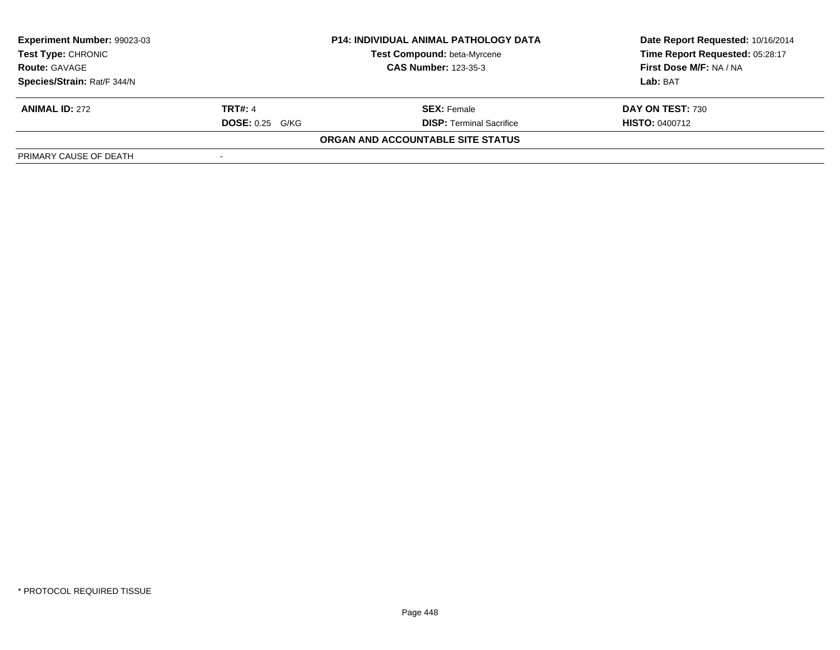| <b>Experiment Number: 99023-03</b> | <b>P14: INDIVIDUAL ANIMAL PATHOLOGY DATA</b> |                                   | Date Report Requested: 10/16/2014 |
|------------------------------------|----------------------------------------------|-----------------------------------|-----------------------------------|
| <b>Test Type: CHRONIC</b>          |                                              | Test Compound: beta-Myrcene       | Time Report Requested: 05:28:17   |
| <b>Route: GAVAGE</b>               |                                              | <b>CAS Number: 123-35-3</b>       | First Dose M/F: NA / NA           |
| Species/Strain: Rat/F 344/N        |                                              |                                   | Lab: BAT                          |
| <b>ANIMAL ID: 272</b>              | <b>TRT#: 4</b>                               | <b>SEX:</b> Female                | DAY ON TEST: 730                  |
|                                    | <b>DOSE:</b> 0.25 G/KG                       | <b>DISP: Terminal Sacrifice</b>   | <b>HISTO: 0400712</b>             |
|                                    |                                              | ORGAN AND ACCOUNTABLE SITE STATUS |                                   |
| PRIMARY CAUSE OF DEATH             |                                              |                                   |                                   |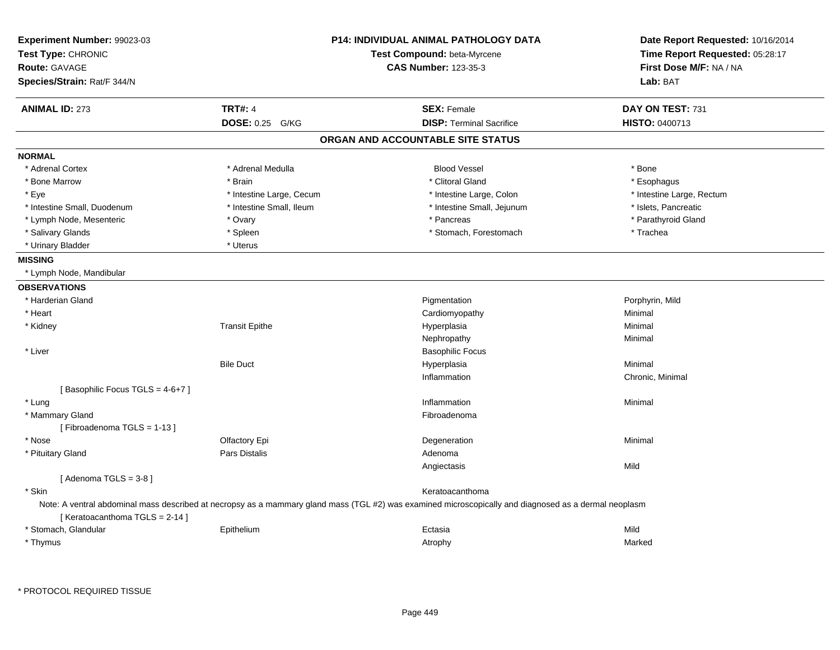| Experiment Number: 99023-03<br>Test Type: CHRONIC<br><b>Route: GAVAGE</b><br>Species/Strain: Rat/F 344/N |                           | <b>P14: INDIVIDUAL ANIMAL PATHOLOGY DATA</b><br>Test Compound: beta-Myrcene<br><b>CAS Number: 123-35-3</b>                                            | Date Report Requested: 10/16/2014<br>Time Report Requested: 05:28:17<br>First Dose M/F: NA / NA<br>Lab: BAT |
|----------------------------------------------------------------------------------------------------------|---------------------------|-------------------------------------------------------------------------------------------------------------------------------------------------------|-------------------------------------------------------------------------------------------------------------|
| <b>ANIMAL ID: 273</b>                                                                                    | <b>TRT#: 4</b>            | <b>SEX: Female</b>                                                                                                                                    | DAY ON TEST: 731                                                                                            |
|                                                                                                          | <b>DOSE: 0.25</b><br>G/KG | <b>DISP: Terminal Sacrifice</b>                                                                                                                       | HISTO: 0400713                                                                                              |
|                                                                                                          |                           | ORGAN AND ACCOUNTABLE SITE STATUS                                                                                                                     |                                                                                                             |
| <b>NORMAL</b>                                                                                            |                           |                                                                                                                                                       |                                                                                                             |
| * Adrenal Cortex                                                                                         | * Adrenal Medulla         | <b>Blood Vessel</b>                                                                                                                                   | * Bone                                                                                                      |
| * Bone Marrow                                                                                            | * Brain                   | * Clitoral Gland                                                                                                                                      | * Esophagus                                                                                                 |
| * Eye                                                                                                    | * Intestine Large, Cecum  | * Intestine Large, Colon                                                                                                                              | * Intestine Large, Rectum                                                                                   |
| * Intestine Small, Duodenum                                                                              | * Intestine Small, Ileum  | * Intestine Small, Jejunum                                                                                                                            | * Islets, Pancreatic                                                                                        |
| * Lymph Node, Mesenteric                                                                                 | * Ovary                   | * Pancreas                                                                                                                                            | * Parathyroid Gland                                                                                         |
| * Salivary Glands                                                                                        | * Spleen                  | * Stomach, Forestomach                                                                                                                                | * Trachea                                                                                                   |
| * Urinary Bladder                                                                                        | * Uterus                  |                                                                                                                                                       |                                                                                                             |
| <b>MISSING</b>                                                                                           |                           |                                                                                                                                                       |                                                                                                             |
| * Lymph Node, Mandibular                                                                                 |                           |                                                                                                                                                       |                                                                                                             |
| <b>OBSERVATIONS</b>                                                                                      |                           |                                                                                                                                                       |                                                                                                             |
| * Harderian Gland                                                                                        |                           | Pigmentation                                                                                                                                          | Porphyrin, Mild                                                                                             |
| * Heart                                                                                                  |                           | Cardiomyopathy                                                                                                                                        | Minimal                                                                                                     |
| * Kidney                                                                                                 | <b>Transit Epithe</b>     | Hyperplasia                                                                                                                                           | Minimal                                                                                                     |
|                                                                                                          |                           | Nephropathy                                                                                                                                           | Minimal                                                                                                     |
| * Liver                                                                                                  |                           | <b>Basophilic Focus</b>                                                                                                                               |                                                                                                             |
|                                                                                                          | <b>Bile Duct</b>          | Hyperplasia                                                                                                                                           | Minimal                                                                                                     |
|                                                                                                          |                           | Inflammation                                                                                                                                          | Chronic, Minimal                                                                                            |
| [Basophilic Focus TGLS = 4-6+7]                                                                          |                           |                                                                                                                                                       |                                                                                                             |
| * Lung                                                                                                   |                           | Inflammation                                                                                                                                          | Minimal                                                                                                     |
| * Mammary Gland                                                                                          |                           | Fibroadenoma                                                                                                                                          |                                                                                                             |
| [Fibroadenoma TGLS = 1-13]                                                                               |                           |                                                                                                                                                       |                                                                                                             |
| * Nose                                                                                                   | Olfactory Epi             | Degeneration                                                                                                                                          | Minimal                                                                                                     |
| * Pituitary Gland                                                                                        | <b>Pars Distalis</b>      | Adenoma                                                                                                                                               |                                                                                                             |
|                                                                                                          |                           | Angiectasis                                                                                                                                           | Mild                                                                                                        |
| [Adenoma TGLS = $3-8$ ]                                                                                  |                           |                                                                                                                                                       |                                                                                                             |
| * Skin                                                                                                   |                           | Keratoacanthoma                                                                                                                                       |                                                                                                             |
| [Keratoacanthoma TGLS = 2-14]                                                                            |                           | Note: A ventral abdominal mass described at necropsy as a mammary gland mass (TGL #2) was examined microscopically and diagnosed as a dermal neoplasm |                                                                                                             |
| * Stomach, Glandular                                                                                     | Epithelium                | Ectasia                                                                                                                                               | Mild                                                                                                        |
| * Thymus                                                                                                 |                           | Atrophy                                                                                                                                               | Marked                                                                                                      |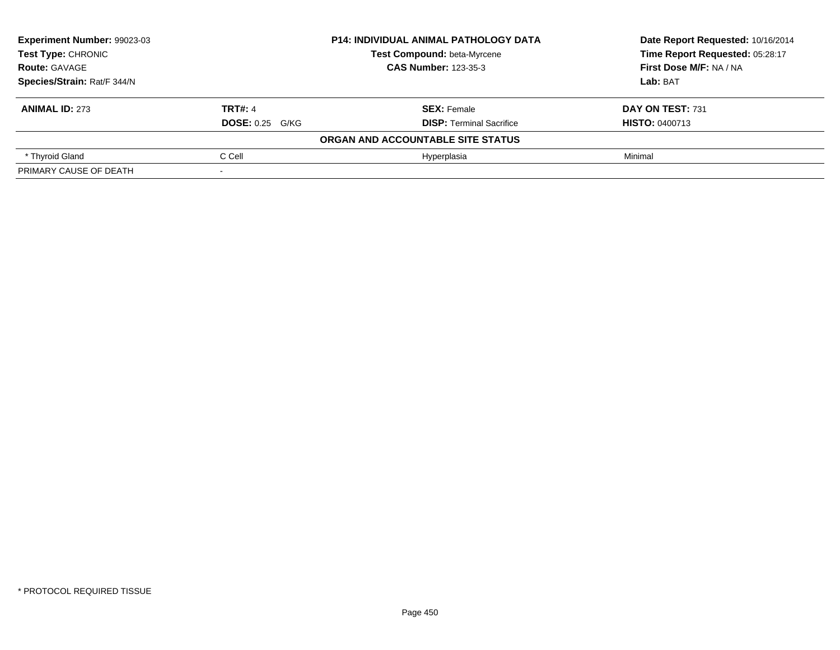| Experiment Number: 99023-03 | <b>P14: INDIVIDUAL ANIMAL PATHOLOGY DATA</b> |                                   | Date Report Requested: 10/16/2014 |
|-----------------------------|----------------------------------------------|-----------------------------------|-----------------------------------|
| <b>Test Type: CHRONIC</b>   |                                              | Test Compound: beta-Myrcene       | Time Report Requested: 05:28:17   |
| <b>Route: GAVAGE</b>        |                                              | <b>CAS Number: 123-35-3</b>       | First Dose M/F: NA / NA           |
| Species/Strain: Rat/F 344/N |                                              |                                   | Lab: BAT                          |
| <b>ANIMAL ID: 273</b>       | <b>TRT#: 4</b>                               | <b>SEX: Female</b>                | DAY ON TEST: 731                  |
|                             | <b>DOSE: 0.25 G/KG</b>                       | <b>DISP: Terminal Sacrifice</b>   | <b>HISTO: 0400713</b>             |
|                             |                                              | ORGAN AND ACCOUNTABLE SITE STATUS |                                   |
| * Thyroid Gland             | C Cell                                       | Hvperplasia                       | Minimal                           |
| PRIMARY CAUSE OF DEATH      |                                              |                                   |                                   |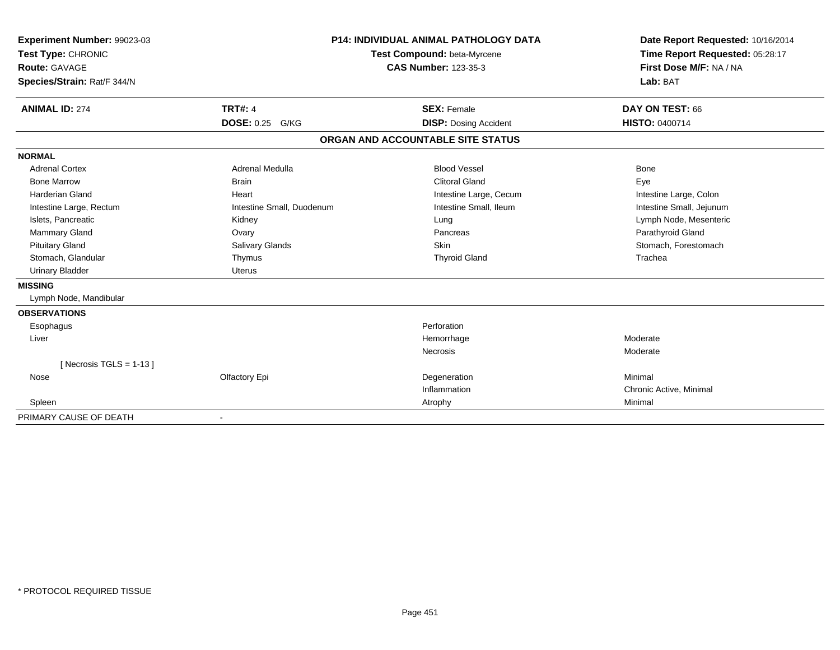| Experiment Number: 99023-03<br>Test Type: CHRONIC<br><b>Route: GAVAGE</b><br>Species/Strain: Rat/F 344/N |                           | <b>P14: INDIVIDUAL ANIMAL PATHOLOGY DATA</b><br>Test Compound: beta-Myrcene<br><b>CAS Number: 123-35-3</b> | Date Report Requested: 10/16/2014<br>Time Report Requested: 05:28:17<br>First Dose M/F: NA / NA<br>Lab: BAT |
|----------------------------------------------------------------------------------------------------------|---------------------------|------------------------------------------------------------------------------------------------------------|-------------------------------------------------------------------------------------------------------------|
| <b>ANIMAL ID: 274</b>                                                                                    | <b>TRT#: 4</b>            | <b>SEX: Female</b>                                                                                         | DAY ON TEST: 66                                                                                             |
|                                                                                                          | DOSE: 0.25 G/KG           | <b>DISP: Dosing Accident</b>                                                                               | HISTO: 0400714                                                                                              |
|                                                                                                          |                           | ORGAN AND ACCOUNTABLE SITE STATUS                                                                          |                                                                                                             |
| <b>NORMAL</b>                                                                                            |                           |                                                                                                            |                                                                                                             |
| <b>Adrenal Cortex</b>                                                                                    | Adrenal Medulla           | <b>Blood Vessel</b>                                                                                        | Bone                                                                                                        |
| <b>Bone Marrow</b>                                                                                       | <b>Brain</b>              | <b>Clitoral Gland</b>                                                                                      | Eye                                                                                                         |
| <b>Harderian Gland</b>                                                                                   | Heart                     | Intestine Large, Cecum                                                                                     | Intestine Large, Colon                                                                                      |
| Intestine Large, Rectum                                                                                  | Intestine Small, Duodenum | Intestine Small, Ileum                                                                                     | Intestine Small, Jejunum                                                                                    |
| Islets, Pancreatic                                                                                       | Kidney                    | Lung                                                                                                       | Lymph Node, Mesenteric                                                                                      |
| Mammary Gland                                                                                            | Ovary                     | Pancreas                                                                                                   | Parathyroid Gland                                                                                           |
| <b>Pituitary Gland</b>                                                                                   | Salivary Glands           | <b>Skin</b>                                                                                                | Stomach, Forestomach                                                                                        |
| Stomach, Glandular                                                                                       | Thymus                    | <b>Thyroid Gland</b>                                                                                       | Trachea                                                                                                     |
| <b>Urinary Bladder</b>                                                                                   | <b>Uterus</b>             |                                                                                                            |                                                                                                             |
| <b>MISSING</b>                                                                                           |                           |                                                                                                            |                                                                                                             |
| Lymph Node, Mandibular                                                                                   |                           |                                                                                                            |                                                                                                             |
| <b>OBSERVATIONS</b>                                                                                      |                           |                                                                                                            |                                                                                                             |
| Esophagus                                                                                                |                           | Perforation                                                                                                |                                                                                                             |
| Liver                                                                                                    |                           | Hemorrhage                                                                                                 | Moderate                                                                                                    |
|                                                                                                          |                           | Necrosis                                                                                                   | Moderate                                                                                                    |
| [ Necrosis TGLS = $1-13$ ]                                                                               |                           |                                                                                                            |                                                                                                             |
| Nose                                                                                                     | Olfactory Epi             | Degeneration                                                                                               | Minimal                                                                                                     |
|                                                                                                          |                           | Inflammation                                                                                               | Chronic Active, Minimal                                                                                     |
| Spleen                                                                                                   |                           | Atrophy                                                                                                    | Minimal                                                                                                     |
| PRIMARY CAUSE OF DEATH                                                                                   |                           |                                                                                                            |                                                                                                             |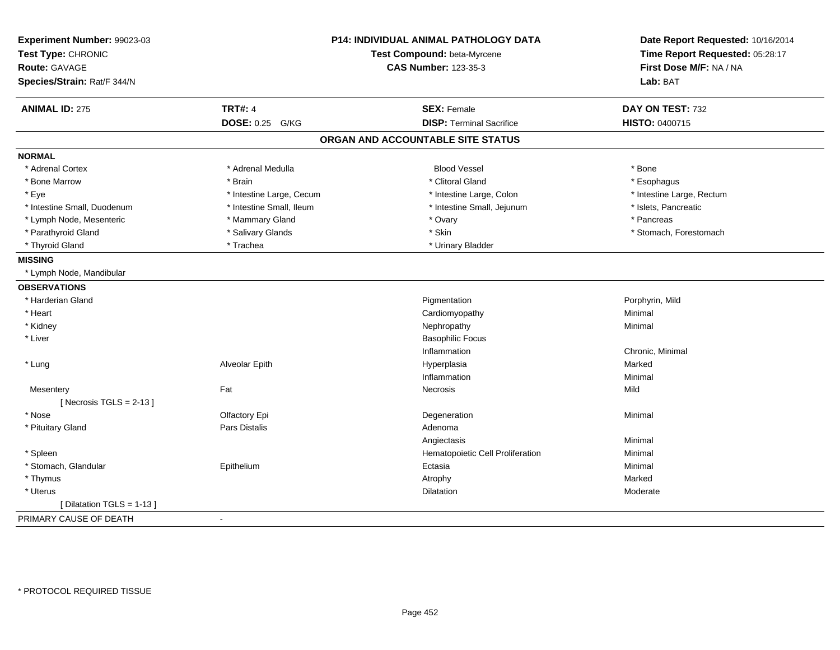| Experiment Number: 99023-03<br>Test Type: CHRONIC |                          | P14: INDIVIDUAL ANIMAL PATHOLOGY DATA<br>Test Compound: beta-Myrcene | Date Report Requested: 10/16/2014<br>Time Report Requested: 05:28:17 |
|---------------------------------------------------|--------------------------|----------------------------------------------------------------------|----------------------------------------------------------------------|
| <b>Route: GAVAGE</b>                              |                          | <b>CAS Number: 123-35-3</b>                                          | First Dose M/F: NA / NA                                              |
| Species/Strain: Rat/F 344/N                       |                          |                                                                      | Lab: BAT                                                             |
| <b>ANIMAL ID: 275</b>                             | <b>TRT#: 4</b>           | <b>SEX: Female</b>                                                   | DAY ON TEST: 732                                                     |
|                                                   | <b>DOSE: 0.25 G/KG</b>   | <b>DISP: Terminal Sacrifice</b>                                      | <b>HISTO: 0400715</b>                                                |
|                                                   |                          | ORGAN AND ACCOUNTABLE SITE STATUS                                    |                                                                      |
| <b>NORMAL</b>                                     |                          |                                                                      |                                                                      |
| * Adrenal Cortex                                  | * Adrenal Medulla        | <b>Blood Vessel</b>                                                  | * Bone                                                               |
| * Bone Marrow                                     | * Brain                  | * Clitoral Gland                                                     | * Esophagus                                                          |
| * Eye                                             | * Intestine Large, Cecum | * Intestine Large, Colon                                             | * Intestine Large, Rectum                                            |
| * Intestine Small, Duodenum                       | * Intestine Small, Ileum | * Intestine Small, Jejunum                                           | * Islets, Pancreatic                                                 |
| * Lymph Node, Mesenteric                          | * Mammary Gland          | * Ovary                                                              | * Pancreas                                                           |
| * Parathyroid Gland                               | * Salivary Glands        | * Skin                                                               | * Stomach, Forestomach                                               |
| * Thyroid Gland                                   | * Trachea                | * Urinary Bladder                                                    |                                                                      |
| <b>MISSING</b>                                    |                          |                                                                      |                                                                      |
| * Lymph Node, Mandibular                          |                          |                                                                      |                                                                      |
| <b>OBSERVATIONS</b>                               |                          |                                                                      |                                                                      |
| * Harderian Gland                                 |                          | Pigmentation                                                         | Porphyrin, Mild                                                      |
| * Heart                                           |                          | Cardiomyopathy                                                       | Minimal                                                              |
| * Kidney                                          |                          | Nephropathy                                                          | Minimal                                                              |
| * Liver                                           |                          | <b>Basophilic Focus</b>                                              |                                                                      |
|                                                   |                          | Inflammation                                                         | Chronic, Minimal                                                     |
| * Lung                                            | Alveolar Epith           | Hyperplasia                                                          | Marked                                                               |
|                                                   |                          | Inflammation                                                         | Minimal                                                              |
| Mesentery                                         | Fat                      | Necrosis                                                             | Mild                                                                 |
| [Necrosis TGLS = $2-13$ ]                         |                          |                                                                      |                                                                      |
| * Nose                                            | Olfactory Epi            | Degeneration                                                         | Minimal                                                              |
| * Pituitary Gland                                 | Pars Distalis            | Adenoma                                                              |                                                                      |
|                                                   |                          | Angiectasis                                                          | Minimal                                                              |
| * Spleen                                          |                          | Hematopoietic Cell Proliferation                                     | Minimal                                                              |
| * Stomach, Glandular                              | Epithelium               | Ectasia                                                              | Minimal                                                              |
| * Thymus                                          |                          | Atrophy                                                              | Marked                                                               |
| * Uterus                                          |                          | Dilatation                                                           | Moderate                                                             |
| [ Dilatation TGLS = 1-13 ]                        |                          |                                                                      |                                                                      |
| PRIMARY CAUSE OF DEATH                            | $\blacksquare$           |                                                                      |                                                                      |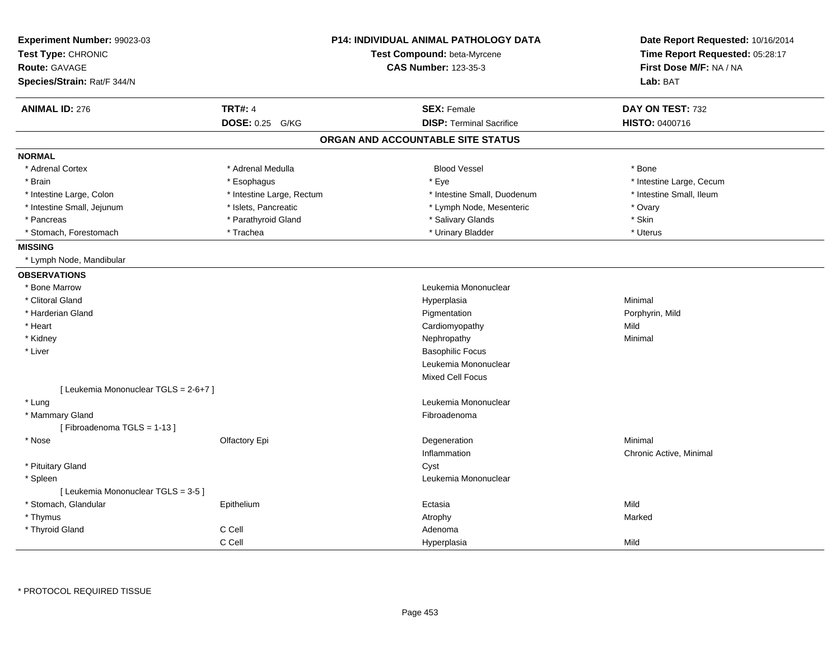| Experiment Number: 99023-03           |                           | <b>P14: INDIVIDUAL ANIMAL PATHOLOGY DATA</b> | Date Report Requested: 10/16/2014 |  |
|---------------------------------------|---------------------------|----------------------------------------------|-----------------------------------|--|
| Test Type: CHRONIC                    |                           | Test Compound: beta-Myrcene                  | Time Report Requested: 05:28:17   |  |
| <b>Route: GAVAGE</b>                  |                           | <b>CAS Number: 123-35-3</b>                  | First Dose M/F: NA / NA           |  |
| Species/Strain: Rat/F 344/N           |                           |                                              | Lab: BAT                          |  |
| <b>ANIMAL ID: 276</b>                 | <b>TRT#: 4</b>            | <b>SEX: Female</b>                           | DAY ON TEST: 732                  |  |
|                                       | <b>DOSE: 0.25</b><br>G/KG | <b>DISP: Terminal Sacrifice</b>              | HISTO: 0400716                    |  |
|                                       |                           | ORGAN AND ACCOUNTABLE SITE STATUS            |                                   |  |
| <b>NORMAL</b>                         |                           |                                              |                                   |  |
| * Adrenal Cortex                      | * Adrenal Medulla         | <b>Blood Vessel</b>                          | * Bone                            |  |
| * Brain                               | * Esophagus               | * Eye                                        | * Intestine Large, Cecum          |  |
| * Intestine Large, Colon              | * Intestine Large, Rectum | * Intestine Small, Duodenum                  | * Intestine Small, Ileum          |  |
| * Intestine Small, Jejunum            | * Islets, Pancreatic      | * Lymph Node, Mesenteric                     | * Ovary                           |  |
| * Pancreas                            | * Parathyroid Gland       | * Salivary Glands                            | * Skin                            |  |
| * Stomach, Forestomach                | * Trachea                 | * Urinary Bladder                            | * Uterus                          |  |
| <b>MISSING</b>                        |                           |                                              |                                   |  |
| * Lymph Node, Mandibular              |                           |                                              |                                   |  |
| <b>OBSERVATIONS</b>                   |                           |                                              |                                   |  |
| * Bone Marrow                         |                           | Leukemia Mononuclear                         |                                   |  |
| * Clitoral Gland                      |                           | Hyperplasia                                  | Minimal                           |  |
| * Harderian Gland                     |                           | Pigmentation                                 | Porphyrin, Mild                   |  |
| * Heart                               |                           | Cardiomyopathy                               | Mild                              |  |
| * Kidney                              |                           | Nephropathy                                  | Minimal                           |  |
| * Liver                               |                           | <b>Basophilic Focus</b>                      |                                   |  |
|                                       |                           | Leukemia Mononuclear                         |                                   |  |
|                                       |                           | Mixed Cell Focus                             |                                   |  |
| [ Leukemia Mononuclear TGLS = 2-6+7 ] |                           |                                              |                                   |  |
| * Lung                                |                           | Leukemia Mononuclear                         |                                   |  |
| * Mammary Gland                       |                           | Fibroadenoma                                 |                                   |  |
| [Fibroadenoma TGLS = 1-13]            |                           |                                              |                                   |  |
| * Nose                                | Olfactory Epi             | Degeneration                                 | Minimal                           |  |
|                                       |                           | Inflammation                                 | Chronic Active, Minimal           |  |
| * Pituitary Gland                     |                           | Cyst                                         |                                   |  |
| * Spleen                              |                           | Leukemia Mononuclear                         |                                   |  |
| [ Leukemia Mononuclear TGLS = 3-5 ]   |                           |                                              |                                   |  |
| * Stomach, Glandular                  | Epithelium                | Ectasia                                      | Mild                              |  |
| * Thymus                              |                           | Atrophy                                      | Marked                            |  |
| * Thyroid Gland                       | C Cell                    | Adenoma                                      |                                   |  |
|                                       | C Cell                    | Hyperplasia                                  | Mild                              |  |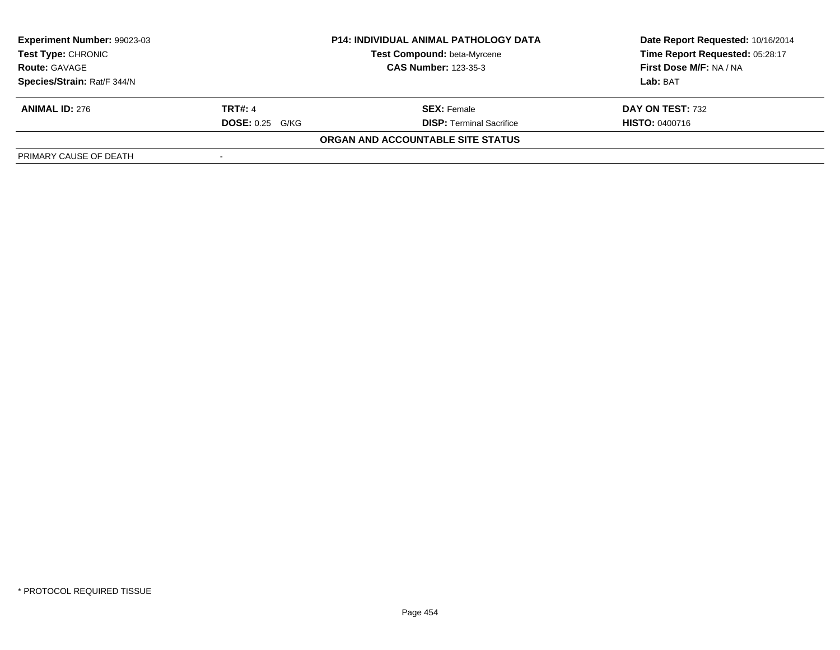| <b>Experiment Number: 99023-03</b> | <b>P14: INDIVIDUAL ANIMAL PATHOLOGY DATA</b> |                                   | Date Report Requested: 10/16/2014 |
|------------------------------------|----------------------------------------------|-----------------------------------|-----------------------------------|
| <b>Test Type: CHRONIC</b>          |                                              | Test Compound: beta-Myrcene       | Time Report Requested: 05:28:17   |
| <b>Route: GAVAGE</b>               |                                              | <b>CAS Number: 123-35-3</b>       | First Dose M/F: NA / NA           |
| Species/Strain: Rat/F 344/N        |                                              |                                   | Lab: BAT                          |
| <b>ANIMAL ID: 276</b>              | <b>TRT#: 4</b>                               | <b>SEX:</b> Female                | DAY ON TEST: 732                  |
|                                    | <b>DOSE:</b> 0.25 G/KG                       | <b>DISP: Terminal Sacrifice</b>   | <b>HISTO: 0400716</b>             |
|                                    |                                              | ORGAN AND ACCOUNTABLE SITE STATUS |                                   |
| PRIMARY CAUSE OF DEATH             |                                              |                                   |                                   |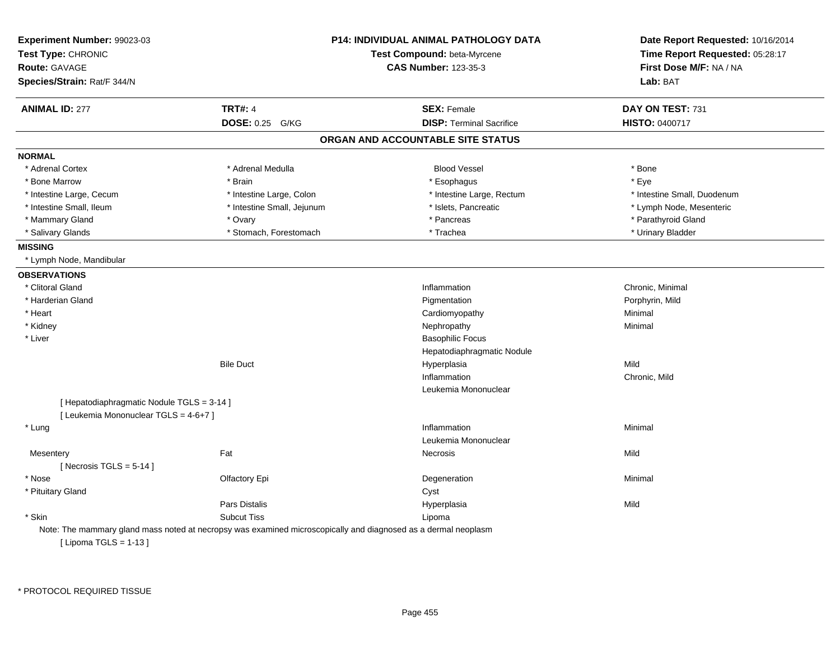| Experiment Number: 99023-03<br>Test Type: CHRONIC<br>Route: GAVAGE<br>Species/Strain: Rat/F 344/N |                                                                                                                | P14: INDIVIDUAL ANIMAL PATHOLOGY DATA<br>Test Compound: beta-Myrcene<br><b>CAS Number: 123-35-3</b> | Date Report Requested: 10/16/2014<br>Time Report Requested: 05:28:17<br>First Dose M/F: NA / NA<br>Lab: BAT |
|---------------------------------------------------------------------------------------------------|----------------------------------------------------------------------------------------------------------------|-----------------------------------------------------------------------------------------------------|-------------------------------------------------------------------------------------------------------------|
| <b>ANIMAL ID: 277</b>                                                                             | <b>TRT#: 4</b>                                                                                                 | <b>SEX: Female</b>                                                                                  | DAY ON TEST: 731                                                                                            |
|                                                                                                   | DOSE: 0.25 G/KG                                                                                                | <b>DISP: Terminal Sacrifice</b>                                                                     | <b>HISTO: 0400717</b>                                                                                       |
|                                                                                                   |                                                                                                                | ORGAN AND ACCOUNTABLE SITE STATUS                                                                   |                                                                                                             |
| <b>NORMAL</b>                                                                                     |                                                                                                                |                                                                                                     |                                                                                                             |
| * Adrenal Cortex                                                                                  | * Adrenal Medulla                                                                                              | <b>Blood Vessel</b>                                                                                 | * Bone                                                                                                      |
| * Bone Marrow                                                                                     | * Brain                                                                                                        | * Esophagus                                                                                         | * Eye                                                                                                       |
| * Intestine Large, Cecum                                                                          | * Intestine Large, Colon                                                                                       | * Intestine Large, Rectum                                                                           | * Intestine Small, Duodenum                                                                                 |
| * Intestine Small, Ileum                                                                          | * Intestine Small, Jejunum                                                                                     | * Islets, Pancreatic                                                                                | * Lymph Node, Mesenteric                                                                                    |
| * Mammary Gland                                                                                   | * Ovary                                                                                                        | * Pancreas                                                                                          | * Parathyroid Gland                                                                                         |
| * Salivary Glands                                                                                 | * Stomach, Forestomach                                                                                         | * Trachea                                                                                           | * Urinary Bladder                                                                                           |
| <b>MISSING</b>                                                                                    |                                                                                                                |                                                                                                     |                                                                                                             |
| * Lymph Node, Mandibular                                                                          |                                                                                                                |                                                                                                     |                                                                                                             |
| <b>OBSERVATIONS</b>                                                                               |                                                                                                                |                                                                                                     |                                                                                                             |
| * Clitoral Gland                                                                                  |                                                                                                                | Inflammation                                                                                        | Chronic, Minimal                                                                                            |
| * Harderian Gland                                                                                 |                                                                                                                | Pigmentation                                                                                        | Porphyrin, Mild                                                                                             |
| * Heart                                                                                           |                                                                                                                | Cardiomyopathy                                                                                      | Minimal                                                                                                     |
| * Kidney                                                                                          |                                                                                                                | Nephropathy                                                                                         | Minimal                                                                                                     |
| * Liver                                                                                           |                                                                                                                | <b>Basophilic Focus</b>                                                                             |                                                                                                             |
|                                                                                                   |                                                                                                                | Hepatodiaphragmatic Nodule                                                                          |                                                                                                             |
|                                                                                                   | <b>Bile Duct</b>                                                                                               | Hyperplasia                                                                                         | Mild                                                                                                        |
|                                                                                                   |                                                                                                                | Inflammation                                                                                        | Chronic, Mild                                                                                               |
|                                                                                                   |                                                                                                                | Leukemia Mononuclear                                                                                |                                                                                                             |
| [ Hepatodiaphragmatic Nodule TGLS = 3-14 ]                                                        |                                                                                                                |                                                                                                     |                                                                                                             |
| [ Leukemia Mononuclear TGLS = 4-6+7 ]                                                             |                                                                                                                |                                                                                                     |                                                                                                             |
| * Lung                                                                                            |                                                                                                                | Inflammation                                                                                        | Minimal                                                                                                     |
|                                                                                                   |                                                                                                                | Leukemia Mononuclear                                                                                |                                                                                                             |
| Mesentery                                                                                         | Fat                                                                                                            | <b>Necrosis</b>                                                                                     | Mild                                                                                                        |
| [ Necrosis TGLS = $5-14$ ]                                                                        |                                                                                                                |                                                                                                     |                                                                                                             |
| * Nose                                                                                            | Olfactory Epi                                                                                                  | Degeneration                                                                                        | Minimal                                                                                                     |
| * Pituitary Gland                                                                                 |                                                                                                                | Cyst                                                                                                |                                                                                                             |
|                                                                                                   | Pars Distalis                                                                                                  | Hyperplasia                                                                                         | Mild                                                                                                        |
| * Skin                                                                                            | <b>Subcut Tiss</b>                                                                                             | Lipoma                                                                                              |                                                                                                             |
| [ Lipoma TGLS = $1-13$ ]                                                                          | Note: The mammary gland mass noted at necropsy was examined microscopically and diagnosed as a dermal neoplasm |                                                                                                     |                                                                                                             |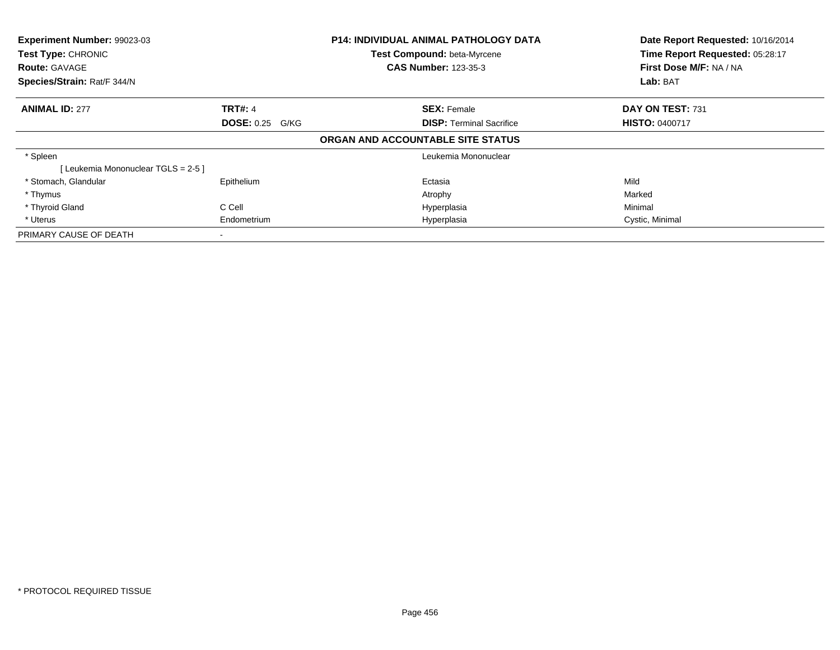| Experiment Number: 99023-03<br>Test Type: CHRONIC<br><b>Route: GAVAGE</b> |                        | <b>P14: INDIVIDUAL ANIMAL PATHOLOGY DATA</b><br>Test Compound: beta-Myrcene | Date Report Requested: 10/16/2014<br>Time Report Requested: 05:28:17 |
|---------------------------------------------------------------------------|------------------------|-----------------------------------------------------------------------------|----------------------------------------------------------------------|
|                                                                           |                        | <b>CAS Number: 123-35-3</b>                                                 | First Dose M/F: NA / NA                                              |
| Species/Strain: Rat/F 344/N                                               |                        |                                                                             | Lab: BAT                                                             |
| <b>ANIMAL ID: 277</b>                                                     | <b>TRT#: 4</b>         | <b>SEX: Female</b>                                                          | DAY ON TEST: 731                                                     |
|                                                                           | <b>DOSE: 0.25 G/KG</b> | <b>DISP:</b> Terminal Sacrifice                                             | <b>HISTO: 0400717</b>                                                |
|                                                                           |                        | ORGAN AND ACCOUNTABLE SITE STATUS                                           |                                                                      |
| * Spleen                                                                  |                        | Leukemia Mononuclear                                                        |                                                                      |
| [Leukemia Mononuclear TGLS = 2-5]                                         |                        |                                                                             |                                                                      |
| * Stomach, Glandular                                                      | Epithelium             | Ectasia                                                                     | Mild                                                                 |
| * Thymus                                                                  |                        | Atrophy                                                                     | Marked                                                               |
| * Thyroid Gland                                                           | C Cell                 | Hyperplasia                                                                 | Minimal                                                              |
| * Uterus                                                                  | Endometrium            | Hyperplasia                                                                 | Cystic, Minimal                                                      |
| PRIMARY CAUSE OF DEATH                                                    |                        |                                                                             |                                                                      |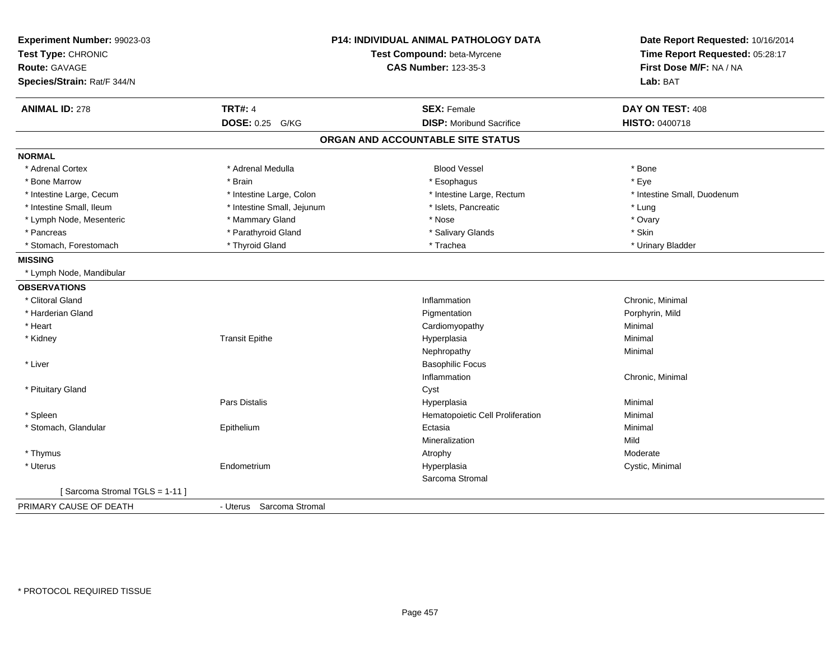| Experiment Number: 99023-03<br>Test Type: CHRONIC<br>Route: GAVAGE<br>Species/Strain: Rat/F 344/N |                            | P14: INDIVIDUAL ANIMAL PATHOLOGY DATA<br>Test Compound: beta-Myrcene<br><b>CAS Number: 123-35-3</b> | Date Report Requested: 10/16/2014<br>Time Report Requested: 05:28:17<br>First Dose M/F: NA / NA<br>Lab: BAT |  |
|---------------------------------------------------------------------------------------------------|----------------------------|-----------------------------------------------------------------------------------------------------|-------------------------------------------------------------------------------------------------------------|--|
| <b>ANIMAL ID: 278</b>                                                                             | <b>TRT#: 4</b>             | <b>SEX: Female</b>                                                                                  | DAY ON TEST: 408                                                                                            |  |
|                                                                                                   | <b>DOSE: 0.25</b><br>G/KG  | <b>DISP:</b> Moribund Sacrifice                                                                     | HISTO: 0400718                                                                                              |  |
|                                                                                                   |                            | ORGAN AND ACCOUNTABLE SITE STATUS                                                                   |                                                                                                             |  |
| <b>NORMAL</b>                                                                                     |                            |                                                                                                     |                                                                                                             |  |
| * Adrenal Cortex                                                                                  | * Adrenal Medulla          | <b>Blood Vessel</b>                                                                                 | * Bone                                                                                                      |  |
| * Bone Marrow                                                                                     | * Brain                    | * Esophagus                                                                                         | * Eye                                                                                                       |  |
| * Intestine Large, Cecum                                                                          | * Intestine Large, Colon   | * Intestine Large, Rectum                                                                           | * Intestine Small, Duodenum                                                                                 |  |
| * Intestine Small, Ileum                                                                          | * Intestine Small, Jejunum | * Islets, Pancreatic                                                                                | * Lung                                                                                                      |  |
| * Lymph Node, Mesenteric                                                                          | * Mammary Gland            | * Nose                                                                                              | * Ovary                                                                                                     |  |
| * Pancreas                                                                                        | * Parathyroid Gland        | * Salivary Glands                                                                                   | * Skin                                                                                                      |  |
| * Stomach, Forestomach                                                                            | * Thyroid Gland            | * Trachea                                                                                           | * Urinary Bladder                                                                                           |  |
| <b>MISSING</b>                                                                                    |                            |                                                                                                     |                                                                                                             |  |
| * Lymph Node, Mandibular                                                                          |                            |                                                                                                     |                                                                                                             |  |
| <b>OBSERVATIONS</b>                                                                               |                            |                                                                                                     |                                                                                                             |  |
| * Clitoral Gland                                                                                  |                            | Inflammation                                                                                        | Chronic, Minimal                                                                                            |  |
| * Harderian Gland                                                                                 |                            | Pigmentation                                                                                        | Porphyrin, Mild                                                                                             |  |
| * Heart                                                                                           |                            | Cardiomyopathy                                                                                      | Minimal                                                                                                     |  |
| * Kidney                                                                                          | <b>Transit Epithe</b>      | Hyperplasia                                                                                         | Minimal                                                                                                     |  |
|                                                                                                   |                            | Nephropathy                                                                                         | Minimal                                                                                                     |  |
| * Liver                                                                                           |                            | <b>Basophilic Focus</b>                                                                             |                                                                                                             |  |
|                                                                                                   |                            | Inflammation                                                                                        | Chronic, Minimal                                                                                            |  |
| * Pituitary Gland                                                                                 |                            | Cyst                                                                                                |                                                                                                             |  |
|                                                                                                   | Pars Distalis              | Hyperplasia                                                                                         | Minimal                                                                                                     |  |
| * Spleen                                                                                          |                            | Hematopoietic Cell Proliferation                                                                    | Minimal                                                                                                     |  |
| * Stomach, Glandular                                                                              | Epithelium                 | Ectasia                                                                                             | Minimal                                                                                                     |  |
|                                                                                                   |                            | Mineralization                                                                                      | Mild                                                                                                        |  |
| * Thymus                                                                                          |                            | Atrophy                                                                                             | Moderate                                                                                                    |  |
| * Uterus                                                                                          | Endometrium                | Hyperplasia                                                                                         | Cystic, Minimal                                                                                             |  |
|                                                                                                   |                            | Sarcoma Stromal                                                                                     |                                                                                                             |  |
| [Sarcoma Stromal TGLS = 1-11]                                                                     |                            |                                                                                                     |                                                                                                             |  |
| PRIMARY CAUSE OF DEATH                                                                            | - Uterus Sarcoma Stromal   |                                                                                                     |                                                                                                             |  |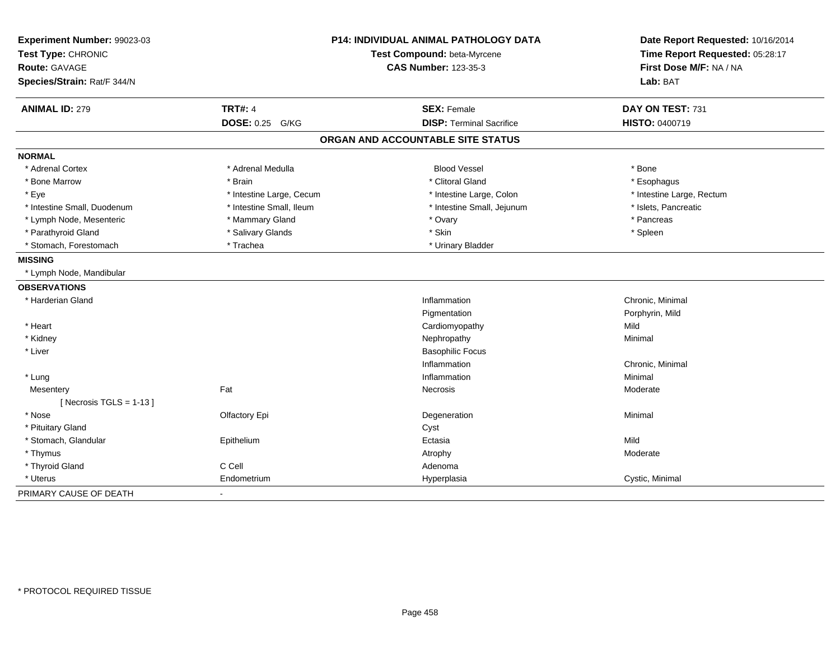| Experiment Number: 99023-03<br>Test Type: CHRONIC<br><b>Route: GAVAGE</b><br>Species/Strain: Rat/F 344/N |                          | P14: INDIVIDUAL ANIMAL PATHOLOGY DATA<br>Test Compound: beta-Myrcene<br><b>CAS Number: 123-35-3</b> | Date Report Requested: 10/16/2014<br>Time Report Requested: 05:28:17<br>First Dose M/F: NA / NA<br>Lab: BAT |  |
|----------------------------------------------------------------------------------------------------------|--------------------------|-----------------------------------------------------------------------------------------------------|-------------------------------------------------------------------------------------------------------------|--|
| <b>ANIMAL ID: 279</b>                                                                                    | <b>TRT#: 4</b>           | <b>SEX: Female</b>                                                                                  | DAY ON TEST: 731                                                                                            |  |
|                                                                                                          | DOSE: 0.25 G/KG          | <b>DISP: Terminal Sacrifice</b>                                                                     | HISTO: 0400719                                                                                              |  |
|                                                                                                          |                          | ORGAN AND ACCOUNTABLE SITE STATUS                                                                   |                                                                                                             |  |
| <b>NORMAL</b>                                                                                            |                          |                                                                                                     |                                                                                                             |  |
| * Adrenal Cortex                                                                                         | * Adrenal Medulla        | <b>Blood Vessel</b>                                                                                 | * Bone                                                                                                      |  |
| * Bone Marrow                                                                                            | * Brain                  | * Clitoral Gland                                                                                    | * Esophagus                                                                                                 |  |
| * Eye                                                                                                    | * Intestine Large, Cecum | * Intestine Large, Colon                                                                            | * Intestine Large, Rectum                                                                                   |  |
| * Intestine Small, Duodenum                                                                              | * Intestine Small, Ileum | * Intestine Small, Jejunum                                                                          | * Islets, Pancreatic                                                                                        |  |
| * Lymph Node, Mesenteric                                                                                 | * Mammary Gland          | * Ovary                                                                                             | * Pancreas                                                                                                  |  |
| * Parathyroid Gland                                                                                      | * Salivary Glands        | * Skin                                                                                              | * Spleen                                                                                                    |  |
| * Stomach, Forestomach                                                                                   | * Trachea                | * Urinary Bladder                                                                                   |                                                                                                             |  |
| <b>MISSING</b>                                                                                           |                          |                                                                                                     |                                                                                                             |  |
| * Lymph Node, Mandibular                                                                                 |                          |                                                                                                     |                                                                                                             |  |
| <b>OBSERVATIONS</b>                                                                                      |                          |                                                                                                     |                                                                                                             |  |
| * Harderian Gland                                                                                        |                          | Inflammation                                                                                        | Chronic, Minimal                                                                                            |  |
|                                                                                                          |                          | Pigmentation                                                                                        | Porphyrin, Mild                                                                                             |  |
| * Heart                                                                                                  |                          | Cardiomyopathy                                                                                      | Mild                                                                                                        |  |
| * Kidney                                                                                                 |                          | Nephropathy                                                                                         | Minimal                                                                                                     |  |
| * Liver                                                                                                  |                          | <b>Basophilic Focus</b>                                                                             |                                                                                                             |  |
|                                                                                                          |                          | Inflammation                                                                                        | Chronic, Minimal                                                                                            |  |
| * Lung                                                                                                   |                          | Inflammation                                                                                        | Minimal                                                                                                     |  |
| Mesentery                                                                                                | Fat                      | Necrosis                                                                                            | Moderate                                                                                                    |  |
| [ Necrosis TGLS = $1-13$ ]                                                                               |                          |                                                                                                     |                                                                                                             |  |
| * Nose                                                                                                   | Olfactory Epi            | Degeneration                                                                                        | Minimal                                                                                                     |  |
| * Pituitary Gland                                                                                        |                          | Cyst                                                                                                |                                                                                                             |  |
| * Stomach, Glandular                                                                                     | Epithelium               | Ectasia                                                                                             | Mild                                                                                                        |  |
| * Thymus                                                                                                 |                          | Atrophy                                                                                             | Moderate                                                                                                    |  |
| * Thyroid Gland                                                                                          | C Cell                   | Adenoma                                                                                             |                                                                                                             |  |
| * Uterus                                                                                                 | Endometrium              | Hyperplasia                                                                                         | Cystic, Minimal                                                                                             |  |
| PRIMARY CAUSE OF DEATH                                                                                   |                          |                                                                                                     |                                                                                                             |  |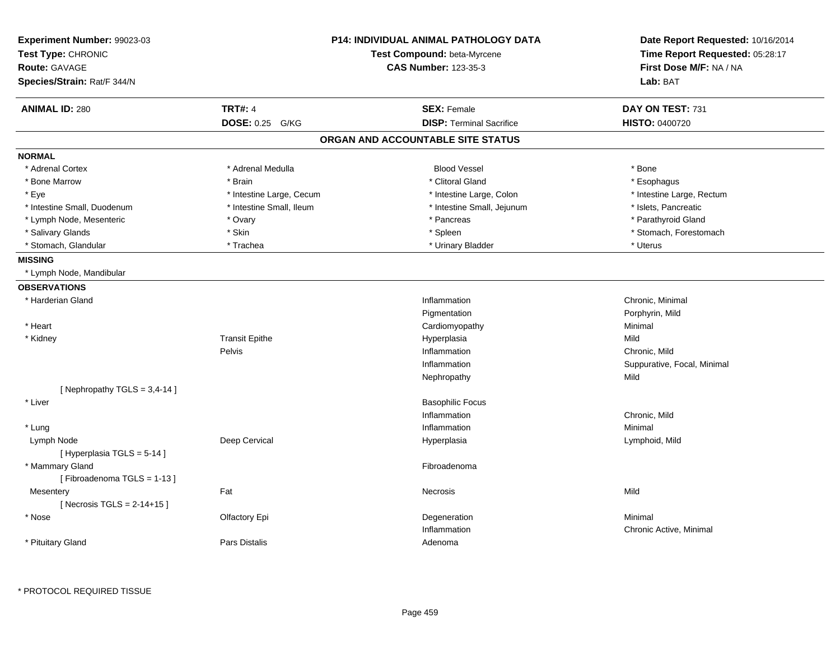| Experiment Number: 99023-03<br>Test Type: CHRONIC<br><b>Route: GAVAGE</b><br>Species/Strain: Rat/F 344/N | <b>P14: INDIVIDUAL ANIMAL PATHOLOGY DATA</b><br>Test Compound: beta-Myrcene<br><b>CAS Number: 123-35-3</b> |                                   | Date Report Requested: 10/16/2014<br>Time Report Requested: 05:28:17<br>First Dose M/F: NA / NA<br>Lab: BAT |  |
|----------------------------------------------------------------------------------------------------------|------------------------------------------------------------------------------------------------------------|-----------------------------------|-------------------------------------------------------------------------------------------------------------|--|
| <b>ANIMAL ID: 280</b>                                                                                    | <b>TRT#: 4</b>                                                                                             | <b>SEX: Female</b>                | DAY ON TEST: 731                                                                                            |  |
|                                                                                                          | DOSE: 0.25 G/KG                                                                                            | <b>DISP: Terminal Sacrifice</b>   | <b>HISTO: 0400720</b>                                                                                       |  |
|                                                                                                          |                                                                                                            | ORGAN AND ACCOUNTABLE SITE STATUS |                                                                                                             |  |
| <b>NORMAL</b>                                                                                            |                                                                                                            |                                   |                                                                                                             |  |
| * Adrenal Cortex                                                                                         | * Adrenal Medulla                                                                                          | <b>Blood Vessel</b>               | * Bone                                                                                                      |  |
| * Bone Marrow                                                                                            | * Brain                                                                                                    | * Clitoral Gland                  | * Esophagus                                                                                                 |  |
| * Eye                                                                                                    | * Intestine Large, Cecum                                                                                   | * Intestine Large, Colon          | * Intestine Large, Rectum                                                                                   |  |
| * Intestine Small, Duodenum                                                                              | * Intestine Small, Ileum                                                                                   | * Intestine Small, Jejunum        | * Islets, Pancreatic                                                                                        |  |
| * Lymph Node, Mesenteric                                                                                 | * Ovary                                                                                                    | * Pancreas                        | * Parathyroid Gland                                                                                         |  |
| * Salivary Glands                                                                                        | * Skin                                                                                                     | * Spleen                          | * Stomach, Forestomach                                                                                      |  |
| * Stomach, Glandular                                                                                     | * Trachea                                                                                                  | * Urinary Bladder                 | * Uterus                                                                                                    |  |
| <b>MISSING</b>                                                                                           |                                                                                                            |                                   |                                                                                                             |  |
| * Lymph Node, Mandibular                                                                                 |                                                                                                            |                                   |                                                                                                             |  |
| <b>OBSERVATIONS</b>                                                                                      |                                                                                                            |                                   |                                                                                                             |  |
| * Harderian Gland                                                                                        |                                                                                                            | Inflammation                      | Chronic, Minimal                                                                                            |  |
|                                                                                                          |                                                                                                            | Pigmentation                      | Porphyrin, Mild                                                                                             |  |
| * Heart                                                                                                  |                                                                                                            | Cardiomyopathy                    | Minimal                                                                                                     |  |
| * Kidney                                                                                                 | <b>Transit Epithe</b>                                                                                      | Hyperplasia                       | Mild                                                                                                        |  |
|                                                                                                          | Pelvis                                                                                                     | Inflammation                      | Chronic, Mild                                                                                               |  |
|                                                                                                          |                                                                                                            | Inflammation                      | Suppurative, Focal, Minimal                                                                                 |  |
|                                                                                                          |                                                                                                            | Nephropathy                       | Mild                                                                                                        |  |
| [Nephropathy TGLS = $3,4-14$ ]                                                                           |                                                                                                            |                                   |                                                                                                             |  |
| * Liver                                                                                                  |                                                                                                            | <b>Basophilic Focus</b>           |                                                                                                             |  |
|                                                                                                          |                                                                                                            | Inflammation                      | Chronic, Mild                                                                                               |  |
| * Lung                                                                                                   |                                                                                                            | Inflammation                      | Minimal                                                                                                     |  |
| Lymph Node                                                                                               | Deep Cervical                                                                                              | Hyperplasia                       | Lymphoid, Mild                                                                                              |  |
| [Hyperplasia TGLS = 5-14]                                                                                |                                                                                                            |                                   |                                                                                                             |  |
| * Mammary Gland                                                                                          |                                                                                                            | Fibroadenoma                      |                                                                                                             |  |
| [Fibroadenoma TGLS = 1-13]                                                                               |                                                                                                            |                                   |                                                                                                             |  |
| Mesentery                                                                                                | Fat                                                                                                        | Necrosis                          | Mild                                                                                                        |  |
| [Necrosis TGLS = $2-14+15$ ]                                                                             |                                                                                                            |                                   |                                                                                                             |  |
| * Nose                                                                                                   | Olfactory Epi                                                                                              | Degeneration                      | Minimal                                                                                                     |  |
|                                                                                                          |                                                                                                            | Inflammation                      | Chronic Active, Minimal                                                                                     |  |
| * Pituitary Gland                                                                                        | Pars Distalis                                                                                              | Adenoma                           |                                                                                                             |  |
|                                                                                                          |                                                                                                            |                                   |                                                                                                             |  |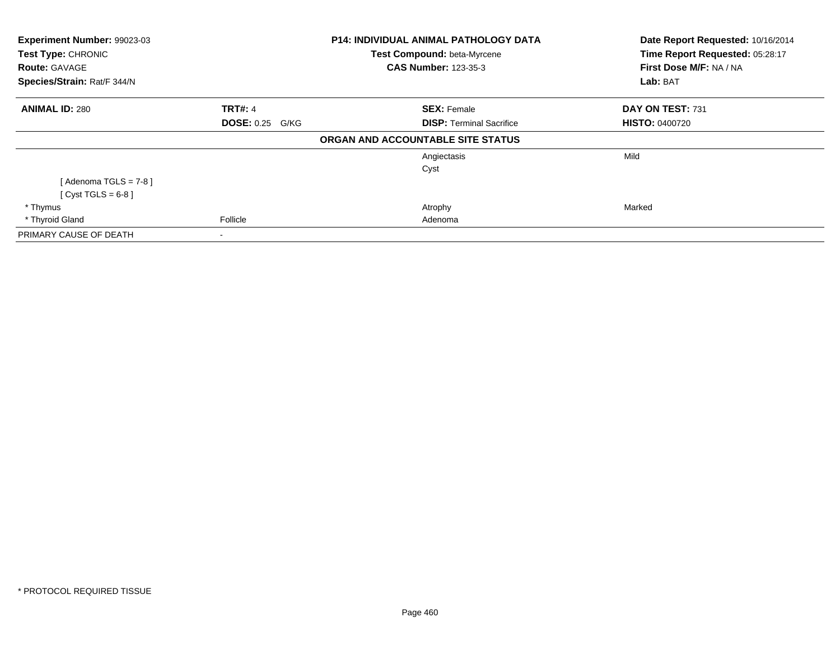| Experiment Number: 99023-03<br>Test Type: CHRONIC<br><b>Route: GAVAGE</b><br>Species/Strain: Rat/F 344/N |                        | <b>P14: INDIVIDUAL ANIMAL PATHOLOGY DATA</b><br>Test Compound: beta-Myrcene<br><b>CAS Number: 123-35-3</b> | Date Report Requested: 10/16/2014<br>Time Report Requested: 05:28:17<br>First Dose M/F: NA / NA<br>Lab: BAT |
|----------------------------------------------------------------------------------------------------------|------------------------|------------------------------------------------------------------------------------------------------------|-------------------------------------------------------------------------------------------------------------|
| <b>ANIMAL ID: 280</b>                                                                                    | <b>TRT#: 4</b>         | <b>SEX: Female</b>                                                                                         | DAY ON TEST: 731                                                                                            |
|                                                                                                          | <b>DOSE: 0.25 G/KG</b> | <b>DISP: Terminal Sacrifice</b>                                                                            | <b>HISTO: 0400720</b>                                                                                       |
|                                                                                                          |                        | ORGAN AND ACCOUNTABLE SITE STATUS                                                                          |                                                                                                             |
|                                                                                                          |                        | Angiectasis                                                                                                | Mild                                                                                                        |
|                                                                                                          |                        | Cyst                                                                                                       |                                                                                                             |
| [Adenoma TGLS = $7-8$ ]                                                                                  |                        |                                                                                                            |                                                                                                             |
| $[Cyst TGLS = 6-8]$                                                                                      |                        |                                                                                                            |                                                                                                             |
| * Thymus                                                                                                 |                        | Atrophy                                                                                                    | Marked                                                                                                      |
| * Thyroid Gland                                                                                          | Follicle               | Adenoma                                                                                                    |                                                                                                             |
| PRIMARY CAUSE OF DEATH                                                                                   | ۰                      |                                                                                                            |                                                                                                             |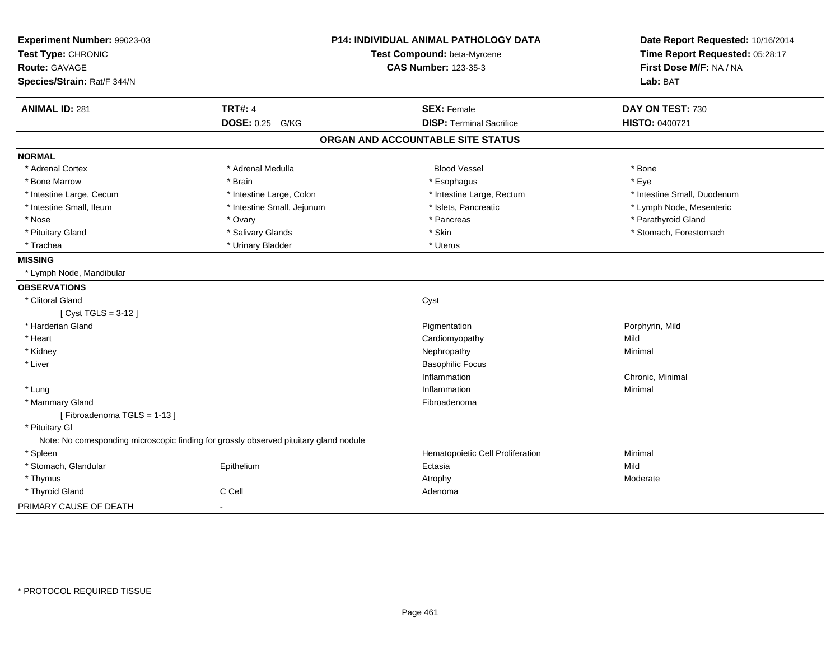| Experiment Number: 99023-03<br>Test Type: CHRONIC<br><b>Route: GAVAGE</b><br>Species/Strain: Rat/F 344/N |                            | <b>P14: INDIVIDUAL ANIMAL PATHOLOGY DATA</b><br>Test Compound: beta-Myrcene<br><b>CAS Number: 123-35-3</b> | Date Report Requested: 10/16/2014<br>Time Report Requested: 05:28:17<br>First Dose M/F: NA / NA<br>Lab: BAT |  |
|----------------------------------------------------------------------------------------------------------|----------------------------|------------------------------------------------------------------------------------------------------------|-------------------------------------------------------------------------------------------------------------|--|
|                                                                                                          |                            |                                                                                                            |                                                                                                             |  |
| <b>ANIMAL ID: 281</b>                                                                                    | <b>TRT#: 4</b>             | <b>SEX: Female</b>                                                                                         | DAY ON TEST: 730                                                                                            |  |
|                                                                                                          | <b>DOSE: 0.25</b><br>G/KG  | <b>DISP: Terminal Sacrifice</b>                                                                            | HISTO: 0400721                                                                                              |  |
|                                                                                                          |                            | ORGAN AND ACCOUNTABLE SITE STATUS                                                                          |                                                                                                             |  |
| <b>NORMAL</b>                                                                                            |                            |                                                                                                            |                                                                                                             |  |
| * Adrenal Cortex                                                                                         | * Adrenal Medulla          | <b>Blood Vessel</b>                                                                                        | * Bone                                                                                                      |  |
| * Bone Marrow                                                                                            | * Brain                    | * Esophagus                                                                                                | * Eye                                                                                                       |  |
| * Intestine Large, Cecum                                                                                 | * Intestine Large, Colon   | * Intestine Large, Rectum                                                                                  | * Intestine Small, Duodenum                                                                                 |  |
| * Intestine Small, Ileum                                                                                 | * Intestine Small, Jejunum | * Islets, Pancreatic                                                                                       | * Lymph Node, Mesenteric                                                                                    |  |
| * Nose                                                                                                   | * Ovary                    | * Pancreas                                                                                                 | * Parathyroid Gland                                                                                         |  |
| * Pituitary Gland                                                                                        | * Salivary Glands          | * Skin                                                                                                     | * Stomach, Forestomach                                                                                      |  |
| * Trachea                                                                                                | * Urinary Bladder          | * Uterus                                                                                                   |                                                                                                             |  |
| <b>MISSING</b>                                                                                           |                            |                                                                                                            |                                                                                                             |  |
| * Lymph Node, Mandibular                                                                                 |                            |                                                                                                            |                                                                                                             |  |
| <b>OBSERVATIONS</b>                                                                                      |                            |                                                                                                            |                                                                                                             |  |
| * Clitoral Gland                                                                                         |                            | Cyst                                                                                                       |                                                                                                             |  |
| [ Cyst TGLS = 3-12 ]                                                                                     |                            |                                                                                                            |                                                                                                             |  |
| * Harderian Gland                                                                                        |                            | Pigmentation                                                                                               | Porphyrin, Mild                                                                                             |  |
| * Heart                                                                                                  |                            | Cardiomyopathy                                                                                             | Mild                                                                                                        |  |
| * Kidney                                                                                                 |                            | Nephropathy                                                                                                | Minimal                                                                                                     |  |
| * Liver                                                                                                  |                            | <b>Basophilic Focus</b>                                                                                    |                                                                                                             |  |
|                                                                                                          |                            | Inflammation                                                                                               | Chronic, Minimal                                                                                            |  |
| * Lung                                                                                                   |                            | Inflammation                                                                                               | Minimal                                                                                                     |  |
| * Mammary Gland                                                                                          |                            | Fibroadenoma                                                                                               |                                                                                                             |  |
| [Fibroadenoma TGLS = 1-13]                                                                               |                            |                                                                                                            |                                                                                                             |  |
| * Pituitary Gl                                                                                           |                            |                                                                                                            |                                                                                                             |  |
| Note: No corresponding microscopic finding for grossly observed pituitary gland nodule                   |                            |                                                                                                            |                                                                                                             |  |
| * Spleen                                                                                                 |                            | Hematopoietic Cell Proliferation                                                                           | Minimal                                                                                                     |  |
| * Stomach, Glandular                                                                                     | Epithelium                 | Ectasia                                                                                                    | Mild                                                                                                        |  |
| * Thymus                                                                                                 |                            | Atrophy                                                                                                    | Moderate                                                                                                    |  |
| * Thyroid Gland                                                                                          | C Cell                     | Adenoma                                                                                                    |                                                                                                             |  |
| PRIMARY CAUSE OF DEATH                                                                                   | $\blacksquare$             |                                                                                                            |                                                                                                             |  |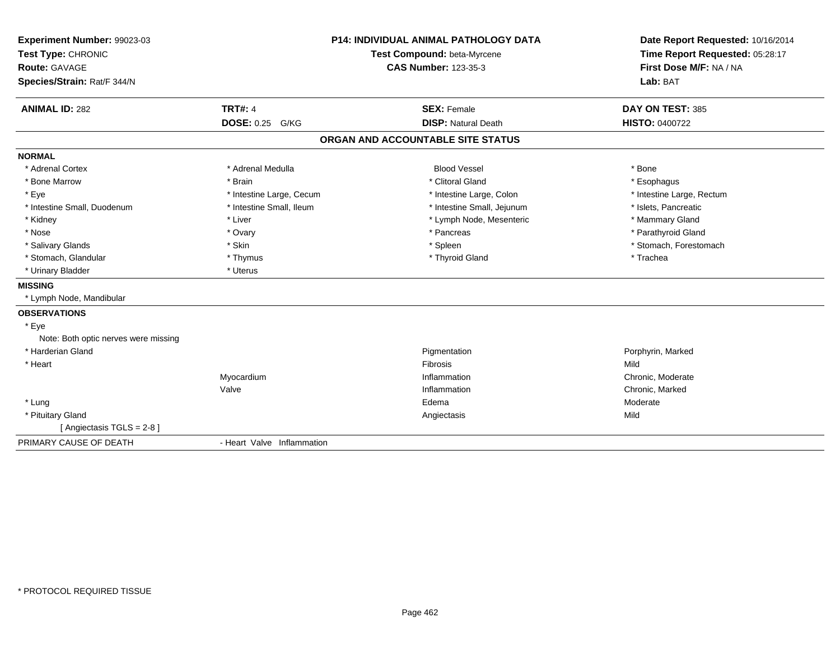| Experiment Number: 99023-03<br>Test Type: CHRONIC<br><b>Route: GAVAGE</b><br>Species/Strain: Rat/F 344/N<br><b>ANIMAL ID: 282</b> | <b>TRT#: 4</b>             | <b>P14: INDIVIDUAL ANIMAL PATHOLOGY DATA</b><br>Test Compound: beta-Myrcene<br><b>CAS Number: 123-35-3</b><br><b>SEX: Female</b> | Date Report Requested: 10/16/2014<br>Time Report Requested: 05:28:17<br>First Dose M/F: NA / NA<br>Lab: BAT<br>DAY ON TEST: 385 |
|-----------------------------------------------------------------------------------------------------------------------------------|----------------------------|----------------------------------------------------------------------------------------------------------------------------------|---------------------------------------------------------------------------------------------------------------------------------|
|                                                                                                                                   | DOSE: 0.25 G/KG            | <b>DISP: Natural Death</b>                                                                                                       | <b>HISTO: 0400722</b>                                                                                                           |
|                                                                                                                                   |                            | ORGAN AND ACCOUNTABLE SITE STATUS                                                                                                |                                                                                                                                 |
| <b>NORMAL</b>                                                                                                                     |                            |                                                                                                                                  |                                                                                                                                 |
| * Adrenal Cortex                                                                                                                  | * Adrenal Medulla          | <b>Blood Vessel</b>                                                                                                              | * Bone                                                                                                                          |
| * Bone Marrow                                                                                                                     | * Brain                    | * Clitoral Gland                                                                                                                 | * Esophagus                                                                                                                     |
| * Eye                                                                                                                             | * Intestine Large, Cecum   | * Intestine Large, Colon                                                                                                         | * Intestine Large, Rectum                                                                                                       |
| * Intestine Small, Duodenum                                                                                                       | * Intestine Small, Ileum   | * Intestine Small, Jejunum                                                                                                       | * Islets, Pancreatic                                                                                                            |
| * Kidney                                                                                                                          | * Liver                    | * Lymph Node, Mesenteric                                                                                                         | * Mammary Gland                                                                                                                 |
| * Nose                                                                                                                            | * Ovary                    | * Pancreas                                                                                                                       | * Parathyroid Gland                                                                                                             |
| * Salivary Glands                                                                                                                 | * Skin                     | * Spleen                                                                                                                         | * Stomach, Forestomach                                                                                                          |
| * Stomach, Glandular                                                                                                              | * Thymus                   | * Thyroid Gland                                                                                                                  | * Trachea                                                                                                                       |
| * Urinary Bladder                                                                                                                 | * Uterus                   |                                                                                                                                  |                                                                                                                                 |
| <b>MISSING</b>                                                                                                                    |                            |                                                                                                                                  |                                                                                                                                 |
| * Lymph Node, Mandibular                                                                                                          |                            |                                                                                                                                  |                                                                                                                                 |
| <b>OBSERVATIONS</b>                                                                                                               |                            |                                                                                                                                  |                                                                                                                                 |
| * Eye                                                                                                                             |                            |                                                                                                                                  |                                                                                                                                 |
| Note: Both optic nerves were missing                                                                                              |                            |                                                                                                                                  |                                                                                                                                 |
| * Harderian Gland                                                                                                                 |                            | Pigmentation                                                                                                                     | Porphyrin, Marked                                                                                                               |
| * Heart                                                                                                                           |                            | Fibrosis                                                                                                                         | Mild                                                                                                                            |
|                                                                                                                                   | Myocardium                 | Inflammation                                                                                                                     | Chronic, Moderate                                                                                                               |
|                                                                                                                                   | Valve                      | Inflammation                                                                                                                     | Chronic, Marked                                                                                                                 |
| * Lung                                                                                                                            |                            | Edema                                                                                                                            | Moderate                                                                                                                        |
| * Pituitary Gland                                                                                                                 |                            | Angiectasis                                                                                                                      | Mild                                                                                                                            |
| [Angiectasis TGLS = 2-8]                                                                                                          |                            |                                                                                                                                  |                                                                                                                                 |
| PRIMARY CAUSE OF DEATH                                                                                                            | - Heart Valve Inflammation |                                                                                                                                  |                                                                                                                                 |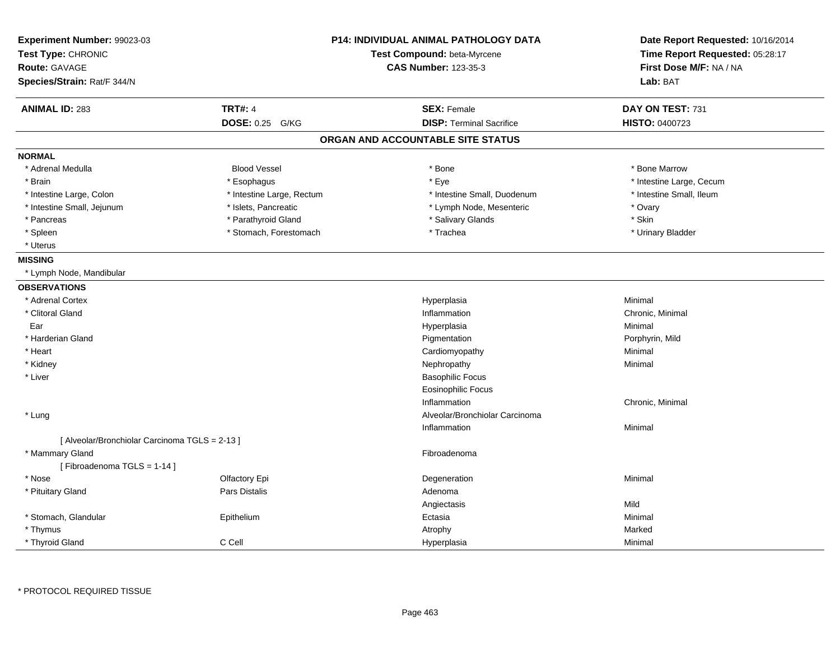| Experiment Number: 99023-03<br>Test Type: CHRONIC<br><b>Route: GAVAGE</b> |                           | P14: INDIVIDUAL ANIMAL PATHOLOGY DATA<br>Test Compound: beta-Myrcene<br><b>CAS Number: 123-35-3</b> | Date Report Requested: 10/16/2014<br>Time Report Requested: 05:28:17<br>First Dose M/F: NA / NA |
|---------------------------------------------------------------------------|---------------------------|-----------------------------------------------------------------------------------------------------|-------------------------------------------------------------------------------------------------|
| Species/Strain: Rat/F 344/N                                               |                           |                                                                                                     | Lab: BAT                                                                                        |
| <b>ANIMAL ID: 283</b>                                                     | <b>TRT#: 4</b>            | <b>SEX: Female</b>                                                                                  | DAY ON TEST: 731                                                                                |
|                                                                           | <b>DOSE: 0.25</b><br>G/KG | <b>DISP: Terminal Sacrifice</b>                                                                     | HISTO: 0400723                                                                                  |
|                                                                           |                           | ORGAN AND ACCOUNTABLE SITE STATUS                                                                   |                                                                                                 |
| <b>NORMAL</b>                                                             |                           |                                                                                                     |                                                                                                 |
| * Adrenal Medulla                                                         | <b>Blood Vessel</b>       | * Bone                                                                                              | * Bone Marrow                                                                                   |
| * Brain                                                                   | * Esophagus               | * Eye                                                                                               | * Intestine Large, Cecum                                                                        |
| * Intestine Large, Colon                                                  | * Intestine Large, Rectum | * Intestine Small, Duodenum                                                                         | * Intestine Small, Ileum                                                                        |
| * Intestine Small, Jejunum                                                | * Islets, Pancreatic      | * Lymph Node, Mesenteric                                                                            | * Ovary                                                                                         |
| * Pancreas                                                                | * Parathyroid Gland       | * Salivary Glands                                                                                   | * Skin                                                                                          |
| * Spleen                                                                  | * Stomach, Forestomach    | * Trachea                                                                                           | * Urinary Bladder                                                                               |
| * Uterus                                                                  |                           |                                                                                                     |                                                                                                 |
| <b>MISSING</b>                                                            |                           |                                                                                                     |                                                                                                 |
| * Lymph Node, Mandibular                                                  |                           |                                                                                                     |                                                                                                 |
| <b>OBSERVATIONS</b>                                                       |                           |                                                                                                     |                                                                                                 |
| * Adrenal Cortex                                                          |                           | Hyperplasia                                                                                         | Minimal                                                                                         |
| * Clitoral Gland                                                          |                           | Inflammation                                                                                        | Chronic, Minimal                                                                                |
| Ear                                                                       |                           | Hyperplasia                                                                                         | Minimal                                                                                         |
| * Harderian Gland                                                         |                           | Pigmentation                                                                                        | Porphyrin, Mild                                                                                 |
| * Heart                                                                   |                           | Cardiomyopathy                                                                                      | Minimal                                                                                         |
| * Kidney                                                                  |                           | Nephropathy                                                                                         | Minimal                                                                                         |
| * Liver                                                                   |                           | <b>Basophilic Focus</b>                                                                             |                                                                                                 |
|                                                                           |                           | <b>Eosinophilic Focus</b>                                                                           |                                                                                                 |
|                                                                           |                           | Inflammation                                                                                        | Chronic, Minimal                                                                                |
| * Lung                                                                    |                           | Alveolar/Bronchiolar Carcinoma                                                                      |                                                                                                 |
|                                                                           |                           | Inflammation                                                                                        | Minimal                                                                                         |
| [ Alveolar/Bronchiolar Carcinoma TGLS = 2-13 ]                            |                           |                                                                                                     |                                                                                                 |
| * Mammary Gland                                                           |                           | Fibroadenoma                                                                                        |                                                                                                 |
| [Fibroadenoma TGLS = 1-14]                                                |                           |                                                                                                     |                                                                                                 |
| * Nose                                                                    | Olfactory Epi             | Degeneration                                                                                        | Minimal                                                                                         |
| * Pituitary Gland                                                         | Pars Distalis             | Adenoma                                                                                             |                                                                                                 |
|                                                                           |                           | Angiectasis                                                                                         | Mild                                                                                            |
| * Stomach, Glandular                                                      | Epithelium                | Ectasia                                                                                             | Minimal                                                                                         |
| * Thymus                                                                  |                           | Atrophy                                                                                             | Marked                                                                                          |
| * Thyroid Gland                                                           | C Cell                    | Hyperplasia                                                                                         | Minimal                                                                                         |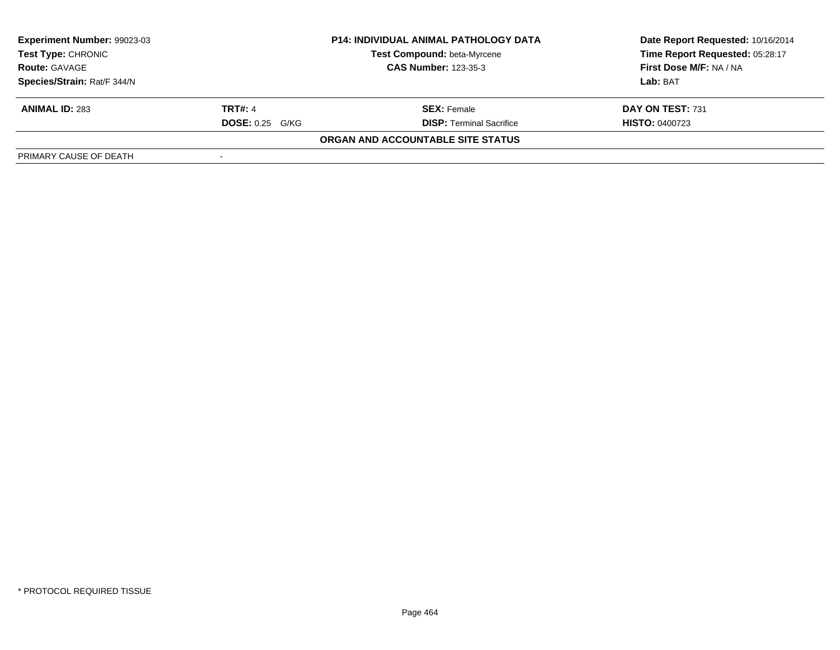| Experiment Number: 99023-03<br>Test Type: CHRONIC | <b>P14: INDIVIDUAL ANIMAL PATHOLOGY DATA</b><br>Test Compound: beta-Myrcene |                                   | Date Report Requested: 10/16/2014<br>Time Report Requested: 05:28:17 |
|---------------------------------------------------|-----------------------------------------------------------------------------|-----------------------------------|----------------------------------------------------------------------|
| <b>Route: GAVAGE</b>                              | <b>CAS Number: 123-35-3</b>                                                 |                                   | First Dose M/F: NA / NA                                              |
| Species/Strain: Rat/F 344/N                       |                                                                             |                                   | Lab: BAT                                                             |
| <b>ANIMAL ID: 283</b>                             | <b>TRT#: 4</b>                                                              | <b>SEX:</b> Female                | DAY ON TEST: 731                                                     |
|                                                   | $DOSE: 0.25$ G/KG                                                           | <b>DISP: Terminal Sacrifice</b>   | <b>HISTO: 0400723</b>                                                |
|                                                   |                                                                             | ORGAN AND ACCOUNTABLE SITE STATUS |                                                                      |
| PRIMARY CAUSE OF DEATH                            |                                                                             |                                   |                                                                      |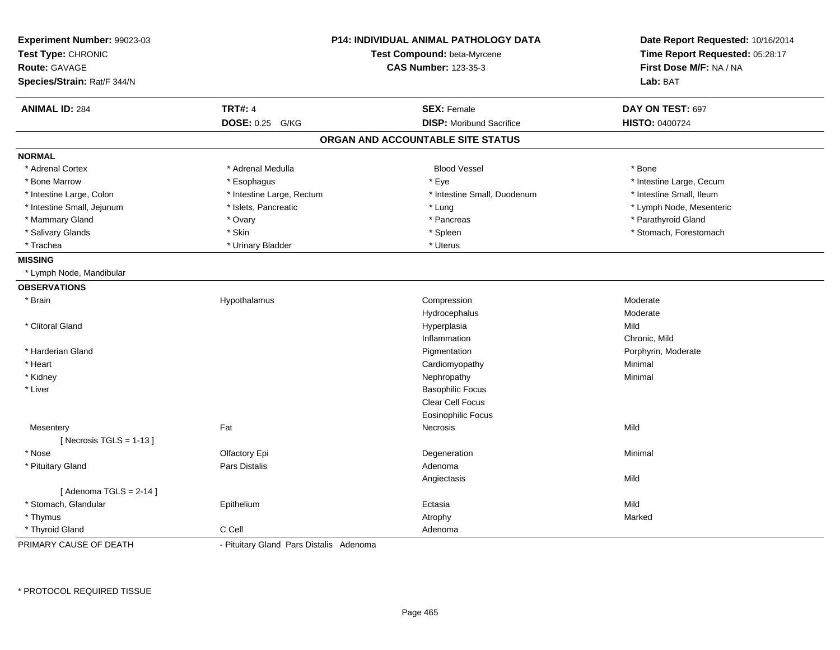| Experiment Number: 99023-03<br>Test Type: CHRONIC |                                         | P14: INDIVIDUAL ANIMAL PATHOLOGY DATA<br>Test Compound: beta-Myrcene | Date Report Requested: 10/16/2014<br>Time Report Requested: 05:28:17 |  |
|---------------------------------------------------|-----------------------------------------|----------------------------------------------------------------------|----------------------------------------------------------------------|--|
| <b>Route: GAVAGE</b>                              | <b>CAS Number: 123-35-3</b>             |                                                                      | First Dose M/F: NA / NA                                              |  |
| Species/Strain: Rat/F 344/N                       |                                         |                                                                      | Lab: BAT                                                             |  |
|                                                   |                                         |                                                                      |                                                                      |  |
| <b>ANIMAL ID: 284</b>                             | <b>TRT#: 4</b>                          | <b>SEX: Female</b>                                                   | DAY ON TEST: 697                                                     |  |
|                                                   | <b>DOSE: 0.25</b><br>G/KG               | <b>DISP:</b> Moribund Sacrifice                                      | <b>HISTO: 0400724</b>                                                |  |
|                                                   |                                         | ORGAN AND ACCOUNTABLE SITE STATUS                                    |                                                                      |  |
| <b>NORMAL</b>                                     |                                         |                                                                      |                                                                      |  |
| * Adrenal Cortex                                  | * Adrenal Medulla                       | <b>Blood Vessel</b>                                                  | * Bone                                                               |  |
| * Bone Marrow                                     | * Esophagus                             | * Eye                                                                | * Intestine Large, Cecum                                             |  |
| * Intestine Large, Colon                          | * Intestine Large, Rectum               | * Intestine Small, Duodenum                                          | * Intestine Small, Ileum                                             |  |
| * Intestine Small, Jejunum                        | * Islets, Pancreatic                    | * Lung                                                               | * Lymph Node, Mesenteric                                             |  |
| * Mammary Gland                                   | * Ovary                                 | * Pancreas                                                           | * Parathyroid Gland                                                  |  |
| * Salivary Glands                                 | * Skin                                  | * Spleen                                                             | * Stomach, Forestomach                                               |  |
| * Trachea                                         | * Urinary Bladder                       | * Uterus                                                             |                                                                      |  |
| <b>MISSING</b>                                    |                                         |                                                                      |                                                                      |  |
| * Lymph Node, Mandibular                          |                                         |                                                                      |                                                                      |  |
| <b>OBSERVATIONS</b>                               |                                         |                                                                      |                                                                      |  |
| * Brain                                           | Hypothalamus                            | Compression                                                          | Moderate                                                             |  |
|                                                   |                                         | Hydrocephalus                                                        | Moderate                                                             |  |
| * Clitoral Gland                                  |                                         | Hyperplasia                                                          | Mild                                                                 |  |
|                                                   |                                         | Inflammation                                                         | Chronic, Mild                                                        |  |
| * Harderian Gland                                 |                                         | Pigmentation                                                         | Porphyrin, Moderate                                                  |  |
| * Heart                                           |                                         | Cardiomyopathy                                                       | Minimal                                                              |  |
| * Kidney                                          |                                         | Nephropathy                                                          | Minimal                                                              |  |
| * Liver                                           |                                         | <b>Basophilic Focus</b>                                              |                                                                      |  |
|                                                   |                                         | Clear Cell Focus                                                     |                                                                      |  |
|                                                   |                                         | <b>Eosinophilic Focus</b>                                            |                                                                      |  |
| Mesentery                                         | Fat                                     | Necrosis                                                             | Mild                                                                 |  |
| [Necrosis TGLS = $1-13$ ]                         |                                         |                                                                      |                                                                      |  |
| * Nose                                            | Olfactory Epi                           | Degeneration                                                         | Minimal                                                              |  |
| * Pituitary Gland                                 | Pars Distalis                           | Adenoma                                                              |                                                                      |  |
|                                                   |                                         | Angiectasis                                                          | Mild                                                                 |  |
| [Adenoma TGLS = $2-14$ ]                          |                                         |                                                                      |                                                                      |  |
| * Stomach, Glandular                              | Epithelium                              | Ectasia                                                              | Mild                                                                 |  |
| * Thymus                                          |                                         | Atrophy                                                              | Marked                                                               |  |
| * Thyroid Gland                                   | C Cell                                  | Adenoma                                                              |                                                                      |  |
| PRIMARY CAUSE OF DEATH                            | - Pituitary Gland Pars Distalis Adenoma |                                                                      |                                                                      |  |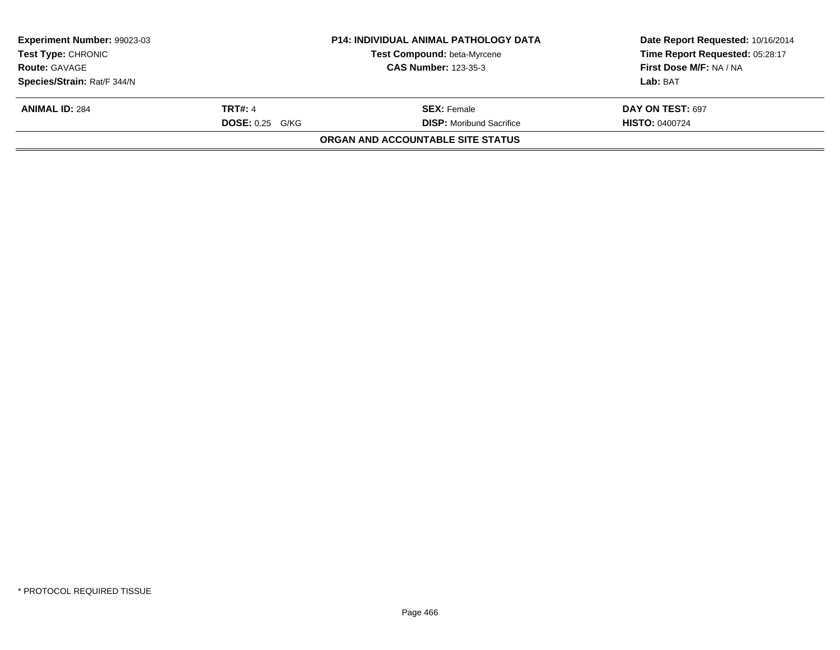| Experiment Number: 99023-03 |                        | <b>P14: INDIVIDUAL ANIMAL PATHOLOGY DATA</b> | Date Report Requested: 10/16/2014 |
|-----------------------------|------------------------|----------------------------------------------|-----------------------------------|
| <b>Test Type: CHRONIC</b>   |                        | Test Compound: beta-Myrcene                  | Time Report Requested: 05:28:17   |
| <b>Route: GAVAGE</b>        |                        | <b>CAS Number: 123-35-3</b>                  | First Dose M/F: NA / NA           |
| Species/Strain: Rat/F 344/N |                        |                                              | Lab: BAT                          |
| <b>ANIMAL ID: 284</b>       | <b>TRT#: 4</b>         | <b>SEX:</b> Female                           | DAY ON TEST: 697                  |
|                             | <b>DOSE: 0.25 G/KG</b> | <b>DISP:</b> Moribund Sacrifice              | <b>HISTO: 0400724</b>             |
|                             |                        | <b>ORGAN AND ACCOUNTABLE SITE STATUS</b>     |                                   |
|                             |                        |                                              |                                   |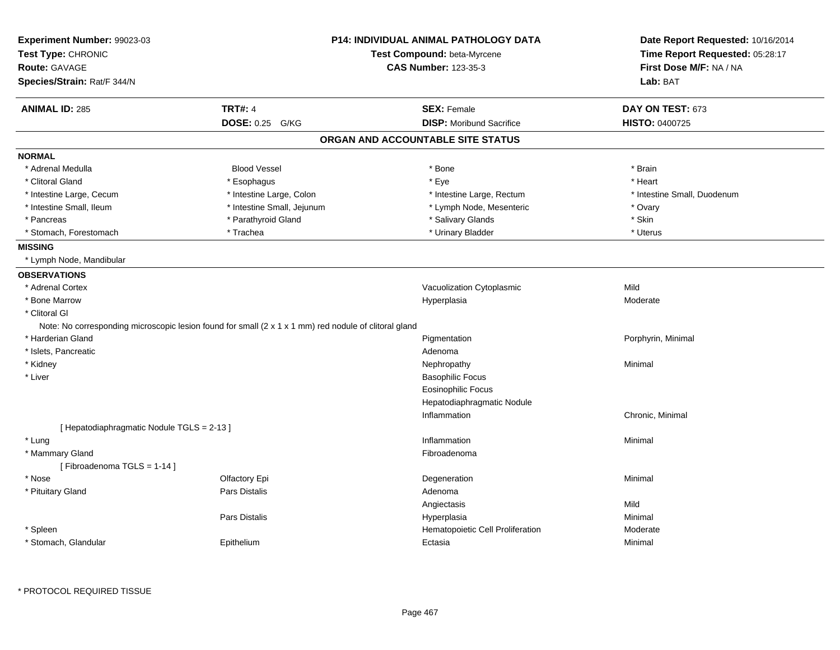| Experiment Number: 99023-03<br>Test Type: CHRONIC                                                     |                             | <b>P14: INDIVIDUAL ANIMAL PATHOLOGY DATA</b> | Date Report Requested: 10/16/2014 |  |
|-------------------------------------------------------------------------------------------------------|-----------------------------|----------------------------------------------|-----------------------------------|--|
|                                                                                                       |                             | Test Compound: beta-Myrcene                  | Time Report Requested: 05:28:17   |  |
| Route: GAVAGE                                                                                         | <b>CAS Number: 123-35-3</b> |                                              | First Dose M/F: NA / NA           |  |
| Species/Strain: Rat/F 344/N                                                                           |                             |                                              | Lab: BAT                          |  |
| <b>ANIMAL ID: 285</b>                                                                                 | <b>TRT#: 4</b>              | <b>SEX: Female</b>                           | DAY ON TEST: 673                  |  |
|                                                                                                       | DOSE: 0.25 G/KG             | <b>DISP:</b> Moribund Sacrifice              | HISTO: 0400725                    |  |
|                                                                                                       |                             | ORGAN AND ACCOUNTABLE SITE STATUS            |                                   |  |
| <b>NORMAL</b>                                                                                         |                             |                                              |                                   |  |
| * Adrenal Medulla                                                                                     | <b>Blood Vessel</b>         | * Bone                                       | * Brain                           |  |
| * Clitoral Gland                                                                                      | * Esophagus                 | * Eye                                        | * Heart                           |  |
| * Intestine Large, Cecum                                                                              | * Intestine Large, Colon    | * Intestine Large, Rectum                    | * Intestine Small, Duodenum       |  |
| * Intestine Small, Ileum                                                                              | * Intestine Small, Jejunum  | * Lymph Node, Mesenteric                     | * Ovary                           |  |
| * Pancreas                                                                                            | * Parathyroid Gland         | * Salivary Glands                            | * Skin                            |  |
| * Stomach, Forestomach                                                                                | * Trachea                   | * Urinary Bladder                            | * Uterus                          |  |
| <b>MISSING</b>                                                                                        |                             |                                              |                                   |  |
| * Lymph Node, Mandibular                                                                              |                             |                                              |                                   |  |
| <b>OBSERVATIONS</b>                                                                                   |                             |                                              |                                   |  |
| * Adrenal Cortex                                                                                      |                             | Vacuolization Cytoplasmic                    | Mild                              |  |
| * Bone Marrow                                                                                         |                             | Hyperplasia                                  | Moderate                          |  |
| * Clitoral GI                                                                                         |                             |                                              |                                   |  |
| Note: No corresponding microscopic lesion found for small (2 x 1 x 1 mm) red nodule of clitoral gland |                             |                                              |                                   |  |
| * Harderian Gland                                                                                     |                             | Pigmentation                                 | Porphyrin, Minimal                |  |
| * Islets, Pancreatic                                                                                  |                             | Adenoma                                      |                                   |  |
| * Kidney                                                                                              |                             | Nephropathy                                  | Minimal                           |  |
| * Liver                                                                                               |                             | <b>Basophilic Focus</b>                      |                                   |  |
|                                                                                                       |                             | <b>Eosinophilic Focus</b>                    |                                   |  |
|                                                                                                       |                             | Hepatodiaphragmatic Nodule                   |                                   |  |
|                                                                                                       |                             | Inflammation                                 | Chronic, Minimal                  |  |
| [ Hepatodiaphragmatic Nodule TGLS = 2-13 ]                                                            |                             |                                              |                                   |  |
| * Lung                                                                                                |                             | Inflammation                                 | Minimal                           |  |
| * Mammary Gland                                                                                       |                             | Fibroadenoma                                 |                                   |  |
| [Fibroadenoma TGLS = 1-14]                                                                            |                             |                                              |                                   |  |
| * Nose                                                                                                | Olfactory Epi               | Degeneration                                 | Minimal                           |  |
| * Pituitary Gland                                                                                     | Pars Distalis               | Adenoma                                      |                                   |  |
|                                                                                                       |                             | Angiectasis                                  | Mild                              |  |
|                                                                                                       | Pars Distalis               | Hyperplasia                                  | Minimal                           |  |
| * Spleen                                                                                              |                             | Hematopoietic Cell Proliferation             | Moderate                          |  |
|                                                                                                       |                             |                                              |                                   |  |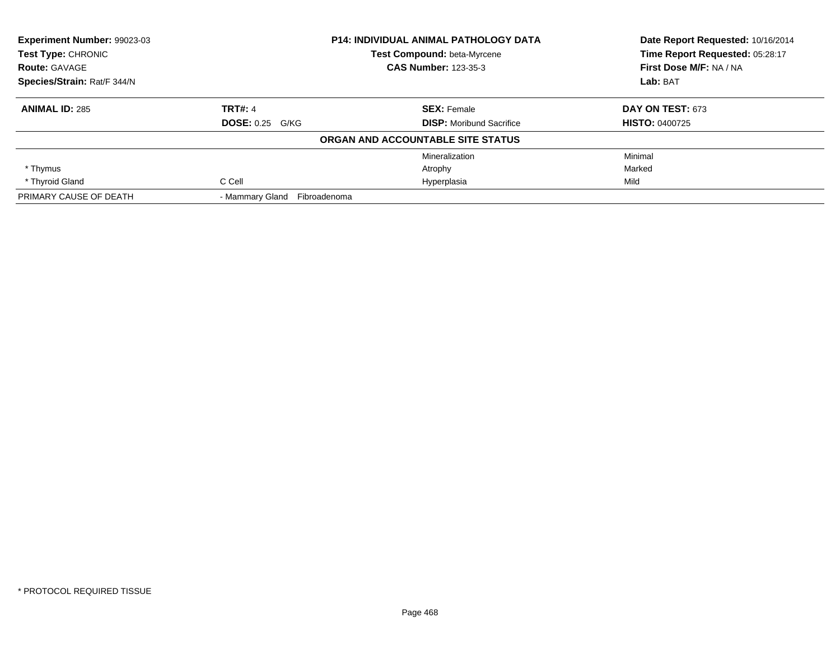| <b>Experiment Number: 99023-03</b><br><b>P14: INDIVIDUAL ANIMAL PATHOLOGY DATA</b><br>Test Type: CHRONIC<br>Test Compound: beta-Myrcene |                                 |                                   | Date Report Requested: 10/16/2014<br>Time Report Requested: 05:28:17 |
|-----------------------------------------------------------------------------------------------------------------------------------------|---------------------------------|-----------------------------------|----------------------------------------------------------------------|
|                                                                                                                                         |                                 |                                   |                                                                      |
| <b>Route: GAVAGE</b>                                                                                                                    |                                 | <b>CAS Number: 123-35-3</b>       | First Dose M/F: NA / NA                                              |
| Species/Strain: Rat/F 344/N                                                                                                             |                                 |                                   | Lab: BAT                                                             |
| <b>ANIMAL ID: 285</b>                                                                                                                   | <b>TRT#: 4</b>                  | <b>SEX: Female</b>                | DAY ON TEST: 673                                                     |
|                                                                                                                                         | <b>DOSE: 0.25 G/KG</b>          | <b>DISP:</b> Moribund Sacrifice   | <b>HISTO: 0400725</b>                                                |
|                                                                                                                                         |                                 | ORGAN AND ACCOUNTABLE SITE STATUS |                                                                      |
|                                                                                                                                         |                                 | Mineralization                    | Minimal                                                              |
| * Thymus                                                                                                                                |                                 | Atrophy                           | Marked                                                               |
| * Thyroid Gland                                                                                                                         | C Cell                          | Hyperplasia                       | Mild                                                                 |
| PRIMARY CAUSE OF DEATH                                                                                                                  | - Mammarv Gland<br>Fibroadenoma |                                   |                                                                      |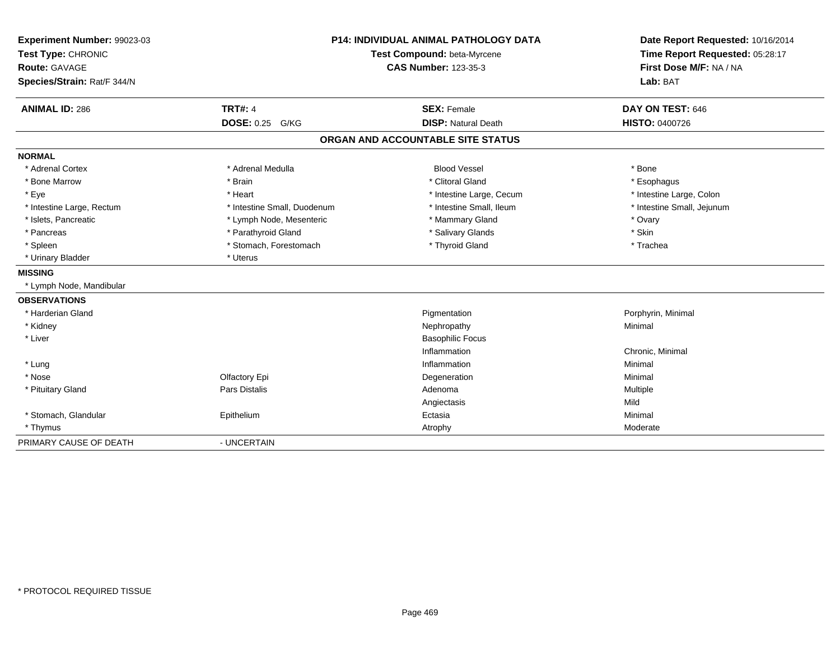| Experiment Number: 99023-03 |                             | <b>P14: INDIVIDUAL ANIMAL PATHOLOGY DATA</b><br>Test Compound: beta-Myrcene |                            |
|-----------------------------|-----------------------------|-----------------------------------------------------------------------------|----------------------------|
| Test Type: CHRONIC          |                             |                                                                             |                            |
| <b>Route: GAVAGE</b>        |                             | <b>CAS Number: 123-35-3</b>                                                 | First Dose M/F: NA / NA    |
| Species/Strain: Rat/F 344/N |                             |                                                                             | Lab: BAT                   |
| <b>ANIMAL ID: 286</b>       | <b>TRT#: 4</b>              | <b>SEX: Female</b>                                                          | DAY ON TEST: 646           |
|                             | <b>DOSE: 0.25</b><br>G/KG   | <b>DISP: Natural Death</b>                                                  | <b>HISTO: 0400726</b>      |
|                             |                             | ORGAN AND ACCOUNTABLE SITE STATUS                                           |                            |
| <b>NORMAL</b>               |                             |                                                                             |                            |
| * Adrenal Cortex            | * Adrenal Medulla           | <b>Blood Vessel</b>                                                         | * Bone                     |
| * Bone Marrow               | * Brain                     | * Clitoral Gland                                                            | * Esophagus                |
| * Eye                       | * Heart                     | * Intestine Large, Cecum                                                    | * Intestine Large, Colon   |
| * Intestine Large, Rectum   | * Intestine Small, Duodenum | * Intestine Small, Ileum                                                    | * Intestine Small, Jejunum |
| * Islets, Pancreatic        | * Lymph Node, Mesenteric    | * Mammary Gland                                                             | * Ovary                    |
| * Pancreas                  | * Parathyroid Gland         | * Salivary Glands                                                           | * Skin                     |
| * Spleen                    | * Stomach, Forestomach      | * Thyroid Gland                                                             | * Trachea                  |
| * Urinary Bladder           | * Uterus                    |                                                                             |                            |
| <b>MISSING</b>              |                             |                                                                             |                            |
| * Lymph Node, Mandibular    |                             |                                                                             |                            |
| <b>OBSERVATIONS</b>         |                             |                                                                             |                            |
| * Harderian Gland           |                             | Pigmentation                                                                | Porphyrin, Minimal         |
| * Kidney                    |                             | Nephropathy                                                                 | Minimal                    |
| * Liver                     |                             | <b>Basophilic Focus</b>                                                     |                            |
|                             |                             | Inflammation                                                                | Chronic, Minimal           |
| * Lung                      |                             | Inflammation                                                                | Minimal                    |
| * Nose                      | Olfactory Epi               | Degeneration                                                                | Minimal                    |
| * Pituitary Gland           | Pars Distalis               | Adenoma                                                                     | Multiple                   |
|                             |                             | Angiectasis                                                                 | Mild                       |
| * Stomach, Glandular        | Epithelium                  | Ectasia                                                                     | Minimal                    |
| * Thymus                    |                             | Atrophy                                                                     | Moderate                   |
| PRIMARY CAUSE OF DEATH      | - UNCERTAIN                 |                                                                             |                            |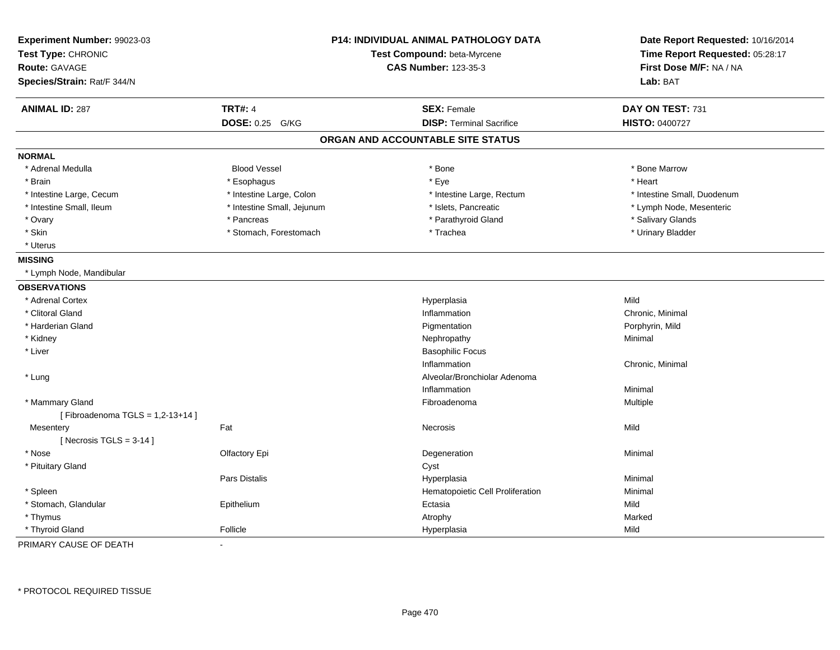| Experiment Number: 99023-03<br>Test Type: CHRONIC<br><b>Route: GAVAGE</b><br>Species/Strain: Rat/F 344/N |                            | <b>P14: INDIVIDUAL ANIMAL PATHOLOGY DATA</b><br>Test Compound: beta-Myrcene<br><b>CAS Number: 123-35-3</b> | Date Report Requested: 10/16/2014<br>Time Report Requested: 05:28:17<br>First Dose M/F: NA / NA<br>Lab: BAT |
|----------------------------------------------------------------------------------------------------------|----------------------------|------------------------------------------------------------------------------------------------------------|-------------------------------------------------------------------------------------------------------------|
| <b>ANIMAL ID: 287</b>                                                                                    | <b>TRT#: 4</b>             | <b>SEX: Female</b>                                                                                         | DAY ON TEST: 731                                                                                            |
|                                                                                                          | DOSE: 0.25 G/KG            | <b>DISP: Terminal Sacrifice</b>                                                                            | <b>HISTO: 0400727</b>                                                                                       |
|                                                                                                          |                            | ORGAN AND ACCOUNTABLE SITE STATUS                                                                          |                                                                                                             |
| <b>NORMAL</b>                                                                                            |                            |                                                                                                            |                                                                                                             |
| * Adrenal Medulla                                                                                        | <b>Blood Vessel</b>        | * Bone                                                                                                     | * Bone Marrow                                                                                               |
| * Brain                                                                                                  | * Esophagus                | * Eye                                                                                                      | * Heart                                                                                                     |
| * Intestine Large, Cecum                                                                                 | * Intestine Large, Colon   | * Intestine Large, Rectum                                                                                  | * Intestine Small, Duodenum                                                                                 |
| * Intestine Small, Ileum                                                                                 | * Intestine Small, Jejunum | * Islets, Pancreatic                                                                                       | * Lymph Node, Mesenteric                                                                                    |
| * Ovary                                                                                                  | * Pancreas                 | * Parathyroid Gland                                                                                        | * Salivary Glands                                                                                           |
| * Skin                                                                                                   | * Stomach, Forestomach     | * Trachea                                                                                                  | * Urinary Bladder                                                                                           |
| * Uterus                                                                                                 |                            |                                                                                                            |                                                                                                             |
| <b>MISSING</b>                                                                                           |                            |                                                                                                            |                                                                                                             |
| * Lymph Node, Mandibular                                                                                 |                            |                                                                                                            |                                                                                                             |
| <b>OBSERVATIONS</b>                                                                                      |                            |                                                                                                            |                                                                                                             |
| * Adrenal Cortex                                                                                         |                            | Hyperplasia                                                                                                | Mild                                                                                                        |
| * Clitoral Gland                                                                                         |                            | Inflammation                                                                                               | Chronic, Minimal                                                                                            |
| * Harderian Gland                                                                                        |                            | Pigmentation                                                                                               | Porphyrin, Mild                                                                                             |
| * Kidney                                                                                                 |                            | Nephropathy                                                                                                | Minimal                                                                                                     |
| * Liver                                                                                                  |                            | <b>Basophilic Focus</b>                                                                                    |                                                                                                             |
|                                                                                                          |                            | Inflammation                                                                                               | Chronic, Minimal                                                                                            |
| * Lung                                                                                                   |                            | Alveolar/Bronchiolar Adenoma                                                                               |                                                                                                             |
|                                                                                                          |                            | Inflammation                                                                                               | Minimal                                                                                                     |
| * Mammary Gland                                                                                          |                            | Fibroadenoma                                                                                               | Multiple                                                                                                    |
| [Fibroadenoma TGLS = $1,2-13+14$ ]                                                                       |                            |                                                                                                            |                                                                                                             |
| Mesentery                                                                                                | Fat                        | Necrosis                                                                                                   | Mild                                                                                                        |
| [Necrosis TGLS = $3-14$ ]                                                                                |                            |                                                                                                            |                                                                                                             |
| * Nose                                                                                                   | Olfactory Epi              | Degeneration                                                                                               | Minimal                                                                                                     |
| * Pituitary Gland                                                                                        |                            | Cyst                                                                                                       |                                                                                                             |
|                                                                                                          | <b>Pars Distalis</b>       | Hyperplasia                                                                                                | Minimal                                                                                                     |
| * Spleen                                                                                                 |                            | Hematopoietic Cell Proliferation                                                                           | Minimal                                                                                                     |
| * Stomach, Glandular                                                                                     | Epithelium                 | Ectasia                                                                                                    | Mild                                                                                                        |
| * Thymus                                                                                                 |                            | Atrophy                                                                                                    | Marked                                                                                                      |
| * Thyroid Gland                                                                                          | Follicle                   | Hyperplasia                                                                                                | Mild                                                                                                        |

PRIMARY CAUSE OF DEATH-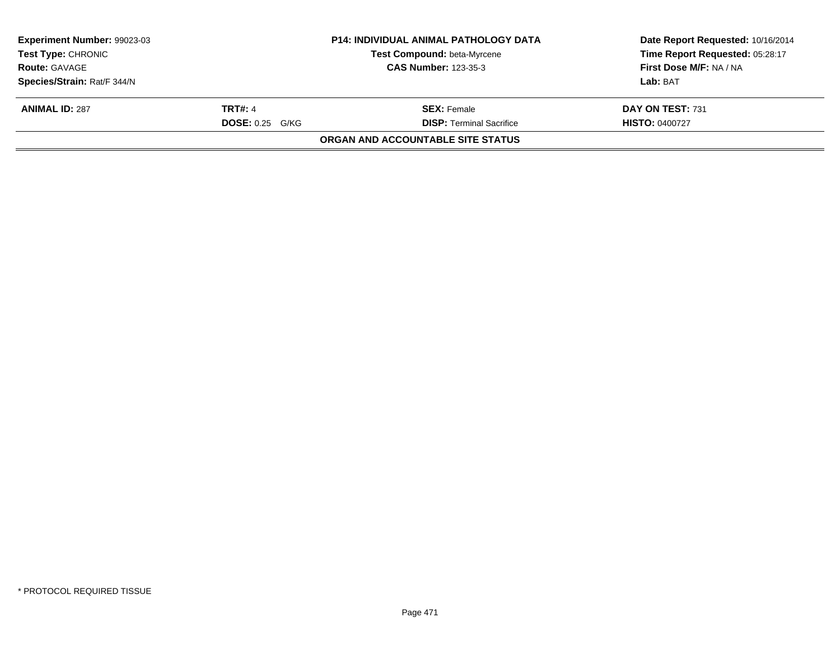| <b>Experiment Number: 99023-03</b><br>Test Type: CHRONIC<br><b>Route: GAVAGE</b> |                   | <b>P14: INDIVIDUAL ANIMAL PATHOLOGY DATA</b> | Date Report Requested: 10/16/2014 |
|----------------------------------------------------------------------------------|-------------------|----------------------------------------------|-----------------------------------|
|                                                                                  |                   | Test Compound: beta-Myrcene                  | Time Report Requested: 05:28:17   |
|                                                                                  |                   | <b>CAS Number: 123-35-3</b>                  | First Dose M/F: NA / NA           |
| Species/Strain: Rat/F 344/N                                                      |                   |                                              | Lab: BAT                          |
| <b>ANIMAL ID: 287</b>                                                            | <b>TRT#: 4</b>    | <b>SEX:</b> Female                           | DAY ON TEST: 731                  |
|                                                                                  | $DOSE: 0.25$ G/KG | <b>DISP: Terminal Sacrifice</b>              | <b>HISTO: 0400727</b>             |
|                                                                                  |                   | ORGAN AND ACCOUNTABLE SITE STATUS            |                                   |
|                                                                                  |                   |                                              |                                   |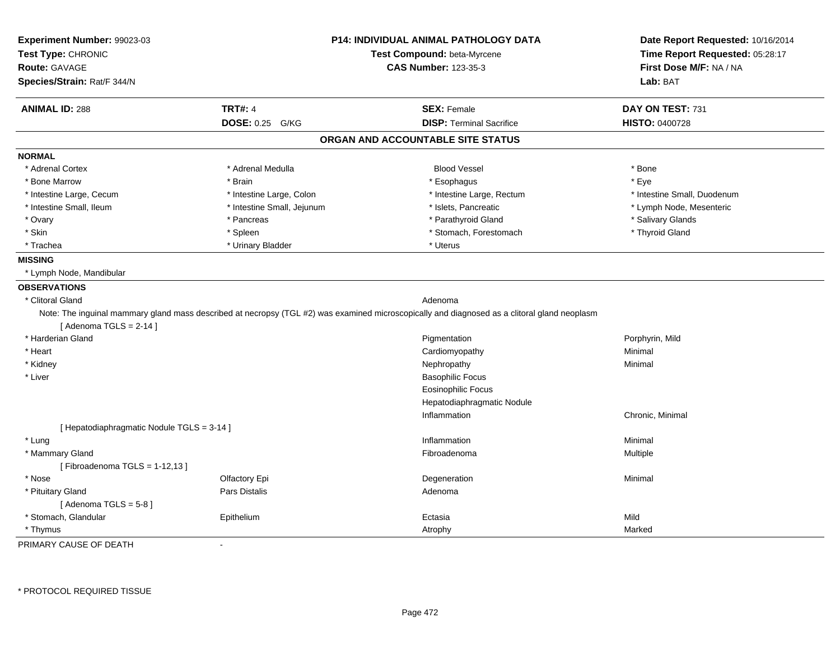| Experiment Number: 99023-03                |                            | <b>P14: INDIVIDUAL ANIMAL PATHOLOGY DATA</b>                                                                                                 | Date Report Requested: 10/16/2014<br>Time Report Requested: 05:28:17 |
|--------------------------------------------|----------------------------|----------------------------------------------------------------------------------------------------------------------------------------------|----------------------------------------------------------------------|
| Test Type: CHRONIC                         |                            | Test Compound: beta-Myrcene                                                                                                                  |                                                                      |
| <b>Route: GAVAGE</b>                       |                            | <b>CAS Number: 123-35-3</b>                                                                                                                  | First Dose M/F: NA / NA                                              |
| Species/Strain: Rat/F 344/N                |                            |                                                                                                                                              | Lab: BAT                                                             |
| <b>ANIMAL ID: 288</b>                      | <b>TRT#: 4</b>             | <b>SEX: Female</b>                                                                                                                           | DAY ON TEST: 731                                                     |
|                                            | DOSE: 0.25 G/KG            | <b>DISP: Terminal Sacrifice</b>                                                                                                              | HISTO: 0400728                                                       |
|                                            |                            | ORGAN AND ACCOUNTABLE SITE STATUS                                                                                                            |                                                                      |
| <b>NORMAL</b>                              |                            |                                                                                                                                              |                                                                      |
| * Adrenal Cortex                           | * Adrenal Medulla          | <b>Blood Vessel</b>                                                                                                                          | * Bone                                                               |
| * Bone Marrow                              | * Brain                    | * Esophagus                                                                                                                                  | * Eye                                                                |
| * Intestine Large, Cecum                   | * Intestine Large, Colon   | * Intestine Large, Rectum                                                                                                                    | * Intestine Small, Duodenum                                          |
| * Intestine Small, Ileum                   | * Intestine Small, Jejunum | * Islets, Pancreatic                                                                                                                         | * Lymph Node, Mesenteric                                             |
| * Ovary                                    | * Pancreas                 | * Parathyroid Gland                                                                                                                          | * Salivary Glands                                                    |
| * Skin                                     | * Spleen                   | * Stomach, Forestomach                                                                                                                       | * Thyroid Gland                                                      |
| * Trachea                                  | * Urinary Bladder          | * Uterus                                                                                                                                     |                                                                      |
| <b>MISSING</b>                             |                            |                                                                                                                                              |                                                                      |
| * Lymph Node, Mandibular                   |                            |                                                                                                                                              |                                                                      |
| <b>OBSERVATIONS</b>                        |                            |                                                                                                                                              |                                                                      |
| * Clitoral Gland                           |                            | Adenoma                                                                                                                                      |                                                                      |
|                                            |                            | Note: The inguinal mammary gland mass described at necropsy (TGL #2) was examined microscopically and diagnosed as a clitoral gland neoplasm |                                                                      |
| [Adenoma TGLS = $2-14$ ]                   |                            |                                                                                                                                              |                                                                      |
| * Harderian Gland                          |                            | Pigmentation                                                                                                                                 | Porphyrin, Mild                                                      |
| * Heart                                    |                            | Cardiomyopathy                                                                                                                               | Minimal                                                              |
| * Kidney                                   |                            | Nephropathy                                                                                                                                  | Minimal                                                              |
| * Liver                                    |                            | <b>Basophilic Focus</b>                                                                                                                      |                                                                      |
|                                            |                            | <b>Eosinophilic Focus</b>                                                                                                                    |                                                                      |
|                                            |                            | Hepatodiaphragmatic Nodule                                                                                                                   |                                                                      |
|                                            |                            | Inflammation                                                                                                                                 | Chronic, Minimal                                                     |
| [ Hepatodiaphragmatic Nodule TGLS = 3-14 ] |                            |                                                                                                                                              |                                                                      |
| * Lung                                     |                            | Inflammation                                                                                                                                 | Minimal                                                              |
| * Mammary Gland                            |                            | Fibroadenoma                                                                                                                                 | Multiple                                                             |
| [Fibroadenoma TGLS = $1-12,13$ ]           |                            |                                                                                                                                              |                                                                      |
| * Nose                                     | Olfactory Epi              | Degeneration                                                                                                                                 | Minimal                                                              |
| * Pituitary Gland                          | Pars Distalis              | Adenoma                                                                                                                                      |                                                                      |
| [Adenoma TGLS = $5-8$ ]                    |                            |                                                                                                                                              |                                                                      |
| * Stomach, Glandular                       | Epithelium                 | Ectasia                                                                                                                                      | Mild                                                                 |
| * Thymus                                   |                            | Atrophy                                                                                                                                      | Marked                                                               |
| PRIMARY CAUSE OF DEATH                     | $\blacksquare$             |                                                                                                                                              |                                                                      |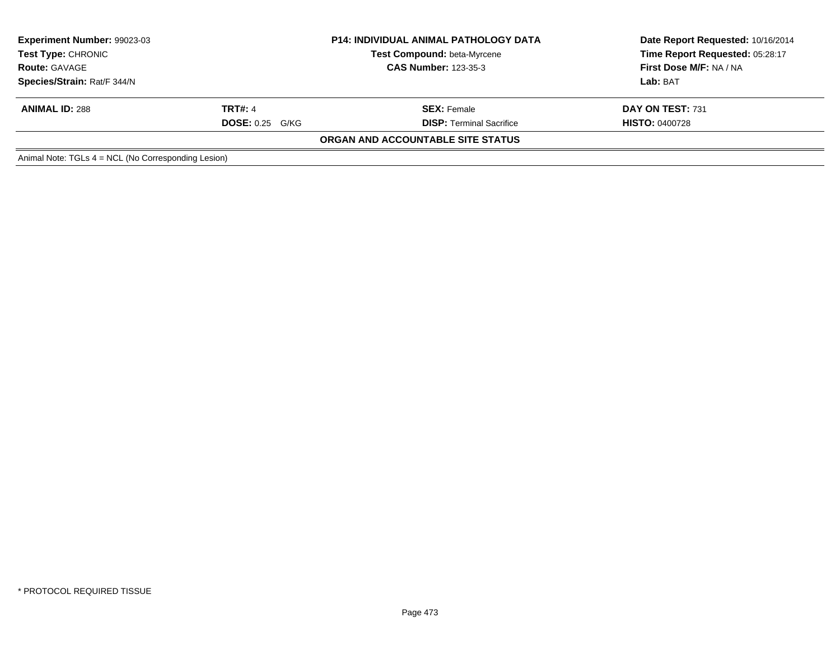| <b>Experiment Number: 99023-03</b><br>Test Type: CHRONIC<br><b>Route: GAVAGE</b> |                        | <b>P14: INDIVIDUAL ANIMAL PATHOLOGY DATA</b><br><b>Test Compound: beta-Myrcene</b> | Date Report Requested: 10/16/2014<br>Time Report Requested: 05:28:17 |  |
|----------------------------------------------------------------------------------|------------------------|------------------------------------------------------------------------------------|----------------------------------------------------------------------|--|
|                                                                                  |                        | <b>CAS Number: 123-35-3</b>                                                        | First Dose M/F: NA / NA                                              |  |
| Species/Strain: Rat/F 344/N                                                      |                        |                                                                                    | Lab: BAT                                                             |  |
| <b>ANIMAL ID: 288</b>                                                            | <b>TRT#: 4</b>         | <b>SEX:</b> Female                                                                 | DAY ON TEST: 731                                                     |  |
|                                                                                  | <b>DOSE: 0.25 G/KG</b> | <b>DISP: Terminal Sacrifice</b>                                                    | <b>HISTO: 0400728</b>                                                |  |
|                                                                                  |                        | ORGAN AND ACCOUNTABLE SITE STATUS                                                  |                                                                      |  |
| Animal Note: TGLs 4 = NCL (No Corresponding Lesion)                              |                        |                                                                                    |                                                                      |  |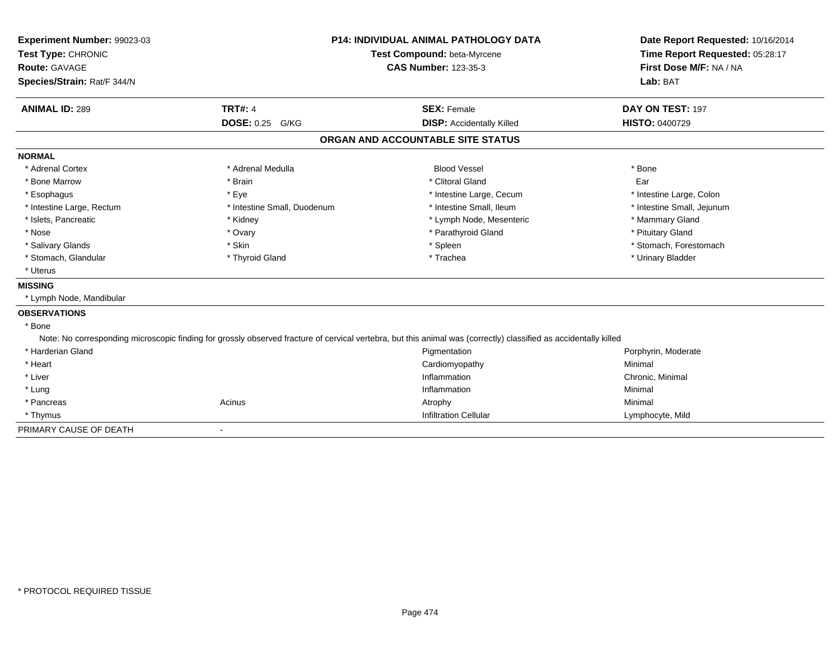| Experiment Number: 99023-03 | <b>P14: INDIVIDUAL ANIMAL PATHOLOGY DATA</b> |                                                                                                                                                                  | Date Report Requested: 10/16/2014 |
|-----------------------------|----------------------------------------------|------------------------------------------------------------------------------------------------------------------------------------------------------------------|-----------------------------------|
| Test Type: CHRONIC          |                                              | Test Compound: beta-Myrcene                                                                                                                                      | Time Report Requested: 05:28:17   |
| <b>Route: GAVAGE</b>        |                                              | <b>CAS Number: 123-35-3</b>                                                                                                                                      | First Dose M/F: NA / NA           |
| Species/Strain: Rat/F 344/N |                                              |                                                                                                                                                                  | Lab: BAT                          |
| <b>ANIMAL ID: 289</b>       | <b>TRT#: 4</b>                               | <b>SEX: Female</b>                                                                                                                                               | DAY ON TEST: 197                  |
|                             | DOSE: 0.25 G/KG                              | <b>DISP:</b> Accidentally Killed                                                                                                                                 | <b>HISTO: 0400729</b>             |
|                             |                                              | ORGAN AND ACCOUNTABLE SITE STATUS                                                                                                                                |                                   |
| <b>NORMAL</b>               |                                              |                                                                                                                                                                  |                                   |
| * Adrenal Cortex            | * Adrenal Medulla                            | <b>Blood Vessel</b>                                                                                                                                              | * Bone                            |
| * Bone Marrow               | * Brain                                      | * Clitoral Gland                                                                                                                                                 | Ear                               |
| * Esophagus                 | * Eye                                        | * Intestine Large, Cecum                                                                                                                                         | * Intestine Large, Colon          |
| * Intestine Large, Rectum   | * Intestine Small, Duodenum                  | * Intestine Small, Ileum                                                                                                                                         | * Intestine Small, Jejunum        |
| * Islets, Pancreatic        | * Kidney                                     | * Lymph Node, Mesenteric                                                                                                                                         | * Mammary Gland                   |
| * Nose                      | * Ovary                                      | * Parathyroid Gland                                                                                                                                              | * Pituitary Gland                 |
| * Salivary Glands           | * Skin                                       | * Spleen                                                                                                                                                         | * Stomach, Forestomach            |
| * Stomach, Glandular        | * Thyroid Gland                              | * Trachea                                                                                                                                                        | * Urinary Bladder                 |
| * Uterus                    |                                              |                                                                                                                                                                  |                                   |
| <b>MISSING</b>              |                                              |                                                                                                                                                                  |                                   |
| * Lymph Node, Mandibular    |                                              |                                                                                                                                                                  |                                   |
| <b>OBSERVATIONS</b>         |                                              |                                                                                                                                                                  |                                   |
| * Bone                      |                                              |                                                                                                                                                                  |                                   |
|                             |                                              | Note: No corresponding microscopic finding for grossly observed fracture of cervical vertebra, but this animal was (correctly) classified as accidentally killed |                                   |
| * Harderian Gland           |                                              | Pigmentation                                                                                                                                                     | Porphyrin, Moderate               |
| * Heart                     |                                              | Cardiomyopathy                                                                                                                                                   | Minimal                           |
| * Liver                     |                                              | Inflammation                                                                                                                                                     | Chronic, Minimal                  |
| * Lung                      |                                              | Inflammation                                                                                                                                                     | Minimal                           |
| * Pancreas                  | Acinus                                       | Atrophy                                                                                                                                                          | Minimal                           |
| * Thymus                    |                                              | <b>Infiltration Cellular</b>                                                                                                                                     | Lymphocyte, Mild                  |
| PRIMARY CAUSE OF DEATH      | $\qquad \qquad \blacksquare$                 |                                                                                                                                                                  |                                   |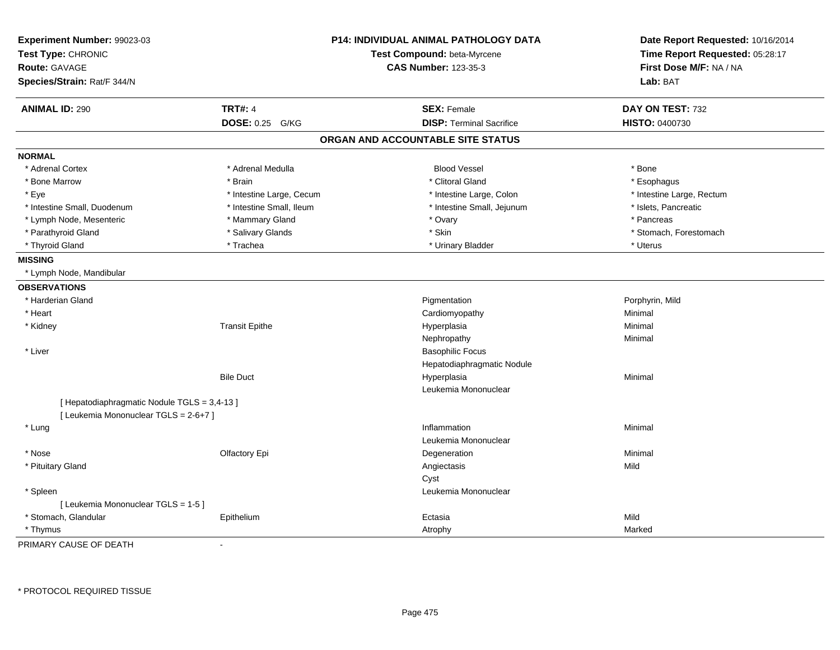| Experiment Number: 99023-03<br>Test Type: CHRONIC |                          | <b>P14: INDIVIDUAL ANIMAL PATHOLOGY DATA</b><br>Test Compound: beta-Myrcene | Date Report Requested: 10/16/2014<br>Time Report Requested: 05:28:17 |
|---------------------------------------------------|--------------------------|-----------------------------------------------------------------------------|----------------------------------------------------------------------|
| <b>Route: GAVAGE</b>                              |                          | <b>CAS Number: 123-35-3</b>                                                 | First Dose M/F: NA / NA                                              |
| Species/Strain: Rat/F 344/N                       |                          |                                                                             | Lab: BAT                                                             |
| <b>ANIMAL ID: 290</b>                             | <b>TRT#: 4</b>           | <b>SEX: Female</b>                                                          | DAY ON TEST: 732                                                     |
|                                                   | DOSE: 0.25 G/KG          | <b>DISP: Terminal Sacrifice</b>                                             | <b>HISTO: 0400730</b>                                                |
|                                                   |                          | ORGAN AND ACCOUNTABLE SITE STATUS                                           |                                                                      |
| <b>NORMAL</b>                                     |                          |                                                                             |                                                                      |
| * Adrenal Cortex                                  | * Adrenal Medulla        | <b>Blood Vessel</b>                                                         | * Bone                                                               |
| * Bone Marrow                                     | * Brain                  | * Clitoral Gland                                                            | * Esophagus                                                          |
| * Eye                                             | * Intestine Large, Cecum | * Intestine Large, Colon                                                    | * Intestine Large, Rectum                                            |
| * Intestine Small, Duodenum                       | * Intestine Small, Ileum | * Intestine Small, Jejunum                                                  | * Islets, Pancreatic                                                 |
| * Lymph Node, Mesenteric                          | * Mammary Gland          | * Ovary                                                                     | * Pancreas                                                           |
| * Parathyroid Gland                               | * Salivary Glands        | * Skin                                                                      | * Stomach, Forestomach                                               |
| * Thyroid Gland                                   | * Trachea                | * Urinary Bladder                                                           | * Uterus                                                             |
| <b>MISSING</b>                                    |                          |                                                                             |                                                                      |
| * Lymph Node, Mandibular                          |                          |                                                                             |                                                                      |
| <b>OBSERVATIONS</b>                               |                          |                                                                             |                                                                      |
| * Harderian Gland                                 |                          | Pigmentation                                                                | Porphyrin, Mild                                                      |
| * Heart                                           |                          | Cardiomyopathy                                                              | Minimal                                                              |
| * Kidney                                          | <b>Transit Epithe</b>    | Hyperplasia                                                                 | Minimal                                                              |
|                                                   |                          | Nephropathy                                                                 | Minimal                                                              |
| * Liver                                           |                          | <b>Basophilic Focus</b>                                                     |                                                                      |
|                                                   |                          | Hepatodiaphragmatic Nodule                                                  |                                                                      |
|                                                   | <b>Bile Duct</b>         | Hyperplasia                                                                 | Minimal                                                              |
|                                                   |                          | Leukemia Mononuclear                                                        |                                                                      |
| [ Hepatodiaphragmatic Nodule TGLS = 3,4-13 ]      |                          |                                                                             |                                                                      |
| [ Leukemia Mononuclear TGLS = 2-6+7 ]             |                          |                                                                             |                                                                      |
| * Lung                                            |                          | Inflammation                                                                | Minimal                                                              |
|                                                   |                          | Leukemia Mononuclear                                                        |                                                                      |
| * Nose                                            | Olfactory Epi            | Degeneration                                                                | Minimal                                                              |
| * Pituitary Gland                                 |                          | Angiectasis                                                                 | Mild                                                                 |
|                                                   |                          | Cyst                                                                        |                                                                      |
| * Spleen                                          |                          | Leukemia Mononuclear                                                        |                                                                      |
| [ Leukemia Mononuclear TGLS = 1-5 ]               |                          |                                                                             |                                                                      |
| * Stomach, Glandular                              | Epithelium               | Ectasia                                                                     | Mild                                                                 |
| * Thymus                                          |                          | Atrophy                                                                     | Marked                                                               |

PRIMARY CAUSE OF DEATH-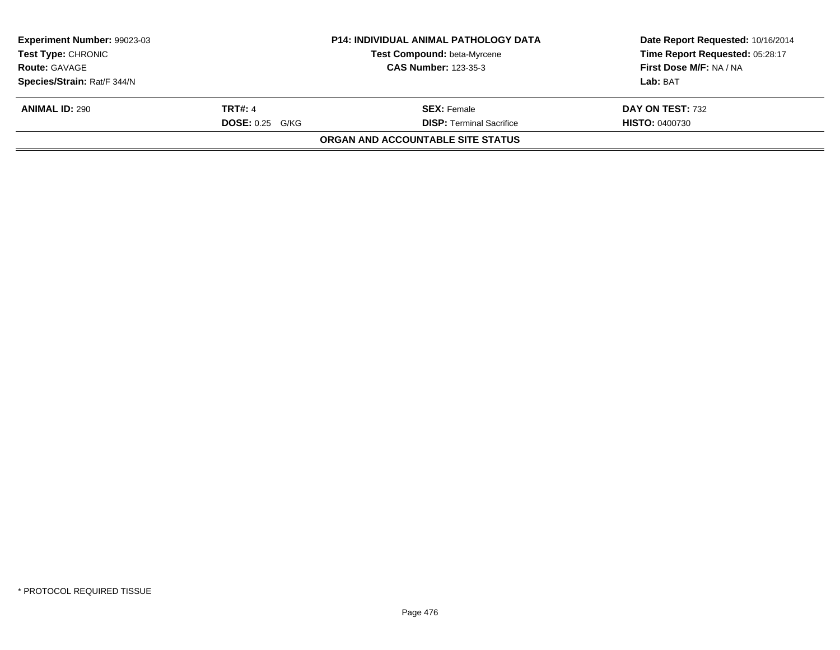| <b>Experiment Number: 99023-03</b><br>Test Type: CHRONIC<br><b>Route: GAVAGE</b> |                   | <b>P14: INDIVIDUAL ANIMAL PATHOLOGY DATA</b> | Date Report Requested: 10/16/2014<br>Time Report Requested: 05:28:17 |
|----------------------------------------------------------------------------------|-------------------|----------------------------------------------|----------------------------------------------------------------------|
|                                                                                  |                   | Test Compound: beta-Myrcene                  |                                                                      |
|                                                                                  |                   | <b>CAS Number: 123-35-3</b>                  | First Dose M/F: NA / NA                                              |
| Species/Strain: Rat/F 344/N                                                      |                   |                                              | Lab: BAT                                                             |
| <b>ANIMAL ID: 290</b>                                                            | <b>TRT#: 4</b>    | <b>SEX:</b> Female                           | <b>DAY ON TEST: 732</b>                                              |
|                                                                                  | $DOSE: 0.25$ G/KG | <b>DISP: Terminal Sacrifice</b>              | <b>HISTO: 0400730</b>                                                |
|                                                                                  |                   | ORGAN AND ACCOUNTABLE SITE STATUS            |                                                                      |
|                                                                                  |                   |                                              |                                                                      |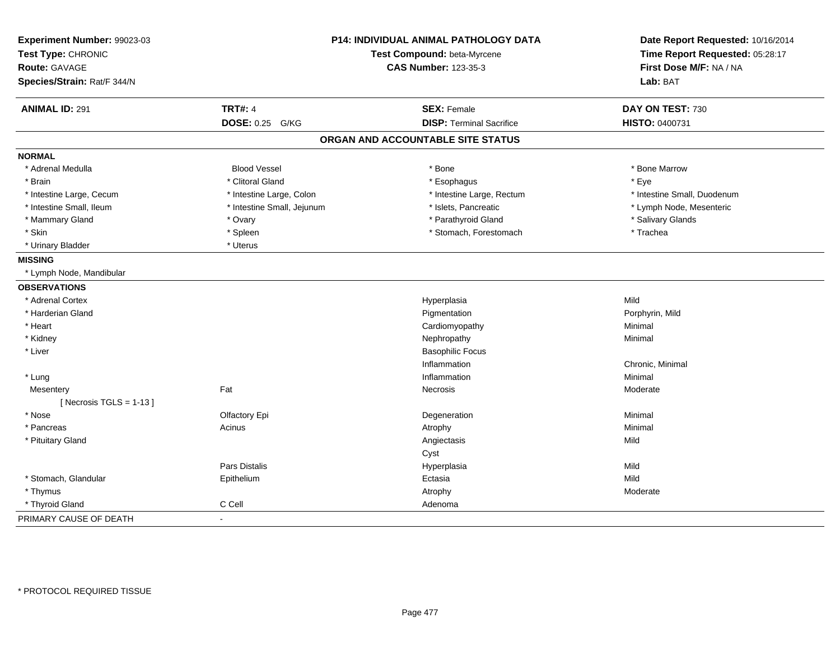| Experiment Number: 99023-03<br>Test Type: CHRONIC |                            | <b>P14: INDIVIDUAL ANIMAL PATHOLOGY DATA</b><br>Test Compound: beta-Myrcene | Date Report Requested: 10/16/2014<br>Time Report Requested: 05:28:17 |
|---------------------------------------------------|----------------------------|-----------------------------------------------------------------------------|----------------------------------------------------------------------|
| <b>Route: GAVAGE</b>                              |                            | <b>CAS Number: 123-35-3</b>                                                 | First Dose M/F: NA / NA                                              |
| Species/Strain: Rat/F 344/N                       |                            |                                                                             | Lab: BAT                                                             |
| <b>ANIMAL ID: 291</b>                             | <b>TRT#: 4</b>             | <b>SEX: Female</b>                                                          | DAY ON TEST: 730                                                     |
|                                                   | DOSE: 0.25 G/KG            | <b>DISP: Terminal Sacrifice</b>                                             | HISTO: 0400731                                                       |
|                                                   |                            | ORGAN AND ACCOUNTABLE SITE STATUS                                           |                                                                      |
| <b>NORMAL</b>                                     |                            |                                                                             |                                                                      |
| * Adrenal Medulla                                 | <b>Blood Vessel</b>        | * Bone                                                                      | * Bone Marrow                                                        |
| * Brain                                           | * Clitoral Gland           | * Esophagus                                                                 | * Eye                                                                |
| * Intestine Large, Cecum                          | * Intestine Large, Colon   | * Intestine Large, Rectum                                                   | * Intestine Small, Duodenum                                          |
| * Intestine Small, Ileum                          | * Intestine Small, Jejunum | * Islets, Pancreatic                                                        | * Lymph Node, Mesenteric                                             |
| * Mammary Gland                                   | * Ovary                    | * Parathyroid Gland                                                         | * Salivary Glands                                                    |
| * Skin                                            | * Spleen                   | * Stomach, Forestomach                                                      | * Trachea                                                            |
| * Urinary Bladder                                 | * Uterus                   |                                                                             |                                                                      |
| <b>MISSING</b>                                    |                            |                                                                             |                                                                      |
| * Lymph Node, Mandibular                          |                            |                                                                             |                                                                      |
| <b>OBSERVATIONS</b>                               |                            |                                                                             |                                                                      |
| * Adrenal Cortex                                  |                            | Hyperplasia                                                                 | Mild                                                                 |
| * Harderian Gland                                 |                            | Pigmentation                                                                | Porphyrin, Mild                                                      |
| * Heart                                           |                            | Cardiomyopathy                                                              | Minimal                                                              |
| * Kidney                                          |                            | Nephropathy                                                                 | Minimal                                                              |
| * Liver                                           |                            | <b>Basophilic Focus</b>                                                     |                                                                      |
|                                                   |                            | Inflammation                                                                | Chronic, Minimal                                                     |
| * Lung                                            |                            | Inflammation                                                                | Minimal                                                              |
| Mesentery                                         | Fat                        | Necrosis                                                                    | Moderate                                                             |
| [ Necrosis $TGLS = 1-13$ ]                        |                            |                                                                             |                                                                      |
| * Nose                                            | Olfactory Epi              | Degeneration                                                                | Minimal                                                              |
| * Pancreas                                        | Acinus                     | Atrophy                                                                     | Minimal                                                              |
| * Pituitary Gland                                 |                            | Angiectasis                                                                 | Mild                                                                 |
|                                                   |                            | Cyst                                                                        |                                                                      |
|                                                   | <b>Pars Distalis</b>       | Hyperplasia                                                                 | Mild                                                                 |
| * Stomach, Glandular                              | Epithelium                 | Ectasia                                                                     | Mild                                                                 |
| * Thymus                                          |                            | Atrophy                                                                     | Moderate                                                             |
| * Thyroid Gland                                   | C Cell                     | Adenoma                                                                     |                                                                      |
| PRIMARY CAUSE OF DEATH                            |                            |                                                                             |                                                                      |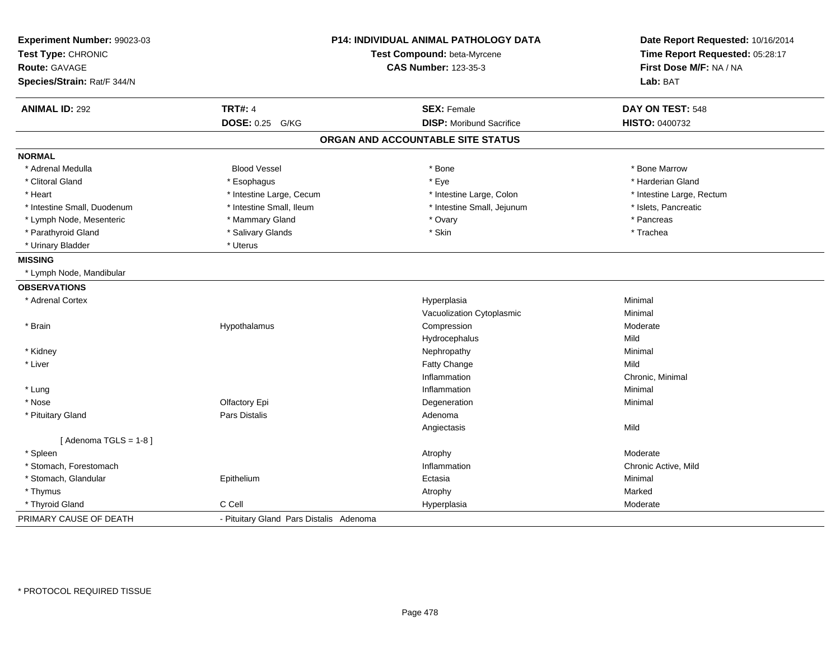| Experiment Number: 99023-03 | <b>P14: INDIVIDUAL ANIMAL PATHOLOGY DATA</b> |                                   | Date Report Requested: 10/16/2014 |
|-----------------------------|----------------------------------------------|-----------------------------------|-----------------------------------|
| Test Type: CHRONIC          |                                              | Test Compound: beta-Myrcene       | Time Report Requested: 05:28:17   |
| <b>Route: GAVAGE</b>        |                                              | <b>CAS Number: 123-35-3</b>       | First Dose M/F: NA / NA           |
| Species/Strain: Rat/F 344/N |                                              |                                   | Lab: BAT                          |
| <b>ANIMAL ID: 292</b>       | <b>TRT#: 4</b>                               | <b>SEX: Female</b>                | DAY ON TEST: 548                  |
|                             | DOSE: 0.25 G/KG                              | <b>DISP:</b> Moribund Sacrifice   | HISTO: 0400732                    |
|                             |                                              | ORGAN AND ACCOUNTABLE SITE STATUS |                                   |
| <b>NORMAL</b>               |                                              |                                   |                                   |
| * Adrenal Medulla           | <b>Blood Vessel</b>                          | * Bone                            | * Bone Marrow                     |
| * Clitoral Gland            | * Esophagus                                  | * Eye                             | * Harderian Gland                 |
| * Heart                     | * Intestine Large, Cecum                     | * Intestine Large, Colon          | * Intestine Large, Rectum         |
| * Intestine Small, Duodenum | * Intestine Small, Ileum                     | * Intestine Small, Jejunum        | * Islets, Pancreatic              |
| * Lymph Node, Mesenteric    | * Mammary Gland                              | * Ovary                           | * Pancreas                        |
| * Parathyroid Gland         | * Salivary Glands                            | * Skin                            | * Trachea                         |
| * Urinary Bladder           | * Uterus                                     |                                   |                                   |
| <b>MISSING</b>              |                                              |                                   |                                   |
| * Lymph Node, Mandibular    |                                              |                                   |                                   |
| <b>OBSERVATIONS</b>         |                                              |                                   |                                   |
| * Adrenal Cortex            |                                              | Hyperplasia                       | Minimal                           |
|                             |                                              | Vacuolization Cytoplasmic         | Minimal                           |
| * Brain                     | Hypothalamus                                 | Compression                       | Moderate                          |
|                             |                                              | Hydrocephalus                     | Mild                              |
| * Kidney                    |                                              | Nephropathy                       | Minimal                           |
| * Liver                     |                                              | Fatty Change                      | Mild                              |
|                             |                                              | Inflammation                      | Chronic, Minimal                  |
| * Lung                      |                                              | Inflammation                      | Minimal                           |
| * Nose                      | Olfactory Epi                                | Degeneration                      | Minimal                           |
| * Pituitary Gland           | <b>Pars Distalis</b>                         | Adenoma                           |                                   |
|                             |                                              | Angiectasis                       | Mild                              |
| [Adenoma TGLS = $1-8$ ]     |                                              |                                   |                                   |
| * Spleen                    |                                              | Atrophy                           | Moderate                          |
| * Stomach, Forestomach      |                                              | Inflammation                      | Chronic Active, Mild              |
| * Stomach, Glandular        | Epithelium                                   | Ectasia                           | Minimal                           |
| * Thymus                    |                                              | Atrophy                           | Marked                            |
| * Thyroid Gland             | C Cell                                       | Hyperplasia                       | Moderate                          |
| PRIMARY CAUSE OF DEATH      | - Pituitary Gland Pars Distalis Adenoma      |                                   |                                   |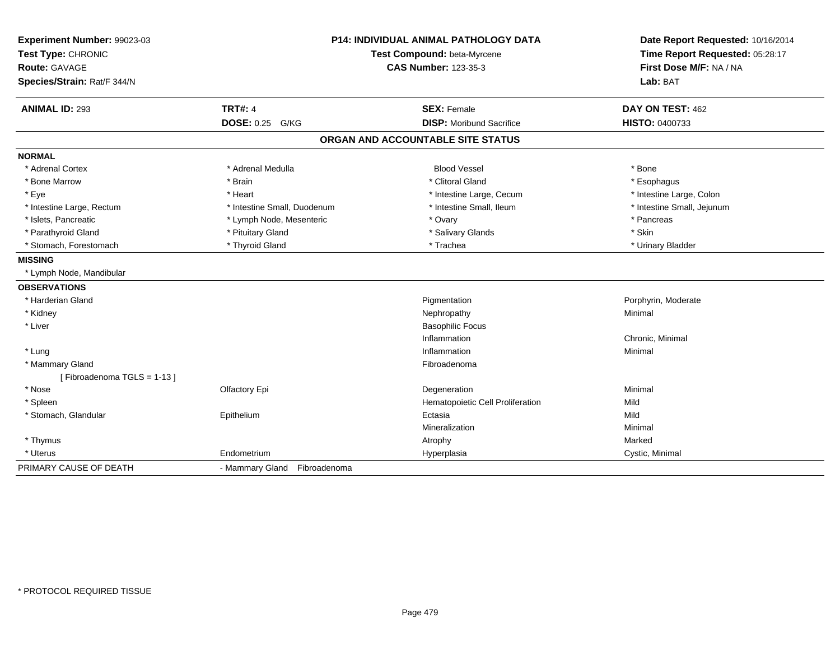| Experiment Number: 99023-03<br>Test Type: CHRONIC<br><b>Route: GAVAGE</b><br>Species/Strain: Rat/F 344/N |                              | <b>P14: INDIVIDUAL ANIMAL PATHOLOGY DATA</b><br>Test Compound: beta-Myrcene<br><b>CAS Number: 123-35-3</b> | Date Report Requested: 10/16/2014<br>Time Report Requested: 05:28:17<br>First Dose M/F: NA / NA<br>Lab: BAT |
|----------------------------------------------------------------------------------------------------------|------------------------------|------------------------------------------------------------------------------------------------------------|-------------------------------------------------------------------------------------------------------------|
| <b>ANIMAL ID: 293</b>                                                                                    | <b>TRT#: 4</b>               | <b>SEX: Female</b>                                                                                         | DAY ON TEST: 462                                                                                            |
|                                                                                                          | DOSE: 0.25 G/KG              | <b>DISP:</b> Moribund Sacrifice                                                                            | HISTO: 0400733                                                                                              |
|                                                                                                          |                              | ORGAN AND ACCOUNTABLE SITE STATUS                                                                          |                                                                                                             |
| <b>NORMAL</b>                                                                                            |                              |                                                                                                            |                                                                                                             |
| * Adrenal Cortex                                                                                         | * Adrenal Medulla            | <b>Blood Vessel</b>                                                                                        | * Bone                                                                                                      |
| * Bone Marrow                                                                                            | * Brain                      | * Clitoral Gland                                                                                           | * Esophagus                                                                                                 |
| * Eye                                                                                                    | * Heart                      | * Intestine Large, Cecum                                                                                   | * Intestine Large, Colon                                                                                    |
| * Intestine Large, Rectum                                                                                | * Intestine Small, Duodenum  | * Intestine Small. Ileum                                                                                   | * Intestine Small, Jejunum                                                                                  |
| * Islets, Pancreatic                                                                                     | * Lymph Node, Mesenteric     | * Ovary                                                                                                    | * Pancreas                                                                                                  |
| * Parathyroid Gland                                                                                      | * Pituitary Gland            | * Salivary Glands                                                                                          | * Skin                                                                                                      |
| * Stomach, Forestomach                                                                                   | * Thyroid Gland              | * Trachea                                                                                                  | * Urinary Bladder                                                                                           |
| <b>MISSING</b>                                                                                           |                              |                                                                                                            |                                                                                                             |
| * Lymph Node, Mandibular                                                                                 |                              |                                                                                                            |                                                                                                             |
| <b>OBSERVATIONS</b>                                                                                      |                              |                                                                                                            |                                                                                                             |
| * Harderian Gland                                                                                        |                              | Pigmentation                                                                                               | Porphyrin, Moderate                                                                                         |
| * Kidney                                                                                                 |                              | Nephropathy                                                                                                | Minimal                                                                                                     |
| * Liver                                                                                                  |                              | <b>Basophilic Focus</b>                                                                                    |                                                                                                             |
|                                                                                                          |                              | Inflammation                                                                                               | Chronic, Minimal                                                                                            |
| * Lung                                                                                                   |                              | Inflammation                                                                                               | Minimal                                                                                                     |
| * Mammary Gland                                                                                          |                              | Fibroadenoma                                                                                               |                                                                                                             |
| [Fibroadenoma TGLS = 1-13]                                                                               |                              |                                                                                                            |                                                                                                             |
| * Nose                                                                                                   | Olfactory Epi                | Degeneration                                                                                               | Minimal                                                                                                     |
| * Spleen                                                                                                 |                              | Hematopoietic Cell Proliferation                                                                           | Mild                                                                                                        |
| * Stomach, Glandular                                                                                     | Epithelium                   | Ectasia                                                                                                    | Mild                                                                                                        |
|                                                                                                          |                              | Mineralization                                                                                             | Minimal                                                                                                     |
| * Thymus                                                                                                 |                              | Atrophy                                                                                                    | Marked                                                                                                      |
| * Uterus                                                                                                 | Endometrium                  | Hyperplasia                                                                                                | Cystic, Minimal                                                                                             |
| PRIMARY CAUSE OF DEATH                                                                                   | - Mammary Gland Fibroadenoma |                                                                                                            |                                                                                                             |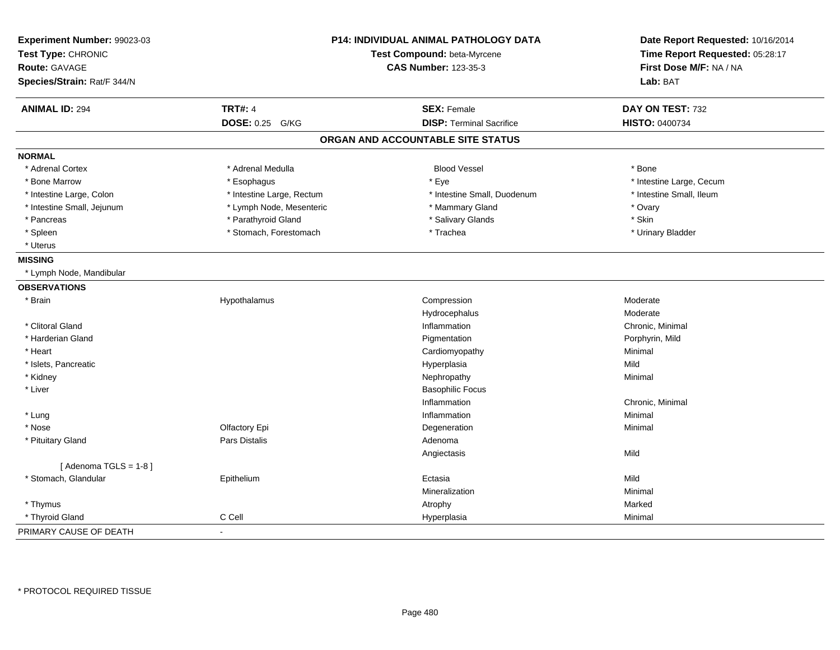| Experiment Number: 99023-03<br>Test Type: CHRONIC<br><b>Route: GAVAGE</b><br>Species/Strain: Rat/F 344/N | <b>P14: INDIVIDUAL ANIMAL PATHOLOGY DATA</b><br>Test Compound: beta-Myrcene<br><b>CAS Number: 123-35-3</b> |                                   | Date Report Requested: 10/16/2014<br>Time Report Requested: 05:28:17<br>First Dose M/F: NA / NA<br>Lab: BAT |
|----------------------------------------------------------------------------------------------------------|------------------------------------------------------------------------------------------------------------|-----------------------------------|-------------------------------------------------------------------------------------------------------------|
| <b>ANIMAL ID: 294</b>                                                                                    | <b>TRT#: 4</b>                                                                                             | <b>SEX: Female</b>                | DAY ON TEST: 732                                                                                            |
|                                                                                                          | DOSE: 0.25 G/KG                                                                                            | <b>DISP: Terminal Sacrifice</b>   | HISTO: 0400734                                                                                              |
|                                                                                                          |                                                                                                            | ORGAN AND ACCOUNTABLE SITE STATUS |                                                                                                             |
| <b>NORMAL</b>                                                                                            |                                                                                                            |                                   |                                                                                                             |
| * Adrenal Cortex                                                                                         | * Adrenal Medulla                                                                                          | <b>Blood Vessel</b>               | * Bone                                                                                                      |
| * Bone Marrow                                                                                            | * Esophagus                                                                                                | * Eye                             | * Intestine Large, Cecum                                                                                    |
| * Intestine Large, Colon                                                                                 | * Intestine Large, Rectum                                                                                  | * Intestine Small, Duodenum       | * Intestine Small, Ileum                                                                                    |
| * Intestine Small, Jejunum                                                                               | * Lymph Node, Mesenteric                                                                                   | * Mammary Gland                   | * Ovary                                                                                                     |
| * Pancreas                                                                                               | * Parathyroid Gland                                                                                        | * Salivary Glands                 | * Skin                                                                                                      |
| * Spleen                                                                                                 | * Stomach, Forestomach                                                                                     | * Trachea                         | * Urinary Bladder                                                                                           |
| * Uterus                                                                                                 |                                                                                                            |                                   |                                                                                                             |
| <b>MISSING</b>                                                                                           |                                                                                                            |                                   |                                                                                                             |
| * Lymph Node, Mandibular                                                                                 |                                                                                                            |                                   |                                                                                                             |
| <b>OBSERVATIONS</b>                                                                                      |                                                                                                            |                                   |                                                                                                             |
| * Brain                                                                                                  | Hypothalamus                                                                                               | Compression                       | Moderate                                                                                                    |
|                                                                                                          |                                                                                                            | Hydrocephalus                     | Moderate                                                                                                    |
| * Clitoral Gland                                                                                         |                                                                                                            | Inflammation                      | Chronic, Minimal                                                                                            |
| * Harderian Gland                                                                                        |                                                                                                            | Pigmentation                      | Porphyrin, Mild                                                                                             |
| * Heart                                                                                                  |                                                                                                            | Cardiomyopathy                    | Minimal                                                                                                     |
| * Islets, Pancreatic                                                                                     |                                                                                                            | Hyperplasia                       | Mild                                                                                                        |
| * Kidney                                                                                                 |                                                                                                            | Nephropathy                       | Minimal                                                                                                     |
| * Liver                                                                                                  |                                                                                                            | <b>Basophilic Focus</b>           |                                                                                                             |
|                                                                                                          |                                                                                                            | Inflammation                      | Chronic, Minimal                                                                                            |
| * Lung                                                                                                   |                                                                                                            | Inflammation                      | Minimal                                                                                                     |
| * Nose                                                                                                   | Olfactory Epi                                                                                              | Degeneration                      | Minimal                                                                                                     |
| * Pituitary Gland                                                                                        | Pars Distalis                                                                                              | Adenoma                           |                                                                                                             |
|                                                                                                          |                                                                                                            | Angiectasis                       | Mild                                                                                                        |
| [Adenoma TGLS = $1-8$ ]                                                                                  |                                                                                                            |                                   |                                                                                                             |
| * Stomach, Glandular                                                                                     | Epithelium                                                                                                 | Ectasia                           | Mild                                                                                                        |
|                                                                                                          |                                                                                                            | Mineralization                    | Minimal                                                                                                     |
| * Thymus                                                                                                 |                                                                                                            | Atrophy                           | Marked                                                                                                      |
| * Thyroid Gland                                                                                          | C Cell                                                                                                     | Hyperplasia                       | Minimal                                                                                                     |
| PRIMARY CAUSE OF DEATH                                                                                   | $\sim$                                                                                                     |                                   |                                                                                                             |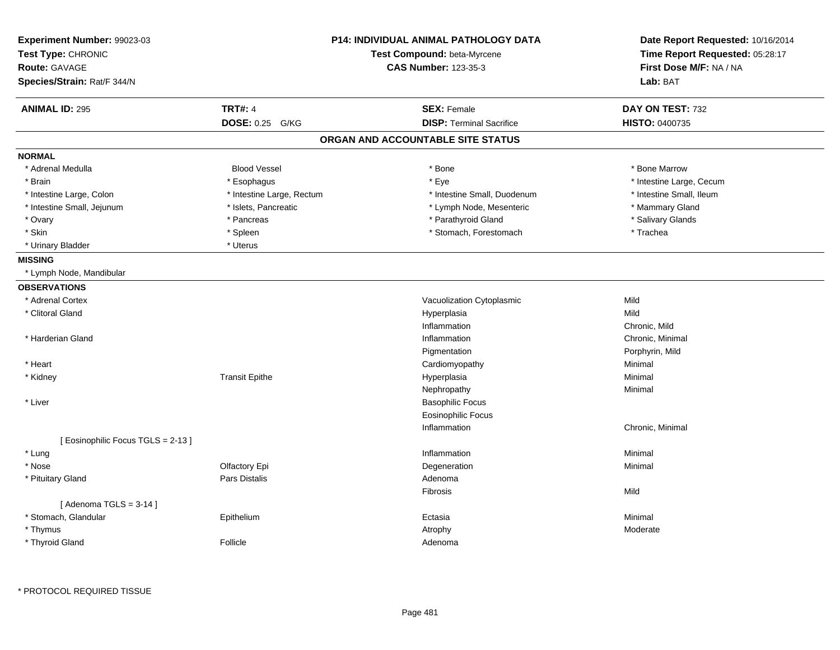| Experiment Number: 99023-03      |                           | <b>P14: INDIVIDUAL ANIMAL PATHOLOGY DATA</b> | Date Report Requested: 10/16/2014 |
|----------------------------------|---------------------------|----------------------------------------------|-----------------------------------|
| Test Type: CHRONIC               |                           | Test Compound: beta-Myrcene                  | Time Report Requested: 05:28:17   |
| <b>Route: GAVAGE</b>             |                           | <b>CAS Number: 123-35-3</b>                  | First Dose M/F: NA / NA           |
| Species/Strain: Rat/F 344/N      |                           |                                              | Lab: BAT                          |
| <b>ANIMAL ID: 295</b>            | <b>TRT#: 4</b>            | <b>SEX: Female</b>                           | DAY ON TEST: 732                  |
|                                  | DOSE: 0.25 G/KG           | <b>DISP: Terminal Sacrifice</b>              | HISTO: 0400735                    |
|                                  |                           | ORGAN AND ACCOUNTABLE SITE STATUS            |                                   |
| <b>NORMAL</b>                    |                           |                                              |                                   |
| * Adrenal Medulla                | <b>Blood Vessel</b>       | * Bone                                       | * Bone Marrow                     |
| * Brain                          | * Esophagus               | * Eye                                        | * Intestine Large, Cecum          |
| * Intestine Large, Colon         | * Intestine Large, Rectum | * Intestine Small, Duodenum                  | * Intestine Small, Ileum          |
| * Intestine Small, Jejunum       | * Islets, Pancreatic      | * Lymph Node, Mesenteric                     | * Mammary Gland                   |
| * Ovary                          | * Pancreas                | * Parathyroid Gland                          | * Salivary Glands                 |
| * Skin                           | * Spleen                  | * Stomach, Forestomach                       | * Trachea                         |
| * Urinary Bladder                | * Uterus                  |                                              |                                   |
| <b>MISSING</b>                   |                           |                                              |                                   |
| * Lymph Node, Mandibular         |                           |                                              |                                   |
| <b>OBSERVATIONS</b>              |                           |                                              |                                   |
| * Adrenal Cortex                 |                           | Vacuolization Cytoplasmic                    | Mild                              |
| * Clitoral Gland                 |                           | Hyperplasia                                  | Mild                              |
|                                  |                           | Inflammation                                 | Chronic, Mild                     |
| * Harderian Gland                |                           | Inflammation                                 | Chronic, Minimal                  |
|                                  |                           | Pigmentation                                 | Porphyrin, Mild                   |
| * Heart                          |                           | Cardiomyopathy                               | Minimal                           |
| * Kidney                         | <b>Transit Epithe</b>     | Hyperplasia                                  | Minimal                           |
|                                  |                           | Nephropathy                                  | Minimal                           |
| * Liver                          |                           | <b>Basophilic Focus</b>                      |                                   |
|                                  |                           | <b>Eosinophilic Focus</b>                    |                                   |
|                                  |                           | Inflammation                                 | Chronic, Minimal                  |
| [Eosinophilic Focus TGLS = 2-13] |                           |                                              |                                   |
| * Lung                           |                           | Inflammation                                 | Minimal                           |
| * Nose                           | Olfactory Epi             | Degeneration                                 | Minimal                           |
| * Pituitary Gland                | <b>Pars Distalis</b>      | Adenoma                                      |                                   |
|                                  |                           | Fibrosis                                     | Mild                              |
| [Adenoma TGLS = $3-14$ ]         |                           |                                              |                                   |
| * Stomach, Glandular             | Epithelium                | Ectasia                                      | Minimal                           |
| * Thymus                         |                           | Atrophy                                      | Moderate                          |
| * Thyroid Gland                  | Follicle                  | Adenoma                                      |                                   |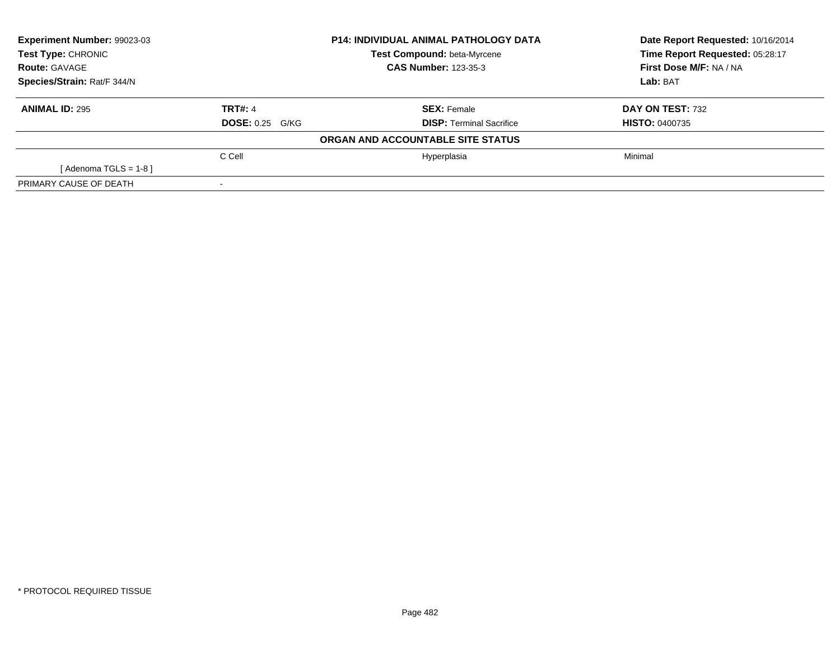| Experiment Number: 99023-03 |                   | <b>P14: INDIVIDUAL ANIMAL PATHOLOGY DATA</b> | Date Report Requested: 10/16/2014 |
|-----------------------------|-------------------|----------------------------------------------|-----------------------------------|
| <b>Test Type: CHRONIC</b>   |                   | Test Compound: beta-Myrcene                  | Time Report Requested: 05:28:17   |
| <b>Route: GAVAGE</b>        |                   | <b>CAS Number: 123-35-3</b>                  | First Dose M/F: NA / NA           |
| Species/Strain: Rat/F 344/N |                   |                                              | Lab: BAT                          |
| <b>ANIMAL ID: 295</b>       | <b>TRT#: 4</b>    | <b>SEX: Female</b>                           | DAY ON TEST: 732                  |
|                             | $DOSE: 0.25$ G/KG | <b>DISP:</b> Terminal Sacrifice              | <b>HISTO: 0400735</b>             |
|                             |                   | ORGAN AND ACCOUNTABLE SITE STATUS            |                                   |
|                             | C Cell            | Hyperplasia                                  | Minimal                           |
| [Adenoma TGLS = $1-8$ ]     |                   |                                              |                                   |
| PRIMARY CAUSE OF DEATH      |                   |                                              |                                   |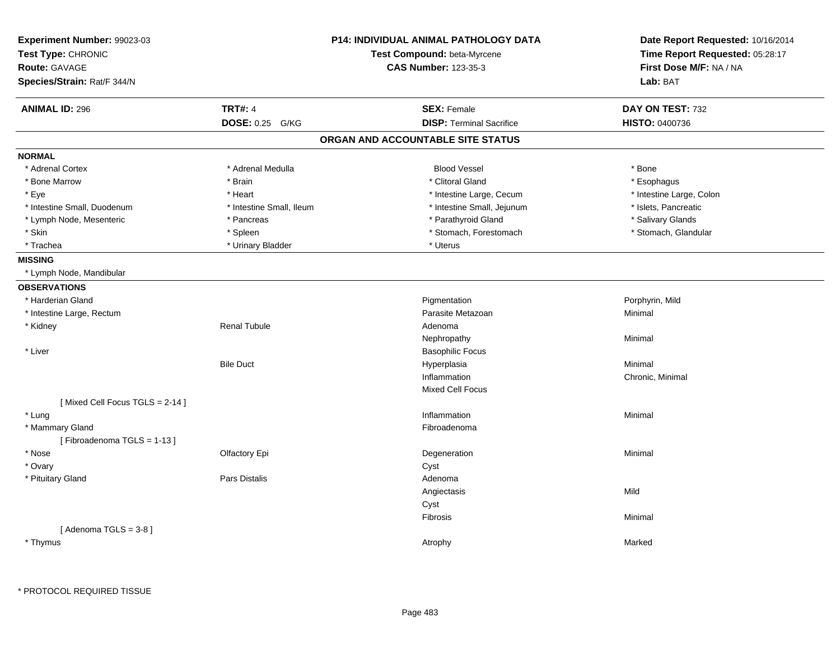| <b>TRT#: 4</b><br><b>ANIMAL ID: 296</b><br><b>SEX: Female</b><br>DAY ON TEST: 732<br>DOSE: 0.25 G/KG<br><b>DISP: Terminal Sacrifice</b><br><b>HISTO: 0400736</b><br>ORGAN AND ACCOUNTABLE SITE STATUS<br><b>Blood Vessel</b><br>* Adrenal Cortex<br>* Adrenal Medulla<br>* Bone<br>* Clitoral Gland<br>* Bone Marrow<br>* Brain<br>* Esophagus<br>* Eye<br>* Heart<br>* Intestine Large, Cecum<br>* Intestine Large, Colon<br>* Islets, Pancreatic<br>* Intestine Small, Duodenum<br>* Intestine Small, Ileum<br>* Intestine Small, Jejunum<br>* Parathyroid Gland<br>* Salivary Glands<br>* Lymph Node, Mesenteric<br>* Pancreas<br>* Skin<br>* Spleen<br>* Stomach, Forestomach<br>* Stomach, Glandular<br>* Trachea<br>* Urinary Bladder<br>* Uterus<br>* Lymph Node, Mandibular<br><b>OBSERVATIONS</b><br>Pigmentation<br>* Harderian Gland<br>Porphyrin, Mild<br>* Intestine Large, Rectum<br>Parasite Metazoan<br>Minimal<br>* Kidney<br><b>Renal Tubule</b><br>Adenoma<br>Nephropathy<br>Minimal<br><b>Basophilic Focus</b><br>* Liver<br><b>Bile Duct</b><br>Hyperplasia<br>Minimal<br>Inflammation<br>Chronic, Minimal<br>Mixed Cell Focus<br>[Mixed Cell Focus TGLS = 2-14]<br>* Lung<br>Inflammation<br>Minimal<br>* Mammary Gland<br>Fibroadenoma<br>[Fibroadenoma TGLS = 1-13]<br>* Nose<br>Degeneration<br>Minimal<br>Olfactory Epi<br>* Ovary<br>Cyst<br>* Pituitary Gland<br>Pars Distalis<br>Adenoma<br>Mild<br>Angiectasis<br>Cyst<br>Fibrosis<br>Minimal<br>[Adenoma TGLS = $3-8$ ]<br>* Thymus<br>Marked<br>Atrophy | Experiment Number: 99023-03<br>Test Type: CHRONIC<br><b>Route: GAVAGE</b><br>Species/Strain: Rat/F 344/N | <b>P14: INDIVIDUAL ANIMAL PATHOLOGY DATA</b><br>Test Compound: beta-Myrcene<br><b>CAS Number: 123-35-3</b> | Date Report Requested: 10/16/2014<br>Time Report Requested: 05:28:17<br>First Dose M/F: NA / NA<br>Lab: BAT |
|-----------------------------------------------------------------------------------------------------------------------------------------------------------------------------------------------------------------------------------------------------------------------------------------------------------------------------------------------------------------------------------------------------------------------------------------------------------------------------------------------------------------------------------------------------------------------------------------------------------------------------------------------------------------------------------------------------------------------------------------------------------------------------------------------------------------------------------------------------------------------------------------------------------------------------------------------------------------------------------------------------------------------------------------------------------------------------------------------------------------------------------------------------------------------------------------------------------------------------------------------------------------------------------------------------------------------------------------------------------------------------------------------------------------------------------------------------------------------------------------------------------------------------------------|----------------------------------------------------------------------------------------------------------|------------------------------------------------------------------------------------------------------------|-------------------------------------------------------------------------------------------------------------|
|                                                                                                                                                                                                                                                                                                                                                                                                                                                                                                                                                                                                                                                                                                                                                                                                                                                                                                                                                                                                                                                                                                                                                                                                                                                                                                                                                                                                                                                                                                                                         |                                                                                                          |                                                                                                            |                                                                                                             |
|                                                                                                                                                                                                                                                                                                                                                                                                                                                                                                                                                                                                                                                                                                                                                                                                                                                                                                                                                                                                                                                                                                                                                                                                                                                                                                                                                                                                                                                                                                                                         |                                                                                                          |                                                                                                            |                                                                                                             |
|                                                                                                                                                                                                                                                                                                                                                                                                                                                                                                                                                                                                                                                                                                                                                                                                                                                                                                                                                                                                                                                                                                                                                                                                                                                                                                                                                                                                                                                                                                                                         |                                                                                                          |                                                                                                            |                                                                                                             |
|                                                                                                                                                                                                                                                                                                                                                                                                                                                                                                                                                                                                                                                                                                                                                                                                                                                                                                                                                                                                                                                                                                                                                                                                                                                                                                                                                                                                                                                                                                                                         | <b>NORMAL</b>                                                                                            |                                                                                                            |                                                                                                             |
|                                                                                                                                                                                                                                                                                                                                                                                                                                                                                                                                                                                                                                                                                                                                                                                                                                                                                                                                                                                                                                                                                                                                                                                                                                                                                                                                                                                                                                                                                                                                         |                                                                                                          |                                                                                                            |                                                                                                             |
|                                                                                                                                                                                                                                                                                                                                                                                                                                                                                                                                                                                                                                                                                                                                                                                                                                                                                                                                                                                                                                                                                                                                                                                                                                                                                                                                                                                                                                                                                                                                         |                                                                                                          |                                                                                                            |                                                                                                             |
|                                                                                                                                                                                                                                                                                                                                                                                                                                                                                                                                                                                                                                                                                                                                                                                                                                                                                                                                                                                                                                                                                                                                                                                                                                                                                                                                                                                                                                                                                                                                         |                                                                                                          |                                                                                                            |                                                                                                             |
|                                                                                                                                                                                                                                                                                                                                                                                                                                                                                                                                                                                                                                                                                                                                                                                                                                                                                                                                                                                                                                                                                                                                                                                                                                                                                                                                                                                                                                                                                                                                         |                                                                                                          |                                                                                                            |                                                                                                             |
|                                                                                                                                                                                                                                                                                                                                                                                                                                                                                                                                                                                                                                                                                                                                                                                                                                                                                                                                                                                                                                                                                                                                                                                                                                                                                                                                                                                                                                                                                                                                         |                                                                                                          |                                                                                                            |                                                                                                             |
|                                                                                                                                                                                                                                                                                                                                                                                                                                                                                                                                                                                                                                                                                                                                                                                                                                                                                                                                                                                                                                                                                                                                                                                                                                                                                                                                                                                                                                                                                                                                         |                                                                                                          |                                                                                                            |                                                                                                             |
|                                                                                                                                                                                                                                                                                                                                                                                                                                                                                                                                                                                                                                                                                                                                                                                                                                                                                                                                                                                                                                                                                                                                                                                                                                                                                                                                                                                                                                                                                                                                         |                                                                                                          |                                                                                                            |                                                                                                             |
|                                                                                                                                                                                                                                                                                                                                                                                                                                                                                                                                                                                                                                                                                                                                                                                                                                                                                                                                                                                                                                                                                                                                                                                                                                                                                                                                                                                                                                                                                                                                         | <b>MISSING</b>                                                                                           |                                                                                                            |                                                                                                             |
|                                                                                                                                                                                                                                                                                                                                                                                                                                                                                                                                                                                                                                                                                                                                                                                                                                                                                                                                                                                                                                                                                                                                                                                                                                                                                                                                                                                                                                                                                                                                         |                                                                                                          |                                                                                                            |                                                                                                             |
|                                                                                                                                                                                                                                                                                                                                                                                                                                                                                                                                                                                                                                                                                                                                                                                                                                                                                                                                                                                                                                                                                                                                                                                                                                                                                                                                                                                                                                                                                                                                         |                                                                                                          |                                                                                                            |                                                                                                             |
|                                                                                                                                                                                                                                                                                                                                                                                                                                                                                                                                                                                                                                                                                                                                                                                                                                                                                                                                                                                                                                                                                                                                                                                                                                                                                                                                                                                                                                                                                                                                         |                                                                                                          |                                                                                                            |                                                                                                             |
|                                                                                                                                                                                                                                                                                                                                                                                                                                                                                                                                                                                                                                                                                                                                                                                                                                                                                                                                                                                                                                                                                                                                                                                                                                                                                                                                                                                                                                                                                                                                         |                                                                                                          |                                                                                                            |                                                                                                             |
|                                                                                                                                                                                                                                                                                                                                                                                                                                                                                                                                                                                                                                                                                                                                                                                                                                                                                                                                                                                                                                                                                                                                                                                                                                                                                                                                                                                                                                                                                                                                         |                                                                                                          |                                                                                                            |                                                                                                             |
|                                                                                                                                                                                                                                                                                                                                                                                                                                                                                                                                                                                                                                                                                                                                                                                                                                                                                                                                                                                                                                                                                                                                                                                                                                                                                                                                                                                                                                                                                                                                         |                                                                                                          |                                                                                                            |                                                                                                             |
|                                                                                                                                                                                                                                                                                                                                                                                                                                                                                                                                                                                                                                                                                                                                                                                                                                                                                                                                                                                                                                                                                                                                                                                                                                                                                                                                                                                                                                                                                                                                         |                                                                                                          |                                                                                                            |                                                                                                             |
|                                                                                                                                                                                                                                                                                                                                                                                                                                                                                                                                                                                                                                                                                                                                                                                                                                                                                                                                                                                                                                                                                                                                                                                                                                                                                                                                                                                                                                                                                                                                         |                                                                                                          |                                                                                                            |                                                                                                             |
|                                                                                                                                                                                                                                                                                                                                                                                                                                                                                                                                                                                                                                                                                                                                                                                                                                                                                                                                                                                                                                                                                                                                                                                                                                                                                                                                                                                                                                                                                                                                         |                                                                                                          |                                                                                                            |                                                                                                             |
|                                                                                                                                                                                                                                                                                                                                                                                                                                                                                                                                                                                                                                                                                                                                                                                                                                                                                                                                                                                                                                                                                                                                                                                                                                                                                                                                                                                                                                                                                                                                         |                                                                                                          |                                                                                                            |                                                                                                             |
|                                                                                                                                                                                                                                                                                                                                                                                                                                                                                                                                                                                                                                                                                                                                                                                                                                                                                                                                                                                                                                                                                                                                                                                                                                                                                                                                                                                                                                                                                                                                         |                                                                                                          |                                                                                                            |                                                                                                             |
|                                                                                                                                                                                                                                                                                                                                                                                                                                                                                                                                                                                                                                                                                                                                                                                                                                                                                                                                                                                                                                                                                                                                                                                                                                                                                                                                                                                                                                                                                                                                         |                                                                                                          |                                                                                                            |                                                                                                             |
|                                                                                                                                                                                                                                                                                                                                                                                                                                                                                                                                                                                                                                                                                                                                                                                                                                                                                                                                                                                                                                                                                                                                                                                                                                                                                                                                                                                                                                                                                                                                         |                                                                                                          |                                                                                                            |                                                                                                             |
|                                                                                                                                                                                                                                                                                                                                                                                                                                                                                                                                                                                                                                                                                                                                                                                                                                                                                                                                                                                                                                                                                                                                                                                                                                                                                                                                                                                                                                                                                                                                         |                                                                                                          |                                                                                                            |                                                                                                             |
|                                                                                                                                                                                                                                                                                                                                                                                                                                                                                                                                                                                                                                                                                                                                                                                                                                                                                                                                                                                                                                                                                                                                                                                                                                                                                                                                                                                                                                                                                                                                         |                                                                                                          |                                                                                                            |                                                                                                             |
|                                                                                                                                                                                                                                                                                                                                                                                                                                                                                                                                                                                                                                                                                                                                                                                                                                                                                                                                                                                                                                                                                                                                                                                                                                                                                                                                                                                                                                                                                                                                         |                                                                                                          |                                                                                                            |                                                                                                             |
|                                                                                                                                                                                                                                                                                                                                                                                                                                                                                                                                                                                                                                                                                                                                                                                                                                                                                                                                                                                                                                                                                                                                                                                                                                                                                                                                                                                                                                                                                                                                         |                                                                                                          |                                                                                                            |                                                                                                             |
|                                                                                                                                                                                                                                                                                                                                                                                                                                                                                                                                                                                                                                                                                                                                                                                                                                                                                                                                                                                                                                                                                                                                                                                                                                                                                                                                                                                                                                                                                                                                         |                                                                                                          |                                                                                                            |                                                                                                             |
|                                                                                                                                                                                                                                                                                                                                                                                                                                                                                                                                                                                                                                                                                                                                                                                                                                                                                                                                                                                                                                                                                                                                                                                                                                                                                                                                                                                                                                                                                                                                         |                                                                                                          |                                                                                                            |                                                                                                             |
|                                                                                                                                                                                                                                                                                                                                                                                                                                                                                                                                                                                                                                                                                                                                                                                                                                                                                                                                                                                                                                                                                                                                                                                                                                                                                                                                                                                                                                                                                                                                         |                                                                                                          |                                                                                                            |                                                                                                             |
|                                                                                                                                                                                                                                                                                                                                                                                                                                                                                                                                                                                                                                                                                                                                                                                                                                                                                                                                                                                                                                                                                                                                                                                                                                                                                                                                                                                                                                                                                                                                         |                                                                                                          |                                                                                                            |                                                                                                             |
|                                                                                                                                                                                                                                                                                                                                                                                                                                                                                                                                                                                                                                                                                                                                                                                                                                                                                                                                                                                                                                                                                                                                                                                                                                                                                                                                                                                                                                                                                                                                         |                                                                                                          |                                                                                                            |                                                                                                             |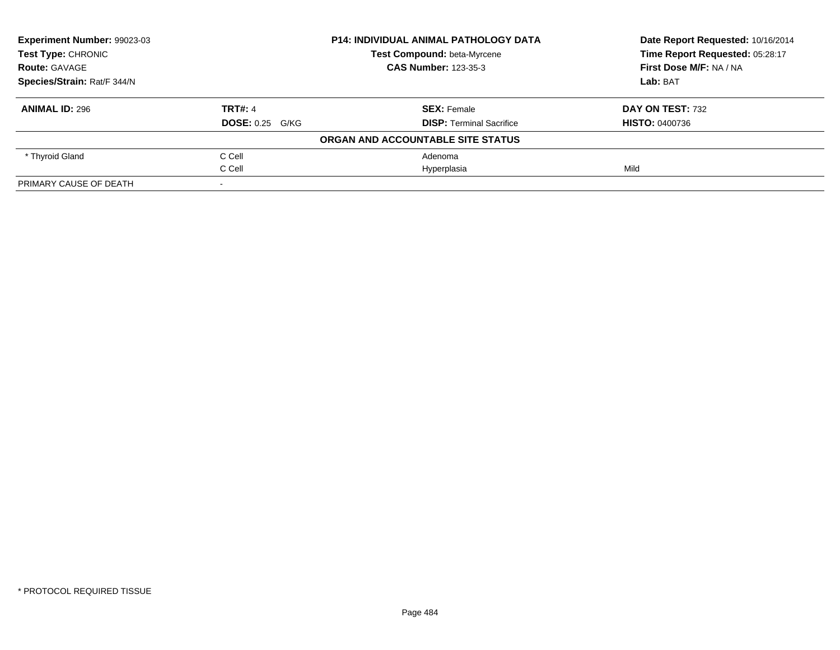| <b>Experiment Number: 99023-03</b> |                        | <b>P14: INDIVIDUAL ANIMAL PATHOLOGY DATA</b> | Date Report Requested: 10/16/2014 |
|------------------------------------|------------------------|----------------------------------------------|-----------------------------------|
| <b>Test Type: CHRONIC</b>          |                        | Test Compound: beta-Myrcene                  | Time Report Requested: 05:28:17   |
| <b>Route: GAVAGE</b>               |                        | <b>CAS Number: 123-35-3</b>                  | First Dose M/F: NA / NA           |
| Species/Strain: Rat/F 344/N        |                        |                                              | Lab: BAT                          |
| <b>ANIMAL ID: 296</b>              | <b>TRT#: 4</b>         | <b>SEX: Female</b>                           | DAY ON TEST: 732                  |
|                                    | <b>DOSE: 0.25 G/KG</b> | <b>DISP:</b> Terminal Sacrifice              | <b>HISTO: 0400736</b>             |
|                                    |                        | ORGAN AND ACCOUNTABLE SITE STATUS            |                                   |
| * Thyroid Gland                    | C Cell                 | Adenoma                                      |                                   |
|                                    | C Cell                 | Hyperplasia                                  | Mild                              |
| PRIMARY CAUSE OF DEATH             |                        |                                              |                                   |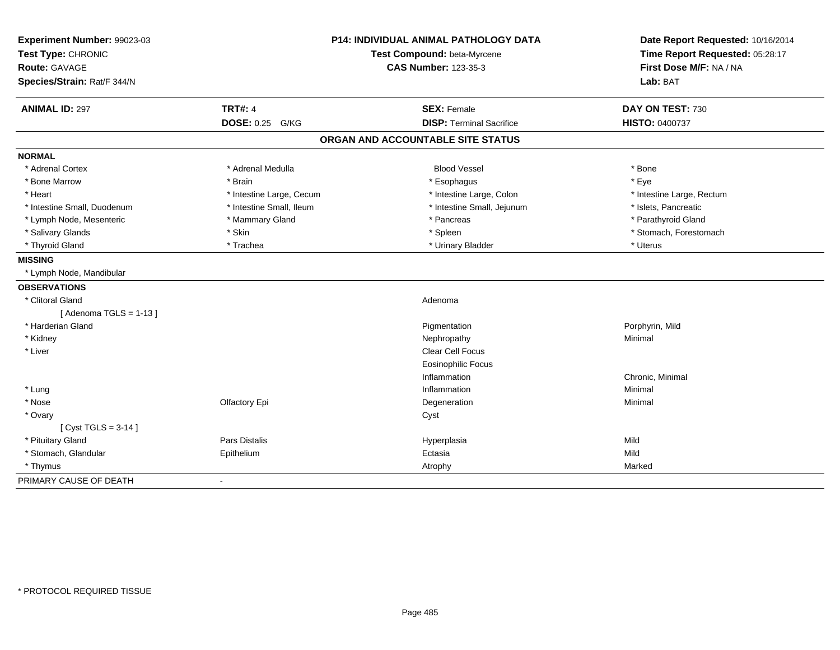| Experiment Number: 99023-03 |                             | <b>P14: INDIVIDUAL ANIMAL PATHOLOGY DATA</b> | Date Report Requested: 10/16/2014 |
|-----------------------------|-----------------------------|----------------------------------------------|-----------------------------------|
| Test Type: CHRONIC          | Test Compound: beta-Myrcene |                                              | Time Report Requested: 05:28:17   |
| <b>Route: GAVAGE</b>        |                             | <b>CAS Number: 123-35-3</b>                  | First Dose M/F: NA / NA           |
| Species/Strain: Rat/F 344/N |                             |                                              | Lab: BAT                          |
| <b>ANIMAL ID: 297</b>       | <b>TRT#: 4</b>              | <b>SEX: Female</b>                           | DAY ON TEST: 730                  |
|                             | DOSE: 0.25 G/KG             | <b>DISP: Terminal Sacrifice</b>              | HISTO: 0400737                    |
|                             |                             | ORGAN AND ACCOUNTABLE SITE STATUS            |                                   |
| <b>NORMAL</b>               |                             |                                              |                                   |
| * Adrenal Cortex            | * Adrenal Medulla           | <b>Blood Vessel</b>                          | * Bone                            |
| * Bone Marrow               | * Brain                     | * Esophagus                                  | * Eye                             |
| * Heart                     | * Intestine Large, Cecum    | * Intestine Large, Colon                     | * Intestine Large, Rectum         |
| * Intestine Small, Duodenum | * Intestine Small, Ileum    | * Intestine Small, Jejunum                   | * Islets, Pancreatic              |
| * Lymph Node, Mesenteric    | * Mammary Gland             | * Pancreas                                   | * Parathyroid Gland               |
| * Salivary Glands           | * Skin                      | * Spleen                                     | * Stomach, Forestomach            |
| * Thyroid Gland             | * Trachea                   | * Urinary Bladder                            | * Uterus                          |
| <b>MISSING</b>              |                             |                                              |                                   |
| * Lymph Node, Mandibular    |                             |                                              |                                   |
| <b>OBSERVATIONS</b>         |                             |                                              |                                   |
| * Clitoral Gland            |                             | Adenoma                                      |                                   |
| [Adenoma TGLS = $1-13$ ]    |                             |                                              |                                   |
| * Harderian Gland           |                             | Pigmentation                                 | Porphyrin, Mild                   |
| * Kidney                    |                             | Nephropathy                                  | Minimal                           |
| * Liver                     |                             | Clear Cell Focus                             |                                   |
|                             |                             | <b>Eosinophilic Focus</b>                    |                                   |
|                             |                             | Inflammation                                 | Chronic, Minimal                  |
| * Lung                      |                             | Inflammation                                 | Minimal                           |
| * Nose                      | Olfactory Epi               | Degeneration                                 | Minimal                           |
| * Ovary                     |                             | Cyst                                         |                                   |
| [ $Cyst TGLS = 3-14$ ]      |                             |                                              |                                   |
| * Pituitary Gland           | <b>Pars Distalis</b>        | Hyperplasia                                  | Mild                              |
| * Stomach, Glandular        | Epithelium                  | Ectasia                                      | Mild                              |
| * Thymus                    |                             | Atrophy                                      | Marked                            |
| PRIMARY CAUSE OF DEATH      |                             |                                              |                                   |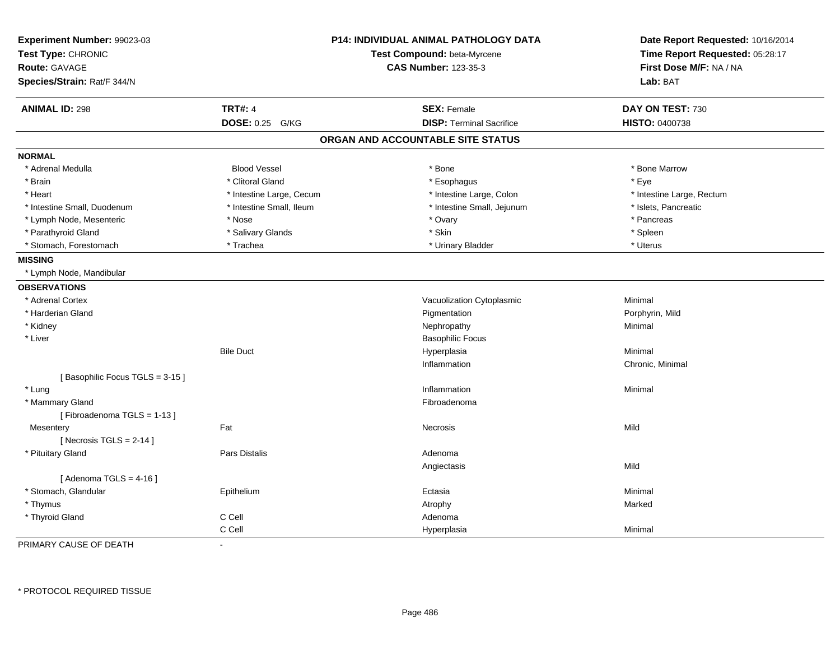| Experiment Number: 99023-03<br>Test Type: CHRONIC<br><b>Route: GAVAGE</b><br>Species/Strain: Rat/F 344/N |                          | <b>P14: INDIVIDUAL ANIMAL PATHOLOGY DATA</b><br>Test Compound: beta-Myrcene<br><b>CAS Number: 123-35-3</b> | Date Report Requested: 10/16/2014<br>Time Report Requested: 05:28:17<br>First Dose M/F: NA / NA<br>Lab: BAT |
|----------------------------------------------------------------------------------------------------------|--------------------------|------------------------------------------------------------------------------------------------------------|-------------------------------------------------------------------------------------------------------------|
| <b>ANIMAL ID: 298</b>                                                                                    | <b>TRT#: 4</b>           | <b>SEX: Female</b>                                                                                         | DAY ON TEST: 730                                                                                            |
|                                                                                                          | <b>DOSE: 0.25 G/KG</b>   | <b>DISP: Terminal Sacrifice</b>                                                                            | <b>HISTO: 0400738</b>                                                                                       |
|                                                                                                          |                          | ORGAN AND ACCOUNTABLE SITE STATUS                                                                          |                                                                                                             |
| <b>NORMAL</b>                                                                                            |                          |                                                                                                            |                                                                                                             |
| * Adrenal Medulla                                                                                        | <b>Blood Vessel</b>      | * Bone                                                                                                     | * Bone Marrow                                                                                               |
| * Brain                                                                                                  | * Clitoral Gland         | * Esophagus                                                                                                | * Eye                                                                                                       |
| * Heart                                                                                                  | * Intestine Large, Cecum | * Intestine Large, Colon                                                                                   | * Intestine Large, Rectum                                                                                   |
| * Intestine Small, Duodenum                                                                              | * Intestine Small, Ileum | * Intestine Small, Jejunum                                                                                 | * Islets, Pancreatic                                                                                        |
| * Lymph Node, Mesenteric                                                                                 | * Nose                   | * Ovary                                                                                                    | * Pancreas                                                                                                  |
| * Parathyroid Gland                                                                                      | * Salivary Glands        | * Skin                                                                                                     | * Spleen                                                                                                    |
| * Stomach, Forestomach                                                                                   | * Trachea                | * Urinary Bladder                                                                                          | * Uterus                                                                                                    |
| <b>MISSING</b>                                                                                           |                          |                                                                                                            |                                                                                                             |
| * Lymph Node, Mandibular                                                                                 |                          |                                                                                                            |                                                                                                             |
| <b>OBSERVATIONS</b>                                                                                      |                          |                                                                                                            |                                                                                                             |
| * Adrenal Cortex                                                                                         |                          | Vacuolization Cytoplasmic                                                                                  | Minimal                                                                                                     |
| * Harderian Gland                                                                                        |                          | Pigmentation                                                                                               | Porphyrin, Mild                                                                                             |
| * Kidney                                                                                                 |                          | Nephropathy                                                                                                | Minimal                                                                                                     |
| * Liver                                                                                                  |                          | <b>Basophilic Focus</b>                                                                                    |                                                                                                             |
|                                                                                                          | <b>Bile Duct</b>         | Hyperplasia                                                                                                | Minimal                                                                                                     |
|                                                                                                          |                          | Inflammation                                                                                               | Chronic, Minimal                                                                                            |
| [Basophilic Focus TGLS = 3-15]                                                                           |                          |                                                                                                            |                                                                                                             |
| * Lung                                                                                                   |                          | Inflammation                                                                                               | Minimal                                                                                                     |
| * Mammary Gland                                                                                          |                          | Fibroadenoma                                                                                               |                                                                                                             |
| [Fibroadenoma TGLS = 1-13]                                                                               |                          |                                                                                                            |                                                                                                             |
| Mesentery                                                                                                | Fat                      | <b>Necrosis</b>                                                                                            | Mild                                                                                                        |
| [Necrosis TGLS = $2-14$ ]                                                                                |                          |                                                                                                            |                                                                                                             |
| * Pituitary Gland                                                                                        | <b>Pars Distalis</b>     | Adenoma                                                                                                    |                                                                                                             |
|                                                                                                          |                          | Angiectasis                                                                                                | Mild                                                                                                        |
| [Adenoma TGLS = $4-16$ ]                                                                                 |                          |                                                                                                            |                                                                                                             |
| * Stomach, Glandular                                                                                     | Epithelium               | Ectasia                                                                                                    | Minimal                                                                                                     |
| * Thymus                                                                                                 |                          | Atrophy                                                                                                    | Marked                                                                                                      |
| * Thyroid Gland                                                                                          | C Cell                   | Adenoma                                                                                                    |                                                                                                             |
|                                                                                                          | C Cell                   | Hyperplasia                                                                                                | Minimal                                                                                                     |

PRIMARY CAUSE OF DEATH-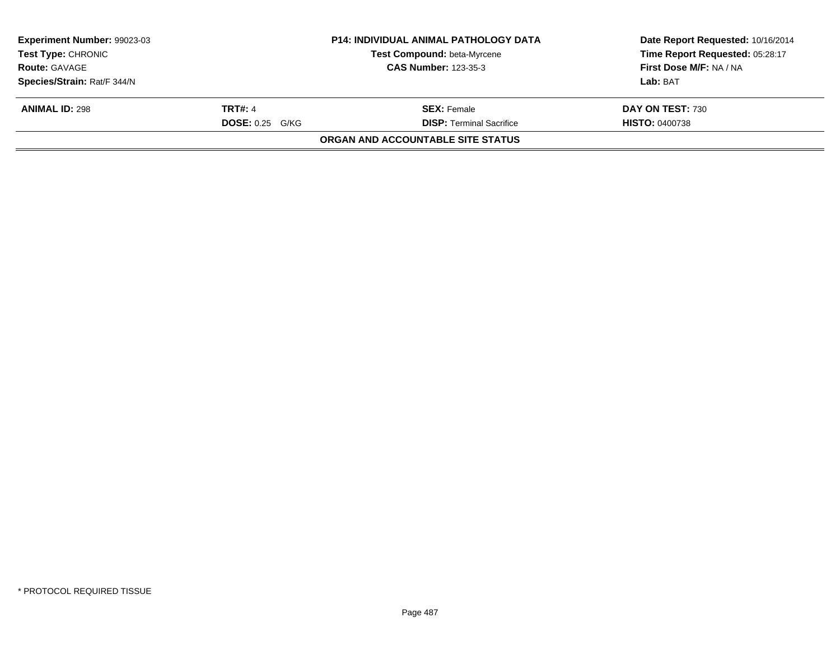| Experiment Number: 99023-03<br><b>Test Type: CHRONIC</b> |                        | <b>P14: INDIVIDUAL ANIMAL PATHOLOGY DATA</b><br>Test Compound: beta-Myrcene | Date Report Requested: 10/16/2014<br>Time Report Requested: 05:28:17 |
|----------------------------------------------------------|------------------------|-----------------------------------------------------------------------------|----------------------------------------------------------------------|
| <b>Route: GAVAGE</b>                                     |                        | <b>CAS Number: 123-35-3</b>                                                 | First Dose M/F: NA / NA                                              |
| Species/Strain: Rat/F 344/N                              |                        |                                                                             | Lab: BAT                                                             |
| <b>ANIMAL ID: 298</b>                                    | <b>TRT#: 4</b>         | <b>SEX:</b> Female                                                          | DAY ON TEST: 730                                                     |
|                                                          | <b>DOSE: 0.25 G/KG</b> | <b>DISP: Terminal Sacrifice</b>                                             | <b>HISTO: 0400738</b>                                                |
|                                                          |                        | ORGAN AND ACCOUNTABLE SITE STATUS                                           |                                                                      |
|                                                          |                        |                                                                             |                                                                      |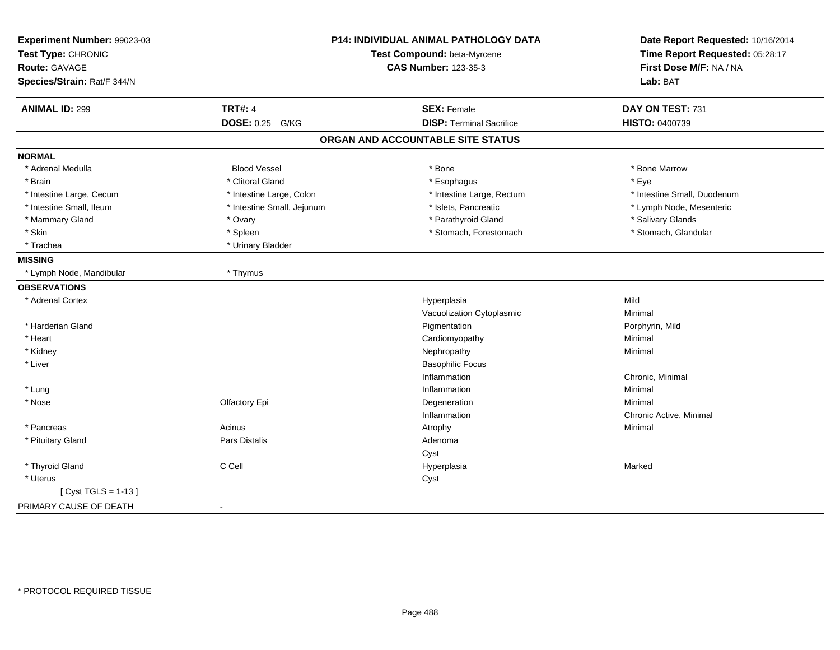| Experiment Number: 99023-03<br>Test Type: CHRONIC<br>Route: GAVAGE<br>Species/Strain: Rat/F 344/N |                            | P14: INDIVIDUAL ANIMAL PATHOLOGY DATA<br>Test Compound: beta-Myrcene<br><b>CAS Number: 123-35-3</b> | Date Report Requested: 10/16/2014<br>Time Report Requested: 05:28:17<br>First Dose M/F: NA / NA<br>Lab: BAT |
|---------------------------------------------------------------------------------------------------|----------------------------|-----------------------------------------------------------------------------------------------------|-------------------------------------------------------------------------------------------------------------|
| <b>ANIMAL ID: 299</b>                                                                             | <b>TRT#: 4</b>             | <b>SEX: Female</b>                                                                                  | DAY ON TEST: 731                                                                                            |
|                                                                                                   | <b>DOSE: 0.25</b><br>G/KG  | <b>DISP: Terminal Sacrifice</b>                                                                     | HISTO: 0400739                                                                                              |
|                                                                                                   |                            | ORGAN AND ACCOUNTABLE SITE STATUS                                                                   |                                                                                                             |
| <b>NORMAL</b>                                                                                     |                            |                                                                                                     |                                                                                                             |
| * Adrenal Medulla                                                                                 | <b>Blood Vessel</b>        | * Bone                                                                                              | * Bone Marrow                                                                                               |
| * Brain                                                                                           | * Clitoral Gland           | * Esophagus                                                                                         | * Eye                                                                                                       |
| * Intestine Large, Cecum                                                                          | * Intestine Large, Colon   | * Intestine Large, Rectum                                                                           | * Intestine Small, Duodenum                                                                                 |
| * Intestine Small, Ileum                                                                          | * Intestine Small, Jejunum | * Islets, Pancreatic                                                                                | * Lymph Node, Mesenteric                                                                                    |
| * Mammary Gland                                                                                   | * Ovary                    | * Parathyroid Gland                                                                                 | * Salivary Glands                                                                                           |
| * Skin                                                                                            | * Spleen                   | * Stomach, Forestomach                                                                              | * Stomach, Glandular                                                                                        |
| * Trachea                                                                                         | * Urinary Bladder          |                                                                                                     |                                                                                                             |
| <b>MISSING</b>                                                                                    |                            |                                                                                                     |                                                                                                             |
| * Lymph Node, Mandibular                                                                          | * Thymus                   |                                                                                                     |                                                                                                             |
| <b>OBSERVATIONS</b>                                                                               |                            |                                                                                                     |                                                                                                             |
| * Adrenal Cortex                                                                                  |                            | Hyperplasia                                                                                         | Mild                                                                                                        |
|                                                                                                   |                            | Vacuolization Cytoplasmic                                                                           | Minimal                                                                                                     |
| * Harderian Gland                                                                                 |                            | Pigmentation                                                                                        | Porphyrin, Mild                                                                                             |
| * Heart                                                                                           |                            | Cardiomyopathy                                                                                      | Minimal                                                                                                     |
| * Kidney                                                                                          |                            | Nephropathy                                                                                         | Minimal                                                                                                     |
| * Liver                                                                                           |                            | <b>Basophilic Focus</b>                                                                             |                                                                                                             |
|                                                                                                   |                            | Inflammation                                                                                        | Chronic, Minimal                                                                                            |
| * Lung                                                                                            |                            | Inflammation                                                                                        | Minimal                                                                                                     |
| * Nose                                                                                            | Olfactory Epi              | Degeneration                                                                                        | Minimal                                                                                                     |
|                                                                                                   |                            | Inflammation                                                                                        | Chronic Active, Minimal                                                                                     |
| * Pancreas                                                                                        | Acinus                     | Atrophy                                                                                             | Minimal                                                                                                     |
| * Pituitary Gland                                                                                 | Pars Distalis              | Adenoma                                                                                             |                                                                                                             |
|                                                                                                   |                            | Cyst                                                                                                |                                                                                                             |
| * Thyroid Gland                                                                                   | C Cell                     | Hyperplasia                                                                                         | Marked                                                                                                      |
| * Uterus                                                                                          |                            | Cyst                                                                                                |                                                                                                             |
| [Cyst TGLS = $1-13$ ]                                                                             |                            |                                                                                                     |                                                                                                             |
| PRIMARY CAUSE OF DEATH                                                                            | $\overline{\phantom{a}}$   |                                                                                                     |                                                                                                             |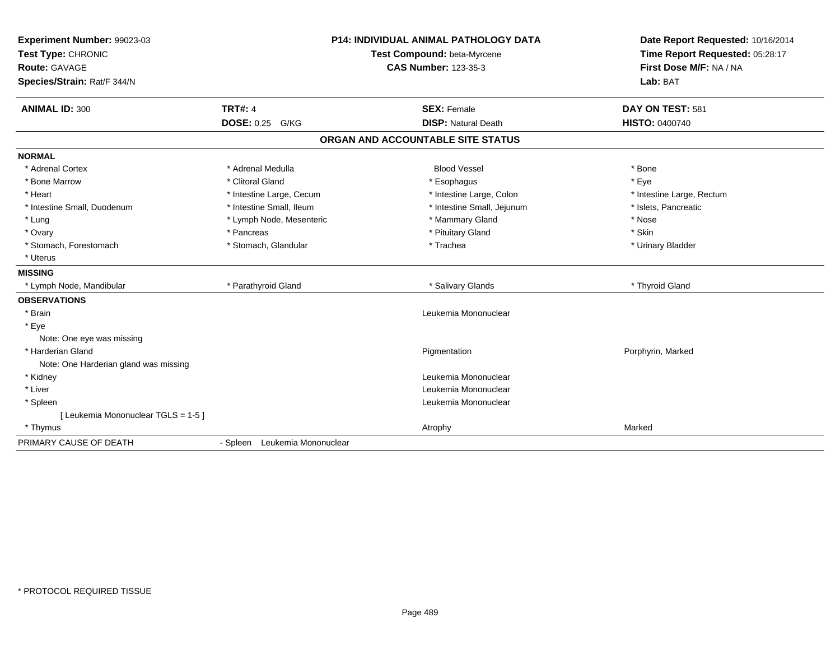| Experiment Number: 99023-03<br>Test Type: CHRONIC<br>Route: GAVAGE<br>Species/Strain: Rat/F 344/N |                               | <b>P14: INDIVIDUAL ANIMAL PATHOLOGY DATA</b><br>Test Compound: beta-Myrcene<br><b>CAS Number: 123-35-3</b> | Date Report Requested: 10/16/2014<br>Time Report Requested: 05:28:17<br>First Dose M/F: NA / NA<br>Lab: BAT |
|---------------------------------------------------------------------------------------------------|-------------------------------|------------------------------------------------------------------------------------------------------------|-------------------------------------------------------------------------------------------------------------|
| <b>ANIMAL ID: 300</b>                                                                             | <b>TRT#: 4</b>                | <b>SEX: Female</b>                                                                                         | DAY ON TEST: 581                                                                                            |
|                                                                                                   | DOSE: 0.25 G/KG               | <b>DISP: Natural Death</b>                                                                                 | <b>HISTO: 0400740</b>                                                                                       |
|                                                                                                   |                               | ORGAN AND ACCOUNTABLE SITE STATUS                                                                          |                                                                                                             |
| <b>NORMAL</b>                                                                                     |                               |                                                                                                            |                                                                                                             |
| * Adrenal Cortex                                                                                  | * Adrenal Medulla             | <b>Blood Vessel</b>                                                                                        | * Bone                                                                                                      |
| * Bone Marrow                                                                                     | * Clitoral Gland              | * Esophagus                                                                                                | * Eye                                                                                                       |
| * Heart                                                                                           | * Intestine Large, Cecum      | * Intestine Large, Colon                                                                                   | * Intestine Large, Rectum                                                                                   |
| * Intestine Small, Duodenum                                                                       | * Intestine Small, Ileum      | * Intestine Small, Jejunum                                                                                 | * Islets, Pancreatic                                                                                        |
| * Lung                                                                                            | * Lymph Node, Mesenteric      | * Mammary Gland                                                                                            | * Nose                                                                                                      |
| * Ovary                                                                                           | * Pancreas                    | * Pituitary Gland                                                                                          | * Skin                                                                                                      |
| * Stomach, Forestomach                                                                            | * Stomach, Glandular          | * Trachea                                                                                                  | * Urinary Bladder                                                                                           |
| * Uterus                                                                                          |                               |                                                                                                            |                                                                                                             |
| <b>MISSING</b>                                                                                    |                               |                                                                                                            |                                                                                                             |
| * Lymph Node, Mandibular                                                                          | * Parathyroid Gland           | * Salivary Glands                                                                                          | * Thyroid Gland                                                                                             |
| <b>OBSERVATIONS</b>                                                                               |                               |                                                                                                            |                                                                                                             |
| * Brain                                                                                           |                               | Leukemia Mononuclear                                                                                       |                                                                                                             |
| * Eye                                                                                             |                               |                                                                                                            |                                                                                                             |
| Note: One eye was missing                                                                         |                               |                                                                                                            |                                                                                                             |
| * Harderian Gland                                                                                 |                               | Pigmentation                                                                                               | Porphyrin, Marked                                                                                           |
| Note: One Harderian gland was missing                                                             |                               |                                                                                                            |                                                                                                             |
| * Kidney                                                                                          |                               | Leukemia Mononuclear                                                                                       |                                                                                                             |
| * Liver                                                                                           |                               | Leukemia Mononuclear                                                                                       |                                                                                                             |
| * Spleen                                                                                          |                               | Leukemia Mononuclear                                                                                       |                                                                                                             |
| [ Leukemia Mononuclear TGLS = 1-5 ]                                                               |                               |                                                                                                            |                                                                                                             |
| * Thymus                                                                                          |                               | Atrophy                                                                                                    | Marked                                                                                                      |
| PRIMARY CAUSE OF DEATH                                                                            | - Spleen Leukemia Mononuclear |                                                                                                            |                                                                                                             |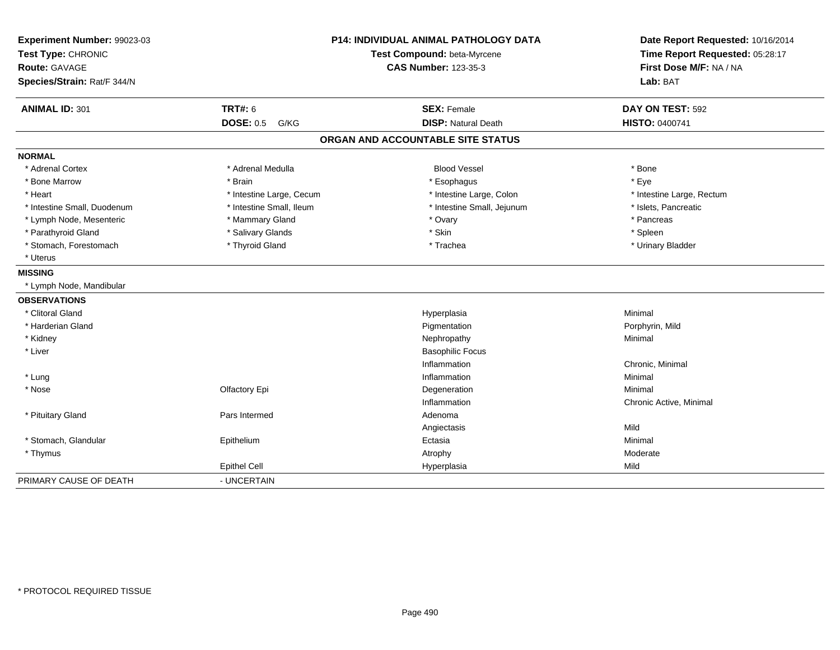| Experiment Number: 99023-03<br>Test Type: CHRONIC<br>Route: GAVAGE<br>Species/Strain: Rat/F 344/N | <b>P14: INDIVIDUAL ANIMAL PATHOLOGY DATA</b><br>Test Compound: beta-Myrcene<br><b>CAS Number: 123-35-3</b> |                                   | Date Report Requested: 10/16/2014<br>Time Report Requested: 05:28:17<br>First Dose M/F: NA / NA<br>Lab: BAT |  |
|---------------------------------------------------------------------------------------------------|------------------------------------------------------------------------------------------------------------|-----------------------------------|-------------------------------------------------------------------------------------------------------------|--|
| <b>ANIMAL ID: 301</b>                                                                             | <b>TRT#: 6</b>                                                                                             | <b>SEX: Female</b>                | DAY ON TEST: 592                                                                                            |  |
|                                                                                                   | <b>DOSE: 0.5</b><br>G/KG                                                                                   | <b>DISP: Natural Death</b>        | HISTO: 0400741                                                                                              |  |
|                                                                                                   |                                                                                                            | ORGAN AND ACCOUNTABLE SITE STATUS |                                                                                                             |  |
| <b>NORMAL</b>                                                                                     |                                                                                                            |                                   |                                                                                                             |  |
| * Adrenal Cortex                                                                                  | * Adrenal Medulla                                                                                          | <b>Blood Vessel</b>               | * Bone                                                                                                      |  |
| * Bone Marrow                                                                                     | * Brain                                                                                                    | * Esophagus                       | * Eye                                                                                                       |  |
| * Heart                                                                                           | * Intestine Large, Cecum                                                                                   | * Intestine Large, Colon          | * Intestine Large, Rectum                                                                                   |  |
| * Intestine Small, Duodenum                                                                       | * Intestine Small, Ileum                                                                                   | * Intestine Small, Jejunum        | * Islets, Pancreatic                                                                                        |  |
| * Lymph Node, Mesenteric                                                                          | * Mammary Gland                                                                                            | * Ovary                           | * Pancreas                                                                                                  |  |
| * Parathyroid Gland                                                                               | * Salivary Glands                                                                                          | * Skin                            | * Spleen                                                                                                    |  |
| * Stomach, Forestomach                                                                            | * Thyroid Gland                                                                                            | * Trachea                         | * Urinary Bladder                                                                                           |  |
| * Uterus                                                                                          |                                                                                                            |                                   |                                                                                                             |  |
| <b>MISSING</b>                                                                                    |                                                                                                            |                                   |                                                                                                             |  |
| * Lymph Node, Mandibular                                                                          |                                                                                                            |                                   |                                                                                                             |  |
| <b>OBSERVATIONS</b>                                                                               |                                                                                                            |                                   |                                                                                                             |  |
| * Clitoral Gland                                                                                  |                                                                                                            | Hyperplasia                       | Minimal                                                                                                     |  |
| * Harderian Gland                                                                                 |                                                                                                            | Pigmentation                      | Porphyrin, Mild                                                                                             |  |
| * Kidney                                                                                          |                                                                                                            | Nephropathy                       | Minimal                                                                                                     |  |
| * Liver                                                                                           |                                                                                                            | <b>Basophilic Focus</b>           |                                                                                                             |  |
|                                                                                                   |                                                                                                            | Inflammation                      | Chronic, Minimal                                                                                            |  |
| * Lung                                                                                            |                                                                                                            | Inflammation                      | Minimal                                                                                                     |  |
| * Nose                                                                                            | Olfactory Epi                                                                                              | Degeneration                      | Minimal                                                                                                     |  |
|                                                                                                   |                                                                                                            | Inflammation                      | Chronic Active, Minimal                                                                                     |  |
| * Pituitary Gland                                                                                 | Pars Intermed                                                                                              | Adenoma                           |                                                                                                             |  |
|                                                                                                   |                                                                                                            | Angiectasis                       | Mild                                                                                                        |  |
| * Stomach, Glandular                                                                              | Epithelium                                                                                                 | Ectasia                           | Minimal                                                                                                     |  |
| * Thymus                                                                                          |                                                                                                            | Atrophy                           | Moderate                                                                                                    |  |
|                                                                                                   | <b>Epithel Cell</b>                                                                                        | Hyperplasia                       | Mild                                                                                                        |  |
| PRIMARY CAUSE OF DEATH                                                                            | - UNCERTAIN                                                                                                |                                   |                                                                                                             |  |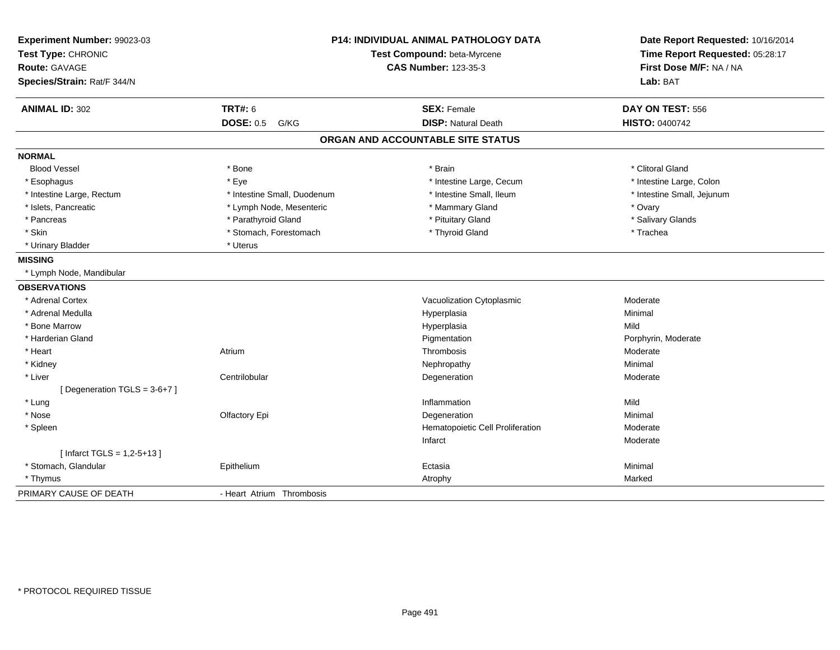| Experiment Number: 99023-03<br>Test Type: CHRONIC<br>Route: GAVAGE<br>Species/Strain: Rat/F 344/N | P14: INDIVIDUAL ANIMAL PATHOLOGY DATA<br>Test Compound: beta-Myrcene<br><b>CAS Number: 123-35-3</b> |                                   | Date Report Requested: 10/16/2014<br>Time Report Requested: 05:28:17<br>First Dose M/F: NA / NA<br>Lab: BAT |
|---------------------------------------------------------------------------------------------------|-----------------------------------------------------------------------------------------------------|-----------------------------------|-------------------------------------------------------------------------------------------------------------|
| <b>ANIMAL ID: 302</b>                                                                             | <b>TRT#: 6</b>                                                                                      | <b>SEX: Female</b>                | DAY ON TEST: 556                                                                                            |
|                                                                                                   | <b>DOSE: 0.5</b><br>G/KG                                                                            | <b>DISP: Natural Death</b>        | <b>HISTO: 0400742</b>                                                                                       |
|                                                                                                   |                                                                                                     | ORGAN AND ACCOUNTABLE SITE STATUS |                                                                                                             |
| <b>NORMAL</b>                                                                                     |                                                                                                     |                                   |                                                                                                             |
| <b>Blood Vessel</b>                                                                               | * Bone                                                                                              | * Brain                           | * Clitoral Gland                                                                                            |
| * Esophagus                                                                                       | * Eye                                                                                               | * Intestine Large, Cecum          | * Intestine Large, Colon                                                                                    |
| * Intestine Large, Rectum                                                                         | * Intestine Small, Duodenum                                                                         | * Intestine Small. Ileum          | * Intestine Small, Jejunum                                                                                  |
| * Islets, Pancreatic                                                                              | * Lymph Node, Mesenteric                                                                            | * Mammary Gland                   | * Ovary                                                                                                     |
| * Pancreas                                                                                        | * Parathyroid Gland                                                                                 | * Pituitary Gland                 | * Salivary Glands                                                                                           |
| * Skin                                                                                            | * Stomach, Forestomach                                                                              | * Thyroid Gland                   | * Trachea                                                                                                   |
| * Urinary Bladder                                                                                 | * Uterus                                                                                            |                                   |                                                                                                             |
| <b>MISSING</b>                                                                                    |                                                                                                     |                                   |                                                                                                             |
| * Lymph Node, Mandibular                                                                          |                                                                                                     |                                   |                                                                                                             |
| <b>OBSERVATIONS</b>                                                                               |                                                                                                     |                                   |                                                                                                             |
| * Adrenal Cortex                                                                                  |                                                                                                     | Vacuolization Cytoplasmic         | Moderate                                                                                                    |
| * Adrenal Medulla                                                                                 |                                                                                                     | Hyperplasia                       | Minimal                                                                                                     |
| * Bone Marrow                                                                                     |                                                                                                     | Hyperplasia                       | Mild                                                                                                        |
| * Harderian Gland                                                                                 |                                                                                                     | Pigmentation                      | Porphyrin, Moderate                                                                                         |
| * Heart                                                                                           | Atrium                                                                                              | Thrombosis                        | Moderate                                                                                                    |
| * Kidney                                                                                          |                                                                                                     | Nephropathy                       | Minimal                                                                                                     |
| * Liver                                                                                           | Centrilobular                                                                                       | Degeneration                      | Moderate                                                                                                    |
| [Degeneration TGLS = 3-6+7]                                                                       |                                                                                                     |                                   |                                                                                                             |
| * Lung                                                                                            |                                                                                                     | Inflammation                      | Mild                                                                                                        |
| * Nose                                                                                            | Olfactory Epi                                                                                       | Degeneration                      | Minimal                                                                                                     |
| * Spleen                                                                                          |                                                                                                     | Hematopoietic Cell Proliferation  | Moderate                                                                                                    |
|                                                                                                   |                                                                                                     | Infarct                           | Moderate                                                                                                    |
| [Infarct TGLS = $1,2-5+13$ ]                                                                      |                                                                                                     |                                   |                                                                                                             |
| * Stomach, Glandular                                                                              | Epithelium                                                                                          | Ectasia                           | Minimal                                                                                                     |
| * Thymus                                                                                          |                                                                                                     | Atrophy                           | Marked                                                                                                      |
| PRIMARY CAUSE OF DEATH                                                                            | - Heart Atrium Thrombosis                                                                           |                                   |                                                                                                             |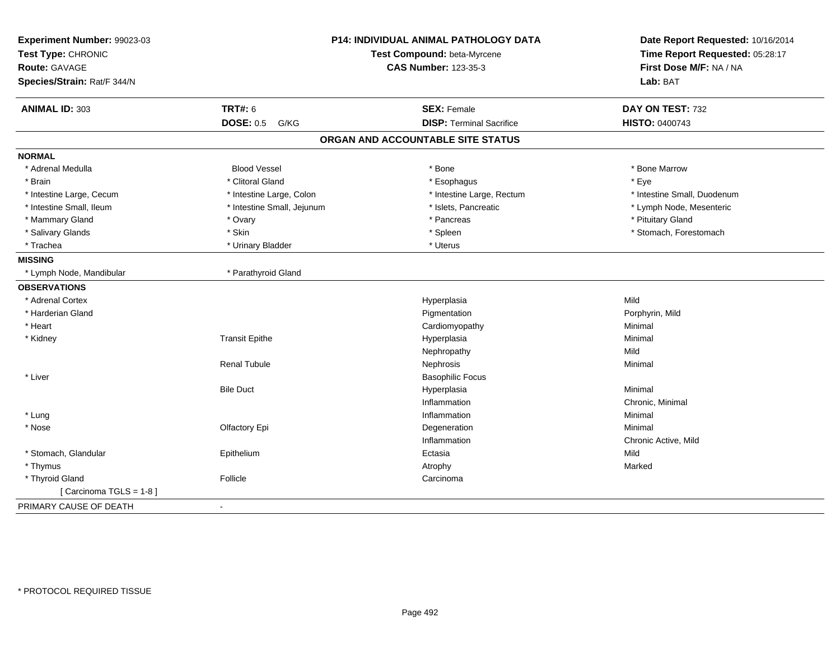| Experiment Number: 99023-03<br>Test Type: CHRONIC<br><b>Route: GAVAGE</b> |                            | <b>P14: INDIVIDUAL ANIMAL PATHOLOGY DATA</b><br>Test Compound: beta-Myrcene<br><b>CAS Number: 123-35-3</b> | Date Report Requested: 10/16/2014<br>Time Report Requested: 05:28:17<br>First Dose M/F: NA / NA |
|---------------------------------------------------------------------------|----------------------------|------------------------------------------------------------------------------------------------------------|-------------------------------------------------------------------------------------------------|
| Species/Strain: Rat/F 344/N                                               |                            |                                                                                                            | Lab: BAT                                                                                        |
| <b>ANIMAL ID: 303</b>                                                     | <b>TRT#: 6</b>             | <b>SEX: Female</b>                                                                                         | DAY ON TEST: 732                                                                                |
|                                                                           | <b>DOSE: 0.5</b><br>G/KG   | <b>DISP: Terminal Sacrifice</b>                                                                            | <b>HISTO: 0400743</b>                                                                           |
|                                                                           |                            | ORGAN AND ACCOUNTABLE SITE STATUS                                                                          |                                                                                                 |
| <b>NORMAL</b>                                                             |                            |                                                                                                            |                                                                                                 |
| * Adrenal Medulla                                                         | <b>Blood Vessel</b>        | * Bone                                                                                                     | * Bone Marrow                                                                                   |
| * Brain                                                                   | * Clitoral Gland           | * Esophagus                                                                                                | * Eye                                                                                           |
| * Intestine Large, Cecum                                                  | * Intestine Large, Colon   | * Intestine Large, Rectum                                                                                  | * Intestine Small, Duodenum                                                                     |
| * Intestine Small, Ileum                                                  | * Intestine Small, Jejunum | * Islets, Pancreatic                                                                                       | * Lymph Node, Mesenteric                                                                        |
| * Mammary Gland                                                           | * Ovary                    | * Pancreas                                                                                                 | * Pituitary Gland                                                                               |
| * Salivary Glands                                                         | * Skin                     | * Spleen                                                                                                   | * Stomach, Forestomach                                                                          |
| * Trachea                                                                 | * Urinary Bladder          | * Uterus                                                                                                   |                                                                                                 |
| <b>MISSING</b>                                                            |                            |                                                                                                            |                                                                                                 |
| * Lymph Node, Mandibular                                                  | * Parathyroid Gland        |                                                                                                            |                                                                                                 |
| <b>OBSERVATIONS</b>                                                       |                            |                                                                                                            |                                                                                                 |
| * Adrenal Cortex                                                          |                            | Hyperplasia                                                                                                | Mild                                                                                            |
| * Harderian Gland                                                         |                            | Pigmentation                                                                                               | Porphyrin, Mild                                                                                 |
| * Heart                                                                   |                            | Cardiomyopathy                                                                                             | Minimal                                                                                         |
| * Kidney                                                                  | <b>Transit Epithe</b>      | Hyperplasia                                                                                                | Minimal                                                                                         |
|                                                                           |                            | Nephropathy                                                                                                | Mild                                                                                            |
|                                                                           | <b>Renal Tubule</b>        | Nephrosis                                                                                                  | Minimal                                                                                         |
| * Liver                                                                   |                            | <b>Basophilic Focus</b>                                                                                    |                                                                                                 |
|                                                                           | <b>Bile Duct</b>           | Hyperplasia                                                                                                | Minimal                                                                                         |
|                                                                           |                            | Inflammation                                                                                               | Chronic, Minimal                                                                                |
| * Lung                                                                    |                            | Inflammation                                                                                               | Minimal                                                                                         |
| * Nose                                                                    | Olfactory Epi              | Degeneration                                                                                               | Minimal                                                                                         |
|                                                                           |                            | Inflammation                                                                                               | Chronic Active, Mild                                                                            |
| * Stomach, Glandular                                                      | Epithelium                 | Ectasia                                                                                                    | Mild                                                                                            |
| * Thymus                                                                  |                            | Atrophy                                                                                                    | Marked                                                                                          |
| * Thyroid Gland                                                           | Follicle                   | Carcinoma                                                                                                  |                                                                                                 |
| [ Carcinoma TGLS = 1-8 ]                                                  |                            |                                                                                                            |                                                                                                 |
| PRIMARY CAUSE OF DEATH                                                    | $\sim$                     |                                                                                                            |                                                                                                 |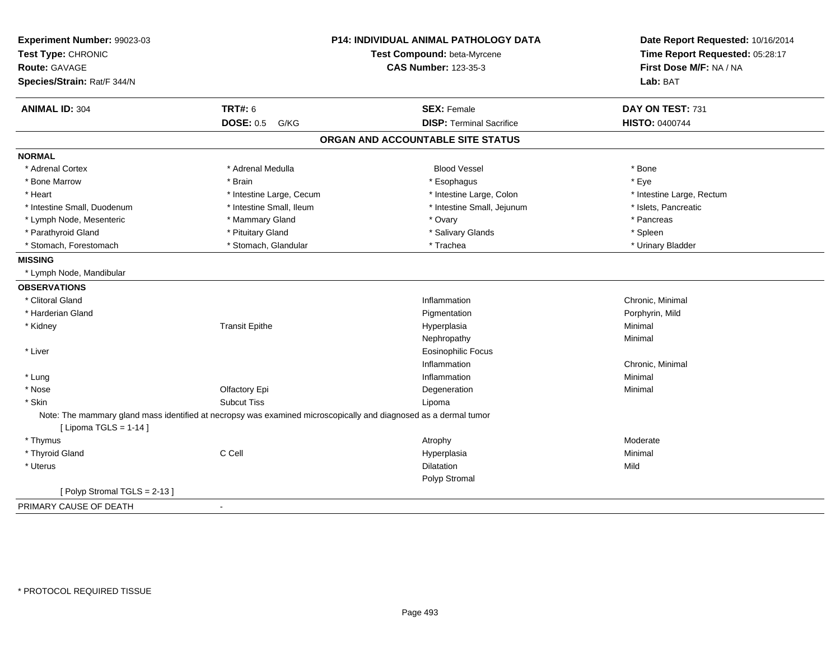| <b>P14: INDIVIDUAL ANIMAL PATHOLOGY DATA</b><br>Experiment Number: 99023-03<br>Test Compound: beta-Myrcene<br>Test Type: CHRONIC<br><b>CAS Number: 123-35-3</b><br>Route: GAVAGE<br>Species/Strain: Rat/F 344/N |                                                                                                                  |                                   | Date Report Requested: 10/16/2014<br>Time Report Requested: 05:28:17<br>First Dose M/F: NA / NA<br>Lab: BAT |
|-----------------------------------------------------------------------------------------------------------------------------------------------------------------------------------------------------------------|------------------------------------------------------------------------------------------------------------------|-----------------------------------|-------------------------------------------------------------------------------------------------------------|
| <b>ANIMAL ID: 304</b>                                                                                                                                                                                           | <b>TRT#: 6</b>                                                                                                   | <b>SEX: Female</b>                | DAY ON TEST: 731                                                                                            |
|                                                                                                                                                                                                                 | <b>DOSE: 0.5</b><br>G/KG                                                                                         | <b>DISP: Terminal Sacrifice</b>   | <b>HISTO: 0400744</b>                                                                                       |
|                                                                                                                                                                                                                 |                                                                                                                  | ORGAN AND ACCOUNTABLE SITE STATUS |                                                                                                             |
| <b>NORMAL</b>                                                                                                                                                                                                   |                                                                                                                  |                                   |                                                                                                             |
| * Adrenal Cortex                                                                                                                                                                                                | * Adrenal Medulla                                                                                                | <b>Blood Vessel</b>               | * Bone                                                                                                      |
| * Bone Marrow                                                                                                                                                                                                   | * Brain                                                                                                          | * Esophagus                       | * Eye                                                                                                       |
| * Heart                                                                                                                                                                                                         | * Intestine Large, Cecum                                                                                         | * Intestine Large, Colon          | * Intestine Large, Rectum                                                                                   |
| * Intestine Small, Duodenum                                                                                                                                                                                     | * Intestine Small, Ileum                                                                                         | * Intestine Small, Jejunum        | * Islets, Pancreatic                                                                                        |
| * Lymph Node, Mesenteric                                                                                                                                                                                        | * Mammary Gland                                                                                                  | * Ovary                           | * Pancreas                                                                                                  |
| * Parathyroid Gland                                                                                                                                                                                             | * Pituitary Gland                                                                                                | * Salivary Glands                 | * Spleen                                                                                                    |
| * Stomach, Forestomach                                                                                                                                                                                          | * Stomach, Glandular                                                                                             | * Trachea                         | * Urinary Bladder                                                                                           |
| <b>MISSING</b>                                                                                                                                                                                                  |                                                                                                                  |                                   |                                                                                                             |
| * Lymph Node, Mandibular                                                                                                                                                                                        |                                                                                                                  |                                   |                                                                                                             |
| <b>OBSERVATIONS</b>                                                                                                                                                                                             |                                                                                                                  |                                   |                                                                                                             |
| * Clitoral Gland                                                                                                                                                                                                |                                                                                                                  | Inflammation                      | Chronic, Minimal                                                                                            |
| * Harderian Gland                                                                                                                                                                                               |                                                                                                                  | Pigmentation                      | Porphyrin, Mild                                                                                             |
| * Kidney                                                                                                                                                                                                        | <b>Transit Epithe</b>                                                                                            | Hyperplasia                       | Minimal                                                                                                     |
|                                                                                                                                                                                                                 |                                                                                                                  | Nephropathy                       | Minimal                                                                                                     |
| * Liver                                                                                                                                                                                                         |                                                                                                                  | <b>Eosinophilic Focus</b>         |                                                                                                             |
|                                                                                                                                                                                                                 |                                                                                                                  | Inflammation                      | Chronic, Minimal                                                                                            |
| * Lung                                                                                                                                                                                                          |                                                                                                                  | Inflammation                      | Minimal                                                                                                     |
| * Nose                                                                                                                                                                                                          | Olfactory Epi                                                                                                    | Degeneration                      | Minimal                                                                                                     |
| * Skin                                                                                                                                                                                                          | <b>Subcut Tiss</b>                                                                                               | Lipoma                            |                                                                                                             |
| [ Lipoma TGLS = $1-14$ ]                                                                                                                                                                                        | Note: The mammary gland mass identified at necropsy was examined microscopically and diagnosed as a dermal tumor |                                   |                                                                                                             |
| * Thymus                                                                                                                                                                                                        |                                                                                                                  | Atrophy                           | Moderate                                                                                                    |
| * Thyroid Gland                                                                                                                                                                                                 | C Cell                                                                                                           | Hyperplasia                       | Minimal                                                                                                     |
| * Uterus                                                                                                                                                                                                        |                                                                                                                  | <b>Dilatation</b>                 | Mild                                                                                                        |
|                                                                                                                                                                                                                 |                                                                                                                  | Polyp Stromal                     |                                                                                                             |
| [Polyp Stromal TGLS = 2-13]                                                                                                                                                                                     |                                                                                                                  |                                   |                                                                                                             |
| PRIMARY CAUSE OF DEATH                                                                                                                                                                                          | $\blacksquare$                                                                                                   |                                   |                                                                                                             |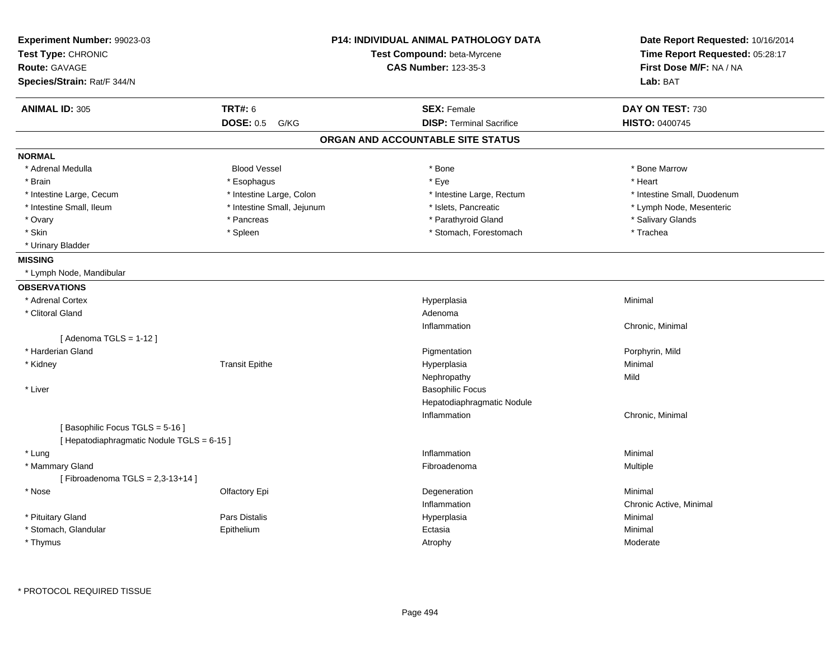| Experiment Number: 99023-03<br>Test Type: CHRONIC<br><b>Route: GAVAGE</b> |                            | <b>P14: INDIVIDUAL ANIMAL PATHOLOGY DATA</b><br>Test Compound: beta-Myrcene<br><b>CAS Number: 123-35-3</b> | Date Report Requested: 10/16/2014<br>Time Report Requested: 05:28:17<br>First Dose M/F: NA / NA |  |
|---------------------------------------------------------------------------|----------------------------|------------------------------------------------------------------------------------------------------------|-------------------------------------------------------------------------------------------------|--|
| Species/Strain: Rat/F 344/N                                               |                            |                                                                                                            | Lab: BAT                                                                                        |  |
| <b>ANIMAL ID: 305</b>                                                     | <b>TRT#: 6</b>             | <b>SEX: Female</b>                                                                                         | DAY ON TEST: 730                                                                                |  |
|                                                                           | <b>DOSE: 0.5</b><br>G/KG   | <b>DISP: Terminal Sacrifice</b>                                                                            | HISTO: 0400745                                                                                  |  |
|                                                                           |                            | ORGAN AND ACCOUNTABLE SITE STATUS                                                                          |                                                                                                 |  |
| <b>NORMAL</b>                                                             |                            |                                                                                                            |                                                                                                 |  |
| * Adrenal Medulla                                                         | <b>Blood Vessel</b>        | * Bone                                                                                                     | * Bone Marrow                                                                                   |  |
| * Brain                                                                   | * Esophagus                | * Eye                                                                                                      | * Heart                                                                                         |  |
| * Intestine Large, Cecum                                                  | * Intestine Large, Colon   | * Intestine Large, Rectum                                                                                  | * Intestine Small, Duodenum                                                                     |  |
| * Intestine Small, Ileum                                                  | * Intestine Small, Jejunum | * Islets, Pancreatic                                                                                       | * Lymph Node, Mesenteric                                                                        |  |
| * Ovary                                                                   | * Pancreas                 | * Parathyroid Gland                                                                                        | * Salivary Glands                                                                               |  |
| * Skin                                                                    | * Spleen                   | * Stomach, Forestomach                                                                                     | * Trachea                                                                                       |  |
| * Urinary Bladder                                                         |                            |                                                                                                            |                                                                                                 |  |
| <b>MISSING</b>                                                            |                            |                                                                                                            |                                                                                                 |  |
| * Lymph Node, Mandibular                                                  |                            |                                                                                                            |                                                                                                 |  |
| <b>OBSERVATIONS</b>                                                       |                            |                                                                                                            |                                                                                                 |  |
| * Adrenal Cortex                                                          |                            | Hyperplasia                                                                                                | Minimal                                                                                         |  |
| * Clitoral Gland                                                          |                            | Adenoma                                                                                                    |                                                                                                 |  |
|                                                                           |                            | Inflammation                                                                                               | Chronic, Minimal                                                                                |  |
| [Adenoma TGLS = $1-12$ ]                                                  |                            |                                                                                                            |                                                                                                 |  |
| * Harderian Gland                                                         |                            | Pigmentation                                                                                               | Porphyrin, Mild                                                                                 |  |
| * Kidney                                                                  | <b>Transit Epithe</b>      | Hyperplasia                                                                                                | Minimal                                                                                         |  |
|                                                                           |                            | Nephropathy                                                                                                | Mild                                                                                            |  |
| * Liver                                                                   |                            | <b>Basophilic Focus</b>                                                                                    |                                                                                                 |  |
|                                                                           |                            | Hepatodiaphragmatic Nodule                                                                                 |                                                                                                 |  |
|                                                                           |                            | Inflammation                                                                                               | Chronic, Minimal                                                                                |  |
| [Basophilic Focus TGLS = 5-16]                                            |                            |                                                                                                            |                                                                                                 |  |
| [ Hepatodiaphragmatic Nodule TGLS = 6-15 ]                                |                            |                                                                                                            |                                                                                                 |  |
| * Lung                                                                    |                            | Inflammation                                                                                               | Minimal                                                                                         |  |
| * Mammary Gland                                                           |                            | Fibroadenoma                                                                                               | Multiple                                                                                        |  |
| [Fibroadenoma TGLS = $2,3-13+14$ ]                                        |                            |                                                                                                            |                                                                                                 |  |
| * Nose                                                                    | Olfactory Epi              | Degeneration                                                                                               | Minimal                                                                                         |  |
|                                                                           |                            | Inflammation                                                                                               | Chronic Active, Minimal                                                                         |  |
| * Pituitary Gland                                                         | <b>Pars Distalis</b>       | Hyperplasia                                                                                                | Minimal                                                                                         |  |
| * Stomach, Glandular                                                      | Epithelium                 | Ectasia                                                                                                    | Minimal                                                                                         |  |
| * Thymus                                                                  |                            | Atrophy                                                                                                    | Moderate                                                                                        |  |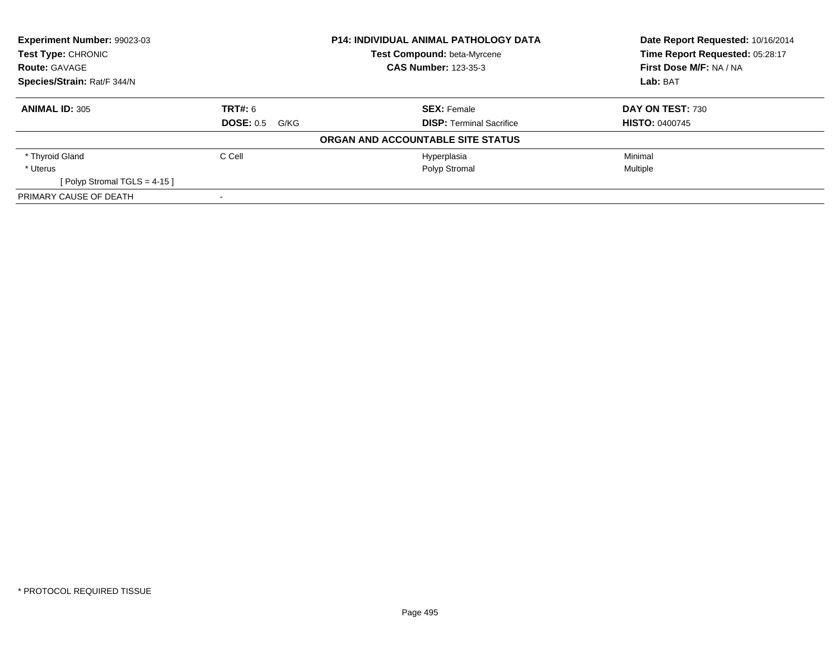| Experiment Number: 99023-03<br>Test Type: CHRONIC<br><b>Route: GAVAGE</b><br>Species/Strain: Rat/F 344/N |                          | <b>P14: INDIVIDUAL ANIMAL PATHOLOGY DATA</b> | Date Report Requested: 10/16/2014<br>Time Report Requested: 05:28:17 |
|----------------------------------------------------------------------------------------------------------|--------------------------|----------------------------------------------|----------------------------------------------------------------------|
|                                                                                                          |                          | Test Compound: beta-Myrcene                  |                                                                      |
|                                                                                                          |                          | <b>CAS Number: 123-35-3</b>                  | First Dose M/F: NA / NA                                              |
|                                                                                                          |                          |                                              | Lab: BAT                                                             |
| <b>ANIMAL ID: 305</b>                                                                                    | <b>TRT#:</b> 6           | <b>SEX: Female</b>                           | DAY ON TEST: 730                                                     |
|                                                                                                          | <b>DOSE: 0.5</b><br>G/KG | <b>DISP:</b> Terminal Sacrifice              | <b>HISTO: 0400745</b>                                                |
|                                                                                                          |                          | ORGAN AND ACCOUNTABLE SITE STATUS            |                                                                      |
| * Thyroid Gland                                                                                          | C Cell                   | Hyperplasia                                  | Minimal                                                              |
| * Uterus                                                                                                 |                          | Polyp Stromal                                | Multiple                                                             |
| [ Polyp Stromal TGLS = $4-15$ ]                                                                          |                          |                                              |                                                                      |
| PRIMARY CAUSE OF DEATH                                                                                   |                          |                                              |                                                                      |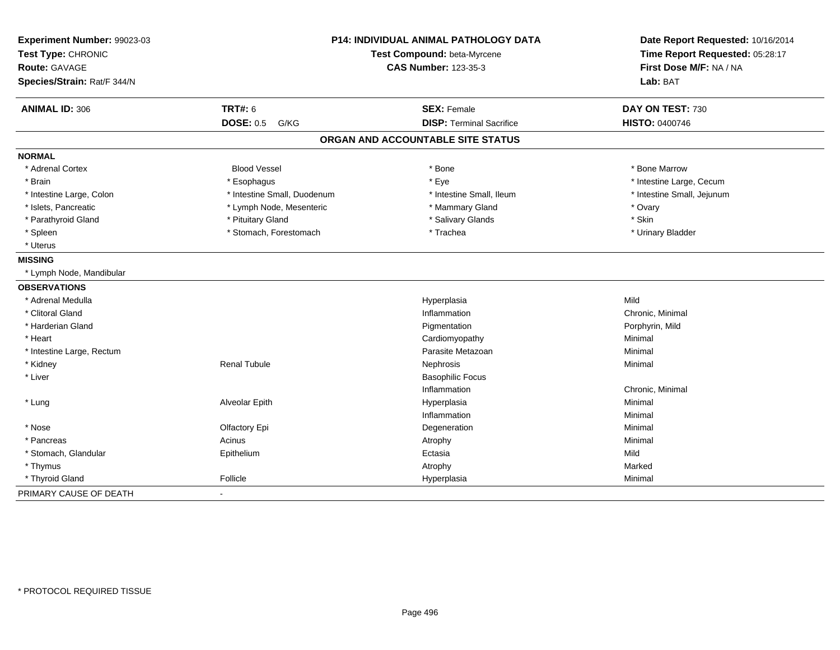| Experiment Number: 99023-03<br>Test Type: CHRONIC<br>Route: GAVAGE<br>Species/Strain: Rat/F 344/N |                             | P14: INDIVIDUAL ANIMAL PATHOLOGY DATA<br>Test Compound: beta-Myrcene<br><b>CAS Number: 123-35-3</b> | Date Report Requested: 10/16/2014<br>Time Report Requested: 05:28:17<br>First Dose M/F: NA / NA<br>Lab: BAT |  |
|---------------------------------------------------------------------------------------------------|-----------------------------|-----------------------------------------------------------------------------------------------------|-------------------------------------------------------------------------------------------------------------|--|
| <b>ANIMAL ID: 306</b>                                                                             | <b>TRT#: 6</b>              | <b>SEX: Female</b>                                                                                  | DAY ON TEST: 730                                                                                            |  |
|                                                                                                   | <b>DOSE: 0.5</b><br>G/KG    | <b>DISP: Terminal Sacrifice</b>                                                                     | <b>HISTO: 0400746</b>                                                                                       |  |
|                                                                                                   |                             | ORGAN AND ACCOUNTABLE SITE STATUS                                                                   |                                                                                                             |  |
| <b>NORMAL</b>                                                                                     |                             |                                                                                                     |                                                                                                             |  |
| * Adrenal Cortex                                                                                  | <b>Blood Vessel</b>         | * Bone                                                                                              | * Bone Marrow                                                                                               |  |
| * Brain                                                                                           | * Esophagus                 | * Eye                                                                                               | * Intestine Large, Cecum                                                                                    |  |
| * Intestine Large, Colon                                                                          | * Intestine Small, Duodenum | * Intestine Small, Ileum                                                                            | * Intestine Small, Jejunum                                                                                  |  |
| * Islets, Pancreatic                                                                              | * Lymph Node, Mesenteric    | * Mammary Gland                                                                                     | * Ovary                                                                                                     |  |
| * Parathyroid Gland                                                                               | * Pituitary Gland           | * Salivary Glands                                                                                   | * Skin                                                                                                      |  |
| * Spleen                                                                                          | * Stomach, Forestomach      | * Trachea                                                                                           | * Urinary Bladder                                                                                           |  |
| * Uterus                                                                                          |                             |                                                                                                     |                                                                                                             |  |
| <b>MISSING</b>                                                                                    |                             |                                                                                                     |                                                                                                             |  |
| * Lymph Node, Mandibular                                                                          |                             |                                                                                                     |                                                                                                             |  |
| <b>OBSERVATIONS</b>                                                                               |                             |                                                                                                     |                                                                                                             |  |
| * Adrenal Medulla                                                                                 |                             | Hyperplasia                                                                                         | Mild                                                                                                        |  |
| * Clitoral Gland                                                                                  |                             | Inflammation                                                                                        | Chronic, Minimal                                                                                            |  |
| * Harderian Gland                                                                                 |                             | Pigmentation                                                                                        | Porphyrin, Mild                                                                                             |  |
| * Heart                                                                                           |                             | Cardiomyopathy                                                                                      | Minimal                                                                                                     |  |
| * Intestine Large, Rectum                                                                         |                             | Parasite Metazoan                                                                                   | Minimal                                                                                                     |  |
| * Kidney                                                                                          | <b>Renal Tubule</b>         | Nephrosis                                                                                           | Minimal                                                                                                     |  |
| * Liver                                                                                           |                             | <b>Basophilic Focus</b>                                                                             |                                                                                                             |  |
|                                                                                                   |                             | Inflammation                                                                                        | Chronic, Minimal                                                                                            |  |
| * Lung                                                                                            | Alveolar Epith              | Hyperplasia                                                                                         | Minimal                                                                                                     |  |
|                                                                                                   |                             | Inflammation                                                                                        | Minimal                                                                                                     |  |
| * Nose                                                                                            | Olfactory Epi               | Degeneration                                                                                        | Minimal                                                                                                     |  |
| * Pancreas                                                                                        | Acinus                      | Atrophy                                                                                             | Minimal                                                                                                     |  |
| * Stomach, Glandular                                                                              | Epithelium                  | Ectasia                                                                                             | Mild                                                                                                        |  |
| * Thymus                                                                                          |                             | Atrophy                                                                                             | Marked                                                                                                      |  |
| * Thyroid Gland                                                                                   | Follicle                    | Hyperplasia                                                                                         | Minimal                                                                                                     |  |
| PRIMARY CAUSE OF DEATH                                                                            | $\sim$                      |                                                                                                     |                                                                                                             |  |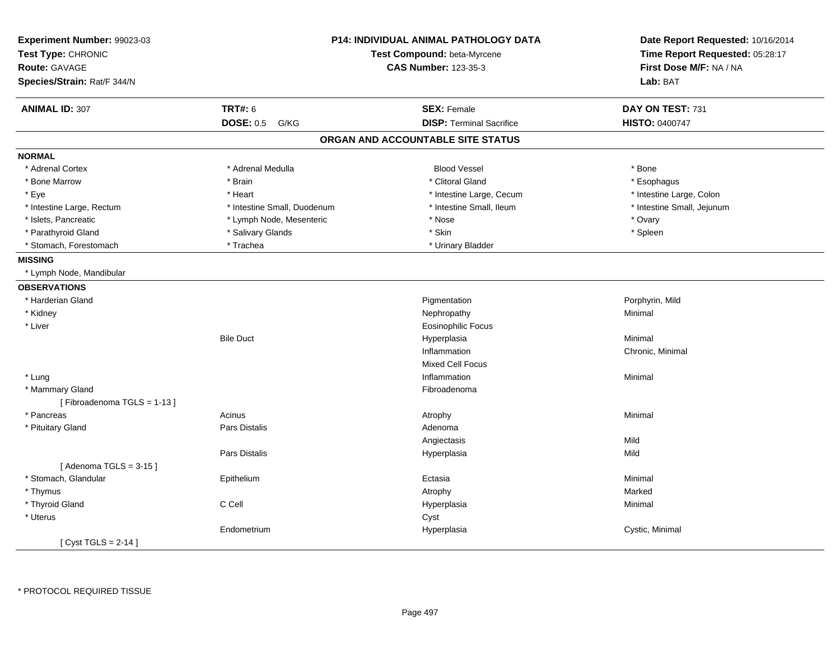| Experiment Number: 99023-03<br>Test Type: CHRONIC<br><b>Route: GAVAGE</b><br>Species/Strain: Rat/F 344/N |                             | P14: INDIVIDUAL ANIMAL PATHOLOGY DATA<br>Test Compound: beta-Myrcene<br><b>CAS Number: 123-35-3</b> | Date Report Requested: 10/16/2014<br>Time Report Requested: 05:28:17<br>First Dose M/F: NA / NA<br>Lab: BAT |  |
|----------------------------------------------------------------------------------------------------------|-----------------------------|-----------------------------------------------------------------------------------------------------|-------------------------------------------------------------------------------------------------------------|--|
| <b>ANIMAL ID: 307</b>                                                                                    | <b>TRT#: 6</b>              | <b>SEX: Female</b>                                                                                  | DAY ON TEST: 731                                                                                            |  |
|                                                                                                          | <b>DOSE: 0.5</b><br>G/KG    | <b>DISP: Terminal Sacrifice</b>                                                                     | <b>HISTO: 0400747</b>                                                                                       |  |
|                                                                                                          |                             | ORGAN AND ACCOUNTABLE SITE STATUS                                                                   |                                                                                                             |  |
| <b>NORMAL</b>                                                                                            |                             |                                                                                                     |                                                                                                             |  |
| * Adrenal Cortex                                                                                         | * Adrenal Medulla           | <b>Blood Vessel</b>                                                                                 | * Bone                                                                                                      |  |
| * Bone Marrow                                                                                            | * Brain                     | * Clitoral Gland                                                                                    | * Esophagus                                                                                                 |  |
| * Eye                                                                                                    | * Heart                     | * Intestine Large, Cecum                                                                            | * Intestine Large, Colon                                                                                    |  |
| * Intestine Large, Rectum                                                                                | * Intestine Small, Duodenum | * Intestine Small, Ileum                                                                            | * Intestine Small, Jejunum                                                                                  |  |
| * Islets, Pancreatic                                                                                     | * Lymph Node, Mesenteric    | * Nose                                                                                              | * Ovary                                                                                                     |  |
| * Parathyroid Gland                                                                                      | * Salivary Glands           | * Skin                                                                                              | * Spleen                                                                                                    |  |
| * Stomach, Forestomach                                                                                   | * Trachea                   | * Urinary Bladder                                                                                   |                                                                                                             |  |
| <b>MISSING</b>                                                                                           |                             |                                                                                                     |                                                                                                             |  |
| * Lymph Node, Mandibular                                                                                 |                             |                                                                                                     |                                                                                                             |  |
| <b>OBSERVATIONS</b>                                                                                      |                             |                                                                                                     |                                                                                                             |  |
| * Harderian Gland                                                                                        |                             | Pigmentation                                                                                        | Porphyrin, Mild                                                                                             |  |
| * Kidney                                                                                                 |                             | Nephropathy                                                                                         | Minimal                                                                                                     |  |
| * Liver                                                                                                  |                             | <b>Eosinophilic Focus</b>                                                                           |                                                                                                             |  |
|                                                                                                          | <b>Bile Duct</b>            | Hyperplasia                                                                                         | Minimal                                                                                                     |  |
|                                                                                                          |                             | Inflammation                                                                                        | Chronic, Minimal                                                                                            |  |
|                                                                                                          |                             | <b>Mixed Cell Focus</b>                                                                             |                                                                                                             |  |
| * Lung                                                                                                   |                             | Inflammation                                                                                        | Minimal                                                                                                     |  |
| * Mammary Gland                                                                                          |                             | Fibroadenoma                                                                                        |                                                                                                             |  |
| [Fibroadenoma TGLS = 1-13]                                                                               |                             |                                                                                                     |                                                                                                             |  |
| * Pancreas                                                                                               | Acinus                      | Atrophy                                                                                             | Minimal                                                                                                     |  |
| * Pituitary Gland                                                                                        | Pars Distalis               | Adenoma                                                                                             |                                                                                                             |  |
|                                                                                                          |                             | Angiectasis                                                                                         | Mild                                                                                                        |  |
|                                                                                                          | <b>Pars Distalis</b>        | Hyperplasia                                                                                         | Mild                                                                                                        |  |
| [Adenoma TGLS = $3-15$ ]                                                                                 |                             |                                                                                                     |                                                                                                             |  |
| * Stomach, Glandular                                                                                     | Epithelium                  | Ectasia                                                                                             | Minimal                                                                                                     |  |
| * Thymus                                                                                                 |                             | Atrophy                                                                                             | Marked                                                                                                      |  |
| * Thyroid Gland                                                                                          | C Cell                      | Hyperplasia                                                                                         | Minimal                                                                                                     |  |
| * Uterus                                                                                                 |                             | Cyst                                                                                                |                                                                                                             |  |
|                                                                                                          | Endometrium                 | Hyperplasia                                                                                         | Cystic, Minimal                                                                                             |  |
| [Cyst TGLS = $2-14$ ]                                                                                    |                             |                                                                                                     |                                                                                                             |  |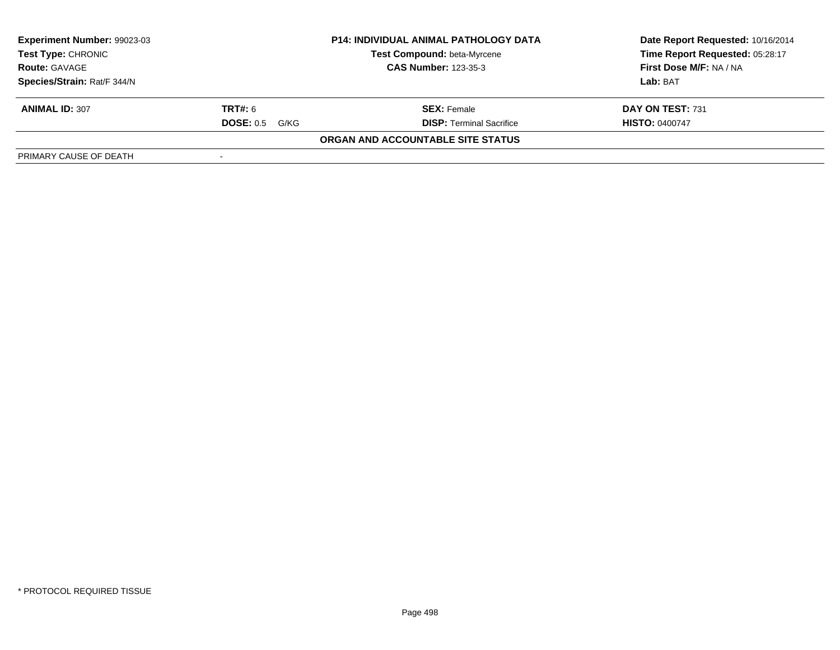| Experiment Number: 99023-03                       |                          | <b>P14: INDIVIDUAL ANIMAL PATHOLOGY DATA</b> | Date Report Requested: 10/16/2014 |  |
|---------------------------------------------------|--------------------------|----------------------------------------------|-----------------------------------|--|
| <b>Test Type: CHRONIC</b><br><b>Route: GAVAGE</b> |                          | Test Compound: beta-Myrcene                  | Time Report Requested: 05:28:17   |  |
|                                                   |                          | <b>CAS Number: 123-35-3</b>                  | First Dose M/F: NA / NA           |  |
| Species/Strain: Rat/F 344/N                       |                          |                                              | Lab: BAT                          |  |
| <b>ANIMAL ID: 307</b>                             | <b>TRT#:</b> 6           | <b>SEX: Female</b>                           | DAY ON TEST: 731                  |  |
|                                                   | <b>DOSE: 0.5</b><br>G/KG | <b>DISP: Terminal Sacrifice</b>              | <b>HISTO: 0400747</b>             |  |
|                                                   |                          | ORGAN AND ACCOUNTABLE SITE STATUS            |                                   |  |
| PRIMARY CAUSE OF DEATH                            |                          |                                              |                                   |  |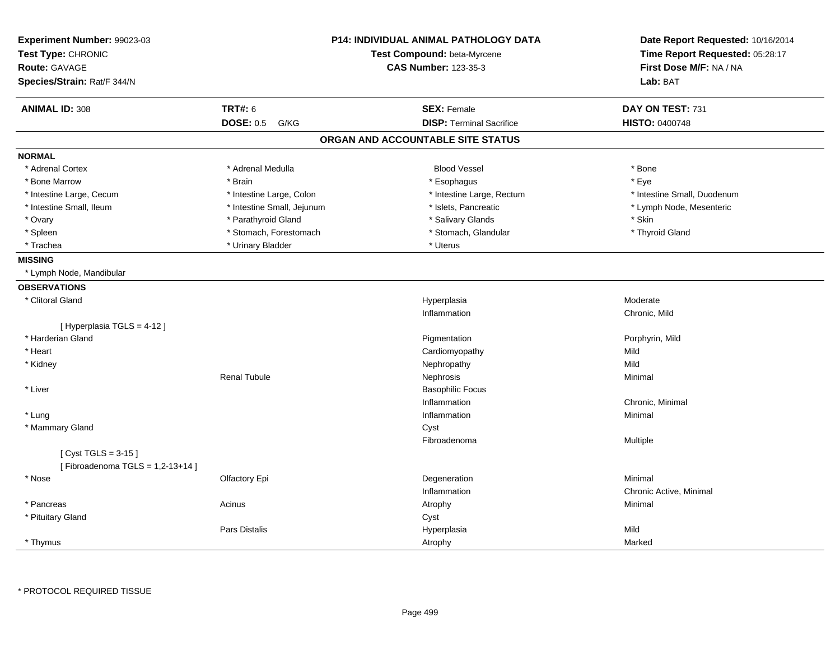| Experiment Number: 99023-03                               |                            | P14: INDIVIDUAL ANIMAL PATHOLOGY DATA | Date Report Requested: 10/16/2014                          |  |
|-----------------------------------------------------------|----------------------------|---------------------------------------|------------------------------------------------------------|--|
| Test Type: CHRONIC                                        |                            | Test Compound: beta-Myrcene           | Time Report Requested: 05:28:17<br>First Dose M/F: NA / NA |  |
| Route: GAVAGE                                             |                            | <b>CAS Number: 123-35-3</b>           |                                                            |  |
| Species/Strain: Rat/F 344/N                               |                            |                                       | Lab: BAT                                                   |  |
| <b>ANIMAL ID: 308</b>                                     | <b>TRT#: 6</b>             | <b>SEX: Female</b>                    | DAY ON TEST: 731                                           |  |
|                                                           | <b>DOSE: 0.5</b><br>G/KG   | <b>DISP: Terminal Sacrifice</b>       | HISTO: 0400748                                             |  |
|                                                           |                            | ORGAN AND ACCOUNTABLE SITE STATUS     |                                                            |  |
| <b>NORMAL</b>                                             |                            |                                       |                                                            |  |
| * Adrenal Cortex                                          | * Adrenal Medulla          | <b>Blood Vessel</b>                   | * Bone                                                     |  |
| * Bone Marrow                                             | * Brain                    | * Esophagus                           | * Eye                                                      |  |
| * Intestine Large, Cecum                                  | * Intestine Large, Colon   | * Intestine Large, Rectum             | * Intestine Small, Duodenum                                |  |
| * Intestine Small, Ileum                                  | * Intestine Small, Jejunum | * Islets, Pancreatic                  | * Lymph Node, Mesenteric                                   |  |
| * Ovary                                                   | * Parathyroid Gland        | * Salivary Glands                     | * Skin                                                     |  |
| * Spleen                                                  | * Stomach, Forestomach     | * Stomach, Glandular                  | * Thyroid Gland                                            |  |
| * Trachea                                                 | * Urinary Bladder          | * Uterus                              |                                                            |  |
| <b>MISSING</b>                                            |                            |                                       |                                                            |  |
| * Lymph Node, Mandibular                                  |                            |                                       |                                                            |  |
| <b>OBSERVATIONS</b>                                       |                            |                                       |                                                            |  |
| * Clitoral Gland                                          |                            | Hyperplasia                           | Moderate                                                   |  |
|                                                           |                            | Inflammation                          | Chronic, Mild                                              |  |
| [ Hyperplasia TGLS = 4-12 ]                               |                            |                                       |                                                            |  |
| * Harderian Gland                                         |                            | Pigmentation                          | Porphyrin, Mild                                            |  |
| * Heart                                                   |                            | Cardiomyopathy                        | Mild                                                       |  |
| * Kidney                                                  |                            | Nephropathy                           | Mild                                                       |  |
|                                                           | <b>Renal Tubule</b>        | Nephrosis                             | Minimal                                                    |  |
| * Liver                                                   |                            | <b>Basophilic Focus</b>               |                                                            |  |
|                                                           |                            | Inflammation                          | Chronic, Minimal                                           |  |
| * Lung                                                    |                            | Inflammation                          | Minimal                                                    |  |
| * Mammary Gland                                           |                            | Cyst                                  |                                                            |  |
|                                                           |                            | Fibroadenoma                          | Multiple                                                   |  |
| [ $Cyst TGLS = 3-15$ ]<br>[Fibroadenoma TGLS = 1,2-13+14] |                            |                                       |                                                            |  |
| * Nose                                                    | Olfactory Epi              | Degeneration                          | Minimal                                                    |  |
|                                                           |                            | Inflammation                          | Chronic Active, Minimal                                    |  |
| * Pancreas                                                | Acinus                     | Atrophy                               | Minimal                                                    |  |
| * Pituitary Gland                                         |                            | Cyst                                  |                                                            |  |
|                                                           | Pars Distalis              | Hyperplasia                           | Mild                                                       |  |
| * Thymus                                                  |                            | Atrophy                               | Marked                                                     |  |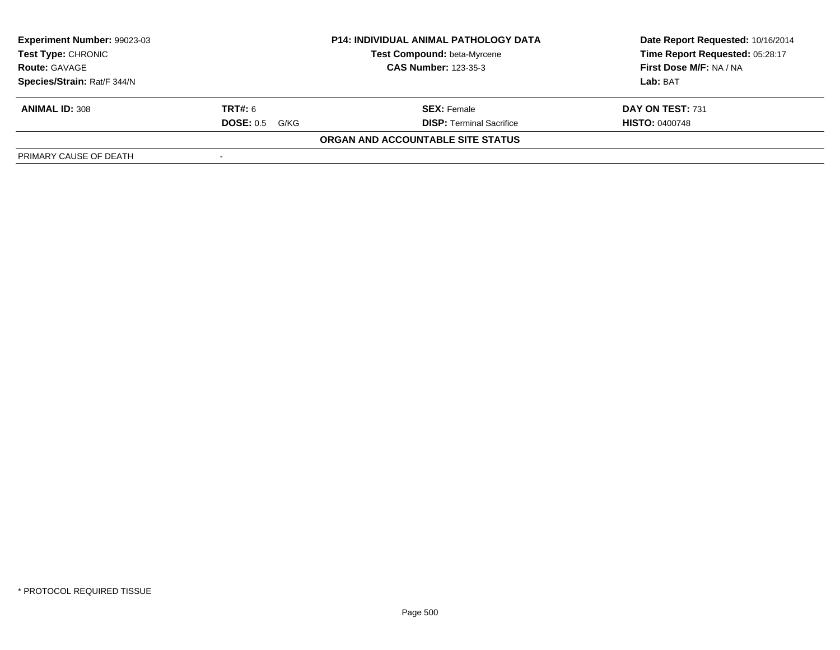| Experiment Number: 99023-03                       |                          | <b>P14: INDIVIDUAL ANIMAL PATHOLOGY DATA</b> | Date Report Requested: 10/16/2014 |  |
|---------------------------------------------------|--------------------------|----------------------------------------------|-----------------------------------|--|
| <b>Test Type: CHRONIC</b><br><b>Route: GAVAGE</b> |                          | Test Compound: beta-Myrcene                  | Time Report Requested: 05:28:17   |  |
|                                                   |                          | <b>CAS Number: 123-35-3</b>                  | First Dose M/F: NA / NA           |  |
| Species/Strain: Rat/F 344/N                       |                          |                                              | Lab: BAT                          |  |
| <b>ANIMAL ID: 308</b>                             | <b>TRT#:</b> 6           | <b>SEX: Female</b>                           | DAY ON TEST: 731                  |  |
|                                                   | <b>DOSE: 0.5</b><br>G/KG | <b>DISP: Terminal Sacrifice</b>              | <b>HISTO: 0400748</b>             |  |
|                                                   |                          | ORGAN AND ACCOUNTABLE SITE STATUS            |                                   |  |
| PRIMARY CAUSE OF DEATH                            |                          |                                              |                                   |  |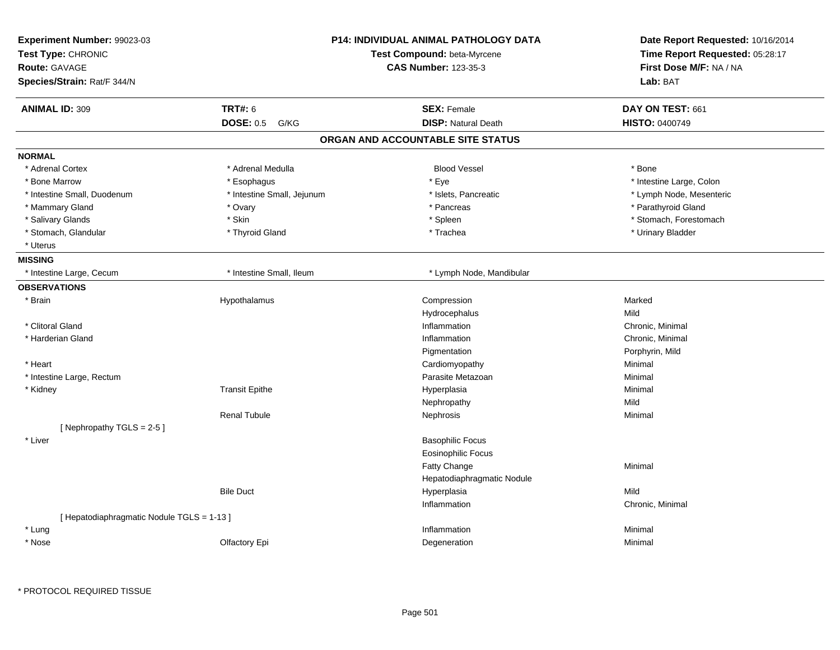| Experiment Number: 99023-03<br>Test Type: CHRONIC<br><b>Route: GAVAGE</b><br>Species/Strain: Rat/F 344/N | P14: INDIVIDUAL ANIMAL PATHOLOGY DATA<br>Test Compound: beta-Myrcene<br><b>CAS Number: 123-35-3</b> |                                   | Date Report Requested: 10/16/2014<br>Time Report Requested: 05:28:17<br>First Dose M/F: NA / NA<br>Lab: BAT |  |
|----------------------------------------------------------------------------------------------------------|-----------------------------------------------------------------------------------------------------|-----------------------------------|-------------------------------------------------------------------------------------------------------------|--|
| <b>ANIMAL ID: 309</b>                                                                                    | <b>TRT#: 6</b>                                                                                      | <b>SEX: Female</b>                | DAY ON TEST: 661                                                                                            |  |
|                                                                                                          | <b>DOSE: 0.5</b><br>G/KG                                                                            | <b>DISP: Natural Death</b>        | HISTO: 0400749                                                                                              |  |
|                                                                                                          |                                                                                                     | ORGAN AND ACCOUNTABLE SITE STATUS |                                                                                                             |  |
| <b>NORMAL</b>                                                                                            |                                                                                                     |                                   |                                                                                                             |  |
| * Adrenal Cortex                                                                                         | * Adrenal Medulla                                                                                   | <b>Blood Vessel</b>               | * Bone                                                                                                      |  |
| * Bone Marrow                                                                                            | * Esophagus                                                                                         | * Eye                             | * Intestine Large, Colon                                                                                    |  |
| * Intestine Small, Duodenum                                                                              | * Intestine Small, Jejunum                                                                          | * Islets, Pancreatic              | * Lymph Node, Mesenteric                                                                                    |  |
| * Mammary Gland                                                                                          | * Ovary                                                                                             | * Pancreas                        | * Parathyroid Gland                                                                                         |  |
| * Salivary Glands                                                                                        | * Skin                                                                                              | * Spleen                          | * Stomach, Forestomach                                                                                      |  |
| * Stomach, Glandular                                                                                     | * Thyroid Gland                                                                                     | * Trachea                         | * Urinary Bladder                                                                                           |  |
| * Uterus                                                                                                 |                                                                                                     |                                   |                                                                                                             |  |
| <b>MISSING</b>                                                                                           |                                                                                                     |                                   |                                                                                                             |  |
| * Intestine Large, Cecum                                                                                 | * Intestine Small, Ileum                                                                            | * Lymph Node, Mandibular          |                                                                                                             |  |
| <b>OBSERVATIONS</b>                                                                                      |                                                                                                     |                                   |                                                                                                             |  |
| * Brain                                                                                                  | Hypothalamus                                                                                        | Compression                       | Marked                                                                                                      |  |
|                                                                                                          |                                                                                                     | Hydrocephalus                     | Mild                                                                                                        |  |
| * Clitoral Gland                                                                                         |                                                                                                     | Inflammation                      | Chronic, Minimal                                                                                            |  |
| * Harderian Gland                                                                                        |                                                                                                     | Inflammation                      | Chronic, Minimal                                                                                            |  |
|                                                                                                          |                                                                                                     | Pigmentation                      | Porphyrin, Mild                                                                                             |  |
| * Heart                                                                                                  |                                                                                                     | Cardiomyopathy                    | Minimal                                                                                                     |  |
| * Intestine Large, Rectum                                                                                |                                                                                                     | Parasite Metazoan                 | Minimal                                                                                                     |  |
| * Kidney                                                                                                 | <b>Transit Epithe</b>                                                                               | Hyperplasia                       | Minimal                                                                                                     |  |
|                                                                                                          |                                                                                                     | Nephropathy                       | Mild                                                                                                        |  |
|                                                                                                          | <b>Renal Tubule</b>                                                                                 | Nephrosis                         | Minimal                                                                                                     |  |
| [Nephropathy TGLS = 2-5]                                                                                 |                                                                                                     |                                   |                                                                                                             |  |
| * Liver                                                                                                  |                                                                                                     | <b>Basophilic Focus</b>           |                                                                                                             |  |
|                                                                                                          |                                                                                                     | <b>Eosinophilic Focus</b>         |                                                                                                             |  |
|                                                                                                          |                                                                                                     | Fatty Change                      | Minimal                                                                                                     |  |
|                                                                                                          |                                                                                                     | Hepatodiaphragmatic Nodule        |                                                                                                             |  |
|                                                                                                          | <b>Bile Duct</b>                                                                                    | Hyperplasia                       | Mild                                                                                                        |  |
|                                                                                                          |                                                                                                     | Inflammation                      | Chronic, Minimal                                                                                            |  |
| [ Hepatodiaphragmatic Nodule TGLS = 1-13 ]                                                               |                                                                                                     |                                   |                                                                                                             |  |
| * Lung                                                                                                   |                                                                                                     | Inflammation                      | Minimal                                                                                                     |  |
| * Nose                                                                                                   | Olfactory Epi                                                                                       | Degeneration                      | Minimal                                                                                                     |  |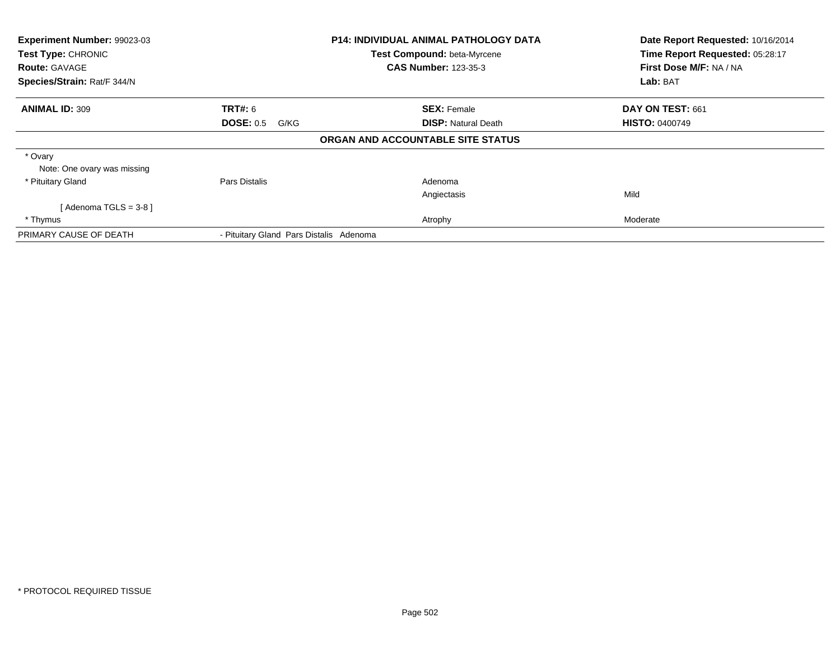| <b>Experiment Number: 99023-03</b><br>Test Type: CHRONIC<br><b>Route: GAVAGE</b> |                                         | <b>P14: INDIVIDUAL ANIMAL PATHOLOGY DATA</b><br>Test Compound: beta-Myrcene<br><b>CAS Number: 123-35-3</b> | Date Report Requested: 10/16/2014<br>Time Report Requested: 05:28:17<br>First Dose M/F: NA / NA |  |
|----------------------------------------------------------------------------------|-----------------------------------------|------------------------------------------------------------------------------------------------------------|-------------------------------------------------------------------------------------------------|--|
| Species/Strain: Rat/F 344/N                                                      |                                         |                                                                                                            | Lab: BAT                                                                                        |  |
| <b>ANIMAL ID: 309</b>                                                            | <b>TRT#:</b> 6                          | <b>SEX: Female</b>                                                                                         | DAY ON TEST: 661                                                                                |  |
|                                                                                  | <b>DOSE: 0.5</b><br>G/KG                | <b>DISP:</b> Natural Death                                                                                 | <b>HISTO: 0400749</b>                                                                           |  |
|                                                                                  |                                         | ORGAN AND ACCOUNTABLE SITE STATUS                                                                          |                                                                                                 |  |
| * Ovary<br>Note: One ovary was missing                                           |                                         |                                                                                                            |                                                                                                 |  |
| * Pituitary Gland                                                                | Pars Distalis                           | Adenoma                                                                                                    |                                                                                                 |  |
|                                                                                  |                                         | Angiectasis                                                                                                | Mild                                                                                            |  |
| [Adenoma TGLS = $3-8$ ]                                                          |                                         |                                                                                                            |                                                                                                 |  |
| * Thymus                                                                         |                                         | Atrophy                                                                                                    | Moderate                                                                                        |  |
| PRIMARY CAUSE OF DEATH                                                           | - Pituitary Gland Pars Distalis Adenoma |                                                                                                            |                                                                                                 |  |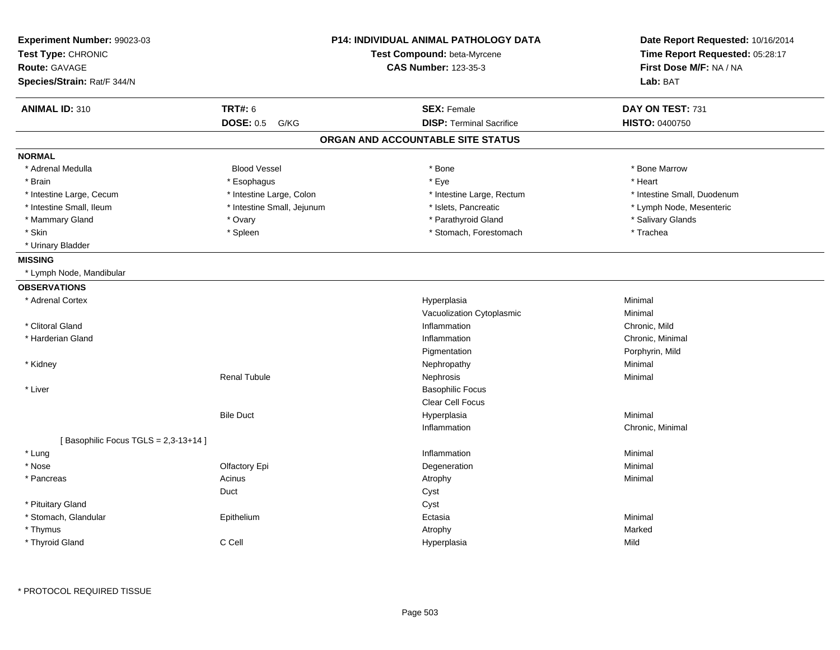| Experiment Number: 99023-03<br>Test Type: CHRONIC<br><b>Route: GAVAGE</b><br>Species/Strain: Rat/F 344/N | <b>P14: INDIVIDUAL ANIMAL PATHOLOGY DATA</b><br>Test Compound: beta-Myrcene<br><b>CAS Number: 123-35-3</b> |  | Date Report Requested: 10/16/2014<br>Time Report Requested: 05:28:17<br>First Dose M/F: NA / NA<br>Lab: BAT |                             |
|----------------------------------------------------------------------------------------------------------|------------------------------------------------------------------------------------------------------------|--|-------------------------------------------------------------------------------------------------------------|-----------------------------|
| <b>ANIMAL ID: 310</b>                                                                                    | <b>TRT#: 6</b>                                                                                             |  | <b>SEX: Female</b>                                                                                          | DAY ON TEST: 731            |
|                                                                                                          | <b>DOSE: 0.5</b><br>G/KG                                                                                   |  | <b>DISP: Terminal Sacrifice</b>                                                                             | <b>HISTO: 0400750</b>       |
|                                                                                                          |                                                                                                            |  | ORGAN AND ACCOUNTABLE SITE STATUS                                                                           |                             |
| <b>NORMAL</b>                                                                                            |                                                                                                            |  |                                                                                                             |                             |
| * Adrenal Medulla                                                                                        | <b>Blood Vessel</b>                                                                                        |  | * Bone                                                                                                      | * Bone Marrow               |
| * Brain                                                                                                  | * Esophagus                                                                                                |  | * Eye                                                                                                       | * Heart                     |
| * Intestine Large, Cecum                                                                                 | * Intestine Large, Colon                                                                                   |  | * Intestine Large, Rectum                                                                                   | * Intestine Small, Duodenum |
| * Intestine Small, Ileum                                                                                 | * Intestine Small, Jejunum                                                                                 |  | * Islets, Pancreatic                                                                                        | * Lymph Node, Mesenteric    |
| * Mammary Gland                                                                                          | * Ovary                                                                                                    |  | * Parathyroid Gland                                                                                         | * Salivary Glands           |
| * Skin                                                                                                   | * Spleen                                                                                                   |  | * Stomach, Forestomach                                                                                      | * Trachea                   |
| * Urinary Bladder                                                                                        |                                                                                                            |  |                                                                                                             |                             |
| <b>MISSING</b>                                                                                           |                                                                                                            |  |                                                                                                             |                             |
| * Lymph Node, Mandibular                                                                                 |                                                                                                            |  |                                                                                                             |                             |
| <b>OBSERVATIONS</b>                                                                                      |                                                                                                            |  |                                                                                                             |                             |
| * Adrenal Cortex                                                                                         |                                                                                                            |  | Hyperplasia                                                                                                 | Minimal                     |
|                                                                                                          |                                                                                                            |  | Vacuolization Cytoplasmic                                                                                   | Minimal                     |
| * Clitoral Gland                                                                                         |                                                                                                            |  | Inflammation                                                                                                | Chronic, Mild               |
| * Harderian Gland                                                                                        |                                                                                                            |  | Inflammation                                                                                                | Chronic, Minimal            |
|                                                                                                          |                                                                                                            |  | Pigmentation                                                                                                | Porphyrin, Mild             |
| * Kidney                                                                                                 |                                                                                                            |  | Nephropathy                                                                                                 | Minimal                     |
|                                                                                                          | <b>Renal Tubule</b>                                                                                        |  | Nephrosis                                                                                                   | Minimal                     |
| * Liver                                                                                                  |                                                                                                            |  | <b>Basophilic Focus</b>                                                                                     |                             |
|                                                                                                          |                                                                                                            |  | Clear Cell Focus                                                                                            |                             |
|                                                                                                          | <b>Bile Duct</b>                                                                                           |  | Hyperplasia                                                                                                 | Minimal                     |
|                                                                                                          |                                                                                                            |  | Inflammation                                                                                                | Chronic, Minimal            |
| [Basophilic Focus TGLS = 2,3-13+14]                                                                      |                                                                                                            |  |                                                                                                             |                             |
| * Lung                                                                                                   |                                                                                                            |  | Inflammation                                                                                                | Minimal                     |
| * Nose                                                                                                   | Olfactory Epi                                                                                              |  | Degeneration                                                                                                | Minimal                     |
| * Pancreas                                                                                               | Acinus                                                                                                     |  | Atrophy                                                                                                     | Minimal                     |
|                                                                                                          | Duct                                                                                                       |  | Cyst                                                                                                        |                             |
| * Pituitary Gland                                                                                        |                                                                                                            |  | Cyst                                                                                                        |                             |
| * Stomach, Glandular                                                                                     | Epithelium                                                                                                 |  | Ectasia                                                                                                     | Minimal                     |
| * Thymus                                                                                                 |                                                                                                            |  | Atrophy                                                                                                     | Marked                      |
| * Thyroid Gland                                                                                          | C Cell                                                                                                     |  | Hyperplasia                                                                                                 | Mild                        |

\* PROTOCOL REQUIRED TISSUE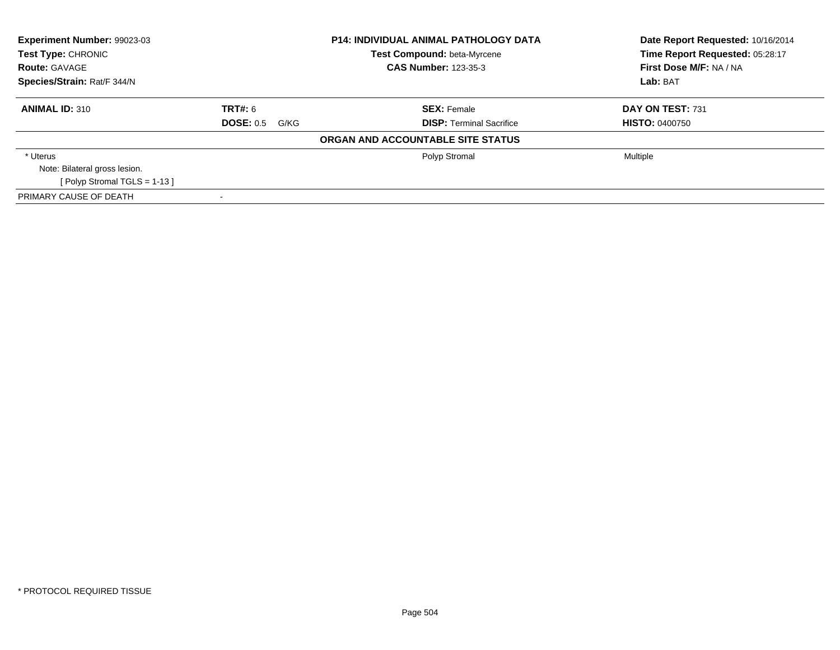| <b>Experiment Number: 99023-03</b><br>Test Type: CHRONIC |                          | <b>P14: INDIVIDUAL ANIMAL PATHOLOGY DATA</b> | Date Report Requested: 10/16/2014 |  |
|----------------------------------------------------------|--------------------------|----------------------------------------------|-----------------------------------|--|
|                                                          |                          | <b>Test Compound: beta-Myrcene</b>           | Time Report Requested: 05:28:17   |  |
| <b>Route: GAVAGE</b>                                     |                          | <b>CAS Number: 123-35-3</b>                  | First Dose M/F: NA / NA           |  |
| Species/Strain: Rat/F 344/N                              |                          |                                              | Lab: BAT                          |  |
| <b>ANIMAL ID: 310</b>                                    | TRT#: 6                  | <b>SEX: Female</b>                           | DAY ON TEST: 731                  |  |
|                                                          | <b>DOSE: 0.5</b><br>G/KG | <b>DISP:</b> Terminal Sacrifice              | <b>HISTO: 0400750</b>             |  |
|                                                          |                          | ORGAN AND ACCOUNTABLE SITE STATUS            |                                   |  |
| * Uterus                                                 |                          | Polyp Stromal                                | Multiple                          |  |
| Note: Bilateral gross lesion.                            |                          |                                              |                                   |  |
| [ Polyp Stromal TGLS = $1-13$ ]                          |                          |                                              |                                   |  |
| PRIMARY CAUSE OF DEATH                                   |                          |                                              |                                   |  |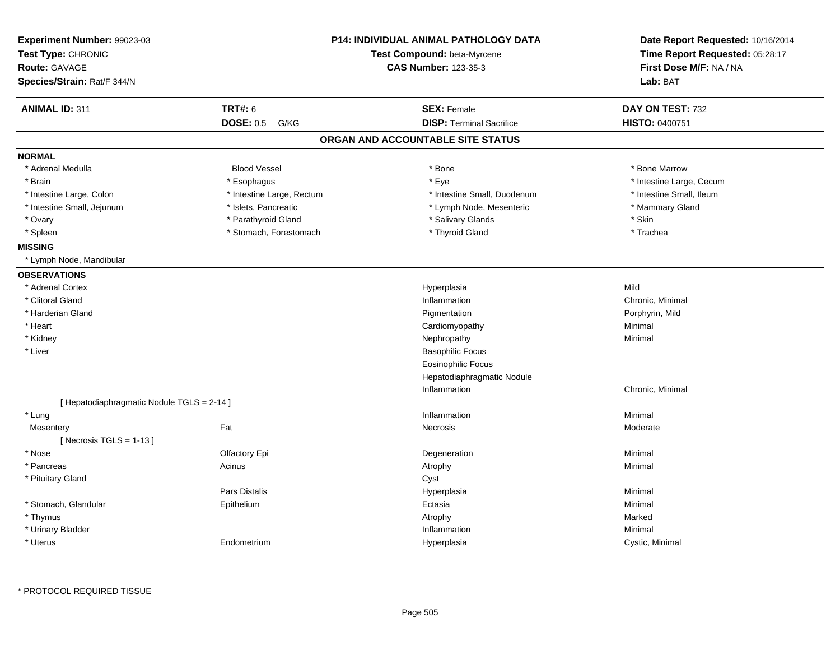| Experiment Number: 99023-03<br>Test Type: CHRONIC<br><b>Route: GAVAGE</b><br>Species/Strain: Rat/F 344/N |                           | <b>P14: INDIVIDUAL ANIMAL PATHOLOGY DATA</b><br>Test Compound: beta-Myrcene<br><b>CAS Number: 123-35-3</b> | Date Report Requested: 10/16/2014<br>Time Report Requested: 05:28:17<br>First Dose M/F: NA / NA<br>Lab: BAT |
|----------------------------------------------------------------------------------------------------------|---------------------------|------------------------------------------------------------------------------------------------------------|-------------------------------------------------------------------------------------------------------------|
|                                                                                                          |                           |                                                                                                            |                                                                                                             |
| <b>ANIMAL ID: 311</b>                                                                                    | <b>TRT#: 6</b>            | <b>SEX: Female</b>                                                                                         | DAY ON TEST: 732                                                                                            |
|                                                                                                          | <b>DOSE: 0.5</b><br>G/KG  | <b>DISP: Terminal Sacrifice</b>                                                                            | HISTO: 0400751                                                                                              |
|                                                                                                          |                           | ORGAN AND ACCOUNTABLE SITE STATUS                                                                          |                                                                                                             |
| <b>NORMAL</b>                                                                                            |                           |                                                                                                            |                                                                                                             |
| * Adrenal Medulla                                                                                        | <b>Blood Vessel</b>       | * Bone                                                                                                     | * Bone Marrow                                                                                               |
| * Brain                                                                                                  | * Esophagus               | * Eye                                                                                                      | * Intestine Large, Cecum                                                                                    |
| * Intestine Large, Colon                                                                                 | * Intestine Large, Rectum | * Intestine Small, Duodenum                                                                                | * Intestine Small, Ileum                                                                                    |
| * Intestine Small, Jejunum                                                                               | * Islets, Pancreatic      | * Lymph Node, Mesenteric                                                                                   | * Mammary Gland                                                                                             |
| * Ovary                                                                                                  | * Parathyroid Gland       | * Salivary Glands                                                                                          | * Skin                                                                                                      |
| * Spleen                                                                                                 | * Stomach, Forestomach    | * Thyroid Gland                                                                                            | * Trachea                                                                                                   |
| <b>MISSING</b>                                                                                           |                           |                                                                                                            |                                                                                                             |
| * Lymph Node, Mandibular                                                                                 |                           |                                                                                                            |                                                                                                             |
| <b>OBSERVATIONS</b>                                                                                      |                           |                                                                                                            |                                                                                                             |
| * Adrenal Cortex                                                                                         |                           | Hyperplasia                                                                                                | Mild                                                                                                        |
| * Clitoral Gland                                                                                         |                           | Inflammation                                                                                               | Chronic, Minimal                                                                                            |
| * Harderian Gland                                                                                        |                           | Pigmentation                                                                                               | Porphyrin, Mild                                                                                             |
| * Heart                                                                                                  |                           | Cardiomyopathy                                                                                             | Minimal                                                                                                     |
| * Kidney                                                                                                 |                           | Nephropathy                                                                                                | Minimal                                                                                                     |
| * Liver                                                                                                  |                           | <b>Basophilic Focus</b>                                                                                    |                                                                                                             |
|                                                                                                          |                           | <b>Eosinophilic Focus</b>                                                                                  |                                                                                                             |
|                                                                                                          |                           | Hepatodiaphragmatic Nodule                                                                                 |                                                                                                             |
|                                                                                                          |                           | Inflammation                                                                                               | Chronic, Minimal                                                                                            |
| [ Hepatodiaphragmatic Nodule TGLS = 2-14 ]                                                               |                           |                                                                                                            |                                                                                                             |
| * Lung                                                                                                   |                           | Inflammation                                                                                               | Minimal                                                                                                     |
| Mesentery                                                                                                | Fat                       | Necrosis                                                                                                   | Moderate                                                                                                    |
| [Necrosis TGLS = $1-13$ ]                                                                                |                           |                                                                                                            |                                                                                                             |
| * Nose                                                                                                   | Olfactory Epi             | Degeneration                                                                                               | Minimal                                                                                                     |
| * Pancreas                                                                                               | Acinus                    | Atrophy                                                                                                    | Minimal                                                                                                     |
| * Pituitary Gland                                                                                        |                           | Cyst                                                                                                       |                                                                                                             |
|                                                                                                          | Pars Distalis             | Hyperplasia                                                                                                | Minimal                                                                                                     |
| * Stomach, Glandular                                                                                     | Epithelium                | Ectasia                                                                                                    | Minimal                                                                                                     |
| * Thymus                                                                                                 |                           | Atrophy                                                                                                    | Marked                                                                                                      |
| * Urinary Bladder                                                                                        |                           | Inflammation                                                                                               | Minimal                                                                                                     |
| * Uterus                                                                                                 | Endometrium               | Hyperplasia                                                                                                | Cystic, Minimal                                                                                             |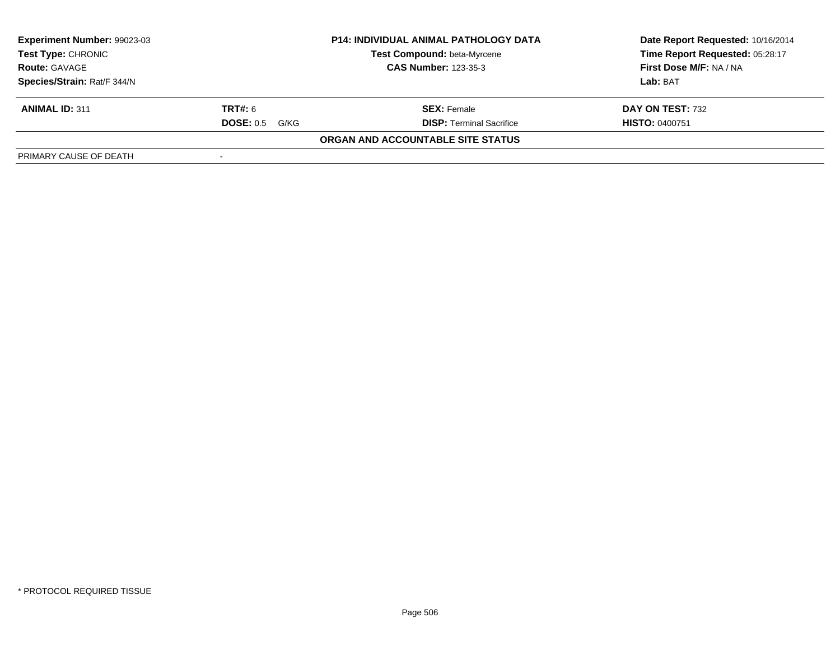| Experiment Number: 99023-03 |                             | <b>P14: INDIVIDUAL ANIMAL PATHOLOGY DATA</b> | Date Report Requested: 10/16/2014 |
|-----------------------------|-----------------------------|----------------------------------------------|-----------------------------------|
| <b>Test Type: CHRONIC</b>   |                             | Test Compound: beta-Myrcene                  | Time Report Requested: 05:28:17   |
| <b>Route: GAVAGE</b>        | <b>CAS Number: 123-35-3</b> |                                              | First Dose M/F: NA / NA           |
| Species/Strain: Rat/F 344/N |                             |                                              | Lab: BAT                          |
| <b>ANIMAL ID: 311</b>       | <b>TRT#:</b> 6              | <b>SEX: Female</b>                           | DAY ON TEST: 732                  |
|                             | <b>DOSE: 0.5</b><br>G/KG    | <b>DISP: Terminal Sacrifice</b>              | <b>HISTO: 0400751</b>             |
|                             |                             | ORGAN AND ACCOUNTABLE SITE STATUS            |                                   |
| PRIMARY CAUSE OF DEATH      |                             |                                              |                                   |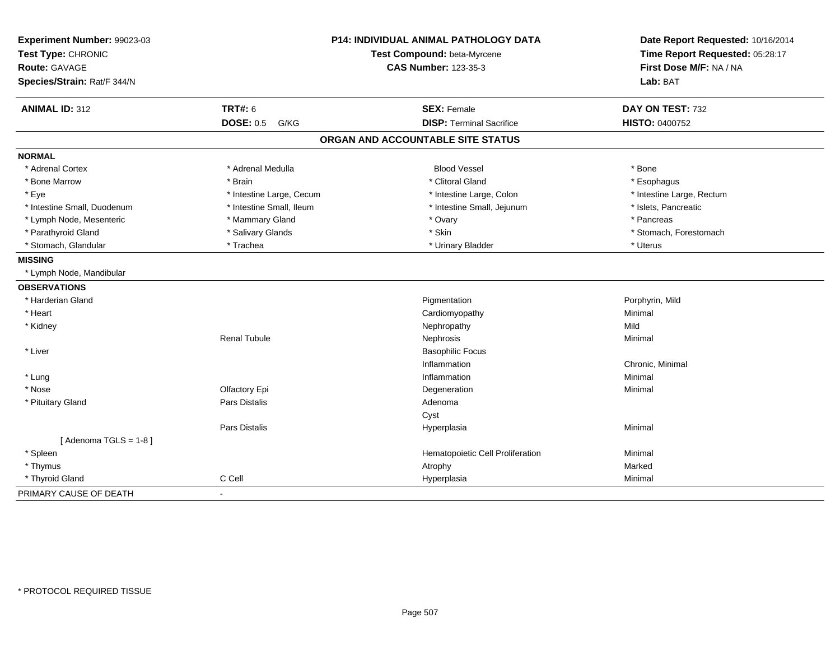| Experiment Number: 99023-03<br>Test Type: CHRONIC<br>Route: GAVAGE<br>Species/Strain: Rat/F 344/N | P14: INDIVIDUAL ANIMAL PATHOLOGY DATA<br>Test Compound: beta-Myrcene<br><b>CAS Number: 123-35-3</b> |                                   | Date Report Requested: 10/16/2014<br>Time Report Requested: 05:28:17<br>First Dose M/F: NA / NA<br>Lab: BAT |  |
|---------------------------------------------------------------------------------------------------|-----------------------------------------------------------------------------------------------------|-----------------------------------|-------------------------------------------------------------------------------------------------------------|--|
| <b>ANIMAL ID: 312</b>                                                                             | <b>TRT#: 6</b>                                                                                      | <b>SEX: Female</b>                | DAY ON TEST: 732                                                                                            |  |
|                                                                                                   | <b>DOSE: 0.5</b><br>G/KG                                                                            | <b>DISP: Terminal Sacrifice</b>   | <b>HISTO: 0400752</b>                                                                                       |  |
|                                                                                                   |                                                                                                     | ORGAN AND ACCOUNTABLE SITE STATUS |                                                                                                             |  |
| <b>NORMAL</b>                                                                                     |                                                                                                     |                                   |                                                                                                             |  |
| * Adrenal Cortex                                                                                  | * Adrenal Medulla                                                                                   | <b>Blood Vessel</b>               | * Bone                                                                                                      |  |
| * Bone Marrow                                                                                     | * Brain                                                                                             | * Clitoral Gland                  | * Esophagus                                                                                                 |  |
| * Eye                                                                                             | * Intestine Large, Cecum                                                                            | * Intestine Large, Colon          | * Intestine Large, Rectum                                                                                   |  |
| * Intestine Small, Duodenum                                                                       | * Intestine Small, Ileum                                                                            | * Intestine Small, Jejunum        | * Islets, Pancreatic                                                                                        |  |
| * Lymph Node, Mesenteric                                                                          | * Mammary Gland                                                                                     | * Ovary                           | * Pancreas                                                                                                  |  |
| * Parathyroid Gland                                                                               | * Salivary Glands                                                                                   | * Skin                            | * Stomach, Forestomach                                                                                      |  |
| * Stomach, Glandular                                                                              | * Trachea                                                                                           | * Urinary Bladder                 | * Uterus                                                                                                    |  |
| <b>MISSING</b>                                                                                    |                                                                                                     |                                   |                                                                                                             |  |
| * Lymph Node, Mandibular                                                                          |                                                                                                     |                                   |                                                                                                             |  |
| <b>OBSERVATIONS</b>                                                                               |                                                                                                     |                                   |                                                                                                             |  |
| * Harderian Gland                                                                                 |                                                                                                     | Pigmentation                      | Porphyrin, Mild                                                                                             |  |
| * Heart                                                                                           |                                                                                                     | Cardiomyopathy                    | Minimal                                                                                                     |  |
| * Kidney                                                                                          |                                                                                                     | Nephropathy                       | Mild                                                                                                        |  |
|                                                                                                   | <b>Renal Tubule</b>                                                                                 | Nephrosis                         | Minimal                                                                                                     |  |
| * Liver                                                                                           |                                                                                                     | <b>Basophilic Focus</b>           |                                                                                                             |  |
|                                                                                                   |                                                                                                     | Inflammation                      | Chronic, Minimal                                                                                            |  |
| * Lung                                                                                            |                                                                                                     | Inflammation                      | Minimal                                                                                                     |  |
| * Nose                                                                                            | Olfactory Epi                                                                                       | Degeneration                      | Minimal                                                                                                     |  |
| * Pituitary Gland                                                                                 | Pars Distalis                                                                                       | Adenoma                           |                                                                                                             |  |
|                                                                                                   |                                                                                                     | Cyst                              |                                                                                                             |  |
|                                                                                                   | Pars Distalis                                                                                       | Hyperplasia                       | Minimal                                                                                                     |  |
| [Adenoma TGLS = $1-8$ ]                                                                           |                                                                                                     |                                   |                                                                                                             |  |
| * Spleen                                                                                          |                                                                                                     | Hematopoietic Cell Proliferation  | Minimal                                                                                                     |  |
| * Thymus                                                                                          |                                                                                                     | Atrophy                           | Marked                                                                                                      |  |
| * Thyroid Gland                                                                                   | C Cell                                                                                              | Hyperplasia                       | Minimal                                                                                                     |  |
| PRIMARY CAUSE OF DEATH                                                                            | $\blacksquare$                                                                                      |                                   |                                                                                                             |  |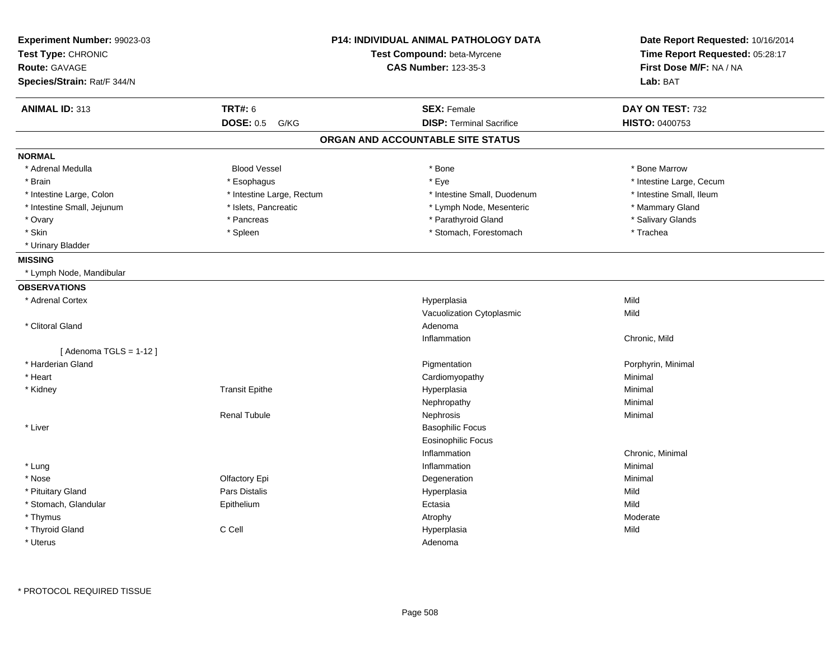| Experiment Number: 99023-03 |                           | <b>P14: INDIVIDUAL ANIMAL PATHOLOGY DATA</b> | Date Report Requested: 10/16/2014                          |  |
|-----------------------------|---------------------------|----------------------------------------------|------------------------------------------------------------|--|
| Test Type: CHRONIC          |                           | Test Compound: beta-Myrcene                  | Time Report Requested: 05:28:17<br>First Dose M/F: NA / NA |  |
| <b>Route: GAVAGE</b>        |                           | <b>CAS Number: 123-35-3</b>                  |                                                            |  |
| Species/Strain: Rat/F 344/N |                           |                                              | Lab: BAT                                                   |  |
| <b>ANIMAL ID: 313</b>       | <b>TRT#: 6</b>            | <b>SEX: Female</b>                           | DAY ON TEST: 732                                           |  |
|                             | <b>DOSE: 0.5</b><br>G/KG  | <b>DISP: Terminal Sacrifice</b>              | <b>HISTO: 0400753</b>                                      |  |
|                             |                           | ORGAN AND ACCOUNTABLE SITE STATUS            |                                                            |  |
| <b>NORMAL</b>               |                           |                                              |                                                            |  |
| * Adrenal Medulla           | <b>Blood Vessel</b>       | * Bone                                       | * Bone Marrow                                              |  |
| * Brain                     | * Esophagus               | * Eye                                        | * Intestine Large, Cecum                                   |  |
| * Intestine Large, Colon    | * Intestine Large, Rectum | * Intestine Small, Duodenum                  | * Intestine Small, Ileum                                   |  |
| * Intestine Small, Jejunum  | * Islets, Pancreatic      | * Lymph Node, Mesenteric                     | * Mammary Gland                                            |  |
| * Ovary                     | * Pancreas                | * Parathyroid Gland                          | * Salivary Glands                                          |  |
| * Skin                      | * Spleen                  | * Stomach, Forestomach                       | * Trachea                                                  |  |
| * Urinary Bladder           |                           |                                              |                                                            |  |
| <b>MISSING</b>              |                           |                                              |                                                            |  |
| * Lymph Node, Mandibular    |                           |                                              |                                                            |  |
| <b>OBSERVATIONS</b>         |                           |                                              |                                                            |  |
| * Adrenal Cortex            |                           | Hyperplasia                                  | Mild                                                       |  |
|                             |                           | Vacuolization Cytoplasmic                    | Mild                                                       |  |
| * Clitoral Gland            |                           | Adenoma                                      |                                                            |  |
|                             |                           | Inflammation                                 | Chronic, Mild                                              |  |
| [Adenoma TGLS = $1-12$ ]    |                           |                                              |                                                            |  |
| * Harderian Gland           |                           | Pigmentation                                 | Porphyrin, Minimal                                         |  |
| * Heart                     |                           | Cardiomyopathy                               | Minimal                                                    |  |
| * Kidney                    | <b>Transit Epithe</b>     | Hyperplasia                                  | Minimal                                                    |  |
|                             |                           | Nephropathy                                  | Minimal                                                    |  |
|                             | <b>Renal Tubule</b>       | Nephrosis                                    | Minimal                                                    |  |
| $*$ Liver                   |                           | <b>Basophilic Focus</b>                      |                                                            |  |
|                             |                           | <b>Eosinophilic Focus</b>                    |                                                            |  |
|                             |                           | Inflammation                                 | Chronic, Minimal                                           |  |
| * Lung                      |                           | Inflammation                                 | Minimal                                                    |  |
| * Nose                      | Olfactory Epi             | Degeneration                                 | Minimal                                                    |  |
| * Pituitary Gland           | Pars Distalis             | Hyperplasia                                  | Mild                                                       |  |
| * Stomach, Glandular        | Epithelium                | Ectasia                                      | Mild                                                       |  |
| * Thymus                    |                           | Atrophy                                      | Moderate                                                   |  |
| * Thyroid Gland             | C Cell                    | Hyperplasia                                  | Mild                                                       |  |
| * Uterus                    |                           | Adenoma                                      |                                                            |  |
|                             |                           |                                              |                                                            |  |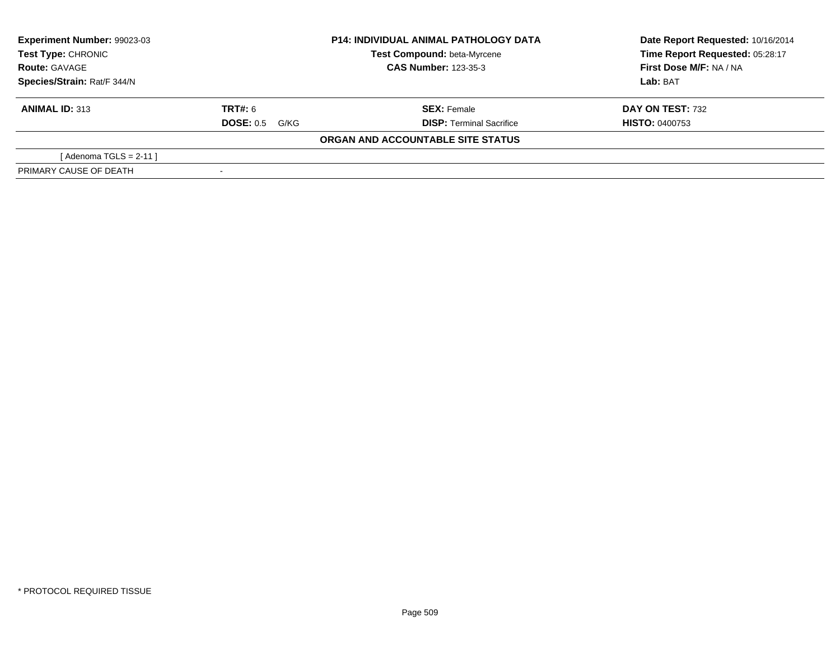| Experiment Number: 99023-03<br>Test Type: CHRONIC<br><b>Route: GAVAGE</b> | <b>P14: INDIVIDUAL ANIMAL PATHOLOGY DATA</b><br><b>Test Compound: beta-Myrcene</b><br><b>CAS Number: 123-35-3</b> |                                   | Date Report Requested: 10/16/2014<br>Time Report Requested: 05:28:17<br>First Dose M/F: NA / NA |  |
|---------------------------------------------------------------------------|-------------------------------------------------------------------------------------------------------------------|-----------------------------------|-------------------------------------------------------------------------------------------------|--|
| Species/Strain: Rat/F 344/N                                               |                                                                                                                   |                                   | Lab: BAT                                                                                        |  |
| <b>ANIMAL ID: 313</b>                                                     | <b>TRT#: 6</b>                                                                                                    | <b>SEX: Female</b>                | DAY ON TEST: 732                                                                                |  |
|                                                                           | <b>DOSE:</b> 0.5 G/KG                                                                                             | <b>DISP: Terminal Sacrifice</b>   | <b>HISTO: 0400753</b>                                                                           |  |
|                                                                           |                                                                                                                   | ORGAN AND ACCOUNTABLE SITE STATUS |                                                                                                 |  |
| [Adenoma TGLS = $2-11$ ]                                                  |                                                                                                                   |                                   |                                                                                                 |  |
| PRIMARY CAUSE OF DEATH                                                    |                                                                                                                   |                                   |                                                                                                 |  |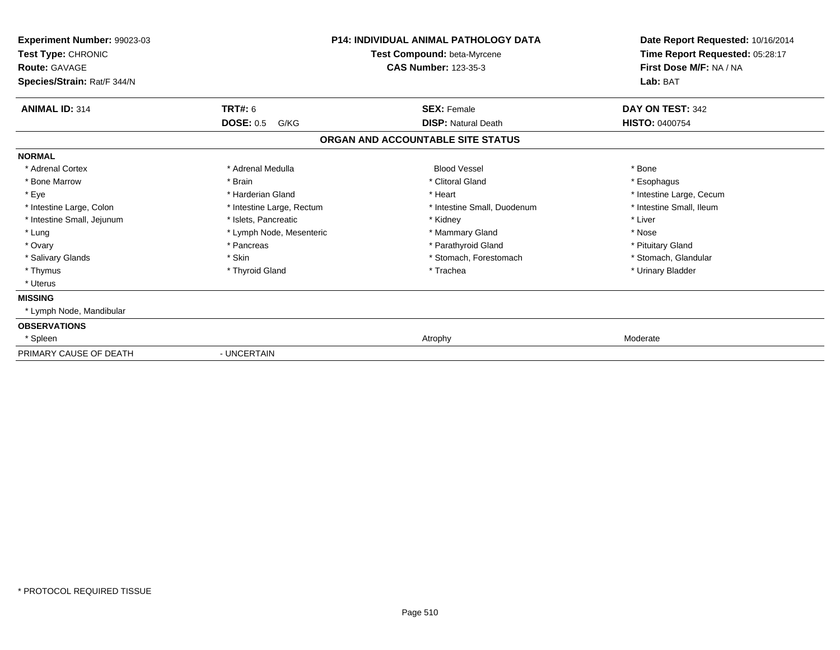| Experiment Number: 99023-03<br>Test Type: CHRONIC<br><b>Route: GAVAGE</b><br>Species/Strain: Rat/F 344/N | <b>P14: INDIVIDUAL ANIMAL PATHOLOGY DATA</b><br>Test Compound: beta-Myrcene<br><b>CAS Number: 123-35-3</b> |                                   | Date Report Requested: 10/16/2014<br>Time Report Requested: 05:28:17<br>First Dose M/F: NA / NA<br>Lab: BAT |
|----------------------------------------------------------------------------------------------------------|------------------------------------------------------------------------------------------------------------|-----------------------------------|-------------------------------------------------------------------------------------------------------------|
| <b>ANIMAL ID: 314</b>                                                                                    | <b>TRT#: 6</b>                                                                                             | <b>SEX: Female</b>                | DAY ON TEST: 342                                                                                            |
|                                                                                                          | <b>DOSE: 0.5</b><br>G/KG                                                                                   | <b>DISP: Natural Death</b>        | <b>HISTO: 0400754</b>                                                                                       |
|                                                                                                          |                                                                                                            | ORGAN AND ACCOUNTABLE SITE STATUS |                                                                                                             |
| <b>NORMAL</b>                                                                                            |                                                                                                            |                                   |                                                                                                             |
| * Adrenal Cortex                                                                                         | * Adrenal Medulla                                                                                          | <b>Blood Vessel</b>               | * Bone                                                                                                      |
| * Bone Marrow                                                                                            | * Brain                                                                                                    | * Clitoral Gland                  | * Esophagus                                                                                                 |
| * Eye                                                                                                    | * Harderian Gland                                                                                          | * Heart                           | * Intestine Large, Cecum                                                                                    |
| * Intestine Large, Colon                                                                                 | * Intestine Large, Rectum                                                                                  | * Intestine Small, Duodenum       | * Intestine Small, Ileum                                                                                    |
| * Intestine Small, Jejunum                                                                               | * Islets, Pancreatic                                                                                       | * Kidney                          | * Liver                                                                                                     |
| * Lung                                                                                                   | * Lymph Node, Mesenteric                                                                                   | * Mammary Gland                   | * Nose                                                                                                      |
| * Ovary                                                                                                  | * Pancreas                                                                                                 | * Parathyroid Gland               | * Pituitary Gland                                                                                           |
| * Salivary Glands                                                                                        | * Skin                                                                                                     | * Stomach, Forestomach            | * Stomach, Glandular                                                                                        |
| * Thymus                                                                                                 | * Thyroid Gland                                                                                            | * Trachea                         | * Urinary Bladder                                                                                           |
| * Uterus                                                                                                 |                                                                                                            |                                   |                                                                                                             |
| <b>MISSING</b>                                                                                           |                                                                                                            |                                   |                                                                                                             |
| * Lymph Node, Mandibular                                                                                 |                                                                                                            |                                   |                                                                                                             |
| <b>OBSERVATIONS</b>                                                                                      |                                                                                                            |                                   |                                                                                                             |
| * Spleen                                                                                                 |                                                                                                            | Atrophy                           | Moderate                                                                                                    |
| PRIMARY CAUSE OF DEATH                                                                                   | - UNCERTAIN                                                                                                |                                   |                                                                                                             |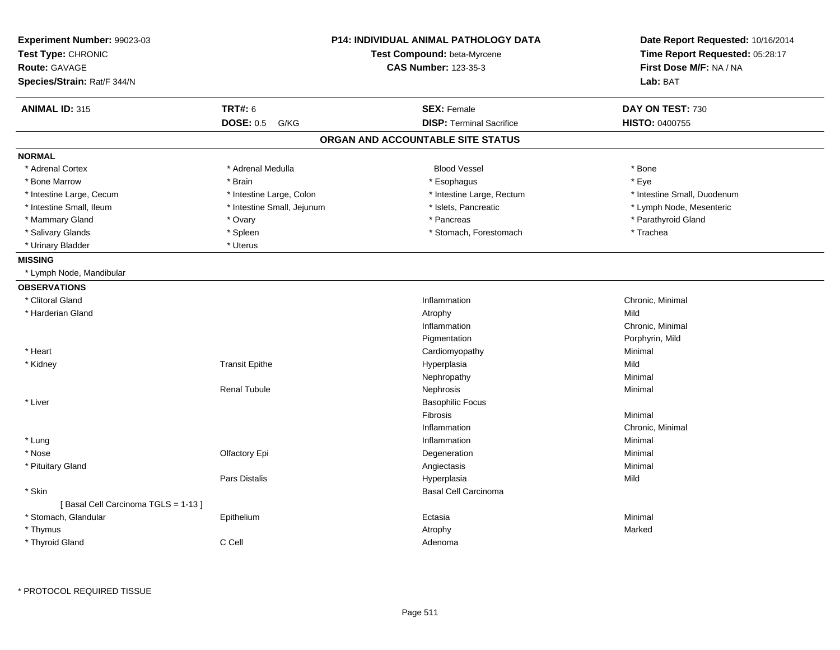| Experiment Number: 99023-03<br>Test Type: CHRONIC<br>Route: GAVAGE<br>Species/Strain: Rat/F 344/N |                            | <b>P14: INDIVIDUAL ANIMAL PATHOLOGY DATA</b><br>Test Compound: beta-Myrcene<br><b>CAS Number: 123-35-3</b> | Date Report Requested: 10/16/2014<br>Time Report Requested: 05:28:17<br>First Dose M/F: NA / NA<br>Lab: BAT |
|---------------------------------------------------------------------------------------------------|----------------------------|------------------------------------------------------------------------------------------------------------|-------------------------------------------------------------------------------------------------------------|
| <b>ANIMAL ID: 315</b>                                                                             | <b>TRT#: 6</b>             | <b>SEX: Female</b>                                                                                         | DAY ON TEST: 730                                                                                            |
|                                                                                                   | <b>DOSE: 0.5</b><br>G/KG   | <b>DISP: Terminal Sacrifice</b>                                                                            | HISTO: 0400755                                                                                              |
|                                                                                                   |                            | ORGAN AND ACCOUNTABLE SITE STATUS                                                                          |                                                                                                             |
| <b>NORMAL</b>                                                                                     |                            |                                                                                                            |                                                                                                             |
| * Adrenal Cortex                                                                                  | * Adrenal Medulla          | <b>Blood Vessel</b>                                                                                        | * Bone                                                                                                      |
| * Bone Marrow                                                                                     | * Brain                    | * Esophagus                                                                                                | * Eye                                                                                                       |
| * Intestine Large, Cecum                                                                          | * Intestine Large, Colon   | * Intestine Large, Rectum                                                                                  | * Intestine Small, Duodenum                                                                                 |
| * Intestine Small, Ileum                                                                          | * Intestine Small, Jejunum | * Islets, Pancreatic                                                                                       | * Lymph Node, Mesenteric                                                                                    |
| * Mammary Gland                                                                                   | * Ovary                    | * Pancreas                                                                                                 | * Parathyroid Gland                                                                                         |
| * Salivary Glands                                                                                 | * Spleen                   | * Stomach, Forestomach                                                                                     | * Trachea                                                                                                   |
| * Urinary Bladder                                                                                 | * Uterus                   |                                                                                                            |                                                                                                             |
| <b>MISSING</b>                                                                                    |                            |                                                                                                            |                                                                                                             |
| * Lymph Node, Mandibular                                                                          |                            |                                                                                                            |                                                                                                             |
| <b>OBSERVATIONS</b>                                                                               |                            |                                                                                                            |                                                                                                             |
| * Clitoral Gland                                                                                  |                            | Inflammation                                                                                               | Chronic, Minimal                                                                                            |
| * Harderian Gland                                                                                 |                            | Atrophy                                                                                                    | Mild                                                                                                        |
|                                                                                                   |                            | Inflammation                                                                                               | Chronic, Minimal                                                                                            |
|                                                                                                   |                            | Pigmentation                                                                                               | Porphyrin, Mild                                                                                             |
| * Heart                                                                                           |                            | Cardiomyopathy                                                                                             | Minimal                                                                                                     |
| * Kidney                                                                                          | <b>Transit Epithe</b>      | Hyperplasia                                                                                                | Mild                                                                                                        |
|                                                                                                   |                            | Nephropathy                                                                                                | Minimal                                                                                                     |
|                                                                                                   | <b>Renal Tubule</b>        | Nephrosis                                                                                                  | Minimal                                                                                                     |
| * Liver                                                                                           |                            | <b>Basophilic Focus</b>                                                                                    |                                                                                                             |
|                                                                                                   |                            | Fibrosis                                                                                                   | Minimal                                                                                                     |
|                                                                                                   |                            | Inflammation                                                                                               | Chronic, Minimal                                                                                            |
| * Lung                                                                                            |                            | Inflammation                                                                                               | Minimal                                                                                                     |
| * Nose                                                                                            | Olfactory Epi              | Degeneration                                                                                               | Minimal                                                                                                     |
| * Pituitary Gland                                                                                 |                            | Angiectasis                                                                                                | Minimal                                                                                                     |
|                                                                                                   | Pars Distalis              | Hyperplasia                                                                                                | Mild                                                                                                        |
| * Skin                                                                                            |                            | <b>Basal Cell Carcinoma</b>                                                                                |                                                                                                             |
| [Basal Cell Carcinoma TGLS = 1-13]                                                                |                            |                                                                                                            |                                                                                                             |
| * Stomach, Glandular                                                                              | Epithelium                 | Ectasia                                                                                                    | Minimal                                                                                                     |
| * Thymus                                                                                          |                            | Atrophy                                                                                                    | Marked                                                                                                      |
| * Thyroid Gland                                                                                   | C Cell                     | Adenoma                                                                                                    |                                                                                                             |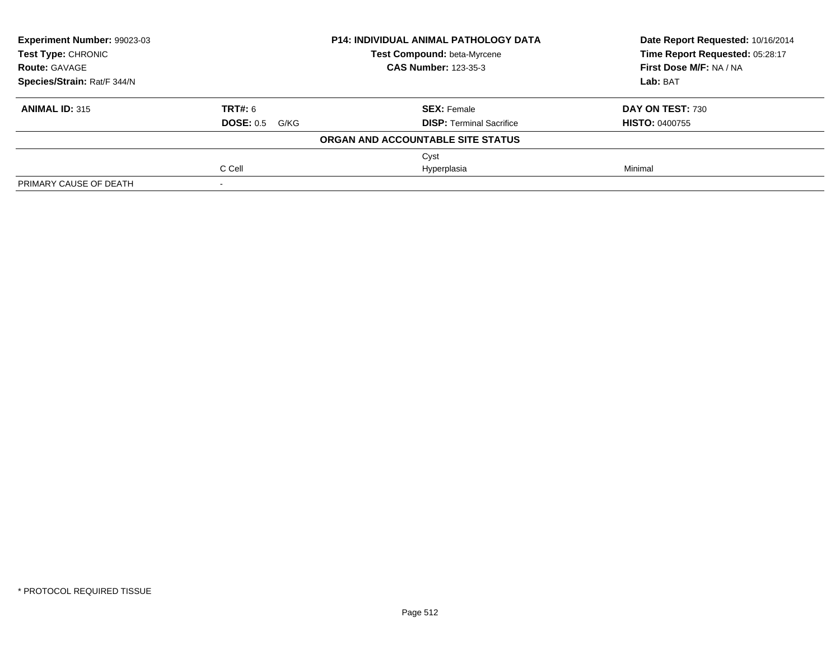| Experiment Number: 99023-03 |                   | <b>P14: INDIVIDUAL ANIMAL PATHOLOGY DATA</b> | Date Report Requested: 10/16/2014<br>Time Report Requested: 05:28:17 |
|-----------------------------|-------------------|----------------------------------------------|----------------------------------------------------------------------|
| <b>Test Type: CHRONIC</b>   |                   | Test Compound: beta-Myrcene                  |                                                                      |
| <b>Route: GAVAGE</b>        |                   | <b>CAS Number: 123-35-3</b>                  | First Dose M/F: NA / NA                                              |
| Species/Strain: Rat/F 344/N |                   |                                              | Lab: BAT                                                             |
| <b>ANIMAL ID: 315</b>       | TRT#: 6           | <b>SEX: Female</b>                           | DAY ON TEST: 730                                                     |
|                             | DOSE: 0.5<br>G/KG | <b>DISP:</b> Terminal Sacrifice              | <b>HISTO: 0400755</b>                                                |
|                             |                   | ORGAN AND ACCOUNTABLE SITE STATUS            |                                                                      |
|                             |                   | Cyst                                         |                                                                      |
|                             | C Cell            | Hyperplasia                                  | Minimal                                                              |
| PRIMARY CAUSE OF DEATH      |                   |                                              |                                                                      |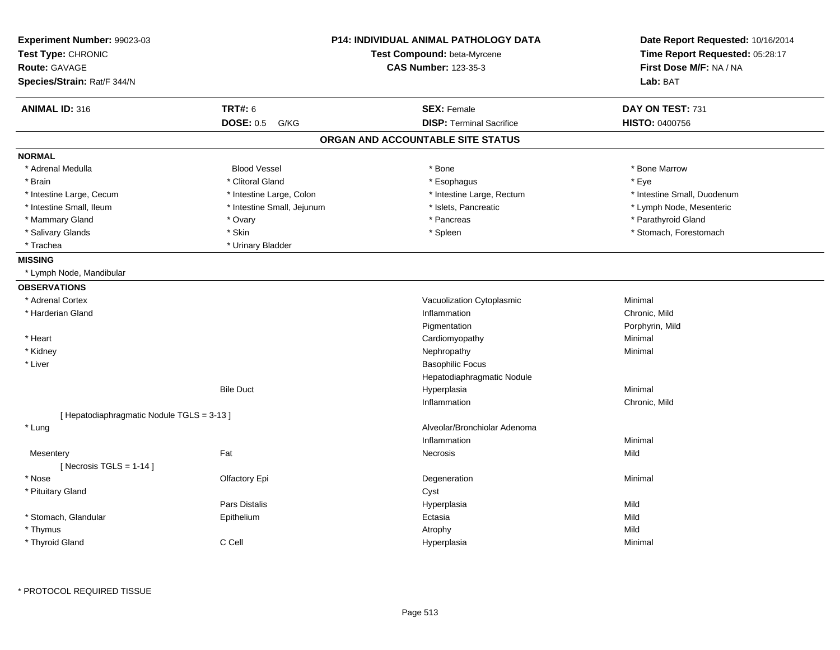| Experiment Number: 99023-03<br>Test Type: CHRONIC |                            | <b>P14: INDIVIDUAL ANIMAL PATHOLOGY DATA</b><br>Test Compound: beta-Myrcene | Date Report Requested: 10/16/2014<br>Time Report Requested: 05:28:17 |
|---------------------------------------------------|----------------------------|-----------------------------------------------------------------------------|----------------------------------------------------------------------|
| <b>Route: GAVAGE</b>                              |                            | <b>CAS Number: 123-35-3</b>                                                 | First Dose M/F: NA / NA                                              |
| Species/Strain: Rat/F 344/N                       |                            |                                                                             | Lab: BAT                                                             |
| <b>ANIMAL ID: 316</b>                             | <b>TRT#: 6</b>             | <b>SEX: Female</b>                                                          | DAY ON TEST: 731                                                     |
|                                                   | <b>DOSE: 0.5</b><br>G/KG   | <b>DISP: Terminal Sacrifice</b>                                             | HISTO: 0400756                                                       |
|                                                   |                            | ORGAN AND ACCOUNTABLE SITE STATUS                                           |                                                                      |
| <b>NORMAL</b>                                     |                            |                                                                             |                                                                      |
| * Adrenal Medulla                                 | <b>Blood Vessel</b>        | $*$ Bone                                                                    | * Bone Marrow                                                        |
| * Brain                                           | * Clitoral Gland           | * Esophagus                                                                 | * Eye                                                                |
| * Intestine Large, Cecum                          | * Intestine Large, Colon   | * Intestine Large, Rectum                                                   | * Intestine Small, Duodenum                                          |
| * Intestine Small, Ileum                          | * Intestine Small, Jejunum | * Islets, Pancreatic                                                        | * Lymph Node, Mesenteric                                             |
| * Mammary Gland                                   | * Ovary                    | * Pancreas                                                                  | * Parathyroid Gland                                                  |
| * Salivary Glands                                 | * Skin                     | * Spleen                                                                    | * Stomach, Forestomach                                               |
| * Trachea                                         | * Urinary Bladder          |                                                                             |                                                                      |
| <b>MISSING</b>                                    |                            |                                                                             |                                                                      |
| * Lymph Node, Mandibular                          |                            |                                                                             |                                                                      |
| <b>OBSERVATIONS</b>                               |                            |                                                                             |                                                                      |
| * Adrenal Cortex                                  |                            | Vacuolization Cytoplasmic                                                   | Minimal                                                              |
| * Harderian Gland                                 |                            | Inflammation                                                                | Chronic. Mild                                                        |
|                                                   |                            | Pigmentation                                                                | Porphyrin, Mild                                                      |
| * Heart                                           |                            | Cardiomyopathy                                                              | Minimal                                                              |
| * Kidney                                          |                            | Nephropathy                                                                 | Minimal                                                              |
| * Liver                                           |                            | <b>Basophilic Focus</b>                                                     |                                                                      |
|                                                   |                            | Hepatodiaphragmatic Nodule                                                  |                                                                      |
|                                                   | <b>Bile Duct</b>           | Hyperplasia                                                                 | Minimal                                                              |
|                                                   |                            | Inflammation                                                                | Chronic, Mild                                                        |
| [ Hepatodiaphragmatic Nodule TGLS = 3-13 ]        |                            |                                                                             |                                                                      |
| * Lung                                            |                            | Alveolar/Bronchiolar Adenoma                                                |                                                                      |
|                                                   |                            | Inflammation                                                                | Minimal                                                              |
| Mesentery                                         | Fat                        | Necrosis                                                                    | Mild                                                                 |
| [Necrosis TGLS = $1-14$ ]                         |                            |                                                                             |                                                                      |
| * Nose                                            | Olfactory Epi              | Degeneration                                                                | Minimal                                                              |
| * Pituitary Gland                                 |                            | Cyst                                                                        |                                                                      |
|                                                   | Pars Distalis              | Hyperplasia                                                                 | Mild                                                                 |
| * Stomach, Glandular                              | Epithelium                 | Ectasia                                                                     | Mild                                                                 |
| * Thymus                                          |                            | Atrophy                                                                     | Mild                                                                 |
| * Thyroid Gland                                   | C Cell                     | Hyperplasia                                                                 | Minimal                                                              |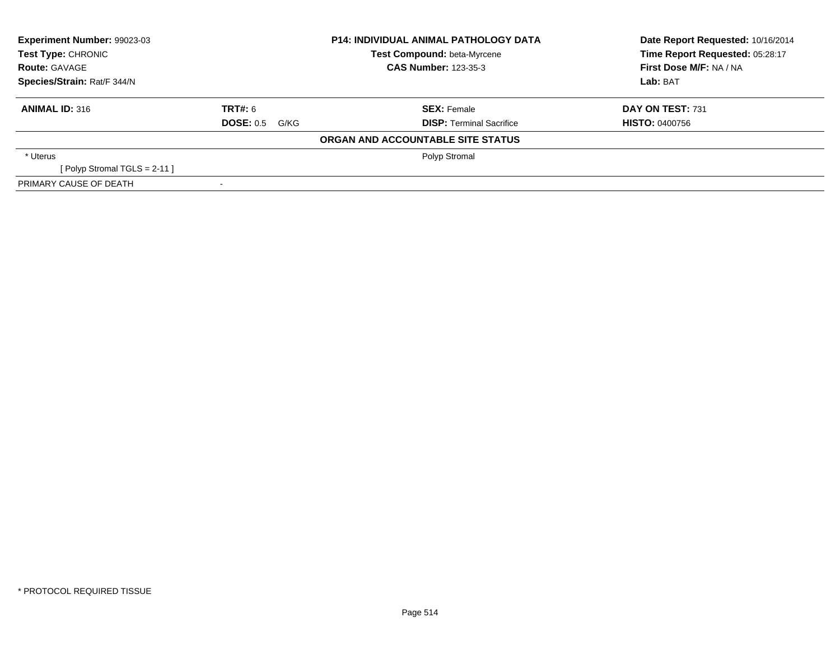| Experiment Number: 99023-03<br><b>Test Type: CHRONIC</b> |                       | <b>P14: INDIVIDUAL ANIMAL PATHOLOGY DATA</b> | Date Report Requested: 10/16/2014 |
|----------------------------------------------------------|-----------------------|----------------------------------------------|-----------------------------------|
|                                                          |                       | Test Compound: beta-Myrcene                  | Time Report Requested: 05:28:17   |
| <b>Route: GAVAGE</b>                                     |                       | <b>CAS Number: 123-35-3</b>                  | First Dose M/F: NA / NA           |
| Species/Strain: Rat/F 344/N                              |                       |                                              | Lab: BAT                          |
| <b>ANIMAL ID: 316</b>                                    | <b>TRT#: 6</b>        | <b>SEX: Female</b>                           | DAY ON TEST: 731                  |
|                                                          | <b>DOSE: 0.5 G/KG</b> | <b>DISP: Terminal Sacrifice</b>              | <b>HISTO: 0400756</b>             |
|                                                          |                       | ORGAN AND ACCOUNTABLE SITE STATUS            |                                   |
| * Uterus                                                 |                       | Polyp Stromal                                |                                   |
| [ Polyp Stromal TGLS = $2-11$ ]                          |                       |                                              |                                   |
| PRIMARY CAUSE OF DEATH                                   |                       |                                              |                                   |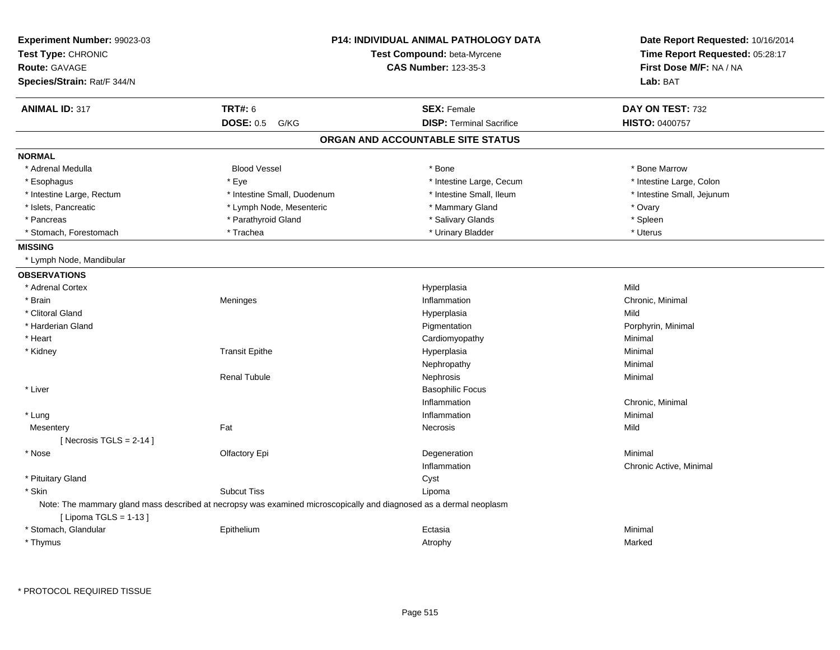| Experiment Number: 99023-03 |                                                                                                                    | <b>P14: INDIVIDUAL ANIMAL PATHOLOGY DATA</b> |                                 |
|-----------------------------|--------------------------------------------------------------------------------------------------------------------|----------------------------------------------|---------------------------------|
| Test Type: CHRONIC          |                                                                                                                    | Test Compound: beta-Myrcene                  | Time Report Requested: 05:28:17 |
| Route: GAVAGE               |                                                                                                                    | <b>CAS Number: 123-35-3</b>                  | First Dose M/F: NA / NA         |
| Species/Strain: Rat/F 344/N |                                                                                                                    |                                              | Lab: BAT                        |
| <b>ANIMAL ID: 317</b>       | <b>TRT#: 6</b>                                                                                                     | <b>SEX: Female</b>                           | DAY ON TEST: 732                |
|                             | <b>DOSE: 0.5</b><br>G/KG                                                                                           | <b>DISP: Terminal Sacrifice</b>              | HISTO: 0400757                  |
|                             |                                                                                                                    | ORGAN AND ACCOUNTABLE SITE STATUS            |                                 |
| <b>NORMAL</b>               |                                                                                                                    |                                              |                                 |
| * Adrenal Medulla           | <b>Blood Vessel</b>                                                                                                | * Bone                                       | * Bone Marrow                   |
| * Esophagus                 | * Eye                                                                                                              | * Intestine Large, Cecum                     | * Intestine Large, Colon        |
| * Intestine Large, Rectum   | * Intestine Small, Duodenum                                                                                        | * Intestine Small, Ileum                     | * Intestine Small, Jejunum      |
| * Islets, Pancreatic        | * Lymph Node, Mesenteric                                                                                           | * Mammary Gland                              | * Ovary                         |
| * Pancreas                  | * Parathyroid Gland                                                                                                | * Salivary Glands                            | * Spleen                        |
| * Stomach, Forestomach      | * Trachea                                                                                                          | * Urinary Bladder                            | * Uterus                        |
| <b>MISSING</b>              |                                                                                                                    |                                              |                                 |
| * Lymph Node, Mandibular    |                                                                                                                    |                                              |                                 |
| <b>OBSERVATIONS</b>         |                                                                                                                    |                                              |                                 |
| * Adrenal Cortex            |                                                                                                                    | Hyperplasia                                  | Mild                            |
| * Brain                     | Meninges                                                                                                           | Inflammation                                 | Chronic, Minimal                |
| * Clitoral Gland            |                                                                                                                    | Hyperplasia                                  | Mild                            |
| * Harderian Gland           |                                                                                                                    | Pigmentation                                 | Porphyrin, Minimal              |
| * Heart                     |                                                                                                                    | Cardiomyopathy                               | Minimal                         |
| * Kidney                    | <b>Transit Epithe</b>                                                                                              | Hyperplasia                                  | Minimal                         |
|                             |                                                                                                                    | Nephropathy                                  | Minimal                         |
|                             | <b>Renal Tubule</b>                                                                                                | Nephrosis                                    | Minimal                         |
| * Liver                     |                                                                                                                    | <b>Basophilic Focus</b>                      |                                 |
|                             |                                                                                                                    | Inflammation                                 | Chronic, Minimal                |
| * Lung                      |                                                                                                                    | Inflammation                                 | Minimal                         |
| Mesentery                   | Fat                                                                                                                | <b>Necrosis</b>                              | Mild                            |
| [Necrosis TGLS = $2-14$ ]   |                                                                                                                    |                                              |                                 |
| * Nose                      | Olfactory Epi                                                                                                      | Degeneration                                 | Minimal                         |
|                             |                                                                                                                    | Inflammation                                 | Chronic Active, Minimal         |
| * Pituitary Gland           |                                                                                                                    | Cyst                                         |                                 |
| * Skin                      | <b>Subcut Tiss</b>                                                                                                 | Lipoma                                       |                                 |
| [ Lipoma TGLS = 1-13 ]      | Note: The mammary gland mass described at necropsy was examined microscopically and diagnosed as a dermal neoplasm |                                              |                                 |
| * Stomach, Glandular        | Epithelium                                                                                                         | Ectasia                                      | Minimal                         |
| * Thymus                    |                                                                                                                    | Atrophy                                      | Marked                          |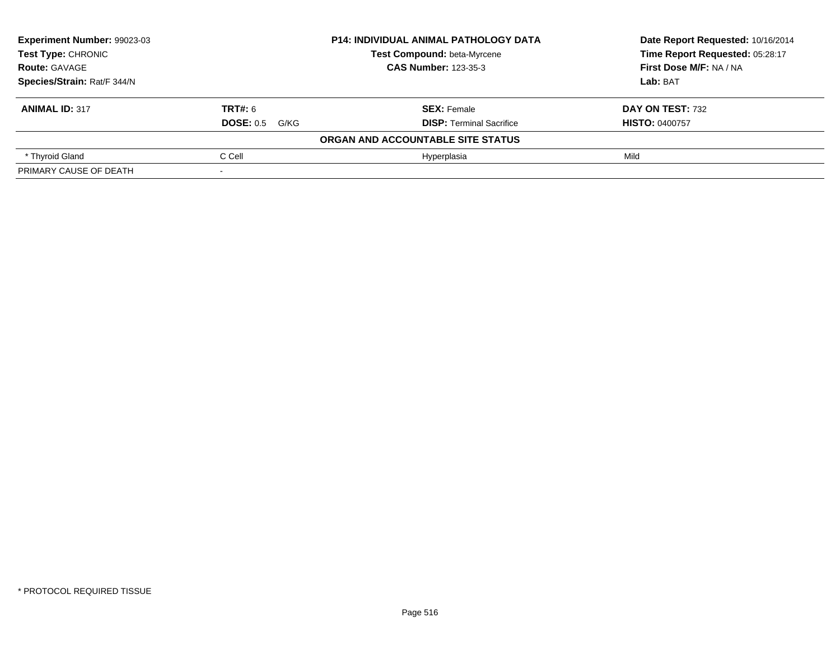| Experiment Number: 99023-03<br><b>P14: INDIVIDUAL ANIMAL PATHOLOGY DATA</b><br>Test Type: CHRONIC<br><b>Test Compound: beta-Myrcene</b><br><b>CAS Number: 123-35-3</b><br><b>Route: GAVAGE</b><br>Species/Strain: Rat/F 344/N |                       |                                   | Date Report Requested: 10/16/2014<br>Time Report Requested: 05:28:17 |
|-------------------------------------------------------------------------------------------------------------------------------------------------------------------------------------------------------------------------------|-----------------------|-----------------------------------|----------------------------------------------------------------------|
|                                                                                                                                                                                                                               |                       |                                   |                                                                      |
|                                                                                                                                                                                                                               |                       |                                   | First Dose M/F: NA / NA                                              |
|                                                                                                                                                                                                                               |                       |                                   | Lab: BAT                                                             |
| <b>ANIMAL ID: 317</b>                                                                                                                                                                                                         | <b>TRT#: 6</b>        | <b>SEX: Female</b>                | DAY ON TEST: 732                                                     |
|                                                                                                                                                                                                                               | <b>DOSE: 0.5 G/KG</b> | <b>DISP:</b> Terminal Sacrifice   | <b>HISTO: 0400757</b>                                                |
|                                                                                                                                                                                                                               |                       | ORGAN AND ACCOUNTABLE SITE STATUS |                                                                      |
| * Thyroid Gland                                                                                                                                                                                                               | C Cell                | Hyperplasia                       | Mild                                                                 |
| PRIMARY CAUSE OF DEATH                                                                                                                                                                                                        |                       |                                   |                                                                      |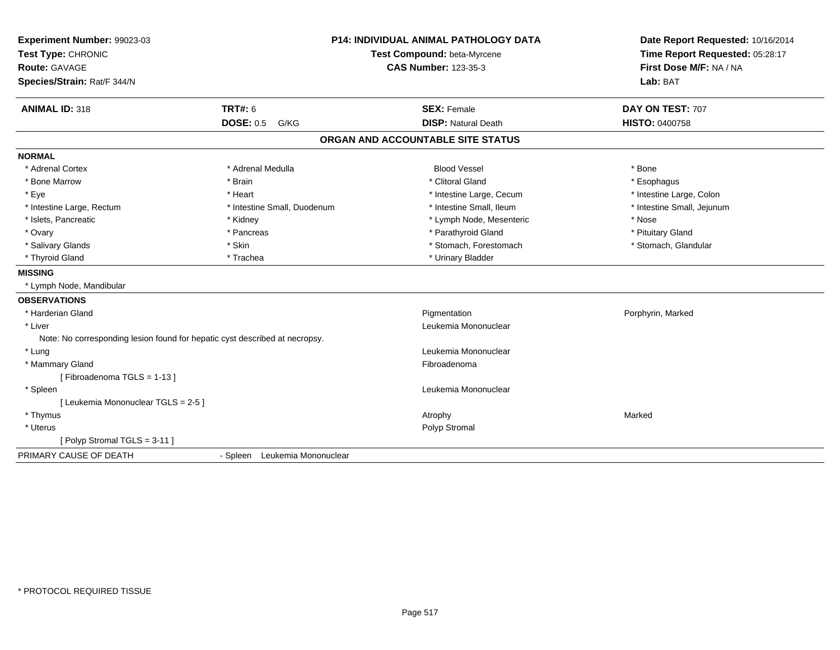| Experiment Number: 99023-03                                                 |                                  | <b>P14: INDIVIDUAL ANIMAL PATHOLOGY DATA</b> | Date Report Requested: 10/16/2014 |
|-----------------------------------------------------------------------------|----------------------------------|----------------------------------------------|-----------------------------------|
| Test Type: CHRONIC                                                          | Test Compound: beta-Myrcene      |                                              | Time Report Requested: 05:28:17   |
| Route: GAVAGE                                                               |                                  | <b>CAS Number: 123-35-3</b>                  | First Dose M/F: NA / NA           |
| Species/Strain: Rat/F 344/N                                                 |                                  |                                              | Lab: BAT                          |
| <b>ANIMAL ID: 318</b>                                                       | <b>TRT#: 6</b>                   | <b>SEX: Female</b>                           | DAY ON TEST: 707                  |
|                                                                             | <b>DOSE: 0.5</b><br>G/KG         | <b>DISP: Natural Death</b>                   | HISTO: 0400758                    |
|                                                                             |                                  | ORGAN AND ACCOUNTABLE SITE STATUS            |                                   |
| <b>NORMAL</b>                                                               |                                  |                                              |                                   |
| * Adrenal Cortex                                                            | * Adrenal Medulla                | <b>Blood Vessel</b>                          | * Bone                            |
| * Bone Marrow                                                               | * Brain                          | * Clitoral Gland                             | * Esophagus                       |
| * Eye                                                                       | * Heart                          | * Intestine Large, Cecum                     | * Intestine Large, Colon          |
| * Intestine Large, Rectum                                                   | * Intestine Small, Duodenum      | * Intestine Small, Ileum                     | * Intestine Small, Jejunum        |
| * Islets, Pancreatic                                                        | * Kidney                         | * Lymph Node, Mesenteric                     | * Nose                            |
| * Ovary                                                                     | * Pancreas                       | * Parathyroid Gland                          | * Pituitary Gland                 |
| * Salivary Glands                                                           | * Skin                           | * Stomach, Forestomach                       | * Stomach, Glandular              |
| * Thyroid Gland                                                             | * Trachea                        | * Urinary Bladder                            |                                   |
| <b>MISSING</b>                                                              |                                  |                                              |                                   |
| * Lymph Node, Mandibular                                                    |                                  |                                              |                                   |
| <b>OBSERVATIONS</b>                                                         |                                  |                                              |                                   |
| * Harderian Gland                                                           |                                  | Pigmentation                                 | Porphyrin, Marked                 |
| * Liver                                                                     |                                  | Leukemia Mononuclear                         |                                   |
| Note: No corresponding lesion found for hepatic cyst described at necropsy. |                                  |                                              |                                   |
| * Lung                                                                      |                                  | Leukemia Mononuclear                         |                                   |
| * Mammary Gland                                                             |                                  | Fibroadenoma                                 |                                   |
| [Fibroadenoma TGLS = 1-13]                                                  |                                  |                                              |                                   |
| * Spleen                                                                    |                                  | Leukemia Mononuclear                         |                                   |
| [ Leukemia Mononuclear TGLS = 2-5 ]                                         |                                  |                                              |                                   |
| * Thymus                                                                    |                                  | Atrophy                                      | Marked                            |
| * Uterus                                                                    |                                  | Polyp Stromal                                |                                   |
| [Polyp Stromal TGLS = 3-11]                                                 |                                  |                                              |                                   |
| PRIMARY CAUSE OF DEATH                                                      | Leukemia Mononuclear<br>- Spleen |                                              |                                   |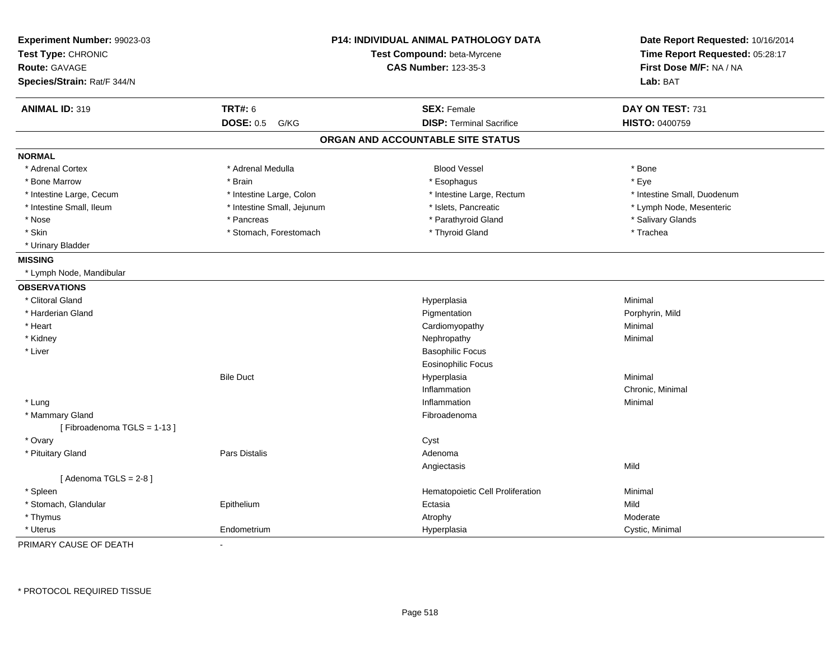| Experiment Number: 99023-03<br>Test Type: CHRONIC<br><b>Route: GAVAGE</b><br>Species/Strain: Rat/F 344/N |                            | <b>P14: INDIVIDUAL ANIMAL PATHOLOGY DATA</b><br>Test Compound: beta-Myrcene<br><b>CAS Number: 123-35-3</b> | Date Report Requested: 10/16/2014<br>Time Report Requested: 05:28:17<br>First Dose M/F: NA / NA<br>Lab: BAT |
|----------------------------------------------------------------------------------------------------------|----------------------------|------------------------------------------------------------------------------------------------------------|-------------------------------------------------------------------------------------------------------------|
| <b>ANIMAL ID: 319</b>                                                                                    | <b>TRT#: 6</b>             | <b>SEX: Female</b>                                                                                         | DAY ON TEST: 731                                                                                            |
|                                                                                                          | <b>DOSE: 0.5</b><br>G/KG   | <b>DISP: Terminal Sacrifice</b>                                                                            | <b>HISTO: 0400759</b>                                                                                       |
|                                                                                                          |                            | ORGAN AND ACCOUNTABLE SITE STATUS                                                                          |                                                                                                             |
| <b>NORMAL</b>                                                                                            |                            |                                                                                                            |                                                                                                             |
| * Adrenal Cortex                                                                                         | * Adrenal Medulla          | <b>Blood Vessel</b>                                                                                        | * Bone                                                                                                      |
| * Bone Marrow                                                                                            | * Brain                    | * Esophagus                                                                                                | * Eye                                                                                                       |
| * Intestine Large, Cecum                                                                                 | * Intestine Large, Colon   | * Intestine Large, Rectum                                                                                  | * Intestine Small, Duodenum                                                                                 |
| * Intestine Small, Ileum                                                                                 | * Intestine Small, Jejunum | * Islets, Pancreatic                                                                                       | * Lymph Node, Mesenteric                                                                                    |
| * Nose                                                                                                   | * Pancreas                 | * Parathyroid Gland                                                                                        | * Salivary Glands                                                                                           |
| * Skin                                                                                                   | * Stomach, Forestomach     | * Thyroid Gland                                                                                            | * Trachea                                                                                                   |
| * Urinary Bladder                                                                                        |                            |                                                                                                            |                                                                                                             |
| <b>MISSING</b>                                                                                           |                            |                                                                                                            |                                                                                                             |
| * Lymph Node, Mandibular                                                                                 |                            |                                                                                                            |                                                                                                             |
| <b>OBSERVATIONS</b>                                                                                      |                            |                                                                                                            |                                                                                                             |
| * Clitoral Gland                                                                                         |                            | Hyperplasia                                                                                                | Minimal                                                                                                     |
| * Harderian Gland                                                                                        |                            | Pigmentation                                                                                               | Porphyrin, Mild                                                                                             |
| * Heart                                                                                                  |                            | Cardiomyopathy                                                                                             | Minimal                                                                                                     |
| * Kidney                                                                                                 |                            | Nephropathy                                                                                                | Minimal                                                                                                     |
| * Liver                                                                                                  |                            | <b>Basophilic Focus</b>                                                                                    |                                                                                                             |
|                                                                                                          |                            | <b>Eosinophilic Focus</b>                                                                                  |                                                                                                             |
|                                                                                                          | <b>Bile Duct</b>           | Hyperplasia                                                                                                | Minimal                                                                                                     |
|                                                                                                          |                            | Inflammation                                                                                               | Chronic, Minimal                                                                                            |
| * Lung                                                                                                   |                            | Inflammation                                                                                               | Minimal                                                                                                     |
| * Mammary Gland                                                                                          |                            | Fibroadenoma                                                                                               |                                                                                                             |
| [Fibroadenoma TGLS = 1-13]                                                                               |                            |                                                                                                            |                                                                                                             |
| * Ovary                                                                                                  |                            | Cyst                                                                                                       |                                                                                                             |
| * Pituitary Gland                                                                                        | Pars Distalis              | Adenoma                                                                                                    |                                                                                                             |
|                                                                                                          |                            | Angiectasis                                                                                                | Mild                                                                                                        |
| [Adenoma TGLS = $2-8$ ]                                                                                  |                            |                                                                                                            |                                                                                                             |
| * Spleen                                                                                                 |                            | Hematopoietic Cell Proliferation                                                                           | Minimal                                                                                                     |
| * Stomach, Glandular                                                                                     | Epithelium                 | Ectasia                                                                                                    | Mild                                                                                                        |
| * Thymus                                                                                                 |                            | Atrophy                                                                                                    | Moderate                                                                                                    |
| * Uterus                                                                                                 | Endometrium                | Hyperplasia                                                                                                | Cystic, Minimal                                                                                             |

PRIMARY CAUSE OF DEATH-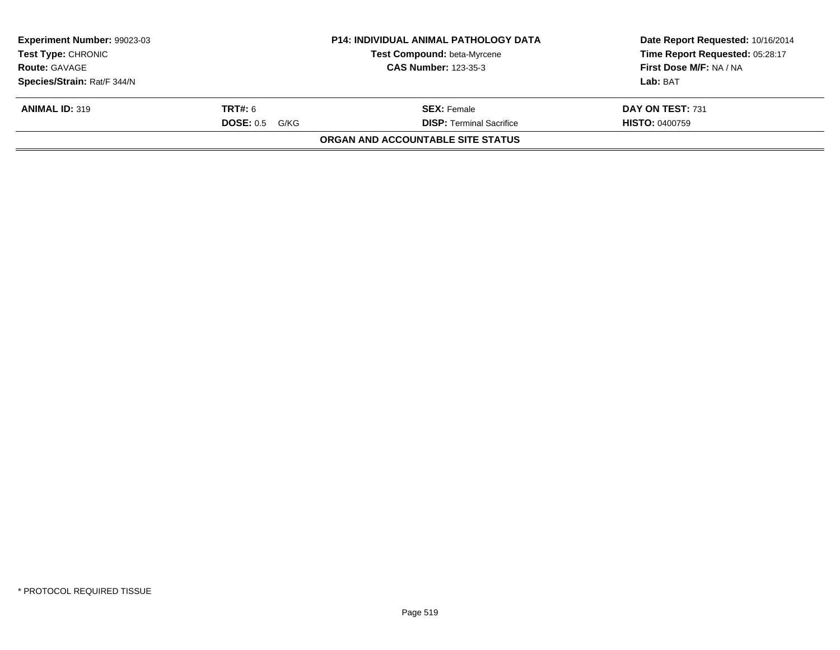| <b>Experiment Number: 99023-03</b><br><b>Test Type: CHRONIC</b><br><b>Route: GAVAGE</b> |                  | <b>P14: INDIVIDUAL ANIMAL PATHOLOGY DATA</b><br>Test Compound: beta-Myrcene<br><b>CAS Number: 123-35-3</b> | Date Report Requested: 10/16/2014<br>Time Report Requested: 05:28:17<br>First Dose M/F: NA / NA |
|-----------------------------------------------------------------------------------------|------------------|------------------------------------------------------------------------------------------------------------|-------------------------------------------------------------------------------------------------|
| Species/Strain: Rat/F 344/N                                                             |                  |                                                                                                            | Lab: BAT                                                                                        |
| <b>ANIMAL ID: 319</b>                                                                   | <b>TRT#:</b> 6   | <b>SEX:</b> Female                                                                                         | DAY ON TEST: 731                                                                                |
|                                                                                         | $DOSE: 0.5$ G/KG | <b>DISP: Terminal Sacrifice</b>                                                                            | <b>HISTO: 0400759</b>                                                                           |
|                                                                                         |                  | <b>ORGAN AND ACCOUNTABLE SITE STATUS</b>                                                                   |                                                                                                 |
|                                                                                         |                  |                                                                                                            |                                                                                                 |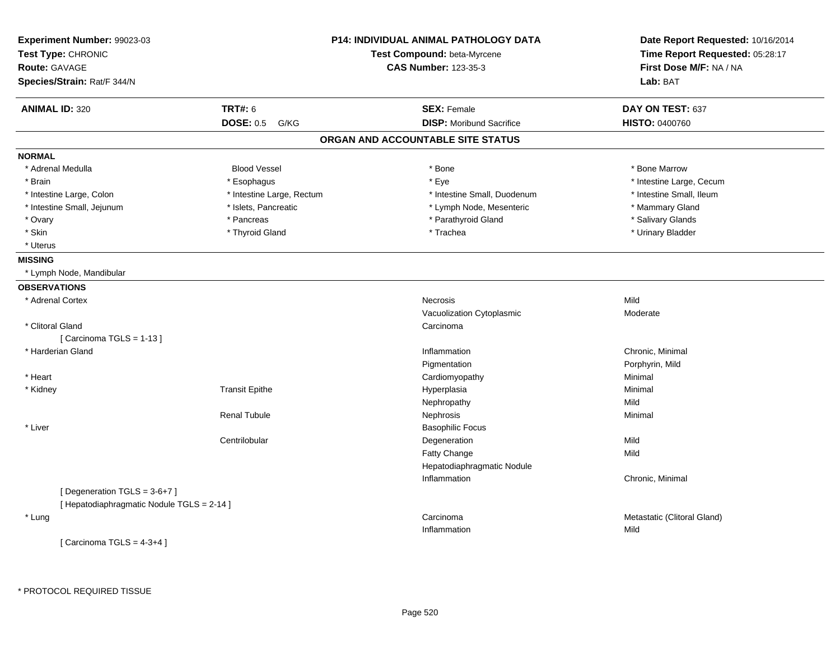| Experiment Number: 99023-03<br>Test Type: CHRONIC |                           | <b>P14: INDIVIDUAL ANIMAL PATHOLOGY DATA</b><br>Test Compound: beta-Myrcene | Date Report Requested: 10/16/2014<br>Time Report Requested: 05:28:17 |  |
|---------------------------------------------------|---------------------------|-----------------------------------------------------------------------------|----------------------------------------------------------------------|--|
| <b>Route: GAVAGE</b>                              |                           | <b>CAS Number: 123-35-3</b>                                                 | First Dose M/F: NA / NA                                              |  |
| Species/Strain: Rat/F 344/N                       |                           |                                                                             | Lab: BAT                                                             |  |
| <b>ANIMAL ID: 320</b>                             | <b>TRT#: 6</b>            | <b>SEX: Female</b>                                                          | DAY ON TEST: 637                                                     |  |
|                                                   | <b>DOSE: 0.5</b><br>G/KG  | <b>DISP:</b> Moribund Sacrifice                                             | <b>HISTO: 0400760</b>                                                |  |
|                                                   |                           | ORGAN AND ACCOUNTABLE SITE STATUS                                           |                                                                      |  |
| <b>NORMAL</b>                                     |                           |                                                                             |                                                                      |  |
| * Adrenal Medulla                                 | <b>Blood Vessel</b>       | * Bone                                                                      | * Bone Marrow                                                        |  |
| * Brain                                           | * Esophagus               | * Eye                                                                       | * Intestine Large, Cecum                                             |  |
| * Intestine Large, Colon                          | * Intestine Large, Rectum | * Intestine Small, Duodenum                                                 | * Intestine Small. Ileum                                             |  |
| * Intestine Small, Jejunum                        | * Islets, Pancreatic      | * Lymph Node, Mesenteric                                                    | * Mammary Gland                                                      |  |
| * Ovary                                           | * Pancreas                | * Parathyroid Gland                                                         | * Salivary Glands                                                    |  |
| * Skin                                            | * Thyroid Gland           | * Trachea                                                                   | * Urinary Bladder                                                    |  |
| * Uterus                                          |                           |                                                                             |                                                                      |  |
| <b>MISSING</b>                                    |                           |                                                                             |                                                                      |  |
| * Lymph Node, Mandibular                          |                           |                                                                             |                                                                      |  |
| <b>OBSERVATIONS</b>                               |                           |                                                                             |                                                                      |  |
| * Adrenal Cortex                                  |                           | Necrosis                                                                    | Mild                                                                 |  |
|                                                   |                           | Vacuolization Cytoplasmic                                                   | Moderate                                                             |  |
| * Clitoral Gland                                  |                           | Carcinoma                                                                   |                                                                      |  |
| [Carcinoma TGLS = 1-13]                           |                           |                                                                             |                                                                      |  |
| * Harderian Gland                                 |                           | Inflammation                                                                | Chronic, Minimal                                                     |  |
|                                                   |                           | Pigmentation                                                                | Porphyrin, Mild                                                      |  |
| * Heart                                           |                           | Cardiomyopathy                                                              | Minimal                                                              |  |
| * Kidney                                          | <b>Transit Epithe</b>     | Hyperplasia                                                                 | Minimal                                                              |  |
|                                                   |                           | Nephropathy                                                                 | Mild                                                                 |  |
|                                                   | <b>Renal Tubule</b>       | Nephrosis                                                                   | Minimal                                                              |  |
| * Liver                                           |                           | <b>Basophilic Focus</b>                                                     |                                                                      |  |
|                                                   | Centrilobular             | Degeneration                                                                | Mild                                                                 |  |
|                                                   |                           | Fatty Change                                                                | Mild                                                                 |  |
|                                                   |                           | Hepatodiaphragmatic Nodule                                                  |                                                                      |  |
|                                                   |                           | Inflammation                                                                | Chronic, Minimal                                                     |  |
| [Degeneration TGLS = 3-6+7]                       |                           |                                                                             |                                                                      |  |
| [ Hepatodiaphragmatic Nodule TGLS = 2-14 ]        |                           |                                                                             |                                                                      |  |
| * Lung                                            |                           | Carcinoma                                                                   | Metastatic (Clitoral Gland)                                          |  |
|                                                   |                           | Inflammation                                                                | Mild                                                                 |  |
| [Carcinoma TGLS = $4-3+4$ ]                       |                           |                                                                             |                                                                      |  |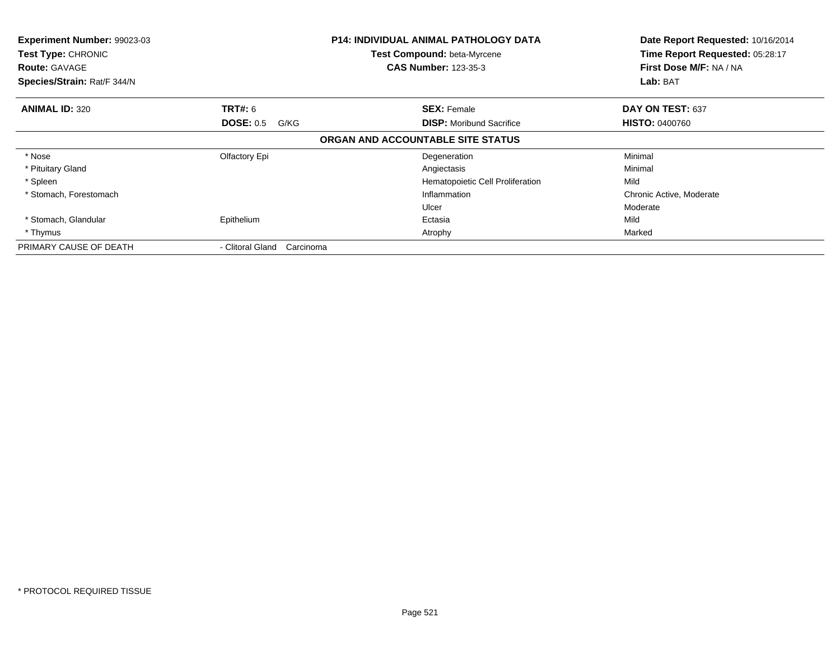| Experiment Number: 99023-03<br>Test Type: CHRONIC<br><b>Route: GAVAGE</b><br>Species/Strain: Rat/F 344/N |                               | <b>P14: INDIVIDUAL ANIMAL PATHOLOGY DATA</b><br>Test Compound: beta-Myrcene<br><b>CAS Number: 123-35-3</b> | Date Report Requested: 10/16/2014<br>Time Report Requested: 05:28:17<br>First Dose M/F: NA / NA<br>Lab: BAT |
|----------------------------------------------------------------------------------------------------------|-------------------------------|------------------------------------------------------------------------------------------------------------|-------------------------------------------------------------------------------------------------------------|
| <b>ANIMAL ID: 320</b>                                                                                    | <b>TRT#:</b> 6                | <b>SEX: Female</b>                                                                                         | DAY ON TEST: 637                                                                                            |
|                                                                                                          | <b>DOSE: 0.5</b><br>G/KG      | <b>DISP:</b> Moribund Sacrifice                                                                            | <b>HISTO: 0400760</b>                                                                                       |
|                                                                                                          |                               | ORGAN AND ACCOUNTABLE SITE STATUS                                                                          |                                                                                                             |
| * Nose                                                                                                   | Olfactory Epi                 | Degeneration                                                                                               | Minimal                                                                                                     |
| * Pituitary Gland                                                                                        |                               | Angiectasis                                                                                                | Minimal                                                                                                     |
| * Spleen                                                                                                 |                               | Hematopoietic Cell Proliferation                                                                           | Mild                                                                                                        |
| * Stomach, Forestomach                                                                                   |                               | Inflammation                                                                                               | Chronic Active, Moderate                                                                                    |
|                                                                                                          |                               | Ulcer                                                                                                      | Moderate                                                                                                    |
| * Stomach, Glandular                                                                                     | Epithelium                    | Ectasia                                                                                                    | Mild                                                                                                        |
| * Thymus                                                                                                 |                               | Atrophy                                                                                                    | Marked                                                                                                      |
| PRIMARY CAUSE OF DEATH                                                                                   | - Clitoral Gland<br>Carcinoma |                                                                                                            |                                                                                                             |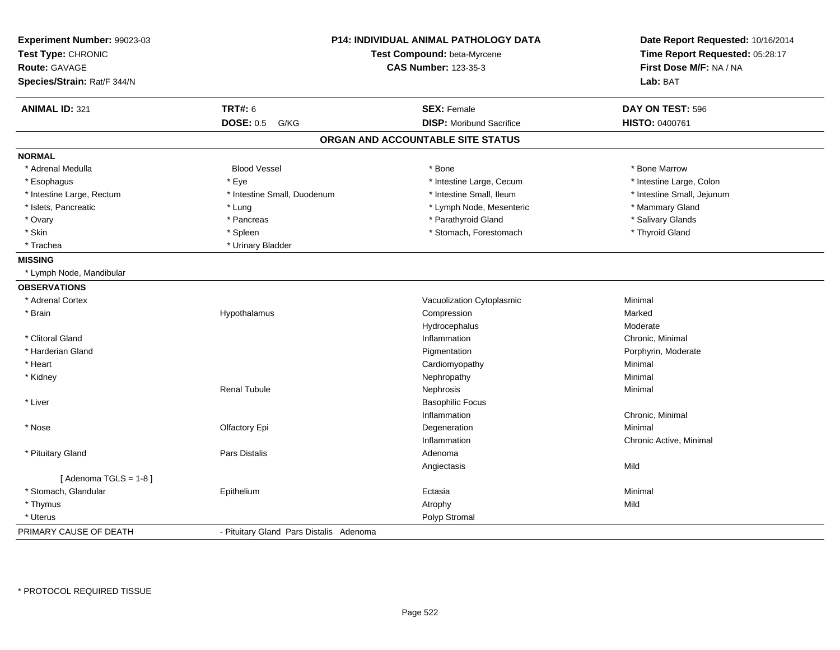| Experiment Number: 99023-03<br>Test Type: CHRONIC<br><b>Route: GAVAGE</b><br>Species/Strain: Rat/F 344/N |                                         | <b>P14: INDIVIDUAL ANIMAL PATHOLOGY DATA</b><br>Test Compound: beta-Myrcene<br><b>CAS Number: 123-35-3</b> | Date Report Requested: 10/16/2014<br>Time Report Requested: 05:28:17<br>First Dose M/F: NA / NA<br>Lab: BAT |
|----------------------------------------------------------------------------------------------------------|-----------------------------------------|------------------------------------------------------------------------------------------------------------|-------------------------------------------------------------------------------------------------------------|
| <b>ANIMAL ID: 321</b>                                                                                    | <b>TRT#: 6</b>                          | <b>SEX: Female</b>                                                                                         | DAY ON TEST: 596                                                                                            |
|                                                                                                          | <b>DOSE: 0.5</b><br>G/KG                | <b>DISP: Moribund Sacrifice</b>                                                                            | HISTO: 0400761                                                                                              |
|                                                                                                          |                                         | ORGAN AND ACCOUNTABLE SITE STATUS                                                                          |                                                                                                             |
| <b>NORMAL</b>                                                                                            |                                         |                                                                                                            |                                                                                                             |
| * Adrenal Medulla                                                                                        | <b>Blood Vessel</b>                     | * Bone                                                                                                     | * Bone Marrow                                                                                               |
| * Esophagus                                                                                              | * Eye                                   | * Intestine Large, Cecum                                                                                   | * Intestine Large, Colon                                                                                    |
| * Intestine Large, Rectum                                                                                | * Intestine Small, Duodenum             | * Intestine Small, Ileum                                                                                   | * Intestine Small, Jejunum                                                                                  |
| * Islets, Pancreatic                                                                                     | * Lung                                  | * Lymph Node, Mesenteric                                                                                   | * Mammary Gland                                                                                             |
| * Ovary                                                                                                  | * Pancreas                              | * Parathyroid Gland                                                                                        | * Salivary Glands                                                                                           |
| * Skin                                                                                                   | * Spleen                                | * Stomach, Forestomach                                                                                     | * Thyroid Gland                                                                                             |
| * Trachea                                                                                                | * Urinary Bladder                       |                                                                                                            |                                                                                                             |
| <b>MISSING</b>                                                                                           |                                         |                                                                                                            |                                                                                                             |
| * Lymph Node, Mandibular                                                                                 |                                         |                                                                                                            |                                                                                                             |
| <b>OBSERVATIONS</b>                                                                                      |                                         |                                                                                                            |                                                                                                             |
| * Adrenal Cortex                                                                                         |                                         | Vacuolization Cytoplasmic                                                                                  | Minimal                                                                                                     |
| * Brain                                                                                                  | Hypothalamus                            | Compression                                                                                                | Marked                                                                                                      |
|                                                                                                          |                                         | Hydrocephalus                                                                                              | Moderate                                                                                                    |
| * Clitoral Gland                                                                                         |                                         | Inflammation                                                                                               | Chronic, Minimal                                                                                            |
| * Harderian Gland                                                                                        |                                         | Pigmentation                                                                                               | Porphyrin, Moderate                                                                                         |
| * Heart                                                                                                  |                                         | Cardiomyopathy                                                                                             | Minimal                                                                                                     |
| * Kidney                                                                                                 |                                         | Nephropathy                                                                                                | Minimal                                                                                                     |
|                                                                                                          | <b>Renal Tubule</b>                     | Nephrosis                                                                                                  | Minimal                                                                                                     |
| * Liver                                                                                                  |                                         | <b>Basophilic Focus</b>                                                                                    |                                                                                                             |
|                                                                                                          |                                         | Inflammation                                                                                               | Chronic, Minimal                                                                                            |
| * Nose                                                                                                   | Olfactory Epi                           | Degeneration                                                                                               | Minimal                                                                                                     |
|                                                                                                          |                                         | Inflammation                                                                                               | Chronic Active, Minimal                                                                                     |
| * Pituitary Gland                                                                                        | Pars Distalis                           | Adenoma                                                                                                    |                                                                                                             |
|                                                                                                          |                                         | Angiectasis                                                                                                | Mild                                                                                                        |
| [Adenoma TGLS = $1-8$ ]                                                                                  |                                         |                                                                                                            |                                                                                                             |
| * Stomach, Glandular                                                                                     | Epithelium                              | Ectasia                                                                                                    | Minimal                                                                                                     |
| * Thymus                                                                                                 |                                         | Atrophy                                                                                                    | Mild                                                                                                        |
| * Uterus                                                                                                 |                                         | Polyp Stromal                                                                                              |                                                                                                             |
| PRIMARY CAUSE OF DEATH                                                                                   | - Pituitary Gland Pars Distalis Adenoma |                                                                                                            |                                                                                                             |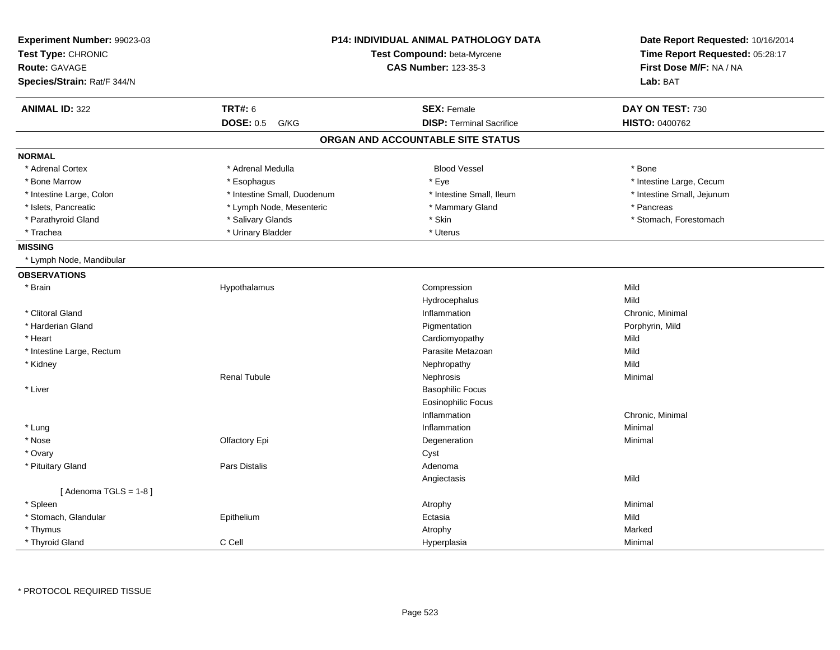| Test Compound: beta-Myrcene<br>Test Type: CHRONIC<br><b>Route: GAVAGE</b><br><b>CAS Number: 123-35-3</b><br>Species/Strain: Rat/F 344/N<br>Lab: BAT<br><b>TRT#: 6</b><br><b>ANIMAL ID: 322</b><br><b>SEX: Female</b><br>DAY ON TEST: 730<br><b>DOSE: 0.5</b><br><b>DISP: Terminal Sacrifice</b><br><b>HISTO: 0400762</b><br>G/KG<br>ORGAN AND ACCOUNTABLE SITE STATUS | Date Report Requested: 10/16/2014 |
|-----------------------------------------------------------------------------------------------------------------------------------------------------------------------------------------------------------------------------------------------------------------------------------------------------------------------------------------------------------------------|-----------------------------------|
|                                                                                                                                                                                                                                                                                                                                                                       | Time Report Requested: 05:28:17   |
|                                                                                                                                                                                                                                                                                                                                                                       | First Dose M/F: NA / NA           |
|                                                                                                                                                                                                                                                                                                                                                                       |                                   |
|                                                                                                                                                                                                                                                                                                                                                                       |                                   |
|                                                                                                                                                                                                                                                                                                                                                                       |                                   |
|                                                                                                                                                                                                                                                                                                                                                                       |                                   |
| <b>NORMAL</b>                                                                                                                                                                                                                                                                                                                                                         |                                   |
| * Adrenal Cortex<br>* Adrenal Medulla<br><b>Blood Vessel</b><br>* Bone                                                                                                                                                                                                                                                                                                |                                   |
| * Bone Marrow<br>* Eye<br>* Esophagus                                                                                                                                                                                                                                                                                                                                 | * Intestine Large, Cecum          |
| * Intestine Small, Duodenum<br>* Intestine Small, Ileum<br>* Intestine Large, Colon                                                                                                                                                                                                                                                                                   | * Intestine Small, Jejunum        |
| * Lymph Node, Mesenteric<br>* Mammary Gland<br>* Pancreas<br>* Islets, Pancreatic                                                                                                                                                                                                                                                                                     |                                   |
| * Parathyroid Gland<br>* Salivary Glands<br>* Skin                                                                                                                                                                                                                                                                                                                    | * Stomach, Forestomach            |
| * Trachea<br>* Urinary Bladder<br>* Uterus                                                                                                                                                                                                                                                                                                                            |                                   |
| <b>MISSING</b>                                                                                                                                                                                                                                                                                                                                                        |                                   |
| * Lymph Node, Mandibular                                                                                                                                                                                                                                                                                                                                              |                                   |
| <b>OBSERVATIONS</b>                                                                                                                                                                                                                                                                                                                                                   |                                   |
| * Brain<br>Hypothalamus<br>Compression<br>Mild                                                                                                                                                                                                                                                                                                                        |                                   |
| Mild<br>Hydrocephalus                                                                                                                                                                                                                                                                                                                                                 |                                   |
| * Clitoral Gland<br>Inflammation<br>Chronic, Minimal                                                                                                                                                                                                                                                                                                                  |                                   |
| * Harderian Gland<br>Pigmentation<br>Porphyrin, Mild                                                                                                                                                                                                                                                                                                                  |                                   |
| Mild<br>* Heart<br>Cardiomyopathy                                                                                                                                                                                                                                                                                                                                     |                                   |
| * Intestine Large, Rectum<br>Parasite Metazoan<br>Mild                                                                                                                                                                                                                                                                                                                |                                   |
| Mild<br>* Kidney<br>Nephropathy                                                                                                                                                                                                                                                                                                                                       |                                   |
| <b>Renal Tubule</b><br>Nephrosis<br>Minimal                                                                                                                                                                                                                                                                                                                           |                                   |
| * Liver<br><b>Basophilic Focus</b>                                                                                                                                                                                                                                                                                                                                    |                                   |
| <b>Eosinophilic Focus</b>                                                                                                                                                                                                                                                                                                                                             |                                   |
| Chronic, Minimal<br>Inflammation                                                                                                                                                                                                                                                                                                                                      |                                   |
| * Lung<br>Inflammation<br>Minimal                                                                                                                                                                                                                                                                                                                                     |                                   |
| * Nose<br>Olfactory Epi<br>Degeneration<br>Minimal                                                                                                                                                                                                                                                                                                                    |                                   |
| * Ovary<br>Cyst                                                                                                                                                                                                                                                                                                                                                       |                                   |
| <b>Pars Distalis</b><br>Adenoma<br>* Pituitary Gland                                                                                                                                                                                                                                                                                                                  |                                   |
| Mild<br>Angiectasis                                                                                                                                                                                                                                                                                                                                                   |                                   |
| [Adenoma TGLS = $1-8$ ]                                                                                                                                                                                                                                                                                                                                               |                                   |
| * Spleen<br>Atrophy<br>Minimal                                                                                                                                                                                                                                                                                                                                        |                                   |
| Mild<br>* Stomach, Glandular<br>Epithelium<br>Ectasia                                                                                                                                                                                                                                                                                                                 |                                   |
| * Thymus<br>Atrophy<br>Marked                                                                                                                                                                                                                                                                                                                                         |                                   |
| * Thyroid Gland<br>C Cell<br>Hyperplasia<br>Minimal                                                                                                                                                                                                                                                                                                                   |                                   |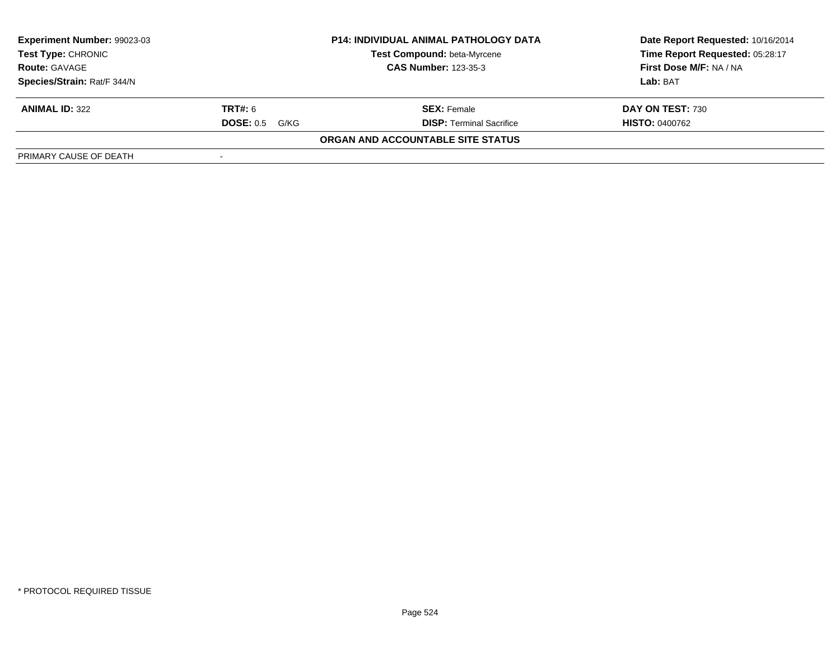| Experiment Number: 99023-03                                                                                     |                          | <b>P14: INDIVIDUAL ANIMAL PATHOLOGY DATA</b> | Date Report Requested: 10/16/2014 |
|-----------------------------------------------------------------------------------------------------------------|--------------------------|----------------------------------------------|-----------------------------------|
| Test Compound: beta-Myrcene<br><b>Test Type: CHRONIC</b><br><b>CAS Number: 123-35-3</b><br><b>Route: GAVAGE</b> |                          |                                              | Time Report Requested: 05:28:17   |
|                                                                                                                 |                          |                                              | First Dose M/F: NA / NA           |
| Species/Strain: Rat/F 344/N                                                                                     |                          |                                              | Lab: BAT                          |
| <b>ANIMAL ID: 322</b>                                                                                           | <b>TRT#:</b> 6           | <b>SEX: Female</b>                           | DAY ON TEST: 730                  |
|                                                                                                                 | <b>DOSE: 0.5</b><br>G/KG | <b>DISP: Terminal Sacrifice</b>              | <b>HISTO: 0400762</b>             |
|                                                                                                                 |                          | ORGAN AND ACCOUNTABLE SITE STATUS            |                                   |
| PRIMARY CAUSE OF DEATH                                                                                          |                          |                                              |                                   |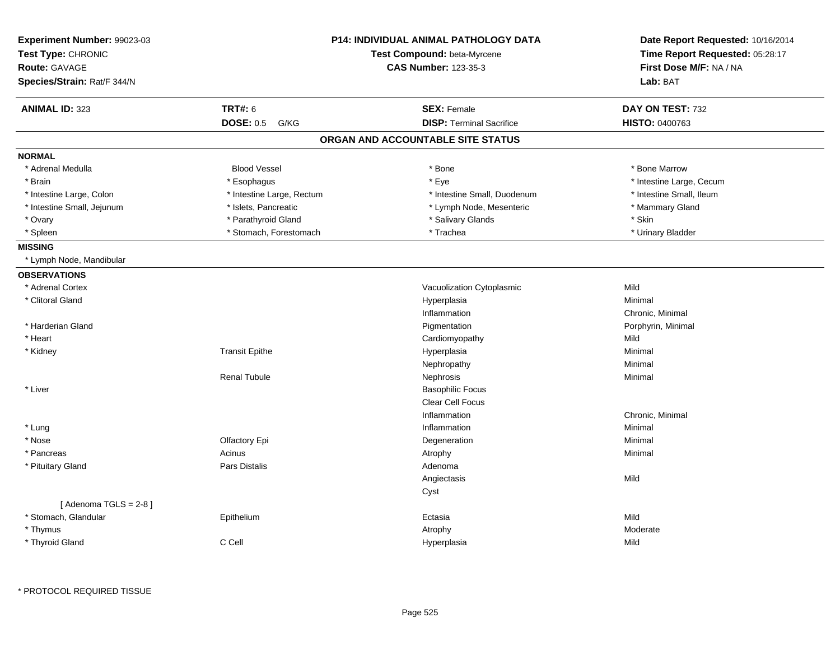| Experiment Number: 99023-03 |                           | P14: INDIVIDUAL ANIMAL PATHOLOGY DATA | Date Report Requested: 10/16/2014 |  |
|-----------------------------|---------------------------|---------------------------------------|-----------------------------------|--|
| Test Type: CHRONIC          |                           | Test Compound: beta-Myrcene           | Time Report Requested: 05:28:17   |  |
| Route: GAVAGE               |                           | <b>CAS Number: 123-35-3</b>           | First Dose M/F: NA / NA           |  |
| Species/Strain: Rat/F 344/N |                           |                                       | Lab: BAT                          |  |
| <b>ANIMAL ID: 323</b>       | <b>TRT#: 6</b>            | <b>SEX: Female</b>                    | DAY ON TEST: 732                  |  |
|                             | <b>DOSE: 0.5</b><br>G/KG  | <b>DISP: Terminal Sacrifice</b>       | HISTO: 0400763                    |  |
|                             |                           | ORGAN AND ACCOUNTABLE SITE STATUS     |                                   |  |
| <b>NORMAL</b>               |                           |                                       |                                   |  |
| * Adrenal Medulla           | <b>Blood Vessel</b>       | * Bone                                | * Bone Marrow                     |  |
| * Brain                     | * Esophagus               | * Eye                                 | * Intestine Large, Cecum          |  |
| * Intestine Large, Colon    | * Intestine Large, Rectum | * Intestine Small, Duodenum           | * Intestine Small, Ileum          |  |
| * Intestine Small, Jejunum  | * Islets, Pancreatic      | * Lymph Node, Mesenteric              | * Mammary Gland                   |  |
| * Ovary                     | * Parathyroid Gland       | * Salivary Glands                     | * Skin                            |  |
| * Spleen                    | * Stomach, Forestomach    | * Trachea                             | * Urinary Bladder                 |  |
| <b>MISSING</b>              |                           |                                       |                                   |  |
| * Lymph Node, Mandibular    |                           |                                       |                                   |  |
| <b>OBSERVATIONS</b>         |                           |                                       |                                   |  |
| * Adrenal Cortex            |                           | Vacuolization Cytoplasmic             | Mild                              |  |
| * Clitoral Gland            |                           | Hyperplasia                           | Minimal                           |  |
|                             |                           | Inflammation                          | Chronic, Minimal                  |  |
| * Harderian Gland           |                           | Pigmentation                          | Porphyrin, Minimal                |  |
| * Heart                     |                           | Cardiomyopathy                        | Mild                              |  |
| * Kidney                    | <b>Transit Epithe</b>     | Hyperplasia                           | Minimal                           |  |
|                             |                           | Nephropathy                           | Minimal                           |  |
|                             | <b>Renal Tubule</b>       | Nephrosis                             | Minimal                           |  |
| * Liver                     |                           | <b>Basophilic Focus</b>               |                                   |  |
|                             |                           | Clear Cell Focus                      |                                   |  |
|                             |                           | Inflammation                          | Chronic, Minimal                  |  |
| * Lung                      |                           | Inflammation                          | Minimal                           |  |
| * Nose                      | Olfactory Epi             | Degeneration                          | Minimal                           |  |
| * Pancreas                  | Acinus                    | Atrophy                               | Minimal                           |  |
| * Pituitary Gland           | Pars Distalis             | Adenoma                               |                                   |  |
|                             |                           | Angiectasis                           | Mild                              |  |
|                             |                           | Cyst                                  |                                   |  |
| [Adenoma TGLS = $2-8$ ]     |                           |                                       |                                   |  |
| * Stomach, Glandular        | Epithelium                | Ectasia                               | Mild                              |  |
| * Thymus                    |                           | Atrophy                               | Moderate                          |  |
| * Thyroid Gland             | C Cell                    | Hyperplasia                           | Mild                              |  |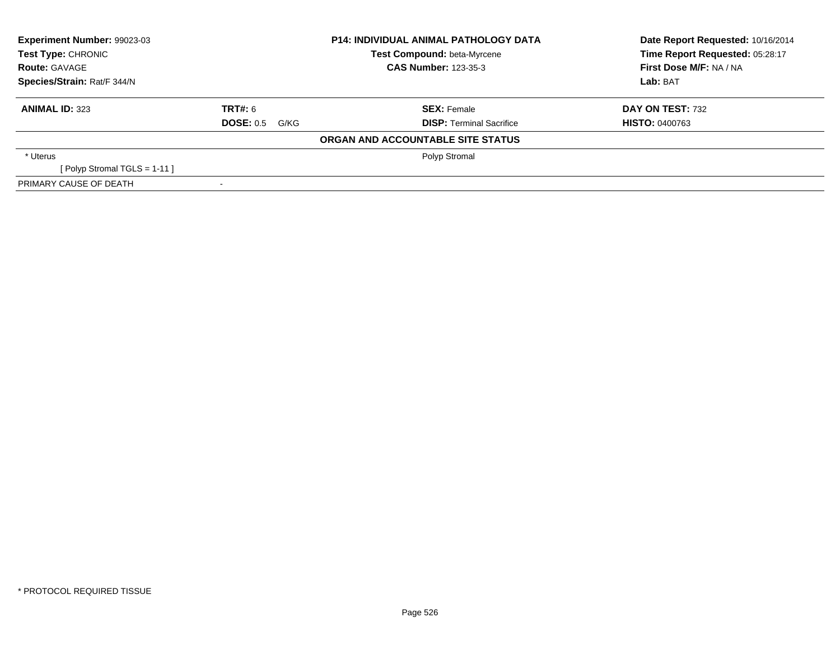| Experiment Number: 99023-03 |                   | <b>P14: INDIVIDUAL ANIMAL PATHOLOGY DATA</b> | Date Report Requested: 10/16/2014 |  |
|-----------------------------|-------------------|----------------------------------------------|-----------------------------------|--|
| Test Type: CHRONIC          |                   | Test Compound: beta-Myrcene                  | Time Report Requested: 05:28:17   |  |
| <b>Route: GAVAGE</b>        |                   | <b>CAS Number: 123-35-3</b>                  | First Dose M/F: NA / NA           |  |
| Species/Strain: Rat/F 344/N |                   |                                              | Lab: BAT                          |  |
| <b>ANIMAL ID: 323</b>       | TRT#: 6           | <b>SEX: Female</b>                           | DAY ON TEST: 732                  |  |
|                             | DOSE: 0.5<br>G/KG | <b>DISP:</b> Terminal Sacrifice              | <b>HISTO: 0400763</b>             |  |
|                             |                   | ORGAN AND ACCOUNTABLE SITE STATUS            |                                   |  |
| * Uterus                    |                   | Polyp Stromal                                |                                   |  |
| [Polyp Stromal TGLS = 1-11] |                   |                                              |                                   |  |
| PRIMARY CAUSE OF DEATH      |                   |                                              |                                   |  |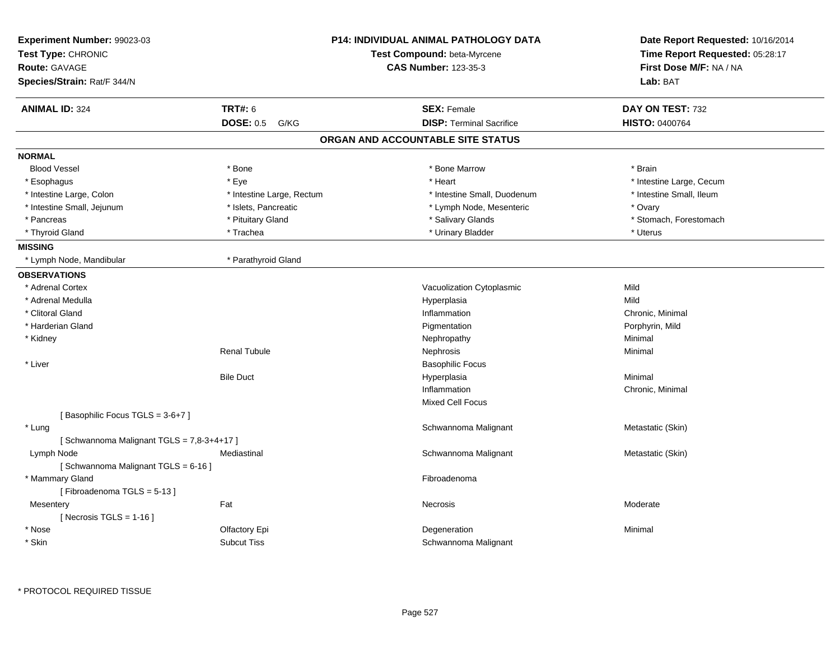| Experiment Number: 99023-03<br>Test Type: CHRONIC |                           | <b>P14: INDIVIDUAL ANIMAL PATHOLOGY DATA</b><br>Test Compound: beta-Myrcene | Date Report Requested: 10/16/2014<br>Time Report Requested: 05:28:17 |
|---------------------------------------------------|---------------------------|-----------------------------------------------------------------------------|----------------------------------------------------------------------|
| <b>Route: GAVAGE</b>                              |                           | <b>CAS Number: 123-35-3</b>                                                 | First Dose M/F: NA / NA                                              |
| Species/Strain: Rat/F 344/N                       |                           |                                                                             | Lab: BAT                                                             |
| <b>ANIMAL ID: 324</b>                             | <b>TRT#: 6</b>            | <b>SEX: Female</b>                                                          | DAY ON TEST: 732                                                     |
|                                                   | <b>DOSE: 0.5</b><br>G/KG  | <b>DISP: Terminal Sacrifice</b>                                             | <b>HISTO: 0400764</b>                                                |
|                                                   |                           | ORGAN AND ACCOUNTABLE SITE STATUS                                           |                                                                      |
| <b>NORMAL</b>                                     |                           |                                                                             |                                                                      |
| <b>Blood Vessel</b>                               | * Bone                    | * Bone Marrow                                                               | * Brain                                                              |
| * Esophagus                                       | * Eye                     | * Heart                                                                     | * Intestine Large, Cecum                                             |
| * Intestine Large, Colon                          | * Intestine Large, Rectum | * Intestine Small, Duodenum                                                 | * Intestine Small, Ileum                                             |
| * Intestine Small, Jejunum                        | * Islets, Pancreatic      | * Lymph Node, Mesenteric                                                    | * Ovary                                                              |
| * Pancreas                                        | * Pituitary Gland         | * Salivary Glands                                                           | * Stomach, Forestomach                                               |
| * Thyroid Gland                                   | * Trachea                 | * Urinary Bladder                                                           | * Uterus                                                             |
| <b>MISSING</b>                                    |                           |                                                                             |                                                                      |
| * Lymph Node, Mandibular                          | * Parathyroid Gland       |                                                                             |                                                                      |
| <b>OBSERVATIONS</b>                               |                           |                                                                             |                                                                      |
| * Adrenal Cortex                                  |                           | Vacuolization Cytoplasmic                                                   | Mild                                                                 |
| * Adrenal Medulla                                 |                           | Hyperplasia                                                                 | Mild                                                                 |
| * Clitoral Gland                                  |                           | Inflammation                                                                | Chronic, Minimal                                                     |
| * Harderian Gland                                 |                           | Pigmentation                                                                | Porphyrin, Mild                                                      |
| * Kidney                                          |                           | Nephropathy                                                                 | Minimal                                                              |
|                                                   | <b>Renal Tubule</b>       | Nephrosis                                                                   | Minimal                                                              |
| * Liver                                           |                           | <b>Basophilic Focus</b>                                                     |                                                                      |
|                                                   | <b>Bile Duct</b>          | Hyperplasia                                                                 | Minimal                                                              |
|                                                   |                           | Inflammation                                                                | Chronic, Minimal                                                     |
|                                                   |                           | <b>Mixed Cell Focus</b>                                                     |                                                                      |
| [Basophilic Focus TGLS = 3-6+7]                   |                           |                                                                             |                                                                      |
| * Lung                                            |                           | Schwannoma Malignant                                                        | Metastatic (Skin)                                                    |
| [Schwannoma Malignant TGLS = 7,8-3+4+17]          |                           |                                                                             |                                                                      |
| Lymph Node                                        | Mediastinal               | Schwannoma Malignant                                                        | Metastatic (Skin)                                                    |
| [Schwannoma Malignant TGLS = 6-16]                |                           |                                                                             |                                                                      |
| * Mammary Gland                                   |                           | Fibroadenoma                                                                |                                                                      |
| [Fibroadenoma TGLS = 5-13]                        |                           |                                                                             |                                                                      |
| Mesentery                                         | Fat                       | Necrosis                                                                    | Moderate                                                             |
| [ Necrosis TGLS = $1-16$ ]                        |                           |                                                                             |                                                                      |
| * Nose                                            | Olfactory Epi             | Degeneration                                                                | Minimal                                                              |
| * Skin                                            | <b>Subcut Tiss</b>        | Schwannoma Malignant                                                        |                                                                      |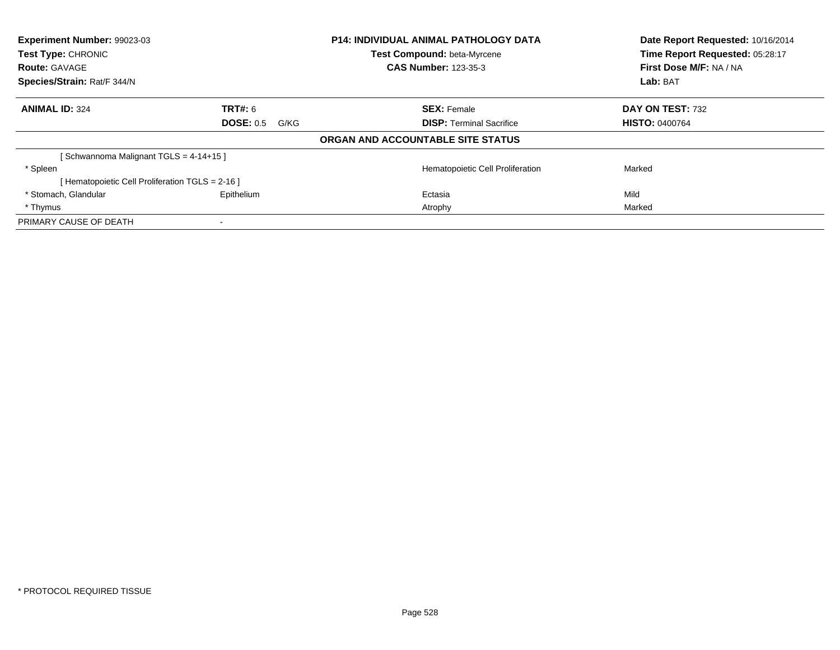| <b>Experiment Number: 99023-03</b><br>Test Type: CHRONIC |                   | <b>P14: INDIVIDUAL ANIMAL PATHOLOGY DATA</b> | Date Report Requested: 10/16/2014<br>Time Report Requested: 05:28:17 |  |
|----------------------------------------------------------|-------------------|----------------------------------------------|----------------------------------------------------------------------|--|
|                                                          |                   | <b>Test Compound: beta-Myrcene</b>           |                                                                      |  |
| <b>Route: GAVAGE</b>                                     |                   | <b>CAS Number: 123-35-3</b>                  | First Dose M/F: NA / NA                                              |  |
| Species/Strain: Rat/F 344/N                              |                   |                                              | Lab: BAT                                                             |  |
| <b>ANIMAL ID: 324</b>                                    | <b>TRT#: 6</b>    | <b>SEX: Female</b>                           | DAY ON TEST: 732                                                     |  |
|                                                          | DOSE: 0.5<br>G/KG | <b>DISP:</b> Terminal Sacrifice              | <b>HISTO: 0400764</b>                                                |  |
|                                                          |                   | ORGAN AND ACCOUNTABLE SITE STATUS            |                                                                      |  |
| Schwannoma Malignant TGLS = 4-14+15 ]                    |                   |                                              |                                                                      |  |
| * Spleen                                                 |                   | Hematopoietic Cell Proliferation             | Marked                                                               |  |
| [Hematopoietic Cell Proliferation TGLS = 2-16]           |                   |                                              |                                                                      |  |
| * Stomach, Glandular                                     | Epithelium        | Ectasia                                      | Mild                                                                 |  |
| * Thymus                                                 |                   | Atrophy                                      | Marked                                                               |  |
| PRIMARY CAUSE OF DEATH                                   |                   |                                              |                                                                      |  |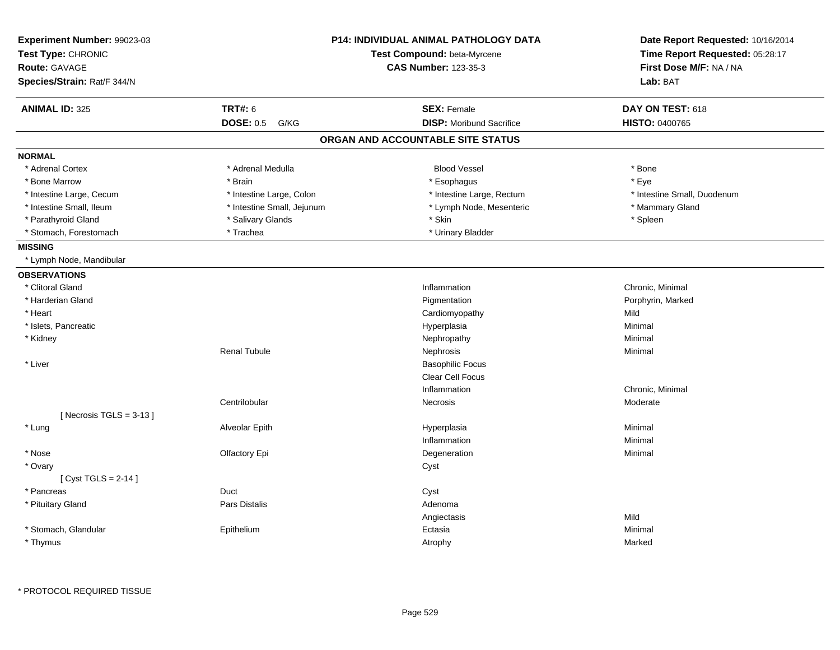| Experiment Number: 99023-03<br>Test Type: CHRONIC |                            | <b>P14: INDIVIDUAL ANIMAL PATHOLOGY DATA</b><br>Test Compound: beta-Myrcene | Date Report Requested: 10/16/2014<br>Time Report Requested: 05:28:17 |
|---------------------------------------------------|----------------------------|-----------------------------------------------------------------------------|----------------------------------------------------------------------|
| Route: GAVAGE                                     |                            | <b>CAS Number: 123-35-3</b>                                                 | First Dose M/F: NA / NA                                              |
| Species/Strain: Rat/F 344/N                       |                            |                                                                             | Lab: BAT                                                             |
| <b>ANIMAL ID: 325</b>                             | <b>TRT#: 6</b>             | <b>SEX: Female</b>                                                          | DAY ON TEST: 618                                                     |
|                                                   | <b>DOSE: 0.5</b><br>G/KG   | <b>DISP:</b> Moribund Sacrifice                                             | HISTO: 0400765                                                       |
|                                                   |                            | ORGAN AND ACCOUNTABLE SITE STATUS                                           |                                                                      |
| <b>NORMAL</b>                                     |                            |                                                                             |                                                                      |
| * Adrenal Cortex                                  | * Adrenal Medulla          | <b>Blood Vessel</b>                                                         | * Bone                                                               |
| * Bone Marrow                                     | * Brain                    | * Esophagus                                                                 | * Eye                                                                |
| * Intestine Large, Cecum                          | * Intestine Large, Colon   | * Intestine Large, Rectum                                                   | * Intestine Small, Duodenum                                          |
| * Intestine Small, Ileum                          | * Intestine Small, Jejunum | * Lymph Node, Mesenteric                                                    | * Mammary Gland                                                      |
| * Parathyroid Gland                               | * Salivary Glands          | * Skin                                                                      | * Spleen                                                             |
| * Stomach, Forestomach                            | * Trachea                  | * Urinary Bladder                                                           |                                                                      |
| <b>MISSING</b>                                    |                            |                                                                             |                                                                      |
| * Lymph Node, Mandibular                          |                            |                                                                             |                                                                      |
| <b>OBSERVATIONS</b>                               |                            |                                                                             |                                                                      |
| * Clitoral Gland                                  |                            | Inflammation                                                                | Chronic, Minimal                                                     |
| * Harderian Gland                                 |                            | Pigmentation                                                                | Porphyrin, Marked                                                    |
| * Heart                                           |                            | Cardiomyopathy                                                              | Mild                                                                 |
| * Islets, Pancreatic                              |                            | Hyperplasia                                                                 | Minimal                                                              |
| * Kidney                                          |                            | Nephropathy                                                                 | Minimal                                                              |
|                                                   | <b>Renal Tubule</b>        | Nephrosis                                                                   | Minimal                                                              |
| * Liver                                           |                            | <b>Basophilic Focus</b>                                                     |                                                                      |
|                                                   |                            | <b>Clear Cell Focus</b>                                                     |                                                                      |
|                                                   |                            | Inflammation                                                                | Chronic, Minimal                                                     |
|                                                   | Centrilobular              | Necrosis                                                                    | Moderate                                                             |
| [Necrosis $TGLS = 3-13$ ]                         |                            |                                                                             |                                                                      |
| * Lung                                            | Alveolar Epith             | Hyperplasia                                                                 | Minimal                                                              |
|                                                   |                            | Inflammation                                                                | Minimal                                                              |
| * Nose                                            | Olfactory Epi              | Degeneration                                                                | Minimal                                                              |
| * Ovary                                           |                            | Cyst                                                                        |                                                                      |
| [ $Cyst TGLS = 2-14$ ]                            |                            |                                                                             |                                                                      |
| * Pancreas                                        | Duct                       | Cyst                                                                        |                                                                      |
| * Pituitary Gland                                 | Pars Distalis              | Adenoma                                                                     |                                                                      |
|                                                   |                            | Angiectasis                                                                 | Mild                                                                 |
| * Stomach, Glandular                              | Epithelium                 | Ectasia                                                                     | Minimal                                                              |
| * Thymus                                          |                            | Atrophy                                                                     | Marked                                                               |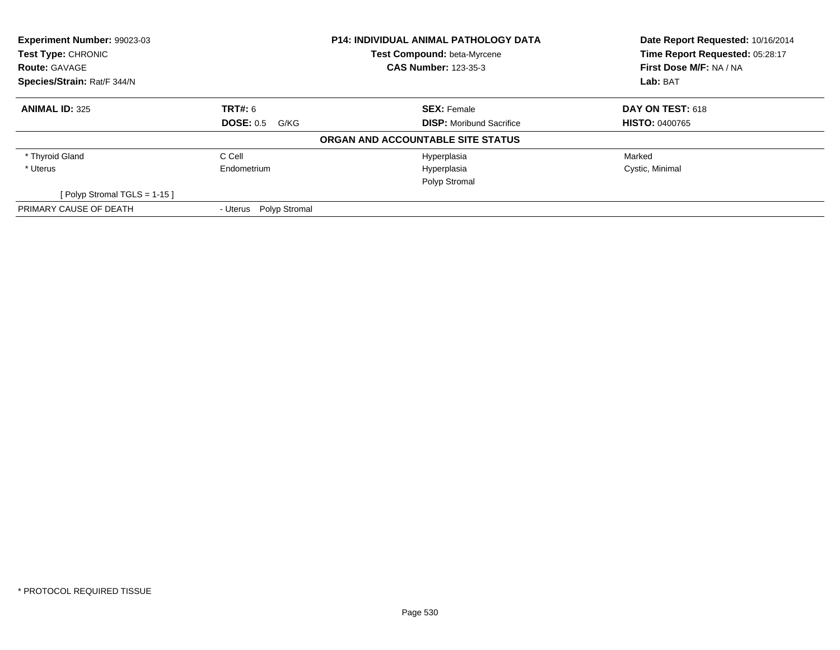| Experiment Number: 99023-03    |                          | <b>P14: INDIVIDUAL ANIMAL PATHOLOGY DATA</b> | Date Report Requested: 10/16/2014 |  |
|--------------------------------|--------------------------|----------------------------------------------|-----------------------------------|--|
| Test Type: CHRONIC             |                          | Test Compound: beta-Myrcene                  | Time Report Requested: 05:28:17   |  |
| <b>Route: GAVAGE</b>           |                          | <b>CAS Number: 123-35-3</b>                  | First Dose M/F: NA / NA           |  |
| Species/Strain: Rat/F 344/N    |                          |                                              | Lab: BAT                          |  |
| <b>ANIMAL ID: 325</b>          | <b>TRT#: 6</b>           | <b>SEX: Female</b>                           | <b>DAY ON TEST: 618</b>           |  |
|                                | <b>DOSE: 0.5</b><br>G/KG | <b>DISP:</b> Moribund Sacrifice              | <b>HISTO: 0400765</b>             |  |
|                                |                          | ORGAN AND ACCOUNTABLE SITE STATUS            |                                   |  |
| * Thyroid Gland                | C Cell                   | Hyperplasia                                  | Marked                            |  |
| * Uterus                       | Endometrium              | Hyperplasia                                  | Cystic, Minimal                   |  |
|                                |                          | Polyp Stromal                                |                                   |  |
| [Polyp Stromal TGLS = $1-15$ ] |                          |                                              |                                   |  |
| PRIMARY CAUSE OF DEATH         | - Uterus Polyp Stromal   |                                              |                                   |  |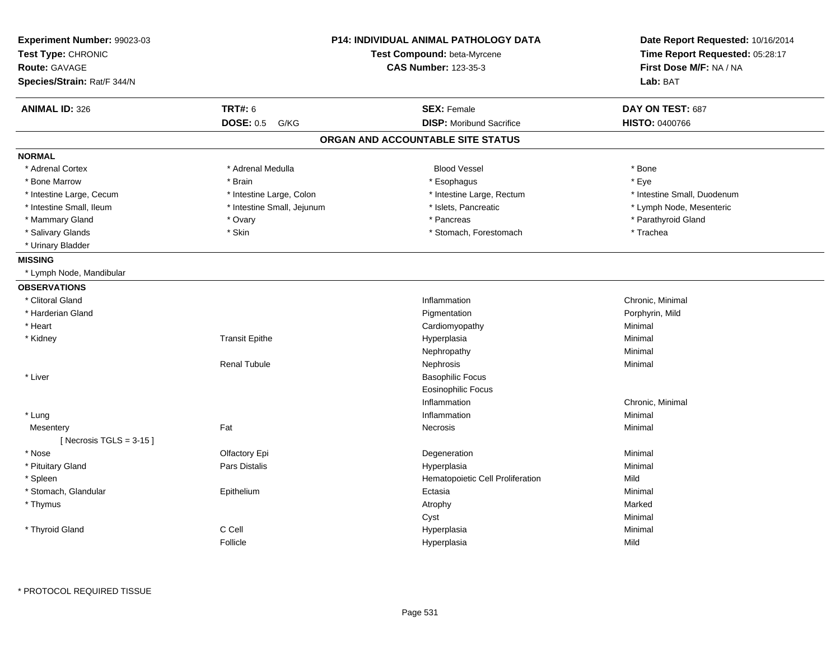| Experiment Number: 99023-03<br>Test Type: CHRONIC<br><b>Route: GAVAGE</b><br>Species/Strain: Rat/F 344/N |                            | <b>P14: INDIVIDUAL ANIMAL PATHOLOGY DATA</b><br>Test Compound: beta-Myrcene<br><b>CAS Number: 123-35-3</b> | Date Report Requested: 10/16/2014<br>Time Report Requested: 05:28:17<br>First Dose M/F: NA / NA<br>Lab: BAT |
|----------------------------------------------------------------------------------------------------------|----------------------------|------------------------------------------------------------------------------------------------------------|-------------------------------------------------------------------------------------------------------------|
| <b>ANIMAL ID: 326</b>                                                                                    | <b>TRT#: 6</b>             | <b>SEX: Female</b>                                                                                         | DAY ON TEST: 687                                                                                            |
|                                                                                                          | <b>DOSE: 0.5</b><br>G/KG   | <b>DISP:</b> Moribund Sacrifice                                                                            | <b>HISTO: 0400766</b>                                                                                       |
|                                                                                                          |                            | ORGAN AND ACCOUNTABLE SITE STATUS                                                                          |                                                                                                             |
| <b>NORMAL</b>                                                                                            |                            |                                                                                                            |                                                                                                             |
| * Adrenal Cortex                                                                                         | * Adrenal Medulla          | <b>Blood Vessel</b>                                                                                        | * Bone                                                                                                      |
| * Bone Marrow                                                                                            | * Brain                    | * Esophagus                                                                                                | * Eye                                                                                                       |
| * Intestine Large, Cecum                                                                                 | * Intestine Large, Colon   | * Intestine Large, Rectum                                                                                  | * Intestine Small, Duodenum                                                                                 |
| * Intestine Small, Ileum                                                                                 | * Intestine Small, Jejunum | * Islets, Pancreatic                                                                                       | * Lymph Node, Mesenteric                                                                                    |
| * Mammary Gland                                                                                          | * Ovary                    | * Pancreas                                                                                                 | * Parathyroid Gland                                                                                         |
| * Salivary Glands                                                                                        | * Skin                     | * Stomach, Forestomach                                                                                     | * Trachea                                                                                                   |
| * Urinary Bladder                                                                                        |                            |                                                                                                            |                                                                                                             |
| <b>MISSING</b>                                                                                           |                            |                                                                                                            |                                                                                                             |
| * Lymph Node, Mandibular                                                                                 |                            |                                                                                                            |                                                                                                             |
| <b>OBSERVATIONS</b>                                                                                      |                            |                                                                                                            |                                                                                                             |
| * Clitoral Gland                                                                                         |                            | Inflammation                                                                                               | Chronic, Minimal                                                                                            |
| * Harderian Gland                                                                                        |                            | Pigmentation                                                                                               | Porphyrin, Mild                                                                                             |
| * Heart                                                                                                  |                            | Cardiomyopathy                                                                                             | Minimal                                                                                                     |
| * Kidney                                                                                                 | <b>Transit Epithe</b>      | Hyperplasia                                                                                                | Minimal                                                                                                     |
|                                                                                                          |                            | Nephropathy                                                                                                | Minimal                                                                                                     |
|                                                                                                          | <b>Renal Tubule</b>        | Nephrosis                                                                                                  | Minimal                                                                                                     |
| * Liver                                                                                                  |                            | <b>Basophilic Focus</b>                                                                                    |                                                                                                             |
|                                                                                                          |                            | <b>Eosinophilic Focus</b>                                                                                  |                                                                                                             |
|                                                                                                          |                            | Inflammation                                                                                               | Chronic, Minimal                                                                                            |
| * Lung                                                                                                   |                            | Inflammation                                                                                               | Minimal                                                                                                     |
| Mesentery                                                                                                | Fat                        | <b>Necrosis</b>                                                                                            | Minimal                                                                                                     |
| [Necrosis TGLS = $3-15$ ]                                                                                |                            |                                                                                                            |                                                                                                             |
| * Nose                                                                                                   | Olfactory Epi              | Degeneration                                                                                               | Minimal                                                                                                     |
| * Pituitary Gland                                                                                        | <b>Pars Distalis</b>       | Hyperplasia                                                                                                | Minimal                                                                                                     |
| * Spleen                                                                                                 |                            | Hematopoietic Cell Proliferation                                                                           | Mild                                                                                                        |
| * Stomach, Glandular                                                                                     | Epithelium                 | Ectasia                                                                                                    | Minimal                                                                                                     |
| * Thymus                                                                                                 |                            | Atrophy                                                                                                    | Marked                                                                                                      |
|                                                                                                          |                            | Cyst                                                                                                       | Minimal                                                                                                     |
| * Thyroid Gland                                                                                          | C Cell                     | Hyperplasia                                                                                                | Minimal                                                                                                     |
|                                                                                                          | Follicle                   | Hyperplasia                                                                                                | Mild                                                                                                        |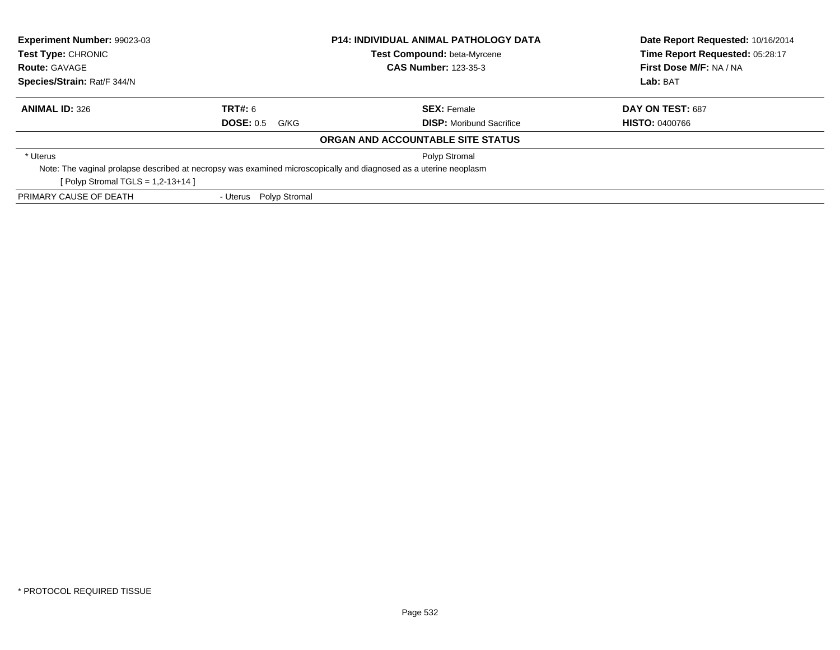| Experiment Number: 99023-03<br><b>P14: INDIVIDUAL ANIMAL PATHOLOGY DATA</b><br><b>Test Type: CHRONIC</b><br><b>Test Compound: beta-Myrcene</b><br><b>CAS Number: 123-35-3</b><br><b>Route: GAVAGE</b> |                                                                                                                   | Date Report Requested: 10/16/2014<br>Time Report Requested: 05:28:17<br>First Dose M/F: NA / NA |                       |
|-------------------------------------------------------------------------------------------------------------------------------------------------------------------------------------------------------|-------------------------------------------------------------------------------------------------------------------|-------------------------------------------------------------------------------------------------|-----------------------|
| Species/Strain: Rat/F 344/N                                                                                                                                                                           |                                                                                                                   |                                                                                                 | Lab: BAT              |
| <b>ANIMAL ID: 326</b>                                                                                                                                                                                 | <b>TRT#: 6</b>                                                                                                    | <b>SEX: Female</b>                                                                              | DAY ON TEST: 687      |
|                                                                                                                                                                                                       | <b>DOSE: 0.5</b><br>G/KG                                                                                          | <b>DISP:</b> Moribund Sacrifice                                                                 | <b>HISTO: 0400766</b> |
|                                                                                                                                                                                                       |                                                                                                                   | ORGAN AND ACCOUNTABLE SITE STATUS                                                               |                       |
| * Uterus                                                                                                                                                                                              |                                                                                                                   | Polyp Stromal                                                                                   |                       |
|                                                                                                                                                                                                       | Note: The vaginal prolapse described at necropsy was examined microscopically and diagnosed as a uterine neoplasm |                                                                                                 |                       |
| [ Polyp Stromal TGLS = $1,2-13+14$ ]                                                                                                                                                                  |                                                                                                                   |                                                                                                 |                       |
| PRIMARY CAUSE OF DEATH                                                                                                                                                                                | - Uterus Polyp Stromal                                                                                            |                                                                                                 |                       |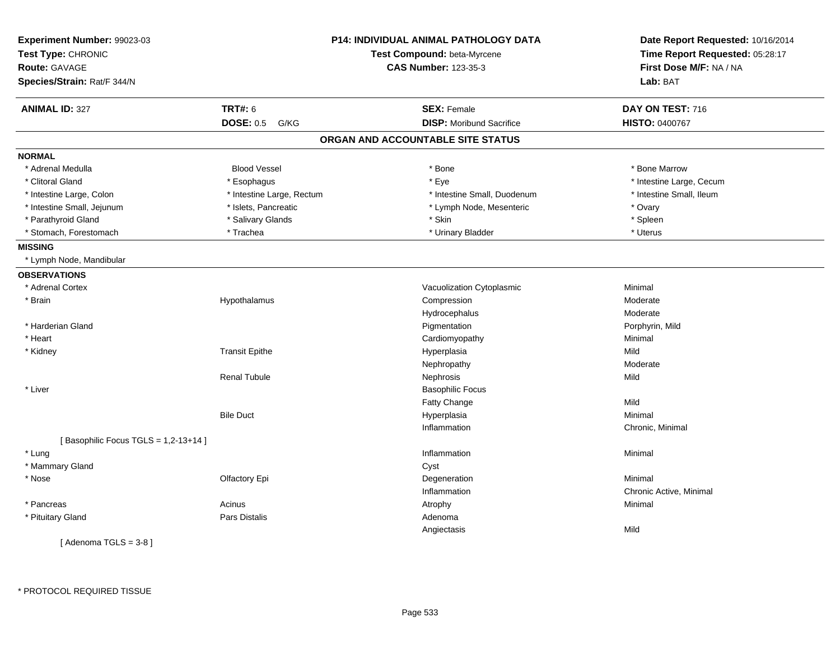| Experiment Number: 99023-03<br>Test Type: CHRONIC<br><b>Route: GAVAGE</b><br>Species/Strain: Rat/F 344/N |                           | <b>P14: INDIVIDUAL ANIMAL PATHOLOGY DATA</b><br>Test Compound: beta-Myrcene<br><b>CAS Number: 123-35-3</b> | Date Report Requested: 10/16/2014<br>Time Report Requested: 05:28:17<br>First Dose M/F: NA / NA<br>Lab: BAT |
|----------------------------------------------------------------------------------------------------------|---------------------------|------------------------------------------------------------------------------------------------------------|-------------------------------------------------------------------------------------------------------------|
|                                                                                                          |                           |                                                                                                            |                                                                                                             |
| <b>ANIMAL ID: 327</b>                                                                                    | <b>TRT#: 6</b>            | <b>SEX: Female</b>                                                                                         | DAY ON TEST: 716                                                                                            |
|                                                                                                          | <b>DOSE: 0.5</b><br>G/KG  | <b>DISP:</b> Moribund Sacrifice                                                                            | HISTO: 0400767                                                                                              |
|                                                                                                          |                           | ORGAN AND ACCOUNTABLE SITE STATUS                                                                          |                                                                                                             |
| <b>NORMAL</b>                                                                                            |                           |                                                                                                            |                                                                                                             |
| * Adrenal Medulla                                                                                        | <b>Blood Vessel</b>       | * Bone                                                                                                     | * Bone Marrow                                                                                               |
| * Clitoral Gland                                                                                         | * Esophagus               | * Eye                                                                                                      | * Intestine Large, Cecum                                                                                    |
| * Intestine Large, Colon                                                                                 | * Intestine Large, Rectum | * Intestine Small, Duodenum                                                                                | * Intestine Small, Ileum                                                                                    |
| * Intestine Small, Jejunum                                                                               | * Islets, Pancreatic      | * Lymph Node, Mesenteric                                                                                   | * Ovary                                                                                                     |
| * Parathyroid Gland                                                                                      | * Salivary Glands         | * Skin                                                                                                     | * Spleen                                                                                                    |
| * Stomach, Forestomach                                                                                   | * Trachea                 | * Urinary Bladder                                                                                          | * Uterus                                                                                                    |
| <b>MISSING</b>                                                                                           |                           |                                                                                                            |                                                                                                             |
| * Lymph Node, Mandibular                                                                                 |                           |                                                                                                            |                                                                                                             |
| <b>OBSERVATIONS</b>                                                                                      |                           |                                                                                                            |                                                                                                             |
| * Adrenal Cortex                                                                                         |                           | Vacuolization Cytoplasmic                                                                                  | Minimal                                                                                                     |
| * Brain                                                                                                  | Hypothalamus              | Compression                                                                                                | Moderate                                                                                                    |
|                                                                                                          |                           | Hydrocephalus                                                                                              | Moderate                                                                                                    |
| * Harderian Gland                                                                                        |                           | Pigmentation                                                                                               | Porphyrin, Mild                                                                                             |
| * Heart                                                                                                  |                           | Cardiomyopathy                                                                                             | Minimal                                                                                                     |
| * Kidney                                                                                                 | <b>Transit Epithe</b>     | Hyperplasia                                                                                                | Mild                                                                                                        |
|                                                                                                          |                           | Nephropathy                                                                                                | Moderate                                                                                                    |
|                                                                                                          | <b>Renal Tubule</b>       | Nephrosis                                                                                                  | Mild                                                                                                        |
| * Liver                                                                                                  |                           | <b>Basophilic Focus</b>                                                                                    |                                                                                                             |
|                                                                                                          |                           | Fatty Change                                                                                               | Mild                                                                                                        |
|                                                                                                          | <b>Bile Duct</b>          | Hyperplasia                                                                                                | Minimal                                                                                                     |
|                                                                                                          |                           | Inflammation                                                                                               | Chronic, Minimal                                                                                            |
| [Basophilic Focus TGLS = 1,2-13+14]                                                                      |                           |                                                                                                            |                                                                                                             |
| * Lung                                                                                                   |                           | Inflammation                                                                                               | Minimal                                                                                                     |
| * Mammary Gland                                                                                          |                           | Cyst                                                                                                       |                                                                                                             |
| * Nose                                                                                                   | Olfactory Epi             | Degeneration                                                                                               | Minimal                                                                                                     |
|                                                                                                          |                           | Inflammation                                                                                               | Chronic Active, Minimal                                                                                     |
| * Pancreas                                                                                               | Acinus                    | Atrophy                                                                                                    | Minimal                                                                                                     |
| * Pituitary Gland                                                                                        | Pars Distalis             | Adenoma                                                                                                    |                                                                                                             |
|                                                                                                          |                           | Angiectasis                                                                                                | Mild                                                                                                        |
| [Adenoma TGLS = $3-8$ ]                                                                                  |                           |                                                                                                            |                                                                                                             |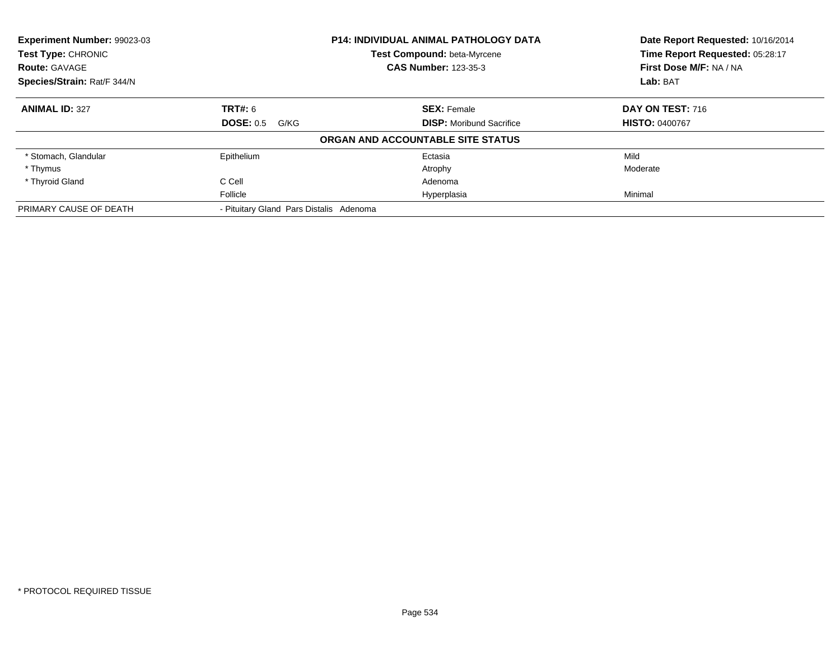| Experiment Number: 99023-03<br><b>Test Type: CHRONIC</b> |                                         | <b>P14: INDIVIDUAL ANIMAL PATHOLOGY DATA</b><br><b>Test Compound: beta-Myrcene</b> | Date Report Requested: 10/16/2014<br>Time Report Requested: 05:28:17 |
|----------------------------------------------------------|-----------------------------------------|------------------------------------------------------------------------------------|----------------------------------------------------------------------|
| <b>Route: GAVAGE</b>                                     | <b>CAS Number: 123-35-3</b>             |                                                                                    | First Dose M/F: NA / NA                                              |
| Species/Strain: Rat/F 344/N                              |                                         |                                                                                    | Lab: BAT                                                             |
| <b>ANIMAL ID: 327</b>                                    | <b>TRT#: 6</b>                          | <b>SEX: Female</b>                                                                 | DAY ON TEST: 716                                                     |
|                                                          | <b>DOSE: 0.5</b><br>G/KG                | <b>DISP:</b> Moribund Sacrifice                                                    | <b>HISTO: 0400767</b>                                                |
|                                                          |                                         | ORGAN AND ACCOUNTABLE SITE STATUS                                                  |                                                                      |
| * Stomach, Glandular                                     | Epithelium                              | Ectasia                                                                            | Mild                                                                 |
| * Thymus                                                 |                                         | Atrophy                                                                            | Moderate                                                             |
| * Thyroid Gland                                          | C Cell                                  | Adenoma                                                                            |                                                                      |
|                                                          | Follicle                                | Hyperplasia                                                                        | Minimal                                                              |
| PRIMARY CAUSE OF DEATH                                   | - Pituitary Gland Pars Distalis Adenoma |                                                                                    |                                                                      |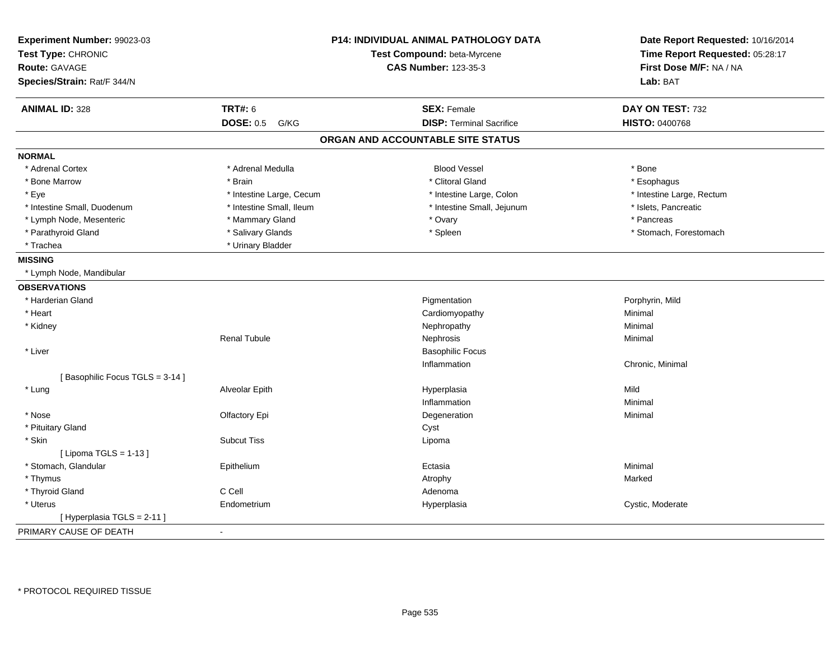| Experiment Number: 99023-03<br>Test Type: CHRONIC<br>Route: GAVAGE |                          | P14: INDIVIDUAL ANIMAL PATHOLOGY DATA<br>Test Compound: beta-Myrcene<br><b>CAS Number: 123-35-3</b> | Date Report Requested: 10/16/2014<br>Time Report Requested: 05:28:17<br>First Dose M/F: NA / NA |
|--------------------------------------------------------------------|--------------------------|-----------------------------------------------------------------------------------------------------|-------------------------------------------------------------------------------------------------|
| Species/Strain: Rat/F 344/N                                        |                          |                                                                                                     | Lab: BAT                                                                                        |
| <b>ANIMAL ID: 328</b>                                              | <b>TRT#: 6</b>           | <b>SEX: Female</b>                                                                                  | DAY ON TEST: 732                                                                                |
|                                                                    | <b>DOSE: 0.5</b><br>G/KG | <b>DISP: Terminal Sacrifice</b>                                                                     | <b>HISTO: 0400768</b>                                                                           |
|                                                                    |                          | ORGAN AND ACCOUNTABLE SITE STATUS                                                                   |                                                                                                 |
| <b>NORMAL</b>                                                      |                          |                                                                                                     |                                                                                                 |
| * Adrenal Cortex                                                   | * Adrenal Medulla        | <b>Blood Vessel</b>                                                                                 | * Bone                                                                                          |
| * Bone Marrow                                                      | * Brain                  | * Clitoral Gland                                                                                    | * Esophagus                                                                                     |
| * Eye                                                              | * Intestine Large, Cecum | * Intestine Large, Colon                                                                            | * Intestine Large, Rectum                                                                       |
| * Intestine Small, Duodenum                                        | * Intestine Small, Ileum | * Intestine Small, Jejunum                                                                          | * Islets, Pancreatic                                                                            |
| * Lymph Node, Mesenteric                                           | * Mammary Gland          | * Ovary                                                                                             | * Pancreas                                                                                      |
| * Parathyroid Gland                                                | * Salivary Glands        | * Spleen                                                                                            | * Stomach, Forestomach                                                                          |
| * Trachea                                                          | * Urinary Bladder        |                                                                                                     |                                                                                                 |
| <b>MISSING</b>                                                     |                          |                                                                                                     |                                                                                                 |
| * Lymph Node, Mandibular                                           |                          |                                                                                                     |                                                                                                 |
| <b>OBSERVATIONS</b>                                                |                          |                                                                                                     |                                                                                                 |
| * Harderian Gland                                                  |                          | Pigmentation                                                                                        | Porphyrin, Mild                                                                                 |
| * Heart                                                            |                          | Cardiomyopathy                                                                                      | Minimal                                                                                         |
| * Kidney                                                           |                          | Nephropathy                                                                                         | Minimal                                                                                         |
|                                                                    | <b>Renal Tubule</b>      | Nephrosis                                                                                           | Minimal                                                                                         |
| * Liver                                                            |                          | <b>Basophilic Focus</b>                                                                             |                                                                                                 |
|                                                                    |                          | Inflammation                                                                                        | Chronic, Minimal                                                                                |
| [Basophilic Focus TGLS = 3-14]                                     |                          |                                                                                                     |                                                                                                 |
| * Lung                                                             | Alveolar Epith           | Hyperplasia                                                                                         | Mild                                                                                            |
|                                                                    |                          | Inflammation                                                                                        | Minimal                                                                                         |
| * Nose                                                             | Olfactory Epi            | Degeneration                                                                                        | Minimal                                                                                         |
| * Pituitary Gland                                                  |                          | Cyst                                                                                                |                                                                                                 |
| * Skin                                                             | <b>Subcut Tiss</b>       | Lipoma                                                                                              |                                                                                                 |
| [ Lipoma TGLS = $1-13$ ]                                           |                          |                                                                                                     |                                                                                                 |
| * Stomach, Glandular                                               | Epithelium               | Ectasia                                                                                             | Minimal                                                                                         |
| * Thymus                                                           |                          | Atrophy                                                                                             | Marked                                                                                          |
| C Cell<br>* Thyroid Gland                                          |                          | Adenoma                                                                                             |                                                                                                 |
| * Uterus                                                           | Endometrium              | Hyperplasia                                                                                         | Cystic, Moderate                                                                                |
| [Hyperplasia TGLS = $2-11$ ]                                       |                          |                                                                                                     |                                                                                                 |
| PRIMARY CAUSE OF DEATH<br>$\sim$                                   |                          |                                                                                                     |                                                                                                 |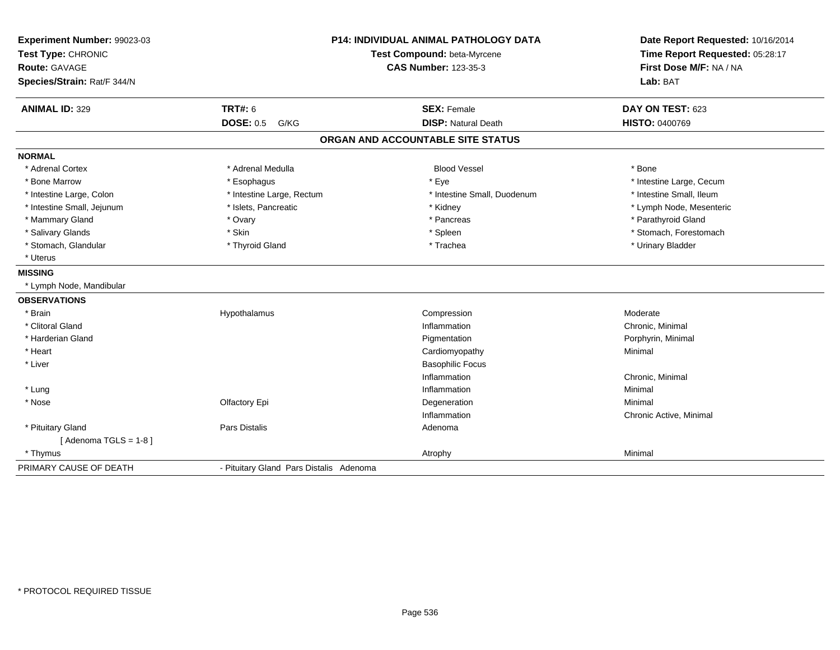| Experiment Number: 99023-03<br>Test Type: CHRONIC<br><b>Route: GAVAGE</b><br>Species/Strain: Rat/F 344/N | <b>P14: INDIVIDUAL ANIMAL PATHOLOGY DATA</b><br>Test Compound: beta-Myrcene<br><b>CAS Number: 123-35-3</b> |                                   | Date Report Requested: 10/16/2014<br>Time Report Requested: 05:28:17<br>First Dose M/F: NA / NA<br>Lab: BAT |  |
|----------------------------------------------------------------------------------------------------------|------------------------------------------------------------------------------------------------------------|-----------------------------------|-------------------------------------------------------------------------------------------------------------|--|
| <b>ANIMAL ID: 329</b>                                                                                    | <b>TRT#: 6</b>                                                                                             | <b>SEX: Female</b>                | DAY ON TEST: 623                                                                                            |  |
|                                                                                                          | <b>DOSE: 0.5</b><br>G/KG                                                                                   | <b>DISP: Natural Death</b>        | <b>HISTO: 0400769</b>                                                                                       |  |
|                                                                                                          |                                                                                                            | ORGAN AND ACCOUNTABLE SITE STATUS |                                                                                                             |  |
| <b>NORMAL</b>                                                                                            |                                                                                                            |                                   |                                                                                                             |  |
| * Adrenal Cortex                                                                                         | * Adrenal Medulla                                                                                          | <b>Blood Vessel</b>               | * Bone                                                                                                      |  |
| * Bone Marrow                                                                                            | * Esophagus                                                                                                | * Eye                             | * Intestine Large, Cecum                                                                                    |  |
| * Intestine Large, Colon                                                                                 | * Intestine Large, Rectum                                                                                  | * Intestine Small, Duodenum       | * Intestine Small, Ileum                                                                                    |  |
| * Intestine Small, Jejunum                                                                               | * Islets, Pancreatic                                                                                       | * Kidney                          | * Lymph Node, Mesenteric                                                                                    |  |
| * Mammary Gland                                                                                          | * Ovary                                                                                                    | * Pancreas                        | * Parathyroid Gland                                                                                         |  |
| * Salivary Glands                                                                                        | * Skin                                                                                                     | * Spleen                          | * Stomach, Forestomach                                                                                      |  |
| * Stomach, Glandular                                                                                     | * Thyroid Gland                                                                                            | * Trachea                         | * Urinary Bladder                                                                                           |  |
| * Uterus                                                                                                 |                                                                                                            |                                   |                                                                                                             |  |
| <b>MISSING</b>                                                                                           |                                                                                                            |                                   |                                                                                                             |  |
| * Lymph Node, Mandibular                                                                                 |                                                                                                            |                                   |                                                                                                             |  |
| <b>OBSERVATIONS</b>                                                                                      |                                                                                                            |                                   |                                                                                                             |  |
| * Brain                                                                                                  | Hypothalamus                                                                                               | Compression                       | Moderate                                                                                                    |  |
| * Clitoral Gland                                                                                         |                                                                                                            | Inflammation                      | Chronic, Minimal                                                                                            |  |
| * Harderian Gland                                                                                        |                                                                                                            | Pigmentation                      | Porphyrin, Minimal                                                                                          |  |
| * Heart                                                                                                  |                                                                                                            | Cardiomyopathy                    | Minimal                                                                                                     |  |
| * Liver                                                                                                  |                                                                                                            | <b>Basophilic Focus</b>           |                                                                                                             |  |
|                                                                                                          |                                                                                                            | Inflammation                      | Chronic, Minimal                                                                                            |  |
| * Lung                                                                                                   |                                                                                                            | Inflammation                      | Minimal                                                                                                     |  |
| * Nose                                                                                                   | Olfactory Epi                                                                                              | Degeneration                      | Minimal                                                                                                     |  |
|                                                                                                          |                                                                                                            | Inflammation                      | Chronic Active, Minimal                                                                                     |  |
| * Pituitary Gland                                                                                        | <b>Pars Distalis</b>                                                                                       | Adenoma                           |                                                                                                             |  |
| [Adenoma TGLS = $1-8$ ]                                                                                  |                                                                                                            |                                   |                                                                                                             |  |
| * Thymus                                                                                                 |                                                                                                            | Atrophy                           | Minimal                                                                                                     |  |
| PRIMARY CAUSE OF DEATH                                                                                   | - Pituitary Gland Pars Distalis Adenoma                                                                    |                                   |                                                                                                             |  |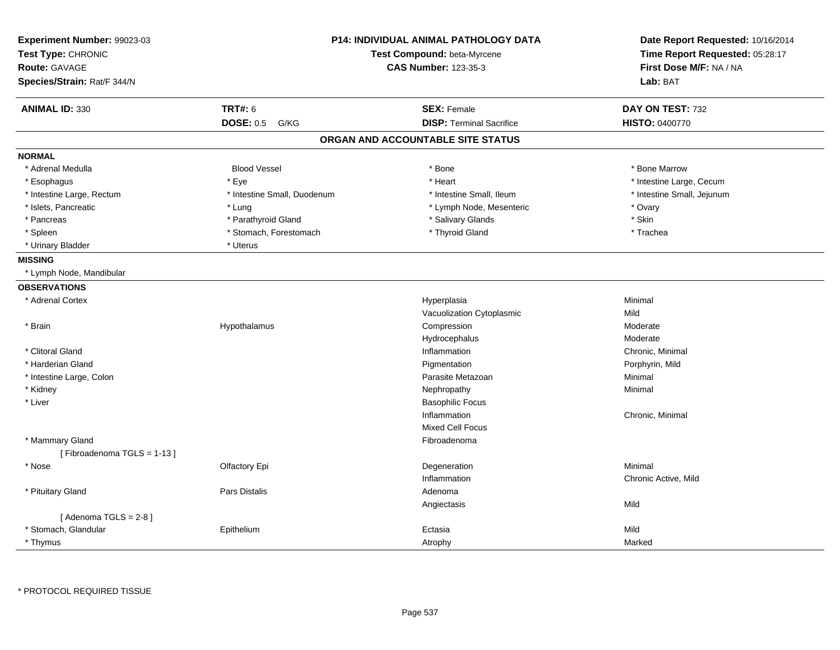| Experiment Number: 99023-03<br>Test Type: CHRONIC<br>Route: GAVAGE |                             | <b>P14: INDIVIDUAL ANIMAL PATHOLOGY DATA</b><br>Test Compound: beta-Myrcene<br><b>CAS Number: 123-35-3</b> | Date Report Requested: 10/16/2014<br>Time Report Requested: 05:28:17<br>First Dose M/F: NA / NA |
|--------------------------------------------------------------------|-----------------------------|------------------------------------------------------------------------------------------------------------|-------------------------------------------------------------------------------------------------|
| Species/Strain: Rat/F 344/N                                        |                             |                                                                                                            | Lab: BAT                                                                                        |
| <b>ANIMAL ID: 330</b>                                              | <b>TRT#: 6</b>              | <b>SEX: Female</b>                                                                                         | DAY ON TEST: 732                                                                                |
|                                                                    | <b>DOSE: 0.5</b><br>G/KG    | <b>DISP: Terminal Sacrifice</b>                                                                            | HISTO: 0400770                                                                                  |
|                                                                    |                             | ORGAN AND ACCOUNTABLE SITE STATUS                                                                          |                                                                                                 |
| <b>NORMAL</b>                                                      |                             |                                                                                                            |                                                                                                 |
| * Adrenal Medulla                                                  | <b>Blood Vessel</b>         | * Bone                                                                                                     | * Bone Marrow                                                                                   |
| * Esophagus                                                        | * Eye                       | * Heart                                                                                                    | * Intestine Large, Cecum                                                                        |
| * Intestine Large, Rectum                                          | * Intestine Small, Duodenum | * Intestine Small, Ileum                                                                                   | * Intestine Small, Jejunum                                                                      |
| * Islets, Pancreatic                                               | * Lung                      | * Lymph Node, Mesenteric                                                                                   | * Ovary                                                                                         |
| * Pancreas                                                         | * Parathyroid Gland         | * Salivary Glands                                                                                          | * Skin                                                                                          |
| * Spleen                                                           | * Stomach, Forestomach      | * Thyroid Gland                                                                                            | * Trachea                                                                                       |
| * Urinary Bladder                                                  | * Uterus                    |                                                                                                            |                                                                                                 |
| <b>MISSING</b>                                                     |                             |                                                                                                            |                                                                                                 |
| * Lymph Node, Mandibular                                           |                             |                                                                                                            |                                                                                                 |
| <b>OBSERVATIONS</b>                                                |                             |                                                                                                            |                                                                                                 |
| * Adrenal Cortex                                                   |                             | Hyperplasia                                                                                                | Minimal                                                                                         |
|                                                                    |                             | Vacuolization Cytoplasmic                                                                                  | Mild                                                                                            |
| * Brain                                                            | Hypothalamus                | Compression                                                                                                | Moderate                                                                                        |
|                                                                    |                             | Hydrocephalus                                                                                              | Moderate                                                                                        |
| * Clitoral Gland                                                   |                             | Inflammation                                                                                               | Chronic, Minimal                                                                                |
| * Harderian Gland                                                  |                             | Pigmentation                                                                                               | Porphyrin, Mild                                                                                 |
| * Intestine Large, Colon                                           |                             | Parasite Metazoan                                                                                          | Minimal                                                                                         |
| * Kidney                                                           |                             | Nephropathy                                                                                                | Minimal                                                                                         |
| * Liver                                                            |                             | <b>Basophilic Focus</b>                                                                                    |                                                                                                 |
|                                                                    |                             | Inflammation                                                                                               | Chronic, Minimal                                                                                |
|                                                                    |                             | <b>Mixed Cell Focus</b>                                                                                    |                                                                                                 |
| * Mammary Gland                                                    |                             | Fibroadenoma                                                                                               |                                                                                                 |
| [Fibroadenoma TGLS = 1-13]                                         |                             |                                                                                                            |                                                                                                 |
| * Nose                                                             | Olfactory Epi               | Degeneration                                                                                               | Minimal                                                                                         |
|                                                                    |                             | Inflammation                                                                                               | Chronic Active, Mild                                                                            |
| * Pituitary Gland                                                  | <b>Pars Distalis</b>        | Adenoma                                                                                                    |                                                                                                 |
|                                                                    |                             | Angiectasis                                                                                                | Mild                                                                                            |
| [Adenoma TGLS = $2-8$ ]                                            |                             |                                                                                                            |                                                                                                 |
| * Stomach, Glandular                                               | Epithelium                  | Ectasia                                                                                                    | Mild                                                                                            |
| * Thymus                                                           |                             | Atrophy                                                                                                    | Marked                                                                                          |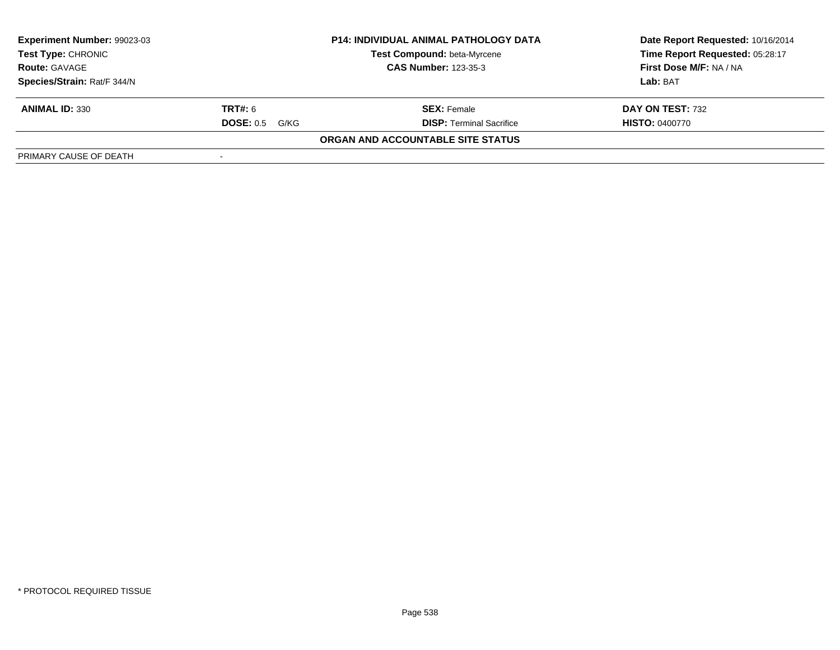| Experiment Number: 99023-03                                                                                     |                          | <b>P14: INDIVIDUAL ANIMAL PATHOLOGY DATA</b> | Date Report Requested: 10/16/2014 |
|-----------------------------------------------------------------------------------------------------------------|--------------------------|----------------------------------------------|-----------------------------------|
| Test Compound: beta-Myrcene<br><b>Test Type: CHRONIC</b><br><b>CAS Number: 123-35-3</b><br><b>Route: GAVAGE</b> |                          |                                              | Time Report Requested: 05:28:17   |
|                                                                                                                 |                          |                                              | First Dose M/F: NA / NA           |
| Species/Strain: Rat/F 344/N                                                                                     |                          |                                              | Lab: BAT                          |
| <b>ANIMAL ID: 330</b>                                                                                           | <b>TRT#:</b> 6           | <b>SEX: Female</b>                           | DAY ON TEST: 732                  |
|                                                                                                                 | <b>DOSE: 0.5</b><br>G/KG | <b>DISP: Terminal Sacrifice</b>              | <b>HISTO: 0400770</b>             |
|                                                                                                                 |                          | ORGAN AND ACCOUNTABLE SITE STATUS            |                                   |
| PRIMARY CAUSE OF DEATH                                                                                          |                          |                                              |                                   |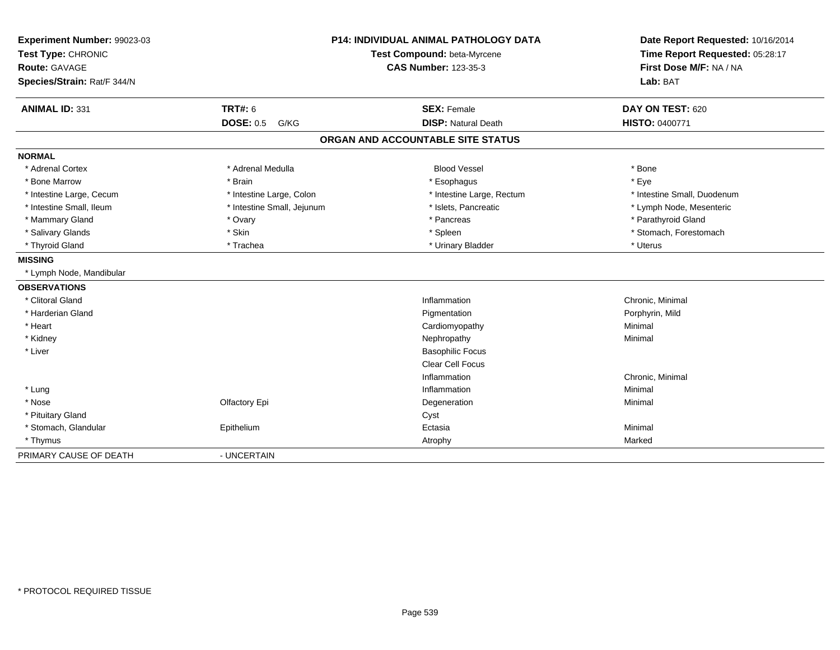| Experiment Number: 99023-03 |                            | <b>P14: INDIVIDUAL ANIMAL PATHOLOGY DATA</b> | Date Report Requested: 10/16/2014 |
|-----------------------------|----------------------------|----------------------------------------------|-----------------------------------|
| Test Type: CHRONIC          |                            | Test Compound: beta-Myrcene                  | Time Report Requested: 05:28:17   |
| Route: GAVAGE               |                            | <b>CAS Number: 123-35-3</b>                  | First Dose M/F: NA / NA           |
| Species/Strain: Rat/F 344/N |                            |                                              | Lab: BAT                          |
| ANIMAL ID: 331              | <b>TRT#: 6</b>             | <b>SEX: Female</b>                           | DAY ON TEST: 620                  |
|                             | <b>DOSE: 0.5</b><br>G/KG   | <b>DISP: Natural Death</b>                   | <b>HISTO: 0400771</b>             |
|                             |                            | ORGAN AND ACCOUNTABLE SITE STATUS            |                                   |
| <b>NORMAL</b>               |                            |                                              |                                   |
| * Adrenal Cortex            | * Adrenal Medulla          | <b>Blood Vessel</b>                          | * Bone                            |
| * Bone Marrow               | * Brain                    | * Esophagus                                  | * Eye                             |
| * Intestine Large, Cecum    | * Intestine Large, Colon   | * Intestine Large, Rectum                    | * Intestine Small. Duodenum       |
| * Intestine Small, Ileum    | * Intestine Small, Jejunum | * Islets, Pancreatic                         | * Lymph Node, Mesenteric          |
| * Mammary Gland             | * Ovary                    | * Pancreas                                   | * Parathyroid Gland               |
| * Salivary Glands           | * Skin                     | * Spleen                                     | * Stomach, Forestomach            |
| * Thyroid Gland             | * Trachea                  | * Urinary Bladder                            | * Uterus                          |
| <b>MISSING</b>              |                            |                                              |                                   |
| * Lymph Node, Mandibular    |                            |                                              |                                   |
| <b>OBSERVATIONS</b>         |                            |                                              |                                   |
| * Clitoral Gland            |                            | Inflammation                                 | Chronic, Minimal                  |
| * Harderian Gland           |                            | Pigmentation                                 | Porphyrin, Mild                   |
| * Heart                     |                            | Cardiomyopathy                               | Minimal                           |
| * Kidney                    |                            | Nephropathy                                  | Minimal                           |
| * Liver                     |                            | <b>Basophilic Focus</b>                      |                                   |
|                             |                            | <b>Clear Cell Focus</b>                      |                                   |
|                             |                            | Inflammation                                 | Chronic, Minimal                  |
| * Lung                      |                            | Inflammation                                 | Minimal                           |
| * Nose                      | Olfactory Epi              | Degeneration                                 | Minimal                           |
| * Pituitary Gland           |                            | Cyst                                         |                                   |
| * Stomach, Glandular        | Epithelium                 | Ectasia                                      | Minimal                           |
| * Thymus                    |                            | Atrophy                                      | Marked                            |
| PRIMARY CAUSE OF DEATH      | - UNCERTAIN                |                                              |                                   |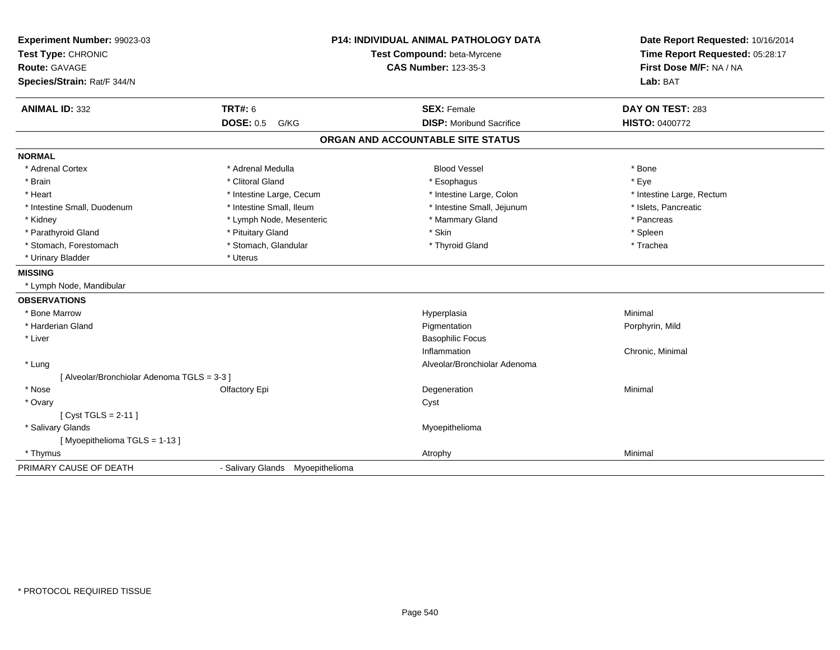| Experiment Number: 99023-03<br>Test Type: CHRONIC |                                  | <b>P14: INDIVIDUAL ANIMAL PATHOLOGY DATA</b><br>Test Compound: beta-Myrcene | Date Report Requested: 10/16/2014<br>Time Report Requested: 05:28:17<br>First Dose M/F: NA / NA |
|---------------------------------------------------|----------------------------------|-----------------------------------------------------------------------------|-------------------------------------------------------------------------------------------------|
| <b>Route: GAVAGE</b>                              |                                  | <b>CAS Number: 123-35-3</b>                                                 |                                                                                                 |
| Species/Strain: Rat/F 344/N                       |                                  |                                                                             | Lab: BAT                                                                                        |
| <b>ANIMAL ID: 332</b>                             | <b>TRT#: 6</b>                   | <b>SEX: Female</b>                                                          | DAY ON TEST: 283                                                                                |
|                                                   | <b>DOSE: 0.5 G/KG</b>            | <b>DISP:</b> Moribund Sacrifice                                             | <b>HISTO: 0400772</b>                                                                           |
|                                                   |                                  | ORGAN AND ACCOUNTABLE SITE STATUS                                           |                                                                                                 |
| <b>NORMAL</b>                                     |                                  |                                                                             |                                                                                                 |
| * Adrenal Cortex                                  | * Adrenal Medulla                | <b>Blood Vessel</b>                                                         | * Bone                                                                                          |
| * Brain                                           | * Clitoral Gland                 | * Esophagus                                                                 | * Eye                                                                                           |
| * Heart                                           | * Intestine Large, Cecum         | * Intestine Large, Colon                                                    | * Intestine Large, Rectum                                                                       |
| * Intestine Small, Duodenum                       | * Intestine Small, Ileum         | * Intestine Small, Jejunum                                                  | * Islets, Pancreatic                                                                            |
| * Kidney                                          | * Lymph Node, Mesenteric         | * Mammary Gland                                                             | * Pancreas                                                                                      |
| * Parathyroid Gland                               | * Pituitary Gland                | * Skin                                                                      | * Spleen                                                                                        |
| * Stomach, Forestomach                            | * Stomach, Glandular             | * Thyroid Gland                                                             | * Trachea                                                                                       |
| * Urinary Bladder                                 | * Uterus                         |                                                                             |                                                                                                 |
| <b>MISSING</b>                                    |                                  |                                                                             |                                                                                                 |
| * Lymph Node, Mandibular                          |                                  |                                                                             |                                                                                                 |
| <b>OBSERVATIONS</b>                               |                                  |                                                                             |                                                                                                 |
| * Bone Marrow                                     |                                  | Hyperplasia                                                                 | Minimal                                                                                         |
| * Harderian Gland                                 |                                  | Pigmentation                                                                | Porphyrin, Mild                                                                                 |
| * Liver                                           |                                  | <b>Basophilic Focus</b>                                                     |                                                                                                 |
|                                                   |                                  | Inflammation                                                                | Chronic, Minimal                                                                                |
| * Lung                                            |                                  | Alveolar/Bronchiolar Adenoma                                                |                                                                                                 |
| [ Alveolar/Bronchiolar Adenoma TGLS = 3-3 ]       |                                  |                                                                             |                                                                                                 |
| * Nose                                            | Olfactory Epi                    | Degeneration                                                                | Minimal                                                                                         |
| * Ovary                                           |                                  | Cyst                                                                        |                                                                                                 |
| [ Cyst TGLS = $2-11$ ]                            |                                  |                                                                             |                                                                                                 |
| * Salivary Glands                                 |                                  | Myoepithelioma                                                              |                                                                                                 |
| [Myoepithelioma TGLS = $1-13$ ]                   |                                  |                                                                             |                                                                                                 |
| * Thymus                                          |                                  | Atrophy                                                                     | Minimal                                                                                         |
| PRIMARY CAUSE OF DEATH                            | - Salivary Glands Myoepithelioma |                                                                             |                                                                                                 |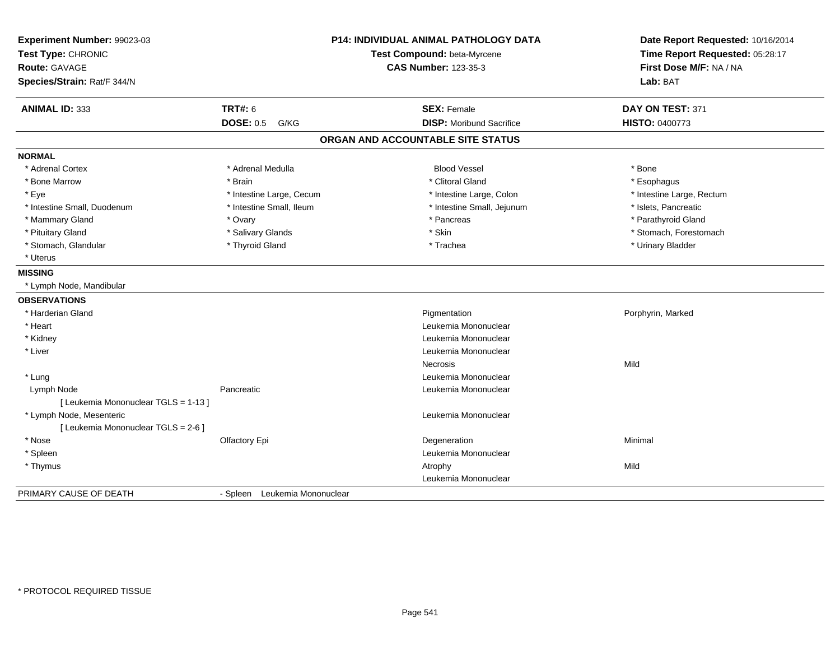| Experiment Number: 99023-03<br>Test Type: CHRONIC<br><b>Route: GAVAGE</b><br>Species/Strain: Rat/F 344/N |                               | P14: INDIVIDUAL ANIMAL PATHOLOGY DATA<br>Test Compound: beta-Myrcene<br><b>CAS Number: 123-35-3</b> | Date Report Requested: 10/16/2014<br>Time Report Requested: 05:28:17<br>First Dose M/F: NA / NA<br>Lab: BAT |  |
|----------------------------------------------------------------------------------------------------------|-------------------------------|-----------------------------------------------------------------------------------------------------|-------------------------------------------------------------------------------------------------------------|--|
| <b>ANIMAL ID: 333</b>                                                                                    | <b>TRT#: 6</b>                | <b>SEX: Female</b>                                                                                  | DAY ON TEST: 371                                                                                            |  |
|                                                                                                          | <b>DOSE: 0.5</b><br>G/KG      | <b>DISP:</b> Moribund Sacrifice                                                                     | <b>HISTO: 0400773</b>                                                                                       |  |
|                                                                                                          |                               | ORGAN AND ACCOUNTABLE SITE STATUS                                                                   |                                                                                                             |  |
| <b>NORMAL</b>                                                                                            |                               |                                                                                                     |                                                                                                             |  |
| * Adrenal Cortex                                                                                         | * Adrenal Medulla             | <b>Blood Vessel</b>                                                                                 | * Bone                                                                                                      |  |
| * Bone Marrow                                                                                            | * Brain                       | * Clitoral Gland                                                                                    | * Esophagus                                                                                                 |  |
| * Eye                                                                                                    | * Intestine Large, Cecum      | * Intestine Large, Colon                                                                            | * Intestine Large, Rectum                                                                                   |  |
| * Intestine Small, Duodenum                                                                              | * Intestine Small, Ileum      | * Intestine Small, Jejunum                                                                          | * Islets, Pancreatic                                                                                        |  |
| * Mammary Gland                                                                                          | * Ovary                       | * Pancreas                                                                                          | * Parathyroid Gland                                                                                         |  |
| * Pituitary Gland                                                                                        | * Salivary Glands             | * Skin                                                                                              | * Stomach, Forestomach                                                                                      |  |
| * Stomach, Glandular                                                                                     | * Thyroid Gland               | * Trachea                                                                                           | * Urinary Bladder                                                                                           |  |
| * Uterus                                                                                                 |                               |                                                                                                     |                                                                                                             |  |
| <b>MISSING</b>                                                                                           |                               |                                                                                                     |                                                                                                             |  |
| * Lymph Node, Mandibular                                                                                 |                               |                                                                                                     |                                                                                                             |  |
| <b>OBSERVATIONS</b>                                                                                      |                               |                                                                                                     |                                                                                                             |  |
| * Harderian Gland                                                                                        |                               | Pigmentation                                                                                        | Porphyrin, Marked                                                                                           |  |
| * Heart                                                                                                  |                               | Leukemia Mononuclear                                                                                |                                                                                                             |  |
| * Kidney                                                                                                 |                               | Leukemia Mononuclear                                                                                |                                                                                                             |  |
| * Liver                                                                                                  |                               | Leukemia Mononuclear                                                                                |                                                                                                             |  |
|                                                                                                          |                               | <b>Necrosis</b>                                                                                     | Mild                                                                                                        |  |
| * Lung                                                                                                   |                               | Leukemia Mononuclear                                                                                |                                                                                                             |  |
| Lymph Node                                                                                               | Pancreatic                    | Leukemia Mononuclear                                                                                |                                                                                                             |  |
| [ Leukemia Mononuclear TGLS = 1-13 ]                                                                     |                               |                                                                                                     |                                                                                                             |  |
| * Lymph Node, Mesenteric                                                                                 |                               | Leukemia Mononuclear                                                                                |                                                                                                             |  |
| [ Leukemia Mononuclear TGLS = 2-6 ]                                                                      |                               |                                                                                                     |                                                                                                             |  |
| * Nose                                                                                                   | Olfactory Epi                 | Degeneration                                                                                        | Minimal                                                                                                     |  |
| * Spleen                                                                                                 |                               | Leukemia Mononuclear                                                                                |                                                                                                             |  |
| * Thymus                                                                                                 |                               | Atrophy                                                                                             | Mild                                                                                                        |  |
|                                                                                                          |                               | Leukemia Mononuclear                                                                                |                                                                                                             |  |
| PRIMARY CAUSE OF DEATH                                                                                   | - Spleen Leukemia Mononuclear |                                                                                                     |                                                                                                             |  |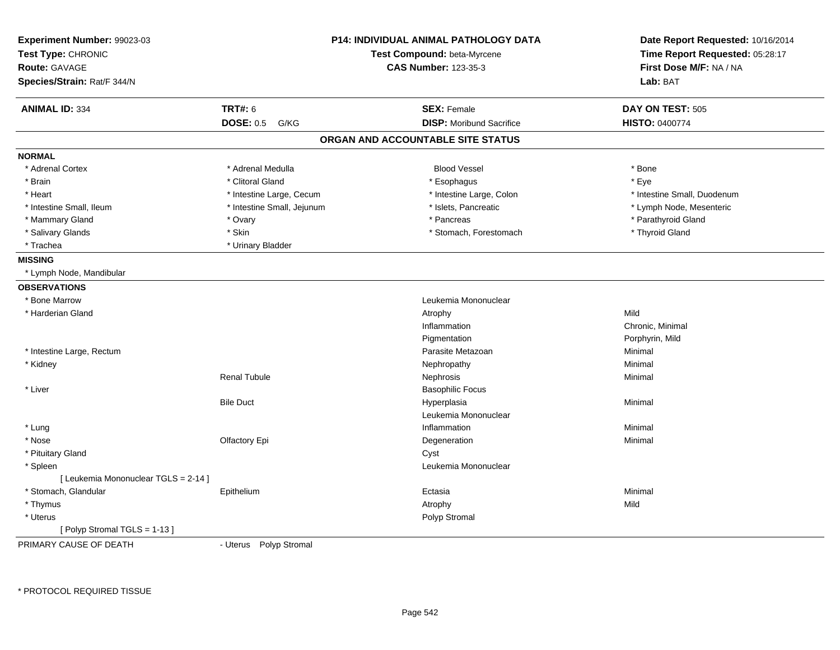| Experiment Number: 99023-03<br>Test Type: CHRONIC   |                            | <b>P14: INDIVIDUAL ANIMAL PATHOLOGY DATA</b><br>Test Compound: beta-Myrcene | Date Report Requested: 10/16/2014<br>Time Report Requested: 05:28:17 |  |
|-----------------------------------------------------|----------------------------|-----------------------------------------------------------------------------|----------------------------------------------------------------------|--|
| <b>Route: GAVAGE</b><br>Species/Strain: Rat/F 344/N |                            | <b>CAS Number: 123-35-3</b>                                                 | First Dose M/F: NA / NA<br>Lab: BAT                                  |  |
|                                                     |                            |                                                                             |                                                                      |  |
| <b>ANIMAL ID: 334</b>                               | <b>TRT#: 6</b>             | <b>SEX: Female</b>                                                          | DAY ON TEST: 505                                                     |  |
|                                                     | <b>DOSE: 0.5</b><br>G/KG   | <b>DISP:</b> Moribund Sacrifice                                             | <b>HISTO: 0400774</b>                                                |  |
|                                                     |                            | ORGAN AND ACCOUNTABLE SITE STATUS                                           |                                                                      |  |
| <b>NORMAL</b>                                       |                            |                                                                             |                                                                      |  |
| * Adrenal Cortex                                    | * Adrenal Medulla          | <b>Blood Vessel</b>                                                         | * Bone                                                               |  |
| * Brain                                             | * Clitoral Gland           | * Esophagus                                                                 | * Eye                                                                |  |
| * Heart                                             | * Intestine Large, Cecum   | * Intestine Large, Colon                                                    | * Intestine Small, Duodenum                                          |  |
| * Intestine Small, Ileum                            | * Intestine Small, Jejunum | * Islets, Pancreatic                                                        | * Lymph Node, Mesenteric                                             |  |
| * Mammary Gland                                     | * Ovary                    | * Pancreas                                                                  | * Parathyroid Gland                                                  |  |
| * Salivary Glands                                   | * Skin                     | * Stomach, Forestomach                                                      | * Thyroid Gland                                                      |  |
| * Trachea                                           | * Urinary Bladder          |                                                                             |                                                                      |  |
| <b>MISSING</b>                                      |                            |                                                                             |                                                                      |  |
| * Lymph Node, Mandibular                            |                            |                                                                             |                                                                      |  |
| <b>OBSERVATIONS</b>                                 |                            |                                                                             |                                                                      |  |
| * Bone Marrow                                       |                            | Leukemia Mononuclear                                                        |                                                                      |  |
| * Harderian Gland                                   |                            | Atrophy                                                                     | Mild                                                                 |  |
|                                                     |                            | Inflammation                                                                | Chronic, Minimal                                                     |  |
|                                                     |                            | Pigmentation                                                                | Porphyrin, Mild                                                      |  |
| * Intestine Large, Rectum                           |                            | Parasite Metazoan                                                           | Minimal                                                              |  |
| * Kidney                                            |                            | Nephropathy                                                                 | Minimal                                                              |  |
|                                                     | <b>Renal Tubule</b>        | Nephrosis                                                                   | Minimal                                                              |  |
| * Liver                                             |                            | <b>Basophilic Focus</b>                                                     |                                                                      |  |
|                                                     | <b>Bile Duct</b>           | Hyperplasia                                                                 | Minimal                                                              |  |
|                                                     |                            | Leukemia Mononuclear                                                        |                                                                      |  |
| * Lung                                              |                            | Inflammation                                                                | Minimal                                                              |  |
| * Nose                                              | Olfactory Epi              | Degeneration                                                                | Minimal                                                              |  |
| * Pituitary Gland                                   |                            | Cyst                                                                        |                                                                      |  |
| * Spleen                                            |                            | Leukemia Mononuclear                                                        |                                                                      |  |
| [ Leukemia Mononuclear TGLS = 2-14 ]                |                            |                                                                             |                                                                      |  |
| * Stomach, Glandular                                | Epithelium                 | Ectasia                                                                     | Minimal                                                              |  |
| * Thymus                                            |                            | Atrophy                                                                     | Mild                                                                 |  |
| * Uterus                                            |                            | Polyp Stromal                                                               |                                                                      |  |
| [ Polyp Stromal TGLS = $1-13$ ]                     |                            |                                                                             |                                                                      |  |
| PRIMARY CALISE OF DEATH                             | - I Itarus Polyn Stromal   |                                                                             |                                                                      |  |

PRIMARY CAUSE OF DEATH

- Uterus Polyp Stromal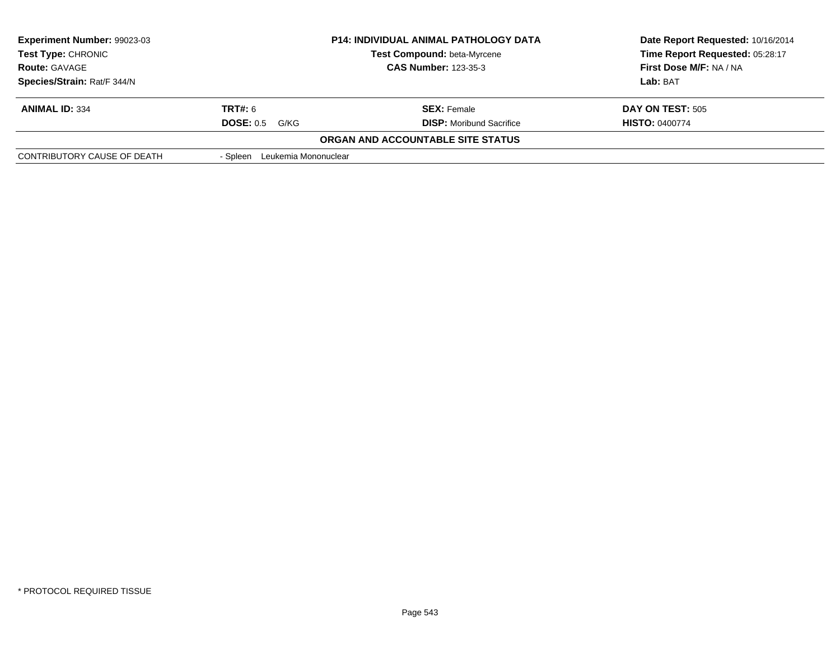| <b>Experiment Number: 99023-03</b><br><b>Test Type: CHRONIC</b> |                               | <b>P14: INDIVIDUAL ANIMAL PATHOLOGY DATA</b><br><b>Test Compound: beta-Myrcene</b> | Date Report Requested: 10/16/2014<br>Time Report Requested: 05:28:17 |
|-----------------------------------------------------------------|-------------------------------|------------------------------------------------------------------------------------|----------------------------------------------------------------------|
| <b>Route: GAVAGE</b>                                            | <b>CAS Number: 123-35-3</b>   |                                                                                    | First Dose M/F: NA / NA                                              |
| Species/Strain: Rat/F 344/N                                     |                               |                                                                                    | Lab: BAT                                                             |
| <b>ANIMAL ID: 334</b>                                           | <b>TRT#:</b> 6                | <b>SEX: Female</b>                                                                 | DAY ON TEST: 505                                                     |
|                                                                 | <b>DOSE: 0.5</b><br>G/KG      | <b>DISP:</b> Moribund Sacrifice                                                    | <b>HISTO: 0400774</b>                                                |
|                                                                 |                               | ORGAN AND ACCOUNTABLE SITE STATUS                                                  |                                                                      |
| CONTRIBUTORY CAUSE OF DEATH                                     | - Spleen Leukemia Mononuclear |                                                                                    |                                                                      |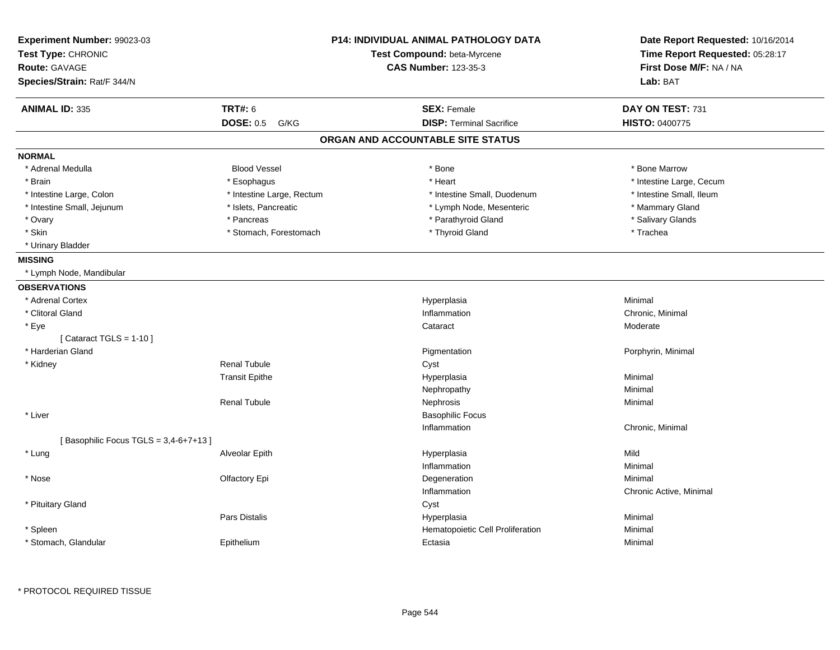| Experiment Number: 99023-03<br>Test Type: CHRONIC<br><b>Route: GAVAGE</b><br>Species/Strain: Rat/F 344/N |                           | <b>P14: INDIVIDUAL ANIMAL PATHOLOGY DATA</b><br>Test Compound: beta-Myrcene<br><b>CAS Number: 123-35-3</b> | Date Report Requested: 10/16/2014<br>Time Report Requested: 05:28:17<br>First Dose M/F: NA / NA<br>Lab: BAT |
|----------------------------------------------------------------------------------------------------------|---------------------------|------------------------------------------------------------------------------------------------------------|-------------------------------------------------------------------------------------------------------------|
| <b>ANIMAL ID: 335</b>                                                                                    | TRT#: 6                   | <b>SEX: Female</b>                                                                                         | DAY ON TEST: 731                                                                                            |
|                                                                                                          | <b>DOSE: 0.5</b><br>G/KG  | <b>DISP: Terminal Sacrifice</b>                                                                            | HISTO: 0400775                                                                                              |
|                                                                                                          |                           | ORGAN AND ACCOUNTABLE SITE STATUS                                                                          |                                                                                                             |
| <b>NORMAL</b>                                                                                            |                           |                                                                                                            |                                                                                                             |
| * Adrenal Medulla                                                                                        | <b>Blood Vessel</b>       | * Bone                                                                                                     | * Bone Marrow                                                                                               |
| * Brain                                                                                                  | * Esophagus               | * Heart                                                                                                    | * Intestine Large, Cecum                                                                                    |
| * Intestine Large, Colon                                                                                 | * Intestine Large, Rectum | * Intestine Small, Duodenum                                                                                | * Intestine Small, Ileum                                                                                    |
| * Intestine Small, Jejunum                                                                               | * Islets, Pancreatic      | * Lymph Node, Mesenteric                                                                                   | * Mammary Gland                                                                                             |
| * Ovary                                                                                                  | * Pancreas                | * Parathyroid Gland                                                                                        | * Salivary Glands                                                                                           |
| * Skin                                                                                                   | * Stomach, Forestomach    | * Thyroid Gland                                                                                            | * Trachea                                                                                                   |
| * Urinary Bladder                                                                                        |                           |                                                                                                            |                                                                                                             |
| <b>MISSING</b>                                                                                           |                           |                                                                                                            |                                                                                                             |
| * Lymph Node, Mandibular                                                                                 |                           |                                                                                                            |                                                                                                             |
| <b>OBSERVATIONS</b>                                                                                      |                           |                                                                                                            |                                                                                                             |
| * Adrenal Cortex                                                                                         |                           | Hyperplasia                                                                                                | Minimal                                                                                                     |
| * Clitoral Gland                                                                                         |                           | Inflammation                                                                                               | Chronic, Minimal                                                                                            |
| * Eye                                                                                                    |                           | Cataract                                                                                                   | Moderate                                                                                                    |
| [Cataract TGLS = $1-10$ ]                                                                                |                           |                                                                                                            |                                                                                                             |
| * Harderian Gland                                                                                        |                           | Pigmentation                                                                                               | Porphyrin, Minimal                                                                                          |
| * Kidney                                                                                                 | Renal Tubule              | Cyst                                                                                                       |                                                                                                             |
|                                                                                                          | <b>Transit Epithe</b>     | Hyperplasia                                                                                                | Minimal                                                                                                     |
|                                                                                                          |                           | Nephropathy                                                                                                | Minimal                                                                                                     |
|                                                                                                          | <b>Renal Tubule</b>       | Nephrosis                                                                                                  | Minimal                                                                                                     |
| * Liver                                                                                                  |                           | <b>Basophilic Focus</b>                                                                                    |                                                                                                             |
|                                                                                                          |                           | Inflammation                                                                                               | Chronic, Minimal                                                                                            |
| [Basophilic Focus TGLS = 3,4-6+7+13]                                                                     |                           |                                                                                                            |                                                                                                             |
| * Lung                                                                                                   | Alveolar Epith            | Hyperplasia                                                                                                | Mild                                                                                                        |
|                                                                                                          |                           | Inflammation                                                                                               | Minimal                                                                                                     |
| * Nose                                                                                                   | Olfactory Epi             | Degeneration                                                                                               | Minimal                                                                                                     |
|                                                                                                          |                           | Inflammation                                                                                               | Chronic Active, Minimal                                                                                     |
| * Pituitary Gland                                                                                        |                           | Cyst                                                                                                       |                                                                                                             |
|                                                                                                          | Pars Distalis             | Hyperplasia                                                                                                | Minimal                                                                                                     |
| * Spleen                                                                                                 |                           | Hematopoietic Cell Proliferation                                                                           | Minimal                                                                                                     |
| * Stomach, Glandular                                                                                     | Epithelium                | Ectasia                                                                                                    | Minimal                                                                                                     |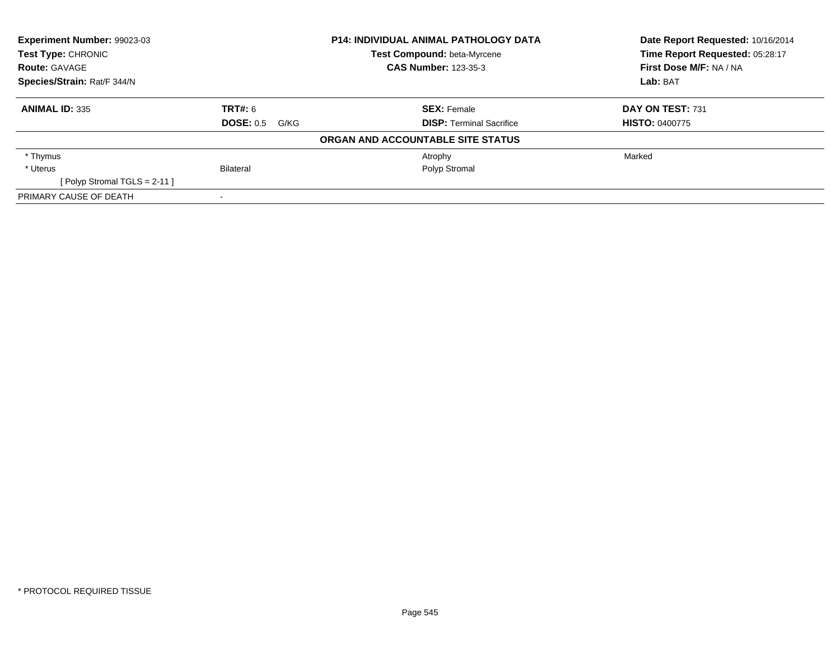| <b>Experiment Number: 99023-03</b> |                       | <b>P14: INDIVIDUAL ANIMAL PATHOLOGY DATA</b> | Date Report Requested: 10/16/2014 |
|------------------------------------|-----------------------|----------------------------------------------|-----------------------------------|
| <b>Test Type: CHRONIC</b>          |                       | Test Compound: beta-Myrcene                  | Time Report Requested: 05:28:17   |
| <b>Route: GAVAGE</b>               |                       | <b>CAS Number: 123-35-3</b>                  | First Dose M/F: NA / NA           |
| Species/Strain: Rat/F 344/N        |                       |                                              | Lab: BAT                          |
| <b>ANIMAL ID: 335</b>              | <b>TRT#:</b> 6        | <b>SEX: Female</b>                           | DAY ON TEST: 731                  |
|                                    | <b>DOSE: 0.5 G/KG</b> | <b>DISP: Terminal Sacrifice</b>              | <b>HISTO: 0400775</b>             |
|                                    |                       | ORGAN AND ACCOUNTABLE SITE STATUS            |                                   |
| * Thymus                           |                       | Atrophy                                      | Marked                            |
| * Uterus                           | Bilateral             | Polyp Stromal                                |                                   |
| [Polyp Stromal TGLS = $2-11$ ]     |                       |                                              |                                   |
| PRIMARY CAUSE OF DEATH             |                       |                                              |                                   |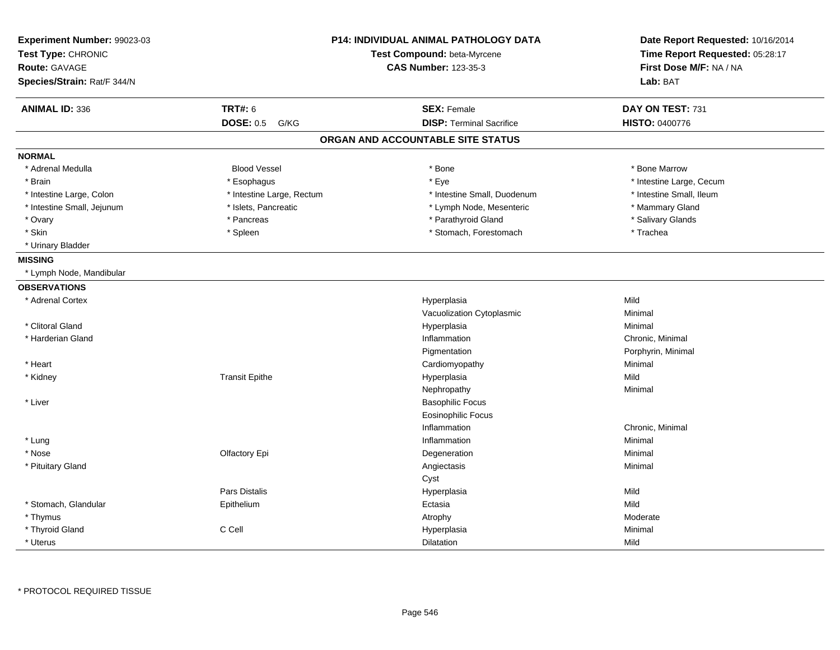| Experiment Number: 99023-03<br>Test Type: CHRONIC |                           | P14: INDIVIDUAL ANIMAL PATHOLOGY DATA<br>Test Compound: beta-Myrcene | Date Report Requested: 10/16/2014<br>Time Report Requested: 05:28:17 |
|---------------------------------------------------|---------------------------|----------------------------------------------------------------------|----------------------------------------------------------------------|
| <b>Route: GAVAGE</b>                              |                           | <b>CAS Number: 123-35-3</b>                                          | First Dose M/F: NA / NA                                              |
| Species/Strain: Rat/F 344/N                       |                           |                                                                      | Lab: BAT                                                             |
| <b>ANIMAL ID: 336</b>                             | <b>TRT#: 6</b>            | <b>SEX: Female</b>                                                   | DAY ON TEST: 731                                                     |
|                                                   | <b>DOSE: 0.5</b><br>G/KG  | <b>DISP: Terminal Sacrifice</b>                                      | <b>HISTO: 0400776</b>                                                |
|                                                   |                           | ORGAN AND ACCOUNTABLE SITE STATUS                                    |                                                                      |
| <b>NORMAL</b>                                     |                           |                                                                      |                                                                      |
| * Adrenal Medulla                                 | <b>Blood Vessel</b>       | * Bone                                                               | * Bone Marrow                                                        |
| * Brain                                           | * Esophagus               | * Eye                                                                | * Intestine Large, Cecum                                             |
| * Intestine Large, Colon                          | * Intestine Large, Rectum | * Intestine Small, Duodenum                                          | * Intestine Small, Ileum                                             |
| * Intestine Small, Jejunum                        | * Islets, Pancreatic      | * Lymph Node, Mesenteric                                             | * Mammary Gland                                                      |
| * Ovary                                           | * Pancreas                | * Parathyroid Gland                                                  | * Salivary Glands                                                    |
| $^\star$ Skin                                     | * Spleen                  | * Stomach, Forestomach                                               | * Trachea                                                            |
| * Urinary Bladder                                 |                           |                                                                      |                                                                      |
| <b>MISSING</b>                                    |                           |                                                                      |                                                                      |
| * Lymph Node, Mandibular                          |                           |                                                                      |                                                                      |
| <b>OBSERVATIONS</b>                               |                           |                                                                      |                                                                      |
| * Adrenal Cortex                                  |                           | Hyperplasia                                                          | Mild                                                                 |
|                                                   |                           | Vacuolization Cytoplasmic                                            | Minimal                                                              |
| * Clitoral Gland                                  |                           | Hyperplasia                                                          | Minimal                                                              |
| * Harderian Gland                                 |                           | Inflammation                                                         | Chronic, Minimal                                                     |
|                                                   |                           | Pigmentation                                                         | Porphyrin, Minimal                                                   |
| * Heart                                           |                           | Cardiomyopathy                                                       | Minimal                                                              |
| * Kidney                                          | <b>Transit Epithe</b>     | Hyperplasia                                                          | Mild                                                                 |
|                                                   |                           | Nephropathy                                                          | Minimal                                                              |
| * Liver                                           |                           | <b>Basophilic Focus</b>                                              |                                                                      |
|                                                   |                           | <b>Eosinophilic Focus</b>                                            |                                                                      |
|                                                   |                           | Inflammation                                                         | Chronic, Minimal                                                     |
| * Lung                                            |                           | Inflammation                                                         | Minimal                                                              |
| * Nose                                            | Olfactory Epi             | Degeneration                                                         | Minimal                                                              |
| * Pituitary Gland                                 |                           | Angiectasis                                                          | Minimal                                                              |
|                                                   |                           | Cyst                                                                 |                                                                      |
|                                                   | Pars Distalis             | Hyperplasia                                                          | Mild                                                                 |
| * Stomach, Glandular                              | Epithelium                | Ectasia                                                              | Mild                                                                 |
| * Thymus                                          |                           | Atrophy                                                              | Moderate                                                             |
| * Thyroid Gland                                   | C Cell                    | Hyperplasia                                                          | Minimal                                                              |
| * Uterus                                          |                           | Dilatation                                                           | Mild                                                                 |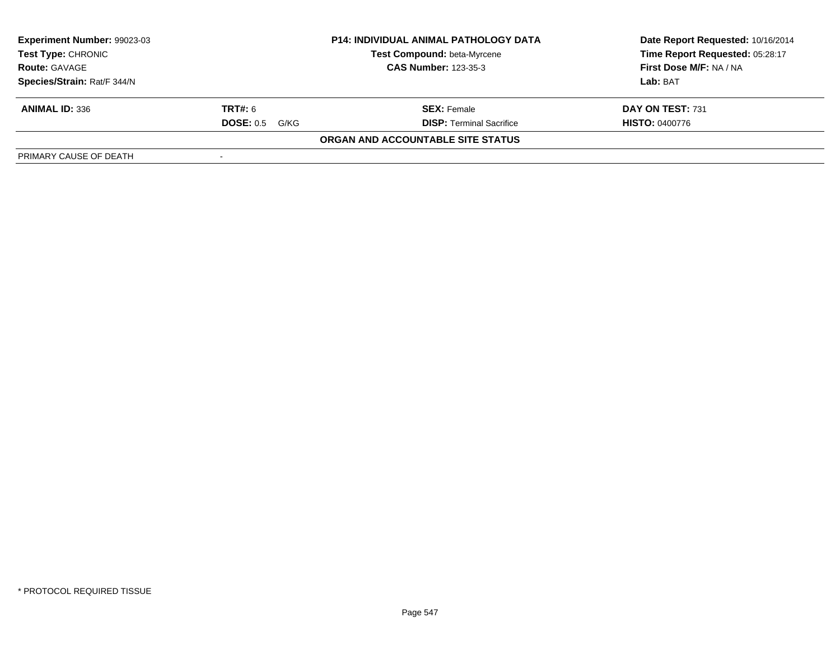| Experiment Number: 99023-03 | <b>P14: INDIVIDUAL ANIMAL PATHOLOGY DATA</b> |                                   | Date Report Requested: 10/16/2014 |  |
|-----------------------------|----------------------------------------------|-----------------------------------|-----------------------------------|--|
| <b>Test Type: CHRONIC</b>   |                                              | Test Compound: beta-Myrcene       | Time Report Requested: 05:28:17   |  |
| <b>Route: GAVAGE</b>        | <b>CAS Number: 123-35-3</b>                  |                                   | First Dose M/F: NA / NA           |  |
| Species/Strain: Rat/F 344/N |                                              |                                   | Lab: BAT                          |  |
| <b>ANIMAL ID: 336</b>       | <b>TRT#:</b> 6                               | <b>SEX: Female</b>                | DAY ON TEST: 731                  |  |
|                             | <b>DOSE: 0.5</b><br>G/KG                     | <b>DISP: Terminal Sacrifice</b>   | <b>HISTO: 0400776</b>             |  |
|                             |                                              | ORGAN AND ACCOUNTABLE SITE STATUS |                                   |  |
| PRIMARY CAUSE OF DEATH      |                                              |                                   |                                   |  |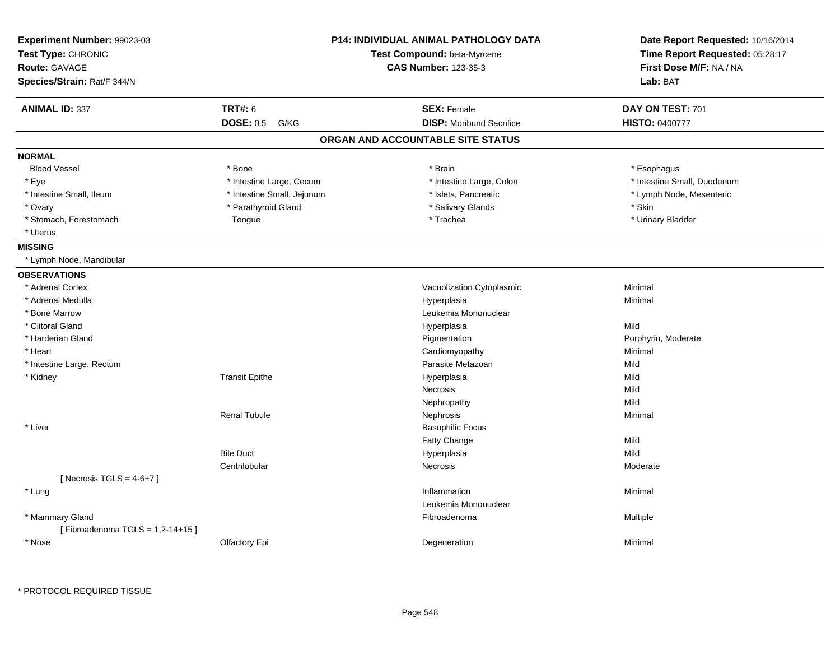| Experiment Number: 99023-03<br>Test Type: CHRONIC<br><b>Route: GAVAGE</b><br>Species/Strain: Rat/F 344/N |                            | <b>P14: INDIVIDUAL ANIMAL PATHOLOGY DATA</b><br>Test Compound: beta-Myrcene<br><b>CAS Number: 123-35-3</b> | Date Report Requested: 10/16/2014<br>Time Report Requested: 05:28:17<br>First Dose M/F: NA / NA<br>Lab: BAT |  |
|----------------------------------------------------------------------------------------------------------|----------------------------|------------------------------------------------------------------------------------------------------------|-------------------------------------------------------------------------------------------------------------|--|
| <b>ANIMAL ID: 337</b>                                                                                    | <b>TRT#: 6</b>             | <b>SEX: Female</b>                                                                                         | DAY ON TEST: 701                                                                                            |  |
|                                                                                                          | <b>DOSE: 0.5</b><br>G/KG   | <b>DISP:</b> Moribund Sacrifice                                                                            | <b>HISTO: 0400777</b>                                                                                       |  |
|                                                                                                          |                            | ORGAN AND ACCOUNTABLE SITE STATUS                                                                          |                                                                                                             |  |
| <b>NORMAL</b>                                                                                            |                            |                                                                                                            |                                                                                                             |  |
| <b>Blood Vessel</b>                                                                                      | * Bone                     | * Brain                                                                                                    | * Esophagus                                                                                                 |  |
| * Eye                                                                                                    | * Intestine Large, Cecum   | * Intestine Large, Colon                                                                                   | * Intestine Small, Duodenum                                                                                 |  |
| * Intestine Small, Ileum                                                                                 | * Intestine Small, Jejunum | * Islets, Pancreatic                                                                                       | * Lymph Node, Mesenteric                                                                                    |  |
| * Ovary                                                                                                  | * Parathyroid Gland        | * Salivary Glands                                                                                          | * Skin                                                                                                      |  |
| * Stomach, Forestomach                                                                                   | Tongue                     | * Trachea                                                                                                  | * Urinary Bladder                                                                                           |  |
| * Uterus                                                                                                 |                            |                                                                                                            |                                                                                                             |  |
| <b>MISSING</b>                                                                                           |                            |                                                                                                            |                                                                                                             |  |
| * Lymph Node, Mandibular                                                                                 |                            |                                                                                                            |                                                                                                             |  |
| <b>OBSERVATIONS</b>                                                                                      |                            |                                                                                                            |                                                                                                             |  |
| * Adrenal Cortex                                                                                         |                            | Vacuolization Cytoplasmic                                                                                  | Minimal                                                                                                     |  |
| * Adrenal Medulla                                                                                        |                            | Hyperplasia                                                                                                | Minimal                                                                                                     |  |
| * Bone Marrow                                                                                            |                            | Leukemia Mononuclear                                                                                       |                                                                                                             |  |
| * Clitoral Gland                                                                                         |                            | Hyperplasia                                                                                                | Mild                                                                                                        |  |
| * Harderian Gland                                                                                        |                            | Pigmentation                                                                                               | Porphyrin, Moderate                                                                                         |  |
| * Heart                                                                                                  |                            | Cardiomyopathy                                                                                             | Minimal                                                                                                     |  |
| * Intestine Large, Rectum                                                                                |                            | Parasite Metazoan                                                                                          | Mild                                                                                                        |  |
| * Kidney                                                                                                 | <b>Transit Epithe</b>      | Hyperplasia                                                                                                | Mild                                                                                                        |  |
|                                                                                                          |                            | Necrosis                                                                                                   | Mild                                                                                                        |  |
|                                                                                                          |                            | Nephropathy                                                                                                | Mild                                                                                                        |  |
|                                                                                                          | <b>Renal Tubule</b>        | Nephrosis                                                                                                  | Minimal                                                                                                     |  |
| * Liver                                                                                                  |                            | <b>Basophilic Focus</b>                                                                                    |                                                                                                             |  |
|                                                                                                          |                            | <b>Fatty Change</b>                                                                                        | Mild                                                                                                        |  |
|                                                                                                          | <b>Bile Duct</b>           | Hyperplasia                                                                                                | Mild                                                                                                        |  |
|                                                                                                          | Centrilobular              | <b>Necrosis</b>                                                                                            | Moderate                                                                                                    |  |
| [Necrosis TGLS = $4-6+7$ ]                                                                               |                            |                                                                                                            |                                                                                                             |  |
| * Lung                                                                                                   |                            | Inflammation                                                                                               | Minimal                                                                                                     |  |
|                                                                                                          |                            | Leukemia Mononuclear                                                                                       |                                                                                                             |  |
| * Mammary Gland                                                                                          |                            | Fibroadenoma                                                                                               | Multiple                                                                                                    |  |
| [Fibroadenoma TGLS = 1,2-14+15]                                                                          |                            |                                                                                                            |                                                                                                             |  |
| * Nose                                                                                                   | Olfactory Epi              | Degeneration                                                                                               | Minimal                                                                                                     |  |

\* PROTOCOL REQUIRED TISSUE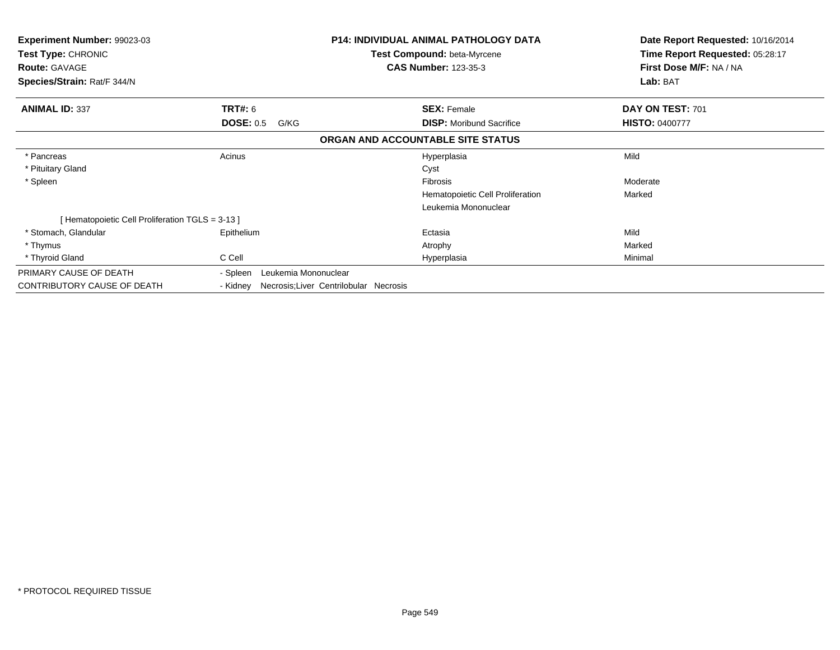| <b>Experiment Number: 99023-03</b><br>Test Type: CHRONIC<br><b>Route: GAVAGE</b><br>Species/Strain: Rat/F 344/N |                                                    | <b>P14: INDIVIDUAL ANIMAL PATHOLOGY DATA</b><br>Test Compound: beta-Myrcene<br><b>CAS Number: 123-35-3</b> | Date Report Requested: 10/16/2014<br>Time Report Requested: 05:28:17<br>First Dose M/F: NA / NA<br>Lab: BAT |
|-----------------------------------------------------------------------------------------------------------------|----------------------------------------------------|------------------------------------------------------------------------------------------------------------|-------------------------------------------------------------------------------------------------------------|
| <b>ANIMAL ID: 337</b>                                                                                           | <b>TRT#: 6</b>                                     | <b>SEX: Female</b>                                                                                         | DAY ON TEST: 701                                                                                            |
|                                                                                                                 | <b>DOSE: 0.5</b><br>G/KG                           | <b>DISP:</b> Moribund Sacrifice                                                                            | <b>HISTO: 0400777</b>                                                                                       |
|                                                                                                                 |                                                    | ORGAN AND ACCOUNTABLE SITE STATUS                                                                          |                                                                                                             |
| * Pancreas                                                                                                      | Acinus                                             | Hyperplasia                                                                                                | Mild                                                                                                        |
| * Pituitary Gland                                                                                               |                                                    | Cyst                                                                                                       |                                                                                                             |
| * Spleen                                                                                                        |                                                    | Fibrosis                                                                                                   | Moderate                                                                                                    |
|                                                                                                                 |                                                    | Hematopoietic Cell Proliferation                                                                           | Marked                                                                                                      |
|                                                                                                                 |                                                    | Leukemia Mononuclear                                                                                       |                                                                                                             |
| [Hematopoietic Cell Proliferation TGLS = 3-13]                                                                  |                                                    |                                                                                                            |                                                                                                             |
| * Stomach, Glandular                                                                                            | Epithelium                                         | Ectasia                                                                                                    | Mild                                                                                                        |
| * Thymus                                                                                                        |                                                    | Atrophy                                                                                                    | Marked                                                                                                      |
| * Thyroid Gland                                                                                                 | C Cell                                             | Hyperplasia                                                                                                | Minimal                                                                                                     |
| PRIMARY CAUSE OF DEATH                                                                                          | Leukemia Mononuclear<br>- Spleen                   |                                                                                                            |                                                                                                             |
| CONTRIBUTORY CAUSE OF DEATH                                                                                     | Necrosis; Liver Centrilobular Necrosis<br>- Kidney |                                                                                                            |                                                                                                             |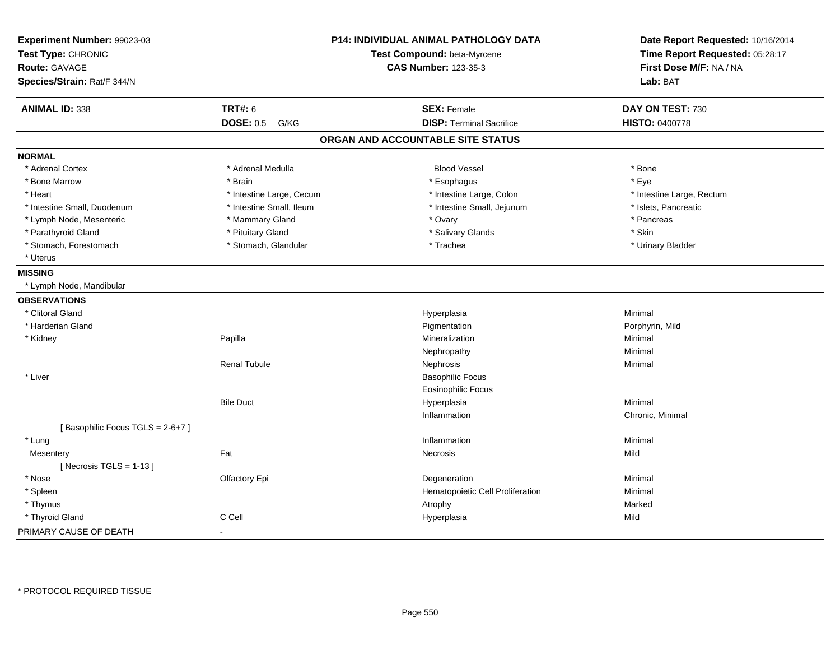| Experiment Number: 99023-03<br>Test Type: CHRONIC<br><b>Route: GAVAGE</b><br>Species/Strain: Rat/F 344/N |                          | <b>P14: INDIVIDUAL ANIMAL PATHOLOGY DATA</b><br>Test Compound: beta-Myrcene<br><b>CAS Number: 123-35-3</b> | Date Report Requested: 10/16/2014<br>Time Report Requested: 05:28:17<br>First Dose M/F: NA / NA<br>Lab: BAT |
|----------------------------------------------------------------------------------------------------------|--------------------------|------------------------------------------------------------------------------------------------------------|-------------------------------------------------------------------------------------------------------------|
| <b>ANIMAL ID: 338</b>                                                                                    | <b>TRT#: 6</b>           | <b>SEX: Female</b>                                                                                         | DAY ON TEST: 730                                                                                            |
|                                                                                                          | <b>DOSE: 0.5</b><br>G/KG | <b>DISP: Terminal Sacrifice</b>                                                                            | <b>HISTO: 0400778</b>                                                                                       |
|                                                                                                          |                          | ORGAN AND ACCOUNTABLE SITE STATUS                                                                          |                                                                                                             |
| <b>NORMAL</b>                                                                                            |                          |                                                                                                            |                                                                                                             |
| * Adrenal Cortex                                                                                         | * Adrenal Medulla        | <b>Blood Vessel</b>                                                                                        | * Bone                                                                                                      |
| * Bone Marrow                                                                                            | * Brain                  | * Esophagus                                                                                                | * Eye                                                                                                       |
| * Heart                                                                                                  | * Intestine Large, Cecum | * Intestine Large, Colon                                                                                   | * Intestine Large, Rectum                                                                                   |
| * Intestine Small, Duodenum                                                                              | * Intestine Small, Ileum | * Intestine Small, Jejunum                                                                                 | * Islets, Pancreatic                                                                                        |
| * Lymph Node, Mesenteric                                                                                 | * Mammary Gland          | * Ovary                                                                                                    | * Pancreas                                                                                                  |
| * Parathyroid Gland                                                                                      | * Pituitary Gland        | * Salivary Glands                                                                                          | * Skin                                                                                                      |
| * Stomach, Forestomach                                                                                   | * Stomach, Glandular     | * Trachea                                                                                                  | * Urinary Bladder                                                                                           |
| * Uterus                                                                                                 |                          |                                                                                                            |                                                                                                             |
| <b>MISSING</b>                                                                                           |                          |                                                                                                            |                                                                                                             |
| * Lymph Node, Mandibular                                                                                 |                          |                                                                                                            |                                                                                                             |
| <b>OBSERVATIONS</b>                                                                                      |                          |                                                                                                            |                                                                                                             |
| * Clitoral Gland                                                                                         |                          | Hyperplasia                                                                                                | Minimal                                                                                                     |
| * Harderian Gland                                                                                        |                          | Pigmentation                                                                                               | Porphyrin, Mild                                                                                             |
| * Kidney                                                                                                 | Papilla                  | Mineralization                                                                                             | Minimal                                                                                                     |
|                                                                                                          |                          | Nephropathy                                                                                                | Minimal                                                                                                     |
|                                                                                                          | <b>Renal Tubule</b>      | Nephrosis                                                                                                  | Minimal                                                                                                     |
| * Liver                                                                                                  |                          | <b>Basophilic Focus</b>                                                                                    |                                                                                                             |
|                                                                                                          |                          | <b>Eosinophilic Focus</b>                                                                                  |                                                                                                             |
|                                                                                                          | <b>Bile Duct</b>         | Hyperplasia                                                                                                | Minimal                                                                                                     |
|                                                                                                          |                          | Inflammation                                                                                               | Chronic, Minimal                                                                                            |
| [Basophilic Focus TGLS = 2-6+7]                                                                          |                          |                                                                                                            |                                                                                                             |
| * Lung                                                                                                   |                          | Inflammation                                                                                               | Minimal                                                                                                     |
| Mesentery                                                                                                | Fat                      | Necrosis                                                                                                   | Mild                                                                                                        |
| [Necrosis TGLS = $1-13$ ]                                                                                |                          |                                                                                                            |                                                                                                             |
| * Nose                                                                                                   | Olfactory Epi            | Degeneration                                                                                               | Minimal                                                                                                     |
| * Spleen                                                                                                 |                          | Hematopoietic Cell Proliferation                                                                           | Minimal                                                                                                     |
| * Thymus                                                                                                 |                          | Atrophy                                                                                                    | Marked                                                                                                      |
| * Thyroid Gland                                                                                          | C Cell                   | Hyperplasia                                                                                                | Mild                                                                                                        |
| PRIMARY CAUSE OF DEATH                                                                                   | $\mathbf{r}$             |                                                                                                            |                                                                                                             |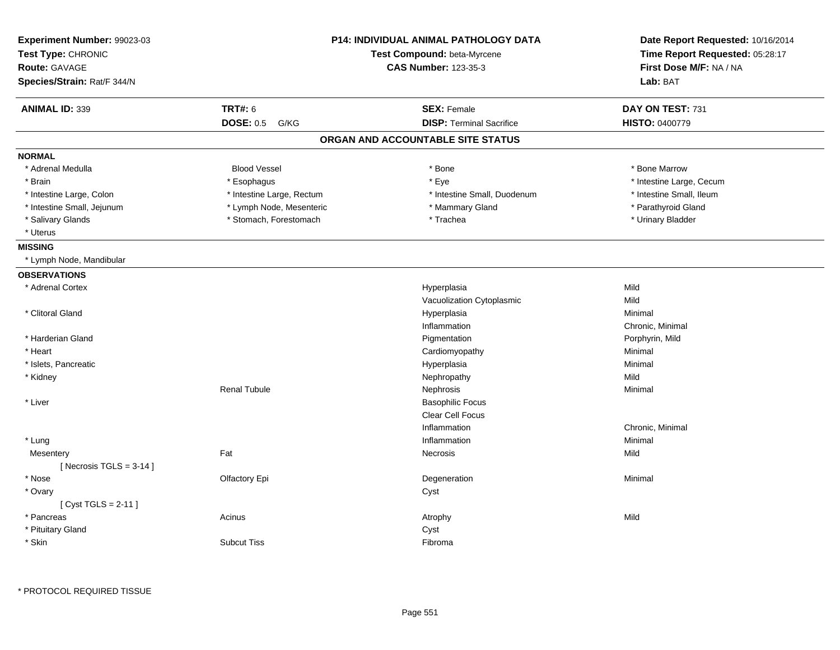| Experiment Number: 99023-03<br>Test Type: CHRONIC<br><b>Route: GAVAGE</b><br>Species/Strain: Rat/F 344/N | <b>P14: INDIVIDUAL ANIMAL PATHOLOGY DATA</b><br>Test Compound: beta-Myrcene<br><b>CAS Number: 123-35-3</b> |                                   | Date Report Requested: 10/16/2014<br>Time Report Requested: 05:28:17<br>First Dose M/F: NA / NA<br>Lab: BAT |
|----------------------------------------------------------------------------------------------------------|------------------------------------------------------------------------------------------------------------|-----------------------------------|-------------------------------------------------------------------------------------------------------------|
| <b>ANIMAL ID: 339</b>                                                                                    | <b>TRT#: 6</b>                                                                                             | <b>SEX: Female</b>                | DAY ON TEST: 731                                                                                            |
|                                                                                                          | <b>DOSE: 0.5</b><br>G/KG                                                                                   | <b>DISP: Terminal Sacrifice</b>   | <b>HISTO: 0400779</b>                                                                                       |
|                                                                                                          |                                                                                                            | ORGAN AND ACCOUNTABLE SITE STATUS |                                                                                                             |
| <b>NORMAL</b>                                                                                            |                                                                                                            |                                   |                                                                                                             |
| * Adrenal Medulla                                                                                        | <b>Blood Vessel</b>                                                                                        | * Bone                            | * Bone Marrow                                                                                               |
| * Brain                                                                                                  | * Esophagus                                                                                                | * Eye                             | * Intestine Large, Cecum                                                                                    |
| * Intestine Large, Colon                                                                                 | * Intestine Large, Rectum                                                                                  | * Intestine Small, Duodenum       | * Intestine Small, Ileum                                                                                    |
| * Intestine Small, Jejunum                                                                               | * Lymph Node, Mesenteric                                                                                   | * Mammary Gland                   | * Parathyroid Gland                                                                                         |
| * Salivary Glands                                                                                        | * Stomach, Forestomach                                                                                     | * Trachea                         | * Urinary Bladder                                                                                           |
| * Uterus                                                                                                 |                                                                                                            |                                   |                                                                                                             |
| <b>MISSING</b>                                                                                           |                                                                                                            |                                   |                                                                                                             |
| * Lymph Node, Mandibular                                                                                 |                                                                                                            |                                   |                                                                                                             |
| <b>OBSERVATIONS</b>                                                                                      |                                                                                                            |                                   |                                                                                                             |
| * Adrenal Cortex                                                                                         |                                                                                                            | Hyperplasia                       | Mild                                                                                                        |
|                                                                                                          |                                                                                                            | Vacuolization Cytoplasmic         | Mild                                                                                                        |
| * Clitoral Gland                                                                                         |                                                                                                            | Hyperplasia                       | Minimal                                                                                                     |
|                                                                                                          |                                                                                                            | Inflammation                      | Chronic, Minimal                                                                                            |
| * Harderian Gland                                                                                        |                                                                                                            | Pigmentation                      | Porphyrin, Mild                                                                                             |
| * Heart                                                                                                  |                                                                                                            | Cardiomyopathy                    | Minimal                                                                                                     |
| * Islets, Pancreatic                                                                                     |                                                                                                            | Hyperplasia                       | Minimal                                                                                                     |
| * Kidney                                                                                                 |                                                                                                            | Nephropathy                       | Mild                                                                                                        |
|                                                                                                          | <b>Renal Tubule</b>                                                                                        | Nephrosis                         | Minimal                                                                                                     |
| * Liver                                                                                                  |                                                                                                            | <b>Basophilic Focus</b>           |                                                                                                             |
|                                                                                                          |                                                                                                            | Clear Cell Focus                  |                                                                                                             |
|                                                                                                          |                                                                                                            | Inflammation                      | Chronic, Minimal                                                                                            |
| * Lung                                                                                                   |                                                                                                            | Inflammation                      | Minimal                                                                                                     |
| Mesentery<br>[Necrosis TGLS = $3-14$ ]                                                                   | Fat                                                                                                        | Necrosis                          | Mild                                                                                                        |
| * Nose                                                                                                   | Olfactory Epi                                                                                              | Degeneration                      | Minimal                                                                                                     |
| * Ovary                                                                                                  |                                                                                                            | Cyst                              |                                                                                                             |
| [Cyst TGLS = $2-11$ ]                                                                                    |                                                                                                            |                                   |                                                                                                             |
| * Pancreas                                                                                               | Acinus                                                                                                     | Atrophy                           | Mild                                                                                                        |
| * Pituitary Gland                                                                                        |                                                                                                            | Cyst                              |                                                                                                             |
| * Skin                                                                                                   | <b>Subcut Tiss</b>                                                                                         | Fibroma                           |                                                                                                             |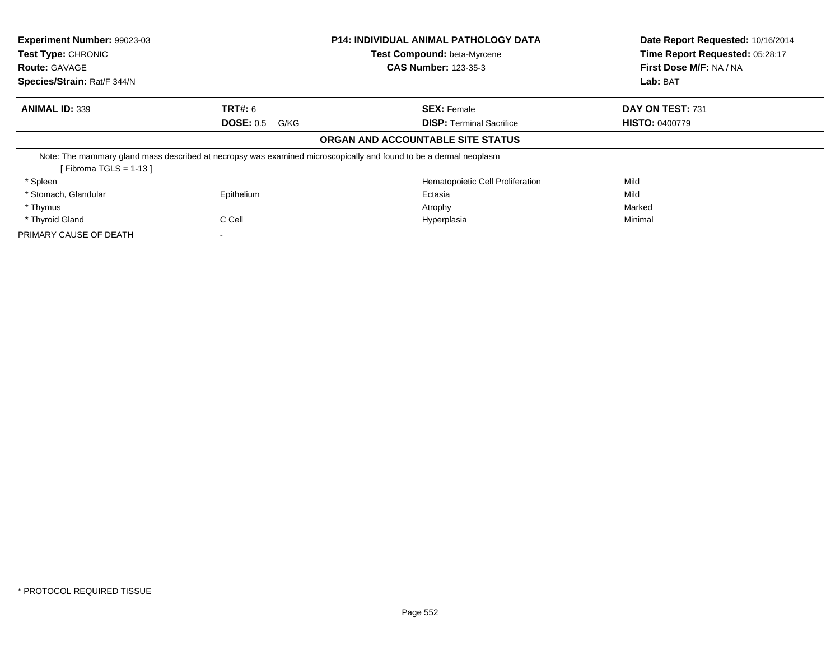| Experiment Number: 99023-03 |                          | <b>P14: INDIVIDUAL ANIMAL PATHOLOGY DATA</b>                                                                      | Date Report Requested: 10/16/2014 |
|-----------------------------|--------------------------|-------------------------------------------------------------------------------------------------------------------|-----------------------------------|
| <b>Test Type: CHRONIC</b>   |                          | Test Compound: beta-Myrcene                                                                                       | Time Report Requested: 05:28:17   |
| <b>Route: GAVAGE</b>        |                          | <b>CAS Number: 123-35-3</b>                                                                                       | First Dose M/F: NA / NA           |
| Species/Strain: Rat/F 344/N |                          |                                                                                                                   | Lab: BAT                          |
| <b>ANIMAL ID: 339</b>       | <b>TRT#:</b> 6           | <b>SEX: Female</b>                                                                                                | DAY ON TEST: 731                  |
|                             | <b>DOSE: 0.5</b><br>G/KG | <b>DISP:</b> Terminal Sacrifice                                                                                   | <b>HISTO: 0400779</b>             |
|                             |                          | ORGAN AND ACCOUNTABLE SITE STATUS                                                                                 |                                   |
|                             |                          | Note: The mammary gland mass described at necropsy was examined microscopically and found to be a dermal neoplasm |                                   |
| [Fibroma TGLS = $1-13$ ]    |                          |                                                                                                                   |                                   |
| * Spleen                    |                          | Hematopoietic Cell Proliferation                                                                                  | Mild                              |
| * Stomach, Glandular        | Epithelium               | Ectasia                                                                                                           | Mild                              |
| * Thymus                    |                          | Atrophy                                                                                                           | Marked                            |
| * Thyroid Gland             | C Cell                   | Hyperplasia                                                                                                       | Minimal                           |
| PRIMARY CAUSE OF DEATH      | ۰                        |                                                                                                                   |                                   |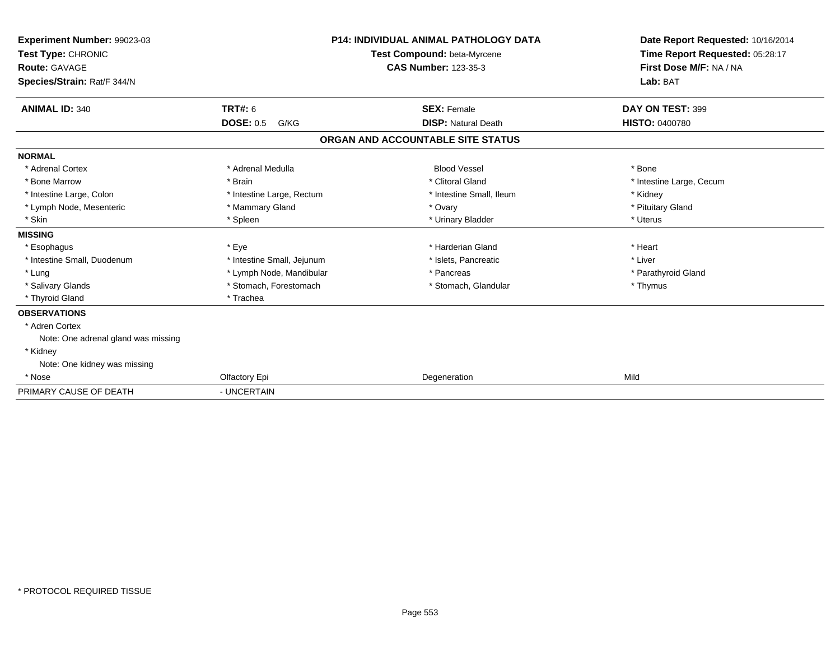| Experiment Number: 99023-03<br>Test Type: CHRONIC<br><b>Route: GAVAGE</b><br>Species/Strain: Rat/F 344/N | P14: INDIVIDUAL ANIMAL PATHOLOGY DATA<br>Test Compound: beta-Myrcene<br><b>CAS Number: 123-35-3</b> |                                   | Date Report Requested: 10/16/2014<br>Time Report Requested: 05:28:17<br>First Dose M/F: NA / NA<br>Lab: BAT |  |
|----------------------------------------------------------------------------------------------------------|-----------------------------------------------------------------------------------------------------|-----------------------------------|-------------------------------------------------------------------------------------------------------------|--|
| <b>ANIMAL ID: 340</b>                                                                                    | <b>TRT#: 6</b>                                                                                      | <b>SEX: Female</b>                | DAY ON TEST: 399                                                                                            |  |
|                                                                                                          | <b>DOSE: 0.5</b><br>G/KG                                                                            | <b>DISP: Natural Death</b>        | <b>HISTO: 0400780</b>                                                                                       |  |
|                                                                                                          |                                                                                                     | ORGAN AND ACCOUNTABLE SITE STATUS |                                                                                                             |  |
| <b>NORMAL</b>                                                                                            |                                                                                                     |                                   |                                                                                                             |  |
| * Adrenal Cortex                                                                                         | * Adrenal Medulla                                                                                   | <b>Blood Vessel</b>               | * Bone                                                                                                      |  |
| * Bone Marrow                                                                                            | * Brain                                                                                             | * Clitoral Gland                  | * Intestine Large, Cecum                                                                                    |  |
| * Intestine Large, Colon                                                                                 | * Intestine Large, Rectum                                                                           | * Intestine Small, Ileum          | * Kidney                                                                                                    |  |
| * Lymph Node, Mesenteric                                                                                 | * Mammary Gland                                                                                     | * Ovary                           | * Pituitary Gland                                                                                           |  |
| * Skin                                                                                                   | * Spleen                                                                                            | * Urinary Bladder                 | * Uterus                                                                                                    |  |
| <b>MISSING</b>                                                                                           |                                                                                                     |                                   |                                                                                                             |  |
| * Esophagus                                                                                              | * Eye                                                                                               | * Harderian Gland                 | * Heart                                                                                                     |  |
| * Intestine Small, Duodenum                                                                              | * Intestine Small, Jejunum                                                                          | * Islets, Pancreatic              | * Liver                                                                                                     |  |
| * Lung                                                                                                   | * Lymph Node, Mandibular                                                                            | * Pancreas                        | * Parathyroid Gland                                                                                         |  |
| * Salivary Glands                                                                                        | * Stomach, Forestomach                                                                              | * Stomach, Glandular              | * Thymus                                                                                                    |  |
| * Thyroid Gland                                                                                          | * Trachea                                                                                           |                                   |                                                                                                             |  |
| <b>OBSERVATIONS</b>                                                                                      |                                                                                                     |                                   |                                                                                                             |  |
| * Adren Cortex                                                                                           |                                                                                                     |                                   |                                                                                                             |  |
| Note: One adrenal gland was missing                                                                      |                                                                                                     |                                   |                                                                                                             |  |
| * Kidney                                                                                                 |                                                                                                     |                                   |                                                                                                             |  |
| Note: One kidney was missing                                                                             |                                                                                                     |                                   |                                                                                                             |  |
| * Nose                                                                                                   | Olfactory Epi                                                                                       | Degeneration                      | Mild                                                                                                        |  |
| PRIMARY CAUSE OF DEATH                                                                                   | - UNCERTAIN                                                                                         |                                   |                                                                                                             |  |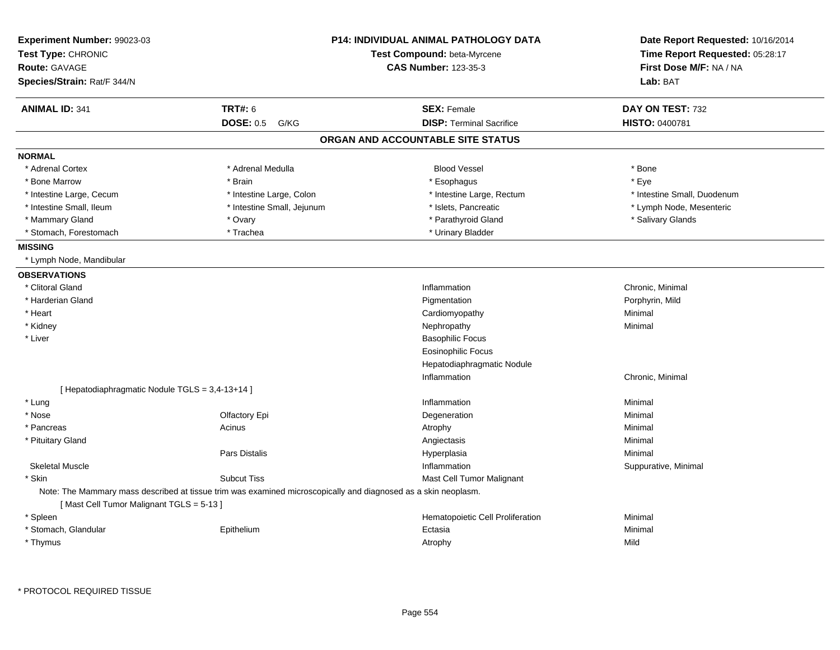| Experiment Number: 99023-03<br>Test Type: CHRONIC<br><b>Route: GAVAGE</b> |                                                                                                                | <b>P14: INDIVIDUAL ANIMAL PATHOLOGY DATA</b><br>Test Compound: beta-Myrcene<br><b>CAS Number: 123-35-3</b> | Date Report Requested: 10/16/2014<br>Time Report Requested: 05:28:17<br>First Dose M/F: NA / NA |
|---------------------------------------------------------------------------|----------------------------------------------------------------------------------------------------------------|------------------------------------------------------------------------------------------------------------|-------------------------------------------------------------------------------------------------|
| Species/Strain: Rat/F 344/N                                               |                                                                                                                |                                                                                                            | Lab: BAT                                                                                        |
| <b>ANIMAL ID: 341</b>                                                     | <b>TRT#: 6</b>                                                                                                 | <b>SEX: Female</b>                                                                                         | DAY ON TEST: 732                                                                                |
|                                                                           | <b>DOSE: 0.5</b><br>G/KG                                                                                       | <b>DISP: Terminal Sacrifice</b>                                                                            | HISTO: 0400781                                                                                  |
|                                                                           |                                                                                                                | ORGAN AND ACCOUNTABLE SITE STATUS                                                                          |                                                                                                 |
| <b>NORMAL</b>                                                             |                                                                                                                |                                                                                                            |                                                                                                 |
| * Adrenal Cortex                                                          | * Adrenal Medulla                                                                                              | <b>Blood Vessel</b>                                                                                        | * Bone                                                                                          |
| * Bone Marrow                                                             | * Brain                                                                                                        | * Esophagus                                                                                                | * Eye                                                                                           |
| * Intestine Large, Cecum                                                  | * Intestine Large, Colon                                                                                       | * Intestine Large, Rectum                                                                                  | * Intestine Small, Duodenum                                                                     |
| * Intestine Small, Ileum                                                  | * Intestine Small, Jejunum                                                                                     | * Islets, Pancreatic                                                                                       | * Lymph Node, Mesenteric                                                                        |
| * Mammary Gland                                                           | * Ovary                                                                                                        | * Parathyroid Gland                                                                                        | * Salivary Glands                                                                               |
| * Stomach, Forestomach                                                    | * Trachea                                                                                                      | * Urinary Bladder                                                                                          |                                                                                                 |
| <b>MISSING</b>                                                            |                                                                                                                |                                                                                                            |                                                                                                 |
| * Lymph Node, Mandibular                                                  |                                                                                                                |                                                                                                            |                                                                                                 |
| <b>OBSERVATIONS</b>                                                       |                                                                                                                |                                                                                                            |                                                                                                 |
| * Clitoral Gland                                                          |                                                                                                                | Inflammation                                                                                               | Chronic, Minimal                                                                                |
| * Harderian Gland                                                         |                                                                                                                | Pigmentation                                                                                               | Porphyrin, Mild                                                                                 |
| * Heart                                                                   |                                                                                                                | Cardiomyopathy                                                                                             | Minimal                                                                                         |
| * Kidney                                                                  |                                                                                                                | Nephropathy                                                                                                | Minimal                                                                                         |
| * Liver                                                                   |                                                                                                                | <b>Basophilic Focus</b>                                                                                    |                                                                                                 |
|                                                                           |                                                                                                                | <b>Eosinophilic Focus</b>                                                                                  |                                                                                                 |
|                                                                           |                                                                                                                | Hepatodiaphragmatic Nodule                                                                                 |                                                                                                 |
|                                                                           |                                                                                                                | Inflammation                                                                                               | Chronic, Minimal                                                                                |
| [ Hepatodiaphragmatic Nodule TGLS = 3,4-13+14 ]                           |                                                                                                                |                                                                                                            |                                                                                                 |
| * Lung                                                                    |                                                                                                                | Inflammation                                                                                               | Minimal                                                                                         |
| * Nose                                                                    | Olfactory Epi                                                                                                  | Degeneration                                                                                               | Minimal                                                                                         |
| * Pancreas                                                                | Acinus                                                                                                         | Atrophy                                                                                                    | Minimal                                                                                         |
| * Pituitary Gland                                                         |                                                                                                                | Angiectasis                                                                                                | Minimal                                                                                         |
|                                                                           | Pars Distalis                                                                                                  | Hyperplasia                                                                                                | Minimal                                                                                         |
| <b>Skeletal Muscle</b>                                                    |                                                                                                                | Inflammation                                                                                               | Suppurative, Minimal                                                                            |
| * Skin                                                                    | <b>Subcut Tiss</b>                                                                                             | Mast Cell Tumor Malignant                                                                                  |                                                                                                 |
| [Mast Cell Tumor Malignant TGLS = 5-13]                                   | Note: The Mammary mass described at tissue trim was examined microscopically and diagnosed as a skin neoplasm. |                                                                                                            |                                                                                                 |
| * Spleen                                                                  |                                                                                                                | Hematopoietic Cell Proliferation                                                                           | Minimal                                                                                         |
| * Stomach, Glandular                                                      | Epithelium                                                                                                     | Ectasia                                                                                                    | Minimal                                                                                         |
| * Thymus                                                                  |                                                                                                                | Atrophy                                                                                                    | Mild                                                                                            |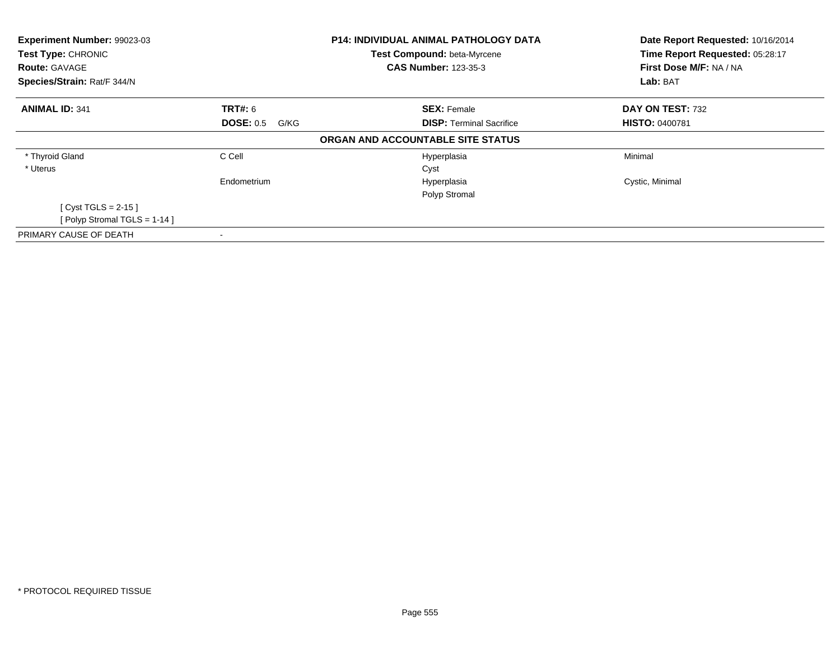| Experiment Number: 99023-03<br>Test Type: CHRONIC<br><b>Route: GAVAGE</b> |                          | <b>P14: INDIVIDUAL ANIMAL PATHOLOGY DATA</b><br>Test Compound: beta-Myrcene<br><b>CAS Number: 123-35-3</b> | Date Report Requested: 10/16/2014<br>Time Report Requested: 05:28:17<br>First Dose M/F: NA / NA |
|---------------------------------------------------------------------------|--------------------------|------------------------------------------------------------------------------------------------------------|-------------------------------------------------------------------------------------------------|
| Species/Strain: Rat/F 344/N                                               |                          |                                                                                                            | Lab: BAT                                                                                        |
| <b>ANIMAL ID: 341</b>                                                     | <b>TRT#: 6</b>           | <b>SEX: Female</b>                                                                                         | DAY ON TEST: 732                                                                                |
|                                                                           | <b>DOSE: 0.5</b><br>G/KG | <b>DISP:</b> Terminal Sacrifice                                                                            | <b>HISTO: 0400781</b>                                                                           |
|                                                                           |                          | ORGAN AND ACCOUNTABLE SITE STATUS                                                                          |                                                                                                 |
| * Thyroid Gland                                                           | C Cell                   | Hyperplasia                                                                                                | Minimal                                                                                         |
| * Uterus                                                                  |                          | Cyst                                                                                                       |                                                                                                 |
|                                                                           | Endometrium              | Hyperplasia                                                                                                | Cystic, Minimal                                                                                 |
|                                                                           |                          | Polyp Stromal                                                                                              |                                                                                                 |
| [ Cyst TGLS = $2-15$ ]                                                    |                          |                                                                                                            |                                                                                                 |
| [Polyp Stromal TGLS = $1-14$ ]                                            |                          |                                                                                                            |                                                                                                 |
| PRIMARY CAUSE OF DEATH                                                    | ۰                        |                                                                                                            |                                                                                                 |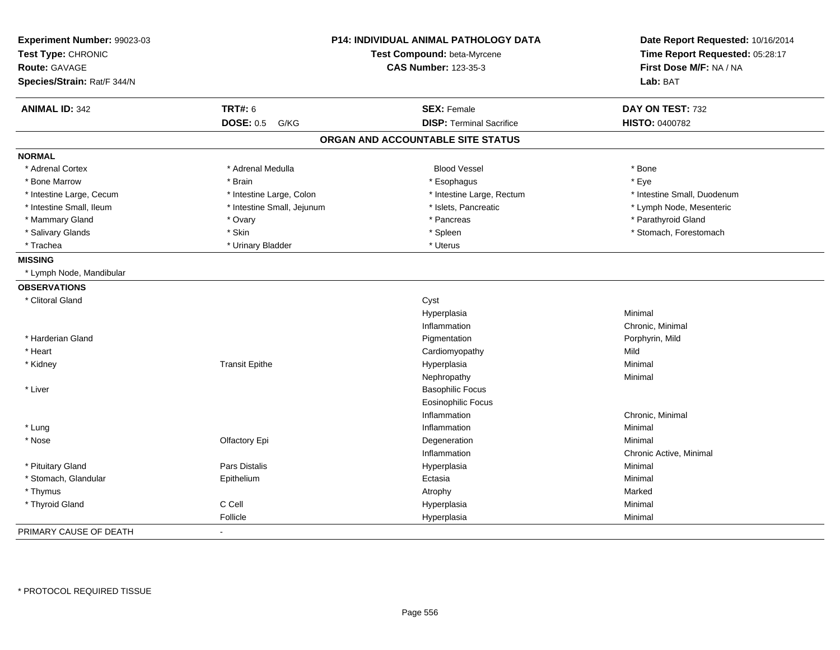| Experiment Number: 99023-03<br>Test Type: CHRONIC |                            | P14: INDIVIDUAL ANIMAL PATHOLOGY DATA<br>Test Compound: beta-Myrcene | Date Report Requested: 10/16/2014<br>Time Report Requested: 05:28:17 |
|---------------------------------------------------|----------------------------|----------------------------------------------------------------------|----------------------------------------------------------------------|
| <b>Route: GAVAGE</b>                              |                            | <b>CAS Number: 123-35-3</b>                                          | First Dose M/F: NA / NA                                              |
| Species/Strain: Rat/F 344/N                       |                            |                                                                      | Lab: BAT                                                             |
|                                                   |                            |                                                                      |                                                                      |
| <b>ANIMAL ID: 342</b>                             | <b>TRT#: 6</b>             | <b>SEX: Female</b>                                                   | DAY ON TEST: 732                                                     |
|                                                   | <b>DOSE: 0.5</b><br>G/KG   | <b>DISP: Terminal Sacrifice</b>                                      | HISTO: 0400782                                                       |
|                                                   |                            | ORGAN AND ACCOUNTABLE SITE STATUS                                    |                                                                      |
| <b>NORMAL</b>                                     |                            |                                                                      |                                                                      |
| * Adrenal Cortex                                  | * Adrenal Medulla          | <b>Blood Vessel</b>                                                  | * Bone                                                               |
| * Bone Marrow                                     | * Brain                    | * Esophagus                                                          | * Eye                                                                |
| * Intestine Large, Cecum                          | * Intestine Large, Colon   | * Intestine Large, Rectum                                            | * Intestine Small, Duodenum                                          |
| * Intestine Small, Ileum                          | * Intestine Small, Jejunum | * Islets, Pancreatic                                                 | * Lymph Node, Mesenteric                                             |
| * Mammary Gland                                   | * Ovary                    | * Pancreas                                                           | * Parathyroid Gland                                                  |
| * Salivary Glands                                 | * Skin                     | * Spleen                                                             | * Stomach, Forestomach                                               |
| * Trachea                                         | * Urinary Bladder          | * Uterus                                                             |                                                                      |
| <b>MISSING</b>                                    |                            |                                                                      |                                                                      |
| * Lymph Node, Mandibular                          |                            |                                                                      |                                                                      |
| <b>OBSERVATIONS</b>                               |                            |                                                                      |                                                                      |
| * Clitoral Gland                                  |                            | Cyst                                                                 |                                                                      |
|                                                   |                            | Hyperplasia                                                          | Minimal                                                              |
|                                                   |                            | Inflammation                                                         | Chronic, Minimal                                                     |
| * Harderian Gland                                 |                            | Pigmentation                                                         | Porphyrin, Mild                                                      |
| * Heart                                           |                            | Cardiomyopathy                                                       | Mild                                                                 |
| * Kidney                                          | <b>Transit Epithe</b>      | Hyperplasia                                                          | Minimal                                                              |
|                                                   |                            | Nephropathy                                                          | Minimal                                                              |
| * Liver                                           |                            | <b>Basophilic Focus</b>                                              |                                                                      |
|                                                   |                            | <b>Eosinophilic Focus</b>                                            |                                                                      |
|                                                   |                            | Inflammation                                                         | Chronic, Minimal                                                     |
| * Lung                                            |                            | Inflammation                                                         | Minimal                                                              |
| * Nose                                            | Olfactory Epi              | Degeneration                                                         | Minimal                                                              |
|                                                   |                            | Inflammation                                                         | Chronic Active, Minimal                                              |
| * Pituitary Gland                                 | <b>Pars Distalis</b>       | Hyperplasia                                                          | Minimal                                                              |
| * Stomach, Glandular                              | Epithelium                 | Ectasia                                                              | Minimal                                                              |
| * Thymus                                          |                            | Atrophy                                                              | Marked                                                               |
| * Thyroid Gland                                   | C Cell                     | Hyperplasia                                                          | Minimal                                                              |
|                                                   | Follicle                   | Hyperplasia                                                          | Minimal                                                              |
| PRIMARY CAUSE OF DEATH                            |                            |                                                                      |                                                                      |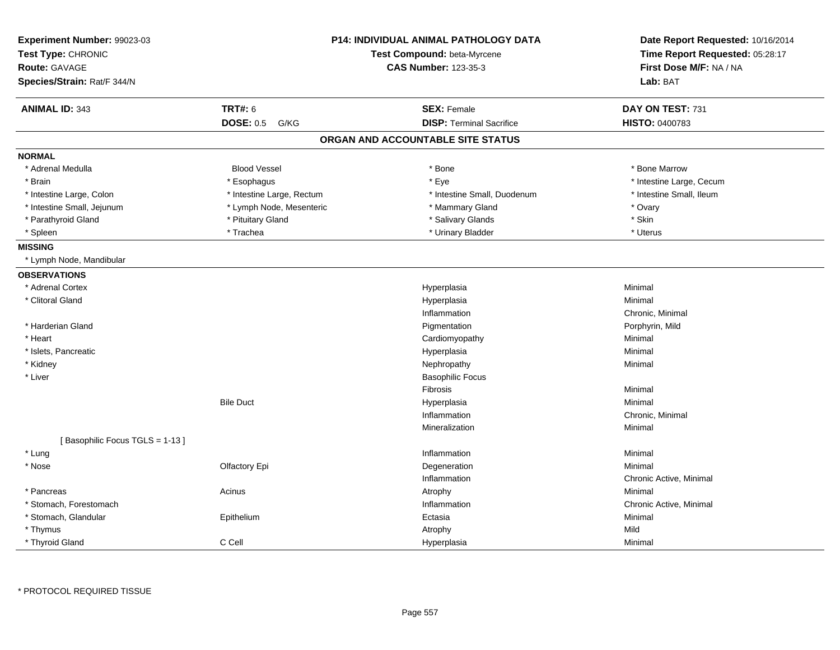| Experiment Number: 99023-03<br>Test Type: CHRONIC<br><b>Route: GAVAGE</b><br>Species/Strain: Rat/F 344/N |                           | <b>P14: INDIVIDUAL ANIMAL PATHOLOGY DATA</b><br>Test Compound: beta-Myrcene<br><b>CAS Number: 123-35-3</b> | Date Report Requested: 10/16/2014<br>Time Report Requested: 05:28:17<br>First Dose M/F: NA / NA<br>Lab: BAT |
|----------------------------------------------------------------------------------------------------------|---------------------------|------------------------------------------------------------------------------------------------------------|-------------------------------------------------------------------------------------------------------------|
| <b>ANIMAL ID: 343</b>                                                                                    | <b>TRT#: 6</b>            | <b>SEX: Female</b>                                                                                         | DAY ON TEST: 731                                                                                            |
|                                                                                                          | <b>DOSE: 0.5</b><br>G/KG  | <b>DISP: Terminal Sacrifice</b>                                                                            | HISTO: 0400783                                                                                              |
|                                                                                                          |                           | ORGAN AND ACCOUNTABLE SITE STATUS                                                                          |                                                                                                             |
| <b>NORMAL</b>                                                                                            |                           |                                                                                                            |                                                                                                             |
| * Adrenal Medulla                                                                                        | <b>Blood Vessel</b>       | * Bone                                                                                                     | * Bone Marrow                                                                                               |
| * Brain                                                                                                  | * Esophagus               | * Eye                                                                                                      | * Intestine Large, Cecum                                                                                    |
| * Intestine Large, Colon                                                                                 | * Intestine Large, Rectum | * Intestine Small, Duodenum                                                                                | * Intestine Small, Ileum                                                                                    |
| * Intestine Small, Jejunum                                                                               | * Lymph Node, Mesenteric  | * Mammary Gland                                                                                            | * Ovary                                                                                                     |
| * Parathyroid Gland                                                                                      | * Pituitary Gland         | * Salivary Glands                                                                                          | * Skin                                                                                                      |
| * Spleen                                                                                                 | * Trachea                 | * Urinary Bladder                                                                                          | * Uterus                                                                                                    |
| <b>MISSING</b>                                                                                           |                           |                                                                                                            |                                                                                                             |
| * Lymph Node, Mandibular                                                                                 |                           |                                                                                                            |                                                                                                             |
| <b>OBSERVATIONS</b>                                                                                      |                           |                                                                                                            |                                                                                                             |
| * Adrenal Cortex                                                                                         |                           | Hyperplasia                                                                                                | Minimal                                                                                                     |
| * Clitoral Gland                                                                                         |                           | Hyperplasia                                                                                                | Minimal                                                                                                     |
|                                                                                                          |                           | Inflammation                                                                                               | Chronic, Minimal                                                                                            |
| * Harderian Gland                                                                                        |                           | Pigmentation                                                                                               | Porphyrin, Mild                                                                                             |
| * Heart                                                                                                  |                           | Cardiomyopathy                                                                                             | Minimal                                                                                                     |
| * Islets, Pancreatic                                                                                     |                           | Hyperplasia                                                                                                | Minimal                                                                                                     |
| * Kidney                                                                                                 |                           | Nephropathy                                                                                                | Minimal                                                                                                     |
| * Liver                                                                                                  |                           | <b>Basophilic Focus</b>                                                                                    |                                                                                                             |
|                                                                                                          |                           | Fibrosis                                                                                                   | Minimal                                                                                                     |
|                                                                                                          | <b>Bile Duct</b>          | Hyperplasia                                                                                                | Minimal                                                                                                     |
|                                                                                                          |                           | Inflammation                                                                                               | Chronic, Minimal                                                                                            |
|                                                                                                          |                           | Mineralization                                                                                             | Minimal                                                                                                     |
| [Basophilic Focus TGLS = 1-13]                                                                           |                           |                                                                                                            |                                                                                                             |
| * Lung                                                                                                   |                           | Inflammation                                                                                               | Minimal                                                                                                     |
| * Nose                                                                                                   | Olfactory Epi             | Degeneration                                                                                               | Minimal                                                                                                     |
|                                                                                                          |                           | Inflammation                                                                                               | Chronic Active, Minimal                                                                                     |
| * Pancreas                                                                                               | Acinus                    | Atrophy                                                                                                    | Minimal                                                                                                     |
| * Stomach, Forestomach                                                                                   |                           | Inflammation                                                                                               | Chronic Active, Minimal                                                                                     |
| * Stomach, Glandular                                                                                     | Epithelium                | Ectasia                                                                                                    | Minimal                                                                                                     |
| * Thymus                                                                                                 |                           | Atrophy                                                                                                    | Mild                                                                                                        |
| * Thyroid Gland                                                                                          | C Cell                    | Hyperplasia                                                                                                | Minimal                                                                                                     |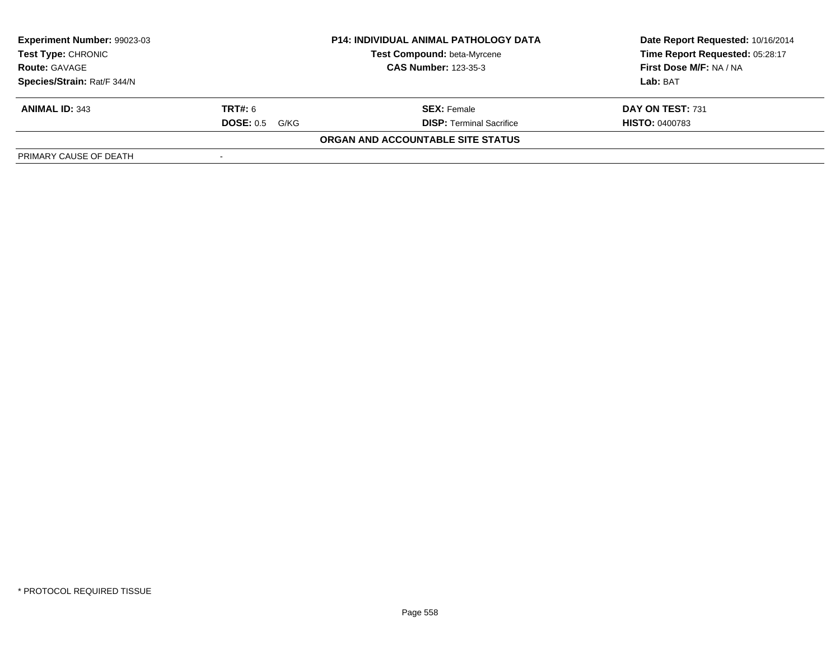| Experiment Number: 99023-03 |                             | <b>P14: INDIVIDUAL ANIMAL PATHOLOGY DATA</b> | Date Report Requested: 10/16/2014 |
|-----------------------------|-----------------------------|----------------------------------------------|-----------------------------------|
| <b>Test Type: CHRONIC</b>   |                             | Test Compound: beta-Myrcene                  | Time Report Requested: 05:28:17   |
| <b>Route: GAVAGE</b>        | <b>CAS Number: 123-35-3</b> |                                              | First Dose M/F: NA / NA           |
| Species/Strain: Rat/F 344/N |                             |                                              | Lab: BAT                          |
| <b>ANIMAL ID: 343</b>       | <b>TRT#:</b> 6              | <b>SEX: Female</b>                           | DAY ON TEST: 731                  |
|                             | <b>DOSE: 0.5</b><br>G/KG    | <b>DISP: Terminal Sacrifice</b>              | <b>HISTO: 0400783</b>             |
|                             |                             | ORGAN AND ACCOUNTABLE SITE STATUS            |                                   |
| PRIMARY CAUSE OF DEATH      |                             |                                              |                                   |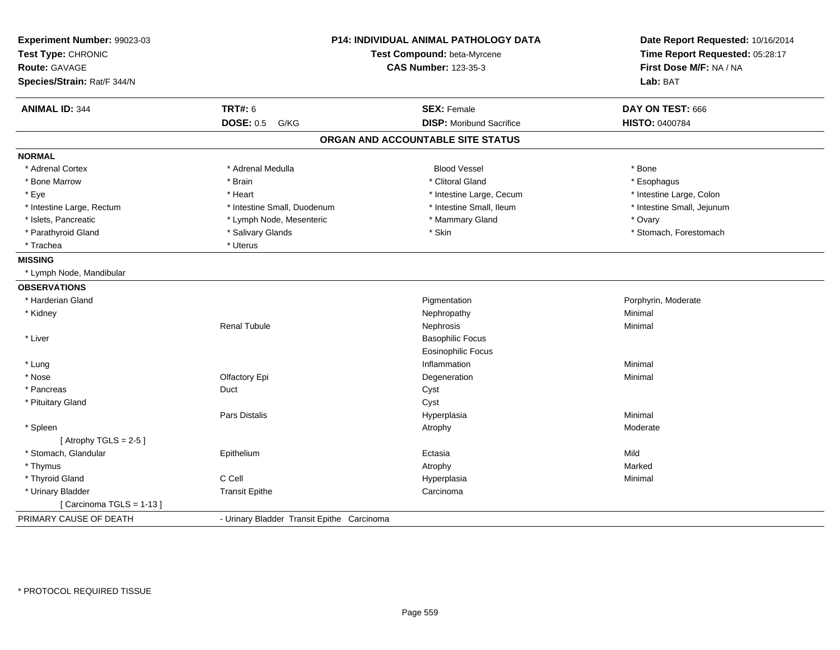| Experiment Number: 99023-03<br>Test Type: CHRONIC |                                            | <b>P14: INDIVIDUAL ANIMAL PATHOLOGY DATA</b><br>Test Compound: beta-Myrcene | Date Report Requested: 10/16/2014<br>Time Report Requested: 05:28:17 |
|---------------------------------------------------|--------------------------------------------|-----------------------------------------------------------------------------|----------------------------------------------------------------------|
| <b>Route: GAVAGE</b>                              |                                            | <b>CAS Number: 123-35-3</b>                                                 | First Dose M/F: NA / NA                                              |
| Species/Strain: Rat/F 344/N                       |                                            |                                                                             | Lab: BAT                                                             |
| <b>ANIMAL ID: 344</b>                             | <b>TRT#: 6</b>                             | <b>SEX: Female</b>                                                          | DAY ON TEST: 666                                                     |
|                                                   | <b>DOSE: 0.5</b><br>G/KG                   | <b>DISP:</b> Moribund Sacrifice                                             | HISTO: 0400784                                                       |
|                                                   |                                            | ORGAN AND ACCOUNTABLE SITE STATUS                                           |                                                                      |
| <b>NORMAL</b>                                     |                                            |                                                                             |                                                                      |
| * Adrenal Cortex                                  | * Adrenal Medulla                          | <b>Blood Vessel</b>                                                         | * Bone                                                               |
| * Bone Marrow                                     | * Brain                                    | * Clitoral Gland                                                            | * Esophagus                                                          |
| * Eye                                             | * Heart                                    | * Intestine Large, Cecum                                                    | * Intestine Large, Colon                                             |
| * Intestine Large, Rectum                         | * Intestine Small, Duodenum                | * Intestine Small, Ileum                                                    | * Intestine Small, Jejunum                                           |
| * Islets, Pancreatic                              | * Lymph Node, Mesenteric                   | * Mammary Gland                                                             | * Ovary                                                              |
| * Parathyroid Gland                               | * Salivary Glands                          | * Skin                                                                      | * Stomach, Forestomach                                               |
| * Trachea                                         | * Uterus                                   |                                                                             |                                                                      |
| <b>MISSING</b>                                    |                                            |                                                                             |                                                                      |
| * Lymph Node, Mandibular                          |                                            |                                                                             |                                                                      |
| <b>OBSERVATIONS</b>                               |                                            |                                                                             |                                                                      |
| * Harderian Gland                                 |                                            | Pigmentation                                                                | Porphyrin, Moderate                                                  |
| * Kidney                                          |                                            | Nephropathy                                                                 | Minimal                                                              |
|                                                   | <b>Renal Tubule</b>                        | Nephrosis                                                                   | Minimal                                                              |
| * Liver                                           |                                            | <b>Basophilic Focus</b>                                                     |                                                                      |
|                                                   |                                            | Eosinophilic Focus                                                          |                                                                      |
| * Lung                                            |                                            | Inflammation                                                                | Minimal                                                              |
| * Nose                                            | Olfactory Epi                              | Degeneration                                                                | Minimal                                                              |
| * Pancreas                                        | Duct                                       | Cyst                                                                        |                                                                      |
| * Pituitary Gland                                 |                                            | Cyst                                                                        |                                                                      |
|                                                   | <b>Pars Distalis</b>                       | Hyperplasia                                                                 | Minimal                                                              |
| * Spleen                                          |                                            | Atrophy                                                                     | Moderate                                                             |
| [Atrophy TGLS = $2-5$ ]                           |                                            |                                                                             |                                                                      |
| * Stomach, Glandular                              | Epithelium                                 | Ectasia                                                                     | Mild                                                                 |
| * Thymus                                          |                                            | Atrophy                                                                     | Marked                                                               |
| * Thyroid Gland                                   | C Cell                                     | Hyperplasia                                                                 | Minimal                                                              |
| * Urinary Bladder                                 | <b>Transit Epithe</b>                      | Carcinoma                                                                   |                                                                      |
| [Carcinoma TGLS = 1-13]                           |                                            |                                                                             |                                                                      |
| PRIMARY CAUSE OF DEATH                            | - Urinary Bladder Transit Epithe Carcinoma |                                                                             |                                                                      |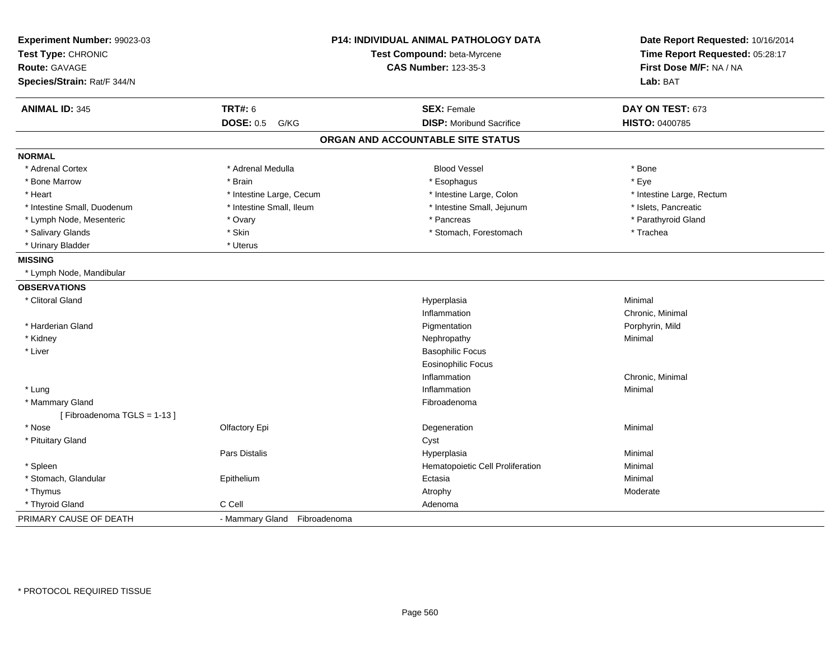| Experiment Number: 99023-03<br>Test Type: CHRONIC<br><b>Route: GAVAGE</b><br>Species/Strain: Rat/F 344/N | <b>P14: INDIVIDUAL ANIMAL PATHOLOGY DATA</b><br>Test Compound: beta-Myrcene<br><b>CAS Number: 123-35-3</b> |                                   | Date Report Requested: 10/16/2014<br>Time Report Requested: 05:28:17<br>First Dose M/F: NA / NA<br>Lab: BAT |
|----------------------------------------------------------------------------------------------------------|------------------------------------------------------------------------------------------------------------|-----------------------------------|-------------------------------------------------------------------------------------------------------------|
| <b>ANIMAL ID: 345</b>                                                                                    | <b>TRT#: 6</b>                                                                                             | <b>SEX: Female</b>                | DAY ON TEST: 673                                                                                            |
|                                                                                                          | <b>DOSE: 0.5</b><br>G/KG                                                                                   | <b>DISP:</b> Moribund Sacrifice   | HISTO: 0400785                                                                                              |
|                                                                                                          |                                                                                                            | ORGAN AND ACCOUNTABLE SITE STATUS |                                                                                                             |
| <b>NORMAL</b>                                                                                            |                                                                                                            |                                   |                                                                                                             |
| * Adrenal Cortex                                                                                         | * Adrenal Medulla                                                                                          | <b>Blood Vessel</b>               | * Bone                                                                                                      |
| * Bone Marrow                                                                                            | * Brain                                                                                                    | * Esophagus                       | * Eye                                                                                                       |
| * Heart                                                                                                  | * Intestine Large, Cecum                                                                                   | * Intestine Large, Colon          | * Intestine Large, Rectum                                                                                   |
| * Intestine Small, Duodenum                                                                              | * Intestine Small, Ileum                                                                                   | * Intestine Small, Jejunum        | * Islets, Pancreatic                                                                                        |
| * Lymph Node, Mesenteric                                                                                 | * Ovary                                                                                                    | * Pancreas                        | * Parathyroid Gland                                                                                         |
| * Salivary Glands                                                                                        | * Skin                                                                                                     | * Stomach, Forestomach            | * Trachea                                                                                                   |
| * Urinary Bladder                                                                                        | * Uterus                                                                                                   |                                   |                                                                                                             |
| <b>MISSING</b>                                                                                           |                                                                                                            |                                   |                                                                                                             |
| * Lymph Node, Mandibular                                                                                 |                                                                                                            |                                   |                                                                                                             |
| <b>OBSERVATIONS</b>                                                                                      |                                                                                                            |                                   |                                                                                                             |
| * Clitoral Gland                                                                                         |                                                                                                            | Hyperplasia                       | Minimal                                                                                                     |
|                                                                                                          |                                                                                                            | Inflammation                      | Chronic, Minimal                                                                                            |
| * Harderian Gland                                                                                        |                                                                                                            | Pigmentation                      | Porphyrin, Mild                                                                                             |
| * Kidney                                                                                                 |                                                                                                            | Nephropathy                       | Minimal                                                                                                     |
| * Liver                                                                                                  |                                                                                                            | <b>Basophilic Focus</b>           |                                                                                                             |
|                                                                                                          |                                                                                                            | <b>Eosinophilic Focus</b>         |                                                                                                             |
|                                                                                                          |                                                                                                            | Inflammation                      | Chronic, Minimal                                                                                            |
| * Lung                                                                                                   |                                                                                                            | Inflammation                      | Minimal                                                                                                     |
| * Mammary Gland                                                                                          |                                                                                                            | Fibroadenoma                      |                                                                                                             |
| [Fibroadenoma TGLS = 1-13]                                                                               |                                                                                                            |                                   |                                                                                                             |
| * Nose                                                                                                   | Olfactory Epi                                                                                              | Degeneration                      | Minimal                                                                                                     |
| * Pituitary Gland                                                                                        |                                                                                                            | Cyst                              |                                                                                                             |
|                                                                                                          | <b>Pars Distalis</b>                                                                                       | Hyperplasia                       | Minimal                                                                                                     |
| * Spleen                                                                                                 |                                                                                                            | Hematopoietic Cell Proliferation  | Minimal                                                                                                     |
| * Stomach, Glandular                                                                                     | Epithelium                                                                                                 | Ectasia                           | Minimal                                                                                                     |
| * Thymus                                                                                                 |                                                                                                            | Atrophy                           | Moderate                                                                                                    |
| * Thyroid Gland                                                                                          | C Cell                                                                                                     | Adenoma                           |                                                                                                             |
| PRIMARY CAUSE OF DEATH                                                                                   | - Mammary Gland Fibroadenoma                                                                               |                                   |                                                                                                             |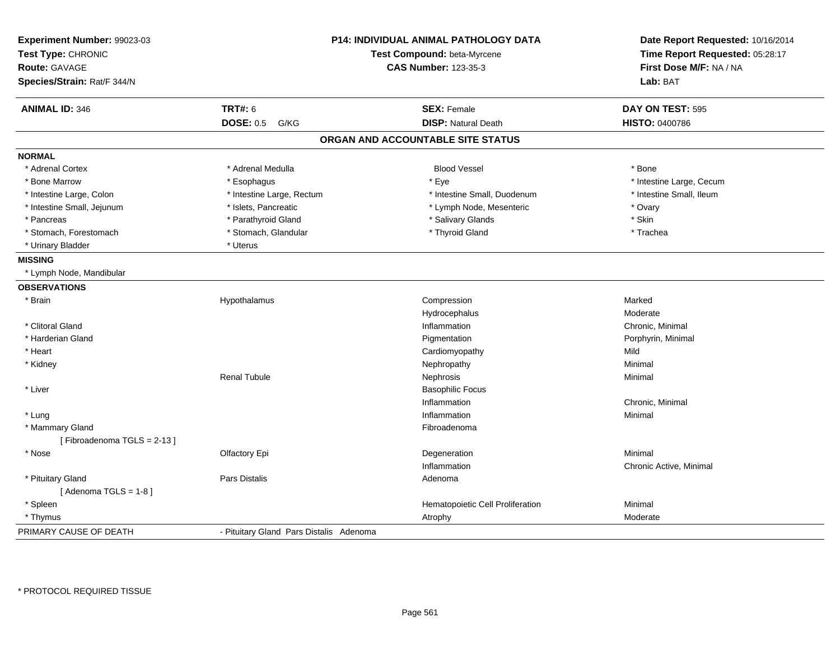| Experiment Number: 99023-03<br>Test Type: CHRONIC |                                         | P14: INDIVIDUAL ANIMAL PATHOLOGY DATA<br>Test Compound: beta-Myrcene | Date Report Requested: 10/16/2014<br>Time Report Requested: 05:28:17 |
|---------------------------------------------------|-----------------------------------------|----------------------------------------------------------------------|----------------------------------------------------------------------|
| Route: GAVAGE                                     |                                         | <b>CAS Number: 123-35-3</b>                                          | First Dose M/F: NA / NA                                              |
| Species/Strain: Rat/F 344/N                       |                                         |                                                                      | Lab: BAT                                                             |
| <b>ANIMAL ID: 346</b>                             | <b>TRT#: 6</b>                          | <b>SEX: Female</b>                                                   | DAY ON TEST: 595                                                     |
|                                                   | <b>DOSE: 0.5</b><br>G/KG                | <b>DISP: Natural Death</b>                                           | <b>HISTO: 0400786</b>                                                |
|                                                   |                                         | ORGAN AND ACCOUNTABLE SITE STATUS                                    |                                                                      |
| <b>NORMAL</b>                                     |                                         |                                                                      |                                                                      |
| * Adrenal Cortex                                  | * Adrenal Medulla                       | <b>Blood Vessel</b>                                                  | * Bone                                                               |
| * Bone Marrow                                     | * Esophagus                             | * Eye                                                                | * Intestine Large, Cecum                                             |
| * Intestine Large, Colon                          | * Intestine Large, Rectum               | * Intestine Small, Duodenum                                          | * Intestine Small, Ileum                                             |
| * Intestine Small, Jejunum                        | * Islets, Pancreatic                    | * Lymph Node, Mesenteric                                             | * Ovary                                                              |
| * Pancreas                                        | * Parathyroid Gland                     | * Salivary Glands                                                    | * Skin                                                               |
| * Stomach, Forestomach                            | * Stomach, Glandular                    | * Thyroid Gland                                                      | * Trachea                                                            |
| * Urinary Bladder                                 | * Uterus                                |                                                                      |                                                                      |
| <b>MISSING</b>                                    |                                         |                                                                      |                                                                      |
| * Lymph Node, Mandibular                          |                                         |                                                                      |                                                                      |
| <b>OBSERVATIONS</b>                               |                                         |                                                                      |                                                                      |
| * Brain                                           | Hypothalamus                            | Compression                                                          | Marked                                                               |
|                                                   |                                         | Hydrocephalus                                                        | Moderate                                                             |
| * Clitoral Gland                                  |                                         | Inflammation                                                         | Chronic, Minimal                                                     |
| * Harderian Gland                                 |                                         | Pigmentation                                                         | Porphyrin, Minimal                                                   |
| * Heart                                           |                                         | Cardiomyopathy                                                       | Mild                                                                 |
| * Kidney                                          |                                         | Nephropathy                                                          | Minimal                                                              |
|                                                   | <b>Renal Tubule</b>                     | Nephrosis                                                            | Minimal                                                              |
| * Liver                                           |                                         | <b>Basophilic Focus</b>                                              |                                                                      |
|                                                   |                                         | Inflammation                                                         | Chronic, Minimal                                                     |
| * Lung                                            |                                         | Inflammation                                                         | Minimal                                                              |
| * Mammary Gland                                   |                                         | Fibroadenoma                                                         |                                                                      |
| [Fibroadenoma TGLS = 2-13]                        |                                         |                                                                      |                                                                      |
| * Nose                                            | Olfactory Epi                           | Degeneration                                                         | Minimal                                                              |
|                                                   |                                         | Inflammation                                                         | Chronic Active, Minimal                                              |
| * Pituitary Gland                                 | <b>Pars Distalis</b>                    | Adenoma                                                              |                                                                      |
| [Adenoma TGLS = $1-8$ ]                           |                                         |                                                                      |                                                                      |
| * Spleen                                          |                                         | Hematopoietic Cell Proliferation                                     | Minimal                                                              |
| * Thymus                                          |                                         | Atrophy                                                              | Moderate                                                             |
| PRIMARY CAUSE OF DEATH                            | - Pituitary Gland Pars Distalis Adenoma |                                                                      |                                                                      |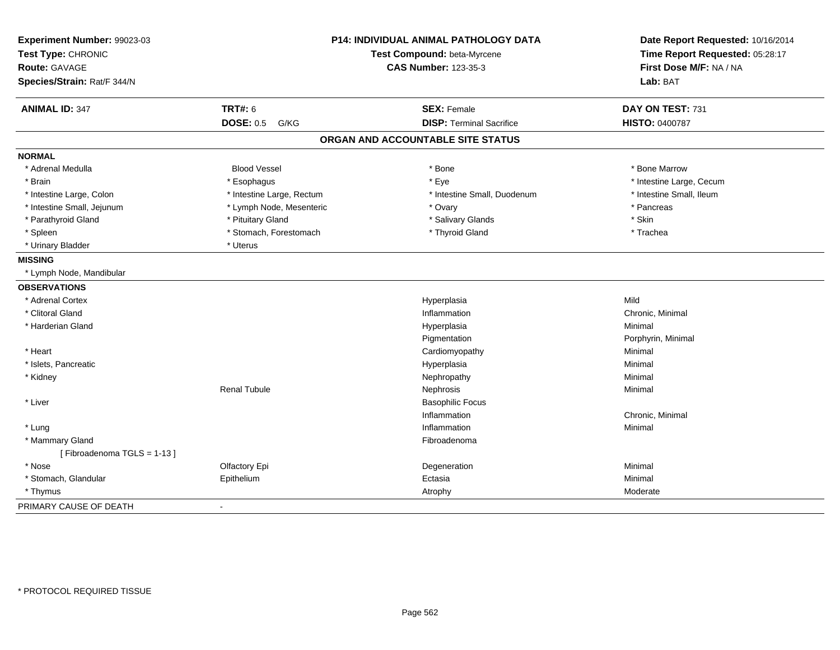| Experiment Number: 99023-03<br>Test Type: CHRONIC<br><b>Route: GAVAGE</b> | P14: INDIVIDUAL ANIMAL PATHOLOGY DATA<br>Test Compound: beta-Myrcene<br><b>CAS Number: 123-35-3</b> | Date Report Requested: 10/16/2014<br>Time Report Requested: 05:28:17<br>First Dose M/F: NA / NA |
|---------------------------------------------------------------------------|-----------------------------------------------------------------------------------------------------|-------------------------------------------------------------------------------------------------|
| Species/Strain: Rat/F 344/N                                               |                                                                                                     | Lab: BAT                                                                                        |
| <b>TRT#: 6</b><br><b>ANIMAL ID: 347</b>                                   | <b>SEX: Female</b>                                                                                  | DAY ON TEST: 731                                                                                |
| <b>DOSE: 0.5</b><br>G/KG                                                  | <b>DISP: Terminal Sacrifice</b>                                                                     | <b>HISTO: 0400787</b>                                                                           |
|                                                                           | ORGAN AND ACCOUNTABLE SITE STATUS                                                                   |                                                                                                 |
| <b>NORMAL</b>                                                             |                                                                                                     |                                                                                                 |
| <b>Blood Vessel</b><br>* Adrenal Medulla                                  | * Bone                                                                                              | * Bone Marrow                                                                                   |
| * Brain<br>* Esophagus                                                    | * Eye                                                                                               | * Intestine Large, Cecum                                                                        |
| * Intestine Large, Colon<br>* Intestine Large, Rectum                     | * Intestine Small, Duodenum                                                                         | * Intestine Small, Ileum                                                                        |
| * Intestine Small, Jejunum<br>* Lymph Node, Mesenteric                    | * Ovary                                                                                             | * Pancreas                                                                                      |
| * Parathyroid Gland<br>* Pituitary Gland                                  | * Salivary Glands                                                                                   | * Skin                                                                                          |
| * Stomach, Forestomach<br>* Spleen                                        | * Thyroid Gland                                                                                     | * Trachea                                                                                       |
| * Urinary Bladder<br>* Uterus                                             |                                                                                                     |                                                                                                 |
| <b>MISSING</b>                                                            |                                                                                                     |                                                                                                 |
| * Lymph Node, Mandibular                                                  |                                                                                                     |                                                                                                 |
| <b>OBSERVATIONS</b>                                                       |                                                                                                     |                                                                                                 |
| * Adrenal Cortex                                                          | Hyperplasia                                                                                         | Mild                                                                                            |
| * Clitoral Gland                                                          | Inflammation                                                                                        | Chronic, Minimal                                                                                |
| * Harderian Gland                                                         | Hyperplasia                                                                                         | Minimal                                                                                         |
|                                                                           | Pigmentation                                                                                        | Porphyrin, Minimal                                                                              |
| * Heart                                                                   | Cardiomyopathy                                                                                      | Minimal                                                                                         |
| * Islets, Pancreatic                                                      | Hyperplasia                                                                                         | Minimal                                                                                         |
| * Kidney                                                                  | Nephropathy                                                                                         | Minimal                                                                                         |
| <b>Renal Tubule</b>                                                       | Nephrosis                                                                                           | Minimal                                                                                         |
| * Liver                                                                   | <b>Basophilic Focus</b>                                                                             |                                                                                                 |
|                                                                           | Inflammation                                                                                        | Chronic, Minimal                                                                                |
| * Lung                                                                    | Inflammation                                                                                        | Minimal                                                                                         |
| * Mammary Gland                                                           | Fibroadenoma                                                                                        |                                                                                                 |
| [Fibroadenoma TGLS = 1-13]                                                |                                                                                                     |                                                                                                 |
| * Nose<br>Olfactory Epi                                                   | Degeneration                                                                                        | Minimal                                                                                         |
| * Stomach, Glandular<br>Epithelium                                        | Ectasia                                                                                             | Minimal                                                                                         |
| * Thymus                                                                  | Atrophy                                                                                             | Moderate                                                                                        |
| PRIMARY CAUSE OF DEATH<br>$\blacksquare$                                  |                                                                                                     |                                                                                                 |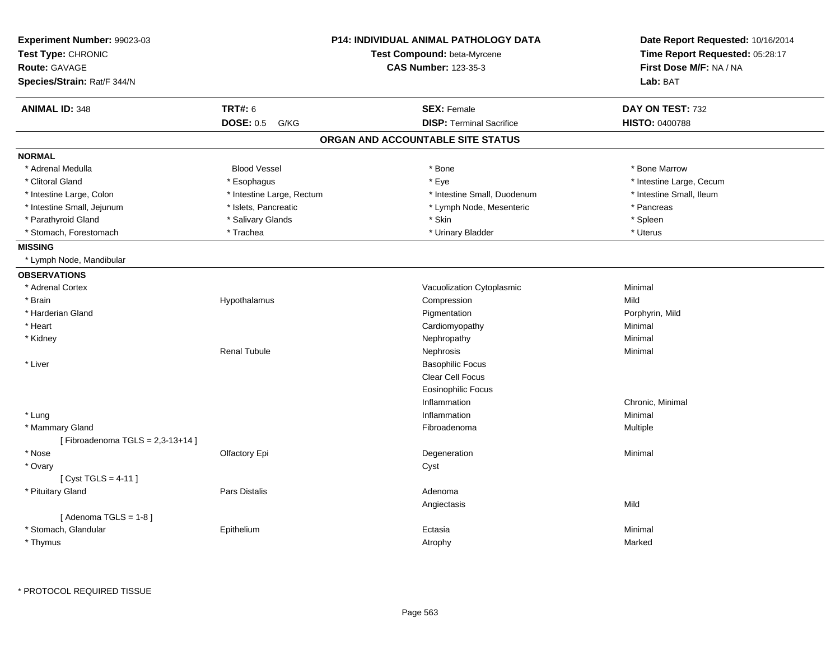| Experiment Number: 99023-03<br>Test Type: CHRONIC<br><b>Route: GAVAGE</b> |                           | <b>P14: INDIVIDUAL ANIMAL PATHOLOGY DATA</b><br>Test Compound: beta-Myrcene<br><b>CAS Number: 123-35-3</b> | Date Report Requested: 10/16/2014<br>Time Report Requested: 05:28:17<br>First Dose M/F: NA / NA |
|---------------------------------------------------------------------------|---------------------------|------------------------------------------------------------------------------------------------------------|-------------------------------------------------------------------------------------------------|
| Species/Strain: Rat/F 344/N                                               |                           |                                                                                                            | Lab: BAT                                                                                        |
| <b>ANIMAL ID: 348</b>                                                     | <b>TRT#: 6</b>            | <b>SEX: Female</b>                                                                                         | DAY ON TEST: 732                                                                                |
|                                                                           | <b>DOSE: 0.5</b><br>G/KG  | <b>DISP: Terminal Sacrifice</b>                                                                            | HISTO: 0400788                                                                                  |
|                                                                           |                           | ORGAN AND ACCOUNTABLE SITE STATUS                                                                          |                                                                                                 |
| <b>NORMAL</b>                                                             |                           |                                                                                                            |                                                                                                 |
| * Adrenal Medulla                                                         | <b>Blood Vessel</b>       | * Bone                                                                                                     | * Bone Marrow                                                                                   |
| * Clitoral Gland                                                          | * Esophagus               | * Eye                                                                                                      | * Intestine Large, Cecum                                                                        |
| * Intestine Large, Colon                                                  | * Intestine Large, Rectum | * Intestine Small, Duodenum                                                                                | * Intestine Small, Ileum                                                                        |
| * Intestine Small, Jejunum                                                | * Islets, Pancreatic      | * Lymph Node, Mesenteric                                                                                   | * Pancreas                                                                                      |
| * Parathyroid Gland                                                       | * Salivary Glands         | * Skin                                                                                                     | * Spleen                                                                                        |
| * Stomach, Forestomach                                                    | * Trachea                 | * Urinary Bladder                                                                                          | * Uterus                                                                                        |
| <b>MISSING</b>                                                            |                           |                                                                                                            |                                                                                                 |
| * Lymph Node, Mandibular                                                  |                           |                                                                                                            |                                                                                                 |
| <b>OBSERVATIONS</b>                                                       |                           |                                                                                                            |                                                                                                 |
| * Adrenal Cortex                                                          |                           | Vacuolization Cytoplasmic                                                                                  | Minimal                                                                                         |
| * Brain                                                                   | Hypothalamus              | Compression                                                                                                | Mild                                                                                            |
| * Harderian Gland                                                         |                           | Pigmentation                                                                                               | Porphyrin, Mild                                                                                 |
| * Heart                                                                   |                           | Cardiomyopathy                                                                                             | Minimal                                                                                         |
| * Kidney                                                                  |                           | Nephropathy                                                                                                | Minimal                                                                                         |
|                                                                           | <b>Renal Tubule</b>       | Nephrosis                                                                                                  | Minimal                                                                                         |
| * Liver                                                                   |                           | <b>Basophilic Focus</b>                                                                                    |                                                                                                 |
|                                                                           |                           | Clear Cell Focus                                                                                           |                                                                                                 |
|                                                                           |                           | <b>Eosinophilic Focus</b>                                                                                  |                                                                                                 |
|                                                                           |                           | Inflammation                                                                                               | Chronic, Minimal                                                                                |
| * Lung                                                                    |                           | Inflammation                                                                                               | Minimal                                                                                         |
| * Mammary Gland                                                           |                           | Fibroadenoma                                                                                               | Multiple                                                                                        |
| [Fibroadenoma TGLS = $2,3-13+14$ ]                                        |                           |                                                                                                            |                                                                                                 |
| * Nose                                                                    | Olfactory Epi             | Degeneration                                                                                               | Minimal                                                                                         |
| * Ovary                                                                   |                           | Cyst                                                                                                       |                                                                                                 |
| [Cyst TGLS = 4-11]                                                        |                           |                                                                                                            |                                                                                                 |
| * Pituitary Gland                                                         | Pars Distalis             | Adenoma                                                                                                    |                                                                                                 |
|                                                                           |                           | Angiectasis                                                                                                | Mild                                                                                            |
| [Adenoma TGLS = $1-8$ ]                                                   |                           |                                                                                                            |                                                                                                 |
| * Stomach, Glandular                                                      | Epithelium                | Ectasia                                                                                                    | Minimal                                                                                         |
| * Thymus                                                                  |                           | Atrophy                                                                                                    | Marked                                                                                          |
|                                                                           |                           |                                                                                                            |                                                                                                 |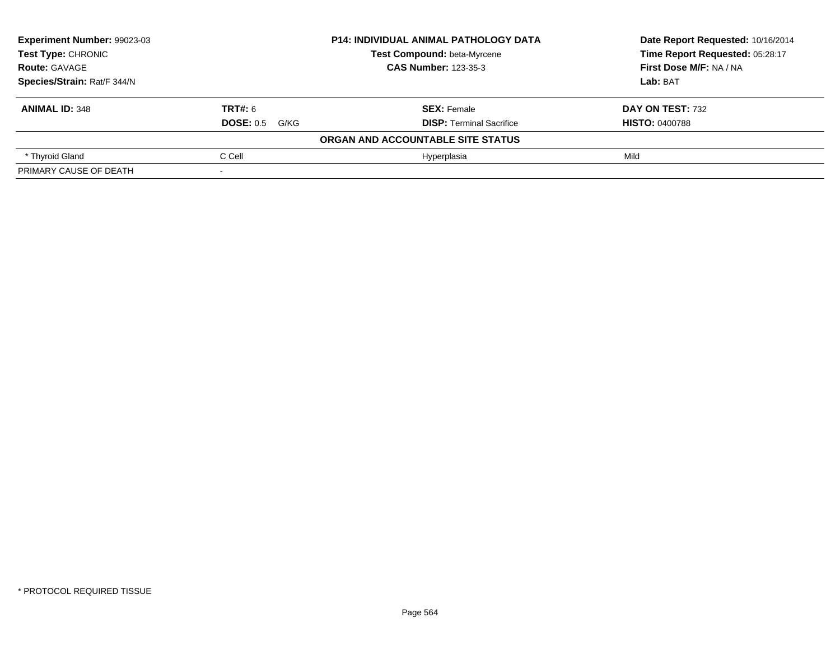| Experiment Number: 99023-03<br>Test Type: CHRONIC |                       | <b>P14: INDIVIDUAL ANIMAL PATHOLOGY DATA</b> | Date Report Requested: 10/16/2014<br>Time Report Requested: 05:28:17 |
|---------------------------------------------------|-----------------------|----------------------------------------------|----------------------------------------------------------------------|
|                                                   |                       | <b>Test Compound: beta-Myrcene</b>           |                                                                      |
| <b>Route: GAVAGE</b>                              |                       | <b>CAS Number: 123-35-3</b>                  | First Dose M/F: NA / NA                                              |
| Species/Strain: Rat/F 344/N                       |                       |                                              | Lab: BAT                                                             |
| <b>ANIMAL ID: 348</b>                             | <b>TRT#: 6</b>        | <b>SEX: Female</b>                           | DAY ON TEST: 732                                                     |
|                                                   | <b>DOSE: 0.5 G/KG</b> | <b>DISP:</b> Terminal Sacrifice              | <b>HISTO: 0400788</b>                                                |
|                                                   |                       | ORGAN AND ACCOUNTABLE SITE STATUS            |                                                                      |
| * Thyroid Gland                                   | C Cell                | Hyperplasia                                  | Mild                                                                 |
| PRIMARY CAUSE OF DEATH                            |                       |                                              |                                                                      |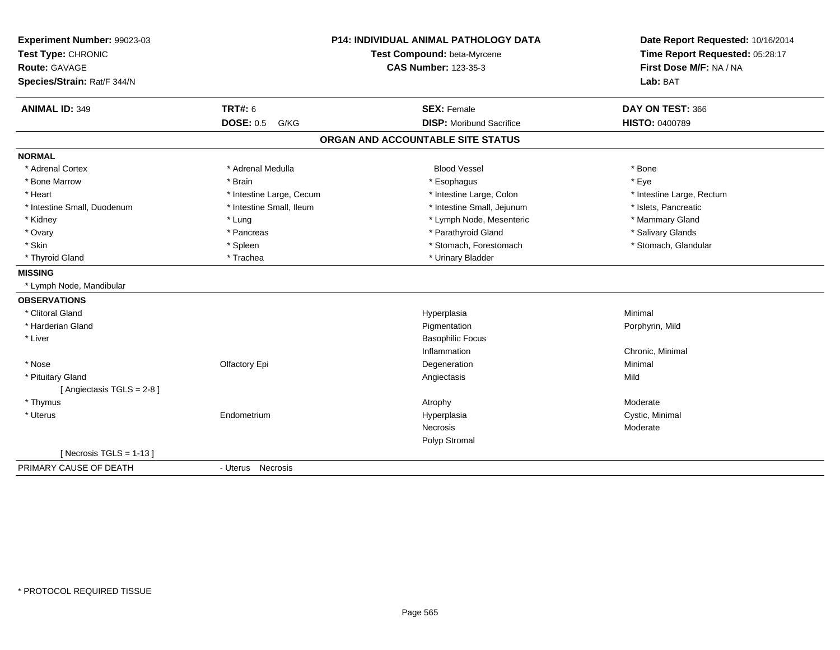| Experiment Number: 99023-03<br>Test Type: CHRONIC<br><b>Route: GAVAGE</b> |                          | <b>P14: INDIVIDUAL ANIMAL PATHOLOGY DATA</b><br>Test Compound: beta-Myrcene<br><b>CAS Number: 123-35-3</b> | Date Report Requested: 10/16/2014<br>Time Report Requested: 05:28:17<br>First Dose M/F: NA / NA |
|---------------------------------------------------------------------------|--------------------------|------------------------------------------------------------------------------------------------------------|-------------------------------------------------------------------------------------------------|
| Species/Strain: Rat/F 344/N                                               |                          |                                                                                                            | Lab: BAT                                                                                        |
| <b>ANIMAL ID: 349</b>                                                     | <b>TRT#: 6</b>           | <b>SEX: Female</b>                                                                                         | DAY ON TEST: 366                                                                                |
|                                                                           | <b>DOSE: 0.5 G/KG</b>    | <b>DISP: Moribund Sacrifice</b>                                                                            | HISTO: 0400789                                                                                  |
|                                                                           |                          | ORGAN AND ACCOUNTABLE SITE STATUS                                                                          |                                                                                                 |
| <b>NORMAL</b>                                                             |                          |                                                                                                            |                                                                                                 |
| * Adrenal Cortex                                                          | * Adrenal Medulla        | <b>Blood Vessel</b>                                                                                        | * Bone                                                                                          |
| * Bone Marrow                                                             | * Brain                  | * Esophagus                                                                                                | * Eye                                                                                           |
| * Heart                                                                   | * Intestine Large, Cecum | * Intestine Large, Colon                                                                                   | * Intestine Large, Rectum                                                                       |
| * Intestine Small, Duodenum                                               | * Intestine Small, Ileum | * Intestine Small, Jejunum                                                                                 | * Islets, Pancreatic                                                                            |
| * Kidney                                                                  | * Lung                   | * Lymph Node, Mesenteric                                                                                   | * Mammary Gland                                                                                 |
| * Ovary                                                                   | * Pancreas               | * Parathyroid Gland                                                                                        | * Salivary Glands                                                                               |
| * Skin                                                                    | * Spleen                 | * Stomach, Forestomach                                                                                     | * Stomach, Glandular                                                                            |
| * Thyroid Gland                                                           | * Trachea                | * Urinary Bladder                                                                                          |                                                                                                 |
| <b>MISSING</b>                                                            |                          |                                                                                                            |                                                                                                 |
| * Lymph Node, Mandibular                                                  |                          |                                                                                                            |                                                                                                 |
| <b>OBSERVATIONS</b>                                                       |                          |                                                                                                            |                                                                                                 |
| * Clitoral Gland                                                          |                          | Hyperplasia                                                                                                | Minimal                                                                                         |
| * Harderian Gland                                                         |                          | Pigmentation                                                                                               | Porphyrin, Mild                                                                                 |
| * Liver                                                                   |                          | <b>Basophilic Focus</b>                                                                                    |                                                                                                 |
|                                                                           |                          | Inflammation                                                                                               | Chronic, Minimal                                                                                |
| * Nose                                                                    | Olfactory Epi            | Degeneration                                                                                               | Minimal                                                                                         |
| * Pituitary Gland                                                         |                          | Angiectasis                                                                                                | Mild                                                                                            |
| [Angiectasis TGLS = $2-8$ ]                                               |                          |                                                                                                            |                                                                                                 |
| * Thymus                                                                  |                          | Atrophy                                                                                                    | Moderate                                                                                        |
| * Uterus                                                                  | Endometrium              | Hyperplasia                                                                                                | Cystic, Minimal                                                                                 |
|                                                                           |                          | Necrosis                                                                                                   | Moderate                                                                                        |
|                                                                           |                          | Polyp Stromal                                                                                              |                                                                                                 |
| [Necrosis TGLS = $1-13$ ]                                                 |                          |                                                                                                            |                                                                                                 |
| PRIMARY CAUSE OF DEATH                                                    | - Uterus Necrosis        |                                                                                                            |                                                                                                 |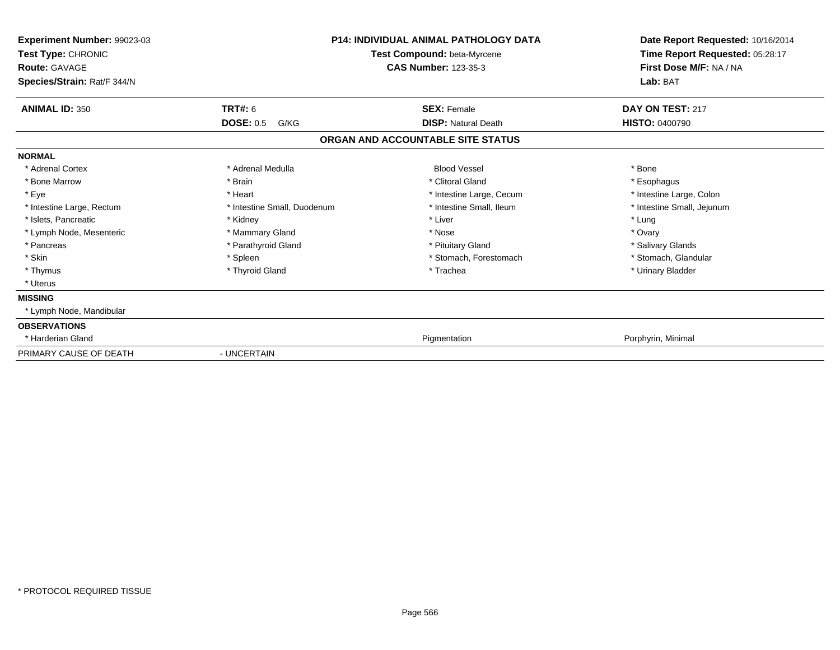| Experiment Number: 99023-03<br>Test Type: CHRONIC<br><b>Route: GAVAGE</b><br>Species/Strain: Rat/F 344/N |                             | <b>P14: INDIVIDUAL ANIMAL PATHOLOGY DATA</b><br>Test Compound: beta-Myrcene<br><b>CAS Number: 123-35-3</b> | Date Report Requested: 10/16/2014<br>Time Report Requested: 05:28:17<br>First Dose M/F: NA / NA<br>Lab: BAT |
|----------------------------------------------------------------------------------------------------------|-----------------------------|------------------------------------------------------------------------------------------------------------|-------------------------------------------------------------------------------------------------------------|
| <b>ANIMAL ID: 350</b>                                                                                    | <b>TRT#: 6</b>              | <b>SEX: Female</b>                                                                                         | DAY ON TEST: 217                                                                                            |
|                                                                                                          | <b>DOSE: 0.5</b><br>G/KG    | <b>DISP: Natural Death</b>                                                                                 | <b>HISTO: 0400790</b>                                                                                       |
|                                                                                                          |                             | ORGAN AND ACCOUNTABLE SITE STATUS                                                                          |                                                                                                             |
| <b>NORMAL</b>                                                                                            |                             |                                                                                                            |                                                                                                             |
| * Adrenal Cortex                                                                                         | * Adrenal Medulla           | <b>Blood Vessel</b>                                                                                        | * Bone                                                                                                      |
| * Bone Marrow                                                                                            | * Brain                     | * Clitoral Gland                                                                                           | * Esophagus                                                                                                 |
| * Eye                                                                                                    | * Heart                     | * Intestine Large, Cecum                                                                                   | * Intestine Large, Colon                                                                                    |
| * Intestine Large, Rectum                                                                                | * Intestine Small, Duodenum | * Intestine Small, Ileum                                                                                   | * Intestine Small, Jejunum                                                                                  |
| * Islets, Pancreatic                                                                                     | * Kidney                    | * Liver                                                                                                    | * Lung                                                                                                      |
| * Lymph Node, Mesenteric                                                                                 | * Mammary Gland             | * Nose                                                                                                     | * Ovary                                                                                                     |
| * Pancreas                                                                                               | * Parathyroid Gland         | * Pituitary Gland                                                                                          | * Salivary Glands                                                                                           |
| * Skin                                                                                                   | * Spleen                    | * Stomach, Forestomach                                                                                     | * Stomach, Glandular                                                                                        |
| * Thymus                                                                                                 | * Thyroid Gland             | * Trachea                                                                                                  | * Urinary Bladder                                                                                           |
| * Uterus                                                                                                 |                             |                                                                                                            |                                                                                                             |
| <b>MISSING</b>                                                                                           |                             |                                                                                                            |                                                                                                             |
| * Lymph Node, Mandibular                                                                                 |                             |                                                                                                            |                                                                                                             |
| <b>OBSERVATIONS</b>                                                                                      |                             |                                                                                                            |                                                                                                             |
| * Harderian Gland                                                                                        |                             | Pigmentation                                                                                               | Porphyrin, Minimal                                                                                          |
| PRIMARY CAUSE OF DEATH                                                                                   | - UNCERTAIN                 |                                                                                                            |                                                                                                             |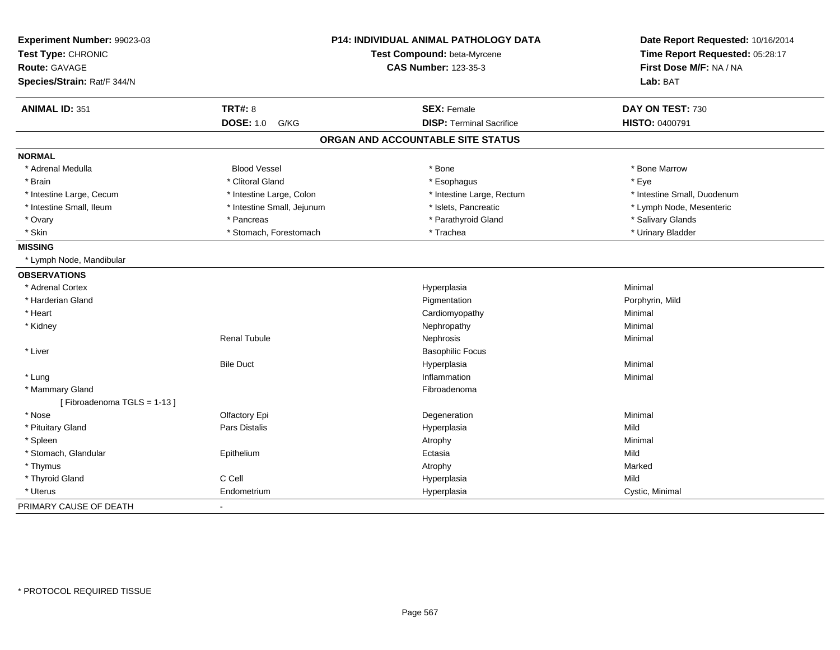| Experiment Number: 99023-03<br>Test Type: CHRONIC<br><b>Route: GAVAGE</b> |                            | <b>P14: INDIVIDUAL ANIMAL PATHOLOGY DATA</b><br>Test Compound: beta-Myrcene<br><b>CAS Number: 123-35-3</b> | Date Report Requested: 10/16/2014<br>Time Report Requested: 05:28:17<br>First Dose M/F: NA / NA |
|---------------------------------------------------------------------------|----------------------------|------------------------------------------------------------------------------------------------------------|-------------------------------------------------------------------------------------------------|
| Species/Strain: Rat/F 344/N                                               |                            |                                                                                                            | Lab: BAT                                                                                        |
| <b>ANIMAL ID: 351</b>                                                     | <b>TRT#: 8</b>             | <b>SEX: Female</b>                                                                                         | DAY ON TEST: 730                                                                                |
|                                                                           | <b>DOSE: 1.0</b><br>G/KG   | <b>DISP: Terminal Sacrifice</b>                                                                            | HISTO: 0400791                                                                                  |
|                                                                           |                            | ORGAN AND ACCOUNTABLE SITE STATUS                                                                          |                                                                                                 |
| <b>NORMAL</b>                                                             |                            |                                                                                                            |                                                                                                 |
| * Adrenal Medulla                                                         | <b>Blood Vessel</b>        | * Bone                                                                                                     | * Bone Marrow                                                                                   |
| * Brain                                                                   | * Clitoral Gland           | * Esophagus                                                                                                | * Eye                                                                                           |
| * Intestine Large, Cecum                                                  | * Intestine Large, Colon   | * Intestine Large, Rectum                                                                                  | * Intestine Small, Duodenum                                                                     |
| * Intestine Small, Ileum                                                  | * Intestine Small, Jejunum | * Islets, Pancreatic                                                                                       | * Lymph Node, Mesenteric                                                                        |
| * Ovary                                                                   | * Pancreas                 | * Parathyroid Gland                                                                                        | * Salivary Glands                                                                               |
| * Skin                                                                    | * Stomach, Forestomach     | * Trachea                                                                                                  | * Urinary Bladder                                                                               |
| <b>MISSING</b>                                                            |                            |                                                                                                            |                                                                                                 |
| * Lymph Node, Mandibular                                                  |                            |                                                                                                            |                                                                                                 |
| <b>OBSERVATIONS</b>                                                       |                            |                                                                                                            |                                                                                                 |
| * Adrenal Cortex                                                          |                            | Hyperplasia                                                                                                | Minimal                                                                                         |
| * Harderian Gland                                                         |                            | Pigmentation                                                                                               | Porphyrin, Mild                                                                                 |
| * Heart                                                                   |                            | Cardiomyopathy                                                                                             | Minimal                                                                                         |
| * Kidney                                                                  |                            | Nephropathy                                                                                                | Minimal                                                                                         |
|                                                                           | <b>Renal Tubule</b>        | Nephrosis                                                                                                  | Minimal                                                                                         |
| * Liver                                                                   |                            | <b>Basophilic Focus</b>                                                                                    |                                                                                                 |
|                                                                           | <b>Bile Duct</b>           | Hyperplasia                                                                                                | Minimal                                                                                         |
| * Lung                                                                    |                            | Inflammation                                                                                               | Minimal                                                                                         |
| * Mammary Gland                                                           |                            | Fibroadenoma                                                                                               |                                                                                                 |
| [Fibroadenoma TGLS = 1-13]                                                |                            |                                                                                                            |                                                                                                 |
| * Nose                                                                    | Olfactory Epi              | Degeneration                                                                                               | Minimal                                                                                         |
| * Pituitary Gland                                                         | Pars Distalis              | Hyperplasia                                                                                                | Mild                                                                                            |
| * Spleen                                                                  |                            | Atrophy                                                                                                    | Minimal                                                                                         |
| * Stomach, Glandular                                                      | Epithelium                 | Ectasia                                                                                                    | Mild                                                                                            |
| * Thymus                                                                  |                            | Atrophy                                                                                                    | Marked                                                                                          |
| * Thyroid Gland                                                           | C Cell                     | Hyperplasia                                                                                                | Mild                                                                                            |
| * Uterus                                                                  | Endometrium                | Hyperplasia                                                                                                | Cystic, Minimal                                                                                 |
| PRIMARY CAUSE OF DEATH                                                    | $\blacksquare$             |                                                                                                            |                                                                                                 |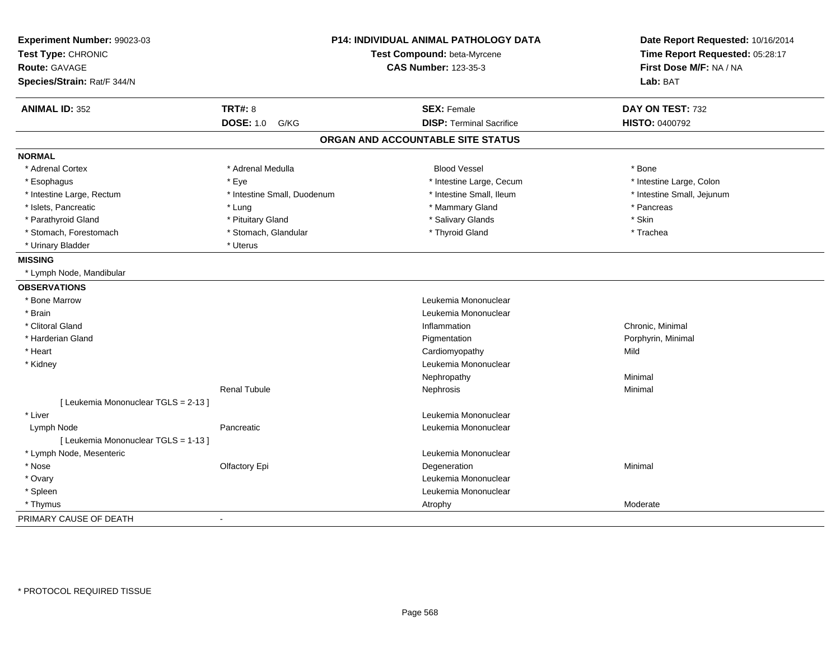| Experiment Number: 99023-03<br>Test Type: CHRONIC<br><b>Route: GAVAGE</b><br>Species/Strain: Rat/F 344/N |                             | <b>P14: INDIVIDUAL ANIMAL PATHOLOGY DATA</b><br>Test Compound: beta-Myrcene<br><b>CAS Number: 123-35-3</b> | Date Report Requested: 10/16/2014<br>Time Report Requested: 05:28:17<br>First Dose M/F: NA / NA<br>Lab: BAT |
|----------------------------------------------------------------------------------------------------------|-----------------------------|------------------------------------------------------------------------------------------------------------|-------------------------------------------------------------------------------------------------------------|
| <b>ANIMAL ID: 352</b>                                                                                    | <b>TRT#: 8</b>              | <b>SEX: Female</b>                                                                                         | DAY ON TEST: 732                                                                                            |
|                                                                                                          | <b>DOSE: 1.0 G/KG</b>       | <b>DISP: Terminal Sacrifice</b>                                                                            | <b>HISTO: 0400792</b>                                                                                       |
|                                                                                                          |                             | ORGAN AND ACCOUNTABLE SITE STATUS                                                                          |                                                                                                             |
| <b>NORMAL</b>                                                                                            |                             |                                                                                                            |                                                                                                             |
| * Adrenal Cortex                                                                                         | * Adrenal Medulla           | <b>Blood Vessel</b>                                                                                        | * Bone                                                                                                      |
| * Esophagus                                                                                              | * Eye                       | * Intestine Large, Cecum                                                                                   | * Intestine Large, Colon                                                                                    |
| * Intestine Large, Rectum                                                                                | * Intestine Small, Duodenum | * Intestine Small, Ileum                                                                                   | * Intestine Small, Jejunum                                                                                  |
| * Islets, Pancreatic                                                                                     | * Lung                      | * Mammary Gland                                                                                            | * Pancreas                                                                                                  |
| * Parathyroid Gland                                                                                      | * Pituitary Gland           | * Salivary Glands                                                                                          | * Skin                                                                                                      |
| * Stomach, Forestomach                                                                                   | * Stomach, Glandular        | * Thyroid Gland                                                                                            | * Trachea                                                                                                   |
| * Urinary Bladder                                                                                        | * Uterus                    |                                                                                                            |                                                                                                             |
| <b>MISSING</b>                                                                                           |                             |                                                                                                            |                                                                                                             |
| * Lymph Node, Mandibular                                                                                 |                             |                                                                                                            |                                                                                                             |
| <b>OBSERVATIONS</b>                                                                                      |                             |                                                                                                            |                                                                                                             |
| * Bone Marrow                                                                                            |                             | Leukemia Mononuclear                                                                                       |                                                                                                             |
| * Brain                                                                                                  |                             | Leukemia Mononuclear                                                                                       |                                                                                                             |
| * Clitoral Gland                                                                                         |                             | Inflammation                                                                                               | Chronic, Minimal                                                                                            |
| * Harderian Gland                                                                                        |                             | Pigmentation                                                                                               | Porphyrin, Minimal                                                                                          |
| * Heart                                                                                                  |                             | Cardiomyopathy                                                                                             | Mild                                                                                                        |
| * Kidney                                                                                                 |                             | Leukemia Mononuclear                                                                                       |                                                                                                             |
|                                                                                                          |                             | Nephropathy                                                                                                | Minimal                                                                                                     |
|                                                                                                          | <b>Renal Tubule</b>         | Nephrosis                                                                                                  | Minimal                                                                                                     |
| [ Leukemia Mononuclear TGLS = 2-13 ]                                                                     |                             |                                                                                                            |                                                                                                             |
| * Liver                                                                                                  |                             | Leukemia Mononuclear                                                                                       |                                                                                                             |
| Lymph Node                                                                                               | Pancreatic                  | Leukemia Mononuclear                                                                                       |                                                                                                             |
| [ Leukemia Mononuclear TGLS = 1-13 ]                                                                     |                             |                                                                                                            |                                                                                                             |
| * Lymph Node, Mesenteric                                                                                 |                             | Leukemia Mononuclear                                                                                       |                                                                                                             |
| * Nose                                                                                                   | Olfactory Epi               | Degeneration                                                                                               | Minimal                                                                                                     |
| * Ovary                                                                                                  |                             | Leukemia Mononuclear                                                                                       |                                                                                                             |
| * Spleen                                                                                                 |                             | Leukemia Mononuclear                                                                                       |                                                                                                             |
| * Thymus                                                                                                 |                             | Atrophy                                                                                                    | Moderate                                                                                                    |
| PRIMARY CAUSE OF DEATH                                                                                   | $\sim$                      |                                                                                                            |                                                                                                             |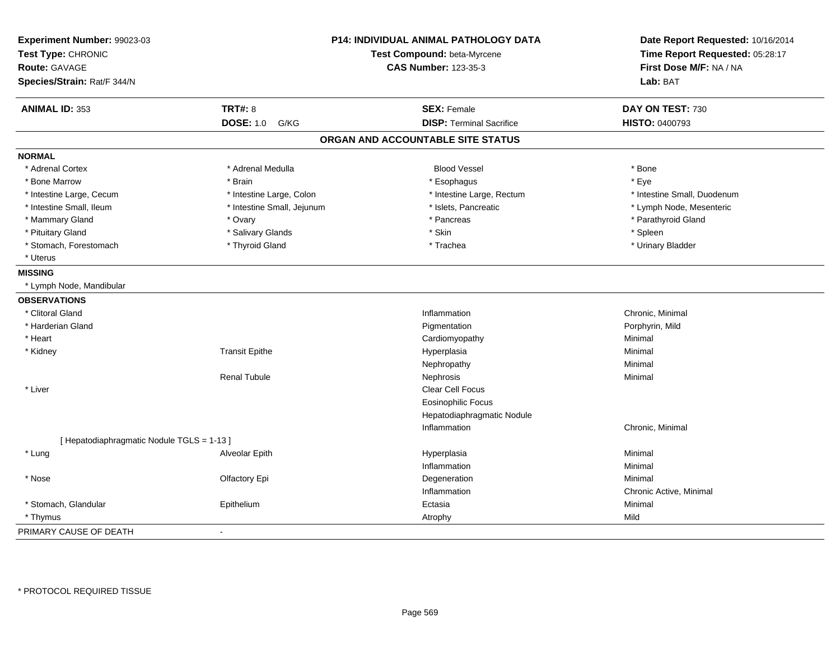| Experiment Number: 99023-03<br>Test Type: CHRONIC<br>Route: GAVAGE<br>Species/Strain: Rat/F 344/N |                            | P14: INDIVIDUAL ANIMAL PATHOLOGY DATA<br>Test Compound: beta-Myrcene<br><b>CAS Number: 123-35-3</b> | Date Report Requested: 10/16/2014<br>Time Report Requested: 05:28:17<br>First Dose M/F: NA / NA<br>Lab: BAT |
|---------------------------------------------------------------------------------------------------|----------------------------|-----------------------------------------------------------------------------------------------------|-------------------------------------------------------------------------------------------------------------|
| <b>ANIMAL ID: 353</b>                                                                             | <b>TRT#: 8</b>             | <b>SEX: Female</b>                                                                                  | DAY ON TEST: 730                                                                                            |
|                                                                                                   | <b>DOSE: 1.0</b><br>G/KG   | <b>DISP: Terminal Sacrifice</b>                                                                     | HISTO: 0400793                                                                                              |
|                                                                                                   |                            | ORGAN AND ACCOUNTABLE SITE STATUS                                                                   |                                                                                                             |
| <b>NORMAL</b>                                                                                     |                            |                                                                                                     |                                                                                                             |
| * Adrenal Cortex                                                                                  | * Adrenal Medulla          | <b>Blood Vessel</b>                                                                                 | * Bone                                                                                                      |
| * Bone Marrow                                                                                     | * Brain                    | * Esophagus                                                                                         | * Eye                                                                                                       |
| * Intestine Large, Cecum                                                                          | * Intestine Large, Colon   | * Intestine Large, Rectum                                                                           | * Intestine Small, Duodenum                                                                                 |
| * Intestine Small, Ileum                                                                          | * Intestine Small, Jejunum | * Islets, Pancreatic                                                                                | * Lymph Node, Mesenteric                                                                                    |
| * Mammary Gland                                                                                   | * Ovary                    | * Pancreas                                                                                          | * Parathyroid Gland                                                                                         |
| * Pituitary Gland                                                                                 | * Salivary Glands          | * Skin                                                                                              | * Spleen                                                                                                    |
| * Stomach, Forestomach                                                                            | * Thyroid Gland            | * Trachea                                                                                           | * Urinary Bladder                                                                                           |
| * Uterus                                                                                          |                            |                                                                                                     |                                                                                                             |
| <b>MISSING</b>                                                                                    |                            |                                                                                                     |                                                                                                             |
| * Lymph Node, Mandibular                                                                          |                            |                                                                                                     |                                                                                                             |
| <b>OBSERVATIONS</b>                                                                               |                            |                                                                                                     |                                                                                                             |
| * Clitoral Gland                                                                                  |                            | Inflammation                                                                                        | Chronic, Minimal                                                                                            |
| * Harderian Gland                                                                                 |                            | Pigmentation                                                                                        | Porphyrin, Mild                                                                                             |
| * Heart                                                                                           |                            | Cardiomyopathy                                                                                      | Minimal                                                                                                     |
| * Kidney                                                                                          | <b>Transit Epithe</b>      | Hyperplasia                                                                                         | Minimal                                                                                                     |
|                                                                                                   |                            | Nephropathy                                                                                         | Minimal                                                                                                     |
|                                                                                                   | <b>Renal Tubule</b>        | Nephrosis                                                                                           | Minimal                                                                                                     |
| * Liver                                                                                           |                            | Clear Cell Focus                                                                                    |                                                                                                             |
|                                                                                                   |                            | <b>Eosinophilic Focus</b>                                                                           |                                                                                                             |
|                                                                                                   |                            | Hepatodiaphragmatic Nodule                                                                          |                                                                                                             |
|                                                                                                   |                            | Inflammation                                                                                        | Chronic, Minimal                                                                                            |
| [ Hepatodiaphragmatic Nodule TGLS = 1-13 ]                                                        |                            |                                                                                                     |                                                                                                             |
| * Lung                                                                                            | Alveolar Epith             | Hyperplasia                                                                                         | Minimal                                                                                                     |
|                                                                                                   |                            | Inflammation                                                                                        | Minimal                                                                                                     |
| * Nose                                                                                            | Olfactory Epi              | Degeneration                                                                                        | Minimal                                                                                                     |
|                                                                                                   |                            | Inflammation                                                                                        | Chronic Active, Minimal                                                                                     |
| * Stomach, Glandular                                                                              | Epithelium                 | Ectasia                                                                                             | Minimal                                                                                                     |
| * Thymus                                                                                          |                            | Atrophy                                                                                             | Mild                                                                                                        |
| PRIMARY CAUSE OF DEATH                                                                            |                            |                                                                                                     |                                                                                                             |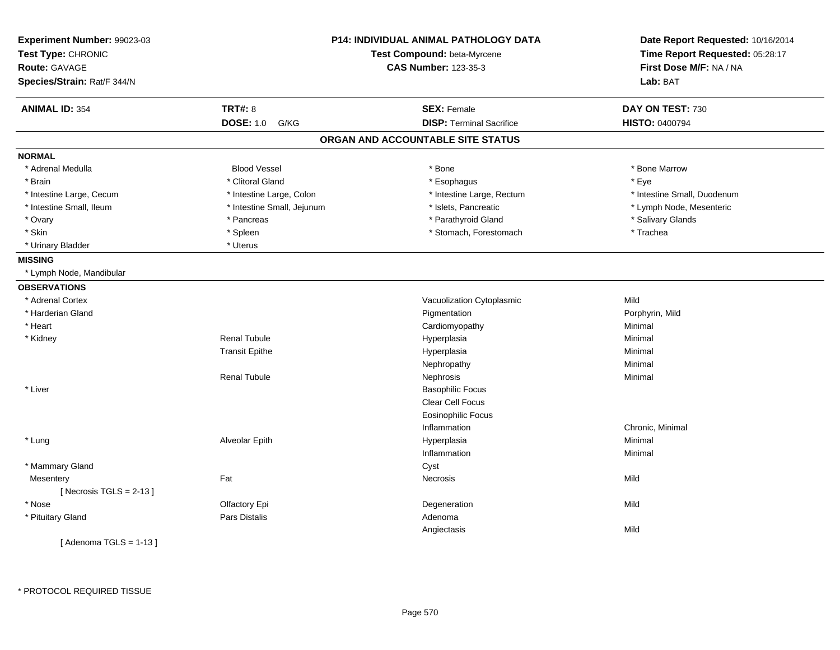| Experiment Number: 99023-03<br>Test Type: CHRONIC<br><b>Route: GAVAGE</b><br>Species/Strain: Rat/F 344/N | <b>P14: INDIVIDUAL ANIMAL PATHOLOGY DATA</b><br>Test Compound: beta-Myrcene<br><b>CAS Number: 123-35-3</b> |                                   | Date Report Requested: 10/16/2014<br>Time Report Requested: 05:28:17<br>First Dose M/F: NA / NA<br>Lab: BAT |
|----------------------------------------------------------------------------------------------------------|------------------------------------------------------------------------------------------------------------|-----------------------------------|-------------------------------------------------------------------------------------------------------------|
| <b>ANIMAL ID: 354</b>                                                                                    | <b>TRT#: 8</b>                                                                                             | <b>SEX: Female</b>                | DAY ON TEST: 730                                                                                            |
|                                                                                                          | <b>DOSE: 1.0</b><br>G/KG                                                                                   | <b>DISP: Terminal Sacrifice</b>   | HISTO: 0400794                                                                                              |
|                                                                                                          |                                                                                                            | ORGAN AND ACCOUNTABLE SITE STATUS |                                                                                                             |
| <b>NORMAL</b>                                                                                            |                                                                                                            |                                   |                                                                                                             |
| * Adrenal Medulla                                                                                        | <b>Blood Vessel</b>                                                                                        | * Bone                            | * Bone Marrow                                                                                               |
| * Brain                                                                                                  | * Clitoral Gland                                                                                           | * Esophagus                       | * Eye                                                                                                       |
| * Intestine Large, Cecum                                                                                 | * Intestine Large, Colon                                                                                   | * Intestine Large, Rectum         | * Intestine Small, Duodenum                                                                                 |
| * Intestine Small, Ileum                                                                                 | * Intestine Small, Jejunum                                                                                 | * Islets, Pancreatic              | * Lymph Node, Mesenteric                                                                                    |
| * Ovary                                                                                                  | * Pancreas                                                                                                 | * Parathyroid Gland               | * Salivary Glands                                                                                           |
| * Skin                                                                                                   | * Spleen                                                                                                   | * Stomach, Forestomach            | * Trachea                                                                                                   |
| * Urinary Bladder                                                                                        | * Uterus                                                                                                   |                                   |                                                                                                             |
| <b>MISSING</b>                                                                                           |                                                                                                            |                                   |                                                                                                             |
| * Lymph Node, Mandibular                                                                                 |                                                                                                            |                                   |                                                                                                             |
| <b>OBSERVATIONS</b>                                                                                      |                                                                                                            |                                   |                                                                                                             |
| * Adrenal Cortex                                                                                         |                                                                                                            | Vacuolization Cytoplasmic         | Mild                                                                                                        |
| * Harderian Gland                                                                                        |                                                                                                            | Pigmentation                      | Porphyrin, Mild                                                                                             |
| * Heart                                                                                                  |                                                                                                            | Cardiomyopathy                    | Minimal                                                                                                     |
| * Kidney                                                                                                 | <b>Renal Tubule</b>                                                                                        | Hyperplasia                       | Minimal                                                                                                     |
|                                                                                                          | <b>Transit Epithe</b>                                                                                      | Hyperplasia                       | Minimal                                                                                                     |
|                                                                                                          |                                                                                                            | Nephropathy                       | Minimal                                                                                                     |
|                                                                                                          | <b>Renal Tubule</b>                                                                                        | Nephrosis                         | Minimal                                                                                                     |
| * Liver                                                                                                  |                                                                                                            | <b>Basophilic Focus</b>           |                                                                                                             |
|                                                                                                          |                                                                                                            | Clear Cell Focus                  |                                                                                                             |
|                                                                                                          |                                                                                                            | <b>Eosinophilic Focus</b>         |                                                                                                             |
|                                                                                                          |                                                                                                            | Inflammation                      | Chronic, Minimal                                                                                            |
| * Lung                                                                                                   | Alveolar Epith                                                                                             | Hyperplasia                       | Minimal                                                                                                     |
|                                                                                                          |                                                                                                            | Inflammation                      | Minimal                                                                                                     |
| * Mammary Gland                                                                                          |                                                                                                            | Cyst                              |                                                                                                             |
| Mesentery                                                                                                | Fat                                                                                                        | <b>Necrosis</b>                   | Mild                                                                                                        |
| [ Necrosis TGLS = $2-13$ ]                                                                               |                                                                                                            |                                   |                                                                                                             |
| * Nose                                                                                                   | Olfactory Epi                                                                                              | Degeneration                      | Mild                                                                                                        |
| * Pituitary Gland                                                                                        | Pars Distalis                                                                                              | Adenoma                           |                                                                                                             |
|                                                                                                          |                                                                                                            | Angiectasis                       | Mild                                                                                                        |
| [Adenoma TGLS = $1-13$ ]                                                                                 |                                                                                                            |                                   |                                                                                                             |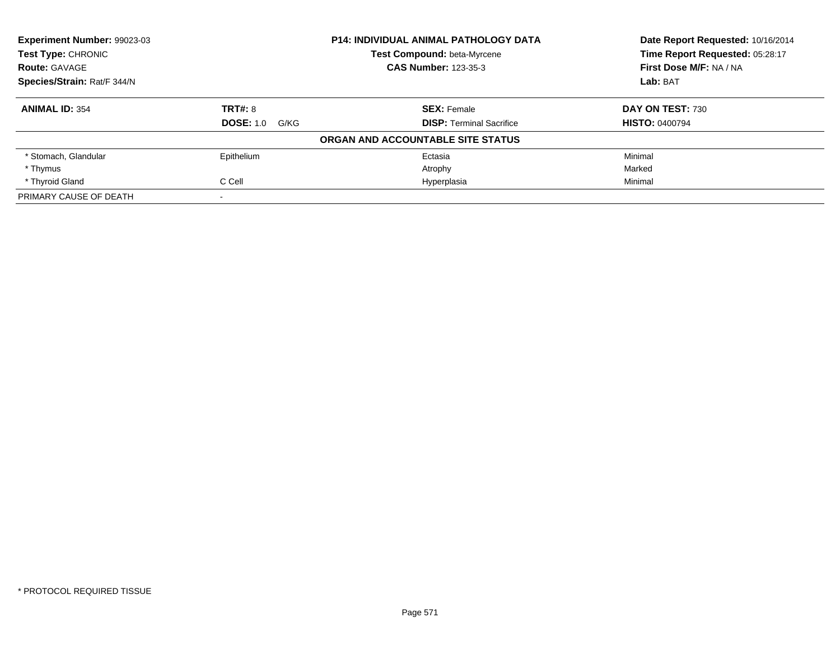| <b>Experiment Number: 99023-03</b> |                          | <b>P14: INDIVIDUAL ANIMAL PATHOLOGY DATA</b> | Date Report Requested: 10/16/2014 |
|------------------------------------|--------------------------|----------------------------------------------|-----------------------------------|
| <b>Test Type: CHRONIC</b>          |                          | Test Compound: beta-Myrcene                  | Time Report Requested: 05:28:17   |
| <b>Route: GAVAGE</b>               |                          | <b>CAS Number: 123-35-3</b>                  | First Dose M/F: NA / NA           |
| Species/Strain: Rat/F 344/N        |                          |                                              | Lab: BAT                          |
| <b>ANIMAL ID: 354</b>              | <b>TRT#: 8</b>           | <b>SEX: Female</b>                           | DAY ON TEST: 730                  |
|                                    | <b>DOSE: 1.0</b><br>G/KG | <b>DISP:</b> Terminal Sacrifice              | <b>HISTO: 0400794</b>             |
|                                    |                          | ORGAN AND ACCOUNTABLE SITE STATUS            |                                   |
| * Stomach, Glandular               | Epithelium               | Ectasia                                      | Minimal                           |
| * Thymus                           |                          | Atrophy                                      | Marked                            |
| * Thyroid Gland                    | C Cell                   | Hyperplasia                                  | Minimal                           |
| PRIMARY CAUSE OF DEATH             |                          |                                              |                                   |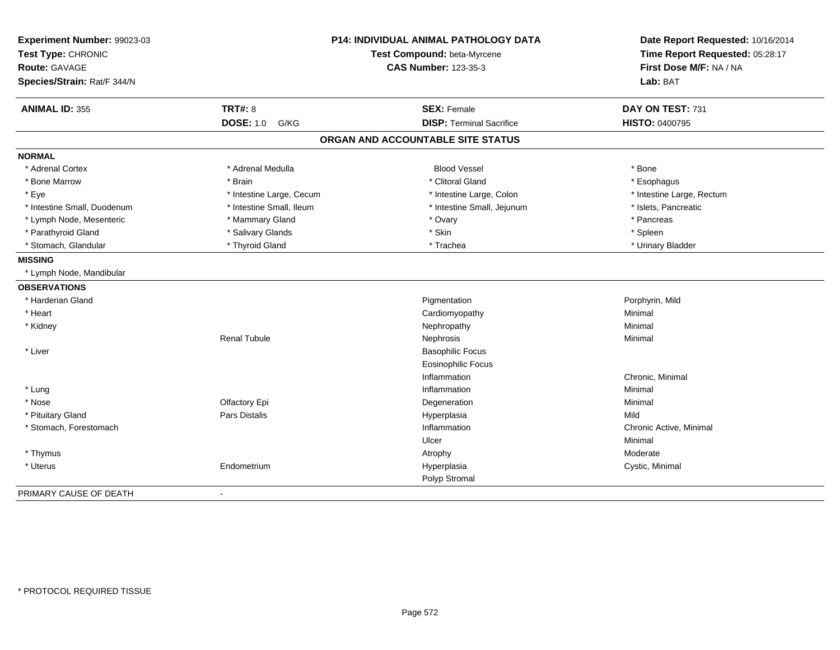| Experiment Number: 99023-03<br>Test Type: CHRONIC<br><b>Route: GAVAGE</b><br>Species/Strain: Rat/F 344/N |                          | P14: INDIVIDUAL ANIMAL PATHOLOGY DATA<br>Test Compound: beta-Myrcene<br><b>CAS Number: 123-35-3</b> | Date Report Requested: 10/16/2014<br>Time Report Requested: 05:28:17<br>First Dose M/F: NA / NA<br>Lab: BAT |
|----------------------------------------------------------------------------------------------------------|--------------------------|-----------------------------------------------------------------------------------------------------|-------------------------------------------------------------------------------------------------------------|
| <b>ANIMAL ID: 355</b>                                                                                    | <b>TRT#: 8</b>           | <b>SEX: Female</b>                                                                                  | DAY ON TEST: 731                                                                                            |
|                                                                                                          | <b>DOSE: 1.0</b><br>G/KG | <b>DISP: Terminal Sacrifice</b>                                                                     | HISTO: 0400795                                                                                              |
|                                                                                                          |                          | ORGAN AND ACCOUNTABLE SITE STATUS                                                                   |                                                                                                             |
| <b>NORMAL</b>                                                                                            |                          |                                                                                                     |                                                                                                             |
| * Adrenal Cortex                                                                                         | * Adrenal Medulla        | <b>Blood Vessel</b>                                                                                 | * Bone                                                                                                      |
| * Bone Marrow                                                                                            | * Brain                  | * Clitoral Gland                                                                                    | * Esophagus                                                                                                 |
| * Eye                                                                                                    | * Intestine Large, Cecum | * Intestine Large, Colon                                                                            | * Intestine Large, Rectum                                                                                   |
| * Intestine Small, Duodenum                                                                              | * Intestine Small, Ileum | * Intestine Small, Jejunum                                                                          | * Islets, Pancreatic                                                                                        |
| * Lymph Node, Mesenteric                                                                                 | * Mammary Gland          | * Ovary                                                                                             | * Pancreas                                                                                                  |
| * Parathyroid Gland                                                                                      | * Salivary Glands        | * Skin                                                                                              | * Spleen                                                                                                    |
| * Stomach, Glandular                                                                                     | * Thyroid Gland          | * Trachea                                                                                           | * Urinary Bladder                                                                                           |
| <b>MISSING</b>                                                                                           |                          |                                                                                                     |                                                                                                             |
| * Lymph Node, Mandibular                                                                                 |                          |                                                                                                     |                                                                                                             |
| <b>OBSERVATIONS</b>                                                                                      |                          |                                                                                                     |                                                                                                             |
| * Harderian Gland                                                                                        |                          | Pigmentation                                                                                        | Porphyrin, Mild                                                                                             |
| * Heart                                                                                                  |                          | Cardiomyopathy                                                                                      | Minimal                                                                                                     |
| * Kidney                                                                                                 |                          | Nephropathy                                                                                         | Minimal                                                                                                     |
|                                                                                                          | <b>Renal Tubule</b>      | Nephrosis                                                                                           | Minimal                                                                                                     |
| * Liver                                                                                                  |                          | <b>Basophilic Focus</b>                                                                             |                                                                                                             |
|                                                                                                          |                          | <b>Eosinophilic Focus</b>                                                                           |                                                                                                             |
|                                                                                                          |                          | Inflammation                                                                                        | Chronic, Minimal                                                                                            |
| * Lung                                                                                                   |                          | Inflammation                                                                                        | Minimal                                                                                                     |
| * Nose                                                                                                   | Olfactory Epi            | Degeneration                                                                                        | Minimal                                                                                                     |
| * Pituitary Gland                                                                                        | Pars Distalis            | Hyperplasia                                                                                         | Mild                                                                                                        |
| * Stomach, Forestomach                                                                                   |                          | Inflammation                                                                                        | Chronic Active, Minimal                                                                                     |
|                                                                                                          |                          | Ulcer                                                                                               | Minimal                                                                                                     |
| * Thymus                                                                                                 |                          | Atrophy                                                                                             | Moderate                                                                                                    |
| * Uterus                                                                                                 | Endometrium              | Hyperplasia                                                                                         | Cystic, Minimal                                                                                             |
|                                                                                                          |                          | Polyp Stromal                                                                                       |                                                                                                             |
| PRIMARY CAUSE OF DEATH                                                                                   | ۰                        |                                                                                                     |                                                                                                             |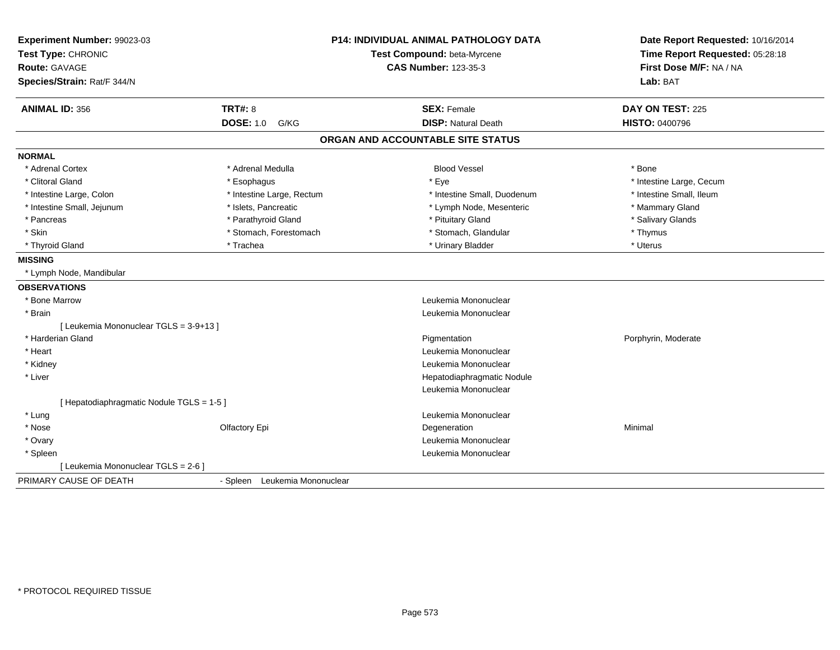| Experiment Number: 99023-03<br>Test Type: CHRONIC | <b>P14: INDIVIDUAL ANIMAL PATHOLOGY DATA</b><br>Test Compound: beta-Myrcene |                                   | Date Report Requested: 10/16/2014<br>Time Report Requested: 05:28:18 |
|---------------------------------------------------|-----------------------------------------------------------------------------|-----------------------------------|----------------------------------------------------------------------|
| Route: GAVAGE                                     |                                                                             | <b>CAS Number: 123-35-3</b>       | First Dose M/F: NA / NA                                              |
| Species/Strain: Rat/F 344/N                       |                                                                             |                                   | Lab: BAT                                                             |
| <b>ANIMAL ID: 356</b>                             | <b>TRT#: 8</b>                                                              | <b>SEX: Female</b>                | DAY ON TEST: 225                                                     |
|                                                   | <b>DOSE: 1.0 G/KG</b>                                                       | <b>DISP: Natural Death</b>        | <b>HISTO: 0400796</b>                                                |
|                                                   |                                                                             | ORGAN AND ACCOUNTABLE SITE STATUS |                                                                      |
| <b>NORMAL</b>                                     |                                                                             |                                   |                                                                      |
| * Adrenal Cortex                                  | * Adrenal Medulla                                                           | <b>Blood Vessel</b>               | * Bone                                                               |
| * Clitoral Gland                                  | * Esophagus                                                                 | * Eye                             | * Intestine Large, Cecum                                             |
| * Intestine Large, Colon                          | * Intestine Large, Rectum                                                   | * Intestine Small, Duodenum       | * Intestine Small, Ileum                                             |
| * Intestine Small, Jejunum                        | * Islets, Pancreatic                                                        | * Lymph Node, Mesenteric          | * Mammary Gland                                                      |
| * Pancreas                                        | * Parathyroid Gland                                                         | * Pituitary Gland                 | * Salivary Glands                                                    |
| * Skin                                            | * Stomach, Forestomach                                                      | * Stomach, Glandular              | * Thymus                                                             |
| * Thyroid Gland                                   | * Trachea                                                                   | * Urinary Bladder                 | * Uterus                                                             |
| <b>MISSING</b>                                    |                                                                             |                                   |                                                                      |
| * Lymph Node, Mandibular                          |                                                                             |                                   |                                                                      |
| <b>OBSERVATIONS</b>                               |                                                                             |                                   |                                                                      |
| * Bone Marrow                                     |                                                                             | Leukemia Mononuclear              |                                                                      |
| * Brain                                           |                                                                             | Leukemia Mononuclear              |                                                                      |
| [ Leukemia Mononuclear TGLS = 3-9+13 ]            |                                                                             |                                   |                                                                      |
| * Harderian Gland                                 |                                                                             | Pigmentation                      | Porphyrin, Moderate                                                  |
| * Heart                                           |                                                                             | Leukemia Mononuclear              |                                                                      |
| * Kidney                                          |                                                                             | Leukemia Mononuclear              |                                                                      |
| * Liver                                           |                                                                             | Hepatodiaphragmatic Nodule        |                                                                      |
|                                                   |                                                                             | Leukemia Mononuclear              |                                                                      |
| [ Hepatodiaphragmatic Nodule TGLS = 1-5 ]         |                                                                             |                                   |                                                                      |
| * Lung                                            |                                                                             | Leukemia Mononuclear              |                                                                      |
| * Nose                                            | Olfactory Epi                                                               | Degeneration                      | Minimal                                                              |
| * Ovary                                           |                                                                             | Leukemia Mononuclear              |                                                                      |
| * Spleen                                          |                                                                             | Leukemia Mononuclear              |                                                                      |
| [ Leukemia Mononuclear TGLS = 2-6 ]               |                                                                             |                                   |                                                                      |
| PRIMARY CAUSE OF DEATH                            | - Spleen Leukemia Mononuclear                                               |                                   |                                                                      |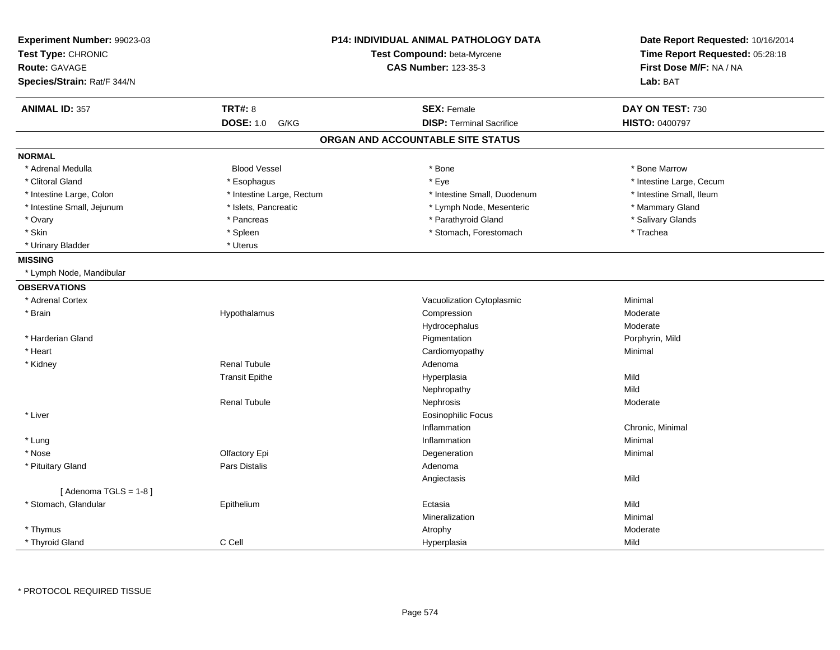| Experiment Number: 99023-03<br>Test Type: CHRONIC<br><b>Route: GAVAGE</b><br>Species/Strain: Rat/F 344/N |                           | <b>P14: INDIVIDUAL ANIMAL PATHOLOGY DATA</b><br>Test Compound: beta-Myrcene<br><b>CAS Number: 123-35-3</b> | Date Report Requested: 10/16/2014<br>Time Report Requested: 05:28:18<br>First Dose M/F: NA / NA<br>Lab: BAT |
|----------------------------------------------------------------------------------------------------------|---------------------------|------------------------------------------------------------------------------------------------------------|-------------------------------------------------------------------------------------------------------------|
| <b>ANIMAL ID: 357</b>                                                                                    | <b>TRT#: 8</b>            | <b>SEX: Female</b>                                                                                         | DAY ON TEST: 730                                                                                            |
|                                                                                                          | <b>DOSE: 1.0</b><br>G/KG  | <b>DISP: Terminal Sacrifice</b>                                                                            | HISTO: 0400797                                                                                              |
|                                                                                                          |                           | ORGAN AND ACCOUNTABLE SITE STATUS                                                                          |                                                                                                             |
| <b>NORMAL</b>                                                                                            |                           |                                                                                                            |                                                                                                             |
| * Adrenal Medulla                                                                                        | <b>Blood Vessel</b>       | * Bone                                                                                                     | * Bone Marrow                                                                                               |
| * Clitoral Gland                                                                                         | * Esophagus               | * Eye                                                                                                      | * Intestine Large, Cecum                                                                                    |
| * Intestine Large, Colon                                                                                 | * Intestine Large, Rectum | * Intestine Small, Duodenum                                                                                | * Intestine Small, Ileum                                                                                    |
| * Intestine Small, Jejunum                                                                               | * Islets, Pancreatic      | * Lymph Node, Mesenteric                                                                                   | * Mammary Gland                                                                                             |
| * Ovary                                                                                                  | * Pancreas                | * Parathyroid Gland                                                                                        | * Salivary Glands                                                                                           |
| * Skin                                                                                                   | * Spleen                  | * Stomach, Forestomach                                                                                     | * Trachea                                                                                                   |
| * Urinary Bladder                                                                                        | * Uterus                  |                                                                                                            |                                                                                                             |
| <b>MISSING</b>                                                                                           |                           |                                                                                                            |                                                                                                             |
| * Lymph Node, Mandibular                                                                                 |                           |                                                                                                            |                                                                                                             |
| <b>OBSERVATIONS</b>                                                                                      |                           |                                                                                                            |                                                                                                             |
| * Adrenal Cortex                                                                                         |                           | Vacuolization Cytoplasmic                                                                                  | Minimal                                                                                                     |
| * Brain                                                                                                  | Hypothalamus              | Compression                                                                                                | Moderate                                                                                                    |
|                                                                                                          |                           | Hydrocephalus                                                                                              | Moderate                                                                                                    |
| * Harderian Gland                                                                                        |                           | Pigmentation                                                                                               | Porphyrin, Mild                                                                                             |
| * Heart                                                                                                  |                           | Cardiomyopathy                                                                                             | Minimal                                                                                                     |
| * Kidney                                                                                                 | Renal Tubule              | Adenoma                                                                                                    |                                                                                                             |
|                                                                                                          | <b>Transit Epithe</b>     | Hyperplasia                                                                                                | Mild                                                                                                        |
|                                                                                                          |                           | Nephropathy                                                                                                | Mild                                                                                                        |
|                                                                                                          | <b>Renal Tubule</b>       | Nephrosis                                                                                                  | Moderate                                                                                                    |
| * Liver                                                                                                  |                           | <b>Eosinophilic Focus</b>                                                                                  |                                                                                                             |
|                                                                                                          |                           | Inflammation                                                                                               | Chronic, Minimal                                                                                            |
| * Lung                                                                                                   |                           | Inflammation                                                                                               | Minimal                                                                                                     |
| * Nose                                                                                                   | Olfactory Epi             | Degeneration                                                                                               | Minimal                                                                                                     |
| * Pituitary Gland                                                                                        | <b>Pars Distalis</b>      | Adenoma                                                                                                    |                                                                                                             |
|                                                                                                          |                           | Angiectasis                                                                                                | Mild                                                                                                        |
| [Adenoma TGLS = $1-8$ ]                                                                                  |                           |                                                                                                            |                                                                                                             |
| * Stomach, Glandular                                                                                     | Epithelium                | Ectasia                                                                                                    | Mild                                                                                                        |
|                                                                                                          |                           | Mineralization                                                                                             | Minimal                                                                                                     |
| * Thymus                                                                                                 |                           | Atrophy                                                                                                    | Moderate                                                                                                    |
| * Thyroid Gland                                                                                          | C Cell                    | Hyperplasia                                                                                                | Mild                                                                                                        |

\* PROTOCOL REQUIRED TISSUE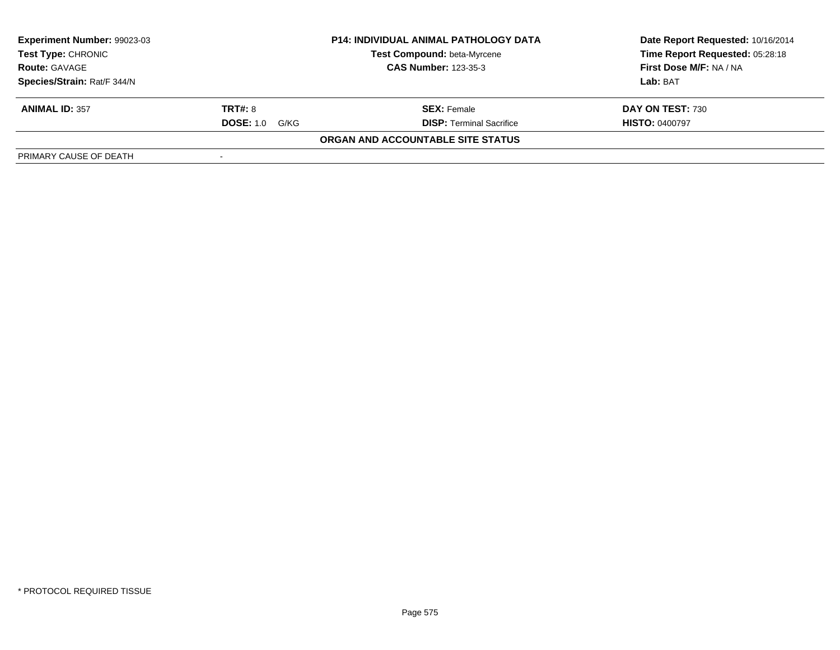| Experiment Number: 99023-03 |                       | <b>P14: INDIVIDUAL ANIMAL PATHOLOGY DATA</b> | Date Report Requested: 10/16/2014 |
|-----------------------------|-----------------------|----------------------------------------------|-----------------------------------|
| <b>Test Type: CHRONIC</b>   |                       | Test Compound: beta-Myrcene                  | Time Report Requested: 05:28:18   |
| <b>Route: GAVAGE</b>        |                       | <b>CAS Number: 123-35-3</b>                  | First Dose M/F: NA / NA           |
| Species/Strain: Rat/F 344/N |                       |                                              | Lab: BAT                          |
| <b>ANIMAL ID: 357</b>       | <b>TRT#: 8</b>        | <b>SEX: Female</b>                           | DAY ON TEST: 730                  |
|                             | <b>DOSE:</b> 1.0 G/KG | <b>DISP: Terminal Sacrifice</b>              | <b>HISTO: 0400797</b>             |
|                             |                       | ORGAN AND ACCOUNTABLE SITE STATUS            |                                   |
| PRIMARY CAUSE OF DEATH      |                       |                                              |                                   |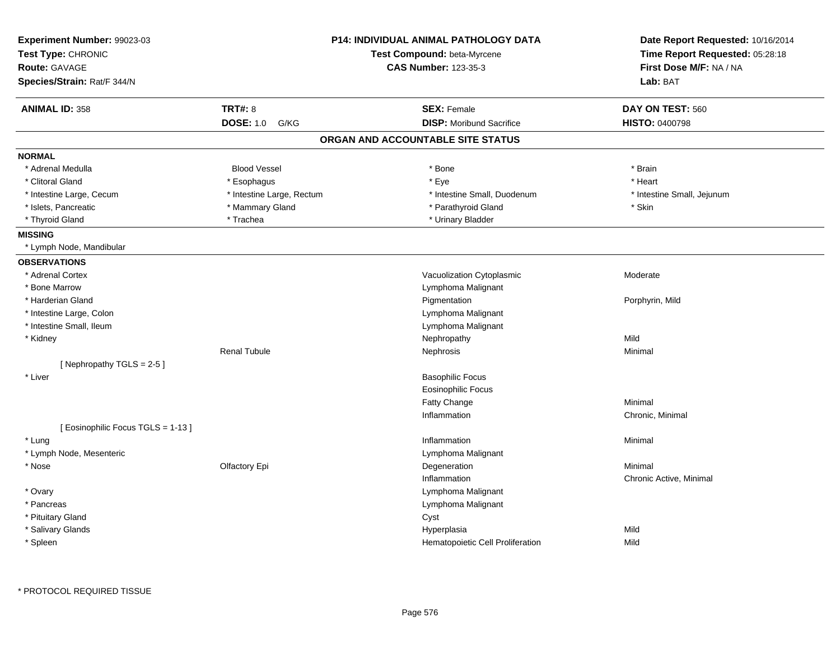| Experiment Number: 99023-03      |                             | <b>P14: INDIVIDUAL ANIMAL PATHOLOGY DATA</b> | Date Report Requested: 10/16/2014 |
|----------------------------------|-----------------------------|----------------------------------------------|-----------------------------------|
| Test Type: CHRONIC               | Test Compound: beta-Myrcene |                                              | Time Report Requested: 05:28:18   |
| Route: GAVAGE                    |                             | <b>CAS Number: 123-35-3</b>                  | First Dose M/F: NA / NA           |
| Species/Strain: Rat/F 344/N      |                             |                                              | Lab: BAT                          |
| <b>ANIMAL ID: 358</b>            | <b>TRT#: 8</b>              | <b>SEX: Female</b>                           | DAY ON TEST: 560                  |
|                                  | <b>DOSE: 1.0</b><br>G/KG    | <b>DISP:</b> Moribund Sacrifice              | <b>HISTO: 0400798</b>             |
|                                  |                             | ORGAN AND ACCOUNTABLE SITE STATUS            |                                   |
| <b>NORMAL</b>                    |                             |                                              |                                   |
| * Adrenal Medulla                | <b>Blood Vessel</b>         | * Bone                                       | * Brain                           |
| * Clitoral Gland                 | * Esophagus                 | * Eye                                        | * Heart                           |
| * Intestine Large, Cecum         | * Intestine Large, Rectum   | * Intestine Small, Duodenum                  | * Intestine Small, Jejunum        |
| * Islets, Pancreatic             | * Mammary Gland             | * Parathyroid Gland                          | * Skin                            |
| * Thyroid Gland                  | * Trachea                   | * Urinary Bladder                            |                                   |
| <b>MISSING</b>                   |                             |                                              |                                   |
| * Lymph Node, Mandibular         |                             |                                              |                                   |
| <b>OBSERVATIONS</b>              |                             |                                              |                                   |
| * Adrenal Cortex                 |                             | Vacuolization Cytoplasmic                    | Moderate                          |
| * Bone Marrow                    |                             | Lymphoma Malignant                           |                                   |
| * Harderian Gland                |                             | Pigmentation                                 | Porphyrin, Mild                   |
| * Intestine Large, Colon         |                             | Lymphoma Malignant                           |                                   |
| * Intestine Small, Ileum         |                             | Lymphoma Malignant                           |                                   |
| * Kidney                         |                             | Nephropathy                                  | Mild                              |
|                                  | <b>Renal Tubule</b>         | Nephrosis                                    | Minimal                           |
| [Nephropathy TGLS = 2-5]         |                             |                                              |                                   |
| * Liver                          |                             | <b>Basophilic Focus</b>                      |                                   |
|                                  |                             | <b>Eosinophilic Focus</b>                    |                                   |
|                                  |                             | Fatty Change                                 | Minimal                           |
|                                  |                             | Inflammation                                 | Chronic, Minimal                  |
| [Eosinophilic Focus TGLS = 1-13] |                             |                                              |                                   |
| * Lung                           |                             | Inflammation                                 | Minimal                           |
| * Lymph Node, Mesenteric         |                             | Lymphoma Malignant                           |                                   |
| * Nose                           | Olfactory Epi               | Degeneration                                 | Minimal                           |
|                                  |                             | Inflammation                                 | Chronic Active, Minimal           |
| * Ovary                          |                             | Lymphoma Malignant                           |                                   |
| * Pancreas                       |                             | Lymphoma Malignant                           |                                   |
| * Pituitary Gland                |                             | Cyst                                         |                                   |
| * Salivary Glands                |                             | Hyperplasia                                  | Mild                              |
| * Spleen                         |                             | Hematopoietic Cell Proliferation             | Mild                              |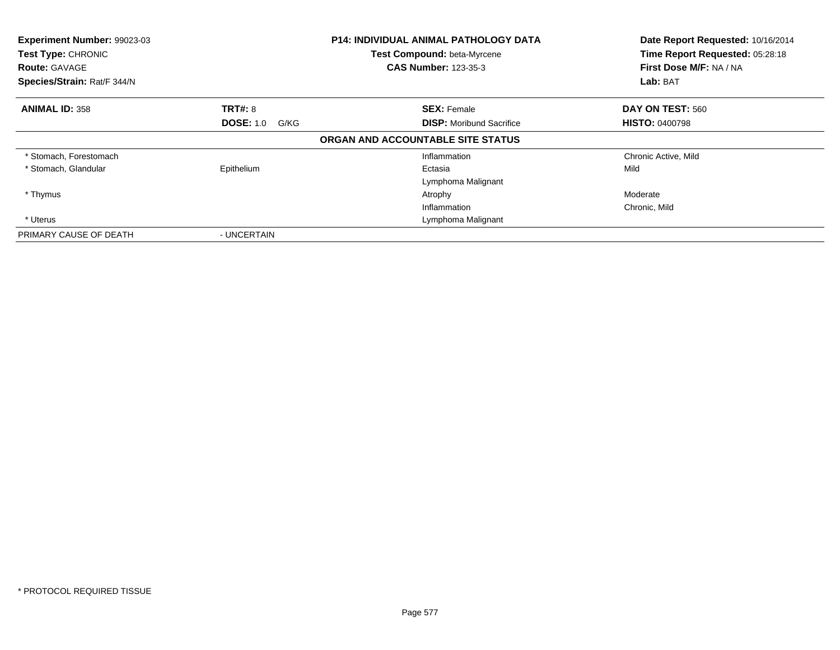| Experiment Number: 99023-03<br>Test Type: CHRONIC<br><b>Route: GAVAGE</b> |                          | <b>P14: INDIVIDUAL ANIMAL PATHOLOGY DATA</b><br>Test Compound: beta-Myrcene<br><b>CAS Number: 123-35-3</b> | Date Report Requested: 10/16/2014<br>Time Report Requested: 05:28:18<br>First Dose M/F: NA / NA |
|---------------------------------------------------------------------------|--------------------------|------------------------------------------------------------------------------------------------------------|-------------------------------------------------------------------------------------------------|
| Species/Strain: Rat/F 344/N                                               |                          |                                                                                                            | Lab: BAT                                                                                        |
| <b>ANIMAL ID: 358</b>                                                     | <b>TRT#: 8</b>           | <b>SEX: Female</b>                                                                                         | DAY ON TEST: 560                                                                                |
|                                                                           | <b>DOSE: 1.0</b><br>G/KG | <b>DISP:</b> Moribund Sacrifice                                                                            | <b>HISTO: 0400798</b>                                                                           |
|                                                                           |                          | ORGAN AND ACCOUNTABLE SITE STATUS                                                                          |                                                                                                 |
| * Stomach, Forestomach                                                    |                          | Inflammation                                                                                               | Chronic Active, Mild                                                                            |
| * Stomach, Glandular                                                      | Epithelium               | Ectasia                                                                                                    | Mild                                                                                            |
|                                                                           |                          | Lymphoma Malignant                                                                                         |                                                                                                 |
| * Thymus                                                                  |                          | Atrophy                                                                                                    | Moderate                                                                                        |
|                                                                           |                          | Inflammation                                                                                               | Chronic, Mild                                                                                   |
| * Uterus                                                                  |                          | Lymphoma Malignant                                                                                         |                                                                                                 |
| PRIMARY CAUSE OF DEATH                                                    | - UNCERTAIN              |                                                                                                            |                                                                                                 |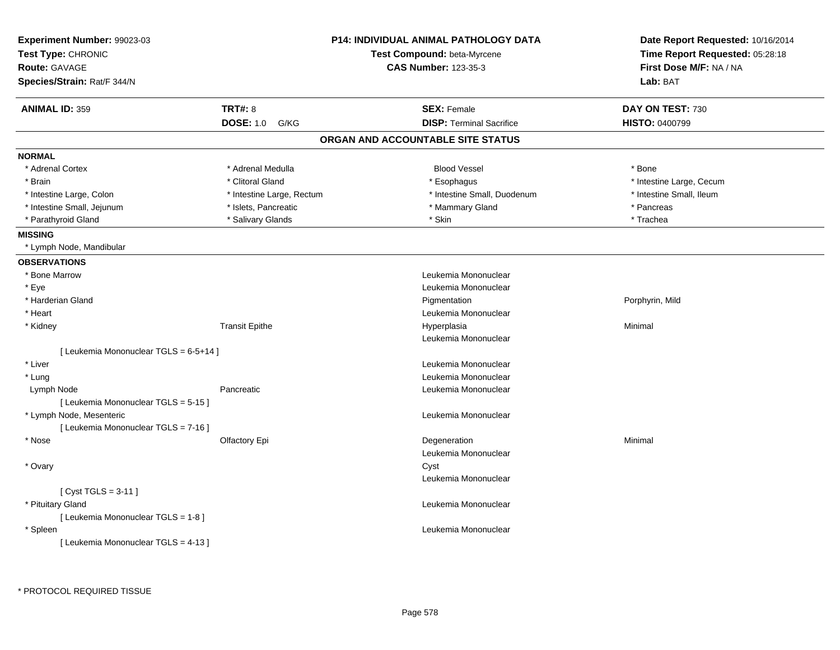| Experiment Number: 99023-03<br>Test Type: CHRONIC<br><b>Route: GAVAGE</b><br>Species/Strain: Rat/F 344/N |                           | <b>P14: INDIVIDUAL ANIMAL PATHOLOGY DATA</b><br>Test Compound: beta-Myrcene<br><b>CAS Number: 123-35-3</b> | Date Report Requested: 10/16/2014<br>Time Report Requested: 05:28:18<br>First Dose M/F: NA / NA<br>Lab: BAT |
|----------------------------------------------------------------------------------------------------------|---------------------------|------------------------------------------------------------------------------------------------------------|-------------------------------------------------------------------------------------------------------------|
| <b>ANIMAL ID: 359</b>                                                                                    | <b>TRT#: 8</b>            | <b>SEX: Female</b>                                                                                         | DAY ON TEST: 730                                                                                            |
|                                                                                                          | <b>DOSE: 1.0</b><br>G/KG  | <b>DISP: Terminal Sacrifice</b>                                                                            | <b>HISTO: 0400799</b>                                                                                       |
|                                                                                                          |                           | ORGAN AND ACCOUNTABLE SITE STATUS                                                                          |                                                                                                             |
| <b>NORMAL</b>                                                                                            |                           |                                                                                                            |                                                                                                             |
| * Adrenal Cortex                                                                                         | * Adrenal Medulla         | <b>Blood Vessel</b>                                                                                        | * Bone                                                                                                      |
| * Brain                                                                                                  | * Clitoral Gland          | * Esophagus                                                                                                | * Intestine Large, Cecum                                                                                    |
| * Intestine Large, Colon                                                                                 | * Intestine Large, Rectum | * Intestine Small, Duodenum                                                                                | * Intestine Small, Ileum                                                                                    |
| * Intestine Small, Jejunum                                                                               | * Islets, Pancreatic      | * Mammary Gland                                                                                            | * Pancreas                                                                                                  |
| * Parathyroid Gland                                                                                      | * Salivary Glands         | * Skin                                                                                                     | * Trachea                                                                                                   |
| <b>MISSING</b>                                                                                           |                           |                                                                                                            |                                                                                                             |
| * Lymph Node, Mandibular                                                                                 |                           |                                                                                                            |                                                                                                             |
| <b>OBSERVATIONS</b>                                                                                      |                           |                                                                                                            |                                                                                                             |
| * Bone Marrow                                                                                            |                           | Leukemia Mononuclear                                                                                       |                                                                                                             |
| * Eye                                                                                                    |                           | Leukemia Mononuclear                                                                                       |                                                                                                             |
| * Harderian Gland                                                                                        |                           | Pigmentation                                                                                               | Porphyrin, Mild                                                                                             |
| * Heart                                                                                                  |                           | Leukemia Mononuclear                                                                                       |                                                                                                             |
| * Kidney                                                                                                 | <b>Transit Epithe</b>     | Hyperplasia                                                                                                | Minimal                                                                                                     |
|                                                                                                          |                           | Leukemia Mononuclear                                                                                       |                                                                                                             |
| [ Leukemia Mononuclear TGLS = 6-5+14 ]                                                                   |                           |                                                                                                            |                                                                                                             |
| * Liver                                                                                                  |                           | Leukemia Mononuclear                                                                                       |                                                                                                             |
| * Lung                                                                                                   |                           | Leukemia Mononuclear                                                                                       |                                                                                                             |
| Lymph Node                                                                                               | Pancreatic                | Leukemia Mononuclear                                                                                       |                                                                                                             |
| [ Leukemia Mononuclear TGLS = 5-15 ]                                                                     |                           |                                                                                                            |                                                                                                             |
| * Lymph Node, Mesenteric                                                                                 |                           | Leukemia Mononuclear                                                                                       |                                                                                                             |
| [ Leukemia Mononuclear TGLS = 7-16 ]                                                                     |                           |                                                                                                            |                                                                                                             |
| * Nose                                                                                                   | Olfactory Epi             | Degeneration                                                                                               | Minimal                                                                                                     |
|                                                                                                          |                           | Leukemia Mononuclear                                                                                       |                                                                                                             |
| * Ovary                                                                                                  |                           | Cyst                                                                                                       |                                                                                                             |
|                                                                                                          |                           | Leukemia Mononuclear                                                                                       |                                                                                                             |
| [ $Cyst TGLS = 3-11$ ]                                                                                   |                           |                                                                                                            |                                                                                                             |
| * Pituitary Gland                                                                                        |                           | Leukemia Mononuclear                                                                                       |                                                                                                             |
| [ Leukemia Mononuclear TGLS = 1-8 ]                                                                      |                           |                                                                                                            |                                                                                                             |
| * Spleen                                                                                                 |                           | Leukemia Mononuclear                                                                                       |                                                                                                             |
| [ Leukemia Mononuclear TGLS = 4-13 ]                                                                     |                           |                                                                                                            |                                                                                                             |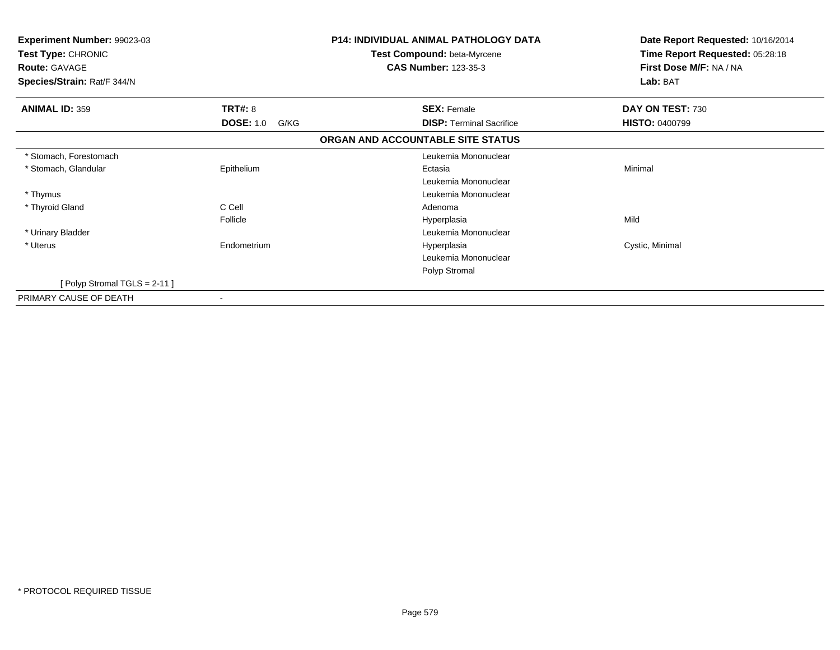| Experiment Number: 99023-03<br>Test Type: CHRONIC<br><b>Route: GAVAGE</b> |                          | <b>P14: INDIVIDUAL ANIMAL PATHOLOGY DATA</b><br>Test Compound: beta-Myrcene<br><b>CAS Number: 123-35-3</b> | Date Report Requested: 10/16/2014<br>Time Report Requested: 05:28:18<br>First Dose M/F: NA / NA |
|---------------------------------------------------------------------------|--------------------------|------------------------------------------------------------------------------------------------------------|-------------------------------------------------------------------------------------------------|
| Species/Strain: Rat/F 344/N                                               |                          |                                                                                                            | Lab: BAT                                                                                        |
| <b>ANIMAL ID: 359</b>                                                     | TRT#: 8                  | <b>SEX: Female</b>                                                                                         | DAY ON TEST: 730                                                                                |
|                                                                           | <b>DOSE: 1.0</b><br>G/KG | <b>DISP:</b> Terminal Sacrifice                                                                            | <b>HISTO: 0400799</b>                                                                           |
|                                                                           |                          | ORGAN AND ACCOUNTABLE SITE STATUS                                                                          |                                                                                                 |
| * Stomach, Forestomach                                                    |                          | Leukemia Mononuclear                                                                                       |                                                                                                 |
| * Stomach, Glandular                                                      | Epithelium               | Ectasia                                                                                                    | Minimal                                                                                         |
|                                                                           |                          | Leukemia Mononuclear                                                                                       |                                                                                                 |
| * Thymus                                                                  |                          | Leukemia Mononuclear                                                                                       |                                                                                                 |
| * Thyroid Gland                                                           | C Cell                   | Adenoma                                                                                                    |                                                                                                 |
|                                                                           | Follicle                 | Hyperplasia                                                                                                | Mild                                                                                            |
| * Urinary Bladder                                                         |                          | Leukemia Mononuclear                                                                                       |                                                                                                 |
| * Uterus                                                                  | Endometrium              | Hyperplasia                                                                                                | Cystic, Minimal                                                                                 |
|                                                                           |                          | Leukemia Mononuclear                                                                                       |                                                                                                 |
|                                                                           |                          | Polyp Stromal                                                                                              |                                                                                                 |
| [Polyp Stromal TGLS = $2-11$ ]                                            |                          |                                                                                                            |                                                                                                 |
| PRIMARY CAUSE OF DEATH<br>٠                                               |                          |                                                                                                            |                                                                                                 |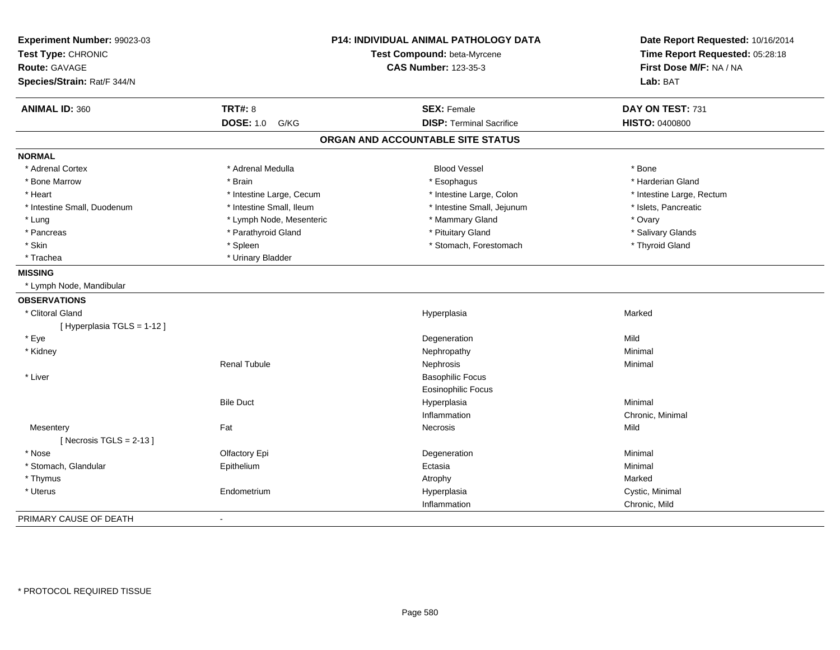| Experiment Number: 99023-03<br>Test Type: CHRONIC<br>Route: GAVAGE<br>Species/Strain: Rat/F 344/N |                          | P14: INDIVIDUAL ANIMAL PATHOLOGY DATA<br>Test Compound: beta-Myrcene<br><b>CAS Number: 123-35-3</b> | Date Report Requested: 10/16/2014<br>Time Report Requested: 05:28:18<br>First Dose M/F: NA / NA<br>Lab: BAT |
|---------------------------------------------------------------------------------------------------|--------------------------|-----------------------------------------------------------------------------------------------------|-------------------------------------------------------------------------------------------------------------|
|                                                                                                   |                          |                                                                                                     |                                                                                                             |
| <b>ANIMAL ID: 360</b>                                                                             | <b>TRT#: 8</b>           | <b>SEX: Female</b>                                                                                  | DAY ON TEST: 731                                                                                            |
|                                                                                                   | <b>DOSE: 1.0</b><br>G/KG | <b>DISP: Terminal Sacrifice</b>                                                                     | <b>HISTO: 0400800</b>                                                                                       |
|                                                                                                   |                          | ORGAN AND ACCOUNTABLE SITE STATUS                                                                   |                                                                                                             |
| <b>NORMAL</b>                                                                                     |                          |                                                                                                     |                                                                                                             |
| * Adrenal Cortex                                                                                  | * Adrenal Medulla        | <b>Blood Vessel</b>                                                                                 | * Bone                                                                                                      |
| * Bone Marrow                                                                                     | * Brain                  | * Esophagus                                                                                         | * Harderian Gland                                                                                           |
| * Heart                                                                                           | * Intestine Large, Cecum | * Intestine Large, Colon                                                                            | * Intestine Large, Rectum                                                                                   |
| * Intestine Small, Duodenum                                                                       | * Intestine Small, Ileum | * Intestine Small, Jejunum                                                                          | * Islets, Pancreatic                                                                                        |
| * Lung                                                                                            | * Lymph Node, Mesenteric | * Mammary Gland                                                                                     | * Ovary                                                                                                     |
| * Pancreas                                                                                        | * Parathyroid Gland      | * Pituitary Gland                                                                                   | * Salivary Glands                                                                                           |
| * Skin                                                                                            | * Spleen                 | * Stomach, Forestomach                                                                              | * Thyroid Gland                                                                                             |
| * Trachea                                                                                         | * Urinary Bladder        |                                                                                                     |                                                                                                             |
| <b>MISSING</b>                                                                                    |                          |                                                                                                     |                                                                                                             |
| * Lymph Node, Mandibular                                                                          |                          |                                                                                                     |                                                                                                             |
| <b>OBSERVATIONS</b>                                                                               |                          |                                                                                                     |                                                                                                             |
| * Clitoral Gland                                                                                  |                          | Hyperplasia                                                                                         | Marked                                                                                                      |
| [ Hyperplasia TGLS = 1-12 ]                                                                       |                          |                                                                                                     |                                                                                                             |
| * Eye                                                                                             |                          | Degeneration                                                                                        | Mild                                                                                                        |
| * Kidney                                                                                          |                          | Nephropathy                                                                                         | Minimal                                                                                                     |
|                                                                                                   | <b>Renal Tubule</b>      | Nephrosis                                                                                           | Minimal                                                                                                     |
| * Liver                                                                                           |                          | <b>Basophilic Focus</b>                                                                             |                                                                                                             |
|                                                                                                   |                          | <b>Eosinophilic Focus</b>                                                                           |                                                                                                             |
|                                                                                                   | <b>Bile Duct</b>         | Hyperplasia                                                                                         | Minimal                                                                                                     |
|                                                                                                   |                          | Inflammation                                                                                        | Chronic, Minimal                                                                                            |
| Mesentery                                                                                         | Fat                      | Necrosis                                                                                            | Mild                                                                                                        |
| [Necrosis $TGLS = 2-13$ ]                                                                         |                          |                                                                                                     |                                                                                                             |
| * Nose                                                                                            | Olfactory Epi            | Degeneration                                                                                        | Minimal                                                                                                     |
| * Stomach, Glandular                                                                              | Epithelium               | Ectasia                                                                                             | Minimal                                                                                                     |
| * Thymus                                                                                          |                          | Atrophy                                                                                             | Marked                                                                                                      |
| * Uterus                                                                                          | Endometrium              | Hyperplasia                                                                                         | Cystic, Minimal                                                                                             |
|                                                                                                   |                          | Inflammation                                                                                        | Chronic, Mild                                                                                               |
| PRIMARY CAUSE OF DEATH                                                                            | $\blacksquare$           |                                                                                                     |                                                                                                             |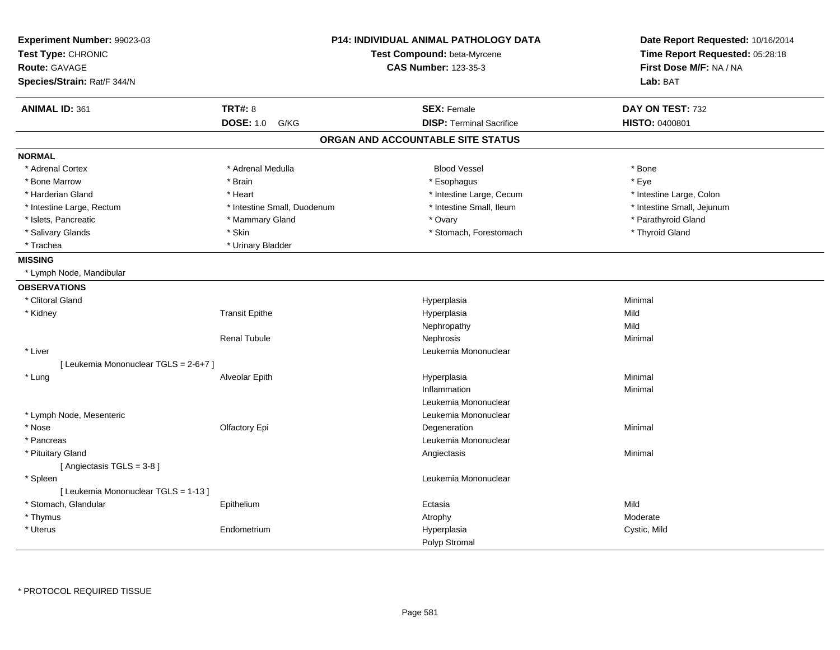| Experiment Number: 99023-03           |                                                            | <b>P14: INDIVIDUAL ANIMAL PATHOLOGY DATA</b> | Date Report Requested: 10/16/2014 |
|---------------------------------------|------------------------------------------------------------|----------------------------------------------|-----------------------------------|
| Test Type: CHRONIC                    | Test Compound: beta-Myrcene<br><b>CAS Number: 123-35-3</b> |                                              | Time Report Requested: 05:28:18   |
| <b>Route: GAVAGE</b>                  |                                                            |                                              | First Dose M/F: NA / NA           |
| Species/Strain: Rat/F 344/N           |                                                            |                                              | Lab: BAT                          |
| <b>ANIMAL ID: 361</b>                 | <b>TRT#: 8</b>                                             | <b>SEX: Female</b>                           | DAY ON TEST: 732                  |
|                                       | <b>DOSE: 1.0</b><br>G/KG                                   | <b>DISP: Terminal Sacrifice</b>              | <b>HISTO: 0400801</b>             |
|                                       |                                                            | ORGAN AND ACCOUNTABLE SITE STATUS            |                                   |
| <b>NORMAL</b>                         |                                                            |                                              |                                   |
| * Adrenal Cortex                      | * Adrenal Medulla                                          | <b>Blood Vessel</b>                          | * Bone                            |
| * Bone Marrow                         | * Brain                                                    | * Esophagus                                  | * Eye                             |
| * Harderian Gland                     | * Heart                                                    | * Intestine Large, Cecum                     | * Intestine Large, Colon          |
| * Intestine Large, Rectum             | * Intestine Small, Duodenum                                | * Intestine Small, Ileum                     | * Intestine Small, Jejunum        |
| * Islets, Pancreatic                  | * Mammary Gland                                            | * Ovary                                      | * Parathyroid Gland               |
| * Salivary Glands                     | * Skin                                                     | * Stomach, Forestomach                       | * Thyroid Gland                   |
| * Trachea                             | * Urinary Bladder                                          |                                              |                                   |
| <b>MISSING</b>                        |                                                            |                                              |                                   |
| * Lymph Node, Mandibular              |                                                            |                                              |                                   |
| <b>OBSERVATIONS</b>                   |                                                            |                                              |                                   |
| * Clitoral Gland                      |                                                            | Hyperplasia                                  | Minimal                           |
| * Kidney                              | <b>Transit Epithe</b>                                      | Hyperplasia                                  | Mild                              |
|                                       |                                                            | Nephropathy                                  | Mild                              |
|                                       | <b>Renal Tubule</b>                                        | Nephrosis                                    | Minimal                           |
| * Liver                               |                                                            | Leukemia Mononuclear                         |                                   |
| [ Leukemia Mononuclear TGLS = 2-6+7 ] |                                                            |                                              |                                   |
| * Lung                                | Alveolar Epith                                             | Hyperplasia                                  | Minimal                           |
|                                       |                                                            | Inflammation                                 | Minimal                           |
|                                       |                                                            | Leukemia Mononuclear                         |                                   |
| * Lymph Node, Mesenteric              |                                                            | Leukemia Mononuclear                         |                                   |
| * Nose                                | Olfactory Epi                                              | Degeneration                                 | Minimal                           |
| * Pancreas                            |                                                            | Leukemia Mononuclear                         |                                   |
| * Pituitary Gland                     |                                                            | Angiectasis                                  | Minimal                           |
| [Angiectasis TGLS = 3-8]              |                                                            |                                              |                                   |
| * Spleen                              |                                                            | Leukemia Mononuclear                         |                                   |
| [ Leukemia Mononuclear TGLS = 1-13 ]  |                                                            |                                              |                                   |
| * Stomach, Glandular                  | Epithelium                                                 | Ectasia                                      | Mild                              |
| $*$ Thymus                            |                                                            | Atrophy                                      | Moderate                          |
| * Uterus                              | Endometrium                                                | Hyperplasia                                  | Cystic, Mild                      |
|                                       |                                                            | Polyp Stromal                                |                                   |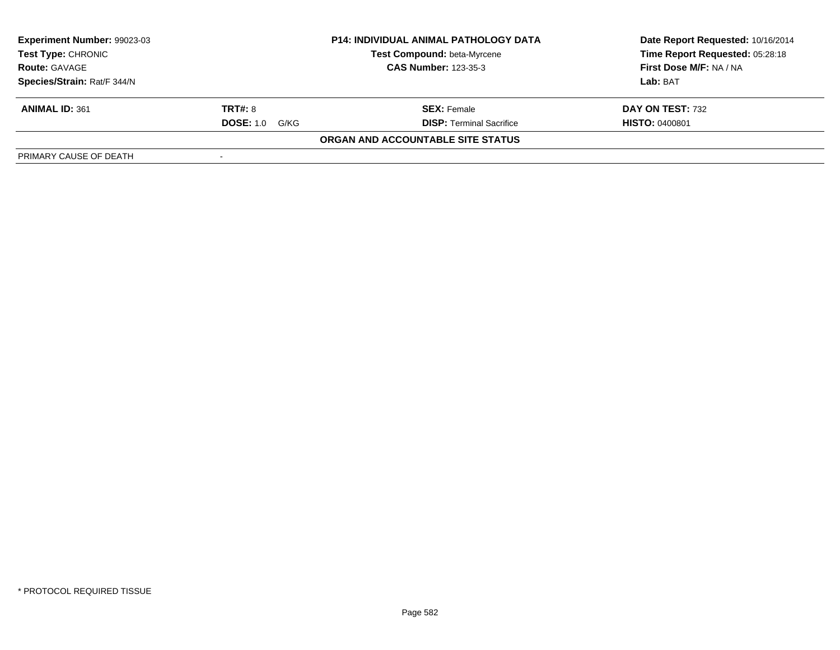| Experiment Number: 99023-03 |                          | <b>P14: INDIVIDUAL ANIMAL PATHOLOGY DATA</b> | Date Report Requested: 10/16/2014 |
|-----------------------------|--------------------------|----------------------------------------------|-----------------------------------|
| <b>Test Type: CHRONIC</b>   |                          | Test Compound: beta-Myrcene                  | Time Report Requested: 05:28:18   |
| <b>Route: GAVAGE</b>        |                          | <b>CAS Number: 123-35-3</b>                  | First Dose M/F: NA / NA           |
| Species/Strain: Rat/F 344/N |                          |                                              | Lab: BAT                          |
| <b>ANIMAL ID: 361</b>       | <b>TRT#: 8</b>           | <b>SEX: Female</b>                           | DAY ON TEST: 732                  |
|                             | <b>DOSE: 1.0</b><br>G/KG | <b>DISP: Terminal Sacrifice</b>              | <b>HISTO: 0400801</b>             |
|                             |                          | ORGAN AND ACCOUNTABLE SITE STATUS            |                                   |
| PRIMARY CAUSE OF DEATH      |                          |                                              |                                   |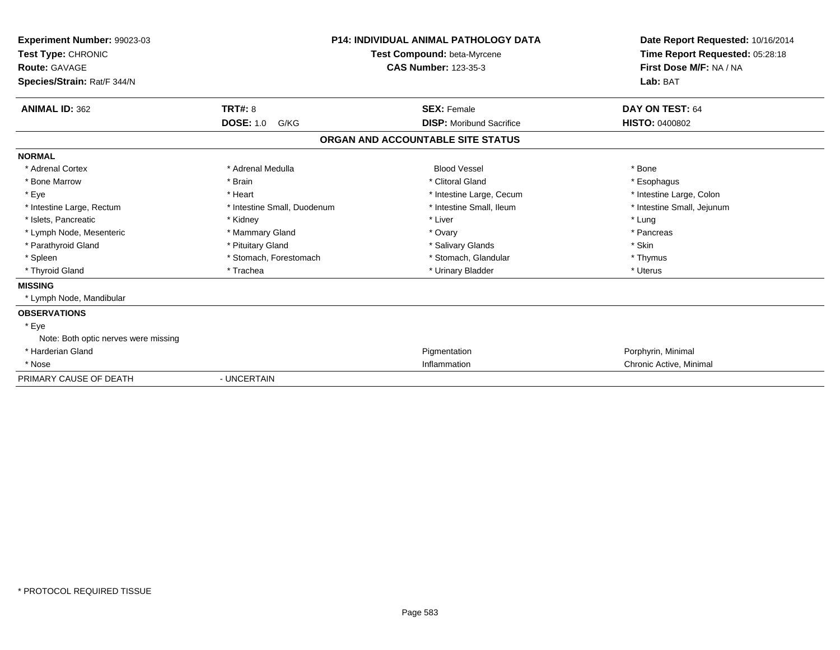| Experiment Number: 99023-03<br>Test Type: CHRONIC<br><b>Route: GAVAGE</b><br>Species/Strain: Rat/F 344/N |                             | <b>P14: INDIVIDUAL ANIMAL PATHOLOGY DATA</b><br>Test Compound: beta-Myrcene<br><b>CAS Number: 123-35-3</b> | Date Report Requested: 10/16/2014<br>Time Report Requested: 05:28:18<br>First Dose M/F: NA / NA<br>Lab: BAT |
|----------------------------------------------------------------------------------------------------------|-----------------------------|------------------------------------------------------------------------------------------------------------|-------------------------------------------------------------------------------------------------------------|
| <b>ANIMAL ID: 362</b>                                                                                    | <b>TRT#: 8</b>              | <b>SEX: Female</b>                                                                                         | DAY ON TEST: 64                                                                                             |
|                                                                                                          | <b>DOSE: 1.0</b><br>G/KG    | <b>DISP:</b> Moribund Sacrifice                                                                            | <b>HISTO: 0400802</b>                                                                                       |
|                                                                                                          |                             | ORGAN AND ACCOUNTABLE SITE STATUS                                                                          |                                                                                                             |
| <b>NORMAL</b>                                                                                            |                             |                                                                                                            |                                                                                                             |
| * Adrenal Cortex                                                                                         | * Adrenal Medulla           | <b>Blood Vessel</b>                                                                                        | * Bone                                                                                                      |
| * Bone Marrow                                                                                            | * Brain                     | * Clitoral Gland                                                                                           | * Esophagus                                                                                                 |
| * Eye                                                                                                    | * Heart                     | * Intestine Large, Cecum                                                                                   | * Intestine Large, Colon                                                                                    |
| * Intestine Large, Rectum                                                                                | * Intestine Small, Duodenum | * Intestine Small, Ileum                                                                                   | * Intestine Small, Jejunum                                                                                  |
| * Islets. Pancreatic                                                                                     | * Kidney                    | * Liver                                                                                                    | * Lung                                                                                                      |
| * Lymph Node, Mesenteric                                                                                 | * Mammary Gland             | * Ovary                                                                                                    | * Pancreas                                                                                                  |
| * Parathyroid Gland                                                                                      | * Pituitary Gland           | * Salivary Glands                                                                                          | * Skin                                                                                                      |
| * Spleen                                                                                                 | * Stomach, Forestomach      | * Stomach, Glandular                                                                                       | * Thymus                                                                                                    |
| * Thyroid Gland                                                                                          | * Trachea                   | * Urinary Bladder                                                                                          | * Uterus                                                                                                    |
| <b>MISSING</b>                                                                                           |                             |                                                                                                            |                                                                                                             |
| * Lymph Node, Mandibular                                                                                 |                             |                                                                                                            |                                                                                                             |
| <b>OBSERVATIONS</b>                                                                                      |                             |                                                                                                            |                                                                                                             |
| * Eye                                                                                                    |                             |                                                                                                            |                                                                                                             |
| Note: Both optic nerves were missing                                                                     |                             |                                                                                                            |                                                                                                             |
| * Harderian Gland                                                                                        |                             | Pigmentation                                                                                               | Porphyrin, Minimal                                                                                          |
| * Nose                                                                                                   |                             | Inflammation                                                                                               | Chronic Active, Minimal                                                                                     |
| PRIMARY CAUSE OF DEATH                                                                                   | - UNCERTAIN                 |                                                                                                            |                                                                                                             |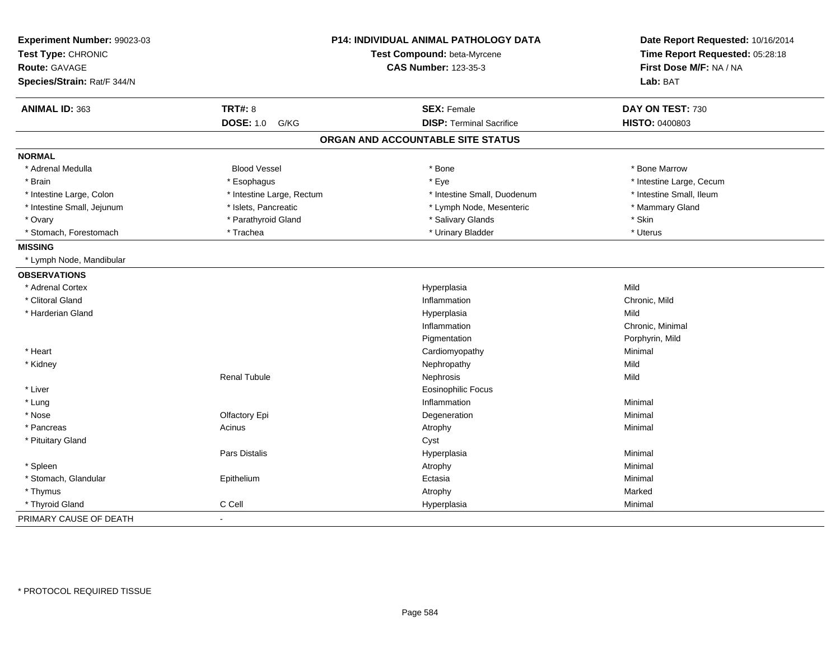| Experiment Number: 99023-03 |                           | P14: INDIVIDUAL ANIMAL PATHOLOGY DATA | Date Report Requested: 10/16/2014 |
|-----------------------------|---------------------------|---------------------------------------|-----------------------------------|
| Test Type: CHRONIC          |                           | Test Compound: beta-Myrcene           | Time Report Requested: 05:28:18   |
| Route: GAVAGE               |                           | <b>CAS Number: 123-35-3</b>           | First Dose M/F: NA / NA           |
| Species/Strain: Rat/F 344/N |                           |                                       | Lab: BAT                          |
| ANIMAL ID: 363              | <b>TRT#: 8</b>            | <b>SEX: Female</b>                    | DAY ON TEST: 730                  |
|                             | <b>DOSE: 1.0</b><br>G/KG  | <b>DISP: Terminal Sacrifice</b>       | HISTO: 0400803                    |
|                             |                           | ORGAN AND ACCOUNTABLE SITE STATUS     |                                   |
| <b>NORMAL</b>               |                           |                                       |                                   |
| * Adrenal Medulla           | <b>Blood Vessel</b>       | * Bone                                | * Bone Marrow                     |
| * Brain                     | * Esophagus               | * Eye                                 | * Intestine Large, Cecum          |
| * Intestine Large, Colon    | * Intestine Large, Rectum | * Intestine Small, Duodenum           | * Intestine Small, Ileum          |
| * Intestine Small, Jejunum  | * Islets, Pancreatic      | * Lymph Node, Mesenteric              | * Mammary Gland                   |
| * Ovary                     | * Parathyroid Gland       | * Salivary Glands                     | * Skin                            |
| * Stomach, Forestomach      | * Trachea                 | * Urinary Bladder                     | * Uterus                          |
| <b>MISSING</b>              |                           |                                       |                                   |
| * Lymph Node, Mandibular    |                           |                                       |                                   |
| <b>OBSERVATIONS</b>         |                           |                                       |                                   |
| * Adrenal Cortex            |                           | Hyperplasia                           | Mild                              |
| * Clitoral Gland            |                           | Inflammation                          | Chronic, Mild                     |
| * Harderian Gland           |                           | Hyperplasia                           | Mild                              |
|                             |                           | Inflammation                          | Chronic, Minimal                  |
|                             |                           | Pigmentation                          | Porphyrin, Mild                   |
| * Heart                     |                           | Cardiomyopathy                        | Minimal                           |
| * Kidney                    |                           | Nephropathy                           | Mild                              |
|                             | <b>Renal Tubule</b>       | Nephrosis                             | Mild                              |
| * Liver                     |                           | <b>Eosinophilic Focus</b>             |                                   |
| * Lung                      |                           | Inflammation                          | Minimal                           |
| * Nose                      | Olfactory Epi             | Degeneration                          | Minimal                           |
| * Pancreas                  | Acinus                    | Atrophy                               | Minimal                           |
| * Pituitary Gland           |                           | Cyst                                  |                                   |
|                             | Pars Distalis             | Hyperplasia                           | Minimal                           |
| * Spleen                    |                           | Atrophy                               | Minimal                           |
| * Stomach, Glandular        | Epithelium                | Ectasia                               | Minimal                           |
| * Thymus                    |                           | Atrophy                               | Marked                            |
| * Thyroid Gland             | C Cell                    | Hyperplasia                           | Minimal                           |
| PRIMARY CAUSE OF DEATH      | $\blacksquare$            |                                       |                                   |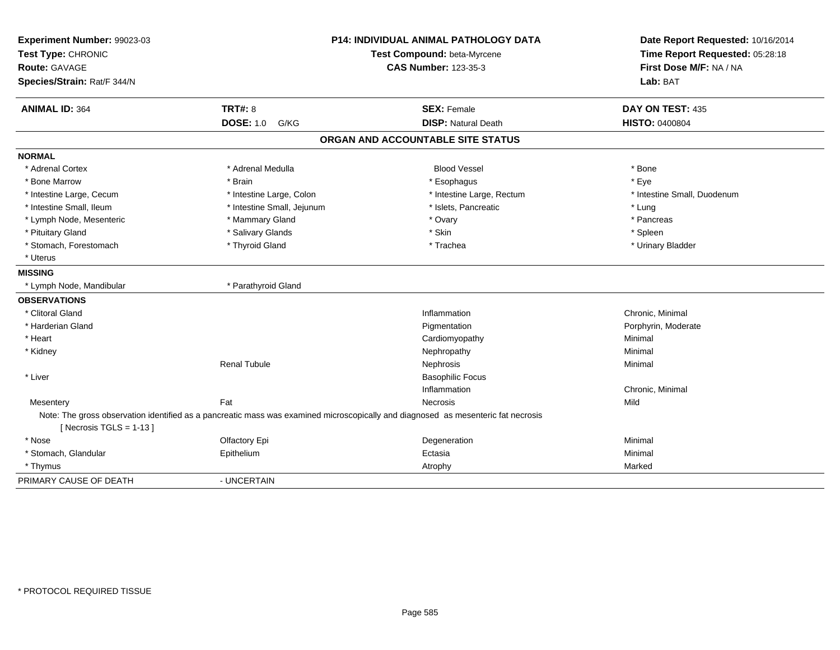| Experiment Number: 99023-03<br>Test Type: CHRONIC<br>Route: GAVAGE<br>Species/Strain: Rat/F 344/N |                            | <b>P14: INDIVIDUAL ANIMAL PATHOLOGY DATA</b><br>Test Compound: beta-Myrcene<br><b>CAS Number: 123-35-3</b>                        | Date Report Requested: 10/16/2014<br>Time Report Requested: 05:28:18<br>First Dose M/F: NA / NA<br>Lab: BAT |
|---------------------------------------------------------------------------------------------------|----------------------------|-----------------------------------------------------------------------------------------------------------------------------------|-------------------------------------------------------------------------------------------------------------|
| <b>ANIMAL ID: 364</b>                                                                             | <b>TRT#: 8</b>             | <b>SEX: Female</b>                                                                                                                | DAY ON TEST: 435                                                                                            |
|                                                                                                   | <b>DOSE: 1.0 G/KG</b>      | <b>DISP: Natural Death</b>                                                                                                        | <b>HISTO: 0400804</b>                                                                                       |
|                                                                                                   |                            | ORGAN AND ACCOUNTABLE SITE STATUS                                                                                                 |                                                                                                             |
| <b>NORMAL</b>                                                                                     |                            |                                                                                                                                   |                                                                                                             |
| * Adrenal Cortex                                                                                  | * Adrenal Medulla          | <b>Blood Vessel</b>                                                                                                               | * Bone                                                                                                      |
| * Bone Marrow                                                                                     | * Brain                    | * Esophagus                                                                                                                       | * Eye                                                                                                       |
| * Intestine Large, Cecum                                                                          | * Intestine Large, Colon   | * Intestine Large, Rectum                                                                                                         | * Intestine Small, Duodenum                                                                                 |
| * Intestine Small, Ileum                                                                          | * Intestine Small, Jejunum | * Islets, Pancreatic                                                                                                              | * Lung                                                                                                      |
| * Lymph Node, Mesenteric                                                                          | * Mammary Gland            | * Ovary                                                                                                                           | * Pancreas                                                                                                  |
| * Pituitary Gland                                                                                 | * Salivary Glands          | * Skin                                                                                                                            | * Spleen                                                                                                    |
| * Stomach, Forestomach                                                                            | * Thyroid Gland            | * Trachea                                                                                                                         | * Urinary Bladder                                                                                           |
| * Uterus                                                                                          |                            |                                                                                                                                   |                                                                                                             |
| <b>MISSING</b>                                                                                    |                            |                                                                                                                                   |                                                                                                             |
| * Lymph Node, Mandibular                                                                          | * Parathyroid Gland        |                                                                                                                                   |                                                                                                             |
| <b>OBSERVATIONS</b>                                                                               |                            |                                                                                                                                   |                                                                                                             |
| * Clitoral Gland                                                                                  |                            | Inflammation                                                                                                                      | Chronic, Minimal                                                                                            |
| * Harderian Gland                                                                                 |                            | Pigmentation                                                                                                                      | Porphyrin, Moderate                                                                                         |
| * Heart                                                                                           |                            | Cardiomyopathy                                                                                                                    | Minimal                                                                                                     |
| * Kidney                                                                                          |                            | Nephropathy                                                                                                                       | Minimal                                                                                                     |
|                                                                                                   | <b>Renal Tubule</b>        | Nephrosis                                                                                                                         | Minimal                                                                                                     |
| * Liver                                                                                           |                            | <b>Basophilic Focus</b>                                                                                                           |                                                                                                             |
|                                                                                                   |                            | Inflammation                                                                                                                      | Chronic, Minimal                                                                                            |
| Mesentery                                                                                         | Fat                        | <b>Necrosis</b>                                                                                                                   | Mild                                                                                                        |
| [ Necrosis TGLS = $1-13$ ]                                                                        |                            | Note: The gross observation identified as a pancreatic mass was examined microscopically and diagnosed as mesenteric fat necrosis |                                                                                                             |
| * Nose                                                                                            | Olfactory Epi              | Degeneration                                                                                                                      | Minimal                                                                                                     |
| * Stomach, Glandular                                                                              | Epithelium                 | Ectasia                                                                                                                           | Minimal                                                                                                     |
| * Thymus                                                                                          |                            | Atrophy                                                                                                                           | Marked                                                                                                      |
| PRIMARY CAUSE OF DEATH                                                                            | - UNCERTAIN                |                                                                                                                                   |                                                                                                             |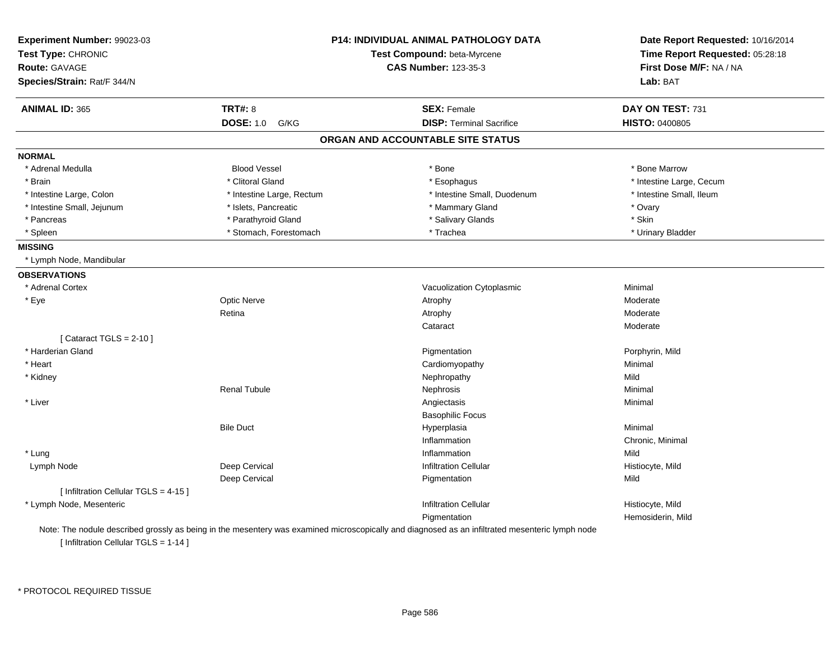| Experiment Number: 99023-03<br>Test Type: CHRONIC |                           | P14: INDIVIDUAL ANIMAL PATHOLOGY DATA<br>Test Compound: beta-Myrcene | Date Report Requested: 10/16/2014<br>Time Report Requested: 05:28:18 |
|---------------------------------------------------|---------------------------|----------------------------------------------------------------------|----------------------------------------------------------------------|
| <b>Route: GAVAGE</b>                              |                           | <b>CAS Number: 123-35-3</b>                                          | First Dose M/F: NA / NA                                              |
| Species/Strain: Rat/F 344/N                       |                           |                                                                      | Lab: BAT                                                             |
| <b>ANIMAL ID: 365</b>                             | <b>TRT#: 8</b>            | <b>SEX: Female</b>                                                   | DAY ON TEST: 731                                                     |
|                                                   | <b>DOSE: 1.0</b><br>G/KG  | <b>DISP: Terminal Sacrifice</b>                                      | <b>HISTO: 0400805</b>                                                |
|                                                   |                           | ORGAN AND ACCOUNTABLE SITE STATUS                                    |                                                                      |
| <b>NORMAL</b>                                     |                           |                                                                      |                                                                      |
| * Adrenal Medulla                                 | <b>Blood Vessel</b>       | * Bone                                                               | * Bone Marrow                                                        |
| * Brain                                           | * Clitoral Gland          | * Esophagus                                                          | * Intestine Large, Cecum                                             |
| * Intestine Large, Colon                          | * Intestine Large, Rectum | * Intestine Small, Duodenum                                          | * Intestine Small, Ileum                                             |
| * Intestine Small, Jejunum                        | * Islets, Pancreatic      | * Mammary Gland                                                      | * Ovary                                                              |
| * Pancreas                                        | * Parathyroid Gland       | * Salivary Glands                                                    | * Skin                                                               |
| * Spleen                                          | * Stomach, Forestomach    | * Trachea                                                            | * Urinary Bladder                                                    |
| <b>MISSING</b>                                    |                           |                                                                      |                                                                      |
| * Lymph Node, Mandibular                          |                           |                                                                      |                                                                      |
| <b>OBSERVATIONS</b>                               |                           |                                                                      |                                                                      |
| * Adrenal Cortex                                  |                           | Vacuolization Cytoplasmic                                            | Minimal                                                              |
| * Eye                                             | <b>Optic Nerve</b>        | Atrophy                                                              | Moderate                                                             |
|                                                   | Retina                    | Atrophy                                                              | Moderate                                                             |
|                                                   |                           | Cataract                                                             | Moderate                                                             |
| [Cataract TGLS = $2-10$ ]                         |                           |                                                                      |                                                                      |
| * Harderian Gland                                 |                           | Pigmentation                                                         | Porphyrin, Mild                                                      |
| * Heart                                           |                           | Cardiomyopathy                                                       | Minimal                                                              |
| * Kidney                                          |                           | Nephropathy                                                          | Mild                                                                 |
|                                                   | <b>Renal Tubule</b>       | Nephrosis                                                            | Minimal                                                              |
| * Liver                                           |                           | Angiectasis                                                          | Minimal                                                              |
|                                                   |                           | <b>Basophilic Focus</b>                                              |                                                                      |
|                                                   | <b>Bile Duct</b>          | Hyperplasia                                                          | Minimal                                                              |
|                                                   |                           | Inflammation                                                         | Chronic, Minimal                                                     |
| * Lung                                            |                           | Inflammation                                                         | Mild                                                                 |
| Lymph Node                                        | Deep Cervical             | <b>Infiltration Cellular</b>                                         | Histiocyte, Mild                                                     |
|                                                   | Deep Cervical             | Pigmentation                                                         | Mild                                                                 |
| [ Infiltration Cellular TGLS = 4-15 ]             |                           |                                                                      |                                                                      |
| * Lymph Node, Mesenteric                          |                           | <b>Infiltration Cellular</b>                                         | Histiocyte, Mild                                                     |
|                                                   |                           | Pigmentation                                                         | Hemosiderin, Mild                                                    |

[ Infiltration Cellular TGLS = 1-14 ]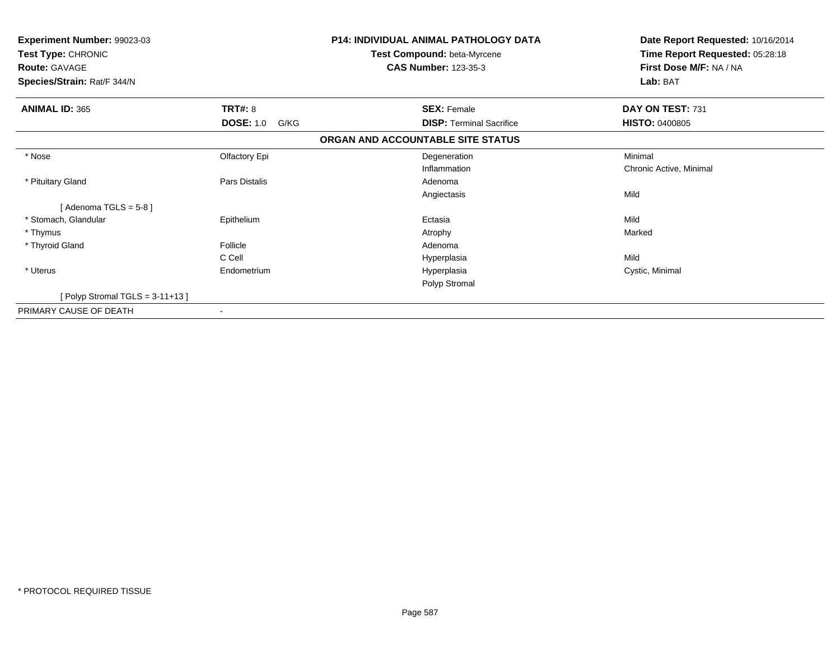| Experiment Number: 99023-03<br>Test Type: CHRONIC<br><b>Route: GAVAGE</b><br>Species/Strain: Rat/F 344/N |                          | <b>P14: INDIVIDUAL ANIMAL PATHOLOGY DATA</b><br>Test Compound: beta-Myrcene<br><b>CAS Number: 123-35-3</b> | Date Report Requested: 10/16/2014<br>Time Report Requested: 05:28:18<br>First Dose M/F: NA / NA<br>Lab: BAT |
|----------------------------------------------------------------------------------------------------------|--------------------------|------------------------------------------------------------------------------------------------------------|-------------------------------------------------------------------------------------------------------------|
| <b>ANIMAL ID: 365</b>                                                                                    | TRT#: 8                  | <b>SEX: Female</b>                                                                                         | DAY ON TEST: 731                                                                                            |
|                                                                                                          | <b>DOSE: 1.0</b><br>G/KG | <b>DISP:</b> Terminal Sacrifice                                                                            | <b>HISTO: 0400805</b>                                                                                       |
|                                                                                                          |                          | ORGAN AND ACCOUNTABLE SITE STATUS                                                                          |                                                                                                             |
| * Nose                                                                                                   | Olfactory Epi            | Degeneration                                                                                               | Minimal                                                                                                     |
|                                                                                                          |                          | Inflammation                                                                                               | Chronic Active, Minimal                                                                                     |
| * Pituitary Gland                                                                                        | Pars Distalis            | Adenoma                                                                                                    |                                                                                                             |
|                                                                                                          |                          | Angiectasis                                                                                                | Mild                                                                                                        |
| [Adenoma TGLS = $5-8$ ]                                                                                  |                          |                                                                                                            |                                                                                                             |
| * Stomach, Glandular                                                                                     | Epithelium               | Ectasia                                                                                                    | Mild                                                                                                        |
| * Thymus                                                                                                 |                          | Atrophy                                                                                                    | Marked                                                                                                      |
| * Thyroid Gland                                                                                          | Follicle                 | Adenoma                                                                                                    |                                                                                                             |
|                                                                                                          | C Cell                   | Hyperplasia                                                                                                | Mild                                                                                                        |
| * Uterus                                                                                                 | Endometrium              | Hyperplasia                                                                                                | Cystic, Minimal                                                                                             |
|                                                                                                          |                          | Polyp Stromal                                                                                              |                                                                                                             |
| [Polyp Stromal TGLS = 3-11+13]                                                                           |                          |                                                                                                            |                                                                                                             |
| PRIMARY CAUSE OF DEATH                                                                                   | $\overline{\phantom{a}}$ |                                                                                                            |                                                                                                             |
|                                                                                                          |                          |                                                                                                            |                                                                                                             |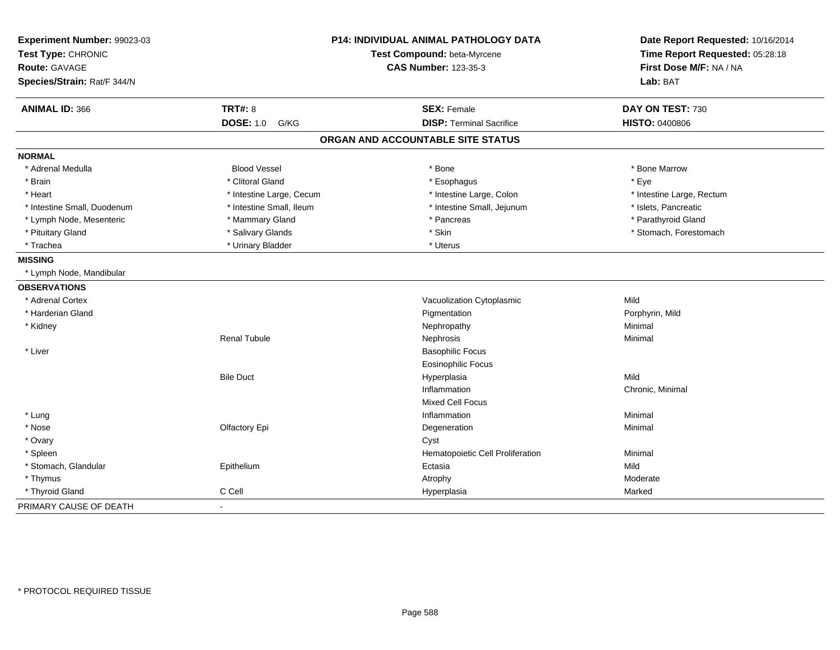| Experiment Number: 99023-03<br>Test Type: CHRONIC<br><b>Route: GAVAGE</b> |                          | P14: INDIVIDUAL ANIMAL PATHOLOGY DATA<br>Test Compound: beta-Myrcene<br><b>CAS Number: 123-35-3</b> | Date Report Requested: 10/16/2014<br>Time Report Requested: 05:28:18<br>First Dose M/F: NA / NA |
|---------------------------------------------------------------------------|--------------------------|-----------------------------------------------------------------------------------------------------|-------------------------------------------------------------------------------------------------|
| Species/Strain: Rat/F 344/N                                               |                          |                                                                                                     | Lab: BAT                                                                                        |
| <b>ANIMAL ID: 366</b>                                                     | <b>TRT#: 8</b>           | <b>SEX: Female</b>                                                                                  | DAY ON TEST: 730                                                                                |
|                                                                           | <b>DOSE: 1.0</b><br>G/KG | <b>DISP: Terminal Sacrifice</b>                                                                     | <b>HISTO: 0400806</b>                                                                           |
|                                                                           |                          | ORGAN AND ACCOUNTABLE SITE STATUS                                                                   |                                                                                                 |
| <b>NORMAL</b>                                                             |                          |                                                                                                     |                                                                                                 |
| * Adrenal Medulla                                                         | <b>Blood Vessel</b>      | * Bone                                                                                              | * Bone Marrow                                                                                   |
| * Brain                                                                   | * Clitoral Gland         | * Esophagus                                                                                         | * Eye                                                                                           |
| * Heart                                                                   | * Intestine Large, Cecum | * Intestine Large, Colon                                                                            | * Intestine Large, Rectum                                                                       |
| * Intestine Small, Duodenum                                               | * Intestine Small, Ileum | * Intestine Small, Jejunum                                                                          | * Islets, Pancreatic                                                                            |
| * Lymph Node, Mesenteric                                                  | * Mammary Gland          | * Pancreas                                                                                          | * Parathyroid Gland                                                                             |
| * Pituitary Gland                                                         | * Salivary Glands        | * Skin                                                                                              | * Stomach, Forestomach                                                                          |
| * Trachea                                                                 | * Urinary Bladder        | * Uterus                                                                                            |                                                                                                 |
| <b>MISSING</b>                                                            |                          |                                                                                                     |                                                                                                 |
| * Lymph Node, Mandibular                                                  |                          |                                                                                                     |                                                                                                 |
| <b>OBSERVATIONS</b>                                                       |                          |                                                                                                     |                                                                                                 |
| * Adrenal Cortex                                                          |                          | Vacuolization Cytoplasmic                                                                           | Mild                                                                                            |
| * Harderian Gland                                                         |                          | Pigmentation                                                                                        | Porphyrin, Mild                                                                                 |
| * Kidney                                                                  |                          | Nephropathy                                                                                         | Minimal                                                                                         |
|                                                                           | <b>Renal Tubule</b>      | Nephrosis                                                                                           | Minimal                                                                                         |
| * Liver                                                                   |                          | <b>Basophilic Focus</b>                                                                             |                                                                                                 |
|                                                                           |                          | <b>Eosinophilic Focus</b>                                                                           |                                                                                                 |
|                                                                           | <b>Bile Duct</b>         | Hyperplasia                                                                                         | Mild                                                                                            |
|                                                                           |                          | Inflammation                                                                                        | Chronic, Minimal                                                                                |
|                                                                           |                          | <b>Mixed Cell Focus</b>                                                                             |                                                                                                 |
| * Lung                                                                    |                          | Inflammation                                                                                        | Minimal                                                                                         |
| * Nose                                                                    | Olfactory Epi            | Degeneration                                                                                        | Minimal                                                                                         |
| * Ovary                                                                   |                          | Cyst                                                                                                |                                                                                                 |
| * Spleen                                                                  |                          | Hematopoietic Cell Proliferation                                                                    | Minimal                                                                                         |
| * Stomach, Glandular                                                      | Epithelium               | Ectasia                                                                                             | Mild                                                                                            |
| * Thymus                                                                  |                          | Atrophy                                                                                             | Moderate                                                                                        |
| * Thyroid Gland                                                           | C Cell                   | Hyperplasia                                                                                         | Marked                                                                                          |
| PRIMARY CAUSE OF DEATH                                                    | $\blacksquare$           |                                                                                                     |                                                                                                 |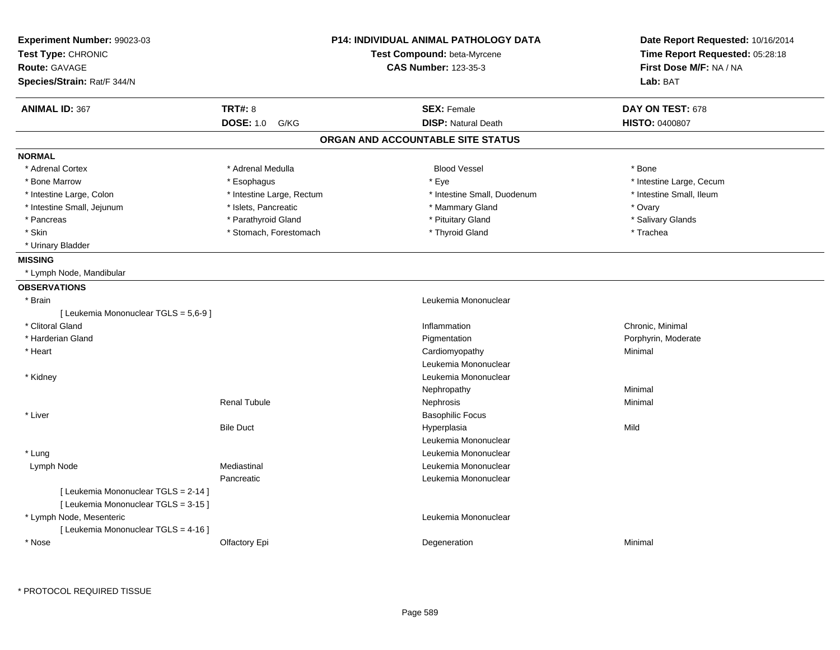| Experiment Number: 99023-03<br>Test Type: CHRONIC |                           | <b>P14: INDIVIDUAL ANIMAL PATHOLOGY DATA</b><br>Test Compound: beta-Myrcene | Date Report Requested: 10/16/2014<br>Time Report Requested: 05:28:18 |
|---------------------------------------------------|---------------------------|-----------------------------------------------------------------------------|----------------------------------------------------------------------|
| <b>Route: GAVAGE</b>                              |                           | <b>CAS Number: 123-35-3</b>                                                 | First Dose M/F: NA / NA                                              |
| Species/Strain: Rat/F 344/N                       |                           |                                                                             | Lab: BAT                                                             |
| <b>ANIMAL ID: 367</b>                             | <b>TRT#: 8</b>            | <b>SEX: Female</b>                                                          | DAY ON TEST: 678                                                     |
|                                                   | <b>DOSE: 1.0 G/KG</b>     | <b>DISP: Natural Death</b>                                                  | <b>HISTO: 0400807</b>                                                |
|                                                   |                           | ORGAN AND ACCOUNTABLE SITE STATUS                                           |                                                                      |
| <b>NORMAL</b>                                     |                           |                                                                             |                                                                      |
| * Adrenal Cortex                                  | * Adrenal Medulla         | <b>Blood Vessel</b>                                                         | * Bone                                                               |
| * Bone Marrow                                     | * Esophagus               | * Eye                                                                       | * Intestine Large, Cecum                                             |
| * Intestine Large, Colon                          | * Intestine Large, Rectum | * Intestine Small, Duodenum                                                 | * Intestine Small, Ileum                                             |
| * Intestine Small, Jejunum                        | * Islets, Pancreatic      | * Mammary Gland                                                             | * Ovary                                                              |
| * Pancreas                                        | * Parathyroid Gland       | * Pituitary Gland                                                           | * Salivary Glands                                                    |
| * Skin                                            | * Stomach, Forestomach    | * Thyroid Gland                                                             | * Trachea                                                            |
| * Urinary Bladder                                 |                           |                                                                             |                                                                      |
| <b>MISSING</b>                                    |                           |                                                                             |                                                                      |
| * Lymph Node, Mandibular                          |                           |                                                                             |                                                                      |
| <b>OBSERVATIONS</b>                               |                           |                                                                             |                                                                      |
| * Brain                                           |                           | Leukemia Mononuclear                                                        |                                                                      |
| [ Leukemia Mononuclear TGLS = 5,6-9 ]             |                           |                                                                             |                                                                      |
| * Clitoral Gland                                  |                           | Inflammation                                                                | Chronic, Minimal                                                     |
| * Harderian Gland                                 |                           | Pigmentation                                                                | Porphyrin, Moderate                                                  |
| * Heart                                           |                           | Cardiomyopathy                                                              | Minimal                                                              |
|                                                   |                           | Leukemia Mononuclear                                                        |                                                                      |
| * Kidney                                          |                           | Leukemia Mononuclear                                                        |                                                                      |
|                                                   |                           | Nephropathy                                                                 | Minimal                                                              |
|                                                   | <b>Renal Tubule</b>       | Nephrosis                                                                   | Minimal                                                              |
| * Liver                                           |                           | <b>Basophilic Focus</b>                                                     |                                                                      |
|                                                   | <b>Bile Duct</b>          | Hyperplasia                                                                 | Mild                                                                 |
|                                                   |                           | Leukemia Mononuclear                                                        |                                                                      |
| * Lung                                            |                           | Leukemia Mononuclear                                                        |                                                                      |
| Lymph Node                                        | Mediastinal               | Leukemia Mononuclear                                                        |                                                                      |
|                                                   | Pancreatic                | Leukemia Mononuclear                                                        |                                                                      |
| [ Leukemia Mononuclear TGLS = 2-14 ]              |                           |                                                                             |                                                                      |
| [ Leukemia Mononuclear TGLS = 3-15 ]              |                           |                                                                             |                                                                      |
| * Lymph Node, Mesenteric                          |                           | Leukemia Mononuclear                                                        |                                                                      |
| [ Leukemia Mononuclear TGLS = 4-16 ]              |                           |                                                                             |                                                                      |
| * Nose                                            | Olfactory Epi             | Degeneration                                                                | Minimal                                                              |
|                                                   |                           |                                                                             |                                                                      |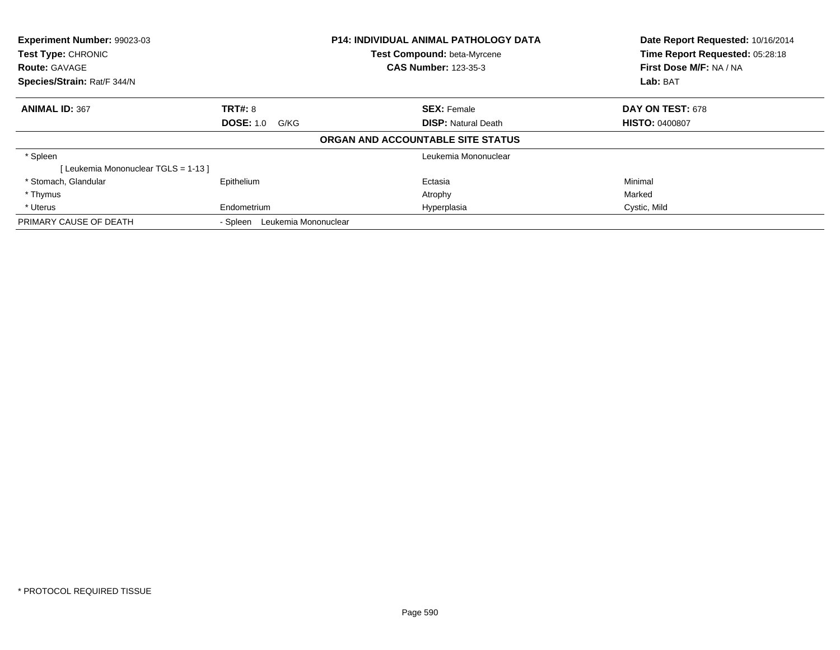| Experiment Number: 99023-03<br>Test Type: CHRONIC |                                  | <b>P14: INDIVIDUAL ANIMAL PATHOLOGY DATA</b> | Date Report Requested: 10/16/2014 |
|---------------------------------------------------|----------------------------------|----------------------------------------------|-----------------------------------|
|                                                   |                                  | Test Compound: beta-Myrcene                  | Time Report Requested: 05:28:18   |
| <b>Route: GAVAGE</b>                              |                                  | <b>CAS Number: 123-35-3</b>                  | First Dose M/F: NA / NA           |
| Species/Strain: Rat/F 344/N                       |                                  |                                              | Lab: BAT                          |
| <b>ANIMAL ID: 367</b>                             | <b>TRT#: 8</b>                   | <b>SEX: Female</b>                           | DAY ON TEST: 678                  |
|                                                   | <b>DOSE: 1.0</b><br>G/KG         | <b>DISP:</b> Natural Death                   | <b>HISTO: 0400807</b>             |
|                                                   |                                  | ORGAN AND ACCOUNTABLE SITE STATUS            |                                   |
| * Spleen                                          |                                  | Leukemia Mononuclear                         |                                   |
| [Leukemia Mononuclear TGLS = 1-13]                |                                  |                                              |                                   |
| * Stomach, Glandular                              | Epithelium                       | Ectasia                                      | Minimal                           |
| * Thymus                                          |                                  | Atrophy                                      | Marked                            |
| * Uterus                                          | Endometrium                      | Hyperplasia                                  | Cystic, Mild                      |
| PRIMARY CAUSE OF DEATH                            | Leukemia Mononuclear<br>- Spleen |                                              |                                   |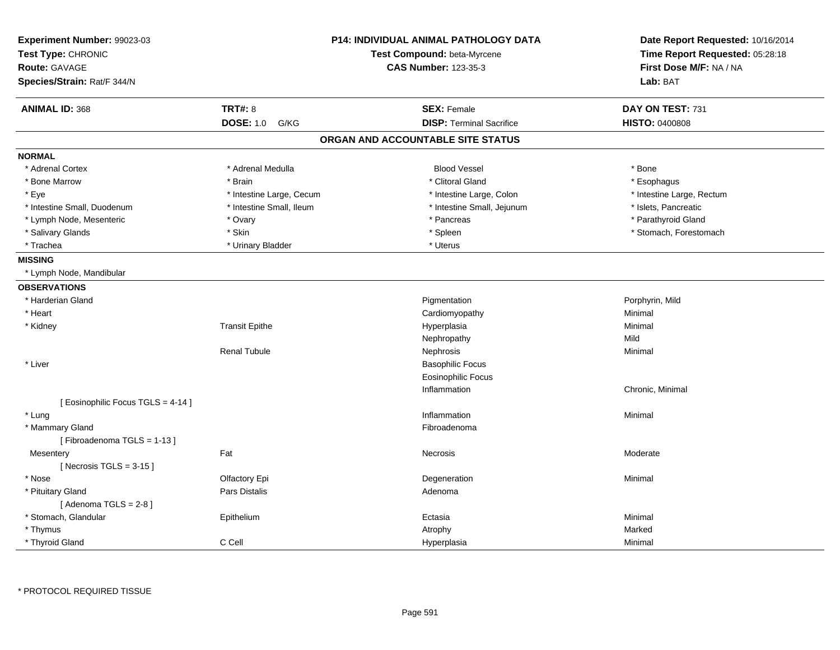| Experiment Number: 99023-03<br>Test Type: CHRONIC<br><b>Route: GAVAGE</b> |                          | P14: INDIVIDUAL ANIMAL PATHOLOGY DATA<br>Test Compound: beta-Myrcene<br><b>CAS Number: 123-35-3</b> | Date Report Requested: 10/16/2014<br>Time Report Requested: 05:28:18<br>First Dose M/F: NA / NA |
|---------------------------------------------------------------------------|--------------------------|-----------------------------------------------------------------------------------------------------|-------------------------------------------------------------------------------------------------|
| Species/Strain: Rat/F 344/N                                               |                          |                                                                                                     | Lab: BAT                                                                                        |
| <b>ANIMAL ID: 368</b>                                                     | <b>TRT#: 8</b>           | <b>SEX: Female</b>                                                                                  | DAY ON TEST: 731                                                                                |
|                                                                           | <b>DOSE: 1.0</b><br>G/KG | <b>DISP: Terminal Sacrifice</b>                                                                     | <b>HISTO: 0400808</b>                                                                           |
|                                                                           |                          | ORGAN AND ACCOUNTABLE SITE STATUS                                                                   |                                                                                                 |
| <b>NORMAL</b>                                                             |                          |                                                                                                     |                                                                                                 |
| * Adrenal Cortex                                                          | * Adrenal Medulla        | <b>Blood Vessel</b>                                                                                 | * Bone                                                                                          |
| * Bone Marrow                                                             | * Brain                  | * Clitoral Gland                                                                                    | * Esophagus                                                                                     |
| * Eye                                                                     | * Intestine Large, Cecum | * Intestine Large, Colon                                                                            | * Intestine Large, Rectum                                                                       |
| * Intestine Small, Duodenum                                               | * Intestine Small, Ileum | * Intestine Small, Jejunum                                                                          | * Islets, Pancreatic                                                                            |
| * Lymph Node, Mesenteric                                                  | * Ovary                  | * Pancreas                                                                                          | * Parathyroid Gland                                                                             |
| * Salivary Glands                                                         | * Skin                   | * Spleen                                                                                            | * Stomach, Forestomach                                                                          |
| * Trachea                                                                 | * Urinary Bladder        | * Uterus                                                                                            |                                                                                                 |
| <b>MISSING</b>                                                            |                          |                                                                                                     |                                                                                                 |
| * Lymph Node, Mandibular                                                  |                          |                                                                                                     |                                                                                                 |
| <b>OBSERVATIONS</b>                                                       |                          |                                                                                                     |                                                                                                 |
| * Harderian Gland                                                         |                          | Pigmentation                                                                                        | Porphyrin, Mild                                                                                 |
| * Heart                                                                   |                          | Cardiomyopathy                                                                                      | Minimal                                                                                         |
| * Kidney                                                                  | <b>Transit Epithe</b>    | Hyperplasia                                                                                         | Minimal                                                                                         |
|                                                                           |                          | Nephropathy                                                                                         | Mild                                                                                            |
|                                                                           | <b>Renal Tubule</b>      | Nephrosis                                                                                           | Minimal                                                                                         |
| * Liver                                                                   |                          | <b>Basophilic Focus</b>                                                                             |                                                                                                 |
|                                                                           |                          | <b>Eosinophilic Focus</b>                                                                           |                                                                                                 |
|                                                                           |                          | Inflammation                                                                                        | Chronic, Minimal                                                                                |
| [ Eosinophilic Focus TGLS = 4-14 ]                                        |                          |                                                                                                     |                                                                                                 |
| * Lung                                                                    |                          | Inflammation                                                                                        | Minimal                                                                                         |
| * Mammary Gland                                                           |                          | Fibroadenoma                                                                                        |                                                                                                 |
| [Fibroadenoma TGLS = 1-13]                                                |                          |                                                                                                     |                                                                                                 |
| Mesentery                                                                 | Fat                      | Necrosis                                                                                            | Moderate                                                                                        |
| [Necrosis TGLS = $3-15$ ]                                                 |                          |                                                                                                     |                                                                                                 |
| * Nose                                                                    | Olfactory Epi            | Degeneration                                                                                        | Minimal                                                                                         |
| * Pituitary Gland                                                         | Pars Distalis            | Adenoma                                                                                             |                                                                                                 |
| [Adenoma TGLS = $2-8$ ]                                                   |                          |                                                                                                     |                                                                                                 |
| * Stomach, Glandular                                                      | Epithelium               | Ectasia                                                                                             | Minimal                                                                                         |
| * Thymus                                                                  |                          | Atrophy                                                                                             | Marked                                                                                          |
| * Thyroid Gland                                                           | C Cell                   | Hyperplasia                                                                                         | Minimal                                                                                         |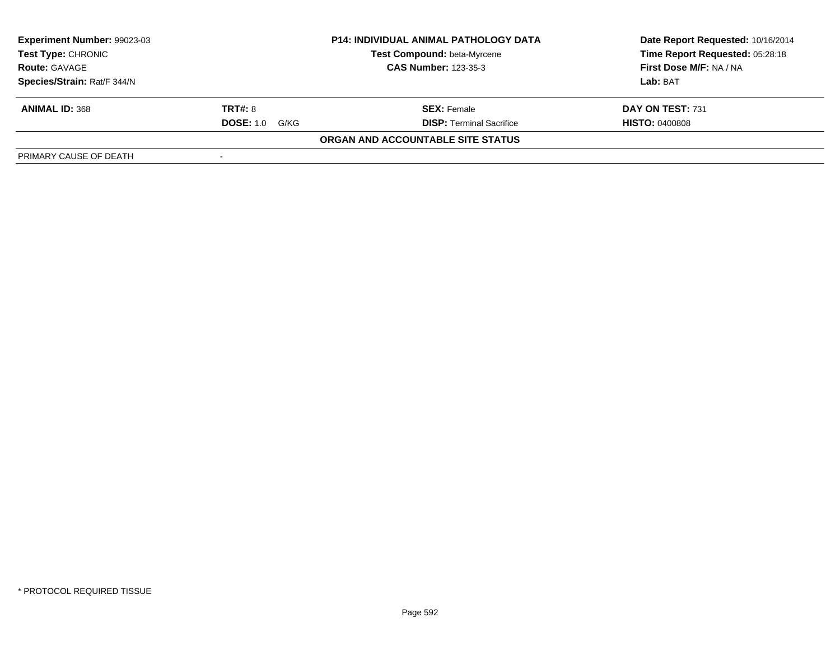| Experiment Number: 99023-03<br><b>P14: INDIVIDUAL ANIMAL PATHOLOGY DATA</b><br>Test Compound: beta-Myrcene<br><b>Test Type: CHRONIC</b><br><b>CAS Number: 123-35-3</b><br><b>Route: GAVAGE</b> |                          |                                   | Date Report Requested: 10/16/2014 |
|------------------------------------------------------------------------------------------------------------------------------------------------------------------------------------------------|--------------------------|-----------------------------------|-----------------------------------|
|                                                                                                                                                                                                |                          |                                   | Time Report Requested: 05:28:18   |
|                                                                                                                                                                                                |                          | First Dose M/F: NA / NA           |                                   |
| Species/Strain: Rat/F 344/N                                                                                                                                                                    |                          |                                   | Lab: BAT                          |
| <b>ANIMAL ID: 368</b>                                                                                                                                                                          | <b>TRT#: 8</b>           | <b>SEX: Female</b>                | DAY ON TEST: 731                  |
|                                                                                                                                                                                                | <b>DOSE: 1.0</b><br>G/KG | <b>DISP: Terminal Sacrifice</b>   | <b>HISTO: 0400808</b>             |
|                                                                                                                                                                                                |                          | ORGAN AND ACCOUNTABLE SITE STATUS |                                   |
| PRIMARY CAUSE OF DEATH                                                                                                                                                                         |                          |                                   |                                   |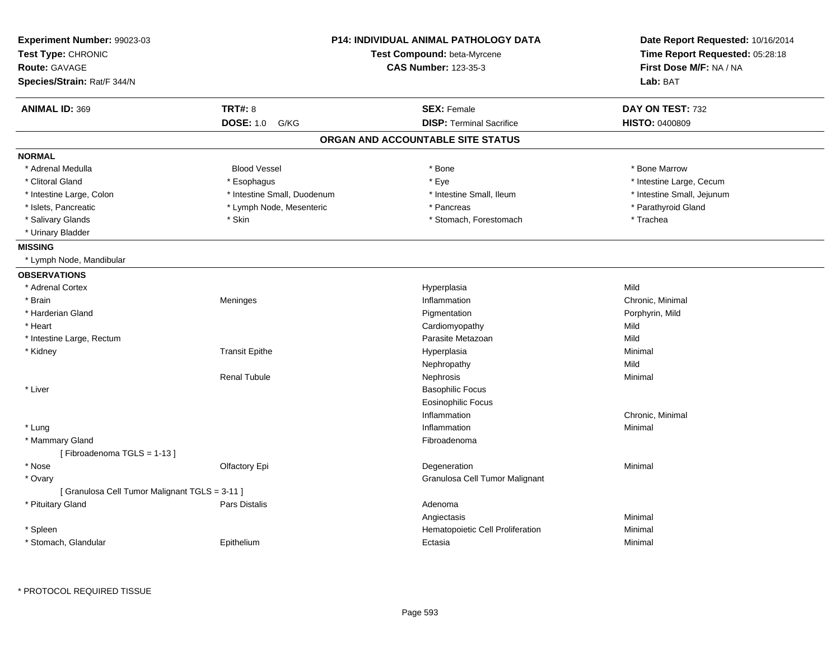| Experiment Number: 99023-03<br>Test Type: CHRONIC<br><b>Route: GAVAGE</b><br>Species/Strain: Rat/F 344/N |                             | <b>P14: INDIVIDUAL ANIMAL PATHOLOGY DATA</b><br>Test Compound: beta-Myrcene<br><b>CAS Number: 123-35-3</b> | Date Report Requested: 10/16/2014<br>Time Report Requested: 05:28:18<br>First Dose M/F: NA / NA<br>Lab: BAT |
|----------------------------------------------------------------------------------------------------------|-----------------------------|------------------------------------------------------------------------------------------------------------|-------------------------------------------------------------------------------------------------------------|
| <b>TRT#: 8</b><br><b>ANIMAL ID: 369</b>                                                                  |                             | <b>SEX: Female</b>                                                                                         | DAY ON TEST: 732                                                                                            |
| <b>DOSE: 1.0</b>                                                                                         | G/KG                        | <b>DISP: Terminal Sacrifice</b>                                                                            | <b>HISTO: 0400809</b>                                                                                       |
|                                                                                                          |                             | ORGAN AND ACCOUNTABLE SITE STATUS                                                                          |                                                                                                             |
| <b>NORMAL</b>                                                                                            |                             |                                                                                                            |                                                                                                             |
| * Adrenal Medulla<br><b>Blood Vessel</b>                                                                 |                             | * Bone                                                                                                     | * Bone Marrow                                                                                               |
| * Clitoral Gland<br>* Esophagus                                                                          |                             | * Eye                                                                                                      | * Intestine Large, Cecum                                                                                    |
| * Intestine Large, Colon                                                                                 | * Intestine Small, Duodenum | * Intestine Small, Ileum                                                                                   | * Intestine Small, Jejunum                                                                                  |
| * Islets, Pancreatic                                                                                     | * Lymph Node, Mesenteric    | * Pancreas                                                                                                 | * Parathyroid Gland                                                                                         |
| * Salivary Glands<br>* Skin                                                                              |                             | * Stomach, Forestomach                                                                                     | * Trachea                                                                                                   |
| * Urinary Bladder                                                                                        |                             |                                                                                                            |                                                                                                             |
| <b>MISSING</b>                                                                                           |                             |                                                                                                            |                                                                                                             |
| * Lymph Node, Mandibular                                                                                 |                             |                                                                                                            |                                                                                                             |
| <b>OBSERVATIONS</b>                                                                                      |                             |                                                                                                            |                                                                                                             |
| * Adrenal Cortex                                                                                         |                             | Hyperplasia                                                                                                | Mild                                                                                                        |
| * Brain<br>Meninges                                                                                      |                             | Inflammation                                                                                               | Chronic, Minimal                                                                                            |
| * Harderian Gland                                                                                        |                             | Pigmentation                                                                                               | Porphyrin, Mild                                                                                             |
| * Heart                                                                                                  |                             | Cardiomyopathy                                                                                             | Mild                                                                                                        |
| * Intestine Large, Rectum                                                                                |                             | Parasite Metazoan                                                                                          | Mild                                                                                                        |
| * Kidney<br><b>Transit Epithe</b>                                                                        |                             | Hyperplasia                                                                                                | Minimal                                                                                                     |
|                                                                                                          |                             | Nephropathy                                                                                                | Mild                                                                                                        |
| <b>Renal Tubule</b>                                                                                      |                             | Nephrosis                                                                                                  | Minimal                                                                                                     |
| * Liver                                                                                                  |                             | <b>Basophilic Focus</b>                                                                                    |                                                                                                             |
|                                                                                                          |                             | <b>Eosinophilic Focus</b>                                                                                  |                                                                                                             |
|                                                                                                          |                             | Inflammation                                                                                               | Chronic, Minimal                                                                                            |
| * Lung                                                                                                   |                             | Inflammation                                                                                               | Minimal                                                                                                     |
| * Mammary Gland                                                                                          |                             | Fibroadenoma                                                                                               |                                                                                                             |
| [Fibroadenoma TGLS = 1-13]                                                                               |                             |                                                                                                            |                                                                                                             |
| * Nose<br>Olfactory Epi                                                                                  |                             | Degeneration                                                                                               | Minimal                                                                                                     |
| * Ovary                                                                                                  |                             | Granulosa Cell Tumor Malignant                                                                             |                                                                                                             |
| [ Granulosa Cell Tumor Malignant TGLS = 3-11 ]                                                           |                             |                                                                                                            |                                                                                                             |
| * Pituitary Gland<br>Pars Distalis                                                                       |                             | Adenoma                                                                                                    |                                                                                                             |
|                                                                                                          |                             | Angiectasis                                                                                                | Minimal                                                                                                     |
| * Spleen                                                                                                 |                             | Hematopoietic Cell Proliferation                                                                           | Minimal                                                                                                     |
| * Stomach, Glandular<br>Epithelium                                                                       |                             | Ectasia                                                                                                    | Minimal                                                                                                     |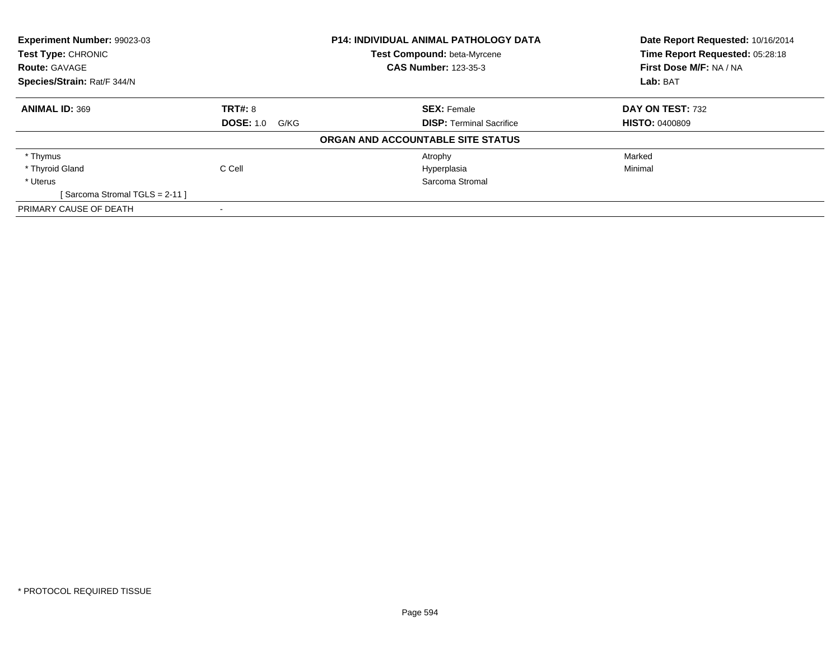| <b>Experiment Number: 99023-03</b><br><b>Test Type: CHRONIC</b> |                       | <b>P14: INDIVIDUAL ANIMAL PATHOLOGY DATA</b> | Date Report Requested: 10/16/2014 |
|-----------------------------------------------------------------|-----------------------|----------------------------------------------|-----------------------------------|
|                                                                 |                       | Test Compound: beta-Myrcene                  | Time Report Requested: 05:28:18   |
| <b>Route: GAVAGE</b>                                            |                       | <b>CAS Number: 123-35-3</b>                  | First Dose M/F: NA / NA           |
| Species/Strain: Rat/F 344/N                                     |                       |                                              | Lab: BAT                          |
| <b>ANIMAL ID: 369</b>                                           | <b>TRT#: 8</b>        | <b>SEX: Female</b>                           | DAY ON TEST: 732                  |
|                                                                 | <b>DOSE: 1.0 G/KG</b> | <b>DISP:</b> Terminal Sacrifice              | <b>HISTO: 0400809</b>             |
|                                                                 |                       | ORGAN AND ACCOUNTABLE SITE STATUS            |                                   |
| * Thymus                                                        |                       | Atrophy                                      | Marked                            |
| * Thyroid Gland                                                 | C Cell                | Hyperplasia                                  | Minimal                           |
| * Uterus                                                        |                       | Sarcoma Stromal                              |                                   |
| [Sarcoma Stromal TGLS = 2-11]                                   |                       |                                              |                                   |
| PRIMARY CAUSE OF DEATH                                          |                       |                                              |                                   |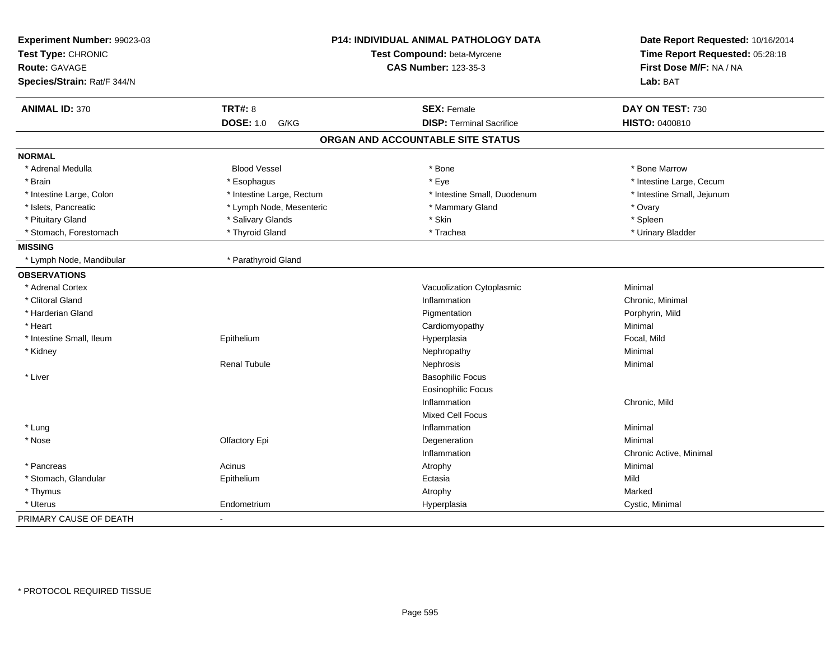| Experiment Number: 99023-03<br>Test Type: CHRONIC |                           | P14: INDIVIDUAL ANIMAL PATHOLOGY DATA<br>Test Compound: beta-Myrcene |                            |
|---------------------------------------------------|---------------------------|----------------------------------------------------------------------|----------------------------|
| <b>Route: GAVAGE</b>                              |                           | <b>CAS Number: 123-35-3</b>                                          | First Dose M/F: NA / NA    |
| Species/Strain: Rat/F 344/N                       |                           |                                                                      | Lab: BAT                   |
| <b>ANIMAL ID: 370</b>                             | <b>TRT#: 8</b>            | <b>SEX: Female</b>                                                   | DAY ON TEST: 730           |
|                                                   | <b>DOSE: 1.0</b><br>G/KG  | <b>DISP: Terminal Sacrifice</b>                                      | HISTO: 0400810             |
|                                                   |                           | ORGAN AND ACCOUNTABLE SITE STATUS                                    |                            |
| <b>NORMAL</b>                                     |                           |                                                                      |                            |
| * Adrenal Medulla                                 | <b>Blood Vessel</b>       | * Bone                                                               | * Bone Marrow              |
| * Brain                                           | * Esophagus               | * Eye                                                                | * Intestine Large, Cecum   |
| * Intestine Large, Colon                          | * Intestine Large, Rectum | * Intestine Small, Duodenum                                          | * Intestine Small, Jejunum |
| * Islets, Pancreatic                              | * Lymph Node, Mesenteric  | * Mammary Gland                                                      | * Ovary                    |
| * Pituitary Gland                                 | * Salivary Glands         | * Skin                                                               | * Spleen                   |
| * Stomach, Forestomach                            | * Thyroid Gland           | * Trachea                                                            | * Urinary Bladder          |
| <b>MISSING</b>                                    |                           |                                                                      |                            |
| * Lymph Node, Mandibular                          | * Parathyroid Gland       |                                                                      |                            |
| <b>OBSERVATIONS</b>                               |                           |                                                                      |                            |
| * Adrenal Cortex                                  |                           | Vacuolization Cytoplasmic                                            | Minimal                    |
| * Clitoral Gland                                  |                           | Inflammation                                                         | Chronic, Minimal           |
| * Harderian Gland                                 |                           | Pigmentation                                                         | Porphyrin, Mild            |
| * Heart                                           |                           | Cardiomyopathy                                                       | Minimal                    |
| * Intestine Small, Ileum                          | Epithelium                | Hyperplasia                                                          | Focal, Mild                |
| * Kidney                                          |                           | Nephropathy                                                          | Minimal                    |
|                                                   | <b>Renal Tubule</b>       | Nephrosis                                                            | Minimal                    |
| * Liver                                           |                           | <b>Basophilic Focus</b>                                              |                            |
|                                                   |                           | <b>Eosinophilic Focus</b>                                            |                            |
|                                                   |                           | Inflammation                                                         | Chronic, Mild              |
|                                                   |                           | <b>Mixed Cell Focus</b>                                              |                            |
| * Lung                                            |                           | Inflammation                                                         | Minimal                    |
| * Nose                                            | Olfactory Epi             | Degeneration                                                         | Minimal                    |
|                                                   |                           | Inflammation                                                         | Chronic Active, Minimal    |
| * Pancreas                                        | Acinus                    | Atrophy                                                              | Minimal                    |
| * Stomach, Glandular                              | Epithelium                | Ectasia                                                              | Mild                       |
| * Thymus                                          |                           | Atrophy                                                              | Marked                     |
| * Uterus                                          | Endometrium               | Hyperplasia                                                          | Cystic, Minimal            |
| PRIMARY CAUSE OF DEATH                            | $\blacksquare$            |                                                                      |                            |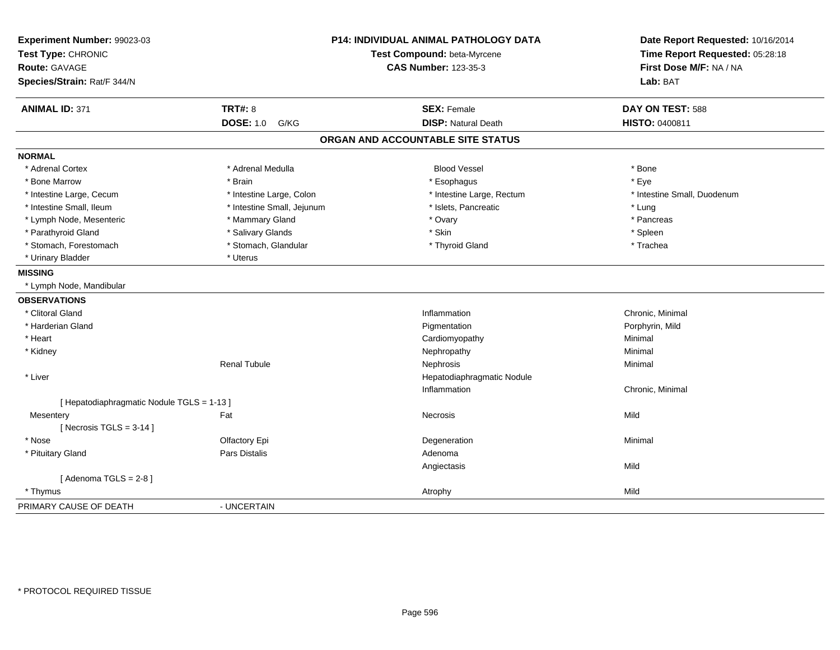| Experiment Number: 99023-03<br>Test Type: CHRONIC<br><b>Route: GAVAGE</b><br>Species/Strain: Rat/F 344/N |                            | P14: INDIVIDUAL ANIMAL PATHOLOGY DATA<br>Test Compound: beta-Myrcene<br><b>CAS Number: 123-35-3</b> | Date Report Requested: 10/16/2014<br>Time Report Requested: 05:28:18<br>First Dose M/F: NA / NA<br>Lab: BAT |
|----------------------------------------------------------------------------------------------------------|----------------------------|-----------------------------------------------------------------------------------------------------|-------------------------------------------------------------------------------------------------------------|
| <b>ANIMAL ID: 371</b>                                                                                    | <b>TRT#: 8</b>             | <b>SEX: Female</b>                                                                                  | DAY ON TEST: 588                                                                                            |
|                                                                                                          | <b>DOSE: 1.0</b><br>G/KG   | <b>DISP: Natural Death</b>                                                                          | HISTO: 0400811                                                                                              |
|                                                                                                          |                            | ORGAN AND ACCOUNTABLE SITE STATUS                                                                   |                                                                                                             |
| <b>NORMAL</b>                                                                                            |                            |                                                                                                     |                                                                                                             |
| * Adrenal Cortex                                                                                         | * Adrenal Medulla          | <b>Blood Vessel</b>                                                                                 | * Bone                                                                                                      |
| * Bone Marrow                                                                                            | * Brain                    | * Esophagus                                                                                         | * Eye                                                                                                       |
| * Intestine Large, Cecum                                                                                 | * Intestine Large, Colon   | * Intestine Large, Rectum                                                                           | * Intestine Small, Duodenum                                                                                 |
| * Intestine Small, Ileum                                                                                 | * Intestine Small, Jejunum | * Islets, Pancreatic                                                                                | * Lung                                                                                                      |
| * Lymph Node, Mesenteric                                                                                 | * Mammary Gland            | * Ovary                                                                                             | * Pancreas                                                                                                  |
| * Parathyroid Gland                                                                                      | * Salivary Glands          | * Skin                                                                                              | * Spleen                                                                                                    |
| * Stomach, Forestomach                                                                                   | * Stomach, Glandular       | * Thyroid Gland                                                                                     | * Trachea                                                                                                   |
| * Urinary Bladder                                                                                        | * Uterus                   |                                                                                                     |                                                                                                             |
| <b>MISSING</b>                                                                                           |                            |                                                                                                     |                                                                                                             |
| * Lymph Node, Mandibular                                                                                 |                            |                                                                                                     |                                                                                                             |
| <b>OBSERVATIONS</b>                                                                                      |                            |                                                                                                     |                                                                                                             |
| * Clitoral Gland                                                                                         |                            | Inflammation                                                                                        | Chronic, Minimal                                                                                            |
| * Harderian Gland                                                                                        |                            | Pigmentation                                                                                        | Porphyrin, Mild                                                                                             |
| * Heart                                                                                                  |                            | Cardiomyopathy                                                                                      | Minimal                                                                                                     |
| * Kidney                                                                                                 |                            | Nephropathy                                                                                         | Minimal                                                                                                     |
|                                                                                                          | <b>Renal Tubule</b>        | Nephrosis                                                                                           | Minimal                                                                                                     |
| * Liver                                                                                                  |                            | Hepatodiaphragmatic Nodule                                                                          |                                                                                                             |
|                                                                                                          |                            | Inflammation                                                                                        | Chronic, Minimal                                                                                            |
| [ Hepatodiaphragmatic Nodule TGLS = 1-13 ]                                                               |                            |                                                                                                     |                                                                                                             |
| Mesentery                                                                                                | Fat                        | <b>Necrosis</b>                                                                                     | Mild                                                                                                        |
| [Necrosis $TGLS = 3-14$ ]                                                                                |                            |                                                                                                     |                                                                                                             |
| * Nose                                                                                                   | Olfactory Epi              | Degeneration                                                                                        | Minimal                                                                                                     |
| * Pituitary Gland                                                                                        | Pars Distalis              | Adenoma                                                                                             |                                                                                                             |
|                                                                                                          |                            | Angiectasis                                                                                         | Mild                                                                                                        |
| [Adenoma TGLS = $2-8$ ]                                                                                  |                            |                                                                                                     |                                                                                                             |
| * Thymus                                                                                                 |                            | Atrophy                                                                                             | Mild                                                                                                        |
| PRIMARY CAUSE OF DEATH                                                                                   | - UNCERTAIN                |                                                                                                     |                                                                                                             |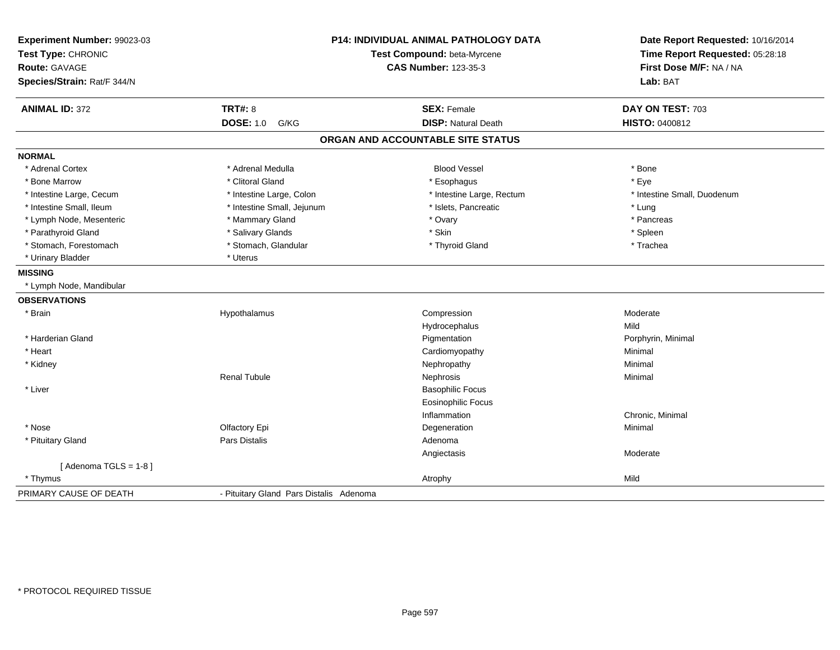| Experiment Number: 99023-03<br>Test Type: CHRONIC<br>Route: GAVAGE<br>Species/Strain: Rat/F 344/N | P14: INDIVIDUAL ANIMAL PATHOLOGY DATA<br>Test Compound: beta-Myrcene<br><b>CAS Number: 123-35-3</b> |                                   | Date Report Requested: 10/16/2014<br>Time Report Requested: 05:28:18<br>First Dose M/F: NA / NA<br>Lab: BAT |  |
|---------------------------------------------------------------------------------------------------|-----------------------------------------------------------------------------------------------------|-----------------------------------|-------------------------------------------------------------------------------------------------------------|--|
| <b>ANIMAL ID: 372</b>                                                                             | <b>TRT#: 8</b>                                                                                      | <b>SEX: Female</b>                | DAY ON TEST: 703                                                                                            |  |
|                                                                                                   | <b>DOSE: 1.0</b><br>G/KG                                                                            | <b>DISP: Natural Death</b>        | HISTO: 0400812                                                                                              |  |
|                                                                                                   |                                                                                                     | ORGAN AND ACCOUNTABLE SITE STATUS |                                                                                                             |  |
| <b>NORMAL</b>                                                                                     |                                                                                                     |                                   |                                                                                                             |  |
| * Adrenal Cortex                                                                                  | * Adrenal Medulla                                                                                   | <b>Blood Vessel</b>               | * Bone                                                                                                      |  |
| * Bone Marrow                                                                                     | * Clitoral Gland                                                                                    | * Esophagus                       | * Eye                                                                                                       |  |
| * Intestine Large, Cecum                                                                          | * Intestine Large, Colon                                                                            | * Intestine Large, Rectum         | * Intestine Small, Duodenum                                                                                 |  |
| * Intestine Small, Ileum                                                                          | * Intestine Small, Jejunum                                                                          | * Islets, Pancreatic              | * Lung                                                                                                      |  |
| * Lymph Node, Mesenteric                                                                          | * Mammary Gland                                                                                     | * Ovary                           | * Pancreas                                                                                                  |  |
| * Parathyroid Gland                                                                               | * Salivary Glands                                                                                   | * Skin                            | * Spleen                                                                                                    |  |
| * Stomach, Forestomach                                                                            | * Stomach, Glandular                                                                                | * Thyroid Gland                   | * Trachea                                                                                                   |  |
| * Urinary Bladder                                                                                 | * Uterus                                                                                            |                                   |                                                                                                             |  |
| <b>MISSING</b>                                                                                    |                                                                                                     |                                   |                                                                                                             |  |
| * Lymph Node, Mandibular                                                                          |                                                                                                     |                                   |                                                                                                             |  |
| <b>OBSERVATIONS</b>                                                                               |                                                                                                     |                                   |                                                                                                             |  |
| * Brain                                                                                           | Hypothalamus                                                                                        | Compression                       | Moderate                                                                                                    |  |
|                                                                                                   |                                                                                                     | Hydrocephalus                     | Mild                                                                                                        |  |
| * Harderian Gland                                                                                 |                                                                                                     | Pigmentation                      | Porphyrin, Minimal                                                                                          |  |
| * Heart                                                                                           |                                                                                                     | Cardiomyopathy                    | Minimal                                                                                                     |  |
| * Kidney                                                                                          |                                                                                                     | Nephropathy                       | Minimal                                                                                                     |  |
|                                                                                                   | <b>Renal Tubule</b>                                                                                 | Nephrosis                         | Minimal                                                                                                     |  |
| * Liver                                                                                           |                                                                                                     | <b>Basophilic Focus</b>           |                                                                                                             |  |
|                                                                                                   |                                                                                                     | <b>Eosinophilic Focus</b>         |                                                                                                             |  |
|                                                                                                   |                                                                                                     | Inflammation                      | Chronic, Minimal                                                                                            |  |
| * Nose                                                                                            | Olfactory Epi                                                                                       | Degeneration                      | Minimal                                                                                                     |  |
| * Pituitary Gland                                                                                 | <b>Pars Distalis</b>                                                                                | Adenoma                           |                                                                                                             |  |
|                                                                                                   |                                                                                                     | Angiectasis                       | Moderate                                                                                                    |  |
| [Adenoma TGLS = $1-8$ ]                                                                           |                                                                                                     |                                   |                                                                                                             |  |
| * Thymus                                                                                          |                                                                                                     | Atrophy                           | Mild                                                                                                        |  |
| PRIMARY CAUSE OF DEATH                                                                            | - Pituitary Gland Pars Distalis Adenoma                                                             |                                   |                                                                                                             |  |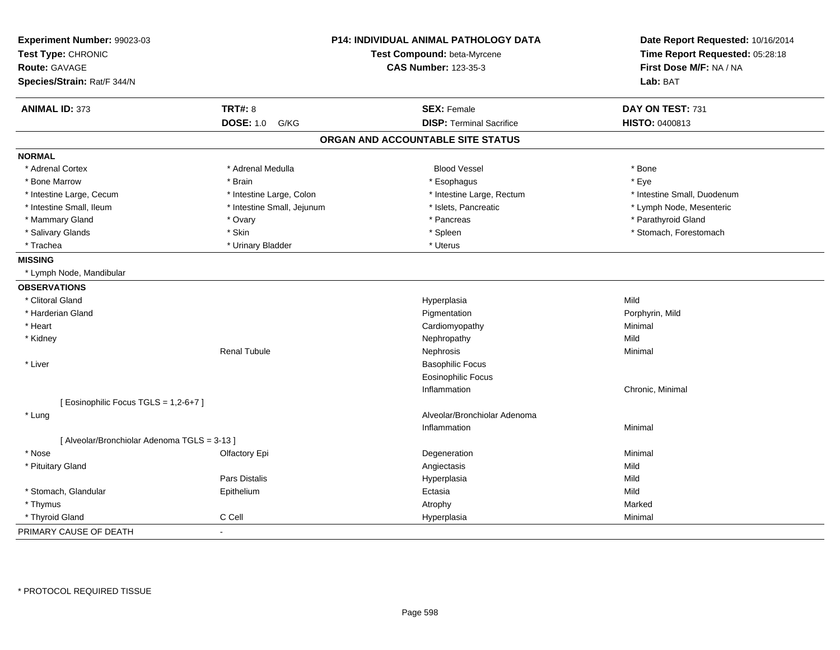| Experiment Number: 99023-03                  |                            | P14: INDIVIDUAL ANIMAL PATHOLOGY DATA | Date Report Requested: 10/16/2014 |
|----------------------------------------------|----------------------------|---------------------------------------|-----------------------------------|
| Test Type: CHRONIC                           |                            | Test Compound: beta-Myrcene           | Time Report Requested: 05:28:18   |
| <b>Route: GAVAGE</b>                         |                            | <b>CAS Number: 123-35-3</b>           | First Dose M/F: NA / NA           |
| Species/Strain: Rat/F 344/N                  |                            |                                       | Lab: BAT                          |
| <b>ANIMAL ID: 373</b>                        | <b>TRT#: 8</b>             | <b>SEX: Female</b>                    | DAY ON TEST: 731                  |
|                                              | <b>DOSE: 1.0</b><br>G/KG   | <b>DISP: Terminal Sacrifice</b>       | HISTO: 0400813                    |
|                                              |                            | ORGAN AND ACCOUNTABLE SITE STATUS     |                                   |
| <b>NORMAL</b>                                |                            |                                       |                                   |
| * Adrenal Cortex                             | * Adrenal Medulla          | <b>Blood Vessel</b>                   | * Bone                            |
| * Bone Marrow                                | * Brain                    | * Esophagus                           | * Eye                             |
| * Intestine Large, Cecum                     | * Intestine Large, Colon   | * Intestine Large, Rectum             | * Intestine Small, Duodenum       |
| * Intestine Small, Ileum                     | * Intestine Small, Jejunum | * Islets, Pancreatic                  | * Lymph Node, Mesenteric          |
| * Mammary Gland                              | * Ovary                    | * Pancreas                            | * Parathyroid Gland               |
| * Salivary Glands                            | * Skin                     | * Spleen                              | * Stomach, Forestomach            |
| * Trachea                                    | * Urinary Bladder          | * Uterus                              |                                   |
| <b>MISSING</b>                               |                            |                                       |                                   |
| * Lymph Node, Mandibular                     |                            |                                       |                                   |
| <b>OBSERVATIONS</b>                          |                            |                                       |                                   |
| * Clitoral Gland                             |                            | Hyperplasia                           | Mild                              |
| * Harderian Gland                            |                            | Pigmentation                          | Porphyrin, Mild                   |
| * Heart                                      |                            | Cardiomyopathy                        | Minimal                           |
| * Kidney                                     |                            | Nephropathy                           | Mild                              |
|                                              | <b>Renal Tubule</b>        | Nephrosis                             | Minimal                           |
| * Liver                                      |                            | <b>Basophilic Focus</b>               |                                   |
|                                              |                            | <b>Eosinophilic Focus</b>             |                                   |
|                                              |                            | Inflammation                          | Chronic, Minimal                  |
| [ Eosinophilic Focus TGLS = 1,2-6+7 ]        |                            |                                       |                                   |
| * Lung                                       |                            | Alveolar/Bronchiolar Adenoma          |                                   |
|                                              |                            | Inflammation                          | Minimal                           |
| [ Alveolar/Bronchiolar Adenoma TGLS = 3-13 ] |                            |                                       |                                   |
| * Nose                                       | Olfactory Epi              | Degeneration                          | Minimal                           |
| * Pituitary Gland                            |                            | Angiectasis                           | Mild                              |
|                                              | <b>Pars Distalis</b>       | Hyperplasia                           | Mild                              |
| * Stomach, Glandular                         | Epithelium                 | Ectasia                               | Mild                              |
| * Thymus                                     |                            | Atrophy                               | Marked                            |
| * Thyroid Gland                              | C Cell                     | Hyperplasia                           | Minimal                           |
| PRIMARY CAUSE OF DEATH                       | $\sim$                     |                                       |                                   |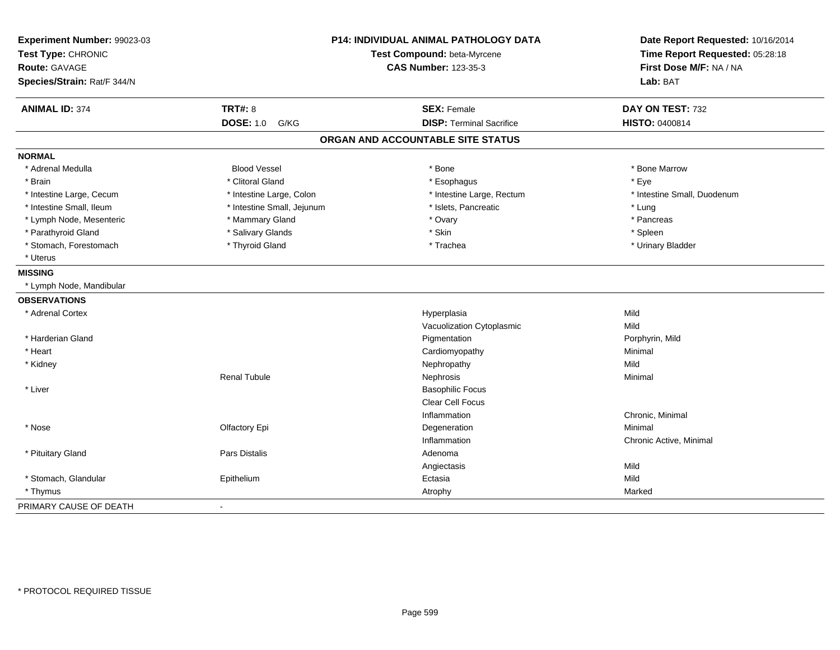| Experiment Number: 99023-03<br>Test Type: CHRONIC<br>Route: GAVAGE<br>Species/Strain: Rat/F 344/N |                            | P14: INDIVIDUAL ANIMAL PATHOLOGY DATA<br>Test Compound: beta-Myrcene<br><b>CAS Number: 123-35-3</b> | Date Report Requested: 10/16/2014<br>Time Report Requested: 05:28:18<br>First Dose M/F: NA / NA<br>Lab: BAT |
|---------------------------------------------------------------------------------------------------|----------------------------|-----------------------------------------------------------------------------------------------------|-------------------------------------------------------------------------------------------------------------|
| <b>ANIMAL ID: 374</b>                                                                             | <b>TRT#: 8</b>             | <b>SEX: Female</b>                                                                                  | DAY ON TEST: 732                                                                                            |
|                                                                                                   | <b>DOSE: 1.0</b><br>G/KG   | <b>DISP: Terminal Sacrifice</b>                                                                     | HISTO: 0400814                                                                                              |
|                                                                                                   |                            | ORGAN AND ACCOUNTABLE SITE STATUS                                                                   |                                                                                                             |
| <b>NORMAL</b>                                                                                     |                            |                                                                                                     |                                                                                                             |
| * Adrenal Medulla                                                                                 | <b>Blood Vessel</b>        | * Bone                                                                                              | * Bone Marrow                                                                                               |
| * Brain                                                                                           | * Clitoral Gland           | * Esophagus                                                                                         | * Eye                                                                                                       |
| * Intestine Large, Cecum                                                                          | * Intestine Large, Colon   | * Intestine Large, Rectum                                                                           | * Intestine Small, Duodenum                                                                                 |
| * Intestine Small, Ileum                                                                          | * Intestine Small, Jejunum | * Islets, Pancreatic                                                                                | * Lung                                                                                                      |
| * Lymph Node, Mesenteric                                                                          | * Mammary Gland            | * Ovary                                                                                             | * Pancreas                                                                                                  |
| * Parathyroid Gland                                                                               | * Salivary Glands          | * Skin                                                                                              | * Spleen                                                                                                    |
| * Stomach, Forestomach                                                                            | * Thyroid Gland            | * Trachea                                                                                           | * Urinary Bladder                                                                                           |
| * Uterus                                                                                          |                            |                                                                                                     |                                                                                                             |
| <b>MISSING</b>                                                                                    |                            |                                                                                                     |                                                                                                             |
| * Lymph Node, Mandibular                                                                          |                            |                                                                                                     |                                                                                                             |
| <b>OBSERVATIONS</b>                                                                               |                            |                                                                                                     |                                                                                                             |
| * Adrenal Cortex                                                                                  |                            | Hyperplasia                                                                                         | Mild                                                                                                        |
|                                                                                                   |                            | Vacuolization Cytoplasmic                                                                           | Mild                                                                                                        |
| * Harderian Gland                                                                                 |                            | Pigmentation                                                                                        | Porphyrin, Mild                                                                                             |
| * Heart                                                                                           |                            | Cardiomyopathy                                                                                      | Minimal                                                                                                     |
| * Kidney                                                                                          |                            | Nephropathy                                                                                         | Mild                                                                                                        |
|                                                                                                   | <b>Renal Tubule</b>        | Nephrosis                                                                                           | Minimal                                                                                                     |
| * Liver                                                                                           |                            | <b>Basophilic Focus</b>                                                                             |                                                                                                             |
|                                                                                                   |                            | <b>Clear Cell Focus</b>                                                                             |                                                                                                             |
|                                                                                                   |                            | Inflammation                                                                                        | Chronic, Minimal                                                                                            |
| * Nose                                                                                            | Olfactory Epi              | Degeneration                                                                                        | Minimal                                                                                                     |
|                                                                                                   |                            | Inflammation                                                                                        | Chronic Active, Minimal                                                                                     |
| * Pituitary Gland                                                                                 | Pars Distalis              | Adenoma                                                                                             |                                                                                                             |
|                                                                                                   |                            | Angiectasis                                                                                         | Mild                                                                                                        |
| * Stomach, Glandular                                                                              | Epithelium                 | Ectasia                                                                                             | Mild                                                                                                        |
| * Thymus                                                                                          |                            | Atrophy                                                                                             | Marked                                                                                                      |
| PRIMARY CAUSE OF DEATH                                                                            | $\blacksquare$             |                                                                                                     |                                                                                                             |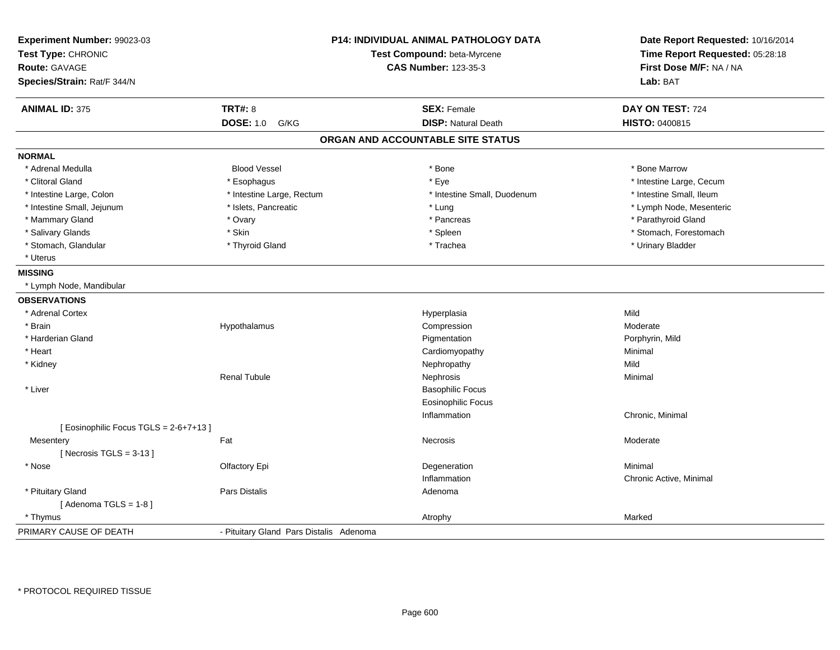| Experiment Number: 99023-03<br>Test Type: CHRONIC<br>Route: GAVAGE<br>Species/Strain: Rat/F 344/N |                                         | P14: INDIVIDUAL ANIMAL PATHOLOGY DATA<br>Test Compound: beta-Myrcene<br><b>CAS Number: 123-35-3</b> | Date Report Requested: 10/16/2014<br>Time Report Requested: 05:28:18<br>First Dose M/F: NA / NA<br>Lab: BAT |
|---------------------------------------------------------------------------------------------------|-----------------------------------------|-----------------------------------------------------------------------------------------------------|-------------------------------------------------------------------------------------------------------------|
| <b>ANIMAL ID: 375</b>                                                                             | <b>TRT#: 8</b>                          | <b>SEX: Female</b>                                                                                  | DAY ON TEST: 724                                                                                            |
|                                                                                                   | <b>DOSE: 1.0</b><br>G/KG                | <b>DISP: Natural Death</b>                                                                          | HISTO: 0400815                                                                                              |
|                                                                                                   |                                         | ORGAN AND ACCOUNTABLE SITE STATUS                                                                   |                                                                                                             |
| <b>NORMAL</b>                                                                                     |                                         |                                                                                                     |                                                                                                             |
| * Adrenal Medulla                                                                                 | <b>Blood Vessel</b>                     | * Bone                                                                                              | * Bone Marrow                                                                                               |
| * Clitoral Gland                                                                                  | * Esophagus                             | * Eye                                                                                               | * Intestine Large, Cecum                                                                                    |
| * Intestine Large, Colon                                                                          | * Intestine Large, Rectum               | * Intestine Small, Duodenum                                                                         | * Intestine Small, Ileum                                                                                    |
| * Intestine Small, Jejunum                                                                        | * Islets, Pancreatic                    | * Lung                                                                                              | * Lymph Node, Mesenteric                                                                                    |
| * Mammary Gland                                                                                   | * Ovary                                 | * Pancreas                                                                                          | * Parathyroid Gland                                                                                         |
| * Salivary Glands                                                                                 | * Skin                                  | * Spleen                                                                                            | * Stomach, Forestomach                                                                                      |
| * Stomach, Glandular                                                                              | * Thyroid Gland                         | * Trachea                                                                                           | * Urinary Bladder                                                                                           |
| * Uterus                                                                                          |                                         |                                                                                                     |                                                                                                             |
| <b>MISSING</b>                                                                                    |                                         |                                                                                                     |                                                                                                             |
| * Lymph Node, Mandibular                                                                          |                                         |                                                                                                     |                                                                                                             |
| <b>OBSERVATIONS</b>                                                                               |                                         |                                                                                                     |                                                                                                             |
| * Adrenal Cortex                                                                                  |                                         | Hyperplasia                                                                                         | Mild                                                                                                        |
| * Brain                                                                                           | Hypothalamus                            | Compression                                                                                         | Moderate                                                                                                    |
| * Harderian Gland                                                                                 |                                         | Pigmentation                                                                                        | Porphyrin, Mild                                                                                             |
| * Heart                                                                                           |                                         | Cardiomyopathy                                                                                      | Minimal                                                                                                     |
| * Kidney                                                                                          |                                         | Nephropathy                                                                                         | Mild                                                                                                        |
|                                                                                                   | <b>Renal Tubule</b>                     | Nephrosis                                                                                           | Minimal                                                                                                     |
| * Liver                                                                                           |                                         | <b>Basophilic Focus</b>                                                                             |                                                                                                             |
|                                                                                                   |                                         | <b>Eosinophilic Focus</b>                                                                           |                                                                                                             |
|                                                                                                   |                                         | Inflammation                                                                                        | Chronic, Minimal                                                                                            |
| [Eosinophilic Focus TGLS = 2-6+7+13]                                                              |                                         |                                                                                                     |                                                                                                             |
| Mesentery                                                                                         | Fat                                     | Necrosis                                                                                            | Moderate                                                                                                    |
| [Necrosis TGLS = $3-13$ ]                                                                         |                                         |                                                                                                     |                                                                                                             |
| * Nose                                                                                            | Olfactory Epi                           | Degeneration                                                                                        | Minimal                                                                                                     |
|                                                                                                   |                                         | Inflammation                                                                                        | Chronic Active, Minimal                                                                                     |
| * Pituitary Gland                                                                                 | Pars Distalis                           | Adenoma                                                                                             |                                                                                                             |
| [Adenoma TGLS = $1-8$ ]                                                                           |                                         |                                                                                                     |                                                                                                             |
| * Thymus                                                                                          |                                         | Atrophy                                                                                             | Marked                                                                                                      |
| PRIMARY CAUSE OF DEATH                                                                            | - Pituitary Gland Pars Distalis Adenoma |                                                                                                     |                                                                                                             |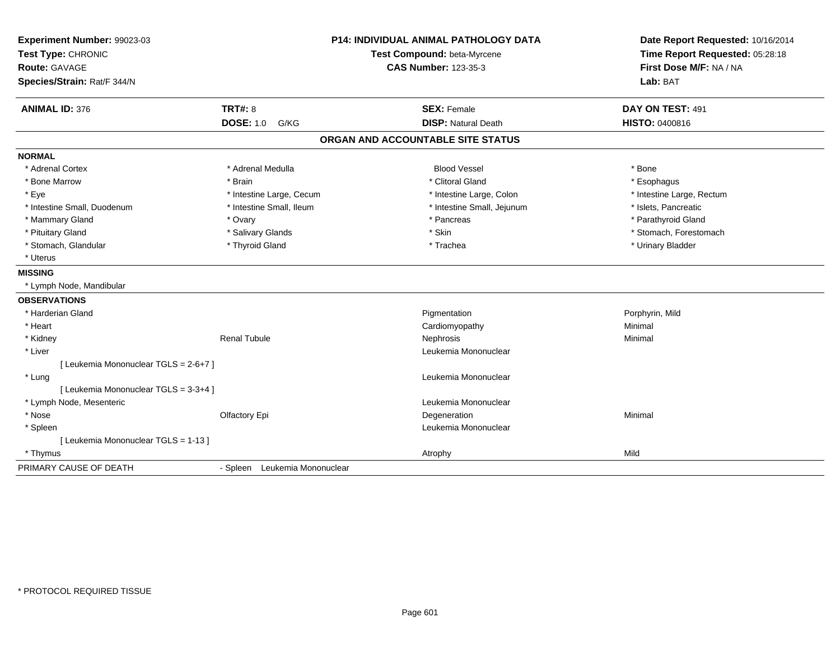| Experiment Number: 99023-03<br>Test Type: CHRONIC<br><b>Route: GAVAGE</b><br>Species/Strain: Rat/F 344/N |                               | <b>P14: INDIVIDUAL ANIMAL PATHOLOGY DATA</b><br>Test Compound: beta-Myrcene<br><b>CAS Number: 123-35-3</b> | Date Report Requested: 10/16/2014<br>Time Report Requested: 05:28:18<br>First Dose M/F: NA / NA<br>Lab: BAT |
|----------------------------------------------------------------------------------------------------------|-------------------------------|------------------------------------------------------------------------------------------------------------|-------------------------------------------------------------------------------------------------------------|
| <b>ANIMAL ID: 376</b>                                                                                    | <b>TRT#: 8</b>                | <b>SEX: Female</b>                                                                                         | DAY ON TEST: 491                                                                                            |
|                                                                                                          | <b>DOSE: 1.0</b><br>G/KG      | <b>DISP: Natural Death</b>                                                                                 | HISTO: 0400816                                                                                              |
|                                                                                                          |                               | ORGAN AND ACCOUNTABLE SITE STATUS                                                                          |                                                                                                             |
| <b>NORMAL</b>                                                                                            |                               |                                                                                                            |                                                                                                             |
| * Adrenal Cortex                                                                                         | * Adrenal Medulla             | <b>Blood Vessel</b>                                                                                        | * Bone                                                                                                      |
| * Bone Marrow                                                                                            | * Brain                       | * Clitoral Gland                                                                                           | * Esophagus                                                                                                 |
| * Eye                                                                                                    | * Intestine Large, Cecum      | * Intestine Large, Colon                                                                                   | * Intestine Large, Rectum                                                                                   |
| * Intestine Small, Duodenum                                                                              | * Intestine Small, Ileum      | * Intestine Small, Jejunum                                                                                 | * Islets, Pancreatic                                                                                        |
| * Mammary Gland                                                                                          | * Ovary                       | * Pancreas                                                                                                 | * Parathyroid Gland                                                                                         |
| * Pituitary Gland                                                                                        | * Salivary Glands             | * Skin                                                                                                     | * Stomach, Forestomach                                                                                      |
| * Stomach, Glandular                                                                                     | * Thyroid Gland               | * Trachea                                                                                                  | * Urinary Bladder                                                                                           |
| * Uterus                                                                                                 |                               |                                                                                                            |                                                                                                             |
| <b>MISSING</b>                                                                                           |                               |                                                                                                            |                                                                                                             |
| * Lymph Node, Mandibular                                                                                 |                               |                                                                                                            |                                                                                                             |
| <b>OBSERVATIONS</b>                                                                                      |                               |                                                                                                            |                                                                                                             |
| * Harderian Gland                                                                                        |                               | Pigmentation                                                                                               | Porphyrin, Mild                                                                                             |
| * Heart                                                                                                  |                               | Cardiomyopathy                                                                                             | Minimal                                                                                                     |
| * Kidney                                                                                                 | Renal Tubule                  | Nephrosis                                                                                                  | Minimal                                                                                                     |
| * Liver                                                                                                  |                               | Leukemia Mononuclear                                                                                       |                                                                                                             |
| [ Leukemia Mononuclear TGLS = 2-6+7 ]                                                                    |                               |                                                                                                            |                                                                                                             |
| * Lung                                                                                                   |                               | Leukemia Mononuclear                                                                                       |                                                                                                             |
| [ Leukemia Mononuclear TGLS = 3-3+4 ]                                                                    |                               |                                                                                                            |                                                                                                             |
| * Lymph Node, Mesenteric                                                                                 |                               | Leukemia Mononuclear                                                                                       |                                                                                                             |
| * Nose                                                                                                   | Olfactory Epi                 | Degeneration                                                                                               | Minimal                                                                                                     |
| * Spleen                                                                                                 |                               | Leukemia Mononuclear                                                                                       |                                                                                                             |
| [ Leukemia Mononuclear TGLS = 1-13 ]                                                                     |                               |                                                                                                            |                                                                                                             |
| * Thymus                                                                                                 |                               | Atrophy                                                                                                    | Mild                                                                                                        |
| PRIMARY CAUSE OF DEATH                                                                                   | - Spleen Leukemia Mononuclear |                                                                                                            |                                                                                                             |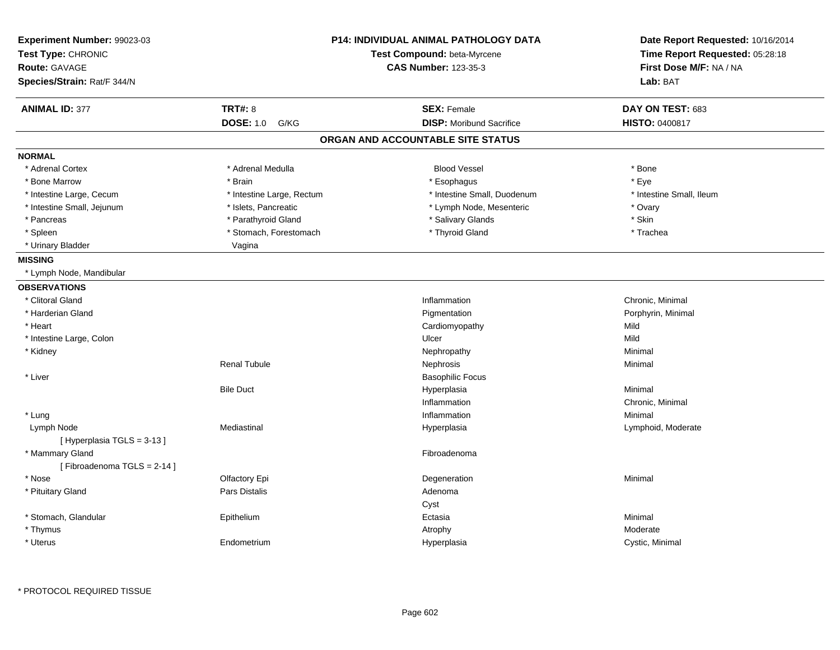| <b>CAS Number: 123-35-3</b><br>First Dose M/F: NA / NA<br>Lab: BAT<br><b>ANIMAL ID: 377</b><br><b>TRT#: 8</b><br><b>SEX: Female</b><br>DAY ON TEST: 683<br><b>DOSE: 1.0</b><br><b>DISP:</b> Moribund Sacrifice<br>G/KG<br><b>HISTO: 0400817</b><br>ORGAN AND ACCOUNTABLE SITE STATUS<br>* Adrenal Medulla<br><b>Blood Vessel</b><br>* Adrenal Cortex<br>* Bone<br>* Eye<br>* Bone Marrow<br>* Brain<br>* Esophagus<br>* Intestine Small, Duodenum<br>* Intestine Small, Ileum<br>* Intestine Large, Cecum<br>* Intestine Large, Rectum<br>* Intestine Small, Jejunum<br>* Islets, Pancreatic<br>* Lymph Node, Mesenteric<br>* Ovary<br>* Skin<br>* Parathyroid Gland<br>* Salivary Glands<br>* Pancreas<br>* Stomach, Forestomach<br>* Thyroid Gland<br>* Trachea<br>* Spleen<br>* Urinary Bladder<br>Vagina<br>* Lymph Node, Mandibular<br>* Clitoral Gland<br>Chronic, Minimal<br>Inflammation<br>* Harderian Gland<br>Pigmentation<br>Porphyrin, Minimal<br>* Heart<br>Cardiomyopathy<br>Mild<br>* Intestine Large, Colon<br>Ulcer<br>Mild<br>* Kidney<br>Nephropathy<br>Minimal<br><b>Renal Tubule</b><br>Nephrosis<br>Minimal<br>* Liver<br><b>Basophilic Focus</b><br><b>Bile Duct</b><br>Hyperplasia<br>Minimal<br>Inflammation<br>Chronic, Minimal<br>Inflammation<br>Minimal<br>* Lung<br>Mediastinal<br>Lymphoid, Moderate<br>Lymph Node<br>Hyperplasia<br>[Hyperplasia TGLS = 3-13]<br>* Mammary Gland<br>Fibroadenoma<br>[Fibroadenoma TGLS = 2-14]<br>* Nose<br>Olfactory Epi<br>Degeneration<br>Minimal<br>* Pituitary Gland<br>Pars Distalis<br>Adenoma<br>Cyst<br>* Stomach, Glandular<br>Epithelium<br>Ectasia<br>Minimal<br>* Thymus<br>Atrophy<br>Moderate<br>* Uterus<br>Hyperplasia<br>Cystic, Minimal<br>Endometrium | Experiment Number: 99023-03<br>Test Type: CHRONIC | <b>P14: INDIVIDUAL ANIMAL PATHOLOGY DATA</b><br>Test Compound: beta-Myrcene | Date Report Requested: 10/16/2014<br>Time Report Requested: 05:28:18 |
|--------------------------------------------------------------------------------------------------------------------------------------------------------------------------------------------------------------------------------------------------------------------------------------------------------------------------------------------------------------------------------------------------------------------------------------------------------------------------------------------------------------------------------------------------------------------------------------------------------------------------------------------------------------------------------------------------------------------------------------------------------------------------------------------------------------------------------------------------------------------------------------------------------------------------------------------------------------------------------------------------------------------------------------------------------------------------------------------------------------------------------------------------------------------------------------------------------------------------------------------------------------------------------------------------------------------------------------------------------------------------------------------------------------------------------------------------------------------------------------------------------------------------------------------------------------------------------------------------------------------------------------------------------------------------------------------------------------------------------------------|---------------------------------------------------|-----------------------------------------------------------------------------|----------------------------------------------------------------------|
|                                                                                                                                                                                                                                                                                                                                                                                                                                                                                                                                                                                                                                                                                                                                                                                                                                                                                                                                                                                                                                                                                                                                                                                                                                                                                                                                                                                                                                                                                                                                                                                                                                                                                                                                            | <b>Route: GAVAGE</b>                              |                                                                             |                                                                      |
|                                                                                                                                                                                                                                                                                                                                                                                                                                                                                                                                                                                                                                                                                                                                                                                                                                                                                                                                                                                                                                                                                                                                                                                                                                                                                                                                                                                                                                                                                                                                                                                                                                                                                                                                            | Species/Strain: Rat/F 344/N                       |                                                                             |                                                                      |
|                                                                                                                                                                                                                                                                                                                                                                                                                                                                                                                                                                                                                                                                                                                                                                                                                                                                                                                                                                                                                                                                                                                                                                                                                                                                                                                                                                                                                                                                                                                                                                                                                                                                                                                                            |                                                   |                                                                             |                                                                      |
|                                                                                                                                                                                                                                                                                                                                                                                                                                                                                                                                                                                                                                                                                                                                                                                                                                                                                                                                                                                                                                                                                                                                                                                                                                                                                                                                                                                                                                                                                                                                                                                                                                                                                                                                            |                                                   |                                                                             |                                                                      |
|                                                                                                                                                                                                                                                                                                                                                                                                                                                                                                                                                                                                                                                                                                                                                                                                                                                                                                                                                                                                                                                                                                                                                                                                                                                                                                                                                                                                                                                                                                                                                                                                                                                                                                                                            |                                                   |                                                                             |                                                                      |
|                                                                                                                                                                                                                                                                                                                                                                                                                                                                                                                                                                                                                                                                                                                                                                                                                                                                                                                                                                                                                                                                                                                                                                                                                                                                                                                                                                                                                                                                                                                                                                                                                                                                                                                                            | <b>NORMAL</b>                                     |                                                                             |                                                                      |
|                                                                                                                                                                                                                                                                                                                                                                                                                                                                                                                                                                                                                                                                                                                                                                                                                                                                                                                                                                                                                                                                                                                                                                                                                                                                                                                                                                                                                                                                                                                                                                                                                                                                                                                                            |                                                   |                                                                             |                                                                      |
|                                                                                                                                                                                                                                                                                                                                                                                                                                                                                                                                                                                                                                                                                                                                                                                                                                                                                                                                                                                                                                                                                                                                                                                                                                                                                                                                                                                                                                                                                                                                                                                                                                                                                                                                            |                                                   |                                                                             |                                                                      |
|                                                                                                                                                                                                                                                                                                                                                                                                                                                                                                                                                                                                                                                                                                                                                                                                                                                                                                                                                                                                                                                                                                                                                                                                                                                                                                                                                                                                                                                                                                                                                                                                                                                                                                                                            |                                                   |                                                                             |                                                                      |
|                                                                                                                                                                                                                                                                                                                                                                                                                                                                                                                                                                                                                                                                                                                                                                                                                                                                                                                                                                                                                                                                                                                                                                                                                                                                                                                                                                                                                                                                                                                                                                                                                                                                                                                                            |                                                   |                                                                             |                                                                      |
|                                                                                                                                                                                                                                                                                                                                                                                                                                                                                                                                                                                                                                                                                                                                                                                                                                                                                                                                                                                                                                                                                                                                                                                                                                                                                                                                                                                                                                                                                                                                                                                                                                                                                                                                            |                                                   |                                                                             |                                                                      |
|                                                                                                                                                                                                                                                                                                                                                                                                                                                                                                                                                                                                                                                                                                                                                                                                                                                                                                                                                                                                                                                                                                                                                                                                                                                                                                                                                                                                                                                                                                                                                                                                                                                                                                                                            |                                                   |                                                                             |                                                                      |
|                                                                                                                                                                                                                                                                                                                                                                                                                                                                                                                                                                                                                                                                                                                                                                                                                                                                                                                                                                                                                                                                                                                                                                                                                                                                                                                                                                                                                                                                                                                                                                                                                                                                                                                                            |                                                   |                                                                             |                                                                      |
|                                                                                                                                                                                                                                                                                                                                                                                                                                                                                                                                                                                                                                                                                                                                                                                                                                                                                                                                                                                                                                                                                                                                                                                                                                                                                                                                                                                                                                                                                                                                                                                                                                                                                                                                            | <b>MISSING</b>                                    |                                                                             |                                                                      |
|                                                                                                                                                                                                                                                                                                                                                                                                                                                                                                                                                                                                                                                                                                                                                                                                                                                                                                                                                                                                                                                                                                                                                                                                                                                                                                                                                                                                                                                                                                                                                                                                                                                                                                                                            |                                                   |                                                                             |                                                                      |
|                                                                                                                                                                                                                                                                                                                                                                                                                                                                                                                                                                                                                                                                                                                                                                                                                                                                                                                                                                                                                                                                                                                                                                                                                                                                                                                                                                                                                                                                                                                                                                                                                                                                                                                                            | <b>OBSERVATIONS</b>                               |                                                                             |                                                                      |
|                                                                                                                                                                                                                                                                                                                                                                                                                                                                                                                                                                                                                                                                                                                                                                                                                                                                                                                                                                                                                                                                                                                                                                                                                                                                                                                                                                                                                                                                                                                                                                                                                                                                                                                                            |                                                   |                                                                             |                                                                      |
|                                                                                                                                                                                                                                                                                                                                                                                                                                                                                                                                                                                                                                                                                                                                                                                                                                                                                                                                                                                                                                                                                                                                                                                                                                                                                                                                                                                                                                                                                                                                                                                                                                                                                                                                            |                                                   |                                                                             |                                                                      |
|                                                                                                                                                                                                                                                                                                                                                                                                                                                                                                                                                                                                                                                                                                                                                                                                                                                                                                                                                                                                                                                                                                                                                                                                                                                                                                                                                                                                                                                                                                                                                                                                                                                                                                                                            |                                                   |                                                                             |                                                                      |
|                                                                                                                                                                                                                                                                                                                                                                                                                                                                                                                                                                                                                                                                                                                                                                                                                                                                                                                                                                                                                                                                                                                                                                                                                                                                                                                                                                                                                                                                                                                                                                                                                                                                                                                                            |                                                   |                                                                             |                                                                      |
|                                                                                                                                                                                                                                                                                                                                                                                                                                                                                                                                                                                                                                                                                                                                                                                                                                                                                                                                                                                                                                                                                                                                                                                                                                                                                                                                                                                                                                                                                                                                                                                                                                                                                                                                            |                                                   |                                                                             |                                                                      |
|                                                                                                                                                                                                                                                                                                                                                                                                                                                                                                                                                                                                                                                                                                                                                                                                                                                                                                                                                                                                                                                                                                                                                                                                                                                                                                                                                                                                                                                                                                                                                                                                                                                                                                                                            |                                                   |                                                                             |                                                                      |
|                                                                                                                                                                                                                                                                                                                                                                                                                                                                                                                                                                                                                                                                                                                                                                                                                                                                                                                                                                                                                                                                                                                                                                                                                                                                                                                                                                                                                                                                                                                                                                                                                                                                                                                                            |                                                   |                                                                             |                                                                      |
|                                                                                                                                                                                                                                                                                                                                                                                                                                                                                                                                                                                                                                                                                                                                                                                                                                                                                                                                                                                                                                                                                                                                                                                                                                                                                                                                                                                                                                                                                                                                                                                                                                                                                                                                            |                                                   |                                                                             |                                                                      |
|                                                                                                                                                                                                                                                                                                                                                                                                                                                                                                                                                                                                                                                                                                                                                                                                                                                                                                                                                                                                                                                                                                                                                                                                                                                                                                                                                                                                                                                                                                                                                                                                                                                                                                                                            |                                                   |                                                                             |                                                                      |
|                                                                                                                                                                                                                                                                                                                                                                                                                                                                                                                                                                                                                                                                                                                                                                                                                                                                                                                                                                                                                                                                                                                                                                                                                                                                                                                                                                                                                                                                                                                                                                                                                                                                                                                                            |                                                   |                                                                             |                                                                      |
|                                                                                                                                                                                                                                                                                                                                                                                                                                                                                                                                                                                                                                                                                                                                                                                                                                                                                                                                                                                                                                                                                                                                                                                                                                                                                                                                                                                                                                                                                                                                                                                                                                                                                                                                            |                                                   |                                                                             |                                                                      |
|                                                                                                                                                                                                                                                                                                                                                                                                                                                                                                                                                                                                                                                                                                                                                                                                                                                                                                                                                                                                                                                                                                                                                                                                                                                                                                                                                                                                                                                                                                                                                                                                                                                                                                                                            |                                                   |                                                                             |                                                                      |
|                                                                                                                                                                                                                                                                                                                                                                                                                                                                                                                                                                                                                                                                                                                                                                                                                                                                                                                                                                                                                                                                                                                                                                                                                                                                                                                                                                                                                                                                                                                                                                                                                                                                                                                                            |                                                   |                                                                             |                                                                      |
|                                                                                                                                                                                                                                                                                                                                                                                                                                                                                                                                                                                                                                                                                                                                                                                                                                                                                                                                                                                                                                                                                                                                                                                                                                                                                                                                                                                                                                                                                                                                                                                                                                                                                                                                            |                                                   |                                                                             |                                                                      |
|                                                                                                                                                                                                                                                                                                                                                                                                                                                                                                                                                                                                                                                                                                                                                                                                                                                                                                                                                                                                                                                                                                                                                                                                                                                                                                                                                                                                                                                                                                                                                                                                                                                                                                                                            |                                                   |                                                                             |                                                                      |
|                                                                                                                                                                                                                                                                                                                                                                                                                                                                                                                                                                                                                                                                                                                                                                                                                                                                                                                                                                                                                                                                                                                                                                                                                                                                                                                                                                                                                                                                                                                                                                                                                                                                                                                                            |                                                   |                                                                             |                                                                      |
|                                                                                                                                                                                                                                                                                                                                                                                                                                                                                                                                                                                                                                                                                                                                                                                                                                                                                                                                                                                                                                                                                                                                                                                                                                                                                                                                                                                                                                                                                                                                                                                                                                                                                                                                            |                                                   |                                                                             |                                                                      |
|                                                                                                                                                                                                                                                                                                                                                                                                                                                                                                                                                                                                                                                                                                                                                                                                                                                                                                                                                                                                                                                                                                                                                                                                                                                                                                                                                                                                                                                                                                                                                                                                                                                                                                                                            |                                                   |                                                                             |                                                                      |
|                                                                                                                                                                                                                                                                                                                                                                                                                                                                                                                                                                                                                                                                                                                                                                                                                                                                                                                                                                                                                                                                                                                                                                                                                                                                                                                                                                                                                                                                                                                                                                                                                                                                                                                                            |                                                   |                                                                             |                                                                      |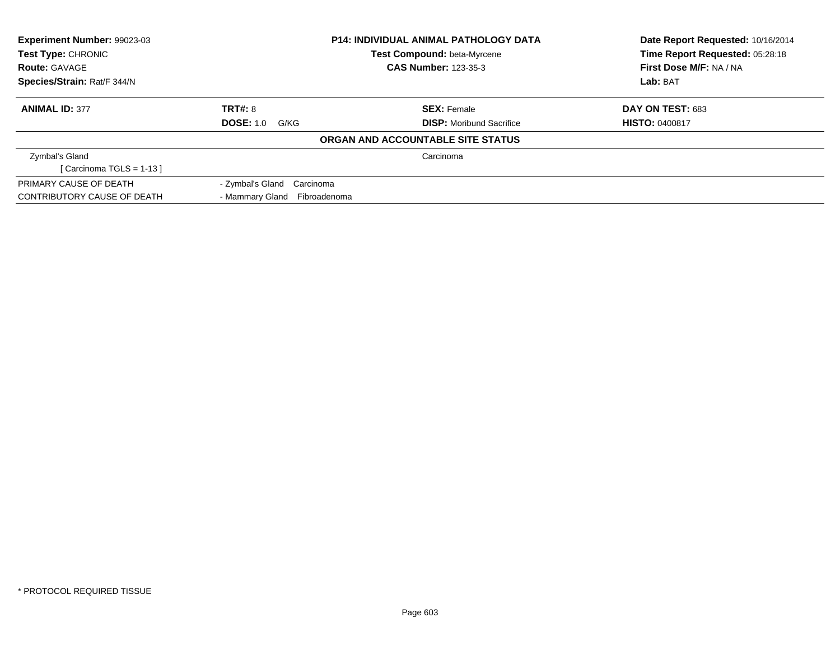| Experiment Number: 99023-03 |                              | <b>P14: INDIVIDUAL ANIMAL PATHOLOGY DATA</b> | Date Report Requested: 10/16/2014 |
|-----------------------------|------------------------------|----------------------------------------------|-----------------------------------|
| Test Type: CHRONIC          |                              | Test Compound: beta-Myrcene                  | Time Report Requested: 05:28:18   |
| <b>Route: GAVAGE</b>        |                              | <b>CAS Number: 123-35-3</b>                  | First Dose M/F: NA / NA           |
| Species/Strain: Rat/F 344/N |                              |                                              | Lab: BAT                          |
| <b>ANIMAL ID: 377</b>       | TRT#: 8                      | <b>SEX: Female</b>                           | <b>DAY ON TEST: 683</b>           |
|                             | <b>DOSE: 1.0 G/KG</b>        | <b>DISP:</b> Moribund Sacrifice              | <b>HISTO: 0400817</b>             |
|                             |                              | ORGAN AND ACCOUNTABLE SITE STATUS            |                                   |
| Zymbal's Gland              |                              | Carcinoma                                    |                                   |
| [Carcinoma TGLS = $1-13$ ]  |                              |                                              |                                   |
| PRIMARY CAUSE OF DEATH      | - Zymbal's Gland Carcinoma   |                                              |                                   |
| CONTRIBUTORY CAUSE OF DEATH | - Mammary Gland Fibroadenoma |                                              |                                   |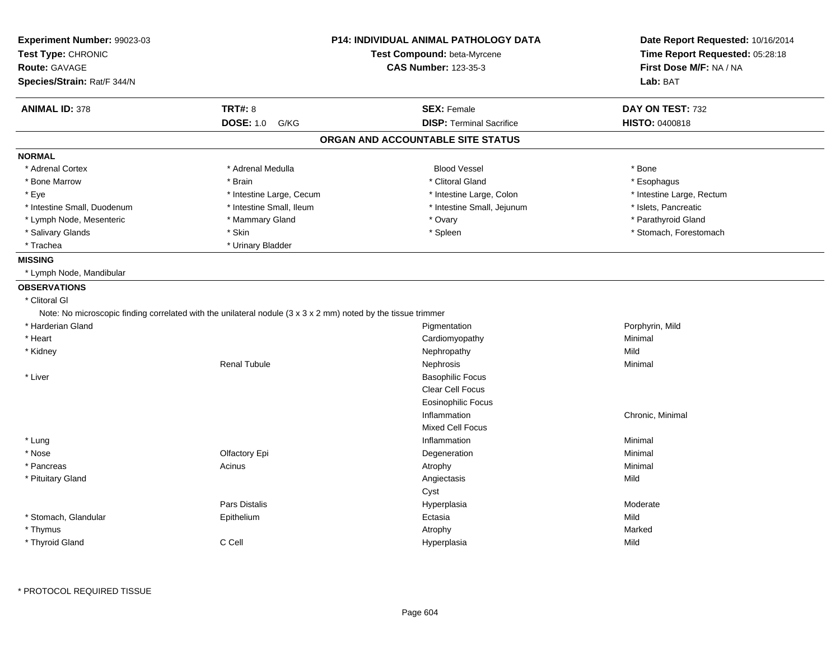| Experiment Number: 99023-03      |                                                                                                                                   | <b>P14: INDIVIDUAL ANIMAL PATHOLOGY DATA</b> | Date Report Requested: 10/16/2014 |
|----------------------------------|-----------------------------------------------------------------------------------------------------------------------------------|----------------------------------------------|-----------------------------------|
| Test Type: CHRONIC               |                                                                                                                                   | Test Compound: beta-Myrcene                  | Time Report Requested: 05:28:18   |
| Route: GAVAGE                    |                                                                                                                                   | <b>CAS Number: 123-35-3</b>                  | First Dose M/F: NA / NA           |
| Species/Strain: Rat/F 344/N      |                                                                                                                                   |                                              | Lab: BAT                          |
| <b>ANIMAL ID: 378</b>            | <b>TRT#: 8</b>                                                                                                                    | <b>SEX: Female</b>                           | DAY ON TEST: 732                  |
|                                  | <b>DOSE: 1.0</b><br>G/KG                                                                                                          | <b>DISP: Terminal Sacrifice</b>              | <b>HISTO: 0400818</b>             |
|                                  |                                                                                                                                   | ORGAN AND ACCOUNTABLE SITE STATUS            |                                   |
| <b>NORMAL</b>                    |                                                                                                                                   |                                              |                                   |
| * Adrenal Cortex                 | * Adrenal Medulla                                                                                                                 | <b>Blood Vessel</b>                          | * Bone                            |
| * Bone Marrow                    | * Brain                                                                                                                           | * Clitoral Gland                             | * Esophagus                       |
| * Eye                            | * Intestine Large, Cecum                                                                                                          | * Intestine Large, Colon                     | * Intestine Large, Rectum         |
| * Intestine Small, Duodenum      | * Intestine Small, Ileum                                                                                                          | * Intestine Small, Jejunum                   | * Islets, Pancreatic              |
| * Lymph Node, Mesenteric         | * Mammary Gland                                                                                                                   | * Ovary                                      | * Parathyroid Gland               |
| * Salivary Glands                | * Skin                                                                                                                            | * Spleen                                     | * Stomach, Forestomach            |
| * Trachea                        | * Urinary Bladder                                                                                                                 |                                              |                                   |
| <b>MISSING</b>                   |                                                                                                                                   |                                              |                                   |
| * Lymph Node, Mandibular         |                                                                                                                                   |                                              |                                   |
| <b>OBSERVATIONS</b>              |                                                                                                                                   |                                              |                                   |
| * Clitoral GI                    |                                                                                                                                   |                                              |                                   |
|                                  | Note: No microscopic finding correlated with the unilateral nodule $(3 \times 3 \times 2 \text{ mm})$ noted by the tissue trimmer |                                              |                                   |
| * Harderian Gland                |                                                                                                                                   | Pigmentation                                 | Porphyrin, Mild                   |
| * Heart                          |                                                                                                                                   | Cardiomyopathy                               | Minimal                           |
| * Kidney                         |                                                                                                                                   | Nephropathy                                  | Mild                              |
|                                  | Renal Tubule                                                                                                                      | Nephrosis                                    | Minimal                           |
| * Liver                          |                                                                                                                                   | <b>Basophilic Focus</b>                      |                                   |
|                                  |                                                                                                                                   | Clear Cell Focus                             |                                   |
|                                  |                                                                                                                                   | <b>Eosinophilic Focus</b>                    |                                   |
|                                  |                                                                                                                                   | Inflammation                                 | Chronic, Minimal                  |
|                                  |                                                                                                                                   |                                              |                                   |
|                                  |                                                                                                                                   |                                              |                                   |
|                                  |                                                                                                                                   | <b>Mixed Cell Focus</b><br>Inflammation      | Minimal                           |
| * Lung                           |                                                                                                                                   |                                              | Minimal                           |
| * Nose                           | Olfactory Epi                                                                                                                     | Degeneration                                 |                                   |
| * Pancreas                       | Acinus                                                                                                                            | Atrophy                                      | Minimal<br>Mild                   |
| * Pituitary Gland                |                                                                                                                                   | Angiectasis                                  |                                   |
|                                  | Pars Distalis                                                                                                                     | Cyst                                         |                                   |
|                                  |                                                                                                                                   | Hyperplasia                                  | Moderate<br>Mild                  |
| * Stomach, Glandular<br>* Thymus | Epithelium                                                                                                                        | Ectasia<br>Atrophy                           | Marked                            |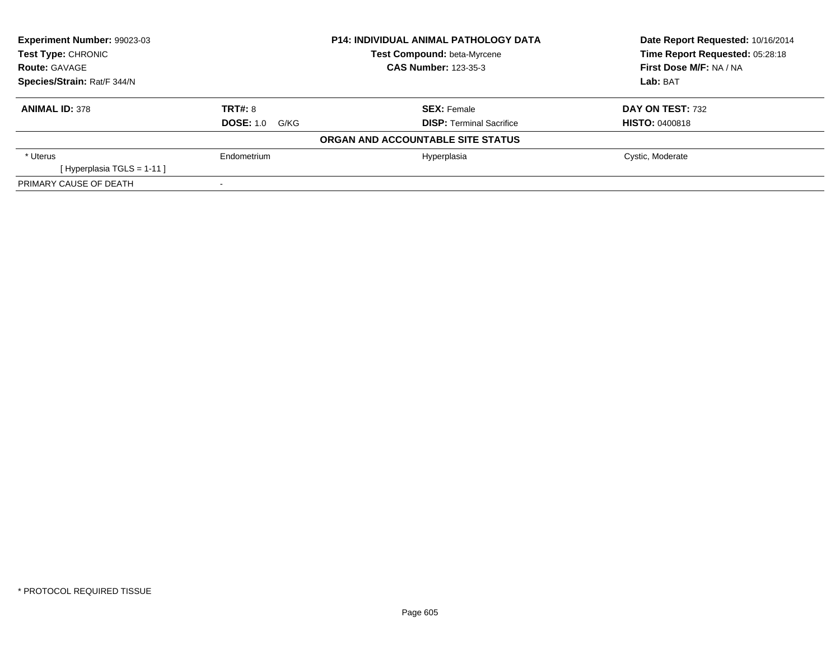| Experiment Number: 99023-03  |                       | <b>P14: INDIVIDUAL ANIMAL PATHOLOGY DATA</b> | Date Report Requested: 10/16/2014 |
|------------------------------|-----------------------|----------------------------------------------|-----------------------------------|
| <b>Test Type: CHRONIC</b>    |                       | <b>Test Compound: beta-Myrcene</b>           | Time Report Requested: 05:28:18   |
| <b>Route: GAVAGE</b>         |                       | <b>CAS Number: 123-35-3</b>                  | First Dose M/F: NA / NA           |
| Species/Strain: Rat/F 344/N  |                       |                                              | Lab: BAT                          |
| <b>ANIMAL ID: 378</b>        | <b>TRT#: 8</b>        | <b>SEX:</b> Female                           | <b>DAY ON TEST: 732</b>           |
|                              | <b>DOSE: 1.0 G/KG</b> | <b>DISP: Terminal Sacrifice</b>              | <b>HISTO: 0400818</b>             |
|                              |                       | ORGAN AND ACCOUNTABLE SITE STATUS            |                                   |
| * Uterus                     | Endometrium           | Hyperplasia                                  | Cystic, Moderate                  |
| [Hyperplasia TGLS = $1-11$ ] |                       |                                              |                                   |
| PRIMARY CAUSE OF DEATH       |                       |                                              |                                   |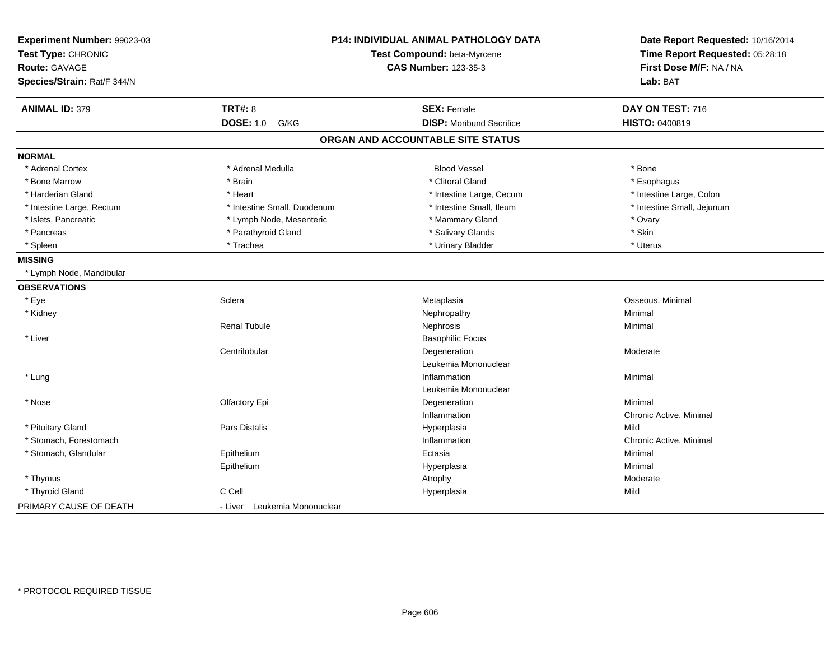| Experiment Number: 99023-03<br>Test Type: CHRONIC<br><b>Route: GAVAGE</b><br>Species/Strain: Rat/F 344/N |                              | P14: INDIVIDUAL ANIMAL PATHOLOGY DATA<br>Test Compound: beta-Myrcene<br><b>CAS Number: 123-35-3</b> | Date Report Requested: 10/16/2014<br>Time Report Requested: 05:28:18<br>First Dose M/F: NA / NA<br>Lab: BAT |
|----------------------------------------------------------------------------------------------------------|------------------------------|-----------------------------------------------------------------------------------------------------|-------------------------------------------------------------------------------------------------------------|
| <b>ANIMAL ID: 379</b>                                                                                    | <b>TRT#: 8</b>               | <b>SEX: Female</b>                                                                                  | DAY ON TEST: 716                                                                                            |
|                                                                                                          | <b>DOSE: 1.0</b><br>G/KG     | <b>DISP:</b> Moribund Sacrifice                                                                     | <b>HISTO: 0400819</b>                                                                                       |
|                                                                                                          |                              | ORGAN AND ACCOUNTABLE SITE STATUS                                                                   |                                                                                                             |
| <b>NORMAL</b>                                                                                            |                              |                                                                                                     |                                                                                                             |
| * Adrenal Cortex                                                                                         | * Adrenal Medulla            | <b>Blood Vessel</b>                                                                                 | * Bone                                                                                                      |
| * Bone Marrow                                                                                            | * Brain                      | * Clitoral Gland                                                                                    | * Esophagus                                                                                                 |
| * Harderian Gland                                                                                        | * Heart                      | * Intestine Large, Cecum                                                                            | * Intestine Large, Colon                                                                                    |
| * Intestine Large, Rectum                                                                                | * Intestine Small, Duodenum  | * Intestine Small, Ileum                                                                            | * Intestine Small, Jejunum                                                                                  |
| * Islets, Pancreatic                                                                                     | * Lymph Node, Mesenteric     | * Mammary Gland                                                                                     | * Ovary                                                                                                     |
| * Pancreas                                                                                               | * Parathyroid Gland          | * Salivary Glands                                                                                   | * Skin                                                                                                      |
| * Spleen                                                                                                 | * Trachea                    | * Urinary Bladder                                                                                   | * Uterus                                                                                                    |
| <b>MISSING</b>                                                                                           |                              |                                                                                                     |                                                                                                             |
| * Lymph Node, Mandibular                                                                                 |                              |                                                                                                     |                                                                                                             |
| <b>OBSERVATIONS</b>                                                                                      |                              |                                                                                                     |                                                                                                             |
| * Eye                                                                                                    | Sclera                       | Metaplasia                                                                                          | Osseous, Minimal                                                                                            |
| * Kidney                                                                                                 |                              | Nephropathy                                                                                         | Minimal                                                                                                     |
|                                                                                                          | <b>Renal Tubule</b>          | Nephrosis                                                                                           | Minimal                                                                                                     |
| * Liver                                                                                                  |                              | <b>Basophilic Focus</b>                                                                             |                                                                                                             |
|                                                                                                          | Centrilobular                | Degeneration                                                                                        | Moderate                                                                                                    |
|                                                                                                          |                              | Leukemia Mononuclear                                                                                |                                                                                                             |
| * Lung                                                                                                   |                              | Inflammation                                                                                        | Minimal                                                                                                     |
|                                                                                                          |                              | Leukemia Mononuclear                                                                                |                                                                                                             |
| * Nose                                                                                                   | Olfactory Epi                | Degeneration                                                                                        | Minimal                                                                                                     |
|                                                                                                          |                              | Inflammation                                                                                        | Chronic Active, Minimal                                                                                     |
| * Pituitary Gland                                                                                        | Pars Distalis                | Hyperplasia                                                                                         | Mild                                                                                                        |
| * Stomach, Forestomach                                                                                   |                              | Inflammation                                                                                        | Chronic Active, Minimal                                                                                     |
| * Stomach, Glandular                                                                                     | Epithelium                   | Ectasia                                                                                             | Minimal                                                                                                     |
|                                                                                                          | Epithelium                   | Hyperplasia                                                                                         | Minimal                                                                                                     |
| * Thymus                                                                                                 |                              | Atrophy                                                                                             | Moderate                                                                                                    |
| * Thyroid Gland                                                                                          | C Cell                       | Hyperplasia                                                                                         | Mild                                                                                                        |
| PRIMARY CAUSE OF DEATH                                                                                   | - Liver Leukemia Mononuclear |                                                                                                     |                                                                                                             |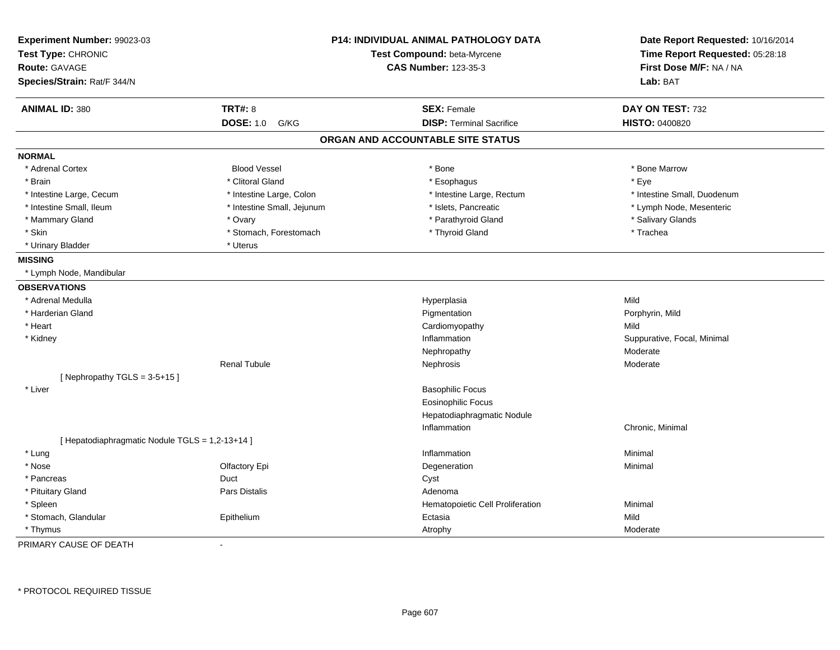| Experiment Number: 99023-03<br>Test Type: CHRONIC<br><b>Route: GAVAGE</b><br>Species/Strain: Rat/F 344/N |                            | <b>P14: INDIVIDUAL ANIMAL PATHOLOGY DATA</b><br>Test Compound: beta-Myrcene<br><b>CAS Number: 123-35-3</b> | Date Report Requested: 10/16/2014<br>Time Report Requested: 05:28:18<br>First Dose M/F: NA / NA<br>Lab: BAT |
|----------------------------------------------------------------------------------------------------------|----------------------------|------------------------------------------------------------------------------------------------------------|-------------------------------------------------------------------------------------------------------------|
| <b>ANIMAL ID: 380</b>                                                                                    | <b>TRT#: 8</b>             | <b>SEX: Female</b>                                                                                         | DAY ON TEST: 732                                                                                            |
|                                                                                                          | <b>DOSE: 1.0</b><br>G/KG   | <b>DISP: Terminal Sacrifice</b>                                                                            | HISTO: 0400820                                                                                              |
|                                                                                                          |                            | ORGAN AND ACCOUNTABLE SITE STATUS                                                                          |                                                                                                             |
| <b>NORMAL</b>                                                                                            |                            |                                                                                                            |                                                                                                             |
| * Adrenal Cortex                                                                                         | <b>Blood Vessel</b>        | $*$ Bone                                                                                                   | * Bone Marrow                                                                                               |
| * Brain                                                                                                  | * Clitoral Gland           | * Esophagus                                                                                                | * Eye                                                                                                       |
| * Intestine Large, Cecum                                                                                 | * Intestine Large, Colon   | * Intestine Large, Rectum                                                                                  | * Intestine Small, Duodenum                                                                                 |
| * Intestine Small, Ileum                                                                                 | * Intestine Small, Jejunum | * Islets, Pancreatic                                                                                       | * Lymph Node, Mesenteric                                                                                    |
| * Mammary Gland                                                                                          | * Ovary                    | * Parathyroid Gland                                                                                        | * Salivary Glands                                                                                           |
| * Skin                                                                                                   | * Stomach, Forestomach     | * Thyroid Gland                                                                                            | * Trachea                                                                                                   |
| * Urinary Bladder                                                                                        | * Uterus                   |                                                                                                            |                                                                                                             |
| <b>MISSING</b>                                                                                           |                            |                                                                                                            |                                                                                                             |
| * Lymph Node, Mandibular                                                                                 |                            |                                                                                                            |                                                                                                             |
| <b>OBSERVATIONS</b>                                                                                      |                            |                                                                                                            |                                                                                                             |
| * Adrenal Medulla                                                                                        |                            | Hyperplasia                                                                                                | Mild                                                                                                        |
| * Harderian Gland                                                                                        |                            | Pigmentation                                                                                               | Porphyrin, Mild                                                                                             |
| * Heart                                                                                                  |                            | Cardiomyopathy                                                                                             | Mild                                                                                                        |
| * Kidney                                                                                                 |                            | Inflammation                                                                                               | Suppurative, Focal, Minimal                                                                                 |
|                                                                                                          |                            | Nephropathy                                                                                                | Moderate                                                                                                    |
|                                                                                                          | <b>Renal Tubule</b>        | Nephrosis                                                                                                  | Moderate                                                                                                    |
| [Nephropathy TGLS = $3-5+15$ ]                                                                           |                            |                                                                                                            |                                                                                                             |
| * Liver                                                                                                  |                            | <b>Basophilic Focus</b>                                                                                    |                                                                                                             |
|                                                                                                          |                            | <b>Eosinophilic Focus</b>                                                                                  |                                                                                                             |
|                                                                                                          |                            | Hepatodiaphragmatic Nodule                                                                                 |                                                                                                             |
|                                                                                                          |                            | Inflammation                                                                                               | Chronic, Minimal                                                                                            |
| [ Hepatodiaphragmatic Nodule TGLS = 1,2-13+14 ]                                                          |                            |                                                                                                            |                                                                                                             |
| * Lung                                                                                                   |                            | Inflammation                                                                                               | Minimal                                                                                                     |
| * Nose                                                                                                   | Olfactory Epi              | Degeneration                                                                                               | Minimal                                                                                                     |
| * Pancreas                                                                                               | Duct                       | Cyst                                                                                                       |                                                                                                             |
| * Pituitary Gland                                                                                        | Pars Distalis              | Adenoma                                                                                                    |                                                                                                             |
| * Spleen                                                                                                 |                            | Hematopoietic Cell Proliferation                                                                           | Minimal                                                                                                     |
| * Stomach, Glandular                                                                                     | Epithelium                 | Ectasia                                                                                                    | Mild                                                                                                        |
| * Thymus                                                                                                 |                            | Atrophy                                                                                                    | Moderate                                                                                                    |

PRIMARY CAUSE OF DEATH-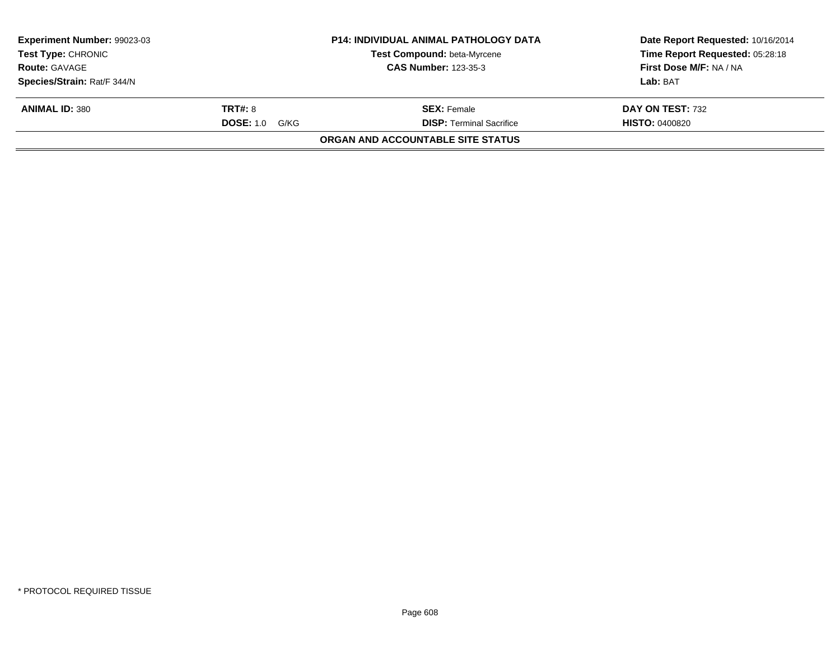| <b>Experiment Number: 99023-03</b><br><b>Test Type: CHRONIC</b> |                       | <b>P14: INDIVIDUAL ANIMAL PATHOLOGY DATA</b><br>Test Compound: beta-Myrcene | Date Report Requested: 10/16/2014<br>Time Report Requested: 05:28:18 |
|-----------------------------------------------------------------|-----------------------|-----------------------------------------------------------------------------|----------------------------------------------------------------------|
| <b>Route: GAVAGE</b>                                            |                       | <b>CAS Number: 123-35-3</b>                                                 | First Dose M/F: NA / NA                                              |
| Species/Strain: Rat/F 344/N                                     |                       |                                                                             | Lab: BAT                                                             |
| <b>ANIMAL ID: 380</b>                                           | <b>TRT#: 8</b>        | <b>SEX:</b> Female                                                          | DAY ON TEST: 732                                                     |
|                                                                 | <b>DOSE: 1.0 G/KG</b> | <b>DISP:</b> Terminal Sacrifice                                             | <b>HISTO: 0400820</b>                                                |
|                                                                 |                       | ORGAN AND ACCOUNTABLE SITE STATUS                                           |                                                                      |
|                                                                 |                       |                                                                             |                                                                      |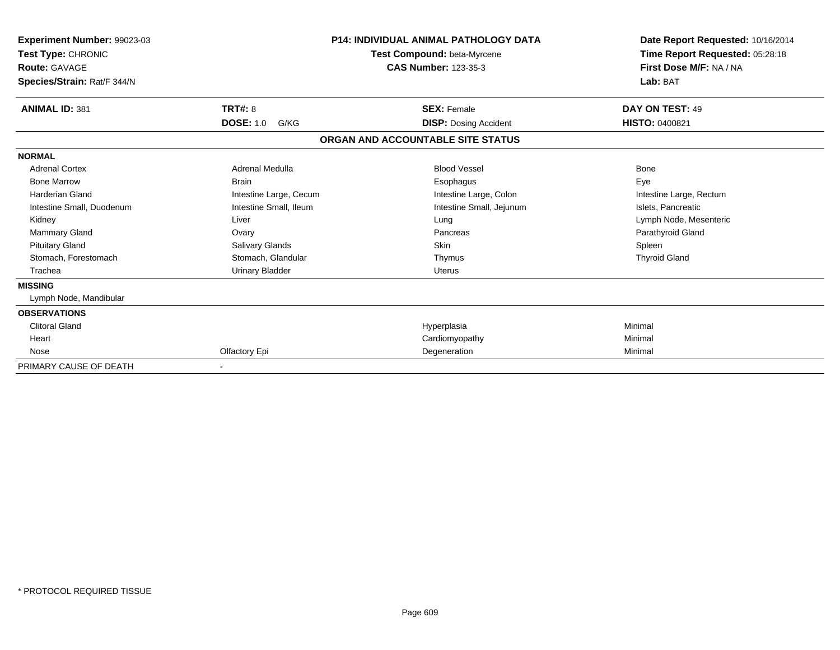| <b>Experiment Number: 99023-03</b><br>Test Type: CHRONIC<br><b>Route: GAVAGE</b><br>Species/Strain: Rat/F 344/N |                          | <b>P14: INDIVIDUAL ANIMAL PATHOLOGY DATA</b><br>Test Compound: beta-Myrcene<br><b>CAS Number: 123-35-3</b> | Date Report Requested: 10/16/2014<br>Time Report Requested: 05:28:18<br>First Dose M/F: NA / NA<br>Lab: BAT |
|-----------------------------------------------------------------------------------------------------------------|--------------------------|------------------------------------------------------------------------------------------------------------|-------------------------------------------------------------------------------------------------------------|
| <b>ANIMAL ID: 381</b>                                                                                           | <b>TRT#: 8</b>           | <b>SEX: Female</b>                                                                                         | DAY ON TEST: 49                                                                                             |
|                                                                                                                 | <b>DOSE: 1.0</b><br>G/KG | <b>DISP: Dosing Accident</b>                                                                               | <b>HISTO: 0400821</b>                                                                                       |
|                                                                                                                 |                          | ORGAN AND ACCOUNTABLE SITE STATUS                                                                          |                                                                                                             |
| <b>NORMAL</b>                                                                                                   |                          |                                                                                                            |                                                                                                             |
| <b>Adrenal Cortex</b>                                                                                           | Adrenal Medulla          | <b>Blood Vessel</b>                                                                                        | Bone                                                                                                        |
| <b>Bone Marrow</b>                                                                                              | <b>Brain</b>             | Esophagus                                                                                                  | Eye                                                                                                         |
| <b>Harderian Gland</b>                                                                                          | Intestine Large, Cecum   | Intestine Large, Colon                                                                                     | Intestine Large, Rectum                                                                                     |
| Intestine Small, Duodenum                                                                                       | Intestine Small, Ileum   | Intestine Small, Jejunum                                                                                   | Islets, Pancreatic                                                                                          |
| Kidney                                                                                                          | Liver                    | Lung                                                                                                       | Lymph Node, Mesenteric                                                                                      |
| <b>Mammary Gland</b>                                                                                            | Ovary                    | Pancreas                                                                                                   | Parathyroid Gland                                                                                           |
| <b>Pituitary Gland</b>                                                                                          | Salivary Glands          | Skin                                                                                                       | Spleen                                                                                                      |
| Stomach, Forestomach                                                                                            | Stomach, Glandular       | Thymus                                                                                                     | <b>Thyroid Gland</b>                                                                                        |
| Trachea                                                                                                         | <b>Urinary Bladder</b>   | <b>Uterus</b>                                                                                              |                                                                                                             |
| <b>MISSING</b>                                                                                                  |                          |                                                                                                            |                                                                                                             |
| Lymph Node, Mandibular                                                                                          |                          |                                                                                                            |                                                                                                             |
| <b>OBSERVATIONS</b>                                                                                             |                          |                                                                                                            |                                                                                                             |
| <b>Clitoral Gland</b>                                                                                           |                          | Hyperplasia                                                                                                | Minimal                                                                                                     |
| Heart                                                                                                           |                          | Cardiomyopathy                                                                                             | Minimal                                                                                                     |
| Nose                                                                                                            | Olfactory Epi            | Degeneration                                                                                               | Minimal                                                                                                     |
| PRIMARY CAUSE OF DEATH                                                                                          |                          |                                                                                                            |                                                                                                             |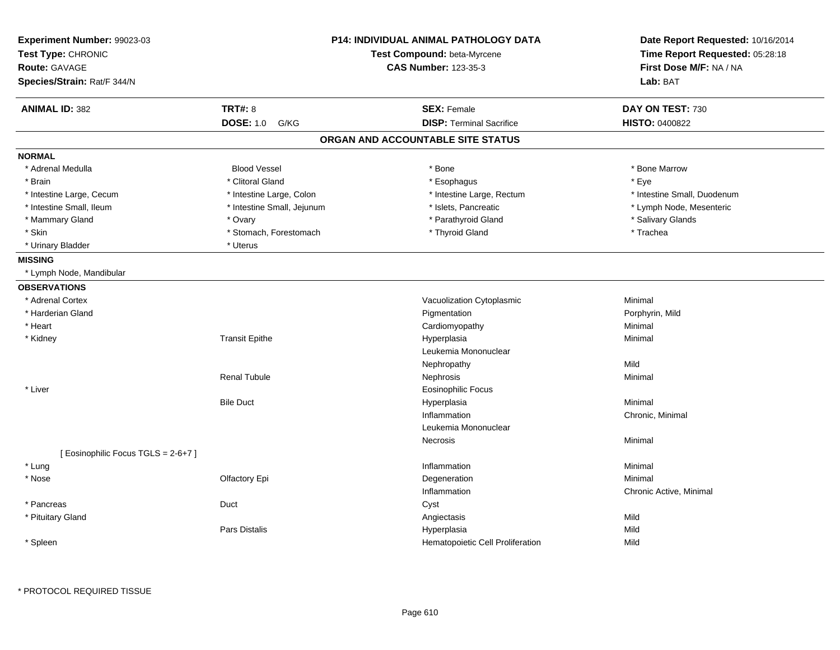| Experiment Number: 99023-03<br>Test Type: CHRONIC<br><b>Route: GAVAGE</b><br>Species/Strain: Rat/F 344/N |                            | <b>P14: INDIVIDUAL ANIMAL PATHOLOGY DATA</b><br>Test Compound: beta-Myrcene<br><b>CAS Number: 123-35-3</b> | Date Report Requested: 10/16/2014<br>Time Report Requested: 05:28:18<br>First Dose M/F: NA / NA<br>Lab: BAT |
|----------------------------------------------------------------------------------------------------------|----------------------------|------------------------------------------------------------------------------------------------------------|-------------------------------------------------------------------------------------------------------------|
| <b>ANIMAL ID: 382</b>                                                                                    | <b>TRT#: 8</b>             | <b>SEX: Female</b>                                                                                         | DAY ON TEST: 730                                                                                            |
|                                                                                                          | <b>DOSE: 1.0</b><br>G/KG   | <b>DISP: Terminal Sacrifice</b>                                                                            | <b>HISTO: 0400822</b>                                                                                       |
|                                                                                                          |                            | ORGAN AND ACCOUNTABLE SITE STATUS                                                                          |                                                                                                             |
| <b>NORMAL</b>                                                                                            |                            |                                                                                                            |                                                                                                             |
| * Adrenal Medulla                                                                                        | <b>Blood Vessel</b>        | * Bone                                                                                                     | * Bone Marrow                                                                                               |
| * Brain                                                                                                  | * Clitoral Gland           | * Esophagus                                                                                                | * Eye                                                                                                       |
| * Intestine Large, Cecum                                                                                 | * Intestine Large, Colon   | * Intestine Large, Rectum                                                                                  | * Intestine Small, Duodenum                                                                                 |
| * Intestine Small, Ileum                                                                                 | * Intestine Small, Jejunum | * Islets, Pancreatic                                                                                       | * Lymph Node, Mesenteric                                                                                    |
| * Mammary Gland                                                                                          | * Ovary                    | * Parathyroid Gland                                                                                        | * Salivary Glands                                                                                           |
| * Skin                                                                                                   | * Stomach, Forestomach     | * Thyroid Gland                                                                                            | * Trachea                                                                                                   |
| * Urinary Bladder                                                                                        | * Uterus                   |                                                                                                            |                                                                                                             |
| <b>MISSING</b>                                                                                           |                            |                                                                                                            |                                                                                                             |
| * Lymph Node, Mandibular                                                                                 |                            |                                                                                                            |                                                                                                             |
| <b>OBSERVATIONS</b>                                                                                      |                            |                                                                                                            |                                                                                                             |
| * Adrenal Cortex                                                                                         |                            | Vacuolization Cytoplasmic                                                                                  | Minimal                                                                                                     |
| * Harderian Gland                                                                                        |                            | Pigmentation                                                                                               | Porphyrin, Mild                                                                                             |
| * Heart                                                                                                  |                            | Cardiomyopathy                                                                                             | Minimal                                                                                                     |
| * Kidney                                                                                                 | <b>Transit Epithe</b>      | Hyperplasia                                                                                                | Minimal                                                                                                     |
|                                                                                                          |                            | Leukemia Mononuclear                                                                                       |                                                                                                             |
|                                                                                                          |                            | Nephropathy                                                                                                | Mild                                                                                                        |
|                                                                                                          | <b>Renal Tubule</b>        | Nephrosis                                                                                                  | Minimal                                                                                                     |
| * Liver                                                                                                  |                            | <b>Eosinophilic Focus</b>                                                                                  |                                                                                                             |
|                                                                                                          | <b>Bile Duct</b>           | Hyperplasia                                                                                                | Minimal                                                                                                     |
|                                                                                                          |                            | Inflammation                                                                                               | Chronic, Minimal                                                                                            |
|                                                                                                          |                            | Leukemia Mononuclear                                                                                       |                                                                                                             |
|                                                                                                          |                            | Necrosis                                                                                                   | Minimal                                                                                                     |
| [Eosinophilic Focus TGLS = 2-6+7]                                                                        |                            |                                                                                                            |                                                                                                             |
| * Lung                                                                                                   |                            | Inflammation                                                                                               | Minimal                                                                                                     |
| * Nose                                                                                                   | Olfactory Epi              | Degeneration                                                                                               | Minimal                                                                                                     |
|                                                                                                          |                            | Inflammation                                                                                               | Chronic Active, Minimal                                                                                     |
| * Pancreas                                                                                               | Duct                       | Cyst                                                                                                       |                                                                                                             |
| * Pituitary Gland                                                                                        |                            | Angiectasis                                                                                                | Mild                                                                                                        |
|                                                                                                          | Pars Distalis              | Hyperplasia                                                                                                | Mild                                                                                                        |
| * Spleen                                                                                                 |                            | Hematopoietic Cell Proliferation                                                                           | Mild                                                                                                        |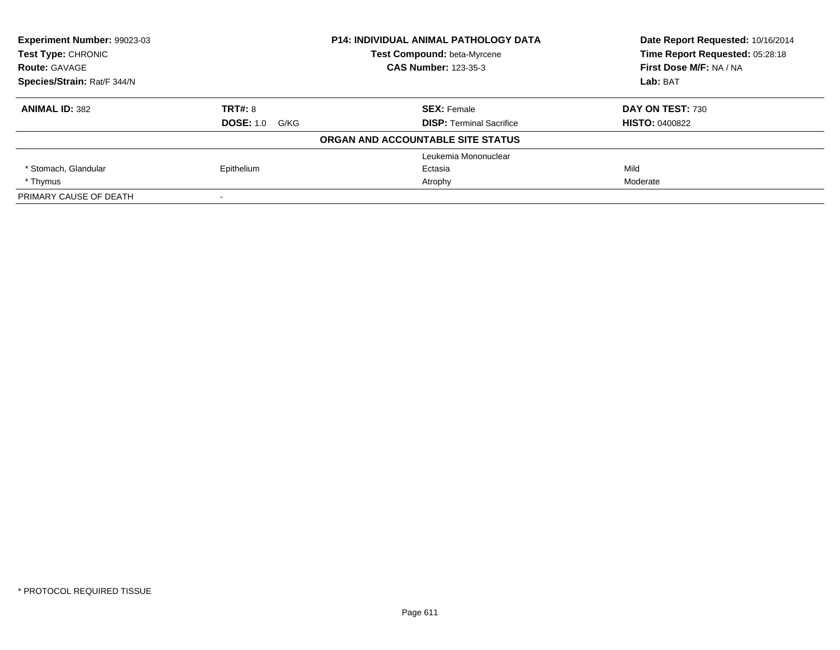| <b>Experiment Number: 99023-03</b> |                       | <b>P14: INDIVIDUAL ANIMAL PATHOLOGY DATA</b> | Date Report Requested: 10/16/2014 |
|------------------------------------|-----------------------|----------------------------------------------|-----------------------------------|
| <b>Test Type: CHRONIC</b>          |                       | Test Compound: beta-Myrcene                  | Time Report Requested: 05:28:18   |
| <b>Route: GAVAGE</b>               |                       | <b>CAS Number: 123-35-3</b>                  | First Dose M/F: NA / NA           |
| Species/Strain: Rat/F 344/N        |                       |                                              | Lab: BAT                          |
| <b>ANIMAL ID: 382</b>              | <b>TRT#: 8</b>        | <b>SEX: Female</b>                           | DAY ON TEST: 730                  |
|                                    | <b>DOSE: 1.0 G/KG</b> | <b>DISP: Terminal Sacrifice</b>              | <b>HISTO: 0400822</b>             |
|                                    |                       | ORGAN AND ACCOUNTABLE SITE STATUS            |                                   |
|                                    |                       | Leukemia Mononuclear                         |                                   |
| * Stomach, Glandular               | Epithelium            | Ectasia                                      | Mild                              |
| * Thymus                           |                       | Atrophy                                      | Moderate                          |
| PRIMARY CAUSE OF DEATH             |                       |                                              |                                   |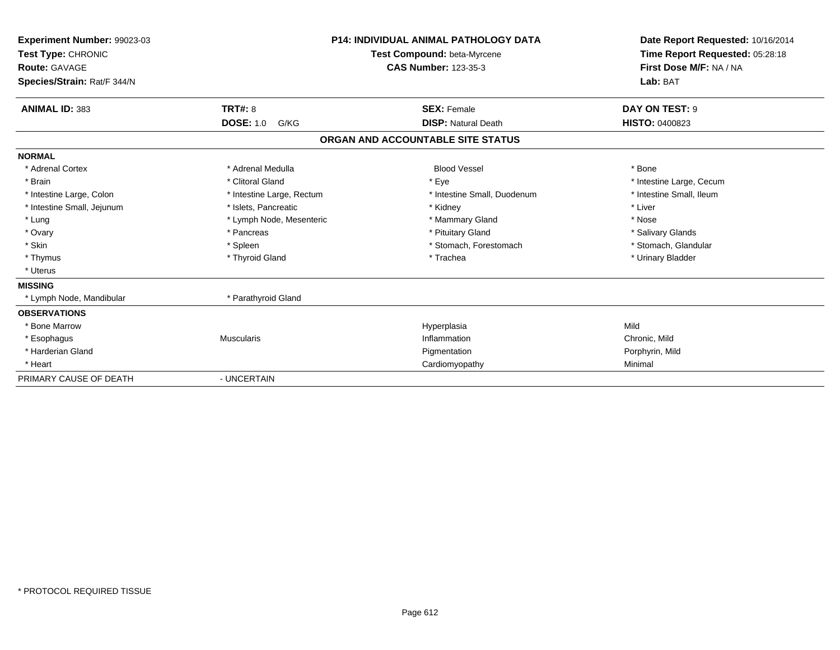| Experiment Number: 99023-03<br>Test Type: CHRONIC<br>Route: GAVAGE<br>Species/Strain: Rat/F 344/N |                           | <b>P14: INDIVIDUAL ANIMAL PATHOLOGY DATA</b><br><b>Test Compound: beta-Myrcene</b><br><b>CAS Number: 123-35-3</b> | Date Report Requested: 10/16/2014<br>Time Report Requested: 05:28:18<br>First Dose M/F: NA / NA<br>Lab: BAT |
|---------------------------------------------------------------------------------------------------|---------------------------|-------------------------------------------------------------------------------------------------------------------|-------------------------------------------------------------------------------------------------------------|
| <b>ANIMAL ID: 383</b>                                                                             | <b>TRT#: 8</b>            | <b>SEX: Female</b>                                                                                                | DAY ON TEST: 9                                                                                              |
|                                                                                                   | <b>DOSE: 1.0</b><br>G/KG  | <b>DISP: Natural Death</b>                                                                                        | HISTO: 0400823                                                                                              |
|                                                                                                   |                           | ORGAN AND ACCOUNTABLE SITE STATUS                                                                                 |                                                                                                             |
| <b>NORMAL</b>                                                                                     |                           |                                                                                                                   |                                                                                                             |
| * Adrenal Cortex                                                                                  | * Adrenal Medulla         | <b>Blood Vessel</b>                                                                                               | * Bone                                                                                                      |
| * Brain                                                                                           | * Clitoral Gland          | * Eye                                                                                                             | * Intestine Large, Cecum                                                                                    |
| * Intestine Large, Colon                                                                          | * Intestine Large, Rectum | * Intestine Small, Duodenum                                                                                       | * Intestine Small. Ileum                                                                                    |
| * Intestine Small, Jejunum                                                                        | * Islets, Pancreatic      | * Kidney                                                                                                          | * Liver                                                                                                     |
| * Lung                                                                                            | * Lymph Node, Mesenteric  | * Mammary Gland                                                                                                   | * Nose                                                                                                      |
| * Ovary                                                                                           | * Pancreas                | * Pituitary Gland                                                                                                 | * Salivary Glands                                                                                           |
| * Skin                                                                                            | * Spleen                  | * Stomach, Forestomach                                                                                            | * Stomach, Glandular                                                                                        |
| * Thymus                                                                                          | * Thyroid Gland           | * Trachea                                                                                                         | * Urinary Bladder                                                                                           |
| * Uterus                                                                                          |                           |                                                                                                                   |                                                                                                             |
| <b>MISSING</b>                                                                                    |                           |                                                                                                                   |                                                                                                             |
| * Lymph Node, Mandibular                                                                          | * Parathyroid Gland       |                                                                                                                   |                                                                                                             |
| <b>OBSERVATIONS</b>                                                                               |                           |                                                                                                                   |                                                                                                             |
| * Bone Marrow                                                                                     |                           | Hyperplasia                                                                                                       | Mild                                                                                                        |
| * Esophagus                                                                                       | <b>Muscularis</b>         | Inflammation                                                                                                      | Chronic, Mild                                                                                               |
| * Harderian Gland                                                                                 |                           | Pigmentation                                                                                                      | Porphyrin, Mild                                                                                             |
| * Heart                                                                                           |                           | Cardiomyopathy                                                                                                    | Minimal                                                                                                     |
| PRIMARY CAUSE OF DEATH                                                                            | - UNCERTAIN               |                                                                                                                   |                                                                                                             |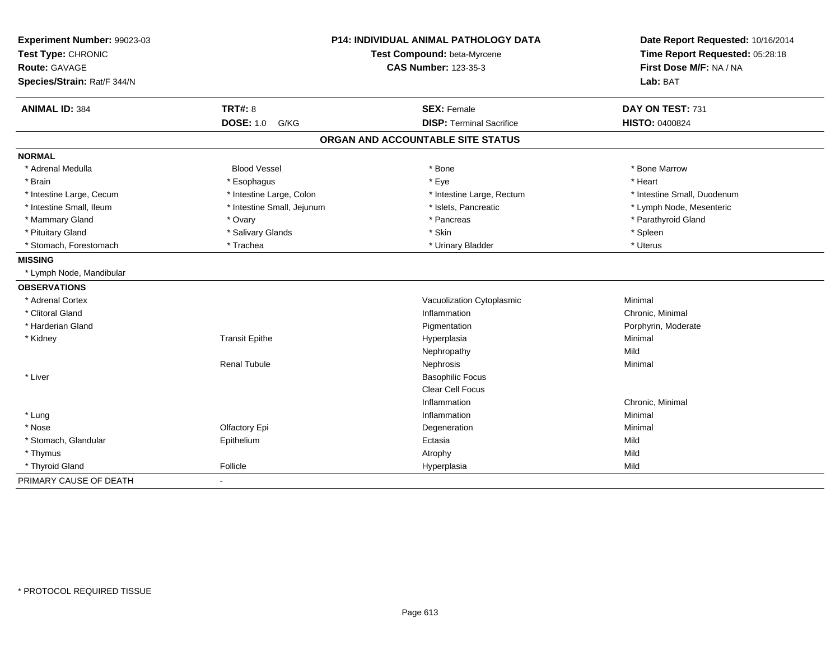| Experiment Number: 99023-03<br>Test Type: CHRONIC<br><b>Route: GAVAGE</b> |                            | <b>P14: INDIVIDUAL ANIMAL PATHOLOGY DATA</b><br>Test Compound: beta-Myrcene<br><b>CAS Number: 123-35-3</b> | Date Report Requested: 10/16/2014<br>Time Report Requested: 05:28:18<br>First Dose M/F: NA / NA |
|---------------------------------------------------------------------------|----------------------------|------------------------------------------------------------------------------------------------------------|-------------------------------------------------------------------------------------------------|
| Species/Strain: Rat/F 344/N                                               |                            |                                                                                                            | Lab: BAT                                                                                        |
| <b>ANIMAL ID: 384</b>                                                     | <b>TRT#: 8</b>             | <b>SEX: Female</b>                                                                                         | DAY ON TEST: 731                                                                                |
|                                                                           | <b>DOSE: 1.0 G/KG</b>      | <b>DISP: Terminal Sacrifice</b>                                                                            | <b>HISTO: 0400824</b>                                                                           |
|                                                                           |                            | ORGAN AND ACCOUNTABLE SITE STATUS                                                                          |                                                                                                 |
| <b>NORMAL</b>                                                             |                            |                                                                                                            |                                                                                                 |
| * Adrenal Medulla                                                         | <b>Blood Vessel</b>        | * Bone                                                                                                     | * Bone Marrow                                                                                   |
| * Brain                                                                   | * Esophagus                | * Eye                                                                                                      | * Heart                                                                                         |
| * Intestine Large, Cecum                                                  | * Intestine Large, Colon   | * Intestine Large, Rectum                                                                                  | * Intestine Small, Duodenum                                                                     |
| * Intestine Small, Ileum                                                  | * Intestine Small, Jejunum | * Islets, Pancreatic                                                                                       | * Lymph Node, Mesenteric                                                                        |
| * Mammary Gland                                                           | * Ovary                    | * Pancreas                                                                                                 | * Parathyroid Gland                                                                             |
| * Pituitary Gland                                                         | * Salivary Glands          | * Skin                                                                                                     | * Spleen                                                                                        |
| * Stomach, Forestomach                                                    | * Trachea                  | * Urinary Bladder                                                                                          | * Uterus                                                                                        |
| <b>MISSING</b>                                                            |                            |                                                                                                            |                                                                                                 |
| * Lymph Node, Mandibular                                                  |                            |                                                                                                            |                                                                                                 |
| <b>OBSERVATIONS</b>                                                       |                            |                                                                                                            |                                                                                                 |
| * Adrenal Cortex                                                          |                            | Vacuolization Cytoplasmic                                                                                  | Minimal                                                                                         |
| * Clitoral Gland                                                          |                            | Inflammation                                                                                               | Chronic, Minimal                                                                                |
| * Harderian Gland                                                         |                            | Pigmentation                                                                                               | Porphyrin, Moderate                                                                             |
| * Kidney                                                                  | <b>Transit Epithe</b>      | Hyperplasia                                                                                                | Minimal                                                                                         |
|                                                                           |                            | Nephropathy                                                                                                | Mild                                                                                            |
|                                                                           | <b>Renal Tubule</b>        | Nephrosis                                                                                                  | Minimal                                                                                         |
| * Liver                                                                   |                            | <b>Basophilic Focus</b>                                                                                    |                                                                                                 |
|                                                                           |                            | Clear Cell Focus                                                                                           |                                                                                                 |
|                                                                           |                            | Inflammation                                                                                               | Chronic, Minimal                                                                                |
| * Lung                                                                    |                            | Inflammation                                                                                               | Minimal                                                                                         |
| * Nose                                                                    | Olfactory Epi              | Degeneration                                                                                               | Minimal                                                                                         |
| * Stomach, Glandular                                                      | Epithelium                 | Ectasia                                                                                                    | Mild                                                                                            |
| * Thymus                                                                  |                            | Atrophy                                                                                                    | Mild                                                                                            |
| * Thyroid Gland                                                           | Follicle                   | Hyperplasia                                                                                                | Mild                                                                                            |
| PRIMARY CAUSE OF DEATH                                                    | $\sim$                     |                                                                                                            |                                                                                                 |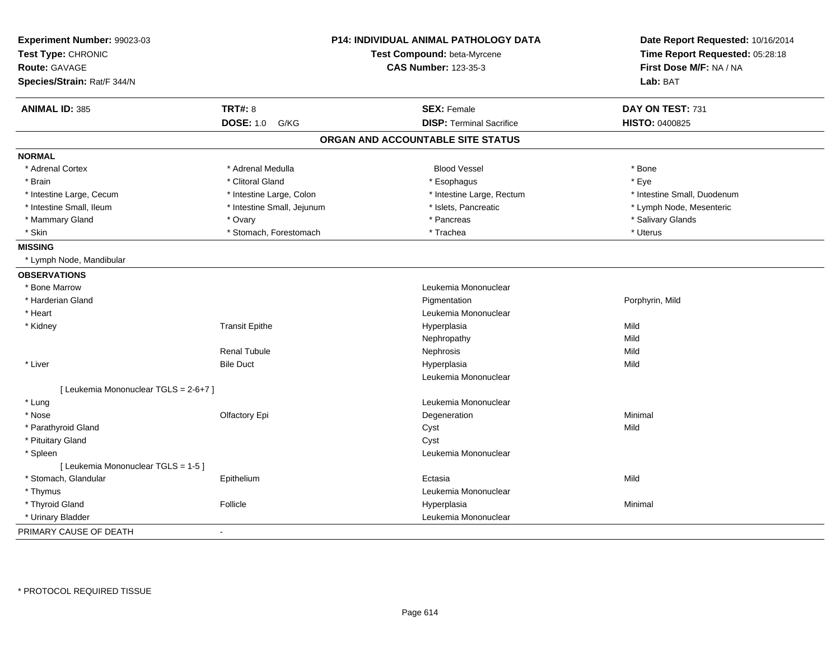| Experiment Number: 99023-03           |                            | <b>P14: INDIVIDUAL ANIMAL PATHOLOGY DATA</b> | Date Report Requested: 10/16/2014 |  |
|---------------------------------------|----------------------------|----------------------------------------------|-----------------------------------|--|
| Test Type: CHRONIC                    |                            | Test Compound: beta-Myrcene                  | Time Report Requested: 05:28:18   |  |
| <b>Route: GAVAGE</b>                  |                            | <b>CAS Number: 123-35-3</b>                  | First Dose M/F: NA / NA           |  |
| Species/Strain: Rat/F 344/N           |                            |                                              | Lab: BAT                          |  |
| <b>ANIMAL ID: 385</b>                 | <b>TRT#: 8</b>             | <b>SEX: Female</b>                           | DAY ON TEST: 731                  |  |
|                                       | <b>DOSE: 1.0</b><br>G/KG   | <b>DISP: Terminal Sacrifice</b>              | HISTO: 0400825                    |  |
|                                       |                            | ORGAN AND ACCOUNTABLE SITE STATUS            |                                   |  |
| <b>NORMAL</b>                         |                            |                                              |                                   |  |
| * Adrenal Cortex                      | * Adrenal Medulla          | <b>Blood Vessel</b>                          | * Bone                            |  |
| * Brain                               | * Clitoral Gland           | * Esophagus                                  | * Eye                             |  |
| * Intestine Large, Cecum              | * Intestine Large, Colon   | * Intestine Large, Rectum                    | * Intestine Small, Duodenum       |  |
| * Intestine Small, Ileum              | * Intestine Small, Jejunum | * Islets, Pancreatic                         | * Lymph Node, Mesenteric          |  |
| * Mammary Gland                       | * Ovary                    | * Pancreas                                   | * Salivary Glands                 |  |
| * Skin                                | * Stomach, Forestomach     | * Trachea                                    | * Uterus                          |  |
| <b>MISSING</b>                        |                            |                                              |                                   |  |
| * Lymph Node, Mandibular              |                            |                                              |                                   |  |
| <b>OBSERVATIONS</b>                   |                            |                                              |                                   |  |
| * Bone Marrow                         |                            | Leukemia Mononuclear                         |                                   |  |
| * Harderian Gland                     |                            | Pigmentation                                 | Porphyrin, Mild                   |  |
| * Heart                               |                            | Leukemia Mononuclear                         |                                   |  |
| * Kidney                              | <b>Transit Epithe</b>      | Hyperplasia                                  | Mild                              |  |
|                                       |                            | Nephropathy                                  | Mild                              |  |
|                                       | <b>Renal Tubule</b>        | Nephrosis                                    | Mild                              |  |
| * Liver                               | <b>Bile Duct</b>           | Hyperplasia                                  | Mild                              |  |
|                                       |                            | Leukemia Mononuclear                         |                                   |  |
| [ Leukemia Mononuclear TGLS = 2-6+7 ] |                            |                                              |                                   |  |
| * Lung                                |                            | Leukemia Mononuclear                         |                                   |  |
| * Nose                                | Olfactory Epi              | Degeneration                                 | Minimal                           |  |
| * Parathyroid Gland                   |                            | Cyst                                         | Mild                              |  |
| * Pituitary Gland                     |                            | Cyst                                         |                                   |  |
| * Spleen                              |                            | Leukemia Mononuclear                         |                                   |  |
| [ Leukemia Mononuclear TGLS = 1-5 ]   |                            |                                              |                                   |  |
| * Stomach, Glandular                  | Epithelium                 | Ectasia                                      | Mild                              |  |
| * Thymus                              |                            | Leukemia Mononuclear                         |                                   |  |
| * Thyroid Gland                       | Follicle                   | Hyperplasia                                  | Minimal                           |  |
| * Urinary Bladder                     |                            | Leukemia Mononuclear                         |                                   |  |
| PRIMARY CAUSE OF DEATH                | $\blacksquare$             |                                              |                                   |  |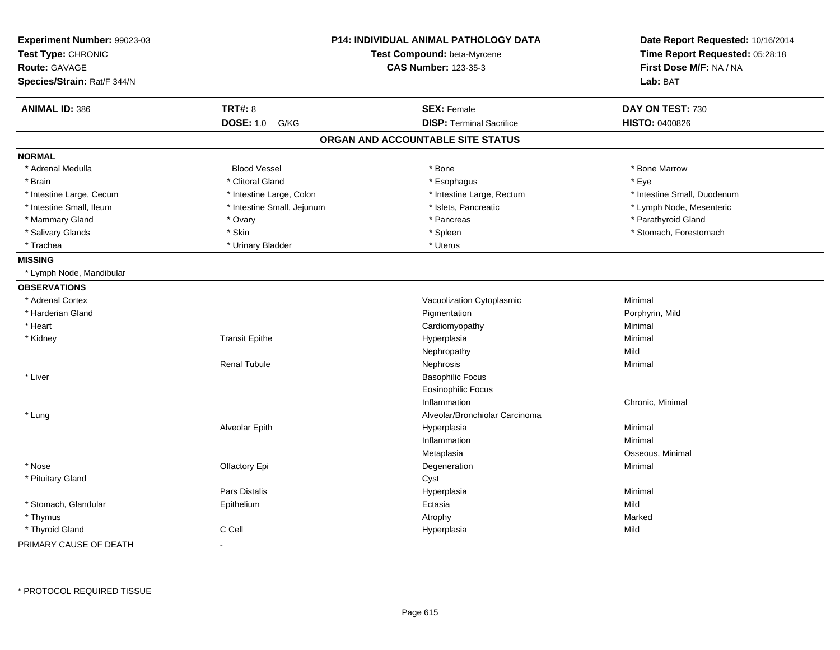| Species/Strain: Rat/F 344/N<br><b>TRT#: 8</b><br><b>SEX: Female</b><br>DAY ON TEST: 730<br><b>ANIMAL ID: 386</b><br><b>DOSE: 1.0</b><br><b>DISP: Terminal Sacrifice</b><br>HISTO: 0400826<br>G/KG<br>ORGAN AND ACCOUNTABLE SITE STATUS<br><b>NORMAL</b><br><b>Blood Vessel</b><br>* Bone<br>* Adrenal Medulla<br>* Bone Marrow<br>* Clitoral Gland<br>* Eye<br>* Brain<br>* Esophagus<br>* Intestine Small, Duodenum<br>* Intestine Large, Cecum<br>* Intestine Large, Colon<br>* Intestine Large, Rectum<br>* Intestine Small, Ileum<br>* Islets, Pancreatic<br>* Lymph Node, Mesenteric<br>* Intestine Small, Jejunum<br>* Parathyroid Gland<br>* Mammary Gland<br>* Pancreas<br>* Ovary<br>* Salivary Glands<br>* Skin<br>* Spleen<br>* Stomach, Forestomach<br>* Trachea<br>* Urinary Bladder<br>* Uterus<br><b>MISSING</b><br>* Lymph Node, Mandibular<br><b>OBSERVATIONS</b><br>Minimal<br>* Adrenal Cortex<br>Vacuolization Cytoplasmic<br>* Harderian Gland<br>Pigmentation<br>Porphyrin, Mild<br>* Heart<br>Cardiomyopathy<br>Minimal<br><b>Transit Epithe</b><br>Minimal<br>* Kidney<br>Hyperplasia<br>Mild<br>Nephropathy<br><b>Renal Tubule</b><br>Nephrosis<br>Minimal<br>* Liver<br><b>Basophilic Focus</b><br><b>Eosinophilic Focus</b><br>Inflammation<br>Chronic, Minimal<br>Alveolar/Bronchiolar Carcinoma<br>* Lung | Date Report Requested: 10/16/2014<br>Time Report Requested: 05:28:18 |
|----------------------------------------------------------------------------------------------------------------------------------------------------------------------------------------------------------------------------------------------------------------------------------------------------------------------------------------------------------------------------------------------------------------------------------------------------------------------------------------------------------------------------------------------------------------------------------------------------------------------------------------------------------------------------------------------------------------------------------------------------------------------------------------------------------------------------------------------------------------------------------------------------------------------------------------------------------------------------------------------------------------------------------------------------------------------------------------------------------------------------------------------------------------------------------------------------------------------------------------------------------------------------------------------------------------------------------------|----------------------------------------------------------------------|
|                                                                                                                                                                                                                                                                                                                                                                                                                                                                                                                                                                                                                                                                                                                                                                                                                                                                                                                                                                                                                                                                                                                                                                                                                                                                                                                                        |                                                                      |
|                                                                                                                                                                                                                                                                                                                                                                                                                                                                                                                                                                                                                                                                                                                                                                                                                                                                                                                                                                                                                                                                                                                                                                                                                                                                                                                                        |                                                                      |
|                                                                                                                                                                                                                                                                                                                                                                                                                                                                                                                                                                                                                                                                                                                                                                                                                                                                                                                                                                                                                                                                                                                                                                                                                                                                                                                                        |                                                                      |
|                                                                                                                                                                                                                                                                                                                                                                                                                                                                                                                                                                                                                                                                                                                                                                                                                                                                                                                                                                                                                                                                                                                                                                                                                                                                                                                                        |                                                                      |
|                                                                                                                                                                                                                                                                                                                                                                                                                                                                                                                                                                                                                                                                                                                                                                                                                                                                                                                                                                                                                                                                                                                                                                                                                                                                                                                                        |                                                                      |
|                                                                                                                                                                                                                                                                                                                                                                                                                                                                                                                                                                                                                                                                                                                                                                                                                                                                                                                                                                                                                                                                                                                                                                                                                                                                                                                                        |                                                                      |
|                                                                                                                                                                                                                                                                                                                                                                                                                                                                                                                                                                                                                                                                                                                                                                                                                                                                                                                                                                                                                                                                                                                                                                                                                                                                                                                                        |                                                                      |
|                                                                                                                                                                                                                                                                                                                                                                                                                                                                                                                                                                                                                                                                                                                                                                                                                                                                                                                                                                                                                                                                                                                                                                                                                                                                                                                                        |                                                                      |
|                                                                                                                                                                                                                                                                                                                                                                                                                                                                                                                                                                                                                                                                                                                                                                                                                                                                                                                                                                                                                                                                                                                                                                                                                                                                                                                                        |                                                                      |
|                                                                                                                                                                                                                                                                                                                                                                                                                                                                                                                                                                                                                                                                                                                                                                                                                                                                                                                                                                                                                                                                                                                                                                                                                                                                                                                                        |                                                                      |
|                                                                                                                                                                                                                                                                                                                                                                                                                                                                                                                                                                                                                                                                                                                                                                                                                                                                                                                                                                                                                                                                                                                                                                                                                                                                                                                                        |                                                                      |
|                                                                                                                                                                                                                                                                                                                                                                                                                                                                                                                                                                                                                                                                                                                                                                                                                                                                                                                                                                                                                                                                                                                                                                                                                                                                                                                                        |                                                                      |
|                                                                                                                                                                                                                                                                                                                                                                                                                                                                                                                                                                                                                                                                                                                                                                                                                                                                                                                                                                                                                                                                                                                                                                                                                                                                                                                                        |                                                                      |
|                                                                                                                                                                                                                                                                                                                                                                                                                                                                                                                                                                                                                                                                                                                                                                                                                                                                                                                                                                                                                                                                                                                                                                                                                                                                                                                                        |                                                                      |
|                                                                                                                                                                                                                                                                                                                                                                                                                                                                                                                                                                                                                                                                                                                                                                                                                                                                                                                                                                                                                                                                                                                                                                                                                                                                                                                                        |                                                                      |
|                                                                                                                                                                                                                                                                                                                                                                                                                                                                                                                                                                                                                                                                                                                                                                                                                                                                                                                                                                                                                                                                                                                                                                                                                                                                                                                                        |                                                                      |
|                                                                                                                                                                                                                                                                                                                                                                                                                                                                                                                                                                                                                                                                                                                                                                                                                                                                                                                                                                                                                                                                                                                                                                                                                                                                                                                                        |                                                                      |
|                                                                                                                                                                                                                                                                                                                                                                                                                                                                                                                                                                                                                                                                                                                                                                                                                                                                                                                                                                                                                                                                                                                                                                                                                                                                                                                                        |                                                                      |
|                                                                                                                                                                                                                                                                                                                                                                                                                                                                                                                                                                                                                                                                                                                                                                                                                                                                                                                                                                                                                                                                                                                                                                                                                                                                                                                                        |                                                                      |
|                                                                                                                                                                                                                                                                                                                                                                                                                                                                                                                                                                                                                                                                                                                                                                                                                                                                                                                                                                                                                                                                                                                                                                                                                                                                                                                                        |                                                                      |
|                                                                                                                                                                                                                                                                                                                                                                                                                                                                                                                                                                                                                                                                                                                                                                                                                                                                                                                                                                                                                                                                                                                                                                                                                                                                                                                                        |                                                                      |
|                                                                                                                                                                                                                                                                                                                                                                                                                                                                                                                                                                                                                                                                                                                                                                                                                                                                                                                                                                                                                                                                                                                                                                                                                                                                                                                                        |                                                                      |
|                                                                                                                                                                                                                                                                                                                                                                                                                                                                                                                                                                                                                                                                                                                                                                                                                                                                                                                                                                                                                                                                                                                                                                                                                                                                                                                                        |                                                                      |
|                                                                                                                                                                                                                                                                                                                                                                                                                                                                                                                                                                                                                                                                                                                                                                                                                                                                                                                                                                                                                                                                                                                                                                                                                                                                                                                                        |                                                                      |
|                                                                                                                                                                                                                                                                                                                                                                                                                                                                                                                                                                                                                                                                                                                                                                                                                                                                                                                                                                                                                                                                                                                                                                                                                                                                                                                                        |                                                                      |
| Alveolar Epith<br>Hyperplasia<br>Minimal                                                                                                                                                                                                                                                                                                                                                                                                                                                                                                                                                                                                                                                                                                                                                                                                                                                                                                                                                                                                                                                                                                                                                                                                                                                                                               |                                                                      |
| Inflammation<br>Minimal                                                                                                                                                                                                                                                                                                                                                                                                                                                                                                                                                                                                                                                                                                                                                                                                                                                                                                                                                                                                                                                                                                                                                                                                                                                                                                                |                                                                      |
| Osseous, Minimal<br>Metaplasia                                                                                                                                                                                                                                                                                                                                                                                                                                                                                                                                                                                                                                                                                                                                                                                                                                                                                                                                                                                                                                                                                                                                                                                                                                                                                                         |                                                                      |
| * Nose<br>Minimal<br>Olfactory Epi<br>Degeneration                                                                                                                                                                                                                                                                                                                                                                                                                                                                                                                                                                                                                                                                                                                                                                                                                                                                                                                                                                                                                                                                                                                                                                                                                                                                                     |                                                                      |
| * Pituitary Gland<br>Cyst                                                                                                                                                                                                                                                                                                                                                                                                                                                                                                                                                                                                                                                                                                                                                                                                                                                                                                                                                                                                                                                                                                                                                                                                                                                                                                              |                                                                      |
| Pars Distalis<br>Hyperplasia<br>Minimal                                                                                                                                                                                                                                                                                                                                                                                                                                                                                                                                                                                                                                                                                                                                                                                                                                                                                                                                                                                                                                                                                                                                                                                                                                                                                                |                                                                      |
| * Stomach, Glandular<br>Epithelium<br>Mild<br>Ectasia                                                                                                                                                                                                                                                                                                                                                                                                                                                                                                                                                                                                                                                                                                                                                                                                                                                                                                                                                                                                                                                                                                                                                                                                                                                                                  |                                                                      |
| * Thymus<br>Marked<br>Atrophy                                                                                                                                                                                                                                                                                                                                                                                                                                                                                                                                                                                                                                                                                                                                                                                                                                                                                                                                                                                                                                                                                                                                                                                                                                                                                                          |                                                                      |
| C Cell<br>Mild<br>* Thyroid Gland<br>Hyperplasia                                                                                                                                                                                                                                                                                                                                                                                                                                                                                                                                                                                                                                                                                                                                                                                                                                                                                                                                                                                                                                                                                                                                                                                                                                                                                       |                                                                      |

PRIMARY CAUSE OF DEATH-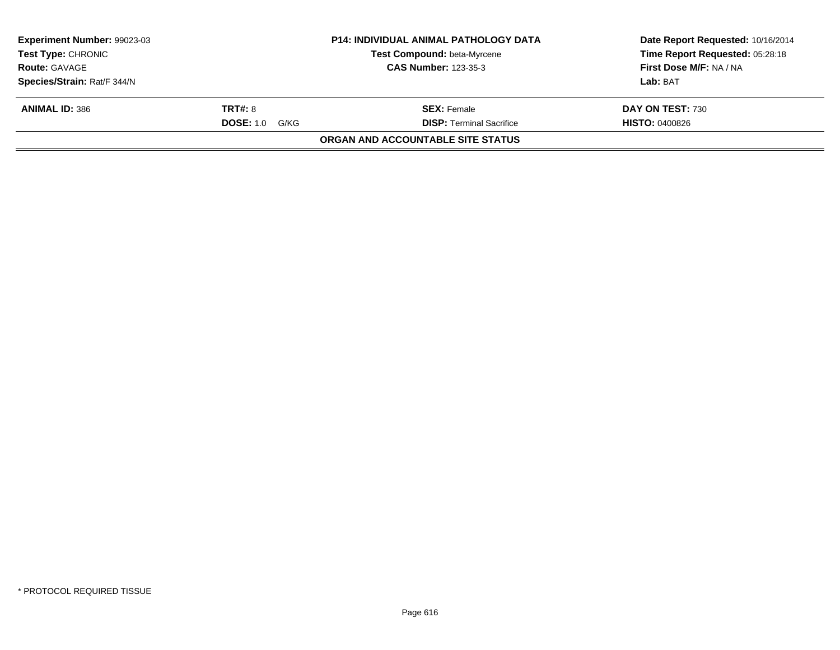| <b>Experiment Number: 99023-03</b><br><b>Test Type: CHRONIC</b> |                          | <b>P14: INDIVIDUAL ANIMAL PATHOLOGY DATA</b><br>Test Compound: beta-Myrcene | Date Report Requested: 10/16/2014<br>Time Report Requested: 05:28:18 |
|-----------------------------------------------------------------|--------------------------|-----------------------------------------------------------------------------|----------------------------------------------------------------------|
| <b>Route: GAVAGE</b>                                            |                          | <b>CAS Number: 123-35-3</b>                                                 | First Dose M/F: NA / NA                                              |
| Species/Strain: Rat/F 344/N                                     |                          |                                                                             | Lab: BAT                                                             |
| <b>ANIMAL ID: 386</b>                                           | <b>TRT#: 8</b>           | <b>SEX: Female</b>                                                          | DAY ON TEST: 730                                                     |
|                                                                 | <b>DOSE: 1.0</b><br>G/KG | <b>DISP: Terminal Sacrifice</b>                                             | <b>HISTO: 0400826</b>                                                |
|                                                                 |                          | <b>ORGAN AND ACCOUNTABLE SITE STATUS</b>                                    |                                                                      |
|                                                                 |                          |                                                                             |                                                                      |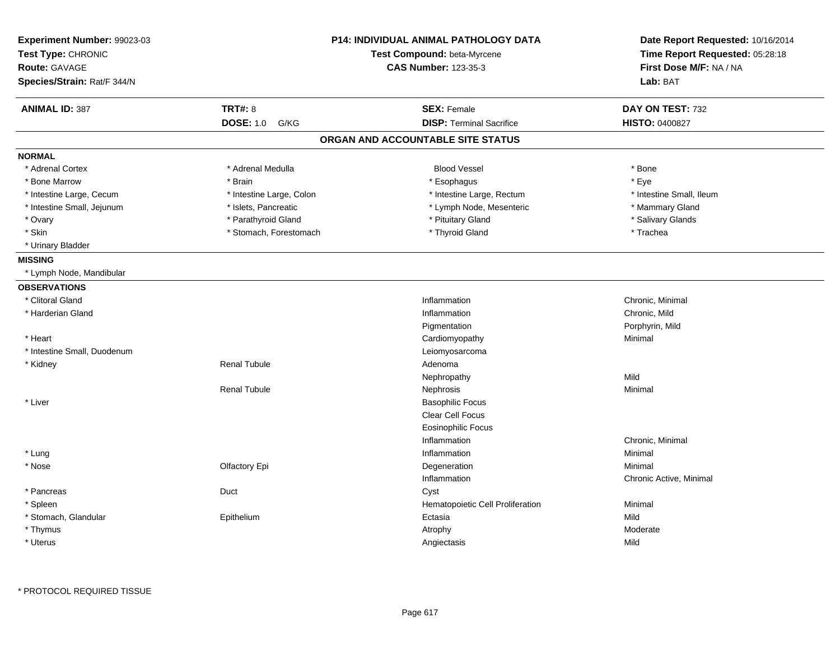| Experiment Number: 99023-03<br>Test Type: CHRONIC<br><b>Route: GAVAGE</b><br>Species/Strain: Rat/F 344/N |                          | <b>P14: INDIVIDUAL ANIMAL PATHOLOGY DATA</b><br>Test Compound: beta-Myrcene<br><b>CAS Number: 123-35-3</b> | Date Report Requested: 10/16/2014<br>Time Report Requested: 05:28:18<br>First Dose M/F: NA / NA<br>Lab: BAT |
|----------------------------------------------------------------------------------------------------------|--------------------------|------------------------------------------------------------------------------------------------------------|-------------------------------------------------------------------------------------------------------------|
| <b>ANIMAL ID: 387</b>                                                                                    | <b>TRT#: 8</b>           | <b>SEX: Female</b>                                                                                         | DAY ON TEST: 732                                                                                            |
|                                                                                                          | <b>DOSE: 1.0</b><br>G/KG | <b>DISP: Terminal Sacrifice</b>                                                                            | <b>HISTO: 0400827</b>                                                                                       |
|                                                                                                          |                          | ORGAN AND ACCOUNTABLE SITE STATUS                                                                          |                                                                                                             |
| <b>NORMAL</b>                                                                                            |                          |                                                                                                            |                                                                                                             |
| * Adrenal Cortex                                                                                         | * Adrenal Medulla        | <b>Blood Vessel</b>                                                                                        | * Bone                                                                                                      |
| * Bone Marrow                                                                                            | * Brain                  | * Esophagus                                                                                                | * Eye                                                                                                       |
| * Intestine Large, Cecum                                                                                 | * Intestine Large, Colon | * Intestine Large, Rectum                                                                                  | * Intestine Small, Ileum                                                                                    |
| * Intestine Small, Jejunum                                                                               | * Islets, Pancreatic     | * Lymph Node, Mesenteric                                                                                   | * Mammary Gland                                                                                             |
| * Ovary                                                                                                  | * Parathyroid Gland      | * Pituitary Gland                                                                                          | * Salivary Glands                                                                                           |
| * Skin                                                                                                   | * Stomach, Forestomach   | * Thyroid Gland                                                                                            | * Trachea                                                                                                   |
| * Urinary Bladder                                                                                        |                          |                                                                                                            |                                                                                                             |
| <b>MISSING</b>                                                                                           |                          |                                                                                                            |                                                                                                             |
| * Lymph Node, Mandibular                                                                                 |                          |                                                                                                            |                                                                                                             |
| <b>OBSERVATIONS</b>                                                                                      |                          |                                                                                                            |                                                                                                             |
| * Clitoral Gland                                                                                         |                          | Inflammation                                                                                               | Chronic, Minimal                                                                                            |
| * Harderian Gland                                                                                        |                          | Inflammation                                                                                               | Chronic, Mild                                                                                               |
|                                                                                                          |                          | Pigmentation                                                                                               | Porphyrin, Mild                                                                                             |
| * Heart                                                                                                  |                          | Cardiomyopathy                                                                                             | Minimal                                                                                                     |
| * Intestine Small, Duodenum                                                                              |                          | Leiomyosarcoma                                                                                             |                                                                                                             |
| * Kidney                                                                                                 | <b>Renal Tubule</b>      | Adenoma                                                                                                    |                                                                                                             |
|                                                                                                          |                          | Nephropathy                                                                                                | Mild                                                                                                        |
|                                                                                                          | <b>Renal Tubule</b>      | Nephrosis                                                                                                  | Minimal                                                                                                     |
| * Liver                                                                                                  |                          | <b>Basophilic Focus</b>                                                                                    |                                                                                                             |
|                                                                                                          |                          | Clear Cell Focus                                                                                           |                                                                                                             |
|                                                                                                          |                          | Eosinophilic Focus                                                                                         |                                                                                                             |
|                                                                                                          |                          | Inflammation                                                                                               | Chronic, Minimal                                                                                            |
| * Lung                                                                                                   |                          | Inflammation                                                                                               | Minimal                                                                                                     |
| * Nose                                                                                                   | Olfactory Epi            | Degeneration                                                                                               | Minimal                                                                                                     |
|                                                                                                          |                          | Inflammation                                                                                               | Chronic Active, Minimal                                                                                     |
| * Pancreas                                                                                               | Duct                     | Cyst                                                                                                       |                                                                                                             |
| * Spleen                                                                                                 |                          | Hematopoietic Cell Proliferation                                                                           | Minimal                                                                                                     |
| * Stomach, Glandular                                                                                     | Epithelium               | Ectasia                                                                                                    | Mild                                                                                                        |
| * Thymus                                                                                                 |                          | Atrophy                                                                                                    | Moderate                                                                                                    |
| * Uterus                                                                                                 |                          | Angiectasis                                                                                                | Mild                                                                                                        |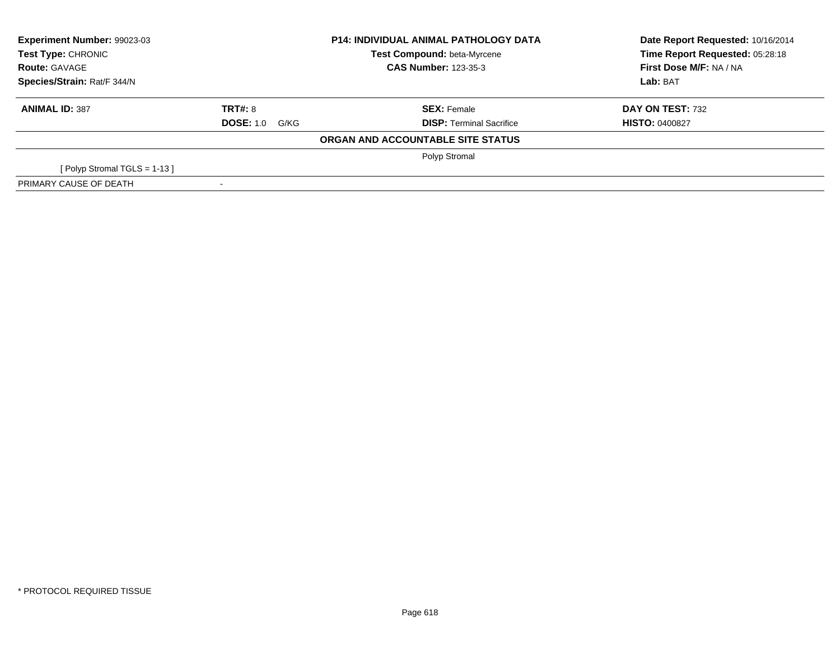| Experiment Number: 99023-03<br><b>Test Type: CHRONIC</b><br><b>Route: GAVAGE</b> |                       | <b>P14: INDIVIDUAL ANIMAL PATHOLOGY DATA</b> | Date Report Requested: 10/16/2014 |  |
|----------------------------------------------------------------------------------|-----------------------|----------------------------------------------|-----------------------------------|--|
|                                                                                  |                       | <b>Test Compound: beta-Myrcene</b>           | Time Report Requested: 05:28:18   |  |
|                                                                                  |                       | <b>CAS Number: 123-35-3</b>                  | First Dose M/F: NA / NA           |  |
| Species/Strain: Rat/F 344/N                                                      |                       |                                              | Lab: BAT                          |  |
| <b>ANIMAL ID: 387</b>                                                            | TRT#: 8               | <b>SEX: Female</b>                           | DAY ON TEST: 732                  |  |
|                                                                                  | <b>DOSE: 1.0 G/KG</b> | <b>DISP: Terminal Sacrifice</b>              | <b>HISTO: 0400827</b>             |  |
|                                                                                  |                       | ORGAN AND ACCOUNTABLE SITE STATUS            |                                   |  |
|                                                                                  |                       | Polyp Stromal                                |                                   |  |
| [Polyp Stromal TGLS = 1-13]                                                      |                       |                                              |                                   |  |
| PRIMARY CAUSE OF DEATH                                                           |                       |                                              |                                   |  |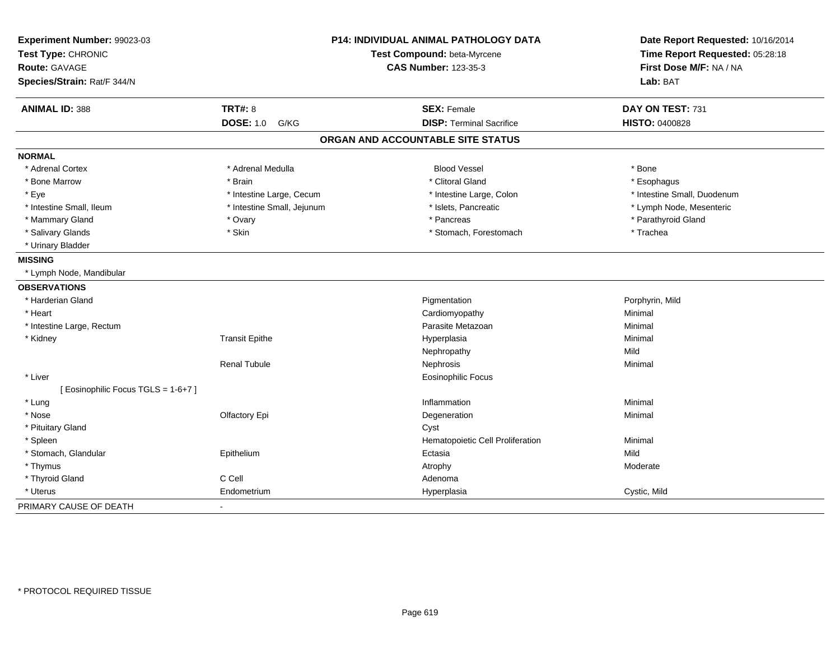| Experiment Number: 99023-03<br>Test Type: CHRONIC<br><b>Route: GAVAGE</b><br>Species/Strain: Rat/F 344/N |                            | <b>P14: INDIVIDUAL ANIMAL PATHOLOGY DATA</b><br>Test Compound: beta-Myrcene<br><b>CAS Number: 123-35-3</b> | Date Report Requested: 10/16/2014<br>Time Report Requested: 05:28:18<br>First Dose M/F: NA / NA<br>Lab: BAT |
|----------------------------------------------------------------------------------------------------------|----------------------------|------------------------------------------------------------------------------------------------------------|-------------------------------------------------------------------------------------------------------------|
| <b>ANIMAL ID: 388</b>                                                                                    | <b>TRT#: 8</b>             | <b>SEX: Female</b>                                                                                         | DAY ON TEST: 731                                                                                            |
|                                                                                                          | <b>DOSE: 1.0</b><br>G/KG   | <b>DISP: Terminal Sacrifice</b>                                                                            | <b>HISTO: 0400828</b>                                                                                       |
|                                                                                                          |                            | ORGAN AND ACCOUNTABLE SITE STATUS                                                                          |                                                                                                             |
| <b>NORMAL</b>                                                                                            |                            |                                                                                                            |                                                                                                             |
| * Adrenal Cortex                                                                                         | * Adrenal Medulla          | <b>Blood Vessel</b>                                                                                        | * Bone                                                                                                      |
| * Bone Marrow                                                                                            | * Brain                    | * Clitoral Gland                                                                                           | * Esophagus                                                                                                 |
| * Eye                                                                                                    | * Intestine Large, Cecum   | * Intestine Large, Colon                                                                                   | * Intestine Small, Duodenum                                                                                 |
| * Intestine Small, Ileum                                                                                 | * Intestine Small, Jejunum | * Islets, Pancreatic                                                                                       | * Lymph Node, Mesenteric                                                                                    |
| * Mammary Gland                                                                                          | * Ovary                    | * Pancreas                                                                                                 | * Parathyroid Gland                                                                                         |
| * Salivary Glands                                                                                        | * Skin                     | * Stomach, Forestomach                                                                                     | * Trachea                                                                                                   |
| * Urinary Bladder                                                                                        |                            |                                                                                                            |                                                                                                             |
| <b>MISSING</b>                                                                                           |                            |                                                                                                            |                                                                                                             |
| * Lymph Node, Mandibular                                                                                 |                            |                                                                                                            |                                                                                                             |
| <b>OBSERVATIONS</b>                                                                                      |                            |                                                                                                            |                                                                                                             |
| * Harderian Gland                                                                                        |                            | Pigmentation                                                                                               | Porphyrin, Mild                                                                                             |
| * Heart                                                                                                  |                            | Cardiomyopathy                                                                                             | Minimal                                                                                                     |
| * Intestine Large, Rectum                                                                                |                            | Parasite Metazoan                                                                                          | Minimal                                                                                                     |
| * Kidney                                                                                                 | <b>Transit Epithe</b>      | Hyperplasia                                                                                                | Minimal                                                                                                     |
|                                                                                                          |                            | Nephropathy                                                                                                | Mild                                                                                                        |
|                                                                                                          | <b>Renal Tubule</b>        | Nephrosis                                                                                                  | Minimal                                                                                                     |
| * Liver                                                                                                  |                            | <b>Eosinophilic Focus</b>                                                                                  |                                                                                                             |
| [ Eosinophilic Focus TGLS = 1-6+7 ]                                                                      |                            |                                                                                                            |                                                                                                             |
| * Lung                                                                                                   |                            | Inflammation                                                                                               | Minimal                                                                                                     |
| * Nose                                                                                                   | Olfactory Epi              | Degeneration                                                                                               | Minimal                                                                                                     |
| * Pituitary Gland                                                                                        |                            | Cyst                                                                                                       |                                                                                                             |
| * Spleen                                                                                                 |                            | Hematopoietic Cell Proliferation                                                                           | Minimal                                                                                                     |
| * Stomach, Glandular                                                                                     | Epithelium                 | Ectasia                                                                                                    | Mild                                                                                                        |
| * Thymus                                                                                                 |                            | Atrophy                                                                                                    | Moderate                                                                                                    |
| * Thyroid Gland                                                                                          | C Cell                     | Adenoma                                                                                                    |                                                                                                             |
| * Uterus                                                                                                 | Endometrium                | Hyperplasia                                                                                                | Cystic, Mild                                                                                                |
| PRIMARY CAUSE OF DEATH                                                                                   | $\blacksquare$             |                                                                                                            |                                                                                                             |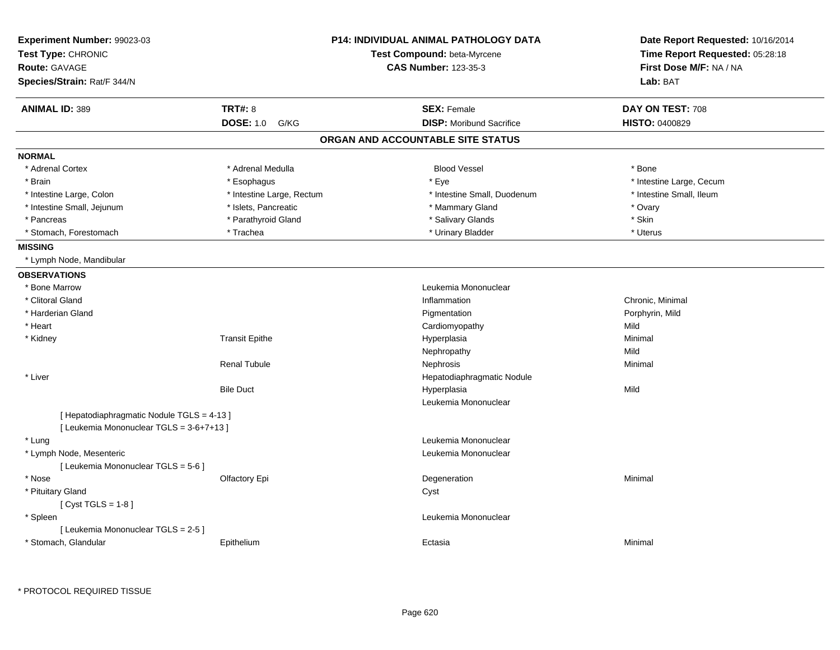| Experiment Number: 99023-03                |                           | <b>P14: INDIVIDUAL ANIMAL PATHOLOGY DATA</b> | Date Report Requested: 10/16/2014 |
|--------------------------------------------|---------------------------|----------------------------------------------|-----------------------------------|
| Test Type: CHRONIC                         |                           | Test Compound: beta-Myrcene                  | Time Report Requested: 05:28:18   |
| Route: GAVAGE                              |                           | <b>CAS Number: 123-35-3</b>                  | First Dose M/F: NA / NA           |
| Species/Strain: Rat/F 344/N                |                           |                                              | Lab: BAT                          |
| <b>ANIMAL ID: 389</b>                      | <b>TRT#: 8</b>            | <b>SEX: Female</b>                           | DAY ON TEST: 708                  |
|                                            | <b>DOSE: 1.0</b><br>G/KG  | <b>DISP:</b> Moribund Sacrifice              | HISTO: 0400829                    |
|                                            |                           | ORGAN AND ACCOUNTABLE SITE STATUS            |                                   |
| <b>NORMAL</b>                              |                           |                                              |                                   |
| * Adrenal Cortex                           | * Adrenal Medulla         | <b>Blood Vessel</b>                          | * Bone                            |
| * Brain                                    | * Esophagus               | * Eye                                        | * Intestine Large, Cecum          |
| * Intestine Large, Colon                   | * Intestine Large, Rectum | * Intestine Small, Duodenum                  | * Intestine Small, Ileum          |
| * Intestine Small, Jejunum                 | * Islets, Pancreatic      | * Mammary Gland                              | * Ovary                           |
| * Pancreas                                 | * Parathyroid Gland       | * Salivary Glands                            | * Skin                            |
| * Stomach, Forestomach                     | * Trachea                 | * Urinary Bladder                            | * Uterus                          |
| <b>MISSING</b>                             |                           |                                              |                                   |
| * Lymph Node, Mandibular                   |                           |                                              |                                   |
| <b>OBSERVATIONS</b>                        |                           |                                              |                                   |
| * Bone Marrow                              |                           | Leukemia Mononuclear                         |                                   |
| * Clitoral Gland                           |                           | Inflammation                                 | Chronic, Minimal                  |
| * Harderian Gland                          |                           | Pigmentation                                 | Porphyrin, Mild                   |
| * Heart                                    |                           | Cardiomyopathy                               | Mild                              |
| * Kidney                                   | <b>Transit Epithe</b>     | Hyperplasia                                  | Minimal                           |
|                                            |                           | Nephropathy                                  | Mild                              |
|                                            | <b>Renal Tubule</b>       | Nephrosis                                    | Minimal                           |
| * Liver                                    |                           | Hepatodiaphragmatic Nodule                   |                                   |
|                                            | <b>Bile Duct</b>          | Hyperplasia                                  | Mild                              |
|                                            |                           | Leukemia Mononuclear                         |                                   |
| [ Hepatodiaphragmatic Nodule TGLS = 4-13 ] |                           |                                              |                                   |
| [ Leukemia Mononuclear TGLS = 3-6+7+13 ]   |                           |                                              |                                   |
| * Lung                                     |                           | Leukemia Mononuclear                         |                                   |
| * Lymph Node, Mesenteric                   |                           | Leukemia Mononuclear                         |                                   |
| [ Leukemia Mononuclear TGLS = 5-6 ]        |                           |                                              |                                   |
| * Nose                                     | Olfactory Epi             | Degeneration                                 | Minimal                           |
| * Pituitary Gland                          |                           | Cyst                                         |                                   |
| [Cyst TGLS = $1-8$ ]                       |                           |                                              |                                   |
| * Spleen                                   |                           | Leukemia Mononuclear                         |                                   |
| [ Leukemia Mononuclear TGLS = 2-5 ]        |                           |                                              |                                   |
| * Stomach, Glandular                       | Epithelium                | Ectasia                                      | Minimal                           |
|                                            |                           |                                              |                                   |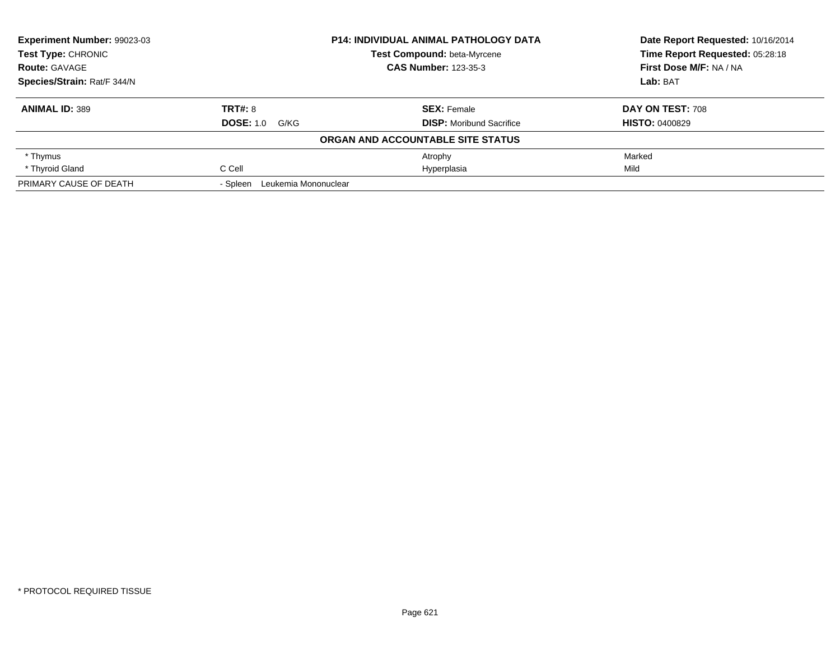| <b>Experiment Number: 99023-03</b><br>Test Type: CHRONIC |                                  | <b>P14: INDIVIDUAL ANIMAL PATHOLOGY DATA</b> | Date Report Requested: 10/16/2014 |
|----------------------------------------------------------|----------------------------------|----------------------------------------------|-----------------------------------|
|                                                          |                                  | <b>Test Compound: beta-Myrcene</b>           | Time Report Requested: 05:28:18   |
| <b>Route: GAVAGE</b>                                     |                                  | <b>CAS Number: 123-35-3</b>                  | First Dose M/F: NA / NA           |
| Species/Strain: Rat/F 344/N                              |                                  |                                              | Lab: BAT                          |
| <b>ANIMAL ID: 389</b>                                    | <b>TRT#: 8</b>                   | <b>SEX:</b> Female                           | DAY ON TEST: 708                  |
|                                                          | <b>DOSE: 1.0 G/KG</b>            | <b>DISP:</b> Moribund Sacrifice              | <b>HISTO: 0400829</b>             |
|                                                          |                                  | ORGAN AND ACCOUNTABLE SITE STATUS            |                                   |
| * Thymus                                                 |                                  | Atrophy                                      | Marked                            |
| * Thyroid Gland                                          | C Cell                           | Hyperplasia                                  | Mild                              |
| PRIMARY CAUSE OF DEATH                                   | Leukemia Mononuclear<br>- Spleen |                                              |                                   |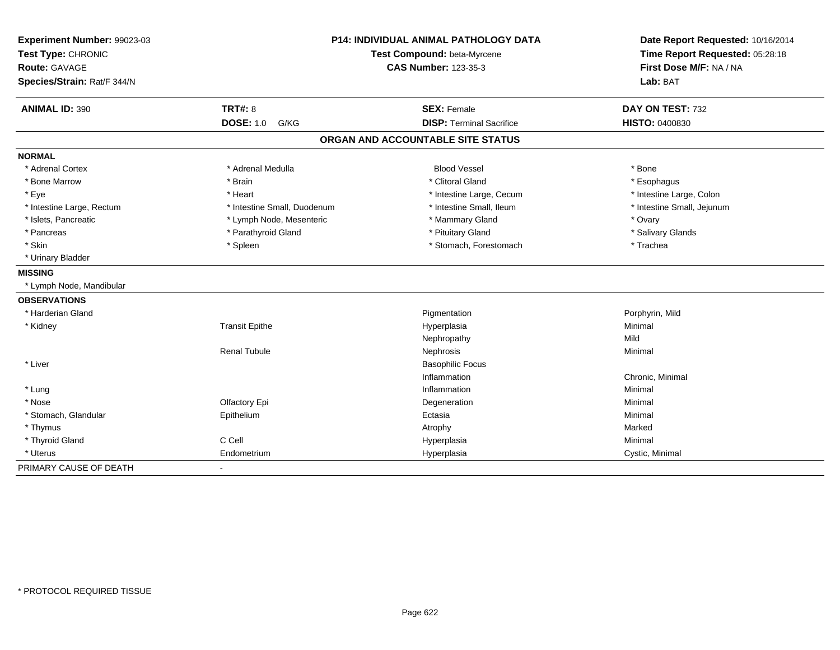| Experiment Number: 99023-03<br>Test Type: CHRONIC<br><b>Route: GAVAGE</b><br>Species/Strain: Rat/F 344/N |                             | P14: INDIVIDUAL ANIMAL PATHOLOGY DATA<br>Test Compound: beta-Myrcene<br><b>CAS Number: 123-35-3</b> | Date Report Requested: 10/16/2014<br>Time Report Requested: 05:28:18<br>First Dose M/F: NA / NA<br>Lab: BAT |
|----------------------------------------------------------------------------------------------------------|-----------------------------|-----------------------------------------------------------------------------------------------------|-------------------------------------------------------------------------------------------------------------|
| <b>ANIMAL ID: 390</b>                                                                                    | <b>TRT#: 8</b>              | <b>SEX: Female</b>                                                                                  | DAY ON TEST: 732                                                                                            |
|                                                                                                          | <b>DOSE: 1.0</b><br>G/KG    | <b>DISP: Terminal Sacrifice</b>                                                                     | HISTO: 0400830                                                                                              |
|                                                                                                          |                             | ORGAN AND ACCOUNTABLE SITE STATUS                                                                   |                                                                                                             |
| <b>NORMAL</b>                                                                                            |                             |                                                                                                     |                                                                                                             |
| * Adrenal Cortex                                                                                         | * Adrenal Medulla           | <b>Blood Vessel</b>                                                                                 | * Bone                                                                                                      |
| * Bone Marrow                                                                                            | * Brain                     | * Clitoral Gland                                                                                    | * Esophagus                                                                                                 |
| * Eye                                                                                                    | * Heart                     | * Intestine Large, Cecum                                                                            | * Intestine Large, Colon                                                                                    |
| * Intestine Large, Rectum                                                                                | * Intestine Small, Duodenum | * Intestine Small, Ileum                                                                            | * Intestine Small, Jejunum                                                                                  |
| * Islets, Pancreatic                                                                                     | * Lymph Node, Mesenteric    | * Mammary Gland                                                                                     | * Ovary                                                                                                     |
| * Pancreas                                                                                               | * Parathyroid Gland         | * Pituitary Gland                                                                                   | * Salivary Glands                                                                                           |
| * Skin                                                                                                   | * Spleen                    | * Stomach, Forestomach                                                                              | * Trachea                                                                                                   |
| * Urinary Bladder                                                                                        |                             |                                                                                                     |                                                                                                             |
| <b>MISSING</b>                                                                                           |                             |                                                                                                     |                                                                                                             |
| * Lymph Node, Mandibular                                                                                 |                             |                                                                                                     |                                                                                                             |
| <b>OBSERVATIONS</b>                                                                                      |                             |                                                                                                     |                                                                                                             |
| * Harderian Gland                                                                                        |                             | Pigmentation                                                                                        | Porphyrin, Mild                                                                                             |
| * Kidney                                                                                                 | <b>Transit Epithe</b>       | Hyperplasia                                                                                         | Minimal                                                                                                     |
|                                                                                                          |                             | Nephropathy                                                                                         | Mild                                                                                                        |
|                                                                                                          | <b>Renal Tubule</b>         | Nephrosis                                                                                           | Minimal                                                                                                     |
| * Liver                                                                                                  |                             | <b>Basophilic Focus</b>                                                                             |                                                                                                             |
|                                                                                                          |                             | Inflammation                                                                                        | Chronic, Minimal                                                                                            |
| * Lung                                                                                                   |                             | Inflammation                                                                                        | Minimal                                                                                                     |
| * Nose                                                                                                   | Olfactory Epi               | Degeneration                                                                                        | Minimal                                                                                                     |
| * Stomach, Glandular                                                                                     | Epithelium                  | Ectasia                                                                                             | Minimal                                                                                                     |
| * Thymus                                                                                                 |                             | Atrophy                                                                                             | Marked                                                                                                      |
| * Thyroid Gland                                                                                          | C Cell                      | Hyperplasia                                                                                         | Minimal                                                                                                     |
| * Uterus                                                                                                 | Endometrium                 | Hyperplasia                                                                                         | Cystic, Minimal                                                                                             |
| PRIMARY CAUSE OF DEATH                                                                                   |                             |                                                                                                     |                                                                                                             |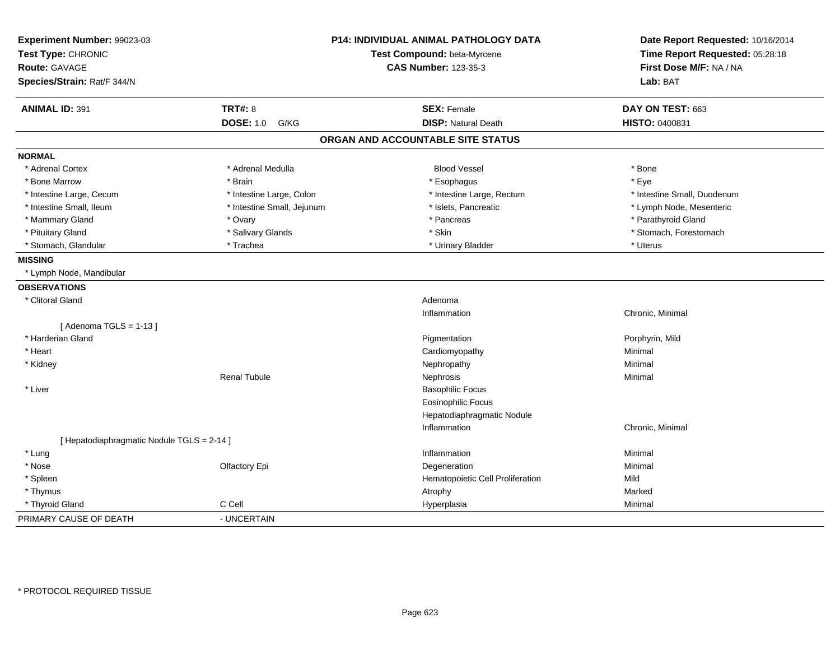| Experiment Number: 99023-03<br>Test Type: CHRONIC<br><b>Route: GAVAGE</b><br>Species/Strain: Rat/F 344/N |                            | <b>P14: INDIVIDUAL ANIMAL PATHOLOGY DATA</b><br>Test Compound: beta-Myrcene<br><b>CAS Number: 123-35-3</b> | Date Report Requested: 10/16/2014<br>Time Report Requested: 05:28:18<br>First Dose M/F: NA / NA<br>Lab: BAT |
|----------------------------------------------------------------------------------------------------------|----------------------------|------------------------------------------------------------------------------------------------------------|-------------------------------------------------------------------------------------------------------------|
| <b>ANIMAL ID: 391</b>                                                                                    | <b>TRT#: 8</b>             | <b>SEX: Female</b>                                                                                         | DAY ON TEST: 663                                                                                            |
|                                                                                                          | <b>DOSE: 1.0 G/KG</b>      | <b>DISP: Natural Death</b>                                                                                 | HISTO: 0400831                                                                                              |
|                                                                                                          |                            | ORGAN AND ACCOUNTABLE SITE STATUS                                                                          |                                                                                                             |
| <b>NORMAL</b>                                                                                            |                            |                                                                                                            |                                                                                                             |
| * Adrenal Cortex                                                                                         | * Adrenal Medulla          | <b>Blood Vessel</b>                                                                                        | * Bone                                                                                                      |
| * Bone Marrow                                                                                            | * Brain                    | * Esophagus                                                                                                | * Eye                                                                                                       |
| * Intestine Large, Cecum                                                                                 | * Intestine Large, Colon   | * Intestine Large, Rectum                                                                                  | * Intestine Small, Duodenum                                                                                 |
| * Intestine Small, Ileum                                                                                 | * Intestine Small, Jejunum | * Islets, Pancreatic                                                                                       | * Lymph Node, Mesenteric                                                                                    |
| * Mammary Gland                                                                                          | * Ovary                    | * Pancreas                                                                                                 | * Parathyroid Gland                                                                                         |
| * Pituitary Gland                                                                                        | * Salivary Glands          | * Skin                                                                                                     | * Stomach, Forestomach                                                                                      |
| * Stomach, Glandular                                                                                     | * Trachea                  | * Urinary Bladder                                                                                          | * Uterus                                                                                                    |
| <b>MISSING</b>                                                                                           |                            |                                                                                                            |                                                                                                             |
| * Lymph Node, Mandibular                                                                                 |                            |                                                                                                            |                                                                                                             |
| <b>OBSERVATIONS</b>                                                                                      |                            |                                                                                                            |                                                                                                             |
| * Clitoral Gland                                                                                         |                            | Adenoma                                                                                                    |                                                                                                             |
|                                                                                                          |                            | Inflammation                                                                                               | Chronic, Minimal                                                                                            |
| [Adenoma TGLS = $1-13$ ]                                                                                 |                            |                                                                                                            |                                                                                                             |
| * Harderian Gland                                                                                        |                            | Pigmentation                                                                                               | Porphyrin, Mild                                                                                             |
| * Heart                                                                                                  |                            | Cardiomyopathy                                                                                             | Minimal                                                                                                     |
| * Kidney                                                                                                 |                            | Nephropathy                                                                                                | Minimal                                                                                                     |
|                                                                                                          | <b>Renal Tubule</b>        | Nephrosis                                                                                                  | Minimal                                                                                                     |
| * Liver                                                                                                  |                            | <b>Basophilic Focus</b>                                                                                    |                                                                                                             |
|                                                                                                          |                            | <b>Eosinophilic Focus</b>                                                                                  |                                                                                                             |
|                                                                                                          |                            | Hepatodiaphragmatic Nodule                                                                                 |                                                                                                             |
|                                                                                                          |                            | Inflammation                                                                                               | Chronic, Minimal                                                                                            |
| [ Hepatodiaphragmatic Nodule TGLS = 2-14 ]                                                               |                            |                                                                                                            |                                                                                                             |
| * Lung                                                                                                   |                            | Inflammation                                                                                               | Minimal                                                                                                     |
| * Nose                                                                                                   | Olfactory Epi              | Degeneration                                                                                               | Minimal                                                                                                     |
| * Spleen                                                                                                 |                            | Hematopoietic Cell Proliferation                                                                           | Mild                                                                                                        |
| * Thymus                                                                                                 |                            | Atrophy                                                                                                    | Marked                                                                                                      |
| * Thyroid Gland                                                                                          | C Cell                     | Hyperplasia                                                                                                | Minimal                                                                                                     |
| PRIMARY CAUSE OF DEATH                                                                                   | - UNCERTAIN                |                                                                                                            |                                                                                                             |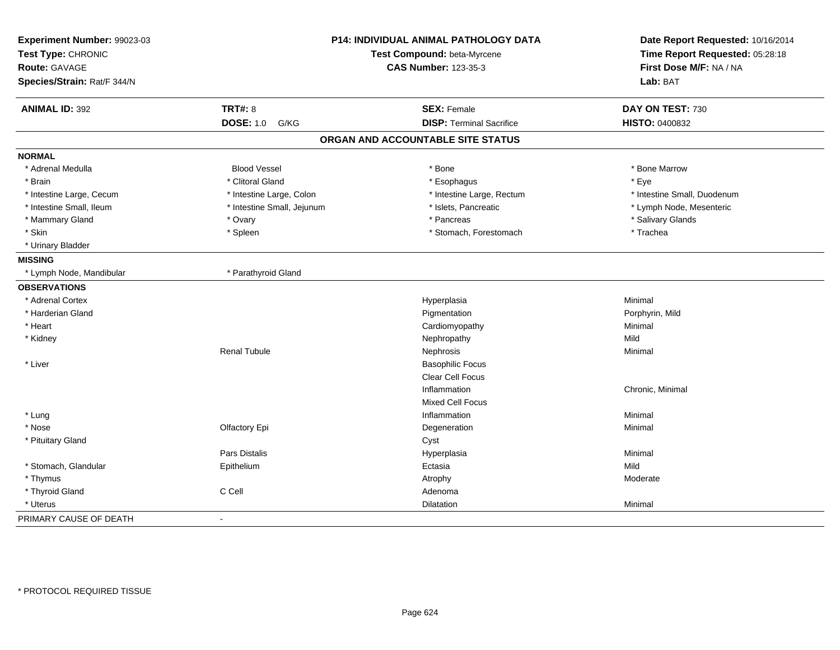| Experiment Number: 99023-03 | <b>P14: INDIVIDUAL ANIMAL PATHOLOGY DATA</b> |                                   | Date Report Requested: 10/16/2014   |  |
|-----------------------------|----------------------------------------------|-----------------------------------|-------------------------------------|--|
| Test Type: CHRONIC          |                                              | Test Compound: beta-Myrcene       | Time Report Requested: 05:28:18     |  |
| <b>Route: GAVAGE</b>        |                                              | <b>CAS Number: 123-35-3</b>       | First Dose M/F: NA / NA<br>Lab: BAT |  |
| Species/Strain: Rat/F 344/N |                                              |                                   |                                     |  |
| <b>ANIMAL ID: 392</b>       | <b>TRT#: 8</b>                               | <b>SEX: Female</b>                | DAY ON TEST: 730                    |  |
|                             | <b>DOSE: 1.0</b><br>G/KG                     | <b>DISP: Terminal Sacrifice</b>   | HISTO: 0400832                      |  |
|                             |                                              | ORGAN AND ACCOUNTABLE SITE STATUS |                                     |  |
| <b>NORMAL</b>               |                                              |                                   |                                     |  |
| * Adrenal Medulla           | <b>Blood Vessel</b>                          | * Bone                            | * Bone Marrow                       |  |
| * Brain                     | * Clitoral Gland                             | * Esophagus                       | * Eye                               |  |
| * Intestine Large, Cecum    | * Intestine Large, Colon                     | * Intestine Large, Rectum         | * Intestine Small, Duodenum         |  |
| * Intestine Small, Ileum    | * Intestine Small, Jejunum                   | * Islets, Pancreatic              | * Lymph Node, Mesenteric            |  |
| * Mammary Gland             | * Ovary                                      | * Pancreas                        | * Salivary Glands                   |  |
| * Skin                      | * Spleen                                     | * Stomach, Forestomach            | * Trachea                           |  |
| * Urinary Bladder           |                                              |                                   |                                     |  |
| <b>MISSING</b>              |                                              |                                   |                                     |  |
| * Lymph Node, Mandibular    | * Parathyroid Gland                          |                                   |                                     |  |
| <b>OBSERVATIONS</b>         |                                              |                                   |                                     |  |
| * Adrenal Cortex            |                                              | Hyperplasia                       | Minimal                             |  |
| * Harderian Gland           |                                              | Pigmentation                      | Porphyrin, Mild                     |  |
| * Heart                     |                                              | Cardiomyopathy                    | Minimal                             |  |
| * Kidney                    |                                              | Nephropathy                       | Mild                                |  |
|                             | <b>Renal Tubule</b>                          | Nephrosis                         | Minimal                             |  |
| * Liver                     |                                              | <b>Basophilic Focus</b>           |                                     |  |
|                             |                                              | Clear Cell Focus                  |                                     |  |
|                             |                                              | Inflammation                      | Chronic, Minimal                    |  |
|                             |                                              | <b>Mixed Cell Focus</b>           |                                     |  |
| * Lung                      |                                              | Inflammation                      | Minimal                             |  |
| * Nose                      | Olfactory Epi                                | Degeneration                      | Minimal                             |  |
| * Pituitary Gland           |                                              | Cyst                              |                                     |  |
|                             | Pars Distalis                                | Hyperplasia                       | Minimal                             |  |
| * Stomach, Glandular        | Epithelium                                   | Ectasia                           | Mild                                |  |
| * Thymus                    |                                              | Atrophy                           | Moderate                            |  |
| * Thyroid Gland             | C Cell                                       | Adenoma                           |                                     |  |
| * Uterus                    |                                              | Dilatation                        | Minimal                             |  |
| PRIMARY CAUSE OF DEATH      | $\blacksquare$                               |                                   |                                     |  |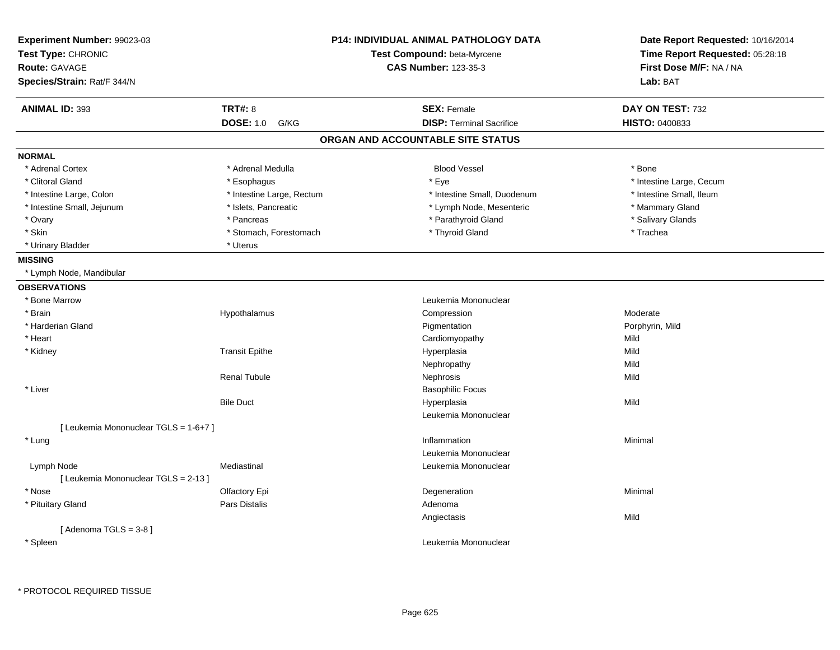| Experiment Number: 99023-03<br>Test Type: CHRONIC<br><b>Route: GAVAGE</b><br>Species/Strain: Rat/F 344/N | <b>P14: INDIVIDUAL ANIMAL PATHOLOGY DATA</b><br>Test Compound: beta-Myrcene<br><b>CAS Number: 123-35-3</b> |                                   | Date Report Requested: 10/16/2014<br>Time Report Requested: 05:28:18<br>First Dose M/F: NA / NA<br>Lab: BAT |
|----------------------------------------------------------------------------------------------------------|------------------------------------------------------------------------------------------------------------|-----------------------------------|-------------------------------------------------------------------------------------------------------------|
| <b>ANIMAL ID: 393</b>                                                                                    | <b>TRT#: 8</b>                                                                                             | <b>SEX: Female</b>                | DAY ON TEST: 732                                                                                            |
|                                                                                                          | <b>DOSE: 1.0</b><br>G/KG                                                                                   | <b>DISP: Terminal Sacrifice</b>   | HISTO: 0400833                                                                                              |
|                                                                                                          |                                                                                                            | ORGAN AND ACCOUNTABLE SITE STATUS |                                                                                                             |
| <b>NORMAL</b>                                                                                            |                                                                                                            |                                   |                                                                                                             |
| * Adrenal Cortex                                                                                         | * Adrenal Medulla                                                                                          | <b>Blood Vessel</b>               | * Bone                                                                                                      |
| * Clitoral Gland                                                                                         | * Esophagus                                                                                                | * Eye                             | * Intestine Large, Cecum                                                                                    |
| * Intestine Large, Colon                                                                                 | * Intestine Large, Rectum                                                                                  | * Intestine Small, Duodenum       | * Intestine Small, Ileum                                                                                    |
| * Intestine Small, Jejunum                                                                               | * Islets, Pancreatic                                                                                       | * Lymph Node, Mesenteric          | * Mammary Gland                                                                                             |
| * Ovary                                                                                                  | * Pancreas                                                                                                 | * Parathyroid Gland               | * Salivary Glands                                                                                           |
| * Skin                                                                                                   | * Stomach, Forestomach                                                                                     | * Thyroid Gland                   | * Trachea                                                                                                   |
| * Urinary Bladder                                                                                        | * Uterus                                                                                                   |                                   |                                                                                                             |
| <b>MISSING</b>                                                                                           |                                                                                                            |                                   |                                                                                                             |
| * Lymph Node, Mandibular                                                                                 |                                                                                                            |                                   |                                                                                                             |
| <b>OBSERVATIONS</b>                                                                                      |                                                                                                            |                                   |                                                                                                             |
| * Bone Marrow                                                                                            |                                                                                                            | Leukemia Mononuclear              |                                                                                                             |
| * Brain                                                                                                  | Hypothalamus                                                                                               | Compression                       | Moderate                                                                                                    |
| * Harderian Gland                                                                                        |                                                                                                            | Pigmentation                      | Porphyrin, Mild                                                                                             |
| * Heart                                                                                                  |                                                                                                            | Cardiomyopathy                    | Mild                                                                                                        |
| * Kidney                                                                                                 | <b>Transit Epithe</b>                                                                                      | Hyperplasia                       | Mild                                                                                                        |
|                                                                                                          |                                                                                                            | Nephropathy                       | Mild                                                                                                        |
|                                                                                                          | <b>Renal Tubule</b>                                                                                        | Nephrosis                         | Mild                                                                                                        |
| * Liver                                                                                                  |                                                                                                            | <b>Basophilic Focus</b>           |                                                                                                             |
|                                                                                                          | <b>Bile Duct</b>                                                                                           | Hyperplasia                       | Mild                                                                                                        |
|                                                                                                          |                                                                                                            | Leukemia Mononuclear              |                                                                                                             |
| [ Leukemia Mononuclear TGLS = 1-6+7 ]                                                                    |                                                                                                            |                                   |                                                                                                             |
| * Lung                                                                                                   |                                                                                                            | Inflammation                      | Minimal                                                                                                     |
|                                                                                                          |                                                                                                            | Leukemia Mononuclear              |                                                                                                             |
| Lymph Node                                                                                               | Mediastinal                                                                                                | Leukemia Mononuclear              |                                                                                                             |
| [ Leukemia Mononuclear TGLS = 2-13 ]                                                                     |                                                                                                            |                                   |                                                                                                             |
| * Nose                                                                                                   | Olfactory Epi                                                                                              | Degeneration                      | Minimal                                                                                                     |
| * Pituitary Gland                                                                                        | Pars Distalis                                                                                              | Adenoma                           |                                                                                                             |
|                                                                                                          |                                                                                                            | Angiectasis                       | Mild                                                                                                        |
| [Adenoma TGLS = $3-8$ ]                                                                                  |                                                                                                            |                                   |                                                                                                             |
| * Spleen                                                                                                 |                                                                                                            | Leukemia Mononuclear              |                                                                                                             |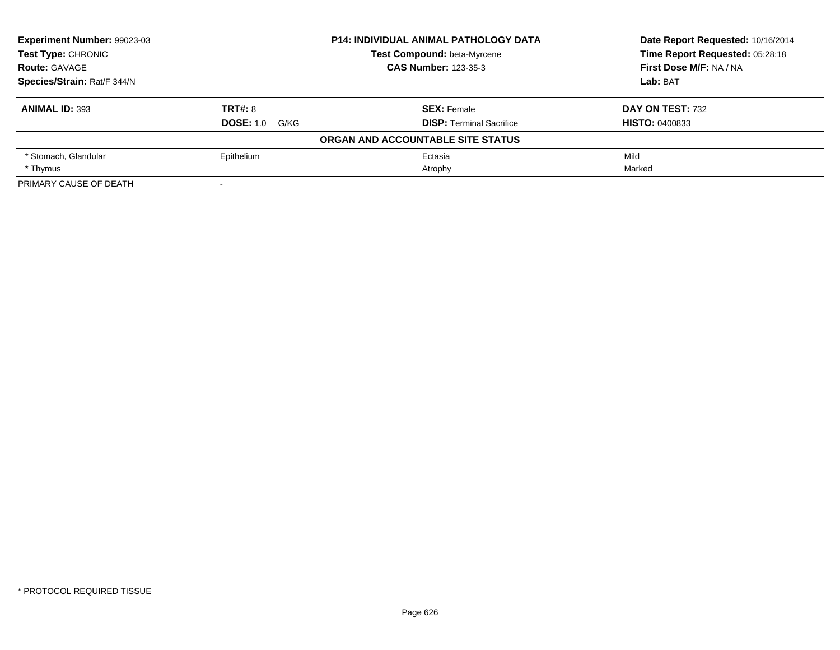| Experiment Number: 99023-03 |                             | <b>P14: INDIVIDUAL ANIMAL PATHOLOGY DATA</b> | Date Report Requested: 10/16/2014 |
|-----------------------------|-----------------------------|----------------------------------------------|-----------------------------------|
| <b>Test Type: CHRONIC</b>   |                             | Test Compound: beta-Myrcene                  | Time Report Requested: 05:28:18   |
| <b>Route: GAVAGE</b>        | <b>CAS Number: 123-35-3</b> |                                              | First Dose M/F: NA / NA           |
| Species/Strain: Rat/F 344/N |                             |                                              | Lab: BAT                          |
| <b>ANIMAL ID: 393</b>       | <b>TRT#: 8</b>              | <b>SEX: Female</b>                           | DAY ON TEST: 732                  |
|                             | <b>DOSE: 1.0 G/KG</b>       | <b>DISP:</b> Terminal Sacrifice              | <b>HISTO: 0400833</b>             |
|                             |                             | ORGAN AND ACCOUNTABLE SITE STATUS            |                                   |
| * Stomach, Glandular        | Epithelium                  | Ectasia                                      | Mild                              |
| * Thymus                    |                             | Atrophy                                      | Marked                            |
| PRIMARY CAUSE OF DEATH      | $\,$                        |                                              |                                   |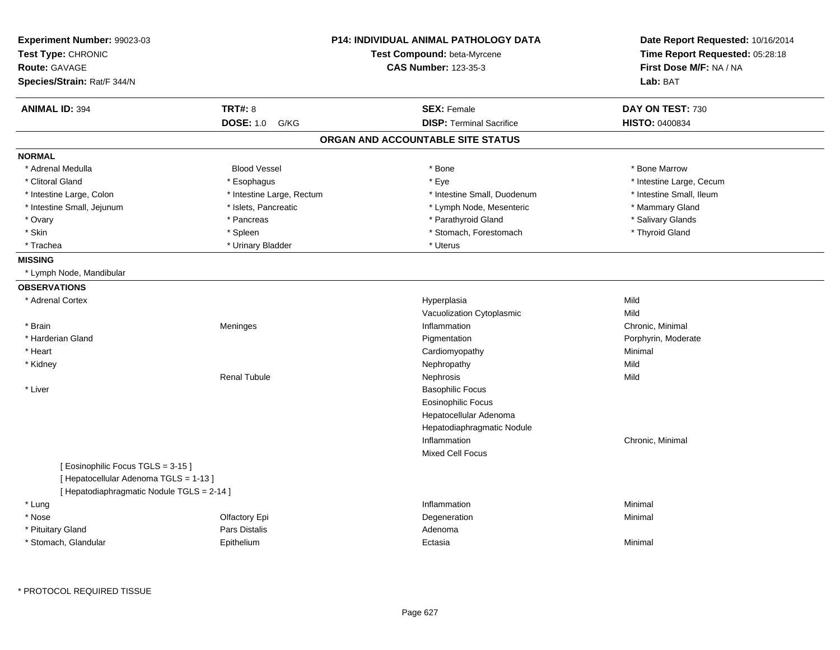| Experiment Number: 99023-03<br>Test Type: CHRONIC                          |                           | <b>P14: INDIVIDUAL ANIMAL PATHOLOGY DATA</b><br>Test Compound: beta-Myrcene | Date Report Requested: 10/16/2014<br>Time Report Requested: 05:28:18 |
|----------------------------------------------------------------------------|---------------------------|-----------------------------------------------------------------------------|----------------------------------------------------------------------|
| <b>Route: GAVAGE</b><br>Species/Strain: Rat/F 344/N                        |                           | <b>CAS Number: 123-35-3</b>                                                 | First Dose M/F: NA / NA<br>Lab: BAT                                  |
|                                                                            |                           |                                                                             |                                                                      |
| <b>ANIMAL ID: 394</b>                                                      | <b>TRT#: 8</b>            | <b>SEX: Female</b>                                                          | DAY ON TEST: 730                                                     |
|                                                                            | <b>DOSE: 1.0</b><br>G/KG  | <b>DISP: Terminal Sacrifice</b>                                             | <b>HISTO: 0400834</b>                                                |
|                                                                            |                           | ORGAN AND ACCOUNTABLE SITE STATUS                                           |                                                                      |
| <b>NORMAL</b>                                                              |                           |                                                                             |                                                                      |
| * Adrenal Medulla                                                          | <b>Blood Vessel</b>       | * Bone                                                                      | * Bone Marrow                                                        |
| * Clitoral Gland                                                           | * Esophagus               | * Eye                                                                       | * Intestine Large, Cecum                                             |
| * Intestine Large, Colon                                                   | * Intestine Large, Rectum | * Intestine Small, Duodenum                                                 | * Intestine Small, Ileum                                             |
| * Intestine Small, Jejunum                                                 | * Islets, Pancreatic      | * Lymph Node, Mesenteric                                                    | * Mammary Gland                                                      |
| * Ovary                                                                    | * Pancreas                | * Parathyroid Gland                                                         | * Salivary Glands                                                    |
| * Skin                                                                     | * Spleen                  | * Stomach, Forestomach                                                      | * Thyroid Gland                                                      |
| * Trachea                                                                  | * Urinary Bladder         | * Uterus                                                                    |                                                                      |
| <b>MISSING</b>                                                             |                           |                                                                             |                                                                      |
| * Lymph Node, Mandibular                                                   |                           |                                                                             |                                                                      |
| <b>OBSERVATIONS</b>                                                        |                           |                                                                             |                                                                      |
| * Adrenal Cortex                                                           |                           | Hyperplasia                                                                 | Mild                                                                 |
|                                                                            |                           | Vacuolization Cytoplasmic                                                   | Mild                                                                 |
| * Brain                                                                    | Meninges                  | Inflammation                                                                | Chronic, Minimal                                                     |
| * Harderian Gland                                                          |                           | Pigmentation                                                                | Porphyrin, Moderate                                                  |
| * Heart                                                                    |                           | Cardiomyopathy                                                              | Minimal                                                              |
| * Kidney                                                                   |                           | Nephropathy                                                                 | Mild                                                                 |
|                                                                            | <b>Renal Tubule</b>       | Nephrosis                                                                   | Mild                                                                 |
| * Liver                                                                    |                           | <b>Basophilic Focus</b>                                                     |                                                                      |
|                                                                            |                           | <b>Eosinophilic Focus</b>                                                   |                                                                      |
|                                                                            |                           | Hepatocellular Adenoma                                                      |                                                                      |
|                                                                            |                           | Hepatodiaphragmatic Nodule                                                  |                                                                      |
|                                                                            |                           | Inflammation                                                                | Chronic, Minimal                                                     |
|                                                                            |                           | <b>Mixed Cell Focus</b>                                                     |                                                                      |
| [Eosinophilic Focus TGLS = 3-15]<br>[ Hepatocellular Adenoma TGLS = 1-13 ] |                           |                                                                             |                                                                      |
| [ Hepatodiaphragmatic Nodule TGLS = 2-14 ]                                 |                           | Inflammation                                                                | Minimal                                                              |
| * Lung<br>* Nose                                                           |                           |                                                                             |                                                                      |
|                                                                            | Olfactory Epi             | Degeneration                                                                | Minimal                                                              |
| * Pituitary Gland                                                          | <b>Pars Distalis</b>      | Adenoma                                                                     |                                                                      |
| * Stomach, Glandular                                                       | Epithelium                | Ectasia                                                                     | Minimal                                                              |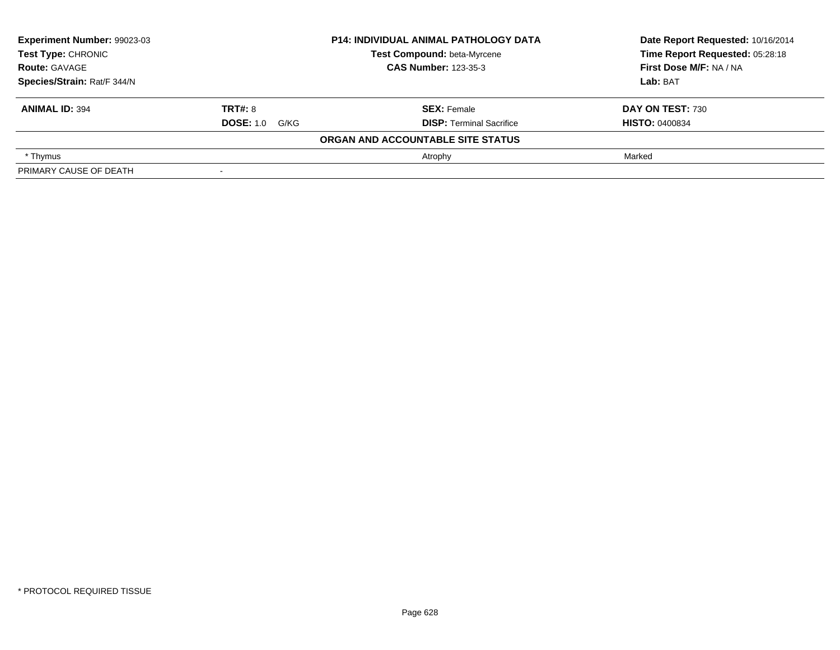| Experiment Number: 99023-03<br><b>Test Type: CHRONIC</b><br><b>Route: GAVAGE</b> |                       | <b>P14: INDIVIDUAL ANIMAL PATHOLOGY DATA</b> | Date Report Requested: 10/16/2014 |  |
|----------------------------------------------------------------------------------|-----------------------|----------------------------------------------|-----------------------------------|--|
|                                                                                  |                       | Test Compound: beta-Myrcene                  | Time Report Requested: 05:28:18   |  |
|                                                                                  |                       | <b>CAS Number: 123-35-3</b>                  | First Dose M/F: NA / NA           |  |
| Species/Strain: Rat/F 344/N                                                      |                       |                                              | Lab: BAT                          |  |
| <b>ANIMAL ID: 394</b>                                                            | <b>TRT#: 8</b>        | <b>SEX: Female</b>                           | DAY ON TEST: 730                  |  |
|                                                                                  | <b>DOSE:</b> 1.0 G/KG | <b>DISP: Terminal Sacrifice</b>              | <b>HISTO: 0400834</b>             |  |
|                                                                                  |                       | ORGAN AND ACCOUNTABLE SITE STATUS            |                                   |  |
| * Thymus                                                                         |                       | Atrophy                                      | Marked                            |  |
| PRIMARY CAUSE OF DEATH                                                           |                       |                                              |                                   |  |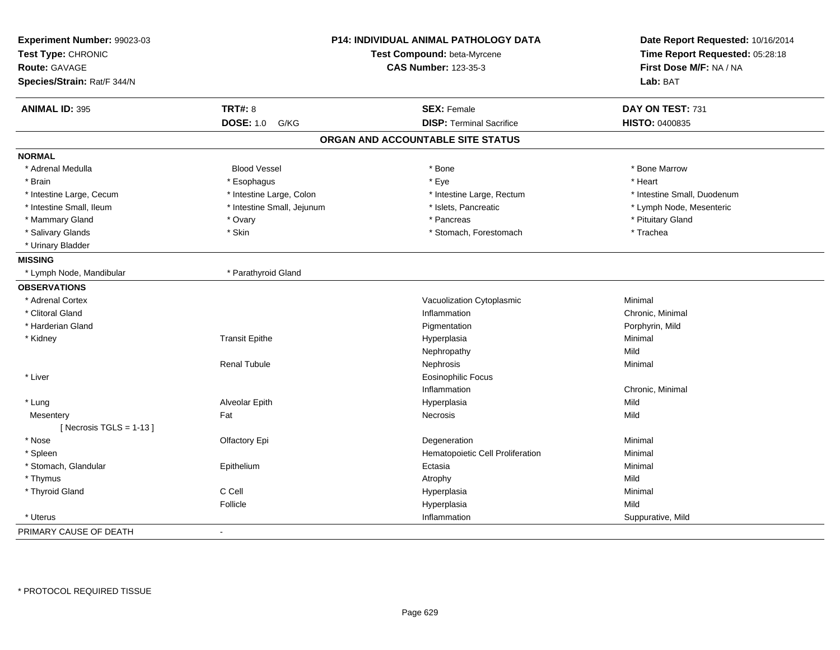| Experiment Number: 99023-03<br>Test Type: CHRONIC<br>Route: GAVAGE | P14: INDIVIDUAL ANIMAL PATHOLOGY DATA<br>Test Compound: beta-Myrcene<br><b>CAS Number: 123-35-3</b> |                                   | Date Report Requested: 10/16/2014<br>Time Report Requested: 05:28:18<br>First Dose M/F: NA / NA |
|--------------------------------------------------------------------|-----------------------------------------------------------------------------------------------------|-----------------------------------|-------------------------------------------------------------------------------------------------|
| Species/Strain: Rat/F 344/N                                        |                                                                                                     |                                   | Lab: BAT                                                                                        |
| <b>ANIMAL ID: 395</b>                                              | <b>TRT#: 8</b>                                                                                      | <b>SEX: Female</b>                | DAY ON TEST: 731                                                                                |
|                                                                    | <b>DOSE: 1.0</b><br>G/KG                                                                            | <b>DISP: Terminal Sacrifice</b>   | HISTO: 0400835                                                                                  |
|                                                                    |                                                                                                     | ORGAN AND ACCOUNTABLE SITE STATUS |                                                                                                 |
| <b>NORMAL</b>                                                      |                                                                                                     |                                   |                                                                                                 |
| * Adrenal Medulla                                                  | <b>Blood Vessel</b>                                                                                 | * Bone                            | * Bone Marrow                                                                                   |
| * Brain                                                            | * Esophagus                                                                                         | * Eye                             | * Heart                                                                                         |
| * Intestine Large, Cecum                                           | * Intestine Large, Colon                                                                            | * Intestine Large, Rectum         | * Intestine Small, Duodenum                                                                     |
| * Intestine Small, Ileum                                           | * Intestine Small, Jejunum                                                                          | * Islets, Pancreatic              | * Lymph Node, Mesenteric                                                                        |
| * Mammary Gland                                                    | * Ovary                                                                                             | * Pancreas                        | * Pituitary Gland                                                                               |
| * Salivary Glands                                                  | * Skin                                                                                              | * Stomach, Forestomach            | * Trachea                                                                                       |
| * Urinary Bladder                                                  |                                                                                                     |                                   |                                                                                                 |
| <b>MISSING</b>                                                     |                                                                                                     |                                   |                                                                                                 |
| * Lymph Node, Mandibular                                           | * Parathyroid Gland                                                                                 |                                   |                                                                                                 |
| <b>OBSERVATIONS</b>                                                |                                                                                                     |                                   |                                                                                                 |
| * Adrenal Cortex                                                   |                                                                                                     | Vacuolization Cytoplasmic         | Minimal                                                                                         |
| * Clitoral Gland                                                   |                                                                                                     | Inflammation                      | Chronic, Minimal                                                                                |
| * Harderian Gland                                                  |                                                                                                     | Pigmentation                      | Porphyrin, Mild                                                                                 |
| * Kidney                                                           | <b>Transit Epithe</b>                                                                               | Hyperplasia                       | Minimal                                                                                         |
|                                                                    |                                                                                                     | Nephropathy                       | Mild                                                                                            |
|                                                                    | <b>Renal Tubule</b>                                                                                 | Nephrosis                         | Minimal                                                                                         |
| * Liver                                                            |                                                                                                     | <b>Eosinophilic Focus</b>         |                                                                                                 |
|                                                                    |                                                                                                     | Inflammation                      | Chronic, Minimal                                                                                |
| * Lung                                                             | Alveolar Epith                                                                                      | Hyperplasia                       | Mild                                                                                            |
| Mesentery                                                          | Fat                                                                                                 | Necrosis                          | Mild                                                                                            |
| [Necrosis TGLS = $1-13$ ]                                          |                                                                                                     |                                   |                                                                                                 |
| * Nose                                                             | Olfactory Epi                                                                                       | Degeneration                      | Minimal                                                                                         |
| * Spleen                                                           |                                                                                                     | Hematopoietic Cell Proliferation  | Minimal                                                                                         |
| * Stomach, Glandular                                               | Epithelium                                                                                          | Ectasia                           | Minimal                                                                                         |
| * Thymus                                                           |                                                                                                     | Atrophy                           | Mild                                                                                            |
| * Thyroid Gland                                                    | C Cell                                                                                              | Hyperplasia                       | Minimal                                                                                         |
|                                                                    | Follicle                                                                                            | Hyperplasia                       | Mild                                                                                            |
| * Uterus                                                           |                                                                                                     | Inflammation                      | Suppurative, Mild                                                                               |
| PRIMARY CAUSE OF DEATH                                             | $\blacksquare$                                                                                      |                                   |                                                                                                 |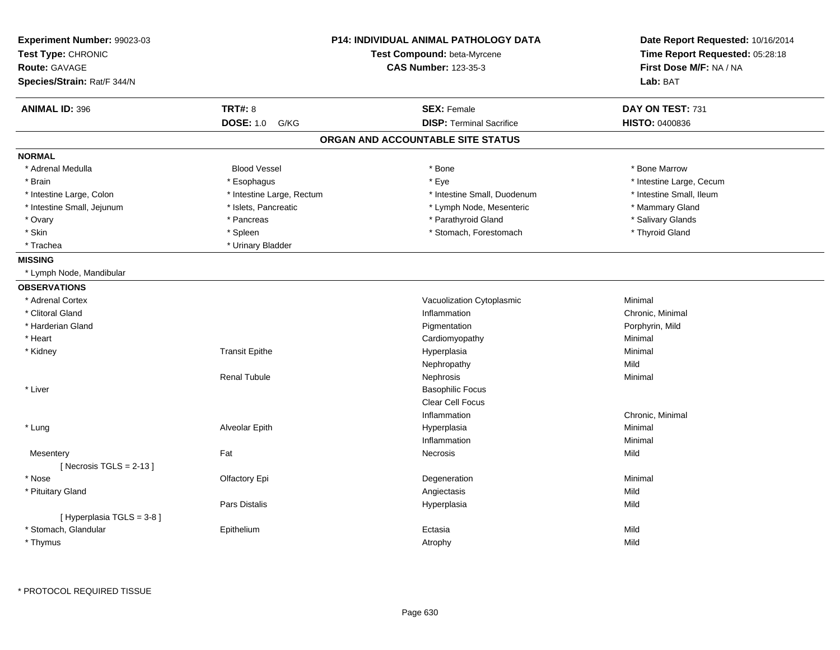| Experiment Number: 99023-03<br>Test Type: CHRONIC<br><b>Route: GAVAGE</b> |                           | <b>P14: INDIVIDUAL ANIMAL PATHOLOGY DATA</b><br>Test Compound: beta-Myrcene<br><b>CAS Number: 123-35-3</b> | Date Report Requested: 10/16/2014<br>Time Report Requested: 05:28:18<br>First Dose M/F: NA / NA |
|---------------------------------------------------------------------------|---------------------------|------------------------------------------------------------------------------------------------------------|-------------------------------------------------------------------------------------------------|
| Species/Strain: Rat/F 344/N                                               |                           |                                                                                                            | Lab: BAT                                                                                        |
| <b>ANIMAL ID: 396</b>                                                     | <b>TRT#: 8</b>            | <b>SEX: Female</b>                                                                                         | DAY ON TEST: 731                                                                                |
|                                                                           | <b>DOSE: 1.0</b><br>G/KG  | <b>DISP: Terminal Sacrifice</b>                                                                            | <b>HISTO: 0400836</b>                                                                           |
|                                                                           |                           | ORGAN AND ACCOUNTABLE SITE STATUS                                                                          |                                                                                                 |
| <b>NORMAL</b>                                                             |                           |                                                                                                            |                                                                                                 |
| * Adrenal Medulla                                                         | <b>Blood Vessel</b>       | * Bone                                                                                                     | * Bone Marrow                                                                                   |
| * Brain                                                                   | * Esophagus               | * Eye                                                                                                      | * Intestine Large, Cecum                                                                        |
| * Intestine Large, Colon                                                  | * Intestine Large, Rectum | * Intestine Small, Duodenum                                                                                | * Intestine Small, Ileum                                                                        |
| * Intestine Small, Jejunum                                                | * Islets, Pancreatic      | * Lymph Node, Mesenteric                                                                                   | * Mammary Gland                                                                                 |
| * Ovary                                                                   | * Pancreas                | * Parathyroid Gland                                                                                        | * Salivary Glands                                                                               |
| * Skin                                                                    | * Spleen                  | * Stomach, Forestomach                                                                                     | * Thyroid Gland                                                                                 |
| * Trachea                                                                 | * Urinary Bladder         |                                                                                                            |                                                                                                 |
| <b>MISSING</b>                                                            |                           |                                                                                                            |                                                                                                 |
| * Lymph Node, Mandibular                                                  |                           |                                                                                                            |                                                                                                 |
| <b>OBSERVATIONS</b>                                                       |                           |                                                                                                            |                                                                                                 |
| * Adrenal Cortex                                                          |                           | Vacuolization Cytoplasmic                                                                                  | Minimal                                                                                         |
| * Clitoral Gland                                                          |                           | Inflammation                                                                                               | Chronic, Minimal                                                                                |
| * Harderian Gland                                                         |                           | Pigmentation                                                                                               | Porphyrin, Mild                                                                                 |
| * Heart                                                                   |                           | Cardiomyopathy                                                                                             | Minimal                                                                                         |
| * Kidney                                                                  | <b>Transit Epithe</b>     | Hyperplasia                                                                                                | Minimal                                                                                         |
|                                                                           |                           | Nephropathy                                                                                                | Mild                                                                                            |
|                                                                           | <b>Renal Tubule</b>       | Nephrosis                                                                                                  | Minimal                                                                                         |
| * Liver                                                                   |                           | <b>Basophilic Focus</b>                                                                                    |                                                                                                 |
|                                                                           |                           | Clear Cell Focus                                                                                           |                                                                                                 |
|                                                                           |                           | Inflammation                                                                                               | Chronic, Minimal                                                                                |
| * Lung                                                                    | Alveolar Epith            | Hyperplasia                                                                                                | Minimal                                                                                         |
|                                                                           |                           | Inflammation                                                                                               | Minimal                                                                                         |
| Mesentery                                                                 | Fat                       | Necrosis                                                                                                   | Mild                                                                                            |
| [Necrosis TGLS = $2-13$ ]                                                 |                           |                                                                                                            |                                                                                                 |
| * Nose                                                                    | Olfactory Epi             | Degeneration                                                                                               | Minimal                                                                                         |
| * Pituitary Gland                                                         |                           | Angiectasis                                                                                                | Mild                                                                                            |
|                                                                           | Pars Distalis             | Hyperplasia                                                                                                | Mild                                                                                            |
| [Hyperplasia TGLS = $3-8$ ]                                               |                           |                                                                                                            |                                                                                                 |
| * Stomach, Glandular                                                      | Epithelium                | Ectasia                                                                                                    | Mild                                                                                            |
|                                                                           |                           | Atrophy                                                                                                    | Mild                                                                                            |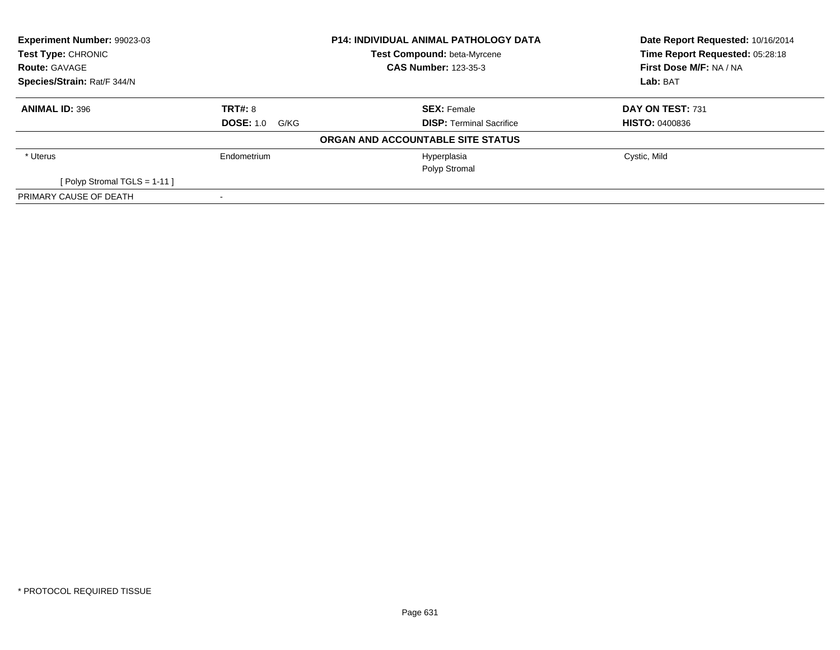| <b>Experiment Number: 99023-03</b><br><b>Test Type: CHRONIC</b><br><b>Route: GAVAGE</b> |                       | <b>P14: INDIVIDUAL ANIMAL PATHOLOGY DATA</b> | Date Report Requested: 10/16/2014 |  |
|-----------------------------------------------------------------------------------------|-----------------------|----------------------------------------------|-----------------------------------|--|
|                                                                                         |                       | Test Compound: beta-Myrcene                  | Time Report Requested: 05:28:18   |  |
|                                                                                         |                       | <b>CAS Number: 123-35-3</b>                  | First Dose M/F: NA / NA           |  |
| Species/Strain: Rat/F 344/N                                                             |                       |                                              | Lab: BAT                          |  |
| <b>ANIMAL ID: 396</b>                                                                   | <b>TRT#: 8</b>        | <b>SEX: Female</b>                           | DAY ON TEST: 731                  |  |
|                                                                                         | <b>DOSE: 1.0 G/KG</b> | <b>DISP: Terminal Sacrifice</b>              | <b>HISTO: 0400836</b>             |  |
|                                                                                         |                       | ORGAN AND ACCOUNTABLE SITE STATUS            |                                   |  |
| * Uterus                                                                                | Endometrium           | Hyperplasia                                  | Cystic, Mild                      |  |
|                                                                                         |                       | Polyp Stromal                                |                                   |  |
| [Polyp Stromal TGLS = $1-11$ ]                                                          |                       |                                              |                                   |  |
| PRIMARY CAUSE OF DEATH                                                                  |                       |                                              |                                   |  |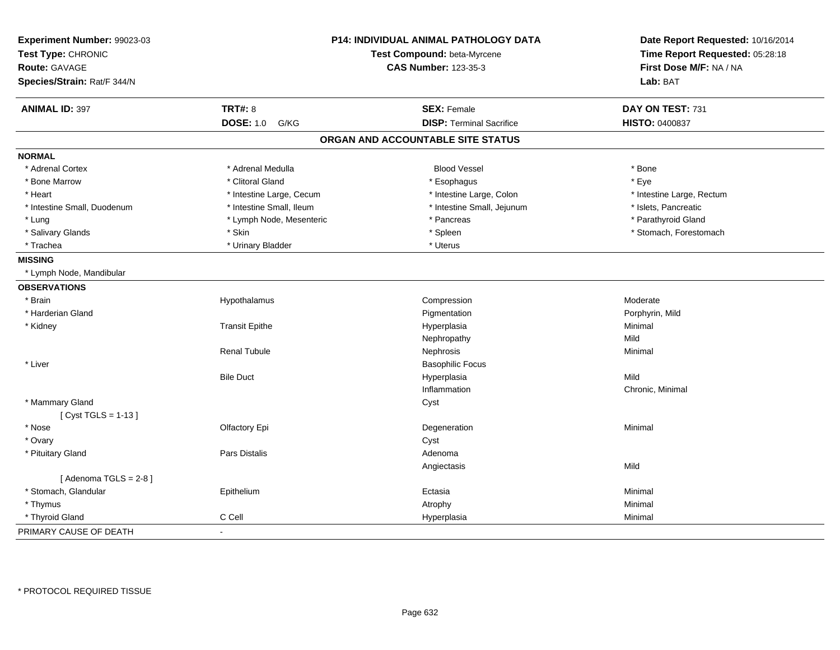| Experiment Number: 99023-03<br>Test Type: CHRONIC |                          | P14: INDIVIDUAL ANIMAL PATHOLOGY DATA<br>Test Compound: beta-Myrcene | Date Report Requested: 10/16/2014<br>Time Report Requested: 05:28:18 |
|---------------------------------------------------|--------------------------|----------------------------------------------------------------------|----------------------------------------------------------------------|
| Route: GAVAGE                                     |                          | <b>CAS Number: 123-35-3</b>                                          | First Dose M/F: NA / NA                                              |
| Species/Strain: Rat/F 344/N                       |                          |                                                                      | Lab: BAT                                                             |
|                                                   |                          |                                                                      |                                                                      |
| <b>ANIMAL ID: 397</b>                             | <b>TRT#: 8</b>           | <b>SEX: Female</b>                                                   | DAY ON TEST: 731                                                     |
|                                                   | <b>DOSE: 1.0</b><br>G/KG | <b>DISP: Terminal Sacrifice</b>                                      | HISTO: 0400837                                                       |
|                                                   |                          | ORGAN AND ACCOUNTABLE SITE STATUS                                    |                                                                      |
| <b>NORMAL</b>                                     |                          |                                                                      |                                                                      |
| * Adrenal Cortex                                  | * Adrenal Medulla        | <b>Blood Vessel</b>                                                  | * Bone                                                               |
| * Bone Marrow                                     | * Clitoral Gland         | * Esophagus                                                          | * Eye                                                                |
| * Heart                                           | * Intestine Large, Cecum | * Intestine Large, Colon                                             | * Intestine Large, Rectum                                            |
| * Intestine Small, Duodenum                       | * Intestine Small, Ileum | * Intestine Small, Jejunum                                           | * Islets, Pancreatic                                                 |
| * Lung                                            | * Lymph Node, Mesenteric | * Pancreas                                                           | * Parathyroid Gland                                                  |
| * Salivary Glands                                 | * Skin                   | * Spleen                                                             | * Stomach, Forestomach                                               |
| * Trachea                                         | * Urinary Bladder        | * Uterus                                                             |                                                                      |
| <b>MISSING</b>                                    |                          |                                                                      |                                                                      |
| * Lymph Node, Mandibular                          |                          |                                                                      |                                                                      |
| <b>OBSERVATIONS</b>                               |                          |                                                                      |                                                                      |
| * Brain                                           | Hypothalamus             | Compression                                                          | Moderate                                                             |
| * Harderian Gland                                 |                          | Pigmentation                                                         | Porphyrin, Mild                                                      |
| * Kidney                                          | <b>Transit Epithe</b>    | Hyperplasia                                                          | Minimal                                                              |
|                                                   |                          | Nephropathy                                                          | Mild                                                                 |
|                                                   | <b>Renal Tubule</b>      | Nephrosis                                                            | Minimal                                                              |
| * Liver                                           |                          | <b>Basophilic Focus</b>                                              |                                                                      |
|                                                   | <b>Bile Duct</b>         | Hyperplasia                                                          | Mild                                                                 |
|                                                   |                          | Inflammation                                                         | Chronic, Minimal                                                     |
| * Mammary Gland                                   |                          | Cyst                                                                 |                                                                      |
| [ Cyst TGLS = 1-13 ]                              |                          |                                                                      |                                                                      |
| * Nose                                            | Olfactory Epi            | Degeneration                                                         | Minimal                                                              |
| * Ovary                                           |                          | Cyst                                                                 |                                                                      |
| * Pituitary Gland                                 | Pars Distalis            | Adenoma                                                              |                                                                      |
|                                                   |                          | Angiectasis                                                          | Mild                                                                 |
| [Adenoma TGLS = $2-8$ ]                           |                          |                                                                      |                                                                      |
| * Stomach, Glandular                              | Epithelium               | Ectasia                                                              | Minimal                                                              |
| * Thymus                                          |                          | Atrophy                                                              | Minimal                                                              |
| * Thyroid Gland                                   | C Cell                   | Hyperplasia                                                          | Minimal                                                              |
| PRIMARY CAUSE OF DEATH                            | $\blacksquare$           |                                                                      |                                                                      |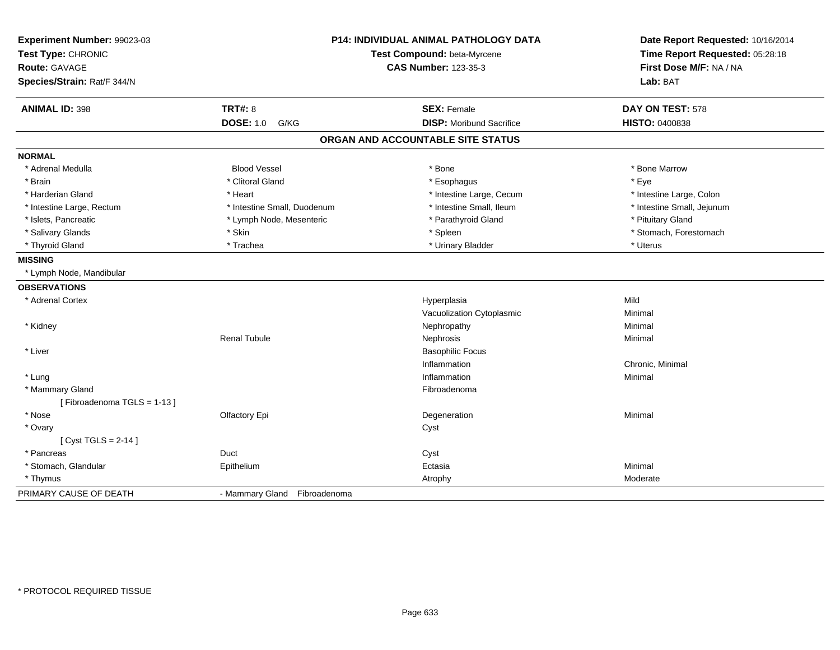| Experiment Number: 99023-03<br>Test Type: CHRONIC<br>Route: GAVAGE<br>Species/Strain: Rat/F 344/N |                              | P14: INDIVIDUAL ANIMAL PATHOLOGY DATA<br>Test Compound: beta-Myrcene<br><b>CAS Number: 123-35-3</b> | Date Report Requested: 10/16/2014<br>Time Report Requested: 05:28:18<br>First Dose M/F: NA / NA<br>Lab: BAT |
|---------------------------------------------------------------------------------------------------|------------------------------|-----------------------------------------------------------------------------------------------------|-------------------------------------------------------------------------------------------------------------|
| <b>ANIMAL ID: 398</b>                                                                             | <b>TRT#: 8</b>               | <b>SEX: Female</b>                                                                                  | DAY ON TEST: 578                                                                                            |
|                                                                                                   | <b>DOSE: 1.0</b><br>G/KG     | <b>DISP:</b> Moribund Sacrifice                                                                     | <b>HISTO: 0400838</b>                                                                                       |
|                                                                                                   |                              | ORGAN AND ACCOUNTABLE SITE STATUS                                                                   |                                                                                                             |
| <b>NORMAL</b>                                                                                     |                              |                                                                                                     |                                                                                                             |
| * Adrenal Medulla                                                                                 | <b>Blood Vessel</b>          | * Bone                                                                                              | * Bone Marrow                                                                                               |
| * Brain                                                                                           | * Clitoral Gland             | * Esophagus                                                                                         | * Eye                                                                                                       |
| * Harderian Gland                                                                                 | * Heart                      | * Intestine Large, Cecum                                                                            | * Intestine Large, Colon                                                                                    |
| * Intestine Large, Rectum                                                                         | * Intestine Small, Duodenum  | * Intestine Small, Ileum                                                                            | * Intestine Small, Jejunum                                                                                  |
| * Islets, Pancreatic                                                                              | * Lymph Node, Mesenteric     | * Parathyroid Gland                                                                                 | * Pituitary Gland                                                                                           |
| * Salivary Glands                                                                                 | * Skin                       | * Spleen                                                                                            | * Stomach, Forestomach                                                                                      |
| * Thyroid Gland                                                                                   | * Trachea                    | * Urinary Bladder                                                                                   | * Uterus                                                                                                    |
| <b>MISSING</b>                                                                                    |                              |                                                                                                     |                                                                                                             |
| * Lymph Node, Mandibular                                                                          |                              |                                                                                                     |                                                                                                             |
| <b>OBSERVATIONS</b>                                                                               |                              |                                                                                                     |                                                                                                             |
| * Adrenal Cortex                                                                                  |                              | Hyperplasia                                                                                         | Mild                                                                                                        |
|                                                                                                   |                              | Vacuolization Cytoplasmic                                                                           | Minimal                                                                                                     |
| * Kidney                                                                                          |                              | Nephropathy                                                                                         | Minimal                                                                                                     |
|                                                                                                   | <b>Renal Tubule</b>          | Nephrosis                                                                                           | Minimal                                                                                                     |
| * Liver                                                                                           |                              | <b>Basophilic Focus</b>                                                                             |                                                                                                             |
|                                                                                                   |                              | Inflammation                                                                                        | Chronic, Minimal                                                                                            |
| * Lung                                                                                            |                              | Inflammation                                                                                        | Minimal                                                                                                     |
| * Mammary Gland                                                                                   |                              | Fibroadenoma                                                                                        |                                                                                                             |
| [Fibroadenoma TGLS = 1-13]                                                                        |                              |                                                                                                     |                                                                                                             |
| * Nose                                                                                            | Olfactory Epi                | Degeneration                                                                                        | Minimal                                                                                                     |
| * Ovary                                                                                           |                              | Cyst                                                                                                |                                                                                                             |
| [ $Cyst TGLS = 2-14$ ]                                                                            |                              |                                                                                                     |                                                                                                             |
| * Pancreas                                                                                        | Duct                         | Cyst                                                                                                |                                                                                                             |
| * Stomach, Glandular                                                                              | Epithelium                   | Ectasia                                                                                             | Minimal                                                                                                     |
| * Thymus                                                                                          |                              | Atrophy                                                                                             | Moderate                                                                                                    |
| PRIMARY CAUSE OF DEATH                                                                            | - Mammary Gland Fibroadenoma |                                                                                                     |                                                                                                             |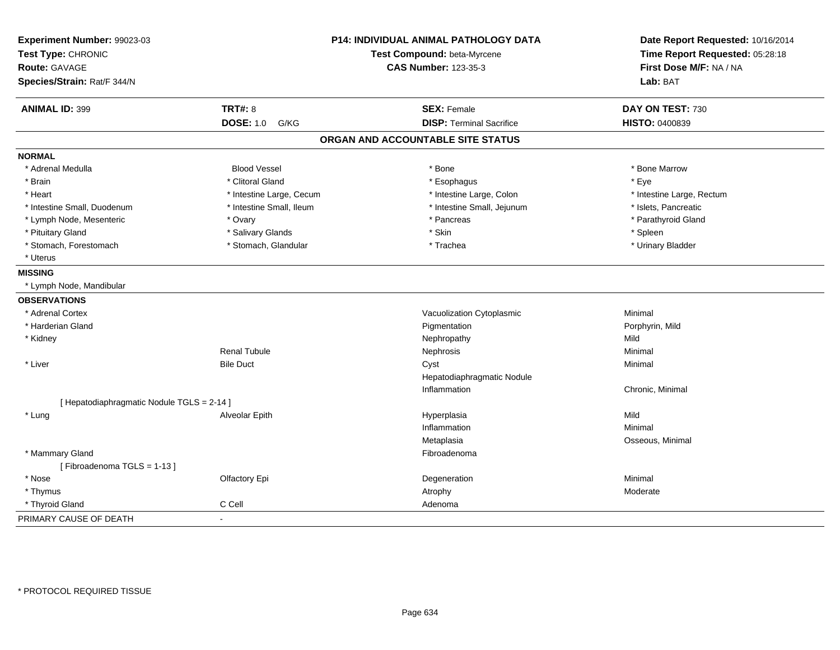| Test Type: CHRONIC<br><b>Route: GAVAGE</b><br>Species/Strain: Rat/F 344/N | Test Compound: beta-Myrcene<br><b>CAS Number: 123-35-3</b><br><b>SEX: Female</b> | Time Report Requested: 05:28:18<br>First Dose M/F: NA / NA<br>Lab: BAT<br>DAY ON TEST: 730 |
|---------------------------------------------------------------------------|----------------------------------------------------------------------------------|--------------------------------------------------------------------------------------------|
|                                                                           |                                                                                  |                                                                                            |
|                                                                           |                                                                                  |                                                                                            |
|                                                                           |                                                                                  |                                                                                            |
| <b>ANIMAL ID: 399</b><br><b>TRT#: 8</b>                                   |                                                                                  |                                                                                            |
| <b>DOSE: 1.0 G/KG</b>                                                     | <b>DISP: Terminal Sacrifice</b>                                                  | <b>HISTO: 0400839</b>                                                                      |
|                                                                           | ORGAN AND ACCOUNTABLE SITE STATUS                                                |                                                                                            |
| <b>NORMAL</b>                                                             |                                                                                  |                                                                                            |
| <b>Blood Vessel</b><br>* Adrenal Medulla                                  | * Bone                                                                           | * Bone Marrow                                                                              |
| * Clitoral Gland<br>* Brain                                               | * Esophagus                                                                      | * Eye                                                                                      |
| * Heart<br>* Intestine Large, Cecum                                       | * Intestine Large, Colon                                                         | * Intestine Large, Rectum                                                                  |
| * Intestine Small, Duodenum<br>* Intestine Small, Ileum                   | * Intestine Small, Jejunum                                                       | * Islets, Pancreatic                                                                       |
| * Lymph Node, Mesenteric<br>* Ovary                                       | * Pancreas                                                                       | * Parathyroid Gland                                                                        |
| * Pituitary Gland<br>* Salivary Glands                                    | * Skin                                                                           | * Spleen                                                                                   |
| * Stomach, Forestomach<br>* Stomach, Glandular                            | * Trachea                                                                        | * Urinary Bladder                                                                          |
| * Uterus                                                                  |                                                                                  |                                                                                            |
| <b>MISSING</b>                                                            |                                                                                  |                                                                                            |
| * Lymph Node, Mandibular                                                  |                                                                                  |                                                                                            |
| <b>OBSERVATIONS</b>                                                       |                                                                                  |                                                                                            |
| * Adrenal Cortex                                                          | Vacuolization Cytoplasmic                                                        | Minimal                                                                                    |
| * Harderian Gland                                                         | Pigmentation                                                                     | Porphyrin, Mild                                                                            |
| * Kidney                                                                  | Nephropathy                                                                      | Mild                                                                                       |
| <b>Renal Tubule</b>                                                       | Nephrosis                                                                        | Minimal                                                                                    |
| * Liver<br><b>Bile Duct</b>                                               | Cyst                                                                             | Minimal                                                                                    |
|                                                                           | Hepatodiaphragmatic Nodule                                                       |                                                                                            |
|                                                                           | Inflammation                                                                     | Chronic, Minimal                                                                           |
| [ Hepatodiaphragmatic Nodule TGLS = 2-14 ]                                |                                                                                  |                                                                                            |
| * Lung<br>Alveolar Epith                                                  | Hyperplasia                                                                      | Mild                                                                                       |
|                                                                           | Inflammation                                                                     | Minimal                                                                                    |
|                                                                           | Metaplasia                                                                       | Osseous, Minimal                                                                           |
| * Mammary Gland                                                           | Fibroadenoma                                                                     |                                                                                            |
| [Fibroadenoma TGLS = 1-13]                                                |                                                                                  |                                                                                            |
| * Nose<br>Olfactory Epi                                                   | Degeneration                                                                     | Minimal                                                                                    |
| * Thymus                                                                  | Atrophy                                                                          | Moderate                                                                                   |
| C Cell<br>* Thyroid Gland                                                 | Adenoma                                                                          |                                                                                            |
| PRIMARY CAUSE OF DEATH<br>$\blacksquare$                                  |                                                                                  |                                                                                            |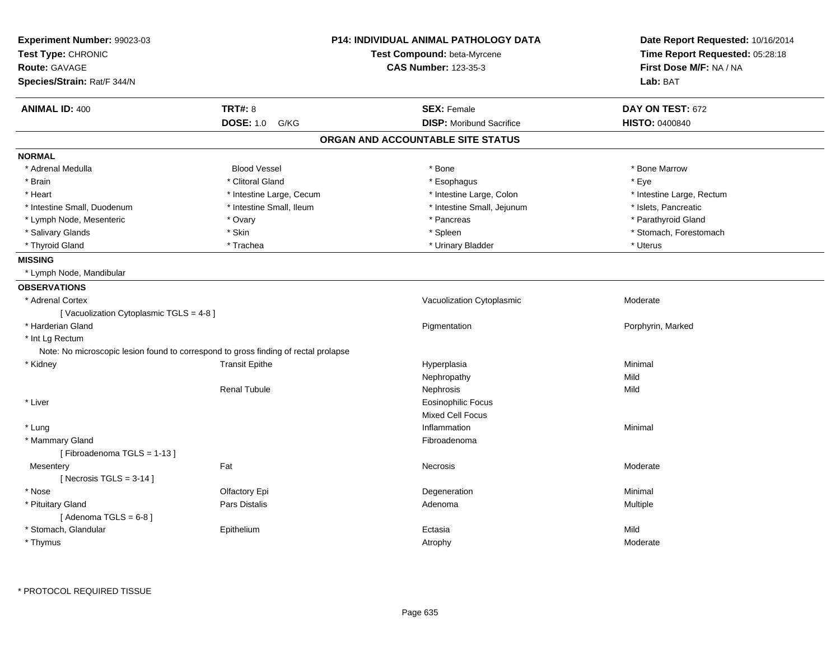| Experiment Number: 99023-03<br>Test Type: CHRONIC<br><b>Route: GAVAGE</b>           |                          | <b>P14: INDIVIDUAL ANIMAL PATHOLOGY DATA</b> | Date Report Requested: 10/16/2014<br>Time Report Requested: 05:28:18 |  |
|-------------------------------------------------------------------------------------|--------------------------|----------------------------------------------|----------------------------------------------------------------------|--|
|                                                                                     |                          | Test Compound: beta-Myrcene                  |                                                                      |  |
|                                                                                     |                          | <b>CAS Number: 123-35-3</b>                  | First Dose M/F: NA / NA                                              |  |
| Species/Strain: Rat/F 344/N                                                         |                          |                                              | Lab: BAT                                                             |  |
| <b>ANIMAL ID: 400</b>                                                               | <b>TRT#: 8</b>           | <b>SEX: Female</b>                           | DAY ON TEST: 672                                                     |  |
|                                                                                     | <b>DOSE: 1.0</b><br>G/KG | <b>DISP:</b> Moribund Sacrifice              | HISTO: 0400840                                                       |  |
|                                                                                     |                          | ORGAN AND ACCOUNTABLE SITE STATUS            |                                                                      |  |
| <b>NORMAL</b>                                                                       |                          |                                              |                                                                      |  |
| * Adrenal Medulla                                                                   | <b>Blood Vessel</b>      | * Bone                                       | * Bone Marrow                                                        |  |
| * Brain                                                                             | * Clitoral Gland         | * Esophagus                                  | * Eye                                                                |  |
| * Heart                                                                             | * Intestine Large, Cecum | * Intestine Large, Colon                     | * Intestine Large, Rectum                                            |  |
| * Intestine Small, Duodenum                                                         | * Intestine Small, Ileum | * Intestine Small, Jejunum                   | * Islets, Pancreatic                                                 |  |
| * Lymph Node, Mesenteric                                                            | * Ovary                  | * Pancreas                                   | * Parathyroid Gland                                                  |  |
| * Salivary Glands                                                                   | * Skin                   | * Spleen                                     | * Stomach, Forestomach                                               |  |
| * Thyroid Gland                                                                     | * Trachea                | * Urinary Bladder                            | * Uterus                                                             |  |
| <b>MISSING</b>                                                                      |                          |                                              |                                                                      |  |
| * Lymph Node, Mandibular                                                            |                          |                                              |                                                                      |  |
| <b>OBSERVATIONS</b>                                                                 |                          |                                              |                                                                      |  |
| * Adrenal Cortex                                                                    |                          | Vacuolization Cytoplasmic                    | Moderate                                                             |  |
| [Vacuolization Cytoplasmic TGLS = 4-8]                                              |                          |                                              |                                                                      |  |
| * Harderian Gland                                                                   |                          | Pigmentation                                 | Porphyrin, Marked                                                    |  |
| * Int Lg Rectum                                                                     |                          |                                              |                                                                      |  |
| Note: No microscopic lesion found to correspond to gross finding of rectal prolapse |                          |                                              |                                                                      |  |
| * Kidney                                                                            | <b>Transit Epithe</b>    | Hyperplasia                                  | Minimal                                                              |  |
|                                                                                     |                          | Nephropathy                                  | Mild                                                                 |  |
|                                                                                     | <b>Renal Tubule</b>      | Nephrosis                                    | Mild                                                                 |  |
| * Liver                                                                             |                          | <b>Eosinophilic Focus</b>                    |                                                                      |  |
|                                                                                     |                          | Mixed Cell Focus                             |                                                                      |  |
| * Lung                                                                              |                          | Inflammation                                 | Minimal                                                              |  |
| * Mammary Gland                                                                     |                          | Fibroadenoma                                 |                                                                      |  |
| [Fibroadenoma TGLS = 1-13]                                                          |                          |                                              |                                                                      |  |
| Mesentery                                                                           | Fat                      | <b>Necrosis</b>                              | Moderate                                                             |  |
| [Necrosis TGLS = $3-14$ ]                                                           |                          |                                              |                                                                      |  |
| * Nose                                                                              | Olfactory Epi            | Degeneration                                 | Minimal                                                              |  |
| * Pituitary Gland                                                                   | Pars Distalis            | Adenoma                                      | Multiple                                                             |  |
| [Adenoma TGLS = $6-8$ ]                                                             |                          |                                              |                                                                      |  |
| * Stomach, Glandular                                                                | Epithelium               | Ectasia                                      | Mild                                                                 |  |
| * Thymus                                                                            |                          | Atrophy                                      | Moderate                                                             |  |
|                                                                                     |                          |                                              |                                                                      |  |